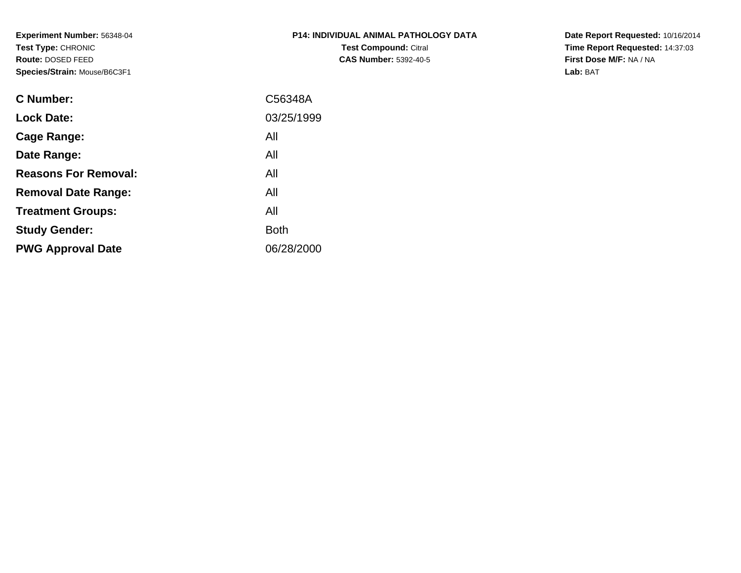**Experiment Number:** 56348-04**Test Type:** CHRONIC **Route:** DOSED FEED**Species/Strain:** Mouse/B6C3F1

| <b>P14: INDIVIDUAL ANIMAL PATHOLOGY DATA</b> |
|----------------------------------------------|
| <b>Test Compound: Citral</b>                 |
| <b>CAS Number: 5392-40-5</b>                 |

**Date Report Requested:** 10/16/2014 **Time Report Requested:** 14:37:03**First Dose M/F:** NA / NA**Lab:** BAT

| <b>C</b> Number:            | C56348A     |
|-----------------------------|-------------|
| <b>Lock Date:</b>           | 03/25/1999  |
| Cage Range:                 | All         |
| Date Range:                 | All         |
| <b>Reasons For Removal:</b> | All         |
| <b>Removal Date Range:</b>  | All         |
| <b>Treatment Groups:</b>    | All         |
| <b>Study Gender:</b>        | <b>Both</b> |
| <b>PWG Approval Date</b>    | 06/28/2000  |
|                             |             |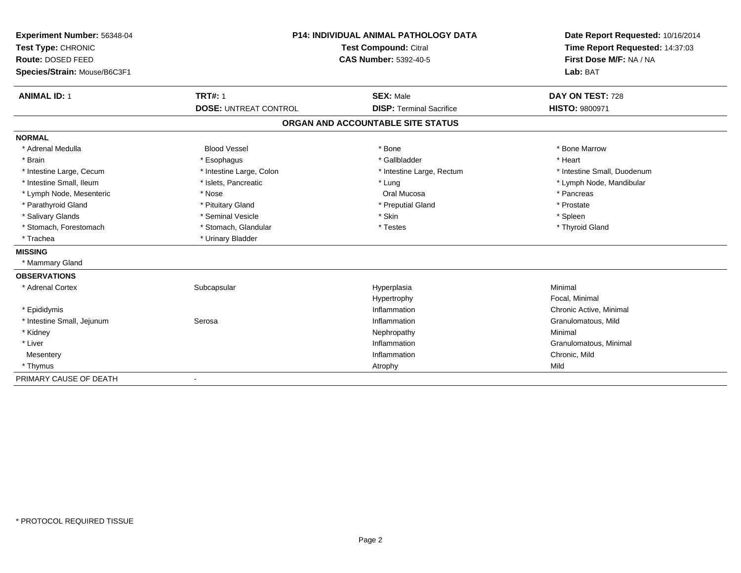| Experiment Number: 56348-04  | <b>P14: INDIVIDUAL ANIMAL PATHOLOGY DATA</b><br><b>Test Compound: Citral</b><br><b>CAS Number: 5392-40-5</b> |                                   | Date Report Requested: 10/16/2014 |
|------------------------------|--------------------------------------------------------------------------------------------------------------|-----------------------------------|-----------------------------------|
| Test Type: CHRONIC           |                                                                                                              |                                   | Time Report Requested: 14:37:03   |
| Route: DOSED FEED            |                                                                                                              |                                   | First Dose M/F: NA / NA           |
| Species/Strain: Mouse/B6C3F1 |                                                                                                              | Lab: BAT                          |                                   |
| <b>ANIMAL ID: 1</b>          | <b>TRT#: 1</b>                                                                                               | <b>SEX: Male</b>                  | DAY ON TEST: 728                  |
|                              | <b>DOSE: UNTREAT CONTROL</b>                                                                                 | <b>DISP: Terminal Sacrifice</b>   | HISTO: 9800971                    |
|                              |                                                                                                              | ORGAN AND ACCOUNTABLE SITE STATUS |                                   |
| <b>NORMAL</b>                |                                                                                                              |                                   |                                   |
| * Adrenal Medulla            | <b>Blood Vessel</b>                                                                                          | * Bone                            | * Bone Marrow                     |
| * Brain                      | * Esophagus                                                                                                  | * Gallbladder                     | * Heart                           |
| * Intestine Large, Cecum     | * Intestine Large, Colon                                                                                     | * Intestine Large, Rectum         | * Intestine Small, Duodenum       |
| * Intestine Small, Ileum     | * Islets, Pancreatic                                                                                         | * Lung                            | * Lymph Node, Mandibular          |
| * Lymph Node, Mesenteric     | * Nose                                                                                                       | Oral Mucosa                       | * Pancreas                        |
| * Parathyroid Gland          | * Pituitary Gland                                                                                            | * Preputial Gland                 | * Prostate                        |
| * Salivary Glands            | * Seminal Vesicle                                                                                            | * Skin                            | * Spleen                          |
| * Stomach, Forestomach       | * Stomach, Glandular                                                                                         | * Testes                          | * Thyroid Gland                   |
| * Trachea                    | * Urinary Bladder                                                                                            |                                   |                                   |
| <b>MISSING</b>               |                                                                                                              |                                   |                                   |
| * Mammary Gland              |                                                                                                              |                                   |                                   |
| <b>OBSERVATIONS</b>          |                                                                                                              |                                   |                                   |
| * Adrenal Cortex             | Subcapsular                                                                                                  | Hyperplasia                       | Minimal                           |
|                              |                                                                                                              | Hypertrophy                       | Focal, Minimal                    |
| * Epididymis                 |                                                                                                              | Inflammation                      | Chronic Active, Minimal           |
| * Intestine Small, Jejunum   | Serosa                                                                                                       | Inflammation                      | Granulomatous, Mild               |
| * Kidney                     |                                                                                                              | Nephropathy                       | Minimal                           |
| * Liver                      |                                                                                                              | Inflammation                      | Granulomatous, Minimal            |
| Mesentery                    |                                                                                                              | Inflammation                      | Chronic, Mild                     |
| * Thymus                     |                                                                                                              | Atrophy                           | Mild                              |
| PRIMARY CAUSE OF DEATH       |                                                                                                              |                                   |                                   |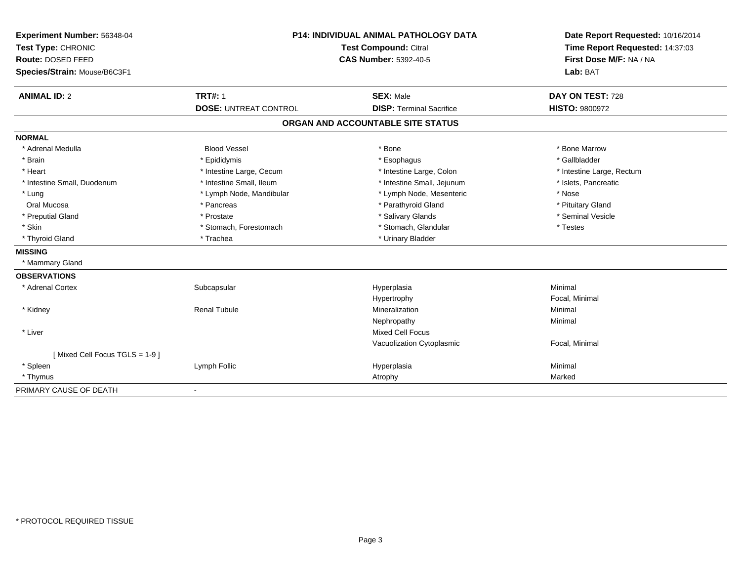| Experiment Number: 56348-04   | <b>P14: INDIVIDUAL ANIMAL PATHOLOGY DATA</b><br>Test Compound: Citral<br><b>CAS Number: 5392-40-5</b> |                                   | Date Report Requested: 10/16/2014 |
|-------------------------------|-------------------------------------------------------------------------------------------------------|-----------------------------------|-----------------------------------|
| Test Type: CHRONIC            |                                                                                                       |                                   | Time Report Requested: 14:37:03   |
| Route: DOSED FEED             |                                                                                                       |                                   | First Dose M/F: NA / NA           |
| Species/Strain: Mouse/B6C3F1  |                                                                                                       |                                   | Lab: BAT                          |
| <b>ANIMAL ID: 2</b>           | <b>TRT#: 1</b>                                                                                        | <b>SEX: Male</b>                  | DAY ON TEST: 728                  |
|                               | <b>DOSE: UNTREAT CONTROL</b>                                                                          | <b>DISP: Terminal Sacrifice</b>   | <b>HISTO: 9800972</b>             |
|                               |                                                                                                       | ORGAN AND ACCOUNTABLE SITE STATUS |                                   |
| <b>NORMAL</b>                 |                                                                                                       |                                   |                                   |
| * Adrenal Medulla             | <b>Blood Vessel</b>                                                                                   | * Bone                            | * Bone Marrow                     |
| * Brain                       | * Epididymis                                                                                          | * Esophagus                       | * Gallbladder                     |
| * Heart                       | * Intestine Large, Cecum                                                                              | * Intestine Large, Colon          | * Intestine Large, Rectum         |
| * Intestine Small, Duodenum   | * Intestine Small, Ileum                                                                              | * Intestine Small, Jejunum        | * Islets, Pancreatic              |
| * Lung                        | * Lymph Node, Mandibular                                                                              | * Lymph Node, Mesenteric          | * Nose                            |
| Oral Mucosa                   | * Pancreas                                                                                            | * Parathyroid Gland               | * Pituitary Gland                 |
| * Preputial Gland             | * Prostate                                                                                            | * Salivary Glands                 | * Seminal Vesicle                 |
| * Skin                        | * Stomach, Forestomach                                                                                | * Stomach, Glandular              | * Testes                          |
| * Thyroid Gland               | * Trachea                                                                                             | * Urinary Bladder                 |                                   |
| <b>MISSING</b>                |                                                                                                       |                                   |                                   |
| * Mammary Gland               |                                                                                                       |                                   |                                   |
| <b>OBSERVATIONS</b>           |                                                                                                       |                                   |                                   |
| * Adrenal Cortex              | Subcapsular                                                                                           | Hyperplasia                       | Minimal                           |
|                               |                                                                                                       | Hypertrophy                       | Focal, Minimal                    |
| * Kidney                      | <b>Renal Tubule</b>                                                                                   | Mineralization                    | Minimal                           |
|                               |                                                                                                       | Nephropathy                       | Minimal                           |
| * Liver                       |                                                                                                       | <b>Mixed Cell Focus</b>           |                                   |
|                               |                                                                                                       | Vacuolization Cytoplasmic         | Focal, Minimal                    |
| [Mixed Cell Focus TGLS = 1-9] |                                                                                                       |                                   |                                   |
| * Spleen                      | Lymph Follic                                                                                          | Hyperplasia                       | Minimal                           |
| * Thymus                      |                                                                                                       | Atrophy                           | Marked                            |
| PRIMARY CAUSE OF DEATH        | $\blacksquare$                                                                                        |                                   |                                   |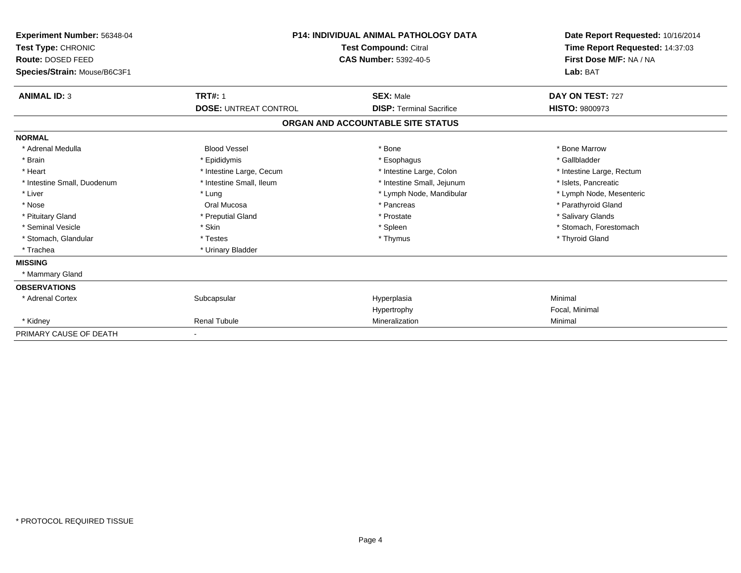| <b>Experiment Number: 56348-04</b><br>Test Type: CHRONIC<br>Route: DOSED FEED<br>Species/Strain: Mouse/B6C3F1 |                              | <b>P14: INDIVIDUAL ANIMAL PATHOLOGY DATA</b><br><b>Test Compound: Citral</b><br><b>CAS Number: 5392-40-5</b> | Date Report Requested: 10/16/2014<br>Time Report Requested: 14:37:03<br>First Dose M/F: NA / NA<br>Lab: BAT |
|---------------------------------------------------------------------------------------------------------------|------------------------------|--------------------------------------------------------------------------------------------------------------|-------------------------------------------------------------------------------------------------------------|
| <b>ANIMAL ID: 3</b>                                                                                           | <b>TRT#: 1</b>               | <b>SEX: Male</b>                                                                                             | DAY ON TEST: 727                                                                                            |
|                                                                                                               | <b>DOSE: UNTREAT CONTROL</b> | <b>DISP: Terminal Sacrifice</b>                                                                              | <b>HISTO: 9800973</b>                                                                                       |
|                                                                                                               |                              | ORGAN AND ACCOUNTABLE SITE STATUS                                                                            |                                                                                                             |
| <b>NORMAL</b>                                                                                                 |                              |                                                                                                              |                                                                                                             |
| * Adrenal Medulla                                                                                             | <b>Blood Vessel</b>          | * Bone                                                                                                       | * Bone Marrow                                                                                               |
| * Brain                                                                                                       | * Epididymis                 | * Esophagus                                                                                                  | * Gallbladder                                                                                               |
| * Heart                                                                                                       | * Intestine Large, Cecum     | * Intestine Large, Colon                                                                                     | * Intestine Large, Rectum                                                                                   |
| * Intestine Small, Duodenum                                                                                   | * Intestine Small, Ileum     | * Intestine Small, Jejunum                                                                                   | * Islets, Pancreatic                                                                                        |
| * Liver                                                                                                       | * Lung                       | * Lymph Node, Mandibular                                                                                     | * Lymph Node, Mesenteric                                                                                    |
| * Nose                                                                                                        | Oral Mucosa                  | * Pancreas                                                                                                   | * Parathyroid Gland                                                                                         |
| * Pituitary Gland                                                                                             | * Preputial Gland            | * Prostate                                                                                                   | * Salivary Glands                                                                                           |
| * Seminal Vesicle                                                                                             | * Skin                       | * Spleen                                                                                                     | * Stomach, Forestomach                                                                                      |
| * Stomach, Glandular                                                                                          | * Testes                     | * Thymus                                                                                                     | * Thyroid Gland                                                                                             |
| * Trachea                                                                                                     | * Urinary Bladder            |                                                                                                              |                                                                                                             |
| <b>MISSING</b>                                                                                                |                              |                                                                                                              |                                                                                                             |
| * Mammary Gland                                                                                               |                              |                                                                                                              |                                                                                                             |
| <b>OBSERVATIONS</b>                                                                                           |                              |                                                                                                              |                                                                                                             |
| * Adrenal Cortex                                                                                              | Subcapsular                  | Hyperplasia                                                                                                  | Minimal                                                                                                     |
|                                                                                                               |                              | Hypertrophy                                                                                                  | Focal, Minimal                                                                                              |
| * Kidney                                                                                                      | <b>Renal Tubule</b>          | Mineralization                                                                                               | Minimal                                                                                                     |
| PRIMARY CAUSE OF DEATH                                                                                        |                              |                                                                                                              |                                                                                                             |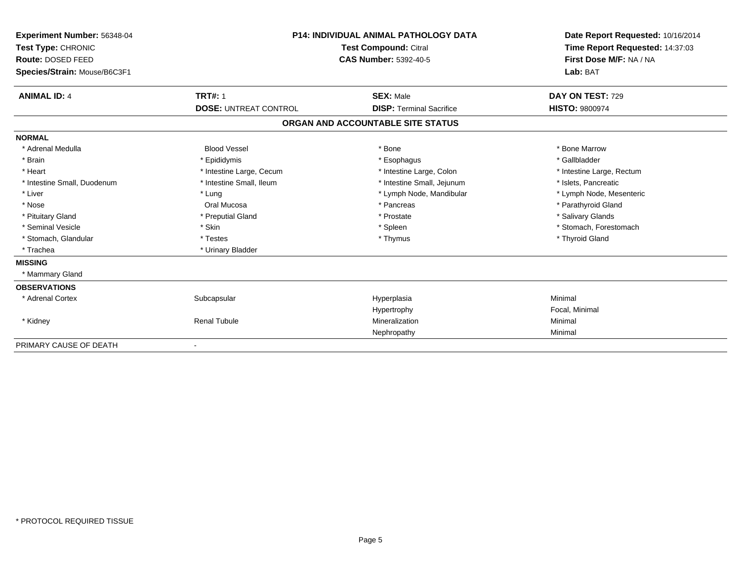| Experiment Number: 56348-04<br>Test Type: CHRONIC<br>Route: DOSED FEED<br>Species/Strain: Mouse/B6C3F1 |                              | <b>P14: INDIVIDUAL ANIMAL PATHOLOGY DATA</b><br><b>Test Compound: Citral</b><br><b>CAS Number: 5392-40-5</b> | Date Report Requested: 10/16/2014<br>Time Report Requested: 14:37:03<br>First Dose M/F: NA / NA<br>Lab: BAT |
|--------------------------------------------------------------------------------------------------------|------------------------------|--------------------------------------------------------------------------------------------------------------|-------------------------------------------------------------------------------------------------------------|
| <b>ANIMAL ID: 4</b>                                                                                    | <b>TRT#: 1</b>               | <b>SEX: Male</b>                                                                                             | DAY ON TEST: 729                                                                                            |
|                                                                                                        | <b>DOSE: UNTREAT CONTROL</b> | <b>DISP: Terminal Sacrifice</b>                                                                              | <b>HISTO: 9800974</b>                                                                                       |
|                                                                                                        |                              | ORGAN AND ACCOUNTABLE SITE STATUS                                                                            |                                                                                                             |
| <b>NORMAL</b>                                                                                          |                              |                                                                                                              |                                                                                                             |
| * Adrenal Medulla                                                                                      | <b>Blood Vessel</b>          | * Bone                                                                                                       | * Bone Marrow                                                                                               |
| * Brain                                                                                                | * Epididymis                 | * Esophagus                                                                                                  | * Gallbladder                                                                                               |
| * Heart                                                                                                | * Intestine Large, Cecum     | * Intestine Large, Colon                                                                                     | * Intestine Large, Rectum                                                                                   |
| * Intestine Small, Duodenum                                                                            | * Intestine Small, Ileum     | * Intestine Small, Jejunum                                                                                   | * Islets, Pancreatic                                                                                        |
| * Liver                                                                                                | * Lung                       | * Lymph Node, Mandibular                                                                                     | * Lymph Node, Mesenteric                                                                                    |
| * Nose                                                                                                 | Oral Mucosa                  | * Pancreas                                                                                                   | * Parathyroid Gland                                                                                         |
| * Pituitary Gland                                                                                      | * Preputial Gland            | * Prostate                                                                                                   | * Salivary Glands                                                                                           |
| * Seminal Vesicle                                                                                      | * Skin                       | * Spleen                                                                                                     | * Stomach, Forestomach                                                                                      |
| * Stomach, Glandular                                                                                   | * Testes                     | * Thymus                                                                                                     | * Thyroid Gland                                                                                             |
| * Trachea                                                                                              | * Urinary Bladder            |                                                                                                              |                                                                                                             |
| <b>MISSING</b>                                                                                         |                              |                                                                                                              |                                                                                                             |
| * Mammary Gland                                                                                        |                              |                                                                                                              |                                                                                                             |
| <b>OBSERVATIONS</b>                                                                                    |                              |                                                                                                              |                                                                                                             |
| * Adrenal Cortex                                                                                       | Subcapsular                  | Hyperplasia                                                                                                  | Minimal                                                                                                     |
|                                                                                                        |                              | Hypertrophy                                                                                                  | Focal, Minimal                                                                                              |
| * Kidney                                                                                               | <b>Renal Tubule</b>          | Mineralization                                                                                               | Minimal                                                                                                     |
|                                                                                                        |                              | Nephropathy                                                                                                  | Minimal                                                                                                     |
| PRIMARY CAUSE OF DEATH                                                                                 |                              |                                                                                                              |                                                                                                             |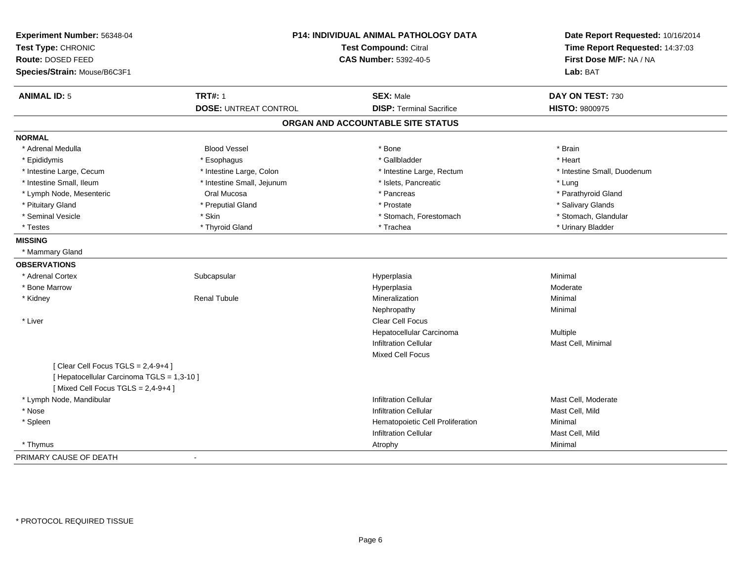| Experiment Number: 56348-04<br>Test Type: CHRONIC<br>Route: DOSED FEED<br>Species/Strain: Mouse/B6C3F1                     | <b>P14: INDIVIDUAL ANIMAL PATHOLOGY DATA</b><br>Test Compound: Citral<br><b>CAS Number: 5392-40-5</b> |                                   | Date Report Requested: 10/16/2014<br>Time Report Requested: 14:37:03<br>First Dose M/F: NA / NA<br>Lab: BAT |  |
|----------------------------------------------------------------------------------------------------------------------------|-------------------------------------------------------------------------------------------------------|-----------------------------------|-------------------------------------------------------------------------------------------------------------|--|
| <b>ANIMAL ID: 5</b>                                                                                                        | <b>TRT#: 1</b>                                                                                        | <b>SEX: Male</b>                  | DAY ON TEST: 730                                                                                            |  |
|                                                                                                                            | <b>DOSE: UNTREAT CONTROL</b>                                                                          | <b>DISP:</b> Terminal Sacrifice   | HISTO: 9800975                                                                                              |  |
|                                                                                                                            |                                                                                                       | ORGAN AND ACCOUNTABLE SITE STATUS |                                                                                                             |  |
| <b>NORMAL</b>                                                                                                              |                                                                                                       |                                   |                                                                                                             |  |
| * Adrenal Medulla                                                                                                          | <b>Blood Vessel</b>                                                                                   | * Bone                            | * Brain                                                                                                     |  |
| * Epididymis                                                                                                               | * Esophagus                                                                                           | * Gallbladder                     | * Heart                                                                                                     |  |
| * Intestine Large, Cecum                                                                                                   | * Intestine Large, Colon                                                                              | * Intestine Large, Rectum         | * Intestine Small, Duodenum                                                                                 |  |
| * Intestine Small, Ileum                                                                                                   | * Intestine Small, Jejunum                                                                            | * Islets, Pancreatic              | * Lung                                                                                                      |  |
| * Lymph Node, Mesenteric                                                                                                   | Oral Mucosa                                                                                           | * Pancreas                        | * Parathyroid Gland                                                                                         |  |
| * Pituitary Gland                                                                                                          | * Preputial Gland                                                                                     | * Prostate                        | * Salivary Glands                                                                                           |  |
| * Seminal Vesicle                                                                                                          | * Skin                                                                                                | * Stomach, Forestomach            | * Stomach, Glandular                                                                                        |  |
| * Testes                                                                                                                   | * Thyroid Gland                                                                                       | * Trachea                         | * Urinary Bladder                                                                                           |  |
| <b>MISSING</b>                                                                                                             |                                                                                                       |                                   |                                                                                                             |  |
| * Mammary Gland                                                                                                            |                                                                                                       |                                   |                                                                                                             |  |
| <b>OBSERVATIONS</b>                                                                                                        |                                                                                                       |                                   |                                                                                                             |  |
| * Adrenal Cortex                                                                                                           | Subcapsular                                                                                           | Hyperplasia                       | Minimal                                                                                                     |  |
| * Bone Marrow                                                                                                              |                                                                                                       | Hyperplasia                       | Moderate                                                                                                    |  |
| * Kidney                                                                                                                   | <b>Renal Tubule</b>                                                                                   | Mineralization                    | Minimal                                                                                                     |  |
|                                                                                                                            |                                                                                                       | Nephropathy                       | Minimal                                                                                                     |  |
| * Liver                                                                                                                    |                                                                                                       | Clear Cell Focus                  |                                                                                                             |  |
|                                                                                                                            |                                                                                                       | Hepatocellular Carcinoma          | Multiple                                                                                                    |  |
|                                                                                                                            |                                                                                                       | <b>Infiltration Cellular</b>      | Mast Cell, Minimal                                                                                          |  |
|                                                                                                                            |                                                                                                       | <b>Mixed Cell Focus</b>           |                                                                                                             |  |
| [Clear Cell Focus TGLS = $2,4-9+4$ ]<br>[ Hepatocellular Carcinoma TGLS = 1,3-10 ]<br>[Mixed Cell Focus TGLS = $2,4-9+4$ ] |                                                                                                       |                                   |                                                                                                             |  |
| * Lymph Node, Mandibular                                                                                                   |                                                                                                       | <b>Infiltration Cellular</b>      | Mast Cell, Moderate                                                                                         |  |
| * Nose                                                                                                                     |                                                                                                       | <b>Infiltration Cellular</b>      | Mast Cell, Mild                                                                                             |  |
| * Spleen                                                                                                                   |                                                                                                       | Hematopoietic Cell Proliferation  | Minimal                                                                                                     |  |
|                                                                                                                            |                                                                                                       | <b>Infiltration Cellular</b>      | Mast Cell, Mild                                                                                             |  |
| * Thymus                                                                                                                   |                                                                                                       | Atrophy                           | Minimal                                                                                                     |  |
| PRIMARY CAUSE OF DEATH                                                                                                     |                                                                                                       |                                   |                                                                                                             |  |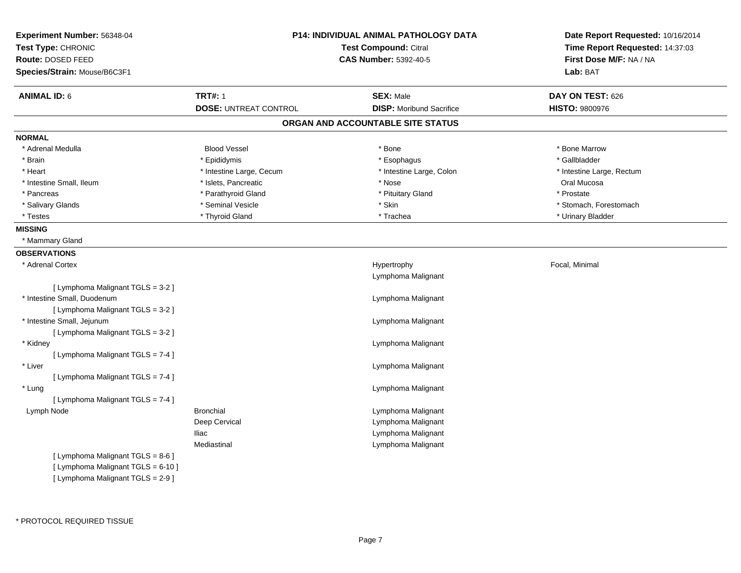| Experiment Number: 56348-04<br>Test Type: CHRONIC<br>Route: DOSED FEED                                       |                                                | <b>P14: INDIVIDUAL ANIMAL PATHOLOGY DATA</b><br>Test Compound: Citral<br><b>CAS Number: 5392-40-5</b> | Date Report Requested: 10/16/2014<br>Time Report Requested: 14:37:03<br>First Dose M/F: NA / NA |  |
|--------------------------------------------------------------------------------------------------------------|------------------------------------------------|-------------------------------------------------------------------------------------------------------|-------------------------------------------------------------------------------------------------|--|
| Species/Strain: Mouse/B6C3F1                                                                                 |                                                |                                                                                                       | Lab: BAT                                                                                        |  |
| <b>ANIMAL ID: 6</b>                                                                                          | <b>TRT#: 1</b><br><b>DOSE: UNTREAT CONTROL</b> | <b>SEX: Male</b><br><b>DISP:</b> Moribund Sacrifice                                                   | DAY ON TEST: 626<br><b>HISTO: 9800976</b>                                                       |  |
|                                                                                                              |                                                | ORGAN AND ACCOUNTABLE SITE STATUS                                                                     |                                                                                                 |  |
| <b>NORMAL</b>                                                                                                |                                                |                                                                                                       |                                                                                                 |  |
| * Adrenal Medulla                                                                                            | <b>Blood Vessel</b>                            | * Bone                                                                                                | * Bone Marrow                                                                                   |  |
| * Brain                                                                                                      | * Epididymis                                   | * Esophagus                                                                                           | * Gallbladder                                                                                   |  |
| * Heart                                                                                                      | * Intestine Large, Cecum                       | * Intestine Large, Colon                                                                              | * Intestine Large, Rectum                                                                       |  |
| * Intestine Small, Ileum                                                                                     | * Islets, Pancreatic                           | * Nose                                                                                                | Oral Mucosa                                                                                     |  |
| * Pancreas                                                                                                   | * Parathyroid Gland                            | * Pituitary Gland                                                                                     | * Prostate                                                                                      |  |
| * Salivary Glands                                                                                            | * Seminal Vesicle                              | * Skin                                                                                                | * Stomach, Forestomach                                                                          |  |
| * Testes                                                                                                     | * Thyroid Gland                                | * Trachea                                                                                             | * Urinary Bladder                                                                               |  |
| <b>MISSING</b>                                                                                               |                                                |                                                                                                       |                                                                                                 |  |
| * Mammary Gland                                                                                              |                                                |                                                                                                       |                                                                                                 |  |
| <b>OBSERVATIONS</b>                                                                                          |                                                |                                                                                                       |                                                                                                 |  |
| * Adrenal Cortex                                                                                             |                                                | Hypertrophy<br>Lymphoma Malignant                                                                     | Focal, Minimal                                                                                  |  |
| [ Lymphoma Malignant TGLS = 3-2 ]                                                                            |                                                |                                                                                                       |                                                                                                 |  |
| * Intestine Small, Duodenum                                                                                  |                                                | Lymphoma Malignant                                                                                    |                                                                                                 |  |
| [ Lymphoma Malignant TGLS = 3-2 ]                                                                            |                                                |                                                                                                       |                                                                                                 |  |
| * Intestine Small, Jejunum                                                                                   |                                                | Lymphoma Malignant                                                                                    |                                                                                                 |  |
| [ Lymphoma Malignant TGLS = 3-2 ]                                                                            |                                                |                                                                                                       |                                                                                                 |  |
| * Kidney                                                                                                     |                                                | Lymphoma Malignant                                                                                    |                                                                                                 |  |
| [ Lymphoma Malignant TGLS = 7-4 ]                                                                            |                                                |                                                                                                       |                                                                                                 |  |
| * Liver                                                                                                      |                                                | Lymphoma Malignant                                                                                    |                                                                                                 |  |
| [ Lymphoma Malignant TGLS = 7-4 ]                                                                            |                                                |                                                                                                       |                                                                                                 |  |
| * Lung                                                                                                       |                                                | Lymphoma Malignant                                                                                    |                                                                                                 |  |
| [ Lymphoma Malignant TGLS = 7-4 ]                                                                            |                                                |                                                                                                       |                                                                                                 |  |
| Lymph Node                                                                                                   | <b>Bronchial</b>                               | Lymphoma Malignant                                                                                    |                                                                                                 |  |
|                                                                                                              | Deep Cervical                                  | Lymphoma Malignant                                                                                    |                                                                                                 |  |
|                                                                                                              | <b>Iliac</b>                                   | Lymphoma Malignant                                                                                    |                                                                                                 |  |
|                                                                                                              | Mediastinal                                    | Lymphoma Malignant                                                                                    |                                                                                                 |  |
| [ Lymphoma Malignant TGLS = 8-6 ]<br>[ Lymphoma Malignant TGLS = 6-10 ]<br>[ Lymphoma Malignant TGLS = 2-9 ] |                                                |                                                                                                       |                                                                                                 |  |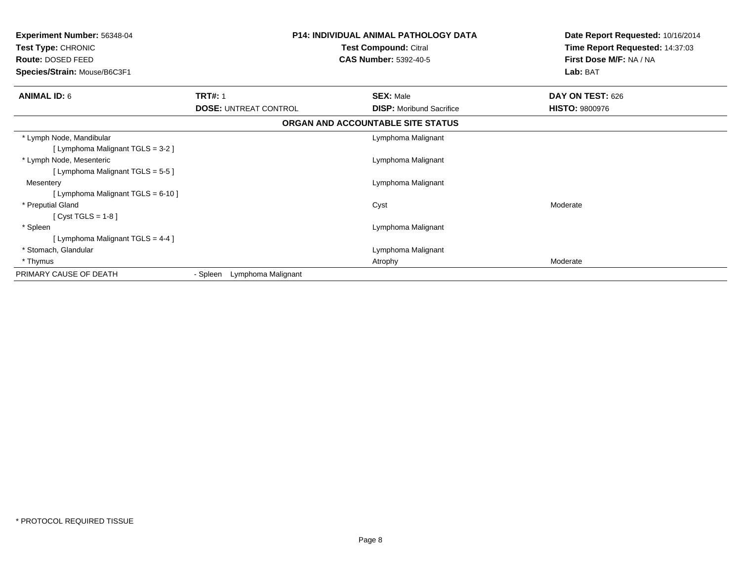| <b>Experiment Number: 56348-04</b><br>Test Type: CHRONIC<br>Route: DOSED FEED<br>Species/Strain: Mouse/B6C3F1 |                                | <b>P14: INDIVIDUAL ANIMAL PATHOLOGY DATA</b><br>Test Compound: Citral<br><b>CAS Number: 5392-40-5</b> | Date Report Requested: 10/16/2014<br>Time Report Requested: 14:37:03<br>First Dose M/F: NA / NA<br>Lab: BAT |
|---------------------------------------------------------------------------------------------------------------|--------------------------------|-------------------------------------------------------------------------------------------------------|-------------------------------------------------------------------------------------------------------------|
| <b>ANIMAL ID: 6</b>                                                                                           | <b>TRT#: 1</b>                 | <b>SEX: Male</b>                                                                                      | DAY ON TEST: 626                                                                                            |
|                                                                                                               | <b>DOSE: UNTREAT CONTROL</b>   | <b>DISP:</b> Moribund Sacrifice                                                                       | <b>HISTO: 9800976</b>                                                                                       |
|                                                                                                               |                                | ORGAN AND ACCOUNTABLE SITE STATUS                                                                     |                                                                                                             |
| * Lymph Node, Mandibular                                                                                      |                                | Lymphoma Malignant                                                                                    |                                                                                                             |
| [ Lymphoma Malignant TGLS = 3-2 ]                                                                             |                                |                                                                                                       |                                                                                                             |
| * Lymph Node, Mesenteric                                                                                      |                                | Lymphoma Malignant                                                                                    |                                                                                                             |
| [ Lymphoma Malignant TGLS = 5-5 ]                                                                             |                                |                                                                                                       |                                                                                                             |
| Mesentery                                                                                                     |                                | Lymphoma Malignant                                                                                    |                                                                                                             |
| [ Lymphoma Malignant TGLS = 6-10 ]                                                                            |                                |                                                                                                       |                                                                                                             |
| * Preputial Gland                                                                                             |                                | Cyst                                                                                                  | Moderate                                                                                                    |
| [Cyst TGLS = $1-8$ ]                                                                                          |                                |                                                                                                       |                                                                                                             |
| * Spleen                                                                                                      |                                | Lymphoma Malignant                                                                                    |                                                                                                             |
| [ Lymphoma Malignant TGLS = 4-4 ]                                                                             |                                |                                                                                                       |                                                                                                             |
| * Stomach, Glandular                                                                                          |                                | Lymphoma Malignant                                                                                    |                                                                                                             |
| * Thymus                                                                                                      |                                | Atrophy                                                                                               | Moderate                                                                                                    |
| PRIMARY CAUSE OF DEATH                                                                                        | Lymphoma Malignant<br>- Spleen |                                                                                                       |                                                                                                             |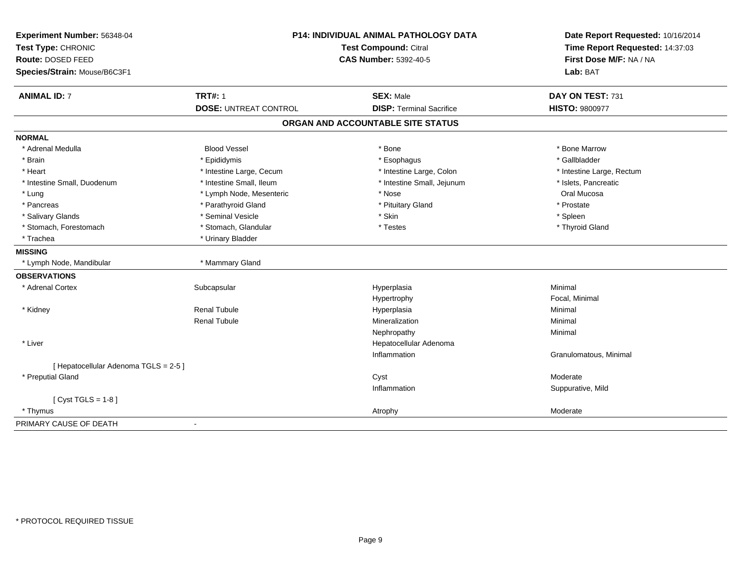| Experiment Number: 56348-04<br>Test Type: CHRONIC | P14: INDIVIDUAL ANIMAL PATHOLOGY DATA<br><b>Test Compound: Citral</b><br><b>CAS Number: 5392-40-5</b> |                                   | Date Report Requested: 10/16/2014<br>Time Report Requested: 14:37:03 |
|---------------------------------------------------|-------------------------------------------------------------------------------------------------------|-----------------------------------|----------------------------------------------------------------------|
| Route: DOSED FEED                                 |                                                                                                       |                                   | First Dose M/F: NA / NA                                              |
| Species/Strain: Mouse/B6C3F1                      |                                                                                                       |                                   | Lab: BAT                                                             |
| <b>ANIMAL ID: 7</b>                               | <b>TRT#: 1</b>                                                                                        | <b>SEX: Male</b>                  | DAY ON TEST: 731                                                     |
|                                                   | <b>DOSE: UNTREAT CONTROL</b>                                                                          | <b>DISP: Terminal Sacrifice</b>   | <b>HISTO: 9800977</b>                                                |
|                                                   |                                                                                                       | ORGAN AND ACCOUNTABLE SITE STATUS |                                                                      |
| <b>NORMAL</b>                                     |                                                                                                       |                                   |                                                                      |
| * Adrenal Medulla                                 | <b>Blood Vessel</b>                                                                                   | * Bone                            | * Bone Marrow                                                        |
| * Brain                                           | * Epididymis                                                                                          | * Esophagus                       | * Gallbladder                                                        |
| * Heart                                           | * Intestine Large, Cecum                                                                              | * Intestine Large, Colon          | * Intestine Large, Rectum                                            |
| * Intestine Small, Duodenum                       | * Intestine Small, Ileum                                                                              | * Intestine Small, Jejunum        | * Islets, Pancreatic                                                 |
| * Lung                                            | * Lymph Node, Mesenteric                                                                              | * Nose                            | Oral Mucosa                                                          |
| * Pancreas                                        | * Parathyroid Gland                                                                                   | * Pituitary Gland                 | * Prostate                                                           |
| * Salivary Glands                                 | * Seminal Vesicle                                                                                     | * Skin                            | * Spleen                                                             |
| * Stomach, Forestomach                            | * Stomach, Glandular                                                                                  | * Testes                          | * Thyroid Gland                                                      |
| * Trachea                                         | * Urinary Bladder                                                                                     |                                   |                                                                      |
| <b>MISSING</b>                                    |                                                                                                       |                                   |                                                                      |
| * Lymph Node, Mandibular                          | * Mammary Gland                                                                                       |                                   |                                                                      |
| <b>OBSERVATIONS</b>                               |                                                                                                       |                                   |                                                                      |
| * Adrenal Cortex                                  | Subcapsular                                                                                           | Hyperplasia                       | Minimal                                                              |
|                                                   |                                                                                                       | Hypertrophy                       | Focal, Minimal                                                       |
| * Kidney                                          | Renal Tubule                                                                                          | Hyperplasia                       | Minimal                                                              |
|                                                   | <b>Renal Tubule</b>                                                                                   | Mineralization                    | Minimal                                                              |
|                                                   |                                                                                                       | Nephropathy                       | Minimal                                                              |
| * Liver                                           |                                                                                                       | Hepatocellular Adenoma            |                                                                      |
|                                                   |                                                                                                       | Inflammation                      | Granulomatous, Minimal                                               |
| [ Hepatocellular Adenoma TGLS = 2-5 ]             |                                                                                                       |                                   |                                                                      |
| * Preputial Gland                                 |                                                                                                       | Cyst                              | Moderate                                                             |
|                                                   |                                                                                                       | Inflammation                      | Suppurative, Mild                                                    |
| [ $Cyst TGLS = 1-8$ ]                             |                                                                                                       |                                   |                                                                      |
| * Thymus                                          |                                                                                                       | Atrophy                           | Moderate                                                             |
| PRIMARY CAUSE OF DEATH                            | ä,                                                                                                    |                                   |                                                                      |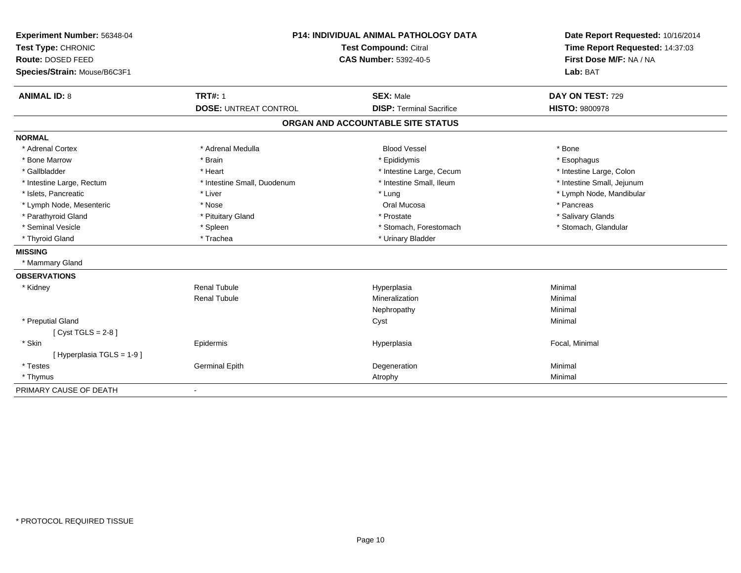| Experiment Number: 56348-04  | <b>P14: INDIVIDUAL ANIMAL PATHOLOGY DATA</b><br><b>Test Compound: Citral</b> |                                   | Date Report Requested: 10/16/2014<br>Time Report Requested: 14:37:03 |
|------------------------------|------------------------------------------------------------------------------|-----------------------------------|----------------------------------------------------------------------|
| Test Type: CHRONIC           |                                                                              |                                   |                                                                      |
| <b>Route: DOSED FEED</b>     |                                                                              | <b>CAS Number: 5392-40-5</b>      | First Dose M/F: NA / NA                                              |
| Species/Strain: Mouse/B6C3F1 |                                                                              |                                   | Lab: BAT                                                             |
| <b>ANIMAL ID: 8</b>          | <b>TRT#: 1</b>                                                               | <b>SEX: Male</b>                  | DAY ON TEST: 729                                                     |
|                              | <b>DOSE: UNTREAT CONTROL</b>                                                 | <b>DISP: Terminal Sacrifice</b>   | <b>HISTO: 9800978</b>                                                |
|                              |                                                                              | ORGAN AND ACCOUNTABLE SITE STATUS |                                                                      |
| <b>NORMAL</b>                |                                                                              |                                   |                                                                      |
| * Adrenal Cortex             | * Adrenal Medulla                                                            | <b>Blood Vessel</b>               | * Bone                                                               |
| * Bone Marrow                | * Brain                                                                      | * Epididymis                      | * Esophagus                                                          |
| * Gallbladder                | * Heart                                                                      | * Intestine Large, Cecum          | * Intestine Large, Colon                                             |
| * Intestine Large, Rectum    | * Intestine Small, Duodenum                                                  | * Intestine Small, Ileum          | * Intestine Small, Jejunum                                           |
| * Islets, Pancreatic         | * Liver                                                                      | * Lung                            | * Lymph Node, Mandibular                                             |
| * Lymph Node, Mesenteric     | * Nose                                                                       | Oral Mucosa                       | * Pancreas                                                           |
| * Parathyroid Gland          | * Pituitary Gland                                                            | * Prostate                        | * Salivary Glands                                                    |
| * Seminal Vesicle            | * Spleen                                                                     | * Stomach, Forestomach            | * Stomach, Glandular                                                 |
| * Thyroid Gland              | * Trachea                                                                    | * Urinary Bladder                 |                                                                      |
| <b>MISSING</b>               |                                                                              |                                   |                                                                      |
| * Mammary Gland              |                                                                              |                                   |                                                                      |
| <b>OBSERVATIONS</b>          |                                                                              |                                   |                                                                      |
| * Kidney                     | <b>Renal Tubule</b>                                                          | Hyperplasia                       | Minimal                                                              |
|                              | <b>Renal Tubule</b>                                                          | Mineralization                    | Minimal                                                              |
|                              |                                                                              | Nephropathy                       | Minimal                                                              |
| * Preputial Gland            |                                                                              | Cyst                              | Minimal                                                              |
| [Cyst TGLS = $2-8$ ]         |                                                                              |                                   |                                                                      |
| * Skin                       | Epidermis                                                                    | Hyperplasia                       | Focal, Minimal                                                       |
| [Hyperplasia TGLS = 1-9]     |                                                                              |                                   |                                                                      |
| * Testes                     | <b>Germinal Epith</b>                                                        | Degeneration                      | Minimal                                                              |
| * Thymus                     |                                                                              | Atrophy                           | Minimal                                                              |
| PRIMARY CAUSE OF DEATH       | $\blacksquare$                                                               |                                   |                                                                      |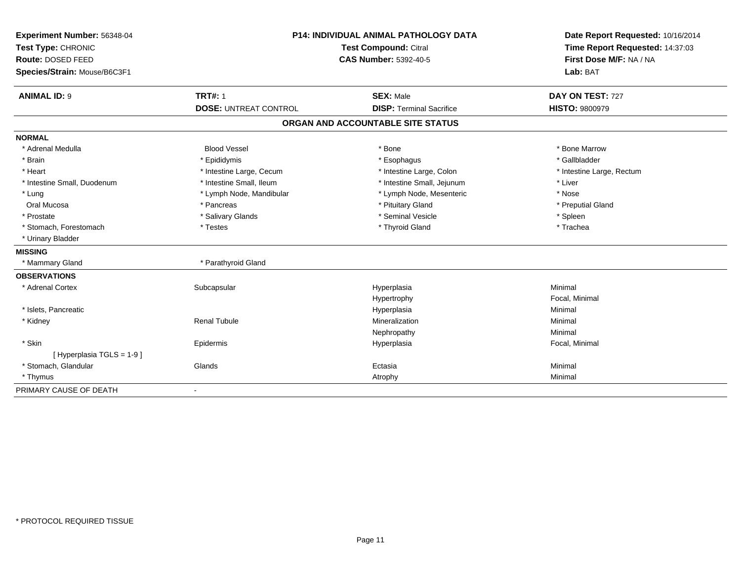| Experiment Number: 56348-04  | <b>P14: INDIVIDUAL ANIMAL PATHOLOGY DATA</b><br><b>Test Compound: Citral</b><br><b>CAS Number: 5392-40-5</b> |                                   |                                                            | Date Report Requested: 10/16/2014 |
|------------------------------|--------------------------------------------------------------------------------------------------------------|-----------------------------------|------------------------------------------------------------|-----------------------------------|
| Test Type: CHRONIC           |                                                                                                              |                                   | Time Report Requested: 14:37:03<br>First Dose M/F: NA / NA |                                   |
| Route: DOSED FEED            |                                                                                                              |                                   |                                                            |                                   |
| Species/Strain: Mouse/B6C3F1 |                                                                                                              |                                   | Lab: BAT                                                   |                                   |
| <b>ANIMAL ID: 9</b>          | <b>TRT#: 1</b>                                                                                               | <b>SEX: Male</b>                  | DAY ON TEST: 727                                           |                                   |
|                              | <b>DOSE: UNTREAT CONTROL</b>                                                                                 | <b>DISP: Terminal Sacrifice</b>   | <b>HISTO: 9800979</b>                                      |                                   |
|                              |                                                                                                              | ORGAN AND ACCOUNTABLE SITE STATUS |                                                            |                                   |
| <b>NORMAL</b>                |                                                                                                              |                                   |                                                            |                                   |
| * Adrenal Medulla            | <b>Blood Vessel</b>                                                                                          | * Bone                            | * Bone Marrow                                              |                                   |
| * Brain                      | * Epididymis                                                                                                 | * Esophagus                       | * Gallbladder                                              |                                   |
| * Heart                      | * Intestine Large, Cecum                                                                                     | * Intestine Large, Colon          | * Intestine Large, Rectum                                  |                                   |
| * Intestine Small, Duodenum  | * Intestine Small, Ileum                                                                                     | * Intestine Small, Jejunum        | * Liver                                                    |                                   |
| * Lung                       | * Lymph Node, Mandibular                                                                                     | * Lymph Node, Mesenteric          | * Nose                                                     |                                   |
| Oral Mucosa                  | * Pancreas                                                                                                   | * Pituitary Gland                 | * Preputial Gland                                          |                                   |
| * Prostate                   | * Salivary Glands                                                                                            | * Seminal Vesicle                 | * Spleen                                                   |                                   |
| * Stomach, Forestomach       | * Testes                                                                                                     | * Thyroid Gland                   | * Trachea                                                  |                                   |
| * Urinary Bladder            |                                                                                                              |                                   |                                                            |                                   |
| <b>MISSING</b>               |                                                                                                              |                                   |                                                            |                                   |
| * Mammary Gland              | * Parathyroid Gland                                                                                          |                                   |                                                            |                                   |
| <b>OBSERVATIONS</b>          |                                                                                                              |                                   |                                                            |                                   |
| * Adrenal Cortex             | Subcapsular                                                                                                  | Hyperplasia                       | Minimal                                                    |                                   |
|                              |                                                                                                              | Hypertrophy                       | Focal, Minimal                                             |                                   |
| * Islets, Pancreatic         |                                                                                                              | Hyperplasia                       | Minimal                                                    |                                   |
| * Kidney                     | <b>Renal Tubule</b>                                                                                          | Mineralization                    | Minimal                                                    |                                   |
|                              |                                                                                                              | Nephropathy                       | Minimal                                                    |                                   |
| * Skin                       | Epidermis                                                                                                    | Hyperplasia                       | Focal, Minimal                                             |                                   |
| [ Hyperplasia TGLS = 1-9 ]   |                                                                                                              |                                   |                                                            |                                   |
| * Stomach, Glandular         | Glands                                                                                                       | Ectasia                           | Minimal                                                    |                                   |
| * Thymus                     |                                                                                                              | Atrophy                           | Minimal                                                    |                                   |
| PRIMARY CAUSE OF DEATH       | $\blacksquare$                                                                                               |                                   |                                                            |                                   |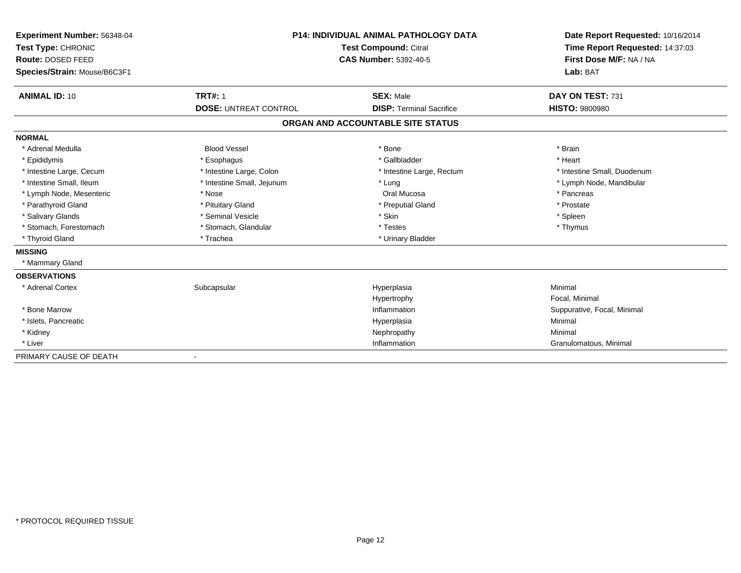| <b>Experiment Number: 56348-04</b><br>Test Type: CHRONIC<br>Route: DOSED FEED<br>Species/Strain: Mouse/B6C3F1 | <b>P14: INDIVIDUAL ANIMAL PATHOLOGY DATA</b><br><b>Test Compound: Citral</b><br><b>CAS Number: 5392-40-5</b> |                                   | Date Report Requested: 10/16/2014<br>Time Report Requested: 14:37:03<br>First Dose M/F: NA / NA<br>Lab: BAT |  |
|---------------------------------------------------------------------------------------------------------------|--------------------------------------------------------------------------------------------------------------|-----------------------------------|-------------------------------------------------------------------------------------------------------------|--|
| <b>ANIMAL ID: 10</b>                                                                                          | <b>TRT#: 1</b>                                                                                               | <b>SEX: Male</b>                  | DAY ON TEST: 731                                                                                            |  |
|                                                                                                               | <b>DOSE: UNTREAT CONTROL</b>                                                                                 | <b>DISP: Terminal Sacrifice</b>   | <b>HISTO: 9800980</b>                                                                                       |  |
|                                                                                                               |                                                                                                              | ORGAN AND ACCOUNTABLE SITE STATUS |                                                                                                             |  |
| <b>NORMAL</b>                                                                                                 |                                                                                                              |                                   |                                                                                                             |  |
| * Adrenal Medulla                                                                                             | <b>Blood Vessel</b>                                                                                          | * Bone                            | * Brain                                                                                                     |  |
| * Epididymis                                                                                                  | * Esophagus                                                                                                  | * Gallbladder                     | * Heart                                                                                                     |  |
| * Intestine Large, Cecum                                                                                      | * Intestine Large, Colon                                                                                     | * Intestine Large, Rectum         | * Intestine Small, Duodenum                                                                                 |  |
| * Intestine Small. Ileum                                                                                      | * Intestine Small, Jejunum                                                                                   | * Lung                            | * Lymph Node, Mandibular                                                                                    |  |
| * Lymph Node, Mesenteric                                                                                      | * Nose                                                                                                       | Oral Mucosa                       | * Pancreas                                                                                                  |  |
| * Parathyroid Gland                                                                                           | * Pituitary Gland                                                                                            | * Preputial Gland                 | * Prostate                                                                                                  |  |
| * Salivary Glands                                                                                             | * Seminal Vesicle                                                                                            | * Skin                            | * Spleen                                                                                                    |  |
| * Stomach, Forestomach                                                                                        | * Stomach, Glandular                                                                                         | * Testes                          | * Thymus                                                                                                    |  |
| * Thyroid Gland                                                                                               | * Trachea                                                                                                    | * Urinary Bladder                 |                                                                                                             |  |
| <b>MISSING</b>                                                                                                |                                                                                                              |                                   |                                                                                                             |  |
| * Mammary Gland                                                                                               |                                                                                                              |                                   |                                                                                                             |  |
| <b>OBSERVATIONS</b>                                                                                           |                                                                                                              |                                   |                                                                                                             |  |
| * Adrenal Cortex                                                                                              | Subcapsular                                                                                                  | Hyperplasia                       | Minimal                                                                                                     |  |
|                                                                                                               |                                                                                                              | Hypertrophy                       | Focal, Minimal                                                                                              |  |
| * Bone Marrow                                                                                                 |                                                                                                              | Inflammation                      | Suppurative, Focal, Minimal                                                                                 |  |
| * Islets, Pancreatic                                                                                          |                                                                                                              | Hyperplasia                       | Minimal                                                                                                     |  |
| * Kidney                                                                                                      |                                                                                                              | Nephropathy                       | Minimal                                                                                                     |  |
| * Liver                                                                                                       |                                                                                                              | Inflammation                      | Granulomatous, Minimal                                                                                      |  |
| PRIMARY CAUSE OF DEATH                                                                                        |                                                                                                              |                                   |                                                                                                             |  |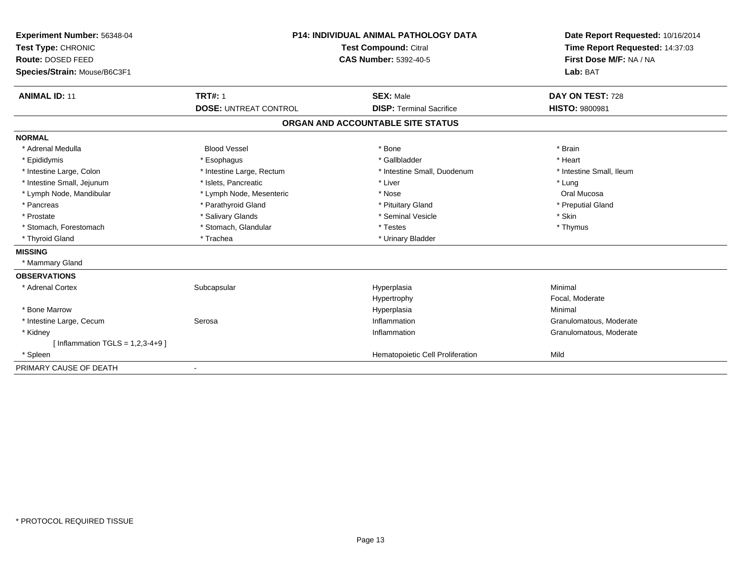| Experiment Number: 56348-04        | <b>P14: INDIVIDUAL ANIMAL PATHOLOGY DATA</b><br><b>Test Compound: Citral</b><br><b>CAS Number: 5392-40-5</b> |                                   | Date Report Requested: 10/16/2014                          |
|------------------------------------|--------------------------------------------------------------------------------------------------------------|-----------------------------------|------------------------------------------------------------|
| Test Type: CHRONIC                 |                                                                                                              |                                   | Time Report Requested: 14:37:03<br>First Dose M/F: NA / NA |
| <b>Route: DOSED FEED</b>           |                                                                                                              |                                   |                                                            |
| Species/Strain: Mouse/B6C3F1       |                                                                                                              |                                   | Lab: BAT                                                   |
| <b>ANIMAL ID: 11</b>               | <b>TRT#: 1</b>                                                                                               | <b>SEX: Male</b>                  | DAY ON TEST: 728                                           |
|                                    | <b>DOSE: UNTREAT CONTROL</b>                                                                                 | <b>DISP: Terminal Sacrifice</b>   | <b>HISTO: 9800981</b>                                      |
|                                    |                                                                                                              | ORGAN AND ACCOUNTABLE SITE STATUS |                                                            |
| <b>NORMAL</b>                      |                                                                                                              |                                   |                                                            |
| * Adrenal Medulla                  | <b>Blood Vessel</b>                                                                                          | * Bone                            | * Brain                                                    |
| * Epididymis                       | * Esophagus                                                                                                  | * Gallbladder                     | * Heart                                                    |
| * Intestine Large, Colon           | * Intestine Large, Rectum                                                                                    | * Intestine Small, Duodenum       | * Intestine Small. Ileum                                   |
| * Intestine Small, Jejunum         | * Islets, Pancreatic                                                                                         | * Liver                           | * Lung                                                     |
| * Lymph Node, Mandibular           | * Lymph Node, Mesenteric                                                                                     | * Nose                            | Oral Mucosa                                                |
| * Pancreas                         | * Parathyroid Gland                                                                                          | * Pituitary Gland                 | * Preputial Gland                                          |
| * Prostate                         | * Salivary Glands                                                                                            | * Seminal Vesicle                 | * Skin                                                     |
| * Stomach, Forestomach             | * Stomach, Glandular                                                                                         | * Testes                          | * Thymus                                                   |
| * Thyroid Gland                    | * Trachea                                                                                                    | * Urinary Bladder                 |                                                            |
| <b>MISSING</b>                     |                                                                                                              |                                   |                                                            |
| * Mammary Gland                    |                                                                                                              |                                   |                                                            |
| <b>OBSERVATIONS</b>                |                                                                                                              |                                   |                                                            |
| * Adrenal Cortex                   | Subcapsular                                                                                                  | Hyperplasia                       | Minimal                                                    |
|                                    |                                                                                                              | Hypertrophy                       | Focal, Moderate                                            |
| * Bone Marrow                      |                                                                                                              | Hyperplasia                       | Minimal                                                    |
| * Intestine Large, Cecum           | Serosa                                                                                                       | Inflammation                      | Granulomatous, Moderate                                    |
| * Kidney                           |                                                                                                              | Inflammation                      | Granulomatous, Moderate                                    |
| [Inflammation TGLS = $1,2,3-4+9$ ] |                                                                                                              |                                   |                                                            |
| * Spleen                           |                                                                                                              | Hematopoietic Cell Proliferation  | Mild                                                       |
| PRIMARY CAUSE OF DEATH             |                                                                                                              |                                   |                                                            |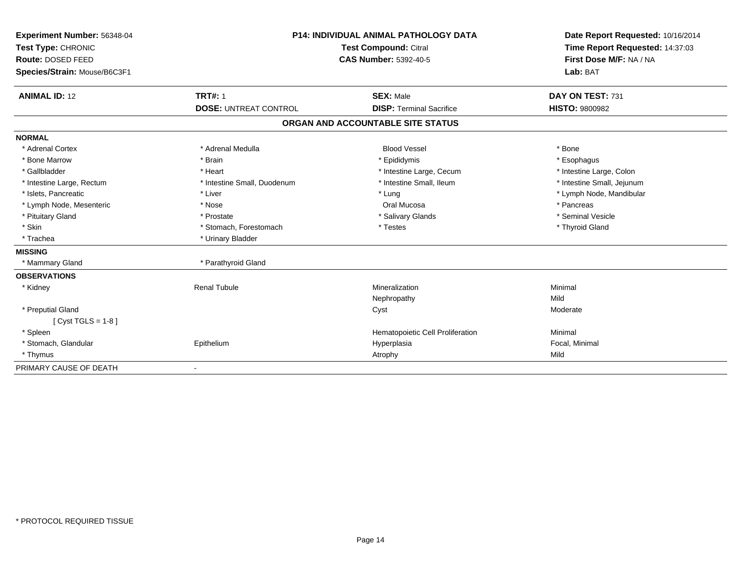| Experiment Number: 56348-04  | <b>P14: INDIVIDUAL ANIMAL PATHOLOGY DATA</b><br>Test Compound: Citral<br><b>CAS Number: 5392-40-5</b> |                                   | Date Report Requested: 10/16/2014                          |  |
|------------------------------|-------------------------------------------------------------------------------------------------------|-----------------------------------|------------------------------------------------------------|--|
| Test Type: CHRONIC           |                                                                                                       |                                   | Time Report Requested: 14:37:03<br>First Dose M/F: NA / NA |  |
| Route: DOSED FEED            |                                                                                                       |                                   |                                                            |  |
| Species/Strain: Mouse/B6C3F1 |                                                                                                       |                                   | Lab: BAT                                                   |  |
| <b>ANIMAL ID: 12</b>         | <b>TRT#: 1</b>                                                                                        | <b>SEX: Male</b>                  | DAY ON TEST: 731                                           |  |
|                              | <b>DOSE: UNTREAT CONTROL</b>                                                                          | <b>DISP: Terminal Sacrifice</b>   | <b>HISTO: 9800982</b>                                      |  |
|                              |                                                                                                       | ORGAN AND ACCOUNTABLE SITE STATUS |                                                            |  |
| <b>NORMAL</b>                |                                                                                                       |                                   |                                                            |  |
| * Adrenal Cortex             | * Adrenal Medulla                                                                                     | <b>Blood Vessel</b>               | * Bone                                                     |  |
| * Bone Marrow                | * Brain                                                                                               | * Epididymis                      | * Esophagus                                                |  |
| * Gallbladder                | * Heart                                                                                               | * Intestine Large, Cecum          | * Intestine Large, Colon                                   |  |
| * Intestine Large, Rectum    | * Intestine Small, Duodenum                                                                           | * Intestine Small, Ileum          | * Intestine Small, Jejunum                                 |  |
| * Islets, Pancreatic         | * Liver                                                                                               | * Lung                            | * Lymph Node, Mandibular                                   |  |
| * Lymph Node, Mesenteric     | * Nose                                                                                                | Oral Mucosa                       | * Pancreas                                                 |  |
| * Pituitary Gland            | * Prostate                                                                                            | * Salivary Glands                 | * Seminal Vesicle                                          |  |
| * Skin                       | * Stomach, Forestomach                                                                                | * Testes                          | * Thyroid Gland                                            |  |
| * Trachea                    | * Urinary Bladder                                                                                     |                                   |                                                            |  |
| <b>MISSING</b>               |                                                                                                       |                                   |                                                            |  |
| * Mammary Gland              | * Parathyroid Gland                                                                                   |                                   |                                                            |  |
| <b>OBSERVATIONS</b>          |                                                                                                       |                                   |                                                            |  |
| * Kidney                     | <b>Renal Tubule</b>                                                                                   | Mineralization                    | Minimal                                                    |  |
|                              |                                                                                                       | Nephropathy                       | Mild                                                       |  |
| * Preputial Gland            |                                                                                                       | Cyst                              | Moderate                                                   |  |
| [ $Cyst TGLS = 1-8$ ]        |                                                                                                       |                                   |                                                            |  |
| * Spleen                     |                                                                                                       | Hematopoietic Cell Proliferation  | Minimal                                                    |  |
| * Stomach, Glandular         | Epithelium                                                                                            | Hyperplasia                       | Focal, Minimal                                             |  |
| * Thymus                     |                                                                                                       | Atrophy                           | Mild                                                       |  |
| PRIMARY CAUSE OF DEATH       |                                                                                                       |                                   |                                                            |  |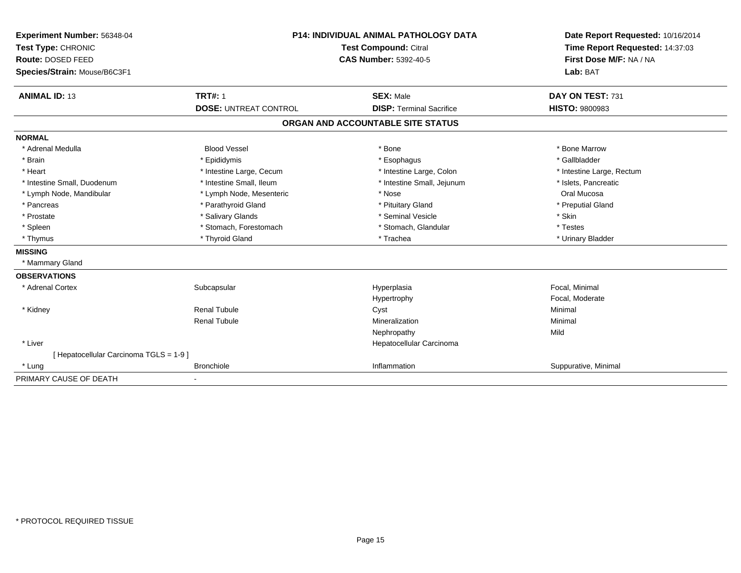| Experiment Number: 56348-04<br>Test Type: CHRONIC | <b>P14: INDIVIDUAL ANIMAL PATHOLOGY DATA</b><br>Test Compound: Citral<br><b>CAS Number: 5392-40-5</b> |                                   | Date Report Requested: 10/16/2014<br>Time Report Requested: 14:37:03 |
|---------------------------------------------------|-------------------------------------------------------------------------------------------------------|-----------------------------------|----------------------------------------------------------------------|
| Route: DOSED FEED                                 |                                                                                                       |                                   | First Dose M/F: NA / NA                                              |
| Species/Strain: Mouse/B6C3F1                      |                                                                                                       |                                   | Lab: BAT                                                             |
|                                                   |                                                                                                       |                                   |                                                                      |
| <b>ANIMAL ID: 13</b>                              | <b>TRT#: 1</b>                                                                                        | <b>SEX: Male</b>                  | DAY ON TEST: 731                                                     |
|                                                   | <b>DOSE: UNTREAT CONTROL</b>                                                                          | <b>DISP: Terminal Sacrifice</b>   | <b>HISTO: 9800983</b>                                                |
|                                                   |                                                                                                       | ORGAN AND ACCOUNTABLE SITE STATUS |                                                                      |
| <b>NORMAL</b>                                     |                                                                                                       |                                   |                                                                      |
| * Adrenal Medulla                                 | <b>Blood Vessel</b>                                                                                   | * Bone                            | * Bone Marrow                                                        |
| * Brain                                           | * Epididymis                                                                                          | * Esophagus                       | * Gallbladder                                                        |
| * Heart                                           | * Intestine Large, Cecum                                                                              | * Intestine Large, Colon          | * Intestine Large, Rectum                                            |
| * Intestine Small, Duodenum                       | * Intestine Small, Ileum                                                                              | * Intestine Small, Jejunum        | * Islets, Pancreatic                                                 |
| * Lymph Node, Mandibular                          | * Lymph Node, Mesenteric                                                                              | * Nose                            | Oral Mucosa                                                          |
| * Pancreas                                        | * Parathyroid Gland                                                                                   | * Pituitary Gland                 | * Preputial Gland                                                    |
| * Prostate                                        | * Salivary Glands                                                                                     | * Seminal Vesicle                 | * Skin                                                               |
| * Spleen                                          | * Stomach, Forestomach                                                                                | * Stomach, Glandular              | * Testes                                                             |
| * Thymus                                          | * Thyroid Gland                                                                                       | * Trachea                         | * Urinary Bladder                                                    |
| <b>MISSING</b>                                    |                                                                                                       |                                   |                                                                      |
| * Mammary Gland                                   |                                                                                                       |                                   |                                                                      |
| <b>OBSERVATIONS</b>                               |                                                                                                       |                                   |                                                                      |
| * Adrenal Cortex                                  | Subcapsular                                                                                           | Hyperplasia                       | Focal, Minimal                                                       |
|                                                   |                                                                                                       | Hypertrophy                       | Focal, Moderate                                                      |
| * Kidney                                          | <b>Renal Tubule</b>                                                                                   | Cyst                              | Minimal                                                              |
|                                                   | <b>Renal Tubule</b>                                                                                   | Mineralization                    | Minimal                                                              |
|                                                   |                                                                                                       | Nephropathy                       | Mild                                                                 |
| * Liver                                           |                                                                                                       | Hepatocellular Carcinoma          |                                                                      |
| [Hepatocellular Carcinoma TGLS = 1-9]             |                                                                                                       |                                   |                                                                      |
| * Lung                                            | <b>Bronchiole</b>                                                                                     | Inflammation                      | Suppurative, Minimal                                                 |
| PRIMARY CAUSE OF DEATH                            |                                                                                                       |                                   |                                                                      |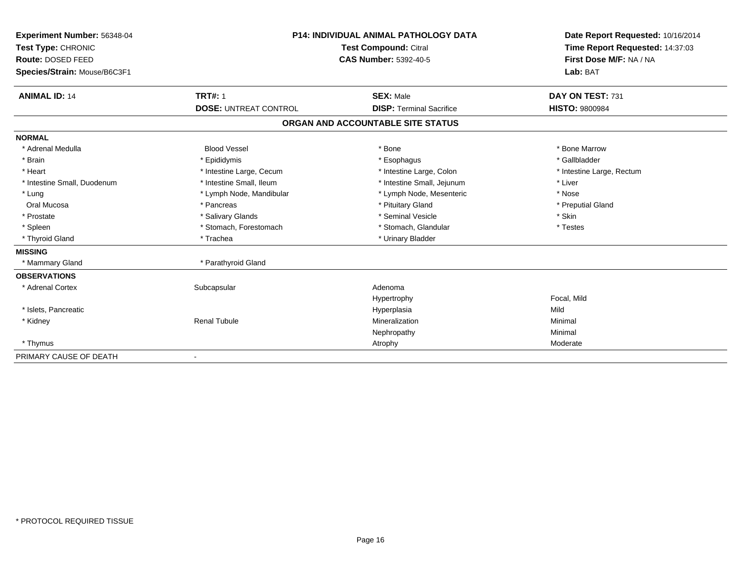| Experiment Number: 56348-04<br>Test Type: CHRONIC<br>Route: DOSED FEED<br>Species/Strain: Mouse/B6C3F1 |                              | <b>P14: INDIVIDUAL ANIMAL PATHOLOGY DATA</b><br><b>Test Compound: Citral</b><br><b>CAS Number: 5392-40-5</b> | Date Report Requested: 10/16/2014<br>Time Report Requested: 14:37:03<br>First Dose M/F: NA / NA<br>Lab: BAT |
|--------------------------------------------------------------------------------------------------------|------------------------------|--------------------------------------------------------------------------------------------------------------|-------------------------------------------------------------------------------------------------------------|
| <b>ANIMAL ID: 14</b>                                                                                   | <b>TRT#: 1</b>               | <b>SEX: Male</b>                                                                                             | DAY ON TEST: 731                                                                                            |
|                                                                                                        | <b>DOSE: UNTREAT CONTROL</b> | <b>DISP: Terminal Sacrifice</b>                                                                              | <b>HISTO: 9800984</b>                                                                                       |
|                                                                                                        |                              | ORGAN AND ACCOUNTABLE SITE STATUS                                                                            |                                                                                                             |
| <b>NORMAL</b>                                                                                          |                              |                                                                                                              |                                                                                                             |
| * Adrenal Medulla                                                                                      | <b>Blood Vessel</b>          | * Bone                                                                                                       | * Bone Marrow                                                                                               |
| * Brain                                                                                                | * Epididymis                 | * Esophagus                                                                                                  | * Gallbladder                                                                                               |
| * Heart                                                                                                | * Intestine Large, Cecum     | * Intestine Large, Colon                                                                                     | * Intestine Large, Rectum                                                                                   |
| * Intestine Small, Duodenum                                                                            | * Intestine Small, Ileum     | * Intestine Small, Jejunum                                                                                   | * Liver                                                                                                     |
| * Lung                                                                                                 | * Lymph Node, Mandibular     | * Lymph Node, Mesenteric                                                                                     | * Nose                                                                                                      |
| Oral Mucosa                                                                                            | * Pancreas                   | * Pituitary Gland                                                                                            | * Preputial Gland                                                                                           |
| * Prostate                                                                                             | * Salivary Glands            | * Seminal Vesicle                                                                                            | * Skin                                                                                                      |
| * Spleen                                                                                               | * Stomach, Forestomach       | * Stomach, Glandular                                                                                         | * Testes                                                                                                    |
| * Thyroid Gland                                                                                        | * Trachea                    | * Urinary Bladder                                                                                            |                                                                                                             |
| <b>MISSING</b>                                                                                         |                              |                                                                                                              |                                                                                                             |
| * Mammary Gland                                                                                        | * Parathyroid Gland          |                                                                                                              |                                                                                                             |
| <b>OBSERVATIONS</b>                                                                                    |                              |                                                                                                              |                                                                                                             |
| * Adrenal Cortex                                                                                       | Subcapsular                  | Adenoma                                                                                                      |                                                                                                             |
|                                                                                                        |                              | Hypertrophy                                                                                                  | Focal, Mild                                                                                                 |
| * Islets, Pancreatic                                                                                   |                              | Hyperplasia                                                                                                  | Mild                                                                                                        |
| * Kidney                                                                                               | <b>Renal Tubule</b>          | Mineralization                                                                                               | Minimal                                                                                                     |
|                                                                                                        |                              | Nephropathy                                                                                                  | Minimal                                                                                                     |
| * Thymus                                                                                               |                              | Atrophy                                                                                                      | Moderate                                                                                                    |
| PRIMARY CAUSE OF DEATH                                                                                 |                              |                                                                                                              |                                                                                                             |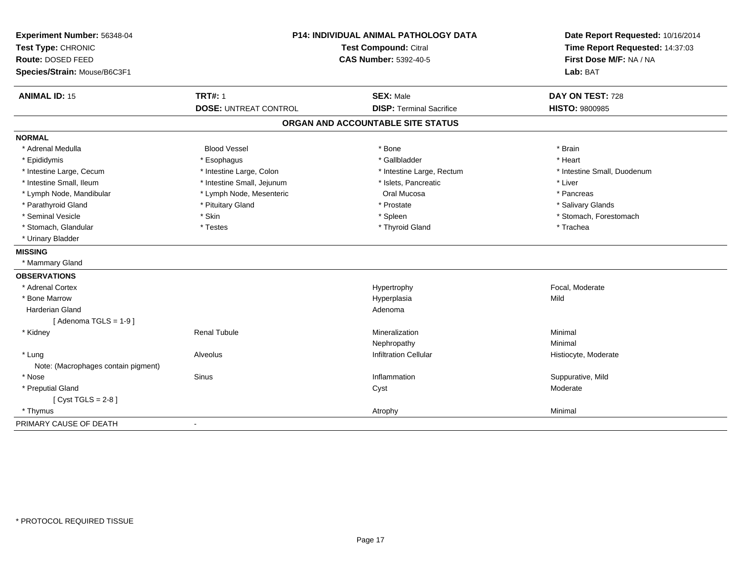| Experiment Number: 56348-04<br>Test Type: CHRONIC |                              | P14: INDIVIDUAL ANIMAL PATHOLOGY DATA<br><b>Test Compound: Citral</b> |                             |
|---------------------------------------------------|------------------------------|-----------------------------------------------------------------------|-----------------------------|
| Route: DOSED FEED                                 |                              | <b>CAS Number: 5392-40-5</b>                                          | First Dose M/F: NA / NA     |
| Species/Strain: Mouse/B6C3F1                      |                              |                                                                       | Lab: BAT                    |
| <b>ANIMAL ID: 15</b>                              | <b>TRT#: 1</b>               | <b>SEX: Male</b>                                                      | DAY ON TEST: 728            |
|                                                   | <b>DOSE: UNTREAT CONTROL</b> | <b>DISP: Terminal Sacrifice</b>                                       | <b>HISTO: 9800985</b>       |
|                                                   |                              | ORGAN AND ACCOUNTABLE SITE STATUS                                     |                             |
| <b>NORMAL</b>                                     |                              |                                                                       |                             |
| * Adrenal Medulla                                 | <b>Blood Vessel</b>          | * Bone                                                                | * Brain                     |
| * Epididymis                                      | * Esophagus                  | * Gallbladder                                                         | * Heart                     |
| * Intestine Large, Cecum                          | * Intestine Large, Colon     | * Intestine Large, Rectum                                             | * Intestine Small, Duodenum |
| * Intestine Small, Ileum                          | * Intestine Small, Jejunum   | * Islets, Pancreatic                                                  | * Liver                     |
| * Lymph Node, Mandibular                          | * Lymph Node, Mesenteric     | Oral Mucosa                                                           | * Pancreas                  |
| * Parathyroid Gland                               | * Pituitary Gland            | * Prostate                                                            | * Salivary Glands           |
| * Seminal Vesicle                                 | * Skin                       | * Spleen                                                              | * Stomach, Forestomach      |
| * Stomach, Glandular                              | * Testes                     | * Thyroid Gland                                                       | * Trachea                   |
| * Urinary Bladder                                 |                              |                                                                       |                             |
| <b>MISSING</b>                                    |                              |                                                                       |                             |
| * Mammary Gland                                   |                              |                                                                       |                             |
| <b>OBSERVATIONS</b>                               |                              |                                                                       |                             |
| * Adrenal Cortex                                  |                              | Hypertrophy                                                           | Focal, Moderate             |
| * Bone Marrow                                     |                              | Hyperplasia                                                           | Mild                        |
| <b>Harderian Gland</b>                            |                              | Adenoma                                                               |                             |
| [Adenoma TGLS = $1-9$ ]                           |                              |                                                                       |                             |
| * Kidney                                          | <b>Renal Tubule</b>          | Mineralization                                                        | Minimal                     |
|                                                   |                              | Nephropathy                                                           | Minimal                     |
| * Lung                                            | Alveolus                     | Infiltration Cellular                                                 | Histiocyte, Moderate        |
| Note: (Macrophages contain pigment)               |                              |                                                                       |                             |
| * Nose                                            | <b>Sinus</b>                 | Inflammation                                                          | Suppurative, Mild           |
| * Preputial Gland                                 |                              | Cyst                                                                  | Moderate                    |
| [Cyst TGLS = $2-8$ ]                              |                              |                                                                       |                             |
| * Thymus                                          |                              | Atrophy                                                               | Minimal                     |
| PRIMARY CAUSE OF DEATH                            | $\mathbf{r}$                 |                                                                       |                             |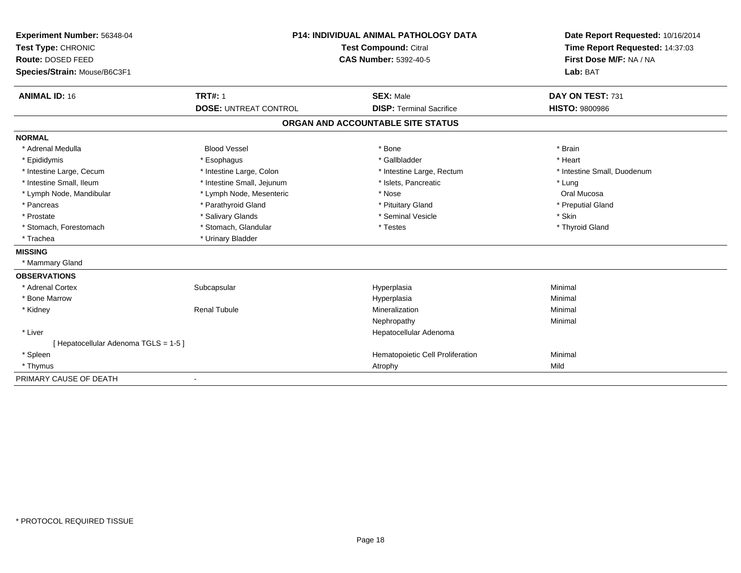| Experiment Number: 56348-04         | <b>P14: INDIVIDUAL ANIMAL PATHOLOGY DATA</b><br>Test Compound: Citral |                                   | Date Report Requested: 10/16/2014                          |
|-------------------------------------|-----------------------------------------------------------------------|-----------------------------------|------------------------------------------------------------|
| Test Type: CHRONIC                  |                                                                       |                                   | Time Report Requested: 14:37:03<br>First Dose M/F: NA / NA |
| Route: DOSED FEED                   |                                                                       | <b>CAS Number: 5392-40-5</b>      |                                                            |
| Species/Strain: Mouse/B6C3F1        |                                                                       |                                   | Lab: BAT                                                   |
| <b>ANIMAL ID: 16</b>                | <b>TRT#: 1</b>                                                        | <b>SEX: Male</b>                  | DAY ON TEST: 731                                           |
|                                     | <b>DOSE: UNTREAT CONTROL</b>                                          | <b>DISP: Terminal Sacrifice</b>   | <b>HISTO: 9800986</b>                                      |
|                                     |                                                                       | ORGAN AND ACCOUNTABLE SITE STATUS |                                                            |
| <b>NORMAL</b>                       |                                                                       |                                   |                                                            |
| * Adrenal Medulla                   | <b>Blood Vessel</b>                                                   | * Bone                            | * Brain                                                    |
| * Epididymis                        | * Esophagus                                                           | * Gallbladder                     | * Heart                                                    |
| * Intestine Large, Cecum            | * Intestine Large, Colon                                              | * Intestine Large, Rectum         | * Intestine Small, Duodenum                                |
| * Intestine Small, Ileum            | * Intestine Small, Jejunum                                            | * Islets, Pancreatic              | * Lung                                                     |
| * Lymph Node, Mandibular            | * Lymph Node, Mesenteric                                              | * Nose                            | Oral Mucosa                                                |
| * Pancreas                          | * Parathyroid Gland                                                   | * Pituitary Gland                 | * Preputial Gland                                          |
| * Prostate                          | * Salivary Glands                                                     | * Seminal Vesicle                 | * Skin                                                     |
| * Stomach, Forestomach              | * Stomach, Glandular                                                  | * Testes                          | * Thyroid Gland                                            |
| * Trachea                           | * Urinary Bladder                                                     |                                   |                                                            |
| <b>MISSING</b>                      |                                                                       |                                   |                                                            |
| * Mammary Gland                     |                                                                       |                                   |                                                            |
| <b>OBSERVATIONS</b>                 |                                                                       |                                   |                                                            |
| * Adrenal Cortex                    | Subcapsular                                                           | Hyperplasia                       | Minimal                                                    |
| * Bone Marrow                       |                                                                       | Hyperplasia                       | Minimal                                                    |
| * Kidney                            | <b>Renal Tubule</b>                                                   | Mineralization                    | Minimal                                                    |
|                                     |                                                                       | Nephropathy                       | Minimal                                                    |
| * Liver                             |                                                                       | Hepatocellular Adenoma            |                                                            |
| [Hepatocellular Adenoma TGLS = 1-5] |                                                                       |                                   |                                                            |
| * Spleen                            |                                                                       | Hematopoietic Cell Proliferation  | Minimal                                                    |
| * Thymus                            |                                                                       | Atrophy                           | Mild                                                       |
| PRIMARY CAUSE OF DEATH              |                                                                       |                                   |                                                            |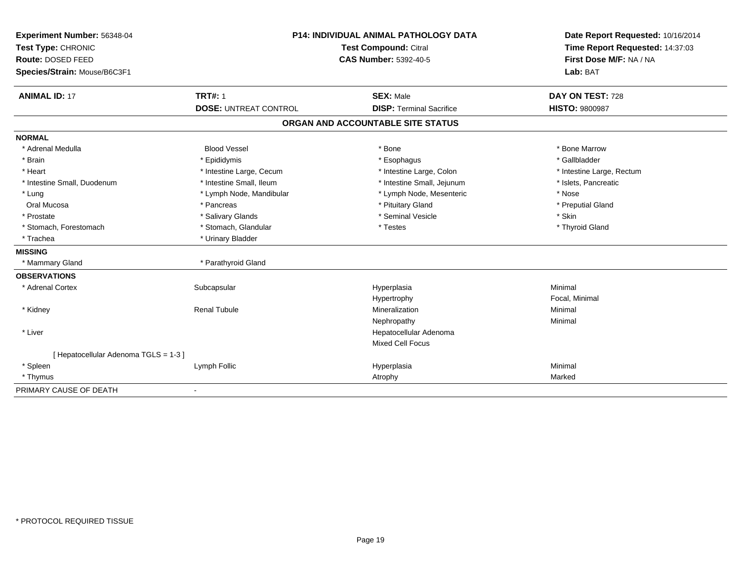| Experiment Number: 56348-04<br>Test Type: CHRONIC | <b>P14: INDIVIDUAL ANIMAL PATHOLOGY DATA</b><br><b>Test Compound: Citral</b> |                                   | Date Report Requested: 10/16/2014<br>Time Report Requested: 14:37:03 |  |
|---------------------------------------------------|------------------------------------------------------------------------------|-----------------------------------|----------------------------------------------------------------------|--|
| Route: DOSED FEED                                 |                                                                              | <b>CAS Number: 5392-40-5</b>      | First Dose M/F: NA / NA                                              |  |
| Species/Strain: Mouse/B6C3F1                      |                                                                              |                                   | Lab: BAT                                                             |  |
| <b>ANIMAL ID: 17</b>                              | <b>TRT#: 1</b>                                                               | <b>SEX: Male</b>                  | DAY ON TEST: 728                                                     |  |
|                                                   | <b>DOSE: UNTREAT CONTROL</b>                                                 | <b>DISP: Terminal Sacrifice</b>   | <b>HISTO: 9800987</b>                                                |  |
|                                                   |                                                                              | ORGAN AND ACCOUNTABLE SITE STATUS |                                                                      |  |
| <b>NORMAL</b>                                     |                                                                              |                                   |                                                                      |  |
| * Adrenal Medulla                                 | <b>Blood Vessel</b>                                                          | * Bone                            | * Bone Marrow                                                        |  |
| * Brain                                           | * Epididymis                                                                 | * Esophagus                       | * Gallbladder                                                        |  |
| * Heart                                           | * Intestine Large, Cecum                                                     | * Intestine Large, Colon          | * Intestine Large, Rectum                                            |  |
| * Intestine Small, Duodenum                       | * Intestine Small, Ileum                                                     | * Intestine Small, Jejunum        | * Islets, Pancreatic                                                 |  |
| * Lung                                            | * Lymph Node, Mandibular                                                     | * Lymph Node, Mesenteric          | * Nose                                                               |  |
| Oral Mucosa                                       | * Pancreas                                                                   | * Pituitary Gland                 | * Preputial Gland                                                    |  |
| * Prostate                                        | * Salivary Glands                                                            | * Seminal Vesicle                 | * Skin                                                               |  |
| * Stomach, Forestomach                            | * Stomach, Glandular                                                         | * Testes                          | * Thyroid Gland                                                      |  |
| * Trachea                                         | * Urinary Bladder                                                            |                                   |                                                                      |  |
| <b>MISSING</b>                                    |                                                                              |                                   |                                                                      |  |
| * Mammary Gland                                   | * Parathyroid Gland                                                          |                                   |                                                                      |  |
| <b>OBSERVATIONS</b>                               |                                                                              |                                   |                                                                      |  |
| * Adrenal Cortex                                  | Subcapsular                                                                  | Hyperplasia                       | Minimal                                                              |  |
|                                                   |                                                                              | Hypertrophy                       | Focal, Minimal                                                       |  |
| * Kidney                                          | <b>Renal Tubule</b>                                                          | Mineralization                    | Minimal                                                              |  |
|                                                   |                                                                              | Nephropathy                       | Minimal                                                              |  |
| * Liver                                           |                                                                              | Hepatocellular Adenoma            |                                                                      |  |
|                                                   |                                                                              | <b>Mixed Cell Focus</b>           |                                                                      |  |
| [ Hepatocellular Adenoma TGLS = 1-3 ]             |                                                                              |                                   |                                                                      |  |
| * Spleen                                          | Lymph Follic                                                                 | Hyperplasia                       | Minimal                                                              |  |
| * Thymus                                          |                                                                              | Atrophy                           | Marked                                                               |  |
| PRIMARY CAUSE OF DEATH                            | $\blacksquare$                                                               |                                   |                                                                      |  |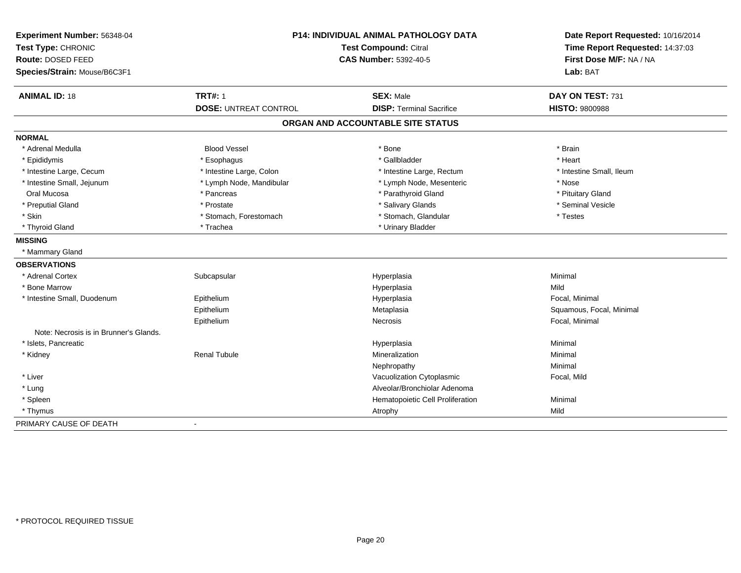| Experiment Number: 56348-04            |                              | <b>P14: INDIVIDUAL ANIMAL PATHOLOGY DATA</b> | Date Report Requested: 10/16/2014                          |
|----------------------------------------|------------------------------|----------------------------------------------|------------------------------------------------------------|
| Test Type: CHRONIC                     |                              | Test Compound: Citral                        | Time Report Requested: 14:37:03<br>First Dose M/F: NA / NA |
| Route: DOSED FEED                      |                              | <b>CAS Number: 5392-40-5</b>                 |                                                            |
| Species/Strain: Mouse/B6C3F1           |                              |                                              | Lab: BAT                                                   |
| <b>ANIMAL ID: 18</b>                   | <b>TRT#: 1</b>               | <b>SEX: Male</b>                             | DAY ON TEST: 731                                           |
|                                        | <b>DOSE: UNTREAT CONTROL</b> | <b>DISP: Terminal Sacrifice</b>              | <b>HISTO: 9800988</b>                                      |
|                                        |                              | ORGAN AND ACCOUNTABLE SITE STATUS            |                                                            |
| <b>NORMAL</b>                          |                              |                                              |                                                            |
| * Adrenal Medulla                      | <b>Blood Vessel</b>          | * Bone                                       | * Brain                                                    |
| * Epididymis                           | * Esophagus                  | * Gallbladder                                | * Heart                                                    |
| * Intestine Large, Cecum               | * Intestine Large, Colon     | * Intestine Large, Rectum                    | * Intestine Small, Ileum                                   |
| * Intestine Small, Jejunum             | * Lymph Node, Mandibular     | * Lymph Node, Mesenteric                     | * Nose                                                     |
| Oral Mucosa                            | * Pancreas                   | * Parathyroid Gland                          | * Pituitary Gland                                          |
| * Preputial Gland                      | * Prostate                   | * Salivary Glands                            | * Seminal Vesicle                                          |
| * Skin                                 | * Stomach, Forestomach       | * Stomach, Glandular                         | * Testes                                                   |
| * Thyroid Gland                        | * Trachea                    | * Urinary Bladder                            |                                                            |
| <b>MISSING</b>                         |                              |                                              |                                                            |
| * Mammary Gland                        |                              |                                              |                                                            |
| <b>OBSERVATIONS</b>                    |                              |                                              |                                                            |
| * Adrenal Cortex                       | Subcapsular                  | Hyperplasia                                  | Minimal                                                    |
| * Bone Marrow                          |                              | Hyperplasia                                  | Mild                                                       |
| * Intestine Small, Duodenum            | Epithelium                   | Hyperplasia                                  | Focal, Minimal                                             |
|                                        | Epithelium                   | Metaplasia                                   | Squamous, Focal, Minimal                                   |
|                                        | Epithelium                   | Necrosis                                     | Focal, Minimal                                             |
| Note: Necrosis is in Brunner's Glands. |                              |                                              |                                                            |
| * Islets, Pancreatic                   |                              | Hyperplasia                                  | Minimal                                                    |
| * Kidney                               | <b>Renal Tubule</b>          | Mineralization                               | Minimal                                                    |
|                                        |                              | Nephropathy                                  | Minimal                                                    |
| * Liver                                |                              | Vacuolization Cytoplasmic                    | Focal, Mild                                                |
| * Lung                                 |                              | Alveolar/Bronchiolar Adenoma                 |                                                            |
| * Spleen                               |                              | Hematopoietic Cell Proliferation             | Minimal                                                    |
| * Thymus                               |                              | Atrophy                                      | Mild                                                       |
| PRIMARY CAUSE OF DEATH                 | $\mathbf{r}$                 |                                              |                                                            |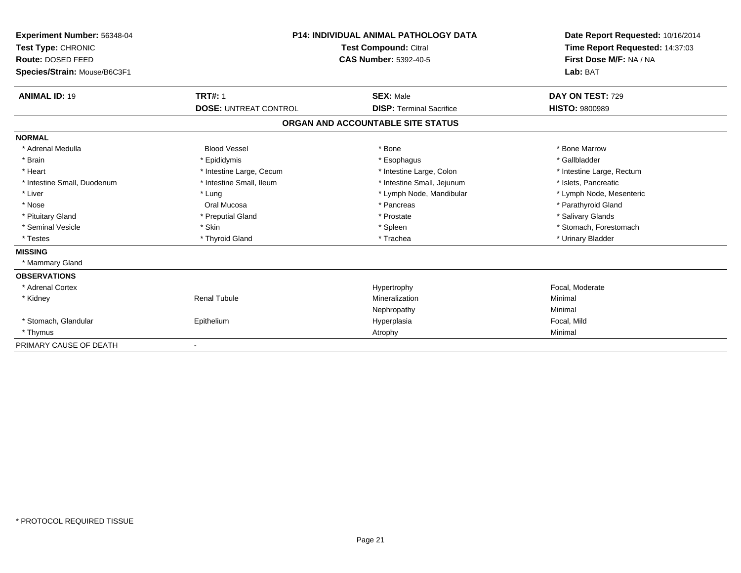| Experiment Number: 56348-04<br>Test Type: CHRONIC<br>Route: DOSED FEED<br>Species/Strain: Mouse/B6C3F1 |                              | <b>P14: INDIVIDUAL ANIMAL PATHOLOGY DATA</b><br><b>Test Compound: Citral</b><br>CAS Number: 5392-40-5 | Date Report Requested: 10/16/2014<br>Time Report Requested: 14:37:03<br>First Dose M/F: NA / NA<br>Lab: BAT |  |
|--------------------------------------------------------------------------------------------------------|------------------------------|-------------------------------------------------------------------------------------------------------|-------------------------------------------------------------------------------------------------------------|--|
| <b>ANIMAL ID: 19</b>                                                                                   | <b>TRT#: 1</b>               | <b>SEX: Male</b>                                                                                      | DAY ON TEST: 729                                                                                            |  |
|                                                                                                        | <b>DOSE: UNTREAT CONTROL</b> | <b>DISP: Terminal Sacrifice</b>                                                                       | <b>HISTO: 9800989</b>                                                                                       |  |
|                                                                                                        |                              | ORGAN AND ACCOUNTABLE SITE STATUS                                                                     |                                                                                                             |  |
| <b>NORMAL</b>                                                                                          |                              |                                                                                                       |                                                                                                             |  |
| * Adrenal Medulla                                                                                      | <b>Blood Vessel</b>          | * Bone                                                                                                | * Bone Marrow                                                                                               |  |
| * Brain                                                                                                | * Epididymis                 | * Esophagus                                                                                           | * Gallbladder                                                                                               |  |
| * Heart                                                                                                | * Intestine Large, Cecum     | * Intestine Large, Colon                                                                              | * Intestine Large, Rectum                                                                                   |  |
| * Intestine Small, Duodenum                                                                            | * Intestine Small, Ileum     | * Intestine Small, Jejunum                                                                            | * Islets, Pancreatic                                                                                        |  |
| * Liver                                                                                                | * Lung                       | * Lymph Node, Mandibular                                                                              | * Lymph Node, Mesenteric                                                                                    |  |
| * Nose                                                                                                 | Oral Mucosa                  | * Pancreas                                                                                            | * Parathyroid Gland                                                                                         |  |
| * Pituitary Gland                                                                                      | * Preputial Gland            | * Prostate                                                                                            | * Salivary Glands                                                                                           |  |
| * Seminal Vesicle                                                                                      | * Skin                       | * Spleen                                                                                              | * Stomach, Forestomach                                                                                      |  |
| * Testes                                                                                               | * Thyroid Gland              | * Trachea                                                                                             | * Urinary Bladder                                                                                           |  |
| <b>MISSING</b>                                                                                         |                              |                                                                                                       |                                                                                                             |  |
| * Mammary Gland                                                                                        |                              |                                                                                                       |                                                                                                             |  |
| <b>OBSERVATIONS</b>                                                                                    |                              |                                                                                                       |                                                                                                             |  |
| * Adrenal Cortex                                                                                       |                              | Hypertrophy                                                                                           | Focal, Moderate                                                                                             |  |
| * Kidney                                                                                               | <b>Renal Tubule</b>          | Mineralization                                                                                        | Minimal                                                                                                     |  |
|                                                                                                        |                              | Nephropathy                                                                                           | Minimal                                                                                                     |  |
| * Stomach, Glandular                                                                                   | Epithelium                   | Hyperplasia                                                                                           | Focal, Mild                                                                                                 |  |
| * Thymus                                                                                               |                              | Atrophy                                                                                               | Minimal                                                                                                     |  |
| PRIMARY CAUSE OF DEATH                                                                                 |                              |                                                                                                       |                                                                                                             |  |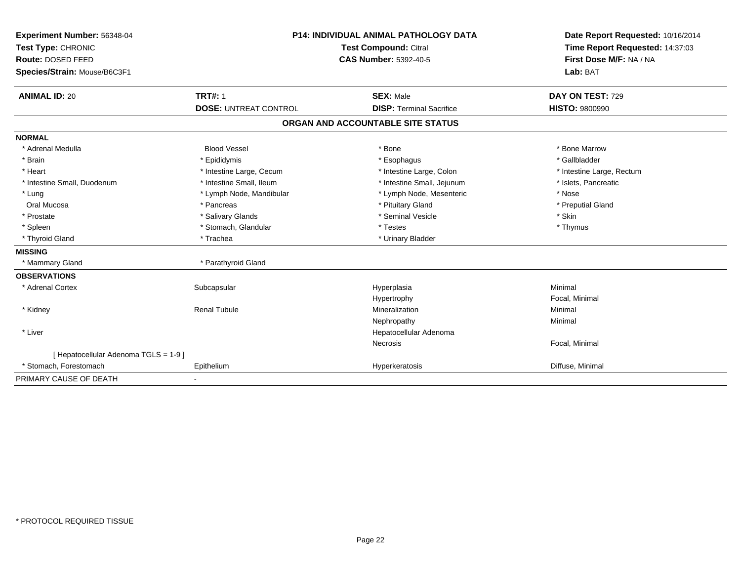| Experiment Number: 56348-04<br>Test Type: CHRONIC<br>Route: DOSED FEED<br>Species/Strain: Mouse/B6C3F1 | <b>P14: INDIVIDUAL ANIMAL PATHOLOGY DATA</b><br>Test Compound: Citral<br><b>CAS Number: 5392-40-5</b> |                                                     | Date Report Requested: 10/16/2014<br>Time Report Requested: 14:37:03<br>First Dose M/F: NA / NA<br>Lab: BAT |  |
|--------------------------------------------------------------------------------------------------------|-------------------------------------------------------------------------------------------------------|-----------------------------------------------------|-------------------------------------------------------------------------------------------------------------|--|
| <b>ANIMAL ID: 20</b>                                                                                   | <b>TRT#: 1</b><br><b>DOSE: UNTREAT CONTROL</b>                                                        | <b>SEX: Male</b><br><b>DISP: Terminal Sacrifice</b> | DAY ON TEST: 729<br><b>HISTO: 9800990</b>                                                                   |  |
|                                                                                                        |                                                                                                       | ORGAN AND ACCOUNTABLE SITE STATUS                   |                                                                                                             |  |
| <b>NORMAL</b>                                                                                          |                                                                                                       |                                                     |                                                                                                             |  |
| * Adrenal Medulla                                                                                      | <b>Blood Vessel</b>                                                                                   | * Bone                                              | * Bone Marrow                                                                                               |  |
| * Brain                                                                                                | * Epididymis                                                                                          | * Esophagus                                         | * Gallbladder                                                                                               |  |
| * Heart                                                                                                | * Intestine Large, Cecum                                                                              | * Intestine Large, Colon                            | * Intestine Large, Rectum                                                                                   |  |
| * Intestine Small, Duodenum                                                                            | * Intestine Small, Ileum                                                                              | * Intestine Small, Jejunum                          | * Islets, Pancreatic                                                                                        |  |
| * Lung                                                                                                 | * Lymph Node, Mandibular                                                                              | * Lymph Node, Mesenteric                            | * Nose                                                                                                      |  |
| Oral Mucosa                                                                                            | * Pancreas                                                                                            | * Pituitary Gland                                   | * Preputial Gland                                                                                           |  |
| * Prostate                                                                                             | * Salivary Glands                                                                                     | * Seminal Vesicle                                   | * Skin                                                                                                      |  |
| * Spleen                                                                                               | * Stomach, Glandular                                                                                  | * Testes                                            | * Thymus                                                                                                    |  |
| * Thyroid Gland                                                                                        | * Trachea                                                                                             | * Urinary Bladder                                   |                                                                                                             |  |
| <b>MISSING</b>                                                                                         |                                                                                                       |                                                     |                                                                                                             |  |
| * Mammary Gland                                                                                        | * Parathyroid Gland                                                                                   |                                                     |                                                                                                             |  |
| <b>OBSERVATIONS</b>                                                                                    |                                                                                                       |                                                     |                                                                                                             |  |
| * Adrenal Cortex                                                                                       | Subcapsular                                                                                           | Hyperplasia                                         | Minimal                                                                                                     |  |
|                                                                                                        |                                                                                                       | Hypertrophy                                         | Focal, Minimal                                                                                              |  |
| * Kidney                                                                                               | <b>Renal Tubule</b>                                                                                   | Mineralization                                      | Minimal                                                                                                     |  |
|                                                                                                        |                                                                                                       | Nephropathy                                         | Minimal                                                                                                     |  |
| * Liver                                                                                                |                                                                                                       | Hepatocellular Adenoma                              |                                                                                                             |  |
|                                                                                                        |                                                                                                       | <b>Necrosis</b>                                     | Focal, Minimal                                                                                              |  |
| [ Hepatocellular Adenoma TGLS = 1-9 ]                                                                  |                                                                                                       |                                                     |                                                                                                             |  |
| * Stomach, Forestomach                                                                                 | Epithelium                                                                                            | Hyperkeratosis                                      | Diffuse, Minimal                                                                                            |  |
| PRIMARY CAUSE OF DEATH                                                                                 |                                                                                                       |                                                     |                                                                                                             |  |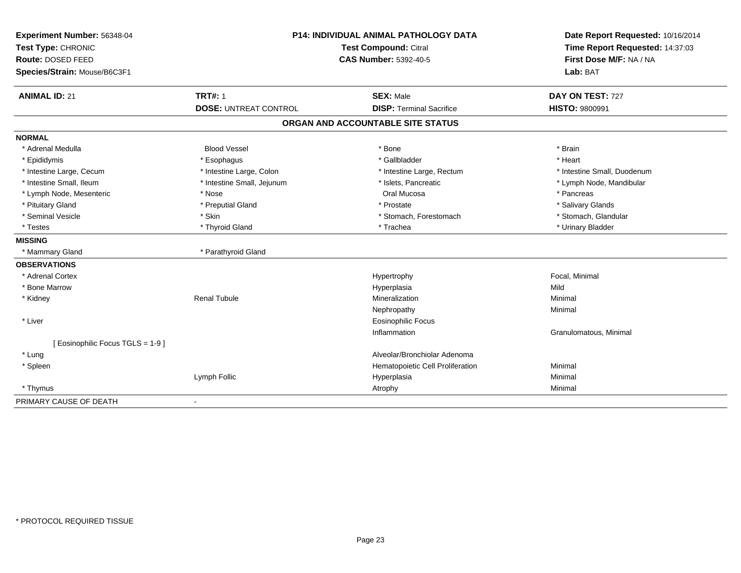| Experiment Number: 56348-04<br>Test Type: CHRONIC<br>Route: DOSED FEED | P14: INDIVIDUAL ANIMAL PATHOLOGY DATA<br>Test Compound: Citral<br><b>CAS Number: 5392-40-5</b> |                                   | Date Report Requested: 10/16/2014<br>Time Report Requested: 14:37:03<br>First Dose M/F: NA / NA |  |
|------------------------------------------------------------------------|------------------------------------------------------------------------------------------------|-----------------------------------|-------------------------------------------------------------------------------------------------|--|
| Species/Strain: Mouse/B6C3F1                                           |                                                                                                |                                   | Lab: BAT                                                                                        |  |
| <b>ANIMAL ID: 21</b>                                                   | <b>TRT#: 1</b>                                                                                 | <b>SEX: Male</b>                  | DAY ON TEST: 727                                                                                |  |
|                                                                        | <b>DOSE: UNTREAT CONTROL</b>                                                                   | <b>DISP: Terminal Sacrifice</b>   | <b>HISTO: 9800991</b>                                                                           |  |
|                                                                        |                                                                                                | ORGAN AND ACCOUNTABLE SITE STATUS |                                                                                                 |  |
| <b>NORMAL</b>                                                          |                                                                                                |                                   |                                                                                                 |  |
| * Adrenal Medulla                                                      | <b>Blood Vessel</b>                                                                            | * Bone                            | * Brain                                                                                         |  |
| * Epididymis                                                           | * Esophagus                                                                                    | * Gallbladder                     | * Heart                                                                                         |  |
| * Intestine Large, Cecum                                               | * Intestine Large, Colon                                                                       | * Intestine Large, Rectum         | * Intestine Small, Duodenum                                                                     |  |
| * Intestine Small, Ileum                                               | * Intestine Small, Jejunum                                                                     | * Islets, Pancreatic              | * Lymph Node, Mandibular                                                                        |  |
| * Lymph Node, Mesenteric                                               | * Nose                                                                                         | Oral Mucosa                       | * Pancreas                                                                                      |  |
| * Pituitary Gland                                                      | * Preputial Gland                                                                              | * Prostate                        | * Salivary Glands                                                                               |  |
| * Seminal Vesicle                                                      | * Skin                                                                                         | * Stomach, Forestomach            | * Stomach, Glandular                                                                            |  |
| * Testes                                                               | * Thyroid Gland                                                                                | * Trachea                         | * Urinary Bladder                                                                               |  |
| <b>MISSING</b>                                                         |                                                                                                |                                   |                                                                                                 |  |
| * Mammary Gland                                                        | * Parathyroid Gland                                                                            |                                   |                                                                                                 |  |
| <b>OBSERVATIONS</b>                                                    |                                                                                                |                                   |                                                                                                 |  |
| * Adrenal Cortex                                                       |                                                                                                | Hypertrophy                       | Focal, Minimal                                                                                  |  |
| * Bone Marrow                                                          |                                                                                                | Hyperplasia                       | Mild                                                                                            |  |
| * Kidney                                                               | <b>Renal Tubule</b>                                                                            | Mineralization                    | Minimal                                                                                         |  |
|                                                                        |                                                                                                | Nephropathy                       | Minimal                                                                                         |  |
| * Liver                                                                |                                                                                                | <b>Eosinophilic Focus</b>         |                                                                                                 |  |
|                                                                        |                                                                                                | Inflammation                      | Granulomatous, Minimal                                                                          |  |
| [ Eosinophilic Focus TGLS = 1-9 ]                                      |                                                                                                |                                   |                                                                                                 |  |
| * Lung                                                                 |                                                                                                | Alveolar/Bronchiolar Adenoma      |                                                                                                 |  |
| * Spleen                                                               |                                                                                                | Hematopoietic Cell Proliferation  | Minimal                                                                                         |  |
|                                                                        | Lymph Follic                                                                                   | Hyperplasia                       | Minimal                                                                                         |  |
| * Thymus                                                               |                                                                                                | Atrophy                           | Minimal                                                                                         |  |
| PRIMARY CAUSE OF DEATH                                                 |                                                                                                |                                   |                                                                                                 |  |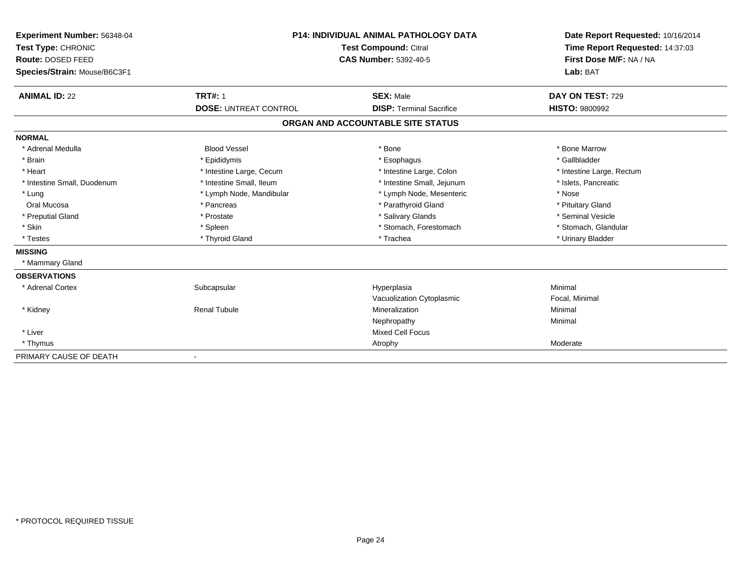| <b>Experiment Number: 56348-04</b><br>Test Type: CHRONIC<br>Route: DOSED FEED<br>Species/Strain: Mouse/B6C3F1 |                              | <b>P14: INDIVIDUAL ANIMAL PATHOLOGY DATA</b><br><b>Test Compound: Citral</b><br><b>CAS Number: 5392-40-5</b> | Date Report Requested: 10/16/2014<br>Time Report Requested: 14:37:03<br>First Dose M/F: NA / NA<br>Lab: BAT |
|---------------------------------------------------------------------------------------------------------------|------------------------------|--------------------------------------------------------------------------------------------------------------|-------------------------------------------------------------------------------------------------------------|
| <b>ANIMAL ID: 22</b>                                                                                          | <b>TRT#: 1</b>               | <b>SEX: Male</b><br><b>DISP: Terminal Sacrifice</b>                                                          | DAY ON TEST: 729<br><b>HISTO: 9800992</b>                                                                   |
|                                                                                                               | <b>DOSE: UNTREAT CONTROL</b> |                                                                                                              |                                                                                                             |
|                                                                                                               |                              | ORGAN AND ACCOUNTABLE SITE STATUS                                                                            |                                                                                                             |
| <b>NORMAL</b>                                                                                                 |                              |                                                                                                              |                                                                                                             |
| * Adrenal Medulla                                                                                             | <b>Blood Vessel</b>          | * Bone                                                                                                       | * Bone Marrow                                                                                               |
| * Brain                                                                                                       | * Epididymis                 | * Esophagus                                                                                                  | * Gallbladder                                                                                               |
| * Heart                                                                                                       | * Intestine Large, Cecum     | * Intestine Large, Colon                                                                                     | * Intestine Large, Rectum                                                                                   |
| * Intestine Small, Duodenum                                                                                   | * Intestine Small, Ileum     | * Intestine Small, Jejunum                                                                                   | * Islets, Pancreatic                                                                                        |
| * Lung                                                                                                        | * Lymph Node, Mandibular     | * Lymph Node, Mesenteric                                                                                     | * Nose                                                                                                      |
| Oral Mucosa                                                                                                   | * Pancreas                   | * Parathyroid Gland                                                                                          | * Pituitary Gland                                                                                           |
| * Preputial Gland                                                                                             | * Prostate                   | * Salivary Glands                                                                                            | * Seminal Vesicle                                                                                           |
| * Skin                                                                                                        | * Spleen                     | * Stomach, Forestomach                                                                                       | * Stomach, Glandular                                                                                        |
| * Testes                                                                                                      | * Thyroid Gland              | * Trachea                                                                                                    | * Urinary Bladder                                                                                           |
| <b>MISSING</b>                                                                                                |                              |                                                                                                              |                                                                                                             |
| * Mammary Gland                                                                                               |                              |                                                                                                              |                                                                                                             |
| <b>OBSERVATIONS</b>                                                                                           |                              |                                                                                                              |                                                                                                             |
| * Adrenal Cortex                                                                                              | Subcapsular                  | Hyperplasia                                                                                                  | Minimal                                                                                                     |
|                                                                                                               |                              | Vacuolization Cytoplasmic                                                                                    | Focal, Minimal                                                                                              |
| * Kidney                                                                                                      | <b>Renal Tubule</b>          | Mineralization                                                                                               | Minimal                                                                                                     |
|                                                                                                               |                              | Nephropathy                                                                                                  | Minimal                                                                                                     |
| * Liver                                                                                                       |                              | <b>Mixed Cell Focus</b>                                                                                      |                                                                                                             |
| * Thymus                                                                                                      |                              | Atrophy                                                                                                      | Moderate                                                                                                    |
| PRIMARY CAUSE OF DEATH                                                                                        |                              |                                                                                                              |                                                                                                             |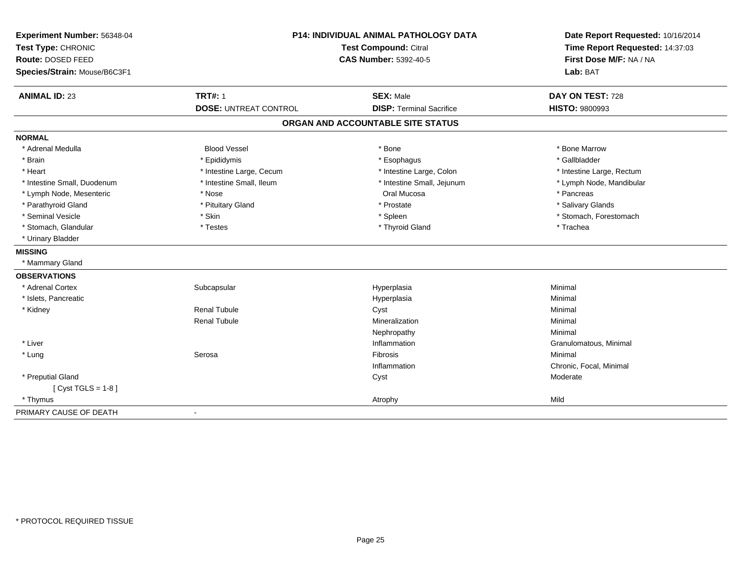| Experiment Number: 56348-04<br>Test Type: CHRONIC<br>Route: DOSED FEED<br>Species/Strain: Mouse/B6C3F1 | P14: INDIVIDUAL ANIMAL PATHOLOGY DATA<br><b>Test Compound: Citral</b><br><b>CAS Number: 5392-40-5</b> |                                   | Date Report Requested: 10/16/2014<br>Time Report Requested: 14:37:03<br>First Dose M/F: NA / NA<br>Lab: BAT |
|--------------------------------------------------------------------------------------------------------|-------------------------------------------------------------------------------------------------------|-----------------------------------|-------------------------------------------------------------------------------------------------------------|
| <b>ANIMAL ID: 23</b>                                                                                   | <b>TRT#: 1</b>                                                                                        | <b>SEX: Male</b>                  | DAY ON TEST: 728                                                                                            |
|                                                                                                        | <b>DOSE: UNTREAT CONTROL</b>                                                                          | <b>DISP: Terminal Sacrifice</b>   | <b>HISTO: 9800993</b>                                                                                       |
|                                                                                                        |                                                                                                       | ORGAN AND ACCOUNTABLE SITE STATUS |                                                                                                             |
| <b>NORMAL</b>                                                                                          |                                                                                                       |                                   |                                                                                                             |
| * Adrenal Medulla                                                                                      | <b>Blood Vessel</b>                                                                                   | * Bone                            | * Bone Marrow                                                                                               |
| * Brain                                                                                                | * Epididymis                                                                                          | * Esophagus                       | * Gallbladder                                                                                               |
| * Heart                                                                                                | * Intestine Large, Cecum                                                                              | * Intestine Large, Colon          | * Intestine Large, Rectum                                                                                   |
| * Intestine Small, Duodenum                                                                            | * Intestine Small, Ileum                                                                              | * Intestine Small, Jejunum        | * Lymph Node, Mandibular                                                                                    |
| * Lymph Node, Mesenteric                                                                               | * Nose                                                                                                | Oral Mucosa                       | * Pancreas                                                                                                  |
| * Parathyroid Gland                                                                                    | * Pituitary Gland                                                                                     | * Prostate                        | * Salivary Glands                                                                                           |
| * Seminal Vesicle                                                                                      | * Skin                                                                                                | * Spleen                          | * Stomach, Forestomach                                                                                      |
| * Stomach, Glandular                                                                                   | * Testes                                                                                              | * Thyroid Gland                   | * Trachea                                                                                                   |
| * Urinary Bladder                                                                                      |                                                                                                       |                                   |                                                                                                             |
| <b>MISSING</b>                                                                                         |                                                                                                       |                                   |                                                                                                             |
| * Mammary Gland                                                                                        |                                                                                                       |                                   |                                                                                                             |
| <b>OBSERVATIONS</b>                                                                                    |                                                                                                       |                                   |                                                                                                             |
| * Adrenal Cortex                                                                                       | Subcapsular                                                                                           | Hyperplasia                       | Minimal                                                                                                     |
| * Islets, Pancreatic                                                                                   |                                                                                                       | Hyperplasia                       | Minimal                                                                                                     |
| * Kidney                                                                                               | <b>Renal Tubule</b>                                                                                   | Cyst                              | Minimal                                                                                                     |
|                                                                                                        | <b>Renal Tubule</b>                                                                                   | Mineralization                    | Minimal                                                                                                     |
|                                                                                                        |                                                                                                       | Nephropathy                       | Minimal                                                                                                     |
| * Liver                                                                                                |                                                                                                       | Inflammation                      | Granulomatous, Minimal                                                                                      |
| * Lung                                                                                                 | Serosa                                                                                                | <b>Fibrosis</b>                   | Minimal                                                                                                     |
|                                                                                                        |                                                                                                       | Inflammation                      | Chronic, Focal, Minimal                                                                                     |
| * Preputial Gland                                                                                      |                                                                                                       | Cyst                              | Moderate                                                                                                    |
| [ $Cyst TGLS = 1-8$ ]                                                                                  |                                                                                                       |                                   |                                                                                                             |
| * Thymus                                                                                               |                                                                                                       | Atrophy                           | Mild                                                                                                        |
| PRIMARY CAUSE OF DEATH                                                                                 |                                                                                                       |                                   |                                                                                                             |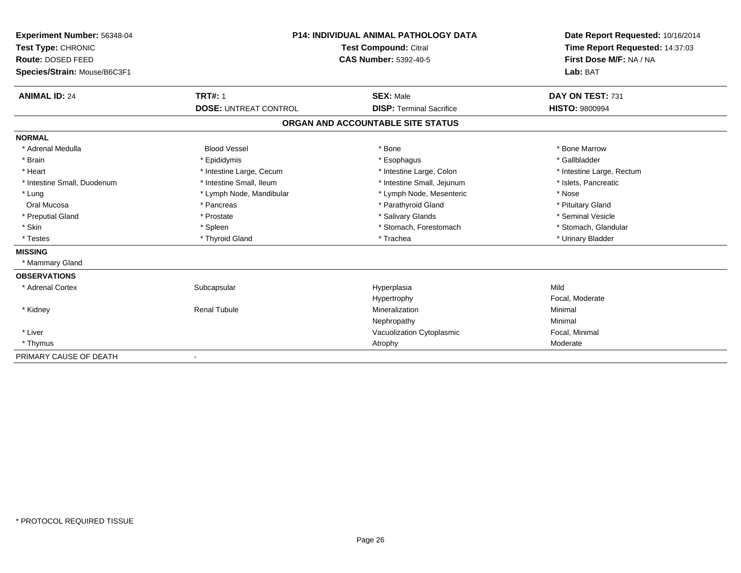| <b>Experiment Number: 56348-04</b><br>Test Type: CHRONIC<br>Route: DOSED FEED<br>Species/Strain: Mouse/B6C3F1 |                                                | <b>P14: INDIVIDUAL ANIMAL PATHOLOGY DATA</b><br><b>Test Compound: Citral</b><br><b>CAS Number: 5392-40-5</b> | Date Report Requested: 10/16/2014<br>Time Report Requested: 14:37:03<br>First Dose M/F: NA / NA<br>Lab: BAT |  |
|---------------------------------------------------------------------------------------------------------------|------------------------------------------------|--------------------------------------------------------------------------------------------------------------|-------------------------------------------------------------------------------------------------------------|--|
| <b>ANIMAL ID: 24</b>                                                                                          | <b>TRT#: 1</b><br><b>DOSE: UNTREAT CONTROL</b> | <b>SEX: Male</b><br><b>DISP: Terminal Sacrifice</b>                                                          | DAY ON TEST: 731<br><b>HISTO: 9800994</b>                                                                   |  |
|                                                                                                               |                                                |                                                                                                              |                                                                                                             |  |
|                                                                                                               |                                                | ORGAN AND ACCOUNTABLE SITE STATUS                                                                            |                                                                                                             |  |
| <b>NORMAL</b>                                                                                                 |                                                |                                                                                                              |                                                                                                             |  |
| * Adrenal Medulla                                                                                             | <b>Blood Vessel</b>                            | * Bone                                                                                                       | * Bone Marrow                                                                                               |  |
| * Brain                                                                                                       | * Epididymis                                   | * Esophagus                                                                                                  | * Gallbladder                                                                                               |  |
| * Heart                                                                                                       | * Intestine Large, Cecum                       | * Intestine Large, Colon                                                                                     | * Intestine Large, Rectum                                                                                   |  |
| * Intestine Small, Duodenum                                                                                   | * Intestine Small, Ileum                       | * Intestine Small, Jejunum                                                                                   | * Islets, Pancreatic                                                                                        |  |
| * Lung                                                                                                        | * Lymph Node, Mandibular                       | * Lymph Node, Mesenteric                                                                                     | * Nose                                                                                                      |  |
| Oral Mucosa                                                                                                   | * Pancreas                                     | * Parathyroid Gland                                                                                          | * Pituitary Gland                                                                                           |  |
| * Preputial Gland                                                                                             | * Prostate                                     | * Salivary Glands                                                                                            | * Seminal Vesicle                                                                                           |  |
| * Skin                                                                                                        | * Spleen                                       | * Stomach, Forestomach                                                                                       | * Stomach, Glandular                                                                                        |  |
| * Testes                                                                                                      | * Thyroid Gland                                | * Trachea                                                                                                    | * Urinary Bladder                                                                                           |  |
| <b>MISSING</b>                                                                                                |                                                |                                                                                                              |                                                                                                             |  |
| * Mammary Gland                                                                                               |                                                |                                                                                                              |                                                                                                             |  |
| <b>OBSERVATIONS</b>                                                                                           |                                                |                                                                                                              |                                                                                                             |  |
| * Adrenal Cortex                                                                                              | Subcapsular                                    | Hyperplasia                                                                                                  | Mild                                                                                                        |  |
|                                                                                                               |                                                | Hypertrophy                                                                                                  | Focal, Moderate                                                                                             |  |
| * Kidney                                                                                                      | <b>Renal Tubule</b>                            | Mineralization                                                                                               | Minimal                                                                                                     |  |
|                                                                                                               |                                                | Nephropathy                                                                                                  | Minimal                                                                                                     |  |
| * Liver                                                                                                       |                                                | Vacuolization Cytoplasmic                                                                                    | Focal, Minimal                                                                                              |  |
| * Thymus                                                                                                      |                                                | Atrophy                                                                                                      | Moderate                                                                                                    |  |
| PRIMARY CAUSE OF DEATH                                                                                        |                                                |                                                                                                              |                                                                                                             |  |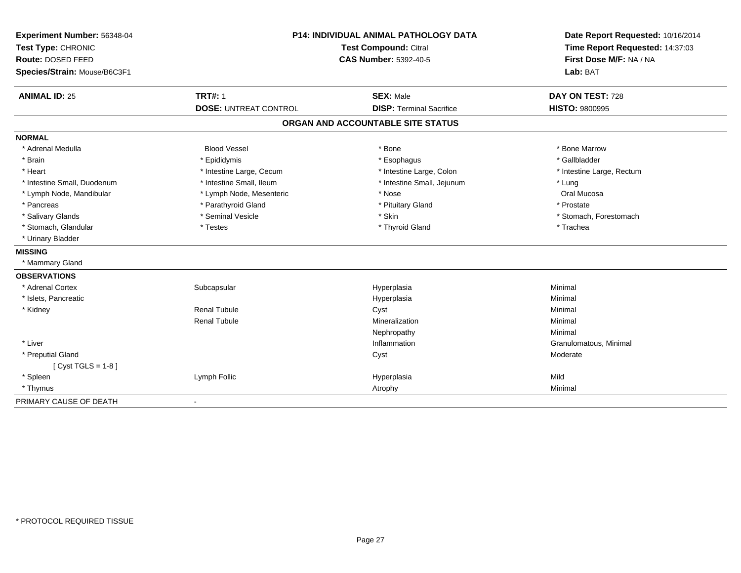| Experiment Number: 56348-04<br>Test Type: CHRONIC<br>Route: DOSED FEED |                              | <b>P14: INDIVIDUAL ANIMAL PATHOLOGY DATA</b><br><b>Test Compound: Citral</b><br><b>CAS Number: 5392-40-5</b> | Date Report Requested: 10/16/2014<br>Time Report Requested: 14:37:03 |  |
|------------------------------------------------------------------------|------------------------------|--------------------------------------------------------------------------------------------------------------|----------------------------------------------------------------------|--|
| Species/Strain: Mouse/B6C3F1                                           |                              |                                                                                                              | First Dose M/F: NA / NA<br>Lab: BAT                                  |  |
| <b>ANIMAL ID: 25</b>                                                   | <b>TRT#: 1</b>               | <b>SEX: Male</b>                                                                                             | DAY ON TEST: 728                                                     |  |
|                                                                        | <b>DOSE: UNTREAT CONTROL</b> | <b>DISP: Terminal Sacrifice</b>                                                                              | <b>HISTO: 9800995</b>                                                |  |
|                                                                        |                              | ORGAN AND ACCOUNTABLE SITE STATUS                                                                            |                                                                      |  |
| <b>NORMAL</b>                                                          |                              |                                                                                                              |                                                                      |  |
| * Adrenal Medulla                                                      | <b>Blood Vessel</b>          | * Bone                                                                                                       | * Bone Marrow                                                        |  |
| * Brain                                                                | * Epididymis                 | * Esophagus                                                                                                  | * Gallbladder                                                        |  |
| * Heart                                                                | * Intestine Large, Cecum     | * Intestine Large, Colon                                                                                     | * Intestine Large, Rectum                                            |  |
| * Intestine Small, Duodenum                                            | * Intestine Small, Ileum     | * Intestine Small, Jejunum                                                                                   | * Lung                                                               |  |
| * Lymph Node, Mandibular                                               | * Lymph Node, Mesenteric     | * Nose                                                                                                       | Oral Mucosa                                                          |  |
| * Pancreas                                                             | * Parathyroid Gland          | * Pituitary Gland                                                                                            | * Prostate                                                           |  |
| * Salivary Glands                                                      | * Seminal Vesicle            | * Skin                                                                                                       | * Stomach, Forestomach                                               |  |
| * Stomach, Glandular                                                   | * Testes                     | * Thyroid Gland                                                                                              | * Trachea                                                            |  |
| * Urinary Bladder                                                      |                              |                                                                                                              |                                                                      |  |
| <b>MISSING</b>                                                         |                              |                                                                                                              |                                                                      |  |
| * Mammary Gland                                                        |                              |                                                                                                              |                                                                      |  |
| <b>OBSERVATIONS</b>                                                    |                              |                                                                                                              |                                                                      |  |
| * Adrenal Cortex                                                       | Subcapsular                  | Hyperplasia                                                                                                  | Minimal                                                              |  |
| * Islets, Pancreatic                                                   |                              | Hyperplasia                                                                                                  | Minimal                                                              |  |
| * Kidney                                                               | <b>Renal Tubule</b>          | Cyst                                                                                                         | Minimal                                                              |  |
|                                                                        | <b>Renal Tubule</b>          | Mineralization                                                                                               | Minimal                                                              |  |
|                                                                        |                              | Nephropathy                                                                                                  | Minimal                                                              |  |
| * Liver                                                                |                              | Inflammation                                                                                                 | Granulomatous, Minimal                                               |  |
| * Preputial Gland                                                      |                              | Cyst                                                                                                         | Moderate                                                             |  |
| [ $Cyst TGLS = 1-8$ ]                                                  |                              |                                                                                                              |                                                                      |  |
| * Spleen                                                               | Lymph Follic                 | Hyperplasia                                                                                                  | Mild                                                                 |  |
| * Thymus                                                               |                              | Atrophy                                                                                                      | Minimal                                                              |  |
| PRIMARY CAUSE OF DEATH                                                 | $\overline{\phantom{a}}$     |                                                                                                              |                                                                      |  |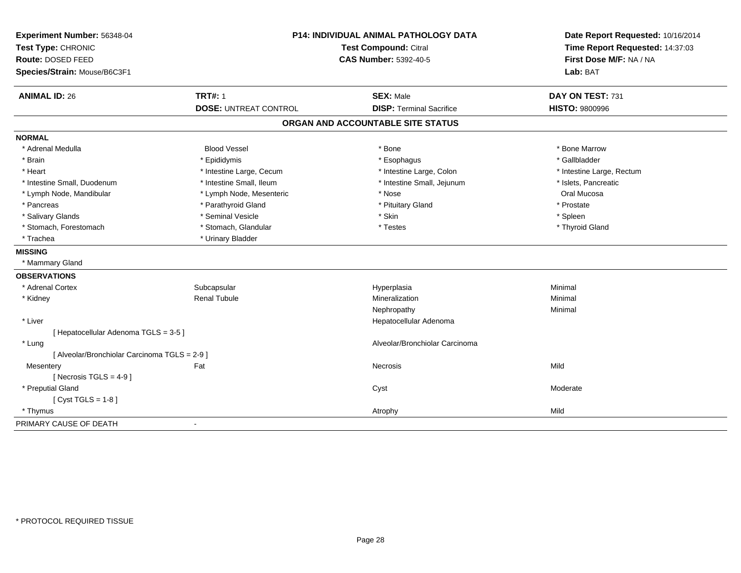| Experiment Number: 56348-04<br>Test Type: CHRONIC |                              | <b>P14: INDIVIDUAL ANIMAL PATHOLOGY DATA</b><br><b>Test Compound: Citral</b> | Date Report Requested: 10/16/2014<br>Time Report Requested: 14:37:03 |
|---------------------------------------------------|------------------------------|------------------------------------------------------------------------------|----------------------------------------------------------------------|
| Route: DOSED FEED                                 |                              | <b>CAS Number: 5392-40-5</b>                                                 | First Dose M/F: NA / NA                                              |
| Species/Strain: Mouse/B6C3F1                      |                              |                                                                              | Lab: BAT                                                             |
| <b>ANIMAL ID: 26</b>                              | <b>TRT#: 1</b>               | <b>SEX: Male</b>                                                             | DAY ON TEST: 731                                                     |
|                                                   | <b>DOSE: UNTREAT CONTROL</b> | <b>DISP: Terminal Sacrifice</b>                                              | <b>HISTO: 9800996</b>                                                |
|                                                   |                              | ORGAN AND ACCOUNTABLE SITE STATUS                                            |                                                                      |
| <b>NORMAL</b>                                     |                              |                                                                              |                                                                      |
| * Adrenal Medulla                                 | <b>Blood Vessel</b>          | * Bone                                                                       | * Bone Marrow                                                        |
| * Brain                                           | * Epididymis                 | * Esophagus                                                                  | * Gallbladder                                                        |
| * Heart                                           | * Intestine Large, Cecum     | * Intestine Large, Colon                                                     | * Intestine Large, Rectum                                            |
| * Intestine Small, Duodenum                       | * Intestine Small, Ileum     | * Intestine Small, Jejunum                                                   | * Islets, Pancreatic                                                 |
| * Lymph Node, Mandibular                          | * Lymph Node, Mesenteric     | * Nose                                                                       | Oral Mucosa                                                          |
| * Pancreas                                        | * Parathyroid Gland          | * Pituitary Gland                                                            | * Prostate                                                           |
| * Salivary Glands                                 | * Seminal Vesicle            | * Skin                                                                       | * Spleen                                                             |
| * Stomach, Forestomach                            | * Stomach, Glandular         | * Testes                                                                     | * Thyroid Gland                                                      |
| * Trachea                                         | * Urinary Bladder            |                                                                              |                                                                      |
| <b>MISSING</b>                                    |                              |                                                                              |                                                                      |
| * Mammary Gland                                   |                              |                                                                              |                                                                      |
| <b>OBSERVATIONS</b>                               |                              |                                                                              |                                                                      |
| * Adrenal Cortex                                  | Subcapsular                  | Hyperplasia                                                                  | Minimal                                                              |
| * Kidney                                          | <b>Renal Tubule</b>          | Mineralization                                                               | Minimal                                                              |
|                                                   |                              | Nephropathy                                                                  | Minimal                                                              |
| * Liver                                           |                              | Hepatocellular Adenoma                                                       |                                                                      |
| [ Hepatocellular Adenoma TGLS = 3-5 ]             |                              |                                                                              |                                                                      |
| * Lung                                            |                              | Alveolar/Bronchiolar Carcinoma                                               |                                                                      |
| [ Alveolar/Bronchiolar Carcinoma TGLS = 2-9 ]     |                              |                                                                              |                                                                      |
| Mesentery                                         | Fat                          | Necrosis                                                                     | Mild                                                                 |
| [ Necrosis TGLS = $4-9$ ]                         |                              |                                                                              |                                                                      |
| * Preputial Gland                                 |                              | Cyst                                                                         | Moderate                                                             |
| [ $Cyst TGLS = 1-8$ ]                             |                              |                                                                              |                                                                      |
| * Thymus                                          |                              | Atrophy                                                                      | Mild                                                                 |
| PRIMARY CAUSE OF DEATH                            | $\blacksquare$               |                                                                              |                                                                      |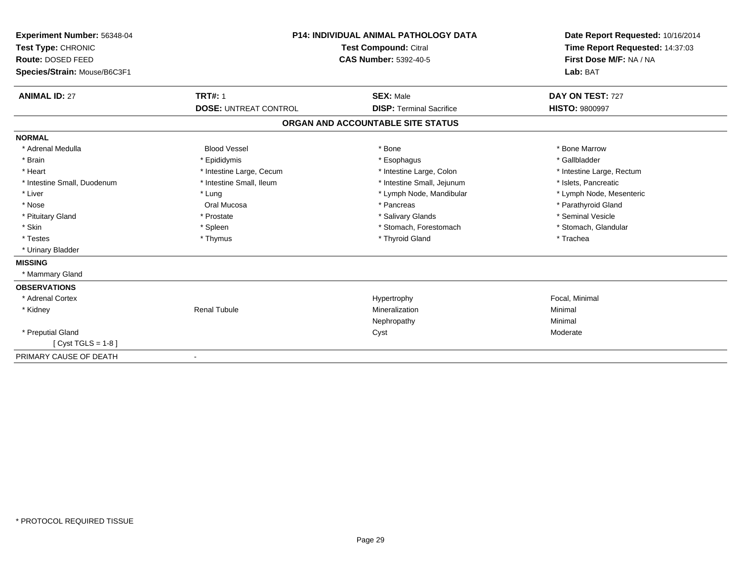| Experiment Number: 56348-04  |                              | <b>P14: INDIVIDUAL ANIMAL PATHOLOGY DATA</b> | Date Report Requested: 10/16/2014 |
|------------------------------|------------------------------|----------------------------------------------|-----------------------------------|
| Test Type: CHRONIC           |                              | <b>Test Compound: Citral</b>                 | Time Report Requested: 14:37:03   |
| Route: DOSED FEED            |                              | <b>CAS Number: 5392-40-5</b>                 | First Dose M/F: NA / NA           |
| Species/Strain: Mouse/B6C3F1 |                              |                                              | Lab: BAT                          |
| <b>ANIMAL ID: 27</b>         | <b>TRT#: 1</b>               | <b>SEX: Male</b>                             | DAY ON TEST: 727                  |
|                              | <b>DOSE: UNTREAT CONTROL</b> | <b>DISP: Terminal Sacrifice</b>              | <b>HISTO: 9800997</b>             |
|                              |                              | ORGAN AND ACCOUNTABLE SITE STATUS            |                                   |
| <b>NORMAL</b>                |                              |                                              |                                   |
| * Adrenal Medulla            | <b>Blood Vessel</b>          | * Bone                                       | * Bone Marrow                     |
| * Brain                      | * Epididymis                 | * Esophagus                                  | * Gallbladder                     |
| * Heart                      | * Intestine Large, Cecum     | * Intestine Large, Colon                     | * Intestine Large, Rectum         |
| * Intestine Small, Duodenum  | * Intestine Small, Ileum     | * Intestine Small, Jejunum                   | * Islets, Pancreatic              |
| * Liver                      | * Lung                       | * Lymph Node, Mandibular                     | * Lymph Node, Mesenteric          |
| * Nose                       | Oral Mucosa                  | * Pancreas                                   | * Parathyroid Gland               |
| * Pituitary Gland            | * Prostate                   | * Salivary Glands                            | * Seminal Vesicle                 |
| * Skin                       | * Spleen                     | * Stomach, Forestomach                       | * Stomach, Glandular              |
| * Testes                     | * Thymus                     | * Thyroid Gland                              | * Trachea                         |
| * Urinary Bladder            |                              |                                              |                                   |
| <b>MISSING</b>               |                              |                                              |                                   |
| * Mammary Gland              |                              |                                              |                                   |
| <b>OBSERVATIONS</b>          |                              |                                              |                                   |
| * Adrenal Cortex             |                              | Hypertrophy                                  | Focal, Minimal                    |
| * Kidney                     | <b>Renal Tubule</b>          | Mineralization                               | Minimal                           |
|                              |                              | Nephropathy                                  | Minimal                           |
| * Preputial Gland            |                              | Cyst                                         | Moderate                          |
| [ $Cyst TGLS = 1-8$ ]        |                              |                                              |                                   |
| PRIMARY CAUSE OF DEATH       |                              |                                              |                                   |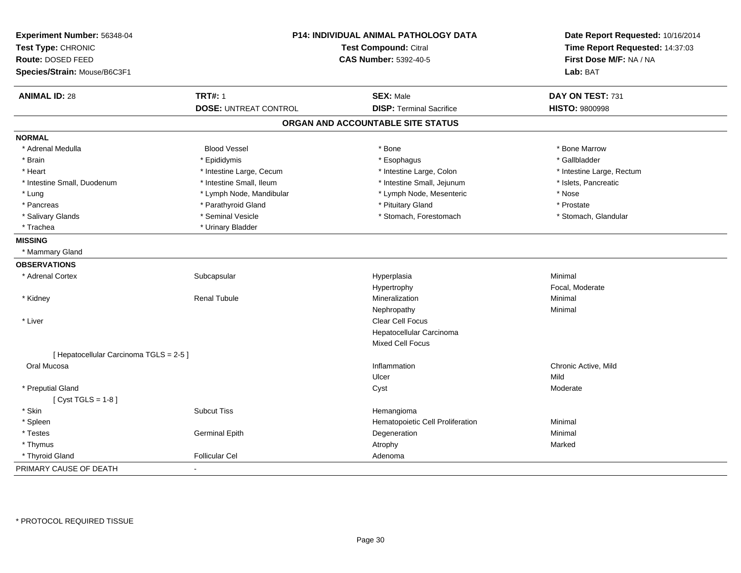| Experiment Number: 56348-04<br>Test Type: CHRONIC |                              | P14: INDIVIDUAL ANIMAL PATHOLOGY DATA<br><b>Test Compound: Citral</b> |                           |
|---------------------------------------------------|------------------------------|-----------------------------------------------------------------------|---------------------------|
| Route: DOSED FEED                                 |                              | <b>CAS Number: 5392-40-5</b>                                          | First Dose M/F: NA / NA   |
| Species/Strain: Mouse/B6C3F1                      |                              |                                                                       | Lab: BAT                  |
| <b>ANIMAL ID: 28</b>                              | <b>TRT#: 1</b>               | <b>SEX: Male</b>                                                      | DAY ON TEST: 731          |
|                                                   | <b>DOSE: UNTREAT CONTROL</b> | <b>DISP: Terminal Sacrifice</b>                                       | <b>HISTO: 9800998</b>     |
|                                                   |                              | ORGAN AND ACCOUNTABLE SITE STATUS                                     |                           |
| <b>NORMAL</b>                                     |                              |                                                                       |                           |
| * Adrenal Medulla                                 | <b>Blood Vessel</b>          | * Bone                                                                | * Bone Marrow             |
| * Brain                                           | * Epididymis                 | * Esophagus                                                           | * Gallbladder             |
| * Heart                                           | * Intestine Large, Cecum     | * Intestine Large, Colon                                              | * Intestine Large, Rectum |
| * Intestine Small, Duodenum                       | * Intestine Small, Ileum     | * Intestine Small, Jejunum                                            | * Islets, Pancreatic      |
| * Lung                                            | * Lymph Node, Mandibular     | * Lymph Node, Mesenteric                                              | * Nose                    |
| * Pancreas                                        | * Parathyroid Gland          | * Pituitary Gland                                                     | * Prostate                |
| * Salivary Glands                                 | * Seminal Vesicle            | * Stomach, Forestomach                                                | * Stomach, Glandular      |
| * Trachea                                         | * Urinary Bladder            |                                                                       |                           |
| <b>MISSING</b>                                    |                              |                                                                       |                           |
| * Mammary Gland                                   |                              |                                                                       |                           |
| <b>OBSERVATIONS</b>                               |                              |                                                                       |                           |
| * Adrenal Cortex                                  | Subcapsular                  | Hyperplasia                                                           | Minimal                   |
|                                                   |                              | Hypertrophy                                                           | Focal, Moderate           |
| * Kidney                                          | <b>Renal Tubule</b>          | Mineralization                                                        | Minimal                   |
|                                                   |                              | Nephropathy                                                           | Minimal                   |
| * Liver                                           |                              | Clear Cell Focus                                                      |                           |
|                                                   |                              | Hepatocellular Carcinoma                                              |                           |
|                                                   |                              | <b>Mixed Cell Focus</b>                                               |                           |
| [ Hepatocellular Carcinoma TGLS = 2-5 ]           |                              |                                                                       |                           |
| Oral Mucosa                                       |                              | Inflammation                                                          | Chronic Active, Mild      |
|                                                   |                              | Ulcer                                                                 | Mild                      |
| * Preputial Gland                                 |                              | Cyst                                                                  | Moderate                  |
| [Cyst TGLS = $1-8$ ]                              |                              |                                                                       |                           |
| * Skin                                            | <b>Subcut Tiss</b>           | Hemangioma                                                            |                           |
| * Spleen                                          |                              | Hematopoietic Cell Proliferation                                      | Minimal                   |
| * Testes                                          | <b>Germinal Epith</b>        | Degeneration                                                          | Minimal                   |
| * Thymus                                          |                              | Atrophy                                                               | Marked                    |
| * Thyroid Gland                                   | <b>Follicular Cel</b>        | Adenoma                                                               |                           |
| PRIMARY CAUSE OF DEATH                            |                              |                                                                       |                           |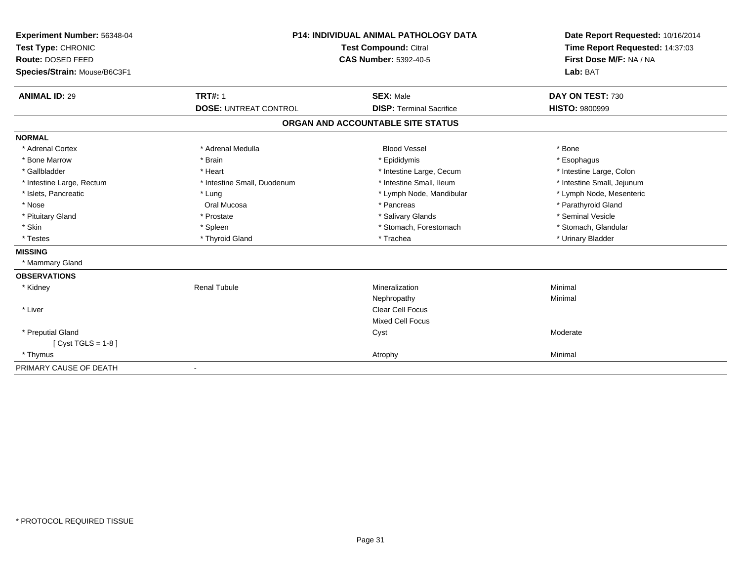| Experiment Number: 56348-04  | <b>P14: INDIVIDUAL ANIMAL PATHOLOGY DATA</b><br><b>Test Compound: Citral</b> |                                   | Date Report Requested: 10/16/2014 |
|------------------------------|------------------------------------------------------------------------------|-----------------------------------|-----------------------------------|
| Test Type: CHRONIC           |                                                                              |                                   | Time Report Requested: 14:37:03   |
| Route: DOSED FEED            |                                                                              | <b>CAS Number: 5392-40-5</b>      |                                   |
| Species/Strain: Mouse/B6C3F1 |                                                                              |                                   | Lab: BAT                          |
|                              | <b>TRT#: 1</b>                                                               |                                   |                                   |
| <b>ANIMAL ID: 29</b>         |                                                                              | <b>SEX: Male</b>                  | DAY ON TEST: 730                  |
|                              | <b>DOSE: UNTREAT CONTROL</b>                                                 | <b>DISP: Terminal Sacrifice</b>   | <b>HISTO: 9800999</b>             |
|                              |                                                                              | ORGAN AND ACCOUNTABLE SITE STATUS |                                   |
| <b>NORMAL</b>                |                                                                              |                                   |                                   |
| * Adrenal Cortex             | * Adrenal Medulla                                                            | <b>Blood Vessel</b>               | * Bone                            |
| * Bone Marrow                | * Brain                                                                      | * Epididymis                      | * Esophagus                       |
| * Gallbladder                | * Heart                                                                      | * Intestine Large, Cecum          | * Intestine Large, Colon          |
| * Intestine Large, Rectum    | * Intestine Small, Duodenum                                                  | * Intestine Small, Ileum          | * Intestine Small, Jejunum        |
| * Islets, Pancreatic         | * Lung                                                                       | * Lymph Node, Mandibular          | * Lymph Node, Mesenteric          |
| * Nose                       | Oral Mucosa                                                                  | * Pancreas                        | * Parathyroid Gland               |
| * Pituitary Gland            | * Prostate                                                                   | * Salivary Glands                 | * Seminal Vesicle                 |
| * Skin                       | * Spleen                                                                     | * Stomach, Forestomach            | * Stomach, Glandular              |
| * Testes                     | * Thyroid Gland                                                              | * Trachea                         | * Urinary Bladder                 |
| <b>MISSING</b>               |                                                                              |                                   |                                   |
| * Mammary Gland              |                                                                              |                                   |                                   |
| <b>OBSERVATIONS</b>          |                                                                              |                                   |                                   |
| * Kidney                     | <b>Renal Tubule</b>                                                          | Mineralization                    | Minimal                           |
|                              |                                                                              | Nephropathy                       | Minimal                           |
| * Liver                      |                                                                              | <b>Clear Cell Focus</b>           |                                   |
|                              |                                                                              | <b>Mixed Cell Focus</b>           |                                   |
| * Preputial Gland            |                                                                              | Cyst                              | Moderate                          |
| [ Cyst TGLS = $1-8$ ]        |                                                                              |                                   |                                   |
| * Thymus                     |                                                                              | Atrophy                           | Minimal                           |
| PRIMARY CAUSE OF DEATH       |                                                                              |                                   |                                   |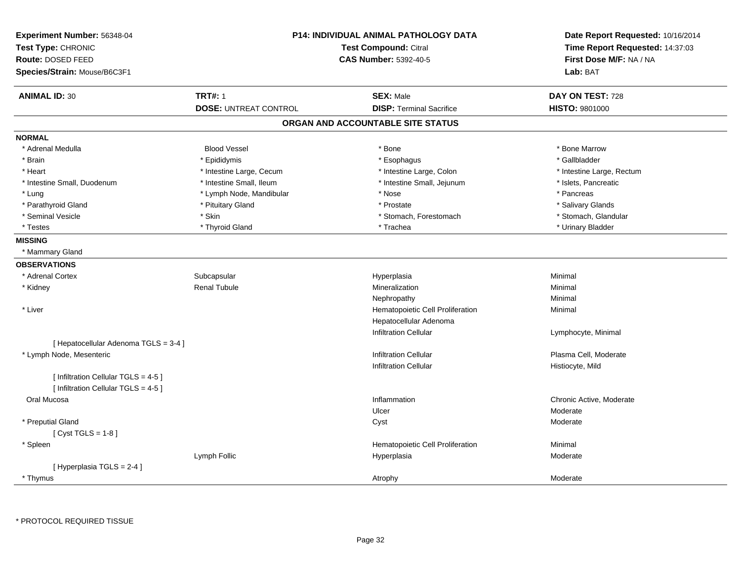| <b>Experiment Number: 56348-04</b>    |                              | <b>P14: INDIVIDUAL ANIMAL PATHOLOGY DATA</b> | Date Report Requested: 10/16/2014 |  |
|---------------------------------------|------------------------------|----------------------------------------------|-----------------------------------|--|
| Test Type: CHRONIC                    | Test Compound: Citral        |                                              | Time Report Requested: 14:37:03   |  |
| Route: DOSED FEED                     |                              | <b>CAS Number: 5392-40-5</b>                 | First Dose M/F: NA / NA           |  |
| Species/Strain: Mouse/B6C3F1          |                              |                                              | Lab: BAT                          |  |
| <b>ANIMAL ID: 30</b>                  | <b>TRT#: 1</b>               | <b>SEX: Male</b>                             | DAY ON TEST: 728                  |  |
|                                       | <b>DOSE: UNTREAT CONTROL</b> | <b>DISP: Terminal Sacrifice</b>              | <b>HISTO: 9801000</b>             |  |
|                                       |                              | ORGAN AND ACCOUNTABLE SITE STATUS            |                                   |  |
| <b>NORMAL</b>                         |                              |                                              |                                   |  |
| * Adrenal Medulla                     | <b>Blood Vessel</b>          | * Bone                                       | * Bone Marrow                     |  |
| * Brain                               | * Epididymis                 | * Esophagus                                  | * Gallbladder                     |  |
| * Heart                               | * Intestine Large, Cecum     | * Intestine Large, Colon                     | * Intestine Large, Rectum         |  |
| * Intestine Small, Duodenum           | * Intestine Small, Ileum     | * Intestine Small, Jejunum                   | * Islets, Pancreatic              |  |
| * Lung                                | * Lymph Node, Mandibular     | * Nose                                       | * Pancreas                        |  |
| * Parathyroid Gland                   | * Pituitary Gland            | * Prostate                                   | * Salivary Glands                 |  |
| * Seminal Vesicle                     | * Skin                       | * Stomach, Forestomach                       | * Stomach, Glandular              |  |
| * Testes                              | * Thyroid Gland              | * Trachea                                    | * Urinary Bladder                 |  |
| <b>MISSING</b>                        |                              |                                              |                                   |  |
| * Mammary Gland                       |                              |                                              |                                   |  |
| <b>OBSERVATIONS</b>                   |                              |                                              |                                   |  |
| * Adrenal Cortex                      | Subcapsular                  | Hyperplasia                                  | Minimal                           |  |
| * Kidney                              | <b>Renal Tubule</b>          | Mineralization                               | Minimal                           |  |
|                                       |                              | Nephropathy                                  | Minimal                           |  |
| * Liver                               |                              | Hematopoietic Cell Proliferation             | Minimal                           |  |
|                                       |                              | Hepatocellular Adenoma                       |                                   |  |
|                                       |                              | <b>Infiltration Cellular</b>                 | Lymphocyte, Minimal               |  |
| [ Hepatocellular Adenoma TGLS = 3-4 ] |                              |                                              |                                   |  |
| * Lymph Node, Mesenteric              |                              | <b>Infiltration Cellular</b>                 | Plasma Cell, Moderate             |  |
|                                       |                              | <b>Infiltration Cellular</b>                 | Histiocyte, Mild                  |  |
| [ Infiltration Cellular TGLS = 4-5 ]  |                              |                                              |                                   |  |
| [ Infiltration Cellular TGLS = 4-5 ]  |                              |                                              |                                   |  |
| Oral Mucosa                           |                              | Inflammation                                 | Chronic Active, Moderate          |  |
|                                       |                              | Ulcer                                        | Moderate                          |  |
| * Preputial Gland                     |                              | Cyst                                         | Moderate                          |  |
| [Cyst TGLS = $1-8$ ]                  |                              |                                              |                                   |  |
| * Spleen                              |                              | Hematopoietic Cell Proliferation             | Minimal                           |  |
|                                       | Lymph Follic                 | Hyperplasia                                  | Moderate                          |  |
| [Hyperplasia TGLS = 2-4]              |                              |                                              |                                   |  |
| * Thymus                              |                              | Atrophy                                      | Moderate                          |  |
|                                       |                              |                                              |                                   |  |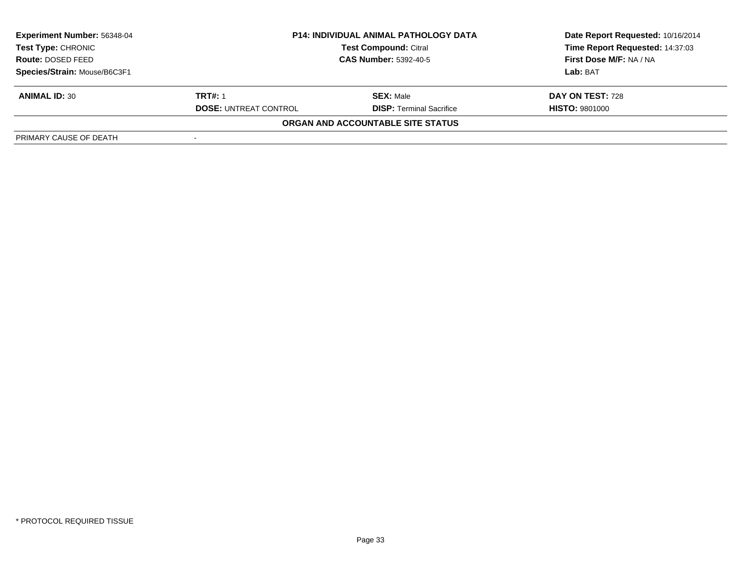| <b>Experiment Number: 56348-04</b> |                              | <b>P14: INDIVIDUAL ANIMAL PATHOLOGY DATA</b> | Date Report Requested: 10/16/2014 |  |
|------------------------------------|------------------------------|----------------------------------------------|-----------------------------------|--|
| Test Type: CHRONIC                 |                              | <b>Test Compound: Citral</b>                 | Time Report Requested: 14:37:03   |  |
| <b>Route: DOSED FEED</b>           | <b>CAS Number: 5392-40-5</b> |                                              | First Dose M/F: NA / NA           |  |
| Species/Strain: Mouse/B6C3F1       |                              |                                              | Lab: BAT                          |  |
| <b>ANIMAL ID: 30</b>               | <b>TRT#: 1</b>               | <b>SEX: Male</b>                             | DAY ON TEST: 728                  |  |
|                                    | <b>DOSE: UNTREAT CONTROL</b> | <b>DISP: Terminal Sacrifice</b>              | <b>HISTO: 9801000</b>             |  |
|                                    |                              | ORGAN AND ACCOUNTABLE SITE STATUS            |                                   |  |
| PRIMARY CAUSE OF DEATH             |                              |                                              |                                   |  |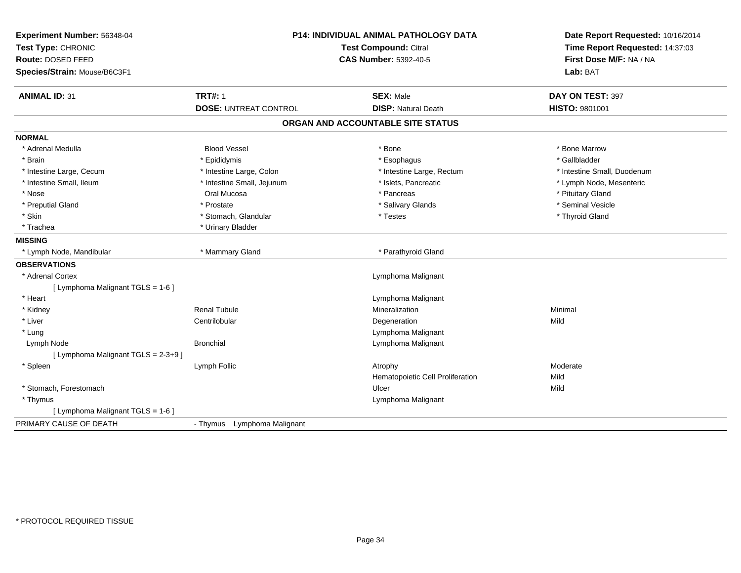| Experiment Number: 56348-04<br>Test Type: CHRONIC<br>Route: DOSED FEED<br>Species/Strain: Mouse/B6C3F1 | P14: INDIVIDUAL ANIMAL PATHOLOGY DATA<br><b>Test Compound: Citral</b><br><b>CAS Number: 5392-40-5</b> |                                                | Date Report Requested: 10/16/2014<br>Time Report Requested: 14:37:03<br>First Dose M/F: NA / NA<br>Lab: BAT |
|--------------------------------------------------------------------------------------------------------|-------------------------------------------------------------------------------------------------------|------------------------------------------------|-------------------------------------------------------------------------------------------------------------|
| <b>ANIMAL ID: 31</b>                                                                                   | <b>TRT#: 1</b><br><b>DOSE: UNTREAT CONTROL</b>                                                        | <b>SEX: Male</b><br><b>DISP: Natural Death</b> | DAY ON TEST: 397<br>HISTO: 9801001                                                                          |
|                                                                                                        |                                                                                                       | ORGAN AND ACCOUNTABLE SITE STATUS              |                                                                                                             |
|                                                                                                        |                                                                                                       |                                                |                                                                                                             |
| <b>NORMAL</b>                                                                                          |                                                                                                       |                                                |                                                                                                             |
| * Adrenal Medulla                                                                                      | <b>Blood Vessel</b>                                                                                   | * Bone                                         | * Bone Marrow                                                                                               |
| * Brain                                                                                                | * Epididymis                                                                                          | * Esophagus                                    | * Gallbladder                                                                                               |
| * Intestine Large, Cecum                                                                               | * Intestine Large, Colon                                                                              | * Intestine Large, Rectum                      | * Intestine Small, Duodenum                                                                                 |
| * Intestine Small, Ileum                                                                               | * Intestine Small, Jejunum                                                                            | * Islets, Pancreatic                           | * Lymph Node, Mesenteric                                                                                    |
| * Nose                                                                                                 | Oral Mucosa                                                                                           | * Pancreas                                     | * Pituitary Gland                                                                                           |
| * Preputial Gland                                                                                      | * Prostate                                                                                            | * Salivary Glands                              | * Seminal Vesicle                                                                                           |
| * Skin                                                                                                 | * Stomach, Glandular                                                                                  | * Testes                                       | * Thyroid Gland                                                                                             |
| * Trachea                                                                                              | * Urinary Bladder                                                                                     |                                                |                                                                                                             |
| <b>MISSING</b>                                                                                         |                                                                                                       |                                                |                                                                                                             |
| * Lymph Node, Mandibular                                                                               | * Mammary Gland                                                                                       | * Parathyroid Gland                            |                                                                                                             |
| <b>OBSERVATIONS</b>                                                                                    |                                                                                                       |                                                |                                                                                                             |
| * Adrenal Cortex                                                                                       |                                                                                                       | Lymphoma Malignant                             |                                                                                                             |
| [ Lymphoma Malignant TGLS = 1-6 ]                                                                      |                                                                                                       |                                                |                                                                                                             |
| * Heart                                                                                                |                                                                                                       | Lymphoma Malignant                             |                                                                                                             |
| * Kidney                                                                                               | <b>Renal Tubule</b>                                                                                   | Mineralization                                 | Minimal                                                                                                     |
| * Liver                                                                                                | Centrilobular                                                                                         | Degeneration                                   | Mild                                                                                                        |
| * Lung                                                                                                 |                                                                                                       | Lymphoma Malignant                             |                                                                                                             |
| Lymph Node                                                                                             | <b>Bronchial</b>                                                                                      | Lymphoma Malignant                             |                                                                                                             |
| [ Lymphoma Malignant TGLS = 2-3+9 ]                                                                    |                                                                                                       |                                                |                                                                                                             |
| * Spleen                                                                                               | Lymph Follic                                                                                          | Atrophy                                        | Moderate                                                                                                    |
|                                                                                                        |                                                                                                       | Hematopoietic Cell Proliferation               | Mild                                                                                                        |
| * Stomach, Forestomach                                                                                 |                                                                                                       | Ulcer                                          | Mild                                                                                                        |
| * Thymus                                                                                               |                                                                                                       | Lymphoma Malignant                             |                                                                                                             |
| [ Lymphoma Malignant TGLS = 1-6 ]                                                                      |                                                                                                       |                                                |                                                                                                             |
| PRIMARY CAUSE OF DEATH                                                                                 | Lymphoma Malignant<br>- Thymus                                                                        |                                                |                                                                                                             |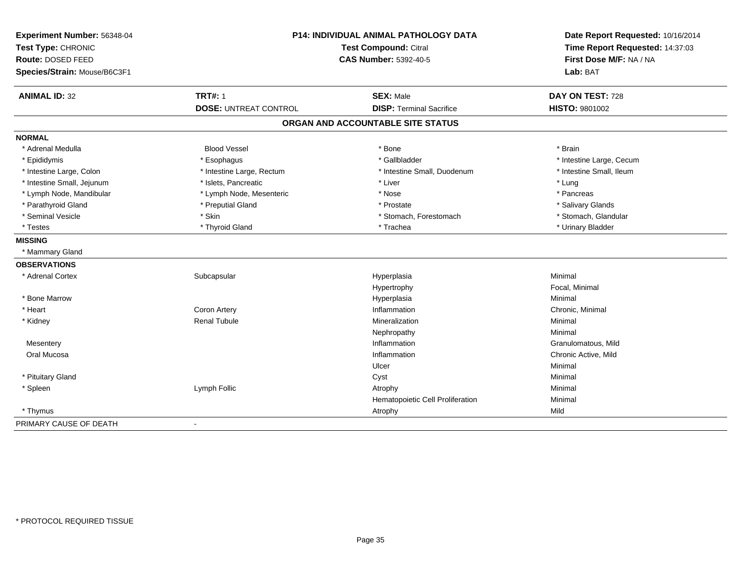| Experiment Number: 56348-04<br>Test Type: CHRONIC |                              | <b>P14: INDIVIDUAL ANIMAL PATHOLOGY DATA</b><br><b>Test Compound: Citral</b> | Date Report Requested: 10/16/2014<br>Time Report Requested: 14:37:03<br>First Dose M/F: NA / NA |
|---------------------------------------------------|------------------------------|------------------------------------------------------------------------------|-------------------------------------------------------------------------------------------------|
| Route: DOSED FEED                                 |                              | <b>CAS Number: 5392-40-5</b>                                                 |                                                                                                 |
| Species/Strain: Mouse/B6C3F1                      |                              |                                                                              | Lab: BAT                                                                                        |
| <b>ANIMAL ID: 32</b>                              | <b>TRT#: 1</b>               | <b>SEX: Male</b>                                                             | DAY ON TEST: 728                                                                                |
|                                                   | <b>DOSE: UNTREAT CONTROL</b> | <b>DISP: Terminal Sacrifice</b>                                              | <b>HISTO: 9801002</b>                                                                           |
|                                                   |                              | ORGAN AND ACCOUNTABLE SITE STATUS                                            |                                                                                                 |
| <b>NORMAL</b>                                     |                              |                                                                              |                                                                                                 |
| * Adrenal Medulla                                 | <b>Blood Vessel</b>          | * Bone                                                                       | * Brain                                                                                         |
| * Epididymis                                      | * Esophagus                  | * Gallbladder                                                                | * Intestine Large, Cecum                                                                        |
| * Intestine Large, Colon                          | * Intestine Large, Rectum    | * Intestine Small, Duodenum                                                  | * Intestine Small, Ileum                                                                        |
| * Intestine Small, Jejunum                        | * Islets, Pancreatic         | * Liver                                                                      | * Lung                                                                                          |
| * Lymph Node, Mandibular                          | * Lymph Node, Mesenteric     | * Nose                                                                       | * Pancreas                                                                                      |
| * Parathyroid Gland                               | * Preputial Gland            | * Prostate                                                                   | * Salivary Glands                                                                               |
| * Seminal Vesicle                                 | * Skin                       | * Stomach, Forestomach                                                       | * Stomach, Glandular                                                                            |
| * Testes                                          | * Thyroid Gland              | * Trachea                                                                    | * Urinary Bladder                                                                               |
| <b>MISSING</b>                                    |                              |                                                                              |                                                                                                 |
| * Mammary Gland                                   |                              |                                                                              |                                                                                                 |
| <b>OBSERVATIONS</b>                               |                              |                                                                              |                                                                                                 |
| * Adrenal Cortex                                  | Subcapsular                  | Hyperplasia                                                                  | Minimal                                                                                         |
|                                                   |                              | Hypertrophy                                                                  | Focal, Minimal                                                                                  |
| * Bone Marrow                                     |                              | Hyperplasia                                                                  | Minimal                                                                                         |
| * Heart                                           | Coron Artery                 | Inflammation                                                                 | Chronic, Minimal                                                                                |
| * Kidney                                          | <b>Renal Tubule</b>          | Mineralization                                                               | Minimal                                                                                         |
|                                                   |                              | Nephropathy                                                                  | Minimal                                                                                         |
| Mesentery                                         |                              | Inflammation                                                                 | Granulomatous, Mild                                                                             |
| Oral Mucosa                                       |                              | Inflammation                                                                 | Chronic Active, Mild                                                                            |
|                                                   |                              | Ulcer                                                                        | Minimal                                                                                         |
| * Pituitary Gland                                 |                              | Cyst                                                                         | Minimal                                                                                         |
| * Spleen                                          | Lymph Follic                 | Atrophy                                                                      | Minimal                                                                                         |
|                                                   |                              | Hematopoietic Cell Proliferation                                             | Minimal                                                                                         |
| * Thymus                                          |                              | Atrophy                                                                      | Mild                                                                                            |
| PRIMARY CAUSE OF DEATH                            | ä,                           |                                                                              |                                                                                                 |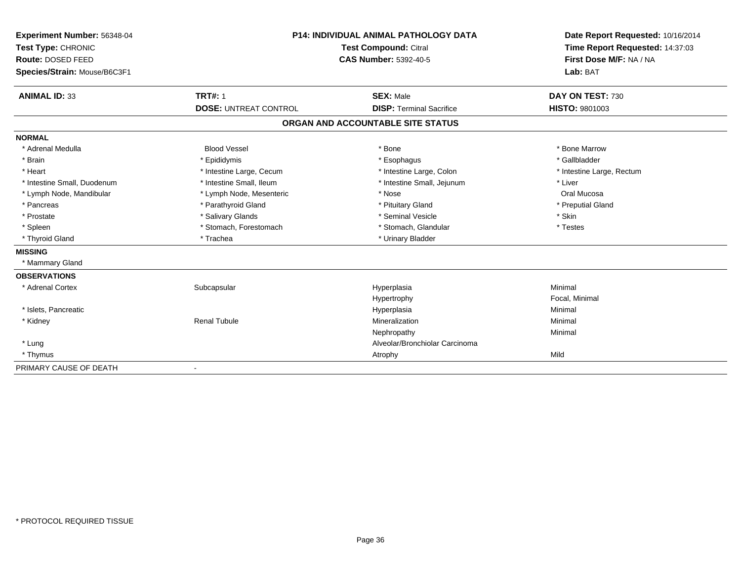| Experiment Number: 56348-04<br>Test Type: CHRONIC | <b>P14: INDIVIDUAL ANIMAL PATHOLOGY DATA</b><br><b>Test Compound: Citral</b><br><b>CAS Number: 5392-40-5</b> |                                   | Date Report Requested: 10/16/2014<br>Time Report Requested: 14:37:03<br>First Dose M/F: NA / NA<br>Lab: BAT |
|---------------------------------------------------|--------------------------------------------------------------------------------------------------------------|-----------------------------------|-------------------------------------------------------------------------------------------------------------|
| Route: DOSED FEED                                 |                                                                                                              |                                   |                                                                                                             |
| Species/Strain: Mouse/B6C3F1                      |                                                                                                              |                                   |                                                                                                             |
| <b>ANIMAL ID: 33</b>                              | <b>TRT#: 1</b>                                                                                               | <b>SEX: Male</b>                  | DAY ON TEST: 730                                                                                            |
|                                                   | <b>DOSE: UNTREAT CONTROL</b>                                                                                 | <b>DISP: Terminal Sacrifice</b>   | <b>HISTO: 9801003</b>                                                                                       |
|                                                   |                                                                                                              | ORGAN AND ACCOUNTABLE SITE STATUS |                                                                                                             |
| <b>NORMAL</b>                                     |                                                                                                              |                                   |                                                                                                             |
| * Adrenal Medulla                                 | <b>Blood Vessel</b>                                                                                          | * Bone                            | * Bone Marrow                                                                                               |
| * Brain                                           | * Epididymis                                                                                                 | * Esophagus                       | * Gallbladder                                                                                               |
| * Heart                                           | * Intestine Large, Cecum                                                                                     | * Intestine Large, Colon          | * Intestine Large, Rectum                                                                                   |
| * Intestine Small, Duodenum                       | * Intestine Small, Ileum                                                                                     | * Intestine Small, Jejunum        | * Liver                                                                                                     |
| * Lymph Node, Mandibular                          | * Lymph Node, Mesenteric                                                                                     | * Nose                            | Oral Mucosa                                                                                                 |
| * Pancreas                                        | * Parathyroid Gland                                                                                          | * Pituitary Gland                 | * Preputial Gland                                                                                           |
| * Prostate                                        | * Salivary Glands                                                                                            | * Seminal Vesicle                 | * Skin                                                                                                      |
| * Spleen                                          | * Stomach, Forestomach                                                                                       | * Stomach, Glandular              | * Testes                                                                                                    |
| * Thyroid Gland                                   | * Trachea                                                                                                    | * Urinary Bladder                 |                                                                                                             |
| <b>MISSING</b>                                    |                                                                                                              |                                   |                                                                                                             |
| * Mammary Gland                                   |                                                                                                              |                                   |                                                                                                             |
| <b>OBSERVATIONS</b>                               |                                                                                                              |                                   |                                                                                                             |
| * Adrenal Cortex                                  | Subcapsular                                                                                                  | Hyperplasia                       | Minimal                                                                                                     |
|                                                   |                                                                                                              | Hypertrophy                       | Focal, Minimal                                                                                              |
| * Islets, Pancreatic                              |                                                                                                              | Hyperplasia                       | Minimal                                                                                                     |
| * Kidney                                          | <b>Renal Tubule</b>                                                                                          | Mineralization                    | Minimal                                                                                                     |
|                                                   |                                                                                                              | Nephropathy                       | Minimal                                                                                                     |
| * Lung                                            |                                                                                                              | Alveolar/Bronchiolar Carcinoma    |                                                                                                             |
| * Thymus                                          |                                                                                                              | Atrophy                           | Mild                                                                                                        |
| PRIMARY CAUSE OF DEATH                            | $\overline{\phantom{a}}$                                                                                     |                                   |                                                                                                             |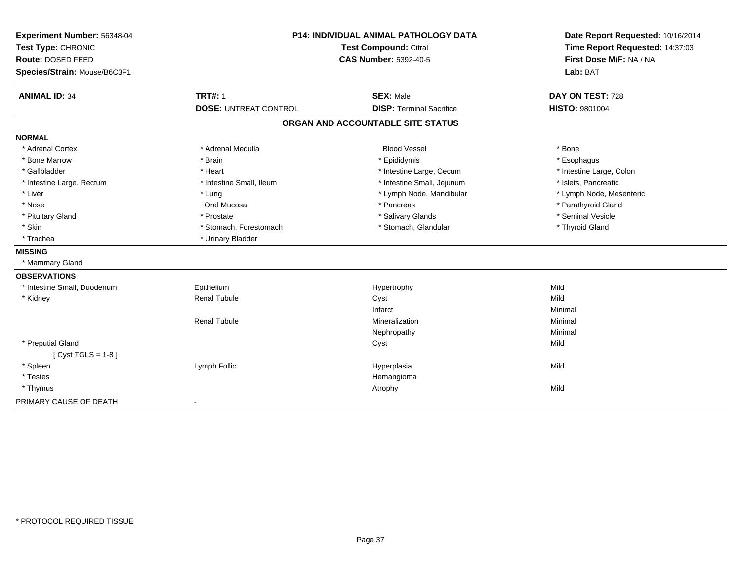| Experiment Number: 56348-04<br>Test Type: CHRONIC<br>Route: DOSED FEED<br>Species/Strain: Mouse/B6C3F1 |                              | P14: INDIVIDUAL ANIMAL PATHOLOGY DATA<br><b>Test Compound: Citral</b><br><b>CAS Number: 5392-40-5</b> | Date Report Requested: 10/16/2014<br>Time Report Requested: 14:37:03<br>First Dose M/F: NA / NA<br>Lab: BAT |
|--------------------------------------------------------------------------------------------------------|------------------------------|-------------------------------------------------------------------------------------------------------|-------------------------------------------------------------------------------------------------------------|
| <b>ANIMAL ID: 34</b>                                                                                   | <b>TRT#: 1</b>               | <b>SEX: Male</b>                                                                                      | DAY ON TEST: 728                                                                                            |
|                                                                                                        | <b>DOSE: UNTREAT CONTROL</b> | <b>DISP: Terminal Sacrifice</b>                                                                       | <b>HISTO: 9801004</b>                                                                                       |
|                                                                                                        |                              | ORGAN AND ACCOUNTABLE SITE STATUS                                                                     |                                                                                                             |
| <b>NORMAL</b>                                                                                          |                              |                                                                                                       |                                                                                                             |
| * Adrenal Cortex                                                                                       | * Adrenal Medulla            | <b>Blood Vessel</b>                                                                                   | * Bone                                                                                                      |
| * Bone Marrow                                                                                          | * Brain                      | * Epididymis                                                                                          | * Esophagus                                                                                                 |
| * Gallbladder                                                                                          | * Heart                      | * Intestine Large, Cecum                                                                              | * Intestine Large, Colon                                                                                    |
| * Intestine Large, Rectum                                                                              | * Intestine Small, Ileum     | * Intestine Small, Jejunum                                                                            | * Islets, Pancreatic                                                                                        |
| * Liver                                                                                                | * Lung                       | * Lymph Node, Mandibular                                                                              | * Lymph Node, Mesenteric                                                                                    |
| * Nose                                                                                                 | Oral Mucosa                  | * Pancreas                                                                                            | * Parathyroid Gland                                                                                         |
| * Pituitary Gland                                                                                      | * Prostate                   | * Salivary Glands                                                                                     | * Seminal Vesicle                                                                                           |
| * Skin                                                                                                 | * Stomach, Forestomach       | * Stomach, Glandular                                                                                  | * Thyroid Gland                                                                                             |
| * Trachea                                                                                              | * Urinary Bladder            |                                                                                                       |                                                                                                             |
| <b>MISSING</b>                                                                                         |                              |                                                                                                       |                                                                                                             |
| * Mammary Gland                                                                                        |                              |                                                                                                       |                                                                                                             |
| <b>OBSERVATIONS</b>                                                                                    |                              |                                                                                                       |                                                                                                             |
| * Intestine Small, Duodenum                                                                            | Epithelium                   | Hypertrophy                                                                                           | Mild                                                                                                        |
| * Kidney                                                                                               | <b>Renal Tubule</b>          | Cyst                                                                                                  | Mild                                                                                                        |
|                                                                                                        |                              | Infarct                                                                                               | Minimal                                                                                                     |
|                                                                                                        | <b>Renal Tubule</b>          | Mineralization                                                                                        | Minimal                                                                                                     |
|                                                                                                        |                              | Nephropathy                                                                                           | Minimal                                                                                                     |
| * Preputial Gland                                                                                      |                              | Cyst                                                                                                  | Mild                                                                                                        |
| [ $Cyst TGLS = 1-8$ ]                                                                                  |                              |                                                                                                       |                                                                                                             |
| * Spleen                                                                                               | Lymph Follic                 | Hyperplasia                                                                                           | Mild                                                                                                        |
| * Testes                                                                                               |                              | Hemangioma                                                                                            |                                                                                                             |
| * Thymus                                                                                               |                              | Atrophy                                                                                               | Mild                                                                                                        |
| PRIMARY CAUSE OF DEATH                                                                                 |                              |                                                                                                       |                                                                                                             |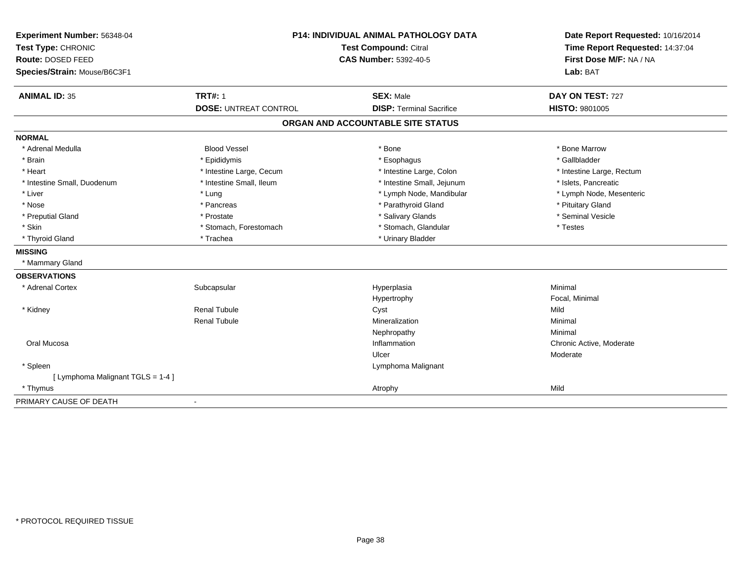| Experiment Number: 56348-04<br>Test Type: CHRONIC<br>Route: DOSED FEED<br>Species/Strain: Mouse/B6C3F1 | <b>P14: INDIVIDUAL ANIMAL PATHOLOGY DATA</b><br>Test Compound: Citral<br><b>CAS Number: 5392-40-5</b> |                                   | Date Report Requested: 10/16/2014<br>Time Report Requested: 14:37:04<br>First Dose M/F: NA / NA<br>Lab: BAT |  |
|--------------------------------------------------------------------------------------------------------|-------------------------------------------------------------------------------------------------------|-----------------------------------|-------------------------------------------------------------------------------------------------------------|--|
| <b>ANIMAL ID: 35</b>                                                                                   | <b>TRT#: 1</b>                                                                                        | <b>SEX: Male</b>                  | DAY ON TEST: 727                                                                                            |  |
|                                                                                                        | <b>DOSE: UNTREAT CONTROL</b>                                                                          | <b>DISP: Terminal Sacrifice</b>   | <b>HISTO: 9801005</b>                                                                                       |  |
|                                                                                                        |                                                                                                       | ORGAN AND ACCOUNTABLE SITE STATUS |                                                                                                             |  |
| <b>NORMAL</b>                                                                                          |                                                                                                       |                                   |                                                                                                             |  |
| * Adrenal Medulla                                                                                      | <b>Blood Vessel</b>                                                                                   | * Bone                            | * Bone Marrow                                                                                               |  |
| * Brain                                                                                                | * Epididymis                                                                                          | * Esophagus                       | * Gallbladder                                                                                               |  |
| * Heart                                                                                                | * Intestine Large, Cecum                                                                              | * Intestine Large, Colon          | * Intestine Large, Rectum                                                                                   |  |
| * Intestine Small, Duodenum                                                                            | * Intestine Small, Ileum                                                                              | * Intestine Small, Jejunum        | * Islets, Pancreatic                                                                                        |  |
| * Liver                                                                                                | * Lung                                                                                                | * Lymph Node, Mandibular          | * Lymph Node, Mesenteric                                                                                    |  |
| * Nose                                                                                                 | * Pancreas                                                                                            | * Parathyroid Gland               | * Pituitary Gland                                                                                           |  |
| * Preputial Gland                                                                                      | * Prostate                                                                                            | * Salivary Glands                 | * Seminal Vesicle                                                                                           |  |
| * Skin                                                                                                 | * Stomach, Forestomach                                                                                | * Stomach, Glandular              | * Testes                                                                                                    |  |
| * Thyroid Gland                                                                                        | * Trachea                                                                                             | * Urinary Bladder                 |                                                                                                             |  |
| <b>MISSING</b>                                                                                         |                                                                                                       |                                   |                                                                                                             |  |
| * Mammary Gland                                                                                        |                                                                                                       |                                   |                                                                                                             |  |
| <b>OBSERVATIONS</b>                                                                                    |                                                                                                       |                                   |                                                                                                             |  |
| * Adrenal Cortex                                                                                       | Subcapsular                                                                                           | Hyperplasia                       | Minimal                                                                                                     |  |
|                                                                                                        |                                                                                                       | Hypertrophy                       | Focal, Minimal                                                                                              |  |
| * Kidney                                                                                               | <b>Renal Tubule</b>                                                                                   | Cyst                              | Mild                                                                                                        |  |
|                                                                                                        | <b>Renal Tubule</b>                                                                                   | Mineralization                    | Minimal                                                                                                     |  |
|                                                                                                        |                                                                                                       | Nephropathy                       | Minimal                                                                                                     |  |
| Oral Mucosa                                                                                            |                                                                                                       | Inflammation                      | Chronic Active, Moderate                                                                                    |  |
|                                                                                                        |                                                                                                       | Ulcer                             | Moderate                                                                                                    |  |
| * Spleen                                                                                               |                                                                                                       | Lymphoma Malignant                |                                                                                                             |  |
| [ Lymphoma Malignant TGLS = 1-4 ]                                                                      |                                                                                                       |                                   |                                                                                                             |  |
| * Thymus                                                                                               |                                                                                                       | Atrophy                           | Mild                                                                                                        |  |
| PRIMARY CAUSE OF DEATH                                                                                 |                                                                                                       |                                   |                                                                                                             |  |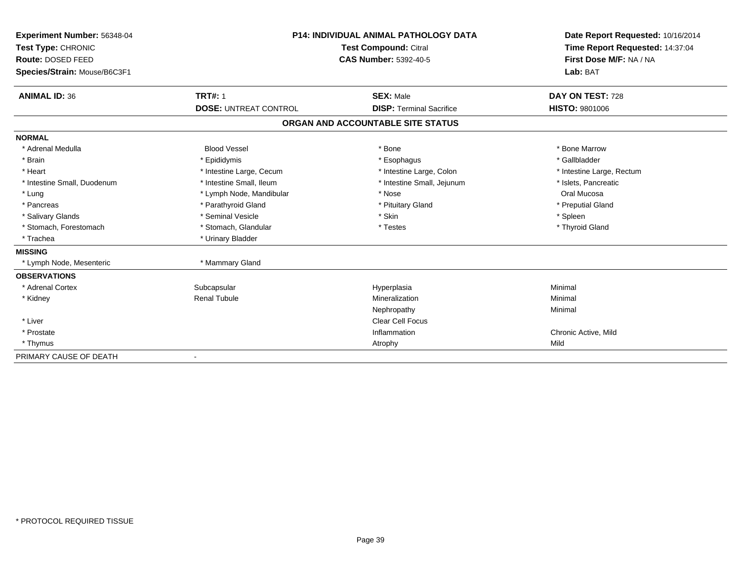| Experiment Number: 56348-04<br>Test Type: CHRONIC |                              | <b>P14: INDIVIDUAL ANIMAL PATHOLOGY DATA</b><br><b>Test Compound: Citral</b> | Date Report Requested: 10/16/2014<br>Time Report Requested: 14:37:04 |
|---------------------------------------------------|------------------------------|------------------------------------------------------------------------------|----------------------------------------------------------------------|
| Route: DOSED FEED                                 |                              | <b>CAS Number: 5392-40-5</b>                                                 | First Dose M/F: NA / NA                                              |
| Species/Strain: Mouse/B6C3F1                      |                              |                                                                              | Lab: BAT                                                             |
| <b>ANIMAL ID: 36</b>                              | <b>TRT#: 1</b>               | <b>SEX: Male</b>                                                             | DAY ON TEST: 728                                                     |
|                                                   | <b>DOSE: UNTREAT CONTROL</b> | <b>DISP: Terminal Sacrifice</b>                                              | <b>HISTO: 9801006</b>                                                |
|                                                   |                              | ORGAN AND ACCOUNTABLE SITE STATUS                                            |                                                                      |
| <b>NORMAL</b>                                     |                              |                                                                              |                                                                      |
| * Adrenal Medulla                                 | <b>Blood Vessel</b>          | * Bone                                                                       | * Bone Marrow                                                        |
| * Brain                                           | * Epididymis                 | * Esophagus                                                                  | * Gallbladder                                                        |
| * Heart                                           | * Intestine Large, Cecum     | * Intestine Large, Colon                                                     | * Intestine Large, Rectum                                            |
| * Intestine Small, Duodenum                       | * Intestine Small, Ileum     | * Intestine Small, Jejunum                                                   | * Islets, Pancreatic                                                 |
| * Lung                                            | * Lymph Node, Mandibular     | * Nose                                                                       | Oral Mucosa                                                          |
| * Pancreas                                        | * Parathyroid Gland          | * Pituitary Gland                                                            | * Preputial Gland                                                    |
| * Salivary Glands                                 | * Seminal Vesicle            | * Skin                                                                       | * Spleen                                                             |
| * Stomach, Forestomach                            | * Stomach, Glandular         | * Testes                                                                     | * Thyroid Gland                                                      |
| * Trachea                                         | * Urinary Bladder            |                                                                              |                                                                      |
| <b>MISSING</b>                                    |                              |                                                                              |                                                                      |
| * Lymph Node, Mesenteric                          | * Mammary Gland              |                                                                              |                                                                      |
| <b>OBSERVATIONS</b>                               |                              |                                                                              |                                                                      |
| * Adrenal Cortex                                  | Subcapsular                  | Hyperplasia                                                                  | Minimal                                                              |
| * Kidney                                          | <b>Renal Tubule</b>          | Mineralization                                                               | Minimal                                                              |
|                                                   |                              | Nephropathy                                                                  | Minimal                                                              |
| * Liver                                           |                              | <b>Clear Cell Focus</b>                                                      |                                                                      |
| * Prostate                                        |                              | Inflammation                                                                 | Chronic Active, Mild                                                 |
| * Thymus                                          |                              | Atrophy                                                                      | Mild                                                                 |
| PRIMARY CAUSE OF DEATH                            |                              |                                                                              |                                                                      |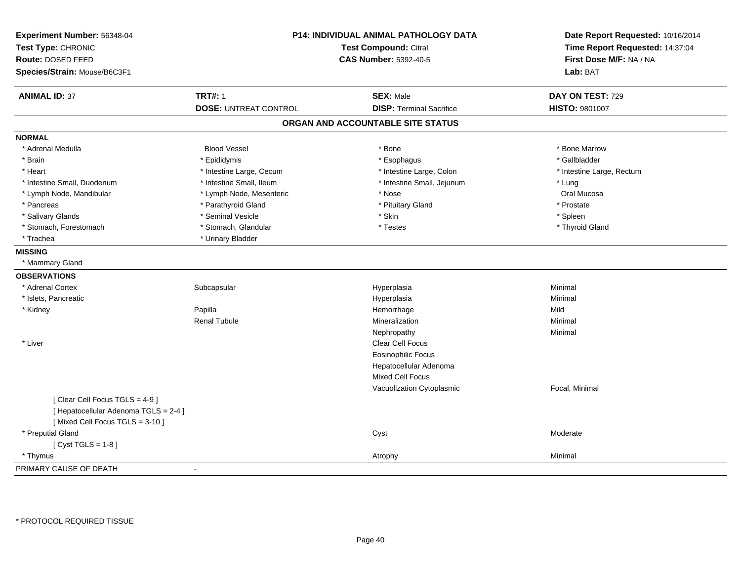| Experiment Number: 56348-04<br>Test Type: CHRONIC<br>Route: DOSED FEED<br>Species/Strain: Mouse/B6C3F1 | <b>P14: INDIVIDUAL ANIMAL PATHOLOGY DATA</b><br><b>Test Compound: Citral</b><br><b>CAS Number: 5392-40-5</b> |                                   | Date Report Requested: 10/16/2014<br>Time Report Requested: 14:37:04<br>First Dose M/F: NA / NA<br>Lab: BAT |
|--------------------------------------------------------------------------------------------------------|--------------------------------------------------------------------------------------------------------------|-----------------------------------|-------------------------------------------------------------------------------------------------------------|
| <b>ANIMAL ID: 37</b>                                                                                   | <b>TRT#: 1</b>                                                                                               | <b>SEX: Male</b>                  | DAY ON TEST: 729                                                                                            |
|                                                                                                        | <b>DOSE: UNTREAT CONTROL</b>                                                                                 | <b>DISP: Terminal Sacrifice</b>   | HISTO: 9801007                                                                                              |
|                                                                                                        |                                                                                                              | ORGAN AND ACCOUNTABLE SITE STATUS |                                                                                                             |
| <b>NORMAL</b>                                                                                          |                                                                                                              |                                   |                                                                                                             |
| * Adrenal Medulla                                                                                      | <b>Blood Vessel</b>                                                                                          | * Bone                            | * Bone Marrow                                                                                               |
| * Brain                                                                                                | * Epididymis                                                                                                 | * Esophagus                       | * Gallbladder                                                                                               |
| * Heart                                                                                                | * Intestine Large, Cecum                                                                                     | * Intestine Large, Colon          | * Intestine Large, Rectum                                                                                   |
| * Intestine Small, Duodenum                                                                            | * Intestine Small, Ileum                                                                                     | * Intestine Small, Jejunum        | * Lung                                                                                                      |
| * Lymph Node, Mandibular                                                                               | * Lymph Node, Mesenteric                                                                                     | * Nose                            | Oral Mucosa                                                                                                 |
| * Pancreas                                                                                             | * Parathyroid Gland                                                                                          | * Pituitary Gland                 | * Prostate                                                                                                  |
| * Salivary Glands                                                                                      | * Seminal Vesicle                                                                                            | * Skin                            | * Spleen                                                                                                    |
| * Stomach, Forestomach                                                                                 | * Stomach, Glandular                                                                                         | * Testes                          | * Thyroid Gland                                                                                             |
| * Trachea                                                                                              | * Urinary Bladder                                                                                            |                                   |                                                                                                             |
| <b>MISSING</b>                                                                                         |                                                                                                              |                                   |                                                                                                             |
| * Mammary Gland                                                                                        |                                                                                                              |                                   |                                                                                                             |
| <b>OBSERVATIONS</b>                                                                                    |                                                                                                              |                                   |                                                                                                             |
| * Adrenal Cortex                                                                                       | Subcapsular                                                                                                  | Hyperplasia                       | Minimal                                                                                                     |
| * Islets, Pancreatic                                                                                   |                                                                                                              | Hyperplasia                       | Minimal                                                                                                     |
| * Kidney                                                                                               | Papilla                                                                                                      | Hemorrhage                        | Mild                                                                                                        |
|                                                                                                        | <b>Renal Tubule</b>                                                                                          | Mineralization                    | Minimal                                                                                                     |
|                                                                                                        |                                                                                                              | Nephropathy                       | Minimal                                                                                                     |
| * Liver                                                                                                |                                                                                                              | Clear Cell Focus                  |                                                                                                             |
|                                                                                                        |                                                                                                              | <b>Eosinophilic Focus</b>         |                                                                                                             |
|                                                                                                        |                                                                                                              | Hepatocellular Adenoma            |                                                                                                             |
|                                                                                                        |                                                                                                              | Mixed Cell Focus                  |                                                                                                             |
|                                                                                                        |                                                                                                              | Vacuolization Cytoplasmic         | Focal, Minimal                                                                                              |
| [Clear Cell Focus TGLS = 4-9]                                                                          |                                                                                                              |                                   |                                                                                                             |
| [ Hepatocellular Adenoma TGLS = 2-4 ]<br>[Mixed Cell Focus TGLS = 3-10]                                |                                                                                                              |                                   |                                                                                                             |
| * Preputial Gland                                                                                      |                                                                                                              | Cyst                              | Moderate                                                                                                    |
| [Cyst TGLS = $1-8$ ]                                                                                   |                                                                                                              |                                   |                                                                                                             |
| * Thymus                                                                                               |                                                                                                              | Atrophy                           | Minimal                                                                                                     |
| PRIMARY CAUSE OF DEATH                                                                                 | $\sim$                                                                                                       |                                   |                                                                                                             |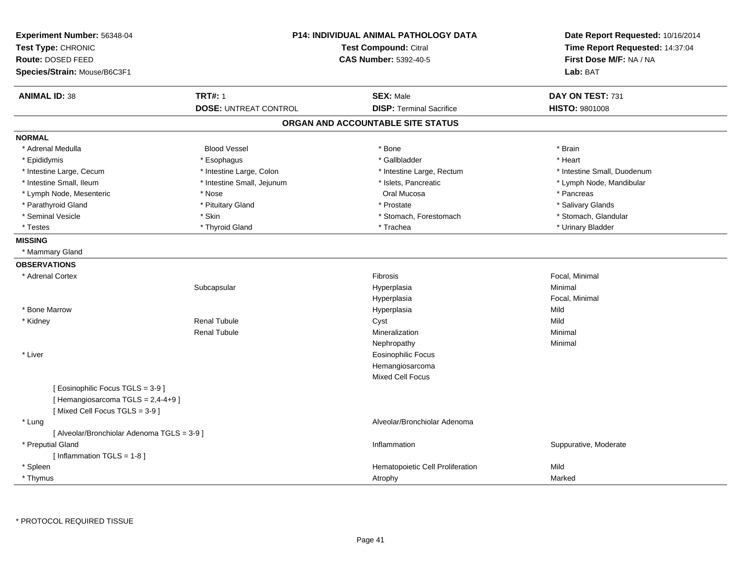| Experiment Number: 56348-04<br>Test Type: CHRONIC | <b>P14: INDIVIDUAL ANIMAL PATHOLOGY DATA</b><br>Test Compound: Citral |                                   | Date Report Requested: 10/16/2014<br>Time Report Requested: 14:37:04 |
|---------------------------------------------------|-----------------------------------------------------------------------|-----------------------------------|----------------------------------------------------------------------|
| Route: DOSED FEED                                 |                                                                       | <b>CAS Number: 5392-40-5</b>      | First Dose M/F: NA / NA                                              |
| Species/Strain: Mouse/B6C3F1                      |                                                                       |                                   | Lab: BAT                                                             |
| <b>ANIMAL ID: 38</b>                              | <b>TRT#: 1</b>                                                        | <b>SEX: Male</b>                  | DAY ON TEST: 731                                                     |
|                                                   | <b>DOSE: UNTREAT CONTROL</b>                                          | <b>DISP: Terminal Sacrifice</b>   | HISTO: 9801008                                                       |
|                                                   |                                                                       | ORGAN AND ACCOUNTABLE SITE STATUS |                                                                      |
| <b>NORMAL</b>                                     |                                                                       |                                   |                                                                      |
| * Adrenal Medulla                                 | <b>Blood Vessel</b>                                                   | * Bone                            | * Brain                                                              |
| * Epididymis                                      | * Esophagus                                                           | * Gallbladder                     | * Heart                                                              |
| * Intestine Large, Cecum                          | * Intestine Large, Colon                                              | * Intestine Large, Rectum         | * Intestine Small, Duodenum                                          |
| * Intestine Small, Ileum                          | * Intestine Small, Jejunum                                            | * Islets, Pancreatic              | * Lymph Node, Mandibular                                             |
| * Lymph Node, Mesenteric                          | * Nose                                                                | Oral Mucosa                       | * Pancreas                                                           |
| * Parathyroid Gland                               | * Pituitary Gland                                                     | * Prostate                        | * Salivary Glands                                                    |
| * Seminal Vesicle                                 | * Skin                                                                | * Stomach, Forestomach            | * Stomach, Glandular                                                 |
| * Testes                                          | * Thyroid Gland                                                       | * Trachea                         | * Urinary Bladder                                                    |
| <b>MISSING</b>                                    |                                                                       |                                   |                                                                      |
| * Mammary Gland                                   |                                                                       |                                   |                                                                      |
| <b>OBSERVATIONS</b>                               |                                                                       |                                   |                                                                      |
| * Adrenal Cortex                                  |                                                                       | Fibrosis                          | Focal, Minimal                                                       |
|                                                   | Subcapsular                                                           | Hyperplasia                       | Minimal                                                              |
|                                                   |                                                                       | Hyperplasia                       | Focal, Minimal                                                       |
| * Bone Marrow                                     |                                                                       | Hyperplasia                       | Mild                                                                 |
| * Kidney                                          | <b>Renal Tubule</b>                                                   | Cyst                              | Mild                                                                 |
|                                                   | <b>Renal Tubule</b>                                                   | Mineralization                    | Minimal                                                              |
|                                                   |                                                                       | Nephropathy                       | Minimal                                                              |
| * Liver                                           |                                                                       | Eosinophilic Focus                |                                                                      |
|                                                   |                                                                       | Hemangiosarcoma                   |                                                                      |
|                                                   |                                                                       | <b>Mixed Cell Focus</b>           |                                                                      |
| [ Eosinophilic Focus TGLS = 3-9 ]                 |                                                                       |                                   |                                                                      |
| [Hemangiosarcoma TGLS = 2,4-4+9]                  |                                                                       |                                   |                                                                      |
| [Mixed Cell Focus TGLS = 3-9]                     |                                                                       |                                   |                                                                      |
| * Lung                                            |                                                                       | Alveolar/Bronchiolar Adenoma      |                                                                      |
| [ Alveolar/Bronchiolar Adenoma TGLS = 3-9 ]       |                                                                       |                                   |                                                                      |
| * Preputial Gland                                 |                                                                       | Inflammation                      | Suppurative, Moderate                                                |
| [ Inflammation TGLS = 1-8 ]                       |                                                                       |                                   |                                                                      |
| * Spleen                                          |                                                                       | Hematopoietic Cell Proliferation  | Mild                                                                 |
| * Thymus                                          |                                                                       | Atrophy                           | Marked                                                               |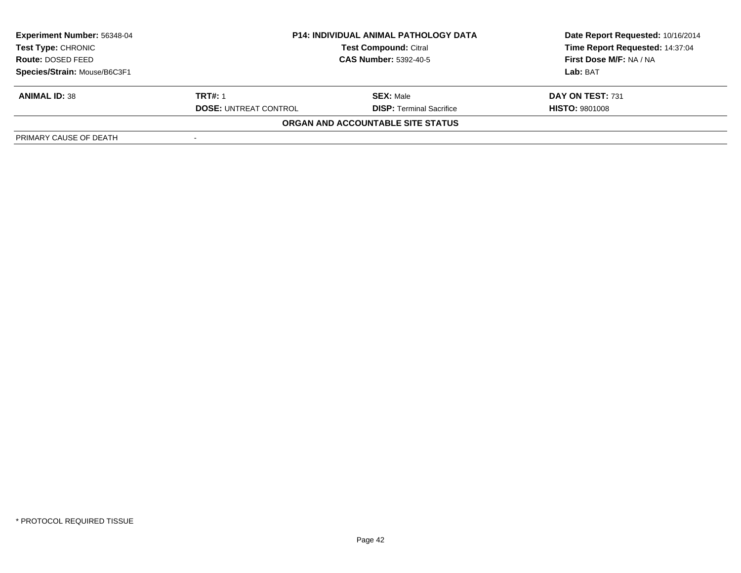| <b>Experiment Number: 56348-04</b> | <b>P14: INDIVIDUAL ANIMAL PATHOLOGY DATA</b> |                                   | Date Report Requested: 10/16/2014 |  |
|------------------------------------|----------------------------------------------|-----------------------------------|-----------------------------------|--|
| Test Type: CHRONIC                 |                                              | <b>Test Compound: Citral</b>      | Time Report Requested: 14:37:04   |  |
| <b>Route: DOSED FEED</b>           | <b>CAS Number: 5392-40-5</b>                 |                                   | First Dose M/F: NA / NA           |  |
| Species/Strain: Mouse/B6C3F1       |                                              |                                   | Lab: BAT                          |  |
| <b>ANIMAL ID: 38</b>               | <b>TRT#: 1</b>                               | <b>SEX:</b> Male                  | DAY ON TEST: 731                  |  |
|                                    | <b>DOSE: UNTREAT CONTROL</b>                 | <b>DISP: Terminal Sacrifice</b>   | <b>HISTO: 9801008</b>             |  |
|                                    |                                              | ORGAN AND ACCOUNTABLE SITE STATUS |                                   |  |
| PRIMARY CAUSE OF DEATH             |                                              |                                   |                                   |  |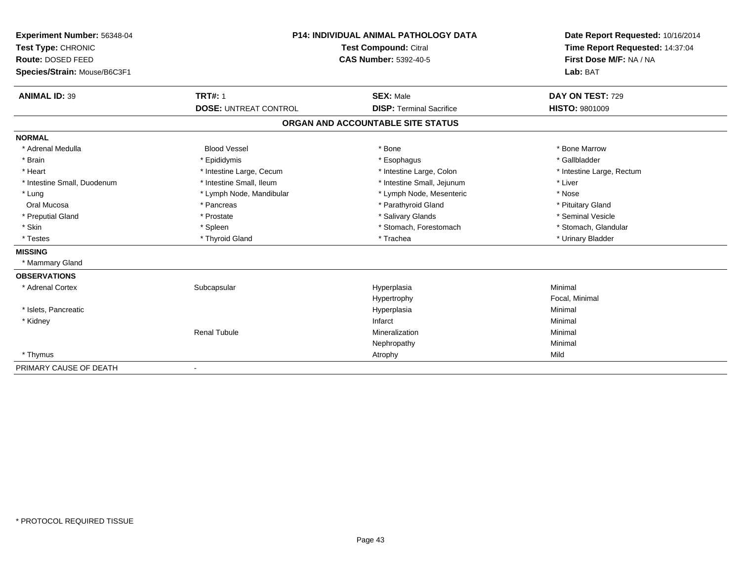| Experiment Number: 56348-04  | P14: INDIVIDUAL ANIMAL PATHOLOGY DATA<br><b>Test Compound: Citral</b><br><b>CAS Number: 5392-40-5</b> |                                   | Date Report Requested: 10/16/2014<br>Time Report Requested: 14:37:04 |  |
|------------------------------|-------------------------------------------------------------------------------------------------------|-----------------------------------|----------------------------------------------------------------------|--|
| Test Type: CHRONIC           |                                                                                                       |                                   |                                                                      |  |
| Route: DOSED FEED            |                                                                                                       |                                   | First Dose M/F: NA / NA                                              |  |
| Species/Strain: Mouse/B6C3F1 |                                                                                                       |                                   | Lab: BAT                                                             |  |
|                              |                                                                                                       |                                   |                                                                      |  |
| <b>ANIMAL ID: 39</b>         | <b>TRT#: 1</b>                                                                                        | <b>SEX: Male</b>                  | DAY ON TEST: 729                                                     |  |
|                              | <b>DOSE: UNTREAT CONTROL</b>                                                                          | <b>DISP: Terminal Sacrifice</b>   | <b>HISTO: 9801009</b>                                                |  |
|                              |                                                                                                       | ORGAN AND ACCOUNTABLE SITE STATUS |                                                                      |  |
| <b>NORMAL</b>                |                                                                                                       |                                   |                                                                      |  |
| * Adrenal Medulla            | <b>Blood Vessel</b>                                                                                   | * Bone                            | * Bone Marrow                                                        |  |
| * Brain                      | * Epididymis                                                                                          | * Esophagus                       | * Gallbladder                                                        |  |
| * Heart                      | * Intestine Large, Cecum                                                                              | * Intestine Large, Colon          | * Intestine Large, Rectum                                            |  |
| * Intestine Small, Duodenum  | * Intestine Small, Ileum                                                                              | * Intestine Small, Jejunum        | * Liver                                                              |  |
| * Lung                       | * Lymph Node, Mandibular                                                                              | * Lymph Node, Mesenteric          | * Nose                                                               |  |
| Oral Mucosa                  | * Pancreas                                                                                            | * Parathyroid Gland               | * Pituitary Gland                                                    |  |
| * Preputial Gland            | * Prostate                                                                                            | * Salivary Glands                 | * Seminal Vesicle                                                    |  |
| * Skin                       | * Spleen                                                                                              | * Stomach, Forestomach            | * Stomach, Glandular                                                 |  |
| * Testes                     | * Thyroid Gland                                                                                       | * Trachea                         | * Urinary Bladder                                                    |  |
| <b>MISSING</b>               |                                                                                                       |                                   |                                                                      |  |
| * Mammary Gland              |                                                                                                       |                                   |                                                                      |  |
| <b>OBSERVATIONS</b>          |                                                                                                       |                                   |                                                                      |  |
| * Adrenal Cortex             | Subcapsular                                                                                           | Hyperplasia                       | Minimal                                                              |  |
|                              |                                                                                                       | Hypertrophy                       | Focal, Minimal                                                       |  |
| * Islets, Pancreatic         |                                                                                                       | Hyperplasia                       | Minimal                                                              |  |
| * Kidney                     |                                                                                                       | Infarct                           | Minimal                                                              |  |
|                              | <b>Renal Tubule</b>                                                                                   | Mineralization                    | Minimal                                                              |  |
|                              |                                                                                                       | Nephropathy                       | Minimal                                                              |  |
| * Thymus                     |                                                                                                       | Atrophy                           | Mild                                                                 |  |
| PRIMARY CAUSE OF DEATH       | $\overline{\phantom{a}}$                                                                              |                                   |                                                                      |  |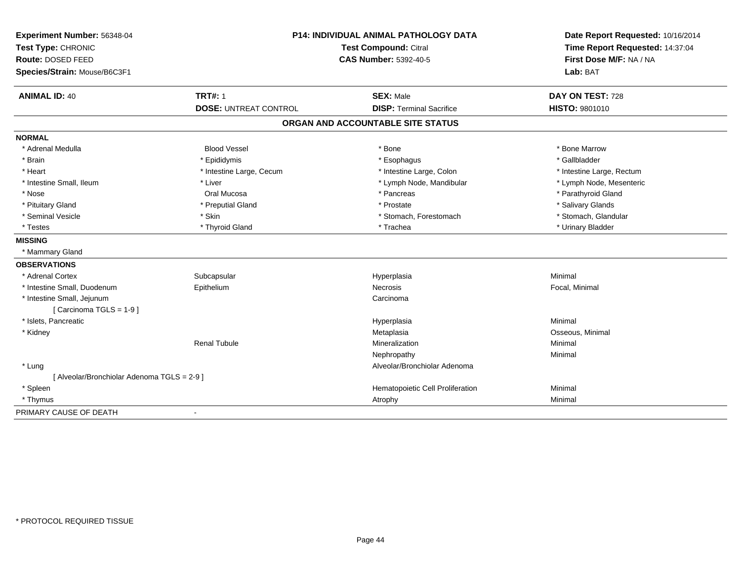| Experiment Number: 56348-04<br>Test Type: CHRONIC<br>Route: DOSED FEED<br>Species/Strain: Mouse/B6C3F1 | P14: INDIVIDUAL ANIMAL PATHOLOGY DATA<br><b>Test Compound: Citral</b><br><b>CAS Number: 5392-40-5</b> |                                   | Date Report Requested: 10/16/2014<br>Time Report Requested: 14:37:04<br>First Dose M/F: NA / NA<br>Lab: BAT |  |
|--------------------------------------------------------------------------------------------------------|-------------------------------------------------------------------------------------------------------|-----------------------------------|-------------------------------------------------------------------------------------------------------------|--|
| <b>ANIMAL ID: 40</b>                                                                                   | <b>TRT#: 1</b>                                                                                        | <b>SEX: Male</b>                  | DAY ON TEST: 728                                                                                            |  |
|                                                                                                        | <b>DOSE: UNTREAT CONTROL</b>                                                                          | <b>DISP: Terminal Sacrifice</b>   | HISTO: 9801010                                                                                              |  |
|                                                                                                        |                                                                                                       | ORGAN AND ACCOUNTABLE SITE STATUS |                                                                                                             |  |
| <b>NORMAL</b>                                                                                          |                                                                                                       |                                   |                                                                                                             |  |
| * Adrenal Medulla                                                                                      | <b>Blood Vessel</b>                                                                                   | * Bone                            | * Bone Marrow                                                                                               |  |
| * Brain                                                                                                | * Epididymis                                                                                          | * Esophagus                       | * Gallbladder                                                                                               |  |
| * Heart                                                                                                | * Intestine Large, Cecum                                                                              | * Intestine Large, Colon          | * Intestine Large, Rectum                                                                                   |  |
| * Intestine Small, Ileum                                                                               | * Liver                                                                                               | * Lymph Node, Mandibular          | * Lymph Node, Mesenteric                                                                                    |  |
| * Nose                                                                                                 | Oral Mucosa                                                                                           | * Pancreas                        | * Parathyroid Gland                                                                                         |  |
| * Pituitary Gland                                                                                      | * Preputial Gland                                                                                     | * Prostate                        | * Salivary Glands                                                                                           |  |
| * Seminal Vesicle                                                                                      | * Skin                                                                                                | * Stomach, Forestomach            | * Stomach, Glandular                                                                                        |  |
| * Testes                                                                                               | * Thyroid Gland                                                                                       | * Trachea                         | * Urinary Bladder                                                                                           |  |
| <b>MISSING</b>                                                                                         |                                                                                                       |                                   |                                                                                                             |  |
| * Mammary Gland                                                                                        |                                                                                                       |                                   |                                                                                                             |  |
| <b>OBSERVATIONS</b>                                                                                    |                                                                                                       |                                   |                                                                                                             |  |
| * Adrenal Cortex                                                                                       | Subcapsular                                                                                           | Hyperplasia                       | Minimal                                                                                                     |  |
| * Intestine Small, Duodenum                                                                            | Epithelium                                                                                            | Necrosis                          | Focal, Minimal                                                                                              |  |
| * Intestine Small, Jejunum                                                                             |                                                                                                       | Carcinoma                         |                                                                                                             |  |
| [Carcinoma TGLS = 1-9]                                                                                 |                                                                                                       |                                   |                                                                                                             |  |
| * Islets, Pancreatic                                                                                   |                                                                                                       | Hyperplasia                       | Minimal                                                                                                     |  |
| * Kidney                                                                                               |                                                                                                       | Metaplasia                        | Osseous, Minimal                                                                                            |  |
|                                                                                                        | <b>Renal Tubule</b>                                                                                   | Mineralization                    | Minimal                                                                                                     |  |
|                                                                                                        |                                                                                                       | Nephropathy                       | Minimal                                                                                                     |  |
| * Lung                                                                                                 |                                                                                                       | Alveolar/Bronchiolar Adenoma      |                                                                                                             |  |
| [ Alveolar/Bronchiolar Adenoma TGLS = 2-9 ]                                                            |                                                                                                       |                                   |                                                                                                             |  |
| * Spleen                                                                                               |                                                                                                       | Hematopoietic Cell Proliferation  | Minimal                                                                                                     |  |
| * Thymus                                                                                               |                                                                                                       | Atrophy                           | Minimal                                                                                                     |  |
| PRIMARY CAUSE OF DEATH                                                                                 | $\blacksquare$                                                                                        |                                   |                                                                                                             |  |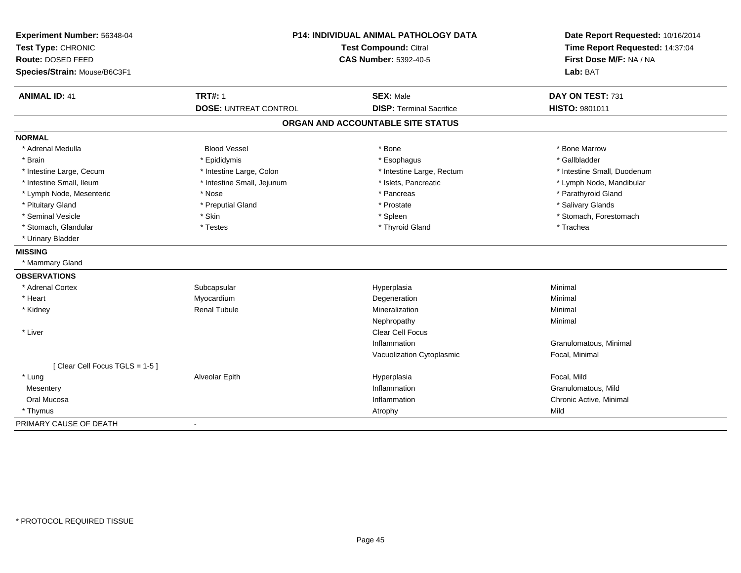| Experiment Number: 56348-04<br>Test Type: CHRONIC<br>Route: DOSED FEED<br>Species/Strain: Mouse/B6C3F1 | P14: INDIVIDUAL ANIMAL PATHOLOGY DATA<br><b>Test Compound: Citral</b><br><b>CAS Number: 5392-40-5</b> |                                   | Date Report Requested: 10/16/2014<br>Time Report Requested: 14:37:04<br>First Dose M/F: NA / NA<br>Lab: BAT |  |
|--------------------------------------------------------------------------------------------------------|-------------------------------------------------------------------------------------------------------|-----------------------------------|-------------------------------------------------------------------------------------------------------------|--|
|                                                                                                        |                                                                                                       |                                   |                                                                                                             |  |
| <b>ANIMAL ID: 41</b>                                                                                   | <b>TRT#: 1</b>                                                                                        | <b>SEX: Male</b>                  | DAY ON TEST: 731                                                                                            |  |
|                                                                                                        | <b>DOSE: UNTREAT CONTROL</b>                                                                          | <b>DISP: Terminal Sacrifice</b>   | HISTO: 9801011                                                                                              |  |
|                                                                                                        |                                                                                                       | ORGAN AND ACCOUNTABLE SITE STATUS |                                                                                                             |  |
| <b>NORMAL</b>                                                                                          |                                                                                                       |                                   |                                                                                                             |  |
| * Adrenal Medulla                                                                                      | <b>Blood Vessel</b>                                                                                   | * Bone                            | * Bone Marrow                                                                                               |  |
| * Brain                                                                                                | * Epididymis                                                                                          | * Esophagus                       | * Gallbladder                                                                                               |  |
| * Intestine Large, Cecum                                                                               | * Intestine Large, Colon                                                                              | * Intestine Large, Rectum         | * Intestine Small, Duodenum                                                                                 |  |
| * Intestine Small, Ileum                                                                               | * Intestine Small, Jejunum                                                                            | * Islets, Pancreatic              | * Lymph Node, Mandibular                                                                                    |  |
| * Lymph Node, Mesenteric                                                                               | * Nose                                                                                                | * Pancreas                        | * Parathyroid Gland                                                                                         |  |
| * Pituitary Gland                                                                                      | * Preputial Gland                                                                                     | * Prostate                        | * Salivary Glands                                                                                           |  |
| * Seminal Vesicle                                                                                      | * Skin                                                                                                | * Spleen                          | * Stomach, Forestomach                                                                                      |  |
| * Stomach, Glandular                                                                                   | * Testes                                                                                              | * Thyroid Gland                   | * Trachea                                                                                                   |  |
| * Urinary Bladder                                                                                      |                                                                                                       |                                   |                                                                                                             |  |
| <b>MISSING</b>                                                                                         |                                                                                                       |                                   |                                                                                                             |  |
| * Mammary Gland                                                                                        |                                                                                                       |                                   |                                                                                                             |  |
| <b>OBSERVATIONS</b>                                                                                    |                                                                                                       |                                   |                                                                                                             |  |
| * Adrenal Cortex                                                                                       | Subcapsular                                                                                           | Hyperplasia                       | Minimal                                                                                                     |  |
| * Heart                                                                                                | Myocardium                                                                                            | Degeneration                      | Minimal                                                                                                     |  |
| * Kidney                                                                                               | <b>Renal Tubule</b>                                                                                   | Mineralization                    | Minimal                                                                                                     |  |
|                                                                                                        |                                                                                                       | Nephropathy                       | Minimal                                                                                                     |  |
| * Liver                                                                                                |                                                                                                       | <b>Clear Cell Focus</b>           |                                                                                                             |  |
|                                                                                                        |                                                                                                       | Inflammation                      | Granulomatous, Minimal                                                                                      |  |
|                                                                                                        |                                                                                                       | Vacuolization Cytoplasmic         | Focal, Minimal                                                                                              |  |
| [Clear Cell Focus TGLS = 1-5]                                                                          |                                                                                                       |                                   |                                                                                                             |  |
| * Lung                                                                                                 | Alveolar Epith                                                                                        | Hyperplasia                       | Focal, Mild                                                                                                 |  |
| Mesentery                                                                                              |                                                                                                       | Inflammation                      | Granulomatous, Mild                                                                                         |  |
| Oral Mucosa                                                                                            |                                                                                                       | Inflammation                      | Chronic Active, Minimal                                                                                     |  |
| * Thymus                                                                                               |                                                                                                       | Atrophy                           | Mild                                                                                                        |  |
| PRIMARY CAUSE OF DEATH                                                                                 |                                                                                                       |                                   |                                                                                                             |  |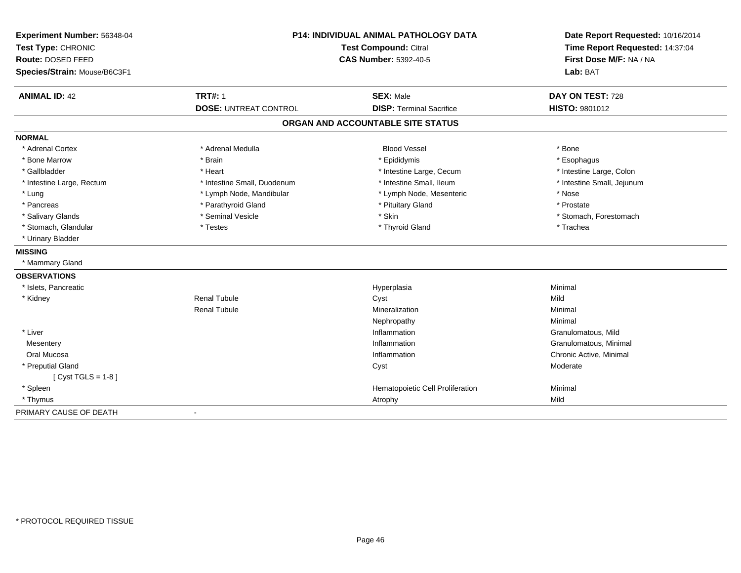| Experiment Number: 56348-04<br>Test Type: CHRONIC<br>Route: DOSED FEED<br>Species/Strain: Mouse/B6C3F1 | <b>P14: INDIVIDUAL ANIMAL PATHOLOGY DATA</b><br>Test Compound: Citral<br><b>CAS Number: 5392-40-5</b> |                                                     | Date Report Requested: 10/16/2014<br>Time Report Requested: 14:37:04<br>First Dose M/F: NA / NA<br>Lab: BAT |  |
|--------------------------------------------------------------------------------------------------------|-------------------------------------------------------------------------------------------------------|-----------------------------------------------------|-------------------------------------------------------------------------------------------------------------|--|
| <b>ANIMAL ID: 42</b>                                                                                   | <b>TRT#: 1</b><br><b>DOSE: UNTREAT CONTROL</b>                                                        | <b>SEX: Male</b><br><b>DISP: Terminal Sacrifice</b> | DAY ON TEST: 728<br>HISTO: 9801012                                                                          |  |
|                                                                                                        |                                                                                                       |                                                     |                                                                                                             |  |
|                                                                                                        |                                                                                                       | ORGAN AND ACCOUNTABLE SITE STATUS                   |                                                                                                             |  |
| <b>NORMAL</b>                                                                                          |                                                                                                       |                                                     |                                                                                                             |  |
| * Adrenal Cortex                                                                                       | * Adrenal Medulla                                                                                     | <b>Blood Vessel</b>                                 | * Bone                                                                                                      |  |
| * Bone Marrow                                                                                          | * Brain                                                                                               | * Epididymis                                        | * Esophagus                                                                                                 |  |
| * Gallbladder                                                                                          | * Heart                                                                                               | * Intestine Large, Cecum                            | * Intestine Large, Colon                                                                                    |  |
| * Intestine Large, Rectum                                                                              | * Intestine Small, Duodenum                                                                           | * Intestine Small, Ileum                            | * Intestine Small, Jejunum                                                                                  |  |
| $*$ Lung                                                                                               | * Lymph Node, Mandibular                                                                              | * Lymph Node, Mesenteric                            | * Nose                                                                                                      |  |
| * Pancreas                                                                                             | * Parathyroid Gland                                                                                   | * Pituitary Gland                                   | * Prostate                                                                                                  |  |
| * Salivary Glands                                                                                      | * Seminal Vesicle                                                                                     | * Skin                                              | * Stomach, Forestomach                                                                                      |  |
| * Stomach, Glandular                                                                                   | * Testes                                                                                              | * Thyroid Gland                                     | * Trachea                                                                                                   |  |
| * Urinary Bladder                                                                                      |                                                                                                       |                                                     |                                                                                                             |  |
| <b>MISSING</b>                                                                                         |                                                                                                       |                                                     |                                                                                                             |  |
| * Mammary Gland                                                                                        |                                                                                                       |                                                     |                                                                                                             |  |
| <b>OBSERVATIONS</b>                                                                                    |                                                                                                       |                                                     |                                                                                                             |  |
| * Islets, Pancreatic                                                                                   |                                                                                                       | Hyperplasia                                         | Minimal                                                                                                     |  |
| * Kidney                                                                                               | <b>Renal Tubule</b>                                                                                   | Cyst                                                | Mild                                                                                                        |  |
|                                                                                                        | <b>Renal Tubule</b>                                                                                   | Mineralization                                      | Minimal                                                                                                     |  |
|                                                                                                        |                                                                                                       | Nephropathy                                         | Minimal                                                                                                     |  |
| * Liver                                                                                                |                                                                                                       | Inflammation                                        | Granulomatous, Mild                                                                                         |  |
| Mesentery                                                                                              |                                                                                                       | Inflammation                                        | Granulomatous, Minimal                                                                                      |  |
| Oral Mucosa                                                                                            |                                                                                                       | Inflammation                                        | Chronic Active, Minimal                                                                                     |  |
| * Preputial Gland                                                                                      |                                                                                                       | Cyst                                                | Moderate                                                                                                    |  |
| [ $Cyst TGLS = 1-8$ ]                                                                                  |                                                                                                       |                                                     |                                                                                                             |  |
| * Spleen                                                                                               |                                                                                                       | Hematopoietic Cell Proliferation                    | Minimal                                                                                                     |  |
| * Thymus                                                                                               |                                                                                                       | Atrophy                                             | Mild                                                                                                        |  |
| PRIMARY CAUSE OF DEATH                                                                                 |                                                                                                       |                                                     |                                                                                                             |  |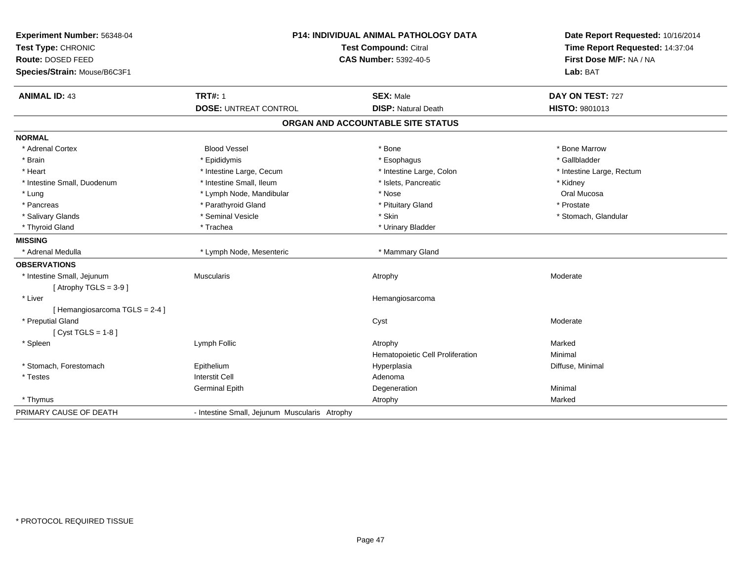| Experiment Number: 56348-04<br>Test Type: CHRONIC<br>Route: DOSED FEED<br>Species/Strain: Mouse/B6C3F1 | P14: INDIVIDUAL ANIMAL PATHOLOGY DATA<br><b>Test Compound: Citral</b><br><b>CAS Number: 5392-40-5</b> |                                                | Date Report Requested: 10/16/2014<br>Time Report Requested: 14:37:04<br>First Dose M/F: NA / NA<br>Lab: BAT |  |
|--------------------------------------------------------------------------------------------------------|-------------------------------------------------------------------------------------------------------|------------------------------------------------|-------------------------------------------------------------------------------------------------------------|--|
| <b>ANIMAL ID: 43</b>                                                                                   | <b>TRT#: 1</b><br><b>DOSE: UNTREAT CONTROL</b>                                                        | <b>SEX: Male</b><br><b>DISP: Natural Death</b> | DAY ON TEST: 727<br>HISTO: 9801013                                                                          |  |
|                                                                                                        |                                                                                                       | ORGAN AND ACCOUNTABLE SITE STATUS              |                                                                                                             |  |
| <b>NORMAL</b>                                                                                          |                                                                                                       |                                                |                                                                                                             |  |
| * Adrenal Cortex                                                                                       | <b>Blood Vessel</b>                                                                                   | * Bone                                         | * Bone Marrow                                                                                               |  |
| * Brain                                                                                                | * Epididymis                                                                                          | * Esophagus                                    | * Gallbladder                                                                                               |  |
| * Heart                                                                                                | * Intestine Large, Cecum                                                                              | * Intestine Large, Colon                       | * Intestine Large, Rectum                                                                                   |  |
| * Intestine Small, Duodenum                                                                            | * Intestine Small, Ileum                                                                              | * Islets, Pancreatic                           | * Kidney                                                                                                    |  |
| * Lung                                                                                                 | * Lymph Node, Mandibular                                                                              | * Nose                                         | Oral Mucosa                                                                                                 |  |
| * Pancreas                                                                                             | * Parathyroid Gland                                                                                   | * Pituitary Gland                              | * Prostate                                                                                                  |  |
| * Salivary Glands                                                                                      | * Seminal Vesicle                                                                                     | * Skin                                         | * Stomach, Glandular                                                                                        |  |
| * Thyroid Gland                                                                                        | * Trachea                                                                                             | * Urinary Bladder                              |                                                                                                             |  |
| <b>MISSING</b>                                                                                         |                                                                                                       |                                                |                                                                                                             |  |
| * Adrenal Medulla                                                                                      | * Lymph Node, Mesenteric                                                                              | * Mammary Gland                                |                                                                                                             |  |
| <b>OBSERVATIONS</b>                                                                                    |                                                                                                       |                                                |                                                                                                             |  |
| * Intestine Small, Jejunum                                                                             | <b>Muscularis</b>                                                                                     | Atrophy                                        | Moderate                                                                                                    |  |
| [Atrophy TGLS = $3-9$ ]                                                                                |                                                                                                       |                                                |                                                                                                             |  |
| * Liver                                                                                                |                                                                                                       | Hemangiosarcoma                                |                                                                                                             |  |
| [Hemangiosarcoma TGLS = 2-4]                                                                           |                                                                                                       |                                                |                                                                                                             |  |
| * Preputial Gland                                                                                      |                                                                                                       | Cyst                                           | Moderate                                                                                                    |  |
| [ $Cyst TGLS = 1-8$ ]                                                                                  |                                                                                                       |                                                |                                                                                                             |  |
| * Spleen                                                                                               | Lymph Follic                                                                                          | Atrophy                                        | Marked                                                                                                      |  |
|                                                                                                        |                                                                                                       | Hematopoietic Cell Proliferation               | Minimal                                                                                                     |  |
| * Stomach, Forestomach                                                                                 | Epithelium                                                                                            | Hyperplasia                                    | Diffuse, Minimal                                                                                            |  |
| * Testes                                                                                               | <b>Interstit Cell</b>                                                                                 | Adenoma                                        |                                                                                                             |  |
|                                                                                                        | <b>Germinal Epith</b>                                                                                 | Degeneration                                   | Minimal                                                                                                     |  |
| * Thymus                                                                                               |                                                                                                       | Atrophy                                        | Marked                                                                                                      |  |
| PRIMARY CAUSE OF DEATH                                                                                 | - Intestine Small, Jejunum Muscularis Atrophy                                                         |                                                |                                                                                                             |  |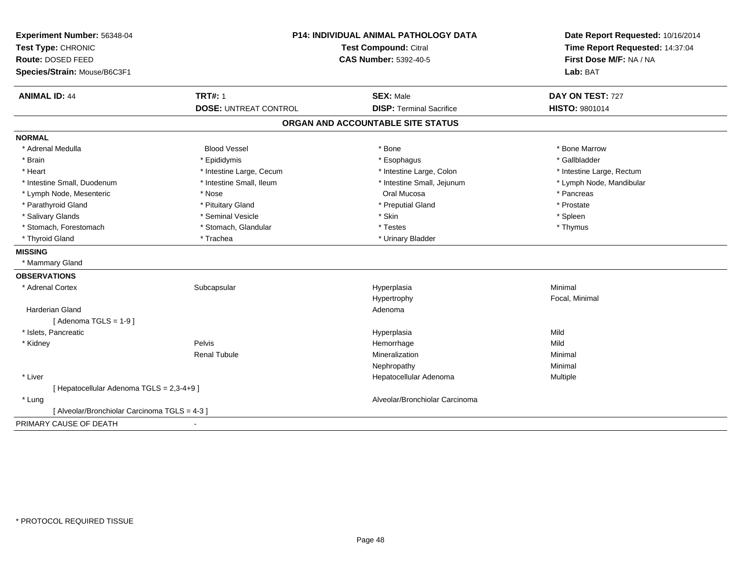| Experiment Number: 56348-04                   | <b>P14: INDIVIDUAL ANIMAL PATHOLOGY DATA</b><br>Test Compound: Citral<br><b>CAS Number: 5392-40-5</b> |                                   | Date Report Requested: 10/16/2014<br>Time Report Requested: 14:37:04 |
|-----------------------------------------------|-------------------------------------------------------------------------------------------------------|-----------------------------------|----------------------------------------------------------------------|
| Test Type: CHRONIC                            |                                                                                                       |                                   |                                                                      |
| Route: DOSED FEED                             |                                                                                                       |                                   | First Dose M/F: NA / NA                                              |
| Species/Strain: Mouse/B6C3F1                  |                                                                                                       |                                   | Lab: BAT                                                             |
| <b>ANIMAL ID: 44</b>                          | <b>TRT#: 1</b>                                                                                        | <b>SEX: Male</b>                  | DAY ON TEST: 727                                                     |
|                                               | <b>DOSE: UNTREAT CONTROL</b>                                                                          | <b>DISP: Terminal Sacrifice</b>   | HISTO: 9801014                                                       |
|                                               |                                                                                                       | ORGAN AND ACCOUNTABLE SITE STATUS |                                                                      |
| <b>NORMAL</b>                                 |                                                                                                       |                                   |                                                                      |
| * Adrenal Medulla                             | <b>Blood Vessel</b>                                                                                   | * Bone                            | * Bone Marrow                                                        |
| * Brain                                       | * Epididymis                                                                                          | * Esophagus                       | * Gallbladder                                                        |
| * Heart                                       | * Intestine Large, Cecum                                                                              | * Intestine Large, Colon          | * Intestine Large, Rectum                                            |
| * Intestine Small, Duodenum                   | * Intestine Small, Ileum                                                                              | * Intestine Small, Jejunum        | * Lymph Node, Mandibular                                             |
| * Lymph Node, Mesenteric                      | * Nose                                                                                                | Oral Mucosa                       | * Pancreas                                                           |
| * Parathyroid Gland                           | * Pituitary Gland                                                                                     | * Preputial Gland                 | * Prostate                                                           |
| * Salivary Glands                             | * Seminal Vesicle                                                                                     | * Skin                            | * Spleen                                                             |
| * Stomach, Forestomach                        | * Stomach, Glandular                                                                                  | * Testes                          | * Thymus                                                             |
| * Thyroid Gland                               | * Trachea                                                                                             | * Urinary Bladder                 |                                                                      |
| <b>MISSING</b>                                |                                                                                                       |                                   |                                                                      |
| * Mammary Gland                               |                                                                                                       |                                   |                                                                      |
| <b>OBSERVATIONS</b>                           |                                                                                                       |                                   |                                                                      |
| * Adrenal Cortex                              | Subcapsular                                                                                           | Hyperplasia                       | Minimal                                                              |
|                                               |                                                                                                       | Hypertrophy                       | Focal, Minimal                                                       |
| <b>Harderian Gland</b>                        |                                                                                                       | Adenoma                           |                                                                      |
| [Adenoma TGLS = $1-9$ ]                       |                                                                                                       |                                   |                                                                      |
| * Islets, Pancreatic                          |                                                                                                       | Hyperplasia                       | Mild                                                                 |
| * Kidney                                      | Pelvis                                                                                                | Hemorrhage                        | Mild                                                                 |
|                                               | <b>Renal Tubule</b>                                                                                   | Mineralization                    | Minimal                                                              |
|                                               |                                                                                                       | Nephropathy                       | Minimal                                                              |
| * Liver                                       |                                                                                                       | Hepatocellular Adenoma            | Multiple                                                             |
| [ Hepatocellular Adenoma TGLS = 2,3-4+9 ]     |                                                                                                       |                                   |                                                                      |
| * Lung                                        |                                                                                                       | Alveolar/Bronchiolar Carcinoma    |                                                                      |
| [ Alveolar/Bronchiolar Carcinoma TGLS = 4-3 ] |                                                                                                       |                                   |                                                                      |
| PRIMARY CAUSE OF DEATH                        |                                                                                                       |                                   |                                                                      |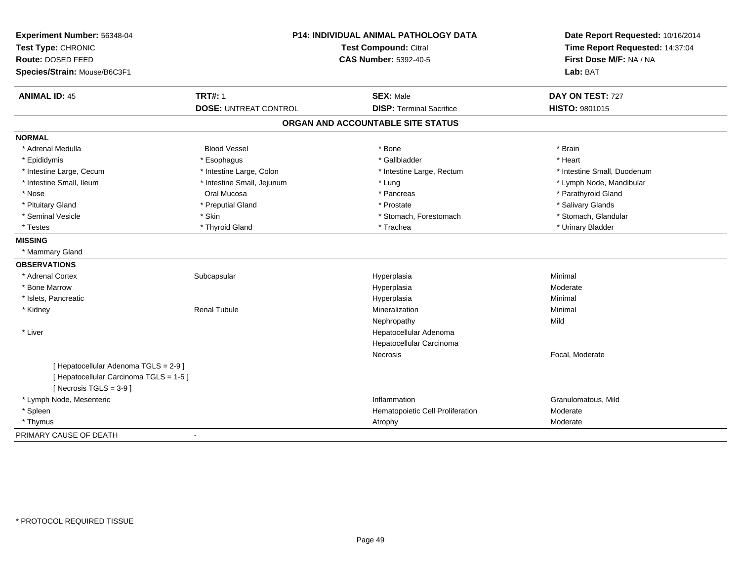| Experiment Number: 56348-04<br>Test Type: CHRONIC<br>Route: DOSED FEED<br>Species/Strain: Mouse/B6C3F1       | P14: INDIVIDUAL ANIMAL PATHOLOGY DATA<br>Test Compound: Citral<br><b>CAS Number: 5392-40-5</b> |                                                     | Date Report Requested: 10/16/2014<br>Time Report Requested: 14:37:04<br>First Dose M/F: NA / NA<br>Lab: BAT |  |
|--------------------------------------------------------------------------------------------------------------|------------------------------------------------------------------------------------------------|-----------------------------------------------------|-------------------------------------------------------------------------------------------------------------|--|
| <b>ANIMAL ID: 45</b>                                                                                         | <b>TRT#: 1</b>                                                                                 | <b>SEX: Male</b><br><b>DISP: Terminal Sacrifice</b> | DAY ON TEST: 727                                                                                            |  |
|                                                                                                              | <b>DOSE: UNTREAT CONTROL</b>                                                                   |                                                     | <b>HISTO: 9801015</b>                                                                                       |  |
|                                                                                                              |                                                                                                | ORGAN AND ACCOUNTABLE SITE STATUS                   |                                                                                                             |  |
| <b>NORMAL</b>                                                                                                |                                                                                                |                                                     |                                                                                                             |  |
| * Adrenal Medulla                                                                                            | <b>Blood Vessel</b>                                                                            | * Bone                                              | * Brain                                                                                                     |  |
| * Epididymis                                                                                                 | * Esophagus                                                                                    | * Gallbladder                                       | * Heart                                                                                                     |  |
| * Intestine Large, Cecum                                                                                     | * Intestine Large, Colon                                                                       | * Intestine Large, Rectum                           | * Intestine Small, Duodenum                                                                                 |  |
| * Intestine Small, Ileum                                                                                     | * Intestine Small, Jejunum                                                                     | * Lung                                              | * Lymph Node, Mandibular                                                                                    |  |
| * Nose                                                                                                       | Oral Mucosa                                                                                    | * Pancreas                                          | * Parathyroid Gland                                                                                         |  |
| * Pituitary Gland                                                                                            | * Preputial Gland                                                                              | * Prostate                                          | * Salivary Glands                                                                                           |  |
| * Seminal Vesicle                                                                                            | * Skin                                                                                         | * Stomach, Forestomach                              | * Stomach, Glandular                                                                                        |  |
| * Testes                                                                                                     | * Thyroid Gland                                                                                | * Trachea                                           | * Urinary Bladder                                                                                           |  |
| <b>MISSING</b>                                                                                               |                                                                                                |                                                     |                                                                                                             |  |
| * Mammary Gland                                                                                              |                                                                                                |                                                     |                                                                                                             |  |
| <b>OBSERVATIONS</b>                                                                                          |                                                                                                |                                                     |                                                                                                             |  |
| * Adrenal Cortex                                                                                             | Subcapsular                                                                                    | Hyperplasia                                         | Minimal                                                                                                     |  |
| * Bone Marrow                                                                                                |                                                                                                | Hyperplasia                                         | Moderate                                                                                                    |  |
| * Islets, Pancreatic                                                                                         |                                                                                                | Hyperplasia                                         | Minimal                                                                                                     |  |
| * Kidney                                                                                                     | <b>Renal Tubule</b>                                                                            | Mineralization                                      | Minimal                                                                                                     |  |
|                                                                                                              |                                                                                                | Nephropathy                                         | Mild                                                                                                        |  |
| * Liver                                                                                                      |                                                                                                | Hepatocellular Adenoma                              |                                                                                                             |  |
|                                                                                                              |                                                                                                | Hepatocellular Carcinoma                            |                                                                                                             |  |
|                                                                                                              |                                                                                                | Necrosis                                            | Focal, Moderate                                                                                             |  |
| [ Hepatocellular Adenoma TGLS = 2-9 ]<br>[ Hepatocellular Carcinoma TGLS = 1-5 ]<br>[Necrosis $TGLS = 3-9$ ] |                                                                                                |                                                     |                                                                                                             |  |
| * Lymph Node, Mesenteric                                                                                     |                                                                                                | Inflammation                                        | Granulomatous, Mild                                                                                         |  |
| * Spleen                                                                                                     |                                                                                                | Hematopoietic Cell Proliferation                    | Moderate                                                                                                    |  |
| * Thymus                                                                                                     |                                                                                                | Atrophy                                             | Moderate                                                                                                    |  |
| PRIMARY CAUSE OF DEATH                                                                                       | $\blacksquare$                                                                                 |                                                     |                                                                                                             |  |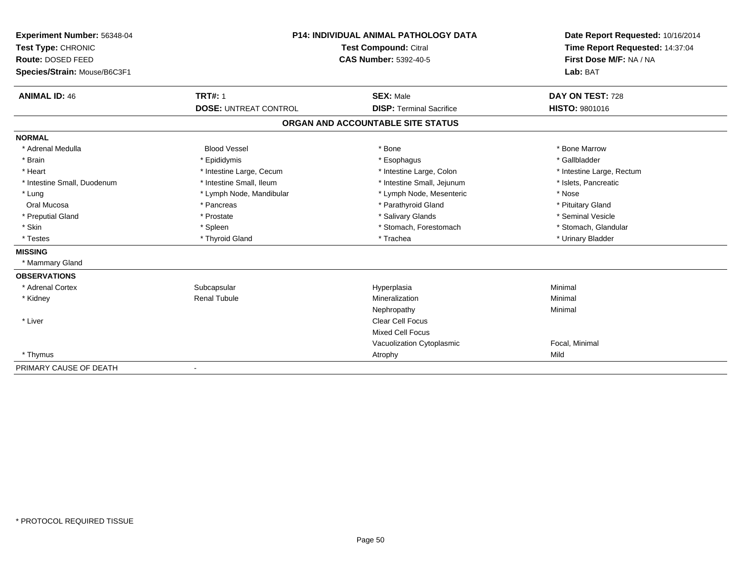| Experiment Number: 56348-04  |                              | <b>P14: INDIVIDUAL ANIMAL PATHOLOGY DATA</b><br><b>Test Compound: Citral</b> |                           |
|------------------------------|------------------------------|------------------------------------------------------------------------------|---------------------------|
| Test Type: CHRONIC           |                              |                                                                              |                           |
| Route: DOSED FEED            |                              | <b>CAS Number: 5392-40-5</b>                                                 | First Dose M/F: NA / NA   |
| Species/Strain: Mouse/B6C3F1 |                              |                                                                              | Lab: BAT                  |
| <b>ANIMAL ID: 46</b>         | <b>TRT#: 1</b>               | <b>SEX: Male</b>                                                             | DAY ON TEST: 728          |
|                              | <b>DOSE: UNTREAT CONTROL</b> | <b>DISP: Terminal Sacrifice</b>                                              | HISTO: 9801016            |
|                              |                              | ORGAN AND ACCOUNTABLE SITE STATUS                                            |                           |
| <b>NORMAL</b>                |                              |                                                                              |                           |
| * Adrenal Medulla            | <b>Blood Vessel</b>          | * Bone                                                                       | * Bone Marrow             |
| * Brain                      | * Epididymis                 | * Esophagus                                                                  | * Gallbladder             |
| * Heart                      | * Intestine Large, Cecum     | * Intestine Large, Colon                                                     | * Intestine Large, Rectum |
| * Intestine Small, Duodenum  | * Intestine Small, Ileum     | * Intestine Small, Jejunum                                                   | * Islets, Pancreatic      |
| * Lung                       | * Lymph Node, Mandibular     | * Lymph Node, Mesenteric                                                     | * Nose                    |
| Oral Mucosa                  | * Pancreas                   | * Parathyroid Gland                                                          | * Pituitary Gland         |
| * Preputial Gland            | * Prostate                   | * Salivary Glands                                                            | * Seminal Vesicle         |
| * Skin                       | * Spleen                     | * Stomach, Forestomach                                                       | * Stomach, Glandular      |
| * Testes                     | * Thyroid Gland              | * Trachea                                                                    | * Urinary Bladder         |
| <b>MISSING</b>               |                              |                                                                              |                           |
| * Mammary Gland              |                              |                                                                              |                           |
| <b>OBSERVATIONS</b>          |                              |                                                                              |                           |
| * Adrenal Cortex             | Subcapsular                  | Hyperplasia                                                                  | Minimal                   |
| * Kidney                     | <b>Renal Tubule</b>          | Mineralization                                                               | Minimal                   |
|                              |                              | Nephropathy                                                                  | Minimal                   |
| * Liver                      |                              | <b>Clear Cell Focus</b>                                                      |                           |
|                              |                              | Mixed Cell Focus                                                             |                           |
|                              |                              | Vacuolization Cytoplasmic                                                    | Focal, Minimal            |
| * Thymus                     |                              | Atrophy                                                                      | Mild                      |
| PRIMARY CAUSE OF DEATH       |                              |                                                                              |                           |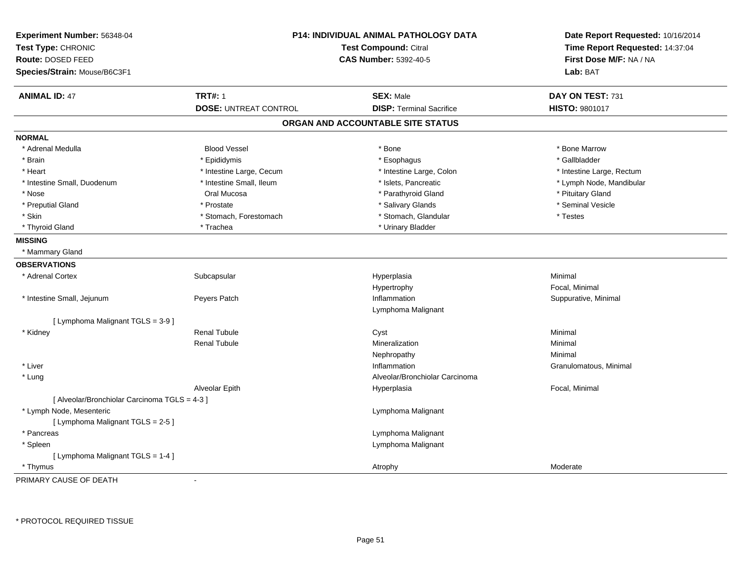| Experiment Number: 56348-04<br>Test Type: CHRONIC<br>Route: DOSED FEED<br>Species/Strain: Mouse/B6C3F1 |                              | P14: INDIVIDUAL ANIMAL PATHOLOGY DATA<br><b>Test Compound: Citral</b><br><b>CAS Number: 5392-40-5</b> | Date Report Requested: 10/16/2014<br>Time Report Requested: 14:37:04<br>First Dose M/F: NA / NA<br>Lab: BAT |
|--------------------------------------------------------------------------------------------------------|------------------------------|-------------------------------------------------------------------------------------------------------|-------------------------------------------------------------------------------------------------------------|
| <b>ANIMAL ID: 47</b>                                                                                   | <b>TRT#: 1</b>               | <b>SEX: Male</b>                                                                                      | DAY ON TEST: 731                                                                                            |
|                                                                                                        | <b>DOSE: UNTREAT CONTROL</b> | <b>DISP: Terminal Sacrifice</b>                                                                       | HISTO: 9801017                                                                                              |
|                                                                                                        |                              | ORGAN AND ACCOUNTABLE SITE STATUS                                                                     |                                                                                                             |
| <b>NORMAL</b>                                                                                          |                              |                                                                                                       |                                                                                                             |
| * Adrenal Medulla                                                                                      | <b>Blood Vessel</b>          | * Bone                                                                                                | * Bone Marrow                                                                                               |
| * Brain                                                                                                | * Epididymis                 | * Esophagus                                                                                           | * Gallbladder                                                                                               |
| * Heart                                                                                                | * Intestine Large, Cecum     | * Intestine Large, Colon                                                                              | * Intestine Large, Rectum                                                                                   |
| * Intestine Small, Duodenum                                                                            | * Intestine Small, Ileum     | * Islets, Pancreatic                                                                                  | * Lymph Node, Mandibular                                                                                    |
| * Nose                                                                                                 | Oral Mucosa                  | * Parathyroid Gland                                                                                   | * Pituitary Gland                                                                                           |
| * Preputial Gland                                                                                      | * Prostate                   | * Salivary Glands                                                                                     | * Seminal Vesicle                                                                                           |
| * Skin                                                                                                 | * Stomach, Forestomach       | * Stomach, Glandular                                                                                  | * Testes                                                                                                    |
| * Thyroid Gland                                                                                        | * Trachea                    | * Urinary Bladder                                                                                     |                                                                                                             |
| <b>MISSING</b>                                                                                         |                              |                                                                                                       |                                                                                                             |
| * Mammary Gland                                                                                        |                              |                                                                                                       |                                                                                                             |
| <b>OBSERVATIONS</b>                                                                                    |                              |                                                                                                       |                                                                                                             |
| * Adrenal Cortex                                                                                       | Subcapsular                  | Hyperplasia                                                                                           | Minimal                                                                                                     |
|                                                                                                        |                              | Hypertrophy                                                                                           | Focal, Minimal                                                                                              |
| * Intestine Small, Jejunum                                                                             | Peyers Patch                 | Inflammation                                                                                          | Suppurative, Minimal                                                                                        |
|                                                                                                        |                              | Lymphoma Malignant                                                                                    |                                                                                                             |
| [ Lymphoma Malignant TGLS = 3-9 ]                                                                      |                              |                                                                                                       |                                                                                                             |
| * Kidney                                                                                               | <b>Renal Tubule</b>          | Cyst                                                                                                  | Minimal                                                                                                     |
|                                                                                                        | <b>Renal Tubule</b>          | Mineralization                                                                                        | Minimal                                                                                                     |
|                                                                                                        |                              | Nephropathy                                                                                           | Minimal                                                                                                     |
| * Liver                                                                                                |                              | Inflammation                                                                                          | Granulomatous, Minimal                                                                                      |
| * Lung                                                                                                 |                              | Alveolar/Bronchiolar Carcinoma                                                                        |                                                                                                             |
|                                                                                                        | Alveolar Epith               | Hyperplasia                                                                                           | Focal, Minimal                                                                                              |
| [ Alveolar/Bronchiolar Carcinoma TGLS = 4-3 ]                                                          |                              |                                                                                                       |                                                                                                             |
| * Lymph Node, Mesenteric                                                                               |                              | Lymphoma Malignant                                                                                    |                                                                                                             |
| [ Lymphoma Malignant TGLS = 2-5 ]                                                                      |                              |                                                                                                       |                                                                                                             |
| * Pancreas                                                                                             |                              | Lymphoma Malignant                                                                                    |                                                                                                             |
| * Spleen                                                                                               |                              | Lymphoma Malignant                                                                                    |                                                                                                             |
| [ Lymphoma Malignant TGLS = 1-4 ]                                                                      |                              |                                                                                                       |                                                                                                             |
| * Thymus                                                                                               |                              | Atrophy                                                                                               | Moderate                                                                                                    |
| <b>DOILIADY OALIGE OF BEATLE</b>                                                                       |                              |                                                                                                       |                                                                                                             |

PRIMARY CAUSE OF DEATH-

\* PROTOCOL REQUIRED TISSUE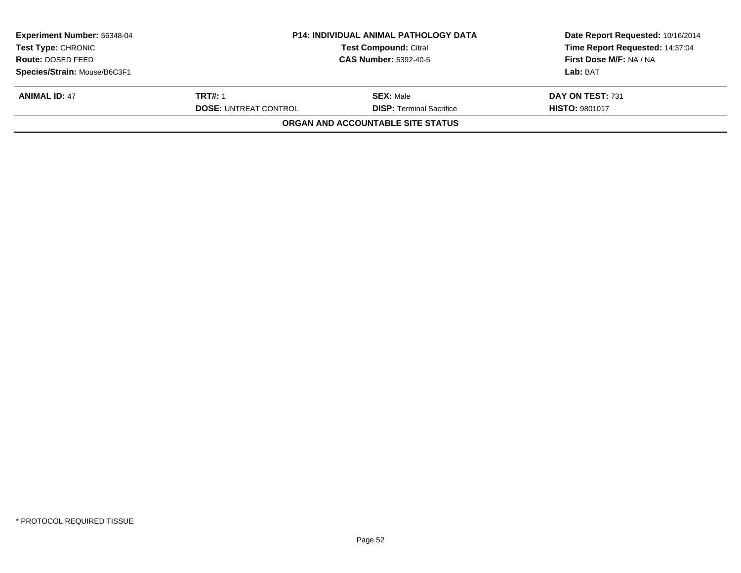| <b>Experiment Number: 56348-04</b><br><b>Test Type: CHRONIC</b><br>Route: DOSED FEED | <b>P14: INDIVIDUAL ANIMAL PATHOLOGY DATA</b><br><b>Test Compound: Citral</b><br><b>CAS Number: 5392-40-5</b> |                                   | Date Report Requested: 10/16/2014<br>Time Report Requested: 14:37:04<br>First Dose M/F: NA / NA |
|--------------------------------------------------------------------------------------|--------------------------------------------------------------------------------------------------------------|-----------------------------------|-------------------------------------------------------------------------------------------------|
|                                                                                      |                                                                                                              |                                   |                                                                                                 |
| Species/Strain: Mouse/B6C3F1                                                         |                                                                                                              |                                   | Lab: BAT                                                                                        |
| <b>ANIMAL ID: 47</b>                                                                 | <b>TRT#: 1</b>                                                                                               | <b>SEX: Male</b>                  | DAY ON TEST: 731                                                                                |
|                                                                                      | <b>DOSE: UNTREAT CONTROL</b>                                                                                 | <b>DISP: Terminal Sacrifice</b>   | <b>HISTO: 9801017</b>                                                                           |
|                                                                                      |                                                                                                              | ORGAN AND ACCOUNTABLE SITE STATUS |                                                                                                 |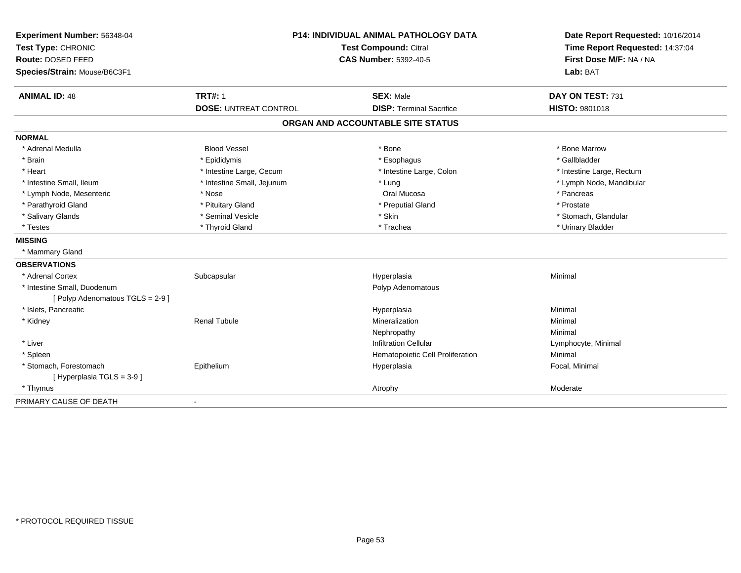| Experiment Number: 56348-04<br>Test Type: CHRONIC<br>Route: DOSED FEED<br>Species/Strain: Mouse/B6C3F1 | P14: INDIVIDUAL ANIMAL PATHOLOGY DATA<br>Test Compound: Citral<br>CAS Number: 5392-40-5 |                                   | Date Report Requested: 10/16/2014<br>Time Report Requested: 14:37:04<br>First Dose M/F: NA / NA<br>Lab: BAT |  |
|--------------------------------------------------------------------------------------------------------|-----------------------------------------------------------------------------------------|-----------------------------------|-------------------------------------------------------------------------------------------------------------|--|
| <b>ANIMAL ID: 48</b>                                                                                   | <b>TRT#: 1</b>                                                                          | <b>SEX: Male</b>                  | DAY ON TEST: 731                                                                                            |  |
|                                                                                                        | <b>DOSE: UNTREAT CONTROL</b>                                                            | <b>DISP: Terminal Sacrifice</b>   | HISTO: 9801018                                                                                              |  |
|                                                                                                        |                                                                                         | ORGAN AND ACCOUNTABLE SITE STATUS |                                                                                                             |  |
| <b>NORMAL</b>                                                                                          |                                                                                         |                                   |                                                                                                             |  |
| * Adrenal Medulla                                                                                      | <b>Blood Vessel</b>                                                                     | * Bone                            | * Bone Marrow                                                                                               |  |
| * Brain                                                                                                | * Epididymis                                                                            | * Esophagus                       | * Gallbladder                                                                                               |  |
| * Heart                                                                                                | * Intestine Large, Cecum                                                                | * Intestine Large, Colon          | * Intestine Large, Rectum                                                                                   |  |
| * Intestine Small, Ileum                                                                               | * Intestine Small, Jejunum                                                              | * Lung                            | * Lymph Node, Mandibular                                                                                    |  |
| * Lymph Node, Mesenteric                                                                               | * Nose                                                                                  | Oral Mucosa                       | * Pancreas                                                                                                  |  |
| * Parathyroid Gland                                                                                    | * Pituitary Gland                                                                       | * Preputial Gland                 | * Prostate                                                                                                  |  |
| * Salivary Glands                                                                                      | * Seminal Vesicle                                                                       | * Skin                            | * Stomach, Glandular                                                                                        |  |
| * Testes                                                                                               | * Thyroid Gland                                                                         | * Trachea                         | * Urinary Bladder                                                                                           |  |
| <b>MISSING</b>                                                                                         |                                                                                         |                                   |                                                                                                             |  |
| * Mammary Gland                                                                                        |                                                                                         |                                   |                                                                                                             |  |
| <b>OBSERVATIONS</b>                                                                                    |                                                                                         |                                   |                                                                                                             |  |
| * Adrenal Cortex                                                                                       | Subcapsular                                                                             | Hyperplasia                       | Minimal                                                                                                     |  |
| * Intestine Small, Duodenum                                                                            |                                                                                         | Polyp Adenomatous                 |                                                                                                             |  |
| [Polyp Adenomatous TGLS = 2-9]                                                                         |                                                                                         |                                   |                                                                                                             |  |
| * Islets, Pancreatic                                                                                   |                                                                                         | Hyperplasia                       | Minimal                                                                                                     |  |
| * Kidney                                                                                               | <b>Renal Tubule</b>                                                                     | Mineralization                    | Minimal                                                                                                     |  |
|                                                                                                        |                                                                                         | Nephropathy                       | Minimal                                                                                                     |  |
| * Liver                                                                                                |                                                                                         | <b>Infiltration Cellular</b>      | Lymphocyte, Minimal                                                                                         |  |
| * Spleen                                                                                               |                                                                                         | Hematopoietic Cell Proliferation  | Minimal                                                                                                     |  |
| * Stomach, Forestomach                                                                                 | Epithelium                                                                              | Hyperplasia                       | Focal, Minimal                                                                                              |  |
| [Hyperplasia TGLS = 3-9]                                                                               |                                                                                         |                                   |                                                                                                             |  |
| * Thymus                                                                                               |                                                                                         | Atrophy                           | Moderate                                                                                                    |  |
| PRIMARY CAUSE OF DEATH                                                                                 | $\blacksquare$                                                                          |                                   |                                                                                                             |  |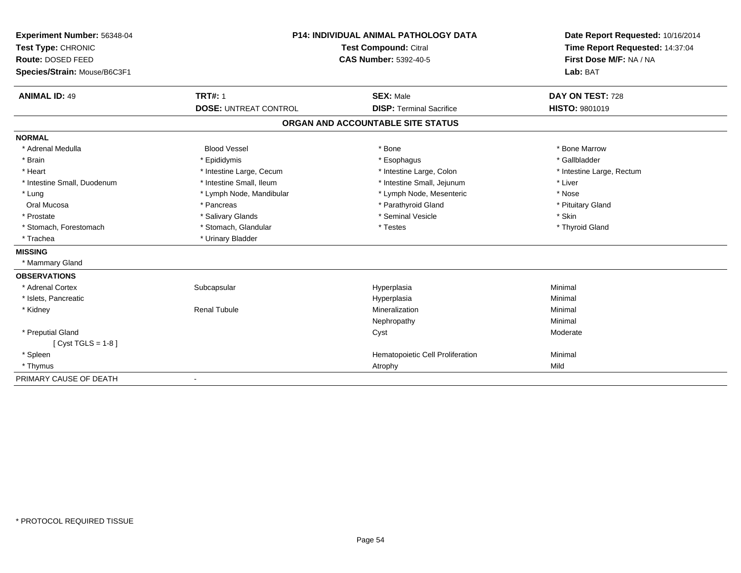| Experiment Number: 56348-04  |                              | <b>P14: INDIVIDUAL ANIMAL PATHOLOGY DATA</b> |                                                                      |  |
|------------------------------|------------------------------|----------------------------------------------|----------------------------------------------------------------------|--|
| Test Type: CHRONIC           | Test Compound: Citral        |                                              | Date Report Requested: 10/16/2014<br>Time Report Requested: 14:37:04 |  |
| <b>Route: DOSED FEED</b>     |                              | <b>CAS Number: 5392-40-5</b>                 | First Dose M/F: NA / NA                                              |  |
| Species/Strain: Mouse/B6C3F1 |                              |                                              | Lab: BAT                                                             |  |
|                              |                              |                                              |                                                                      |  |
| <b>ANIMAL ID: 49</b>         | <b>TRT#: 1</b>               | <b>SEX: Male</b>                             | DAY ON TEST: 728                                                     |  |
|                              | <b>DOSE: UNTREAT CONTROL</b> | <b>DISP: Terminal Sacrifice</b>              | <b>HISTO: 9801019</b>                                                |  |
|                              |                              | ORGAN AND ACCOUNTABLE SITE STATUS            |                                                                      |  |
| <b>NORMAL</b>                |                              |                                              |                                                                      |  |
| * Adrenal Medulla            | <b>Blood Vessel</b>          | * Bone                                       | * Bone Marrow                                                        |  |
| * Brain                      | * Epididymis                 | * Esophagus                                  | * Gallbladder                                                        |  |
| * Heart                      | * Intestine Large, Cecum     | * Intestine Large, Colon                     | * Intestine Large, Rectum                                            |  |
| * Intestine Small, Duodenum  | * Intestine Small, Ileum     | * Intestine Small, Jejunum                   | * Liver                                                              |  |
| * Lung                       | * Lymph Node, Mandibular     | * Lymph Node, Mesenteric                     | * Nose                                                               |  |
| Oral Mucosa                  | * Pancreas                   | * Parathyroid Gland                          | * Pituitary Gland                                                    |  |
| * Prostate                   | * Salivary Glands            | * Seminal Vesicle                            | * Skin                                                               |  |
| * Stomach, Forestomach       | * Stomach, Glandular         | * Testes                                     | * Thyroid Gland                                                      |  |
| * Trachea                    | * Urinary Bladder            |                                              |                                                                      |  |
| <b>MISSING</b>               |                              |                                              |                                                                      |  |
| * Mammary Gland              |                              |                                              |                                                                      |  |
| <b>OBSERVATIONS</b>          |                              |                                              |                                                                      |  |
| * Adrenal Cortex             | Subcapsular                  | Hyperplasia                                  | Minimal                                                              |  |
| * Islets, Pancreatic         |                              | Hyperplasia                                  | Minimal                                                              |  |
| * Kidney                     | <b>Renal Tubule</b>          | Mineralization                               | Minimal                                                              |  |
|                              |                              | Nephropathy                                  | Minimal                                                              |  |
| * Preputial Gland            |                              | Cyst                                         | Moderate                                                             |  |
| [ $Cyst TGLS = 1-8$ ]        |                              |                                              |                                                                      |  |
| * Spleen                     |                              | Hematopoietic Cell Proliferation             | Minimal                                                              |  |
| * Thymus                     |                              | Atrophy                                      | Mild                                                                 |  |
| PRIMARY CAUSE OF DEATH       | $\blacksquare$               |                                              |                                                                      |  |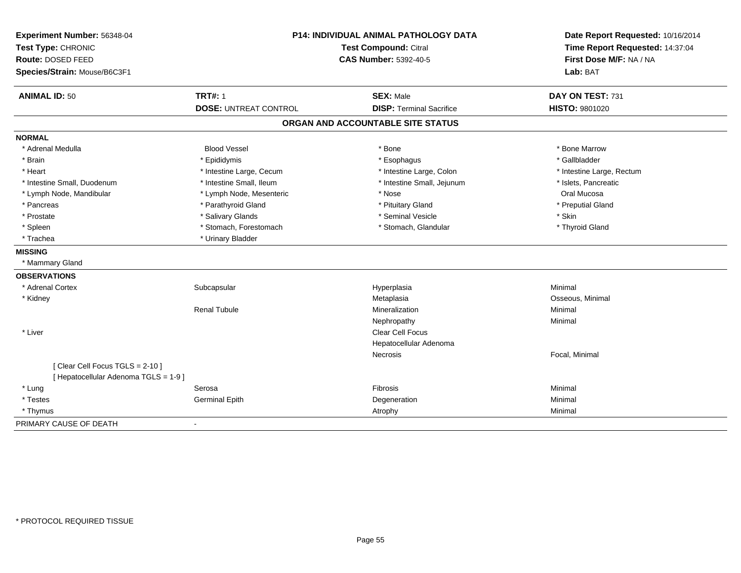| Experiment Number: 56348-04<br>Test Type: CHRONIC<br>Route: DOSED FEED<br>Species/Strain: Mouse/B6C3F1 | P14: INDIVIDUAL ANIMAL PATHOLOGY DATA<br><b>Test Compound: Citral</b><br><b>CAS Number: 5392-40-5</b> |                                   | Date Report Requested: 10/16/2014<br>Time Report Requested: 14:37:04<br>First Dose M/F: NA / NA<br>Lab: BAT |  |
|--------------------------------------------------------------------------------------------------------|-------------------------------------------------------------------------------------------------------|-----------------------------------|-------------------------------------------------------------------------------------------------------------|--|
| <b>ANIMAL ID: 50</b>                                                                                   | <b>TRT#: 1</b>                                                                                        | <b>SEX: Male</b>                  | DAY ON TEST: 731                                                                                            |  |
|                                                                                                        | <b>DOSE: UNTREAT CONTROL</b>                                                                          | <b>DISP: Terminal Sacrifice</b>   | <b>HISTO: 9801020</b>                                                                                       |  |
|                                                                                                        |                                                                                                       | ORGAN AND ACCOUNTABLE SITE STATUS |                                                                                                             |  |
| <b>NORMAL</b>                                                                                          |                                                                                                       |                                   |                                                                                                             |  |
| * Adrenal Medulla                                                                                      | <b>Blood Vessel</b>                                                                                   | * Bone                            | * Bone Marrow                                                                                               |  |
| * Brain                                                                                                | * Epididymis                                                                                          | * Esophagus                       | * Gallbladder                                                                                               |  |
| * Heart                                                                                                | * Intestine Large, Cecum                                                                              | * Intestine Large, Colon          | * Intestine Large, Rectum                                                                                   |  |
| * Intestine Small, Duodenum                                                                            | * Intestine Small, Ileum                                                                              | * Intestine Small, Jejunum        | * Islets, Pancreatic                                                                                        |  |
| * Lymph Node, Mandibular                                                                               | * Lymph Node, Mesenteric                                                                              | * Nose                            | Oral Mucosa                                                                                                 |  |
| * Pancreas                                                                                             | * Parathyroid Gland                                                                                   | * Pituitary Gland                 | * Preputial Gland                                                                                           |  |
| * Prostate                                                                                             | * Salivary Glands                                                                                     | * Seminal Vesicle                 | * Skin                                                                                                      |  |
| * Spleen                                                                                               | * Stomach, Forestomach                                                                                | * Stomach, Glandular              | * Thyroid Gland                                                                                             |  |
| * Trachea                                                                                              | * Urinary Bladder                                                                                     |                                   |                                                                                                             |  |
| <b>MISSING</b>                                                                                         |                                                                                                       |                                   |                                                                                                             |  |
| * Mammary Gland                                                                                        |                                                                                                       |                                   |                                                                                                             |  |
| <b>OBSERVATIONS</b>                                                                                    |                                                                                                       |                                   |                                                                                                             |  |
| * Adrenal Cortex                                                                                       | Subcapsular                                                                                           | Hyperplasia                       | Minimal                                                                                                     |  |
| * Kidney                                                                                               |                                                                                                       | Metaplasia                        | Osseous, Minimal                                                                                            |  |
|                                                                                                        | <b>Renal Tubule</b>                                                                                   | Mineralization                    | Minimal                                                                                                     |  |
|                                                                                                        |                                                                                                       | Nephropathy                       | Minimal                                                                                                     |  |
| * Liver                                                                                                |                                                                                                       | Clear Cell Focus                  |                                                                                                             |  |
|                                                                                                        |                                                                                                       | Hepatocellular Adenoma            |                                                                                                             |  |
|                                                                                                        |                                                                                                       | Necrosis                          | Focal, Minimal                                                                                              |  |
| [Clear Cell Focus TGLS = 2-10]                                                                         |                                                                                                       |                                   |                                                                                                             |  |
| [ Hepatocellular Adenoma TGLS = 1-9 ]                                                                  |                                                                                                       |                                   |                                                                                                             |  |
| * Lung                                                                                                 | Serosa                                                                                                | Fibrosis                          | Minimal                                                                                                     |  |
| * Testes                                                                                               | <b>Germinal Epith</b>                                                                                 | Degeneration                      | Minimal                                                                                                     |  |
| * Thymus                                                                                               |                                                                                                       | Atrophy                           | Minimal                                                                                                     |  |
| PRIMARY CAUSE OF DEATH                                                                                 | $\mathbf{r}$                                                                                          |                                   |                                                                                                             |  |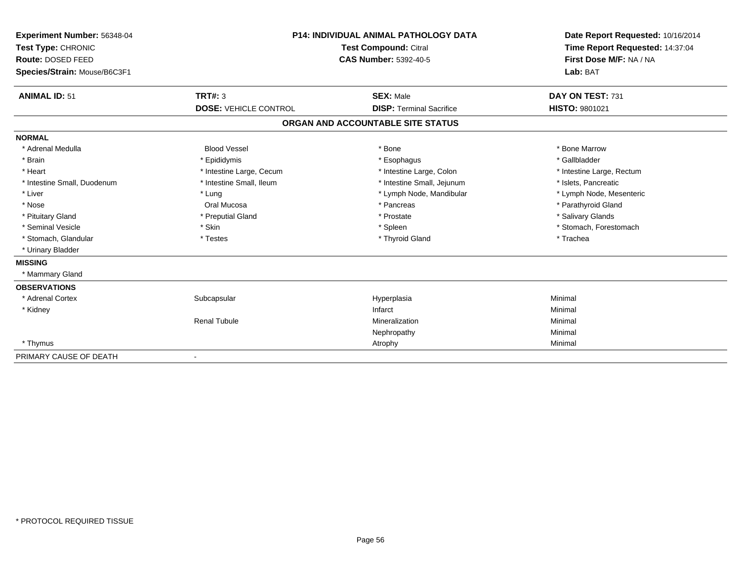| Experiment Number: 56348-04<br>Test Type: CHRONIC<br>Route: DOSED FEED<br>Species/Strain: Mouse/B6C3F1 |                              | <b>P14: INDIVIDUAL ANIMAL PATHOLOGY DATA</b><br>Test Compound: Citral<br><b>CAS Number: 5392-40-5</b> | Date Report Requested: 10/16/2014<br>Time Report Requested: 14:37:04<br>First Dose M/F: NA / NA<br>Lab: BAT |
|--------------------------------------------------------------------------------------------------------|------------------------------|-------------------------------------------------------------------------------------------------------|-------------------------------------------------------------------------------------------------------------|
| <b>ANIMAL ID: 51</b>                                                                                   | <b>TRT#: 3</b>               | <b>SEX: Male</b>                                                                                      | DAY ON TEST: 731                                                                                            |
|                                                                                                        | <b>DOSE: VEHICLE CONTROL</b> | <b>DISP: Terminal Sacrifice</b>                                                                       | <b>HISTO: 9801021</b>                                                                                       |
|                                                                                                        |                              | ORGAN AND ACCOUNTABLE SITE STATUS                                                                     |                                                                                                             |
| <b>NORMAL</b>                                                                                          |                              |                                                                                                       |                                                                                                             |
| * Adrenal Medulla                                                                                      | <b>Blood Vessel</b>          | * Bone                                                                                                | * Bone Marrow                                                                                               |
| * Brain                                                                                                | * Epididymis                 | * Esophagus                                                                                           | * Gallbladder                                                                                               |
| * Heart                                                                                                | * Intestine Large, Cecum     | * Intestine Large, Colon                                                                              | * Intestine Large, Rectum                                                                                   |
| * Intestine Small, Duodenum                                                                            | * Intestine Small, Ileum     | * Intestine Small, Jejunum                                                                            | * Islets, Pancreatic                                                                                        |
| * Liver                                                                                                | * Lung                       | * Lymph Node, Mandibular                                                                              | * Lymph Node, Mesenteric                                                                                    |
| * Nose                                                                                                 | Oral Mucosa                  | * Pancreas                                                                                            | * Parathyroid Gland                                                                                         |
| * Pituitary Gland                                                                                      | * Preputial Gland            | * Prostate                                                                                            | * Salivary Glands                                                                                           |
| * Seminal Vesicle                                                                                      | * Skin                       | * Spleen                                                                                              | * Stomach, Forestomach                                                                                      |
| * Stomach, Glandular                                                                                   | * Testes                     | * Thyroid Gland                                                                                       | * Trachea                                                                                                   |
| * Urinary Bladder                                                                                      |                              |                                                                                                       |                                                                                                             |
| <b>MISSING</b>                                                                                         |                              |                                                                                                       |                                                                                                             |
| * Mammary Gland                                                                                        |                              |                                                                                                       |                                                                                                             |
| <b>OBSERVATIONS</b>                                                                                    |                              |                                                                                                       |                                                                                                             |
| * Adrenal Cortex                                                                                       | Subcapsular                  | Hyperplasia                                                                                           | Minimal                                                                                                     |
| * Kidney                                                                                               |                              | Infarct                                                                                               | Minimal                                                                                                     |
|                                                                                                        | <b>Renal Tubule</b>          | Mineralization                                                                                        | Minimal                                                                                                     |
|                                                                                                        |                              | Nephropathy                                                                                           | Minimal                                                                                                     |
| * Thymus                                                                                               |                              | Atrophy                                                                                               | Minimal                                                                                                     |
| PRIMARY CAUSE OF DEATH                                                                                 |                              |                                                                                                       |                                                                                                             |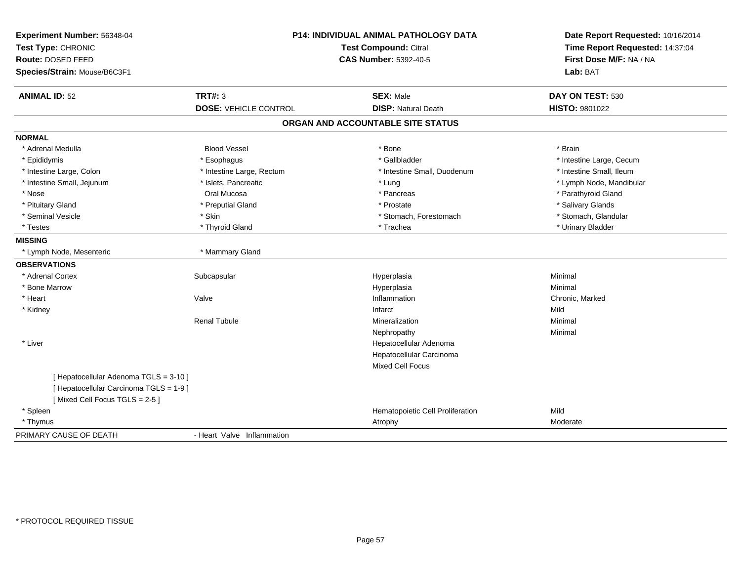| Experiment Number: 56348-04<br>Test Type: CHRONIC<br><b>Route: DOSED FEED</b><br>Species/Strain: Mouse/B6C3F1 | <b>P14: INDIVIDUAL ANIMAL PATHOLOGY DATA</b><br>Test Compound: Citral<br><b>CAS Number: 5392-40-5</b> |                                                | Date Report Requested: 10/16/2014<br>Time Report Requested: 14:37:04<br>First Dose M/F: NA / NA<br>Lab: BAT |  |
|---------------------------------------------------------------------------------------------------------------|-------------------------------------------------------------------------------------------------------|------------------------------------------------|-------------------------------------------------------------------------------------------------------------|--|
| <b>ANIMAL ID: 52</b>                                                                                          | <b>TRT#: 3</b><br><b>DOSE: VEHICLE CONTROL</b>                                                        | <b>SEX: Male</b><br><b>DISP: Natural Death</b> | DAY ON TEST: 530<br>HISTO: 9801022                                                                          |  |
|                                                                                                               |                                                                                                       |                                                |                                                                                                             |  |
|                                                                                                               |                                                                                                       | ORGAN AND ACCOUNTABLE SITE STATUS              |                                                                                                             |  |
| <b>NORMAL</b>                                                                                                 |                                                                                                       |                                                |                                                                                                             |  |
| * Adrenal Medulla                                                                                             | <b>Blood Vessel</b>                                                                                   | * Bone                                         | * Brain                                                                                                     |  |
| * Epididymis                                                                                                  | * Esophagus                                                                                           | * Gallbladder                                  | * Intestine Large, Cecum                                                                                    |  |
| * Intestine Large, Colon                                                                                      | * Intestine Large, Rectum                                                                             | * Intestine Small, Duodenum                    | * Intestine Small, Ileum                                                                                    |  |
| * Intestine Small, Jejunum                                                                                    | * Islets, Pancreatic                                                                                  | * Lung                                         | * Lymph Node, Mandibular                                                                                    |  |
| * Nose                                                                                                        | Oral Mucosa                                                                                           | * Pancreas                                     | * Parathyroid Gland                                                                                         |  |
| * Pituitary Gland                                                                                             | * Preputial Gland                                                                                     | * Prostate                                     | * Salivary Glands                                                                                           |  |
| * Seminal Vesicle                                                                                             | * Skin                                                                                                | * Stomach, Forestomach                         | * Stomach, Glandular                                                                                        |  |
| * Testes                                                                                                      | * Thyroid Gland                                                                                       | * Trachea                                      | * Urinary Bladder                                                                                           |  |
| <b>MISSING</b>                                                                                                |                                                                                                       |                                                |                                                                                                             |  |
| * Lymph Node, Mesenteric                                                                                      | * Mammary Gland                                                                                       |                                                |                                                                                                             |  |
| <b>OBSERVATIONS</b>                                                                                           |                                                                                                       |                                                |                                                                                                             |  |
| * Adrenal Cortex                                                                                              | Subcapsular                                                                                           | Hyperplasia                                    | Minimal                                                                                                     |  |
| * Bone Marrow                                                                                                 |                                                                                                       | Hyperplasia                                    | Minimal                                                                                                     |  |
| * Heart                                                                                                       | Valve                                                                                                 | Inflammation                                   | Chronic, Marked                                                                                             |  |
| * Kidney                                                                                                      |                                                                                                       | Infarct                                        | Mild                                                                                                        |  |
|                                                                                                               | <b>Renal Tubule</b>                                                                                   | Mineralization                                 | Minimal                                                                                                     |  |
|                                                                                                               |                                                                                                       | Nephropathy                                    | Minimal                                                                                                     |  |
| * Liver                                                                                                       |                                                                                                       | Hepatocellular Adenoma                         |                                                                                                             |  |
|                                                                                                               |                                                                                                       | Hepatocellular Carcinoma                       |                                                                                                             |  |
|                                                                                                               |                                                                                                       | Mixed Cell Focus                               |                                                                                                             |  |
| [ Hepatocellular Adenoma TGLS = 3-10 ]                                                                        |                                                                                                       |                                                |                                                                                                             |  |
| [ Hepatocellular Carcinoma TGLS = 1-9 ]                                                                       |                                                                                                       |                                                |                                                                                                             |  |
| [Mixed Cell Focus TGLS = 2-5]                                                                                 |                                                                                                       |                                                |                                                                                                             |  |
| * Spleen                                                                                                      |                                                                                                       | Hematopoietic Cell Proliferation               | Mild                                                                                                        |  |
| * Thymus                                                                                                      |                                                                                                       | Atrophy                                        | Moderate                                                                                                    |  |
| PRIMARY CAUSE OF DEATH                                                                                        | - Heart Valve Inflammation                                                                            |                                                |                                                                                                             |  |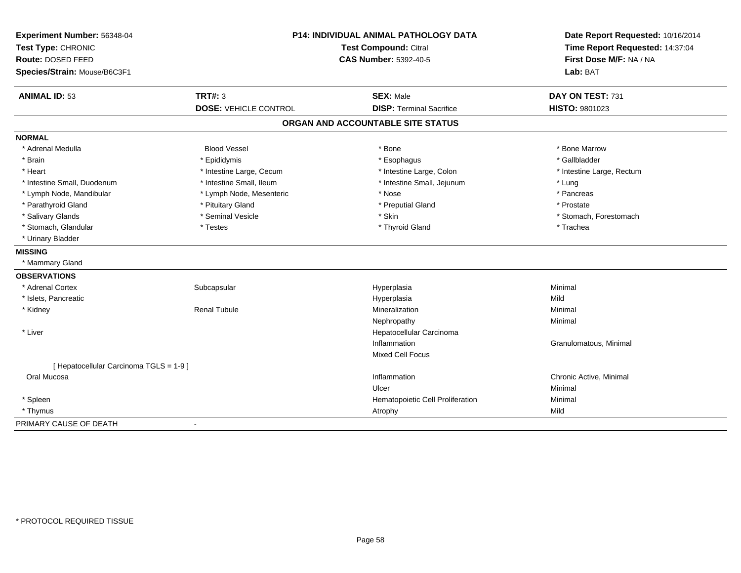| Experiment Number: 56348-04             | <b>P14: INDIVIDUAL ANIMAL PATHOLOGY DATA</b> |                                   | Date Report Requested: 10/16/2014 |  |
|-----------------------------------------|----------------------------------------------|-----------------------------------|-----------------------------------|--|
| Test Type: CHRONIC                      |                                              | <b>Test Compound: Citral</b>      | Time Report Requested: 14:37:04   |  |
| Route: DOSED FEED                       |                                              | <b>CAS Number: 5392-40-5</b>      | First Dose M/F: NA / NA           |  |
| Species/Strain: Mouse/B6C3F1            |                                              |                                   | Lab: BAT                          |  |
| <b>ANIMAL ID: 53</b>                    | <b>TRT#: 3</b>                               | <b>SEX: Male</b>                  | DAY ON TEST: 731                  |  |
|                                         | <b>DOSE: VEHICLE CONTROL</b>                 | <b>DISP: Terminal Sacrifice</b>   | HISTO: 9801023                    |  |
|                                         |                                              | ORGAN AND ACCOUNTABLE SITE STATUS |                                   |  |
| <b>NORMAL</b>                           |                                              |                                   |                                   |  |
| * Adrenal Medulla                       | <b>Blood Vessel</b>                          | * Bone                            | * Bone Marrow                     |  |
| * Brain                                 | * Epididymis                                 | * Esophagus                       | * Gallbladder                     |  |
| * Heart                                 | * Intestine Large, Cecum                     | * Intestine Large, Colon          | * Intestine Large, Rectum         |  |
| * Intestine Small, Duodenum             | * Intestine Small, Ileum                     | * Intestine Small, Jejunum        | * Lung                            |  |
| * Lymph Node, Mandibular                | * Lymph Node, Mesenteric                     | * Nose                            | * Pancreas                        |  |
| * Parathyroid Gland                     | * Pituitary Gland                            | * Preputial Gland                 | * Prostate                        |  |
| * Salivary Glands                       | * Seminal Vesicle                            | * Skin                            | * Stomach, Forestomach            |  |
| * Stomach, Glandular                    | * Testes                                     | * Thyroid Gland                   | * Trachea                         |  |
| * Urinary Bladder                       |                                              |                                   |                                   |  |
| <b>MISSING</b>                          |                                              |                                   |                                   |  |
| * Mammary Gland                         |                                              |                                   |                                   |  |
| <b>OBSERVATIONS</b>                     |                                              |                                   |                                   |  |
| * Adrenal Cortex                        | Subcapsular                                  | Hyperplasia                       | Minimal                           |  |
| * Islets, Pancreatic                    |                                              | Hyperplasia                       | Mild                              |  |
| * Kidney                                | <b>Renal Tubule</b>                          | Mineralization                    | Minimal                           |  |
|                                         |                                              | Nephropathy                       | Minimal                           |  |
| * Liver                                 |                                              | Hepatocellular Carcinoma          |                                   |  |
|                                         |                                              | Inflammation                      | Granulomatous, Minimal            |  |
|                                         |                                              | Mixed Cell Focus                  |                                   |  |
| [ Hepatocellular Carcinoma TGLS = 1-9 ] |                                              |                                   |                                   |  |
| Oral Mucosa                             |                                              | Inflammation                      | Chronic Active, Minimal           |  |
|                                         |                                              | Ulcer                             | Minimal                           |  |
| * Spleen                                |                                              | Hematopoietic Cell Proliferation  | Minimal                           |  |
| * Thymus                                |                                              | Atrophy                           | Mild                              |  |
| PRIMARY CAUSE OF DEATH                  | $\sim$                                       |                                   |                                   |  |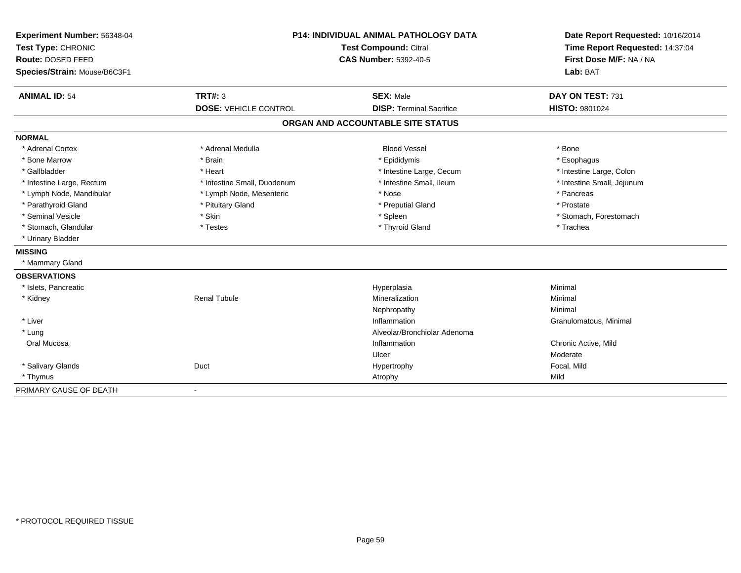| Experiment Number: 56348-04  | <b>P14: INDIVIDUAL ANIMAL PATHOLOGY DATA</b><br>Test Compound: Citral |                                   | Date Report Requested: 10/16/2014 |  |
|------------------------------|-----------------------------------------------------------------------|-----------------------------------|-----------------------------------|--|
| Test Type: CHRONIC           |                                                                       |                                   | Time Report Requested: 14:37:04   |  |
| Route: DOSED FEED            |                                                                       | <b>CAS Number: 5392-40-5</b>      | First Dose M/F: NA / NA           |  |
| Species/Strain: Mouse/B6C3F1 |                                                                       |                                   | Lab: BAT                          |  |
| <b>ANIMAL ID: 54</b>         | TRT#: 3                                                               | <b>SEX: Male</b>                  | DAY ON TEST: 731                  |  |
|                              | <b>DOSE: VEHICLE CONTROL</b>                                          | <b>DISP: Terminal Sacrifice</b>   | HISTO: 9801024                    |  |
|                              |                                                                       | ORGAN AND ACCOUNTABLE SITE STATUS |                                   |  |
| <b>NORMAL</b>                |                                                                       |                                   |                                   |  |
| * Adrenal Cortex             | * Adrenal Medulla                                                     | <b>Blood Vessel</b>               | * Bone                            |  |
| * Bone Marrow                | * Brain                                                               | * Epididymis                      | * Esophagus                       |  |
| * Gallbladder                | * Heart                                                               | * Intestine Large, Cecum          | * Intestine Large, Colon          |  |
| * Intestine Large, Rectum    | * Intestine Small, Duodenum                                           | * Intestine Small, Ileum          | * Intestine Small, Jejunum        |  |
| * Lymph Node, Mandibular     | * Lymph Node, Mesenteric                                              | * Nose                            | * Pancreas                        |  |
| * Parathyroid Gland          | * Pituitary Gland                                                     | * Preputial Gland                 | * Prostate                        |  |
| * Seminal Vesicle            | * Skin                                                                | * Spleen                          | * Stomach, Forestomach            |  |
| * Stomach, Glandular         | * Testes                                                              | * Thyroid Gland                   | * Trachea                         |  |
| * Urinary Bladder            |                                                                       |                                   |                                   |  |
| <b>MISSING</b>               |                                                                       |                                   |                                   |  |
| * Mammary Gland              |                                                                       |                                   |                                   |  |
| <b>OBSERVATIONS</b>          |                                                                       |                                   |                                   |  |
| * Islets, Pancreatic         |                                                                       | Hyperplasia                       | Minimal                           |  |
| * Kidney                     | <b>Renal Tubule</b>                                                   | Mineralization                    | Minimal                           |  |
|                              |                                                                       | Nephropathy                       | Minimal                           |  |
| * Liver                      |                                                                       | Inflammation                      | Granulomatous, Minimal            |  |
| * Lung                       |                                                                       | Alveolar/Bronchiolar Adenoma      |                                   |  |
| Oral Mucosa                  |                                                                       | Inflammation                      | Chronic Active, Mild              |  |
|                              |                                                                       | Ulcer                             | Moderate                          |  |
| * Salivary Glands            | Duct                                                                  | Hypertrophy                       | Focal, Mild                       |  |
| * Thymus                     |                                                                       | Atrophy                           | Mild                              |  |
| PRIMARY CAUSE OF DEATH       | $\blacksquare$                                                        |                                   |                                   |  |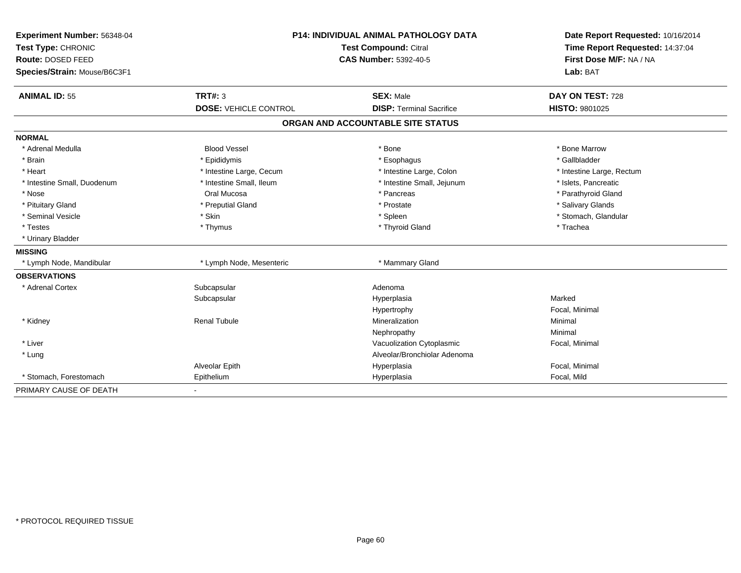| Experiment Number: 56348-04  | <b>P14: INDIVIDUAL ANIMAL PATHOLOGY DATA</b><br>Test Compound: Citral |                                   | Date Report Requested: 10/16/2014 |
|------------------------------|-----------------------------------------------------------------------|-----------------------------------|-----------------------------------|
| Test Type: CHRONIC           |                                                                       |                                   | Time Report Requested: 14:37:04   |
| Route: DOSED FEED            |                                                                       | <b>CAS Number: 5392-40-5</b>      | First Dose M/F: NA / NA           |
| Species/Strain: Mouse/B6C3F1 |                                                                       |                                   | Lab: BAT                          |
| <b>ANIMAL ID: 55</b>         | TRT#: 3                                                               | <b>SEX: Male</b>                  | DAY ON TEST: 728                  |
|                              | <b>DOSE: VEHICLE CONTROL</b>                                          | <b>DISP: Terminal Sacrifice</b>   | HISTO: 9801025                    |
|                              |                                                                       | ORGAN AND ACCOUNTABLE SITE STATUS |                                   |
| <b>NORMAL</b>                |                                                                       |                                   |                                   |
| * Adrenal Medulla            | <b>Blood Vessel</b>                                                   | * Bone                            | * Bone Marrow                     |
| * Brain                      | * Epididymis                                                          | * Esophagus                       | * Gallbladder                     |
| * Heart                      | * Intestine Large, Cecum                                              | * Intestine Large, Colon          | * Intestine Large, Rectum         |
| * Intestine Small, Duodenum  | * Intestine Small, Ileum                                              | * Intestine Small, Jejunum        | * Islets, Pancreatic              |
| * Nose                       | Oral Mucosa                                                           | * Pancreas                        | * Parathyroid Gland               |
| * Pituitary Gland            | * Preputial Gland                                                     | * Prostate                        | * Salivary Glands                 |
| * Seminal Vesicle            | * Skin                                                                | * Spleen                          | * Stomach, Glandular              |
| * Testes                     | * Thymus                                                              | * Thyroid Gland                   | * Trachea                         |
| * Urinary Bladder            |                                                                       |                                   |                                   |
| <b>MISSING</b>               |                                                                       |                                   |                                   |
| * Lymph Node, Mandibular     | * Lymph Node, Mesenteric                                              | * Mammary Gland                   |                                   |
| <b>OBSERVATIONS</b>          |                                                                       |                                   |                                   |
| * Adrenal Cortex             | Subcapsular                                                           | Adenoma                           |                                   |
|                              | Subcapsular                                                           | Hyperplasia                       | Marked                            |
|                              |                                                                       | Hypertrophy                       | Focal, Minimal                    |
| * Kidney                     | <b>Renal Tubule</b>                                                   | Mineralization                    | Minimal                           |
|                              |                                                                       | Nephropathy                       | Minimal                           |
| * Liver                      |                                                                       | Vacuolization Cytoplasmic         | Focal, Minimal                    |
| * Lung                       |                                                                       | Alveolar/Bronchiolar Adenoma      |                                   |
|                              | Alveolar Epith                                                        | Hyperplasia                       | Focal, Minimal                    |
| * Stomach, Forestomach       | Epithelium                                                            | Hyperplasia                       | Focal, Mild                       |
| PRIMARY CAUSE OF DEATH       |                                                                       |                                   |                                   |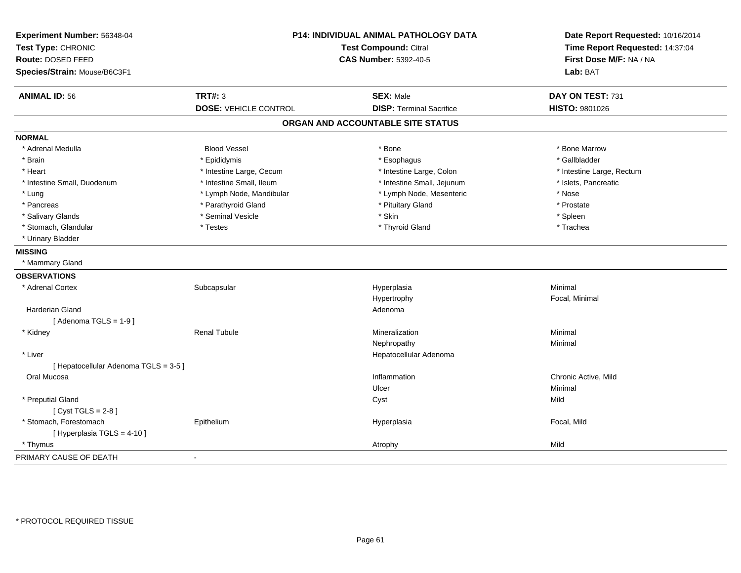| Experiment Number: 56348-04<br>Test Type: CHRONIC | P14: INDIVIDUAL ANIMAL PATHOLOGY DATA<br><b>Test Compound: Citral</b> |                                   | Date Report Requested: 10/16/2014<br>Time Report Requested: 14:37:04 |  |
|---------------------------------------------------|-----------------------------------------------------------------------|-----------------------------------|----------------------------------------------------------------------|--|
| Route: DOSED FEED<br>Species/Strain: Mouse/B6C3F1 |                                                                       | <b>CAS Number: 5392-40-5</b>      | First Dose M/F: NA / NA<br>Lab: BAT                                  |  |
|                                                   |                                                                       |                                   |                                                                      |  |
| <b>ANIMAL ID: 56</b>                              | <b>TRT#: 3</b>                                                        | <b>SEX: Male</b>                  | DAY ON TEST: 731                                                     |  |
|                                                   | <b>DOSE: VEHICLE CONTROL</b>                                          | <b>DISP: Terminal Sacrifice</b>   | HISTO: 9801026                                                       |  |
|                                                   |                                                                       | ORGAN AND ACCOUNTABLE SITE STATUS |                                                                      |  |
| <b>NORMAL</b>                                     |                                                                       |                                   |                                                                      |  |
| * Adrenal Medulla                                 | <b>Blood Vessel</b>                                                   | * Bone                            | * Bone Marrow                                                        |  |
| * Brain                                           | * Epididymis                                                          | * Esophagus                       | * Gallbladder                                                        |  |
| * Heart                                           | * Intestine Large, Cecum                                              | * Intestine Large, Colon          | * Intestine Large, Rectum                                            |  |
| * Intestine Small, Duodenum                       | * Intestine Small, Ileum                                              | * Intestine Small, Jejunum        | * Islets, Pancreatic                                                 |  |
| * Lung                                            | * Lymph Node, Mandibular                                              | * Lymph Node, Mesenteric          | * Nose                                                               |  |
| * Pancreas                                        | * Parathyroid Gland                                                   | * Pituitary Gland                 | * Prostate                                                           |  |
| * Salivary Glands                                 | * Seminal Vesicle                                                     | * Skin                            | * Spleen                                                             |  |
| * Stomach, Glandular                              | * Testes                                                              | * Thyroid Gland                   | * Trachea                                                            |  |
| * Urinary Bladder                                 |                                                                       |                                   |                                                                      |  |
| <b>MISSING</b>                                    |                                                                       |                                   |                                                                      |  |
| * Mammary Gland                                   |                                                                       |                                   |                                                                      |  |
| <b>OBSERVATIONS</b>                               |                                                                       |                                   |                                                                      |  |
| * Adrenal Cortex                                  | Subcapsular                                                           | Hyperplasia                       | Minimal                                                              |  |
|                                                   |                                                                       | Hypertrophy                       | Focal, Minimal                                                       |  |
| Harderian Gland                                   |                                                                       | Adenoma                           |                                                                      |  |
| [Adenoma TGLS = $1-9$ ]                           |                                                                       |                                   |                                                                      |  |
| * Kidney                                          | <b>Renal Tubule</b>                                                   | Mineralization                    | Minimal                                                              |  |
|                                                   |                                                                       | Nephropathy                       | Minimal                                                              |  |
| * Liver                                           |                                                                       | Hepatocellular Adenoma            |                                                                      |  |
| [ Hepatocellular Adenoma TGLS = 3-5 ]             |                                                                       |                                   |                                                                      |  |
| Oral Mucosa                                       |                                                                       | Inflammation                      | Chronic Active, Mild                                                 |  |
|                                                   |                                                                       | Ulcer                             | Minimal                                                              |  |
| * Preputial Gland                                 |                                                                       | Cyst                              | Mild                                                                 |  |
| [Cyst TGLS = $2-8$ ]                              |                                                                       |                                   |                                                                      |  |
| * Stomach, Forestomach                            | Epithelium                                                            | Hyperplasia                       | Focal, Mild                                                          |  |
| [ Hyperplasia TGLS = 4-10 ]                       |                                                                       |                                   |                                                                      |  |
| * Thymus                                          |                                                                       | Atrophy                           | Mild                                                                 |  |
| PRIMARY CAUSE OF DEATH                            | $\sim$                                                                |                                   |                                                                      |  |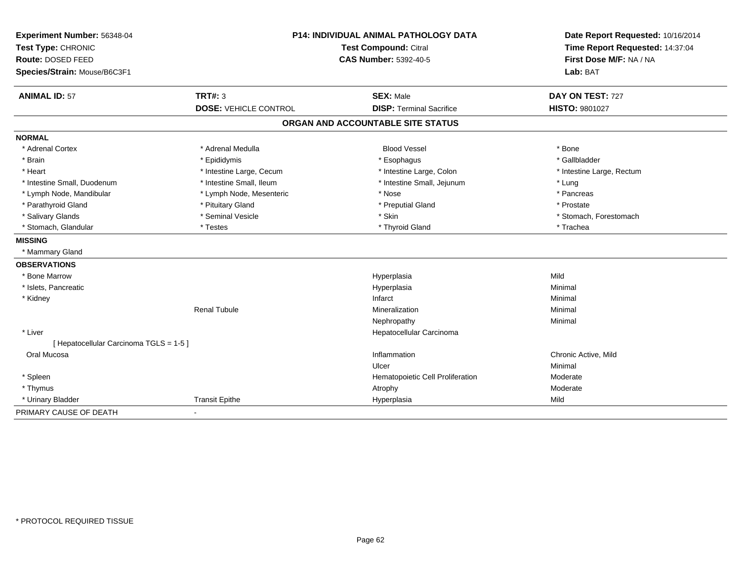| Experiment Number: 56348-04             | P14: INDIVIDUAL ANIMAL PATHOLOGY DATA<br><b>Test Compound: Citral</b> |                                   | Date Report Requested: 10/16/2014<br>Time Report Requested: 14:37:04 |
|-----------------------------------------|-----------------------------------------------------------------------|-----------------------------------|----------------------------------------------------------------------|
| Test Type: CHRONIC                      |                                                                       |                                   |                                                                      |
| Route: DOSED FEED                       |                                                                       | <b>CAS Number: 5392-40-5</b>      | First Dose M/F: NA / NA                                              |
| Species/Strain: Mouse/B6C3F1            |                                                                       |                                   | Lab: BAT                                                             |
| <b>ANIMAL ID: 57</b>                    | <b>TRT#: 3</b>                                                        | <b>SEX: Male</b>                  | DAY ON TEST: 727                                                     |
|                                         | <b>DOSE: VEHICLE CONTROL</b>                                          | <b>DISP: Terminal Sacrifice</b>   | HISTO: 9801027                                                       |
|                                         |                                                                       | ORGAN AND ACCOUNTABLE SITE STATUS |                                                                      |
| <b>NORMAL</b>                           |                                                                       |                                   |                                                                      |
| * Adrenal Cortex                        | * Adrenal Medulla                                                     | <b>Blood Vessel</b>               | * Bone                                                               |
| * Brain                                 | * Epididymis                                                          | * Esophagus                       | * Gallbladder                                                        |
| * Heart                                 | * Intestine Large, Cecum                                              | * Intestine Large, Colon          | * Intestine Large, Rectum                                            |
| * Intestine Small. Duodenum             | * Intestine Small, Ileum                                              | * Intestine Small, Jejunum        | * Lung                                                               |
| * Lymph Node, Mandibular                | * Lymph Node, Mesenteric                                              | * Nose                            | * Pancreas                                                           |
| * Parathyroid Gland                     | * Pituitary Gland                                                     | * Preputial Gland                 | * Prostate                                                           |
| * Salivary Glands                       | * Seminal Vesicle                                                     | * Skin                            | * Stomach, Forestomach                                               |
| * Stomach, Glandular                    | * Testes                                                              | * Thyroid Gland                   | * Trachea                                                            |
| <b>MISSING</b>                          |                                                                       |                                   |                                                                      |
| * Mammary Gland                         |                                                                       |                                   |                                                                      |
| <b>OBSERVATIONS</b>                     |                                                                       |                                   |                                                                      |
| * Bone Marrow                           |                                                                       | Hyperplasia                       | Mild                                                                 |
| * Islets, Pancreatic                    |                                                                       | Hyperplasia                       | Minimal                                                              |
| * Kidney                                |                                                                       | Infarct                           | Minimal                                                              |
|                                         | <b>Renal Tubule</b>                                                   | Mineralization                    | Minimal                                                              |
|                                         |                                                                       | Nephropathy                       | Minimal                                                              |
| * Liver                                 |                                                                       | Hepatocellular Carcinoma          |                                                                      |
| [ Hepatocellular Carcinoma TGLS = 1-5 ] |                                                                       |                                   |                                                                      |
| Oral Mucosa                             |                                                                       | Inflammation                      | Chronic Active, Mild                                                 |
|                                         |                                                                       | Ulcer                             | Minimal                                                              |
| * Spleen                                |                                                                       | Hematopoietic Cell Proliferation  | Moderate                                                             |
| * Thymus                                |                                                                       | Atrophy                           | Moderate                                                             |
| * Urinary Bladder                       | <b>Transit Epithe</b>                                                 | Hyperplasia                       | Mild                                                                 |
| PRIMARY CAUSE OF DEATH                  | $\blacksquare$                                                        |                                   |                                                                      |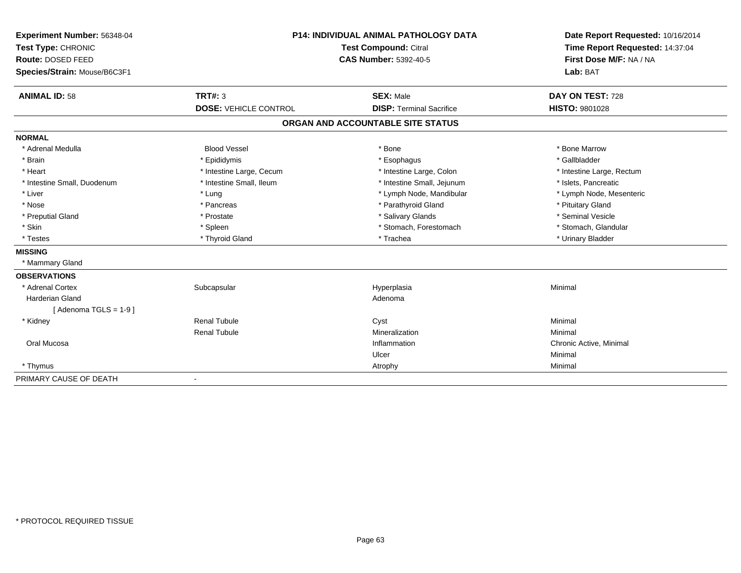| Experiment Number: 56348-04  | <b>P14: INDIVIDUAL ANIMAL PATHOLOGY DATA</b><br>Test Compound: Citral |                                   | Date Report Requested: 10/16/2014 |
|------------------------------|-----------------------------------------------------------------------|-----------------------------------|-----------------------------------|
| Test Type: CHRONIC           |                                                                       |                                   | Time Report Requested: 14:37:04   |
| Route: DOSED FEED            |                                                                       | <b>CAS Number: 5392-40-5</b>      | First Dose M/F: NA / NA           |
| Species/Strain: Mouse/B6C3F1 |                                                                       |                                   | Lab: BAT                          |
|                              |                                                                       |                                   |                                   |
| <b>ANIMAL ID: 58</b>         | <b>TRT#: 3</b>                                                        | <b>SEX: Male</b>                  | DAY ON TEST: 728                  |
|                              | <b>DOSE: VEHICLE CONTROL</b>                                          | <b>DISP: Terminal Sacrifice</b>   | <b>HISTO: 9801028</b>             |
|                              |                                                                       | ORGAN AND ACCOUNTABLE SITE STATUS |                                   |
| <b>NORMAL</b>                |                                                                       |                                   |                                   |
| * Adrenal Medulla            | <b>Blood Vessel</b>                                                   | * Bone                            | * Bone Marrow                     |
| * Brain                      | * Epididymis                                                          | * Esophagus                       | * Gallbladder                     |
| * Heart                      | * Intestine Large, Cecum                                              | * Intestine Large, Colon          | * Intestine Large, Rectum         |
| * Intestine Small, Duodenum  | * Intestine Small, Ileum                                              | * Intestine Small, Jejunum        | * Islets, Pancreatic              |
| * Liver                      | * Lung                                                                | * Lymph Node, Mandibular          | * Lymph Node, Mesenteric          |
| * Nose                       | * Pancreas                                                            | * Parathyroid Gland               | * Pituitary Gland                 |
| * Preputial Gland            | * Prostate                                                            | * Salivary Glands                 | * Seminal Vesicle                 |
| * Skin                       | * Spleen                                                              | * Stomach, Forestomach            | * Stomach, Glandular              |
| * Testes                     | * Thyroid Gland                                                       | * Trachea                         | * Urinary Bladder                 |
| <b>MISSING</b>               |                                                                       |                                   |                                   |
| * Mammary Gland              |                                                                       |                                   |                                   |
| <b>OBSERVATIONS</b>          |                                                                       |                                   |                                   |
| * Adrenal Cortex             | Subcapsular                                                           | Hyperplasia                       | Minimal                           |
| <b>Harderian Gland</b>       |                                                                       | Adenoma                           |                                   |
| [Adenoma TGLS = $1-9$ ]      |                                                                       |                                   |                                   |
| * Kidney                     | <b>Renal Tubule</b>                                                   | Cyst                              | Minimal                           |
|                              | <b>Renal Tubule</b>                                                   | Mineralization                    | Minimal                           |
| Oral Mucosa                  |                                                                       | Inflammation                      | Chronic Active, Minimal           |
|                              |                                                                       | Ulcer                             | Minimal                           |
| * Thymus                     |                                                                       | Atrophy                           | Minimal                           |
| PRIMARY CAUSE OF DEATH       |                                                                       |                                   |                                   |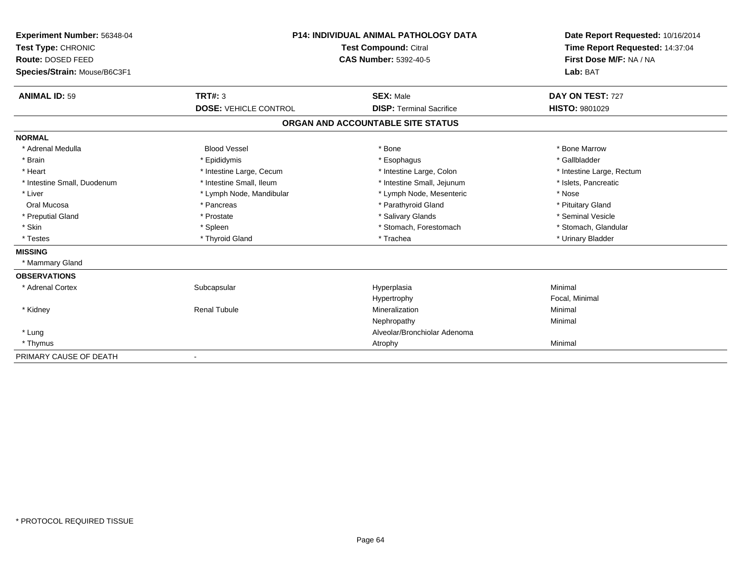| Experiment Number: 56348-04  | <b>P14: INDIVIDUAL ANIMAL PATHOLOGY DATA</b><br><b>Test Compound: Citral</b> |                                   | Date Report Requested: 10/16/2014 |
|------------------------------|------------------------------------------------------------------------------|-----------------------------------|-----------------------------------|
| Test Type: CHRONIC           |                                                                              |                                   | Time Report Requested: 14:37:04   |
| Route: DOSED FEED            |                                                                              | <b>CAS Number: 5392-40-5</b>      | First Dose M/F: NA / NA           |
| Species/Strain: Mouse/B6C3F1 |                                                                              |                                   | Lab: BAT                          |
| <b>ANIMAL ID: 59</b>         | <b>TRT#: 3</b>                                                               | <b>SEX: Male</b>                  | DAY ON TEST: 727                  |
|                              | <b>DOSE: VEHICLE CONTROL</b>                                                 | <b>DISP: Terminal Sacrifice</b>   | <b>HISTO: 9801029</b>             |
|                              |                                                                              | ORGAN AND ACCOUNTABLE SITE STATUS |                                   |
| <b>NORMAL</b>                |                                                                              |                                   |                                   |
| * Adrenal Medulla            | <b>Blood Vessel</b>                                                          | * Bone                            | * Bone Marrow                     |
| * Brain                      | * Epididymis                                                                 | * Esophagus                       | * Gallbladder                     |
| * Heart                      | * Intestine Large, Cecum                                                     | * Intestine Large, Colon          | * Intestine Large, Rectum         |
| * Intestine Small, Duodenum  | * Intestine Small, Ileum                                                     | * Intestine Small, Jejunum        | * Islets, Pancreatic              |
| * Liver                      | * Lymph Node, Mandibular                                                     | * Lymph Node, Mesenteric          | * Nose                            |
| Oral Mucosa                  | * Pancreas                                                                   | * Parathyroid Gland               | * Pituitary Gland                 |
| * Preputial Gland            | * Prostate                                                                   | * Salivary Glands                 | * Seminal Vesicle                 |
| * Skin                       | * Spleen                                                                     | * Stomach, Forestomach            | * Stomach, Glandular              |
| * Testes                     | * Thyroid Gland                                                              | * Trachea                         | * Urinary Bladder                 |
| <b>MISSING</b>               |                                                                              |                                   |                                   |
| * Mammary Gland              |                                                                              |                                   |                                   |
| <b>OBSERVATIONS</b>          |                                                                              |                                   |                                   |
| * Adrenal Cortex             | Subcapsular                                                                  | Hyperplasia                       | Minimal                           |
|                              |                                                                              | Hypertrophy                       | Focal, Minimal                    |
| * Kidney                     | <b>Renal Tubule</b>                                                          | Mineralization                    | Minimal                           |
|                              |                                                                              | Nephropathy                       | Minimal                           |
| * Lung                       |                                                                              | Alveolar/Bronchiolar Adenoma      |                                   |
| * Thymus                     |                                                                              | Atrophy                           | Minimal                           |
| PRIMARY CAUSE OF DEATH       | $\qquad \qquad \blacksquare$                                                 |                                   |                                   |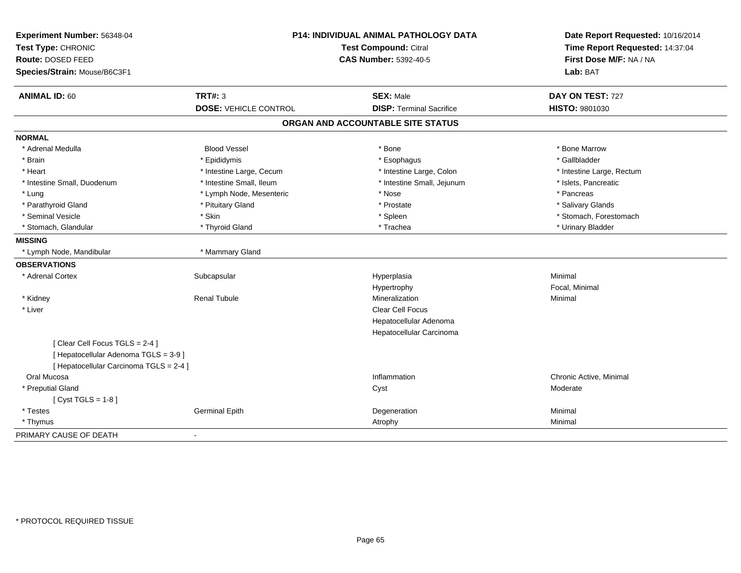| Experiment Number: 56348-04<br>Test Type: CHRONIC<br>Route: DOSED FEED<br>Species/Strain: Mouse/B6C3F1 | P14: INDIVIDUAL ANIMAL PATHOLOGY DATA<br><b>Test Compound: Citral</b><br><b>CAS Number: 5392-40-5</b> |                                   | Date Report Requested: 10/16/2014<br>Time Report Requested: 14:37:04<br>First Dose M/F: NA / NA<br>Lab: BAT |  |
|--------------------------------------------------------------------------------------------------------|-------------------------------------------------------------------------------------------------------|-----------------------------------|-------------------------------------------------------------------------------------------------------------|--|
| <b>ANIMAL ID: 60</b>                                                                                   | TRT#: 3                                                                                               | <b>SEX: Male</b>                  | DAY ON TEST: 727                                                                                            |  |
|                                                                                                        | <b>DOSE: VEHICLE CONTROL</b>                                                                          | <b>DISP: Terminal Sacrifice</b>   | HISTO: 9801030                                                                                              |  |
|                                                                                                        |                                                                                                       | ORGAN AND ACCOUNTABLE SITE STATUS |                                                                                                             |  |
| <b>NORMAL</b>                                                                                          |                                                                                                       |                                   |                                                                                                             |  |
| * Adrenal Medulla                                                                                      | <b>Blood Vessel</b>                                                                                   | * Bone                            | * Bone Marrow                                                                                               |  |
| * Brain                                                                                                | * Epididymis                                                                                          | * Esophagus                       | * Gallbladder                                                                                               |  |
| * Heart                                                                                                | * Intestine Large, Cecum                                                                              | * Intestine Large, Colon          | * Intestine Large, Rectum                                                                                   |  |
| * Intestine Small, Duodenum                                                                            | * Intestine Small, Ileum                                                                              | * Intestine Small, Jejunum        | * Islets, Pancreatic                                                                                        |  |
| * Lung                                                                                                 | * Lymph Node, Mesenteric                                                                              | * Nose                            | * Pancreas                                                                                                  |  |
| * Parathyroid Gland                                                                                    | * Pituitary Gland                                                                                     | * Prostate                        | * Salivary Glands                                                                                           |  |
| * Seminal Vesicle                                                                                      | * Skin                                                                                                | * Spleen                          | * Stomach, Forestomach                                                                                      |  |
| * Stomach, Glandular                                                                                   | * Thyroid Gland                                                                                       | * Trachea                         | * Urinary Bladder                                                                                           |  |
| <b>MISSING</b>                                                                                         |                                                                                                       |                                   |                                                                                                             |  |
| * Lymph Node, Mandibular                                                                               | * Mammary Gland                                                                                       |                                   |                                                                                                             |  |
| <b>OBSERVATIONS</b>                                                                                    |                                                                                                       |                                   |                                                                                                             |  |
| * Adrenal Cortex                                                                                       | Subcapsular                                                                                           | Hyperplasia                       | Minimal                                                                                                     |  |
|                                                                                                        |                                                                                                       | Hypertrophy                       | Focal, Minimal                                                                                              |  |
| * Kidney                                                                                               | <b>Renal Tubule</b>                                                                                   | Mineralization                    | Minimal                                                                                                     |  |
| * Liver                                                                                                |                                                                                                       | Clear Cell Focus                  |                                                                                                             |  |
|                                                                                                        |                                                                                                       | Hepatocellular Adenoma            |                                                                                                             |  |
|                                                                                                        |                                                                                                       | Hepatocellular Carcinoma          |                                                                                                             |  |
| [Clear Cell Focus TGLS = 2-4]                                                                          |                                                                                                       |                                   |                                                                                                             |  |
| [ Hepatocellular Adenoma TGLS = 3-9]                                                                   |                                                                                                       |                                   |                                                                                                             |  |
| [ Hepatocellular Carcinoma TGLS = 2-4 ]                                                                |                                                                                                       |                                   |                                                                                                             |  |
| Oral Mucosa                                                                                            |                                                                                                       | Inflammation                      | Chronic Active, Minimal                                                                                     |  |
| * Preputial Gland                                                                                      |                                                                                                       | Cyst                              | Moderate                                                                                                    |  |
| [Cyst TGLS = $1-8$ ]                                                                                   |                                                                                                       |                                   |                                                                                                             |  |
| * Testes                                                                                               | <b>Germinal Epith</b>                                                                                 | Degeneration                      | Minimal                                                                                                     |  |
| * Thymus                                                                                               |                                                                                                       | Atrophy                           | Minimal                                                                                                     |  |
| PRIMARY CAUSE OF DEATH                                                                                 |                                                                                                       |                                   |                                                                                                             |  |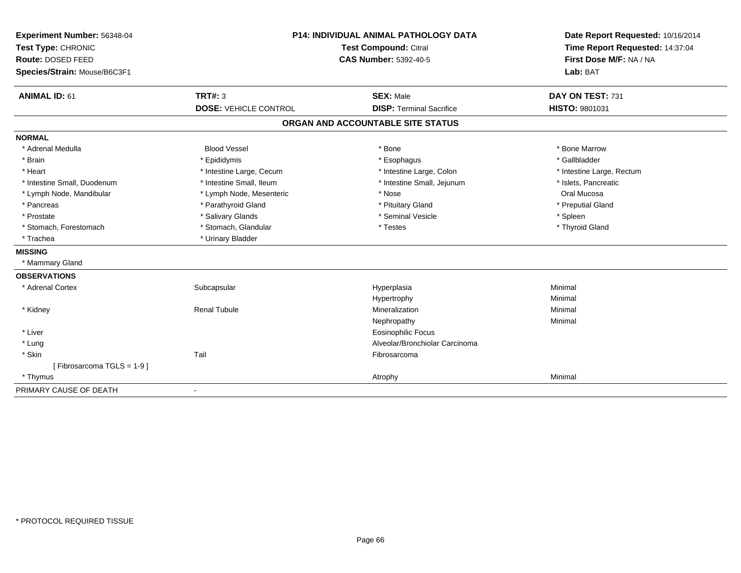| Experiment Number: 56348-04<br>Test Type: CHRONIC |                              | P14: INDIVIDUAL ANIMAL PATHOLOGY DATA<br><b>Test Compound: Citral</b> | Date Report Requested: 10/16/2014<br>Time Report Requested: 14:37:04<br>First Dose M/F: NA / NA |
|---------------------------------------------------|------------------------------|-----------------------------------------------------------------------|-------------------------------------------------------------------------------------------------|
| Route: DOSED FEED                                 |                              | <b>CAS Number: 5392-40-5</b>                                          |                                                                                                 |
| Species/Strain: Mouse/B6C3F1                      |                              |                                                                       | Lab: BAT                                                                                        |
| <b>ANIMAL ID: 61</b>                              | TRT#: 3                      | <b>SEX: Male</b>                                                      | DAY ON TEST: 731                                                                                |
|                                                   | <b>DOSE: VEHICLE CONTROL</b> | <b>DISP: Terminal Sacrifice</b>                                       | HISTO: 9801031                                                                                  |
|                                                   |                              | ORGAN AND ACCOUNTABLE SITE STATUS                                     |                                                                                                 |
| <b>NORMAL</b>                                     |                              |                                                                       |                                                                                                 |
| * Adrenal Medulla                                 | <b>Blood Vessel</b>          | * Bone                                                                | * Bone Marrow                                                                                   |
| * Brain                                           | * Epididymis                 | * Esophagus                                                           | * Gallbladder                                                                                   |
| * Heart                                           | * Intestine Large, Cecum     | * Intestine Large, Colon                                              | * Intestine Large, Rectum                                                                       |
| * Intestine Small, Duodenum                       | * Intestine Small, Ileum     | * Intestine Small, Jejunum                                            | * Islets, Pancreatic                                                                            |
| * Lymph Node, Mandibular                          | * Lymph Node, Mesenteric     | * Nose                                                                | Oral Mucosa                                                                                     |
| * Pancreas                                        | * Parathyroid Gland          | * Pituitary Gland                                                     | * Preputial Gland                                                                               |
| * Prostate                                        | * Salivary Glands            | * Seminal Vesicle                                                     | * Spleen                                                                                        |
| * Stomach, Forestomach                            | * Stomach, Glandular         | * Testes                                                              | * Thyroid Gland                                                                                 |
| * Trachea                                         | * Urinary Bladder            |                                                                       |                                                                                                 |
| <b>MISSING</b>                                    |                              |                                                                       |                                                                                                 |
| * Mammary Gland                                   |                              |                                                                       |                                                                                                 |
| <b>OBSERVATIONS</b>                               |                              |                                                                       |                                                                                                 |
| * Adrenal Cortex                                  | Subcapsular                  | Hyperplasia                                                           | Minimal                                                                                         |
|                                                   |                              | Hypertrophy                                                           | Minimal                                                                                         |
| * Kidney                                          | <b>Renal Tubule</b>          | Mineralization                                                        | Minimal                                                                                         |
|                                                   |                              | Nephropathy                                                           | Minimal                                                                                         |
| * Liver                                           |                              | <b>Eosinophilic Focus</b>                                             |                                                                                                 |
| * Lung                                            |                              | Alveolar/Bronchiolar Carcinoma                                        |                                                                                                 |
| * Skin                                            | Tail                         | Fibrosarcoma                                                          |                                                                                                 |
| [Fibrosarcoma TGLS = 1-9]                         |                              |                                                                       |                                                                                                 |
| * Thymus                                          |                              | Atrophy                                                               | Minimal                                                                                         |
| PRIMARY CAUSE OF DEATH                            | $\blacksquare$               |                                                                       |                                                                                                 |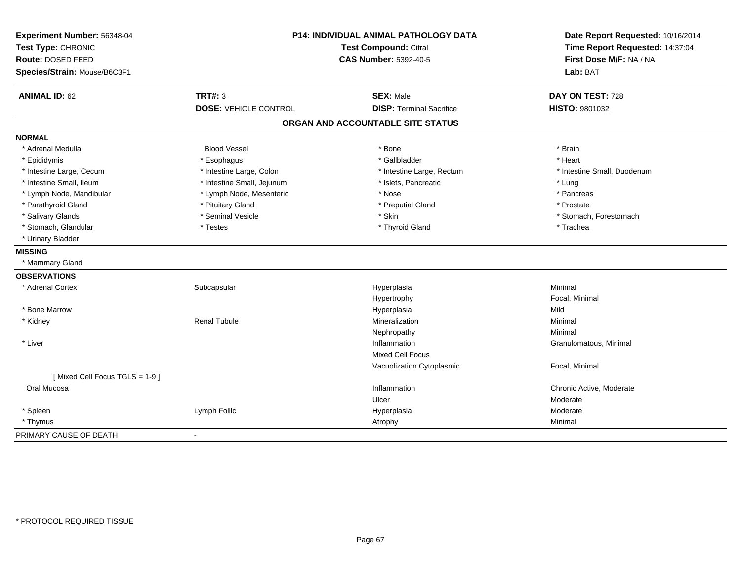| Experiment Number: 56348-04<br>Test Type: CHRONIC<br>Route: DOSED FEED<br>Species/Strain: Mouse/B6C3F1 | <b>Test Compound: Citral</b><br><b>CAS Number: 5392-40-5</b> |                                   | P14: INDIVIDUAL ANIMAL PATHOLOGY DATA<br>First Dose M/F: NA / NA<br>Lab: BAT | Date Report Requested: 10/16/2014<br>Time Report Requested: 14:37:04 |
|--------------------------------------------------------------------------------------------------------|--------------------------------------------------------------|-----------------------------------|------------------------------------------------------------------------------|----------------------------------------------------------------------|
| <b>ANIMAL ID: 62</b>                                                                                   | TRT#: 3                                                      | <b>SEX: Male</b>                  | DAY ON TEST: 728                                                             |                                                                      |
|                                                                                                        | <b>DOSE: VEHICLE CONTROL</b>                                 | <b>DISP: Terminal Sacrifice</b>   | HISTO: 9801032                                                               |                                                                      |
|                                                                                                        |                                                              | ORGAN AND ACCOUNTABLE SITE STATUS |                                                                              |                                                                      |
| <b>NORMAL</b>                                                                                          |                                                              |                                   |                                                                              |                                                                      |
| * Adrenal Medulla                                                                                      | <b>Blood Vessel</b>                                          | * Bone                            | * Brain                                                                      |                                                                      |
| * Epididymis                                                                                           | * Esophagus                                                  | * Gallbladder                     | * Heart                                                                      |                                                                      |
| * Intestine Large, Cecum                                                                               | * Intestine Large, Colon                                     | * Intestine Large, Rectum         | * Intestine Small, Duodenum                                                  |                                                                      |
| * Intestine Small, Ileum                                                                               | * Intestine Small, Jejunum                                   | * Islets, Pancreatic              | * Lung                                                                       |                                                                      |
| * Lymph Node, Mandibular                                                                               | * Lymph Node, Mesenteric                                     | * Nose                            | * Pancreas                                                                   |                                                                      |
| * Parathyroid Gland                                                                                    | * Pituitary Gland                                            | * Preputial Gland                 | * Prostate                                                                   |                                                                      |
| * Salivary Glands                                                                                      | * Seminal Vesicle                                            | * Skin                            | * Stomach, Forestomach                                                       |                                                                      |
| * Stomach, Glandular                                                                                   | * Testes                                                     | * Thyroid Gland                   | * Trachea                                                                    |                                                                      |
| * Urinary Bladder                                                                                      |                                                              |                                   |                                                                              |                                                                      |
| <b>MISSING</b>                                                                                         |                                                              |                                   |                                                                              |                                                                      |
| * Mammary Gland                                                                                        |                                                              |                                   |                                                                              |                                                                      |
| <b>OBSERVATIONS</b>                                                                                    |                                                              |                                   |                                                                              |                                                                      |
| * Adrenal Cortex                                                                                       | Subcapsular                                                  | Hyperplasia                       | Minimal                                                                      |                                                                      |
|                                                                                                        |                                                              | Hypertrophy                       | Focal, Minimal                                                               |                                                                      |
| * Bone Marrow                                                                                          |                                                              | Hyperplasia                       | Mild                                                                         |                                                                      |
| * Kidney                                                                                               | <b>Renal Tubule</b>                                          | Mineralization                    | Minimal                                                                      |                                                                      |
|                                                                                                        |                                                              | Nephropathy                       | Minimal                                                                      |                                                                      |
| * Liver                                                                                                |                                                              | Inflammation                      | Granulomatous, Minimal                                                       |                                                                      |
|                                                                                                        |                                                              | <b>Mixed Cell Focus</b>           |                                                                              |                                                                      |
|                                                                                                        |                                                              | Vacuolization Cytoplasmic         | Focal, Minimal                                                               |                                                                      |
| [Mixed Cell Focus TGLS = 1-9]                                                                          |                                                              |                                   |                                                                              |                                                                      |
| Oral Mucosa                                                                                            |                                                              | Inflammation                      | Chronic Active, Moderate                                                     |                                                                      |
|                                                                                                        |                                                              | Ulcer                             | Moderate                                                                     |                                                                      |
| * Spleen                                                                                               | Lymph Follic                                                 | Hyperplasia                       | Moderate                                                                     |                                                                      |
| * Thymus                                                                                               |                                                              | Atrophy                           | Minimal                                                                      |                                                                      |
| PRIMARY CAUSE OF DEATH                                                                                 |                                                              |                                   |                                                                              |                                                                      |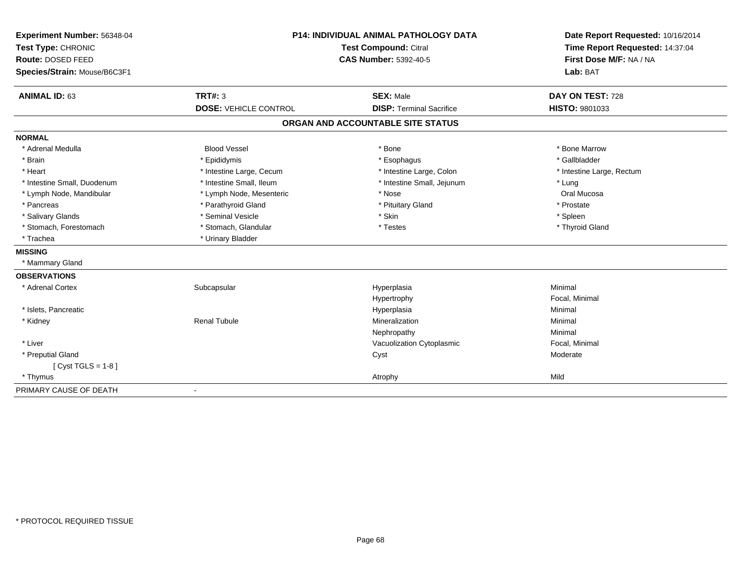| Experiment Number: 56348-04  | <b>P14: INDIVIDUAL ANIMAL PATHOLOGY DATA</b> |                                   | Date Report Requested: 10/16/2014                          |  |
|------------------------------|----------------------------------------------|-----------------------------------|------------------------------------------------------------|--|
| Test Type: CHRONIC           |                                              | Test Compound: Citral             |                                                            |  |
| Route: DOSED FEED            |                                              | <b>CAS Number: 5392-40-5</b>      | Time Report Requested: 14:37:04<br>First Dose M/F: NA / NA |  |
| Species/Strain: Mouse/B6C3F1 |                                              |                                   | Lab: BAT                                                   |  |
| <b>ANIMAL ID: 63</b>         | TRT#: 3                                      | <b>SEX: Male</b>                  | DAY ON TEST: 728                                           |  |
|                              | <b>DOSE: VEHICLE CONTROL</b>                 | <b>DISP: Terminal Sacrifice</b>   | HISTO: 9801033                                             |  |
|                              |                                              | ORGAN AND ACCOUNTABLE SITE STATUS |                                                            |  |
| <b>NORMAL</b>                |                                              |                                   |                                                            |  |
| * Adrenal Medulla            | <b>Blood Vessel</b>                          | * Bone                            | * Bone Marrow                                              |  |
| * Brain                      | * Epididymis                                 | * Esophagus                       | * Gallbladder                                              |  |
| * Heart                      | * Intestine Large, Cecum                     | * Intestine Large, Colon          | * Intestine Large, Rectum                                  |  |
| * Intestine Small, Duodenum  | * Intestine Small, Ileum                     | * Intestine Small, Jejunum        | * Lung                                                     |  |
| * Lymph Node, Mandibular     | * Lymph Node, Mesenteric                     | * Nose                            | Oral Mucosa                                                |  |
| * Pancreas                   | * Parathyroid Gland                          | * Pituitary Gland                 | * Prostate                                                 |  |
| * Salivary Glands            | * Seminal Vesicle                            | * Skin                            | * Spleen                                                   |  |
| * Stomach, Forestomach       | * Stomach, Glandular                         | * Testes                          | * Thyroid Gland                                            |  |
| * Trachea                    | * Urinary Bladder                            |                                   |                                                            |  |
| <b>MISSING</b>               |                                              |                                   |                                                            |  |
| * Mammary Gland              |                                              |                                   |                                                            |  |
| <b>OBSERVATIONS</b>          |                                              |                                   |                                                            |  |
| * Adrenal Cortex             | Subcapsular                                  | Hyperplasia                       | Minimal                                                    |  |
|                              |                                              | Hypertrophy                       | Focal, Minimal                                             |  |
| * Islets, Pancreatic         |                                              | Hyperplasia                       | Minimal                                                    |  |
| * Kidney                     | <b>Renal Tubule</b>                          | Mineralization                    | Minimal                                                    |  |
|                              |                                              | Nephropathy                       | Minimal                                                    |  |
| * Liver                      |                                              | Vacuolization Cytoplasmic         | Focal, Minimal                                             |  |
| * Preputial Gland            |                                              | Cyst                              | Moderate                                                   |  |
| [ $Cyst TGLS = 1-8$ ]        |                                              |                                   |                                                            |  |
| * Thymus                     |                                              | Atrophy                           | Mild                                                       |  |
| PRIMARY CAUSE OF DEATH       | $\overline{\phantom{a}}$                     |                                   |                                                            |  |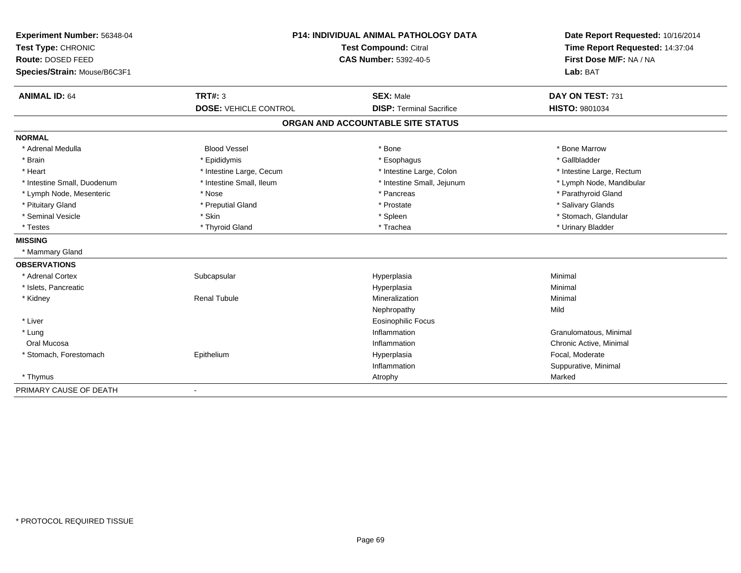| Experiment Number: 56348-04  | <b>P14: INDIVIDUAL ANIMAL PATHOLOGY DATA</b><br><b>Test Compound: Citral</b> |                                   | Date Report Requested: 10/16/2014 |  |
|------------------------------|------------------------------------------------------------------------------|-----------------------------------|-----------------------------------|--|
| Test Type: CHRONIC           |                                                                              |                                   | Time Report Requested: 14:37:04   |  |
| Route: DOSED FEED            |                                                                              | <b>CAS Number: 5392-40-5</b>      | First Dose M/F: NA / NA           |  |
| Species/Strain: Mouse/B6C3F1 |                                                                              |                                   | Lab: BAT                          |  |
| <b>ANIMAL ID: 64</b>         | TRT#: 3                                                                      | <b>SEX: Male</b>                  | DAY ON TEST: 731                  |  |
|                              | <b>DOSE: VEHICLE CONTROL</b>                                                 | <b>DISP: Terminal Sacrifice</b>   | HISTO: 9801034                    |  |
|                              |                                                                              | ORGAN AND ACCOUNTABLE SITE STATUS |                                   |  |
| <b>NORMAL</b>                |                                                                              |                                   |                                   |  |
| * Adrenal Medulla            | <b>Blood Vessel</b>                                                          | * Bone                            | * Bone Marrow                     |  |
| * Brain                      | * Epididymis                                                                 | * Esophagus                       | * Gallbladder                     |  |
| * Heart                      | * Intestine Large, Cecum                                                     | * Intestine Large, Colon          | * Intestine Large, Rectum         |  |
| * Intestine Small, Duodenum  | * Intestine Small, Ileum                                                     | * Intestine Small, Jejunum        | * Lymph Node, Mandibular          |  |
| * Lymph Node, Mesenteric     | * Nose                                                                       | * Pancreas                        | * Parathyroid Gland               |  |
| * Pituitary Gland            | * Preputial Gland                                                            | * Prostate                        | * Salivary Glands                 |  |
| * Seminal Vesicle            | * Skin                                                                       | * Spleen                          | * Stomach, Glandular              |  |
| * Testes                     | * Thyroid Gland                                                              | * Trachea                         | * Urinary Bladder                 |  |
| <b>MISSING</b>               |                                                                              |                                   |                                   |  |
| * Mammary Gland              |                                                                              |                                   |                                   |  |
| <b>OBSERVATIONS</b>          |                                                                              |                                   |                                   |  |
| * Adrenal Cortex             | Subcapsular                                                                  | Hyperplasia                       | Minimal                           |  |
| * Islets, Pancreatic         |                                                                              | Hyperplasia                       | Minimal                           |  |
| * Kidney                     | <b>Renal Tubule</b>                                                          | Mineralization                    | Minimal                           |  |
|                              |                                                                              | Nephropathy                       | Mild                              |  |
| * Liver                      |                                                                              | <b>Eosinophilic Focus</b>         |                                   |  |
| * Lung                       |                                                                              | Inflammation                      | Granulomatous, Minimal            |  |
| Oral Mucosa                  |                                                                              | Inflammation                      | Chronic Active, Minimal           |  |
| * Stomach, Forestomach       | Epithelium                                                                   | Hyperplasia                       | Focal, Moderate                   |  |
|                              |                                                                              | Inflammation                      | Suppurative, Minimal              |  |
| * Thymus                     |                                                                              | Atrophy                           | Marked                            |  |
| PRIMARY CAUSE OF DEATH       | $\blacksquare$                                                               |                                   |                                   |  |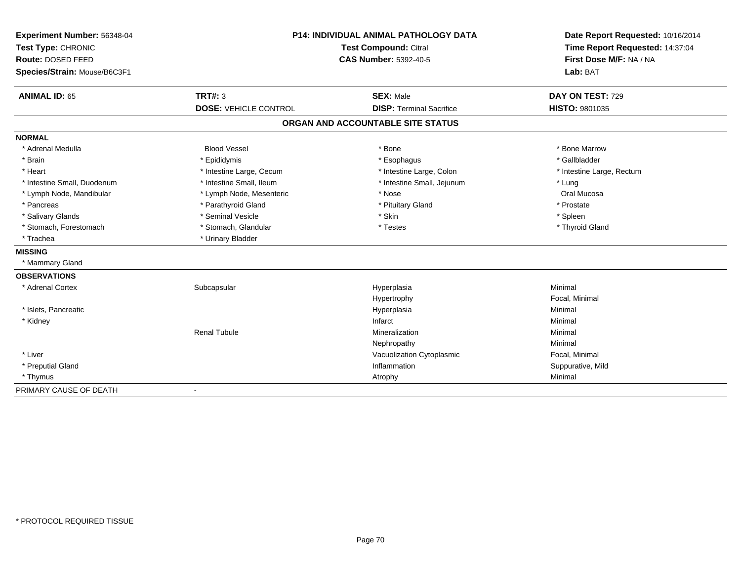| Experiment Number: 56348-04  | P14: INDIVIDUAL ANIMAL PATHOLOGY DATA |                                   | Date Report Requested: 10/16/2014                          |  |
|------------------------------|---------------------------------------|-----------------------------------|------------------------------------------------------------|--|
| Test Type: CHRONIC           |                                       | <b>Test Compound: Citral</b>      |                                                            |  |
| Route: DOSED FEED            |                                       | <b>CAS Number: 5392-40-5</b>      | Time Report Requested: 14:37:04<br>First Dose M/F: NA / NA |  |
| Species/Strain: Mouse/B6C3F1 |                                       |                                   | Lab: BAT                                                   |  |
| <b>ANIMAL ID: 65</b>         | TRT#: 3                               | <b>SEX: Male</b>                  | DAY ON TEST: 729                                           |  |
|                              | <b>DOSE: VEHICLE CONTROL</b>          | <b>DISP: Terminal Sacrifice</b>   | HISTO: 9801035                                             |  |
|                              |                                       | ORGAN AND ACCOUNTABLE SITE STATUS |                                                            |  |
| <b>NORMAL</b>                |                                       |                                   |                                                            |  |
| * Adrenal Medulla            | <b>Blood Vessel</b>                   | * Bone                            | * Bone Marrow                                              |  |
| * Brain                      | * Epididymis                          | * Esophagus                       | * Gallbladder                                              |  |
| * Heart                      | * Intestine Large, Cecum              | * Intestine Large, Colon          | * Intestine Large, Rectum                                  |  |
| * Intestine Small, Duodenum  | * Intestine Small, Ileum              | * Intestine Small, Jejunum        | * Lung                                                     |  |
| * Lymph Node, Mandibular     | * Lymph Node, Mesenteric              | * Nose                            | Oral Mucosa                                                |  |
| * Pancreas                   | * Parathyroid Gland                   | * Pituitary Gland                 | * Prostate                                                 |  |
| * Salivary Glands            | * Seminal Vesicle                     | * Skin                            | * Spleen                                                   |  |
| * Stomach, Forestomach       | * Stomach, Glandular                  | * Testes                          | * Thyroid Gland                                            |  |
| * Trachea                    | * Urinary Bladder                     |                                   |                                                            |  |
| <b>MISSING</b>               |                                       |                                   |                                                            |  |
| * Mammary Gland              |                                       |                                   |                                                            |  |
| <b>OBSERVATIONS</b>          |                                       |                                   |                                                            |  |
| * Adrenal Cortex             | Subcapsular                           | Hyperplasia                       | Minimal                                                    |  |
|                              |                                       | Hypertrophy                       | Focal, Minimal                                             |  |
| * Islets, Pancreatic         |                                       | Hyperplasia                       | Minimal                                                    |  |
| * Kidney                     |                                       | Infarct                           | Minimal                                                    |  |
|                              | <b>Renal Tubule</b>                   | Mineralization                    | Minimal                                                    |  |
|                              |                                       | Nephropathy                       | Minimal                                                    |  |
| * Liver                      |                                       | Vacuolization Cytoplasmic         | Focal, Minimal                                             |  |
| * Preputial Gland            |                                       | Inflammation                      | Suppurative, Mild                                          |  |
| * Thymus                     |                                       | Atrophy                           | Minimal                                                    |  |
| PRIMARY CAUSE OF DEATH       | $\overline{\phantom{a}}$              |                                   |                                                            |  |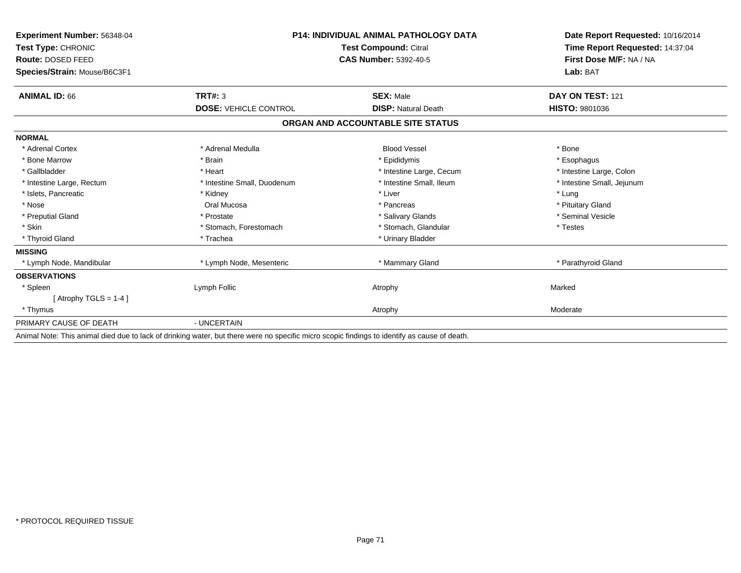| Experiment Number: 56348-04<br>Test Type: CHRONIC<br>Route: DOSED FEED<br>Species/Strain: Mouse/B6C3F1 | <b>P14: INDIVIDUAL ANIMAL PATHOLOGY DATA</b><br><b>Test Compound: Citral</b><br><b>CAS Number: 5392-40-5</b> |                                   | Date Report Requested: 10/16/2014<br>Time Report Requested: 14:37:04<br>First Dose M/F: NA / NA<br>Lab: BAT |
|--------------------------------------------------------------------------------------------------------|--------------------------------------------------------------------------------------------------------------|-----------------------------------|-------------------------------------------------------------------------------------------------------------|
| <b>ANIMAL ID: 66</b>                                                                                   | <b>TRT#: 3</b>                                                                                               | <b>SEX: Male</b>                  | DAY ON TEST: 121                                                                                            |
|                                                                                                        | <b>DOSE: VEHICLE CONTROL</b>                                                                                 | <b>DISP: Natural Death</b>        | <b>HISTO: 9801036</b>                                                                                       |
|                                                                                                        |                                                                                                              | ORGAN AND ACCOUNTABLE SITE STATUS |                                                                                                             |
| <b>NORMAL</b>                                                                                          |                                                                                                              |                                   |                                                                                                             |
| * Adrenal Cortex                                                                                       | * Adrenal Medulla                                                                                            | <b>Blood Vessel</b>               | * Bone                                                                                                      |
| * Bone Marrow                                                                                          | * Brain                                                                                                      | * Epididymis                      | * Esophagus                                                                                                 |
| * Gallbladder                                                                                          | * Heart                                                                                                      | * Intestine Large, Cecum          | * Intestine Large, Colon                                                                                    |
| * Intestine Large, Rectum                                                                              | * Intestine Small, Duodenum                                                                                  | * Intestine Small. Ileum          | * Intestine Small, Jejunum                                                                                  |
| * Islets, Pancreatic                                                                                   | * Kidney                                                                                                     | * Liver                           | * Lung                                                                                                      |
| * Nose                                                                                                 | Oral Mucosa                                                                                                  | * Pancreas                        | * Pituitary Gland                                                                                           |
| * Preputial Gland                                                                                      | * Prostate                                                                                                   | * Salivary Glands                 | * Seminal Vesicle                                                                                           |
| * Skin                                                                                                 | * Stomach, Forestomach                                                                                       | * Stomach, Glandular              | * Testes                                                                                                    |
| * Thyroid Gland                                                                                        | * Trachea                                                                                                    | * Urinary Bladder                 |                                                                                                             |
| <b>MISSING</b>                                                                                         |                                                                                                              |                                   |                                                                                                             |
| * Lymph Node, Mandibular                                                                               | * Lymph Node, Mesenteric                                                                                     | * Mammary Gland                   | * Parathyroid Gland                                                                                         |
| <b>OBSERVATIONS</b>                                                                                    |                                                                                                              |                                   |                                                                                                             |
| * Spleen                                                                                               | Lymph Follic                                                                                                 | Atrophy                           | Marked                                                                                                      |
| [Atrophy TGLS = $1-4$ ]                                                                                |                                                                                                              |                                   |                                                                                                             |
| * Thymus                                                                                               |                                                                                                              | Atrophy                           | Moderate                                                                                                    |
| PRIMARY CAUSE OF DEATH                                                                                 | - UNCERTAIN                                                                                                  |                                   |                                                                                                             |

Animal Note: This animal died due to lack of drinking water, but there were no specific micro scopic findings to identify as cause of death.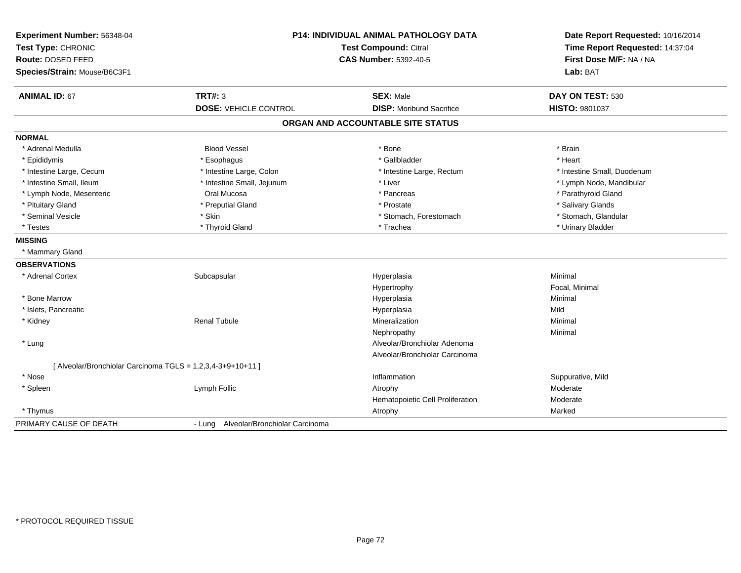| Experiment Number: 56348-04<br>Test Type: CHRONIC           |                                       | <b>P14: INDIVIDUAL ANIMAL PATHOLOGY DATA</b><br><b>Test Compound: Citral</b> | Date Report Requested: 10/16/2014<br>Time Report Requested: 14:37:04 |
|-------------------------------------------------------------|---------------------------------------|------------------------------------------------------------------------------|----------------------------------------------------------------------|
| Route: DOSED FEED<br>Species/Strain: Mouse/B6C3F1           |                                       | <b>CAS Number: 5392-40-5</b>                                                 | First Dose M/F: NA / NA<br>Lab: BAT                                  |
| <b>ANIMAL ID: 67</b>                                        | <b>TRT#: 3</b>                        | <b>SEX: Male</b>                                                             | DAY ON TEST: 530                                                     |
|                                                             | <b>DOSE: VEHICLE CONTROL</b>          | <b>DISP:</b> Moribund Sacrifice                                              | <b>HISTO: 9801037</b>                                                |
|                                                             |                                       | ORGAN AND ACCOUNTABLE SITE STATUS                                            |                                                                      |
| <b>NORMAL</b>                                               |                                       |                                                                              |                                                                      |
| * Adrenal Medulla                                           | <b>Blood Vessel</b>                   | * Bone                                                                       | * Brain                                                              |
| * Epididymis                                                | * Esophagus                           | * Gallbladder                                                                | * Heart                                                              |
| * Intestine Large, Cecum                                    | * Intestine Large, Colon              | * Intestine Large, Rectum                                                    | * Intestine Small, Duodenum                                          |
| * Intestine Small, Ileum                                    | * Intestine Small, Jejunum            | * Liver                                                                      | * Lymph Node, Mandibular                                             |
| * Lymph Node, Mesenteric                                    | Oral Mucosa                           | * Pancreas                                                                   | * Parathyroid Gland                                                  |
| * Pituitary Gland                                           | * Preputial Gland                     | * Prostate                                                                   | * Salivary Glands                                                    |
| * Seminal Vesicle                                           | * Skin                                | * Stomach, Forestomach                                                       | * Stomach, Glandular                                                 |
| * Testes                                                    | * Thyroid Gland                       | * Trachea                                                                    | * Urinary Bladder                                                    |
| <b>MISSING</b>                                              |                                       |                                                                              |                                                                      |
| * Mammary Gland                                             |                                       |                                                                              |                                                                      |
| <b>OBSERVATIONS</b>                                         |                                       |                                                                              |                                                                      |
| * Adrenal Cortex                                            | Subcapsular                           | Hyperplasia                                                                  | Minimal                                                              |
|                                                             |                                       | Hypertrophy                                                                  | Focal, Minimal                                                       |
| * Bone Marrow                                               |                                       | Hyperplasia                                                                  | Minimal                                                              |
| * Islets, Pancreatic                                        |                                       | Hyperplasia                                                                  | Mild                                                                 |
| * Kidney                                                    | <b>Renal Tubule</b>                   | Mineralization                                                               | Minimal                                                              |
|                                                             |                                       | Nephropathy                                                                  | Minimal                                                              |
| * Lung                                                      |                                       | Alveolar/Bronchiolar Adenoma                                                 |                                                                      |
|                                                             |                                       | Alveolar/Bronchiolar Carcinoma                                               |                                                                      |
| [ Alveolar/Bronchiolar Carcinoma TGLS = 1,2,3,4-3+9+10+11 ] |                                       |                                                                              |                                                                      |
| * Nose                                                      |                                       | Inflammation                                                                 | Suppurative, Mild                                                    |
| * Spleen                                                    | Lymph Follic                          | Atrophy                                                                      | Moderate                                                             |
|                                                             |                                       | Hematopoietic Cell Proliferation                                             | Moderate                                                             |
| * Thymus                                                    |                                       | Atrophy                                                                      | Marked                                                               |
| PRIMARY CAUSE OF DEATH                                      | - Lung Alveolar/Bronchiolar Carcinoma |                                                                              |                                                                      |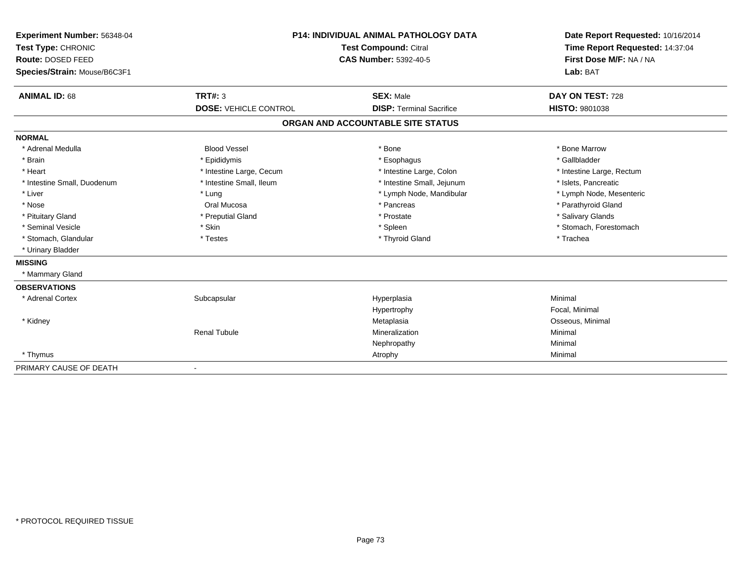| Experiment Number: 56348-04<br>Test Type: CHRONIC<br>Route: DOSED FEED<br>Species/Strain: Mouse/B6C3F1 |                              | <b>P14: INDIVIDUAL ANIMAL PATHOLOGY DATA</b><br>Test Compound: Citral<br><b>CAS Number: 5392-40-5</b> | Date Report Requested: 10/16/2014<br>Time Report Requested: 14:37:04<br>First Dose M/F: NA / NA<br>Lab: BAT |
|--------------------------------------------------------------------------------------------------------|------------------------------|-------------------------------------------------------------------------------------------------------|-------------------------------------------------------------------------------------------------------------|
| <b>ANIMAL ID: 68</b>                                                                                   | <b>TRT#: 3</b>               | <b>SEX: Male</b>                                                                                      | DAY ON TEST: 728                                                                                            |
|                                                                                                        | <b>DOSE: VEHICLE CONTROL</b> | <b>DISP: Terminal Sacrifice</b>                                                                       | HISTO: 9801038                                                                                              |
|                                                                                                        |                              | ORGAN AND ACCOUNTABLE SITE STATUS                                                                     |                                                                                                             |
| <b>NORMAL</b>                                                                                          |                              |                                                                                                       |                                                                                                             |
| * Adrenal Medulla                                                                                      | <b>Blood Vessel</b>          | * Bone                                                                                                | * Bone Marrow                                                                                               |
| * Brain                                                                                                | * Epididymis                 | * Esophagus                                                                                           | * Gallbladder                                                                                               |
| * Heart                                                                                                | * Intestine Large, Cecum     | * Intestine Large, Colon                                                                              | * Intestine Large, Rectum                                                                                   |
| * Intestine Small, Duodenum                                                                            | * Intestine Small, Ileum     | * Intestine Small, Jejunum                                                                            | * Islets, Pancreatic                                                                                        |
| * Liver                                                                                                | * Lung                       | * Lymph Node, Mandibular                                                                              | * Lymph Node, Mesenteric                                                                                    |
| * Nose                                                                                                 | Oral Mucosa                  | * Pancreas                                                                                            | * Parathyroid Gland                                                                                         |
| * Pituitary Gland                                                                                      | * Preputial Gland            | * Prostate                                                                                            | * Salivary Glands                                                                                           |
| * Seminal Vesicle                                                                                      | * Skin                       | * Spleen                                                                                              | * Stomach, Forestomach                                                                                      |
| * Stomach, Glandular                                                                                   | * Testes                     | * Thyroid Gland                                                                                       | * Trachea                                                                                                   |
| * Urinary Bladder                                                                                      |                              |                                                                                                       |                                                                                                             |
| <b>MISSING</b>                                                                                         |                              |                                                                                                       |                                                                                                             |
| * Mammary Gland                                                                                        |                              |                                                                                                       |                                                                                                             |
| <b>OBSERVATIONS</b>                                                                                    |                              |                                                                                                       |                                                                                                             |
| * Adrenal Cortex                                                                                       | Subcapsular                  | Hyperplasia                                                                                           | Minimal                                                                                                     |
|                                                                                                        |                              | Hypertrophy                                                                                           | Focal, Minimal                                                                                              |
| * Kidney                                                                                               |                              | Metaplasia                                                                                            | Osseous, Minimal                                                                                            |
|                                                                                                        | <b>Renal Tubule</b>          | Mineralization                                                                                        | Minimal                                                                                                     |
|                                                                                                        |                              | Nephropathy                                                                                           | Minimal                                                                                                     |
| * Thymus                                                                                               |                              | Atrophy                                                                                               | Minimal                                                                                                     |
| PRIMARY CAUSE OF DEATH                                                                                 |                              |                                                                                                       |                                                                                                             |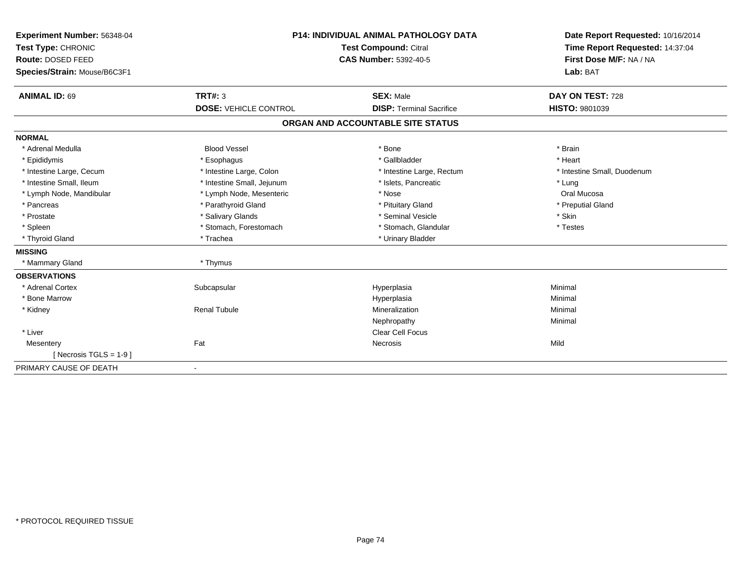| Experiment Number: 56348-04  | <b>P14: INDIVIDUAL ANIMAL PATHOLOGY DATA</b><br><b>Test Compound: Citral</b><br><b>CAS Number: 5392-40-5</b> |                                   | Date Report Requested: 10/16/2014 |
|------------------------------|--------------------------------------------------------------------------------------------------------------|-----------------------------------|-----------------------------------|
| Test Type: CHRONIC           |                                                                                                              |                                   | Time Report Requested: 14:37:04   |
| Route: DOSED FEED            |                                                                                                              |                                   | First Dose M/F: NA / NA           |
| Species/Strain: Mouse/B6C3F1 |                                                                                                              |                                   | Lab: BAT                          |
| <b>ANIMAL ID: 69</b>         | TRT#: 3                                                                                                      | <b>SEX: Male</b>                  | DAY ON TEST: 728                  |
|                              | <b>DOSE: VEHICLE CONTROL</b>                                                                                 | <b>DISP: Terminal Sacrifice</b>   | <b>HISTO: 9801039</b>             |
|                              |                                                                                                              | ORGAN AND ACCOUNTABLE SITE STATUS |                                   |
| <b>NORMAL</b>                |                                                                                                              |                                   |                                   |
| * Adrenal Medulla            | <b>Blood Vessel</b>                                                                                          | * Bone                            | * Brain                           |
| * Epididymis                 | * Esophagus                                                                                                  | * Gallbladder                     | * Heart                           |
| * Intestine Large, Cecum     | * Intestine Large, Colon                                                                                     | * Intestine Large, Rectum         | * Intestine Small, Duodenum       |
| * Intestine Small, Ileum     | * Intestine Small, Jejunum                                                                                   | * Islets, Pancreatic              | * Lung                            |
| * Lymph Node, Mandibular     | * Lymph Node, Mesenteric                                                                                     | * Nose                            | Oral Mucosa                       |
| * Pancreas                   | * Parathyroid Gland                                                                                          | * Pituitary Gland                 | * Preputial Gland                 |
| * Prostate                   | * Salivary Glands                                                                                            | * Seminal Vesicle                 | * Skin                            |
| * Spleen                     | * Stomach, Forestomach                                                                                       | * Stomach, Glandular              | * Testes                          |
| * Thyroid Gland              | * Trachea                                                                                                    | * Urinary Bladder                 |                                   |
| <b>MISSING</b>               |                                                                                                              |                                   |                                   |
| * Mammary Gland              | * Thymus                                                                                                     |                                   |                                   |
| <b>OBSERVATIONS</b>          |                                                                                                              |                                   |                                   |
| * Adrenal Cortex             | Subcapsular                                                                                                  | Hyperplasia                       | Minimal                           |
| * Bone Marrow                |                                                                                                              | Hyperplasia                       | Minimal                           |
| * Kidney                     | <b>Renal Tubule</b>                                                                                          | Mineralization                    | Minimal                           |
|                              |                                                                                                              | Nephropathy                       | Minimal                           |
| * Liver                      |                                                                                                              | Clear Cell Focus                  |                                   |
| Mesentery                    | Fat                                                                                                          | Necrosis                          | Mild                              |
| [Necrosis TGLS = $1-9$ ]     |                                                                                                              |                                   |                                   |
| PRIMARY CAUSE OF DEATH       | $\blacksquare$                                                                                               |                                   |                                   |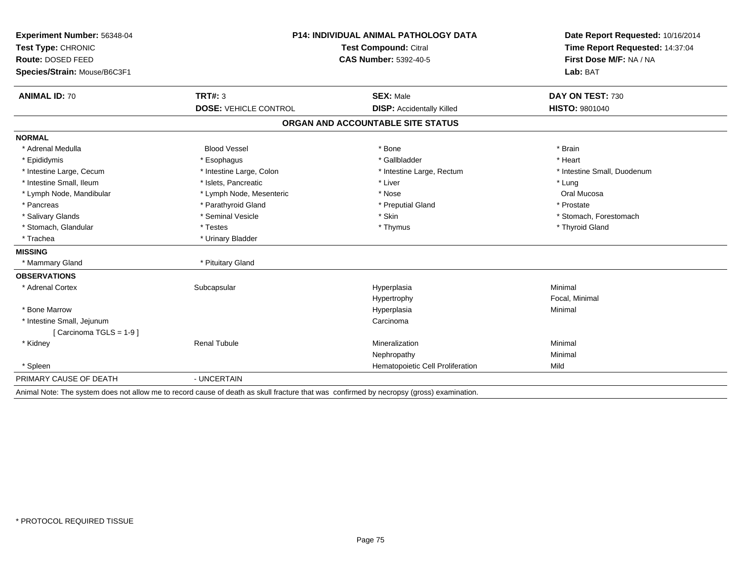| <b>Experiment Number: 56348-04</b> | <b>P14: INDIVIDUAL ANIMAL PATHOLOGY DATA</b><br><b>Test Compound: Citral</b> |                                   | Date Report Requested: 10/16/2014<br>Time Report Requested: 14:37:04 |  |
|------------------------------------|------------------------------------------------------------------------------|-----------------------------------|----------------------------------------------------------------------|--|
| Test Type: CHRONIC                 |                                                                              |                                   |                                                                      |  |
| Route: DOSED FEED                  |                                                                              | <b>CAS Number: 5392-40-5</b>      | First Dose M/F: NA / NA                                              |  |
| Species/Strain: Mouse/B6C3F1       |                                                                              |                                   | Lab: BAT                                                             |  |
| <b>ANIMAL ID: 70</b>               | TRT#: 3                                                                      | <b>SEX: Male</b>                  | DAY ON TEST: 730                                                     |  |
|                                    | <b>DOSE: VEHICLE CONTROL</b>                                                 | <b>DISP:</b> Accidentally Killed  | <b>HISTO: 9801040</b>                                                |  |
|                                    |                                                                              | ORGAN AND ACCOUNTABLE SITE STATUS |                                                                      |  |
| <b>NORMAL</b>                      |                                                                              |                                   |                                                                      |  |
| * Adrenal Medulla                  | <b>Blood Vessel</b>                                                          | * Bone                            | * Brain                                                              |  |
| * Epididymis                       | * Esophagus                                                                  | * Gallbladder                     | * Heart                                                              |  |
| * Intestine Large, Cecum           | * Intestine Large, Colon                                                     | * Intestine Large, Rectum         | * Intestine Small, Duodenum                                          |  |
| * Intestine Small, Ileum           | * Islets, Pancreatic                                                         | * Liver                           | * Lung                                                               |  |
| * Lymph Node, Mandibular           | * Lymph Node, Mesenteric                                                     | * Nose                            | Oral Mucosa                                                          |  |
| * Pancreas                         | * Parathyroid Gland                                                          | * Preputial Gland                 | * Prostate                                                           |  |
| * Salivary Glands                  | * Seminal Vesicle                                                            | * Skin                            | * Stomach, Forestomach                                               |  |
| * Stomach, Glandular               | * Testes                                                                     | * Thymus                          | * Thyroid Gland                                                      |  |
| * Trachea                          | * Urinary Bladder                                                            |                                   |                                                                      |  |
| <b>MISSING</b>                     |                                                                              |                                   |                                                                      |  |
| * Mammary Gland                    | * Pituitary Gland                                                            |                                   |                                                                      |  |
| <b>OBSERVATIONS</b>                |                                                                              |                                   |                                                                      |  |
| * Adrenal Cortex                   | Subcapsular                                                                  | Hyperplasia                       | Minimal                                                              |  |
|                                    |                                                                              | Hypertrophy                       | Focal, Minimal                                                       |  |
| * Bone Marrow                      |                                                                              | Hyperplasia                       | Minimal                                                              |  |
| * Intestine Small, Jejunum         |                                                                              | Carcinoma                         |                                                                      |  |
| [Carcinoma TGLS = 1-9]             |                                                                              |                                   |                                                                      |  |
| * Kidney                           | <b>Renal Tubule</b>                                                          | Mineralization                    | Minimal                                                              |  |
|                                    |                                                                              | Nephropathy                       | Minimal                                                              |  |
| * Spleen                           |                                                                              | Hematopoietic Cell Proliferation  | Mild                                                                 |  |
| PRIMARY CAUSE OF DEATH             | - UNCERTAIN                                                                  |                                   |                                                                      |  |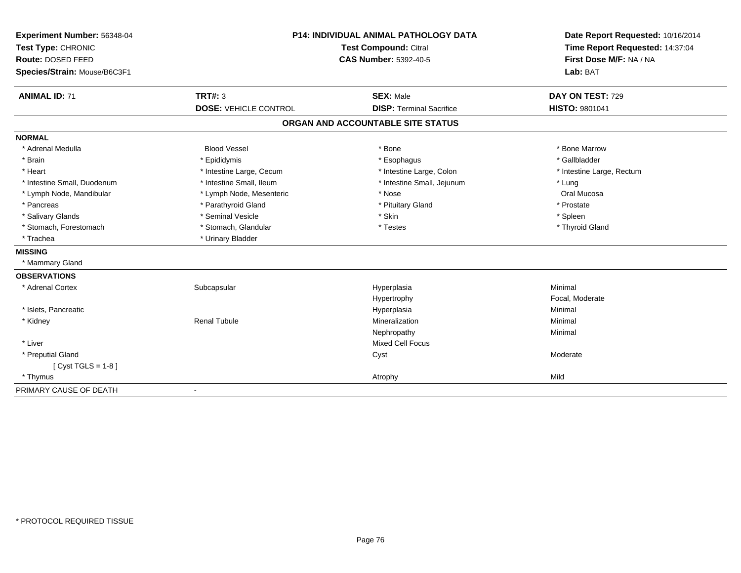| Experiment Number: 56348-04  | <b>P14: INDIVIDUAL ANIMAL PATHOLOGY DATA</b><br><b>Test Compound: Citral</b> |                                   | Date Report Requested: 10/16/2014 |
|------------------------------|------------------------------------------------------------------------------|-----------------------------------|-----------------------------------|
| Test Type: CHRONIC           |                                                                              |                                   | Time Report Requested: 14:37:04   |
| Route: DOSED FEED            |                                                                              | <b>CAS Number: 5392-40-5</b>      | First Dose M/F: NA / NA           |
| Species/Strain: Mouse/B6C3F1 |                                                                              |                                   | Lab: BAT                          |
| <b>ANIMAL ID: 71</b>         | TRT#: 3                                                                      | <b>SEX: Male</b>                  | DAY ON TEST: 729                  |
|                              | <b>DOSE: VEHICLE CONTROL</b>                                                 | <b>DISP: Terminal Sacrifice</b>   | HISTO: 9801041                    |
|                              |                                                                              | ORGAN AND ACCOUNTABLE SITE STATUS |                                   |
| <b>NORMAL</b>                |                                                                              |                                   |                                   |
| * Adrenal Medulla            | <b>Blood Vessel</b>                                                          | * Bone                            | * Bone Marrow                     |
| * Brain                      | * Epididymis                                                                 | * Esophagus                       | * Gallbladder                     |
| * Heart                      | * Intestine Large, Cecum                                                     | * Intestine Large, Colon          | * Intestine Large, Rectum         |
| * Intestine Small, Duodenum  | * Intestine Small, Ileum                                                     | * Intestine Small, Jejunum        | * Lung                            |
| * Lymph Node, Mandibular     | * Lymph Node, Mesenteric                                                     | * Nose                            | Oral Mucosa                       |
| * Pancreas                   | * Parathyroid Gland                                                          | * Pituitary Gland                 | * Prostate                        |
| * Salivary Glands            | * Seminal Vesicle                                                            | * Skin                            | * Spleen                          |
| * Stomach, Forestomach       | * Stomach, Glandular                                                         | * Testes                          | * Thyroid Gland                   |
| * Trachea                    | * Urinary Bladder                                                            |                                   |                                   |
| <b>MISSING</b>               |                                                                              |                                   |                                   |
| * Mammary Gland              |                                                                              |                                   |                                   |
| <b>OBSERVATIONS</b>          |                                                                              |                                   |                                   |
| * Adrenal Cortex             | Subcapsular                                                                  | Hyperplasia                       | Minimal                           |
|                              |                                                                              | Hypertrophy                       | Focal, Moderate                   |
| * Islets, Pancreatic         |                                                                              | Hyperplasia                       | Minimal                           |
| * Kidney                     | <b>Renal Tubule</b>                                                          | Mineralization                    | Minimal                           |
|                              |                                                                              | Nephropathy                       | Minimal                           |
| * Liver                      |                                                                              | <b>Mixed Cell Focus</b>           |                                   |
| * Preputial Gland            |                                                                              | Cyst                              | Moderate                          |
| [ Cyst TGLS = $1-8$ ]        |                                                                              |                                   |                                   |
| * Thymus                     |                                                                              | Atrophy                           | Mild                              |
| PRIMARY CAUSE OF DEATH       | $\blacksquare$                                                               |                                   |                                   |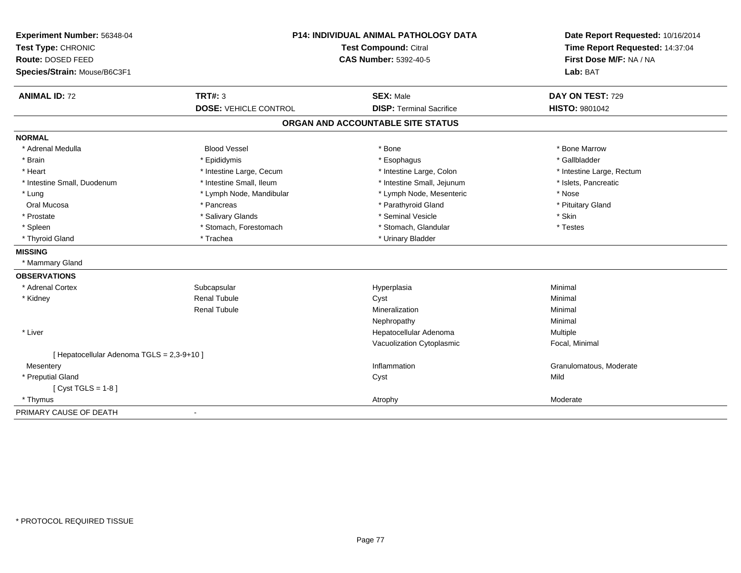| Experiment Number: 56348-04<br>Test Type: CHRONIC<br>Route: DOSED FEED<br>Species/Strain: Mouse/B6C3F1 | <b>P14: INDIVIDUAL ANIMAL PATHOLOGY DATA</b><br><b>Test Compound: Citral</b><br><b>CAS Number: 5392-40-5</b> |                                   | Date Report Requested: 10/16/2014<br>Time Report Requested: 14:37:04<br>First Dose M/F: NA / NA<br>Lab: BAT |  |
|--------------------------------------------------------------------------------------------------------|--------------------------------------------------------------------------------------------------------------|-----------------------------------|-------------------------------------------------------------------------------------------------------------|--|
| <b>ANIMAL ID: 72</b>                                                                                   | <b>TRT#: 3</b>                                                                                               | <b>SEX: Male</b>                  | DAY ON TEST: 729                                                                                            |  |
|                                                                                                        | <b>DOSE: VEHICLE CONTROL</b>                                                                                 | <b>DISP: Terminal Sacrifice</b>   | HISTO: 9801042                                                                                              |  |
|                                                                                                        |                                                                                                              | ORGAN AND ACCOUNTABLE SITE STATUS |                                                                                                             |  |
| <b>NORMAL</b>                                                                                          |                                                                                                              |                                   |                                                                                                             |  |
| * Adrenal Medulla                                                                                      | <b>Blood Vessel</b>                                                                                          | * Bone                            | * Bone Marrow                                                                                               |  |
| * Brain                                                                                                | * Epididymis                                                                                                 | * Esophagus                       | * Gallbladder                                                                                               |  |
| * Heart                                                                                                | * Intestine Large, Cecum                                                                                     | * Intestine Large, Colon          | * Intestine Large, Rectum                                                                                   |  |
| * Intestine Small, Duodenum                                                                            | * Intestine Small, Ileum                                                                                     | * Intestine Small, Jejunum        | * Islets, Pancreatic                                                                                        |  |
| * Lung                                                                                                 | * Lymph Node, Mandibular                                                                                     | * Lymph Node, Mesenteric          | * Nose                                                                                                      |  |
| Oral Mucosa                                                                                            | * Pancreas                                                                                                   | * Parathyroid Gland               | * Pituitary Gland                                                                                           |  |
| * Prostate                                                                                             | * Salivary Glands                                                                                            | * Seminal Vesicle                 | * Skin                                                                                                      |  |
| * Spleen                                                                                               | * Stomach, Forestomach                                                                                       | * Stomach, Glandular              | * Testes                                                                                                    |  |
| * Thyroid Gland                                                                                        | * Trachea                                                                                                    | * Urinary Bladder                 |                                                                                                             |  |
| <b>MISSING</b>                                                                                         |                                                                                                              |                                   |                                                                                                             |  |
| * Mammary Gland                                                                                        |                                                                                                              |                                   |                                                                                                             |  |
| <b>OBSERVATIONS</b>                                                                                    |                                                                                                              |                                   |                                                                                                             |  |
| * Adrenal Cortex                                                                                       | Subcapsular                                                                                                  | Hyperplasia                       | Minimal                                                                                                     |  |
| * Kidney                                                                                               | Renal Tubule                                                                                                 | Cyst                              | Minimal                                                                                                     |  |
|                                                                                                        | <b>Renal Tubule</b>                                                                                          | Mineralization                    | Minimal                                                                                                     |  |
|                                                                                                        |                                                                                                              | Nephropathy                       | Minimal                                                                                                     |  |
| * Liver                                                                                                |                                                                                                              | Hepatocellular Adenoma            | Multiple                                                                                                    |  |
|                                                                                                        |                                                                                                              | Vacuolization Cytoplasmic         | Focal, Minimal                                                                                              |  |
| [ Hepatocellular Adenoma TGLS = 2,3-9+10 ]                                                             |                                                                                                              |                                   |                                                                                                             |  |
| Mesentery                                                                                              |                                                                                                              | Inflammation                      | Granulomatous, Moderate                                                                                     |  |
| * Preputial Gland                                                                                      |                                                                                                              | Cyst                              | Mild                                                                                                        |  |
| [Cyst TGLS = $1-8$ ]                                                                                   |                                                                                                              |                                   |                                                                                                             |  |
| * Thymus                                                                                               |                                                                                                              | Atrophy                           | Moderate                                                                                                    |  |
| PRIMARY CAUSE OF DEATH                                                                                 | $\blacksquare$                                                                                               |                                   |                                                                                                             |  |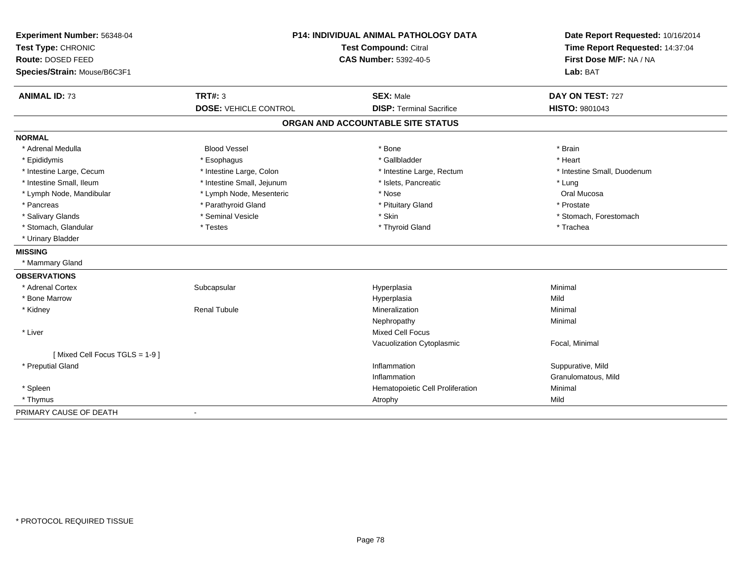| Experiment Number: 56348-04<br>Test Type: CHRONIC |                              | P14: INDIVIDUAL ANIMAL PATHOLOGY DATA<br><b>Test Compound: Citral</b> | Date Report Requested: 10/16/2014<br>Time Report Requested: 14:37:04<br>First Dose M/F: NA / NA |
|---------------------------------------------------|------------------------------|-----------------------------------------------------------------------|-------------------------------------------------------------------------------------------------|
| Route: DOSED FEED                                 |                              | <b>CAS Number: 5392-40-5</b>                                          |                                                                                                 |
| Species/Strain: Mouse/B6C3F1                      |                              |                                                                       | Lab: BAT                                                                                        |
| <b>ANIMAL ID: 73</b>                              | <b>TRT#: 3</b>               | <b>SEX: Male</b>                                                      | DAY ON TEST: 727                                                                                |
|                                                   | <b>DOSE: VEHICLE CONTROL</b> | <b>DISP: Terminal Sacrifice</b>                                       | HISTO: 9801043                                                                                  |
|                                                   |                              | ORGAN AND ACCOUNTABLE SITE STATUS                                     |                                                                                                 |
| <b>NORMAL</b>                                     |                              |                                                                       |                                                                                                 |
| * Adrenal Medulla                                 | <b>Blood Vessel</b>          | * Bone                                                                | * Brain                                                                                         |
| * Epididymis                                      | * Esophagus                  | * Gallbladder                                                         | * Heart                                                                                         |
| * Intestine Large, Cecum                          | * Intestine Large, Colon     | * Intestine Large, Rectum                                             | * Intestine Small, Duodenum                                                                     |
| * Intestine Small, Ileum                          | * Intestine Small, Jejunum   | * Islets, Pancreatic                                                  | * Lung                                                                                          |
| * Lymph Node, Mandibular                          | * Lymph Node, Mesenteric     | * Nose                                                                | Oral Mucosa                                                                                     |
| * Pancreas                                        | * Parathyroid Gland          | * Pituitary Gland                                                     | * Prostate                                                                                      |
| * Salivary Glands                                 | * Seminal Vesicle            | * Skin                                                                | * Stomach, Forestomach                                                                          |
| * Stomach, Glandular                              | * Testes                     | * Thyroid Gland                                                       | * Trachea                                                                                       |
| * Urinary Bladder                                 |                              |                                                                       |                                                                                                 |
| <b>MISSING</b>                                    |                              |                                                                       |                                                                                                 |
| * Mammary Gland                                   |                              |                                                                       |                                                                                                 |
| <b>OBSERVATIONS</b>                               |                              |                                                                       |                                                                                                 |
| * Adrenal Cortex                                  | Subcapsular                  | Hyperplasia                                                           | Minimal                                                                                         |
| * Bone Marrow                                     |                              | Hyperplasia                                                           | Mild                                                                                            |
| * Kidney                                          | <b>Renal Tubule</b>          | Mineralization                                                        | Minimal                                                                                         |
|                                                   |                              | Nephropathy                                                           | Minimal                                                                                         |
| * Liver                                           |                              | <b>Mixed Cell Focus</b>                                               |                                                                                                 |
|                                                   |                              | Vacuolization Cytoplasmic                                             | Focal, Minimal                                                                                  |
| [Mixed Cell Focus TGLS = 1-9]                     |                              |                                                                       |                                                                                                 |
| * Preputial Gland                                 |                              | Inflammation                                                          | Suppurative, Mild                                                                               |
|                                                   |                              | Inflammation                                                          | Granulomatous, Mild                                                                             |
| * Spleen                                          |                              | Hematopoietic Cell Proliferation                                      | Minimal                                                                                         |
| * Thymus                                          |                              | Atrophy                                                               | Mild                                                                                            |
| PRIMARY CAUSE OF DEATH                            | $\blacksquare$               |                                                                       |                                                                                                 |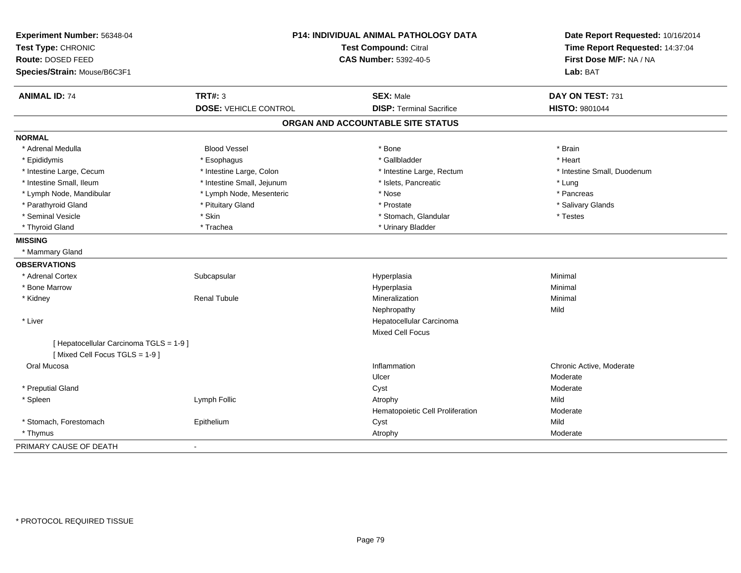| Experiment Number: 56348-04                                              | <b>P14: INDIVIDUAL ANIMAL PATHOLOGY DATA</b> |                                   | Date Report Requested: 10/16/2014 |
|--------------------------------------------------------------------------|----------------------------------------------|-----------------------------------|-----------------------------------|
| Test Type: CHRONIC                                                       |                                              | <b>Test Compound: Citral</b>      |                                   |
| Route: DOSED FEED                                                        |                                              | <b>CAS Number: 5392-40-5</b>      | First Dose M/F: NA / NA           |
| Species/Strain: Mouse/B6C3F1                                             |                                              |                                   | Lab: BAT                          |
| <b>ANIMAL ID: 74</b>                                                     | TRT#: 3                                      | <b>SEX: Male</b>                  | DAY ON TEST: 731                  |
|                                                                          | <b>DOSE: VEHICLE CONTROL</b>                 | <b>DISP: Terminal Sacrifice</b>   | HISTO: 9801044                    |
|                                                                          |                                              | ORGAN AND ACCOUNTABLE SITE STATUS |                                   |
| <b>NORMAL</b>                                                            |                                              |                                   |                                   |
| * Adrenal Medulla                                                        | <b>Blood Vessel</b>                          | * Bone                            | * Brain                           |
| * Epididymis                                                             | * Esophagus                                  | * Gallbladder                     | * Heart                           |
| * Intestine Large, Cecum                                                 | * Intestine Large, Colon                     | * Intestine Large, Rectum         | * Intestine Small, Duodenum       |
| * Intestine Small, Ileum                                                 | * Intestine Small, Jejunum                   | * Islets, Pancreatic              | * Lung                            |
| * Lymph Node, Mandibular                                                 | * Lymph Node, Mesenteric                     | * Nose                            | * Pancreas                        |
| * Parathyroid Gland                                                      | * Pituitary Gland                            | * Prostate                        | * Salivary Glands                 |
| * Seminal Vesicle                                                        | * Skin                                       | * Stomach, Glandular              | * Testes                          |
| * Thyroid Gland                                                          | * Trachea                                    | * Urinary Bladder                 |                                   |
| <b>MISSING</b>                                                           |                                              |                                   |                                   |
| * Mammary Gland                                                          |                                              |                                   |                                   |
| <b>OBSERVATIONS</b>                                                      |                                              |                                   |                                   |
| * Adrenal Cortex                                                         | Subcapsular                                  | Hyperplasia                       | Minimal                           |
| * Bone Marrow                                                            |                                              | Hyperplasia                       | Minimal                           |
| * Kidney                                                                 | Renal Tubule                                 | Mineralization                    | Minimal                           |
|                                                                          |                                              | Nephropathy                       | Mild                              |
| * Liver                                                                  |                                              | Hepatocellular Carcinoma          |                                   |
|                                                                          |                                              | <b>Mixed Cell Focus</b>           |                                   |
| [ Hepatocellular Carcinoma TGLS = 1-9 ]<br>[Mixed Cell Focus TGLS = 1-9] |                                              |                                   |                                   |
| Oral Mucosa                                                              |                                              | Inflammation                      | Chronic Active, Moderate          |
|                                                                          |                                              | Ulcer                             | Moderate                          |
| * Preputial Gland                                                        |                                              | Cyst                              | Moderate                          |
| * Spleen                                                                 | Lymph Follic                                 | Atrophy                           | Mild                              |
|                                                                          |                                              | Hematopoietic Cell Proliferation  | Moderate                          |
| * Stomach, Forestomach                                                   | Epithelium                                   | Cyst                              | Mild                              |
| * Thymus                                                                 |                                              | Atrophy                           | Moderate                          |
| PRIMARY CAUSE OF DEATH                                                   | $\overline{\phantom{a}}$                     |                                   |                                   |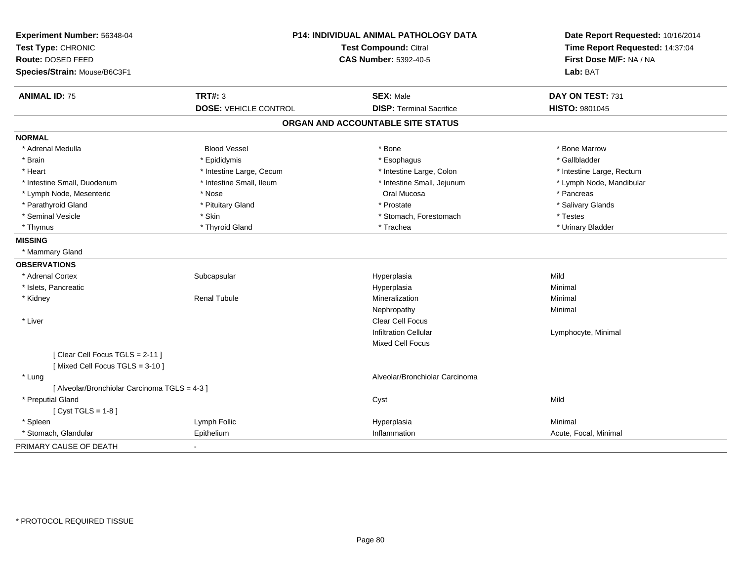| Experiment Number: 56348-04                   |                              | P14: INDIVIDUAL ANIMAL PATHOLOGY DATA | Date Report Requested: 10/16/2014 |
|-----------------------------------------------|------------------------------|---------------------------------------|-----------------------------------|
| Test Type: CHRONIC                            | <b>Test Compound: Citral</b> |                                       | Time Report Requested: 14:37:04   |
| Route: DOSED FEED                             |                              | <b>CAS Number: 5392-40-5</b>          | First Dose M/F: NA / NA           |
| Species/Strain: Mouse/B6C3F1                  |                              |                                       | Lab: BAT                          |
| <b>ANIMAL ID: 75</b>                          | <b>TRT#: 3</b>               | <b>SEX: Male</b>                      | DAY ON TEST: 731                  |
|                                               | <b>DOSE: VEHICLE CONTROL</b> | <b>DISP: Terminal Sacrifice</b>       | <b>HISTO: 9801045</b>             |
|                                               |                              | ORGAN AND ACCOUNTABLE SITE STATUS     |                                   |
| <b>NORMAL</b>                                 |                              |                                       |                                   |
| * Adrenal Medulla                             | <b>Blood Vessel</b>          | * Bone                                | * Bone Marrow                     |
| * Brain                                       | * Epididymis                 | * Esophagus                           | * Gallbladder                     |
| * Heart                                       | * Intestine Large, Cecum     | * Intestine Large, Colon              | * Intestine Large, Rectum         |
| * Intestine Small, Duodenum                   | * Intestine Small, Ileum     | * Intestine Small, Jejunum            | * Lymph Node, Mandibular          |
| * Lymph Node, Mesenteric                      | * Nose                       | Oral Mucosa                           | * Pancreas                        |
| * Parathyroid Gland                           | * Pituitary Gland            | * Prostate                            | * Salivary Glands                 |
| * Seminal Vesicle                             | * Skin                       | * Stomach, Forestomach                | * Testes                          |
| * Thymus                                      | * Thyroid Gland              | * Trachea                             | * Urinary Bladder                 |
| <b>MISSING</b>                                |                              |                                       |                                   |
| * Mammary Gland                               |                              |                                       |                                   |
| <b>OBSERVATIONS</b>                           |                              |                                       |                                   |
| * Adrenal Cortex                              | Subcapsular                  | Hyperplasia                           | Mild                              |
| * Islets, Pancreatic                          |                              | Hyperplasia                           | Minimal                           |
| * Kidney                                      | <b>Renal Tubule</b>          | Mineralization                        | Minimal                           |
|                                               |                              | Nephropathy                           | Minimal                           |
| * Liver                                       |                              | Clear Cell Focus                      |                                   |
|                                               |                              | <b>Infiltration Cellular</b>          | Lymphocyte, Minimal               |
|                                               |                              | <b>Mixed Cell Focus</b>               |                                   |
| [Clear Cell Focus TGLS = 2-11]                |                              |                                       |                                   |
| [Mixed Cell Focus TGLS = 3-10]                |                              |                                       |                                   |
| * Lung                                        |                              | Alveolar/Bronchiolar Carcinoma        |                                   |
| [ Alveolar/Bronchiolar Carcinoma TGLS = 4-3 ] |                              |                                       |                                   |
| * Preputial Gland                             |                              | Cyst                                  | Mild                              |
| [Cyst TGLS = $1-8$ ]                          |                              |                                       |                                   |
| * Spleen                                      | Lymph Follic                 | Hyperplasia                           | Minimal                           |
| * Stomach, Glandular                          | Epithelium                   | Inflammation                          | Acute, Focal, Minimal             |
| PRIMARY CAUSE OF DEATH                        |                              |                                       |                                   |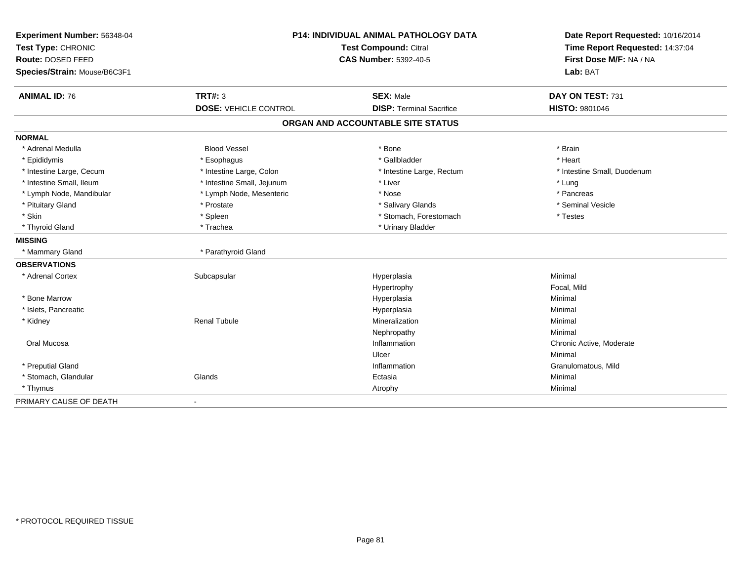| Experiment Number: 56348-04<br>Test Type: CHRONIC<br>Route: DOSED FEED | <b>P14: INDIVIDUAL ANIMAL PATHOLOGY DATA</b><br>Test Compound: Citral<br><b>CAS Number: 5392-40-5</b> |                                   | Date Report Requested: 10/16/2014<br>Time Report Requested: 14:37:04<br>First Dose M/F: NA / NA |
|------------------------------------------------------------------------|-------------------------------------------------------------------------------------------------------|-----------------------------------|-------------------------------------------------------------------------------------------------|
| Species/Strain: Mouse/B6C3F1                                           |                                                                                                       |                                   | Lab: BAT                                                                                        |
| <b>ANIMAL ID: 76</b>                                                   | <b>TRT#: 3</b>                                                                                        | <b>SEX: Male</b>                  | DAY ON TEST: 731                                                                                |
|                                                                        | <b>DOSE: VEHICLE CONTROL</b>                                                                          | <b>DISP: Terminal Sacrifice</b>   | <b>HISTO: 9801046</b>                                                                           |
|                                                                        |                                                                                                       | ORGAN AND ACCOUNTABLE SITE STATUS |                                                                                                 |
| <b>NORMAL</b>                                                          |                                                                                                       |                                   |                                                                                                 |
| * Adrenal Medulla                                                      | <b>Blood Vessel</b>                                                                                   | * Bone                            | * Brain                                                                                         |
| * Epididymis                                                           | * Esophagus                                                                                           | * Gallbladder                     | * Heart                                                                                         |
| * Intestine Large, Cecum                                               | * Intestine Large, Colon                                                                              | * Intestine Large, Rectum         | * Intestine Small, Duodenum                                                                     |
| * Intestine Small, Ileum                                               | * Intestine Small, Jejunum                                                                            | * Liver                           | * Lung                                                                                          |
| * Lymph Node, Mandibular                                               | * Lymph Node, Mesenteric                                                                              | * Nose                            | * Pancreas                                                                                      |
| * Pituitary Gland                                                      | * Prostate                                                                                            | * Salivary Glands                 | * Seminal Vesicle                                                                               |
| * Skin                                                                 | * Spleen                                                                                              | * Stomach, Forestomach            | * Testes                                                                                        |
| * Thyroid Gland                                                        | * Trachea                                                                                             | * Urinary Bladder                 |                                                                                                 |
| <b>MISSING</b>                                                         |                                                                                                       |                                   |                                                                                                 |
| * Mammary Gland                                                        | * Parathyroid Gland                                                                                   |                                   |                                                                                                 |
| <b>OBSERVATIONS</b>                                                    |                                                                                                       |                                   |                                                                                                 |
| * Adrenal Cortex                                                       | Subcapsular                                                                                           | Hyperplasia                       | Minimal                                                                                         |
|                                                                        |                                                                                                       | Hypertrophy                       | Focal, Mild                                                                                     |
| * Bone Marrow                                                          |                                                                                                       | Hyperplasia                       | Minimal                                                                                         |
| * Islets, Pancreatic                                                   |                                                                                                       | Hyperplasia                       | Minimal                                                                                         |
| * Kidney                                                               | <b>Renal Tubule</b>                                                                                   | Mineralization                    | Minimal                                                                                         |
|                                                                        |                                                                                                       | Nephropathy                       | Minimal                                                                                         |
| Oral Mucosa                                                            |                                                                                                       | Inflammation                      | Chronic Active, Moderate                                                                        |
|                                                                        |                                                                                                       | Ulcer                             | Minimal                                                                                         |
| * Preputial Gland                                                      |                                                                                                       | Inflammation                      | Granulomatous, Mild                                                                             |
| * Stomach, Glandular                                                   | Glands                                                                                                | Ectasia                           | Minimal                                                                                         |
| * Thymus                                                               |                                                                                                       | Atrophy                           | Minimal                                                                                         |
| PRIMARY CAUSE OF DEATH                                                 | $\blacksquare$                                                                                        |                                   |                                                                                                 |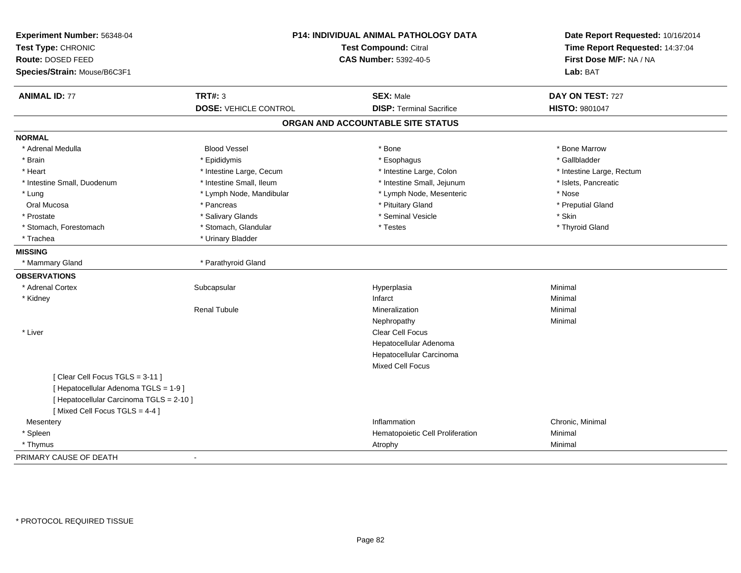| Experiment Number: 56348-04<br>Test Type: CHRONIC<br>Route: DOSED FEED<br>Species/Strain: Mouse/B6C3F1 |                                                | <b>P14: INDIVIDUAL ANIMAL PATHOLOGY DATA</b><br>Test Compound: Citral<br><b>CAS Number: 5392-40-5</b> |                                           |
|--------------------------------------------------------------------------------------------------------|------------------------------------------------|-------------------------------------------------------------------------------------------------------|-------------------------------------------|
| <b>ANIMAL ID: 77</b>                                                                                   | <b>TRT#: 3</b><br><b>DOSE: VEHICLE CONTROL</b> | <b>SEX: Male</b><br><b>DISP: Terminal Sacrifice</b>                                                   | DAY ON TEST: 727<br><b>HISTO: 9801047</b> |
|                                                                                                        |                                                | ORGAN AND ACCOUNTABLE SITE STATUS                                                                     |                                           |
| <b>NORMAL</b>                                                                                          |                                                |                                                                                                       |                                           |
| * Adrenal Medulla                                                                                      | <b>Blood Vessel</b>                            | * Bone                                                                                                | * Bone Marrow                             |
| * Brain                                                                                                | * Epididymis                                   | * Esophagus                                                                                           | * Gallbladder                             |
| * Heart                                                                                                | * Intestine Large, Cecum                       | * Intestine Large, Colon                                                                              | * Intestine Large, Rectum                 |
| * Intestine Small, Duodenum                                                                            | * Intestine Small, Ileum                       | * Intestine Small, Jejunum                                                                            | * Islets, Pancreatic                      |
| * Lung                                                                                                 | * Lymph Node, Mandibular                       | * Lymph Node, Mesenteric                                                                              | * Nose                                    |
| Oral Mucosa                                                                                            | * Pancreas                                     | * Pituitary Gland                                                                                     | * Preputial Gland                         |
| * Prostate                                                                                             | * Salivary Glands                              | * Seminal Vesicle                                                                                     | * Skin                                    |
| * Stomach, Forestomach                                                                                 | * Stomach, Glandular                           | * Testes                                                                                              | * Thyroid Gland                           |
| * Trachea                                                                                              | * Urinary Bladder                              |                                                                                                       |                                           |
| <b>MISSING</b>                                                                                         |                                                |                                                                                                       |                                           |
| * Mammary Gland                                                                                        | * Parathyroid Gland                            |                                                                                                       |                                           |
| <b>OBSERVATIONS</b>                                                                                    |                                                |                                                                                                       |                                           |
| * Adrenal Cortex                                                                                       | Subcapsular                                    | Hyperplasia                                                                                           | Minimal                                   |
| * Kidney                                                                                               |                                                | Infarct                                                                                               | Minimal                                   |
|                                                                                                        | <b>Renal Tubule</b>                            | <b>Mineralization</b>                                                                                 | Minimal                                   |
|                                                                                                        |                                                | Nephropathy                                                                                           | Minimal                                   |
| * Liver                                                                                                |                                                | Clear Cell Focus                                                                                      |                                           |
|                                                                                                        |                                                | Hepatocellular Adenoma                                                                                |                                           |
|                                                                                                        |                                                | Hepatocellular Carcinoma                                                                              |                                           |
|                                                                                                        |                                                | Mixed Cell Focus                                                                                      |                                           |
| [Clear Cell Focus TGLS = 3-11]                                                                         |                                                |                                                                                                       |                                           |
| [ Hepatocellular Adenoma TGLS = 1-9]                                                                   |                                                |                                                                                                       |                                           |
| [ Hepatocellular Carcinoma TGLS = 2-10 ]                                                               |                                                |                                                                                                       |                                           |
| [Mixed Cell Focus TGLS = 4-4]                                                                          |                                                |                                                                                                       |                                           |
| Mesentery                                                                                              |                                                | Inflammation                                                                                          | Chronic, Minimal                          |
| * Spleen                                                                                               |                                                | Hematopoietic Cell Proliferation                                                                      | Minimal                                   |
| * Thymus                                                                                               |                                                | Atrophy                                                                                               | Minimal                                   |
| PRIMARY CAUSE OF DEATH                                                                                 |                                                |                                                                                                       |                                           |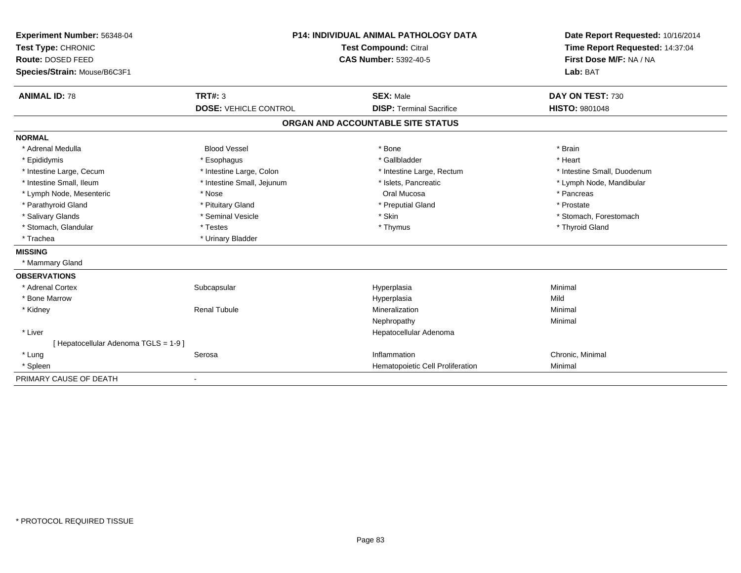| Experiment Number: 56348-04<br>Test Type: CHRONIC | <b>P14: INDIVIDUAL ANIMAL PATHOLOGY DATA</b><br>Test Compound: Citral |                                   | Date Report Requested: 10/16/2014<br>Time Report Requested: 14:37:04 |
|---------------------------------------------------|-----------------------------------------------------------------------|-----------------------------------|----------------------------------------------------------------------|
| Route: DOSED FEED                                 |                                                                       | <b>CAS Number: 5392-40-5</b>      | First Dose M/F: NA / NA                                              |
| Species/Strain: Mouse/B6C3F1                      |                                                                       |                                   | Lab: BAT                                                             |
| <b>ANIMAL ID: 78</b>                              | TRT#: 3                                                               | <b>SEX: Male</b>                  | DAY ON TEST: 730                                                     |
|                                                   | <b>DOSE: VEHICLE CONTROL</b>                                          | <b>DISP: Terminal Sacrifice</b>   | <b>HISTO: 9801048</b>                                                |
|                                                   |                                                                       | ORGAN AND ACCOUNTABLE SITE STATUS |                                                                      |
| <b>NORMAL</b>                                     |                                                                       |                                   |                                                                      |
| * Adrenal Medulla                                 | <b>Blood Vessel</b>                                                   | * Bone                            | * Brain                                                              |
| * Epididymis                                      | * Esophagus                                                           | * Gallbladder                     | * Heart                                                              |
| * Intestine Large, Cecum                          | * Intestine Large, Colon                                              | * Intestine Large, Rectum         | * Intestine Small, Duodenum                                          |
| * Intestine Small, Ileum                          | * Intestine Small, Jejunum                                            | * Islets, Pancreatic              | * Lymph Node, Mandibular                                             |
| * Lymph Node, Mesenteric                          | * Nose                                                                | Oral Mucosa                       | * Pancreas                                                           |
| * Parathyroid Gland                               | * Pituitary Gland                                                     | * Preputial Gland                 | * Prostate                                                           |
| * Salivary Glands                                 | * Seminal Vesicle                                                     | * Skin                            | * Stomach, Forestomach                                               |
| * Stomach, Glandular                              | * Testes                                                              | * Thymus                          | * Thyroid Gland                                                      |
| * Trachea                                         | * Urinary Bladder                                                     |                                   |                                                                      |
| <b>MISSING</b>                                    |                                                                       |                                   |                                                                      |
| * Mammary Gland                                   |                                                                       |                                   |                                                                      |
| <b>OBSERVATIONS</b>                               |                                                                       |                                   |                                                                      |
| * Adrenal Cortex                                  | Subcapsular                                                           | Hyperplasia                       | Minimal                                                              |
| * Bone Marrow                                     |                                                                       | Hyperplasia                       | Mild                                                                 |
| * Kidney                                          | <b>Renal Tubule</b>                                                   | Mineralization                    | Minimal                                                              |
|                                                   |                                                                       | Nephropathy                       | Minimal                                                              |
| * Liver                                           |                                                                       | Hepatocellular Adenoma            |                                                                      |
| [Hepatocellular Adenoma TGLS = 1-9]               |                                                                       |                                   |                                                                      |
| * Lung                                            | Serosa                                                                | Inflammation                      | Chronic, Minimal                                                     |
| * Spleen                                          |                                                                       | Hematopoietic Cell Proliferation  | Minimal                                                              |
| PRIMARY CAUSE OF DEATH                            |                                                                       |                                   |                                                                      |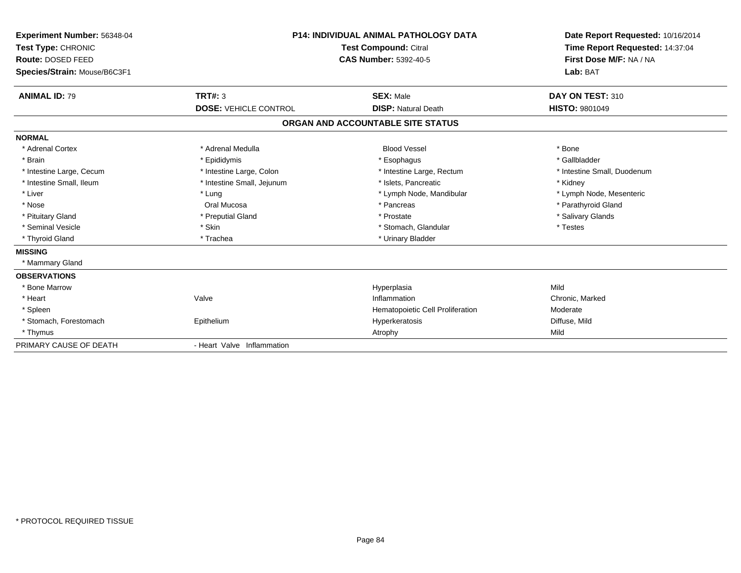| Experiment Number: 56348-04<br>Test Type: CHRONIC<br><b>Route: DOSED FEED</b><br>Species/Strain: Mouse/B6C3F1 | <b>P14: INDIVIDUAL ANIMAL PATHOLOGY DATA</b><br><b>Test Compound: Citral</b><br><b>CAS Number: 5392-40-5</b> |                                   | Date Report Requested: 10/16/2014<br>Time Report Requested: 14:37:04<br>First Dose M/F: NA / NA<br>Lab: BAT |
|---------------------------------------------------------------------------------------------------------------|--------------------------------------------------------------------------------------------------------------|-----------------------------------|-------------------------------------------------------------------------------------------------------------|
| <b>ANIMAL ID: 79</b>                                                                                          | <b>TRT#: 3</b>                                                                                               | <b>SEX: Male</b>                  | DAY ON TEST: 310                                                                                            |
|                                                                                                               | <b>DOSE: VEHICLE CONTROL</b>                                                                                 | <b>DISP: Natural Death</b>        | <b>HISTO: 9801049</b>                                                                                       |
|                                                                                                               |                                                                                                              | ORGAN AND ACCOUNTABLE SITE STATUS |                                                                                                             |
| <b>NORMAL</b>                                                                                                 |                                                                                                              |                                   |                                                                                                             |
| * Adrenal Cortex                                                                                              | * Adrenal Medulla                                                                                            | <b>Blood Vessel</b>               | * Bone                                                                                                      |
| * Brain                                                                                                       | * Epididymis                                                                                                 | * Esophagus                       | * Gallbladder                                                                                               |
| * Intestine Large, Cecum                                                                                      | * Intestine Large, Colon                                                                                     | * Intestine Large, Rectum         | * Intestine Small, Duodenum                                                                                 |
| * Intestine Small. Ileum                                                                                      | * Intestine Small, Jejunum                                                                                   | * Islets. Pancreatic              | * Kidney                                                                                                    |
| * Liver                                                                                                       | * Lung                                                                                                       | * Lymph Node, Mandibular          | * Lymph Node, Mesenteric                                                                                    |
| * Nose                                                                                                        | Oral Mucosa                                                                                                  | * Pancreas                        | * Parathyroid Gland                                                                                         |
| * Pituitary Gland                                                                                             | * Preputial Gland                                                                                            | * Prostate                        | * Salivary Glands                                                                                           |
| * Seminal Vesicle                                                                                             | * Skin                                                                                                       | * Stomach, Glandular              | * Testes                                                                                                    |
| * Thyroid Gland                                                                                               | * Trachea                                                                                                    | * Urinary Bladder                 |                                                                                                             |
| <b>MISSING</b>                                                                                                |                                                                                                              |                                   |                                                                                                             |
| * Mammary Gland                                                                                               |                                                                                                              |                                   |                                                                                                             |
| <b>OBSERVATIONS</b>                                                                                           |                                                                                                              |                                   |                                                                                                             |
| * Bone Marrow                                                                                                 |                                                                                                              | Hyperplasia                       | Mild                                                                                                        |
| * Heart                                                                                                       | Valve                                                                                                        | Inflammation                      | Chronic, Marked                                                                                             |
| * Spleen                                                                                                      |                                                                                                              | Hematopoietic Cell Proliferation  | Moderate                                                                                                    |
| * Stomach, Forestomach                                                                                        | Epithelium                                                                                                   | Hyperkeratosis                    | Diffuse, Mild                                                                                               |
| * Thymus                                                                                                      |                                                                                                              | Atrophy                           | Mild                                                                                                        |
| PRIMARY CAUSE OF DEATH                                                                                        | - Heart Valve Inflammation                                                                                   |                                   |                                                                                                             |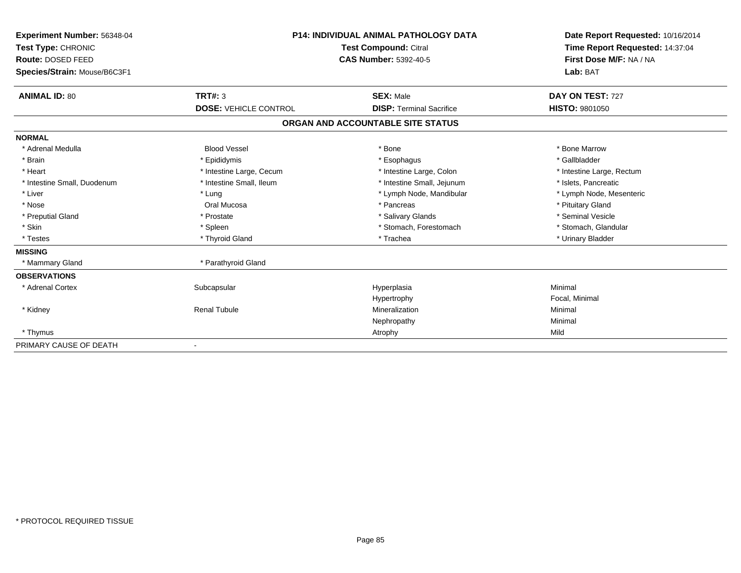| Experiment Number: 56348-04<br>Test Type: CHRONIC<br>Route: DOSED FEED<br>Species/Strain: Mouse/B6C3F1 |                                                | <b>P14: INDIVIDUAL ANIMAL PATHOLOGY DATA</b><br><b>Test Compound: Citral</b><br>CAS Number: 5392-40-5 | Date Report Requested: 10/16/2014<br>Time Report Requested: 14:37:04<br>First Dose M/F: NA / NA<br>Lab: BAT |  |
|--------------------------------------------------------------------------------------------------------|------------------------------------------------|-------------------------------------------------------------------------------------------------------|-------------------------------------------------------------------------------------------------------------|--|
|                                                                                                        |                                                |                                                                                                       |                                                                                                             |  |
| <b>ANIMAL ID: 80</b>                                                                                   | <b>TRT#: 3</b><br><b>DOSE: VEHICLE CONTROL</b> | <b>SEX: Male</b><br><b>DISP: Terminal Sacrifice</b>                                                   | DAY ON TEST: 727<br><b>HISTO: 9801050</b>                                                                   |  |
|                                                                                                        |                                                | ORGAN AND ACCOUNTABLE SITE STATUS                                                                     |                                                                                                             |  |
| <b>NORMAL</b>                                                                                          |                                                |                                                                                                       |                                                                                                             |  |
| * Adrenal Medulla                                                                                      | <b>Blood Vessel</b>                            | * Bone                                                                                                | * Bone Marrow                                                                                               |  |
| * Brain                                                                                                | * Epididymis                                   | * Esophagus                                                                                           | * Gallbladder                                                                                               |  |
| * Heart                                                                                                | * Intestine Large, Cecum                       | * Intestine Large, Colon                                                                              | * Intestine Large, Rectum                                                                                   |  |
| * Intestine Small, Duodenum                                                                            | * Intestine Small, Ileum                       | * Intestine Small, Jejunum                                                                            | * Islets, Pancreatic                                                                                        |  |
| * Liver                                                                                                | * Lung                                         | * Lymph Node, Mandibular                                                                              | * Lymph Node, Mesenteric                                                                                    |  |
| * Nose                                                                                                 | Oral Mucosa                                    | * Pancreas                                                                                            | * Pituitary Gland                                                                                           |  |
| * Preputial Gland                                                                                      | * Prostate                                     | * Salivary Glands                                                                                     | * Seminal Vesicle                                                                                           |  |
| * Skin                                                                                                 | * Spleen                                       | * Stomach, Forestomach                                                                                | * Stomach, Glandular                                                                                        |  |
| * Testes                                                                                               | * Thyroid Gland                                | * Trachea                                                                                             | * Urinary Bladder                                                                                           |  |
| <b>MISSING</b>                                                                                         |                                                |                                                                                                       |                                                                                                             |  |
| * Mammary Gland                                                                                        | * Parathyroid Gland                            |                                                                                                       |                                                                                                             |  |
| <b>OBSERVATIONS</b>                                                                                    |                                                |                                                                                                       |                                                                                                             |  |
| * Adrenal Cortex                                                                                       | Subcapsular                                    | Hyperplasia                                                                                           | Minimal                                                                                                     |  |
|                                                                                                        |                                                | Hypertrophy                                                                                           | Focal, Minimal                                                                                              |  |
| * Kidney                                                                                               | <b>Renal Tubule</b>                            | Mineralization                                                                                        | Minimal                                                                                                     |  |
|                                                                                                        |                                                | Nephropathy                                                                                           | Minimal                                                                                                     |  |
| * Thymus                                                                                               |                                                | Atrophy                                                                                               | Mild                                                                                                        |  |
| PRIMARY CAUSE OF DEATH                                                                                 |                                                |                                                                                                       |                                                                                                             |  |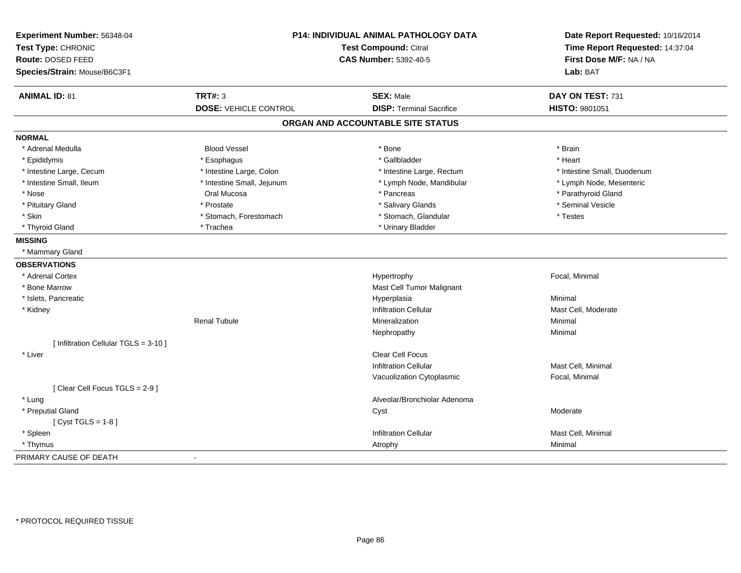| Experiment Number: 56348-04<br>Test Type: CHRONIC<br>Route: DOSED FEED<br>Species/Strain: Mouse/B6C3F1 | <b>P14: INDIVIDUAL ANIMAL PATHOLOGY DATA</b><br>Test Compound: Citral<br><b>CAS Number: 5392-40-5</b> |                                   | Date Report Requested: 10/16/2014<br>Time Report Requested: 14:37:04<br>First Dose M/F: NA / NA<br>Lab: BAT |  |
|--------------------------------------------------------------------------------------------------------|-------------------------------------------------------------------------------------------------------|-----------------------------------|-------------------------------------------------------------------------------------------------------------|--|
|                                                                                                        |                                                                                                       |                                   |                                                                                                             |  |
| <b>ANIMAL ID: 81</b>                                                                                   | <b>TRT#: 3</b>                                                                                        | <b>SEX: Male</b>                  | DAY ON TEST: 731                                                                                            |  |
|                                                                                                        | <b>DOSE: VEHICLE CONTROL</b>                                                                          | <b>DISP: Terminal Sacrifice</b>   | HISTO: 9801051                                                                                              |  |
|                                                                                                        |                                                                                                       | ORGAN AND ACCOUNTABLE SITE STATUS |                                                                                                             |  |
| <b>NORMAL</b>                                                                                          |                                                                                                       |                                   |                                                                                                             |  |
| * Adrenal Medulla                                                                                      | <b>Blood Vessel</b>                                                                                   | * Bone                            | * Brain                                                                                                     |  |
| * Epididymis                                                                                           | * Esophagus                                                                                           | * Gallbladder                     | * Heart                                                                                                     |  |
| * Intestine Large, Cecum                                                                               | * Intestine Large, Colon                                                                              | * Intestine Large, Rectum         | * Intestine Small, Duodenum                                                                                 |  |
| * Intestine Small, Ileum                                                                               | * Intestine Small, Jejunum                                                                            | * Lymph Node, Mandibular          | * Lymph Node, Mesenteric                                                                                    |  |
| * Nose                                                                                                 | Oral Mucosa                                                                                           | * Pancreas                        | * Parathyroid Gland                                                                                         |  |
| * Pituitary Gland                                                                                      | * Prostate                                                                                            | * Salivary Glands                 | * Seminal Vesicle                                                                                           |  |
| * Skin                                                                                                 | * Stomach, Forestomach                                                                                | * Stomach, Glandular              | * Testes                                                                                                    |  |
| * Thyroid Gland                                                                                        | * Trachea                                                                                             | * Urinary Bladder                 |                                                                                                             |  |
| <b>MISSING</b>                                                                                         |                                                                                                       |                                   |                                                                                                             |  |
| * Mammary Gland                                                                                        |                                                                                                       |                                   |                                                                                                             |  |
| <b>OBSERVATIONS</b>                                                                                    |                                                                                                       |                                   |                                                                                                             |  |
| * Adrenal Cortex                                                                                       |                                                                                                       | Hypertrophy                       | Focal, Minimal                                                                                              |  |
| * Bone Marrow                                                                                          |                                                                                                       | Mast Cell Tumor Malignant         |                                                                                                             |  |
| * Islets, Pancreatic                                                                                   |                                                                                                       | Hyperplasia                       | Minimal                                                                                                     |  |
| * Kidney                                                                                               |                                                                                                       | <b>Infiltration Cellular</b>      | Mast Cell, Moderate                                                                                         |  |
|                                                                                                        | <b>Renal Tubule</b>                                                                                   | Mineralization                    | Minimal                                                                                                     |  |
|                                                                                                        |                                                                                                       | Nephropathy                       | Minimal                                                                                                     |  |
| [ Infiltration Cellular TGLS = 3-10 ]                                                                  |                                                                                                       |                                   |                                                                                                             |  |
| * Liver                                                                                                |                                                                                                       | <b>Clear Cell Focus</b>           |                                                                                                             |  |
|                                                                                                        |                                                                                                       | <b>Infiltration Cellular</b>      | Mast Cell, Minimal                                                                                          |  |
|                                                                                                        |                                                                                                       | Vacuolization Cytoplasmic         | Focal, Minimal                                                                                              |  |
| [Clear Cell Focus TGLS = 2-9]                                                                          |                                                                                                       |                                   |                                                                                                             |  |
| * Lung                                                                                                 |                                                                                                       | Alveolar/Bronchiolar Adenoma      |                                                                                                             |  |
| * Preputial Gland                                                                                      |                                                                                                       | Cyst                              | Moderate                                                                                                    |  |
| [ $Cyst TGLS = 1-8$ ]                                                                                  |                                                                                                       |                                   |                                                                                                             |  |
| * Spleen                                                                                               |                                                                                                       | <b>Infiltration Cellular</b>      | Mast Cell, Minimal                                                                                          |  |
| * Thymus                                                                                               |                                                                                                       | Atrophy                           | Minimal                                                                                                     |  |
| PRIMARY CAUSE OF DEATH                                                                                 | $\blacksquare$                                                                                        |                                   |                                                                                                             |  |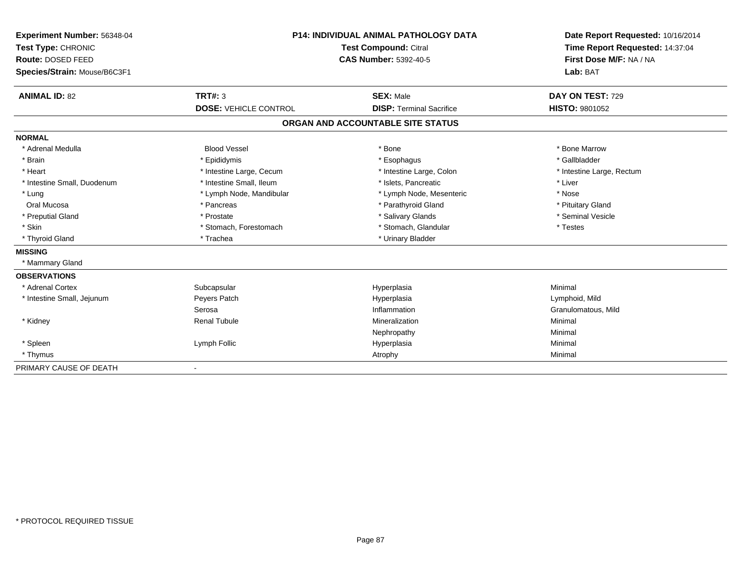| Experiment Number: 56348-04<br>Test Type: CHRONIC<br>Route: DOSED FEED<br>Species/Strain: Mouse/B6C3F1 |                              | <b>P14: INDIVIDUAL ANIMAL PATHOLOGY DATA</b><br>Test Compound: Citral<br><b>CAS Number: 5392-40-5</b> | Date Report Requested: 10/16/2014<br>Time Report Requested: 14:37:04<br>First Dose M/F: NA / NA<br>Lab: BAT |  |
|--------------------------------------------------------------------------------------------------------|------------------------------|-------------------------------------------------------------------------------------------------------|-------------------------------------------------------------------------------------------------------------|--|
|                                                                                                        |                              |                                                                                                       |                                                                                                             |  |
| <b>ANIMAL ID: 82</b>                                                                                   | TRT#: 3                      | <b>SEX: Male</b>                                                                                      | DAY ON TEST: 729                                                                                            |  |
|                                                                                                        | <b>DOSE: VEHICLE CONTROL</b> | <b>DISP: Terminal Sacrifice</b>                                                                       | <b>HISTO: 9801052</b>                                                                                       |  |
|                                                                                                        |                              | ORGAN AND ACCOUNTABLE SITE STATUS                                                                     |                                                                                                             |  |
| <b>NORMAL</b>                                                                                          |                              |                                                                                                       |                                                                                                             |  |
| * Adrenal Medulla                                                                                      | <b>Blood Vessel</b>          | * Bone                                                                                                | * Bone Marrow                                                                                               |  |
| * Brain                                                                                                | * Epididymis                 | * Esophagus                                                                                           | * Gallbladder                                                                                               |  |
| * Heart                                                                                                | * Intestine Large, Cecum     | * Intestine Large, Colon                                                                              | * Intestine Large, Rectum                                                                                   |  |
| * Intestine Small, Duodenum                                                                            | * Intestine Small. Ileum     | * Islets. Pancreatic                                                                                  | * Liver                                                                                                     |  |
| * Lung                                                                                                 | * Lymph Node, Mandibular     | * Lymph Node, Mesenteric                                                                              | * Nose                                                                                                      |  |
| Oral Mucosa                                                                                            | * Pancreas                   | * Parathyroid Gland                                                                                   | * Pituitary Gland                                                                                           |  |
| * Preputial Gland                                                                                      | * Prostate                   | * Salivary Glands                                                                                     | * Seminal Vesicle                                                                                           |  |
| * Skin                                                                                                 | * Stomach, Forestomach       | * Stomach, Glandular                                                                                  | * Testes                                                                                                    |  |
| * Thyroid Gland                                                                                        | * Trachea                    | * Urinary Bladder                                                                                     |                                                                                                             |  |
| <b>MISSING</b>                                                                                         |                              |                                                                                                       |                                                                                                             |  |
| * Mammary Gland                                                                                        |                              |                                                                                                       |                                                                                                             |  |
| <b>OBSERVATIONS</b>                                                                                    |                              |                                                                                                       |                                                                                                             |  |
| * Adrenal Cortex                                                                                       | Subcapsular                  | Hyperplasia                                                                                           | Minimal                                                                                                     |  |
| * Intestine Small, Jejunum                                                                             | Peyers Patch                 | Hyperplasia                                                                                           | Lymphoid, Mild                                                                                              |  |
|                                                                                                        | Serosa                       | Inflammation                                                                                          | Granulomatous, Mild                                                                                         |  |
| * Kidney                                                                                               | <b>Renal Tubule</b>          | Mineralization                                                                                        | Minimal                                                                                                     |  |
|                                                                                                        |                              | Nephropathy                                                                                           | Minimal                                                                                                     |  |
| * Spleen                                                                                               | Lymph Follic                 | Hyperplasia                                                                                           | Minimal                                                                                                     |  |
| * Thymus                                                                                               |                              | Atrophy                                                                                               | Minimal                                                                                                     |  |
| PRIMARY CAUSE OF DEATH                                                                                 | $\overline{\phantom{a}}$     |                                                                                                       |                                                                                                             |  |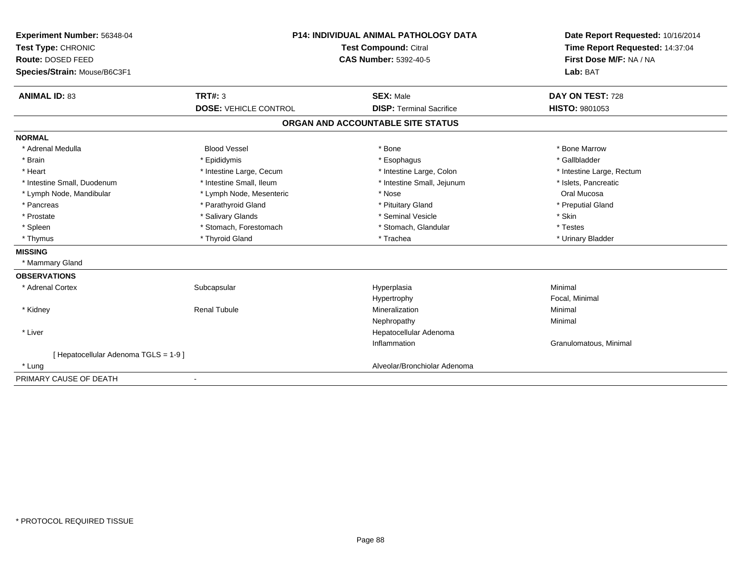| Experiment Number: 56348-04<br>Test Type: CHRONIC | <b>P14: INDIVIDUAL ANIMAL PATHOLOGY DATA</b><br>Test Compound: Citral |                                   | Date Report Requested: 10/16/2014<br>Time Report Requested: 14:37:04 |
|---------------------------------------------------|-----------------------------------------------------------------------|-----------------------------------|----------------------------------------------------------------------|
| Route: DOSED FEED                                 |                                                                       | <b>CAS Number: 5392-40-5</b>      | First Dose M/F: NA / NA                                              |
| Species/Strain: Mouse/B6C3F1                      |                                                                       |                                   | Lab: BAT                                                             |
| <b>ANIMAL ID: 83</b>                              | <b>TRT#: 3</b>                                                        | <b>SEX: Male</b>                  | DAY ON TEST: 728                                                     |
|                                                   | <b>DOSE: VEHICLE CONTROL</b>                                          | <b>DISP: Terminal Sacrifice</b>   | <b>HISTO: 9801053</b>                                                |
|                                                   |                                                                       | ORGAN AND ACCOUNTABLE SITE STATUS |                                                                      |
| <b>NORMAL</b>                                     |                                                                       |                                   |                                                                      |
| * Adrenal Medulla                                 | <b>Blood Vessel</b>                                                   | * Bone                            | * Bone Marrow                                                        |
| * Brain                                           | * Epididymis                                                          | * Esophagus                       | * Gallbladder                                                        |
| * Heart                                           | * Intestine Large, Cecum                                              | * Intestine Large, Colon          | * Intestine Large, Rectum                                            |
| * Intestine Small, Duodenum                       | * Intestine Small, Ileum                                              | * Intestine Small, Jejunum        | * Islets, Pancreatic                                                 |
| * Lymph Node, Mandibular                          | * Lymph Node, Mesenteric                                              | * Nose                            | Oral Mucosa                                                          |
| * Pancreas                                        | * Parathyroid Gland                                                   | * Pituitary Gland                 | * Preputial Gland                                                    |
| * Prostate                                        | * Salivary Glands                                                     | * Seminal Vesicle                 | * Skin                                                               |
| * Spleen                                          | * Stomach, Forestomach                                                | * Stomach, Glandular              | * Testes                                                             |
| * Thymus                                          | * Thyroid Gland                                                       | * Trachea                         | * Urinary Bladder                                                    |
| <b>MISSING</b>                                    |                                                                       |                                   |                                                                      |
| * Mammary Gland                                   |                                                                       |                                   |                                                                      |
| <b>OBSERVATIONS</b>                               |                                                                       |                                   |                                                                      |
| * Adrenal Cortex                                  | Subcapsular                                                           | Hyperplasia                       | Minimal                                                              |
|                                                   |                                                                       | Hypertrophy                       | Focal, Minimal                                                       |
| * Kidney                                          | <b>Renal Tubule</b>                                                   | Mineralization                    | Minimal                                                              |
|                                                   |                                                                       | Nephropathy                       | Minimal                                                              |
| * Liver                                           |                                                                       | Hepatocellular Adenoma            |                                                                      |
|                                                   |                                                                       | Inflammation                      | Granulomatous, Minimal                                               |
| [ Hepatocellular Adenoma TGLS = 1-9 ]             |                                                                       |                                   |                                                                      |
| * Lung                                            |                                                                       | Alveolar/Bronchiolar Adenoma      |                                                                      |
| PRIMARY CAUSE OF DEATH                            |                                                                       |                                   |                                                                      |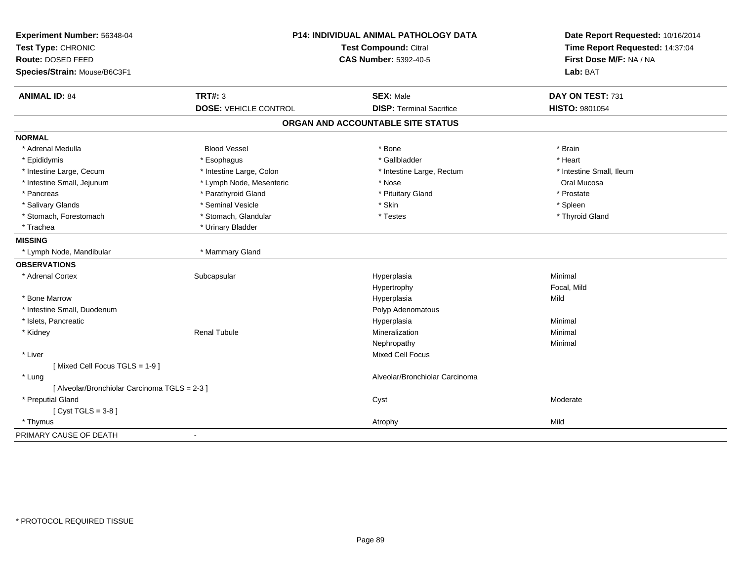| Experiment Number: 56348-04<br>Test Type: CHRONIC<br>Route: DOSED FEED |                              | P14: INDIVIDUAL ANIMAL PATHOLOGY DATA<br>Test Compound: Citral<br><b>CAS Number: 5392-40-5</b> |                                     |  |
|------------------------------------------------------------------------|------------------------------|------------------------------------------------------------------------------------------------|-------------------------------------|--|
| Species/Strain: Mouse/B6C3F1                                           |                              |                                                                                                | First Dose M/F: NA / NA<br>Lab: BAT |  |
| <b>ANIMAL ID: 84</b>                                                   | <b>TRT#: 3</b>               | <b>SEX: Male</b>                                                                               | DAY ON TEST: 731                    |  |
|                                                                        | <b>DOSE: VEHICLE CONTROL</b> | <b>DISP: Terminal Sacrifice</b>                                                                | <b>HISTO: 9801054</b>               |  |
|                                                                        |                              | ORGAN AND ACCOUNTABLE SITE STATUS                                                              |                                     |  |
| <b>NORMAL</b>                                                          |                              |                                                                                                |                                     |  |
| * Adrenal Medulla                                                      | <b>Blood Vessel</b>          | * Bone                                                                                         | * Brain                             |  |
| * Epididymis                                                           | * Esophagus                  | * Gallbladder                                                                                  | * Heart                             |  |
| * Intestine Large, Cecum                                               | * Intestine Large, Colon     | * Intestine Large, Rectum                                                                      | * Intestine Small, Ileum            |  |
| * Intestine Small, Jejunum                                             | * Lymph Node, Mesenteric     | * Nose                                                                                         | Oral Mucosa                         |  |
| * Pancreas                                                             | * Parathyroid Gland          | * Pituitary Gland                                                                              | * Prostate                          |  |
| * Salivary Glands                                                      | * Seminal Vesicle            | * Skin                                                                                         | * Spleen                            |  |
| * Stomach, Forestomach                                                 | * Stomach, Glandular         | * Testes                                                                                       | * Thyroid Gland                     |  |
| * Trachea                                                              | * Urinary Bladder            |                                                                                                |                                     |  |
| <b>MISSING</b>                                                         |                              |                                                                                                |                                     |  |
| * Lymph Node, Mandibular                                               | * Mammary Gland              |                                                                                                |                                     |  |
| <b>OBSERVATIONS</b>                                                    |                              |                                                                                                |                                     |  |
| * Adrenal Cortex                                                       | Subcapsular                  | Hyperplasia                                                                                    | Minimal                             |  |
|                                                                        |                              | Hypertrophy                                                                                    | Focal, Mild                         |  |
| * Bone Marrow                                                          |                              | Hyperplasia                                                                                    | Mild                                |  |
| * Intestine Small, Duodenum                                            |                              | Polyp Adenomatous                                                                              |                                     |  |
| * Islets, Pancreatic                                                   |                              | Hyperplasia                                                                                    | Minimal                             |  |
| * Kidney                                                               | <b>Renal Tubule</b>          | Mineralization                                                                                 | Minimal                             |  |
|                                                                        |                              | Nephropathy                                                                                    | Minimal                             |  |
| * Liver                                                                |                              | Mixed Cell Focus                                                                               |                                     |  |
| [Mixed Cell Focus TGLS = 1-9]                                          |                              |                                                                                                |                                     |  |
| * Lung                                                                 |                              | Alveolar/Bronchiolar Carcinoma                                                                 |                                     |  |
| [ Alveolar/Bronchiolar Carcinoma TGLS = 2-3 ]                          |                              |                                                                                                |                                     |  |
| * Preputial Gland                                                      |                              | Cyst                                                                                           | Moderate                            |  |
| [Cyst TGLS = $3-8$ ]                                                   |                              |                                                                                                |                                     |  |
| * Thymus                                                               |                              | Atrophy                                                                                        | Mild                                |  |
| PRIMARY CAUSE OF DEATH                                                 |                              |                                                                                                |                                     |  |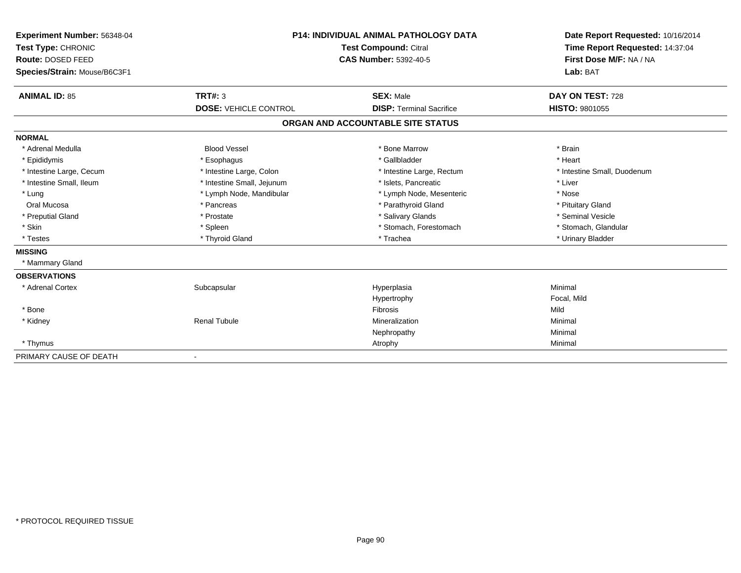| Experiment Number: 56348-04<br>Test Type: CHRONIC<br>Route: DOSED FEED | <b>P14: INDIVIDUAL ANIMAL PATHOLOGY DATA</b><br><b>Test Compound: Citral</b><br><b>CAS Number: 5392-40-5</b> |                                   | Date Report Requested: 10/16/2014<br>Time Report Requested: 14:37:04<br>First Dose M/F: NA / NA |  |
|------------------------------------------------------------------------|--------------------------------------------------------------------------------------------------------------|-----------------------------------|-------------------------------------------------------------------------------------------------|--|
| Species/Strain: Mouse/B6C3F1                                           |                                                                                                              |                                   | Lab: BAT                                                                                        |  |
| <b>ANIMAL ID: 85</b>                                                   | <b>TRT#: 3</b>                                                                                               | <b>SEX: Male</b>                  | DAY ON TEST: 728                                                                                |  |
|                                                                        | <b>DOSE: VEHICLE CONTROL</b>                                                                                 | <b>DISP: Terminal Sacrifice</b>   | <b>HISTO: 9801055</b>                                                                           |  |
|                                                                        |                                                                                                              | ORGAN AND ACCOUNTABLE SITE STATUS |                                                                                                 |  |
| <b>NORMAL</b>                                                          |                                                                                                              |                                   |                                                                                                 |  |
| * Adrenal Medulla                                                      | <b>Blood Vessel</b>                                                                                          | * Bone Marrow                     | * Brain                                                                                         |  |
| * Epididymis                                                           | * Esophagus                                                                                                  | * Gallbladder                     | * Heart                                                                                         |  |
| * Intestine Large, Cecum                                               | * Intestine Large, Colon                                                                                     | * Intestine Large, Rectum         | * Intestine Small. Duodenum                                                                     |  |
| * Intestine Small, Ileum                                               | * Intestine Small, Jejunum                                                                                   | * Islets. Pancreatic              | * Liver                                                                                         |  |
| * Lung                                                                 | * Lymph Node, Mandibular                                                                                     | * Lymph Node, Mesenteric          | * Nose                                                                                          |  |
| Oral Mucosa                                                            | * Pancreas                                                                                                   | * Parathyroid Gland               | * Pituitary Gland                                                                               |  |
| * Preputial Gland                                                      | * Prostate                                                                                                   | * Salivary Glands                 | * Seminal Vesicle                                                                               |  |
| * Skin                                                                 | * Spleen                                                                                                     | * Stomach, Forestomach            | * Stomach, Glandular                                                                            |  |
| * Testes                                                               | * Thyroid Gland                                                                                              | * Trachea                         | * Urinary Bladder                                                                               |  |
| <b>MISSING</b>                                                         |                                                                                                              |                                   |                                                                                                 |  |
| * Mammary Gland                                                        |                                                                                                              |                                   |                                                                                                 |  |
| <b>OBSERVATIONS</b>                                                    |                                                                                                              |                                   |                                                                                                 |  |
| * Adrenal Cortex                                                       | Subcapsular                                                                                                  | Hyperplasia                       | Minimal                                                                                         |  |
|                                                                        |                                                                                                              | Hypertrophy                       | Focal, Mild                                                                                     |  |
| * Bone                                                                 |                                                                                                              | <b>Fibrosis</b>                   | Mild                                                                                            |  |
| * Kidney                                                               | <b>Renal Tubule</b>                                                                                          | Mineralization                    | Minimal                                                                                         |  |
|                                                                        |                                                                                                              | Nephropathy                       | Minimal                                                                                         |  |
| * Thymus                                                               |                                                                                                              | Atrophy                           | Minimal                                                                                         |  |
| PRIMARY CAUSE OF DEATH                                                 |                                                                                                              |                                   |                                                                                                 |  |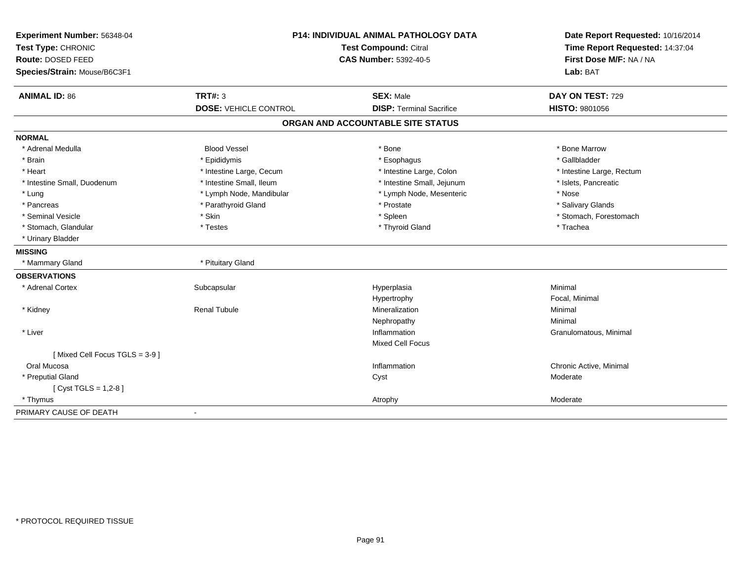| Experiment Number: 56348-04<br>Test Type: CHRONIC<br>Route: DOSED FEED<br>Species/Strain: Mouse/B6C3F1 | <b>P14: INDIVIDUAL ANIMAL PATHOLOGY DATA</b><br><b>Test Compound: Citral</b><br><b>CAS Number: 5392-40-5</b> |                                   | Date Report Requested: 10/16/2014<br>Time Report Requested: 14:37:04<br>First Dose M/F: NA / NA<br>Lab: BAT |
|--------------------------------------------------------------------------------------------------------|--------------------------------------------------------------------------------------------------------------|-----------------------------------|-------------------------------------------------------------------------------------------------------------|
| <b>ANIMAL ID: 86</b>                                                                                   | <b>TRT#: 3</b>                                                                                               | <b>SEX: Male</b>                  | DAY ON TEST: 729                                                                                            |
|                                                                                                        | <b>DOSE: VEHICLE CONTROL</b>                                                                                 | <b>DISP: Terminal Sacrifice</b>   | HISTO: 9801056                                                                                              |
|                                                                                                        |                                                                                                              | ORGAN AND ACCOUNTABLE SITE STATUS |                                                                                                             |
| <b>NORMAL</b>                                                                                          |                                                                                                              |                                   |                                                                                                             |
| * Adrenal Medulla                                                                                      | <b>Blood Vessel</b>                                                                                          | * Bone                            | * Bone Marrow                                                                                               |
| * Brain                                                                                                | * Epididymis                                                                                                 | * Esophagus                       | * Gallbladder                                                                                               |
| * Heart                                                                                                | * Intestine Large, Cecum                                                                                     | * Intestine Large, Colon          | * Intestine Large, Rectum                                                                                   |
| * Intestine Small, Duodenum                                                                            | * Intestine Small, Ileum                                                                                     | * Intestine Small, Jejunum        | * Islets, Pancreatic                                                                                        |
| * Lung                                                                                                 | * Lymph Node, Mandibular                                                                                     | * Lymph Node, Mesenteric          | * Nose                                                                                                      |
| * Pancreas                                                                                             | * Parathyroid Gland                                                                                          | * Prostate                        | * Salivary Glands                                                                                           |
| * Seminal Vesicle                                                                                      | * Skin                                                                                                       | * Spleen                          | * Stomach, Forestomach                                                                                      |
| * Stomach, Glandular                                                                                   | * Testes                                                                                                     | * Thyroid Gland                   | * Trachea                                                                                                   |
| * Urinary Bladder                                                                                      |                                                                                                              |                                   |                                                                                                             |
| <b>MISSING</b>                                                                                         |                                                                                                              |                                   |                                                                                                             |
| * Mammary Gland                                                                                        | * Pituitary Gland                                                                                            |                                   |                                                                                                             |
| <b>OBSERVATIONS</b>                                                                                    |                                                                                                              |                                   |                                                                                                             |
| * Adrenal Cortex                                                                                       | Subcapsular                                                                                                  | Hyperplasia                       | Minimal                                                                                                     |
|                                                                                                        |                                                                                                              | Hypertrophy                       | Focal, Minimal                                                                                              |
| * Kidney                                                                                               | <b>Renal Tubule</b>                                                                                          | Mineralization                    | Minimal                                                                                                     |
|                                                                                                        |                                                                                                              | Nephropathy                       | Minimal                                                                                                     |
| * Liver                                                                                                |                                                                                                              | Inflammation                      | Granulomatous, Minimal                                                                                      |
|                                                                                                        |                                                                                                              | <b>Mixed Cell Focus</b>           |                                                                                                             |
| [Mixed Cell Focus TGLS = 3-9]                                                                          |                                                                                                              |                                   |                                                                                                             |
| Oral Mucosa                                                                                            |                                                                                                              | Inflammation                      | Chronic Active, Minimal                                                                                     |
| * Preputial Gland                                                                                      |                                                                                                              | Cyst                              | Moderate                                                                                                    |
| [ $Cyst TGLS = 1,2-8$ ]                                                                                |                                                                                                              |                                   |                                                                                                             |
| * Thymus                                                                                               |                                                                                                              | Atrophy                           | Moderate                                                                                                    |
| PRIMARY CAUSE OF DEATH                                                                                 |                                                                                                              |                                   |                                                                                                             |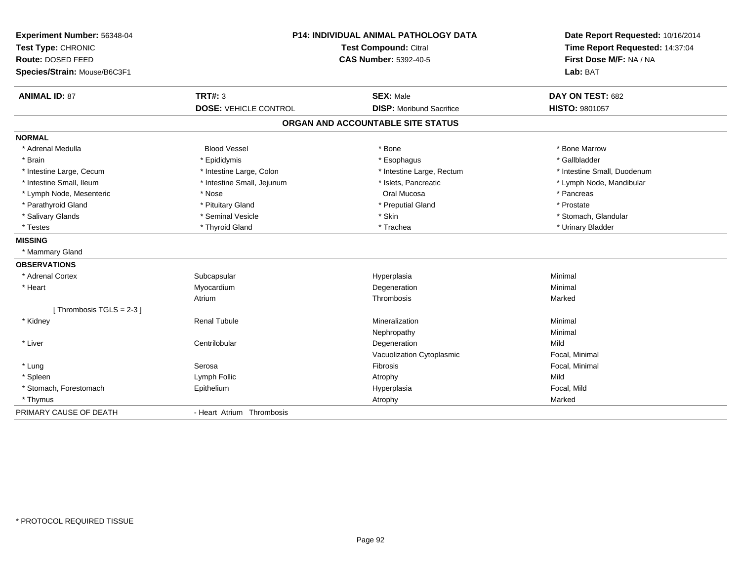| Experiment Number: 56348-04<br>Test Type: CHRONIC<br>Route: DOSED FEED<br>Species/Strain: Mouse/B6C3F1 | P14: INDIVIDUAL ANIMAL PATHOLOGY DATA<br><b>Test Compound: Citral</b><br><b>CAS Number: 5392-40-5</b> |                                                     | Date Report Requested: 10/16/2014<br>Time Report Requested: 14:37:04<br>First Dose M/F: NA / NA<br>Lab: BAT |  |
|--------------------------------------------------------------------------------------------------------|-------------------------------------------------------------------------------------------------------|-----------------------------------------------------|-------------------------------------------------------------------------------------------------------------|--|
| <b>ANIMAL ID: 87</b>                                                                                   | <b>TRT#: 3</b><br><b>DOSE: VEHICLE CONTROL</b>                                                        | <b>SEX: Male</b><br><b>DISP:</b> Moribund Sacrifice | DAY ON TEST: 682<br><b>HISTO: 9801057</b>                                                                   |  |
|                                                                                                        |                                                                                                       | ORGAN AND ACCOUNTABLE SITE STATUS                   |                                                                                                             |  |
|                                                                                                        |                                                                                                       |                                                     |                                                                                                             |  |
| <b>NORMAL</b>                                                                                          |                                                                                                       |                                                     |                                                                                                             |  |
| * Adrenal Medulla                                                                                      | <b>Blood Vessel</b>                                                                                   | * Bone                                              | * Bone Marrow                                                                                               |  |
| * Brain                                                                                                | * Epididymis                                                                                          | * Esophagus                                         | * Gallbladder                                                                                               |  |
| * Intestine Large, Cecum                                                                               | * Intestine Large, Colon                                                                              | * Intestine Large, Rectum                           | * Intestine Small, Duodenum                                                                                 |  |
| * Intestine Small, Ileum                                                                               | * Intestine Small, Jejunum                                                                            | * Islets, Pancreatic                                | * Lymph Node, Mandibular                                                                                    |  |
| * Lymph Node, Mesenteric                                                                               | * Nose                                                                                                | Oral Mucosa                                         | * Pancreas                                                                                                  |  |
| * Parathyroid Gland                                                                                    | * Pituitary Gland                                                                                     | * Preputial Gland                                   | * Prostate                                                                                                  |  |
| * Salivary Glands                                                                                      | * Seminal Vesicle                                                                                     | * Skin                                              | * Stomach, Glandular                                                                                        |  |
| * Testes                                                                                               | * Thyroid Gland                                                                                       | * Trachea                                           | * Urinary Bladder                                                                                           |  |
| <b>MISSING</b>                                                                                         |                                                                                                       |                                                     |                                                                                                             |  |
| * Mammary Gland                                                                                        |                                                                                                       |                                                     |                                                                                                             |  |
| <b>OBSERVATIONS</b>                                                                                    |                                                                                                       |                                                     |                                                                                                             |  |
| * Adrenal Cortex                                                                                       | Subcapsular                                                                                           | Hyperplasia                                         | Minimal                                                                                                     |  |
| * Heart                                                                                                | Myocardium                                                                                            | Degeneration                                        | Minimal                                                                                                     |  |
|                                                                                                        | Atrium                                                                                                | <b>Thrombosis</b>                                   | Marked                                                                                                      |  |
| [Thrombosis TGLS = $2-3$ ]                                                                             |                                                                                                       |                                                     |                                                                                                             |  |
| * Kidney                                                                                               | <b>Renal Tubule</b>                                                                                   | Mineralization                                      | Minimal                                                                                                     |  |
|                                                                                                        |                                                                                                       | Nephropathy                                         | Minimal                                                                                                     |  |
| * Liver                                                                                                | Centrilobular                                                                                         | Degeneration                                        | Mild                                                                                                        |  |
|                                                                                                        |                                                                                                       | Vacuolization Cytoplasmic                           | Focal, Minimal                                                                                              |  |
| * Lung                                                                                                 | Serosa                                                                                                | Fibrosis                                            | Focal, Minimal                                                                                              |  |
| * Spleen                                                                                               | Lymph Follic                                                                                          | Atrophy                                             | Mild                                                                                                        |  |
| * Stomach, Forestomach                                                                                 | Epithelium                                                                                            | Hyperplasia                                         | Focal, Mild                                                                                                 |  |
| * Thymus                                                                                               |                                                                                                       | Atrophy                                             | Marked                                                                                                      |  |
| PRIMARY CAUSE OF DEATH                                                                                 | - Heart Atrium Thrombosis                                                                             |                                                     |                                                                                                             |  |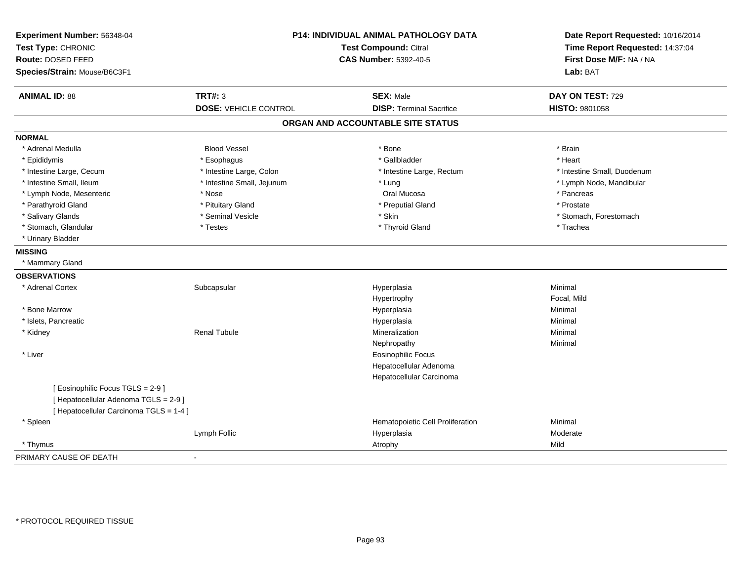| Experiment Number: 56348-04<br>Test Type: CHRONIC<br>Route: DOSED FEED<br>Species/Strain: Mouse/B6C3F1 | <b>P14: INDIVIDUAL ANIMAL PATHOLOGY DATA</b><br>Test Compound: Citral<br><b>CAS Number: 5392-40-5</b> |                                   | Date Report Requested: 10/16/2014<br>Time Report Requested: 14:37:04<br>First Dose M/F: NA / NA<br>Lab: BAT |  |
|--------------------------------------------------------------------------------------------------------|-------------------------------------------------------------------------------------------------------|-----------------------------------|-------------------------------------------------------------------------------------------------------------|--|
| <b>ANIMAL ID: 88</b>                                                                                   | <b>TRT#: 3</b>                                                                                        | <b>SEX: Male</b>                  | DAY ON TEST: 729                                                                                            |  |
|                                                                                                        | <b>DOSE: VEHICLE CONTROL</b>                                                                          | <b>DISP: Terminal Sacrifice</b>   | <b>HISTO: 9801058</b>                                                                                       |  |
|                                                                                                        |                                                                                                       | ORGAN AND ACCOUNTABLE SITE STATUS |                                                                                                             |  |
| <b>NORMAL</b>                                                                                          |                                                                                                       |                                   |                                                                                                             |  |
| * Adrenal Medulla                                                                                      | <b>Blood Vessel</b>                                                                                   | * Bone                            | * Brain                                                                                                     |  |
| * Epididymis                                                                                           | * Esophagus                                                                                           | * Gallbladder                     | * Heart                                                                                                     |  |
| * Intestine Large, Cecum                                                                               | * Intestine Large, Colon                                                                              | * Intestine Large, Rectum         | * Intestine Small, Duodenum                                                                                 |  |
| * Intestine Small, Ileum                                                                               | * Intestine Small, Jejunum                                                                            | * Lung                            | * Lymph Node, Mandibular                                                                                    |  |
| * Lymph Node, Mesenteric                                                                               | * Nose                                                                                                | Oral Mucosa                       | * Pancreas                                                                                                  |  |
| * Parathyroid Gland                                                                                    | * Pituitary Gland                                                                                     | * Preputial Gland                 | * Prostate                                                                                                  |  |
| * Salivary Glands                                                                                      | * Seminal Vesicle                                                                                     | * Skin                            | * Stomach, Forestomach                                                                                      |  |
| * Stomach, Glandular                                                                                   | * Testes                                                                                              | * Thyroid Gland                   | * Trachea                                                                                                   |  |
| * Urinary Bladder                                                                                      |                                                                                                       |                                   |                                                                                                             |  |
| <b>MISSING</b>                                                                                         |                                                                                                       |                                   |                                                                                                             |  |
| * Mammary Gland                                                                                        |                                                                                                       |                                   |                                                                                                             |  |
| <b>OBSERVATIONS</b>                                                                                    |                                                                                                       |                                   |                                                                                                             |  |
| * Adrenal Cortex                                                                                       | Subcapsular                                                                                           | Hyperplasia                       | Minimal                                                                                                     |  |
|                                                                                                        |                                                                                                       | Hypertrophy                       | Focal, Mild                                                                                                 |  |
| * Bone Marrow                                                                                          |                                                                                                       | Hyperplasia                       | Minimal                                                                                                     |  |
| * Islets, Pancreatic                                                                                   |                                                                                                       | Hyperplasia                       | Minimal                                                                                                     |  |
| * Kidney                                                                                               | <b>Renal Tubule</b>                                                                                   | Mineralization                    | Minimal                                                                                                     |  |
|                                                                                                        |                                                                                                       | Nephropathy                       | Minimal                                                                                                     |  |
| * Liver                                                                                                |                                                                                                       | <b>Eosinophilic Focus</b>         |                                                                                                             |  |
|                                                                                                        |                                                                                                       | Hepatocellular Adenoma            |                                                                                                             |  |
|                                                                                                        |                                                                                                       | Hepatocellular Carcinoma          |                                                                                                             |  |
| [ Eosinophilic Focus TGLS = 2-9 ]                                                                      |                                                                                                       |                                   |                                                                                                             |  |
| [ Hepatocellular Adenoma TGLS = 2-9 ]                                                                  |                                                                                                       |                                   |                                                                                                             |  |
| [ Hepatocellular Carcinoma TGLS = 1-4 ]                                                                |                                                                                                       |                                   |                                                                                                             |  |
| * Spleen                                                                                               |                                                                                                       | Hematopoietic Cell Proliferation  | Minimal                                                                                                     |  |
|                                                                                                        | Lymph Follic                                                                                          | Hyperplasia                       | Moderate                                                                                                    |  |
| * Thymus                                                                                               |                                                                                                       | Atrophy                           | Mild                                                                                                        |  |
| PRIMARY CAUSE OF DEATH                                                                                 |                                                                                                       |                                   |                                                                                                             |  |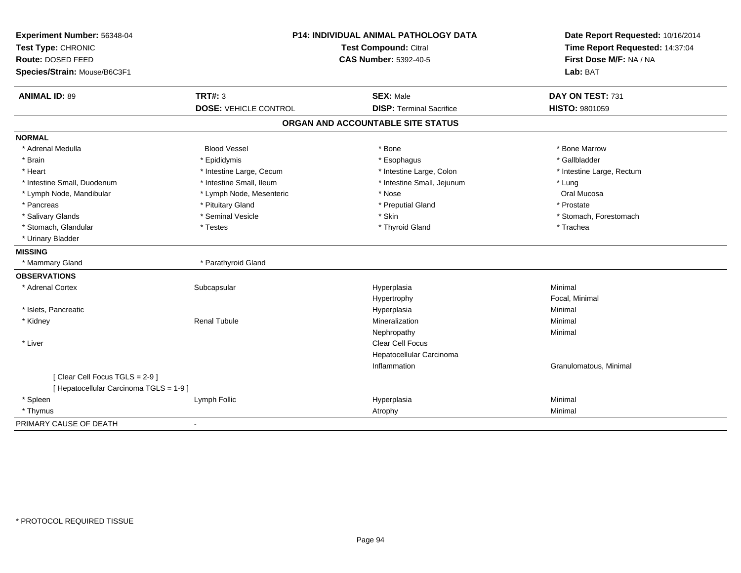| Experiment Number: 56348-04             | <b>P14: INDIVIDUAL ANIMAL PATHOLOGY DATA</b> |                                   | Date Report Requested: 10/16/2014 |
|-----------------------------------------|----------------------------------------------|-----------------------------------|-----------------------------------|
| Test Type: CHRONIC                      |                                              | <b>Test Compound: Citral</b>      | Time Report Requested: 14:37:04   |
| Route: DOSED FEED                       |                                              | <b>CAS Number: 5392-40-5</b>      | First Dose M/F: NA / NA           |
| Species/Strain: Mouse/B6C3F1            |                                              |                                   | Lab: BAT                          |
| <b>ANIMAL ID: 89</b>                    | <b>TRT#: 3</b>                               | <b>SEX: Male</b>                  | DAY ON TEST: 731                  |
|                                         | <b>DOSE: VEHICLE CONTROL</b>                 | <b>DISP: Terminal Sacrifice</b>   | HISTO: 9801059                    |
|                                         |                                              | ORGAN AND ACCOUNTABLE SITE STATUS |                                   |
| <b>NORMAL</b>                           |                                              |                                   |                                   |
| * Adrenal Medulla                       | <b>Blood Vessel</b>                          | * Bone                            | * Bone Marrow                     |
| * Brain                                 | * Epididymis                                 | * Esophagus                       | * Gallbladder                     |
| * Heart                                 | * Intestine Large, Cecum                     | * Intestine Large, Colon          | * Intestine Large, Rectum         |
| * Intestine Small, Duodenum             | * Intestine Small, Ileum                     | * Intestine Small, Jejunum        | * Lung                            |
| * Lymph Node, Mandibular                | * Lymph Node, Mesenteric                     | * Nose                            | Oral Mucosa                       |
| * Pancreas                              | * Pituitary Gland                            | * Preputial Gland                 | * Prostate                        |
| * Salivary Glands                       | * Seminal Vesicle                            | * Skin                            | * Stomach, Forestomach            |
| * Stomach, Glandular                    | * Testes                                     | * Thyroid Gland                   | * Trachea                         |
| * Urinary Bladder                       |                                              |                                   |                                   |
| <b>MISSING</b>                          |                                              |                                   |                                   |
| * Mammary Gland                         | * Parathyroid Gland                          |                                   |                                   |
| <b>OBSERVATIONS</b>                     |                                              |                                   |                                   |
| * Adrenal Cortex                        | Subcapsular                                  | Hyperplasia                       | Minimal                           |
|                                         |                                              | Hypertrophy                       | Focal, Minimal                    |
| * Islets, Pancreatic                    |                                              | Hyperplasia                       | Minimal                           |
| * Kidney                                | <b>Renal Tubule</b>                          | Mineralization                    | Minimal                           |
|                                         |                                              | Nephropathy                       | Minimal                           |
| * Liver                                 |                                              | Clear Cell Focus                  |                                   |
|                                         |                                              | Hepatocellular Carcinoma          |                                   |
|                                         |                                              | Inflammation                      | Granulomatous, Minimal            |
| [Clear Cell Focus TGLS = 2-9]           |                                              |                                   |                                   |
| [ Hepatocellular Carcinoma TGLS = 1-9 ] |                                              |                                   |                                   |
| * Spleen                                | Lymph Follic                                 | Hyperplasia                       | Minimal                           |
| * Thymus                                |                                              | Atrophy                           | Minimal                           |
| PRIMARY CAUSE OF DEATH                  | $\mathbf{r}$                                 |                                   |                                   |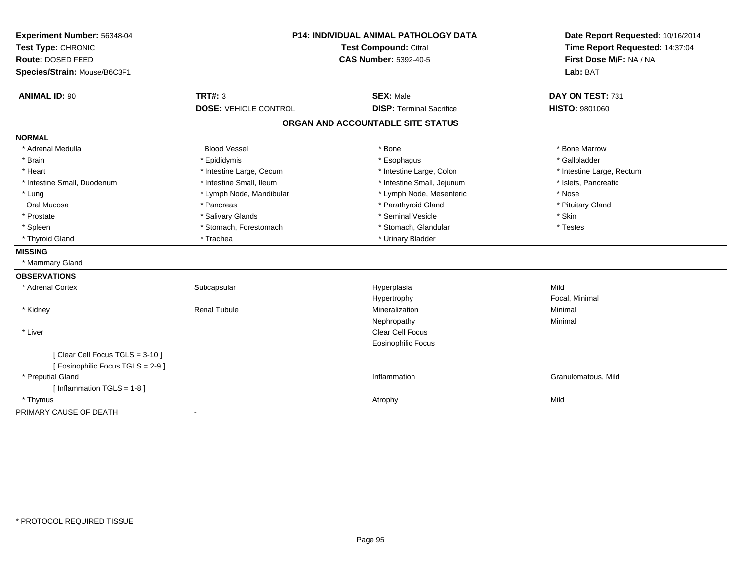| Experiment Number: 56348-04<br>Test Type: CHRONIC |                              | P14: INDIVIDUAL ANIMAL PATHOLOGY DATA<br><b>Test Compound: Citral</b> | Date Report Requested: 10/16/2014<br>Time Report Requested: 14:37:04 |  |
|---------------------------------------------------|------------------------------|-----------------------------------------------------------------------|----------------------------------------------------------------------|--|
| Route: DOSED FEED<br>Species/Strain: Mouse/B6C3F1 |                              | <b>CAS Number: 5392-40-5</b>                                          | First Dose M/F: NA / NA<br>Lab: BAT                                  |  |
| <b>ANIMAL ID: 90</b>                              | <b>TRT#: 3</b>               | <b>SEX: Male</b>                                                      | DAY ON TEST: 731                                                     |  |
|                                                   | <b>DOSE: VEHICLE CONTROL</b> | <b>DISP: Terminal Sacrifice</b>                                       | HISTO: 9801060                                                       |  |
|                                                   |                              | ORGAN AND ACCOUNTABLE SITE STATUS                                     |                                                                      |  |
| <b>NORMAL</b>                                     |                              |                                                                       |                                                                      |  |
| * Adrenal Medulla                                 | <b>Blood Vessel</b>          | * Bone                                                                | * Bone Marrow                                                        |  |
| * Brain                                           | * Epididymis                 | * Esophagus                                                           | * Gallbladder                                                        |  |
| * Heart                                           | * Intestine Large, Cecum     | * Intestine Large, Colon                                              | * Intestine Large, Rectum                                            |  |
| * Intestine Small, Duodenum                       | * Intestine Small, Ileum     | * Intestine Small, Jejunum                                            | * Islets, Pancreatic                                                 |  |
| * Lung                                            | * Lymph Node, Mandibular     | * Lymph Node, Mesenteric                                              | * Nose                                                               |  |
| Oral Mucosa                                       | * Pancreas                   | * Parathyroid Gland                                                   | * Pituitary Gland                                                    |  |
| * Prostate                                        | * Salivary Glands            | * Seminal Vesicle                                                     | * Skin                                                               |  |
| * Spleen                                          | * Stomach, Forestomach       | * Stomach, Glandular                                                  | * Testes                                                             |  |
| * Thyroid Gland                                   | * Trachea                    | * Urinary Bladder                                                     |                                                                      |  |
| <b>MISSING</b>                                    |                              |                                                                       |                                                                      |  |
| * Mammary Gland                                   |                              |                                                                       |                                                                      |  |
| <b>OBSERVATIONS</b>                               |                              |                                                                       |                                                                      |  |
| * Adrenal Cortex                                  | Subcapsular                  | Hyperplasia                                                           | Mild                                                                 |  |
|                                                   |                              | Hypertrophy                                                           | Focal, Minimal                                                       |  |
| * Kidney                                          | <b>Renal Tubule</b>          | Mineralization                                                        | Minimal                                                              |  |
|                                                   |                              | Nephropathy                                                           | Minimal                                                              |  |
| * Liver                                           |                              | Clear Cell Focus                                                      |                                                                      |  |
|                                                   |                              | Eosinophilic Focus                                                    |                                                                      |  |
| [Clear Cell Focus TGLS = 3-10]                    |                              |                                                                       |                                                                      |  |
| [ Eosinophilic Focus TGLS = 2-9 ]                 |                              |                                                                       |                                                                      |  |
| * Preputial Gland                                 |                              | Inflammation                                                          | Granulomatous, Mild                                                  |  |
| [Inflammation TGLS = 1-8]                         |                              |                                                                       |                                                                      |  |
| * Thymus                                          |                              | Atrophy                                                               | Mild                                                                 |  |
| PRIMARY CAUSE OF DEATH                            | $\blacksquare$               |                                                                       |                                                                      |  |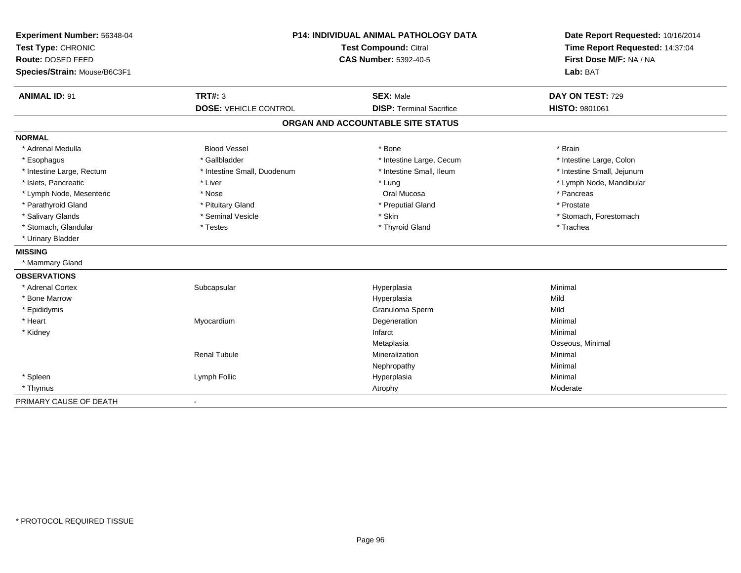| Experiment Number: 56348-04<br>Test Type: CHRONIC | P14: INDIVIDUAL ANIMAL PATHOLOGY DATA<br><b>Test Compound: Citral</b> |                                   | Date Report Requested: 10/16/2014<br>Time Report Requested: 14:37:04 |
|---------------------------------------------------|-----------------------------------------------------------------------|-----------------------------------|----------------------------------------------------------------------|
| Route: DOSED FEED                                 |                                                                       | <b>CAS Number: 5392-40-5</b>      |                                                                      |
| Species/Strain: Mouse/B6C3F1                      |                                                                       |                                   | Lab: BAT                                                             |
| <b>ANIMAL ID: 91</b>                              | TRT#: 3                                                               | <b>SEX: Male</b>                  | DAY ON TEST: 729                                                     |
|                                                   | <b>DOSE: VEHICLE CONTROL</b>                                          | <b>DISP: Terminal Sacrifice</b>   | HISTO: 9801061                                                       |
|                                                   |                                                                       | ORGAN AND ACCOUNTABLE SITE STATUS |                                                                      |
| <b>NORMAL</b>                                     |                                                                       |                                   |                                                                      |
| * Adrenal Medulla                                 | <b>Blood Vessel</b>                                                   | * Bone                            | * Brain                                                              |
| * Esophagus                                       | * Gallbladder                                                         | * Intestine Large, Cecum          | * Intestine Large, Colon                                             |
| * Intestine Large, Rectum                         | * Intestine Small, Duodenum                                           | * Intestine Small. Ileum          | * Intestine Small, Jejunum                                           |
| * Islets. Pancreatic                              | * Liver                                                               | * Lung                            | * Lymph Node, Mandibular                                             |
| * Lymph Node, Mesenteric                          | * Nose                                                                | Oral Mucosa                       | * Pancreas                                                           |
| * Parathyroid Gland                               | * Pituitary Gland                                                     | * Preputial Gland                 | * Prostate                                                           |
| * Salivary Glands                                 | * Seminal Vesicle                                                     | * Skin                            | * Stomach, Forestomach                                               |
| * Stomach, Glandular                              | * Testes                                                              | * Thyroid Gland                   | * Trachea                                                            |
| * Urinary Bladder                                 |                                                                       |                                   |                                                                      |
| <b>MISSING</b>                                    |                                                                       |                                   |                                                                      |
| * Mammary Gland                                   |                                                                       |                                   |                                                                      |
| <b>OBSERVATIONS</b>                               |                                                                       |                                   |                                                                      |
| * Adrenal Cortex                                  | Subcapsular                                                           | Hyperplasia                       | Minimal                                                              |
| * Bone Marrow                                     |                                                                       | Hyperplasia                       | Mild                                                                 |
| * Epididymis                                      |                                                                       | Granuloma Sperm                   | Mild                                                                 |
| * Heart                                           | Myocardium                                                            | Degeneration                      | Minimal                                                              |
| * Kidney                                          |                                                                       | Infarct                           | Minimal                                                              |
|                                                   |                                                                       | Metaplasia                        | Osseous, Minimal                                                     |
|                                                   | <b>Renal Tubule</b>                                                   | Mineralization                    | Minimal                                                              |
|                                                   |                                                                       | Nephropathy                       | Minimal                                                              |
| * Spleen                                          | Lymph Follic                                                          | Hyperplasia                       | Minimal                                                              |
| * Thymus                                          |                                                                       | Atrophy                           | Moderate                                                             |
| PRIMARY CAUSE OF DEATH                            |                                                                       |                                   |                                                                      |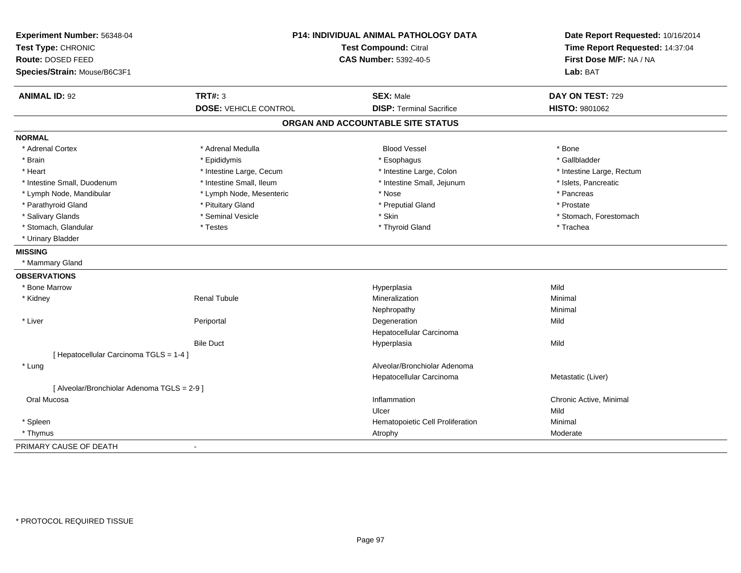| Experiment Number: 56348-04<br>Test Type: CHRONIC<br>Route: DOSED FEED<br>Species/Strain: Mouse/B6C3F1 | P14: INDIVIDUAL ANIMAL PATHOLOGY DATA<br><b>Test Compound: Citral</b><br><b>CAS Number: 5392-40-5</b> |                                   | Date Report Requested: 10/16/2014<br>Time Report Requested: 14:37:04<br>First Dose M/F: NA / NA<br>Lab: BAT |
|--------------------------------------------------------------------------------------------------------|-------------------------------------------------------------------------------------------------------|-----------------------------------|-------------------------------------------------------------------------------------------------------------|
| <b>ANIMAL ID: 92</b>                                                                                   | <b>TRT#: 3</b>                                                                                        | <b>SEX: Male</b>                  | DAY ON TEST: 729                                                                                            |
|                                                                                                        | <b>DOSE: VEHICLE CONTROL</b>                                                                          | <b>DISP: Terminal Sacrifice</b>   | HISTO: 9801062                                                                                              |
|                                                                                                        |                                                                                                       | ORGAN AND ACCOUNTABLE SITE STATUS |                                                                                                             |
| <b>NORMAL</b>                                                                                          |                                                                                                       |                                   |                                                                                                             |
| * Adrenal Cortex                                                                                       | * Adrenal Medulla                                                                                     | <b>Blood Vessel</b>               | * Bone                                                                                                      |
| * Brain                                                                                                | * Epididymis                                                                                          | * Esophagus                       | * Gallbladder                                                                                               |
| * Heart                                                                                                | * Intestine Large, Cecum                                                                              | * Intestine Large, Colon          | * Intestine Large, Rectum                                                                                   |
| * Intestine Small, Duodenum                                                                            | * Intestine Small, Ileum                                                                              | * Intestine Small, Jejunum        | * Islets, Pancreatic                                                                                        |
| * Lymph Node, Mandibular                                                                               | * Lymph Node, Mesenteric                                                                              | * Nose                            | * Pancreas                                                                                                  |
| * Parathyroid Gland                                                                                    | * Pituitary Gland                                                                                     | * Preputial Gland                 | * Prostate                                                                                                  |
| * Salivary Glands                                                                                      | * Seminal Vesicle                                                                                     | * Skin                            | * Stomach, Forestomach                                                                                      |
| * Stomach, Glandular                                                                                   | * Testes                                                                                              | * Thyroid Gland                   | * Trachea                                                                                                   |
| * Urinary Bladder                                                                                      |                                                                                                       |                                   |                                                                                                             |
| <b>MISSING</b>                                                                                         |                                                                                                       |                                   |                                                                                                             |
| * Mammary Gland                                                                                        |                                                                                                       |                                   |                                                                                                             |
| <b>OBSERVATIONS</b>                                                                                    |                                                                                                       |                                   |                                                                                                             |
| * Bone Marrow                                                                                          |                                                                                                       | Hyperplasia                       | Mild                                                                                                        |
| * Kidney                                                                                               | <b>Renal Tubule</b>                                                                                   | Mineralization                    | Minimal                                                                                                     |
|                                                                                                        |                                                                                                       | Nephropathy                       | Minimal                                                                                                     |
| * Liver                                                                                                | Periportal                                                                                            | Degeneration                      | Mild                                                                                                        |
|                                                                                                        |                                                                                                       | Hepatocellular Carcinoma          |                                                                                                             |
|                                                                                                        | <b>Bile Duct</b>                                                                                      | Hyperplasia                       | Mild                                                                                                        |
| [ Hepatocellular Carcinoma TGLS = 1-4 ]                                                                |                                                                                                       |                                   |                                                                                                             |
| * Lung                                                                                                 |                                                                                                       | Alveolar/Bronchiolar Adenoma      |                                                                                                             |
|                                                                                                        |                                                                                                       | Hepatocellular Carcinoma          | Metastatic (Liver)                                                                                          |
| [ Alveolar/Bronchiolar Adenoma TGLS = 2-9 ]                                                            |                                                                                                       |                                   |                                                                                                             |
| Oral Mucosa                                                                                            |                                                                                                       | Inflammation                      | Chronic Active, Minimal                                                                                     |
|                                                                                                        |                                                                                                       | Ulcer                             | Mild                                                                                                        |
| * Spleen                                                                                               |                                                                                                       | Hematopoietic Cell Proliferation  | Minimal                                                                                                     |
| * Thymus                                                                                               |                                                                                                       | Atrophy                           | Moderate                                                                                                    |
| PRIMARY CAUSE OF DEATH                                                                                 |                                                                                                       |                                   |                                                                                                             |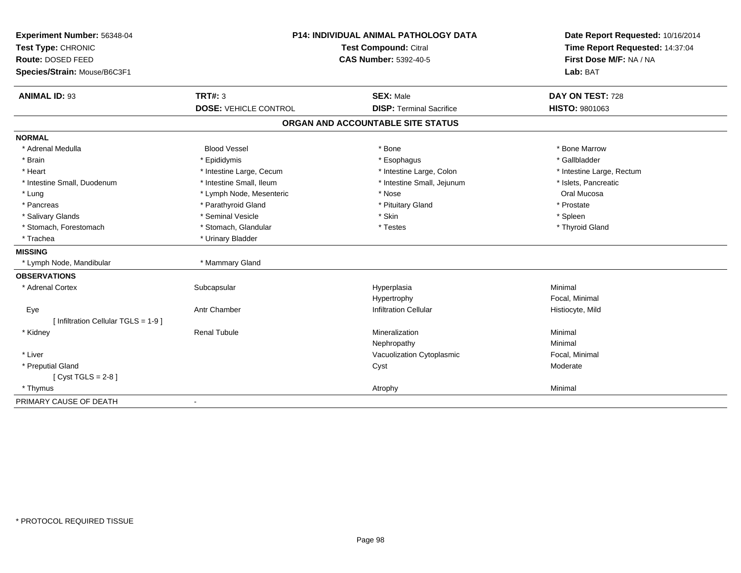| Experiment Number: 56348-04<br>Test Type: CHRONIC<br>Route: DOSED FEED<br>Species/Strain: Mouse/B6C3F1 | <b>P14: INDIVIDUAL ANIMAL PATHOLOGY DATA</b><br><b>Test Compound: Citral</b><br><b>CAS Number: 5392-40-5</b> |                                   | Date Report Requested: 10/16/2014<br>Time Report Requested: 14:37:04<br>First Dose M/F: NA / NA<br>Lab: BAT |  |
|--------------------------------------------------------------------------------------------------------|--------------------------------------------------------------------------------------------------------------|-----------------------------------|-------------------------------------------------------------------------------------------------------------|--|
| <b>ANIMAL ID: 93</b>                                                                                   | <b>TRT#: 3</b>                                                                                               | <b>SEX: Male</b>                  | DAY ON TEST: 728                                                                                            |  |
|                                                                                                        | <b>DOSE: VEHICLE CONTROL</b>                                                                                 | <b>DISP: Terminal Sacrifice</b>   | HISTO: 9801063                                                                                              |  |
|                                                                                                        |                                                                                                              | ORGAN AND ACCOUNTABLE SITE STATUS |                                                                                                             |  |
| <b>NORMAL</b>                                                                                          |                                                                                                              |                                   |                                                                                                             |  |
| * Adrenal Medulla                                                                                      | <b>Blood Vessel</b>                                                                                          | * Bone                            | * Bone Marrow                                                                                               |  |
| * Brain                                                                                                | * Epididymis                                                                                                 | * Esophagus                       | * Gallbladder                                                                                               |  |
| * Heart                                                                                                | * Intestine Large, Cecum                                                                                     | * Intestine Large, Colon          | * Intestine Large, Rectum                                                                                   |  |
| * Intestine Small, Duodenum                                                                            | * Intestine Small, Ileum                                                                                     | * Intestine Small, Jejunum        | * Islets, Pancreatic                                                                                        |  |
| * Lung                                                                                                 | * Lymph Node, Mesenteric                                                                                     | * Nose                            | Oral Mucosa                                                                                                 |  |
| * Pancreas                                                                                             | * Parathyroid Gland                                                                                          | * Pituitary Gland                 | * Prostate                                                                                                  |  |
| * Salivary Glands                                                                                      | * Seminal Vesicle                                                                                            | * Skin                            | * Spleen                                                                                                    |  |
| * Stomach, Forestomach                                                                                 | * Stomach, Glandular                                                                                         | * Testes                          | * Thyroid Gland                                                                                             |  |
| * Trachea                                                                                              | * Urinary Bladder                                                                                            |                                   |                                                                                                             |  |
| <b>MISSING</b>                                                                                         |                                                                                                              |                                   |                                                                                                             |  |
| * Lymph Node, Mandibular                                                                               | * Mammary Gland                                                                                              |                                   |                                                                                                             |  |
| <b>OBSERVATIONS</b>                                                                                    |                                                                                                              |                                   |                                                                                                             |  |
| * Adrenal Cortex                                                                                       | Subcapsular                                                                                                  | Hyperplasia                       | Minimal                                                                                                     |  |
|                                                                                                        |                                                                                                              | Hypertrophy                       | Focal, Minimal                                                                                              |  |
| Eye                                                                                                    | <b>Antr Chamber</b>                                                                                          | <b>Infiltration Cellular</b>      | Histiocyte, Mild                                                                                            |  |
| [ Infiltration Cellular TGLS = 1-9 ]                                                                   |                                                                                                              |                                   |                                                                                                             |  |
| * Kidney                                                                                               | <b>Renal Tubule</b>                                                                                          | Mineralization                    | Minimal                                                                                                     |  |
|                                                                                                        |                                                                                                              | Nephropathy                       | Minimal                                                                                                     |  |
| * Liver                                                                                                |                                                                                                              | Vacuolization Cytoplasmic         | Focal, Minimal                                                                                              |  |
| * Preputial Gland                                                                                      |                                                                                                              | Cyst                              | Moderate                                                                                                    |  |
| [Cyst TGLS = $2-8$ ]                                                                                   |                                                                                                              |                                   |                                                                                                             |  |
| * Thymus                                                                                               |                                                                                                              | Atrophy                           | Minimal                                                                                                     |  |
| PRIMARY CAUSE OF DEATH                                                                                 |                                                                                                              |                                   |                                                                                                             |  |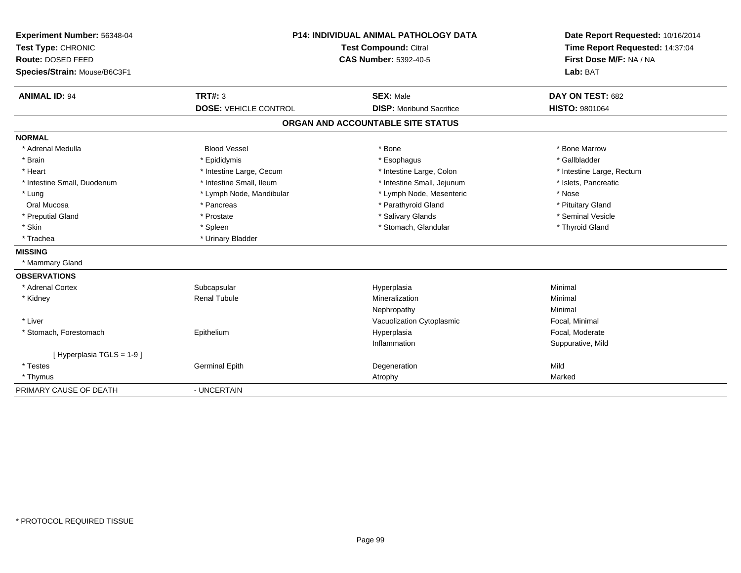| Experiment Number: 56348-04  | <b>P14: INDIVIDUAL ANIMAL PATHOLOGY DATA</b><br><b>Test Compound: Citral</b> |                                   | Date Report Requested: 10/16/2014 |
|------------------------------|------------------------------------------------------------------------------|-----------------------------------|-----------------------------------|
| Test Type: CHRONIC           |                                                                              |                                   | Time Report Requested: 14:37:04   |
| Route: DOSED FEED            |                                                                              | <b>CAS Number: 5392-40-5</b>      | First Dose M/F: NA / NA           |
| Species/Strain: Mouse/B6C3F1 |                                                                              |                                   | Lab: BAT                          |
| <b>ANIMAL ID: 94</b>         | TRT#: 3                                                                      | <b>SEX: Male</b>                  | DAY ON TEST: 682                  |
|                              | <b>DOSE: VEHICLE CONTROL</b>                                                 | <b>DISP:</b> Moribund Sacrifice   | <b>HISTO: 9801064</b>             |
|                              |                                                                              | ORGAN AND ACCOUNTABLE SITE STATUS |                                   |
| <b>NORMAL</b>                |                                                                              |                                   |                                   |
| * Adrenal Medulla            | <b>Blood Vessel</b>                                                          | * Bone                            | * Bone Marrow                     |
| * Brain                      | * Epididymis                                                                 | * Esophagus                       | * Gallbladder                     |
| * Heart                      | * Intestine Large, Cecum                                                     | * Intestine Large, Colon          | * Intestine Large, Rectum         |
| * Intestine Small, Duodenum  | * Intestine Small, Ileum                                                     | * Intestine Small, Jejunum        | * Islets, Pancreatic              |
| * Lung                       | * Lymph Node, Mandibular                                                     | * Lymph Node, Mesenteric          | * Nose                            |
| Oral Mucosa                  | * Pancreas                                                                   | * Parathyroid Gland               | * Pituitary Gland                 |
| * Preputial Gland            | * Prostate                                                                   | * Salivary Glands                 | * Seminal Vesicle                 |
| * Skin                       | * Spleen                                                                     | * Stomach, Glandular              | * Thyroid Gland                   |
| * Trachea                    | * Urinary Bladder                                                            |                                   |                                   |
| <b>MISSING</b>               |                                                                              |                                   |                                   |
| * Mammary Gland              |                                                                              |                                   |                                   |
| <b>OBSERVATIONS</b>          |                                                                              |                                   |                                   |
| * Adrenal Cortex             | Subcapsular                                                                  | Hyperplasia                       | Minimal                           |
| * Kidney                     | <b>Renal Tubule</b>                                                          | Mineralization                    | Minimal                           |
|                              |                                                                              | Nephropathy                       | Minimal                           |
| * Liver                      |                                                                              | Vacuolization Cytoplasmic         | Focal, Minimal                    |
| * Stomach, Forestomach       | Epithelium                                                                   | Hyperplasia                       | Focal, Moderate                   |
|                              |                                                                              | Inflammation                      | Suppurative, Mild                 |
| [Hyperplasia TGLS = 1-9]     |                                                                              |                                   |                                   |
| * Testes                     | <b>Germinal Epith</b>                                                        | Degeneration                      | Mild                              |
| * Thymus                     |                                                                              | Atrophy                           | Marked                            |
| PRIMARY CAUSE OF DEATH       | - UNCERTAIN                                                                  |                                   |                                   |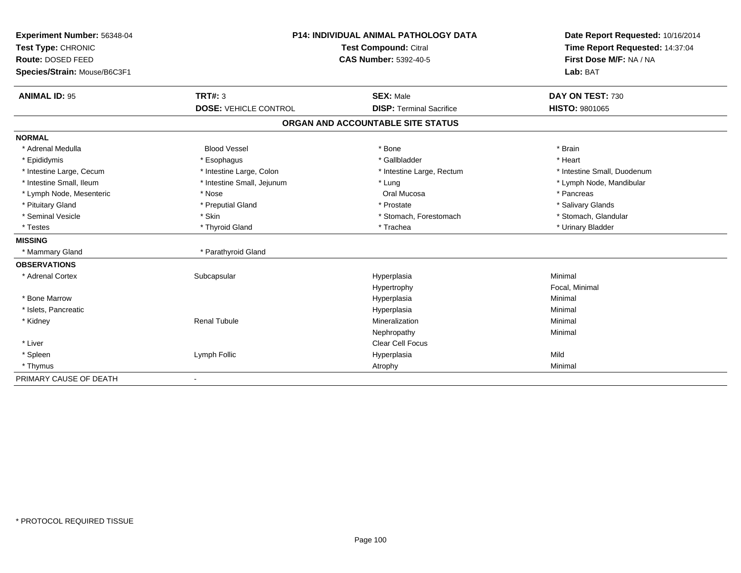| Experiment Number: 56348-04  | <b>P14: INDIVIDUAL ANIMAL PATHOLOGY DATA</b><br>Test Compound: Citral<br><b>CAS Number: 5392-40-5</b> |                                   | Date Report Requested: 10/16/2014 |
|------------------------------|-------------------------------------------------------------------------------------------------------|-----------------------------------|-----------------------------------|
| Test Type: CHRONIC           |                                                                                                       |                                   | Time Report Requested: 14:37:04   |
| Route: DOSED FEED            |                                                                                                       |                                   | First Dose M/F: NA / NA           |
| Species/Strain: Mouse/B6C3F1 |                                                                                                       |                                   | Lab: BAT                          |
| <b>ANIMAL ID: 95</b>         | <b>TRT#: 3</b>                                                                                        | <b>SEX: Male</b>                  | DAY ON TEST: 730                  |
|                              | <b>DOSE: VEHICLE CONTROL</b>                                                                          | <b>DISP: Terminal Sacrifice</b>   | <b>HISTO: 9801065</b>             |
|                              |                                                                                                       | ORGAN AND ACCOUNTABLE SITE STATUS |                                   |
| <b>NORMAL</b>                |                                                                                                       |                                   |                                   |
| * Adrenal Medulla            | <b>Blood Vessel</b>                                                                                   | * Bone                            | * Brain                           |
| * Epididymis                 | * Esophagus                                                                                           | * Gallbladder                     | * Heart                           |
| * Intestine Large, Cecum     | * Intestine Large, Colon                                                                              | * Intestine Large, Rectum         | * Intestine Small, Duodenum       |
| * Intestine Small, Ileum     | * Intestine Small, Jejunum                                                                            | * Lung                            | * Lymph Node, Mandibular          |
| * Lymph Node, Mesenteric     | * Nose                                                                                                | Oral Mucosa                       | * Pancreas                        |
| * Pituitary Gland            | * Preputial Gland                                                                                     | * Prostate                        | * Salivary Glands                 |
| * Seminal Vesicle            | * Skin                                                                                                | * Stomach, Forestomach            | * Stomach, Glandular              |
| * Testes                     | * Thyroid Gland                                                                                       | * Trachea                         | * Urinary Bladder                 |
| <b>MISSING</b>               |                                                                                                       |                                   |                                   |
| * Mammary Gland              | * Parathyroid Gland                                                                                   |                                   |                                   |
| <b>OBSERVATIONS</b>          |                                                                                                       |                                   |                                   |
| * Adrenal Cortex             | Subcapsular                                                                                           | Hyperplasia                       | Minimal                           |
|                              |                                                                                                       | Hypertrophy                       | Focal, Minimal                    |
| * Bone Marrow                |                                                                                                       | Hyperplasia                       | Minimal                           |
| * Islets, Pancreatic         |                                                                                                       | Hyperplasia                       | Minimal                           |
| * Kidney                     | <b>Renal Tubule</b>                                                                                   | Mineralization                    | Minimal                           |
|                              |                                                                                                       | Nephropathy                       | Minimal                           |
| * Liver                      |                                                                                                       | <b>Clear Cell Focus</b>           |                                   |
| * Spleen                     | Lymph Follic                                                                                          | Hyperplasia                       | Mild                              |
| * Thymus                     |                                                                                                       | Atrophy                           | Minimal                           |
| PRIMARY CAUSE OF DEATH       |                                                                                                       |                                   |                                   |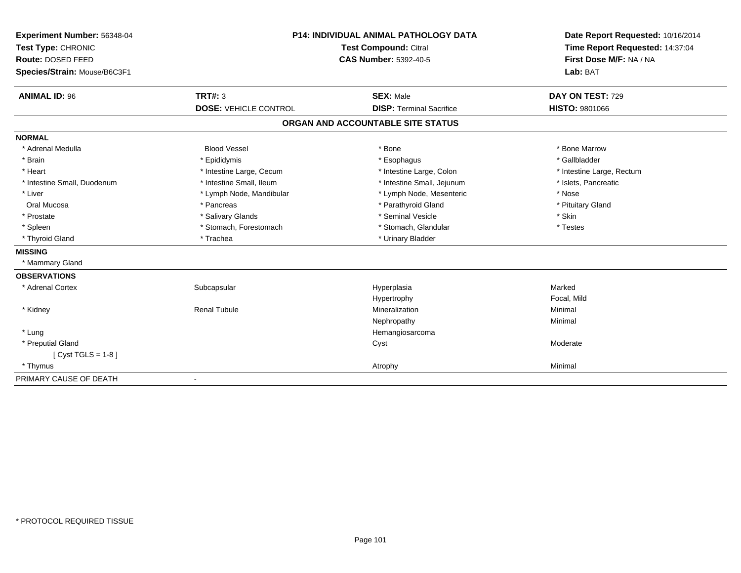| Experiment Number: 56348-04  | <b>P14: INDIVIDUAL ANIMAL PATHOLOGY DATA</b><br>Test Compound: Citral |                                   | Date Report Requested: 10/16/2014<br>Time Report Requested: 14:37:04 |
|------------------------------|-----------------------------------------------------------------------|-----------------------------------|----------------------------------------------------------------------|
| Test Type: CHRONIC           |                                                                       |                                   |                                                                      |
| Route: DOSED FEED            |                                                                       | <b>CAS Number: 5392-40-5</b>      | First Dose M/F: NA / NA                                              |
| Species/Strain: Mouse/B6C3F1 |                                                                       |                                   | Lab: BAT                                                             |
|                              |                                                                       |                                   |                                                                      |
| <b>ANIMAL ID: 96</b>         | TRT#: 3                                                               | <b>SEX: Male</b>                  | DAY ON TEST: 729                                                     |
|                              | <b>DOSE: VEHICLE CONTROL</b>                                          | <b>DISP: Terminal Sacrifice</b>   | <b>HISTO: 9801066</b>                                                |
|                              |                                                                       | ORGAN AND ACCOUNTABLE SITE STATUS |                                                                      |
| <b>NORMAL</b>                |                                                                       |                                   |                                                                      |
| * Adrenal Medulla            | <b>Blood Vessel</b>                                                   | * Bone                            | * Bone Marrow                                                        |
| * Brain                      | * Epididymis                                                          | * Esophagus                       | * Gallbladder                                                        |
| * Heart                      | * Intestine Large, Cecum                                              | * Intestine Large, Colon          | * Intestine Large, Rectum                                            |
| * Intestine Small, Duodenum  | * Intestine Small, Ileum                                              | * Intestine Small, Jejunum        | * Islets, Pancreatic                                                 |
| * Liver                      | * Lymph Node, Mandibular                                              | * Lymph Node, Mesenteric          | * Nose                                                               |
| Oral Mucosa                  | * Pancreas                                                            | * Parathyroid Gland               | * Pituitary Gland                                                    |
| * Prostate                   | * Salivary Glands                                                     | * Seminal Vesicle                 | * Skin                                                               |
| * Spleen                     | * Stomach, Forestomach                                                | * Stomach, Glandular              | * Testes                                                             |
| * Thyroid Gland              | * Trachea                                                             | * Urinary Bladder                 |                                                                      |
| <b>MISSING</b>               |                                                                       |                                   |                                                                      |
| * Mammary Gland              |                                                                       |                                   |                                                                      |
| <b>OBSERVATIONS</b>          |                                                                       |                                   |                                                                      |
| * Adrenal Cortex             | Subcapsular                                                           | Hyperplasia                       | Marked                                                               |
|                              |                                                                       | Hypertrophy                       | Focal, Mild                                                          |
| * Kidney                     | <b>Renal Tubule</b>                                                   | Mineralization                    | Minimal                                                              |
|                              |                                                                       | Nephropathy                       | Minimal                                                              |
| * Lung                       |                                                                       | Hemangiosarcoma                   |                                                                      |
| * Preputial Gland            |                                                                       | Cyst                              | Moderate                                                             |
| [Cyst TGLS = $1-8$ ]         |                                                                       |                                   |                                                                      |
| * Thymus                     |                                                                       | Atrophy                           | Minimal                                                              |
| PRIMARY CAUSE OF DEATH       | $\overline{\phantom{a}}$                                              |                                   |                                                                      |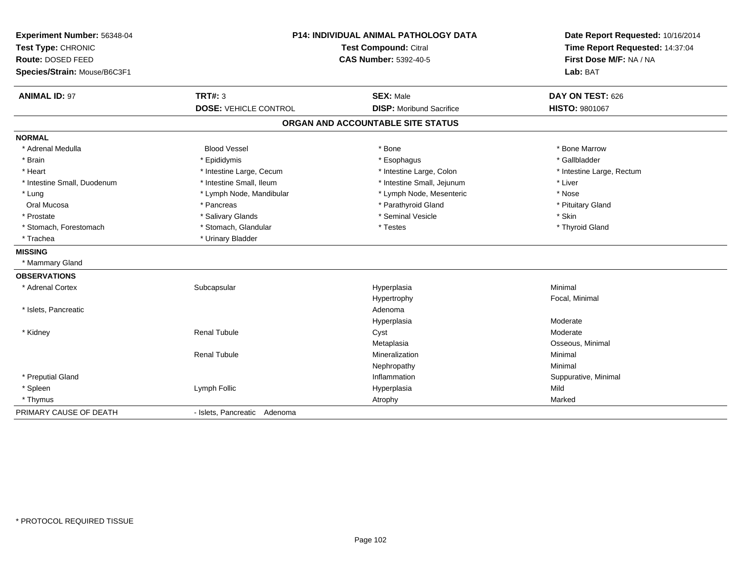| Experiment Number: 56348-04<br>Test Type: CHRONIC<br>Route: DOSED FEED<br>Species/Strain: Mouse/B6C3F1 |                                                | P14: INDIVIDUAL ANIMAL PATHOLOGY DATA<br>Test Compound: Citral<br><b>CAS Number: 5392-40-5</b> | Date Report Requested: 10/16/2014<br>Time Report Requested: 14:37:04<br>First Dose M/F: NA / NA<br>Lab: BAT |
|--------------------------------------------------------------------------------------------------------|------------------------------------------------|------------------------------------------------------------------------------------------------|-------------------------------------------------------------------------------------------------------------|
| <b>ANIMAL ID: 97</b>                                                                                   | <b>TRT#: 3</b><br><b>DOSE: VEHICLE CONTROL</b> | <b>SEX: Male</b><br><b>DISP:</b> Moribund Sacrifice                                            | DAY ON TEST: 626<br>HISTO: 9801067                                                                          |
|                                                                                                        |                                                | ORGAN AND ACCOUNTABLE SITE STATUS                                                              |                                                                                                             |
| <b>NORMAL</b>                                                                                          |                                                |                                                                                                |                                                                                                             |
| * Adrenal Medulla                                                                                      | <b>Blood Vessel</b>                            | * Bone                                                                                         | * Bone Marrow                                                                                               |
| * Brain                                                                                                | * Epididymis                                   | * Esophagus                                                                                    | * Gallbladder                                                                                               |
| * Heart                                                                                                | * Intestine Large, Cecum                       | * Intestine Large, Colon                                                                       | * Intestine Large, Rectum                                                                                   |
| * Intestine Small, Duodenum                                                                            | * Intestine Small, Ileum                       | * Intestine Small, Jejunum                                                                     | * Liver                                                                                                     |
| * Lung                                                                                                 | * Lymph Node, Mandibular                       | * Lymph Node, Mesenteric                                                                       | * Nose                                                                                                      |
| Oral Mucosa                                                                                            | * Pancreas                                     | * Parathyroid Gland                                                                            | * Pituitary Gland                                                                                           |
| * Prostate                                                                                             | * Salivary Glands                              | * Seminal Vesicle                                                                              | * Skin                                                                                                      |
| * Stomach, Forestomach                                                                                 | * Stomach, Glandular                           | * Testes                                                                                       | * Thyroid Gland                                                                                             |
| * Trachea                                                                                              | * Urinary Bladder                              |                                                                                                |                                                                                                             |
| <b>MISSING</b>                                                                                         |                                                |                                                                                                |                                                                                                             |
| * Mammary Gland                                                                                        |                                                |                                                                                                |                                                                                                             |
| <b>OBSERVATIONS</b>                                                                                    |                                                |                                                                                                |                                                                                                             |
| * Adrenal Cortex                                                                                       | Subcapsular                                    | Hyperplasia                                                                                    | Minimal                                                                                                     |
|                                                                                                        |                                                | Hypertrophy                                                                                    | Focal, Minimal                                                                                              |
| * Islets, Pancreatic                                                                                   |                                                | Adenoma                                                                                        |                                                                                                             |
|                                                                                                        |                                                | Hyperplasia                                                                                    | Moderate                                                                                                    |
| * Kidney                                                                                               | <b>Renal Tubule</b>                            | Cyst                                                                                           | Moderate                                                                                                    |
|                                                                                                        |                                                | Metaplasia                                                                                     | Osseous, Minimal                                                                                            |
|                                                                                                        | <b>Renal Tubule</b>                            | Mineralization                                                                                 | Minimal                                                                                                     |
|                                                                                                        |                                                | Nephropathy                                                                                    | Minimal                                                                                                     |
| * Preputial Gland                                                                                      |                                                | Inflammation                                                                                   | Suppurative, Minimal                                                                                        |
| * Spleen                                                                                               | Lymph Follic                                   | Hyperplasia                                                                                    | Mild                                                                                                        |
| * Thymus                                                                                               |                                                | Atrophy                                                                                        | Marked                                                                                                      |
| PRIMARY CAUSE OF DEATH                                                                                 | - Islets, Pancreatic Adenoma                   |                                                                                                |                                                                                                             |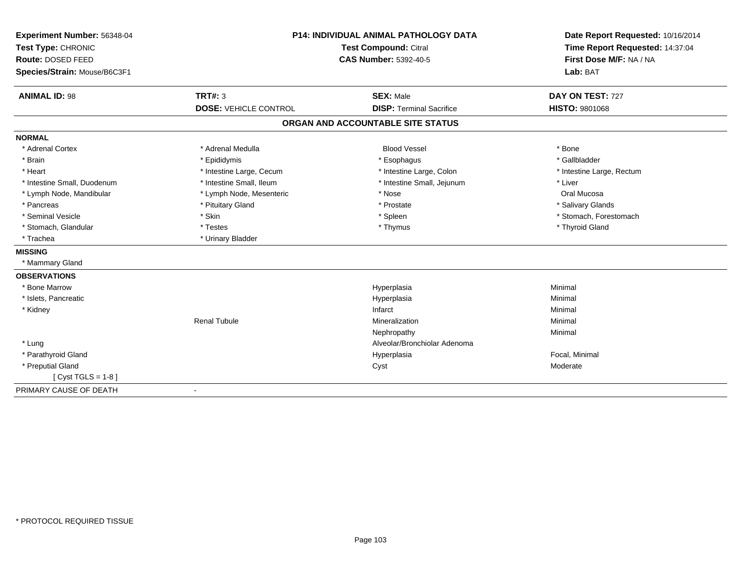| Experiment Number: 56348-04  | <b>P14: INDIVIDUAL ANIMAL PATHOLOGY DATA</b><br><b>Test Compound: Citral</b> |                                   | Date Report Requested: 10/16/2014<br>Time Report Requested: 14:37:04 |  |
|------------------------------|------------------------------------------------------------------------------|-----------------------------------|----------------------------------------------------------------------|--|
| Test Type: CHRONIC           |                                                                              |                                   |                                                                      |  |
| Route: DOSED FEED            |                                                                              | <b>CAS Number: 5392-40-5</b>      | First Dose M/F: NA / NA                                              |  |
| Species/Strain: Mouse/B6C3F1 |                                                                              |                                   | Lab: BAT                                                             |  |
| <b>ANIMAL ID: 98</b>         | TRT#: 3                                                                      | <b>SEX: Male</b>                  | DAY ON TEST: 727                                                     |  |
|                              | <b>DOSE: VEHICLE CONTROL</b>                                                 | <b>DISP: Terminal Sacrifice</b>   | <b>HISTO: 9801068</b>                                                |  |
|                              |                                                                              | ORGAN AND ACCOUNTABLE SITE STATUS |                                                                      |  |
| <b>NORMAL</b>                |                                                                              |                                   |                                                                      |  |
| * Adrenal Cortex             | * Adrenal Medulla                                                            | <b>Blood Vessel</b>               | * Bone                                                               |  |
| * Brain                      | * Epididymis                                                                 | * Esophagus                       | * Gallbladder                                                        |  |
| * Heart                      | * Intestine Large, Cecum                                                     | * Intestine Large, Colon          | * Intestine Large, Rectum                                            |  |
| * Intestine Small, Duodenum  | * Intestine Small, Ileum                                                     | * Intestine Small, Jejunum        | * Liver                                                              |  |
| * Lymph Node, Mandibular     | * Lymph Node, Mesenteric                                                     | * Nose                            | Oral Mucosa                                                          |  |
| * Pancreas                   | * Pituitary Gland                                                            | * Prostate                        | * Salivary Glands                                                    |  |
| * Seminal Vesicle            | * Skin                                                                       | * Spleen                          | * Stomach, Forestomach                                               |  |
| * Stomach, Glandular         | * Testes                                                                     | * Thymus                          | * Thyroid Gland                                                      |  |
| * Trachea                    | * Urinary Bladder                                                            |                                   |                                                                      |  |
| <b>MISSING</b>               |                                                                              |                                   |                                                                      |  |
| * Mammary Gland              |                                                                              |                                   |                                                                      |  |
| <b>OBSERVATIONS</b>          |                                                                              |                                   |                                                                      |  |
| * Bone Marrow                |                                                                              | Hyperplasia                       | Minimal                                                              |  |
| * Islets, Pancreatic         |                                                                              | Hyperplasia                       | Minimal                                                              |  |
| * Kidney                     |                                                                              | Infarct                           | Minimal                                                              |  |
|                              | <b>Renal Tubule</b>                                                          | Mineralization                    | Minimal                                                              |  |
|                              |                                                                              | Nephropathy                       | Minimal                                                              |  |
| * Lung                       |                                                                              | Alveolar/Bronchiolar Adenoma      |                                                                      |  |
| * Parathyroid Gland          |                                                                              | Hyperplasia                       | Focal, Minimal                                                       |  |
| * Preputial Gland            |                                                                              | Cyst                              | Moderate                                                             |  |
| [Cyst TGLS = $1-8$ ]         |                                                                              |                                   |                                                                      |  |
| PRIMARY CAUSE OF DEATH       | $\blacksquare$                                                               |                                   |                                                                      |  |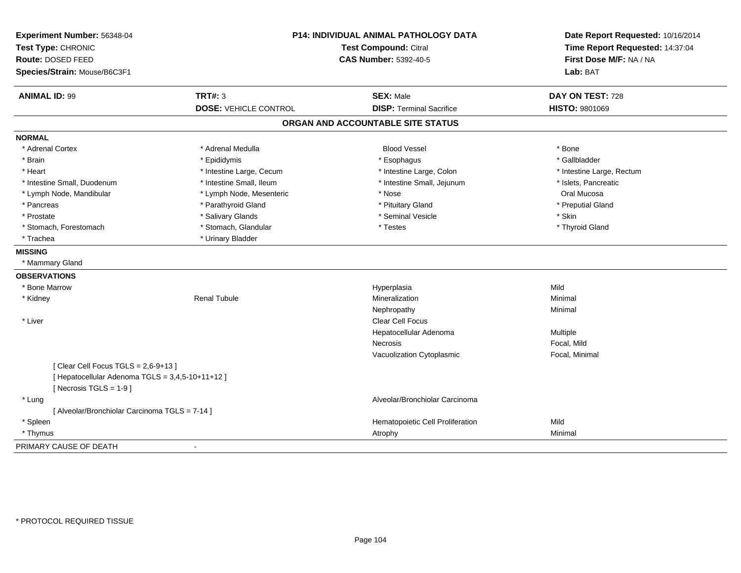| Experiment Number: 56348-04<br>Test Type: CHRONIC |                              | <b>P14: INDIVIDUAL ANIMAL PATHOLOGY DATA</b><br><b>Test Compound: Citral</b> | Date Report Requested: 10/16/2014<br>Time Report Requested: 14:37:04<br>First Dose M/F: NA / NA |
|---------------------------------------------------|------------------------------|------------------------------------------------------------------------------|-------------------------------------------------------------------------------------------------|
| Route: DOSED FEED                                 |                              | <b>CAS Number: 5392-40-5</b>                                                 |                                                                                                 |
| Species/Strain: Mouse/B6C3F1                      |                              |                                                                              | Lab: BAT                                                                                        |
| <b>ANIMAL ID: 99</b>                              | <b>TRT#: 3</b>               | <b>SEX: Male</b>                                                             | DAY ON TEST: 728                                                                                |
|                                                   | <b>DOSE: VEHICLE CONTROL</b> | <b>DISP: Terminal Sacrifice</b>                                              | <b>HISTO: 9801069</b>                                                                           |
|                                                   |                              | ORGAN AND ACCOUNTABLE SITE STATUS                                            |                                                                                                 |
| <b>NORMAL</b>                                     |                              |                                                                              |                                                                                                 |
| * Adrenal Cortex                                  | * Adrenal Medulla            | <b>Blood Vessel</b>                                                          | * Bone                                                                                          |
| * Brain                                           | * Epididymis                 | * Esophagus                                                                  | * Gallbladder                                                                                   |
| * Heart                                           | * Intestine Large, Cecum     | * Intestine Large, Colon                                                     | * Intestine Large, Rectum                                                                       |
| * Intestine Small, Duodenum                       | * Intestine Small, Ileum     | * Intestine Small, Jejunum                                                   | * Islets, Pancreatic                                                                            |
| * Lymph Node, Mandibular                          | * Lymph Node, Mesenteric     | * Nose                                                                       | Oral Mucosa                                                                                     |
| * Pancreas                                        | * Parathyroid Gland          | * Pituitary Gland                                                            | * Preputial Gland                                                                               |
| * Prostate                                        | * Salivary Glands            | * Seminal Vesicle                                                            | * Skin                                                                                          |
| * Stomach, Forestomach                            | * Stomach, Glandular         | * Testes                                                                     | * Thyroid Gland                                                                                 |
| * Trachea                                         | * Urinary Bladder            |                                                                              |                                                                                                 |
| <b>MISSING</b>                                    |                              |                                                                              |                                                                                                 |
| * Mammary Gland                                   |                              |                                                                              |                                                                                                 |
| <b>OBSERVATIONS</b>                               |                              |                                                                              |                                                                                                 |
| * Bone Marrow                                     |                              | Hyperplasia                                                                  | Mild                                                                                            |
| * Kidney                                          | <b>Renal Tubule</b>          | Mineralization                                                               | Minimal                                                                                         |
|                                                   |                              | Nephropathy                                                                  | Minimal                                                                                         |
| * Liver                                           |                              | <b>Clear Cell Focus</b>                                                      |                                                                                                 |
|                                                   |                              | Hepatocellular Adenoma                                                       | Multiple                                                                                        |
|                                                   |                              | <b>Necrosis</b>                                                              | Focal, Mild                                                                                     |
|                                                   |                              | Vacuolization Cytoplasmic                                                    | Focal, Minimal                                                                                  |
| [Clear Cell Focus TGLS = $2,6-9+13$ ]             |                              |                                                                              |                                                                                                 |
| [ Hepatocellular Adenoma TGLS = 3,4,5-10+11+12 ]  |                              |                                                                              |                                                                                                 |
| [ Necrosis $TGLS = 1-9$ ]                         |                              |                                                                              |                                                                                                 |
| * Lung                                            |                              | Alveolar/Bronchiolar Carcinoma                                               |                                                                                                 |
| [ Alveolar/Bronchiolar Carcinoma TGLS = 7-14 ]    |                              |                                                                              |                                                                                                 |
| * Spleen                                          |                              | Hematopoietic Cell Proliferation                                             | Mild                                                                                            |
| * Thymus                                          |                              | Atrophy                                                                      | Minimal                                                                                         |
| PRIMARY CAUSE OF DEATH                            |                              |                                                                              |                                                                                                 |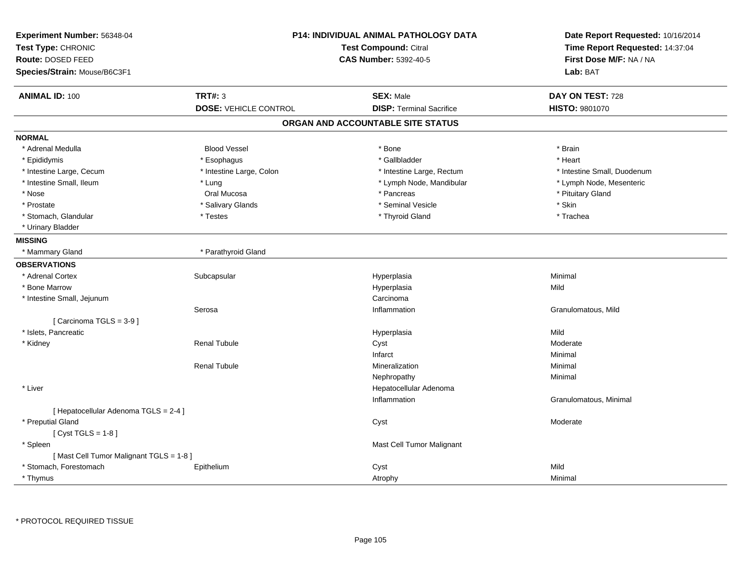| Experiment Number: 56348-04<br>Test Type: CHRONIC<br>Route: DOSED FEED<br>Species/Strain: Mouse/B6C3F1 |                              | <b>P14: INDIVIDUAL ANIMAL PATHOLOGY DATA</b><br><b>Test Compound: Citral</b><br><b>CAS Number: 5392-40-5</b> |                             |
|--------------------------------------------------------------------------------------------------------|------------------------------|--------------------------------------------------------------------------------------------------------------|-----------------------------|
| <b>ANIMAL ID: 100</b>                                                                                  | <b>TRT#: 3</b>               | <b>SEX: Male</b>                                                                                             | DAY ON TEST: 728            |
|                                                                                                        | <b>DOSE: VEHICLE CONTROL</b> | <b>DISP: Terminal Sacrifice</b>                                                                              | HISTO: 9801070              |
|                                                                                                        |                              | ORGAN AND ACCOUNTABLE SITE STATUS                                                                            |                             |
| <b>NORMAL</b>                                                                                          |                              |                                                                                                              |                             |
| * Adrenal Medulla                                                                                      | <b>Blood Vessel</b>          | * Bone                                                                                                       | * Brain                     |
| * Epididymis                                                                                           | * Esophagus                  | * Gallbladder                                                                                                | * Heart                     |
| * Intestine Large, Cecum                                                                               | * Intestine Large, Colon     | * Intestine Large, Rectum                                                                                    | * Intestine Small, Duodenum |
| * Intestine Small, Ileum                                                                               | * Lung                       | * Lymph Node, Mandibular                                                                                     | * Lymph Node, Mesenteric    |
| * Nose                                                                                                 | Oral Mucosa                  | * Pancreas                                                                                                   | * Pituitary Gland           |
| * Prostate                                                                                             | * Salivary Glands            | * Seminal Vesicle                                                                                            | * Skin                      |
| * Stomach, Glandular                                                                                   | * Testes                     | * Thyroid Gland                                                                                              | * Trachea                   |
| * Urinary Bladder                                                                                      |                              |                                                                                                              |                             |
| <b>MISSING</b>                                                                                         |                              |                                                                                                              |                             |
| * Mammary Gland                                                                                        | * Parathyroid Gland          |                                                                                                              |                             |
| <b>OBSERVATIONS</b>                                                                                    |                              |                                                                                                              |                             |
| * Adrenal Cortex                                                                                       | Subcapsular                  | Hyperplasia                                                                                                  | Minimal                     |
| * Bone Marrow                                                                                          |                              | Hyperplasia                                                                                                  | Mild                        |
| * Intestine Small, Jejunum                                                                             |                              | Carcinoma                                                                                                    |                             |
|                                                                                                        | Serosa                       | Inflammation                                                                                                 | Granulomatous, Mild         |
| [ Carcinoma TGLS = 3-9 ]                                                                               |                              |                                                                                                              |                             |
| * Islets, Pancreatic                                                                                   |                              | Hyperplasia                                                                                                  | Mild                        |
| * Kidney                                                                                               | <b>Renal Tubule</b>          | Cyst                                                                                                         | Moderate                    |
|                                                                                                        |                              | Infarct                                                                                                      | Minimal                     |
|                                                                                                        | <b>Renal Tubule</b>          | Mineralization                                                                                               | Minimal                     |
|                                                                                                        |                              | Nephropathy                                                                                                  | Minimal                     |
| * Liver                                                                                                |                              | Hepatocellular Adenoma                                                                                       |                             |
|                                                                                                        |                              | Inflammation                                                                                                 | Granulomatous, Minimal      |
| [ Hepatocellular Adenoma TGLS = 2-4 ]                                                                  |                              |                                                                                                              |                             |
| * Preputial Gland                                                                                      |                              | Cyst                                                                                                         | Moderate                    |
| [Cyst TGLS = $1-8$ ]                                                                                   |                              |                                                                                                              |                             |
| * Spleen                                                                                               |                              | Mast Cell Tumor Malignant                                                                                    |                             |
| [Mast Cell Tumor Malignant TGLS = 1-8]                                                                 |                              |                                                                                                              |                             |
| * Stomach, Forestomach                                                                                 | Epithelium                   | Cyst                                                                                                         | Mild                        |
| * Thymus                                                                                               |                              | Atrophy                                                                                                      | Minimal                     |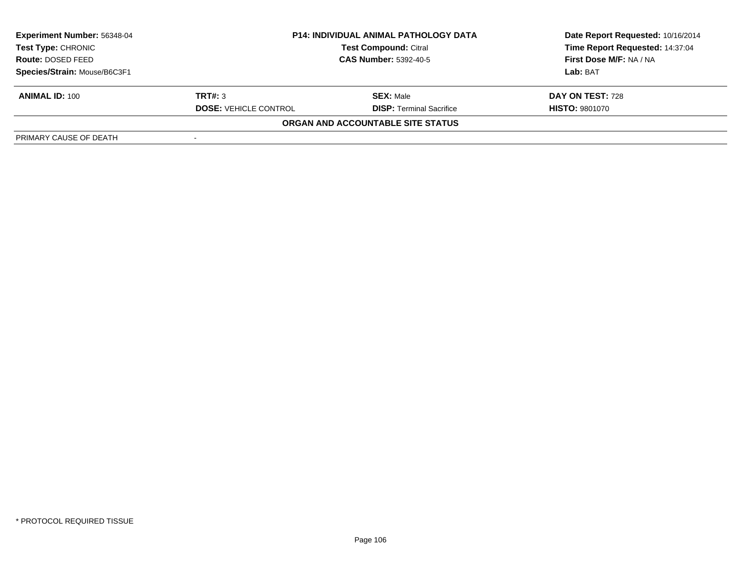| <b>Experiment Number: 56348-04</b> |                              | <b>P14: INDIVIDUAL ANIMAL PATHOLOGY DATA</b> | Date Report Requested: 10/16/2014 |  |
|------------------------------------|------------------------------|----------------------------------------------|-----------------------------------|--|
| Test Type: CHRONIC                 |                              | <b>Test Compound: Citral</b>                 | Time Report Requested: 14:37:04   |  |
| <b>Route: DOSED FEED</b>           | <b>CAS Number: 5392-40-5</b> |                                              | First Dose M/F: NA / NA           |  |
| Species/Strain: Mouse/B6C3F1       |                              |                                              | Lab: BAT                          |  |
| <b>ANIMAL ID: 100</b>              | TRT#: 3                      | <b>SEX:</b> Male                             | DAY ON TEST: 728                  |  |
|                                    | <b>DOSE: VEHICLE CONTROL</b> | <b>DISP: Terminal Sacrifice</b>              | <b>HISTO: 9801070</b>             |  |
|                                    |                              | ORGAN AND ACCOUNTABLE SITE STATUS            |                                   |  |
| PRIMARY CAUSE OF DEATH             |                              |                                              |                                   |  |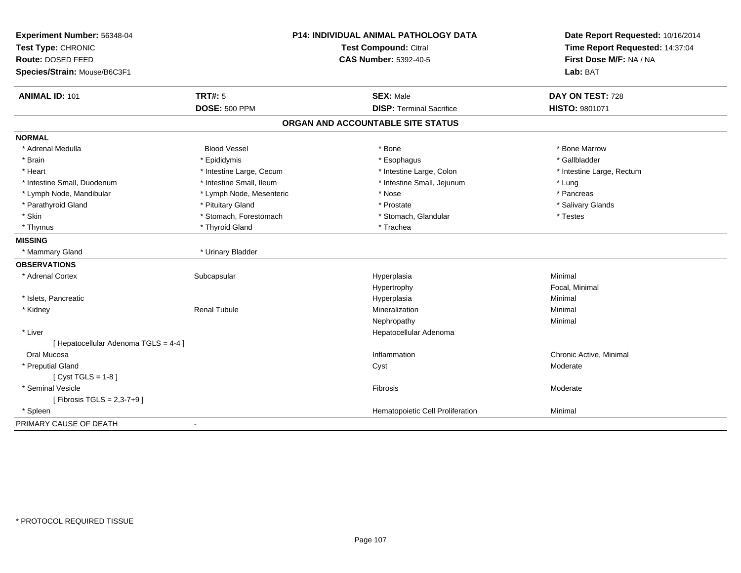| Experiment Number: 56348-04           | P14: INDIVIDUAL ANIMAL PATHOLOGY DATA |                                   | Date Report Requested: 10/16/2014 |  |
|---------------------------------------|---------------------------------------|-----------------------------------|-----------------------------------|--|
| Test Type: CHRONIC                    |                                       | <b>Test Compound: Citral</b>      | Time Report Requested: 14:37:04   |  |
| Route: DOSED FEED                     |                                       | <b>CAS Number: 5392-40-5</b>      | First Dose M/F: NA / NA           |  |
| Species/Strain: Mouse/B6C3F1          |                                       |                                   | Lab: BAT                          |  |
| <b>ANIMAL ID: 101</b>                 | <b>TRT#: 5</b>                        | <b>SEX: Male</b>                  | DAY ON TEST: 728                  |  |
|                                       | <b>DOSE: 500 PPM</b>                  | <b>DISP: Terminal Sacrifice</b>   | HISTO: 9801071                    |  |
|                                       |                                       | ORGAN AND ACCOUNTABLE SITE STATUS |                                   |  |
| <b>NORMAL</b>                         |                                       |                                   |                                   |  |
| * Adrenal Medulla                     | <b>Blood Vessel</b>                   | * Bone                            | * Bone Marrow                     |  |
| * Brain                               | * Epididymis                          | * Esophagus                       | * Gallbladder                     |  |
| * Heart                               | * Intestine Large, Cecum              | * Intestine Large, Colon          | * Intestine Large, Rectum         |  |
| * Intestine Small, Duodenum           | * Intestine Small, Ileum              | * Intestine Small, Jejunum        | * Lung                            |  |
| * Lymph Node, Mandibular              | * Lymph Node, Mesenteric              | * Nose                            | * Pancreas                        |  |
| * Parathyroid Gland                   | * Pituitary Gland                     | * Prostate                        | * Salivary Glands                 |  |
| * Skin                                | * Stomach, Forestomach                | * Stomach, Glandular              | * Testes                          |  |
| * Thymus                              | * Thyroid Gland                       | * Trachea                         |                                   |  |
| <b>MISSING</b>                        |                                       |                                   |                                   |  |
| * Mammary Gland                       | * Urinary Bladder                     |                                   |                                   |  |
| <b>OBSERVATIONS</b>                   |                                       |                                   |                                   |  |
| * Adrenal Cortex                      | Subcapsular                           | Hyperplasia                       | Minimal                           |  |
|                                       |                                       | Hypertrophy                       | Focal, Minimal                    |  |
| * Islets, Pancreatic                  |                                       | Hyperplasia                       | Minimal                           |  |
| * Kidney                              | <b>Renal Tubule</b>                   | Mineralization                    | Minimal                           |  |
|                                       |                                       | Nephropathy                       | Minimal                           |  |
| * Liver                               |                                       | Hepatocellular Adenoma            |                                   |  |
| [ Hepatocellular Adenoma TGLS = 4-4 ] |                                       |                                   |                                   |  |
| Oral Mucosa                           |                                       | Inflammation                      | Chronic Active, Minimal           |  |
| * Preputial Gland                     |                                       | Cyst                              | Moderate                          |  |
| [ $Cyst TGLS = 1-8$ ]                 |                                       |                                   |                                   |  |
| * Seminal Vesicle                     |                                       | Fibrosis                          | Moderate                          |  |
| [ Fibrosis TGLS = 2,3-7+9 ]           |                                       |                                   |                                   |  |
| * Spleen                              |                                       | Hematopoietic Cell Proliferation  | Minimal                           |  |
| PRIMARY CAUSE OF DEATH                | $\blacksquare$                        |                                   |                                   |  |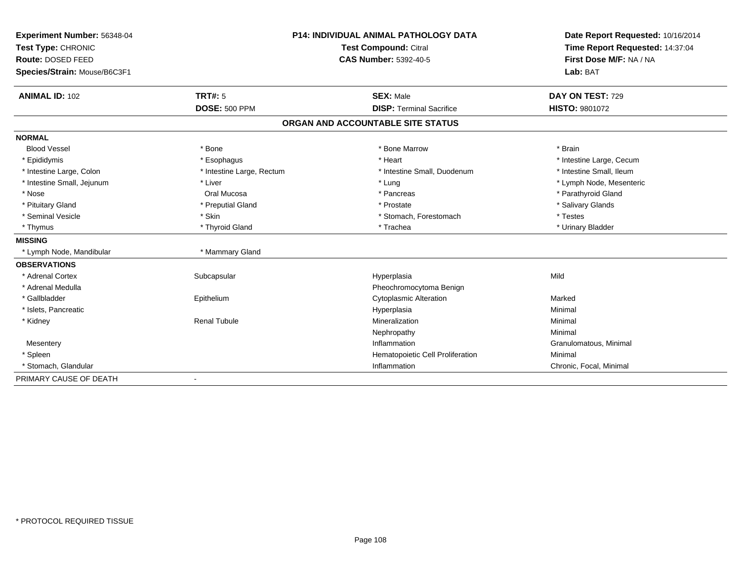| Experiment Number: 56348-04                 | <b>P14: INDIVIDUAL ANIMAL PATHOLOGY DATA</b> |                                   | Date Report Requested: 10/16/2014 |  |
|---------------------------------------------|----------------------------------------------|-----------------------------------|-----------------------------------|--|
| Test Type: CHRONIC<br>Test Compound: Citral |                                              |                                   | Time Report Requested: 14:37:04   |  |
| Route: DOSED FEED                           |                                              | <b>CAS Number: 5392-40-5</b>      | First Dose M/F: NA / NA           |  |
| Species/Strain: Mouse/B6C3F1                |                                              |                                   | Lab: BAT                          |  |
| <b>ANIMAL ID: 102</b>                       | <b>TRT#: 5</b>                               | <b>SEX: Male</b>                  | DAY ON TEST: 729                  |  |
|                                             | <b>DOSE: 500 PPM</b>                         | <b>DISP: Terminal Sacrifice</b>   | <b>HISTO: 9801072</b>             |  |
|                                             |                                              | ORGAN AND ACCOUNTABLE SITE STATUS |                                   |  |
| <b>NORMAL</b>                               |                                              |                                   |                                   |  |
| <b>Blood Vessel</b>                         | * Bone                                       | * Bone Marrow                     | * Brain                           |  |
| * Epididymis                                | * Esophagus                                  | * Heart                           | * Intestine Large, Cecum          |  |
| * Intestine Large, Colon                    | * Intestine Large, Rectum                    | * Intestine Small, Duodenum       | * Intestine Small, Ileum          |  |
| * Intestine Small, Jejunum                  | * Liver                                      | * Lung                            | * Lymph Node, Mesenteric          |  |
| * Nose                                      | Oral Mucosa                                  | * Pancreas                        | * Parathyroid Gland               |  |
| * Pituitary Gland                           | * Preputial Gland                            | * Prostate                        | * Salivary Glands                 |  |
| * Seminal Vesicle                           | * Skin                                       | * Stomach, Forestomach            | * Testes                          |  |
| * Thymus                                    | * Thyroid Gland                              | * Trachea                         | * Urinary Bladder                 |  |
| <b>MISSING</b>                              |                                              |                                   |                                   |  |
| * Lymph Node, Mandibular                    | * Mammary Gland                              |                                   |                                   |  |
| <b>OBSERVATIONS</b>                         |                                              |                                   |                                   |  |
| * Adrenal Cortex                            | Subcapsular                                  | Hyperplasia                       | Mild                              |  |
| * Adrenal Medulla                           |                                              | Pheochromocytoma Benign           |                                   |  |
| * Gallbladder                               | Epithelium                                   | <b>Cytoplasmic Alteration</b>     | Marked                            |  |
| * Islets, Pancreatic                        |                                              | Hyperplasia                       | Minimal                           |  |
| * Kidney                                    | <b>Renal Tubule</b>                          | Mineralization                    | Minimal                           |  |
|                                             |                                              | Nephropathy                       | Minimal                           |  |
| Mesentery                                   |                                              | Inflammation                      | Granulomatous, Minimal            |  |
| * Spleen                                    |                                              | Hematopoietic Cell Proliferation  | Minimal                           |  |
| * Stomach, Glandular                        |                                              | Inflammation                      | Chronic, Focal, Minimal           |  |
| PRIMARY CAUSE OF DEATH                      |                                              |                                   |                                   |  |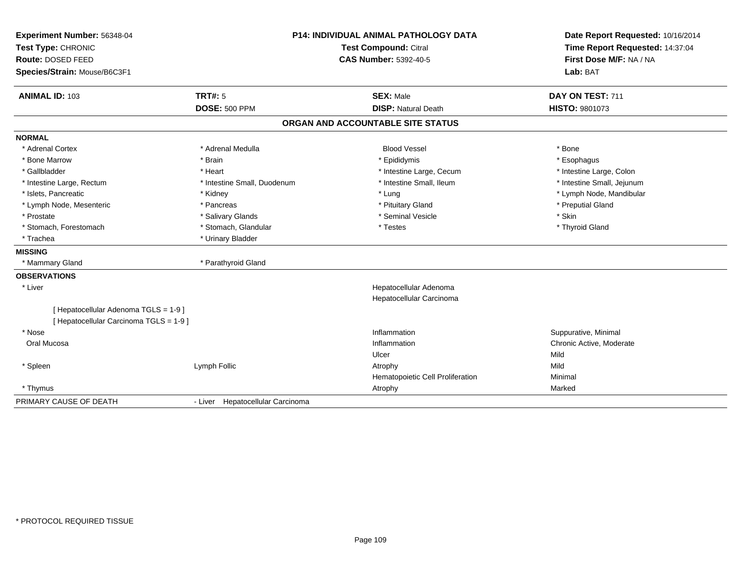| Experiment Number: 56348-04<br>Test Type: CHRONIC<br>Route: DOSED FEED<br>Species/Strain: Mouse/B6C3F1 |                                  | <b>P14: INDIVIDUAL ANIMAL PATHOLOGY DATA</b><br><b>Test Compound: Citral</b><br><b>CAS Number: 5392-40-5</b> | Date Report Requested: 10/16/2014<br>Time Report Requested: 14:37:04<br>First Dose M/F: NA / NA<br>Lab: BAT |
|--------------------------------------------------------------------------------------------------------|----------------------------------|--------------------------------------------------------------------------------------------------------------|-------------------------------------------------------------------------------------------------------------|
| <b>ANIMAL ID: 103</b>                                                                                  | TRT#: 5                          | <b>SEX: Male</b>                                                                                             | DAY ON TEST: 711                                                                                            |
|                                                                                                        | <b>DOSE: 500 PPM</b>             | <b>DISP: Natural Death</b>                                                                                   | HISTO: 9801073                                                                                              |
|                                                                                                        |                                  | ORGAN AND ACCOUNTABLE SITE STATUS                                                                            |                                                                                                             |
| <b>NORMAL</b>                                                                                          |                                  |                                                                                                              |                                                                                                             |
| * Adrenal Cortex                                                                                       | * Adrenal Medulla                | <b>Blood Vessel</b>                                                                                          | * Bone                                                                                                      |
| * Bone Marrow                                                                                          | * Brain                          | * Epididymis                                                                                                 | * Esophagus                                                                                                 |
| * Gallbladder                                                                                          | * Heart                          | * Intestine Large, Cecum                                                                                     | * Intestine Large, Colon                                                                                    |
| * Intestine Large, Rectum                                                                              | * Intestine Small. Duodenum      | * Intestine Small, Ileum                                                                                     | * Intestine Small, Jejunum                                                                                  |
| * Islets, Pancreatic                                                                                   | * Kidney                         | * Lung                                                                                                       | * Lymph Node, Mandibular                                                                                    |
| * Lymph Node, Mesenteric                                                                               | * Pancreas                       | * Pituitary Gland                                                                                            | * Preputial Gland                                                                                           |
| * Prostate                                                                                             | * Salivary Glands                | * Seminal Vesicle                                                                                            | * Skin                                                                                                      |
| * Stomach, Forestomach                                                                                 | * Stomach, Glandular             | * Testes                                                                                                     | * Thyroid Gland                                                                                             |
| * Trachea                                                                                              | * Urinary Bladder                |                                                                                                              |                                                                                                             |
| <b>MISSING</b>                                                                                         |                                  |                                                                                                              |                                                                                                             |
| * Mammary Gland                                                                                        | * Parathyroid Gland              |                                                                                                              |                                                                                                             |
| <b>OBSERVATIONS</b>                                                                                    |                                  |                                                                                                              |                                                                                                             |
| * Liver                                                                                                |                                  | Hepatocellular Adenoma                                                                                       |                                                                                                             |
|                                                                                                        |                                  | Hepatocellular Carcinoma                                                                                     |                                                                                                             |
| [Hepatocellular Adenoma TGLS = 1-9]                                                                    |                                  |                                                                                                              |                                                                                                             |
| [ Hepatocellular Carcinoma TGLS = 1-9 ]                                                                |                                  |                                                                                                              |                                                                                                             |
| * Nose                                                                                                 |                                  | Inflammation                                                                                                 | Suppurative, Minimal                                                                                        |
| Oral Mucosa                                                                                            |                                  | Inflammation                                                                                                 | Chronic Active, Moderate                                                                                    |
|                                                                                                        |                                  | Ulcer                                                                                                        | Mild                                                                                                        |
| * Spleen                                                                                               | Lymph Follic                     | Atrophy                                                                                                      | Mild                                                                                                        |
|                                                                                                        |                                  | Hematopoietic Cell Proliferation                                                                             | Minimal                                                                                                     |
| * Thymus                                                                                               |                                  | Atrophy                                                                                                      | Marked                                                                                                      |
| PRIMARY CAUSE OF DEATH                                                                                 | - Liver Hepatocellular Carcinoma |                                                                                                              |                                                                                                             |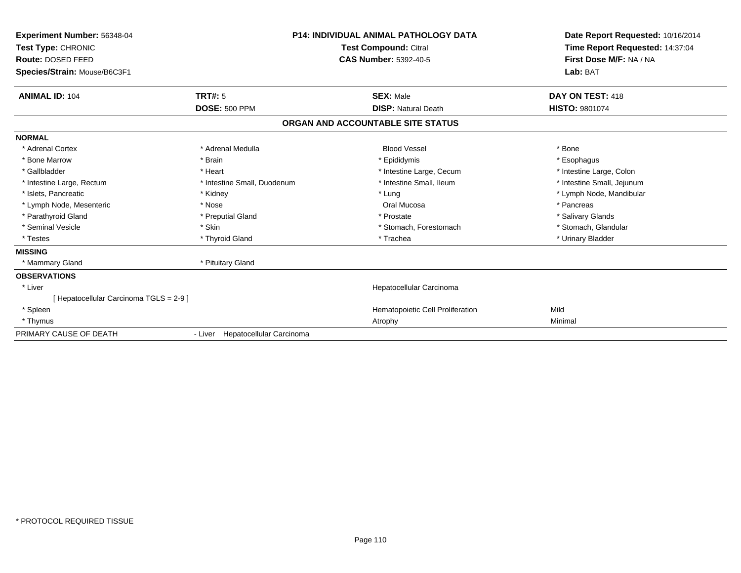| <b>Experiment Number: 56348-04</b><br>Test Type: CHRONIC<br>Route: DOSED FEED<br>Species/Strain: Mouse/B6C3F1 |                                  | <b>P14: INDIVIDUAL ANIMAL PATHOLOGY DATA</b><br><b>Test Compound: Citral</b><br><b>CAS Number: 5392-40-5</b> | Date Report Requested: 10/16/2014<br>Time Report Requested: 14:37:04<br>First Dose M/F: NA / NA<br>Lab: BAT |
|---------------------------------------------------------------------------------------------------------------|----------------------------------|--------------------------------------------------------------------------------------------------------------|-------------------------------------------------------------------------------------------------------------|
| <b>ANIMAL ID: 104</b>                                                                                         | TRT#: 5                          | <b>SEX: Male</b>                                                                                             | DAY ON TEST: 418                                                                                            |
|                                                                                                               | <b>DOSE: 500 PPM</b>             | <b>DISP: Natural Death</b>                                                                                   | HISTO: 9801074                                                                                              |
|                                                                                                               |                                  | ORGAN AND ACCOUNTABLE SITE STATUS                                                                            |                                                                                                             |
| <b>NORMAL</b>                                                                                                 |                                  |                                                                                                              |                                                                                                             |
| * Adrenal Cortex                                                                                              | * Adrenal Medulla                | <b>Blood Vessel</b>                                                                                          | * Bone                                                                                                      |
| * Bone Marrow                                                                                                 | * Brain                          | * Epididymis                                                                                                 | * Esophagus                                                                                                 |
| * Gallbladder                                                                                                 | * Heart                          | * Intestine Large, Cecum                                                                                     | * Intestine Large, Colon                                                                                    |
| * Intestine Large, Rectum                                                                                     | * Intestine Small, Duodenum      | * Intestine Small, Ileum                                                                                     | * Intestine Small, Jejunum                                                                                  |
| * Islets, Pancreatic                                                                                          | * Kidney                         | * Lung                                                                                                       | * Lymph Node, Mandibular                                                                                    |
| * Lymph Node, Mesenteric                                                                                      | * Nose                           | Oral Mucosa                                                                                                  | * Pancreas                                                                                                  |
| * Parathyroid Gland                                                                                           | * Preputial Gland                | * Prostate                                                                                                   | * Salivary Glands                                                                                           |
| * Seminal Vesicle                                                                                             | * Skin                           | * Stomach, Forestomach                                                                                       | * Stomach, Glandular                                                                                        |
| * Testes                                                                                                      | * Thyroid Gland                  | * Trachea                                                                                                    | * Urinary Bladder                                                                                           |
| <b>MISSING</b>                                                                                                |                                  |                                                                                                              |                                                                                                             |
| * Mammary Gland                                                                                               | * Pituitary Gland                |                                                                                                              |                                                                                                             |
| <b>OBSERVATIONS</b>                                                                                           |                                  |                                                                                                              |                                                                                                             |
| * Liver                                                                                                       |                                  | Hepatocellular Carcinoma                                                                                     |                                                                                                             |
| [ Hepatocellular Carcinoma TGLS = 2-9 ]                                                                       |                                  |                                                                                                              |                                                                                                             |
| * Spleen                                                                                                      |                                  | Hematopoietic Cell Proliferation                                                                             | Mild                                                                                                        |
| * Thymus                                                                                                      |                                  | Atrophy                                                                                                      | Minimal                                                                                                     |
| PRIMARY CAUSE OF DEATH                                                                                        | - Liver Hepatocellular Carcinoma |                                                                                                              |                                                                                                             |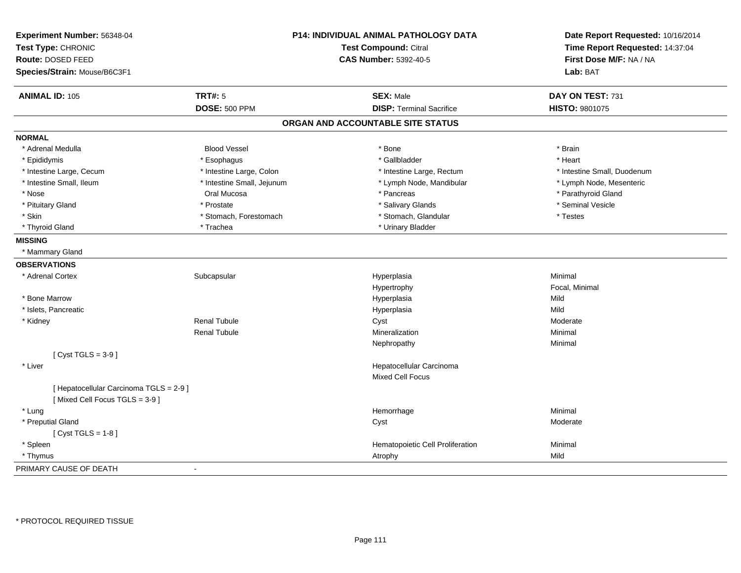| Experiment Number: 56348-04<br>Test Type: CHRONIC<br>Route: DOSED FEED<br>Species/Strain: Mouse/B6C3F1 |                            | P14: INDIVIDUAL ANIMAL PATHOLOGY DATA<br><b>Test Compound: Citral</b><br><b>CAS Number: 5392-40-5</b> | Date Report Requested: 10/16/2014<br>Time Report Requested: 14:37:04<br>First Dose M/F: NA / NA<br>Lab: BAT |
|--------------------------------------------------------------------------------------------------------|----------------------------|-------------------------------------------------------------------------------------------------------|-------------------------------------------------------------------------------------------------------------|
| <b>ANIMAL ID: 105</b>                                                                                  | <b>TRT#: 5</b>             | <b>SEX: Male</b>                                                                                      | DAY ON TEST: 731                                                                                            |
|                                                                                                        | <b>DOSE: 500 PPM</b>       | <b>DISP: Terminal Sacrifice</b>                                                                       | HISTO: 9801075                                                                                              |
|                                                                                                        |                            | ORGAN AND ACCOUNTABLE SITE STATUS                                                                     |                                                                                                             |
| <b>NORMAL</b>                                                                                          |                            |                                                                                                       |                                                                                                             |
| * Adrenal Medulla                                                                                      | <b>Blood Vessel</b>        | * Bone                                                                                                | * Brain                                                                                                     |
| * Epididymis                                                                                           | * Esophagus                | * Gallbladder                                                                                         | * Heart                                                                                                     |
| * Intestine Large, Cecum                                                                               | * Intestine Large, Colon   | * Intestine Large, Rectum                                                                             | * Intestine Small, Duodenum                                                                                 |
| * Intestine Small, Ileum                                                                               | * Intestine Small, Jejunum | * Lymph Node, Mandibular                                                                              | * Lymph Node, Mesenteric                                                                                    |
| * Nose                                                                                                 | Oral Mucosa                | * Pancreas                                                                                            | * Parathyroid Gland                                                                                         |
| * Pituitary Gland                                                                                      | * Prostate                 | * Salivary Glands                                                                                     | * Seminal Vesicle                                                                                           |
| * Skin                                                                                                 | * Stomach, Forestomach     | * Stomach, Glandular                                                                                  | * Testes                                                                                                    |
| * Thyroid Gland                                                                                        | * Trachea                  | * Urinary Bladder                                                                                     |                                                                                                             |
| <b>MISSING</b>                                                                                         |                            |                                                                                                       |                                                                                                             |
| * Mammary Gland                                                                                        |                            |                                                                                                       |                                                                                                             |
| <b>OBSERVATIONS</b>                                                                                    |                            |                                                                                                       |                                                                                                             |
| * Adrenal Cortex                                                                                       | Subcapsular                | Hyperplasia                                                                                           | Minimal                                                                                                     |
|                                                                                                        |                            | Hypertrophy                                                                                           | Focal, Minimal                                                                                              |
| * Bone Marrow                                                                                          |                            | Hyperplasia                                                                                           | Mild                                                                                                        |
| * Islets, Pancreatic                                                                                   |                            | Hyperplasia                                                                                           | Mild                                                                                                        |
| * Kidney                                                                                               | <b>Renal Tubule</b>        | Cyst                                                                                                  | Moderate                                                                                                    |
|                                                                                                        | <b>Renal Tubule</b>        | Mineralization                                                                                        | Minimal                                                                                                     |
|                                                                                                        |                            | Nephropathy                                                                                           | Minimal                                                                                                     |
| [Cyst TGLS = $3-9$ ]                                                                                   |                            |                                                                                                       |                                                                                                             |
| * Liver                                                                                                |                            | Hepatocellular Carcinoma                                                                              |                                                                                                             |
|                                                                                                        |                            | <b>Mixed Cell Focus</b>                                                                               |                                                                                                             |
| [ Hepatocellular Carcinoma TGLS = 2-9 ]<br>[Mixed Cell Focus TGLS = 3-9]                               |                            |                                                                                                       |                                                                                                             |
| * Lung                                                                                                 |                            | Hemorrhage                                                                                            | Minimal                                                                                                     |
| * Preputial Gland                                                                                      |                            | Cyst                                                                                                  | Moderate                                                                                                    |
| [ $Cyst TGLS = 1-8$ ]                                                                                  |                            |                                                                                                       |                                                                                                             |
| * Spleen                                                                                               |                            | Hematopoietic Cell Proliferation                                                                      | Minimal                                                                                                     |
| * Thymus                                                                                               |                            | Atrophy                                                                                               | Mild                                                                                                        |
| PRIMARY CAUSE OF DEATH                                                                                 | $\sim$                     |                                                                                                       |                                                                                                             |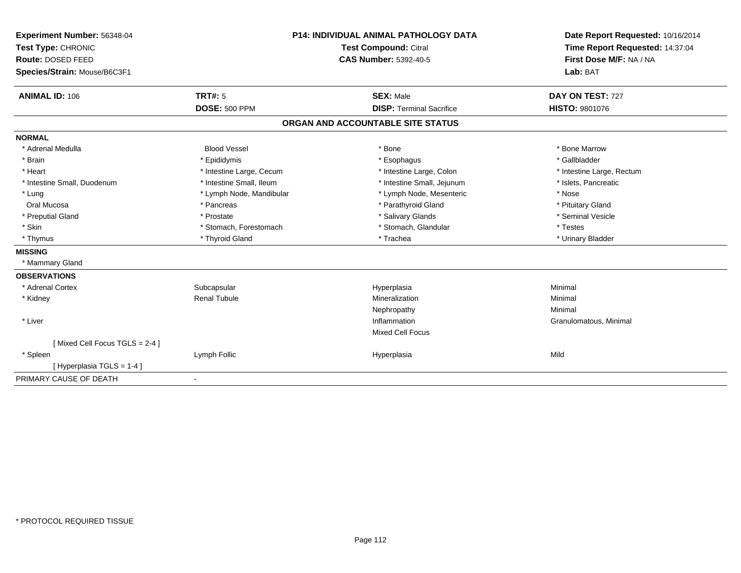| Experiment Number: 56348-04   | <b>P14: INDIVIDUAL ANIMAL PATHOLOGY DATA</b><br>Test Compound: Citral |                                   | Date Report Requested: 10/16/2014 |  |
|-------------------------------|-----------------------------------------------------------------------|-----------------------------------|-----------------------------------|--|
| Test Type: CHRONIC            |                                                                       |                                   | Time Report Requested: 14:37:04   |  |
| Route: DOSED FEED             |                                                                       | <b>CAS Number: 5392-40-5</b>      | First Dose M/F: NA / NA           |  |
| Species/Strain: Mouse/B6C3F1  |                                                                       |                                   | Lab: BAT                          |  |
| <b>ANIMAL ID: 106</b>         | <b>TRT#: 5</b>                                                        | <b>SEX: Male</b>                  | DAY ON TEST: 727                  |  |
|                               | <b>DOSE: 500 PPM</b>                                                  | <b>DISP: Terminal Sacrifice</b>   | <b>HISTO: 9801076</b>             |  |
|                               |                                                                       | ORGAN AND ACCOUNTABLE SITE STATUS |                                   |  |
| <b>NORMAL</b>                 |                                                                       |                                   |                                   |  |
| * Adrenal Medulla             | <b>Blood Vessel</b>                                                   | * Bone                            | * Bone Marrow                     |  |
| * Brain                       | * Epididymis                                                          | * Esophagus                       | * Gallbladder                     |  |
| * Heart                       | * Intestine Large, Cecum                                              | * Intestine Large, Colon          | * Intestine Large, Rectum         |  |
| * Intestine Small, Duodenum   | * Intestine Small, Ileum                                              | * Intestine Small, Jejunum        | * Islets, Pancreatic              |  |
| * Lung                        | * Lymph Node, Mandibular                                              | * Lymph Node, Mesenteric          | * Nose                            |  |
| Oral Mucosa                   | * Pancreas                                                            | * Parathyroid Gland               | * Pituitary Gland                 |  |
| * Preputial Gland             | * Prostate                                                            | * Salivary Glands                 | * Seminal Vesicle                 |  |
| * Skin                        | * Stomach, Forestomach                                                | * Stomach, Glandular              | * Testes                          |  |
| * Thymus                      | * Thyroid Gland                                                       | * Trachea                         | * Urinary Bladder                 |  |
| <b>MISSING</b>                |                                                                       |                                   |                                   |  |
| * Mammary Gland               |                                                                       |                                   |                                   |  |
| <b>OBSERVATIONS</b>           |                                                                       |                                   |                                   |  |
| * Adrenal Cortex              | Subcapsular                                                           | Hyperplasia                       | Minimal                           |  |
| * Kidney                      | <b>Renal Tubule</b>                                                   | Mineralization                    | Minimal                           |  |
|                               |                                                                       | Nephropathy                       | Minimal                           |  |
| * Liver                       |                                                                       | Inflammation                      | Granulomatous, Minimal            |  |
|                               |                                                                       | <b>Mixed Cell Focus</b>           |                                   |  |
| [Mixed Cell Focus TGLS = 2-4] |                                                                       |                                   |                                   |  |
| * Spleen                      | Lymph Follic                                                          | Hyperplasia                       | Mild                              |  |
| [Hyperplasia TGLS = 1-4]      |                                                                       |                                   |                                   |  |
| PRIMARY CAUSE OF DEATH        | ٠                                                                     |                                   |                                   |  |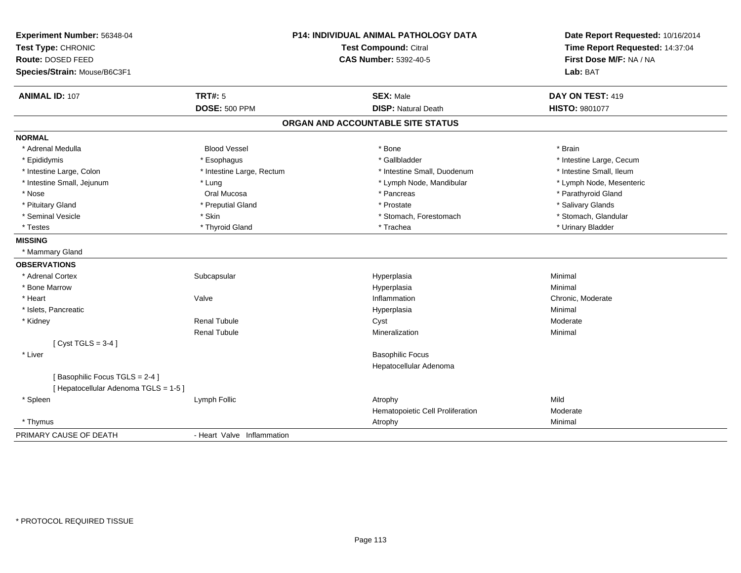| Experiment Number: 56348-04<br>Test Type: CHRONIC<br><b>Route: DOSED FEED</b><br>Species/Strain: Mouse/B6C3F1 | P14: INDIVIDUAL ANIMAL PATHOLOGY DATA<br>Test Compound: Citral<br><b>CAS Number: 5392-40-5</b> |                                                | Date Report Requested: 10/16/2014<br>Time Report Requested: 14:37:04<br>First Dose M/F: NA / NA<br>Lab: BAT |  |
|---------------------------------------------------------------------------------------------------------------|------------------------------------------------------------------------------------------------|------------------------------------------------|-------------------------------------------------------------------------------------------------------------|--|
| <b>ANIMAL ID: 107</b>                                                                                         | <b>TRT#: 5</b><br><b>DOSE: 500 PPM</b>                                                         | <b>SEX: Male</b><br><b>DISP: Natural Death</b> | DAY ON TEST: 419<br>HISTO: 9801077                                                                          |  |
|                                                                                                               |                                                                                                | ORGAN AND ACCOUNTABLE SITE STATUS              |                                                                                                             |  |
| <b>NORMAL</b>                                                                                                 |                                                                                                |                                                |                                                                                                             |  |
| * Adrenal Medulla                                                                                             | <b>Blood Vessel</b>                                                                            | * Bone                                         | * Brain                                                                                                     |  |
| * Epididymis                                                                                                  | * Esophagus                                                                                    | * Gallbladder                                  | * Intestine Large, Cecum                                                                                    |  |
| * Intestine Large, Colon                                                                                      | * Intestine Large, Rectum                                                                      | * Intestine Small, Duodenum                    | * Intestine Small, Ileum                                                                                    |  |
| * Intestine Small, Jejunum                                                                                    | * Lung                                                                                         | * Lymph Node, Mandibular                       | * Lymph Node, Mesenteric                                                                                    |  |
| * Nose                                                                                                        | Oral Mucosa                                                                                    | * Pancreas                                     | * Parathyroid Gland                                                                                         |  |
| * Pituitary Gland                                                                                             | * Preputial Gland                                                                              | * Prostate                                     | * Salivary Glands                                                                                           |  |
| * Seminal Vesicle                                                                                             | * Skin                                                                                         | * Stomach, Forestomach                         | * Stomach, Glandular                                                                                        |  |
| * Testes                                                                                                      | * Thyroid Gland                                                                                | * Trachea                                      | * Urinary Bladder                                                                                           |  |
| <b>MISSING</b>                                                                                                |                                                                                                |                                                |                                                                                                             |  |
| * Mammary Gland                                                                                               |                                                                                                |                                                |                                                                                                             |  |
| <b>OBSERVATIONS</b>                                                                                           |                                                                                                |                                                |                                                                                                             |  |
| * Adrenal Cortex                                                                                              | Subcapsular                                                                                    | Hyperplasia                                    | Minimal                                                                                                     |  |
| * Bone Marrow                                                                                                 |                                                                                                | Hyperplasia                                    | Minimal                                                                                                     |  |
| * Heart                                                                                                       | Valve                                                                                          | Inflammation                                   | Chronic, Moderate                                                                                           |  |
| * Islets, Pancreatic                                                                                          |                                                                                                | Hyperplasia                                    | Minimal                                                                                                     |  |
| * Kidney                                                                                                      | <b>Renal Tubule</b>                                                                            | Cyst                                           | Moderate                                                                                                    |  |
|                                                                                                               | <b>Renal Tubule</b>                                                                            | Mineralization                                 | Minimal                                                                                                     |  |
| [Cyst TGLS = $3-4$ ]                                                                                          |                                                                                                |                                                |                                                                                                             |  |
| * Liver                                                                                                       |                                                                                                | <b>Basophilic Focus</b>                        |                                                                                                             |  |
|                                                                                                               |                                                                                                | Hepatocellular Adenoma                         |                                                                                                             |  |
| [Basophilic Focus TGLS = 2-4]<br>[ Hepatocellular Adenoma TGLS = 1-5 ]                                        |                                                                                                |                                                |                                                                                                             |  |
| * Spleen                                                                                                      | Lymph Follic                                                                                   | Atrophy                                        | Mild                                                                                                        |  |
|                                                                                                               |                                                                                                | Hematopoietic Cell Proliferation               | Moderate                                                                                                    |  |
| * Thymus                                                                                                      |                                                                                                | Atrophy                                        | Minimal                                                                                                     |  |
| PRIMARY CAUSE OF DEATH                                                                                        | - Heart Valve Inflammation                                                                     |                                                |                                                                                                             |  |
|                                                                                                               |                                                                                                |                                                |                                                                                                             |  |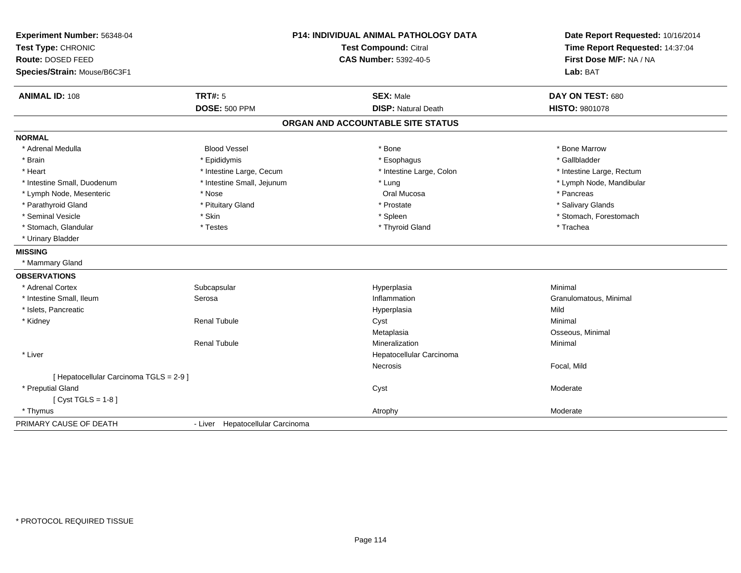| Experiment Number: 56348-04             | P14: INDIVIDUAL ANIMAL PATHOLOGY DATA |                                   | Date Report Requested: 10/16/2014 |
|-----------------------------------------|---------------------------------------|-----------------------------------|-----------------------------------|
| Test Type: CHRONIC                      |                                       | Test Compound: Citral             | Time Report Requested: 14:37:04   |
| Route: DOSED FEED                       |                                       | <b>CAS Number: 5392-40-5</b>      | First Dose M/F: NA / NA           |
| Species/Strain: Mouse/B6C3F1            |                                       |                                   | Lab: BAT                          |
| <b>ANIMAL ID: 108</b>                   | <b>TRT#: 5</b>                        | <b>SEX: Male</b>                  | DAY ON TEST: 680                  |
|                                         | <b>DOSE: 500 PPM</b>                  | <b>DISP: Natural Death</b>        | HISTO: 9801078                    |
|                                         |                                       | ORGAN AND ACCOUNTABLE SITE STATUS |                                   |
| <b>NORMAL</b>                           |                                       |                                   |                                   |
| * Adrenal Medulla                       | <b>Blood Vessel</b>                   | * Bone                            | * Bone Marrow                     |
| * Brain                                 | * Epididymis                          | * Esophagus                       | * Gallbladder                     |
| * Heart                                 | * Intestine Large, Cecum              | * Intestine Large, Colon          | * Intestine Large, Rectum         |
| * Intestine Small, Duodenum             | * Intestine Small, Jejunum            | * Lung                            | * Lymph Node, Mandibular          |
| * Lymph Node, Mesenteric                | * Nose                                | Oral Mucosa                       | * Pancreas                        |
| * Parathyroid Gland                     | * Pituitary Gland                     | * Prostate                        | * Salivary Glands                 |
| * Seminal Vesicle                       | * Skin                                | * Spleen                          | * Stomach, Forestomach            |
| * Stomach, Glandular                    | * Testes                              | * Thyroid Gland                   | * Trachea                         |
| * Urinary Bladder                       |                                       |                                   |                                   |
| <b>MISSING</b>                          |                                       |                                   |                                   |
| * Mammary Gland                         |                                       |                                   |                                   |
| <b>OBSERVATIONS</b>                     |                                       |                                   |                                   |
| * Adrenal Cortex                        | Subcapsular                           | Hyperplasia                       | Minimal                           |
| * Intestine Small, Ileum                | Serosa                                | Inflammation                      | Granulomatous, Minimal            |
| * Islets, Pancreatic                    |                                       | Hyperplasia                       | Mild                              |
| * Kidney                                | <b>Renal Tubule</b>                   | Cyst                              | Minimal                           |
|                                         |                                       | Metaplasia                        | Osseous, Minimal                  |
|                                         | <b>Renal Tubule</b>                   | Mineralization                    | Minimal                           |
| * Liver                                 |                                       | Hepatocellular Carcinoma          |                                   |
|                                         |                                       | <b>Necrosis</b>                   | Focal, Mild                       |
| [ Hepatocellular Carcinoma TGLS = 2-9 ] |                                       |                                   |                                   |
| * Preputial Gland                       |                                       | Cyst                              | Moderate                          |
| [Cyst TGLS = $1-8$ ]                    |                                       |                                   |                                   |
| * Thymus                                |                                       | Atrophy                           | Moderate                          |
| PRIMARY CAUSE OF DEATH                  | - Liver Hepatocellular Carcinoma      |                                   |                                   |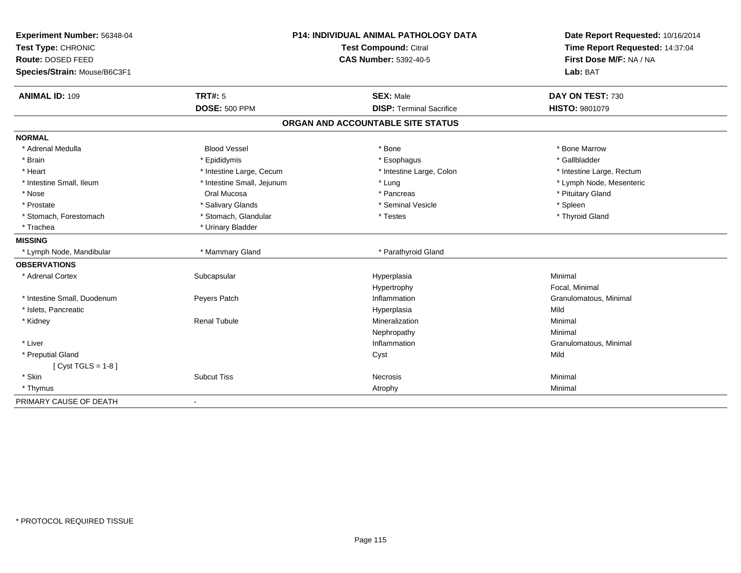| Experiment Number: 56348-04<br>Test Type: CHRONIC |                            | P14: INDIVIDUAL ANIMAL PATHOLOGY DATA<br><b>Test Compound: Citral</b> | Date Report Requested: 10/16/2014<br>Time Report Requested: 14:37:04 |
|---------------------------------------------------|----------------------------|-----------------------------------------------------------------------|----------------------------------------------------------------------|
| Route: DOSED FEED                                 |                            | <b>CAS Number: 5392-40-5</b>                                          | First Dose M/F: NA / NA                                              |
|                                                   |                            |                                                                       |                                                                      |
| Species/Strain: Mouse/B6C3F1                      |                            |                                                                       | Lab: BAT                                                             |
| <b>ANIMAL ID: 109</b>                             | TRT#: 5                    | <b>SEX: Male</b>                                                      | DAY ON TEST: 730                                                     |
|                                                   | <b>DOSE: 500 PPM</b>       | <b>DISP: Terminal Sacrifice</b>                                       | HISTO: 9801079                                                       |
|                                                   |                            | ORGAN AND ACCOUNTABLE SITE STATUS                                     |                                                                      |
| <b>NORMAL</b>                                     |                            |                                                                       |                                                                      |
| * Adrenal Medulla                                 | <b>Blood Vessel</b>        | * Bone                                                                | * Bone Marrow                                                        |
| * Brain                                           | * Epididymis               | * Esophagus                                                           | * Gallbladder                                                        |
| * Heart                                           | * Intestine Large, Cecum   | * Intestine Large, Colon                                              | * Intestine Large, Rectum                                            |
| * Intestine Small. Ileum                          | * Intestine Small, Jejunum | * Lung                                                                | * Lymph Node, Mesenteric                                             |
| * Nose                                            | Oral Mucosa                | * Pancreas                                                            | * Pituitary Gland                                                    |
| * Prostate                                        | * Salivary Glands          | * Seminal Vesicle                                                     | * Spleen                                                             |
| * Stomach, Forestomach                            | * Stomach, Glandular       | * Testes                                                              | * Thyroid Gland                                                      |
| * Trachea                                         | * Urinary Bladder          |                                                                       |                                                                      |
| <b>MISSING</b>                                    |                            |                                                                       |                                                                      |
| * Lymph Node, Mandibular                          | * Mammary Gland            | * Parathyroid Gland                                                   |                                                                      |
| <b>OBSERVATIONS</b>                               |                            |                                                                       |                                                                      |
| * Adrenal Cortex                                  | Subcapsular                | Hyperplasia                                                           | Minimal                                                              |
|                                                   |                            | Hypertrophy                                                           | Focal, Minimal                                                       |
| * Intestine Small, Duodenum                       | Peyers Patch               | Inflammation                                                          | Granulomatous, Minimal                                               |
| * Islets, Pancreatic                              |                            | Hyperplasia                                                           | Mild                                                                 |
| * Kidney                                          | <b>Renal Tubule</b>        | Mineralization                                                        | Minimal                                                              |
|                                                   |                            | Nephropathy                                                           | Minimal                                                              |
| * Liver                                           |                            | Inflammation                                                          | Granulomatous, Minimal                                               |
| * Preputial Gland                                 |                            | Cyst                                                                  | Mild                                                                 |
| [ $Cyst TGLS = 1-8$ ]                             |                            |                                                                       |                                                                      |
| * Skin                                            | <b>Subcut Tiss</b>         | Necrosis                                                              | Minimal                                                              |
| * Thymus                                          |                            | Atrophy                                                               | Minimal                                                              |
| PRIMARY CAUSE OF DEATH                            |                            |                                                                       |                                                                      |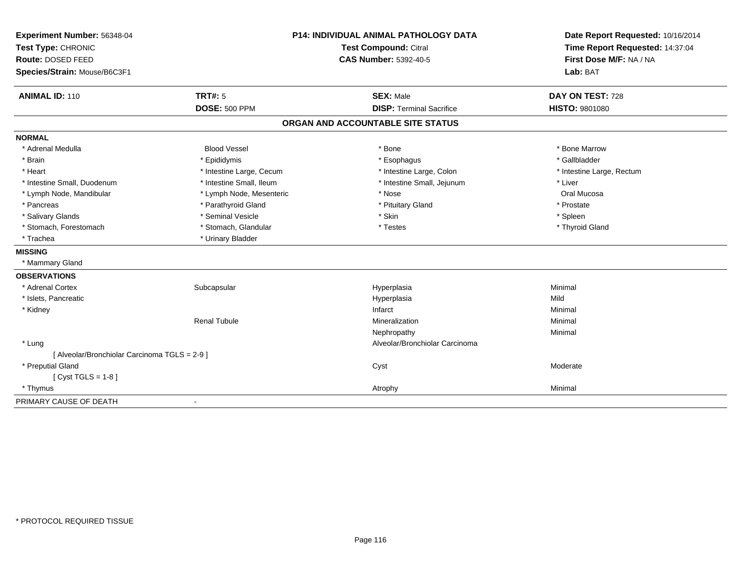| Experiment Number: 56348-04<br>Test Type: CHRONIC |                          | <b>P14: INDIVIDUAL ANIMAL PATHOLOGY DATA</b><br>Test Compound: Citral | Date Report Requested: 10/16/2014<br>Time Report Requested: 14:37:04<br>First Dose M/F: NA / NA |
|---------------------------------------------------|--------------------------|-----------------------------------------------------------------------|-------------------------------------------------------------------------------------------------|
| Route: DOSED FEED                                 |                          | <b>CAS Number: 5392-40-5</b>                                          |                                                                                                 |
| Species/Strain: Mouse/B6C3F1                      |                          |                                                                       | Lab: BAT                                                                                        |
| <b>ANIMAL ID: 110</b>                             | <b>TRT#: 5</b>           | <b>SEX: Male</b>                                                      | DAY ON TEST: 728                                                                                |
|                                                   | <b>DOSE: 500 PPM</b>     | <b>DISP: Terminal Sacrifice</b>                                       | <b>HISTO: 9801080</b>                                                                           |
|                                                   |                          | ORGAN AND ACCOUNTABLE SITE STATUS                                     |                                                                                                 |
| <b>NORMAL</b>                                     |                          |                                                                       |                                                                                                 |
| * Adrenal Medulla                                 | <b>Blood Vessel</b>      | * Bone                                                                | * Bone Marrow                                                                                   |
| * Brain                                           | * Epididymis             | * Esophagus                                                           | * Gallbladder                                                                                   |
| * Heart                                           | * Intestine Large, Cecum | * Intestine Large, Colon                                              | * Intestine Large, Rectum                                                                       |
| * Intestine Small, Duodenum                       | * Intestine Small, Ileum | * Intestine Small, Jejunum                                            | * Liver                                                                                         |
| * Lymph Node, Mandibular                          | * Lymph Node, Mesenteric | * Nose                                                                | Oral Mucosa                                                                                     |
| * Pancreas                                        | * Parathyroid Gland      | * Pituitary Gland                                                     | * Prostate                                                                                      |
| * Salivary Glands                                 | * Seminal Vesicle        | * Skin                                                                | * Spleen                                                                                        |
| * Stomach, Forestomach                            | * Stomach, Glandular     | * Testes                                                              | * Thyroid Gland                                                                                 |
| * Trachea                                         | * Urinary Bladder        |                                                                       |                                                                                                 |
| <b>MISSING</b>                                    |                          |                                                                       |                                                                                                 |
| * Mammary Gland                                   |                          |                                                                       |                                                                                                 |
| <b>OBSERVATIONS</b>                               |                          |                                                                       |                                                                                                 |
| * Adrenal Cortex                                  | Subcapsular              | Hyperplasia                                                           | Minimal                                                                                         |
| * Islets, Pancreatic                              |                          | Hyperplasia                                                           | Mild                                                                                            |
| * Kidney                                          |                          | Infarct                                                               | Minimal                                                                                         |
|                                                   | <b>Renal Tubule</b>      | Mineralization                                                        | Minimal                                                                                         |
|                                                   |                          | Nephropathy                                                           | Minimal                                                                                         |
| * Lung                                            |                          | Alveolar/Bronchiolar Carcinoma                                        |                                                                                                 |
| [ Alveolar/Bronchiolar Carcinoma TGLS = 2-9 ]     |                          |                                                                       |                                                                                                 |
| * Preputial Gland                                 |                          | Cyst                                                                  | Moderate                                                                                        |
| [ $Cyst TGLS = 1-8$ ]                             |                          |                                                                       |                                                                                                 |
| * Thymus                                          |                          | Atrophy                                                               | Minimal                                                                                         |
| PRIMARY CAUSE OF DEATH                            |                          |                                                                       |                                                                                                 |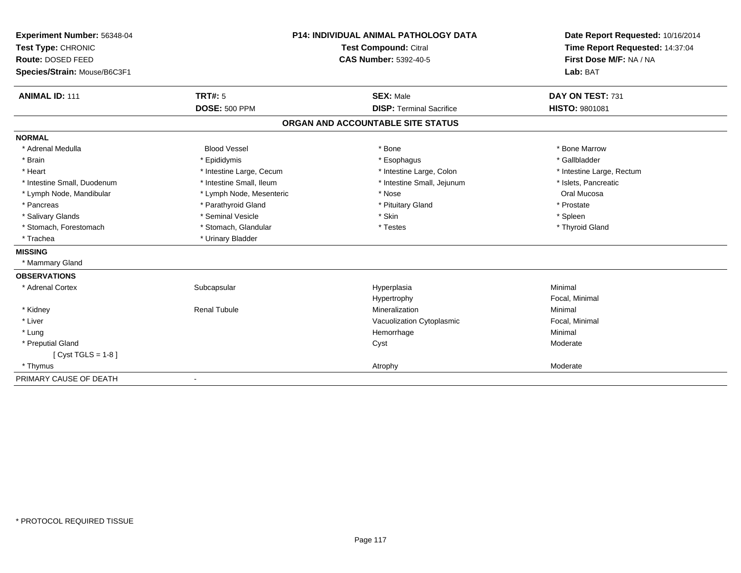| Experiment Number: 56348-04  | <b>P14: INDIVIDUAL ANIMAL PATHOLOGY DATA</b> |                                   | Date Report Requested: 10/16/2014 |
|------------------------------|----------------------------------------------|-----------------------------------|-----------------------------------|
| Test Type: CHRONIC           |                                              | Test Compound: Citral             | Time Report Requested: 14:37:04   |
| Route: DOSED FEED            |                                              | <b>CAS Number: 5392-40-5</b>      | First Dose M/F: NA / NA           |
| Species/Strain: Mouse/B6C3F1 |                                              |                                   | Lab: BAT                          |
| <b>ANIMAL ID: 111</b>        | <b>TRT#: 5</b>                               | <b>SEX: Male</b>                  | DAY ON TEST: 731                  |
|                              | <b>DOSE: 500 PPM</b>                         | <b>DISP: Terminal Sacrifice</b>   | <b>HISTO: 9801081</b>             |
|                              |                                              | ORGAN AND ACCOUNTABLE SITE STATUS |                                   |
| <b>NORMAL</b>                |                                              |                                   |                                   |
| * Adrenal Medulla            | <b>Blood Vessel</b>                          | * Bone                            | * Bone Marrow                     |
| * Brain                      | * Epididymis                                 | * Esophagus                       | * Gallbladder                     |
| * Heart                      | * Intestine Large, Cecum                     | * Intestine Large, Colon          | * Intestine Large, Rectum         |
| * Intestine Small, Duodenum  | * Intestine Small, Ileum                     | * Intestine Small, Jejunum        | * Islets, Pancreatic              |
| * Lymph Node, Mandibular     | * Lymph Node, Mesenteric                     | * Nose                            | Oral Mucosa                       |
| * Pancreas                   | * Parathyroid Gland                          | * Pituitary Gland                 | * Prostate                        |
| * Salivary Glands            | * Seminal Vesicle                            | * Skin                            | * Spleen                          |
| * Stomach, Forestomach       | * Stomach, Glandular                         | * Testes                          | * Thyroid Gland                   |
| * Trachea                    | * Urinary Bladder                            |                                   |                                   |
| <b>MISSING</b>               |                                              |                                   |                                   |
| * Mammary Gland              |                                              |                                   |                                   |
| <b>OBSERVATIONS</b>          |                                              |                                   |                                   |
| * Adrenal Cortex             | Subcapsular                                  | Hyperplasia                       | Minimal                           |
|                              |                                              | Hypertrophy                       | Focal, Minimal                    |
| * Kidney                     | <b>Renal Tubule</b>                          | Mineralization                    | Minimal                           |
| * Liver                      |                                              | Vacuolization Cytoplasmic         | Focal, Minimal                    |
| * Lung                       |                                              | Hemorrhage                        | Minimal                           |
| * Preputial Gland            |                                              | Cyst                              | Moderate                          |
| [ $Cyst TGLS = 1-8$ ]        |                                              |                                   |                                   |
| * Thymus                     |                                              | Atrophy                           | Moderate                          |
| PRIMARY CAUSE OF DEATH       |                                              |                                   |                                   |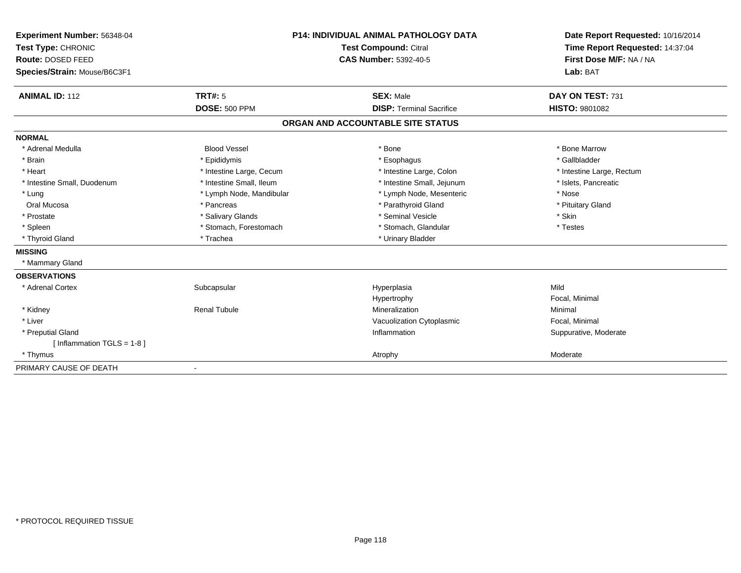| Experiment Number: 56348-04  | <b>P14: INDIVIDUAL ANIMAL PATHOLOGY DATA</b><br>Test Compound: Citral |                                   | Date Report Requested: 10/16/2014 |  |
|------------------------------|-----------------------------------------------------------------------|-----------------------------------|-----------------------------------|--|
| Test Type: CHRONIC           |                                                                       |                                   | Time Report Requested: 14:37:04   |  |
| Route: DOSED FEED            |                                                                       | <b>CAS Number: 5392-40-5</b>      | First Dose M/F: NA / NA           |  |
| Species/Strain: Mouse/B6C3F1 |                                                                       |                                   | Lab: BAT                          |  |
| <b>ANIMAL ID: 112</b>        | <b>TRT#: 5</b>                                                        | <b>SEX: Male</b>                  | DAY ON TEST: 731                  |  |
|                              | <b>DOSE: 500 PPM</b>                                                  | <b>DISP: Terminal Sacrifice</b>   | <b>HISTO: 9801082</b>             |  |
|                              |                                                                       |                                   |                                   |  |
|                              |                                                                       | ORGAN AND ACCOUNTABLE SITE STATUS |                                   |  |
| <b>NORMAL</b>                |                                                                       |                                   |                                   |  |
| * Adrenal Medulla            | <b>Blood Vessel</b>                                                   | * Bone                            | * Bone Marrow                     |  |
| * Brain                      | * Epididymis                                                          | * Esophagus                       | * Gallbladder                     |  |
| * Heart                      | * Intestine Large, Cecum                                              | * Intestine Large, Colon          | * Intestine Large, Rectum         |  |
| * Intestine Small, Duodenum  | * Intestine Small. Ileum                                              | * Intestine Small, Jejunum        | * Islets, Pancreatic              |  |
| * Lung                       | * Lymph Node, Mandibular                                              | * Lymph Node, Mesenteric          | * Nose                            |  |
| Oral Mucosa                  | * Pancreas                                                            | * Parathyroid Gland               | * Pituitary Gland                 |  |
| * Prostate                   | * Salivary Glands                                                     | * Seminal Vesicle                 | * Skin                            |  |
| * Spleen                     | * Stomach, Forestomach                                                | * Stomach, Glandular              | * Testes                          |  |
| * Thyroid Gland              | * Trachea                                                             | * Urinary Bladder                 |                                   |  |
| <b>MISSING</b>               |                                                                       |                                   |                                   |  |
| * Mammary Gland              |                                                                       |                                   |                                   |  |
| <b>OBSERVATIONS</b>          |                                                                       |                                   |                                   |  |
| * Adrenal Cortex             | Subcapsular                                                           | Hyperplasia                       | Mild                              |  |
|                              |                                                                       | Hypertrophy                       | Focal, Minimal                    |  |
| * Kidney                     | <b>Renal Tubule</b>                                                   | Mineralization                    | Minimal                           |  |
| * Liver                      |                                                                       | Vacuolization Cytoplasmic         | Focal, Minimal                    |  |
| * Preputial Gland            |                                                                       | Inflammation                      | Suppurative, Moderate             |  |
| [Inflammation TGLS = $1-8$ ] |                                                                       |                                   |                                   |  |
| * Thymus                     |                                                                       | Atrophy                           | Moderate                          |  |
| PRIMARY CAUSE OF DEATH       | $\overline{\phantom{a}}$                                              |                                   |                                   |  |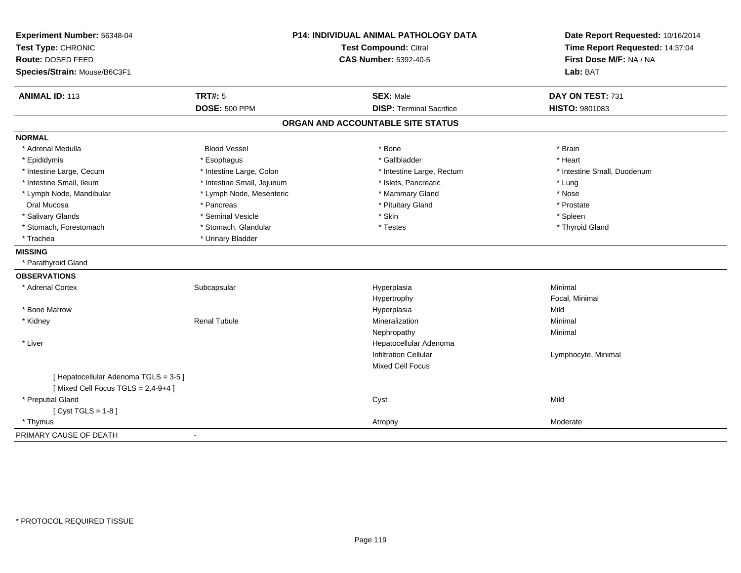| Experiment Number: 56348-04<br>Test Type: CHRONIC<br>Route: DOSED FEED<br>Species/Strain: Mouse/B6C3F1 | P14: INDIVIDUAL ANIMAL PATHOLOGY DATA<br><b>Test Compound: Citral</b><br>CAS Number: 5392-40-5 |                                   | Date Report Requested: 10/16/2014<br>Time Report Requested: 14:37:04<br>First Dose M/F: NA / NA<br>Lab: BAT |
|--------------------------------------------------------------------------------------------------------|------------------------------------------------------------------------------------------------|-----------------------------------|-------------------------------------------------------------------------------------------------------------|
| <b>ANIMAL ID: 113</b>                                                                                  | <b>TRT#: 5</b>                                                                                 | <b>SEX: Male</b>                  | DAY ON TEST: 731                                                                                            |
|                                                                                                        | <b>DOSE: 500 PPM</b>                                                                           | <b>DISP: Terminal Sacrifice</b>   | <b>HISTO: 9801083</b>                                                                                       |
|                                                                                                        |                                                                                                | ORGAN AND ACCOUNTABLE SITE STATUS |                                                                                                             |
| <b>NORMAL</b>                                                                                          |                                                                                                |                                   |                                                                                                             |
| * Adrenal Medulla                                                                                      | <b>Blood Vessel</b>                                                                            | * Bone                            | * Brain                                                                                                     |
| * Epididymis                                                                                           | * Esophagus                                                                                    | * Gallbladder                     | * Heart                                                                                                     |
| * Intestine Large, Cecum                                                                               | * Intestine Large, Colon                                                                       | * Intestine Large, Rectum         | * Intestine Small, Duodenum                                                                                 |
| * Intestine Small, Ileum                                                                               | * Intestine Small, Jejunum                                                                     | * Islets, Pancreatic              | * Lung                                                                                                      |
| * Lymph Node, Mandibular                                                                               | * Lymph Node, Mesenteric                                                                       | * Mammary Gland                   | * Nose                                                                                                      |
| Oral Mucosa                                                                                            | * Pancreas                                                                                     | * Pituitary Gland                 | * Prostate                                                                                                  |
| * Salivary Glands                                                                                      | * Seminal Vesicle                                                                              | * Skin                            | * Spleen                                                                                                    |
| * Stomach, Forestomach                                                                                 | * Stomach, Glandular                                                                           | * Testes                          | * Thyroid Gland                                                                                             |
| * Trachea                                                                                              | * Urinary Bladder                                                                              |                                   |                                                                                                             |
| <b>MISSING</b>                                                                                         |                                                                                                |                                   |                                                                                                             |
| * Parathyroid Gland                                                                                    |                                                                                                |                                   |                                                                                                             |
| <b>OBSERVATIONS</b>                                                                                    |                                                                                                |                                   |                                                                                                             |
| * Adrenal Cortex                                                                                       | Subcapsular                                                                                    | Hyperplasia                       | Minimal                                                                                                     |
|                                                                                                        |                                                                                                | Hypertrophy                       | Focal, Minimal                                                                                              |
| * Bone Marrow                                                                                          |                                                                                                | Hyperplasia                       | Mild                                                                                                        |
| * Kidney                                                                                               | <b>Renal Tubule</b>                                                                            | Mineralization                    | Minimal                                                                                                     |
|                                                                                                        |                                                                                                | Nephropathy                       | Minimal                                                                                                     |
| * Liver                                                                                                |                                                                                                | Hepatocellular Adenoma            |                                                                                                             |
|                                                                                                        |                                                                                                | <b>Infiltration Cellular</b>      | Lymphocyte, Minimal                                                                                         |
|                                                                                                        |                                                                                                | Mixed Cell Focus                  |                                                                                                             |
| [ Hepatocellular Adenoma TGLS = 3-5 ]<br>[Mixed Cell Focus TGLS = $2,4-9+4$ ]                          |                                                                                                |                                   |                                                                                                             |
| * Preputial Gland                                                                                      |                                                                                                | Cyst                              | Mild                                                                                                        |
| [ $Cyst TGLS = 1-8$ ]                                                                                  |                                                                                                |                                   |                                                                                                             |
| * Thymus                                                                                               |                                                                                                | Atrophy                           | Moderate                                                                                                    |
| PRIMARY CAUSE OF DEATH                                                                                 | $\blacksquare$                                                                                 |                                   |                                                                                                             |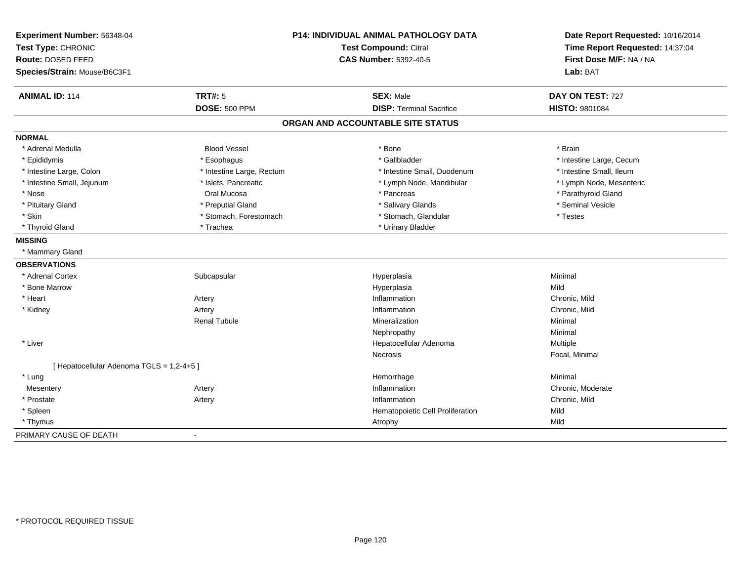| Experiment Number: 56348-04<br>Test Type: CHRONIC<br>Route: DOSED FEED<br>Species/Strain: Mouse/B6C3F1 | P14: INDIVIDUAL ANIMAL PATHOLOGY DATA<br>Test Compound: Citral<br><b>CAS Number: 5392-40-5</b> |                                   | Date Report Requested: 10/16/2014<br>Time Report Requested: 14:37:04<br>First Dose M/F: NA / NA<br>Lab: BAT |  |
|--------------------------------------------------------------------------------------------------------|------------------------------------------------------------------------------------------------|-----------------------------------|-------------------------------------------------------------------------------------------------------------|--|
| <b>ANIMAL ID: 114</b>                                                                                  | <b>TRT#: 5</b>                                                                                 | <b>SEX: Male</b>                  | DAY ON TEST: 727                                                                                            |  |
|                                                                                                        | <b>DOSE: 500 PPM</b>                                                                           | <b>DISP: Terminal Sacrifice</b>   | <b>HISTO: 9801084</b>                                                                                       |  |
|                                                                                                        |                                                                                                | ORGAN AND ACCOUNTABLE SITE STATUS |                                                                                                             |  |
| <b>NORMAL</b>                                                                                          |                                                                                                |                                   |                                                                                                             |  |
| * Adrenal Medulla                                                                                      | <b>Blood Vessel</b>                                                                            | * Bone                            | * Brain                                                                                                     |  |
| * Epididymis                                                                                           | * Esophagus                                                                                    | * Gallbladder                     | * Intestine Large, Cecum                                                                                    |  |
| * Intestine Large, Colon                                                                               | * Intestine Large, Rectum                                                                      | * Intestine Small, Duodenum       | * Intestine Small, Ileum                                                                                    |  |
| * Intestine Small, Jejunum                                                                             | * Islets, Pancreatic                                                                           | * Lymph Node, Mandibular          | * Lymph Node, Mesenteric                                                                                    |  |
| * Nose                                                                                                 | Oral Mucosa                                                                                    | * Pancreas                        | * Parathyroid Gland                                                                                         |  |
| * Pituitary Gland                                                                                      | * Preputial Gland                                                                              | * Salivary Glands                 | * Seminal Vesicle                                                                                           |  |
| * Skin                                                                                                 | * Stomach, Forestomach                                                                         | * Stomach, Glandular              | * Testes                                                                                                    |  |
| * Thyroid Gland                                                                                        | * Trachea                                                                                      | * Urinary Bladder                 |                                                                                                             |  |
| <b>MISSING</b>                                                                                         |                                                                                                |                                   |                                                                                                             |  |
| * Mammary Gland                                                                                        |                                                                                                |                                   |                                                                                                             |  |
| <b>OBSERVATIONS</b>                                                                                    |                                                                                                |                                   |                                                                                                             |  |
| * Adrenal Cortex                                                                                       | Subcapsular                                                                                    | Hyperplasia                       | Minimal                                                                                                     |  |
| * Bone Marrow                                                                                          |                                                                                                | Hyperplasia                       | Mild                                                                                                        |  |
| * Heart                                                                                                | Artery                                                                                         | Inflammation                      | Chronic, Mild                                                                                               |  |
| * Kidney                                                                                               | Artery                                                                                         | Inflammation                      | Chronic, Mild                                                                                               |  |
|                                                                                                        | <b>Renal Tubule</b>                                                                            | Mineralization                    | Minimal                                                                                                     |  |
|                                                                                                        |                                                                                                | Nephropathy                       | Minimal                                                                                                     |  |
| * Liver                                                                                                |                                                                                                | Hepatocellular Adenoma            | Multiple                                                                                                    |  |
|                                                                                                        |                                                                                                | <b>Necrosis</b>                   | Focal, Minimal                                                                                              |  |
| [ Hepatocellular Adenoma TGLS = 1,2-4+5 ]                                                              |                                                                                                |                                   |                                                                                                             |  |
| * Lung                                                                                                 |                                                                                                | Hemorrhage                        | Minimal                                                                                                     |  |
| Mesentery                                                                                              | Artery                                                                                         | Inflammation                      | Chronic, Moderate                                                                                           |  |
| * Prostate                                                                                             | Artery                                                                                         | Inflammation                      | Chronic, Mild                                                                                               |  |
| * Spleen                                                                                               |                                                                                                | Hematopoietic Cell Proliferation  | Mild                                                                                                        |  |
| * Thymus                                                                                               |                                                                                                | Atrophy                           | Mild                                                                                                        |  |
| PRIMARY CAUSE OF DEATH                                                                                 | $\blacksquare$                                                                                 |                                   |                                                                                                             |  |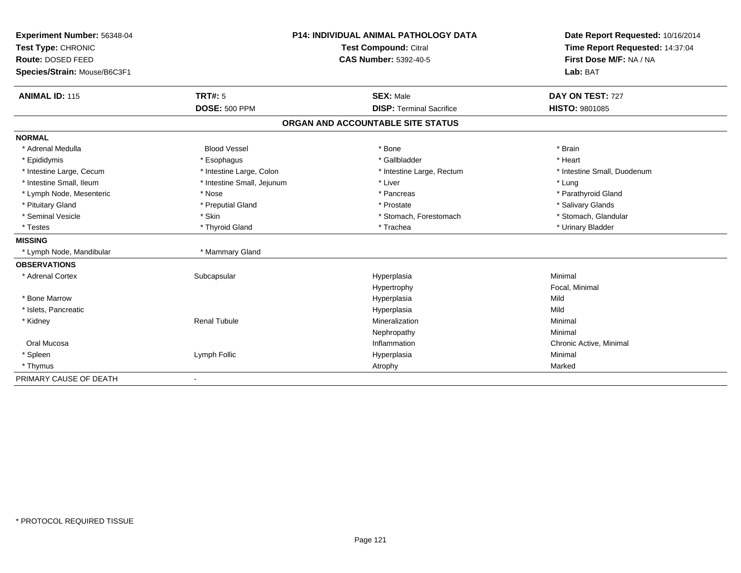| Experiment Number: 56348-04  |                              | <b>P14: INDIVIDUAL ANIMAL PATHOLOGY DATA</b> | Date Report Requested: 10/16/2014 |
|------------------------------|------------------------------|----------------------------------------------|-----------------------------------|
| Test Type: CHRONIC           |                              | Test Compound: Citral                        | Time Report Requested: 14:37:04   |
| Route: DOSED FEED            | <b>CAS Number: 5392-40-5</b> |                                              | First Dose M/F: NA / NA           |
| Species/Strain: Mouse/B6C3F1 |                              |                                              | Lab: BAT                          |
|                              |                              |                                              |                                   |
| <b>ANIMAL ID: 115</b>        | TRT#: 5                      | <b>SEX: Male</b>                             | DAY ON TEST: 727                  |
|                              | <b>DOSE: 500 PPM</b>         | <b>DISP: Terminal Sacrifice</b>              | <b>HISTO: 9801085</b>             |
|                              |                              | ORGAN AND ACCOUNTABLE SITE STATUS            |                                   |
| <b>NORMAL</b>                |                              |                                              |                                   |
| * Adrenal Medulla            | <b>Blood Vessel</b>          | * Bone                                       | * Brain                           |
| * Epididymis                 | * Esophagus                  | * Gallbladder                                | * Heart                           |
| * Intestine Large, Cecum     | * Intestine Large, Colon     | * Intestine Large, Rectum                    | * Intestine Small, Duodenum       |
| * Intestine Small, Ileum     | * Intestine Small, Jejunum   | * Liver                                      | * Lung                            |
| * Lymph Node, Mesenteric     | * Nose                       | * Pancreas                                   | * Parathyroid Gland               |
| * Pituitary Gland            | * Preputial Gland            | * Prostate                                   | * Salivary Glands                 |
| * Seminal Vesicle            | * Skin                       | * Stomach, Forestomach                       | * Stomach, Glandular              |
| * Testes                     | * Thyroid Gland              | * Trachea                                    | * Urinary Bladder                 |
| <b>MISSING</b>               |                              |                                              |                                   |
| * Lymph Node, Mandibular     | * Mammary Gland              |                                              |                                   |
| <b>OBSERVATIONS</b>          |                              |                                              |                                   |
| * Adrenal Cortex             | Subcapsular                  | Hyperplasia                                  | Minimal                           |
|                              |                              | Hypertrophy                                  | Focal, Minimal                    |
| * Bone Marrow                |                              | Hyperplasia                                  | Mild                              |
| * Islets, Pancreatic         |                              | Hyperplasia                                  | Mild                              |
| * Kidney                     | <b>Renal Tubule</b>          | Mineralization                               | Minimal                           |
|                              |                              | Nephropathy                                  | Minimal                           |
| Oral Mucosa                  |                              | Inflammation                                 | Chronic Active, Minimal           |
| * Spleen                     | Lymph Follic                 | Hyperplasia                                  | Minimal                           |
| * Thymus                     |                              | Atrophy                                      | Marked                            |
| PRIMARY CAUSE OF DEATH       |                              |                                              |                                   |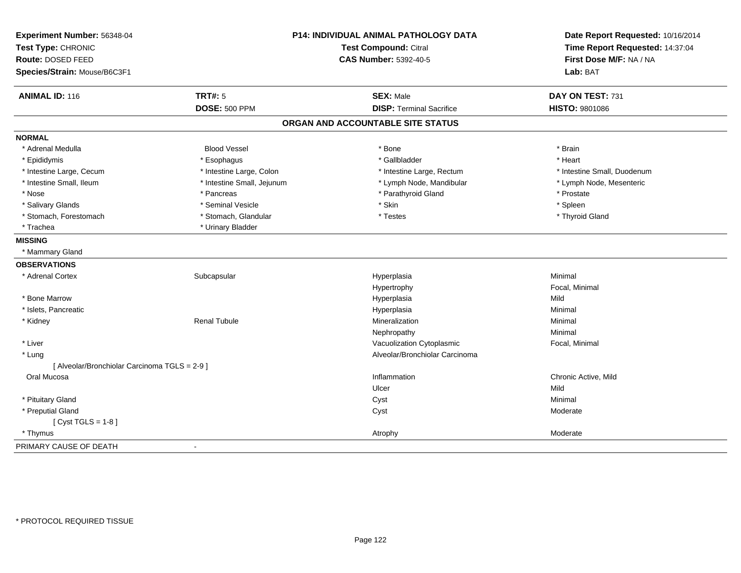| Experiment Number: 56348-04<br>Test Type: CHRONIC |                            | <b>P14: INDIVIDUAL ANIMAL PATHOLOGY DATA</b><br><b>Test Compound: Citral</b> | Date Report Requested: 10/16/2014<br>Time Report Requested: 14:37:04 |
|---------------------------------------------------|----------------------------|------------------------------------------------------------------------------|----------------------------------------------------------------------|
| Route: DOSED FEED                                 |                            | <b>CAS Number: 5392-40-5</b>                                                 | First Dose M/F: NA / NA                                              |
| Species/Strain: Mouse/B6C3F1                      |                            |                                                                              | Lab: BAT                                                             |
| <b>ANIMAL ID: 116</b>                             | <b>TRT#: 5</b>             | <b>SEX: Male</b>                                                             | DAY ON TEST: 731                                                     |
|                                                   | <b>DOSE: 500 PPM</b>       | <b>DISP: Terminal Sacrifice</b>                                              | HISTO: 9801086                                                       |
|                                                   |                            | ORGAN AND ACCOUNTABLE SITE STATUS                                            |                                                                      |
| <b>NORMAL</b>                                     |                            |                                                                              |                                                                      |
| * Adrenal Medulla                                 | <b>Blood Vessel</b>        | * Bone                                                                       | * Brain                                                              |
| * Epididymis                                      | * Esophagus                | * Gallbladder                                                                | * Heart                                                              |
| * Intestine Large, Cecum                          | * Intestine Large, Colon   | * Intestine Large, Rectum                                                    | * Intestine Small, Duodenum                                          |
| * Intestine Small, Ileum                          | * Intestine Small, Jejunum | * Lymph Node, Mandibular                                                     | * Lymph Node, Mesenteric                                             |
| * Nose                                            | * Pancreas                 | * Parathyroid Gland                                                          | * Prostate                                                           |
| * Salivary Glands                                 | * Seminal Vesicle          | * Skin                                                                       | * Spleen                                                             |
| * Stomach, Forestomach                            | * Stomach, Glandular       | * Testes                                                                     | * Thyroid Gland                                                      |
| * Trachea                                         | * Urinary Bladder          |                                                                              |                                                                      |
| <b>MISSING</b>                                    |                            |                                                                              |                                                                      |
| * Mammary Gland                                   |                            |                                                                              |                                                                      |
| <b>OBSERVATIONS</b>                               |                            |                                                                              |                                                                      |
| * Adrenal Cortex                                  | Subcapsular                | Hyperplasia                                                                  | Minimal                                                              |
|                                                   |                            | Hypertrophy                                                                  | Focal, Minimal                                                       |
| * Bone Marrow                                     |                            | Hyperplasia                                                                  | Mild                                                                 |
| * Islets, Pancreatic                              |                            | Hyperplasia                                                                  | Minimal                                                              |
| * Kidney                                          | <b>Renal Tubule</b>        | Mineralization                                                               | Minimal                                                              |
|                                                   |                            | Nephropathy                                                                  | Minimal                                                              |
| * Liver                                           |                            | Vacuolization Cytoplasmic                                                    | Focal, Minimal                                                       |
| * Lung                                            |                            | Alveolar/Bronchiolar Carcinoma                                               |                                                                      |
| [ Alveolar/Bronchiolar Carcinoma TGLS = 2-9 ]     |                            |                                                                              |                                                                      |
| Oral Mucosa                                       |                            | Inflammation                                                                 | Chronic Active, Mild                                                 |
|                                                   |                            | Ulcer                                                                        | Mild                                                                 |
| * Pituitary Gland                                 |                            | Cyst                                                                         | Minimal                                                              |
| * Preputial Gland                                 |                            | Cyst                                                                         | Moderate                                                             |
| [ $Cyst TGLS = 1-8$ ]                             |                            |                                                                              |                                                                      |
| * Thymus                                          |                            | Atrophy                                                                      | Moderate                                                             |
| PRIMARY CAUSE OF DEATH                            |                            |                                                                              |                                                                      |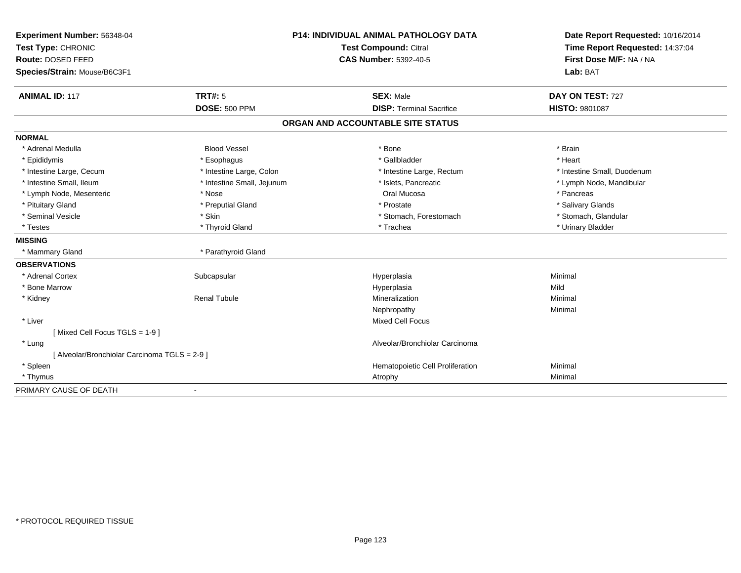| Experiment Number: 56348-04                   | <b>P14: INDIVIDUAL ANIMAL PATHOLOGY DATA</b> |                                   | Date Report Requested: 10/16/2014 |
|-----------------------------------------------|----------------------------------------------|-----------------------------------|-----------------------------------|
| Test Type: CHRONIC                            |                                              | <b>Test Compound: Citral</b>      | Time Report Requested: 14:37:04   |
| Route: DOSED FEED                             |                                              | <b>CAS Number: 5392-40-5</b>      | First Dose M/F: NA / NA           |
| Species/Strain: Mouse/B6C3F1                  |                                              |                                   | Lab: BAT                          |
| <b>ANIMAL ID: 117</b>                         | <b>TRT#: 5</b>                               | <b>SEX: Male</b>                  | DAY ON TEST: 727                  |
|                                               | <b>DOSE: 500 PPM</b>                         | <b>DISP: Terminal Sacrifice</b>   | <b>HISTO: 9801087</b>             |
|                                               |                                              | ORGAN AND ACCOUNTABLE SITE STATUS |                                   |
| <b>NORMAL</b>                                 |                                              |                                   |                                   |
| * Adrenal Medulla                             | <b>Blood Vessel</b>                          | * Bone                            | * Brain                           |
| * Epididymis                                  | * Esophagus                                  | * Gallbladder                     | * Heart                           |
| * Intestine Large, Cecum                      | * Intestine Large, Colon                     | * Intestine Large, Rectum         | * Intestine Small, Duodenum       |
| * Intestine Small, Ileum                      | * Intestine Small, Jejunum                   | * Islets, Pancreatic              | * Lymph Node, Mandibular          |
| * Lymph Node, Mesenteric                      | * Nose                                       | Oral Mucosa                       | * Pancreas                        |
| * Pituitary Gland                             | * Preputial Gland                            | * Prostate                        | * Salivary Glands                 |
| * Seminal Vesicle                             | * Skin                                       | * Stomach, Forestomach            | * Stomach, Glandular              |
| * Testes                                      | * Thyroid Gland                              | * Trachea                         | * Urinary Bladder                 |
| <b>MISSING</b>                                |                                              |                                   |                                   |
| * Mammary Gland                               | * Parathyroid Gland                          |                                   |                                   |
| <b>OBSERVATIONS</b>                           |                                              |                                   |                                   |
| * Adrenal Cortex                              | Subcapsular                                  | Hyperplasia                       | Minimal                           |
| * Bone Marrow                                 |                                              | Hyperplasia                       | Mild                              |
| * Kidney                                      | <b>Renal Tubule</b>                          | Mineralization                    | Minimal                           |
|                                               |                                              | Nephropathy                       | Minimal                           |
| * Liver                                       |                                              | <b>Mixed Cell Focus</b>           |                                   |
| [Mixed Cell Focus TGLS = 1-9]                 |                                              |                                   |                                   |
| * Lung                                        |                                              | Alveolar/Bronchiolar Carcinoma    |                                   |
| [ Alveolar/Bronchiolar Carcinoma TGLS = 2-9 ] |                                              |                                   |                                   |
| * Spleen                                      |                                              | Hematopoietic Cell Proliferation  | Minimal                           |
| * Thymus                                      |                                              | Atrophy                           | Minimal                           |
| PRIMARY CAUSE OF DEATH                        | $\blacksquare$                               |                                   |                                   |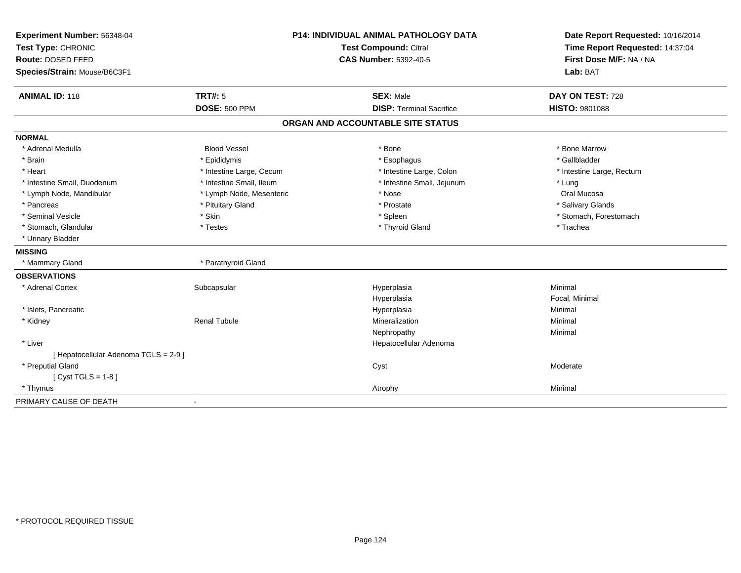| Experiment Number: 56348-04<br>Test Type: CHRONIC        |                          | <b>P14: INDIVIDUAL ANIMAL PATHOLOGY DATA</b><br>Test Compound: Citral | Date Report Requested: 10/16/2014<br>Time Report Requested: 14:37:04 |
|----------------------------------------------------------|--------------------------|-----------------------------------------------------------------------|----------------------------------------------------------------------|
| <b>Route: DOSED FEED</b><br>Species/Strain: Mouse/B6C3F1 |                          | <b>CAS Number: 5392-40-5</b>                                          | First Dose M/F: NA / NA<br>Lab: BAT                                  |
| <b>ANIMAL ID: 118</b>                                    | TRT#: 5                  | <b>SEX: Male</b>                                                      | DAY ON TEST: 728                                                     |
|                                                          | <b>DOSE: 500 PPM</b>     | <b>DISP: Terminal Sacrifice</b>                                       | HISTO: 9801088                                                       |
|                                                          |                          | ORGAN AND ACCOUNTABLE SITE STATUS                                     |                                                                      |
| <b>NORMAL</b>                                            |                          |                                                                       |                                                                      |
| * Adrenal Medulla                                        | <b>Blood Vessel</b>      | * Bone                                                                | * Bone Marrow                                                        |
| * Brain                                                  | * Epididymis             | * Esophagus                                                           | * Gallbladder                                                        |
| * Heart                                                  | * Intestine Large, Cecum | * Intestine Large, Colon                                              | * Intestine Large, Rectum                                            |
| * Intestine Small, Duodenum                              | * Intestine Small, Ileum | * Intestine Small, Jejunum                                            | * Lung                                                               |
| * Lymph Node, Mandibular                                 | * Lymph Node, Mesenteric | * Nose                                                                | Oral Mucosa                                                          |
| * Pancreas                                               | * Pituitary Gland        | * Prostate                                                            | * Salivary Glands                                                    |
| * Seminal Vesicle                                        | * Skin                   | * Spleen                                                              | * Stomach, Forestomach                                               |
| * Stomach, Glandular                                     | * Testes                 | * Thyroid Gland                                                       | * Trachea                                                            |
| * Urinary Bladder                                        |                          |                                                                       |                                                                      |
| <b>MISSING</b>                                           |                          |                                                                       |                                                                      |
| * Mammary Gland                                          | * Parathyroid Gland      |                                                                       |                                                                      |
| <b>OBSERVATIONS</b>                                      |                          |                                                                       |                                                                      |
| * Adrenal Cortex                                         | Subcapsular              | Hyperplasia                                                           | Minimal                                                              |
|                                                          |                          | Hyperplasia                                                           | Focal, Minimal                                                       |
| * Islets, Pancreatic                                     |                          | Hyperplasia                                                           | Minimal                                                              |
| * Kidney                                                 | <b>Renal Tubule</b>      | Mineralization                                                        | Minimal                                                              |
|                                                          |                          | Nephropathy                                                           | Minimal                                                              |
| * Liver                                                  |                          | Hepatocellular Adenoma                                                |                                                                      |
| [ Hepatocellular Adenoma TGLS = 2-9 ]                    |                          |                                                                       |                                                                      |
| * Preputial Gland                                        |                          | Cyst                                                                  | Moderate                                                             |
| [ $Cyst TGLS = 1-8$ ]                                    |                          |                                                                       |                                                                      |
| * Thymus                                                 |                          | Atrophy                                                               | Minimal                                                              |
| PRIMARY CAUSE OF DEATH                                   |                          |                                                                       |                                                                      |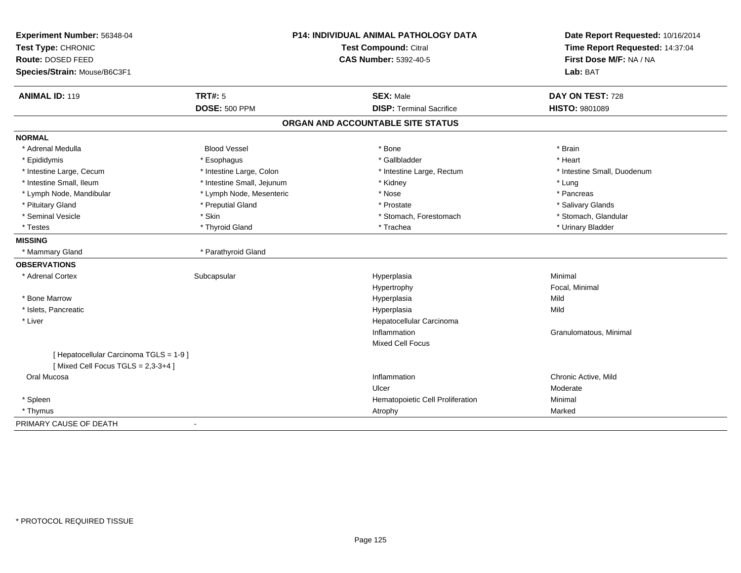| Experiment Number: 56348-04             | <b>P14: INDIVIDUAL ANIMAL PATHOLOGY DATA</b><br>Test Compound: Citral |                                   | Date Report Requested: 10/16/2014 |
|-----------------------------------------|-----------------------------------------------------------------------|-----------------------------------|-----------------------------------|
| Test Type: CHRONIC                      |                                                                       |                                   | Time Report Requested: 14:37:04   |
| Route: DOSED FEED                       |                                                                       | <b>CAS Number: 5392-40-5</b>      | First Dose M/F: NA / NA           |
| Species/Strain: Mouse/B6C3F1            |                                                                       |                                   | Lab: BAT                          |
| <b>ANIMAL ID: 119</b>                   | <b>TRT#: 5</b>                                                        | <b>SEX: Male</b>                  | DAY ON TEST: 728                  |
|                                         | <b>DOSE: 500 PPM</b>                                                  | <b>DISP: Terminal Sacrifice</b>   | HISTO: 9801089                    |
|                                         |                                                                       | ORGAN AND ACCOUNTABLE SITE STATUS |                                   |
| <b>NORMAL</b>                           |                                                                       |                                   |                                   |
| * Adrenal Medulla                       | <b>Blood Vessel</b>                                                   | * Bone                            | * Brain                           |
| * Epididymis                            | * Esophagus                                                           | * Gallbladder                     | * Heart                           |
| * Intestine Large, Cecum                | * Intestine Large, Colon                                              | * Intestine Large, Rectum         | * Intestine Small, Duodenum       |
| * Intestine Small, Ileum                | * Intestine Small, Jejunum                                            | * Kidney                          | * Lung                            |
| * Lymph Node, Mandibular                | * Lymph Node, Mesenteric                                              | * Nose                            | * Pancreas                        |
| * Pituitary Gland                       | * Preputial Gland                                                     | * Prostate                        | * Salivary Glands                 |
| * Seminal Vesicle                       | * Skin                                                                | * Stomach, Forestomach            | * Stomach, Glandular              |
| * Testes                                | * Thyroid Gland                                                       | * Trachea                         | * Urinary Bladder                 |
| <b>MISSING</b>                          |                                                                       |                                   |                                   |
| * Mammary Gland                         | * Parathyroid Gland                                                   |                                   |                                   |
| <b>OBSERVATIONS</b>                     |                                                                       |                                   |                                   |
| * Adrenal Cortex                        | Subcapsular                                                           | Hyperplasia                       | Minimal                           |
|                                         |                                                                       | Hypertrophy                       | Focal, Minimal                    |
| * Bone Marrow                           |                                                                       | Hyperplasia                       | Mild                              |
| * Islets, Pancreatic                    |                                                                       | Hyperplasia                       | Mild                              |
| * Liver                                 |                                                                       | Hepatocellular Carcinoma          |                                   |
|                                         |                                                                       | Inflammation                      | Granulomatous, Minimal            |
|                                         |                                                                       | <b>Mixed Cell Focus</b>           |                                   |
| [ Hepatocellular Carcinoma TGLS = 1-9 ] |                                                                       |                                   |                                   |
| [Mixed Cell Focus TGLS = $2,3-3+4$ ]    |                                                                       |                                   |                                   |
| Oral Mucosa                             |                                                                       | Inflammation                      | Chronic Active, Mild              |
|                                         |                                                                       | Ulcer                             | Moderate                          |
| * Spleen                                |                                                                       | Hematopoietic Cell Proliferation  | Minimal                           |
| * Thymus                                |                                                                       | Atrophy                           | Marked                            |
| PRIMARY CAUSE OF DEATH                  | $\overline{\phantom{a}}$                                              |                                   |                                   |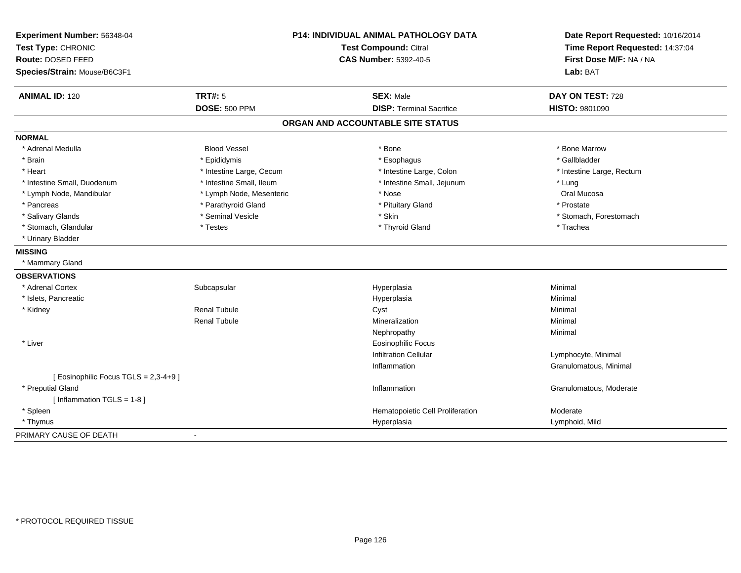| Experiment Number: 56348-04<br>Test Type: CHRONIC<br>Route: DOSED FEED<br>Species/Strain: Mouse/B6C3F1 |                          | P14: INDIVIDUAL ANIMAL PATHOLOGY DATA<br><b>Test Compound: Citral</b><br><b>CAS Number: 5392-40-5</b> | Date Report Requested: 10/16/2014<br>Time Report Requested: 14:37:04<br>First Dose M/F: NA / NA<br>Lab: BAT |
|--------------------------------------------------------------------------------------------------------|--------------------------|-------------------------------------------------------------------------------------------------------|-------------------------------------------------------------------------------------------------------------|
| <b>ANIMAL ID: 120</b>                                                                                  | <b>TRT#: 5</b>           | <b>SEX: Male</b>                                                                                      | DAY ON TEST: 728                                                                                            |
|                                                                                                        | <b>DOSE: 500 PPM</b>     | <b>DISP: Terminal Sacrifice</b>                                                                       | HISTO: 9801090                                                                                              |
|                                                                                                        |                          | ORGAN AND ACCOUNTABLE SITE STATUS                                                                     |                                                                                                             |
| <b>NORMAL</b>                                                                                          |                          |                                                                                                       |                                                                                                             |
| * Adrenal Medulla                                                                                      | <b>Blood Vessel</b>      | * Bone                                                                                                | * Bone Marrow                                                                                               |
| * Brain                                                                                                | * Epididymis             | * Esophagus                                                                                           | * Gallbladder                                                                                               |
| * Heart                                                                                                | * Intestine Large, Cecum | * Intestine Large, Colon                                                                              | * Intestine Large, Rectum                                                                                   |
| * Intestine Small, Duodenum                                                                            | * Intestine Small, Ileum | * Intestine Small, Jejunum                                                                            | * Lung                                                                                                      |
| * Lymph Node, Mandibular                                                                               | * Lymph Node, Mesenteric | * Nose                                                                                                | Oral Mucosa                                                                                                 |
| * Pancreas                                                                                             | * Parathyroid Gland      | * Pituitary Gland                                                                                     | * Prostate                                                                                                  |
| * Salivary Glands                                                                                      | * Seminal Vesicle        | * Skin                                                                                                | * Stomach, Forestomach                                                                                      |
| * Stomach, Glandular                                                                                   | * Testes                 | * Thyroid Gland                                                                                       | * Trachea                                                                                                   |
| * Urinary Bladder                                                                                      |                          |                                                                                                       |                                                                                                             |
| <b>MISSING</b>                                                                                         |                          |                                                                                                       |                                                                                                             |
| * Mammary Gland                                                                                        |                          |                                                                                                       |                                                                                                             |
| <b>OBSERVATIONS</b>                                                                                    |                          |                                                                                                       |                                                                                                             |
| * Adrenal Cortex                                                                                       | Subcapsular              | Hyperplasia                                                                                           | Minimal                                                                                                     |
| * Islets, Pancreatic                                                                                   |                          | Hyperplasia                                                                                           | Minimal                                                                                                     |
| * Kidney                                                                                               | <b>Renal Tubule</b>      | Cyst                                                                                                  | Minimal                                                                                                     |
|                                                                                                        | Renal Tubule             | Mineralization                                                                                        | Minimal                                                                                                     |
|                                                                                                        |                          | Nephropathy                                                                                           | Minimal                                                                                                     |
| * Liver                                                                                                |                          | <b>Eosinophilic Focus</b>                                                                             |                                                                                                             |
|                                                                                                        |                          | <b>Infiltration Cellular</b>                                                                          | Lymphocyte, Minimal                                                                                         |
|                                                                                                        |                          | Inflammation                                                                                          | Granulomatous, Minimal                                                                                      |
| [ Eosinophilic Focus TGLS = 2,3-4+9 ]                                                                  |                          |                                                                                                       |                                                                                                             |
| * Preputial Gland                                                                                      |                          | Inflammation                                                                                          | Granulomatous, Moderate                                                                                     |
| [Inflammation TGLS = $1-8$ ]                                                                           |                          |                                                                                                       |                                                                                                             |
| * Spleen                                                                                               |                          | Hematopoietic Cell Proliferation                                                                      | Moderate                                                                                                    |
| * Thymus                                                                                               |                          | Hyperplasia                                                                                           | Lymphoid, Mild                                                                                              |
| PRIMARY CAUSE OF DEATH                                                                                 | $\blacksquare$           |                                                                                                       |                                                                                                             |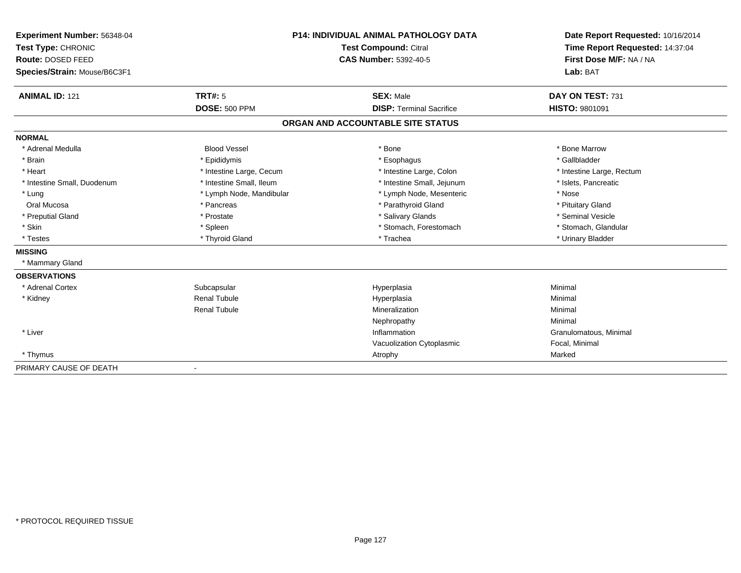| Experiment Number: 56348-04  | <b>P14: INDIVIDUAL ANIMAL PATHOLOGY DATA</b><br>Test Compound: Citral |                                   | Date Report Requested: 10/16/2014 |  |
|------------------------------|-----------------------------------------------------------------------|-----------------------------------|-----------------------------------|--|
| Test Type: CHRONIC           |                                                                       |                                   | Time Report Requested: 14:37:04   |  |
| Route: DOSED FEED            |                                                                       | <b>CAS Number: 5392-40-5</b>      | First Dose M/F: NA / NA           |  |
| Species/Strain: Mouse/B6C3F1 |                                                                       |                                   | Lab: BAT                          |  |
|                              |                                                                       |                                   |                                   |  |
| <b>ANIMAL ID: 121</b>        | TRT#: 5                                                               | <b>SEX: Male</b>                  | DAY ON TEST: 731                  |  |
|                              | <b>DOSE: 500 PPM</b>                                                  | <b>DISP: Terminal Sacrifice</b>   | HISTO: 9801091                    |  |
|                              |                                                                       | ORGAN AND ACCOUNTABLE SITE STATUS |                                   |  |
| <b>NORMAL</b>                |                                                                       |                                   |                                   |  |
| * Adrenal Medulla            | <b>Blood Vessel</b>                                                   | * Bone                            | * Bone Marrow                     |  |
| * Brain                      | * Epididymis                                                          | * Esophagus                       | * Gallbladder                     |  |
| * Heart                      | * Intestine Large, Cecum                                              | * Intestine Large, Colon          | * Intestine Large, Rectum         |  |
| * Intestine Small, Duodenum  | * Intestine Small. Ileum                                              | * Intestine Small, Jejunum        | * Islets, Pancreatic              |  |
| * Lung                       | * Lymph Node, Mandibular                                              | * Lymph Node, Mesenteric          | * Nose                            |  |
| Oral Mucosa                  | * Pancreas                                                            | * Parathyroid Gland               | * Pituitary Gland                 |  |
| * Preputial Gland            | * Prostate                                                            | * Salivary Glands                 | * Seminal Vesicle                 |  |
| * Skin                       | * Spleen                                                              | * Stomach, Forestomach            | * Stomach, Glandular              |  |
| * Testes                     | * Thyroid Gland                                                       | * Trachea                         | * Urinary Bladder                 |  |
| <b>MISSING</b>               |                                                                       |                                   |                                   |  |
| * Mammary Gland              |                                                                       |                                   |                                   |  |
| <b>OBSERVATIONS</b>          |                                                                       |                                   |                                   |  |
| * Adrenal Cortex             | Subcapsular                                                           | Hyperplasia                       | Minimal                           |  |
| * Kidney                     | <b>Renal Tubule</b>                                                   | Hyperplasia                       | Minimal                           |  |
|                              | <b>Renal Tubule</b>                                                   | Mineralization                    | Minimal                           |  |
|                              |                                                                       | Nephropathy                       | Minimal                           |  |
| * Liver                      |                                                                       | Inflammation                      | Granulomatous, Minimal            |  |
|                              |                                                                       | Vacuolization Cytoplasmic         | Focal, Minimal                    |  |
| * Thymus                     |                                                                       | Atrophy                           | Marked                            |  |
| PRIMARY CAUSE OF DEATH       |                                                                       |                                   |                                   |  |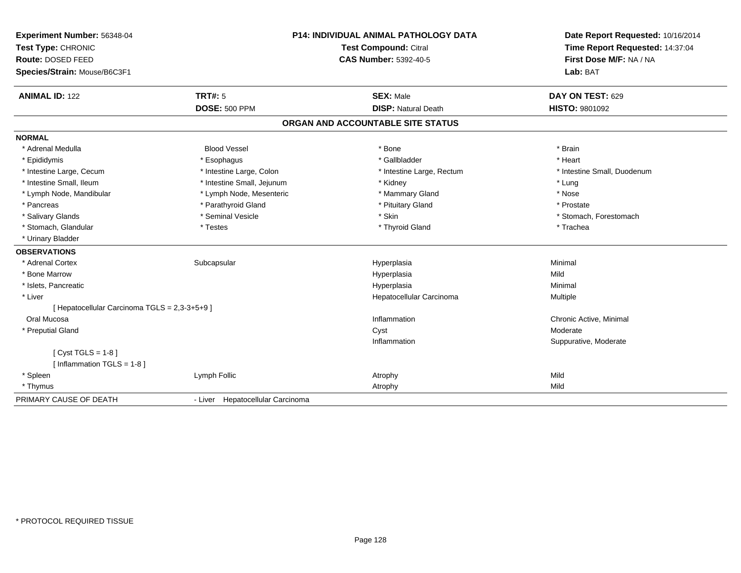| Experiment Number: 56348-04<br>Test Type: CHRONIC   |                                  | P14: INDIVIDUAL ANIMAL PATHOLOGY DATA<br><b>Test Compound: Citral</b> | Date Report Requested: 10/16/2014<br>Time Report Requested: 14:37:04 |  |
|-----------------------------------------------------|----------------------------------|-----------------------------------------------------------------------|----------------------------------------------------------------------|--|
| Route: DOSED FEED<br>Species/Strain: Mouse/B6C3F1   |                                  | <b>CAS Number: 5392-40-5</b>                                          | First Dose M/F: NA / NA<br>Lab: BAT                                  |  |
| <b>ANIMAL ID: 122</b>                               | TRT#: 5                          | <b>SEX: Male</b>                                                      | DAY ON TEST: 629                                                     |  |
|                                                     | <b>DOSE: 500 PPM</b>             | <b>DISP: Natural Death</b>                                            | <b>HISTO: 9801092</b>                                                |  |
|                                                     |                                  | ORGAN AND ACCOUNTABLE SITE STATUS                                     |                                                                      |  |
| <b>NORMAL</b>                                       |                                  |                                                                       |                                                                      |  |
| * Adrenal Medulla                                   | <b>Blood Vessel</b>              | * Bone                                                                | * Brain                                                              |  |
| * Epididymis                                        | * Esophagus                      | * Gallbladder                                                         | * Heart                                                              |  |
| * Intestine Large, Cecum                            | * Intestine Large, Colon         | * Intestine Large, Rectum                                             | * Intestine Small. Duodenum                                          |  |
| * Intestine Small, Ileum                            | * Intestine Small, Jejunum       | * Kidney                                                              | * Lung                                                               |  |
| * Lymph Node, Mandibular                            | * Lymph Node, Mesenteric         | * Mammary Gland                                                       | * Nose                                                               |  |
| * Pancreas                                          | * Parathyroid Gland              | * Pituitary Gland                                                     | * Prostate                                                           |  |
| * Salivary Glands                                   | * Seminal Vesicle                | * Skin                                                                | * Stomach, Forestomach                                               |  |
| * Stomach, Glandular                                | * Testes                         | * Thyroid Gland                                                       | * Trachea                                                            |  |
| * Urinary Bladder                                   |                                  |                                                                       |                                                                      |  |
| <b>OBSERVATIONS</b>                                 |                                  |                                                                       |                                                                      |  |
| * Adrenal Cortex                                    | Subcapsular                      | Hyperplasia                                                           | Minimal                                                              |  |
| * Bone Marrow                                       |                                  | Hyperplasia                                                           | Mild                                                                 |  |
| * Islets, Pancreatic                                |                                  | Hyperplasia                                                           | Minimal                                                              |  |
| * Liver                                             |                                  | Hepatocellular Carcinoma                                              | Multiple                                                             |  |
| [ Hepatocellular Carcinoma TGLS = 2,3-3+5+9 ]       |                                  |                                                                       |                                                                      |  |
| Oral Mucosa                                         |                                  | Inflammation                                                          | Chronic Active, Minimal                                              |  |
| * Preputial Gland                                   |                                  | Cyst                                                                  | Moderate                                                             |  |
|                                                     |                                  | Inflammation                                                          | Suppurative, Moderate                                                |  |
| [Cyst TGLS = $1-8$ ]<br>[ Inflammation TGLS = 1-8 ] |                                  |                                                                       |                                                                      |  |
| * Spleen                                            | Lymph Follic                     | Atrophy                                                               | Mild                                                                 |  |
| * Thymus                                            |                                  | Atrophy                                                               | Mild                                                                 |  |
| PRIMARY CAUSE OF DEATH                              | - Liver Hepatocellular Carcinoma |                                                                       |                                                                      |  |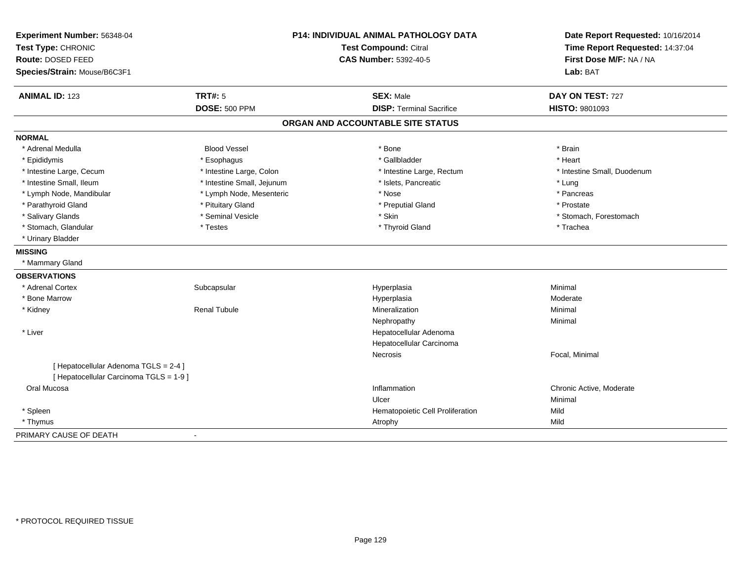| Experiment Number: 56348-04<br>Test Type: CHRONIC<br>Route: DOSED FEED<br>Species/Strain: Mouse/B6C3F1 |                            | P14: INDIVIDUAL ANIMAL PATHOLOGY DATA<br>Test Compound: Citral<br><b>CAS Number: 5392-40-5</b> | Date Report Requested: 10/16/2014<br>Time Report Requested: 14:37:04<br>First Dose M/F: NA / NA<br>Lab: BAT |
|--------------------------------------------------------------------------------------------------------|----------------------------|------------------------------------------------------------------------------------------------|-------------------------------------------------------------------------------------------------------------|
| <b>ANIMAL ID: 123</b>                                                                                  | <b>TRT#: 5</b>             | <b>SEX: Male</b>                                                                               | DAY ON TEST: 727                                                                                            |
|                                                                                                        | <b>DOSE: 500 PPM</b>       | <b>DISP: Terminal Sacrifice</b>                                                                | <b>HISTO: 9801093</b>                                                                                       |
|                                                                                                        |                            | ORGAN AND ACCOUNTABLE SITE STATUS                                                              |                                                                                                             |
| <b>NORMAL</b>                                                                                          |                            |                                                                                                |                                                                                                             |
| * Adrenal Medulla                                                                                      | <b>Blood Vessel</b>        | * Bone                                                                                         | * Brain                                                                                                     |
| * Epididymis                                                                                           | * Esophagus                | * Gallbladder                                                                                  | * Heart                                                                                                     |
| * Intestine Large, Cecum                                                                               | * Intestine Large, Colon   | * Intestine Large, Rectum                                                                      | * Intestine Small, Duodenum                                                                                 |
| * Intestine Small, Ileum                                                                               | * Intestine Small, Jejunum | * Islets, Pancreatic                                                                           | * Lung                                                                                                      |
| * Lymph Node, Mandibular                                                                               | * Lymph Node, Mesenteric   | * Nose                                                                                         | * Pancreas                                                                                                  |
| * Parathyroid Gland                                                                                    | * Pituitary Gland          | * Preputial Gland                                                                              | * Prostate                                                                                                  |
| * Salivary Glands                                                                                      | * Seminal Vesicle          | * Skin                                                                                         | * Stomach, Forestomach                                                                                      |
| * Stomach, Glandular                                                                                   | * Testes                   | * Thyroid Gland                                                                                | * Trachea                                                                                                   |
| * Urinary Bladder                                                                                      |                            |                                                                                                |                                                                                                             |
| <b>MISSING</b>                                                                                         |                            |                                                                                                |                                                                                                             |
| * Mammary Gland                                                                                        |                            |                                                                                                |                                                                                                             |
| <b>OBSERVATIONS</b>                                                                                    |                            |                                                                                                |                                                                                                             |
| * Adrenal Cortex                                                                                       | Subcapsular                | Hyperplasia                                                                                    | Minimal                                                                                                     |
| * Bone Marrow                                                                                          |                            | Hyperplasia                                                                                    | Moderate                                                                                                    |
| * Kidney                                                                                               | <b>Renal Tubule</b>        | Mineralization                                                                                 | Minimal                                                                                                     |
|                                                                                                        |                            | Nephropathy                                                                                    | Minimal                                                                                                     |
| * Liver                                                                                                |                            | Hepatocellular Adenoma                                                                         |                                                                                                             |
|                                                                                                        |                            | Hepatocellular Carcinoma                                                                       |                                                                                                             |
|                                                                                                        |                            | Necrosis                                                                                       | Focal, Minimal                                                                                              |
| [ Hepatocellular Adenoma TGLS = 2-4 ]<br>[ Hepatocellular Carcinoma TGLS = 1-9 ]                       |                            |                                                                                                |                                                                                                             |
| Oral Mucosa                                                                                            |                            | Inflammation                                                                                   | Chronic Active, Moderate                                                                                    |
|                                                                                                        |                            | Ulcer                                                                                          | Minimal                                                                                                     |
| * Spleen                                                                                               |                            | Hematopoietic Cell Proliferation                                                               | Mild                                                                                                        |
| * Thymus                                                                                               |                            | Atrophy                                                                                        | Mild                                                                                                        |
| PRIMARY CAUSE OF DEATH                                                                                 |                            |                                                                                                |                                                                                                             |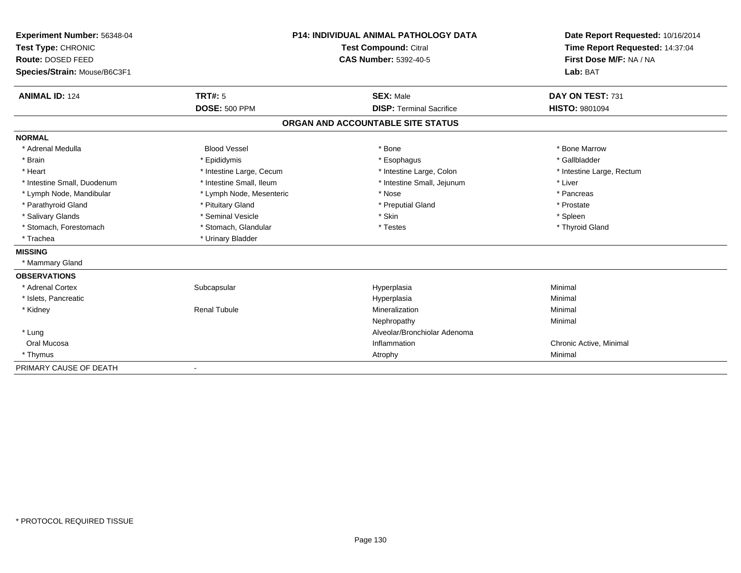| Experiment Number: 56348-04  |                          | <b>P14: INDIVIDUAL ANIMAL PATHOLOGY DATA</b> | Date Report Requested: 10/16/2014 |
|------------------------------|--------------------------|----------------------------------------------|-----------------------------------|
| Test Type: CHRONIC           |                          | Test Compound: Citral                        | Time Report Requested: 14:37:04   |
| Route: DOSED FEED            |                          | <b>CAS Number: 5392-40-5</b>                 | First Dose M/F: NA / NA           |
| Species/Strain: Mouse/B6C3F1 |                          |                                              | Lab: BAT                          |
| <b>ANIMAL ID: 124</b>        | TRT#: 5                  | <b>SEX: Male</b>                             | DAY ON TEST: 731                  |
|                              | <b>DOSE: 500 PPM</b>     | <b>DISP: Terminal Sacrifice</b>              | <b>HISTO: 9801094</b>             |
|                              |                          | ORGAN AND ACCOUNTABLE SITE STATUS            |                                   |
| <b>NORMAL</b>                |                          |                                              |                                   |
| * Adrenal Medulla            | <b>Blood Vessel</b>      | * Bone                                       | * Bone Marrow                     |
| * Brain                      | * Epididymis             | * Esophagus                                  | * Gallbladder                     |
| * Heart                      | * Intestine Large, Cecum | * Intestine Large, Colon                     | * Intestine Large, Rectum         |
| * Intestine Small, Duodenum  | * Intestine Small, Ileum | * Intestine Small, Jejunum                   | * Liver                           |
| * Lymph Node, Mandibular     | * Lymph Node, Mesenteric | * Nose                                       | * Pancreas                        |
| * Parathyroid Gland          | * Pituitary Gland        | * Preputial Gland                            | * Prostate                        |
| * Salivary Glands            | * Seminal Vesicle        | * Skin                                       | * Spleen                          |
| * Stomach, Forestomach       | * Stomach, Glandular     | * Testes                                     | * Thyroid Gland                   |
| * Trachea                    | * Urinary Bladder        |                                              |                                   |
| <b>MISSING</b>               |                          |                                              |                                   |
| * Mammary Gland              |                          |                                              |                                   |
| <b>OBSERVATIONS</b>          |                          |                                              |                                   |
| * Adrenal Cortex             | Subcapsular              | Hyperplasia                                  | Minimal                           |
| * Islets, Pancreatic         |                          | Hyperplasia                                  | Minimal                           |
| * Kidney                     | <b>Renal Tubule</b>      | Mineralization                               | Minimal                           |
|                              |                          | Nephropathy                                  | Minimal                           |
| * Lung                       |                          | Alveolar/Bronchiolar Adenoma                 |                                   |
| Oral Mucosa                  |                          | Inflammation                                 | Chronic Active, Minimal           |
| * Thymus                     |                          | Atrophy                                      | Minimal                           |
| PRIMARY CAUSE OF DEATH       |                          |                                              |                                   |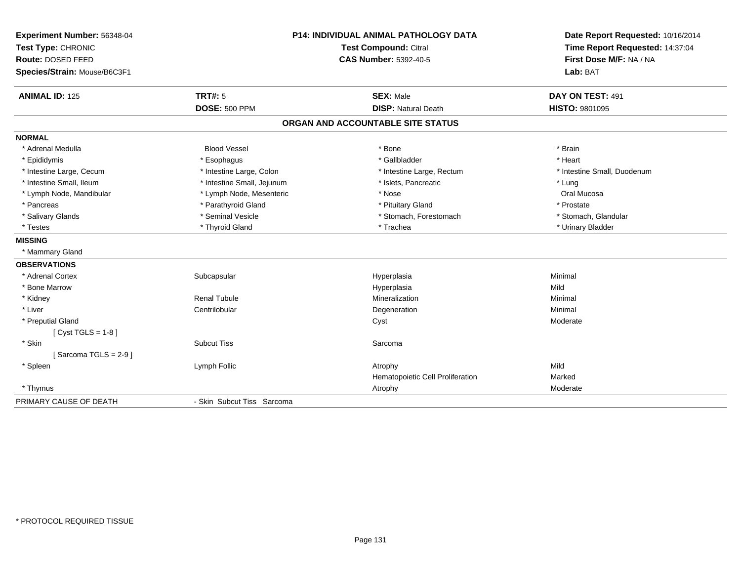| Experiment Number: 56348-04<br>Test Type: CHRONIC<br>Route: DOSED FEED<br>Species/Strain: Mouse/B6C3F1 |                            | <b>P14: INDIVIDUAL ANIMAL PATHOLOGY DATA</b><br>Test Compound: Citral<br><b>CAS Number: 5392-40-5</b> | Date Report Requested: 10/16/2014<br>Time Report Requested: 14:37:04<br>First Dose M/F: NA / NA<br>Lab: BAT |
|--------------------------------------------------------------------------------------------------------|----------------------------|-------------------------------------------------------------------------------------------------------|-------------------------------------------------------------------------------------------------------------|
|                                                                                                        |                            |                                                                                                       |                                                                                                             |
| <b>ANIMAL ID: 125</b>                                                                                  | TRT#: 5                    | <b>SEX: Male</b>                                                                                      | DAY ON TEST: 491                                                                                            |
|                                                                                                        | <b>DOSE: 500 PPM</b>       | <b>DISP: Natural Death</b>                                                                            | <b>HISTO: 9801095</b>                                                                                       |
|                                                                                                        |                            | ORGAN AND ACCOUNTABLE SITE STATUS                                                                     |                                                                                                             |
| <b>NORMAL</b>                                                                                          |                            |                                                                                                       |                                                                                                             |
| * Adrenal Medulla                                                                                      | <b>Blood Vessel</b>        | * Bone                                                                                                | * Brain                                                                                                     |
| * Epididymis                                                                                           | * Esophagus                | * Gallbladder                                                                                         | * Heart                                                                                                     |
| * Intestine Large, Cecum                                                                               | * Intestine Large, Colon   | * Intestine Large, Rectum                                                                             | * Intestine Small, Duodenum                                                                                 |
| * Intestine Small, Ileum                                                                               | * Intestine Small, Jejunum | * Islets, Pancreatic                                                                                  | * Lung                                                                                                      |
| * Lymph Node, Mandibular                                                                               | * Lymph Node, Mesenteric   | * Nose                                                                                                | Oral Mucosa                                                                                                 |
| * Pancreas                                                                                             | * Parathyroid Gland        | * Pituitary Gland                                                                                     | * Prostate                                                                                                  |
| * Salivary Glands                                                                                      | * Seminal Vesicle          | * Stomach, Forestomach                                                                                | * Stomach, Glandular                                                                                        |
| * Testes                                                                                               | * Thyroid Gland            | * Trachea                                                                                             | * Urinary Bladder                                                                                           |
| <b>MISSING</b>                                                                                         |                            |                                                                                                       |                                                                                                             |
| * Mammary Gland                                                                                        |                            |                                                                                                       |                                                                                                             |
| <b>OBSERVATIONS</b>                                                                                    |                            |                                                                                                       |                                                                                                             |
| * Adrenal Cortex                                                                                       | Subcapsular                | Hyperplasia                                                                                           | Minimal                                                                                                     |
| * Bone Marrow                                                                                          |                            | Hyperplasia                                                                                           | Mild                                                                                                        |
| * Kidney                                                                                               | <b>Renal Tubule</b>        | Mineralization                                                                                        | Minimal                                                                                                     |
| * Liver                                                                                                | Centrilobular              | Degeneration                                                                                          | Minimal                                                                                                     |
| * Preputial Gland                                                                                      |                            | Cyst                                                                                                  | Moderate                                                                                                    |
| [ $Cyst TGLS = 1-8$ ]                                                                                  |                            |                                                                                                       |                                                                                                             |
| * Skin                                                                                                 | <b>Subcut Tiss</b>         | Sarcoma                                                                                               |                                                                                                             |
| [Sarcoma TGLS = $2-9$ ]                                                                                |                            |                                                                                                       |                                                                                                             |
| * Spleen                                                                                               | Lymph Follic               | Atrophy                                                                                               | Mild                                                                                                        |
|                                                                                                        |                            | Hematopoietic Cell Proliferation                                                                      | Marked                                                                                                      |
| * Thymus                                                                                               |                            | Atrophy                                                                                               | Moderate                                                                                                    |
| PRIMARY CAUSE OF DEATH                                                                                 | - Skin Subcut Tiss Sarcoma |                                                                                                       |                                                                                                             |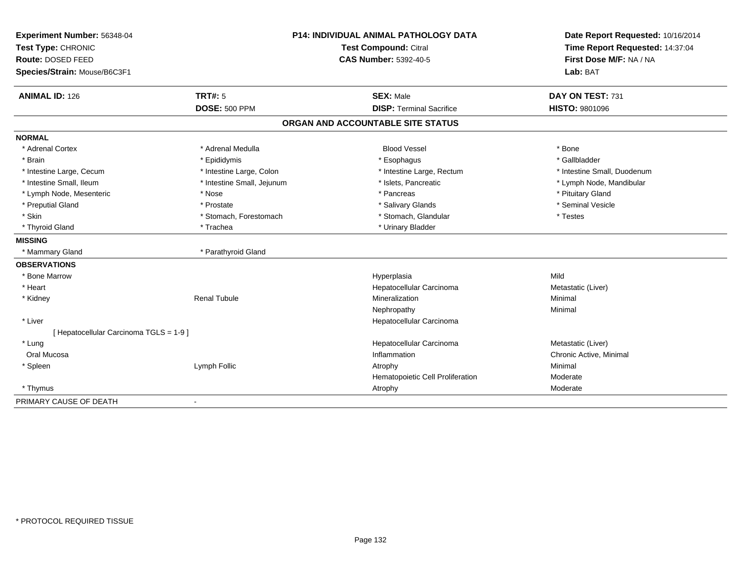| Experiment Number: 56348-04<br>Test Type: CHRONIC<br>Route: DOSED FEED |                            | <b>P14: INDIVIDUAL ANIMAL PATHOLOGY DATA</b><br><b>Test Compound: Citral</b><br><b>CAS Number: 5392-40-5</b> | Date Report Requested: 10/16/2014<br>Time Report Requested: 14:37:04<br>First Dose M/F: NA / NA |
|------------------------------------------------------------------------|----------------------------|--------------------------------------------------------------------------------------------------------------|-------------------------------------------------------------------------------------------------|
| Species/Strain: Mouse/B6C3F1                                           |                            |                                                                                                              | Lab: BAT                                                                                        |
| <b>ANIMAL ID: 126</b>                                                  | TRT#: 5                    | <b>SEX: Male</b>                                                                                             | DAY ON TEST: 731                                                                                |
|                                                                        | <b>DOSE: 500 PPM</b>       | <b>DISP: Terminal Sacrifice</b>                                                                              | HISTO: 9801096                                                                                  |
|                                                                        |                            | ORGAN AND ACCOUNTABLE SITE STATUS                                                                            |                                                                                                 |
| <b>NORMAL</b>                                                          |                            |                                                                                                              |                                                                                                 |
| * Adrenal Cortex                                                       | * Adrenal Medulla          | <b>Blood Vessel</b>                                                                                          | $*$ Bone                                                                                        |
| * Brain                                                                | * Epididymis               | * Esophagus                                                                                                  | * Gallbladder                                                                                   |
| * Intestine Large, Cecum                                               | * Intestine Large, Colon   | * Intestine Large, Rectum                                                                                    | * Intestine Small, Duodenum                                                                     |
| * Intestine Small, Ileum                                               | * Intestine Small, Jejunum | * Islets, Pancreatic                                                                                         | * Lymph Node, Mandibular                                                                        |
| * Lymph Node, Mesenteric                                               | * Nose                     | * Pancreas                                                                                                   | * Pituitary Gland                                                                               |
| * Preputial Gland                                                      | * Prostate                 | * Salivary Glands                                                                                            | * Seminal Vesicle                                                                               |
| * Skin                                                                 | * Stomach, Forestomach     | * Stomach, Glandular                                                                                         | * Testes                                                                                        |
| * Thyroid Gland                                                        | * Trachea                  | * Urinary Bladder                                                                                            |                                                                                                 |
| <b>MISSING</b>                                                         |                            |                                                                                                              |                                                                                                 |
| * Mammary Gland                                                        | * Parathyroid Gland        |                                                                                                              |                                                                                                 |
| <b>OBSERVATIONS</b>                                                    |                            |                                                                                                              |                                                                                                 |
| * Bone Marrow                                                          |                            | Hyperplasia                                                                                                  | Mild                                                                                            |
| * Heart                                                                |                            | Hepatocellular Carcinoma                                                                                     | Metastatic (Liver)                                                                              |
| * Kidney                                                               | <b>Renal Tubule</b>        | Mineralization                                                                                               | Minimal                                                                                         |
|                                                                        |                            | Nephropathy                                                                                                  | Minimal                                                                                         |
| * Liver                                                                |                            | Hepatocellular Carcinoma                                                                                     |                                                                                                 |
| [ Hepatocellular Carcinoma TGLS = 1-9 ]                                |                            |                                                                                                              |                                                                                                 |
| * Lung                                                                 |                            | Hepatocellular Carcinoma                                                                                     | Metastatic (Liver)                                                                              |
| Oral Mucosa                                                            |                            | Inflammation                                                                                                 | Chronic Active, Minimal                                                                         |
| * Spleen                                                               | Lymph Follic               | Atrophy                                                                                                      | Minimal                                                                                         |
|                                                                        |                            | Hematopoietic Cell Proliferation                                                                             | Moderate                                                                                        |
| * Thymus                                                               |                            | Atrophy                                                                                                      | Moderate                                                                                        |
| PRIMARY CAUSE OF DEATH                                                 |                            |                                                                                                              |                                                                                                 |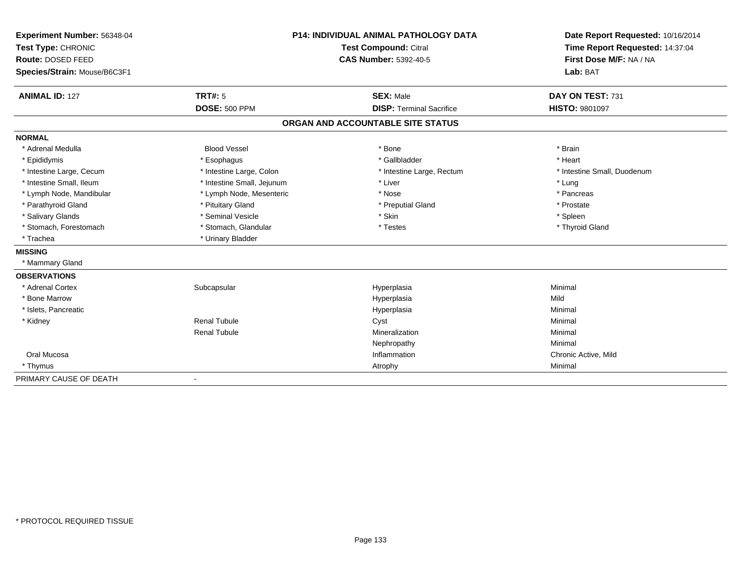| Experiment Number: 56348-04  | <b>P14: INDIVIDUAL ANIMAL PATHOLOGY DATA</b><br><b>Test Compound: Citral</b> |                                   | Date Report Requested: 10/16/2014 |
|------------------------------|------------------------------------------------------------------------------|-----------------------------------|-----------------------------------|
| Test Type: CHRONIC           |                                                                              |                                   | Time Report Requested: 14:37:04   |
| Route: DOSED FEED            |                                                                              | <b>CAS Number: 5392-40-5</b>      | First Dose M/F: NA / NA           |
| Species/Strain: Mouse/B6C3F1 |                                                                              |                                   | Lab: BAT                          |
| <b>ANIMAL ID: 127</b>        | TRT#: 5                                                                      | <b>SEX: Male</b>                  | DAY ON TEST: 731                  |
|                              | <b>DOSE: 500 PPM</b>                                                         | <b>DISP: Terminal Sacrifice</b>   | HISTO: 9801097                    |
|                              |                                                                              | ORGAN AND ACCOUNTABLE SITE STATUS |                                   |
| <b>NORMAL</b>                |                                                                              |                                   |                                   |
| * Adrenal Medulla            | <b>Blood Vessel</b>                                                          | * Bone                            | * Brain                           |
| * Epididymis                 | * Esophagus                                                                  | * Gallbladder                     | * Heart                           |
| * Intestine Large, Cecum     | * Intestine Large, Colon                                                     | * Intestine Large, Rectum         | * Intestine Small, Duodenum       |
| * Intestine Small, Ileum     | * Intestine Small, Jejunum                                                   | * Liver                           | * Lung                            |
| * Lymph Node, Mandibular     | * Lymph Node, Mesenteric                                                     | * Nose                            | * Pancreas                        |
| * Parathyroid Gland          | * Pituitary Gland                                                            | * Preputial Gland                 | * Prostate                        |
| * Salivary Glands            | * Seminal Vesicle                                                            | * Skin                            | * Spleen                          |
| * Stomach, Forestomach       | * Stomach, Glandular                                                         | * Testes                          | * Thyroid Gland                   |
| * Trachea                    | * Urinary Bladder                                                            |                                   |                                   |
| <b>MISSING</b>               |                                                                              |                                   |                                   |
| * Mammary Gland              |                                                                              |                                   |                                   |
| <b>OBSERVATIONS</b>          |                                                                              |                                   |                                   |
| * Adrenal Cortex             | Subcapsular                                                                  | Hyperplasia                       | Minimal                           |
| * Bone Marrow                |                                                                              | Hyperplasia                       | Mild                              |
| * Islets, Pancreatic         |                                                                              | Hyperplasia                       | Minimal                           |
| * Kidney                     | <b>Renal Tubule</b>                                                          | Cyst                              | Minimal                           |
|                              | <b>Renal Tubule</b>                                                          | Mineralization                    | Minimal                           |
|                              |                                                                              | Nephropathy                       | Minimal                           |
| Oral Mucosa                  |                                                                              | Inflammation                      | Chronic Active, Mild              |
| * Thymus                     |                                                                              | Atrophy                           | Minimal                           |
| PRIMARY CAUSE OF DEATH       |                                                                              |                                   |                                   |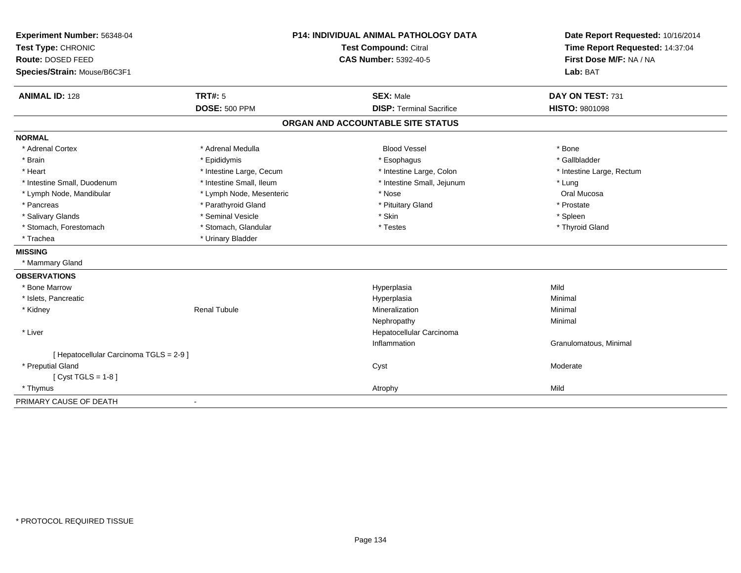| Experiment Number: 56348-04<br>Test Type: CHRONIC<br>Route: DOSED FEED<br>Species/Strain: Mouse/B6C3F1 |                                        | <b>P14: INDIVIDUAL ANIMAL PATHOLOGY DATA</b><br><b>Test Compound: Citral</b><br><b>CAS Number: 5392-40-5</b> | Date Report Requested: 10/16/2014<br>Time Report Requested: 14:37:04<br>First Dose M/F: NA / NA<br>Lab: BAT |
|--------------------------------------------------------------------------------------------------------|----------------------------------------|--------------------------------------------------------------------------------------------------------------|-------------------------------------------------------------------------------------------------------------|
|                                                                                                        |                                        |                                                                                                              | DAY ON TEST: 731                                                                                            |
| <b>ANIMAL ID: 128</b>                                                                                  | <b>TRT#: 5</b><br><b>DOSE: 500 PPM</b> | <b>SEX: Male</b><br><b>DISP: Terminal Sacrifice</b>                                                          | HISTO: 9801098                                                                                              |
|                                                                                                        |                                        |                                                                                                              |                                                                                                             |
|                                                                                                        |                                        | ORGAN AND ACCOUNTABLE SITE STATUS                                                                            |                                                                                                             |
| <b>NORMAL</b>                                                                                          |                                        |                                                                                                              |                                                                                                             |
| * Adrenal Cortex                                                                                       | * Adrenal Medulla                      | <b>Blood Vessel</b>                                                                                          | * Bone                                                                                                      |
| * Brain                                                                                                | * Epididymis                           | * Esophagus                                                                                                  | * Gallbladder                                                                                               |
| * Heart                                                                                                | * Intestine Large, Cecum               | * Intestine Large, Colon                                                                                     | * Intestine Large, Rectum                                                                                   |
| * Intestine Small, Duodenum                                                                            | * Intestine Small, Ileum               | * Intestine Small, Jejunum                                                                                   | * Lung                                                                                                      |
| * Lymph Node, Mandibular                                                                               | * Lymph Node, Mesenteric               | * Nose                                                                                                       | Oral Mucosa                                                                                                 |
| * Pancreas                                                                                             | * Parathyroid Gland                    | * Pituitary Gland                                                                                            | * Prostate                                                                                                  |
| * Salivary Glands                                                                                      | * Seminal Vesicle                      | * Skin                                                                                                       | * Spleen                                                                                                    |
| * Stomach, Forestomach                                                                                 | * Stomach, Glandular                   | * Testes                                                                                                     | * Thyroid Gland                                                                                             |
| * Trachea                                                                                              | * Urinary Bladder                      |                                                                                                              |                                                                                                             |
| <b>MISSING</b>                                                                                         |                                        |                                                                                                              |                                                                                                             |
| * Mammary Gland                                                                                        |                                        |                                                                                                              |                                                                                                             |
| <b>OBSERVATIONS</b>                                                                                    |                                        |                                                                                                              |                                                                                                             |
| * Bone Marrow                                                                                          |                                        | Hyperplasia                                                                                                  | Mild                                                                                                        |
| * Islets, Pancreatic                                                                                   |                                        | Hyperplasia                                                                                                  | Minimal                                                                                                     |
| * Kidney                                                                                               | <b>Renal Tubule</b>                    | Mineralization                                                                                               | Minimal                                                                                                     |
|                                                                                                        |                                        | Nephropathy                                                                                                  | Minimal                                                                                                     |
| * Liver                                                                                                |                                        | Hepatocellular Carcinoma                                                                                     |                                                                                                             |
|                                                                                                        |                                        | Inflammation                                                                                                 | Granulomatous, Minimal                                                                                      |
| [ Hepatocellular Carcinoma TGLS = 2-9 ]                                                                |                                        |                                                                                                              |                                                                                                             |
| * Preputial Gland                                                                                      |                                        | Cyst                                                                                                         | Moderate                                                                                                    |
| [ Cyst TGLS = $1-8$ ]                                                                                  |                                        |                                                                                                              |                                                                                                             |
| * Thymus                                                                                               |                                        | Atrophy                                                                                                      | Mild                                                                                                        |
| PRIMARY CAUSE OF DEATH                                                                                 |                                        |                                                                                                              |                                                                                                             |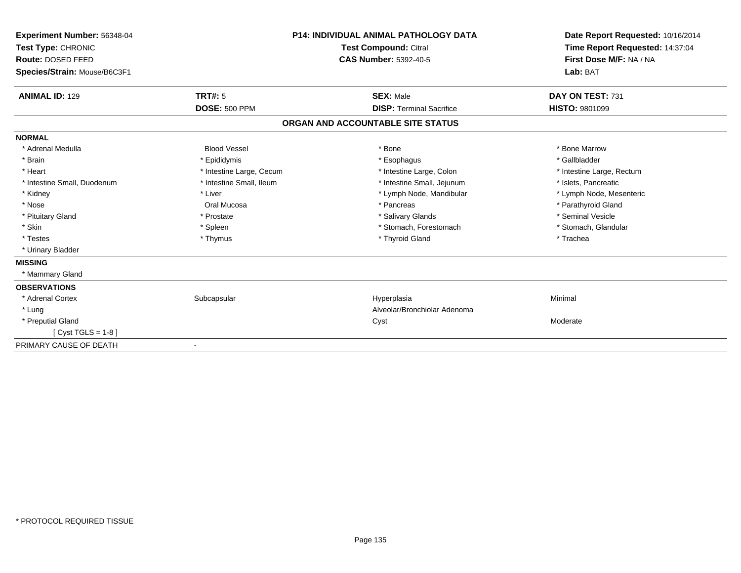| <b>Experiment Number: 56348-04</b><br>Test Type: CHRONIC |                          | <b>P14: INDIVIDUAL ANIMAL PATHOLOGY DATA</b><br><b>Test Compound: Citral</b> | Date Report Requested: 10/16/2014<br>Time Report Requested: 14:37:04 |
|----------------------------------------------------------|--------------------------|------------------------------------------------------------------------------|----------------------------------------------------------------------|
| Route: DOSED FEED                                        |                          | <b>CAS Number: 5392-40-5</b>                                                 | First Dose M/F: NA / NA                                              |
| Species/Strain: Mouse/B6C3F1                             |                          |                                                                              | Lab: BAT                                                             |
| <b>ANIMAL ID: 129</b>                                    | <b>TRT#: 5</b>           | <b>SEX: Male</b>                                                             | DAY ON TEST: 731                                                     |
|                                                          | <b>DOSE: 500 PPM</b>     | <b>DISP: Terminal Sacrifice</b>                                              | <b>HISTO: 9801099</b>                                                |
|                                                          |                          | ORGAN AND ACCOUNTABLE SITE STATUS                                            |                                                                      |
| <b>NORMAL</b>                                            |                          |                                                                              |                                                                      |
| * Adrenal Medulla                                        | <b>Blood Vessel</b>      | * Bone                                                                       | * Bone Marrow                                                        |
| * Brain                                                  | * Epididymis             | * Esophagus                                                                  | * Gallbladder                                                        |
| * Heart                                                  | * Intestine Large, Cecum | * Intestine Large, Colon                                                     | * Intestine Large, Rectum                                            |
| * Intestine Small, Duodenum                              | * Intestine Small, Ileum | * Intestine Small, Jejunum                                                   | * Islets, Pancreatic                                                 |
| * Kidney                                                 | * Liver                  | * Lymph Node, Mandibular                                                     | * Lymph Node, Mesenteric                                             |
| * Nose                                                   | Oral Mucosa              | * Pancreas                                                                   | * Parathyroid Gland                                                  |
| * Pituitary Gland                                        | * Prostate               | * Salivary Glands                                                            | * Seminal Vesicle                                                    |
| * Skin                                                   | * Spleen                 | * Stomach, Forestomach                                                       | * Stomach, Glandular                                                 |
| * Testes                                                 | * Thymus                 | * Thyroid Gland                                                              | * Trachea                                                            |
| * Urinary Bladder                                        |                          |                                                                              |                                                                      |
| <b>MISSING</b>                                           |                          |                                                                              |                                                                      |
| * Mammary Gland                                          |                          |                                                                              |                                                                      |
| <b>OBSERVATIONS</b>                                      |                          |                                                                              |                                                                      |
| * Adrenal Cortex                                         | Subcapsular              | Hyperplasia                                                                  | Minimal                                                              |
| * Lung                                                   |                          | Alveolar/Bronchiolar Adenoma                                                 |                                                                      |
| * Preputial Gland                                        |                          | Cyst                                                                         | Moderate                                                             |
| [ $Cyst TGLS = 1-8$ ]                                    |                          |                                                                              |                                                                      |
| PRIMARY CAUSE OF DEATH                                   |                          |                                                                              |                                                                      |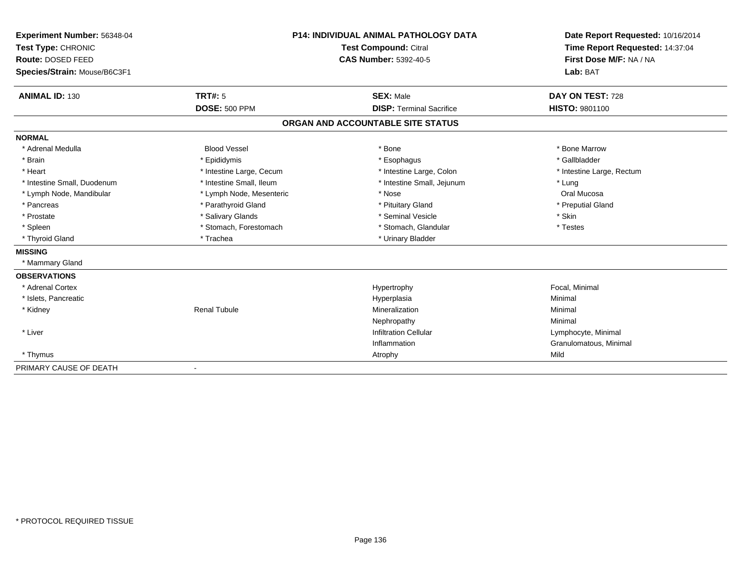| Experiment Number: 56348-04<br>Test Type: CHRONIC<br>Route: DOSED FEED<br>Species/Strain: Mouse/B6C3F1 |                          | <b>P14: INDIVIDUAL ANIMAL PATHOLOGY DATA</b><br><b>Test Compound: Citral</b><br><b>CAS Number: 5392-40-5</b> | Date Report Requested: 10/16/2014<br>Time Report Requested: 14:37:04<br>First Dose M/F: NA / NA<br>Lab: BAT |
|--------------------------------------------------------------------------------------------------------|--------------------------|--------------------------------------------------------------------------------------------------------------|-------------------------------------------------------------------------------------------------------------|
| <b>ANIMAL ID: 130</b>                                                                                  | TRT#: 5                  | <b>SEX: Male</b>                                                                                             | DAY ON TEST: 728                                                                                            |
|                                                                                                        | <b>DOSE: 500 PPM</b>     | <b>DISP: Terminal Sacrifice</b>                                                                              | HISTO: 9801100                                                                                              |
|                                                                                                        |                          | ORGAN AND ACCOUNTABLE SITE STATUS                                                                            |                                                                                                             |
| <b>NORMAL</b>                                                                                          |                          |                                                                                                              |                                                                                                             |
| * Adrenal Medulla                                                                                      | <b>Blood Vessel</b>      | * Bone                                                                                                       | * Bone Marrow                                                                                               |
| * Brain                                                                                                | * Epididymis             | * Esophagus                                                                                                  | * Gallbladder                                                                                               |
| * Heart                                                                                                | * Intestine Large, Cecum | * Intestine Large, Colon                                                                                     | * Intestine Large, Rectum                                                                                   |
| * Intestine Small, Duodenum                                                                            | * Intestine Small, Ileum | * Intestine Small, Jejunum                                                                                   | * Lung                                                                                                      |
| * Lymph Node, Mandibular                                                                               | * Lymph Node, Mesenteric | * Nose                                                                                                       | Oral Mucosa                                                                                                 |
| * Pancreas                                                                                             | * Parathyroid Gland      | * Pituitary Gland                                                                                            | * Preputial Gland                                                                                           |
| * Prostate                                                                                             | * Salivary Glands        | * Seminal Vesicle                                                                                            | * Skin                                                                                                      |
| * Spleen                                                                                               | * Stomach, Forestomach   | * Stomach, Glandular                                                                                         | * Testes                                                                                                    |
| * Thyroid Gland                                                                                        | * Trachea                | * Urinary Bladder                                                                                            |                                                                                                             |
| <b>MISSING</b>                                                                                         |                          |                                                                                                              |                                                                                                             |
| * Mammary Gland                                                                                        |                          |                                                                                                              |                                                                                                             |
| <b>OBSERVATIONS</b>                                                                                    |                          |                                                                                                              |                                                                                                             |
| * Adrenal Cortex                                                                                       |                          | Hypertrophy                                                                                                  | Focal, Minimal                                                                                              |
| * Islets, Pancreatic                                                                                   |                          | Hyperplasia                                                                                                  | Minimal                                                                                                     |
| * Kidney                                                                                               | <b>Renal Tubule</b>      | Mineralization                                                                                               | Minimal                                                                                                     |
|                                                                                                        |                          | Nephropathy                                                                                                  | Minimal                                                                                                     |
| * Liver                                                                                                |                          | <b>Infiltration Cellular</b>                                                                                 | Lymphocyte, Minimal                                                                                         |
|                                                                                                        |                          | Inflammation                                                                                                 | Granulomatous, Minimal                                                                                      |
| * Thymus                                                                                               |                          | Atrophy                                                                                                      | Mild                                                                                                        |
| PRIMARY CAUSE OF DEATH                                                                                 | $\overline{\phantom{a}}$ |                                                                                                              |                                                                                                             |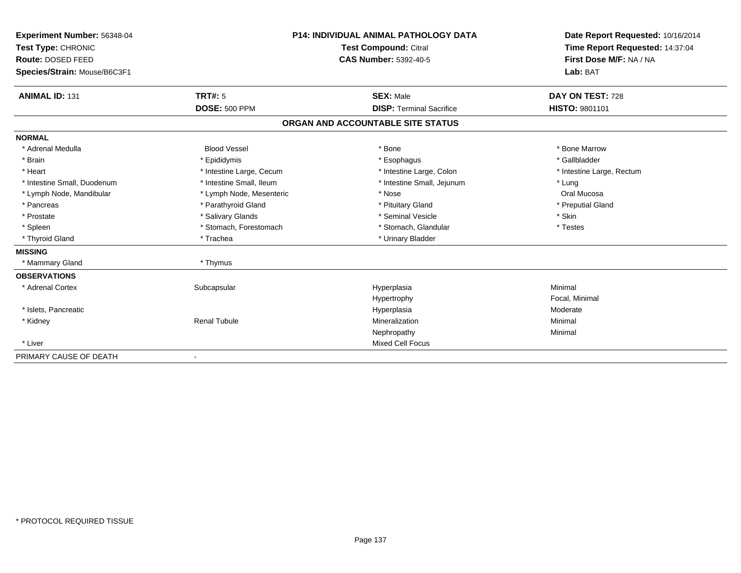| <b>Experiment Number: 56348-04</b> |                          | <b>P14: INDIVIDUAL ANIMAL PATHOLOGY DATA</b> | Date Report Requested: 10/16/2014 |
|------------------------------------|--------------------------|----------------------------------------------|-----------------------------------|
| Test Type: CHRONIC                 | Test Compound: Citral    |                                              | Time Report Requested: 14:37:04   |
| Route: DOSED FEED                  |                          | <b>CAS Number: 5392-40-5</b>                 | First Dose M/F: NA / NA           |
| Species/Strain: Mouse/B6C3F1       |                          |                                              | Lab: BAT                          |
| <b>ANIMAL ID: 131</b>              | <b>TRT#: 5</b>           | <b>SEX: Male</b>                             | DAY ON TEST: 728                  |
|                                    | <b>DOSE: 500 PPM</b>     | <b>DISP: Terminal Sacrifice</b>              | <b>HISTO: 9801101</b>             |
|                                    |                          | ORGAN AND ACCOUNTABLE SITE STATUS            |                                   |
| <b>NORMAL</b>                      |                          |                                              |                                   |
| * Adrenal Medulla                  | <b>Blood Vessel</b>      | * Bone                                       | * Bone Marrow                     |
| * Brain                            | * Epididymis             | * Esophagus                                  | * Gallbladder                     |
| * Heart                            | * Intestine Large, Cecum | * Intestine Large, Colon                     | * Intestine Large, Rectum         |
| * Intestine Small, Duodenum        | * Intestine Small, Ileum | * Intestine Small, Jejunum                   | * Lung                            |
| * Lymph Node, Mandibular           | * Lymph Node, Mesenteric | * Nose                                       | Oral Mucosa                       |
| * Pancreas                         | * Parathyroid Gland      | * Pituitary Gland                            | * Preputial Gland                 |
| * Prostate                         | * Salivary Glands        | * Seminal Vesicle                            | * Skin                            |
| * Spleen                           | * Stomach, Forestomach   | * Stomach, Glandular                         | * Testes                          |
| * Thyroid Gland                    | * Trachea                | * Urinary Bladder                            |                                   |
| <b>MISSING</b>                     |                          |                                              |                                   |
| * Mammary Gland                    | * Thymus                 |                                              |                                   |
| <b>OBSERVATIONS</b>                |                          |                                              |                                   |
| * Adrenal Cortex                   | Subcapsular              | Hyperplasia                                  | Minimal                           |
|                                    |                          | Hypertrophy                                  | Focal, Minimal                    |
| * Islets, Pancreatic               |                          | Hyperplasia                                  | Moderate                          |
| * Kidney                           | <b>Renal Tubule</b>      | Mineralization                               | Minimal                           |
|                                    |                          | Nephropathy                                  | Minimal                           |
| * Liver                            |                          | Mixed Cell Focus                             |                                   |
| PRIMARY CAUSE OF DEATH             |                          |                                              |                                   |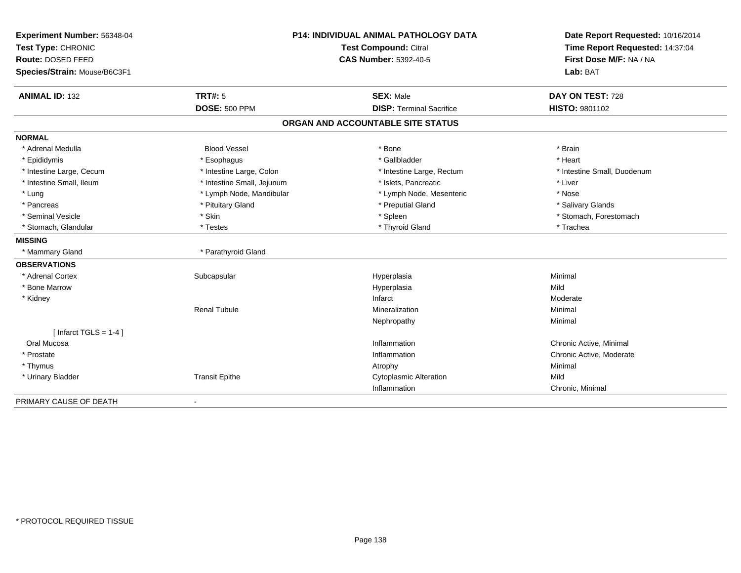| Experiment Number: 56348-04  | <b>P14: INDIVIDUAL ANIMAL PATHOLOGY DATA</b><br>Test Compound: Citral |                                   | Date Report Requested: 10/16/2014 |
|------------------------------|-----------------------------------------------------------------------|-----------------------------------|-----------------------------------|
| Test Type: CHRONIC           |                                                                       |                                   | Time Report Requested: 14:37:04   |
| Route: DOSED FEED            |                                                                       | <b>CAS Number: 5392-40-5</b>      | First Dose M/F: NA / NA           |
| Species/Strain: Mouse/B6C3F1 |                                                                       |                                   | Lab: BAT                          |
| <b>ANIMAL ID: 132</b>        | <b>TRT#: 5</b>                                                        | <b>SEX: Male</b>                  | DAY ON TEST: 728                  |
|                              | <b>DOSE: 500 PPM</b>                                                  | <b>DISP: Terminal Sacrifice</b>   | <b>HISTO: 9801102</b>             |
|                              |                                                                       | ORGAN AND ACCOUNTABLE SITE STATUS |                                   |
| <b>NORMAL</b>                |                                                                       |                                   |                                   |
| * Adrenal Medulla            | <b>Blood Vessel</b>                                                   | * Bone                            | * Brain                           |
| * Epididymis                 | * Esophagus                                                           | * Gallbladder                     | * Heart                           |
| * Intestine Large, Cecum     | * Intestine Large, Colon                                              | * Intestine Large, Rectum         | * Intestine Small, Duodenum       |
| * Intestine Small, Ileum     | * Intestine Small, Jejunum                                            | * Islets, Pancreatic              | * Liver                           |
| * Lung                       | * Lymph Node, Mandibular                                              | * Lymph Node, Mesenteric          | * Nose                            |
| * Pancreas                   | * Pituitary Gland                                                     | * Preputial Gland                 | * Salivary Glands                 |
| * Seminal Vesicle            | * Skin                                                                | * Spleen                          | * Stomach, Forestomach            |
| * Stomach, Glandular         | * Testes                                                              | * Thyroid Gland                   | * Trachea                         |
| <b>MISSING</b>               |                                                                       |                                   |                                   |
| * Mammary Gland              | * Parathyroid Gland                                                   |                                   |                                   |
| <b>OBSERVATIONS</b>          |                                                                       |                                   |                                   |
| * Adrenal Cortex             | Subcapsular                                                           | Hyperplasia                       | Minimal                           |
| * Bone Marrow                |                                                                       | Hyperplasia                       | Mild                              |
| * Kidney                     |                                                                       | Infarct                           | Moderate                          |
|                              | <b>Renal Tubule</b>                                                   | Mineralization                    | Minimal                           |
|                              |                                                                       | Nephropathy                       | Minimal                           |
| [Infarct TGLS = $1-4$ ]      |                                                                       |                                   |                                   |
| Oral Mucosa                  |                                                                       | Inflammation                      | Chronic Active, Minimal           |
| * Prostate                   |                                                                       | Inflammation                      | Chronic Active, Moderate          |
| * Thymus                     |                                                                       | Atrophy                           | Minimal                           |
| * Urinary Bladder            | <b>Transit Epithe</b>                                                 | <b>Cytoplasmic Alteration</b>     | Mild                              |
|                              |                                                                       | Inflammation                      | Chronic, Minimal                  |
| PRIMARY CAUSE OF DEATH       | $\blacksquare$                                                        |                                   |                                   |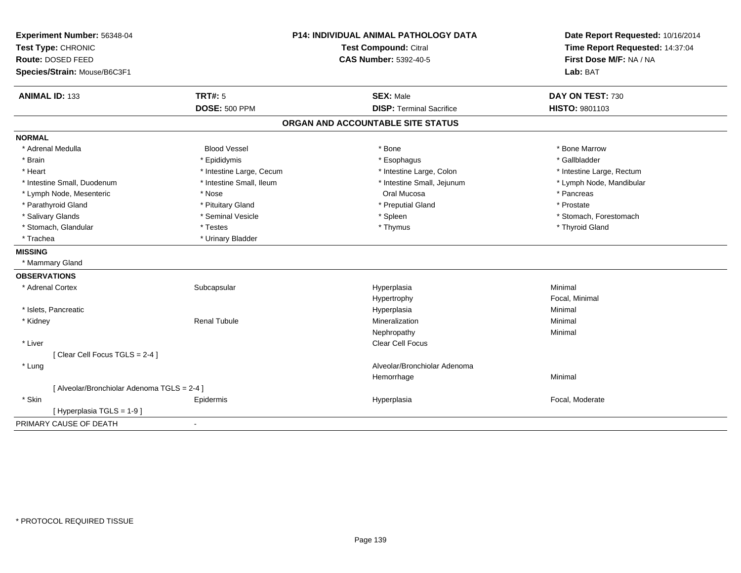| Time Report Requested: 14:37:04<br>First Dose M/F: NA / NA<br><b>CAS Number: 5392-40-5</b><br>Lab: BAT<br><b>ANIMAL ID: 133</b><br><b>TRT#: 5</b><br><b>SEX: Male</b><br>DAY ON TEST: 730<br><b>DOSE: 500 PPM</b><br><b>DISP: Terminal Sacrifice</b><br>HISTO: 9801103<br>ORGAN AND ACCOUNTABLE SITE STATUS<br>* Adrenal Medulla<br><b>Blood Vessel</b><br>* Bone<br>* Bone Marrow<br>* Brain<br>* Epididymis<br>* Esophagus<br>* Gallbladder<br>* Heart<br>* Intestine Large, Cecum<br>* Intestine Large, Colon<br>* Intestine Large, Rectum<br>* Intestine Small, Duodenum<br>* Intestine Small, Ileum<br>* Intestine Small, Jejunum<br>* Lymph Node, Mandibular<br>Oral Mucosa<br>* Nose<br>* Pancreas<br>* Lymph Node, Mesenteric<br>* Prostate<br>* Parathyroid Gland<br>* Pituitary Gland<br>* Preputial Gland<br>* Salivary Glands<br>* Seminal Vesicle<br>* Stomach, Forestomach<br>* Spleen<br>* Stomach, Glandular<br>* Thymus<br>* Thyroid Gland<br>* Testes<br>* Trachea<br>* Urinary Bladder<br>* Mammary Gland<br>Minimal<br>* Adrenal Cortex<br>Subcapsular<br>Hyperplasia<br>Focal, Minimal<br>Hypertrophy<br>* Islets, Pancreatic<br>Minimal<br>Hyperplasia<br><b>Renal Tubule</b><br>Mineralization<br>Minimal<br>* Kidney<br>Minimal<br>Nephropathy<br>* Liver<br>Clear Cell Focus<br>[Clear Cell Focus TGLS = 2-4]<br>Alveolar/Bronchiolar Adenoma<br>* Lung<br>Minimal<br>Hemorrhage<br>[ Alveolar/Bronchiolar Adenoma TGLS = 2-4 ]<br>* Skin<br>Focal, Moderate<br>Epidermis<br>Hyperplasia<br>[Hyperplasia TGLS = $1-9$ ]<br>$\blacksquare$ | Experiment Number: 56348-04  |  | P14: INDIVIDUAL ANIMAL PATHOLOGY DATA | Date Report Requested: 10/16/2014 |
|--------------------------------------------------------------------------------------------------------------------------------------------------------------------------------------------------------------------------------------------------------------------------------------------------------------------------------------------------------------------------------------------------------------------------------------------------------------------------------------------------------------------------------------------------------------------------------------------------------------------------------------------------------------------------------------------------------------------------------------------------------------------------------------------------------------------------------------------------------------------------------------------------------------------------------------------------------------------------------------------------------------------------------------------------------------------------------------------------------------------------------------------------------------------------------------------------------------------------------------------------------------------------------------------------------------------------------------------------------------------------------------------------------------------------------------------------------------------------------------------------------------------------------------------------------------------|------------------------------|--|---------------------------------------|-----------------------------------|
|                                                                                                                                                                                                                                                                                                                                                                                                                                                                                                                                                                                                                                                                                                                                                                                                                                                                                                                                                                                                                                                                                                                                                                                                                                                                                                                                                                                                                                                                                                                                                                    | Test Type: CHRONIC           |  | Test Compound: Citral                 |                                   |
|                                                                                                                                                                                                                                                                                                                                                                                                                                                                                                                                                                                                                                                                                                                                                                                                                                                                                                                                                                                                                                                                                                                                                                                                                                                                                                                                                                                                                                                                                                                                                                    | Route: DOSED FEED            |  |                                       |                                   |
|                                                                                                                                                                                                                                                                                                                                                                                                                                                                                                                                                                                                                                                                                                                                                                                                                                                                                                                                                                                                                                                                                                                                                                                                                                                                                                                                                                                                                                                                                                                                                                    | Species/Strain: Mouse/B6C3F1 |  |                                       |                                   |
|                                                                                                                                                                                                                                                                                                                                                                                                                                                                                                                                                                                                                                                                                                                                                                                                                                                                                                                                                                                                                                                                                                                                                                                                                                                                                                                                                                                                                                                                                                                                                                    |                              |  |                                       |                                   |
|                                                                                                                                                                                                                                                                                                                                                                                                                                                                                                                                                                                                                                                                                                                                                                                                                                                                                                                                                                                                                                                                                                                                                                                                                                                                                                                                                                                                                                                                                                                                                                    |                              |  |                                       |                                   |
|                                                                                                                                                                                                                                                                                                                                                                                                                                                                                                                                                                                                                                                                                                                                                                                                                                                                                                                                                                                                                                                                                                                                                                                                                                                                                                                                                                                                                                                                                                                                                                    |                              |  |                                       |                                   |
|                                                                                                                                                                                                                                                                                                                                                                                                                                                                                                                                                                                                                                                                                                                                                                                                                                                                                                                                                                                                                                                                                                                                                                                                                                                                                                                                                                                                                                                                                                                                                                    | <b>NORMAL</b>                |  |                                       |                                   |
|                                                                                                                                                                                                                                                                                                                                                                                                                                                                                                                                                                                                                                                                                                                                                                                                                                                                                                                                                                                                                                                                                                                                                                                                                                                                                                                                                                                                                                                                                                                                                                    |                              |  |                                       |                                   |
|                                                                                                                                                                                                                                                                                                                                                                                                                                                                                                                                                                                                                                                                                                                                                                                                                                                                                                                                                                                                                                                                                                                                                                                                                                                                                                                                                                                                                                                                                                                                                                    |                              |  |                                       |                                   |
|                                                                                                                                                                                                                                                                                                                                                                                                                                                                                                                                                                                                                                                                                                                                                                                                                                                                                                                                                                                                                                                                                                                                                                                                                                                                                                                                                                                                                                                                                                                                                                    |                              |  |                                       |                                   |
|                                                                                                                                                                                                                                                                                                                                                                                                                                                                                                                                                                                                                                                                                                                                                                                                                                                                                                                                                                                                                                                                                                                                                                                                                                                                                                                                                                                                                                                                                                                                                                    |                              |  |                                       |                                   |
|                                                                                                                                                                                                                                                                                                                                                                                                                                                                                                                                                                                                                                                                                                                                                                                                                                                                                                                                                                                                                                                                                                                                                                                                                                                                                                                                                                                                                                                                                                                                                                    |                              |  |                                       |                                   |
|                                                                                                                                                                                                                                                                                                                                                                                                                                                                                                                                                                                                                                                                                                                                                                                                                                                                                                                                                                                                                                                                                                                                                                                                                                                                                                                                                                                                                                                                                                                                                                    |                              |  |                                       |                                   |
|                                                                                                                                                                                                                                                                                                                                                                                                                                                                                                                                                                                                                                                                                                                                                                                                                                                                                                                                                                                                                                                                                                                                                                                                                                                                                                                                                                                                                                                                                                                                                                    |                              |  |                                       |                                   |
|                                                                                                                                                                                                                                                                                                                                                                                                                                                                                                                                                                                                                                                                                                                                                                                                                                                                                                                                                                                                                                                                                                                                                                                                                                                                                                                                                                                                                                                                                                                                                                    |                              |  |                                       |                                   |
|                                                                                                                                                                                                                                                                                                                                                                                                                                                                                                                                                                                                                                                                                                                                                                                                                                                                                                                                                                                                                                                                                                                                                                                                                                                                                                                                                                                                                                                                                                                                                                    |                              |  |                                       |                                   |
|                                                                                                                                                                                                                                                                                                                                                                                                                                                                                                                                                                                                                                                                                                                                                                                                                                                                                                                                                                                                                                                                                                                                                                                                                                                                                                                                                                                                                                                                                                                                                                    | <b>MISSING</b>               |  |                                       |                                   |
|                                                                                                                                                                                                                                                                                                                                                                                                                                                                                                                                                                                                                                                                                                                                                                                                                                                                                                                                                                                                                                                                                                                                                                                                                                                                                                                                                                                                                                                                                                                                                                    |                              |  |                                       |                                   |
|                                                                                                                                                                                                                                                                                                                                                                                                                                                                                                                                                                                                                                                                                                                                                                                                                                                                                                                                                                                                                                                                                                                                                                                                                                                                                                                                                                                                                                                                                                                                                                    | <b>OBSERVATIONS</b>          |  |                                       |                                   |
|                                                                                                                                                                                                                                                                                                                                                                                                                                                                                                                                                                                                                                                                                                                                                                                                                                                                                                                                                                                                                                                                                                                                                                                                                                                                                                                                                                                                                                                                                                                                                                    |                              |  |                                       |                                   |
|                                                                                                                                                                                                                                                                                                                                                                                                                                                                                                                                                                                                                                                                                                                                                                                                                                                                                                                                                                                                                                                                                                                                                                                                                                                                                                                                                                                                                                                                                                                                                                    |                              |  |                                       |                                   |
|                                                                                                                                                                                                                                                                                                                                                                                                                                                                                                                                                                                                                                                                                                                                                                                                                                                                                                                                                                                                                                                                                                                                                                                                                                                                                                                                                                                                                                                                                                                                                                    |                              |  |                                       |                                   |
|                                                                                                                                                                                                                                                                                                                                                                                                                                                                                                                                                                                                                                                                                                                                                                                                                                                                                                                                                                                                                                                                                                                                                                                                                                                                                                                                                                                                                                                                                                                                                                    |                              |  |                                       |                                   |
|                                                                                                                                                                                                                                                                                                                                                                                                                                                                                                                                                                                                                                                                                                                                                                                                                                                                                                                                                                                                                                                                                                                                                                                                                                                                                                                                                                                                                                                                                                                                                                    |                              |  |                                       |                                   |
|                                                                                                                                                                                                                                                                                                                                                                                                                                                                                                                                                                                                                                                                                                                                                                                                                                                                                                                                                                                                                                                                                                                                                                                                                                                                                                                                                                                                                                                                                                                                                                    |                              |  |                                       |                                   |
|                                                                                                                                                                                                                                                                                                                                                                                                                                                                                                                                                                                                                                                                                                                                                                                                                                                                                                                                                                                                                                                                                                                                                                                                                                                                                                                                                                                                                                                                                                                                                                    |                              |  |                                       |                                   |
|                                                                                                                                                                                                                                                                                                                                                                                                                                                                                                                                                                                                                                                                                                                                                                                                                                                                                                                                                                                                                                                                                                                                                                                                                                                                                                                                                                                                                                                                                                                                                                    |                              |  |                                       |                                   |
|                                                                                                                                                                                                                                                                                                                                                                                                                                                                                                                                                                                                                                                                                                                                                                                                                                                                                                                                                                                                                                                                                                                                                                                                                                                                                                                                                                                                                                                                                                                                                                    |                              |  |                                       |                                   |
|                                                                                                                                                                                                                                                                                                                                                                                                                                                                                                                                                                                                                                                                                                                                                                                                                                                                                                                                                                                                                                                                                                                                                                                                                                                                                                                                                                                                                                                                                                                                                                    |                              |  |                                       |                                   |
|                                                                                                                                                                                                                                                                                                                                                                                                                                                                                                                                                                                                                                                                                                                                                                                                                                                                                                                                                                                                                                                                                                                                                                                                                                                                                                                                                                                                                                                                                                                                                                    |                              |  |                                       |                                   |
|                                                                                                                                                                                                                                                                                                                                                                                                                                                                                                                                                                                                                                                                                                                                                                                                                                                                                                                                                                                                                                                                                                                                                                                                                                                                                                                                                                                                                                                                                                                                                                    |                              |  |                                       |                                   |
|                                                                                                                                                                                                                                                                                                                                                                                                                                                                                                                                                                                                                                                                                                                                                                                                                                                                                                                                                                                                                                                                                                                                                                                                                                                                                                                                                                                                                                                                                                                                                                    | PRIMARY CAUSE OF DEATH       |  |                                       |                                   |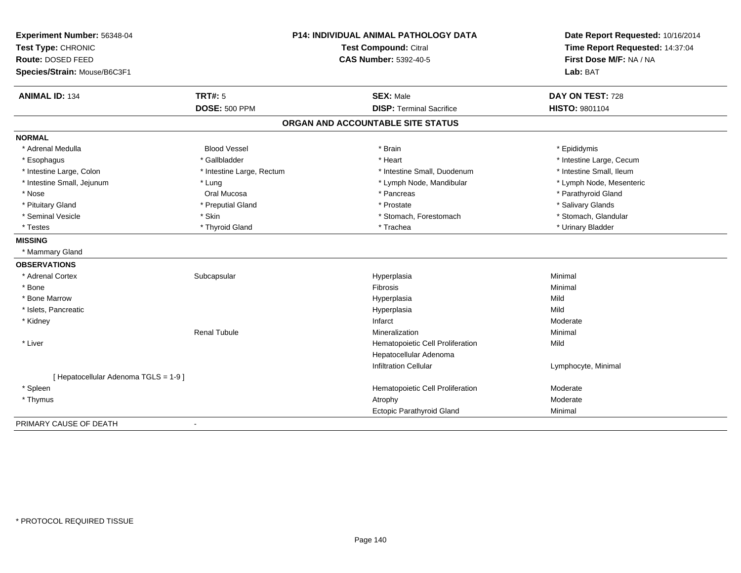| Experiment Number: 56348-04          | <b>P14: INDIVIDUAL ANIMAL PATHOLOGY DATA</b> |                                   | Date Report Requested: 10/16/2014 |
|--------------------------------------|----------------------------------------------|-----------------------------------|-----------------------------------|
| Test Type: CHRONIC                   |                                              | Test Compound: Citral             | Time Report Requested: 14:37:04   |
| Route: DOSED FEED                    |                                              | <b>CAS Number: 5392-40-5</b>      | First Dose M/F: NA / NA           |
| Species/Strain: Mouse/B6C3F1         |                                              |                                   | Lab: BAT                          |
| <b>ANIMAL ID: 134</b>                | <b>TRT#: 5</b>                               | <b>SEX: Male</b>                  | DAY ON TEST: 728                  |
|                                      | <b>DOSE: 500 PPM</b>                         | <b>DISP: Terminal Sacrifice</b>   | <b>HISTO: 9801104</b>             |
|                                      |                                              | ORGAN AND ACCOUNTABLE SITE STATUS |                                   |
| <b>NORMAL</b>                        |                                              |                                   |                                   |
| * Adrenal Medulla                    | <b>Blood Vessel</b>                          | * Brain                           | * Epididymis                      |
| * Esophagus                          | * Gallbladder                                | * Heart                           | * Intestine Large, Cecum          |
| * Intestine Large, Colon             | * Intestine Large, Rectum                    | * Intestine Small, Duodenum       | * Intestine Small, Ileum          |
| * Intestine Small, Jejunum           | * Lung                                       | * Lymph Node, Mandibular          | * Lymph Node, Mesenteric          |
| * Nose                               | Oral Mucosa                                  | * Pancreas                        | * Parathyroid Gland               |
| * Pituitary Gland                    | * Preputial Gland                            | * Prostate                        | * Salivary Glands                 |
| * Seminal Vesicle                    | * Skin                                       | * Stomach, Forestomach            | * Stomach, Glandular              |
| * Testes                             | * Thyroid Gland                              | * Trachea                         | * Urinary Bladder                 |
| <b>MISSING</b>                       |                                              |                                   |                                   |
| * Mammary Gland                      |                                              |                                   |                                   |
| <b>OBSERVATIONS</b>                  |                                              |                                   |                                   |
| * Adrenal Cortex                     | Subcapsular                                  | Hyperplasia                       | Minimal                           |
| * Bone                               |                                              | Fibrosis                          | Minimal                           |
| * Bone Marrow                        |                                              | Hyperplasia                       | Mild                              |
| * Islets, Pancreatic                 |                                              | Hyperplasia                       | Mild                              |
| * Kidney                             |                                              | Infarct                           | Moderate                          |
|                                      | <b>Renal Tubule</b>                          | Mineralization                    | Minimal                           |
| * Liver                              |                                              | Hematopoietic Cell Proliferation  | Mild                              |
|                                      |                                              | Hepatocellular Adenoma            |                                   |
|                                      |                                              | <b>Infiltration Cellular</b>      | Lymphocyte, Minimal               |
| [ Hepatocellular Adenoma TGLS = 1-9] |                                              |                                   |                                   |
| * Spleen                             |                                              | Hematopoietic Cell Proliferation  | Moderate                          |
| * Thymus                             |                                              | Atrophy                           | Moderate                          |
|                                      |                                              | Ectopic Parathyroid Gland         | Minimal                           |
| PRIMARY CAUSE OF DEATH               | $\blacksquare$                               |                                   |                                   |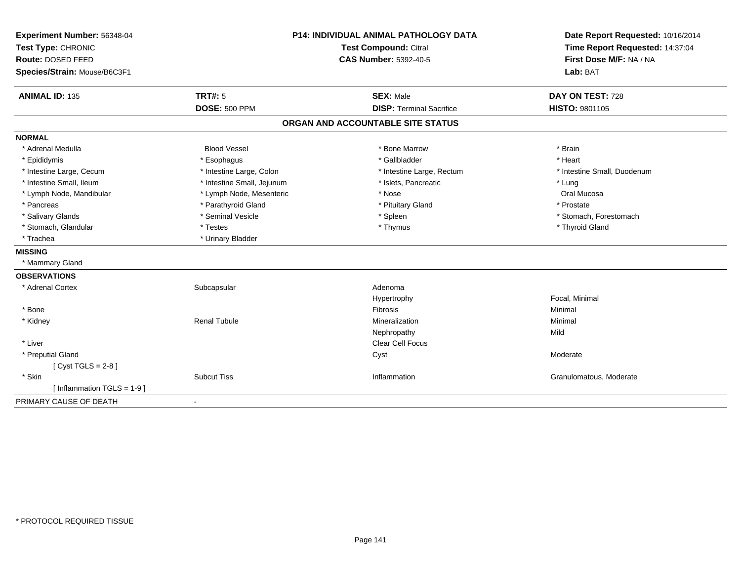| Experiment Number: 56348-04  | <b>P14: INDIVIDUAL ANIMAL PATHOLOGY DATA</b><br>Test Compound: Citral |                                   | Date Report Requested: 10/16/2014 |
|------------------------------|-----------------------------------------------------------------------|-----------------------------------|-----------------------------------|
| Test Type: CHRONIC           |                                                                       |                                   | Time Report Requested: 14:37:04   |
| Route: DOSED FEED            |                                                                       | <b>CAS Number: 5392-40-5</b>      | First Dose M/F: NA / NA           |
| Species/Strain: Mouse/B6C3F1 |                                                                       |                                   | Lab: BAT                          |
| <b>ANIMAL ID: 135</b>        | <b>TRT#: 5</b>                                                        | <b>SEX: Male</b>                  | DAY ON TEST: 728                  |
|                              | <b>DOSE: 500 PPM</b>                                                  | <b>DISP: Terminal Sacrifice</b>   | <b>HISTO: 9801105</b>             |
|                              |                                                                       | ORGAN AND ACCOUNTABLE SITE STATUS |                                   |
| <b>NORMAL</b>                |                                                                       |                                   |                                   |
| * Adrenal Medulla            | <b>Blood Vessel</b>                                                   | * Bone Marrow                     | * Brain                           |
| * Epididymis                 | * Esophagus                                                           | * Gallbladder                     | * Heart                           |
| * Intestine Large, Cecum     | * Intestine Large, Colon                                              | * Intestine Large, Rectum         | * Intestine Small, Duodenum       |
| * Intestine Small, Ileum     | * Intestine Small, Jejunum                                            | * Islets, Pancreatic              | * Lung                            |
| * Lymph Node, Mandibular     | * Lymph Node, Mesenteric                                              | * Nose                            | Oral Mucosa                       |
| * Pancreas                   | * Parathyroid Gland                                                   | * Pituitary Gland                 | * Prostate                        |
| * Salivary Glands            | * Seminal Vesicle                                                     | * Spleen                          | * Stomach, Forestomach            |
| * Stomach, Glandular         | * Testes                                                              | * Thymus                          | * Thyroid Gland                   |
| * Trachea                    | * Urinary Bladder                                                     |                                   |                                   |
| <b>MISSING</b>               |                                                                       |                                   |                                   |
| * Mammary Gland              |                                                                       |                                   |                                   |
| <b>OBSERVATIONS</b>          |                                                                       |                                   |                                   |
| * Adrenal Cortex             | Subcapsular                                                           | Adenoma                           |                                   |
|                              |                                                                       | Hypertrophy                       | Focal, Minimal                    |
| * Bone                       |                                                                       | <b>Fibrosis</b>                   | Minimal                           |
| * Kidney                     | <b>Renal Tubule</b>                                                   | Mineralization                    | Minimal                           |
|                              |                                                                       | Nephropathy                       | Mild                              |
| * Liver                      |                                                                       | <b>Clear Cell Focus</b>           |                                   |
| * Preputial Gland            |                                                                       | Cyst                              | Moderate                          |
| [Cyst TGLS = $2-8$ ]         |                                                                       |                                   |                                   |
| * Skin                       | <b>Subcut Tiss</b>                                                    | Inflammation                      | Granulomatous, Moderate           |
| [Inflammation TGLS = $1-9$ ] |                                                                       |                                   |                                   |
| PRIMARY CAUSE OF DEATH       | $\sim$                                                                |                                   |                                   |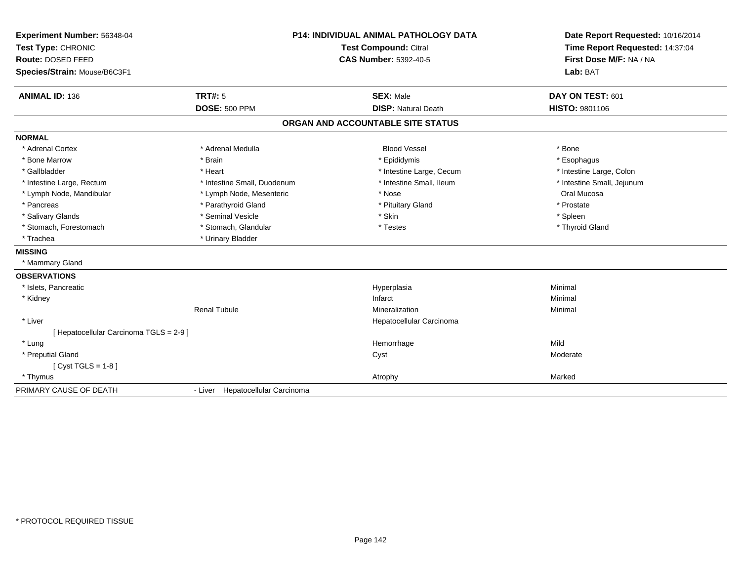| Experiment Number: 56348-04             | P14: INDIVIDUAL ANIMAL PATHOLOGY DATA<br><b>Test Compound: Citral</b> |                                   | Date Report Requested: 10/16/2014 |
|-----------------------------------------|-----------------------------------------------------------------------|-----------------------------------|-----------------------------------|
| Test Type: CHRONIC                      |                                                                       |                                   | Time Report Requested: 14:37:04   |
| Route: DOSED FEED                       |                                                                       | <b>CAS Number: 5392-40-5</b>      | First Dose M/F: NA / NA           |
| Species/Strain: Mouse/B6C3F1            |                                                                       |                                   | Lab: BAT                          |
| <b>ANIMAL ID: 136</b>                   | TRT#: 5                                                               | <b>SEX: Male</b>                  | DAY ON TEST: 601                  |
|                                         | <b>DOSE: 500 PPM</b>                                                  | <b>DISP: Natural Death</b>        | HISTO: 9801106                    |
|                                         |                                                                       | ORGAN AND ACCOUNTABLE SITE STATUS |                                   |
| <b>NORMAL</b>                           |                                                                       |                                   |                                   |
| * Adrenal Cortex                        | * Adrenal Medulla                                                     | <b>Blood Vessel</b>               | * Bone                            |
| * Bone Marrow                           | * Brain                                                               | * Epididymis                      | * Esophagus                       |
| * Gallbladder                           | * Heart                                                               | * Intestine Large, Cecum          | * Intestine Large, Colon          |
| * Intestine Large, Rectum               | * Intestine Small, Duodenum                                           | * Intestine Small, Ileum          | * Intestine Small, Jejunum        |
| * Lymph Node, Mandibular                | * Lymph Node, Mesenteric                                              | * Nose                            | Oral Mucosa                       |
| * Pancreas                              | * Parathyroid Gland                                                   | * Pituitary Gland                 | * Prostate                        |
| * Salivary Glands                       | * Seminal Vesicle                                                     | * Skin                            | * Spleen                          |
| * Stomach, Forestomach                  | * Stomach, Glandular                                                  | * Testes                          | * Thyroid Gland                   |
| * Trachea                               | * Urinary Bladder                                                     |                                   |                                   |
| <b>MISSING</b>                          |                                                                       |                                   |                                   |
| * Mammary Gland                         |                                                                       |                                   |                                   |
| <b>OBSERVATIONS</b>                     |                                                                       |                                   |                                   |
| * Islets, Pancreatic                    |                                                                       | Hyperplasia                       | Minimal                           |
| * Kidney                                |                                                                       | Infarct                           | Minimal                           |
|                                         | <b>Renal Tubule</b>                                                   | Mineralization                    | Minimal                           |
| * Liver                                 |                                                                       | Hepatocellular Carcinoma          |                                   |
| [ Hepatocellular Carcinoma TGLS = 2-9 ] |                                                                       |                                   |                                   |
| * Lung                                  |                                                                       | Hemorrhage                        | Mild                              |
| * Preputial Gland                       |                                                                       | Cyst                              | Moderate                          |
| $Cyst TGLS = 1-8$                       |                                                                       |                                   |                                   |
| * Thymus                                |                                                                       | Atrophy                           | Marked                            |
| PRIMARY CAUSE OF DEATH                  | - Liver Hepatocellular Carcinoma                                      |                                   |                                   |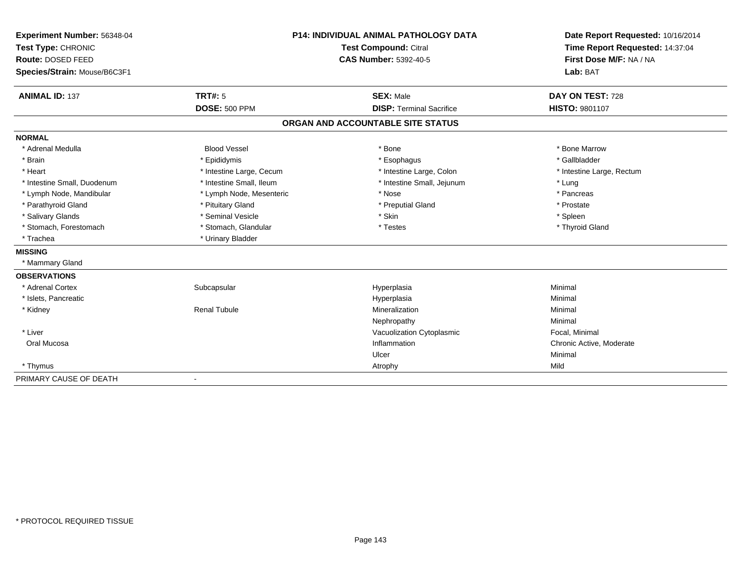| Experiment Number: 56348-04<br>Test Type: CHRONIC | <b>P14: INDIVIDUAL ANIMAL PATHOLOGY DATA</b> |                                                       | Date Report Requested: 10/16/2014<br>Time Report Requested: 14:37:04 |
|---------------------------------------------------|----------------------------------------------|-------------------------------------------------------|----------------------------------------------------------------------|
| Route: DOSED FEED                                 |                                              | Test Compound: Citral<br><b>CAS Number: 5392-40-5</b> | First Dose M/F: NA / NA                                              |
|                                                   |                                              |                                                       | Lab: BAT                                                             |
| Species/Strain: Mouse/B6C3F1                      |                                              |                                                       |                                                                      |
| <b>ANIMAL ID: 137</b>                             | <b>TRT#: 5</b>                               | <b>SEX: Male</b>                                      | DAY ON TEST: 728                                                     |
|                                                   | <b>DOSE: 500 PPM</b>                         | <b>DISP: Terminal Sacrifice</b>                       | HISTO: 9801107                                                       |
|                                                   |                                              | ORGAN AND ACCOUNTABLE SITE STATUS                     |                                                                      |
| <b>NORMAL</b>                                     |                                              |                                                       |                                                                      |
| * Adrenal Medulla                                 | <b>Blood Vessel</b>                          | * Bone                                                | * Bone Marrow                                                        |
| * Brain                                           | * Epididymis                                 | * Esophagus                                           | * Gallbladder                                                        |
| * Heart                                           | * Intestine Large, Cecum                     | * Intestine Large, Colon                              | * Intestine Large, Rectum                                            |
| * Intestine Small, Duodenum                       | * Intestine Small, Ileum                     | * Intestine Small, Jejunum                            | * Lung                                                               |
| * Lymph Node, Mandibular                          | * Lymph Node, Mesenteric                     | * Nose                                                | * Pancreas                                                           |
| * Parathyroid Gland                               | * Pituitary Gland                            | * Preputial Gland                                     | * Prostate                                                           |
| * Salivary Glands                                 | * Seminal Vesicle                            | * Skin                                                | * Spleen                                                             |
| * Stomach, Forestomach                            | * Stomach, Glandular                         | * Testes                                              | * Thyroid Gland                                                      |
| * Trachea                                         | * Urinary Bladder                            |                                                       |                                                                      |
| <b>MISSING</b>                                    |                                              |                                                       |                                                                      |
| * Mammary Gland                                   |                                              |                                                       |                                                                      |
| <b>OBSERVATIONS</b>                               |                                              |                                                       |                                                                      |
| * Adrenal Cortex                                  | Subcapsular                                  | Hyperplasia                                           | Minimal                                                              |
| * Islets, Pancreatic                              |                                              | Hyperplasia                                           | Minimal                                                              |
| * Kidney                                          | <b>Renal Tubule</b>                          | Mineralization                                        | Minimal                                                              |
|                                                   |                                              | Nephropathy                                           | Minimal                                                              |
| * Liver                                           |                                              | Vacuolization Cytoplasmic                             | Focal, Minimal                                                       |
| Oral Mucosa                                       |                                              | Inflammation                                          | Chronic Active, Moderate                                             |
|                                                   |                                              | Ulcer                                                 | Minimal                                                              |
| * Thymus                                          |                                              | Atrophy                                               | Mild                                                                 |
| PRIMARY CAUSE OF DEATH                            | $\overline{\phantom{a}}$                     |                                                       |                                                                      |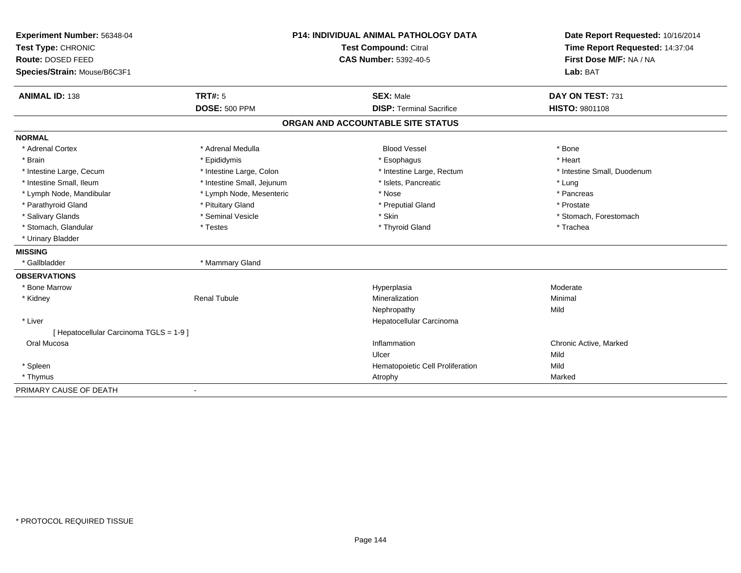| Experiment Number: 56348-04             | <b>P14: INDIVIDUAL ANIMAL PATHOLOGY DATA</b><br><b>Test Compound: Citral</b> |                                   | Date Report Requested: 10/16/2014<br>Time Report Requested: 14:37:04 |
|-----------------------------------------|------------------------------------------------------------------------------|-----------------------------------|----------------------------------------------------------------------|
| Test Type: CHRONIC                      |                                                                              |                                   |                                                                      |
| Route: DOSED FEED                       |                                                                              | <b>CAS Number: 5392-40-5</b>      | First Dose M/F: NA / NA                                              |
| Species/Strain: Mouse/B6C3F1            |                                                                              |                                   | Lab: BAT                                                             |
| <b>ANIMAL ID: 138</b>                   | TRT#: 5                                                                      | <b>SEX: Male</b>                  | DAY ON TEST: 731                                                     |
|                                         | <b>DOSE: 500 PPM</b>                                                         | <b>DISP: Terminal Sacrifice</b>   | HISTO: 9801108                                                       |
|                                         |                                                                              | ORGAN AND ACCOUNTABLE SITE STATUS |                                                                      |
| <b>NORMAL</b>                           |                                                                              |                                   |                                                                      |
| * Adrenal Cortex                        | * Adrenal Medulla                                                            | <b>Blood Vessel</b>               | * Bone                                                               |
| * Brain                                 | * Epididymis                                                                 | * Esophagus                       | * Heart                                                              |
| * Intestine Large, Cecum                | * Intestine Large, Colon                                                     | * Intestine Large, Rectum         | * Intestine Small, Duodenum                                          |
| * Intestine Small, Ileum                | * Intestine Small, Jejunum                                                   | * Islets, Pancreatic              | * Lung                                                               |
| * Lymph Node, Mandibular                | * Lymph Node, Mesenteric                                                     | * Nose                            | * Pancreas                                                           |
| * Parathyroid Gland                     | * Pituitary Gland                                                            | * Preputial Gland                 | * Prostate                                                           |
| * Salivary Glands                       | * Seminal Vesicle                                                            | * Skin                            | * Stomach, Forestomach                                               |
| * Stomach, Glandular                    | * Testes                                                                     | * Thyroid Gland                   | * Trachea                                                            |
| * Urinary Bladder                       |                                                                              |                                   |                                                                      |
| <b>MISSING</b>                          |                                                                              |                                   |                                                                      |
| * Gallbladder                           | * Mammary Gland                                                              |                                   |                                                                      |
| <b>OBSERVATIONS</b>                     |                                                                              |                                   |                                                                      |
| * Bone Marrow                           |                                                                              | Hyperplasia                       | Moderate                                                             |
| * Kidney                                | <b>Renal Tubule</b>                                                          | Mineralization                    | Minimal                                                              |
|                                         |                                                                              | Nephropathy                       | Mild                                                                 |
| * Liver                                 |                                                                              | Hepatocellular Carcinoma          |                                                                      |
| [ Hepatocellular Carcinoma TGLS = 1-9 ] |                                                                              |                                   |                                                                      |
| Oral Mucosa                             |                                                                              | Inflammation                      | Chronic Active, Marked                                               |
|                                         |                                                                              | Ulcer                             | Mild                                                                 |
| * Spleen                                |                                                                              | Hematopoietic Cell Proliferation  | Mild                                                                 |
| * Thymus                                |                                                                              | Atrophy                           | Marked                                                               |
| PRIMARY CAUSE OF DEATH                  | $\blacksquare$                                                               |                                   |                                                                      |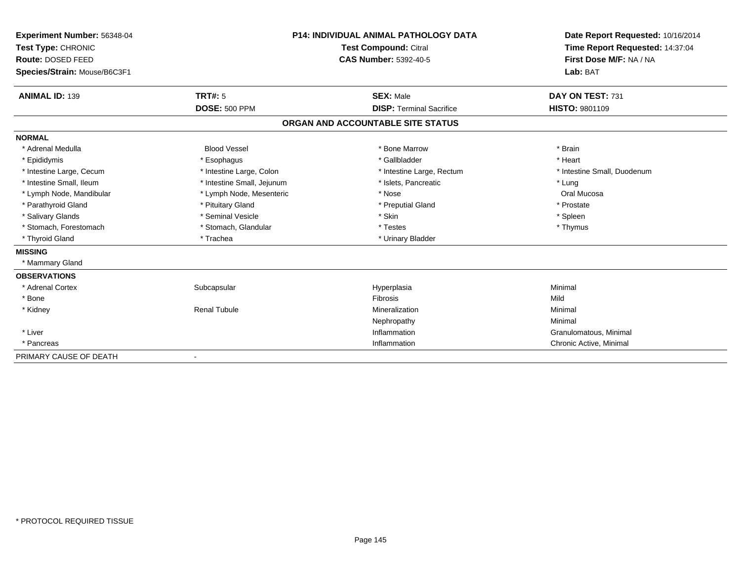| Experiment Number: 56348-04  |                            | <b>P14: INDIVIDUAL ANIMAL PATHOLOGY DATA</b> | Date Report Requested: 10/16/2014<br>Time Report Requested: 14:37:04 |
|------------------------------|----------------------------|----------------------------------------------|----------------------------------------------------------------------|
| Test Type: CHRONIC           |                            | <b>Test Compound: Citral</b>                 |                                                                      |
| Route: DOSED FEED            |                            | <b>CAS Number: 5392-40-5</b>                 | First Dose M/F: NA / NA                                              |
| Species/Strain: Mouse/B6C3F1 |                            |                                              | Lab: BAT                                                             |
| <b>ANIMAL ID: 139</b>        | <b>TRT#: 5</b>             | <b>SEX: Male</b>                             | DAY ON TEST: 731                                                     |
|                              | <b>DOSE: 500 PPM</b>       | <b>DISP:</b> Terminal Sacrifice              | <b>HISTO: 9801109</b>                                                |
|                              |                            | ORGAN AND ACCOUNTABLE SITE STATUS            |                                                                      |
| <b>NORMAL</b>                |                            |                                              |                                                                      |
| * Adrenal Medulla            | <b>Blood Vessel</b>        | * Bone Marrow                                | * Brain                                                              |
| * Epididymis                 | * Esophagus                | * Gallbladder                                | * Heart                                                              |
| * Intestine Large, Cecum     | * Intestine Large, Colon   | * Intestine Large, Rectum                    | * Intestine Small, Duodenum                                          |
| * Intestine Small, Ileum     | * Intestine Small, Jejunum | * Islets, Pancreatic                         | * Lung                                                               |
| * Lymph Node, Mandibular     | * Lymph Node, Mesenteric   | * Nose                                       | Oral Mucosa                                                          |
| * Parathyroid Gland          | * Pituitary Gland          | * Preputial Gland                            | * Prostate                                                           |
| * Salivary Glands            | * Seminal Vesicle          | * Skin                                       | * Spleen                                                             |
| * Stomach, Forestomach       | * Stomach, Glandular       | * Testes                                     | * Thymus                                                             |
| * Thyroid Gland              | * Trachea                  | * Urinary Bladder                            |                                                                      |
| <b>MISSING</b>               |                            |                                              |                                                                      |
| * Mammary Gland              |                            |                                              |                                                                      |
| <b>OBSERVATIONS</b>          |                            |                                              |                                                                      |
| * Adrenal Cortex             | Subcapsular                | Hyperplasia                                  | Minimal                                                              |
| * Bone                       |                            | Fibrosis                                     | Mild                                                                 |
| * Kidney                     | <b>Renal Tubule</b>        | Mineralization                               | Minimal                                                              |
|                              |                            | Nephropathy                                  | Minimal                                                              |
| * Liver                      |                            | Inflammation                                 | Granulomatous, Minimal                                               |
| * Pancreas                   |                            | Inflammation                                 | Chronic Active, Minimal                                              |
| PRIMARY CAUSE OF DEATH       |                            |                                              |                                                                      |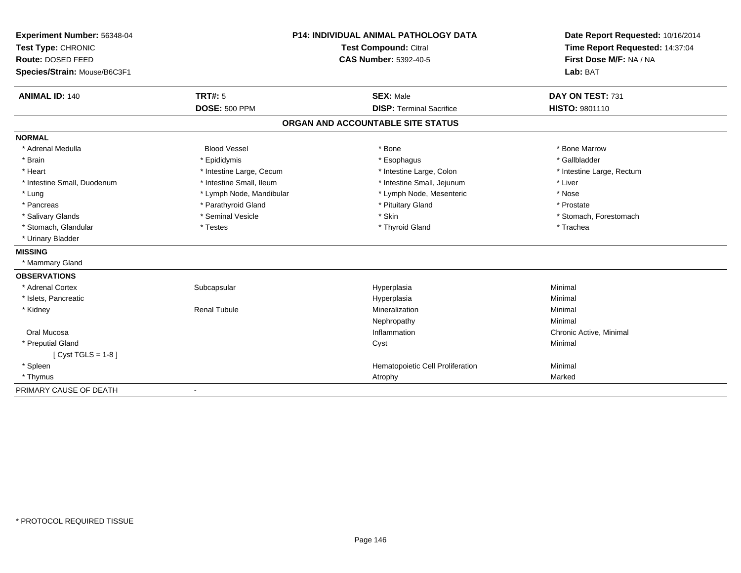| Experiment Number: 56348-04  | <b>P14: INDIVIDUAL ANIMAL PATHOLOGY DATA</b><br><b>Test Compound: Citral</b> |                                   | Date Report Requested: 10/16/2014 |
|------------------------------|------------------------------------------------------------------------------|-----------------------------------|-----------------------------------|
| Test Type: CHRONIC           |                                                                              |                                   | Time Report Requested: 14:37:04   |
| Route: DOSED FEED            |                                                                              | <b>CAS Number: 5392-40-5</b>      | First Dose M/F: NA / NA           |
| Species/Strain: Mouse/B6C3F1 |                                                                              |                                   | Lab: BAT                          |
| <b>ANIMAL ID: 140</b>        | TRT#: 5                                                                      | <b>SEX: Male</b>                  | DAY ON TEST: 731                  |
|                              | <b>DOSE: 500 PPM</b>                                                         | <b>DISP: Terminal Sacrifice</b>   | HISTO: 9801110                    |
|                              |                                                                              | ORGAN AND ACCOUNTABLE SITE STATUS |                                   |
| <b>NORMAL</b>                |                                                                              |                                   |                                   |
| * Adrenal Medulla            | <b>Blood Vessel</b>                                                          | * Bone                            | * Bone Marrow                     |
| * Brain                      | * Epididymis                                                                 | * Esophagus                       | * Gallbladder                     |
| * Heart                      | * Intestine Large, Cecum                                                     | * Intestine Large, Colon          | * Intestine Large, Rectum         |
| * Intestine Small, Duodenum  | * Intestine Small, Ileum                                                     | * Intestine Small, Jejunum        | * Liver                           |
| * Lung                       | * Lymph Node, Mandibular                                                     | * Lymph Node, Mesenteric          | * Nose                            |
| * Pancreas                   | * Parathyroid Gland                                                          | * Pituitary Gland                 | * Prostate                        |
| * Salivary Glands            | * Seminal Vesicle                                                            | * Skin                            | * Stomach, Forestomach            |
| * Stomach, Glandular         | * Testes                                                                     | * Thyroid Gland                   | * Trachea                         |
| * Urinary Bladder            |                                                                              |                                   |                                   |
| <b>MISSING</b>               |                                                                              |                                   |                                   |
| * Mammary Gland              |                                                                              |                                   |                                   |
| <b>OBSERVATIONS</b>          |                                                                              |                                   |                                   |
| * Adrenal Cortex             | Subcapsular                                                                  | Hyperplasia                       | Minimal                           |
| * Islets, Pancreatic         |                                                                              | Hyperplasia                       | Minimal                           |
| * Kidney                     | <b>Renal Tubule</b>                                                          | Mineralization                    | Minimal                           |
|                              |                                                                              | Nephropathy                       | Minimal                           |
| Oral Mucosa                  |                                                                              | Inflammation                      | Chronic Active, Minimal           |
| * Preputial Gland            |                                                                              | Cyst                              | Minimal                           |
| $[Cyst TGLS = 1-8]$          |                                                                              |                                   |                                   |
| * Spleen                     |                                                                              | Hematopoietic Cell Proliferation  | Minimal                           |
| * Thymus                     |                                                                              | Atrophy                           | Marked                            |
| PRIMARY CAUSE OF DEATH       | $\blacksquare$                                                               |                                   |                                   |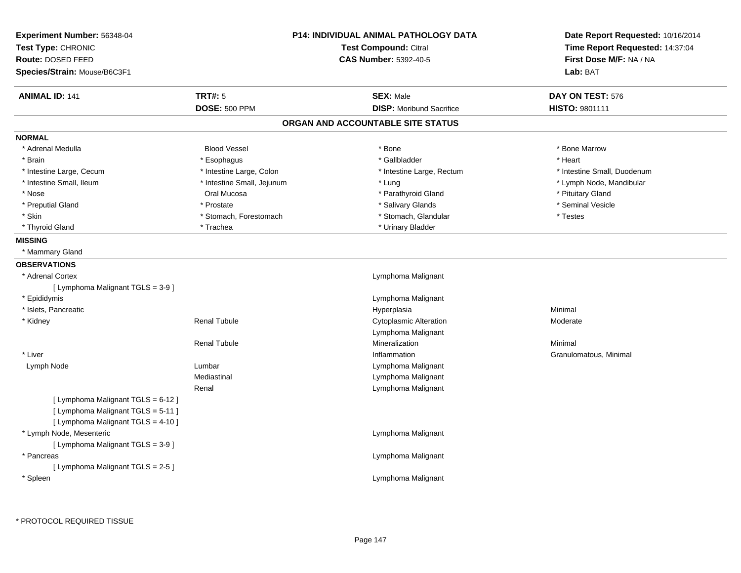| Experiment Number: 56348-04<br>Test Type: CHRONIC<br>Route: DOSED FEED                                         |                            | <b>P14: INDIVIDUAL ANIMAL PATHOLOGY DATA</b><br><b>Test Compound: Citral</b><br><b>CAS Number: 5392-40-5</b> | Date Report Requested: 10/16/2014<br>Time Report Requested: 14:37:04<br>First Dose M/F: NA / NA |
|----------------------------------------------------------------------------------------------------------------|----------------------------|--------------------------------------------------------------------------------------------------------------|-------------------------------------------------------------------------------------------------|
| Species/Strain: Mouse/B6C3F1                                                                                   |                            |                                                                                                              | Lab: BAT                                                                                        |
| <b>ANIMAL ID: 141</b>                                                                                          | <b>TRT#: 5</b>             | <b>SEX: Male</b>                                                                                             | DAY ON TEST: 576                                                                                |
|                                                                                                                | <b>DOSE: 500 PPM</b>       | <b>DISP:</b> Moribund Sacrifice                                                                              | HISTO: 9801111                                                                                  |
|                                                                                                                |                            | ORGAN AND ACCOUNTABLE SITE STATUS                                                                            |                                                                                                 |
| <b>NORMAL</b>                                                                                                  |                            |                                                                                                              |                                                                                                 |
| * Adrenal Medulla                                                                                              | <b>Blood Vessel</b>        | * Bone                                                                                                       | * Bone Marrow                                                                                   |
| * Brain                                                                                                        | * Esophagus                | * Gallbladder                                                                                                | * Heart                                                                                         |
| * Intestine Large, Cecum                                                                                       | * Intestine Large, Colon   | * Intestine Large, Rectum                                                                                    | * Intestine Small, Duodenum                                                                     |
| * Intestine Small, Ileum                                                                                       | * Intestine Small, Jejunum | * Lung                                                                                                       | * Lymph Node, Mandibular                                                                        |
| * Nose                                                                                                         | Oral Mucosa                | * Parathyroid Gland                                                                                          | * Pituitary Gland                                                                               |
| * Preputial Gland                                                                                              | * Prostate                 | * Salivary Glands                                                                                            | * Seminal Vesicle                                                                               |
| * Skin                                                                                                         | * Stomach, Forestomach     | * Stomach, Glandular                                                                                         | * Testes                                                                                        |
| * Thyroid Gland                                                                                                | * Trachea                  | * Urinary Bladder                                                                                            |                                                                                                 |
| <b>MISSING</b>                                                                                                 |                            |                                                                                                              |                                                                                                 |
| * Mammary Gland                                                                                                |                            |                                                                                                              |                                                                                                 |
| <b>OBSERVATIONS</b>                                                                                            |                            |                                                                                                              |                                                                                                 |
| * Adrenal Cortex                                                                                               |                            | Lymphoma Malignant                                                                                           |                                                                                                 |
| [ Lymphoma Malignant TGLS = 3-9 ]                                                                              |                            |                                                                                                              |                                                                                                 |
| * Epididymis                                                                                                   |                            | Lymphoma Malignant                                                                                           |                                                                                                 |
| * Islets, Pancreatic                                                                                           |                            | Hyperplasia                                                                                                  | Minimal                                                                                         |
| * Kidney                                                                                                       | <b>Renal Tubule</b>        | <b>Cytoplasmic Alteration</b>                                                                                | Moderate                                                                                        |
|                                                                                                                |                            | Lymphoma Malignant                                                                                           |                                                                                                 |
|                                                                                                                | <b>Renal Tubule</b>        | Mineralization                                                                                               | Minimal                                                                                         |
| * Liver                                                                                                        |                            | Inflammation                                                                                                 | Granulomatous, Minimal                                                                          |
| Lymph Node                                                                                                     | Lumbar                     | Lymphoma Malignant                                                                                           |                                                                                                 |
|                                                                                                                | Mediastinal                | Lymphoma Malignant                                                                                           |                                                                                                 |
|                                                                                                                | Renal                      | Lymphoma Malignant                                                                                           |                                                                                                 |
| [ Lymphoma Malignant TGLS = 6-12 ]<br>[ Lymphoma Malignant TGLS = 5-11 ]<br>[ Lymphoma Malignant TGLS = 4-10 ] |                            |                                                                                                              |                                                                                                 |
| * Lymph Node, Mesenteric<br>[ Lymphoma Malignant TGLS = 3-9 ]                                                  |                            | Lymphoma Malignant                                                                                           |                                                                                                 |
| * Pancreas<br>[ Lymphoma Malignant TGLS = 2-5 ]                                                                |                            | Lymphoma Malignant                                                                                           |                                                                                                 |
| * Spleen                                                                                                       |                            | Lymphoma Malignant                                                                                           |                                                                                                 |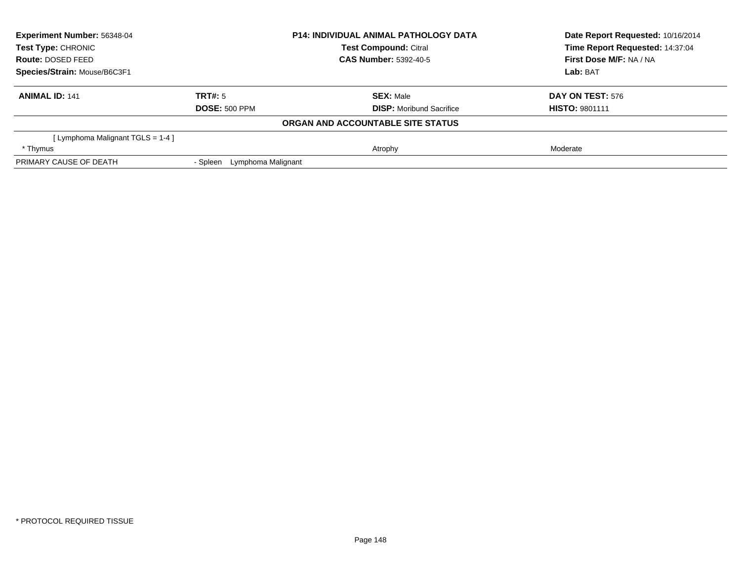| <b>Experiment Number: 56348-04</b>  |                                | <b>P14: INDIVIDUAL ANIMAL PATHOLOGY DATA</b> | Date Report Requested: 10/16/2014<br>Time Report Requested: 14:37:04 |
|-------------------------------------|--------------------------------|----------------------------------------------|----------------------------------------------------------------------|
| Test Type: CHRONIC                  |                                | <b>Test Compound: Citral</b>                 |                                                                      |
| <b>Route: DOSED FEED</b>            |                                | <b>CAS Number: 5392-40-5</b>                 | First Dose M/F: NA / NA                                              |
| Species/Strain: Mouse/B6C3F1        |                                |                                              | Lab: BAT                                                             |
| <b>ANIMAL ID: 141</b>               | TRT#: 5                        | <b>SEX: Male</b>                             | <b>DAY ON TEST: 576</b>                                              |
|                                     | <b>DOSE: 500 PPM</b>           | <b>DISP:</b> Moribund Sacrifice              | <b>HISTO: 9801111</b>                                                |
|                                     |                                | ORGAN AND ACCOUNTABLE SITE STATUS            |                                                                      |
| [ Lymphoma Malignant TGLS = $1-4$ ] |                                |                                              |                                                                      |
| * Thymus                            |                                | Atrophy                                      | Moderate                                                             |
| PRIMARY CAUSE OF DEATH              | Lymphoma Malignant<br>- Spleen |                                              |                                                                      |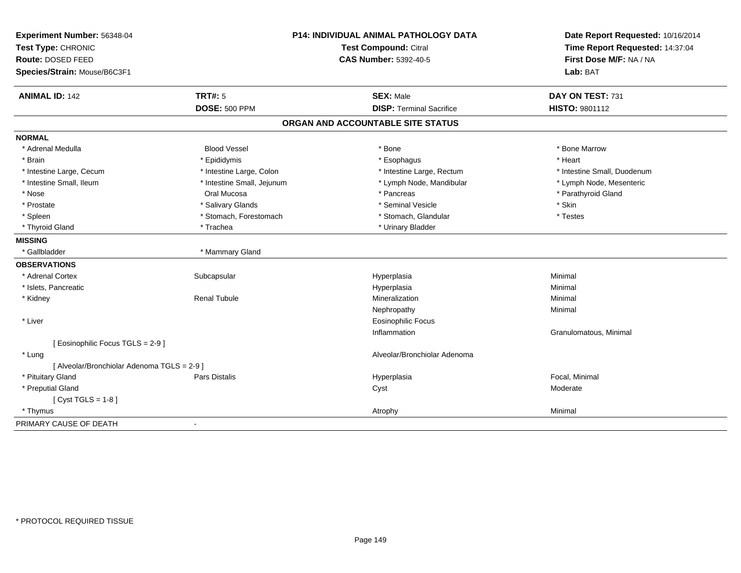| Experiment Number: 56348-04                 | <b>P14: INDIVIDUAL ANIMAL PATHOLOGY DATA</b><br><b>Test Compound: Citral</b> |                                   | Date Report Requested: 10/16/2014 |
|---------------------------------------------|------------------------------------------------------------------------------|-----------------------------------|-----------------------------------|
| Test Type: CHRONIC                          |                                                                              |                                   | Time Report Requested: 14:37:04   |
| Route: DOSED FEED                           |                                                                              | <b>CAS Number: 5392-40-5</b>      | First Dose M/F: NA / NA           |
| Species/Strain: Mouse/B6C3F1                |                                                                              |                                   | Lab: BAT                          |
| <b>ANIMAL ID: 142</b>                       | <b>TRT#: 5</b>                                                               | <b>SEX: Male</b>                  | DAY ON TEST: 731                  |
|                                             | <b>DOSE: 500 PPM</b>                                                         | <b>DISP: Terminal Sacrifice</b>   | HISTO: 9801112                    |
|                                             |                                                                              | ORGAN AND ACCOUNTABLE SITE STATUS |                                   |
| <b>NORMAL</b>                               |                                                                              |                                   |                                   |
| * Adrenal Medulla                           | <b>Blood Vessel</b>                                                          | * Bone                            | * Bone Marrow                     |
| * Brain                                     | * Epididymis                                                                 | * Esophagus                       | * Heart                           |
| * Intestine Large, Cecum                    | * Intestine Large, Colon                                                     | * Intestine Large, Rectum         | * Intestine Small, Duodenum       |
| * Intestine Small, Ileum                    | * Intestine Small, Jejunum                                                   | * Lymph Node, Mandibular          | * Lymph Node, Mesenteric          |
| * Nose                                      | Oral Mucosa                                                                  | * Pancreas                        | * Parathyroid Gland               |
| * Prostate                                  | * Salivary Glands                                                            | * Seminal Vesicle                 | * Skin                            |
| * Spleen                                    | * Stomach, Forestomach                                                       | * Stomach, Glandular              | * Testes                          |
| * Thyroid Gland                             | * Trachea                                                                    | * Urinary Bladder                 |                                   |
| <b>MISSING</b>                              |                                                                              |                                   |                                   |
| * Gallbladder                               | * Mammary Gland                                                              |                                   |                                   |
| <b>OBSERVATIONS</b>                         |                                                                              |                                   |                                   |
| * Adrenal Cortex                            | Subcapsular                                                                  | Hyperplasia                       | Minimal                           |
| * Islets, Pancreatic                        |                                                                              | Hyperplasia                       | Minimal                           |
| * Kidney                                    | <b>Renal Tubule</b>                                                          | Mineralization                    | Minimal                           |
|                                             |                                                                              | Nephropathy                       | Minimal                           |
| * Liver                                     |                                                                              | <b>Eosinophilic Focus</b>         |                                   |
|                                             |                                                                              | Inflammation                      | Granulomatous, Minimal            |
| [ Eosinophilic Focus TGLS = 2-9 ]           |                                                                              |                                   |                                   |
| * Lung                                      |                                                                              | Alveolar/Bronchiolar Adenoma      |                                   |
| [ Alveolar/Bronchiolar Adenoma TGLS = 2-9 ] |                                                                              |                                   |                                   |
| * Pituitary Gland                           | <b>Pars Distalis</b>                                                         | Hyperplasia                       | Focal, Minimal                    |
| * Preputial Gland                           |                                                                              | Cyst                              | Moderate                          |
| [ $Cyst TGLS = 1-8$ ]                       |                                                                              |                                   |                                   |
| * Thymus                                    |                                                                              | Atrophy                           | Minimal                           |
| PRIMARY CAUSE OF DEATH                      | $\blacksquare$                                                               |                                   |                                   |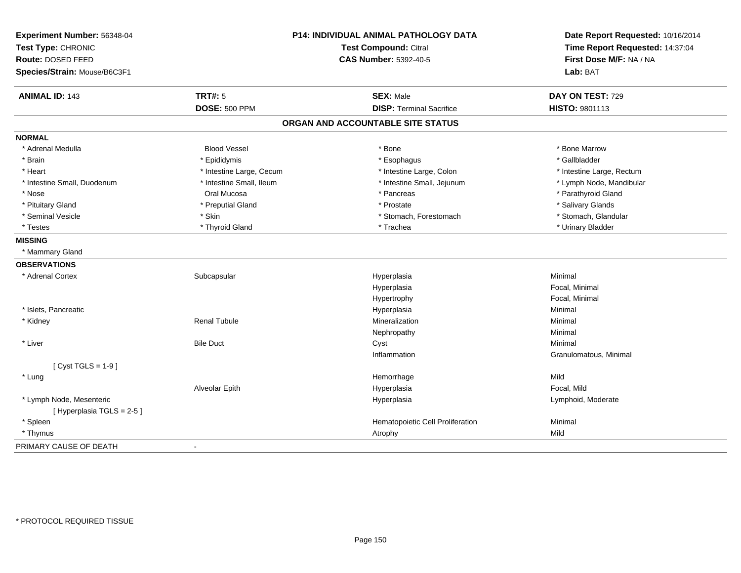| Experiment Number: 56348-04<br>Test Type: CHRONIC<br>Route: DOSED FEED |                          | P14: INDIVIDUAL ANIMAL PATHOLOGY DATA<br><b>Test Compound: Citral</b><br><b>CAS Number: 5392-40-5</b> | Date Report Requested: 10/16/2014<br>Time Report Requested: 14:37:04<br>First Dose M/F: NA / NA |
|------------------------------------------------------------------------|--------------------------|-------------------------------------------------------------------------------------------------------|-------------------------------------------------------------------------------------------------|
| Species/Strain: Mouse/B6C3F1                                           |                          |                                                                                                       | Lab: BAT                                                                                        |
| <b>ANIMAL ID: 143</b>                                                  | <b>TRT#: 5</b>           | <b>SEX: Male</b>                                                                                      | DAY ON TEST: 729                                                                                |
|                                                                        | <b>DOSE: 500 PPM</b>     | <b>DISP: Terminal Sacrifice</b>                                                                       | HISTO: 9801113                                                                                  |
|                                                                        |                          | ORGAN AND ACCOUNTABLE SITE STATUS                                                                     |                                                                                                 |
| <b>NORMAL</b>                                                          |                          |                                                                                                       |                                                                                                 |
| * Adrenal Medulla                                                      | <b>Blood Vessel</b>      | * Bone                                                                                                | * Bone Marrow                                                                                   |
| * Brain                                                                | * Epididymis             | * Esophagus                                                                                           | * Gallbladder                                                                                   |
| * Heart                                                                | * Intestine Large, Cecum | * Intestine Large, Colon                                                                              | * Intestine Large, Rectum                                                                       |
| * Intestine Small, Duodenum                                            | * Intestine Small, Ileum | * Intestine Small, Jejunum                                                                            | * Lymph Node, Mandibular                                                                        |
| * Nose                                                                 | Oral Mucosa              | * Pancreas                                                                                            | * Parathyroid Gland                                                                             |
| * Pituitary Gland                                                      | * Preputial Gland        | * Prostate                                                                                            | * Salivary Glands                                                                               |
| * Seminal Vesicle                                                      | * Skin                   | * Stomach, Forestomach                                                                                | * Stomach, Glandular                                                                            |
| * Testes                                                               | * Thyroid Gland          | * Trachea                                                                                             | * Urinary Bladder                                                                               |
| <b>MISSING</b>                                                         |                          |                                                                                                       |                                                                                                 |
| * Mammary Gland                                                        |                          |                                                                                                       |                                                                                                 |
| <b>OBSERVATIONS</b>                                                    |                          |                                                                                                       |                                                                                                 |
| * Adrenal Cortex                                                       | Subcapsular              | Hyperplasia                                                                                           | Minimal                                                                                         |
|                                                                        |                          | Hyperplasia                                                                                           | Focal, Minimal                                                                                  |
|                                                                        |                          | Hypertrophy                                                                                           | Focal, Minimal                                                                                  |
| * Islets, Pancreatic                                                   |                          | Hyperplasia                                                                                           | Minimal                                                                                         |
| * Kidney                                                               | <b>Renal Tubule</b>      | Mineralization                                                                                        | Minimal                                                                                         |
|                                                                        |                          | Nephropathy                                                                                           | Minimal                                                                                         |
| * Liver                                                                | <b>Bile Duct</b>         | Cyst                                                                                                  | Minimal                                                                                         |
|                                                                        |                          | Inflammation                                                                                          | Granulomatous, Minimal                                                                          |
| [Cyst TGLS = $1-9$ ]                                                   |                          |                                                                                                       |                                                                                                 |
| * Lung                                                                 |                          | Hemorrhage                                                                                            | Mild                                                                                            |
|                                                                        | Alveolar Epith           | Hyperplasia                                                                                           | Focal, Mild                                                                                     |
| * Lymph Node, Mesenteric                                               |                          | Hyperplasia                                                                                           | Lymphoid, Moderate                                                                              |
| [Hyperplasia TGLS = 2-5]                                               |                          |                                                                                                       |                                                                                                 |
| * Spleen                                                               |                          | Hematopoietic Cell Proliferation                                                                      | Minimal                                                                                         |
| * Thymus                                                               |                          | Atrophy                                                                                               | Mild                                                                                            |
| PRIMARY CAUSE OF DEATH                                                 | $\blacksquare$           |                                                                                                       |                                                                                                 |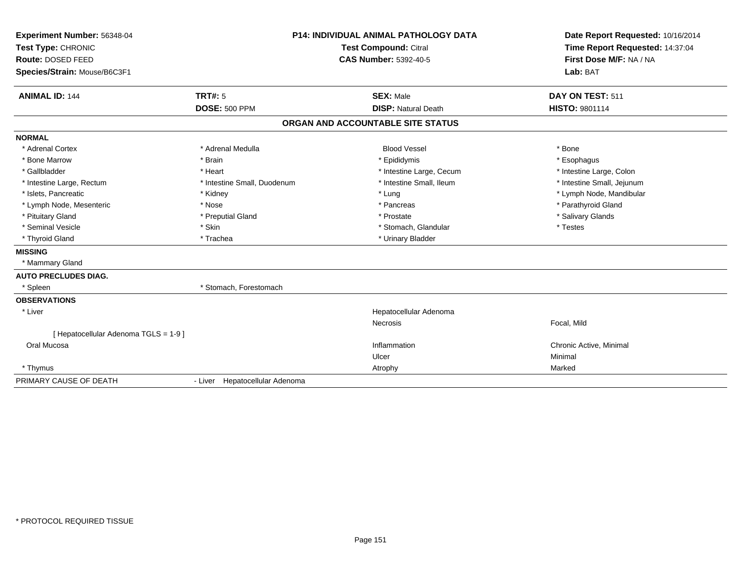| Experiment Number: 56348-04<br>Test Type: CHRONIC<br>Route: DOSED FEED<br>Species/Strain: Mouse/B6C3F1 |                                 | <b>P14: INDIVIDUAL ANIMAL PATHOLOGY DATA</b><br>Test Compound: Citral<br><b>CAS Number: 5392-40-5</b> | Date Report Requested: 10/16/2014<br>Time Report Requested: 14:37:04<br>First Dose M/F: NA / NA<br>Lab: BAT |
|--------------------------------------------------------------------------------------------------------|---------------------------------|-------------------------------------------------------------------------------------------------------|-------------------------------------------------------------------------------------------------------------|
| <b>ANIMAL ID: 144</b>                                                                                  | TRT#: 5<br><b>DOSE: 500 PPM</b> | <b>SEX: Male</b><br><b>DISP: Natural Death</b>                                                        | DAY ON TEST: 511<br><b>HISTO: 9801114</b>                                                                   |
|                                                                                                        |                                 | ORGAN AND ACCOUNTABLE SITE STATUS                                                                     |                                                                                                             |
|                                                                                                        |                                 |                                                                                                       |                                                                                                             |
| <b>NORMAL</b>                                                                                          |                                 |                                                                                                       |                                                                                                             |
| * Adrenal Cortex                                                                                       | * Adrenal Medulla               | <b>Blood Vessel</b>                                                                                   | * Bone                                                                                                      |
| * Bone Marrow                                                                                          | * Brain                         | * Epididymis                                                                                          | * Esophagus                                                                                                 |
| * Gallbladder                                                                                          | * Heart                         | * Intestine Large, Cecum                                                                              | * Intestine Large, Colon                                                                                    |
| * Intestine Large, Rectum                                                                              | * Intestine Small, Duodenum     | * Intestine Small, Ileum                                                                              | * Intestine Small, Jejunum                                                                                  |
| * Islets, Pancreatic                                                                                   | * Kidney<br>* Nose              | * Lung<br>* Pancreas                                                                                  | * Lymph Node, Mandibular                                                                                    |
| * Lymph Node, Mesenteric                                                                               |                                 | * Prostate                                                                                            | * Parathyroid Gland<br>* Salivary Glands                                                                    |
| * Pituitary Gland<br>* Seminal Vesicle                                                                 | * Preputial Gland<br>* Skin     | * Stomach, Glandular                                                                                  | * Testes                                                                                                    |
| * Thyroid Gland                                                                                        | * Trachea                       | * Urinary Bladder                                                                                     |                                                                                                             |
|                                                                                                        |                                 |                                                                                                       |                                                                                                             |
| <b>MISSING</b><br>* Mammary Gland                                                                      |                                 |                                                                                                       |                                                                                                             |
| <b>AUTO PRECLUDES DIAG.</b>                                                                            |                                 |                                                                                                       |                                                                                                             |
| * Spleen                                                                                               | * Stomach, Forestomach          |                                                                                                       |                                                                                                             |
| <b>OBSERVATIONS</b>                                                                                    |                                 |                                                                                                       |                                                                                                             |
| * Liver                                                                                                |                                 | Hepatocellular Adenoma                                                                                |                                                                                                             |
|                                                                                                        |                                 | Necrosis                                                                                              | Focal, Mild                                                                                                 |
| [ Hepatocellular Adenoma TGLS = 1-9 ]                                                                  |                                 |                                                                                                       |                                                                                                             |
| Oral Mucosa                                                                                            |                                 | Inflammation                                                                                          | Chronic Active, Minimal                                                                                     |
|                                                                                                        |                                 | Ulcer                                                                                                 | Minimal                                                                                                     |
| * Thymus                                                                                               |                                 | Atrophy                                                                                               | Marked                                                                                                      |
| PRIMARY CAUSE OF DEATH                                                                                 | - Liver Hepatocellular Adenoma  |                                                                                                       |                                                                                                             |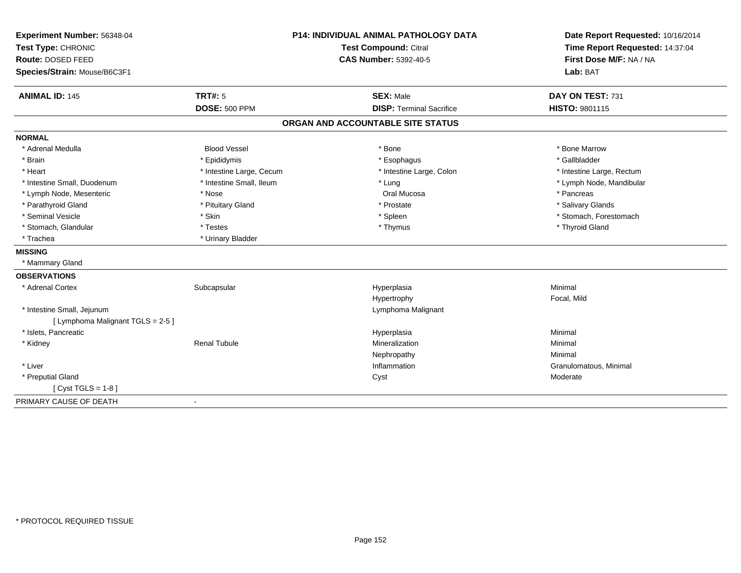| Experiment Number: 56348-04<br>Test Type: CHRONIC |                          | P14: INDIVIDUAL ANIMAL PATHOLOGY DATA<br><b>Test Compound: Citral</b> | Date Report Requested: 10/16/2014<br>Time Report Requested: 14:37:04 |  |
|---------------------------------------------------|--------------------------|-----------------------------------------------------------------------|----------------------------------------------------------------------|--|
| Route: DOSED FEED<br>Species/Strain: Mouse/B6C3F1 |                          | CAS Number: 5392-40-5                                                 | First Dose M/F: NA / NA<br>Lab: BAT                                  |  |
| <b>ANIMAL ID: 145</b>                             | TRT#: 5                  | <b>SEX: Male</b>                                                      | DAY ON TEST: 731                                                     |  |
|                                                   | <b>DOSE: 500 PPM</b>     | <b>DISP: Terminal Sacrifice</b>                                       | HISTO: 9801115                                                       |  |
|                                                   |                          | ORGAN AND ACCOUNTABLE SITE STATUS                                     |                                                                      |  |
| <b>NORMAL</b>                                     |                          |                                                                       |                                                                      |  |
| * Adrenal Medulla                                 | <b>Blood Vessel</b>      | * Bone                                                                | * Bone Marrow                                                        |  |
| * Brain                                           | * Epididymis             | * Esophagus                                                           | * Gallbladder                                                        |  |
| * Heart                                           | * Intestine Large, Cecum | * Intestine Large, Colon                                              | * Intestine Large, Rectum                                            |  |
| * Intestine Small, Duodenum                       | * Intestine Small, Ileum | * Lung                                                                | * Lymph Node, Mandibular                                             |  |
| * Lymph Node, Mesenteric                          | * Nose                   | Oral Mucosa                                                           | * Pancreas                                                           |  |
| * Parathyroid Gland                               | * Pituitary Gland        | * Prostate                                                            | * Salivary Glands                                                    |  |
| * Seminal Vesicle                                 | * Skin                   | * Spleen                                                              | * Stomach, Forestomach                                               |  |
| * Stomach, Glandular                              | * Testes                 | * Thymus                                                              | * Thyroid Gland                                                      |  |
| * Trachea                                         | * Urinary Bladder        |                                                                       |                                                                      |  |
| <b>MISSING</b>                                    |                          |                                                                       |                                                                      |  |
| * Mammary Gland                                   |                          |                                                                       |                                                                      |  |
| <b>OBSERVATIONS</b>                               |                          |                                                                       |                                                                      |  |
| * Adrenal Cortex                                  | Subcapsular              | Hyperplasia                                                           | Minimal                                                              |  |
|                                                   |                          | Hypertrophy                                                           | Focal, Mild                                                          |  |
| * Intestine Small, Jejunum                        |                          | Lymphoma Malignant                                                    |                                                                      |  |
| [ Lymphoma Malignant TGLS = 2-5 ]                 |                          |                                                                       |                                                                      |  |
| * Islets, Pancreatic                              |                          | Hyperplasia                                                           | Minimal                                                              |  |
| * Kidney                                          | <b>Renal Tubule</b>      | Mineralization                                                        | Minimal                                                              |  |
|                                                   |                          | Nephropathy                                                           | Minimal                                                              |  |
| * Liver                                           |                          | Inflammation                                                          | Granulomatous, Minimal                                               |  |
| * Preputial Gland                                 |                          | Cyst                                                                  | Moderate                                                             |  |
| [ $Cyst TGLS = 1-8$ ]                             |                          |                                                                       |                                                                      |  |
| PRIMARY CAUSE OF DEATH                            | $\overline{\phantom{a}}$ |                                                                       |                                                                      |  |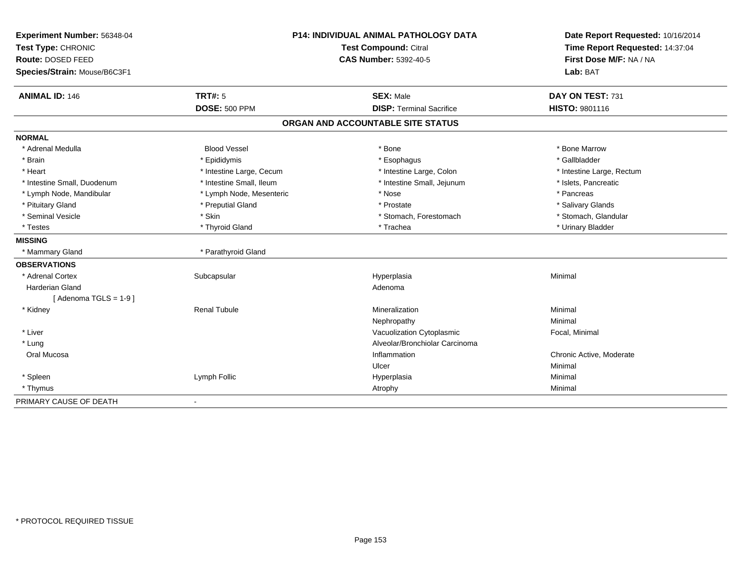| Experiment Number: 56348-04  |                              | P14: INDIVIDUAL ANIMAL PATHOLOGY DATA | Date Report Requested: 10/16/2014 |
|------------------------------|------------------------------|---------------------------------------|-----------------------------------|
| Test Type: CHRONIC           | <b>Test Compound: Citral</b> |                                       | Time Report Requested: 14:37:04   |
| Route: DOSED FEED            |                              | <b>CAS Number: 5392-40-5</b>          | First Dose M/F: NA / NA           |
| Species/Strain: Mouse/B6C3F1 |                              |                                       | Lab: BAT                          |
| <b>ANIMAL ID: 146</b>        | TRT#: 5                      | <b>SEX: Male</b>                      | DAY ON TEST: 731                  |
|                              | <b>DOSE: 500 PPM</b>         | <b>DISP: Terminal Sacrifice</b>       | HISTO: 9801116                    |
|                              |                              | ORGAN AND ACCOUNTABLE SITE STATUS     |                                   |
| <b>NORMAL</b>                |                              |                                       |                                   |
| * Adrenal Medulla            | <b>Blood Vessel</b>          | * Bone                                | * Bone Marrow                     |
| * Brain                      | * Epididymis                 | * Esophagus                           | * Gallbladder                     |
| * Heart                      | * Intestine Large, Cecum     | * Intestine Large, Colon              | * Intestine Large, Rectum         |
| * Intestine Small, Duodenum  | * Intestine Small, Ileum     | * Intestine Small, Jejunum            | * Islets, Pancreatic              |
| * Lymph Node, Mandibular     | * Lymph Node, Mesenteric     | * Nose                                | * Pancreas                        |
| * Pituitary Gland            | * Preputial Gland            | * Prostate                            | * Salivary Glands                 |
| * Seminal Vesicle            | * Skin                       | * Stomach, Forestomach                | * Stomach, Glandular              |
| * Testes                     | * Thyroid Gland              | * Trachea                             | * Urinary Bladder                 |
| <b>MISSING</b>               |                              |                                       |                                   |
| * Mammary Gland              | * Parathyroid Gland          |                                       |                                   |
| <b>OBSERVATIONS</b>          |                              |                                       |                                   |
| * Adrenal Cortex             | Subcapsular                  | Hyperplasia                           | Minimal                           |
| <b>Harderian Gland</b>       |                              | Adenoma                               |                                   |
| [Adenoma TGLS = $1-9$ ]      |                              |                                       |                                   |
| * Kidney                     | <b>Renal Tubule</b>          | Mineralization                        | Minimal                           |
|                              |                              | Nephropathy                           | Minimal                           |
| * Liver                      |                              | Vacuolization Cytoplasmic             | Focal, Minimal                    |
| * Lung                       |                              | Alveolar/Bronchiolar Carcinoma        |                                   |
| Oral Mucosa                  |                              | Inflammation                          | Chronic Active, Moderate          |
|                              |                              | Ulcer                                 | Minimal                           |
| * Spleen                     | Lymph Follic                 | Hyperplasia                           | Minimal                           |
| * Thymus                     |                              | Atrophy                               | Minimal                           |
| PRIMARY CAUSE OF DEATH       |                              |                                       |                                   |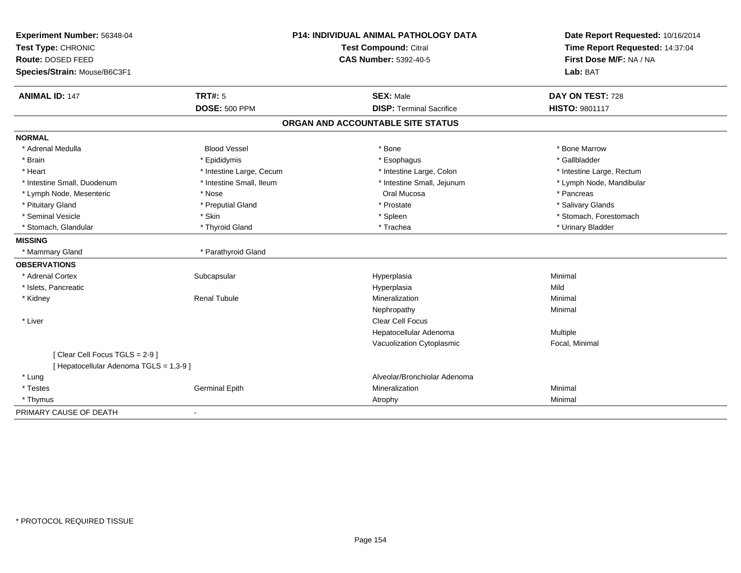| Experiment Number: 56348-04<br>Test Type: CHRONIC |                          | P14: INDIVIDUAL ANIMAL PATHOLOGY DATA<br>Test Compound: Citral | Date Report Requested: 10/16/2014<br>Time Report Requested: 14:37:04 |  |
|---------------------------------------------------|--------------------------|----------------------------------------------------------------|----------------------------------------------------------------------|--|
| Route: DOSED FEED<br>Species/Strain: Mouse/B6C3F1 |                          | <b>CAS Number: 5392-40-5</b>                                   | First Dose M/F: NA / NA<br>Lab: BAT                                  |  |
| <b>ANIMAL ID: 147</b>                             | <b>TRT#: 5</b>           | <b>SEX: Male</b>                                               | DAY ON TEST: 728                                                     |  |
|                                                   | <b>DOSE: 500 PPM</b>     | <b>DISP: Terminal Sacrifice</b>                                | HISTO: 9801117                                                       |  |
|                                                   |                          | ORGAN AND ACCOUNTABLE SITE STATUS                              |                                                                      |  |
| <b>NORMAL</b>                                     |                          |                                                                |                                                                      |  |
| * Adrenal Medulla                                 | <b>Blood Vessel</b>      | * Bone                                                         | * Bone Marrow                                                        |  |
| * Brain                                           | * Epididymis             | * Esophagus                                                    | * Gallbladder                                                        |  |
| * Heart                                           | * Intestine Large, Cecum | * Intestine Large, Colon                                       | * Intestine Large, Rectum                                            |  |
| * Intestine Small, Duodenum                       | * Intestine Small, Ileum | * Intestine Small, Jejunum                                     | * Lymph Node, Mandibular                                             |  |
| * Lymph Node, Mesenteric                          | * Nose                   | Oral Mucosa                                                    | * Pancreas                                                           |  |
| * Pituitary Gland                                 | * Preputial Gland        | * Prostate                                                     | * Salivary Glands                                                    |  |
| * Seminal Vesicle                                 | * Skin                   | * Spleen                                                       | * Stomach, Forestomach                                               |  |
| * Stomach, Glandular                              | * Thyroid Gland          | * Trachea                                                      | * Urinary Bladder                                                    |  |
| <b>MISSING</b>                                    |                          |                                                                |                                                                      |  |
| * Mammary Gland                                   | * Parathyroid Gland      |                                                                |                                                                      |  |
| <b>OBSERVATIONS</b>                               |                          |                                                                |                                                                      |  |
| * Adrenal Cortex                                  | Subcapsular              | Hyperplasia                                                    | Minimal                                                              |  |
| * Islets, Pancreatic                              |                          | Hyperplasia                                                    | Mild                                                                 |  |
| * Kidney                                          | <b>Renal Tubule</b>      | Mineralization                                                 | Minimal                                                              |  |
|                                                   |                          | Nephropathy                                                    | Minimal                                                              |  |
| * Liver                                           |                          | <b>Clear Cell Focus</b>                                        |                                                                      |  |
|                                                   |                          | Hepatocellular Adenoma                                         | Multiple                                                             |  |
|                                                   |                          | Vacuolization Cytoplasmic                                      | Focal, Minimal                                                       |  |
| [Clear Cell Focus TGLS = 2-9]                     |                          |                                                                |                                                                      |  |
| [ Hepatocellular Adenoma TGLS = 1,3-9 ]           |                          |                                                                |                                                                      |  |
| * Lung                                            |                          | Alveolar/Bronchiolar Adenoma                                   |                                                                      |  |
| * Testes                                          | <b>Germinal Epith</b>    | Mineralization                                                 | Minimal                                                              |  |
| * Thymus                                          |                          | Atrophy                                                        | Minimal                                                              |  |
| PRIMARY CAUSE OF DEATH                            | $\blacksquare$           |                                                                |                                                                      |  |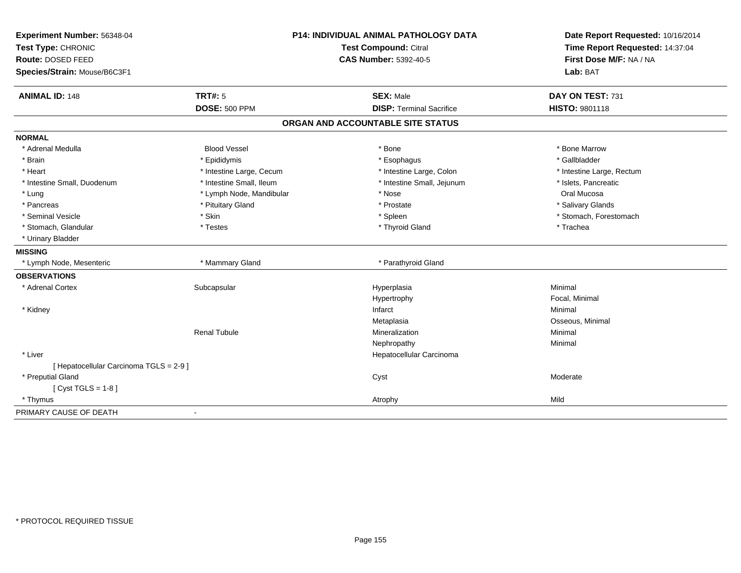| Experiment Number: 56348-04<br>Test Type: CHRONIC<br>Route: DOSED FEED<br>Species/Strain: Mouse/B6C3F1 |                          | P14: INDIVIDUAL ANIMAL PATHOLOGY DATA<br>Test Compound: Citral<br><b>CAS Number: 5392-40-5</b> | Date Report Requested: 10/16/2014<br>Time Report Requested: 14:37:04<br>First Dose M/F: NA / NA<br>Lab: BAT |
|--------------------------------------------------------------------------------------------------------|--------------------------|------------------------------------------------------------------------------------------------|-------------------------------------------------------------------------------------------------------------|
| <b>ANIMAL ID: 148</b>                                                                                  | <b>TRT#: 5</b>           | <b>SEX: Male</b>                                                                               | DAY ON TEST: 731                                                                                            |
|                                                                                                        | <b>DOSE: 500 PPM</b>     | <b>DISP: Terminal Sacrifice</b>                                                                | HISTO: 9801118                                                                                              |
|                                                                                                        |                          | ORGAN AND ACCOUNTABLE SITE STATUS                                                              |                                                                                                             |
| <b>NORMAL</b>                                                                                          |                          |                                                                                                |                                                                                                             |
| * Adrenal Medulla                                                                                      | <b>Blood Vessel</b>      | * Bone                                                                                         | * Bone Marrow                                                                                               |
| * Brain                                                                                                | * Epididymis             | * Esophagus                                                                                    | * Gallbladder                                                                                               |
| * Heart                                                                                                | * Intestine Large, Cecum | * Intestine Large, Colon                                                                       | * Intestine Large, Rectum                                                                                   |
| * Intestine Small, Duodenum                                                                            | * Intestine Small, Ileum | * Intestine Small, Jejunum                                                                     | * Islets, Pancreatic                                                                                        |
| * Lung                                                                                                 | * Lymph Node, Mandibular | * Nose                                                                                         | Oral Mucosa                                                                                                 |
| * Pancreas                                                                                             | * Pituitary Gland        | * Prostate                                                                                     | * Salivary Glands                                                                                           |
| * Seminal Vesicle                                                                                      | * Skin                   | * Spleen                                                                                       | * Stomach, Forestomach                                                                                      |
| * Stomach, Glandular                                                                                   | * Testes                 | * Thyroid Gland                                                                                | * Trachea                                                                                                   |
| * Urinary Bladder                                                                                      |                          |                                                                                                |                                                                                                             |
| <b>MISSING</b>                                                                                         |                          |                                                                                                |                                                                                                             |
| * Lymph Node, Mesenteric                                                                               | * Mammary Gland          | * Parathyroid Gland                                                                            |                                                                                                             |
| <b>OBSERVATIONS</b>                                                                                    |                          |                                                                                                |                                                                                                             |
| * Adrenal Cortex                                                                                       | Subcapsular              | Hyperplasia                                                                                    | Minimal                                                                                                     |
|                                                                                                        |                          | Hypertrophy                                                                                    | Focal, Minimal                                                                                              |
| * Kidney                                                                                               |                          | Infarct                                                                                        | Minimal                                                                                                     |
|                                                                                                        |                          | Metaplasia                                                                                     | Osseous, Minimal                                                                                            |
|                                                                                                        | <b>Renal Tubule</b>      | Mineralization                                                                                 | Minimal                                                                                                     |
|                                                                                                        |                          | Nephropathy                                                                                    | Minimal                                                                                                     |
| * Liver                                                                                                |                          | Hepatocellular Carcinoma                                                                       |                                                                                                             |
| [ Hepatocellular Carcinoma TGLS = 2-9 ]                                                                |                          |                                                                                                |                                                                                                             |
| * Preputial Gland                                                                                      |                          | Cyst                                                                                           | Moderate                                                                                                    |
| [Cyst TGLS = $1-8$ ]                                                                                   |                          |                                                                                                |                                                                                                             |
| * Thymus                                                                                               |                          | Atrophy                                                                                        | Mild                                                                                                        |
| PRIMARY CAUSE OF DEATH                                                                                 |                          |                                                                                                |                                                                                                             |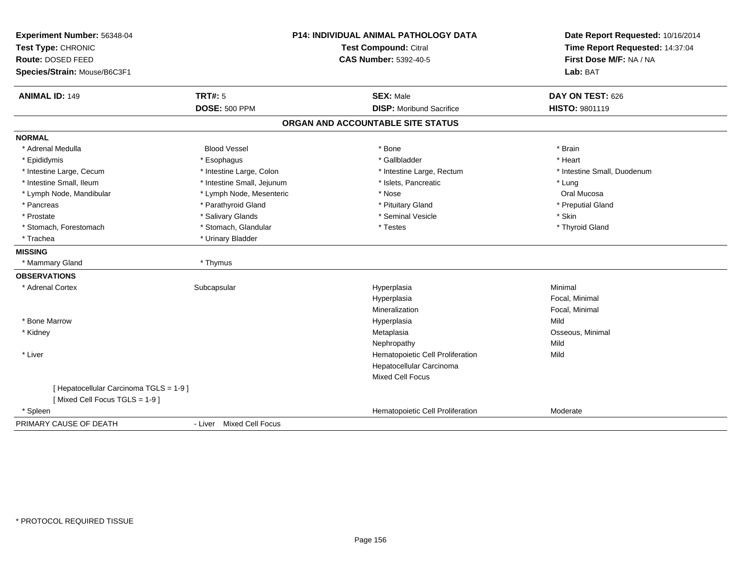| Experiment Number: 56348-04<br>Test Type: CHRONIC |                            | <b>P14: INDIVIDUAL ANIMAL PATHOLOGY DATA</b><br><b>Test Compound: Citral</b> | Date Report Requested: 10/16/2014<br>Time Report Requested: 14:37:04 |
|---------------------------------------------------|----------------------------|------------------------------------------------------------------------------|----------------------------------------------------------------------|
| Route: DOSED FEED                                 |                            | <b>CAS Number: 5392-40-5</b>                                                 | First Dose M/F: NA / NA                                              |
| Species/Strain: Mouse/B6C3F1                      |                            |                                                                              | Lab: BAT                                                             |
| <b>ANIMAL ID: 149</b>                             | <b>TRT#: 5</b>             | <b>SEX: Male</b>                                                             | DAY ON TEST: 626                                                     |
|                                                   | <b>DOSE: 500 PPM</b>       | <b>DISP:</b> Moribund Sacrifice                                              | <b>HISTO: 9801119</b>                                                |
|                                                   |                            | ORGAN AND ACCOUNTABLE SITE STATUS                                            |                                                                      |
| <b>NORMAL</b>                                     |                            |                                                                              |                                                                      |
| * Adrenal Medulla                                 | <b>Blood Vessel</b>        | * Bone                                                                       | * Brain                                                              |
| * Epididymis                                      | * Esophagus                | * Gallbladder                                                                | * Heart                                                              |
| * Intestine Large, Cecum                          | * Intestine Large, Colon   | * Intestine Large, Rectum                                                    | * Intestine Small, Duodenum                                          |
| * Intestine Small, Ileum                          | * Intestine Small, Jejunum | * Islets, Pancreatic                                                         | * Lung                                                               |
| * Lymph Node, Mandibular                          | * Lymph Node, Mesenteric   | * Nose                                                                       | Oral Mucosa                                                          |
| * Pancreas                                        | * Parathyroid Gland        | * Pituitary Gland                                                            | * Preputial Gland                                                    |
| * Prostate                                        | * Salivary Glands          | * Seminal Vesicle                                                            | * Skin                                                               |
| * Stomach, Forestomach                            | * Stomach, Glandular       | * Testes                                                                     | * Thyroid Gland                                                      |
| * Trachea                                         | * Urinary Bladder          |                                                                              |                                                                      |
| <b>MISSING</b>                                    |                            |                                                                              |                                                                      |
| * Mammary Gland                                   | * Thymus                   |                                                                              |                                                                      |
| <b>OBSERVATIONS</b>                               |                            |                                                                              |                                                                      |
| * Adrenal Cortex                                  | Subcapsular                | Hyperplasia                                                                  | Minimal                                                              |
|                                                   |                            | Hyperplasia                                                                  | Focal, Minimal                                                       |
|                                                   |                            | Mineralization                                                               | Focal, Minimal                                                       |
| * Bone Marrow                                     |                            | Hyperplasia                                                                  | Mild                                                                 |
| * Kidney                                          |                            | Metaplasia                                                                   | Osseous, Minimal                                                     |
|                                                   |                            | Nephropathy                                                                  | Mild                                                                 |
| * Liver                                           |                            | Hematopoietic Cell Proliferation                                             | Mild                                                                 |
|                                                   |                            | Hepatocellular Carcinoma                                                     |                                                                      |
|                                                   |                            | <b>Mixed Cell Focus</b>                                                      |                                                                      |
| [ Hepatocellular Carcinoma TGLS = 1-9 ]           |                            |                                                                              |                                                                      |
| [Mixed Cell Focus TGLS = 1-9]                     |                            |                                                                              |                                                                      |
| * Spleen                                          |                            | Hematopoietic Cell Proliferation                                             | Moderate                                                             |
| PRIMARY CAUSE OF DEATH                            | - Liver Mixed Cell Focus   |                                                                              |                                                                      |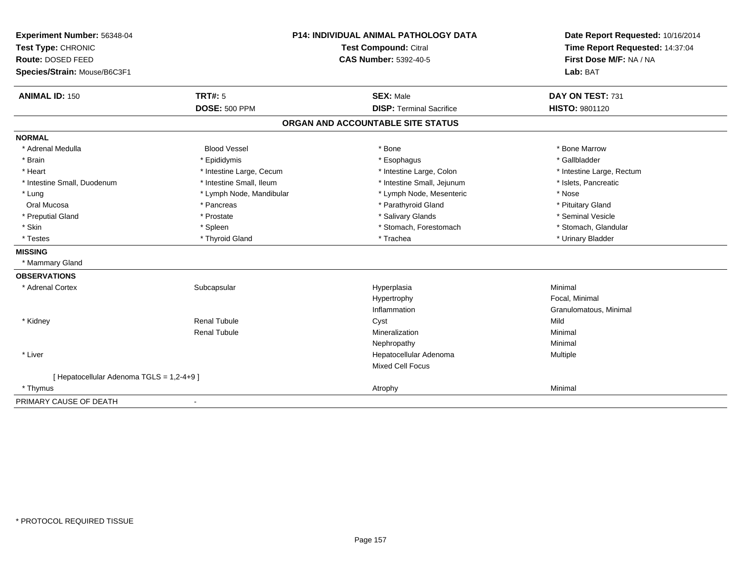| Experiment Number: 56348-04<br>Test Type: CHRONIC |                          | <b>P14: INDIVIDUAL ANIMAL PATHOLOGY DATA</b><br>Test Compound: Citral | Date Report Requested: 10/16/2014<br>Time Report Requested: 14:37:04 |
|---------------------------------------------------|--------------------------|-----------------------------------------------------------------------|----------------------------------------------------------------------|
| Route: DOSED FEED                                 |                          | <b>CAS Number: 5392-40-5</b>                                          | First Dose M/F: NA / NA                                              |
| Species/Strain: Mouse/B6C3F1                      |                          |                                                                       | Lab: BAT                                                             |
|                                                   |                          |                                                                       |                                                                      |
| <b>ANIMAL ID: 150</b>                             | <b>TRT#: 5</b>           | <b>SEX: Male</b>                                                      | DAY ON TEST: 731                                                     |
|                                                   | <b>DOSE: 500 PPM</b>     | <b>DISP: Terminal Sacrifice</b>                                       | <b>HISTO: 9801120</b>                                                |
|                                                   |                          | ORGAN AND ACCOUNTABLE SITE STATUS                                     |                                                                      |
| <b>NORMAL</b>                                     |                          |                                                                       |                                                                      |
| * Adrenal Medulla                                 | <b>Blood Vessel</b>      | * Bone                                                                | * Bone Marrow                                                        |
| * Brain                                           | * Epididymis             | * Esophagus                                                           | * Gallbladder                                                        |
| * Heart                                           | * Intestine Large, Cecum | * Intestine Large, Colon                                              | * Intestine Large, Rectum                                            |
| * Intestine Small, Duodenum                       | * Intestine Small, Ileum | * Intestine Small, Jejunum                                            | * Islets, Pancreatic                                                 |
| * Lung                                            | * Lymph Node, Mandibular | * Lymph Node, Mesenteric                                              | * Nose                                                               |
| Oral Mucosa                                       | * Pancreas               | * Parathyroid Gland                                                   | * Pituitary Gland                                                    |
| * Preputial Gland                                 | * Prostate               | * Salivary Glands                                                     | * Seminal Vesicle                                                    |
| * Skin                                            | * Spleen                 | * Stomach, Forestomach                                                | * Stomach, Glandular                                                 |
| * Testes                                          | * Thyroid Gland          | * Trachea                                                             | * Urinary Bladder                                                    |
| <b>MISSING</b>                                    |                          |                                                                       |                                                                      |
| * Mammary Gland                                   |                          |                                                                       |                                                                      |
| <b>OBSERVATIONS</b>                               |                          |                                                                       |                                                                      |
| * Adrenal Cortex                                  | Subcapsular              | Hyperplasia                                                           | Minimal                                                              |
|                                                   |                          | Hypertrophy                                                           | Focal, Minimal                                                       |
|                                                   |                          | Inflammation                                                          | Granulomatous, Minimal                                               |
| * Kidney                                          | <b>Renal Tubule</b>      | Cyst                                                                  | Mild                                                                 |
|                                                   | <b>Renal Tubule</b>      | Mineralization                                                        | Minimal                                                              |
|                                                   |                          | Nephropathy                                                           | Minimal                                                              |
| * Liver                                           |                          | Hepatocellular Adenoma                                                | Multiple                                                             |
|                                                   |                          | <b>Mixed Cell Focus</b>                                               |                                                                      |
| [ Hepatocellular Adenoma TGLS = 1,2-4+9 ]         |                          |                                                                       |                                                                      |
| * Thymus                                          |                          | Atrophy                                                               | Minimal                                                              |
| PRIMARY CAUSE OF DEATH                            |                          |                                                                       |                                                                      |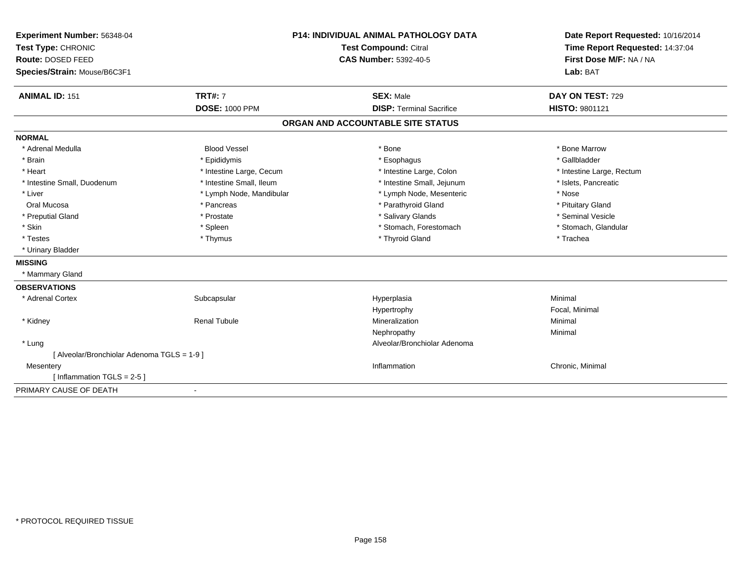| Experiment Number: 56348-04                 |                          | <b>P14: INDIVIDUAL ANIMAL PATHOLOGY DATA</b> | Date Report Requested: 10/16/2014<br>Time Report Requested: 14:37:04<br>First Dose M/F: NA / NA |
|---------------------------------------------|--------------------------|----------------------------------------------|-------------------------------------------------------------------------------------------------|
| Test Type: CHRONIC                          |                          | Test Compound: Citral                        |                                                                                                 |
| Route: DOSED FEED                           |                          | <b>CAS Number: 5392-40-5</b>                 |                                                                                                 |
| Species/Strain: Mouse/B6C3F1                |                          |                                              | Lab: BAT                                                                                        |
| <b>ANIMAL ID: 151</b>                       | <b>TRT#: 7</b>           | <b>SEX: Male</b>                             | DAY ON TEST: 729                                                                                |
|                                             | <b>DOSE: 1000 PPM</b>    | <b>DISP: Terminal Sacrifice</b>              | <b>HISTO: 9801121</b>                                                                           |
|                                             |                          | ORGAN AND ACCOUNTABLE SITE STATUS            |                                                                                                 |
| <b>NORMAL</b>                               |                          |                                              |                                                                                                 |
| * Adrenal Medulla                           | <b>Blood Vessel</b>      | * Bone                                       | * Bone Marrow                                                                                   |
| * Brain                                     | * Epididymis             | * Esophagus                                  | * Gallbladder                                                                                   |
| * Heart                                     | * Intestine Large, Cecum | * Intestine Large, Colon                     | * Intestine Large, Rectum                                                                       |
| * Intestine Small, Duodenum                 | * Intestine Small, Ileum | * Intestine Small, Jejunum                   | * Islets, Pancreatic                                                                            |
| * Liver                                     | * Lymph Node, Mandibular | * Lymph Node, Mesenteric                     | * Nose                                                                                          |
| Oral Mucosa                                 | * Pancreas               | * Parathyroid Gland                          | * Pituitary Gland                                                                               |
| * Preputial Gland                           | * Prostate               | * Salivary Glands                            | * Seminal Vesicle                                                                               |
| * Skin                                      | * Spleen                 | * Stomach, Forestomach                       | * Stomach, Glandular                                                                            |
| * Testes                                    | * Thymus                 | * Thyroid Gland                              | * Trachea                                                                                       |
| * Urinary Bladder                           |                          |                                              |                                                                                                 |
| <b>MISSING</b>                              |                          |                                              |                                                                                                 |
| * Mammary Gland                             |                          |                                              |                                                                                                 |
| <b>OBSERVATIONS</b>                         |                          |                                              |                                                                                                 |
| * Adrenal Cortex                            | Subcapsular              | Hyperplasia                                  | Minimal                                                                                         |
|                                             |                          | Hypertrophy                                  | Focal, Minimal                                                                                  |
| * Kidney                                    | <b>Renal Tubule</b>      | Mineralization                               | Minimal                                                                                         |
|                                             |                          | Nephropathy                                  | Minimal                                                                                         |
| * Lung                                      |                          | Alveolar/Bronchiolar Adenoma                 |                                                                                                 |
| [ Alveolar/Bronchiolar Adenoma TGLS = 1-9 ] |                          |                                              |                                                                                                 |
| Mesentery                                   |                          | Inflammation                                 | Chronic, Minimal                                                                                |
| [Inflammation TGLS = $2-5$ ]                |                          |                                              |                                                                                                 |
| PRIMARY CAUSE OF DEATH                      |                          |                                              |                                                                                                 |
|                                             |                          |                                              |                                                                                                 |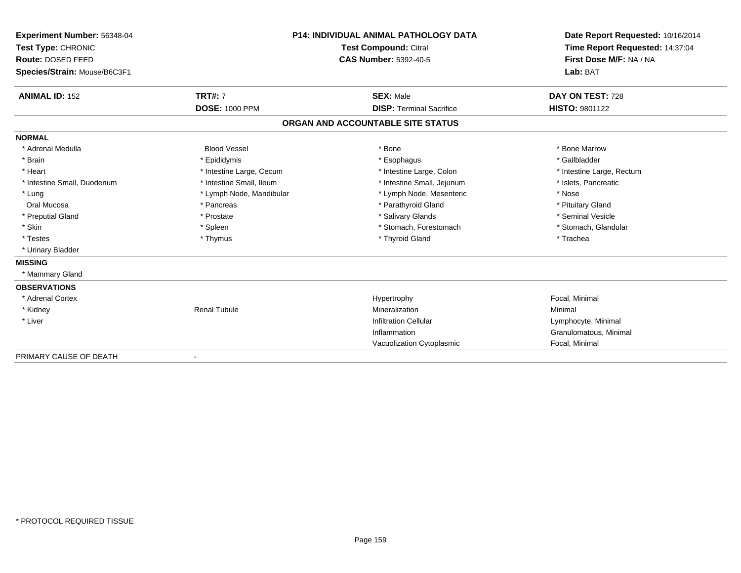| Experiment Number: 56348-04<br>Test Type: CHRONIC<br>Route: DOSED FEED<br>Species/Strain: Mouse/B6C3F1 |                          | <b>P14: INDIVIDUAL ANIMAL PATHOLOGY DATA</b><br><b>Test Compound: Citral</b><br><b>CAS Number: 5392-40-5</b> | Date Report Requested: 10/16/2014<br>Time Report Requested: 14:37:04<br>First Dose M/F: NA / NA<br>Lab: BAT |
|--------------------------------------------------------------------------------------------------------|--------------------------|--------------------------------------------------------------------------------------------------------------|-------------------------------------------------------------------------------------------------------------|
| <b>ANIMAL ID: 152</b>                                                                                  | <b>TRT#: 7</b>           | <b>SEX: Male</b>                                                                                             | DAY ON TEST: 728                                                                                            |
|                                                                                                        | <b>DOSE: 1000 PPM</b>    | <b>DISP: Terminal Sacrifice</b>                                                                              | <b>HISTO: 9801122</b>                                                                                       |
|                                                                                                        |                          | ORGAN AND ACCOUNTABLE SITE STATUS                                                                            |                                                                                                             |
| <b>NORMAL</b>                                                                                          |                          |                                                                                                              |                                                                                                             |
| * Adrenal Medulla                                                                                      | <b>Blood Vessel</b>      | * Bone                                                                                                       | * Bone Marrow                                                                                               |
| * Brain                                                                                                | * Epididymis             | * Esophagus                                                                                                  | * Gallbladder                                                                                               |
| * Heart                                                                                                | * Intestine Large, Cecum | * Intestine Large, Colon                                                                                     | * Intestine Large, Rectum                                                                                   |
| * Intestine Small, Duodenum                                                                            | * Intestine Small, Ileum | * Intestine Small, Jejunum                                                                                   | * Islets. Pancreatic                                                                                        |
| * Lung                                                                                                 | * Lymph Node, Mandibular | * Lymph Node, Mesenteric                                                                                     | * Nose                                                                                                      |
| Oral Mucosa                                                                                            | * Pancreas               | * Parathyroid Gland                                                                                          | * Pituitary Gland                                                                                           |
| * Preputial Gland                                                                                      | * Prostate               | * Salivary Glands                                                                                            | * Seminal Vesicle                                                                                           |
| * Skin                                                                                                 | * Spleen                 | * Stomach, Forestomach                                                                                       | * Stomach, Glandular                                                                                        |
| * Testes                                                                                               | * Thymus                 | * Thyroid Gland                                                                                              | * Trachea                                                                                                   |
| * Urinary Bladder                                                                                      |                          |                                                                                                              |                                                                                                             |
| <b>MISSING</b>                                                                                         |                          |                                                                                                              |                                                                                                             |
| * Mammary Gland                                                                                        |                          |                                                                                                              |                                                                                                             |
| <b>OBSERVATIONS</b>                                                                                    |                          |                                                                                                              |                                                                                                             |
| * Adrenal Cortex                                                                                       |                          | Hypertrophy                                                                                                  | Focal, Minimal                                                                                              |
| * Kidney                                                                                               | <b>Renal Tubule</b>      | Mineralization                                                                                               | Minimal                                                                                                     |
| * Liver                                                                                                |                          | <b>Infiltration Cellular</b>                                                                                 | Lymphocyte, Minimal                                                                                         |
|                                                                                                        |                          | Inflammation                                                                                                 | Granulomatous, Minimal                                                                                      |
|                                                                                                        |                          | Vacuolization Cytoplasmic                                                                                    | Focal, Minimal                                                                                              |
| PRIMARY CAUSE OF DEATH                                                                                 | $\blacksquare$           |                                                                                                              |                                                                                                             |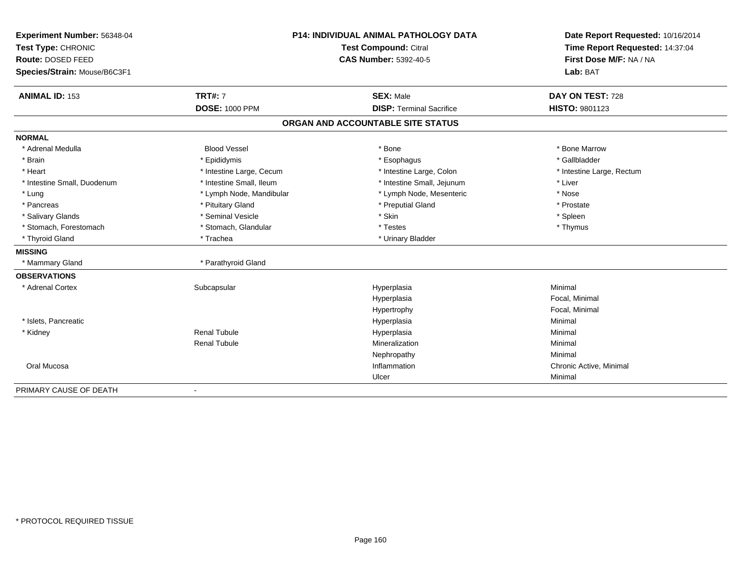| Experiment Number: 56348-04  |                              | <b>P14: INDIVIDUAL ANIMAL PATHOLOGY DATA</b> | Date Report Requested: 10/16/2014<br>Time Report Requested: 14:37:04 |
|------------------------------|------------------------------|----------------------------------------------|----------------------------------------------------------------------|
| Test Type: CHRONIC           | <b>Test Compound: Citral</b> |                                              |                                                                      |
| Route: DOSED FEED            |                              | <b>CAS Number: 5392-40-5</b>                 | First Dose M/F: NA / NA                                              |
| Species/Strain: Mouse/B6C3F1 |                              |                                              | Lab: BAT                                                             |
| <b>ANIMAL ID: 153</b>        | <b>TRT#: 7</b>               | <b>SEX: Male</b>                             | DAY ON TEST: 728                                                     |
|                              | <b>DOSE: 1000 PPM</b>        | <b>DISP: Terminal Sacrifice</b>              | HISTO: 9801123                                                       |
|                              |                              | ORGAN AND ACCOUNTABLE SITE STATUS            |                                                                      |
| <b>NORMAL</b>                |                              |                                              |                                                                      |
| * Adrenal Medulla            | <b>Blood Vessel</b>          | * Bone                                       | * Bone Marrow                                                        |
| * Brain                      | * Epididymis                 | * Esophagus                                  | * Gallbladder                                                        |
| * Heart                      | * Intestine Large, Cecum     | * Intestine Large, Colon                     | * Intestine Large, Rectum                                            |
| * Intestine Small, Duodenum  | * Intestine Small, Ileum     | * Intestine Small, Jejunum                   | * Liver                                                              |
| * Lung                       | * Lymph Node, Mandibular     | * Lymph Node, Mesenteric                     | * Nose                                                               |
| * Pancreas                   | * Pituitary Gland            | * Preputial Gland                            | * Prostate                                                           |
| * Salivary Glands            | * Seminal Vesicle            | * Skin                                       | * Spleen                                                             |
| * Stomach, Forestomach       | * Stomach, Glandular         | * Testes                                     | * Thymus                                                             |
| * Thyroid Gland              | * Trachea                    | * Urinary Bladder                            |                                                                      |
| <b>MISSING</b>               |                              |                                              |                                                                      |
| * Mammary Gland              | * Parathyroid Gland          |                                              |                                                                      |
| <b>OBSERVATIONS</b>          |                              |                                              |                                                                      |
| * Adrenal Cortex             | Subcapsular                  | Hyperplasia                                  | Minimal                                                              |
|                              |                              | Hyperplasia                                  | Focal, Minimal                                                       |
|                              |                              | Hypertrophy                                  | Focal, Minimal                                                       |
| * Islets, Pancreatic         |                              | Hyperplasia                                  | Minimal                                                              |
| * Kidney                     | <b>Renal Tubule</b>          | Hyperplasia                                  | Minimal                                                              |
|                              | <b>Renal Tubule</b>          | Mineralization                               | Minimal                                                              |
|                              |                              | Nephropathy                                  | Minimal                                                              |
| Oral Mucosa                  |                              | Inflammation                                 | Chronic Active, Minimal                                              |
|                              |                              | Ulcer                                        | Minimal                                                              |
| PRIMARY CAUSE OF DEATH       | $\blacksquare$               |                                              |                                                                      |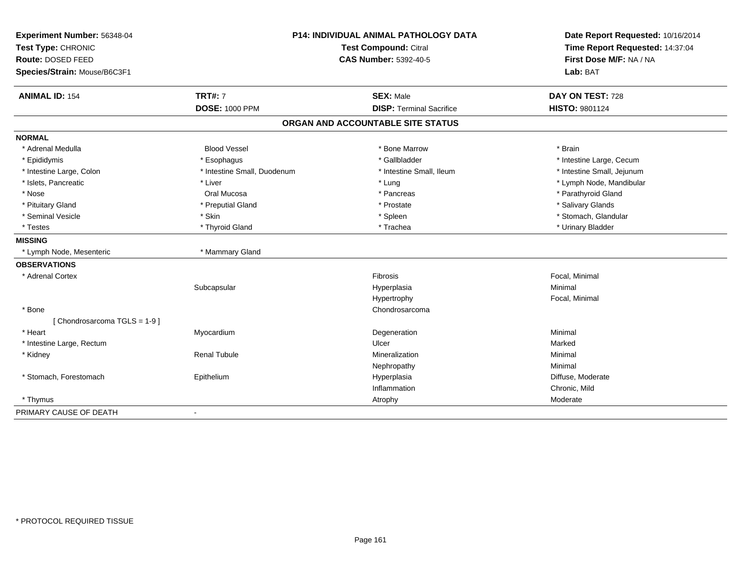| Experiment Number: 56348-04<br>Test Type: CHRONIC<br>Route: DOSED FEED<br>Species/Strain: Mouse/B6C3F1 |                             | P14: INDIVIDUAL ANIMAL PATHOLOGY DATA<br><b>Test Compound: Citral</b><br><b>CAS Number: 5392-40-5</b> | Date Report Requested: 10/16/2014<br>Time Report Requested: 14:37:04<br>First Dose M/F: NA / NA<br>Lab: BAT |
|--------------------------------------------------------------------------------------------------------|-----------------------------|-------------------------------------------------------------------------------------------------------|-------------------------------------------------------------------------------------------------------------|
| <b>ANIMAL ID: 154</b>                                                                                  | <b>TRT#: 7</b>              | <b>SEX: Male</b>                                                                                      | DAY ON TEST: 728                                                                                            |
|                                                                                                        | <b>DOSE: 1000 PPM</b>       | <b>DISP: Terminal Sacrifice</b>                                                                       | HISTO: 9801124                                                                                              |
|                                                                                                        |                             | ORGAN AND ACCOUNTABLE SITE STATUS                                                                     |                                                                                                             |
| <b>NORMAL</b>                                                                                          |                             |                                                                                                       |                                                                                                             |
| * Adrenal Medulla                                                                                      | <b>Blood Vessel</b>         | * Bone Marrow                                                                                         | * Brain                                                                                                     |
| * Epididymis                                                                                           | * Esophagus                 | * Gallbladder                                                                                         | * Intestine Large, Cecum                                                                                    |
| * Intestine Large, Colon                                                                               | * Intestine Small, Duodenum | * Intestine Small, Ileum                                                                              | * Intestine Small, Jejunum                                                                                  |
| * Islets, Pancreatic                                                                                   | * Liver                     | * Lung                                                                                                | * Lymph Node, Mandibular                                                                                    |
| * Nose                                                                                                 | Oral Mucosa                 | * Pancreas                                                                                            | * Parathyroid Gland                                                                                         |
| * Pituitary Gland                                                                                      | * Preputial Gland           | * Prostate                                                                                            | * Salivary Glands                                                                                           |
| * Seminal Vesicle                                                                                      | * Skin                      | * Spleen                                                                                              | * Stomach, Glandular                                                                                        |
| * Testes                                                                                               | * Thyroid Gland             | * Trachea                                                                                             | * Urinary Bladder                                                                                           |
| <b>MISSING</b>                                                                                         |                             |                                                                                                       |                                                                                                             |
| * Lymph Node, Mesenteric                                                                               | * Mammary Gland             |                                                                                                       |                                                                                                             |
| <b>OBSERVATIONS</b>                                                                                    |                             |                                                                                                       |                                                                                                             |
| * Adrenal Cortex                                                                                       |                             | Fibrosis                                                                                              | Focal, Minimal                                                                                              |
|                                                                                                        | Subcapsular                 | Hyperplasia                                                                                           | Minimal                                                                                                     |
|                                                                                                        |                             | Hypertrophy                                                                                           | Focal, Minimal                                                                                              |
| * Bone                                                                                                 |                             | Chondrosarcoma                                                                                        |                                                                                                             |
| [Chondrosarcoma TGLS = 1-9]                                                                            |                             |                                                                                                       |                                                                                                             |
| * Heart                                                                                                | Myocardium                  | Degeneration                                                                                          | Minimal                                                                                                     |
| * Intestine Large, Rectum                                                                              |                             | Ulcer                                                                                                 | Marked                                                                                                      |
| * Kidney                                                                                               | <b>Renal Tubule</b>         | Mineralization                                                                                        | Minimal                                                                                                     |
|                                                                                                        |                             | Nephropathy                                                                                           | Minimal                                                                                                     |
| * Stomach, Forestomach                                                                                 | Epithelium                  | Hyperplasia                                                                                           | Diffuse, Moderate                                                                                           |
|                                                                                                        |                             | Inflammation                                                                                          | Chronic, Mild                                                                                               |
| * Thymus                                                                                               |                             | Atrophy                                                                                               | Moderate                                                                                                    |
| PRIMARY CAUSE OF DEATH                                                                                 |                             |                                                                                                       |                                                                                                             |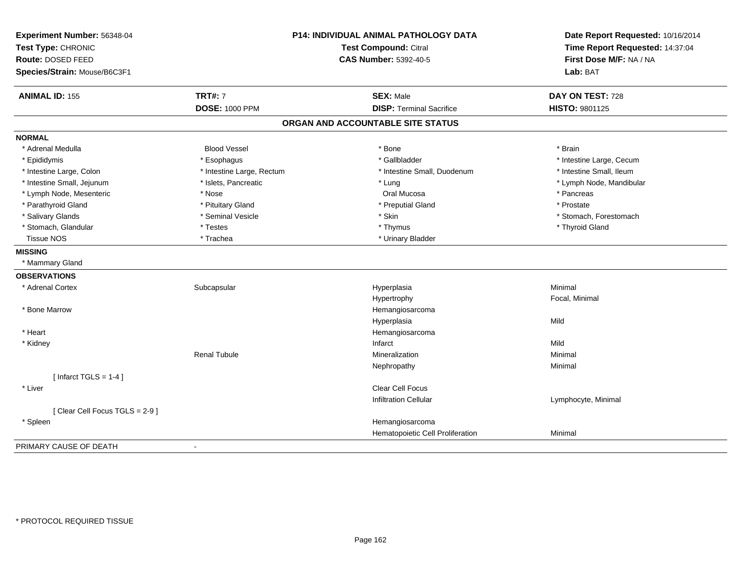| Experiment Number: 56348-04   | P14: INDIVIDUAL ANIMAL PATHOLOGY DATA<br><b>Test Compound: Citral</b> |                                   | Date Report Requested: 10/16/2014<br>Time Report Requested: 14:37:04 |
|-------------------------------|-----------------------------------------------------------------------|-----------------------------------|----------------------------------------------------------------------|
| Test Type: CHRONIC            |                                                                       |                                   |                                                                      |
| Route: DOSED FEED             |                                                                       | <b>CAS Number: 5392-40-5</b>      | First Dose M/F: NA / NA                                              |
| Species/Strain: Mouse/B6C3F1  |                                                                       |                                   | Lab: BAT                                                             |
| <b>ANIMAL ID: 155</b>         | <b>TRT#: 7</b>                                                        | <b>SEX: Male</b>                  | DAY ON TEST: 728                                                     |
|                               | <b>DOSE: 1000 PPM</b>                                                 | <b>DISP: Terminal Sacrifice</b>   | HISTO: 9801125                                                       |
|                               |                                                                       | ORGAN AND ACCOUNTABLE SITE STATUS |                                                                      |
| <b>NORMAL</b>                 |                                                                       |                                   |                                                                      |
| * Adrenal Medulla             | <b>Blood Vessel</b>                                                   | * Bone                            | * Brain                                                              |
| * Epididymis                  | * Esophagus                                                           | * Gallbladder                     | * Intestine Large, Cecum                                             |
| * Intestine Large, Colon      | * Intestine Large, Rectum                                             | * Intestine Small, Duodenum       | * Intestine Small, Ileum                                             |
| * Intestine Small, Jejunum    | * Islets, Pancreatic                                                  | * Lung                            | * Lymph Node, Mandibular                                             |
| * Lymph Node, Mesenteric      | * Nose                                                                | Oral Mucosa                       | * Pancreas                                                           |
| * Parathyroid Gland           | * Pituitary Gland                                                     | * Preputial Gland                 | * Prostate                                                           |
| * Salivary Glands             | * Seminal Vesicle                                                     | * Skin                            | * Stomach, Forestomach                                               |
| * Stomach, Glandular          | * Testes                                                              | * Thymus                          | * Thyroid Gland                                                      |
| <b>Tissue NOS</b>             | * Trachea                                                             | * Urinary Bladder                 |                                                                      |
| <b>MISSING</b>                |                                                                       |                                   |                                                                      |
| * Mammary Gland               |                                                                       |                                   |                                                                      |
| <b>OBSERVATIONS</b>           |                                                                       |                                   |                                                                      |
| * Adrenal Cortex              | Subcapsular                                                           | Hyperplasia                       | Minimal                                                              |
|                               |                                                                       | Hypertrophy                       | Focal, Minimal                                                       |
| * Bone Marrow                 |                                                                       | Hemangiosarcoma                   |                                                                      |
|                               |                                                                       | Hyperplasia                       | Mild                                                                 |
| * Heart                       |                                                                       | Hemangiosarcoma                   |                                                                      |
| * Kidney                      |                                                                       | Infarct                           | Mild                                                                 |
|                               | <b>Renal Tubule</b>                                                   | Mineralization                    | Minimal                                                              |
|                               |                                                                       | Nephropathy                       | Minimal                                                              |
| [ Infarct $TGLS = 1-4$ ]      |                                                                       |                                   |                                                                      |
| * Liver                       |                                                                       | <b>Clear Cell Focus</b>           |                                                                      |
|                               |                                                                       | <b>Infiltration Cellular</b>      | Lymphocyte, Minimal                                                  |
| [Clear Cell Focus TGLS = 2-9] |                                                                       |                                   |                                                                      |
| * Spleen                      |                                                                       | Hemangiosarcoma                   |                                                                      |
|                               |                                                                       | Hematopoietic Cell Proliferation  | Minimal                                                              |
| PRIMARY CAUSE OF DEATH        |                                                                       |                                   |                                                                      |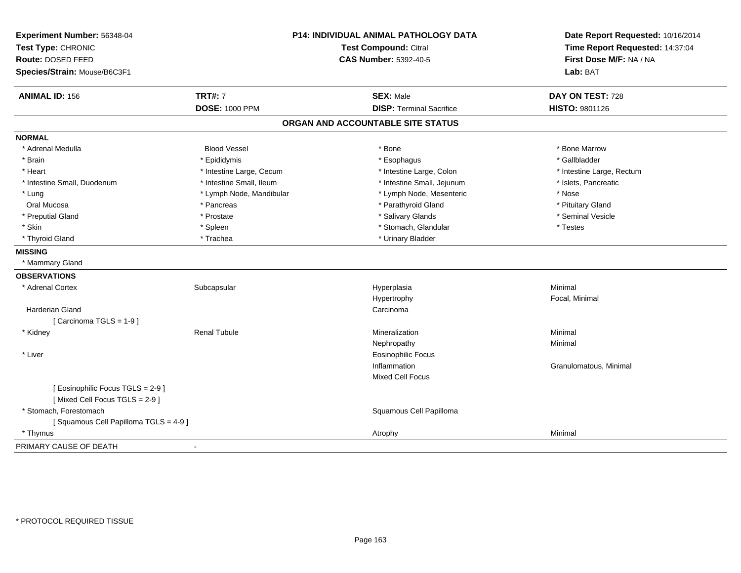| Experiment Number: 56348-04<br>Test Type: CHRONIC                |                          | <b>P14: INDIVIDUAL ANIMAL PATHOLOGY DATA</b><br><b>Test Compound: Citral</b> | Date Report Requested: 10/16/2014<br>Time Report Requested: 14:37:04 |
|------------------------------------------------------------------|--------------------------|------------------------------------------------------------------------------|----------------------------------------------------------------------|
| Route: DOSED FEED                                                |                          | <b>CAS Number: 5392-40-5</b>                                                 | First Dose M/F: NA / NA                                              |
| Species/Strain: Mouse/B6C3F1                                     |                          |                                                                              | Lab: BAT                                                             |
| <b>ANIMAL ID: 156</b>                                            | <b>TRT#: 7</b>           | <b>SEX: Male</b>                                                             | DAY ON TEST: 728                                                     |
|                                                                  | <b>DOSE: 1000 PPM</b>    | <b>DISP: Terminal Sacrifice</b>                                              | <b>HISTO: 9801126</b>                                                |
|                                                                  |                          | ORGAN AND ACCOUNTABLE SITE STATUS                                            |                                                                      |
| <b>NORMAL</b>                                                    |                          |                                                                              |                                                                      |
| * Adrenal Medulla                                                | <b>Blood Vessel</b>      | * Bone                                                                       | * Bone Marrow                                                        |
| * Brain                                                          | * Epididymis             | * Esophagus                                                                  | * Gallbladder                                                        |
| * Heart                                                          | * Intestine Large, Cecum | * Intestine Large, Colon                                                     | * Intestine Large, Rectum                                            |
| * Intestine Small, Duodenum                                      | * Intestine Small, Ileum | * Intestine Small, Jejunum                                                   | * Islets, Pancreatic                                                 |
| * Lung                                                           | * Lymph Node, Mandibular | * Lymph Node, Mesenteric                                                     | * Nose                                                               |
| Oral Mucosa                                                      | * Pancreas               | * Parathyroid Gland                                                          | * Pituitary Gland                                                    |
| * Preputial Gland                                                | * Prostate               | * Salivary Glands                                                            | * Seminal Vesicle                                                    |
| * Skin                                                           | * Spleen                 | * Stomach, Glandular                                                         | * Testes                                                             |
| * Thyroid Gland                                                  | * Trachea                | * Urinary Bladder                                                            |                                                                      |
| <b>MISSING</b>                                                   |                          |                                                                              |                                                                      |
| * Mammary Gland                                                  |                          |                                                                              |                                                                      |
| <b>OBSERVATIONS</b>                                              |                          |                                                                              |                                                                      |
| * Adrenal Cortex                                                 | Subcapsular              | Hyperplasia                                                                  | Minimal                                                              |
|                                                                  |                          | Hypertrophy                                                                  | Focal, Minimal                                                       |
| Harderian Gland                                                  |                          | Carcinoma                                                                    |                                                                      |
| [Carcinoma TGLS = 1-9]                                           |                          |                                                                              |                                                                      |
| * Kidney                                                         | <b>Renal Tubule</b>      | Mineralization                                                               | Minimal                                                              |
|                                                                  |                          | Nephropathy                                                                  | Minimal                                                              |
| * Liver                                                          |                          | <b>Eosinophilic Focus</b>                                                    |                                                                      |
|                                                                  |                          | Inflammation                                                                 | Granulomatous, Minimal                                               |
|                                                                  |                          | <b>Mixed Cell Focus</b>                                                      |                                                                      |
| [Eosinophilic Focus TGLS = 2-9]<br>[Mixed Cell Focus TGLS = 2-9] |                          |                                                                              |                                                                      |
| * Stomach, Forestomach                                           |                          | Squamous Cell Papilloma                                                      |                                                                      |
| [Squamous Cell Papilloma TGLS = 4-9]                             |                          |                                                                              |                                                                      |
| * Thymus                                                         |                          | Atrophy                                                                      | Minimal                                                              |
| PRIMARY CAUSE OF DEATH                                           |                          |                                                                              |                                                                      |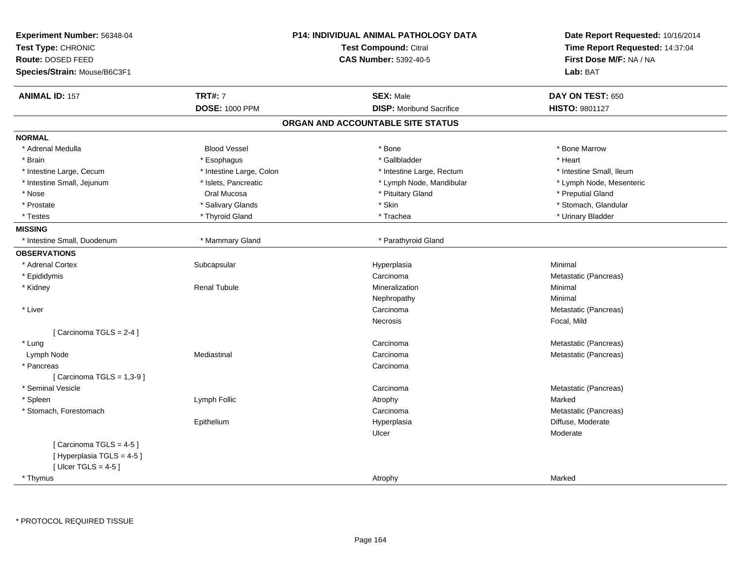| Experiment Number: 56348-04<br>Test Type: CHRONIC<br>Route: DOSED FEED<br>Species/Strain: Mouse/B6C3F1 |                          | <b>P14: INDIVIDUAL ANIMAL PATHOLOGY DATA</b><br><b>Test Compound: Citral</b><br><b>CAS Number: 5392-40-5</b> | Date Report Requested: 10/16/2014<br>Time Report Requested: 14:37:04<br>First Dose M/F: NA / NA<br>Lab: BAT |
|--------------------------------------------------------------------------------------------------------|--------------------------|--------------------------------------------------------------------------------------------------------------|-------------------------------------------------------------------------------------------------------------|
| <b>ANIMAL ID: 157</b>                                                                                  | <b>TRT#: 7</b>           | <b>SEX: Male</b>                                                                                             | DAY ON TEST: 650                                                                                            |
|                                                                                                        | <b>DOSE: 1000 PPM</b>    | <b>DISP:</b> Moribund Sacrifice                                                                              | <b>HISTO: 9801127</b>                                                                                       |
|                                                                                                        |                          | ORGAN AND ACCOUNTABLE SITE STATUS                                                                            |                                                                                                             |
| <b>NORMAL</b>                                                                                          |                          |                                                                                                              |                                                                                                             |
| * Adrenal Medulla                                                                                      | <b>Blood Vessel</b>      | * Bone                                                                                                       | * Bone Marrow                                                                                               |
| * Brain                                                                                                | * Esophagus              | * Gallbladder                                                                                                | * Heart                                                                                                     |
| * Intestine Large, Cecum                                                                               | * Intestine Large, Colon | * Intestine Large, Rectum                                                                                    | * Intestine Small, Ileum                                                                                    |
| * Intestine Small, Jejunum                                                                             | * Islets, Pancreatic     | * Lymph Node, Mandibular                                                                                     | * Lymph Node, Mesenteric                                                                                    |
| * Nose                                                                                                 | Oral Mucosa              | * Pituitary Gland                                                                                            | * Preputial Gland                                                                                           |
| * Prostate                                                                                             | * Salivary Glands        | * Skin                                                                                                       | * Stomach, Glandular                                                                                        |
| * Testes                                                                                               | * Thyroid Gland          | * Trachea                                                                                                    | * Urinary Bladder                                                                                           |
| <b>MISSING</b>                                                                                         |                          |                                                                                                              |                                                                                                             |
| * Intestine Small, Duodenum                                                                            | * Mammary Gland          | * Parathyroid Gland                                                                                          |                                                                                                             |
| <b>OBSERVATIONS</b>                                                                                    |                          |                                                                                                              |                                                                                                             |
| * Adrenal Cortex                                                                                       | Subcapsular              | Hyperplasia                                                                                                  | Minimal                                                                                                     |
| * Epididymis                                                                                           |                          | Carcinoma                                                                                                    | Metastatic (Pancreas)                                                                                       |
| * Kidney                                                                                               | <b>Renal Tubule</b>      | Mineralization                                                                                               | Minimal                                                                                                     |
|                                                                                                        |                          | Nephropathy                                                                                                  | Minimal                                                                                                     |
| * Liver                                                                                                |                          | Carcinoma                                                                                                    | Metastatic (Pancreas)                                                                                       |
|                                                                                                        |                          | Necrosis                                                                                                     | Focal, Mild                                                                                                 |
| [Carcinoma TGLS = $2-4$ ]                                                                              |                          |                                                                                                              |                                                                                                             |
| * Lung                                                                                                 |                          | Carcinoma                                                                                                    | Metastatic (Pancreas)                                                                                       |
| Lymph Node                                                                                             | Mediastinal              | Carcinoma                                                                                                    | Metastatic (Pancreas)                                                                                       |
| * Pancreas                                                                                             |                          | Carcinoma                                                                                                    |                                                                                                             |
| [Carcinoma TGLS = $1,3-9$ ]                                                                            |                          |                                                                                                              |                                                                                                             |
| * Seminal Vesicle                                                                                      |                          | Carcinoma                                                                                                    | Metastatic (Pancreas)                                                                                       |
| * Spleen                                                                                               | Lymph Follic             | Atrophy                                                                                                      | Marked                                                                                                      |
| * Stomach, Forestomach                                                                                 |                          | Carcinoma                                                                                                    | Metastatic (Pancreas)                                                                                       |
|                                                                                                        | Epithelium               | Hyperplasia                                                                                                  | Diffuse, Moderate                                                                                           |
|                                                                                                        |                          | Ulcer                                                                                                        | Moderate                                                                                                    |
| [Carcinoma TGLS = $4-5$ ]                                                                              |                          |                                                                                                              |                                                                                                             |
| [Hyperplasia TGLS = 4-5]                                                                               |                          |                                                                                                              |                                                                                                             |
| [ Ulcer TGLS = $4-5$ ]                                                                                 |                          |                                                                                                              |                                                                                                             |
| * Thymus                                                                                               |                          | Atrophy                                                                                                      | Marked                                                                                                      |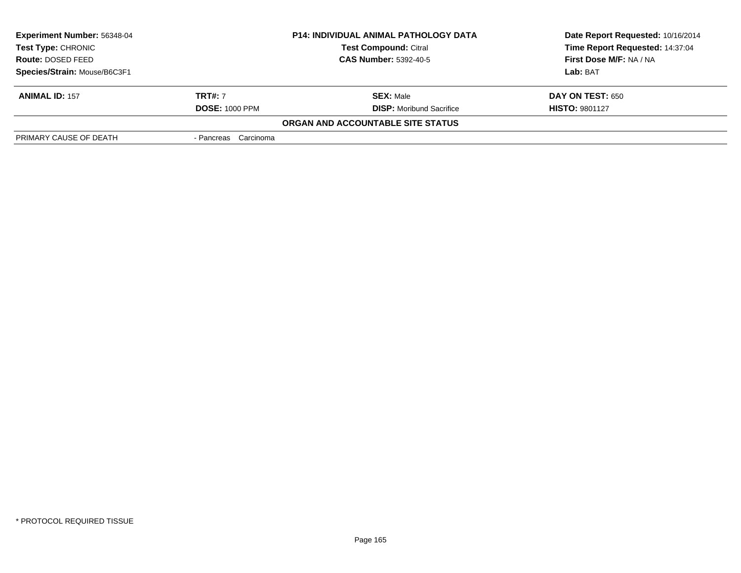| <b>Experiment Number: 56348-04</b>                                                                             |                       | <b>P14: INDIVIDUAL ANIMAL PATHOLOGY DATA</b> | Date Report Requested: 10/16/2014 |
|----------------------------------------------------------------------------------------------------------------|-----------------------|----------------------------------------------|-----------------------------------|
| <b>Test Compound: Citral</b><br><b>Test Type: CHRONIC</b><br><b>CAS Number: 5392-40-5</b><br>Route: DOSED FEED |                       |                                              | Time Report Requested: 14:37:04   |
|                                                                                                                |                       |                                              | First Dose M/F: NA / NA           |
| Species/Strain: Mouse/B6C3F1                                                                                   |                       |                                              | Lab: BAT                          |
| <b>ANIMAL ID: 157</b>                                                                                          | <b>TRT#:</b> 7        | <b>SEX: Male</b>                             | <b>DAY ON TEST: 650</b>           |
|                                                                                                                | <b>DOSE: 1000 PPM</b> | <b>DISP:</b> Moribund Sacrifice              | <b>HISTO: 9801127</b>             |
|                                                                                                                |                       | ORGAN AND ACCOUNTABLE SITE STATUS            |                                   |
| PRIMARY CAUSE OF DEATH                                                                                         | - Pancreas Carcinoma  |                                              |                                   |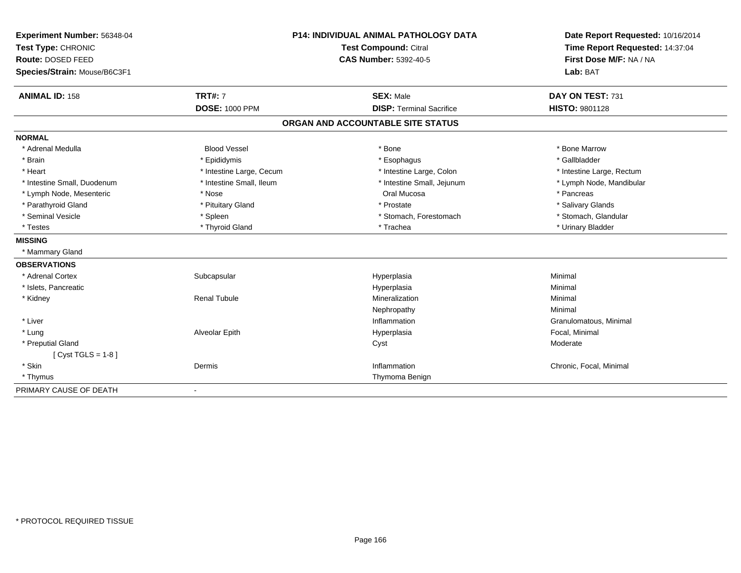| Experiment Number: 56348-04  |                          | <b>P14: INDIVIDUAL ANIMAL PATHOLOGY DATA</b> | Date Report Requested: 10/16/2014                          |  |
|------------------------------|--------------------------|----------------------------------------------|------------------------------------------------------------|--|
| Test Type: CHRONIC           |                          | <b>Test Compound: Citral</b>                 | Time Report Requested: 14:37:04<br>First Dose M/F: NA / NA |  |
| Route: DOSED FEED            |                          | <b>CAS Number: 5392-40-5</b>                 |                                                            |  |
| Species/Strain: Mouse/B6C3F1 |                          |                                              | Lab: BAT                                                   |  |
| <b>ANIMAL ID: 158</b>        | <b>TRT#: 7</b>           | <b>SEX: Male</b>                             | DAY ON TEST: 731                                           |  |
|                              | <b>DOSE: 1000 PPM</b>    | <b>DISP: Terminal Sacrifice</b>              | HISTO: 9801128                                             |  |
|                              |                          | ORGAN AND ACCOUNTABLE SITE STATUS            |                                                            |  |
| <b>NORMAL</b>                |                          |                                              |                                                            |  |
| * Adrenal Medulla            | <b>Blood Vessel</b>      | * Bone                                       | * Bone Marrow                                              |  |
| * Brain                      | * Epididymis             | * Esophagus                                  | * Gallbladder                                              |  |
| * Heart                      | * Intestine Large, Cecum | * Intestine Large, Colon                     | * Intestine Large, Rectum                                  |  |
| * Intestine Small, Duodenum  | * Intestine Small, Ileum | * Intestine Small, Jejunum                   | * Lymph Node, Mandibular                                   |  |
| * Lymph Node, Mesenteric     | * Nose                   | Oral Mucosa                                  | * Pancreas                                                 |  |
| * Parathyroid Gland          | * Pituitary Gland        | * Prostate                                   | * Salivary Glands                                          |  |
| * Seminal Vesicle            | * Spleen                 | * Stomach, Forestomach                       | * Stomach, Glandular                                       |  |
| * Testes                     | * Thyroid Gland          | * Trachea                                    | * Urinary Bladder                                          |  |
| <b>MISSING</b>               |                          |                                              |                                                            |  |
| * Mammary Gland              |                          |                                              |                                                            |  |
| <b>OBSERVATIONS</b>          |                          |                                              |                                                            |  |
| * Adrenal Cortex             | Subcapsular              | Hyperplasia                                  | Minimal                                                    |  |
| * Islets, Pancreatic         |                          | Hyperplasia                                  | Minimal                                                    |  |
| * Kidney                     | <b>Renal Tubule</b>      | Mineralization                               | Minimal                                                    |  |
|                              |                          | Nephropathy                                  | Minimal                                                    |  |
| * Liver                      |                          | Inflammation                                 | Granulomatous, Minimal                                     |  |
| * Lung                       | Alveolar Epith           | Hyperplasia                                  | Focal, Minimal                                             |  |
| * Preputial Gland            |                          | Cyst                                         | Moderate                                                   |  |
| [Cyst TGLS = $1-8$ ]         |                          |                                              |                                                            |  |
| * Skin                       | Dermis                   | Inflammation                                 | Chronic, Focal, Minimal                                    |  |
| * Thymus                     |                          | Thymoma Benign                               |                                                            |  |
| PRIMARY CAUSE OF DEATH       | $\blacksquare$           |                                              |                                                            |  |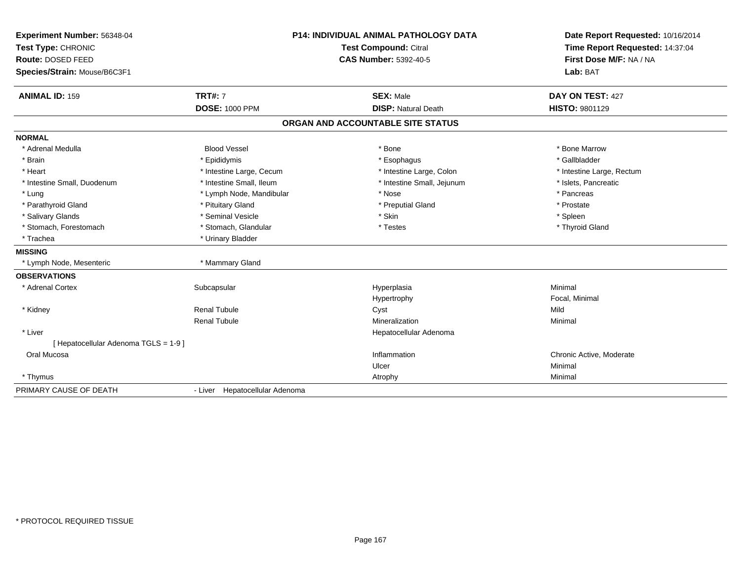| Experiment Number: 56348-04<br>Test Type: CHRONIC<br>Route: DOSED FEED<br>Species/Strain: Mouse/B6C3F1 |                                | P14: INDIVIDUAL ANIMAL PATHOLOGY DATA<br><b>Test Compound: Citral</b><br><b>CAS Number: 5392-40-5</b> | Date Report Requested: 10/16/2014<br>Time Report Requested: 14:37:04<br>First Dose M/F: NA / NA<br>Lab: BAT |
|--------------------------------------------------------------------------------------------------------|--------------------------------|-------------------------------------------------------------------------------------------------------|-------------------------------------------------------------------------------------------------------------|
| <b>ANIMAL ID: 159</b>                                                                                  | <b>TRT#: 7</b>                 | <b>SEX: Male</b>                                                                                      | DAY ON TEST: 427                                                                                            |
|                                                                                                        | <b>DOSE: 1000 PPM</b>          | <b>DISP: Natural Death</b>                                                                            | HISTO: 9801129                                                                                              |
|                                                                                                        |                                | ORGAN AND ACCOUNTABLE SITE STATUS                                                                     |                                                                                                             |
| <b>NORMAL</b>                                                                                          |                                |                                                                                                       |                                                                                                             |
| * Adrenal Medulla                                                                                      | <b>Blood Vessel</b>            | * Bone                                                                                                | * Bone Marrow                                                                                               |
| * Brain                                                                                                | * Epididymis                   | * Esophagus                                                                                           | * Gallbladder                                                                                               |
| * Heart                                                                                                | * Intestine Large, Cecum       | * Intestine Large, Colon                                                                              | * Intestine Large, Rectum                                                                                   |
| * Intestine Small, Duodenum                                                                            | * Intestine Small, Ileum       | * Intestine Small, Jejunum                                                                            | * Islets, Pancreatic                                                                                        |
| * Lung                                                                                                 | * Lymph Node, Mandibular       | * Nose                                                                                                | * Pancreas                                                                                                  |
| * Parathyroid Gland                                                                                    | * Pituitary Gland              | * Preputial Gland                                                                                     | * Prostate                                                                                                  |
| * Salivary Glands                                                                                      | * Seminal Vesicle              | * Skin                                                                                                | * Spleen                                                                                                    |
| * Stomach, Forestomach                                                                                 | * Stomach, Glandular           | * Testes                                                                                              | * Thyroid Gland                                                                                             |
| * Trachea                                                                                              | * Urinary Bladder              |                                                                                                       |                                                                                                             |
| <b>MISSING</b>                                                                                         |                                |                                                                                                       |                                                                                                             |
| * Lymph Node, Mesenteric                                                                               | * Mammary Gland                |                                                                                                       |                                                                                                             |
| <b>OBSERVATIONS</b>                                                                                    |                                |                                                                                                       |                                                                                                             |
| * Adrenal Cortex                                                                                       | Subcapsular                    | Hyperplasia                                                                                           | Minimal                                                                                                     |
|                                                                                                        |                                | Hypertrophy                                                                                           | Focal, Minimal                                                                                              |
| * Kidney                                                                                               | <b>Renal Tubule</b>            | Cyst                                                                                                  | Mild                                                                                                        |
|                                                                                                        | <b>Renal Tubule</b>            | Mineralization                                                                                        | Minimal                                                                                                     |
| * Liver                                                                                                |                                | Hepatocellular Adenoma                                                                                |                                                                                                             |
| [Hepatocellular Adenoma TGLS = 1-9]                                                                    |                                |                                                                                                       |                                                                                                             |
| Oral Mucosa                                                                                            |                                | Inflammation                                                                                          | Chronic Active, Moderate                                                                                    |
|                                                                                                        |                                | Ulcer                                                                                                 | Minimal                                                                                                     |
| * Thymus                                                                                               |                                | Atrophy                                                                                               | Minimal                                                                                                     |
| PRIMARY CAUSE OF DEATH                                                                                 | - Liver Hepatocellular Adenoma |                                                                                                       |                                                                                                             |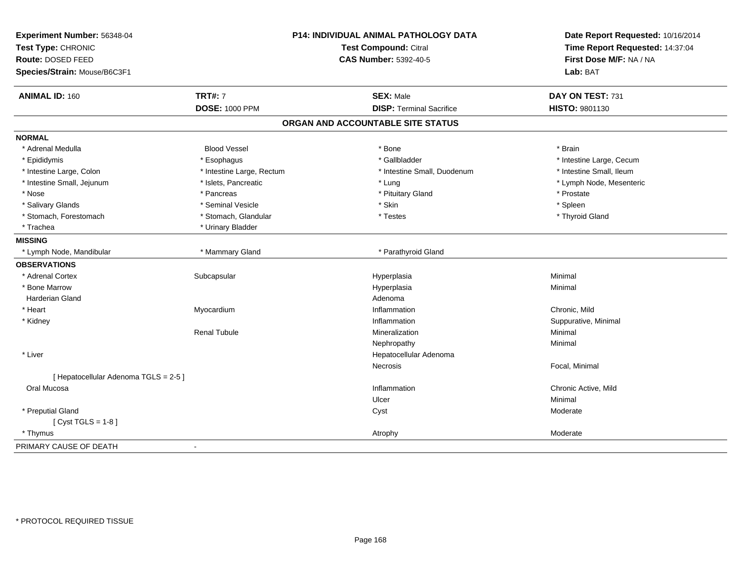| Experiment Number: 56348-04<br>Test Type: CHRONIC<br>Route: DOSED FEED<br>Species/Strain: Mouse/B6C3F1 |                           | P14: INDIVIDUAL ANIMAL PATHOLOGY DATA<br><b>Test Compound: Citral</b><br><b>CAS Number: 5392-40-5</b> | Date Report Requested: 10/16/2014<br>Time Report Requested: 14:37:04<br>First Dose M/F: NA / NA<br>Lab: BAT |
|--------------------------------------------------------------------------------------------------------|---------------------------|-------------------------------------------------------------------------------------------------------|-------------------------------------------------------------------------------------------------------------|
|                                                                                                        |                           |                                                                                                       |                                                                                                             |
| <b>ANIMAL ID: 160</b>                                                                                  | <b>TRT#: 7</b>            | <b>SEX: Male</b>                                                                                      | DAY ON TEST: 731                                                                                            |
|                                                                                                        | <b>DOSE: 1000 PPM</b>     | <b>DISP: Terminal Sacrifice</b>                                                                       | HISTO: 9801130                                                                                              |
|                                                                                                        |                           | ORGAN AND ACCOUNTABLE SITE STATUS                                                                     |                                                                                                             |
| <b>NORMAL</b>                                                                                          |                           |                                                                                                       |                                                                                                             |
| * Adrenal Medulla                                                                                      | <b>Blood Vessel</b>       | * Bone                                                                                                | * Brain                                                                                                     |
| * Epididymis                                                                                           | * Esophagus               | * Gallbladder                                                                                         | * Intestine Large, Cecum                                                                                    |
| * Intestine Large, Colon                                                                               | * Intestine Large, Rectum | * Intestine Small, Duodenum                                                                           | * Intestine Small, Ileum                                                                                    |
| * Intestine Small, Jejunum                                                                             | * Islets, Pancreatic      | * Lung                                                                                                | * Lymph Node, Mesenteric                                                                                    |
| * Nose                                                                                                 | * Pancreas                | * Pituitary Gland                                                                                     | * Prostate                                                                                                  |
| * Salivary Glands                                                                                      | * Seminal Vesicle         | * Skin                                                                                                | * Spleen                                                                                                    |
| * Stomach, Forestomach                                                                                 | * Stomach, Glandular      | * Testes                                                                                              | * Thyroid Gland                                                                                             |
| * Trachea                                                                                              | * Urinary Bladder         |                                                                                                       |                                                                                                             |
| <b>MISSING</b>                                                                                         |                           |                                                                                                       |                                                                                                             |
| * Lymph Node, Mandibular                                                                               | * Mammary Gland           | * Parathyroid Gland                                                                                   |                                                                                                             |
| <b>OBSERVATIONS</b>                                                                                    |                           |                                                                                                       |                                                                                                             |
| * Adrenal Cortex                                                                                       | Subcapsular               | Hyperplasia                                                                                           | Minimal                                                                                                     |
| * Bone Marrow                                                                                          |                           | Hyperplasia                                                                                           | Minimal                                                                                                     |
| <b>Harderian Gland</b>                                                                                 |                           | Adenoma                                                                                               |                                                                                                             |
| * Heart                                                                                                | Myocardium                | Inflammation                                                                                          | Chronic, Mild                                                                                               |
| * Kidney                                                                                               |                           | Inflammation                                                                                          | Suppurative, Minimal                                                                                        |
|                                                                                                        | <b>Renal Tubule</b>       | Mineralization                                                                                        | Minimal                                                                                                     |
|                                                                                                        |                           | Nephropathy                                                                                           | Minimal                                                                                                     |
| * Liver                                                                                                |                           | Hepatocellular Adenoma                                                                                |                                                                                                             |
|                                                                                                        |                           | <b>Necrosis</b>                                                                                       | Focal, Minimal                                                                                              |
| [ Hepatocellular Adenoma TGLS = 2-5 ]                                                                  |                           |                                                                                                       |                                                                                                             |
| Oral Mucosa                                                                                            |                           | Inflammation                                                                                          | Chronic Active, Mild                                                                                        |
|                                                                                                        |                           | Ulcer                                                                                                 | Minimal                                                                                                     |
| * Preputial Gland                                                                                      |                           | Cyst                                                                                                  | Moderate                                                                                                    |
| [Cyst TGLS = $1-8$ ]                                                                                   |                           |                                                                                                       |                                                                                                             |
| * Thymus                                                                                               |                           | Atrophy                                                                                               | Moderate                                                                                                    |
| PRIMARY CAUSE OF DEATH                                                                                 |                           |                                                                                                       |                                                                                                             |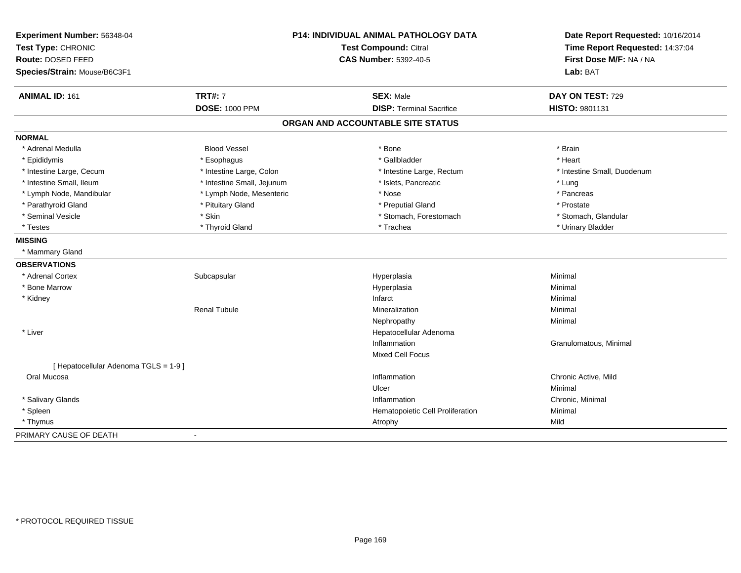| Experiment Number: 56348-04<br>Test Type: CHRONIC |                            | P14: INDIVIDUAL ANIMAL PATHOLOGY DATA<br><b>Test Compound: Citral</b> | Date Report Requested: 10/16/2014<br>Time Report Requested: 14:37:04 |  |
|---------------------------------------------------|----------------------------|-----------------------------------------------------------------------|----------------------------------------------------------------------|--|
| Route: DOSED FEED                                 |                            | <b>CAS Number: 5392-40-5</b>                                          | First Dose M/F: NA / NA                                              |  |
| Species/Strain: Mouse/B6C3F1                      |                            |                                                                       | Lab: BAT                                                             |  |
| <b>ANIMAL ID: 161</b>                             | <b>TRT#: 7</b>             | <b>SEX: Male</b>                                                      | DAY ON TEST: 729                                                     |  |
|                                                   | <b>DOSE: 1000 PPM</b>      | <b>DISP: Terminal Sacrifice</b>                                       | HISTO: 9801131                                                       |  |
|                                                   |                            | ORGAN AND ACCOUNTABLE SITE STATUS                                     |                                                                      |  |
| <b>NORMAL</b>                                     |                            |                                                                       |                                                                      |  |
| * Adrenal Medulla                                 | <b>Blood Vessel</b>        | * Bone                                                                | * Brain                                                              |  |
| * Epididymis                                      | * Esophagus                | * Gallbladder                                                         | * Heart                                                              |  |
| * Intestine Large, Cecum                          | * Intestine Large, Colon   | * Intestine Large, Rectum                                             | * Intestine Small, Duodenum                                          |  |
| * Intestine Small, Ileum                          | * Intestine Small, Jejunum | * Islets, Pancreatic                                                  | * Lung                                                               |  |
| * Lymph Node, Mandibular                          | * Lymph Node, Mesenteric   | * Nose                                                                | * Pancreas                                                           |  |
| * Parathyroid Gland                               | * Pituitary Gland          | * Preputial Gland                                                     | * Prostate                                                           |  |
| * Seminal Vesicle                                 | * Skin                     | * Stomach, Forestomach                                                | * Stomach, Glandular                                                 |  |
| * Testes                                          | * Thyroid Gland            | * Trachea                                                             | * Urinary Bladder                                                    |  |
| <b>MISSING</b>                                    |                            |                                                                       |                                                                      |  |
| * Mammary Gland                                   |                            |                                                                       |                                                                      |  |
| <b>OBSERVATIONS</b>                               |                            |                                                                       |                                                                      |  |
| * Adrenal Cortex                                  | Subcapsular                | Hyperplasia                                                           | Minimal                                                              |  |
| * Bone Marrow                                     |                            | Hyperplasia                                                           | Minimal                                                              |  |
| * Kidney                                          |                            | Infarct                                                               | Minimal                                                              |  |
|                                                   | <b>Renal Tubule</b>        | Mineralization                                                        | Minimal                                                              |  |
|                                                   |                            | Nephropathy                                                           | Minimal                                                              |  |
| * Liver                                           |                            | Hepatocellular Adenoma                                                |                                                                      |  |
|                                                   |                            | Inflammation                                                          | Granulomatous, Minimal                                               |  |
|                                                   |                            | Mixed Cell Focus                                                      |                                                                      |  |
| [ Hepatocellular Adenoma TGLS = 1-9 ]             |                            |                                                                       |                                                                      |  |
| Oral Mucosa                                       |                            | Inflammation                                                          | Chronic Active, Mild                                                 |  |
|                                                   |                            | Ulcer                                                                 | Minimal                                                              |  |
| * Salivary Glands                                 |                            | Inflammation                                                          | Chronic, Minimal                                                     |  |
| * Spleen                                          |                            | Hematopoietic Cell Proliferation                                      | Minimal                                                              |  |
| * Thymus                                          |                            | Atrophy                                                               | Mild                                                                 |  |
| PRIMARY CAUSE OF DEATH                            |                            |                                                                       |                                                                      |  |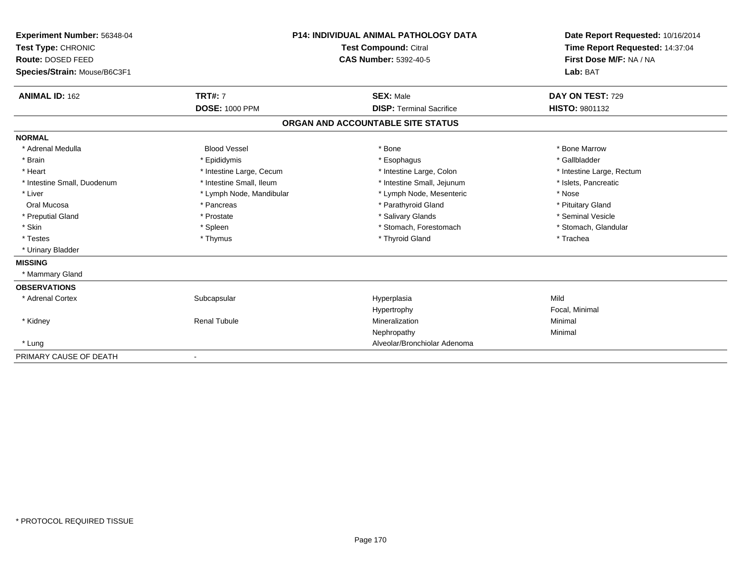| Experiment Number: 56348-04  |                              | <b>P14: INDIVIDUAL ANIMAL PATHOLOGY DATA</b> | Date Report Requested: 10/16/2014 |  |
|------------------------------|------------------------------|----------------------------------------------|-----------------------------------|--|
| Test Type: CHRONIC           | <b>Test Compound: Citral</b> |                                              | Time Report Requested: 14:37:04   |  |
| Route: DOSED FEED            |                              | <b>CAS Number: 5392-40-5</b>                 | First Dose M/F: NA / NA           |  |
| Species/Strain: Mouse/B6C3F1 |                              |                                              | Lab: BAT                          |  |
| <b>ANIMAL ID: 162</b>        | <b>TRT#: 7</b>               | <b>SEX: Male</b>                             | DAY ON TEST: 729                  |  |
|                              | <b>DOSE: 1000 PPM</b>        | <b>DISP: Terminal Sacrifice</b>              | <b>HISTO: 9801132</b>             |  |
|                              |                              | ORGAN AND ACCOUNTABLE SITE STATUS            |                                   |  |
| <b>NORMAL</b>                |                              |                                              |                                   |  |
| * Adrenal Medulla            | <b>Blood Vessel</b>          | * Bone                                       | * Bone Marrow                     |  |
| * Brain                      | * Epididymis                 | * Esophagus                                  | * Gallbladder                     |  |
| * Heart                      | * Intestine Large, Cecum     | * Intestine Large, Colon                     | * Intestine Large, Rectum         |  |
| * Intestine Small, Duodenum  | * Intestine Small, Ileum     | * Intestine Small, Jejunum                   | * Islets, Pancreatic              |  |
| * Liver                      | * Lymph Node, Mandibular     | * Lymph Node, Mesenteric                     | * Nose                            |  |
| Oral Mucosa                  | * Pancreas                   | * Parathyroid Gland                          | * Pituitary Gland                 |  |
| * Preputial Gland            | * Prostate                   | * Salivary Glands                            | * Seminal Vesicle                 |  |
| * Skin                       | * Spleen                     | * Stomach, Forestomach                       | * Stomach, Glandular              |  |
| * Testes                     | * Thymus                     | * Thyroid Gland                              | * Trachea                         |  |
| * Urinary Bladder            |                              |                                              |                                   |  |
| <b>MISSING</b>               |                              |                                              |                                   |  |
| * Mammary Gland              |                              |                                              |                                   |  |
| <b>OBSERVATIONS</b>          |                              |                                              |                                   |  |
| * Adrenal Cortex             | Subcapsular                  | Hyperplasia                                  | Mild                              |  |
|                              |                              | Hypertrophy                                  | Focal, Minimal                    |  |
| * Kidney                     | <b>Renal Tubule</b>          | Mineralization                               | Minimal                           |  |
|                              |                              | Nephropathy                                  | Minimal                           |  |
| * Lung                       |                              | Alveolar/Bronchiolar Adenoma                 |                                   |  |
| PRIMARY CAUSE OF DEATH       |                              |                                              |                                   |  |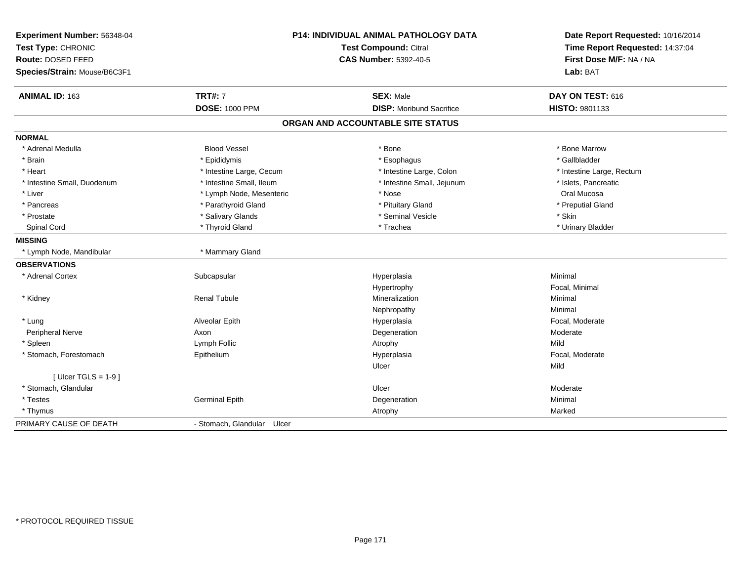| Experiment Number: 56348-04<br>Test Type: CHRONIC |                               | <b>P14: INDIVIDUAL ANIMAL PATHOLOGY DATA</b><br><b>Test Compound: Citral</b> | Date Report Requested: 10/16/2014<br>Time Report Requested: 14:37:04 |  |
|---------------------------------------------------|-------------------------------|------------------------------------------------------------------------------|----------------------------------------------------------------------|--|
| Route: DOSED FEED<br>Species/Strain: Mouse/B6C3F1 |                               | <b>CAS Number: 5392-40-5</b>                                                 | First Dose M/F: NA / NA<br>Lab: BAT                                  |  |
| ANIMAL ID: 163                                    | <b>TRT#: 7</b>                | <b>SEX: Male</b>                                                             | DAY ON TEST: 616                                                     |  |
|                                                   | <b>DOSE: 1000 PPM</b>         | <b>DISP:</b> Moribund Sacrifice                                              | HISTO: 9801133                                                       |  |
|                                                   |                               | ORGAN AND ACCOUNTABLE SITE STATUS                                            |                                                                      |  |
| <b>NORMAL</b>                                     |                               |                                                                              |                                                                      |  |
| * Adrenal Medulla                                 | <b>Blood Vessel</b>           | * Bone                                                                       | * Bone Marrow                                                        |  |
| * Brain                                           | * Epididymis                  | * Esophagus                                                                  | * Gallbladder                                                        |  |
| * Heart                                           | * Intestine Large, Cecum      | * Intestine Large, Colon                                                     | * Intestine Large, Rectum                                            |  |
| * Intestine Small, Duodenum                       | * Intestine Small, Ileum      | * Intestine Small, Jejunum                                                   | * Islets, Pancreatic                                                 |  |
| * Liver                                           | * Lymph Node, Mesenteric      | * Nose                                                                       | Oral Mucosa                                                          |  |
| * Pancreas                                        | * Parathyroid Gland           | * Pituitary Gland                                                            | * Preputial Gland                                                    |  |
| * Prostate                                        | * Salivary Glands             | * Seminal Vesicle                                                            | * Skin                                                               |  |
| Spinal Cord                                       | * Thyroid Gland               | * Trachea                                                                    | * Urinary Bladder                                                    |  |
| <b>MISSING</b>                                    |                               |                                                                              |                                                                      |  |
| * Lymph Node, Mandibular                          | * Mammary Gland               |                                                                              |                                                                      |  |
| <b>OBSERVATIONS</b>                               |                               |                                                                              |                                                                      |  |
| * Adrenal Cortex                                  | Subcapsular                   | Hyperplasia                                                                  | Minimal                                                              |  |
|                                                   |                               | Hypertrophy                                                                  | Focal, Minimal                                                       |  |
| * Kidney                                          | <b>Renal Tubule</b>           | Mineralization                                                               | Minimal                                                              |  |
|                                                   |                               | Nephropathy                                                                  | Minimal                                                              |  |
| * Lung                                            | Alveolar Epith                | Hyperplasia                                                                  | Focal, Moderate                                                      |  |
| Peripheral Nerve                                  | Axon                          | Degeneration                                                                 | Moderate                                                             |  |
| * Spleen                                          | Lymph Follic                  | Atrophy                                                                      | Mild                                                                 |  |
| * Stomach, Forestomach                            | Epithelium                    | Hyperplasia                                                                  | Focal, Moderate                                                      |  |
|                                                   |                               | Ulcer                                                                        | Mild                                                                 |  |
| [ Ulcer TGLS = $1-9$ ]                            |                               |                                                                              |                                                                      |  |
| * Stomach, Glandular                              |                               | Ulcer                                                                        | Moderate                                                             |  |
| * Testes                                          | <b>Germinal Epith</b>         | Degeneration                                                                 | Minimal                                                              |  |
| * Thymus                                          |                               | Atrophy                                                                      | Marked                                                               |  |
| PRIMARY CAUSE OF DEATH                            | - Stomach, Glandular<br>Ulcer |                                                                              |                                                                      |  |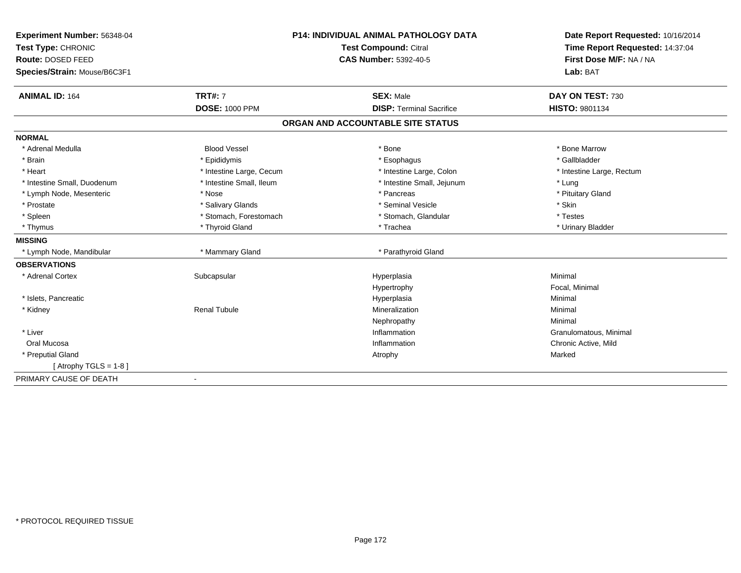| Experiment Number: 56348-04  | <b>P14: INDIVIDUAL ANIMAL PATHOLOGY DATA</b> |                                   | Date Report Requested: 10/16/2014 |  |
|------------------------------|----------------------------------------------|-----------------------------------|-----------------------------------|--|
| Test Type: CHRONIC           | Test Compound: Citral                        |                                   | Time Report Requested: 14:37:04   |  |
| Route: DOSED FEED            |                                              | <b>CAS Number: 5392-40-5</b>      | First Dose M/F: NA / NA           |  |
| Species/Strain: Mouse/B6C3F1 |                                              |                                   | Lab: BAT                          |  |
| <b>ANIMAL ID: 164</b>        | <b>TRT#: 7</b>                               | <b>SEX: Male</b>                  | DAY ON TEST: 730                  |  |
|                              | <b>DOSE: 1000 PPM</b>                        | <b>DISP: Terminal Sacrifice</b>   | <b>HISTO: 9801134</b>             |  |
|                              |                                              | ORGAN AND ACCOUNTABLE SITE STATUS |                                   |  |
| <b>NORMAL</b>                |                                              |                                   |                                   |  |
| * Adrenal Medulla            | <b>Blood Vessel</b>                          | * Bone                            | * Bone Marrow                     |  |
| * Brain                      | * Epididymis                                 | * Esophagus                       | * Gallbladder                     |  |
| * Heart                      | * Intestine Large, Cecum                     | * Intestine Large, Colon          | * Intestine Large, Rectum         |  |
| * Intestine Small, Duodenum  | * Intestine Small, Ileum                     | * Intestine Small, Jejunum        | * Lung                            |  |
| * Lymph Node, Mesenteric     | * Nose                                       | * Pancreas                        | * Pituitary Gland                 |  |
| * Prostate                   | * Salivary Glands                            | * Seminal Vesicle                 | * Skin                            |  |
| * Spleen                     | * Stomach, Forestomach                       | * Stomach, Glandular              | * Testes                          |  |
| * Thymus                     | * Thyroid Gland                              | * Trachea                         | * Urinary Bladder                 |  |
| <b>MISSING</b>               |                                              |                                   |                                   |  |
| * Lymph Node, Mandibular     | * Mammary Gland                              | * Parathyroid Gland               |                                   |  |
| <b>OBSERVATIONS</b>          |                                              |                                   |                                   |  |
| * Adrenal Cortex             | Subcapsular                                  | Hyperplasia                       | Minimal                           |  |
|                              |                                              | Hypertrophy                       | Focal, Minimal                    |  |
| * Islets, Pancreatic         |                                              | Hyperplasia                       | Minimal                           |  |
| * Kidney                     | <b>Renal Tubule</b>                          | Mineralization                    | Minimal                           |  |
|                              |                                              | Nephropathy                       | Minimal                           |  |
| * Liver                      |                                              | Inflammation                      | Granulomatous, Minimal            |  |
| Oral Mucosa                  |                                              | Inflammation                      | Chronic Active, Mild              |  |
| * Preputial Gland            |                                              | Atrophy                           | Marked                            |  |
| [Atrophy TGLS = $1-8$ ]      |                                              |                                   |                                   |  |
| PRIMARY CAUSE OF DEATH       | $\overline{\phantom{a}}$                     |                                   |                                   |  |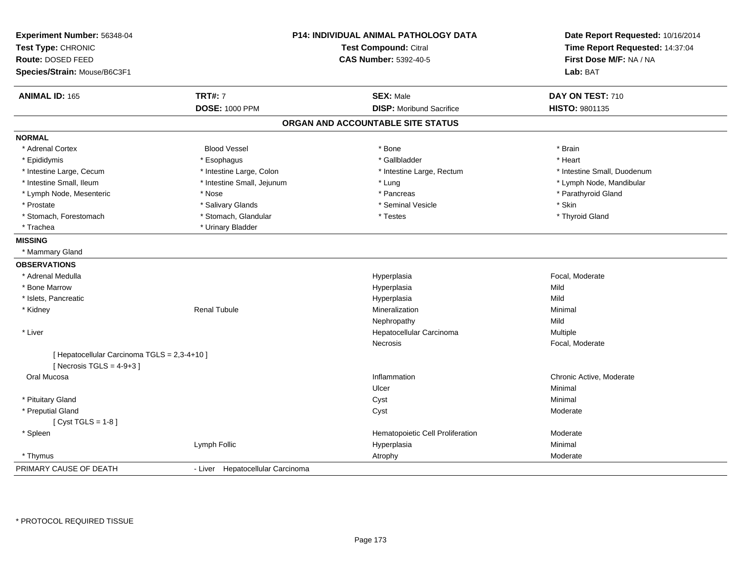| Experiment Number: 56348-04<br>Test Type: CHRONIC |                                  | P14: INDIVIDUAL ANIMAL PATHOLOGY DATA<br>Test Compound: Citral | Date Report Requested: 10/16/2014<br>Time Report Requested: 14:37:04 |  |
|---------------------------------------------------|----------------------------------|----------------------------------------------------------------|----------------------------------------------------------------------|--|
| Route: DOSED FEED                                 |                                  | <b>CAS Number: 5392-40-5</b>                                   | First Dose M/F: NA / NA                                              |  |
| Species/Strain: Mouse/B6C3F1                      |                                  |                                                                | Lab: BAT                                                             |  |
| <b>ANIMAL ID: 165</b>                             | <b>TRT#: 7</b>                   | <b>SEX: Male</b>                                               | DAY ON TEST: 710                                                     |  |
|                                                   | <b>DOSE: 1000 PPM</b>            | <b>DISP:</b> Moribund Sacrifice                                | HISTO: 9801135                                                       |  |
|                                                   |                                  | ORGAN AND ACCOUNTABLE SITE STATUS                              |                                                                      |  |
| <b>NORMAL</b>                                     |                                  |                                                                |                                                                      |  |
| * Adrenal Cortex                                  | <b>Blood Vessel</b>              | * Bone                                                         | * Brain                                                              |  |
| * Epididymis                                      | * Esophagus                      | * Gallbladder                                                  | * Heart                                                              |  |
| * Intestine Large, Cecum                          | * Intestine Large, Colon         | * Intestine Large, Rectum                                      | * Intestine Small, Duodenum                                          |  |
| * Intestine Small, Ileum                          | * Intestine Small, Jejunum       | * Lung                                                         | * Lymph Node, Mandibular                                             |  |
| * Lymph Node, Mesenteric                          | * Nose                           | * Pancreas                                                     | * Parathyroid Gland                                                  |  |
| * Prostate                                        | * Salivary Glands                | * Seminal Vesicle                                              | * Skin                                                               |  |
| * Stomach, Forestomach                            | * Stomach, Glandular             | * Testes                                                       | * Thyroid Gland                                                      |  |
| * Trachea                                         | * Urinary Bladder                |                                                                |                                                                      |  |
| <b>MISSING</b>                                    |                                  |                                                                |                                                                      |  |
| * Mammary Gland                                   |                                  |                                                                |                                                                      |  |
| <b>OBSERVATIONS</b>                               |                                  |                                                                |                                                                      |  |
| * Adrenal Medulla                                 |                                  | Hyperplasia                                                    | Focal, Moderate                                                      |  |
| * Bone Marrow                                     |                                  | Hyperplasia                                                    | Mild                                                                 |  |
| * Islets, Pancreatic                              |                                  | Hyperplasia                                                    | Mild                                                                 |  |
| * Kidney                                          | <b>Renal Tubule</b>              | Mineralization                                                 | Minimal                                                              |  |
|                                                   |                                  | Nephropathy                                                    | Mild                                                                 |  |
| * Liver                                           |                                  | Hepatocellular Carcinoma                                       | Multiple                                                             |  |
|                                                   |                                  | Necrosis                                                       | Focal, Moderate                                                      |  |
| [ Hepatocellular Carcinoma TGLS = 2,3-4+10 ]      |                                  |                                                                |                                                                      |  |
| [ Necrosis TGLS = $4-9+3$ ]                       |                                  |                                                                |                                                                      |  |
| Oral Mucosa                                       |                                  | Inflammation                                                   | Chronic Active, Moderate                                             |  |
|                                                   |                                  | Ulcer                                                          | Minimal                                                              |  |
| * Pituitary Gland                                 |                                  | Cyst                                                           | Minimal                                                              |  |
| * Preputial Gland                                 |                                  | Cyst                                                           | Moderate                                                             |  |
| [ $Cyst TGLS = 1-8$ ]                             |                                  |                                                                |                                                                      |  |
| * Spleen                                          |                                  | Hematopoietic Cell Proliferation                               | Moderate                                                             |  |
|                                                   | Lymph Follic                     | Hyperplasia                                                    | Minimal                                                              |  |
| * Thymus                                          |                                  | Atrophy                                                        | Moderate                                                             |  |
| PRIMARY CAUSE OF DEATH                            | - Liver Hepatocellular Carcinoma |                                                                |                                                                      |  |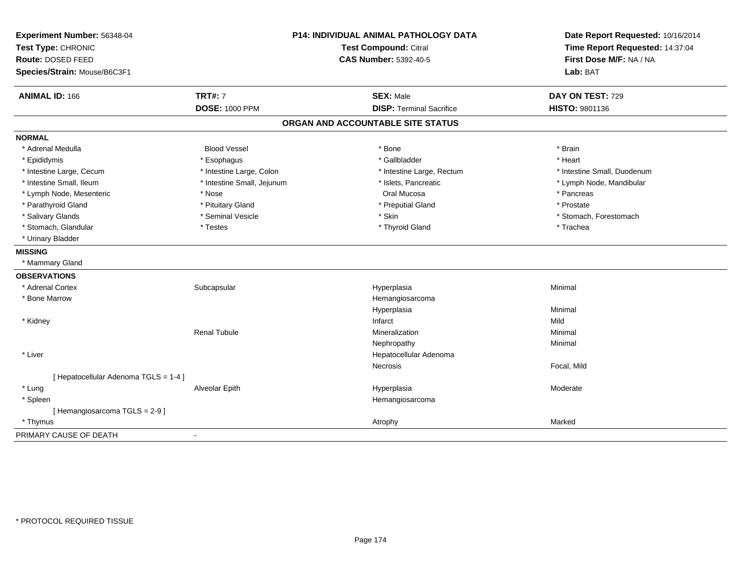| Experiment Number: 56348-04<br>Test Type: CHRONIC<br>Route: DOSED FEED |                            | P14: INDIVIDUAL ANIMAL PATHOLOGY DATA<br><b>Test Compound: Citral</b><br><b>CAS Number: 5392-40-5</b> | Date Report Requested: 10/16/2014<br>Time Report Requested: 14:37:04<br>First Dose M/F: NA / NA |
|------------------------------------------------------------------------|----------------------------|-------------------------------------------------------------------------------------------------------|-------------------------------------------------------------------------------------------------|
| Species/Strain: Mouse/B6C3F1                                           |                            |                                                                                                       | Lab: BAT                                                                                        |
| <b>ANIMAL ID: 166</b>                                                  | <b>TRT#: 7</b>             | <b>SEX: Male</b>                                                                                      | DAY ON TEST: 729                                                                                |
|                                                                        | <b>DOSE: 1000 PPM</b>      | <b>DISP: Terminal Sacrifice</b>                                                                       | HISTO: 9801136                                                                                  |
|                                                                        |                            | ORGAN AND ACCOUNTABLE SITE STATUS                                                                     |                                                                                                 |
| <b>NORMAL</b>                                                          |                            |                                                                                                       |                                                                                                 |
| * Adrenal Medulla                                                      | <b>Blood Vessel</b>        | * Bone                                                                                                | * Brain                                                                                         |
| * Epididymis                                                           | * Esophagus                | * Gallbladder                                                                                         | * Heart                                                                                         |
| * Intestine Large, Cecum                                               | * Intestine Large, Colon   | * Intestine Large, Rectum                                                                             | * Intestine Small, Duodenum                                                                     |
| * Intestine Small, Ileum                                               | * Intestine Small, Jejunum | * Islets, Pancreatic                                                                                  | * Lymph Node, Mandibular                                                                        |
| * Lymph Node, Mesenteric                                               | * Nose                     | Oral Mucosa                                                                                           | * Pancreas                                                                                      |
| * Parathyroid Gland                                                    | * Pituitary Gland          | * Preputial Gland                                                                                     | * Prostate                                                                                      |
| * Salivary Glands                                                      | * Seminal Vesicle          | * Skin                                                                                                | * Stomach, Forestomach                                                                          |
| * Stomach, Glandular                                                   | * Testes                   | * Thyroid Gland                                                                                       | * Trachea                                                                                       |
| * Urinary Bladder                                                      |                            |                                                                                                       |                                                                                                 |
| <b>MISSING</b>                                                         |                            |                                                                                                       |                                                                                                 |
| * Mammary Gland                                                        |                            |                                                                                                       |                                                                                                 |
| <b>OBSERVATIONS</b>                                                    |                            |                                                                                                       |                                                                                                 |
| * Adrenal Cortex                                                       | Subcapsular                | Hyperplasia                                                                                           | Minimal                                                                                         |
| * Bone Marrow                                                          |                            | Hemangiosarcoma                                                                                       |                                                                                                 |
|                                                                        |                            | Hyperplasia                                                                                           | Minimal                                                                                         |
| * Kidney                                                               |                            | Infarct                                                                                               | Mild                                                                                            |
|                                                                        | <b>Renal Tubule</b>        | Mineralization                                                                                        | Minimal                                                                                         |
|                                                                        |                            | Nephropathy                                                                                           | Minimal                                                                                         |
| * Liver                                                                |                            | Hepatocellular Adenoma                                                                                |                                                                                                 |
|                                                                        |                            | <b>Necrosis</b>                                                                                       | Focal, Mild                                                                                     |
| [ Hepatocellular Adenoma TGLS = 1-4 ]                                  |                            |                                                                                                       |                                                                                                 |
| * Lung                                                                 | Alveolar Epith             | Hyperplasia                                                                                           | Moderate                                                                                        |
| * Spleen                                                               |                            | Hemangiosarcoma                                                                                       |                                                                                                 |
| [Hemangiosarcoma TGLS = 2-9]                                           |                            |                                                                                                       |                                                                                                 |
| * Thymus                                                               |                            | Atrophy                                                                                               | Marked                                                                                          |
| PRIMARY CAUSE OF DEATH                                                 |                            |                                                                                                       |                                                                                                 |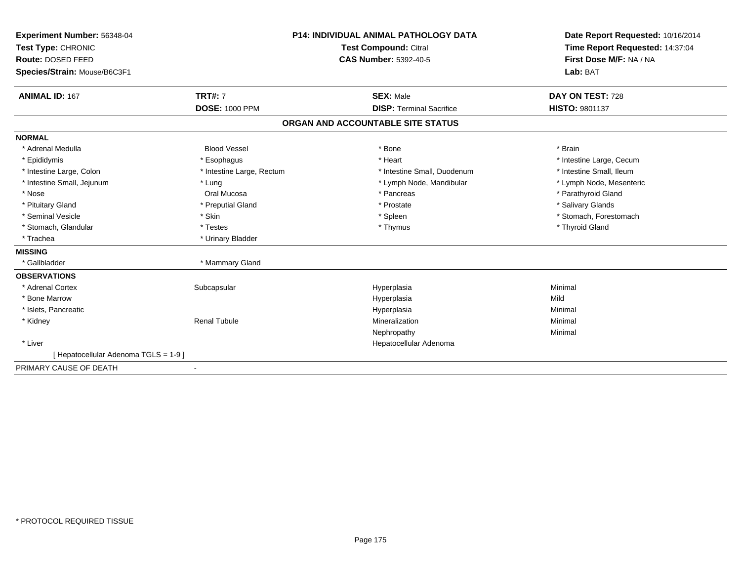| Experiment Number: 56348-04<br>Test Type: CHRONIC<br>Route: DOSED FEED<br>Species/Strain: Mouse/B6C3F1 |                           | <b>P14: INDIVIDUAL ANIMAL PATHOLOGY DATA</b><br>Test Compound: Citral<br><b>CAS Number: 5392-40-5</b> | Date Report Requested: 10/16/2014<br>Time Report Requested: 14:37:04<br>First Dose M/F: NA / NA<br>Lab: BAT |  |
|--------------------------------------------------------------------------------------------------------|---------------------------|-------------------------------------------------------------------------------------------------------|-------------------------------------------------------------------------------------------------------------|--|
| <b>ANIMAL ID: 167</b>                                                                                  | <b>TRT#: 7</b>            | <b>SEX: Male</b>                                                                                      | DAY ON TEST: 728                                                                                            |  |
|                                                                                                        | <b>DOSE: 1000 PPM</b>     | <b>DISP: Terminal Sacrifice</b>                                                                       | <b>HISTO: 9801137</b>                                                                                       |  |
|                                                                                                        |                           | ORGAN AND ACCOUNTABLE SITE STATUS                                                                     |                                                                                                             |  |
| <b>NORMAL</b>                                                                                          |                           |                                                                                                       |                                                                                                             |  |
| * Adrenal Medulla                                                                                      | <b>Blood Vessel</b>       | * Bone                                                                                                | * Brain                                                                                                     |  |
| * Epididymis                                                                                           | * Esophagus               | * Heart                                                                                               | * Intestine Large, Cecum                                                                                    |  |
| * Intestine Large, Colon                                                                               | * Intestine Large, Rectum | * Intestine Small, Duodenum                                                                           | * Intestine Small, Ileum                                                                                    |  |
| * Intestine Small, Jejunum                                                                             | * Lung                    | * Lymph Node, Mandibular                                                                              | * Lymph Node, Mesenteric                                                                                    |  |
| * Nose                                                                                                 | Oral Mucosa               | * Pancreas                                                                                            | * Parathyroid Gland                                                                                         |  |
| * Pituitary Gland                                                                                      | * Preputial Gland         | * Prostate                                                                                            | * Salivary Glands                                                                                           |  |
| * Seminal Vesicle                                                                                      | * Skin                    | * Spleen                                                                                              | * Stomach, Forestomach                                                                                      |  |
| * Stomach, Glandular                                                                                   | * Testes                  | * Thymus                                                                                              | * Thyroid Gland                                                                                             |  |
| * Trachea                                                                                              | * Urinary Bladder         |                                                                                                       |                                                                                                             |  |
| <b>MISSING</b>                                                                                         |                           |                                                                                                       |                                                                                                             |  |
| * Gallbladder                                                                                          | * Mammary Gland           |                                                                                                       |                                                                                                             |  |
| <b>OBSERVATIONS</b>                                                                                    |                           |                                                                                                       |                                                                                                             |  |
| * Adrenal Cortex                                                                                       | Subcapsular               | Hyperplasia                                                                                           | Minimal                                                                                                     |  |
| * Bone Marrow                                                                                          |                           | Hyperplasia                                                                                           | Mild                                                                                                        |  |
| * Islets, Pancreatic                                                                                   |                           | Hyperplasia                                                                                           | Minimal                                                                                                     |  |
| * Kidney                                                                                               | <b>Renal Tubule</b>       | Mineralization                                                                                        | Minimal                                                                                                     |  |
|                                                                                                        |                           | Nephropathy                                                                                           | Minimal                                                                                                     |  |
| * Liver                                                                                                |                           | Hepatocellular Adenoma                                                                                |                                                                                                             |  |
| [ Hepatocellular Adenoma TGLS = 1-9 ]                                                                  |                           |                                                                                                       |                                                                                                             |  |
| PRIMARY CAUSE OF DEATH                                                                                 |                           |                                                                                                       |                                                                                                             |  |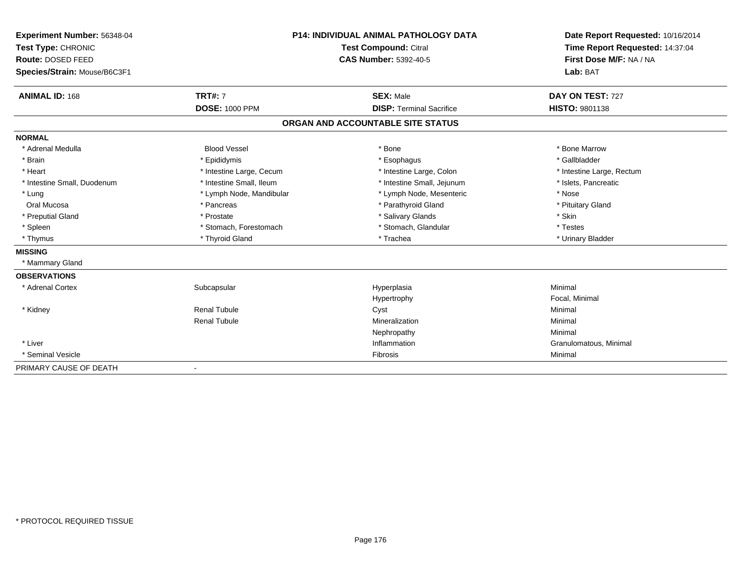| Experiment Number: 56348-04             | P14: INDIVIDUAL ANIMAL PATHOLOGY DATA |                                   | Date Report Requested: 10/16/2014<br>Time Report Requested: 14:37:04<br>First Dose M/F: NA / NA |  |
|-----------------------------------------|---------------------------------------|-----------------------------------|-------------------------------------------------------------------------------------------------|--|
| Test Type: CHRONIC<br>Route: DOSED FEED |                                       | <b>Test Compound: Citral</b>      |                                                                                                 |  |
|                                         |                                       | <b>CAS Number: 5392-40-5</b>      |                                                                                                 |  |
| Species/Strain: Mouse/B6C3F1            |                                       |                                   | Lab: BAT                                                                                        |  |
|                                         |                                       |                                   |                                                                                                 |  |
| <b>ANIMAL ID: 168</b>                   | <b>TRT#: 7</b>                        | <b>SEX: Male</b>                  | DAY ON TEST: 727                                                                                |  |
|                                         | <b>DOSE: 1000 PPM</b>                 | <b>DISP: Terminal Sacrifice</b>   | <b>HISTO: 9801138</b>                                                                           |  |
|                                         |                                       | ORGAN AND ACCOUNTABLE SITE STATUS |                                                                                                 |  |
| <b>NORMAL</b>                           |                                       |                                   |                                                                                                 |  |
| * Adrenal Medulla                       | <b>Blood Vessel</b>                   | * Bone                            | * Bone Marrow                                                                                   |  |
| * Brain                                 | * Epididymis                          | * Esophagus                       | * Gallbladder                                                                                   |  |
| * Heart                                 | * Intestine Large, Cecum              | * Intestine Large, Colon          | * Intestine Large, Rectum                                                                       |  |
| * Intestine Small, Duodenum             | * Intestine Small, Ileum              | * Intestine Small, Jejunum        | * Islets, Pancreatic                                                                            |  |
| * Lung                                  | * Lymph Node, Mandibular              | * Lymph Node, Mesenteric          | * Nose                                                                                          |  |
| Oral Mucosa                             | * Pancreas                            | * Parathyroid Gland               | * Pituitary Gland                                                                               |  |
| * Preputial Gland                       | * Prostate                            | * Salivary Glands                 | * Skin                                                                                          |  |
| * Spleen                                | * Stomach, Forestomach                | * Stomach, Glandular              | * Testes                                                                                        |  |
| * Thymus                                | * Thyroid Gland                       | * Trachea                         | * Urinary Bladder                                                                               |  |
| <b>MISSING</b>                          |                                       |                                   |                                                                                                 |  |
| * Mammary Gland                         |                                       |                                   |                                                                                                 |  |
| <b>OBSERVATIONS</b>                     |                                       |                                   |                                                                                                 |  |
| * Adrenal Cortex                        | Subcapsular                           | Hyperplasia                       | Minimal                                                                                         |  |
|                                         |                                       | Hypertrophy                       | Focal, Minimal                                                                                  |  |
| * Kidney                                | <b>Renal Tubule</b>                   | Cyst                              | Minimal                                                                                         |  |
|                                         | <b>Renal Tubule</b>                   | Mineralization                    | Minimal                                                                                         |  |
|                                         |                                       | Nephropathy                       | Minimal                                                                                         |  |
| * Liver                                 |                                       | Inflammation                      | Granulomatous, Minimal                                                                          |  |
| * Seminal Vesicle                       |                                       | Fibrosis                          | Minimal                                                                                         |  |
| PRIMARY CAUSE OF DEATH                  | $\overline{\phantom{a}}$              |                                   |                                                                                                 |  |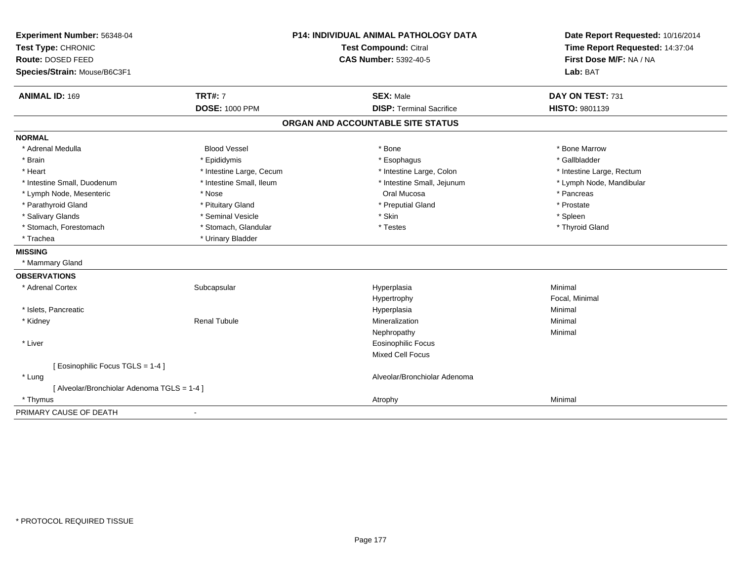| Experiment Number: 56348-04                 | P14: INDIVIDUAL ANIMAL PATHOLOGY DATA<br><b>Test Compound: Citral</b><br><b>CAS Number: 5392-40-5</b> |                                   | Date Report Requested: 10/16/2014 |
|---------------------------------------------|-------------------------------------------------------------------------------------------------------|-----------------------------------|-----------------------------------|
| Test Type: CHRONIC                          |                                                                                                       |                                   | Time Report Requested: 14:37:04   |
| Route: DOSED FEED                           |                                                                                                       |                                   | First Dose M/F: NA / NA           |
| Species/Strain: Mouse/B6C3F1                |                                                                                                       |                                   | Lab: BAT                          |
| <b>ANIMAL ID: 169</b>                       | <b>TRT#: 7</b>                                                                                        | <b>SEX: Male</b>                  | DAY ON TEST: 731                  |
|                                             | <b>DOSE: 1000 PPM</b>                                                                                 | <b>DISP: Terminal Sacrifice</b>   | HISTO: 9801139                    |
|                                             |                                                                                                       | ORGAN AND ACCOUNTABLE SITE STATUS |                                   |
| <b>NORMAL</b>                               |                                                                                                       |                                   |                                   |
| * Adrenal Medulla                           | <b>Blood Vessel</b>                                                                                   | * Bone                            | * Bone Marrow                     |
| * Brain                                     | * Epididymis                                                                                          | * Esophagus                       | * Gallbladder                     |
| * Heart                                     | * Intestine Large, Cecum                                                                              | * Intestine Large, Colon          | * Intestine Large, Rectum         |
| * Intestine Small, Duodenum                 | * Intestine Small, Ileum                                                                              | * Intestine Small, Jejunum        | * Lymph Node, Mandibular          |
| * Lymph Node, Mesenteric                    | * Nose                                                                                                | Oral Mucosa                       | * Pancreas                        |
| * Parathyroid Gland                         | * Pituitary Gland                                                                                     | * Preputial Gland                 | * Prostate                        |
| * Salivary Glands                           | * Seminal Vesicle                                                                                     | * Skin                            | * Spleen                          |
| * Stomach, Forestomach                      | * Stomach, Glandular                                                                                  | * Testes                          | * Thyroid Gland                   |
| * Trachea                                   | * Urinary Bladder                                                                                     |                                   |                                   |
| <b>MISSING</b>                              |                                                                                                       |                                   |                                   |
| * Mammary Gland                             |                                                                                                       |                                   |                                   |
| <b>OBSERVATIONS</b>                         |                                                                                                       |                                   |                                   |
| * Adrenal Cortex                            | Subcapsular                                                                                           | Hyperplasia                       | Minimal                           |
|                                             |                                                                                                       | Hypertrophy                       | Focal, Minimal                    |
| * Islets, Pancreatic                        |                                                                                                       | Hyperplasia                       | Minimal                           |
| * Kidney                                    | <b>Renal Tubule</b>                                                                                   | Mineralization                    | Minimal                           |
|                                             |                                                                                                       | Nephropathy                       | Minimal                           |
| * Liver                                     |                                                                                                       | <b>Eosinophilic Focus</b>         |                                   |
|                                             |                                                                                                       | <b>Mixed Cell Focus</b>           |                                   |
| [ Eosinophilic Focus TGLS = 1-4 ]           |                                                                                                       |                                   |                                   |
| * Lung                                      |                                                                                                       | Alveolar/Bronchiolar Adenoma      |                                   |
| [ Alveolar/Bronchiolar Adenoma TGLS = 1-4 ] |                                                                                                       |                                   |                                   |
| * Thymus                                    |                                                                                                       | Atrophy                           | Minimal                           |
| PRIMARY CAUSE OF DEATH                      |                                                                                                       |                                   |                                   |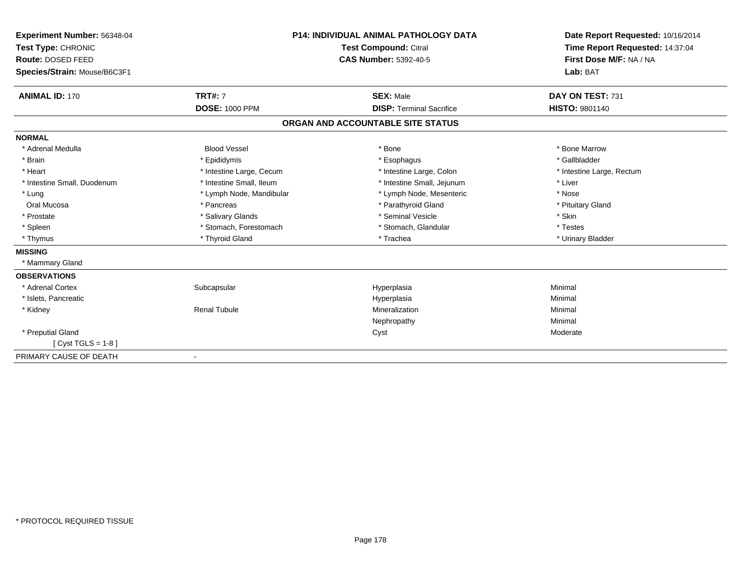| <b>Experiment Number: 56348-04</b> | <b>P14: INDIVIDUAL ANIMAL PATHOLOGY DATA</b><br><b>Test Compound: Citral</b> |                                   | Date Report Requested: 10/16/2014 |  |
|------------------------------------|------------------------------------------------------------------------------|-----------------------------------|-----------------------------------|--|
| Test Type: CHRONIC                 |                                                                              |                                   | Time Report Requested: 14:37:04   |  |
| Route: DOSED FEED                  |                                                                              | <b>CAS Number: 5392-40-5</b>      | First Dose M/F: NA / NA           |  |
| Species/Strain: Mouse/B6C3F1       |                                                                              |                                   | Lab: BAT                          |  |
| <b>ANIMAL ID: 170</b>              | <b>TRT#: 7</b>                                                               | <b>SEX: Male</b>                  | DAY ON TEST: 731                  |  |
|                                    | <b>DOSE: 1000 PPM</b>                                                        | <b>DISP: Terminal Sacrifice</b>   | <b>HISTO: 9801140</b>             |  |
|                                    |                                                                              | ORGAN AND ACCOUNTABLE SITE STATUS |                                   |  |
| <b>NORMAL</b>                      |                                                                              |                                   |                                   |  |
| * Adrenal Medulla                  | <b>Blood Vessel</b>                                                          | * Bone                            | * Bone Marrow                     |  |
| * Brain                            | * Epididymis                                                                 | * Esophagus                       | * Gallbladder                     |  |
| * Heart                            | * Intestine Large, Cecum                                                     | * Intestine Large, Colon          | * Intestine Large, Rectum         |  |
| * Intestine Small, Duodenum        | * Intestine Small, Ileum                                                     | * Intestine Small, Jejunum        | * Liver                           |  |
| * Lung                             | * Lymph Node, Mandibular                                                     | * Lymph Node, Mesenteric          | * Nose                            |  |
| Oral Mucosa                        | * Pancreas                                                                   | * Parathyroid Gland               | * Pituitary Gland                 |  |
| * Prostate                         | * Salivary Glands                                                            | * Seminal Vesicle                 | * Skin                            |  |
| * Spleen                           | * Stomach, Forestomach                                                       | * Stomach, Glandular              | * Testes                          |  |
| * Thymus                           | * Thyroid Gland                                                              | * Trachea                         | * Urinary Bladder                 |  |
| <b>MISSING</b>                     |                                                                              |                                   |                                   |  |
| * Mammary Gland                    |                                                                              |                                   |                                   |  |
| <b>OBSERVATIONS</b>                |                                                                              |                                   |                                   |  |
| * Adrenal Cortex                   | Subcapsular                                                                  | Hyperplasia                       | Minimal                           |  |
| * Islets, Pancreatic               |                                                                              | Hyperplasia                       | Minimal                           |  |
| * Kidney                           | <b>Renal Tubule</b>                                                          | Mineralization                    | Minimal                           |  |
|                                    |                                                                              | Nephropathy                       | Minimal                           |  |
| * Preputial Gland                  |                                                                              | Cyst                              | Moderate                          |  |
| [ $Cyst TGLS = 1-8$ ]              |                                                                              |                                   |                                   |  |
| PRIMARY CAUSE OF DEATH             |                                                                              |                                   |                                   |  |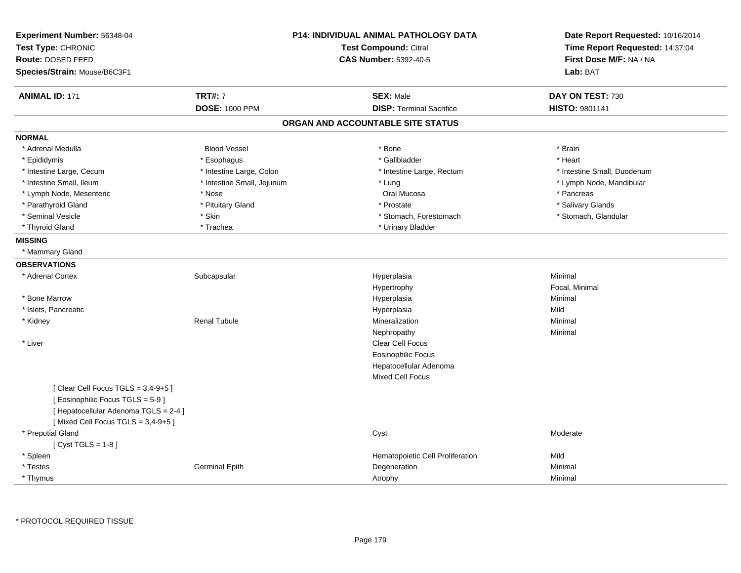| Experiment Number: 56348-04<br>Test Type: CHRONIC<br>Route: DOSED FEED |                            | P14: INDIVIDUAL ANIMAL PATHOLOGY DATA<br><b>Test Compound: Citral</b><br><b>CAS Number: 5392-40-5</b> |                                  | Date Report Requested: 10/16/2014 |
|------------------------------------------------------------------------|----------------------------|-------------------------------------------------------------------------------------------------------|----------------------------------|-----------------------------------|
|                                                                        |                            |                                                                                                       |                                  | Time Report Requested: 14:37:04   |
|                                                                        |                            |                                                                                                       |                                  | First Dose M/F: NA / NA           |
| Species/Strain: Mouse/B6C3F1                                           |                            |                                                                                                       |                                  | Lab: BAT                          |
| <b>ANIMAL ID: 171</b>                                                  | <b>TRT#: 7</b>             |                                                                                                       | <b>SEX: Male</b>                 | DAY ON TEST: 730                  |
|                                                                        | <b>DOSE: 1000 PPM</b>      |                                                                                                       | <b>DISP: Terminal Sacrifice</b>  | <b>HISTO: 9801141</b>             |
|                                                                        |                            | ORGAN AND ACCOUNTABLE SITE STATUS                                                                     |                                  |                                   |
| <b>NORMAL</b>                                                          |                            |                                                                                                       |                                  |                                   |
| * Adrenal Medulla                                                      | <b>Blood Vessel</b>        |                                                                                                       | * Bone                           | * Brain                           |
| * Epididymis                                                           | * Esophagus                |                                                                                                       | * Gallbladder                    | * Heart                           |
| * Intestine Large, Cecum                                               | * Intestine Large, Colon   |                                                                                                       | * Intestine Large, Rectum        | * Intestine Small, Duodenum       |
| * Intestine Small, Ileum                                               | * Intestine Small, Jejunum |                                                                                                       | * Lung                           | * Lymph Node, Mandibular          |
| * Lymph Node, Mesenteric                                               | * Nose                     |                                                                                                       | Oral Mucosa                      | * Pancreas                        |
| * Parathyroid Gland                                                    | * Pituitary Gland          |                                                                                                       | * Prostate                       | * Salivary Glands                 |
| * Seminal Vesicle                                                      | * Skin                     |                                                                                                       | * Stomach, Forestomach           | * Stomach, Glandular              |
| * Thyroid Gland                                                        | * Trachea                  |                                                                                                       | * Urinary Bladder                |                                   |
| <b>MISSING</b>                                                         |                            |                                                                                                       |                                  |                                   |
| * Mammary Gland                                                        |                            |                                                                                                       |                                  |                                   |
| <b>OBSERVATIONS</b>                                                    |                            |                                                                                                       |                                  |                                   |
| * Adrenal Cortex                                                       | Subcapsular                |                                                                                                       | Hyperplasia                      | Minimal                           |
|                                                                        |                            |                                                                                                       | Hypertrophy                      | Focal, Minimal                    |
| * Bone Marrow                                                          |                            |                                                                                                       | Hyperplasia                      | Minimal                           |
| * Islets, Pancreatic                                                   |                            |                                                                                                       | Hyperplasia                      | Mild                              |
| * Kidney                                                               | <b>Renal Tubule</b>        |                                                                                                       | Mineralization                   | Minimal                           |
|                                                                        |                            |                                                                                                       | Nephropathy                      | Minimal                           |
| * Liver                                                                |                            |                                                                                                       | Clear Cell Focus                 |                                   |
|                                                                        |                            |                                                                                                       | <b>Eosinophilic Focus</b>        |                                   |
|                                                                        |                            |                                                                                                       | Hepatocellular Adenoma           |                                   |
|                                                                        |                            |                                                                                                       | <b>Mixed Cell Focus</b>          |                                   |
| [Clear Cell Focus TGLS = $3,4-9+5$ ]                                   |                            |                                                                                                       |                                  |                                   |
| [ Eosinophilic Focus TGLS = 5-9 ]                                      |                            |                                                                                                       |                                  |                                   |
| [ Hepatocellular Adenoma TGLS = 2-4 ]                                  |                            |                                                                                                       |                                  |                                   |
| [Mixed Cell Focus TGLS = $3,4-9+5$ ]                                   |                            |                                                                                                       |                                  |                                   |
| * Preputial Gland                                                      |                            | Cyst                                                                                                  |                                  | Moderate                          |
| [Cyst TGLS = $1-8$ ]                                                   |                            |                                                                                                       |                                  |                                   |
| * Spleen                                                               |                            |                                                                                                       | Hematopoietic Cell Proliferation | Mild                              |
| * Testes                                                               | <b>Germinal Epith</b>      |                                                                                                       | Degeneration                     | Minimal                           |
| * Thymus                                                               |                            | Atrophy                                                                                               |                                  | Minimal                           |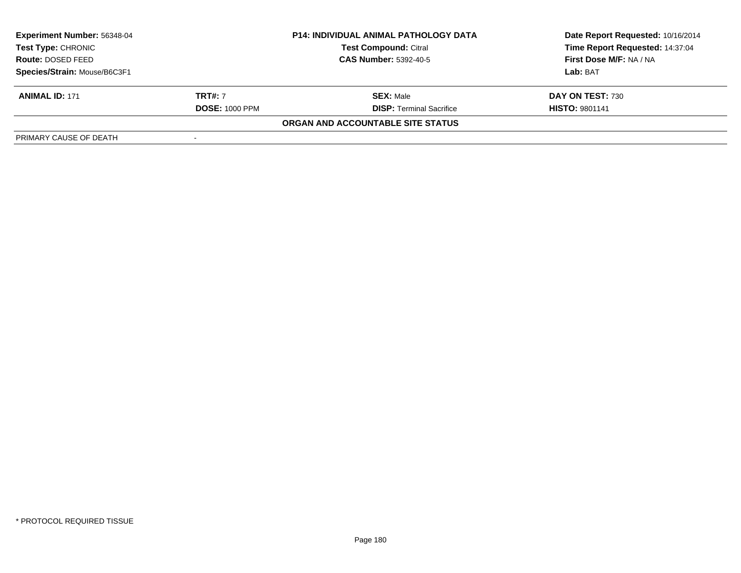| <b>Experiment Number: 56348-04</b><br>Test Type: CHRONIC |                              | <b>P14: INDIVIDUAL ANIMAL PATHOLOGY DATA</b> | Date Report Requested: 10/16/2014 |
|----------------------------------------------------------|------------------------------|----------------------------------------------|-----------------------------------|
|                                                          |                              | <b>Test Compound: Citral</b>                 | Time Report Requested: 14:37:04   |
| <b>Route: DOSED FEED</b>                                 | <b>CAS Number: 5392-40-5</b> |                                              | First Dose M/F: NA / NA           |
| Species/Strain: Mouse/B6C3F1                             |                              |                                              | Lab: BAT                          |
| <b>ANIMAL ID: 171</b>                                    | <b>TRT#: 7</b>               | <b>SEX:</b> Male                             | DAY ON TEST: 730                  |
|                                                          | <b>DOSE: 1000 PPM</b>        | <b>DISP: Terminal Sacrifice</b>              | <b>HISTO: 9801141</b>             |
|                                                          |                              | ORGAN AND ACCOUNTABLE SITE STATUS            |                                   |
| PRIMARY CAUSE OF DEATH                                   |                              |                                              |                                   |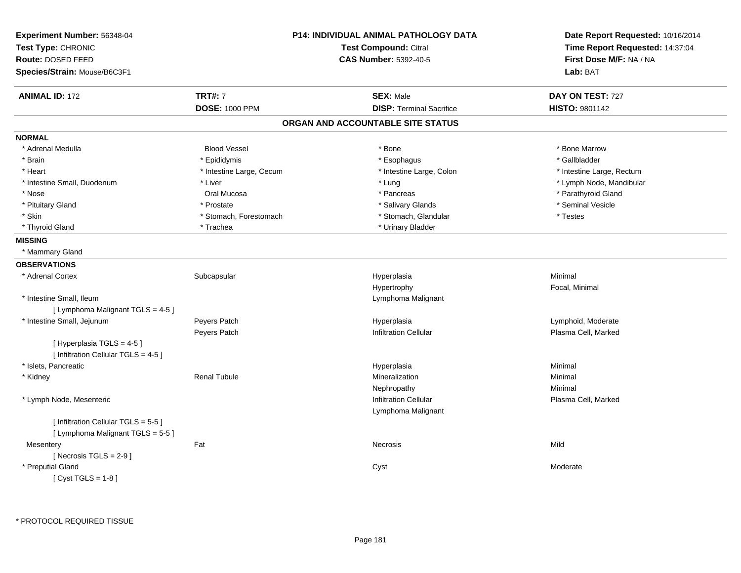| Experiment Number: 56348-04<br>Test Type: CHRONIC<br>Route: DOSED FEED<br>Species/Strain: Mouse/B6C3F1 |                          | P14: INDIVIDUAL ANIMAL PATHOLOGY DATA<br><b>Test Compound: Citral</b><br><b>CAS Number: 5392-40-5</b> | Date Report Requested: 10/16/2014<br>Time Report Requested: 14:37:04<br>First Dose M/F: NA / NA<br>Lab: BAT |
|--------------------------------------------------------------------------------------------------------|--------------------------|-------------------------------------------------------------------------------------------------------|-------------------------------------------------------------------------------------------------------------|
| <b>ANIMAL ID: 172</b>                                                                                  | <b>TRT#: 7</b>           | <b>SEX: Male</b>                                                                                      | DAY ON TEST: 727                                                                                            |
|                                                                                                        | <b>DOSE: 1000 PPM</b>    | <b>DISP: Terminal Sacrifice</b>                                                                       | <b>HISTO: 9801142</b>                                                                                       |
|                                                                                                        |                          | ORGAN AND ACCOUNTABLE SITE STATUS                                                                     |                                                                                                             |
| <b>NORMAL</b>                                                                                          |                          |                                                                                                       |                                                                                                             |
| * Adrenal Medulla                                                                                      | <b>Blood Vessel</b>      | * Bone                                                                                                | * Bone Marrow                                                                                               |
| * Brain                                                                                                | * Epididymis             | * Esophagus                                                                                           | * Gallbladder                                                                                               |
| * Heart                                                                                                | * Intestine Large, Cecum | * Intestine Large, Colon                                                                              | * Intestine Large, Rectum                                                                                   |
| * Intestine Small, Duodenum                                                                            | * Liver                  | * Lung                                                                                                | * Lymph Node, Mandibular                                                                                    |
| * Nose                                                                                                 | Oral Mucosa              | * Pancreas                                                                                            | * Parathyroid Gland                                                                                         |
| * Pituitary Gland                                                                                      | * Prostate               | * Salivary Glands                                                                                     | * Seminal Vesicle                                                                                           |
| * Skin                                                                                                 | * Stomach, Forestomach   | * Stomach, Glandular                                                                                  | * Testes                                                                                                    |
| * Thyroid Gland                                                                                        | * Trachea                | * Urinary Bladder                                                                                     |                                                                                                             |
| <b>MISSING</b>                                                                                         |                          |                                                                                                       |                                                                                                             |
| * Mammary Gland                                                                                        |                          |                                                                                                       |                                                                                                             |
| <b>OBSERVATIONS</b>                                                                                    |                          |                                                                                                       |                                                                                                             |
| * Adrenal Cortex                                                                                       | Subcapsular              | Hyperplasia                                                                                           | Minimal                                                                                                     |
|                                                                                                        |                          | Hypertrophy                                                                                           | Focal, Minimal                                                                                              |
| * Intestine Small, Ileum                                                                               |                          | Lymphoma Malignant                                                                                    |                                                                                                             |
| [ Lymphoma Malignant TGLS = 4-5 ]                                                                      |                          |                                                                                                       |                                                                                                             |
| * Intestine Small, Jejunum                                                                             | Peyers Patch             | Hyperplasia                                                                                           | Lymphoid, Moderate                                                                                          |
|                                                                                                        | Peyers Patch             | <b>Infiltration Cellular</b>                                                                          | Plasma Cell, Marked                                                                                         |
| [Hyperplasia TGLS = 4-5]                                                                               |                          |                                                                                                       |                                                                                                             |
| [ Infiltration Cellular TGLS = 4-5 ]                                                                   |                          |                                                                                                       |                                                                                                             |
| * Islets, Pancreatic                                                                                   |                          | Hyperplasia                                                                                           | Minimal                                                                                                     |
| * Kidney                                                                                               | <b>Renal Tubule</b>      | Mineralization                                                                                        | Minimal                                                                                                     |
|                                                                                                        |                          | Nephropathy                                                                                           | Minimal                                                                                                     |
| * Lymph Node, Mesenteric                                                                               |                          | Infiltration Cellular                                                                                 | Plasma Cell, Marked                                                                                         |
|                                                                                                        |                          | Lymphoma Malignant                                                                                    |                                                                                                             |
| [ Infiltration Cellular TGLS = 5-5 ]                                                                   |                          |                                                                                                       |                                                                                                             |
| [ Lymphoma Malignant TGLS = 5-5]                                                                       |                          |                                                                                                       |                                                                                                             |
| Mesentery                                                                                              | Fat                      | Necrosis                                                                                              | Mild                                                                                                        |
| [Necrosis $TGLS = 2-9$ ]                                                                               |                          |                                                                                                       |                                                                                                             |
| * Preputial Gland                                                                                      |                          | Cyst                                                                                                  | Moderate                                                                                                    |
| [Cyst TGLS = $1-8$ ]                                                                                   |                          |                                                                                                       |                                                                                                             |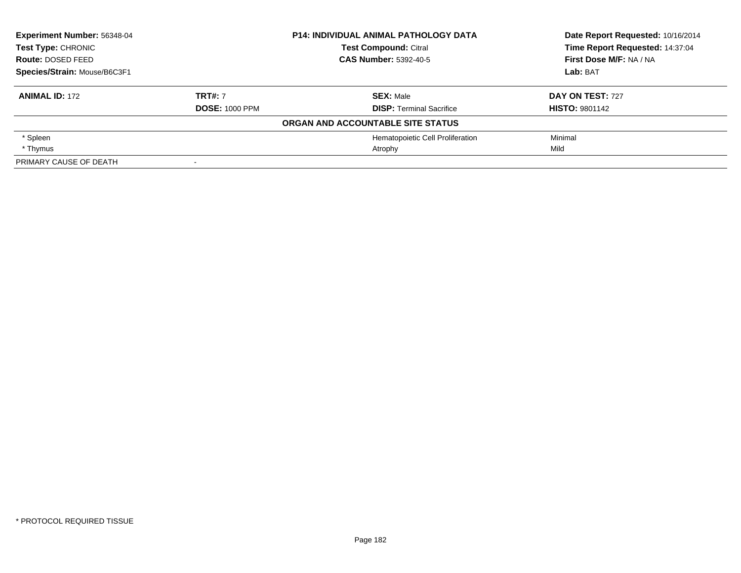| Experiment Number: 56348-04<br><b>Test Type: CHRONIC</b> |                       | <b>P14: INDIVIDUAL ANIMAL PATHOLOGY DATA</b> | Date Report Requested: 10/16/2014 |
|----------------------------------------------------------|-----------------------|----------------------------------------------|-----------------------------------|
|                                                          |                       | <b>Test Compound: Citral</b>                 | Time Report Requested: 14:37:04   |
| Route: DOSED FEED                                        |                       | <b>CAS Number: 5392-40-5</b>                 | First Dose M/F: NA / NA           |
| Species/Strain: Mouse/B6C3F1                             |                       |                                              | Lab: BAT                          |
| <b>ANIMAL ID: 172</b>                                    | <b>TRT#: 7</b>        | <b>SEX: Male</b>                             | <b>DAY ON TEST: 727</b>           |
|                                                          | <b>DOSE: 1000 PPM</b> | <b>DISP: Terminal Sacrifice</b>              | <b>HISTO: 9801142</b>             |
|                                                          |                       | ORGAN AND ACCOUNTABLE SITE STATUS            |                                   |
| * Spleen                                                 |                       | Hematopoietic Cell Proliferation             | Minimal                           |
| * Thymus                                                 |                       | Atrophy                                      | Mild                              |
| PRIMARY CAUSE OF DEATH                                   |                       |                                              |                                   |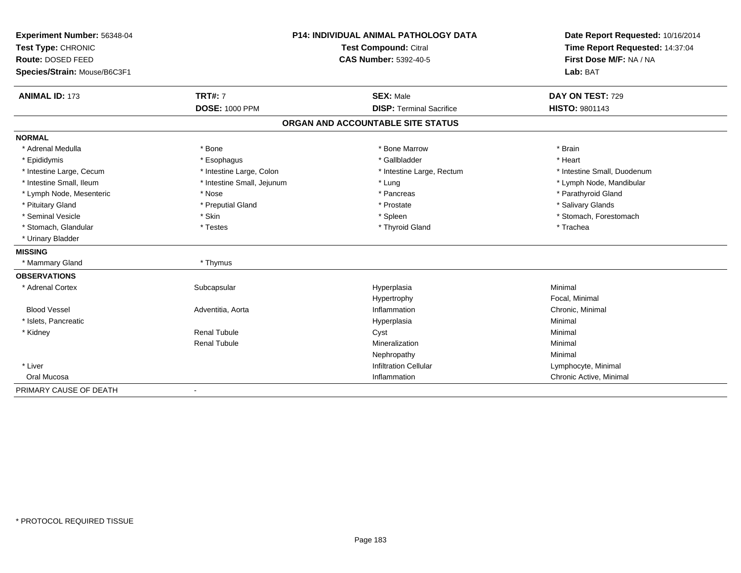| Experiment Number: 56348-04  | <b>P14: INDIVIDUAL ANIMAL PATHOLOGY DATA</b> |                                   | Date Report Requested: 10/16/2014 |
|------------------------------|----------------------------------------------|-----------------------------------|-----------------------------------|
| Test Type: CHRONIC           |                                              | <b>Test Compound: Citral</b>      | Time Report Requested: 14:37:04   |
| Route: DOSED FEED            |                                              | <b>CAS Number: 5392-40-5</b>      | First Dose M/F: NA / NA           |
| Species/Strain: Mouse/B6C3F1 |                                              |                                   | Lab: BAT                          |
| <b>ANIMAL ID: 173</b>        | <b>TRT#: 7</b>                               | <b>SEX: Male</b>                  | DAY ON TEST: 729                  |
|                              | <b>DOSE: 1000 PPM</b>                        | <b>DISP: Terminal Sacrifice</b>   | HISTO: 9801143                    |
|                              |                                              | ORGAN AND ACCOUNTABLE SITE STATUS |                                   |
| <b>NORMAL</b>                |                                              |                                   |                                   |
| * Adrenal Medulla            | * Bone                                       | * Bone Marrow                     | * Brain                           |
| * Epididymis                 | * Esophagus                                  | * Gallbladder                     | * Heart                           |
| * Intestine Large, Cecum     | * Intestine Large, Colon                     | * Intestine Large, Rectum         | * Intestine Small, Duodenum       |
| * Intestine Small, Ileum     | * Intestine Small, Jejunum                   | * Lung                            | * Lymph Node, Mandibular          |
| * Lymph Node, Mesenteric     | * Nose                                       | * Pancreas                        | * Parathyroid Gland               |
| * Pituitary Gland            | * Preputial Gland                            | * Prostate                        | * Salivary Glands                 |
| * Seminal Vesicle            | * Skin                                       | * Spleen                          | * Stomach, Forestomach            |
| * Stomach, Glandular         | * Testes                                     | * Thyroid Gland                   | * Trachea                         |
| * Urinary Bladder            |                                              |                                   |                                   |
| <b>MISSING</b>               |                                              |                                   |                                   |
| * Mammary Gland              | * Thymus                                     |                                   |                                   |
| <b>OBSERVATIONS</b>          |                                              |                                   |                                   |
| * Adrenal Cortex             | Subcapsular                                  | Hyperplasia                       | Minimal                           |
|                              |                                              | Hypertrophy                       | Focal, Minimal                    |
| <b>Blood Vessel</b>          | Adventitia, Aorta                            | Inflammation                      | Chronic, Minimal                  |
| * Islets, Pancreatic         |                                              | Hyperplasia                       | Minimal                           |
| * Kidney                     | <b>Renal Tubule</b>                          | Cyst                              | Minimal                           |
|                              | <b>Renal Tubule</b>                          | Mineralization                    | Minimal                           |
|                              |                                              | Nephropathy                       | Minimal                           |
| * Liver                      |                                              | <b>Infiltration Cellular</b>      | Lymphocyte, Minimal               |
| Oral Mucosa                  |                                              | Inflammation                      | Chronic Active, Minimal           |
| PRIMARY CAUSE OF DEATH       |                                              |                                   |                                   |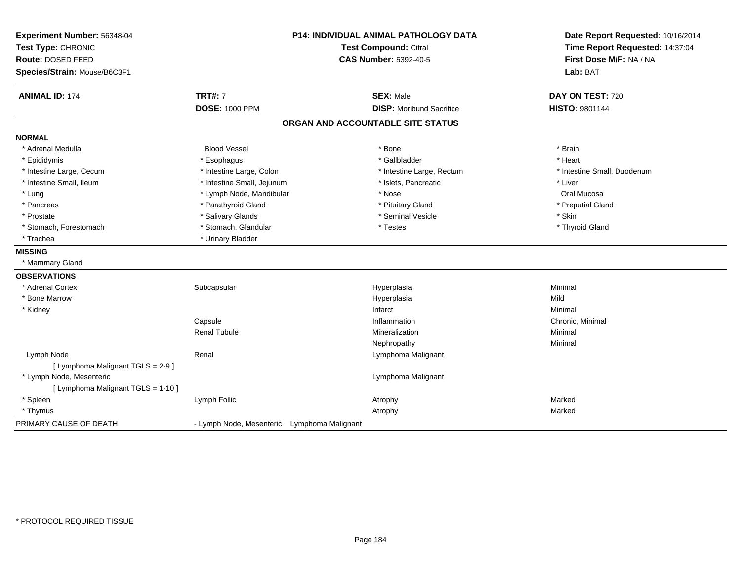| Experiment Number: 56348-04<br>Test Type: CHRONIC<br>Route: DOSED FEED<br>Species/Strain: Mouse/B6C3F1 | P14: INDIVIDUAL ANIMAL PATHOLOGY DATA<br>Test Compound: Citral<br><b>CAS Number: 5392-40-5</b> |                                   | Date Report Requested: 10/16/2014<br>Time Report Requested: 14:37:04<br>First Dose M/F: NA / NA<br>Lab: BAT |  |
|--------------------------------------------------------------------------------------------------------|------------------------------------------------------------------------------------------------|-----------------------------------|-------------------------------------------------------------------------------------------------------------|--|
| <b>ANIMAL ID: 174</b>                                                                                  | <b>TRT#: 7</b>                                                                                 | <b>SEX: Male</b>                  | DAY ON TEST: 720                                                                                            |  |
|                                                                                                        | <b>DOSE: 1000 PPM</b>                                                                          | <b>DISP:</b> Moribund Sacrifice   | <b>HISTO: 9801144</b>                                                                                       |  |
|                                                                                                        |                                                                                                | ORGAN AND ACCOUNTABLE SITE STATUS |                                                                                                             |  |
| <b>NORMAL</b>                                                                                          |                                                                                                |                                   |                                                                                                             |  |
| * Adrenal Medulla                                                                                      | <b>Blood Vessel</b>                                                                            | * Bone                            | * Brain                                                                                                     |  |
| * Epididymis                                                                                           | * Esophagus                                                                                    | * Gallbladder                     | * Heart                                                                                                     |  |
| * Intestine Large, Cecum                                                                               | * Intestine Large, Colon                                                                       | * Intestine Large, Rectum         | * Intestine Small, Duodenum                                                                                 |  |
| * Intestine Small, Ileum                                                                               | * Intestine Small, Jejunum                                                                     | * Islets, Pancreatic              | * Liver                                                                                                     |  |
| * Lung                                                                                                 | * Lymph Node, Mandibular                                                                       | * Nose                            | Oral Mucosa                                                                                                 |  |
| * Pancreas                                                                                             | * Parathyroid Gland                                                                            | * Pituitary Gland                 | * Preputial Gland                                                                                           |  |
| * Prostate                                                                                             | * Salivary Glands                                                                              | * Seminal Vesicle                 | * Skin                                                                                                      |  |
| * Stomach, Forestomach                                                                                 | * Stomach, Glandular                                                                           | * Testes                          | * Thyroid Gland                                                                                             |  |
| * Trachea                                                                                              | * Urinary Bladder                                                                              |                                   |                                                                                                             |  |
| <b>MISSING</b>                                                                                         |                                                                                                |                                   |                                                                                                             |  |
| * Mammary Gland                                                                                        |                                                                                                |                                   |                                                                                                             |  |
| <b>OBSERVATIONS</b>                                                                                    |                                                                                                |                                   |                                                                                                             |  |
| * Adrenal Cortex                                                                                       | Subcapsular                                                                                    | Hyperplasia                       | Minimal                                                                                                     |  |
| * Bone Marrow                                                                                          |                                                                                                | Hyperplasia                       | Mild                                                                                                        |  |
| * Kidney                                                                                               |                                                                                                | Infarct                           | Minimal                                                                                                     |  |
|                                                                                                        | Capsule                                                                                        | Inflammation                      | Chronic, Minimal                                                                                            |  |
|                                                                                                        | <b>Renal Tubule</b>                                                                            | Mineralization                    | Minimal                                                                                                     |  |
|                                                                                                        |                                                                                                | Nephropathy                       | Minimal                                                                                                     |  |
| Lymph Node                                                                                             | Renal                                                                                          | Lymphoma Malignant                |                                                                                                             |  |
| [ Lymphoma Malignant TGLS = 2-9 ]                                                                      |                                                                                                |                                   |                                                                                                             |  |
| * Lymph Node, Mesenteric                                                                               |                                                                                                | Lymphoma Malignant                |                                                                                                             |  |
| [ Lymphoma Malignant TGLS = 1-10 ]                                                                     |                                                                                                |                                   |                                                                                                             |  |
| * Spleen                                                                                               | Lymph Follic                                                                                   | Atrophy                           | Marked                                                                                                      |  |
| * Thymus                                                                                               |                                                                                                | Atrophy                           | Marked                                                                                                      |  |
| PRIMARY CAUSE OF DEATH                                                                                 | - Lymph Node, Mesenteric Lymphoma Malignant                                                    |                                   |                                                                                                             |  |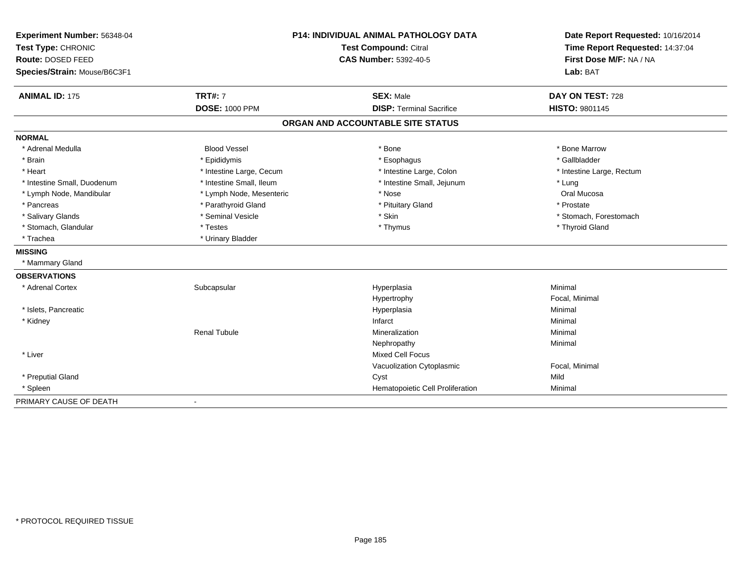| Experiment Number: 56348-04  | <b>P14: INDIVIDUAL ANIMAL PATHOLOGY DATA</b> |                                   | Date Report Requested: 10/16/2014 |
|------------------------------|----------------------------------------------|-----------------------------------|-----------------------------------|
| Test Type: CHRONIC           |                                              | <b>Test Compound: Citral</b>      | Time Report Requested: 14:37:04   |
| Route: DOSED FEED            |                                              | <b>CAS Number: 5392-40-5</b>      | First Dose M/F: NA / NA           |
| Species/Strain: Mouse/B6C3F1 |                                              |                                   | Lab: BAT                          |
| <b>ANIMAL ID: 175</b>        | <b>TRT#: 7</b>                               | <b>SEX: Male</b>                  | DAY ON TEST: 728                  |
|                              | <b>DOSE: 1000 PPM</b>                        | <b>DISP: Terminal Sacrifice</b>   | <b>HISTO: 9801145</b>             |
|                              |                                              | ORGAN AND ACCOUNTABLE SITE STATUS |                                   |
| <b>NORMAL</b>                |                                              |                                   |                                   |
| * Adrenal Medulla            | <b>Blood Vessel</b>                          | * Bone                            | * Bone Marrow                     |
| * Brain                      | * Epididymis                                 | * Esophagus                       | * Gallbladder                     |
| * Heart                      | * Intestine Large, Cecum                     | * Intestine Large, Colon          | * Intestine Large, Rectum         |
| * Intestine Small, Duodenum  | * Intestine Small, Ileum                     | * Intestine Small, Jejunum        | * Lung                            |
| * Lymph Node, Mandibular     | * Lymph Node, Mesenteric                     | * Nose                            | Oral Mucosa                       |
| * Pancreas                   | * Parathyroid Gland                          | * Pituitary Gland                 | * Prostate                        |
| * Salivary Glands            | * Seminal Vesicle                            | * Skin                            | * Stomach, Forestomach            |
| * Stomach, Glandular         | * Testes                                     | * Thymus                          | * Thyroid Gland                   |
| * Trachea                    | * Urinary Bladder                            |                                   |                                   |
| <b>MISSING</b>               |                                              |                                   |                                   |
| * Mammary Gland              |                                              |                                   |                                   |
| <b>OBSERVATIONS</b>          |                                              |                                   |                                   |
| * Adrenal Cortex             | Subcapsular                                  | Hyperplasia                       | Minimal                           |
|                              |                                              | Hypertrophy                       | Focal, Minimal                    |
| * Islets, Pancreatic         |                                              | Hyperplasia                       | Minimal                           |
| * Kidney                     |                                              | Infarct                           | Minimal                           |
|                              | <b>Renal Tubule</b>                          | Mineralization                    | Minimal                           |
|                              |                                              | Nephropathy                       | Minimal                           |
| * Liver                      |                                              | <b>Mixed Cell Focus</b>           |                                   |
|                              |                                              | Vacuolization Cytoplasmic         | Focal, Minimal                    |
| * Preputial Gland            |                                              | Cyst                              | Mild                              |
| * Spleen                     |                                              | Hematopoietic Cell Proliferation  | Minimal                           |
| PRIMARY CAUSE OF DEATH       |                                              |                                   |                                   |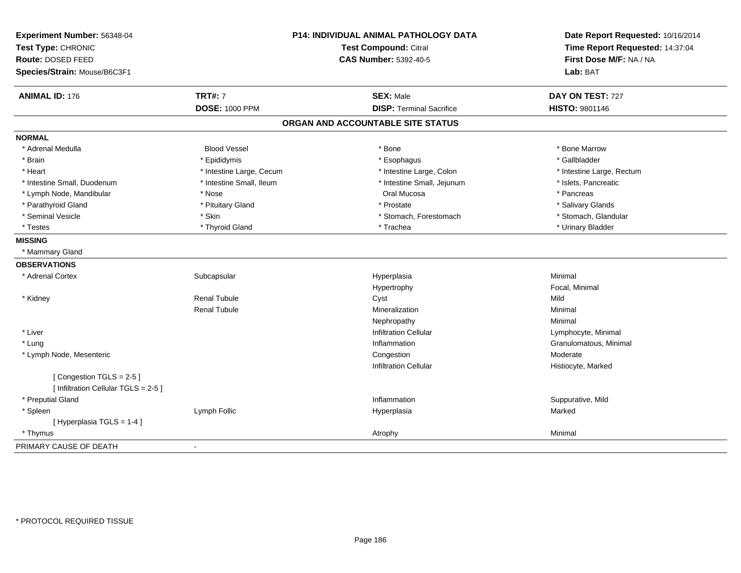| Experiment Number: 56348-04<br>Test Type: CHRONIC               |                          | P14: INDIVIDUAL ANIMAL PATHOLOGY DATA<br><b>Test Compound: Citral</b> | Date Report Requested: 10/16/2014<br>Time Report Requested: 14:37:04 |
|-----------------------------------------------------------------|--------------------------|-----------------------------------------------------------------------|----------------------------------------------------------------------|
| Route: DOSED FEED                                               |                          | <b>CAS Number: 5392-40-5</b>                                          | First Dose M/F: NA / NA                                              |
| Species/Strain: Mouse/B6C3F1                                    |                          |                                                                       | Lab: BAT                                                             |
| <b>ANIMAL ID: 176</b>                                           | <b>TRT#: 7</b>           | <b>SEX: Male</b>                                                      | DAY ON TEST: 727                                                     |
|                                                                 | <b>DOSE: 1000 PPM</b>    | <b>DISP: Terminal Sacrifice</b>                                       | HISTO: 9801146                                                       |
|                                                                 |                          | ORGAN AND ACCOUNTABLE SITE STATUS                                     |                                                                      |
| <b>NORMAL</b>                                                   |                          |                                                                       |                                                                      |
| * Adrenal Medulla                                               | <b>Blood Vessel</b>      | * Bone                                                                | * Bone Marrow                                                        |
| * Brain                                                         | * Epididymis             | * Esophagus                                                           | * Gallbladder                                                        |
| * Heart                                                         | * Intestine Large, Cecum | * Intestine Large, Colon                                              | * Intestine Large, Rectum                                            |
| * Intestine Small, Duodenum                                     | * Intestine Small, Ileum | * Intestine Small, Jejunum                                            | * Islets, Pancreatic                                                 |
| * Lymph Node, Mandibular                                        | * Nose                   | Oral Mucosa                                                           | * Pancreas                                                           |
| * Parathyroid Gland                                             | * Pituitary Gland        | * Prostate                                                            | * Salivary Glands                                                    |
| * Seminal Vesicle                                               | * Skin                   | * Stomach, Forestomach                                                | * Stomach, Glandular                                                 |
| * Testes                                                        | * Thyroid Gland          | * Trachea                                                             | * Urinary Bladder                                                    |
| <b>MISSING</b>                                                  |                          |                                                                       |                                                                      |
| * Mammary Gland                                                 |                          |                                                                       |                                                                      |
| <b>OBSERVATIONS</b>                                             |                          |                                                                       |                                                                      |
| * Adrenal Cortex                                                | Subcapsular              | Hyperplasia                                                           | Minimal                                                              |
|                                                                 |                          | Hypertrophy                                                           | Focal, Minimal                                                       |
| * Kidney                                                        | <b>Renal Tubule</b>      | Cyst                                                                  | Mild                                                                 |
|                                                                 | <b>Renal Tubule</b>      | Mineralization                                                        | Minimal                                                              |
|                                                                 |                          | Nephropathy                                                           | Minimal                                                              |
| * Liver                                                         |                          | <b>Infiltration Cellular</b>                                          | Lymphocyte, Minimal                                                  |
| * Lung                                                          |                          | Inflammation                                                          | Granulomatous, Minimal                                               |
| * Lymph Node, Mesenteric                                        |                          | Congestion                                                            | Moderate                                                             |
|                                                                 |                          | <b>Infiltration Cellular</b>                                          | Histiocyte, Marked                                                   |
| [Congestion TGLS = 2-5]<br>[ Infiltration Cellular TGLS = 2-5 ] |                          |                                                                       |                                                                      |
| * Preputial Gland                                               |                          | Inflammation                                                          | Suppurative, Mild                                                    |
| * Spleen                                                        | Lymph Follic             | Hyperplasia                                                           | Marked                                                               |
| [Hyperplasia TGLS = 1-4]                                        |                          |                                                                       |                                                                      |
| * Thymus                                                        |                          | Atrophy                                                               | Minimal                                                              |
| PRIMARY CAUSE OF DEATH                                          | $\blacksquare$           |                                                                       |                                                                      |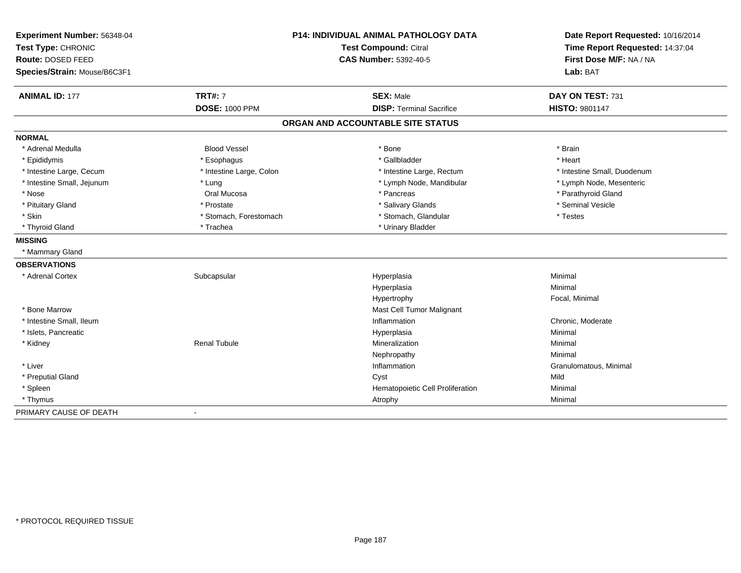| Experiment Number: 56348-04<br>Test Type: CHRONIC |                          | P14: INDIVIDUAL ANIMAL PATHOLOGY DATA<br>Test Compound: Citral | Date Report Requested: 10/16/2014<br>Time Report Requested: 14:37:04 |
|---------------------------------------------------|--------------------------|----------------------------------------------------------------|----------------------------------------------------------------------|
| Route: DOSED FEED                                 |                          | <b>CAS Number: 5392-40-5</b>                                   | First Dose M/F: NA / NA                                              |
| Species/Strain: Mouse/B6C3F1                      |                          |                                                                | Lab: BAT                                                             |
| <b>ANIMAL ID: 177</b>                             | <b>TRT#: 7</b>           | <b>SEX: Male</b>                                               | DAY ON TEST: 731                                                     |
|                                                   | <b>DOSE: 1000 PPM</b>    | <b>DISP: Terminal Sacrifice</b>                                | HISTO: 9801147                                                       |
|                                                   |                          | ORGAN AND ACCOUNTABLE SITE STATUS                              |                                                                      |
| <b>NORMAL</b>                                     |                          |                                                                |                                                                      |
| * Adrenal Medulla                                 | <b>Blood Vessel</b>      | * Bone                                                         | * Brain                                                              |
| * Epididymis                                      | * Esophagus              | * Gallbladder                                                  | * Heart                                                              |
| * Intestine Large, Cecum                          | * Intestine Large, Colon | * Intestine Large, Rectum                                      | * Intestine Small, Duodenum                                          |
| * Intestine Small, Jejunum                        | * Lung                   | * Lymph Node, Mandibular                                       | * Lymph Node, Mesenteric                                             |
| * Nose                                            | Oral Mucosa              | * Pancreas                                                     | * Parathyroid Gland                                                  |
| * Pituitary Gland                                 | * Prostate               | * Salivary Glands                                              | * Seminal Vesicle                                                    |
| * Skin                                            | * Stomach, Forestomach   | * Stomach, Glandular                                           | * Testes                                                             |
| * Thyroid Gland                                   | * Trachea                | * Urinary Bladder                                              |                                                                      |
| <b>MISSING</b>                                    |                          |                                                                |                                                                      |
| * Mammary Gland                                   |                          |                                                                |                                                                      |
| <b>OBSERVATIONS</b>                               |                          |                                                                |                                                                      |
| * Adrenal Cortex                                  | Subcapsular              | Hyperplasia                                                    | Minimal                                                              |
|                                                   |                          | Hyperplasia                                                    | Minimal                                                              |
|                                                   |                          | Hypertrophy                                                    | Focal, Minimal                                                       |
| * Bone Marrow                                     |                          | Mast Cell Tumor Malignant                                      |                                                                      |
| * Intestine Small, Ileum                          |                          | Inflammation                                                   | Chronic, Moderate                                                    |
| * Islets, Pancreatic                              |                          | Hyperplasia                                                    | Minimal                                                              |
| * Kidney                                          | <b>Renal Tubule</b>      | Mineralization                                                 | Minimal                                                              |
|                                                   |                          | Nephropathy                                                    | Minimal                                                              |
| * Liver                                           |                          | Inflammation                                                   | Granulomatous, Minimal                                               |
| * Preputial Gland                                 |                          | Cyst                                                           | Mild                                                                 |
| * Spleen                                          |                          | Hematopoietic Cell Proliferation                               | Minimal                                                              |
| * Thymus                                          |                          | Atrophy                                                        | Minimal                                                              |
| PRIMARY CAUSE OF DEATH                            |                          |                                                                |                                                                      |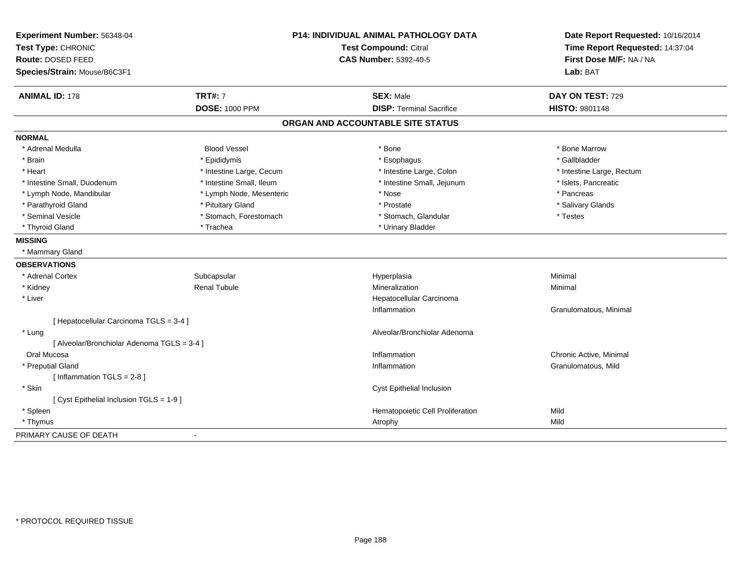| Experiment Number: 56348-04                 | P14: INDIVIDUAL ANIMAL PATHOLOGY DATA |                                   | Date Report Requested: 10/16/2014 |
|---------------------------------------------|---------------------------------------|-----------------------------------|-----------------------------------|
| Test Type: CHRONIC                          |                                       | Test Compound: Citral             | Time Report Requested: 14:37:04   |
| Route: DOSED FEED                           |                                       | <b>CAS Number: 5392-40-5</b>      | First Dose M/F: NA / NA           |
| Species/Strain: Mouse/B6C3F1                |                                       |                                   | Lab: BAT                          |
| <b>ANIMAL ID: 178</b>                       | <b>TRT#: 7</b>                        | <b>SEX: Male</b>                  | DAY ON TEST: 729                  |
|                                             | <b>DOSE: 1000 PPM</b>                 | <b>DISP: Terminal Sacrifice</b>   | HISTO: 9801148                    |
|                                             |                                       | ORGAN AND ACCOUNTABLE SITE STATUS |                                   |
| <b>NORMAL</b>                               |                                       |                                   |                                   |
| * Adrenal Medulla                           | <b>Blood Vessel</b>                   | * Bone                            | * Bone Marrow                     |
| * Brain                                     | * Epididymis                          | * Esophagus                       | * Gallbladder                     |
| * Heart                                     | * Intestine Large, Cecum              | * Intestine Large, Colon          | * Intestine Large, Rectum         |
| * Intestine Small, Duodenum                 | * Intestine Small, Ileum              | * Intestine Small, Jejunum        | * Islets, Pancreatic              |
| * Lymph Node, Mandibular                    | * Lymph Node, Mesenteric              | * Nose                            | * Pancreas                        |
| * Parathyroid Gland                         | * Pituitary Gland                     | * Prostate                        | * Salivary Glands                 |
| * Seminal Vesicle                           | * Stomach, Forestomach                | * Stomach, Glandular              | * Testes                          |
| * Thyroid Gland                             | * Trachea                             | * Urinary Bladder                 |                                   |
| <b>MISSING</b>                              |                                       |                                   |                                   |
| * Mammary Gland                             |                                       |                                   |                                   |
| <b>OBSERVATIONS</b>                         |                                       |                                   |                                   |
| * Adrenal Cortex                            | Subcapsular                           | Hyperplasia                       | Minimal                           |
| * Kidney                                    | <b>Renal Tubule</b>                   | Mineralization                    | Minimal                           |
| * Liver                                     |                                       | Hepatocellular Carcinoma          |                                   |
|                                             |                                       | Inflammation                      | Granulomatous, Minimal            |
| [ Hepatocellular Carcinoma TGLS = 3-4 ]     |                                       |                                   |                                   |
| * Lung                                      |                                       | Alveolar/Bronchiolar Adenoma      |                                   |
| [ Alveolar/Bronchiolar Adenoma TGLS = 3-4 ] |                                       |                                   |                                   |
| Oral Mucosa                                 |                                       | Inflammation                      | Chronic Active, Minimal           |
| * Preputial Gland                           |                                       | Inflammation                      | Granulomatous, Mild               |
| [Inflammation TGLS = 2-8]                   |                                       |                                   |                                   |
| * Skin                                      |                                       | Cyst Epithelial Inclusion         |                                   |
| [ Cyst Epithelial Inclusion TGLS = 1-9 ]    |                                       |                                   |                                   |
| * Spleen                                    |                                       | Hematopoietic Cell Proliferation  | Mild                              |
| * Thymus                                    |                                       | Atrophy                           | Mild                              |
| PRIMARY CAUSE OF DEATH                      |                                       |                                   |                                   |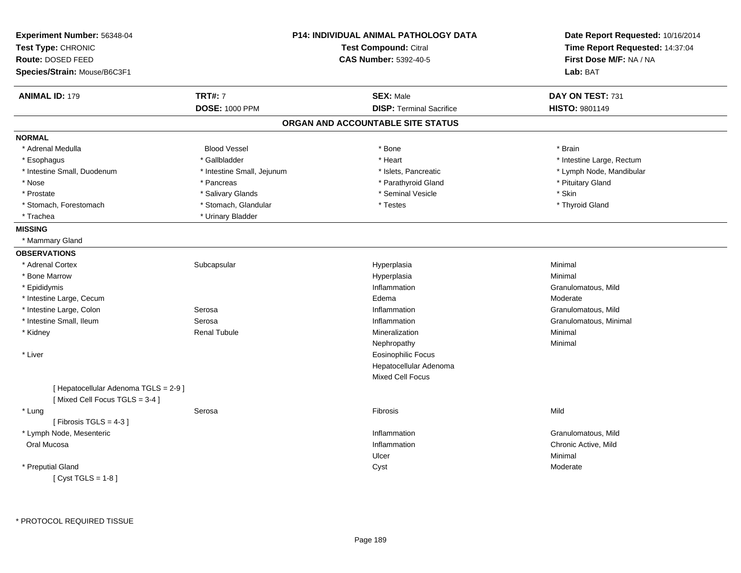| <b>ANIMAL ID: 179</b><br><b>TRT#: 7</b><br><b>SEX: Male</b><br>DAY ON TEST: 731<br><b>DOSE: 1000 PPM</b><br><b>DISP: Terminal Sacrifice</b><br><b>HISTO: 9801149</b><br>ORGAN AND ACCOUNTABLE SITE STATUS<br><b>NORMAL</b><br>* Adrenal Medulla<br><b>Blood Vessel</b><br>* Bone<br>* Brain<br>* Gallbladder<br>* Heart<br>* Intestine Large, Rectum<br>* Esophagus<br>* Intestine Small, Jejunum<br>* Intestine Small, Duodenum<br>* Islets, Pancreatic<br>* Lymph Node, Mandibular<br>* Pituitary Gland<br>* Nose<br>* Pancreas<br>* Parathyroid Gland<br>* Salivary Glands<br>* Seminal Vesicle<br>* Skin<br>* Prostate<br>* Stomach, Glandular<br>* Testes<br>* Stomach, Forestomach<br>* Thyroid Gland<br>* Urinary Bladder<br>* Trachea<br><b>MISSING</b><br>* Mammary Gland<br><b>OBSERVATIONS</b><br>* Adrenal Cortex<br>Minimal<br>Subcapsular<br>Hyperplasia<br>* Bone Marrow<br>Hyperplasia<br>Minimal<br>* Epididymis<br>Inflammation<br>Granulomatous, Mild<br>* Intestine Large, Cecum<br>Edema<br>Moderate<br>* Intestine Large, Colon<br>Serosa<br>Inflammation<br>Granulomatous, Mild<br>* Intestine Small, Ileum<br>Serosa<br>Inflammation<br>Granulomatous, Minimal<br><b>Renal Tubule</b><br>Minimal<br>* Kidney<br>Mineralization<br>Nephropathy<br>Minimal<br>* Liver<br><b>Eosinophilic Focus</b><br>Hepatocellular Adenoma<br>Mixed Cell Focus<br>[ Hepatocellular Adenoma TGLS = 2-9 ]<br>[Mixed Cell Focus TGLS = 3-4]<br>Mild<br>* Lung<br>Serosa<br>Fibrosis<br>[Fibrosis TGLS = $4-3$ ]<br>* Lymph Node, Mesenteric<br>Granulomatous, Mild<br>Inflammation<br>Oral Mucosa<br>Inflammation<br>Chronic Active, Mild<br>Minimal<br>Ulcer | Experiment Number: 56348-04<br>Test Type: CHRONIC<br>Route: DOSED FEED<br>Species/Strain: Mouse/B6C3F1 | <b>P14: INDIVIDUAL ANIMAL PATHOLOGY DATA</b><br><b>Test Compound: Citral</b><br><b>CAS Number: 5392-40-5</b> | Date Report Requested: 10/16/2014<br>Time Report Requested: 14:37:04<br>First Dose M/F: NA / NA<br>Lab: BAT |
|--------------------------------------------------------------------------------------------------------------------------------------------------------------------------------------------------------------------------------------------------------------------------------------------------------------------------------------------------------------------------------------------------------------------------------------------------------------------------------------------------------------------------------------------------------------------------------------------------------------------------------------------------------------------------------------------------------------------------------------------------------------------------------------------------------------------------------------------------------------------------------------------------------------------------------------------------------------------------------------------------------------------------------------------------------------------------------------------------------------------------------------------------------------------------------------------------------------------------------------------------------------------------------------------------------------------------------------------------------------------------------------------------------------------------------------------------------------------------------------------------------------------------------------------------------------------------------------------------------------------------------------------------------------------|--------------------------------------------------------------------------------------------------------|--------------------------------------------------------------------------------------------------------------|-------------------------------------------------------------------------------------------------------------|
|                                                                                                                                                                                                                                                                                                                                                                                                                                                                                                                                                                                                                                                                                                                                                                                                                                                                                                                                                                                                                                                                                                                                                                                                                                                                                                                                                                                                                                                                                                                                                                                                                                                                    |                                                                                                        |                                                                                                              |                                                                                                             |
|                                                                                                                                                                                                                                                                                                                                                                                                                                                                                                                                                                                                                                                                                                                                                                                                                                                                                                                                                                                                                                                                                                                                                                                                                                                                                                                                                                                                                                                                                                                                                                                                                                                                    |                                                                                                        |                                                                                                              |                                                                                                             |
|                                                                                                                                                                                                                                                                                                                                                                                                                                                                                                                                                                                                                                                                                                                                                                                                                                                                                                                                                                                                                                                                                                                                                                                                                                                                                                                                                                                                                                                                                                                                                                                                                                                                    |                                                                                                        |                                                                                                              |                                                                                                             |
|                                                                                                                                                                                                                                                                                                                                                                                                                                                                                                                                                                                                                                                                                                                                                                                                                                                                                                                                                                                                                                                                                                                                                                                                                                                                                                                                                                                                                                                                                                                                                                                                                                                                    |                                                                                                        |                                                                                                              |                                                                                                             |
|                                                                                                                                                                                                                                                                                                                                                                                                                                                                                                                                                                                                                                                                                                                                                                                                                                                                                                                                                                                                                                                                                                                                                                                                                                                                                                                                                                                                                                                                                                                                                                                                                                                                    |                                                                                                        |                                                                                                              |                                                                                                             |
|                                                                                                                                                                                                                                                                                                                                                                                                                                                                                                                                                                                                                                                                                                                                                                                                                                                                                                                                                                                                                                                                                                                                                                                                                                                                                                                                                                                                                                                                                                                                                                                                                                                                    |                                                                                                        |                                                                                                              |                                                                                                             |
|                                                                                                                                                                                                                                                                                                                                                                                                                                                                                                                                                                                                                                                                                                                                                                                                                                                                                                                                                                                                                                                                                                                                                                                                                                                                                                                                                                                                                                                                                                                                                                                                                                                                    |                                                                                                        |                                                                                                              |                                                                                                             |
|                                                                                                                                                                                                                                                                                                                                                                                                                                                                                                                                                                                                                                                                                                                                                                                                                                                                                                                                                                                                                                                                                                                                                                                                                                                                                                                                                                                                                                                                                                                                                                                                                                                                    |                                                                                                        |                                                                                                              |                                                                                                             |
|                                                                                                                                                                                                                                                                                                                                                                                                                                                                                                                                                                                                                                                                                                                                                                                                                                                                                                                                                                                                                                                                                                                                                                                                                                                                                                                                                                                                                                                                                                                                                                                                                                                                    |                                                                                                        |                                                                                                              |                                                                                                             |
|                                                                                                                                                                                                                                                                                                                                                                                                                                                                                                                                                                                                                                                                                                                                                                                                                                                                                                                                                                                                                                                                                                                                                                                                                                                                                                                                                                                                                                                                                                                                                                                                                                                                    |                                                                                                        |                                                                                                              |                                                                                                             |
|                                                                                                                                                                                                                                                                                                                                                                                                                                                                                                                                                                                                                                                                                                                                                                                                                                                                                                                                                                                                                                                                                                                                                                                                                                                                                                                                                                                                                                                                                                                                                                                                                                                                    |                                                                                                        |                                                                                                              |                                                                                                             |
|                                                                                                                                                                                                                                                                                                                                                                                                                                                                                                                                                                                                                                                                                                                                                                                                                                                                                                                                                                                                                                                                                                                                                                                                                                                                                                                                                                                                                                                                                                                                                                                                                                                                    |                                                                                                        |                                                                                                              |                                                                                                             |
|                                                                                                                                                                                                                                                                                                                                                                                                                                                                                                                                                                                                                                                                                                                                                                                                                                                                                                                                                                                                                                                                                                                                                                                                                                                                                                                                                                                                                                                                                                                                                                                                                                                                    |                                                                                                        |                                                                                                              |                                                                                                             |
|                                                                                                                                                                                                                                                                                                                                                                                                                                                                                                                                                                                                                                                                                                                                                                                                                                                                                                                                                                                                                                                                                                                                                                                                                                                                                                                                                                                                                                                                                                                                                                                                                                                                    |                                                                                                        |                                                                                                              |                                                                                                             |
|                                                                                                                                                                                                                                                                                                                                                                                                                                                                                                                                                                                                                                                                                                                                                                                                                                                                                                                                                                                                                                                                                                                                                                                                                                                                                                                                                                                                                                                                                                                                                                                                                                                                    |                                                                                                        |                                                                                                              |                                                                                                             |
|                                                                                                                                                                                                                                                                                                                                                                                                                                                                                                                                                                                                                                                                                                                                                                                                                                                                                                                                                                                                                                                                                                                                                                                                                                                                                                                                                                                                                                                                                                                                                                                                                                                                    |                                                                                                        |                                                                                                              |                                                                                                             |
|                                                                                                                                                                                                                                                                                                                                                                                                                                                                                                                                                                                                                                                                                                                                                                                                                                                                                                                                                                                                                                                                                                                                                                                                                                                                                                                                                                                                                                                                                                                                                                                                                                                                    |                                                                                                        |                                                                                                              |                                                                                                             |
|                                                                                                                                                                                                                                                                                                                                                                                                                                                                                                                                                                                                                                                                                                                                                                                                                                                                                                                                                                                                                                                                                                                                                                                                                                                                                                                                                                                                                                                                                                                                                                                                                                                                    |                                                                                                        |                                                                                                              |                                                                                                             |
|                                                                                                                                                                                                                                                                                                                                                                                                                                                                                                                                                                                                                                                                                                                                                                                                                                                                                                                                                                                                                                                                                                                                                                                                                                                                                                                                                                                                                                                                                                                                                                                                                                                                    |                                                                                                        |                                                                                                              |                                                                                                             |
|                                                                                                                                                                                                                                                                                                                                                                                                                                                                                                                                                                                                                                                                                                                                                                                                                                                                                                                                                                                                                                                                                                                                                                                                                                                                                                                                                                                                                                                                                                                                                                                                                                                                    |                                                                                                        |                                                                                                              |                                                                                                             |
|                                                                                                                                                                                                                                                                                                                                                                                                                                                                                                                                                                                                                                                                                                                                                                                                                                                                                                                                                                                                                                                                                                                                                                                                                                                                                                                                                                                                                                                                                                                                                                                                                                                                    |                                                                                                        |                                                                                                              |                                                                                                             |
|                                                                                                                                                                                                                                                                                                                                                                                                                                                                                                                                                                                                                                                                                                                                                                                                                                                                                                                                                                                                                                                                                                                                                                                                                                                                                                                                                                                                                                                                                                                                                                                                                                                                    |                                                                                                        |                                                                                                              |                                                                                                             |
|                                                                                                                                                                                                                                                                                                                                                                                                                                                                                                                                                                                                                                                                                                                                                                                                                                                                                                                                                                                                                                                                                                                                                                                                                                                                                                                                                                                                                                                                                                                                                                                                                                                                    |                                                                                                        |                                                                                                              |                                                                                                             |
|                                                                                                                                                                                                                                                                                                                                                                                                                                                                                                                                                                                                                                                                                                                                                                                                                                                                                                                                                                                                                                                                                                                                                                                                                                                                                                                                                                                                                                                                                                                                                                                                                                                                    |                                                                                                        |                                                                                                              |                                                                                                             |
|                                                                                                                                                                                                                                                                                                                                                                                                                                                                                                                                                                                                                                                                                                                                                                                                                                                                                                                                                                                                                                                                                                                                                                                                                                                                                                                                                                                                                                                                                                                                                                                                                                                                    |                                                                                                        |                                                                                                              |                                                                                                             |
|                                                                                                                                                                                                                                                                                                                                                                                                                                                                                                                                                                                                                                                                                                                                                                                                                                                                                                                                                                                                                                                                                                                                                                                                                                                                                                                                                                                                                                                                                                                                                                                                                                                                    |                                                                                                        |                                                                                                              |                                                                                                             |
|                                                                                                                                                                                                                                                                                                                                                                                                                                                                                                                                                                                                                                                                                                                                                                                                                                                                                                                                                                                                                                                                                                                                                                                                                                                                                                                                                                                                                                                                                                                                                                                                                                                                    |                                                                                                        |                                                                                                              |                                                                                                             |
|                                                                                                                                                                                                                                                                                                                                                                                                                                                                                                                                                                                                                                                                                                                                                                                                                                                                                                                                                                                                                                                                                                                                                                                                                                                                                                                                                                                                                                                                                                                                                                                                                                                                    |                                                                                                        |                                                                                                              |                                                                                                             |
|                                                                                                                                                                                                                                                                                                                                                                                                                                                                                                                                                                                                                                                                                                                                                                                                                                                                                                                                                                                                                                                                                                                                                                                                                                                                                                                                                                                                                                                                                                                                                                                                                                                                    |                                                                                                        |                                                                                                              |                                                                                                             |
|                                                                                                                                                                                                                                                                                                                                                                                                                                                                                                                                                                                                                                                                                                                                                                                                                                                                                                                                                                                                                                                                                                                                                                                                                                                                                                                                                                                                                                                                                                                                                                                                                                                                    |                                                                                                        |                                                                                                              |                                                                                                             |
|                                                                                                                                                                                                                                                                                                                                                                                                                                                                                                                                                                                                                                                                                                                                                                                                                                                                                                                                                                                                                                                                                                                                                                                                                                                                                                                                                                                                                                                                                                                                                                                                                                                                    |                                                                                                        |                                                                                                              |                                                                                                             |
| * Preputial Gland<br>Cyst<br>Moderate                                                                                                                                                                                                                                                                                                                                                                                                                                                                                                                                                                                                                                                                                                                                                                                                                                                                                                                                                                                                                                                                                                                                                                                                                                                                                                                                                                                                                                                                                                                                                                                                                              |                                                                                                        |                                                                                                              |                                                                                                             |
| [Cyst TGLS = $1-8$ ]                                                                                                                                                                                                                                                                                                                                                                                                                                                                                                                                                                                                                                                                                                                                                                                                                                                                                                                                                                                                                                                                                                                                                                                                                                                                                                                                                                                                                                                                                                                                                                                                                                               |                                                                                                        |                                                                                                              |                                                                                                             |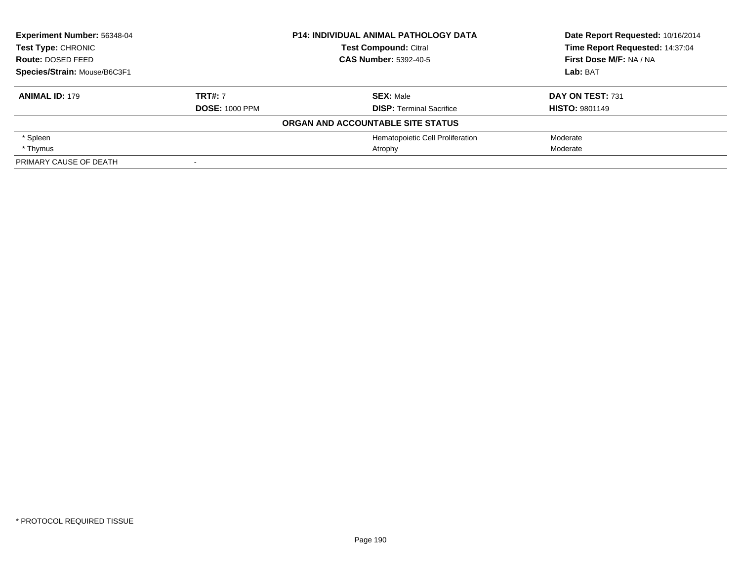| Experiment Number: 56348-04<br><b>Test Type: CHRONIC</b> |                       | <b>P14: INDIVIDUAL ANIMAL PATHOLOGY DATA</b> | Date Report Requested: 10/16/2014 |
|----------------------------------------------------------|-----------------------|----------------------------------------------|-----------------------------------|
|                                                          |                       | <b>Test Compound: Citral</b>                 | Time Report Requested: 14:37:04   |
| Route: DOSED FEED                                        |                       | <b>CAS Number: 5392-40-5</b>                 | First Dose M/F: NA / NA           |
| Species/Strain: Mouse/B6C3F1                             |                       |                                              | Lab: BAT                          |
| <b>ANIMAL ID: 179</b>                                    | <b>TRT#: 7</b>        | <b>SEX: Male</b>                             | DAY ON TEST: 731                  |
|                                                          | <b>DOSE: 1000 PPM</b> | <b>DISP: Terminal Sacrifice</b>              | <b>HISTO: 9801149</b>             |
|                                                          |                       | ORGAN AND ACCOUNTABLE SITE STATUS            |                                   |
| * Spleen                                                 |                       | Hematopoietic Cell Proliferation             | Moderate                          |
| * Thymus                                                 |                       | Atrophy                                      | Moderate                          |
| PRIMARY CAUSE OF DEATH                                   |                       |                                              |                                   |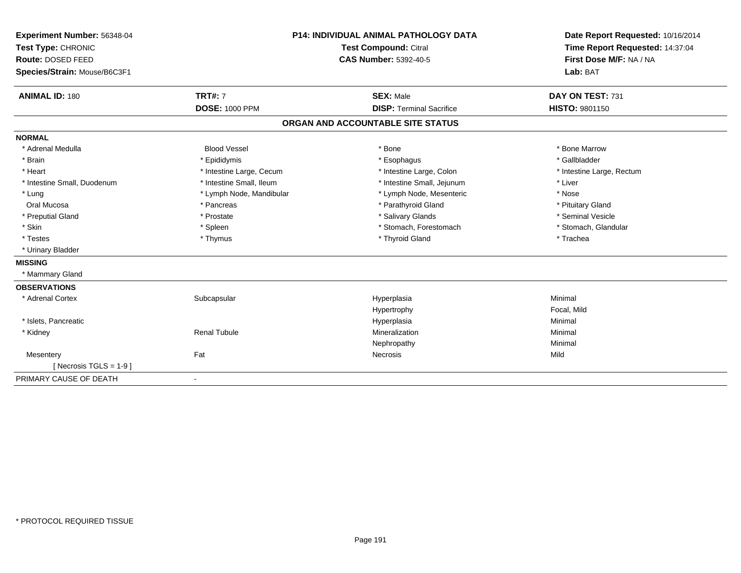| Experiment Number: 56348-04<br>Test Type: CHRONIC | <b>P14: INDIVIDUAL ANIMAL PATHOLOGY DATA</b><br>Test Compound: Citral |                                   | Date Report Requested: 10/16/2014<br>Time Report Requested: 14:37:04 |
|---------------------------------------------------|-----------------------------------------------------------------------|-----------------------------------|----------------------------------------------------------------------|
| Route: DOSED FEED                                 |                                                                       | <b>CAS Number: 5392-40-5</b>      | First Dose M/F: NA / NA                                              |
| Species/Strain: Mouse/B6C3F1                      |                                                                       |                                   | Lab: BAT                                                             |
| <b>ANIMAL ID: 180</b>                             | <b>TRT#: 7</b>                                                        | <b>SEX: Male</b>                  | DAY ON TEST: 731                                                     |
|                                                   | <b>DOSE: 1000 PPM</b>                                                 | <b>DISP: Terminal Sacrifice</b>   | <b>HISTO: 9801150</b>                                                |
|                                                   |                                                                       | ORGAN AND ACCOUNTABLE SITE STATUS |                                                                      |
| <b>NORMAL</b>                                     |                                                                       |                                   |                                                                      |
| * Adrenal Medulla                                 | <b>Blood Vessel</b>                                                   | * Bone                            | * Bone Marrow                                                        |
| * Brain                                           | * Epididymis                                                          | * Esophagus                       | * Gallbladder                                                        |
| * Heart                                           | * Intestine Large, Cecum                                              | * Intestine Large, Colon          | * Intestine Large, Rectum                                            |
| * Intestine Small, Duodenum                       | * Intestine Small, Ileum                                              | * Intestine Small, Jejunum        | * Liver                                                              |
| * Lung                                            | * Lymph Node, Mandibular                                              | * Lymph Node, Mesenteric          | * Nose                                                               |
| Oral Mucosa                                       | * Pancreas                                                            | * Parathyroid Gland               | * Pituitary Gland                                                    |
| * Preputial Gland                                 | * Prostate                                                            | * Salivary Glands                 | * Seminal Vesicle                                                    |
| * Skin                                            | * Spleen                                                              | * Stomach, Forestomach            | * Stomach, Glandular                                                 |
| * Testes                                          | * Thymus                                                              | * Thyroid Gland                   | * Trachea                                                            |
| * Urinary Bladder                                 |                                                                       |                                   |                                                                      |
| <b>MISSING</b>                                    |                                                                       |                                   |                                                                      |
| * Mammary Gland                                   |                                                                       |                                   |                                                                      |
| <b>OBSERVATIONS</b>                               |                                                                       |                                   |                                                                      |
| * Adrenal Cortex                                  | Subcapsular                                                           | Hyperplasia                       | Minimal                                                              |
|                                                   |                                                                       | Hypertrophy                       | Focal, Mild                                                          |
| * Islets, Pancreatic                              |                                                                       | Hyperplasia                       | Minimal                                                              |
| * Kidney                                          | <b>Renal Tubule</b>                                                   | Mineralization                    | Minimal                                                              |
|                                                   |                                                                       | Nephropathy                       | Minimal                                                              |
| Mesentery                                         | Fat                                                                   | Necrosis                          | Mild                                                                 |
| [ Necrosis TGLS = $1-9$ ]                         |                                                                       |                                   |                                                                      |
| PRIMARY CAUSE OF DEATH                            | $\overline{\phantom{a}}$                                              |                                   |                                                                      |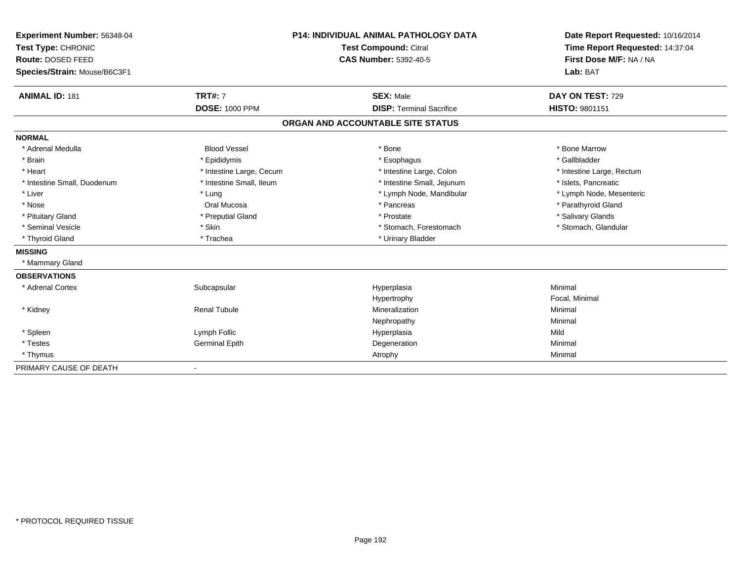| Experiment Number: 56348-04  | <b>P14: INDIVIDUAL ANIMAL PATHOLOGY DATA</b> |                                   | Date Report Requested: 10/16/2014 |
|------------------------------|----------------------------------------------|-----------------------------------|-----------------------------------|
| Test Type: CHRONIC           |                                              | Test Compound: Citral             | Time Report Requested: 14:37:04   |
| Route: DOSED FEED            |                                              | <b>CAS Number: 5392-40-5</b>      | First Dose M/F: NA / NA           |
| Species/Strain: Mouse/B6C3F1 |                                              |                                   | Lab: BAT                          |
| <b>ANIMAL ID: 181</b>        | <b>TRT#: 7</b>                               | <b>SEX: Male</b>                  | DAY ON TEST: 729                  |
|                              | <b>DOSE: 1000 PPM</b>                        | <b>DISP: Terminal Sacrifice</b>   | <b>HISTO: 9801151</b>             |
|                              |                                              | ORGAN AND ACCOUNTABLE SITE STATUS |                                   |
| <b>NORMAL</b>                |                                              |                                   |                                   |
| * Adrenal Medulla            | <b>Blood Vessel</b>                          | * Bone                            | * Bone Marrow                     |
| * Brain                      | * Epididymis                                 | * Esophagus                       | * Gallbladder                     |
| * Heart                      | * Intestine Large, Cecum                     | * Intestine Large, Colon          | * Intestine Large, Rectum         |
| * Intestine Small, Duodenum  | * Intestine Small, Ileum                     | * Intestine Small, Jejunum        | * Islets, Pancreatic              |
| * Liver                      | * Lung                                       | * Lymph Node, Mandibular          | * Lymph Node, Mesenteric          |
| * Nose                       | Oral Mucosa                                  | * Pancreas                        | * Parathyroid Gland               |
| * Pituitary Gland            | * Preputial Gland                            | * Prostate                        | * Salivary Glands                 |
| * Seminal Vesicle            | * Skin                                       | * Stomach, Forestomach            | * Stomach, Glandular              |
| * Thyroid Gland              | * Trachea                                    | * Urinary Bladder                 |                                   |
| <b>MISSING</b>               |                                              |                                   |                                   |
| * Mammary Gland              |                                              |                                   |                                   |
| <b>OBSERVATIONS</b>          |                                              |                                   |                                   |
| * Adrenal Cortex             | Subcapsular                                  | Hyperplasia                       | Minimal                           |
|                              |                                              | Hypertrophy                       | Focal, Minimal                    |
| * Kidney                     | <b>Renal Tubule</b>                          | Mineralization                    | Minimal                           |
|                              |                                              | Nephropathy                       | Minimal                           |
| * Spleen                     | Lymph Follic                                 | Hyperplasia                       | Mild                              |
| * Testes                     | <b>Germinal Epith</b>                        | Degeneration                      | Minimal                           |
| * Thymus                     |                                              | Atrophy                           | Minimal                           |
| PRIMARY CAUSE OF DEATH       |                                              |                                   |                                   |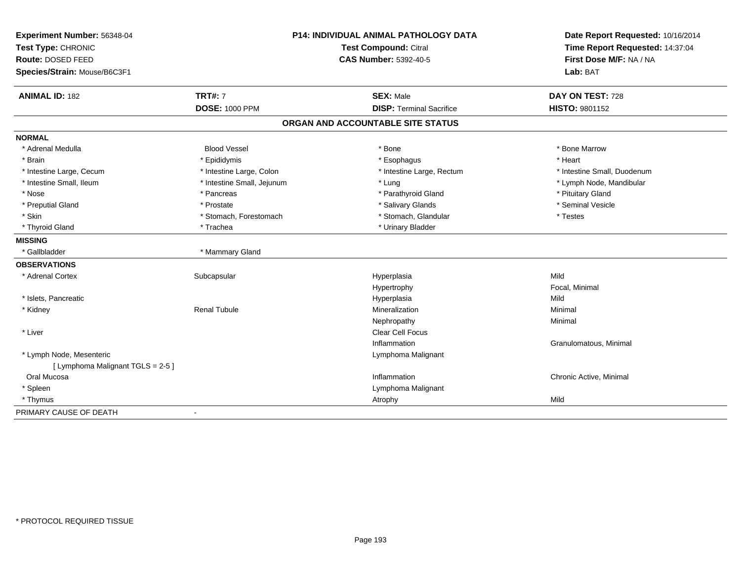| Experiment Number: 56348-04<br>Test Type: CHRONIC |                            | <b>P14: INDIVIDUAL ANIMAL PATHOLOGY DATA</b><br><b>Test Compound: Citral</b> | Date Report Requested: 10/16/2014<br>Time Report Requested: 14:37:04 |
|---------------------------------------------------|----------------------------|------------------------------------------------------------------------------|----------------------------------------------------------------------|
| Route: DOSED FEED                                 |                            | <b>CAS Number: 5392-40-5</b>                                                 | First Dose M/F: NA / NA                                              |
| Species/Strain: Mouse/B6C3F1                      |                            |                                                                              | Lab: BAT                                                             |
| <b>ANIMAL ID: 182</b>                             | <b>TRT#: 7</b>             | <b>SEX: Male</b>                                                             | DAY ON TEST: 728                                                     |
|                                                   | <b>DOSE: 1000 PPM</b>      | <b>DISP: Terminal Sacrifice</b>                                              | HISTO: 9801152                                                       |
|                                                   |                            | ORGAN AND ACCOUNTABLE SITE STATUS                                            |                                                                      |
| <b>NORMAL</b>                                     |                            |                                                                              |                                                                      |
| * Adrenal Medulla                                 | <b>Blood Vessel</b>        | * Bone                                                                       | * Bone Marrow                                                        |
| * Brain                                           | * Epididymis               | * Esophagus                                                                  | * Heart                                                              |
| * Intestine Large, Cecum                          | * Intestine Large, Colon   | * Intestine Large, Rectum                                                    | * Intestine Small, Duodenum                                          |
| * Intestine Small, Ileum                          | * Intestine Small, Jejunum | * Lung                                                                       | * Lymph Node, Mandibular                                             |
| * Nose                                            | * Pancreas                 | * Parathyroid Gland                                                          | * Pituitary Gland                                                    |
| * Preputial Gland                                 | * Prostate                 | * Salivary Glands                                                            | * Seminal Vesicle                                                    |
| * Skin                                            | * Stomach, Forestomach     | * Stomach, Glandular                                                         | * Testes                                                             |
| * Thyroid Gland                                   | * Trachea                  | * Urinary Bladder                                                            |                                                                      |
| <b>MISSING</b>                                    |                            |                                                                              |                                                                      |
| * Gallbladder                                     | * Mammary Gland            |                                                                              |                                                                      |
| <b>OBSERVATIONS</b>                               |                            |                                                                              |                                                                      |
| * Adrenal Cortex                                  | Subcapsular                | Hyperplasia                                                                  | Mild                                                                 |
|                                                   |                            | Hypertrophy                                                                  | Focal, Minimal                                                       |
| * Islets, Pancreatic                              |                            | Hyperplasia                                                                  | Mild                                                                 |
| * Kidney                                          | <b>Renal Tubule</b>        | Mineralization                                                               | Minimal                                                              |
|                                                   |                            | Nephropathy                                                                  | Minimal                                                              |
| * Liver                                           |                            | Clear Cell Focus                                                             |                                                                      |
|                                                   |                            | Inflammation                                                                 | Granulomatous, Minimal                                               |
| * Lymph Node, Mesenteric                          |                            | Lymphoma Malignant                                                           |                                                                      |
| [ Lymphoma Malignant TGLS = 2-5 ]                 |                            |                                                                              |                                                                      |
| Oral Mucosa                                       |                            | Inflammation                                                                 | Chronic Active, Minimal                                              |
| * Spleen                                          |                            | Lymphoma Malignant                                                           |                                                                      |
| * Thymus                                          |                            | Atrophy                                                                      | Mild                                                                 |
| PRIMARY CAUSE OF DEATH                            | $\overline{\phantom{a}}$   |                                                                              |                                                                      |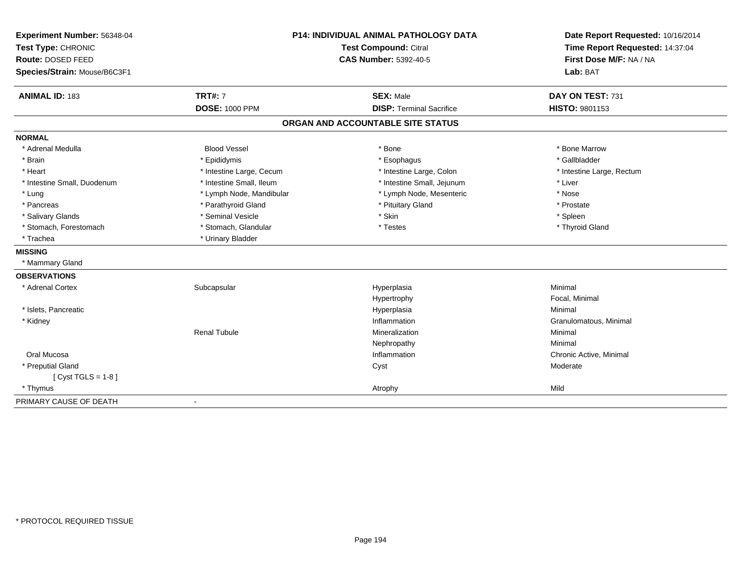| Experiment Number: 56348-04  |                          | <b>P14: INDIVIDUAL ANIMAL PATHOLOGY DATA</b> | Date Report Requested: 10/16/2014 |
|------------------------------|--------------------------|----------------------------------------------|-----------------------------------|
| Test Type: CHRONIC           | Test Compound: Citral    |                                              | Time Report Requested: 14:37:04   |
| Route: DOSED FEED            |                          | <b>CAS Number: 5392-40-5</b>                 | First Dose M/F: NA / NA           |
| Species/Strain: Mouse/B6C3F1 |                          |                                              | Lab: BAT                          |
| <b>ANIMAL ID: 183</b>        | <b>TRT#: 7</b>           | <b>SEX: Male</b>                             | DAY ON TEST: 731                  |
|                              | <b>DOSE: 1000 PPM</b>    | <b>DISP: Terminal Sacrifice</b>              | <b>HISTO: 9801153</b>             |
|                              |                          | ORGAN AND ACCOUNTABLE SITE STATUS            |                                   |
| <b>NORMAL</b>                |                          |                                              |                                   |
| * Adrenal Medulla            | <b>Blood Vessel</b>      | * Bone                                       | * Bone Marrow                     |
| * Brain                      | * Epididymis             | * Esophagus                                  | * Gallbladder                     |
| * Heart                      | * Intestine Large, Cecum | * Intestine Large, Colon                     | * Intestine Large, Rectum         |
| * Intestine Small, Duodenum  | * Intestine Small, Ileum | * Intestine Small, Jejunum                   | * Liver                           |
| * Lung                       | * Lymph Node, Mandibular | * Lymph Node, Mesenteric                     | * Nose                            |
| * Pancreas                   | * Parathyroid Gland      | * Pituitary Gland                            | * Prostate                        |
| * Salivary Glands            | * Seminal Vesicle        | * Skin                                       | * Spleen                          |
| * Stomach, Forestomach       | * Stomach, Glandular     | * Testes                                     | * Thyroid Gland                   |
| * Trachea                    | * Urinary Bladder        |                                              |                                   |
| <b>MISSING</b>               |                          |                                              |                                   |
| * Mammary Gland              |                          |                                              |                                   |
| <b>OBSERVATIONS</b>          |                          |                                              |                                   |
| * Adrenal Cortex             | Subcapsular              | Hyperplasia                                  | Minimal                           |
|                              |                          | Hypertrophy                                  | Focal, Minimal                    |
| * Islets, Pancreatic         |                          | Hyperplasia                                  | Minimal                           |
| * Kidney                     |                          | Inflammation                                 | Granulomatous, Minimal            |
|                              | <b>Renal Tubule</b>      | Mineralization                               | Minimal                           |
|                              |                          | Nephropathy                                  | Minimal                           |
| Oral Mucosa                  |                          | Inflammation                                 | Chronic Active, Minimal           |
| * Preputial Gland            |                          | Cyst                                         | Moderate                          |
| [ $Cyst TGLS = 1-8$ ]        |                          |                                              |                                   |
| * Thymus                     |                          | Atrophy                                      | Mild                              |
| PRIMARY CAUSE OF DEATH       | $\blacksquare$           |                                              |                                   |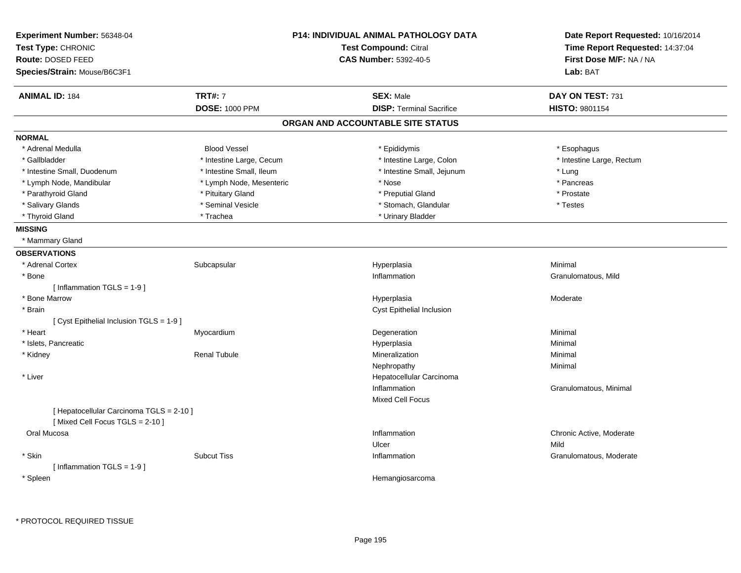| Experiment Number: 56348-04<br>Test Type: CHRONIC<br>Route: DOSED FEED     |                          | P14: INDIVIDUAL ANIMAL PATHOLOGY DATA<br>Test Compound: Citral<br><b>CAS Number: 5392-40-5</b> | Date Report Requested: 10/16/2014<br>Time Report Requested: 14:37:04<br>First Dose M/F: NA / NA |
|----------------------------------------------------------------------------|--------------------------|------------------------------------------------------------------------------------------------|-------------------------------------------------------------------------------------------------|
| Species/Strain: Mouse/B6C3F1                                               |                          |                                                                                                | Lab: BAT                                                                                        |
| <b>ANIMAL ID: 184</b>                                                      | <b>TRT#: 7</b>           | <b>SEX: Male</b>                                                                               | DAY ON TEST: 731                                                                                |
|                                                                            | <b>DOSE: 1000 PPM</b>    | <b>DISP: Terminal Sacrifice</b>                                                                | HISTO: 9801154                                                                                  |
|                                                                            |                          | ORGAN AND ACCOUNTABLE SITE STATUS                                                              |                                                                                                 |
| <b>NORMAL</b>                                                              |                          |                                                                                                |                                                                                                 |
| * Adrenal Medulla                                                          | <b>Blood Vessel</b>      | * Epididymis                                                                                   | * Esophagus                                                                                     |
| * Gallbladder                                                              | * Intestine Large, Cecum | * Intestine Large, Colon                                                                       | * Intestine Large, Rectum                                                                       |
| * Intestine Small, Duodenum                                                | * Intestine Small, Ileum | * Intestine Small, Jejunum                                                                     | * Lung                                                                                          |
| * Lymph Node, Mandibular                                                   | * Lymph Node, Mesenteric | * Nose                                                                                         | * Pancreas                                                                                      |
| * Parathyroid Gland                                                        | * Pituitary Gland        | * Preputial Gland                                                                              | * Prostate                                                                                      |
| * Salivary Glands                                                          | * Seminal Vesicle        | * Stomach, Glandular                                                                           | * Testes                                                                                        |
| * Thyroid Gland                                                            | * Trachea                | * Urinary Bladder                                                                              |                                                                                                 |
| <b>MISSING</b>                                                             |                          |                                                                                                |                                                                                                 |
| * Mammary Gland                                                            |                          |                                                                                                |                                                                                                 |
| <b>OBSERVATIONS</b>                                                        |                          |                                                                                                |                                                                                                 |
| * Adrenal Cortex                                                           | Subcapsular              | Hyperplasia                                                                                    | Minimal                                                                                         |
| * Bone                                                                     |                          | Inflammation                                                                                   | Granulomatous, Mild                                                                             |
| [Inflammation TGLS = $1-9$ ]                                               |                          |                                                                                                |                                                                                                 |
| * Bone Marrow                                                              |                          | Hyperplasia                                                                                    | Moderate                                                                                        |
| * Brain                                                                    |                          | Cyst Epithelial Inclusion                                                                      |                                                                                                 |
| [ Cyst Epithelial Inclusion TGLS = 1-9 ]                                   |                          |                                                                                                |                                                                                                 |
| * Heart                                                                    | Myocardium               | Degeneration                                                                                   | Minimal                                                                                         |
| * Islets, Pancreatic                                                       |                          | Hyperplasia                                                                                    | Minimal                                                                                         |
| * Kidney                                                                   | <b>Renal Tubule</b>      | Mineralization                                                                                 | Minimal                                                                                         |
|                                                                            |                          | Nephropathy                                                                                    | Minimal                                                                                         |
| * Liver                                                                    |                          | Hepatocellular Carcinoma                                                                       |                                                                                                 |
|                                                                            |                          | Inflammation                                                                                   | Granulomatous, Minimal                                                                          |
|                                                                            |                          | <b>Mixed Cell Focus</b>                                                                        |                                                                                                 |
| [ Hepatocellular Carcinoma TGLS = 2-10 ]<br>[Mixed Cell Focus TGLS = 2-10] |                          |                                                                                                |                                                                                                 |
| Oral Mucosa                                                                |                          | Inflammation                                                                                   | Chronic Active, Moderate                                                                        |
|                                                                            |                          | Ulcer                                                                                          | Mild                                                                                            |
| * Skin                                                                     | <b>Subcut Tiss</b>       | Inflammation                                                                                   | Granulomatous, Moderate                                                                         |
| [Inflammation TGLS = $1-9$ ]                                               |                          |                                                                                                |                                                                                                 |
| * Spleen                                                                   |                          | Hemangiosarcoma                                                                                |                                                                                                 |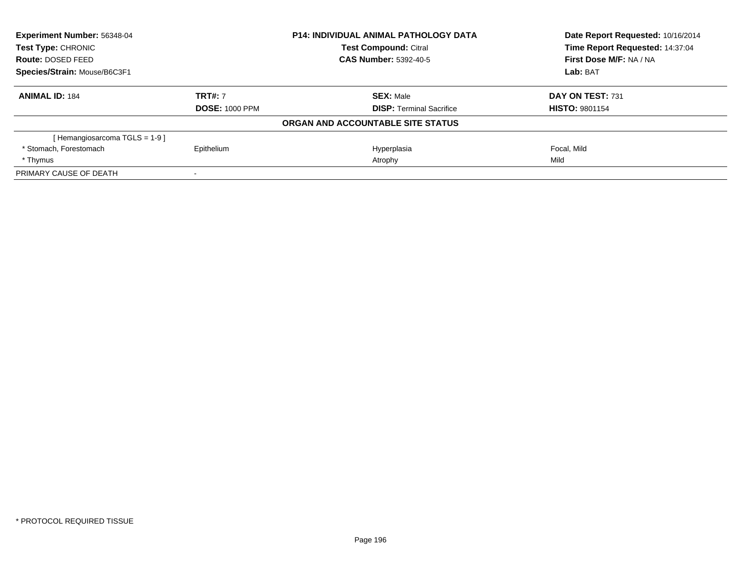| <b>Experiment Number: 56348-04</b><br>Test Type: CHRONIC |                       | <b>P14: INDIVIDUAL ANIMAL PATHOLOGY DATA</b> | Date Report Requested: 10/16/2014<br>Time Report Requested: 14:37:04 |
|----------------------------------------------------------|-----------------------|----------------------------------------------|----------------------------------------------------------------------|
|                                                          |                       | <b>Test Compound: Citral</b>                 |                                                                      |
| <b>Route: DOSED FEED</b>                                 |                       | <b>CAS Number: 5392-40-5</b>                 | First Dose M/F: NA / NA                                              |
| Species/Strain: Mouse/B6C3F1                             |                       |                                              | Lab: BAT                                                             |
| <b>ANIMAL ID: 184</b>                                    | <b>TRT#: 7</b>        | <b>SEX: Male</b>                             | DAY ON TEST: 731                                                     |
|                                                          | <b>DOSE: 1000 PPM</b> | <b>DISP:</b> Terminal Sacrifice              | <b>HISTO: 9801154</b>                                                |
|                                                          |                       | ORGAN AND ACCOUNTABLE SITE STATUS            |                                                                      |
| [Hemangiosarcoma TGLS = 1-9]                             |                       |                                              |                                                                      |
| * Stomach, Forestomach                                   | Epithelium            | Hyperplasia                                  | Focal, Mild                                                          |
| * Thymus                                                 |                       | Atrophy                                      | Mild                                                                 |
| PRIMARY CAUSE OF DEATH                                   |                       |                                              |                                                                      |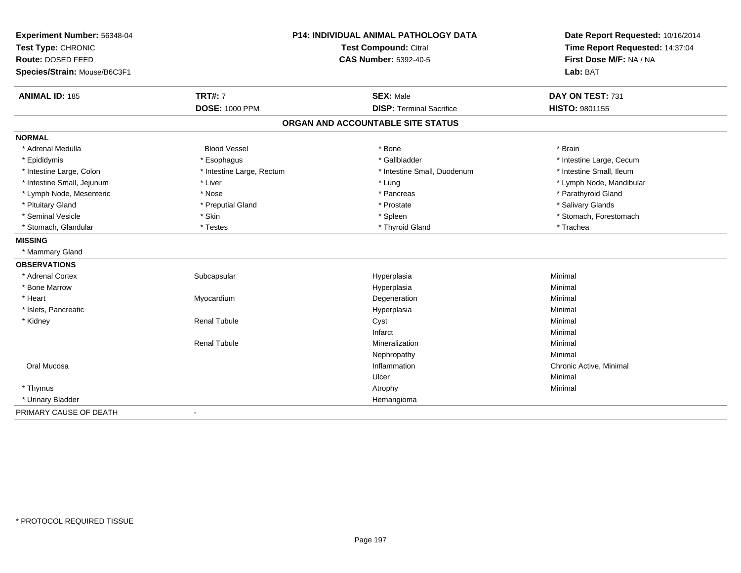| Experiment Number: 56348-04<br>Test Type: CHRONIC<br>Route: DOSED FEED<br>Species/Strain: Mouse/B6C3F1 |                           | P14: INDIVIDUAL ANIMAL PATHOLOGY DATA<br><b>Test Compound: Citral</b><br><b>CAS Number: 5392-40-5</b> | Date Report Requested: 10/16/2014<br>Time Report Requested: 14:37:04<br>First Dose M/F: NA / NA<br>Lab: BAT |
|--------------------------------------------------------------------------------------------------------|---------------------------|-------------------------------------------------------------------------------------------------------|-------------------------------------------------------------------------------------------------------------|
| <b>ANIMAL ID: 185</b>                                                                                  | <b>TRT#: 7</b>            | <b>SEX: Male</b>                                                                                      | DAY ON TEST: 731                                                                                            |
|                                                                                                        | <b>DOSE: 1000 PPM</b>     | <b>DISP: Terminal Sacrifice</b>                                                                       | HISTO: 9801155                                                                                              |
|                                                                                                        |                           | ORGAN AND ACCOUNTABLE SITE STATUS                                                                     |                                                                                                             |
| <b>NORMAL</b>                                                                                          |                           |                                                                                                       |                                                                                                             |
| * Adrenal Medulla                                                                                      | <b>Blood Vessel</b>       | * Bone                                                                                                | * Brain                                                                                                     |
| * Epididymis                                                                                           | * Esophagus               | * Gallbladder                                                                                         | * Intestine Large, Cecum                                                                                    |
| * Intestine Large, Colon                                                                               | * Intestine Large, Rectum | * Intestine Small, Duodenum                                                                           | * Intestine Small, Ileum                                                                                    |
| * Intestine Small, Jejunum                                                                             | * Liver                   | * Lung                                                                                                | * Lymph Node, Mandibular                                                                                    |
| * Lymph Node, Mesenteric                                                                               | * Nose                    | * Pancreas                                                                                            | * Parathyroid Gland                                                                                         |
| * Pituitary Gland                                                                                      | * Preputial Gland         | * Prostate                                                                                            | * Salivary Glands                                                                                           |
| * Seminal Vesicle                                                                                      | * Skin                    | * Spleen                                                                                              | * Stomach, Forestomach                                                                                      |
| * Stomach, Glandular                                                                                   | * Testes                  | * Thyroid Gland                                                                                       | * Trachea                                                                                                   |
| <b>MISSING</b>                                                                                         |                           |                                                                                                       |                                                                                                             |
| * Mammary Gland                                                                                        |                           |                                                                                                       |                                                                                                             |
| <b>OBSERVATIONS</b>                                                                                    |                           |                                                                                                       |                                                                                                             |
| * Adrenal Cortex                                                                                       | Subcapsular               | Hyperplasia                                                                                           | Minimal                                                                                                     |
| * Bone Marrow                                                                                          |                           | Hyperplasia                                                                                           | Minimal                                                                                                     |
| * Heart                                                                                                | Myocardium                | Degeneration                                                                                          | Minimal                                                                                                     |
| * Islets, Pancreatic                                                                                   |                           | Hyperplasia                                                                                           | Minimal                                                                                                     |
| * Kidney                                                                                               | <b>Renal Tubule</b>       | Cyst                                                                                                  | Minimal                                                                                                     |
|                                                                                                        |                           | Infarct                                                                                               | Minimal                                                                                                     |
|                                                                                                        | <b>Renal Tubule</b>       | Mineralization                                                                                        | Minimal                                                                                                     |
|                                                                                                        |                           | Nephropathy                                                                                           | Minimal                                                                                                     |
| Oral Mucosa                                                                                            |                           | Inflammation                                                                                          | Chronic Active, Minimal                                                                                     |
|                                                                                                        |                           | Ulcer                                                                                                 | Minimal                                                                                                     |
| * Thymus                                                                                               |                           | Atrophy                                                                                               | Minimal                                                                                                     |
| * Urinary Bladder                                                                                      |                           | Hemangioma                                                                                            |                                                                                                             |
| PRIMARY CAUSE OF DEATH                                                                                 | $\blacksquare$            |                                                                                                       |                                                                                                             |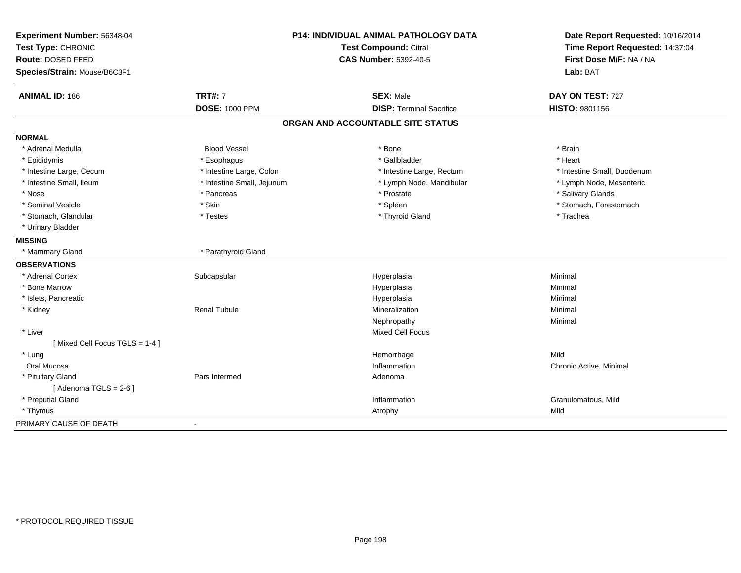| Experiment Number: 56348-04   |                            | <b>P14: INDIVIDUAL ANIMAL PATHOLOGY DATA</b> | Date Report Requested: 10/16/2014 |
|-------------------------------|----------------------------|----------------------------------------------|-----------------------------------|
| Test Type: CHRONIC            | Test Compound: Citral      |                                              | Time Report Requested: 14:37:04   |
| Route: DOSED FEED             |                            | <b>CAS Number: 5392-40-5</b>                 | First Dose M/F: NA / NA           |
| Species/Strain: Mouse/B6C3F1  |                            |                                              | Lab: BAT                          |
| <b>ANIMAL ID: 186</b>         | <b>TRT#: 7</b>             | <b>SEX: Male</b>                             | DAY ON TEST: 727                  |
|                               | <b>DOSE: 1000 PPM</b>      | <b>DISP: Terminal Sacrifice</b>              | HISTO: 9801156                    |
|                               |                            | ORGAN AND ACCOUNTABLE SITE STATUS            |                                   |
| <b>NORMAL</b>                 |                            |                                              |                                   |
| * Adrenal Medulla             | <b>Blood Vessel</b>        | * Bone                                       | * Brain                           |
| * Epididymis                  | * Esophagus                | * Gallbladder                                | * Heart                           |
| * Intestine Large, Cecum      | * Intestine Large, Colon   | * Intestine Large, Rectum                    | * Intestine Small, Duodenum       |
| * Intestine Small, Ileum      | * Intestine Small, Jejunum | * Lymph Node, Mandibular                     | * Lymph Node, Mesenteric          |
| * Nose                        | * Pancreas                 | * Prostate                                   | * Salivary Glands                 |
| * Seminal Vesicle             | * Skin                     | * Spleen                                     | * Stomach, Forestomach            |
| * Stomach, Glandular          | * Testes                   | * Thyroid Gland                              | * Trachea                         |
| * Urinary Bladder             |                            |                                              |                                   |
| <b>MISSING</b>                |                            |                                              |                                   |
| * Mammary Gland               | * Parathyroid Gland        |                                              |                                   |
| <b>OBSERVATIONS</b>           |                            |                                              |                                   |
| * Adrenal Cortex              | Subcapsular                | Hyperplasia                                  | Minimal                           |
| * Bone Marrow                 |                            | Hyperplasia                                  | Minimal                           |
| * Islets, Pancreatic          |                            | Hyperplasia                                  | Minimal                           |
| * Kidney                      | <b>Renal Tubule</b>        | Mineralization                               | Minimal                           |
|                               |                            | Nephropathy                                  | Minimal                           |
| * Liver                       |                            | Mixed Cell Focus                             |                                   |
| [Mixed Cell Focus TGLS = 1-4] |                            |                                              |                                   |
| * Lung                        |                            | Hemorrhage                                   | Mild                              |
| Oral Mucosa                   |                            | Inflammation                                 | Chronic Active, Minimal           |
| * Pituitary Gland             | Pars Intermed              | Adenoma                                      |                                   |
| [Adenoma TGLS = $2-6$ ]       |                            |                                              |                                   |
| * Preputial Gland             |                            | Inflammation                                 | Granulomatous, Mild               |
| * Thymus                      |                            | Atrophy                                      | Mild                              |
| PRIMARY CAUSE OF DEATH        | $\blacksquare$             |                                              |                                   |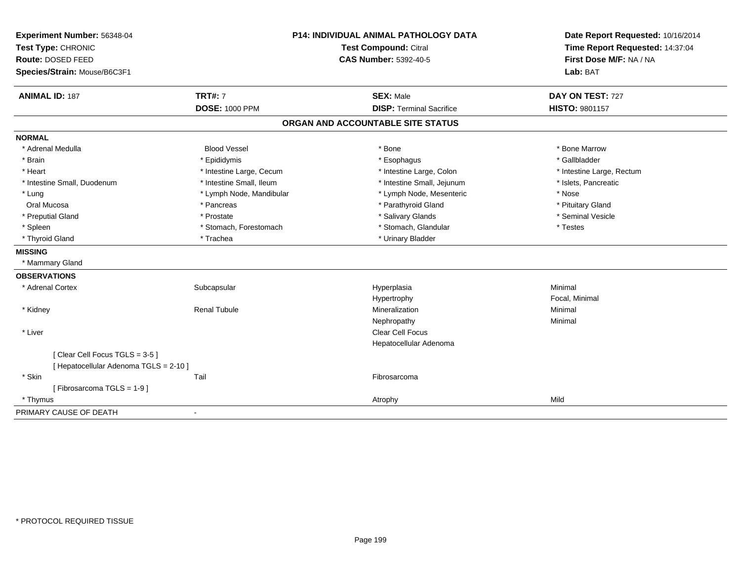| Experiment Number: 56348-04<br>Test Type: CHRONIC<br>Route: DOSED FEED<br>Species/Strain: Mouse/B6C3F1 | P14: INDIVIDUAL ANIMAL PATHOLOGY DATA<br><b>Test Compound: Citral</b><br><b>CAS Number: 5392-40-5</b> |                                                     | Date Report Requested: 10/16/2014<br>Time Report Requested: 14:37:04<br>First Dose M/F: NA / NA<br>Lab: BAT |  |
|--------------------------------------------------------------------------------------------------------|-------------------------------------------------------------------------------------------------------|-----------------------------------------------------|-------------------------------------------------------------------------------------------------------------|--|
| <b>ANIMAL ID: 187</b>                                                                                  | <b>TRT#: 7</b><br><b>DOSE: 1000 PPM</b>                                                               | <b>SEX: Male</b><br><b>DISP: Terminal Sacrifice</b> | DAY ON TEST: 727<br><b>HISTO: 9801157</b>                                                                   |  |
|                                                                                                        |                                                                                                       |                                                     |                                                                                                             |  |
|                                                                                                        |                                                                                                       | ORGAN AND ACCOUNTABLE SITE STATUS                   |                                                                                                             |  |
| <b>NORMAL</b>                                                                                          |                                                                                                       |                                                     |                                                                                                             |  |
| * Adrenal Medulla                                                                                      | <b>Blood Vessel</b>                                                                                   | * Bone                                              | * Bone Marrow                                                                                               |  |
| * Brain                                                                                                | * Epididymis                                                                                          | * Esophagus                                         | * Gallbladder                                                                                               |  |
| * Heart                                                                                                | * Intestine Large, Cecum                                                                              | * Intestine Large, Colon                            | * Intestine Large, Rectum                                                                                   |  |
| * Intestine Small, Duodenum                                                                            | * Intestine Small, Ileum                                                                              | * Intestine Small, Jejunum                          | * Islets, Pancreatic                                                                                        |  |
| * Lung                                                                                                 | * Lymph Node, Mandibular                                                                              | * Lymph Node, Mesenteric                            | * Nose                                                                                                      |  |
| Oral Mucosa                                                                                            | * Pancreas                                                                                            | * Parathyroid Gland                                 | * Pituitary Gland                                                                                           |  |
| * Preputial Gland                                                                                      | * Prostate                                                                                            | * Salivary Glands                                   | * Seminal Vesicle                                                                                           |  |
| * Spleen                                                                                               | * Stomach, Forestomach                                                                                | * Stomach, Glandular                                | * Testes                                                                                                    |  |
| * Thyroid Gland                                                                                        | * Trachea                                                                                             | * Urinary Bladder                                   |                                                                                                             |  |
| <b>MISSING</b>                                                                                         |                                                                                                       |                                                     |                                                                                                             |  |
| * Mammary Gland                                                                                        |                                                                                                       |                                                     |                                                                                                             |  |
| <b>OBSERVATIONS</b>                                                                                    |                                                                                                       |                                                     |                                                                                                             |  |
| * Adrenal Cortex                                                                                       | Subcapsular                                                                                           | Hyperplasia                                         | Minimal                                                                                                     |  |
|                                                                                                        |                                                                                                       | Hypertrophy                                         | Focal, Minimal                                                                                              |  |
| * Kidney                                                                                               | <b>Renal Tubule</b>                                                                                   | Mineralization                                      | Minimal                                                                                                     |  |
|                                                                                                        |                                                                                                       | Nephropathy                                         | Minimal                                                                                                     |  |
| * Liver                                                                                                |                                                                                                       | Clear Cell Focus                                    |                                                                                                             |  |
|                                                                                                        |                                                                                                       | Hepatocellular Adenoma                              |                                                                                                             |  |
| [Clear Cell Focus TGLS = 3-5]                                                                          |                                                                                                       |                                                     |                                                                                                             |  |
| [ Hepatocellular Adenoma TGLS = 2-10 ]                                                                 |                                                                                                       |                                                     |                                                                                                             |  |
| * Skin                                                                                                 | Tail                                                                                                  | Fibrosarcoma                                        |                                                                                                             |  |
| [Fibrosarcoma TGLS = 1-9]                                                                              |                                                                                                       |                                                     |                                                                                                             |  |
| * Thymus                                                                                               |                                                                                                       | Atrophy                                             | Mild                                                                                                        |  |
| PRIMARY CAUSE OF DEATH                                                                                 |                                                                                                       |                                                     |                                                                                                             |  |
|                                                                                                        |                                                                                                       |                                                     |                                                                                                             |  |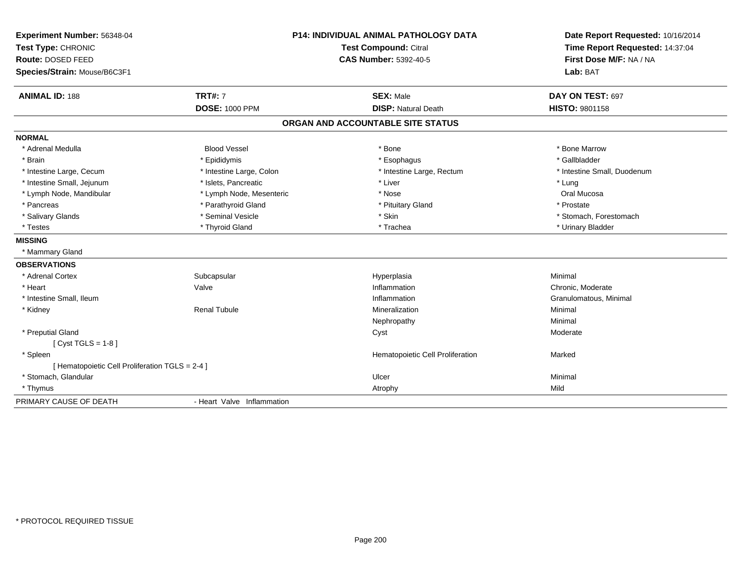| Experiment Number: 56348-04                     |                            | <b>P14: INDIVIDUAL ANIMAL PATHOLOGY DATA</b> | Date Report Requested: 10/16/2014                          |
|-------------------------------------------------|----------------------------|----------------------------------------------|------------------------------------------------------------|
| Test Type: CHRONIC                              |                            | <b>Test Compound: Citral</b>                 | Time Report Requested: 14:37:04<br>First Dose M/F: NA / NA |
| Route: DOSED FEED                               |                            | <b>CAS Number: 5392-40-5</b>                 |                                                            |
| Species/Strain: Mouse/B6C3F1                    |                            |                                              | Lab: BAT                                                   |
| <b>ANIMAL ID: 188</b>                           | <b>TRT#: 7</b>             | <b>SEX: Male</b>                             | DAY ON TEST: 697                                           |
|                                                 | <b>DOSE: 1000 PPM</b>      | <b>DISP: Natural Death</b>                   | <b>HISTO: 9801158</b>                                      |
|                                                 |                            | ORGAN AND ACCOUNTABLE SITE STATUS            |                                                            |
| <b>NORMAL</b>                                   |                            |                                              |                                                            |
| * Adrenal Medulla                               | <b>Blood Vessel</b>        | * Bone                                       | * Bone Marrow                                              |
| * Brain                                         | * Epididymis               | * Esophagus                                  | * Gallbladder                                              |
| * Intestine Large, Cecum                        | * Intestine Large, Colon   | * Intestine Large, Rectum                    | * Intestine Small, Duodenum                                |
| * Intestine Small, Jejunum                      | * Islets, Pancreatic       | * Liver                                      | * Lung                                                     |
| * Lymph Node, Mandibular                        | * Lymph Node, Mesenteric   | * Nose                                       | Oral Mucosa                                                |
| * Pancreas                                      | * Parathyroid Gland        | * Pituitary Gland                            | * Prostate                                                 |
| * Salivary Glands                               | * Seminal Vesicle          | * Skin                                       | * Stomach, Forestomach                                     |
| * Testes                                        | * Thyroid Gland            | * Trachea                                    | * Urinary Bladder                                          |
| <b>MISSING</b>                                  |                            |                                              |                                                            |
| * Mammary Gland                                 |                            |                                              |                                                            |
| <b>OBSERVATIONS</b>                             |                            |                                              |                                                            |
| * Adrenal Cortex                                | Subcapsular                | Hyperplasia                                  | Minimal                                                    |
| * Heart                                         | Valve                      | Inflammation                                 | Chronic, Moderate                                          |
| * Intestine Small, Ileum                        |                            | Inflammation                                 | Granulomatous, Minimal                                     |
| * Kidney                                        | <b>Renal Tubule</b>        | Mineralization                               | Minimal                                                    |
|                                                 |                            | Nephropathy                                  | Minimal                                                    |
| * Preputial Gland                               |                            | Cyst                                         | Moderate                                                   |
| [ $Cyst TGLS = 1-8$ ]                           |                            |                                              |                                                            |
| * Spleen                                        |                            | Hematopoietic Cell Proliferation             | Marked                                                     |
| [ Hematopoietic Cell Proliferation TGLS = 2-4 ] |                            |                                              |                                                            |
| * Stomach, Glandular                            |                            | Ulcer                                        | Minimal                                                    |
| * Thymus                                        |                            | Atrophy                                      | Mild                                                       |
| PRIMARY CAUSE OF DEATH                          | - Heart Valve Inflammation |                                              |                                                            |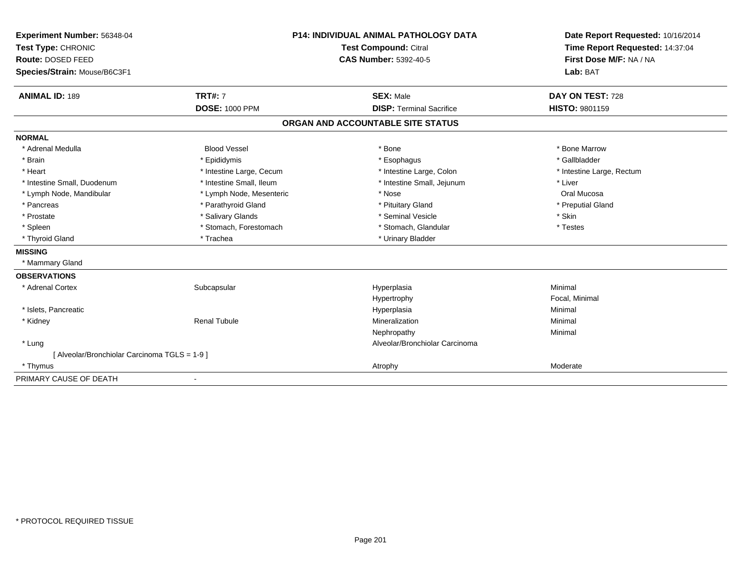| Experiment Number: 56348-04                 | <b>P14: INDIVIDUAL ANIMAL PATHOLOGY DATA</b> |                                   | Date Report Requested: 10/16/2014 |
|---------------------------------------------|----------------------------------------------|-----------------------------------|-----------------------------------|
| Test Type: CHRONIC                          |                                              | Test Compound: Citral             | Time Report Requested: 14:37:04   |
| Route: DOSED FEED                           |                                              | <b>CAS Number: 5392-40-5</b>      | First Dose M/F: NA / NA           |
| Species/Strain: Mouse/B6C3F1                |                                              |                                   | Lab: BAT                          |
| <b>ANIMAL ID: 189</b>                       | <b>TRT#: 7</b>                               | <b>SEX: Male</b>                  | DAY ON TEST: 728                  |
|                                             | <b>DOSE: 1000 PPM</b>                        | <b>DISP: Terminal Sacrifice</b>   | <b>HISTO: 9801159</b>             |
|                                             |                                              | ORGAN AND ACCOUNTABLE SITE STATUS |                                   |
| <b>NORMAL</b>                               |                                              |                                   |                                   |
| * Adrenal Medulla                           | <b>Blood Vessel</b>                          | * Bone                            | * Bone Marrow                     |
| * Brain                                     | * Epididymis                                 | * Esophagus                       | * Gallbladder                     |
| * Heart                                     | * Intestine Large, Cecum                     | * Intestine Large, Colon          | * Intestine Large, Rectum         |
| * Intestine Small, Duodenum                 | * Intestine Small, Ileum                     | * Intestine Small, Jejunum        | * Liver                           |
| * Lymph Node, Mandibular                    | * Lymph Node, Mesenteric                     | * Nose                            | Oral Mucosa                       |
| * Pancreas                                  | * Parathyroid Gland                          | * Pituitary Gland                 | * Preputial Gland                 |
| * Prostate                                  | * Salivary Glands                            | * Seminal Vesicle                 | * Skin                            |
| * Spleen                                    | * Stomach, Forestomach                       | * Stomach, Glandular              | * Testes                          |
| * Thyroid Gland                             | * Trachea                                    | * Urinary Bladder                 |                                   |
| <b>MISSING</b>                              |                                              |                                   |                                   |
| * Mammary Gland                             |                                              |                                   |                                   |
| <b>OBSERVATIONS</b>                         |                                              |                                   |                                   |
| * Adrenal Cortex                            | Subcapsular                                  | Hyperplasia                       | Minimal                           |
|                                             |                                              | Hypertrophy                       | Focal, Minimal                    |
| * Islets, Pancreatic                        |                                              | Hyperplasia                       | Minimal                           |
| * Kidney                                    | <b>Renal Tubule</b>                          | Mineralization                    | Minimal                           |
|                                             |                                              | Nephropathy                       | Minimal                           |
| * Lung                                      |                                              | Alveolar/Bronchiolar Carcinoma    |                                   |
| [Alveolar/Bronchiolar Carcinoma TGLS = 1-9] |                                              |                                   |                                   |
| * Thymus                                    |                                              | Atrophy                           | Moderate                          |
| PRIMARY CAUSE OF DEATH                      |                                              |                                   |                                   |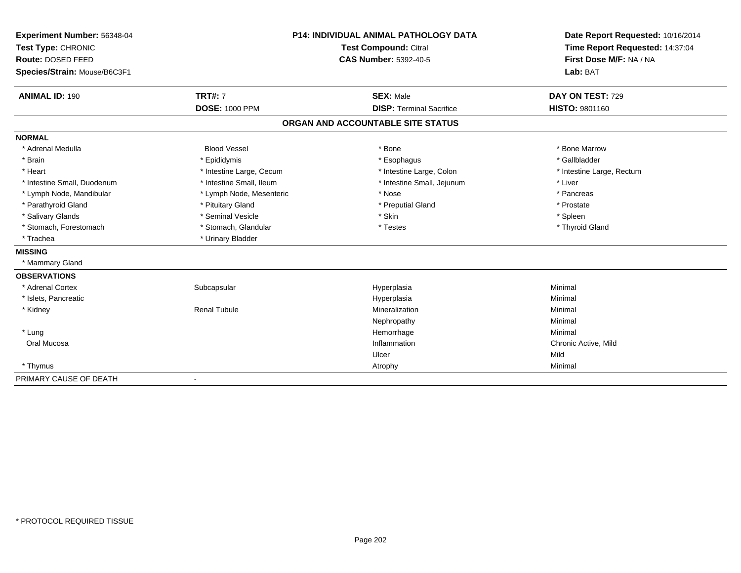| Experiment Number: 56348-04  | <b>P14: INDIVIDUAL ANIMAL PATHOLOGY DATA</b><br><b>Test Compound: Citral</b> |                                   | Date Report Requested: 10/16/2014 |
|------------------------------|------------------------------------------------------------------------------|-----------------------------------|-----------------------------------|
| Test Type: CHRONIC           |                                                                              |                                   | Time Report Requested: 14:37:04   |
| <b>Route: DOSED FEED</b>     |                                                                              | <b>CAS Number: 5392-40-5</b>      | First Dose M/F: NA / NA           |
| Species/Strain: Mouse/B6C3F1 |                                                                              |                                   | Lab: BAT                          |
| <b>ANIMAL ID: 190</b>        | <b>TRT#: 7</b>                                                               | <b>SEX: Male</b>                  | DAY ON TEST: 729                  |
|                              | <b>DOSE: 1000 PPM</b>                                                        | <b>DISP: Terminal Sacrifice</b>   | HISTO: 9801160                    |
|                              |                                                                              | ORGAN AND ACCOUNTABLE SITE STATUS |                                   |
| <b>NORMAL</b>                |                                                                              |                                   |                                   |
| * Adrenal Medulla            | <b>Blood Vessel</b>                                                          | * Bone                            | * Bone Marrow                     |
| * Brain                      | * Epididymis                                                                 | * Esophagus                       | * Gallbladder                     |
| * Heart                      | * Intestine Large, Cecum                                                     | * Intestine Large, Colon          | * Intestine Large, Rectum         |
| * Intestine Small, Duodenum  | * Intestine Small, Ileum                                                     | * Intestine Small, Jejunum        | * Liver                           |
| * Lymph Node, Mandibular     | * Lymph Node, Mesenteric                                                     | * Nose                            | * Pancreas                        |
| * Parathyroid Gland          | * Pituitary Gland                                                            | * Preputial Gland                 | * Prostate                        |
| * Salivary Glands            | * Seminal Vesicle                                                            | * Skin                            | * Spleen                          |
| * Stomach, Forestomach       | * Stomach, Glandular                                                         | * Testes                          | * Thyroid Gland                   |
| * Trachea                    | * Urinary Bladder                                                            |                                   |                                   |
| <b>MISSING</b>               |                                                                              |                                   |                                   |
| * Mammary Gland              |                                                                              |                                   |                                   |
| <b>OBSERVATIONS</b>          |                                                                              |                                   |                                   |
| * Adrenal Cortex             | Subcapsular                                                                  | Hyperplasia                       | Minimal                           |
| * Islets, Pancreatic         |                                                                              | Hyperplasia                       | Minimal                           |
| * Kidney                     | <b>Renal Tubule</b>                                                          | Mineralization                    | Minimal                           |
|                              |                                                                              | Nephropathy                       | Minimal                           |
| * Lung                       |                                                                              | Hemorrhage                        | Minimal                           |
| Oral Mucosa                  |                                                                              | Inflammation                      | Chronic Active, Mild              |
|                              |                                                                              | Ulcer                             | Mild                              |
| * Thymus                     |                                                                              | Atrophy                           | Minimal                           |
| PRIMARY CAUSE OF DEATH       |                                                                              |                                   |                                   |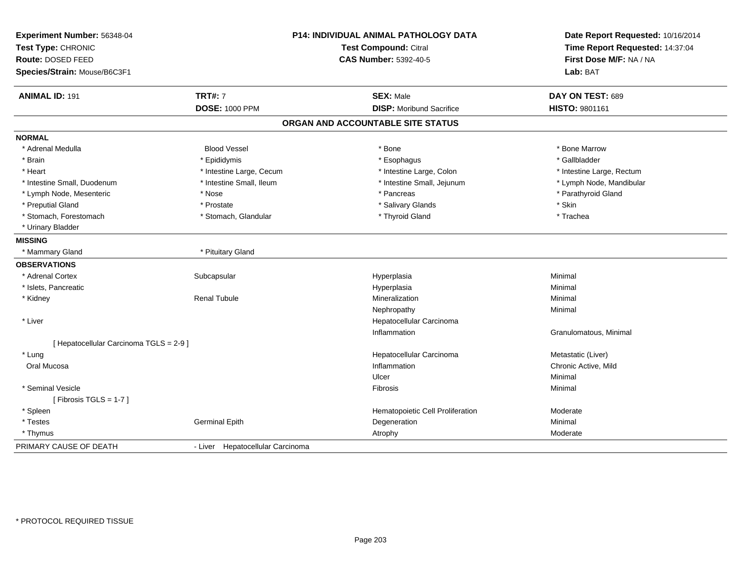| Experiment Number: 56348-04<br>Test Type: CHRONIC<br>Route: DOSED FEED<br>Species/Strain: Mouse/B6C3F1 |                                  | P14: INDIVIDUAL ANIMAL PATHOLOGY DATA<br><b>Test Compound: Citral</b><br><b>CAS Number: 5392-40-5</b> | Date Report Requested: 10/16/2014<br>Time Report Requested: 14:37:04<br>First Dose M/F: NA / NA<br>Lab: BAT |
|--------------------------------------------------------------------------------------------------------|----------------------------------|-------------------------------------------------------------------------------------------------------|-------------------------------------------------------------------------------------------------------------|
|                                                                                                        |                                  |                                                                                                       |                                                                                                             |
| <b>ANIMAL ID: 191</b>                                                                                  | <b>TRT#: 7</b>                   | <b>SEX: Male</b>                                                                                      | DAY ON TEST: 689                                                                                            |
|                                                                                                        | <b>DOSE: 1000 PPM</b>            | <b>DISP:</b> Moribund Sacrifice                                                                       | HISTO: 9801161                                                                                              |
|                                                                                                        |                                  | ORGAN AND ACCOUNTABLE SITE STATUS                                                                     |                                                                                                             |
| <b>NORMAL</b>                                                                                          |                                  |                                                                                                       |                                                                                                             |
| * Adrenal Medulla                                                                                      | <b>Blood Vessel</b>              | * Bone                                                                                                | * Bone Marrow                                                                                               |
| * Brain                                                                                                | * Epididymis                     | * Esophagus                                                                                           | * Gallbladder                                                                                               |
| * Heart                                                                                                | * Intestine Large, Cecum         | * Intestine Large, Colon                                                                              | * Intestine Large, Rectum                                                                                   |
| * Intestine Small, Duodenum                                                                            | * Intestine Small, Ileum         | * Intestine Small, Jejunum                                                                            | * Lymph Node, Mandibular                                                                                    |
| * Lymph Node, Mesenteric                                                                               | * Nose                           | * Pancreas                                                                                            | * Parathyroid Gland                                                                                         |
| * Preputial Gland                                                                                      | * Prostate                       | * Salivary Glands                                                                                     | * Skin                                                                                                      |
| * Stomach, Forestomach                                                                                 | * Stomach, Glandular             | * Thyroid Gland                                                                                       | * Trachea                                                                                                   |
| * Urinary Bladder                                                                                      |                                  |                                                                                                       |                                                                                                             |
| <b>MISSING</b>                                                                                         |                                  |                                                                                                       |                                                                                                             |
| * Mammary Gland                                                                                        | * Pituitary Gland                |                                                                                                       |                                                                                                             |
| <b>OBSERVATIONS</b>                                                                                    |                                  |                                                                                                       |                                                                                                             |
| * Adrenal Cortex                                                                                       | Subcapsular                      | Hyperplasia                                                                                           | Minimal                                                                                                     |
| * Islets, Pancreatic                                                                                   |                                  | Hyperplasia                                                                                           | Minimal                                                                                                     |
| * Kidney                                                                                               | <b>Renal Tubule</b>              | Mineralization                                                                                        | Minimal                                                                                                     |
|                                                                                                        |                                  | Nephropathy                                                                                           | Minimal                                                                                                     |
| * Liver                                                                                                |                                  | Hepatocellular Carcinoma                                                                              |                                                                                                             |
|                                                                                                        |                                  | Inflammation                                                                                          | Granulomatous, Minimal                                                                                      |
| [ Hepatocellular Carcinoma TGLS = 2-9 ]                                                                |                                  |                                                                                                       |                                                                                                             |
| * Lung                                                                                                 |                                  | Hepatocellular Carcinoma                                                                              | Metastatic (Liver)                                                                                          |
| Oral Mucosa                                                                                            |                                  | Inflammation                                                                                          | Chronic Active, Mild                                                                                        |
|                                                                                                        |                                  | Ulcer                                                                                                 | Minimal                                                                                                     |
| * Seminal Vesicle                                                                                      |                                  | Fibrosis                                                                                              | Minimal                                                                                                     |
| [Fibrosis TGLS = $1-7$ ]                                                                               |                                  |                                                                                                       |                                                                                                             |
| * Spleen                                                                                               |                                  | Hematopoietic Cell Proliferation                                                                      | Moderate                                                                                                    |
| * Testes                                                                                               | <b>Germinal Epith</b>            | Degeneration                                                                                          | Minimal                                                                                                     |
| * Thymus                                                                                               |                                  | Atrophy                                                                                               | Moderate                                                                                                    |
| PRIMARY CAUSE OF DEATH                                                                                 | - Liver Hepatocellular Carcinoma |                                                                                                       |                                                                                                             |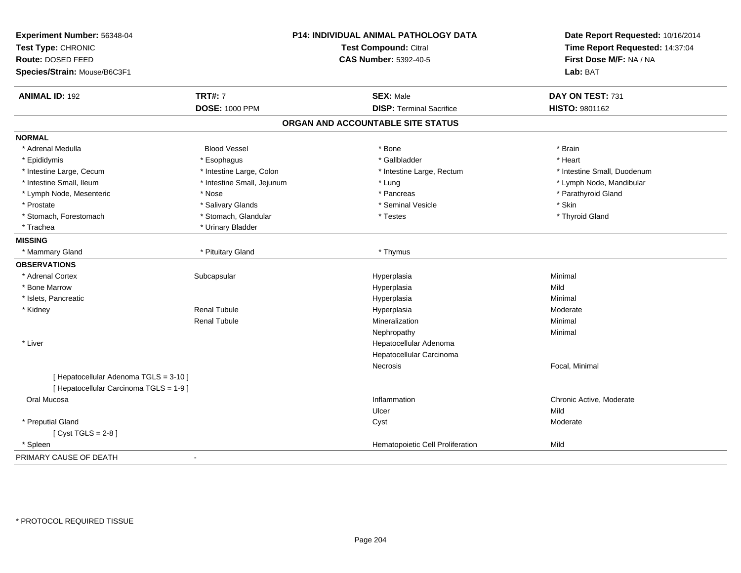| Experiment Number: 56348-04<br>Test Type: CHRONIC<br>Route: DOSED FEED<br>Species/Strain: Mouse/B6C3F1 |                            | P14: INDIVIDUAL ANIMAL PATHOLOGY DATA<br>Test Compound: Citral<br><b>CAS Number: 5392-40-5</b> | Date Report Requested: 10/16/2014<br>Time Report Requested: 14:37:04<br>First Dose M/F: NA / NA<br>Lab: BAT |
|--------------------------------------------------------------------------------------------------------|----------------------------|------------------------------------------------------------------------------------------------|-------------------------------------------------------------------------------------------------------------|
| <b>ANIMAL ID: 192</b>                                                                                  | <b>TRT#: 7</b>             | <b>SEX: Male</b>                                                                               | DAY ON TEST: 731                                                                                            |
|                                                                                                        | <b>DOSE: 1000 PPM</b>      | <b>DISP: Terminal Sacrifice</b>                                                                | HISTO: 9801162                                                                                              |
|                                                                                                        |                            | ORGAN AND ACCOUNTABLE SITE STATUS                                                              |                                                                                                             |
| <b>NORMAL</b>                                                                                          |                            |                                                                                                |                                                                                                             |
| * Adrenal Medulla                                                                                      | <b>Blood Vessel</b>        | * Bone                                                                                         | * Brain                                                                                                     |
| * Epididymis                                                                                           | * Esophagus                | * Gallbladder                                                                                  | * Heart                                                                                                     |
| * Intestine Large, Cecum                                                                               | * Intestine Large, Colon   | * Intestine Large, Rectum                                                                      | * Intestine Small, Duodenum                                                                                 |
| * Intestine Small, Ileum                                                                               | * Intestine Small, Jejunum | * Lung                                                                                         | * Lymph Node, Mandibular                                                                                    |
| * Lymph Node, Mesenteric                                                                               | * Nose                     | * Pancreas                                                                                     | * Parathyroid Gland                                                                                         |
| * Prostate                                                                                             | * Salivary Glands          | * Seminal Vesicle                                                                              | * Skin                                                                                                      |
| * Stomach, Forestomach                                                                                 | * Stomach, Glandular       | * Testes                                                                                       | * Thyroid Gland                                                                                             |
| * Trachea                                                                                              | * Urinary Bladder          |                                                                                                |                                                                                                             |
| <b>MISSING</b>                                                                                         |                            |                                                                                                |                                                                                                             |
| * Mammary Gland                                                                                        | * Pituitary Gland          | * Thymus                                                                                       |                                                                                                             |
| <b>OBSERVATIONS</b>                                                                                    |                            |                                                                                                |                                                                                                             |
| * Adrenal Cortex                                                                                       | Subcapsular                | Hyperplasia                                                                                    | Minimal                                                                                                     |
| * Bone Marrow                                                                                          |                            | Hyperplasia                                                                                    | Mild                                                                                                        |
| * Islets, Pancreatic                                                                                   |                            | Hyperplasia                                                                                    | Minimal                                                                                                     |
| * Kidney                                                                                               | <b>Renal Tubule</b>        | Hyperplasia                                                                                    | Moderate                                                                                                    |
|                                                                                                        | <b>Renal Tubule</b>        | Mineralization                                                                                 | Minimal                                                                                                     |
|                                                                                                        |                            | Nephropathy                                                                                    | Minimal                                                                                                     |
| * Liver                                                                                                |                            | Hepatocellular Adenoma                                                                         |                                                                                                             |
|                                                                                                        |                            | Hepatocellular Carcinoma                                                                       |                                                                                                             |
|                                                                                                        |                            | Necrosis                                                                                       | Focal, Minimal                                                                                              |
| [ Hepatocellular Adenoma TGLS = 3-10 ]                                                                 |                            |                                                                                                |                                                                                                             |
| [ Hepatocellular Carcinoma TGLS = 1-9 ]                                                                |                            |                                                                                                |                                                                                                             |
| Oral Mucosa                                                                                            |                            | Inflammation                                                                                   | Chronic Active, Moderate                                                                                    |
|                                                                                                        |                            | Ulcer                                                                                          | Mild                                                                                                        |
| * Preputial Gland                                                                                      |                            | Cyst                                                                                           | Moderate                                                                                                    |
| [Cyst TGLS = $2-8$ ]                                                                                   |                            |                                                                                                |                                                                                                             |
| * Spleen                                                                                               |                            | Hematopoietic Cell Proliferation                                                               | Mild                                                                                                        |
| PRIMARY CAUSE OF DEATH                                                                                 | $\sim$                     |                                                                                                |                                                                                                             |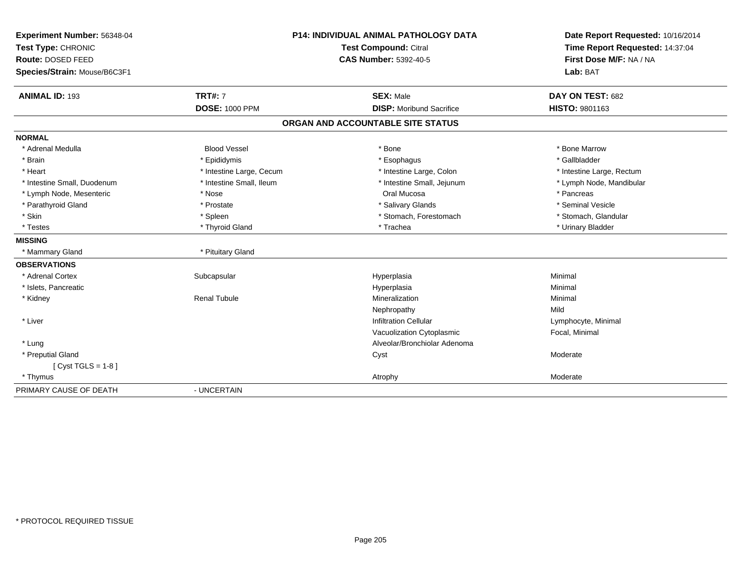| Experiment Number: 56348-04  |                          | <b>P14: INDIVIDUAL ANIMAL PATHOLOGY DATA</b> | Date Report Requested: 10/16/2014 |
|------------------------------|--------------------------|----------------------------------------------|-----------------------------------|
| Test Type: CHRONIC           |                          | <b>Test Compound: Citral</b>                 | Time Report Requested: 14:37:04   |
| Route: DOSED FEED            |                          | <b>CAS Number: 5392-40-5</b>                 | First Dose M/F: NA / NA           |
| Species/Strain: Mouse/B6C3F1 |                          |                                              | Lab: BAT                          |
| <b>ANIMAL ID: 193</b>        | <b>TRT#: 7</b>           | <b>SEX: Male</b>                             | DAY ON TEST: 682                  |
|                              | <b>DOSE: 1000 PPM</b>    | <b>DISP: Moribund Sacrifice</b>              | HISTO: 9801163                    |
|                              |                          | ORGAN AND ACCOUNTABLE SITE STATUS            |                                   |
| <b>NORMAL</b>                |                          |                                              |                                   |
| * Adrenal Medulla            | <b>Blood Vessel</b>      | * Bone                                       | * Bone Marrow                     |
| * Brain                      | * Epididymis             | * Esophagus                                  | * Gallbladder                     |
| * Heart                      | * Intestine Large, Cecum | * Intestine Large, Colon                     | * Intestine Large, Rectum         |
| * Intestine Small, Duodenum  | * Intestine Small, Ileum | * Intestine Small, Jejunum                   | * Lymph Node, Mandibular          |
| * Lymph Node, Mesenteric     | * Nose                   | Oral Mucosa                                  | * Pancreas                        |
| * Parathyroid Gland          | * Prostate               | * Salivary Glands                            | * Seminal Vesicle                 |
| * Skin                       | * Spleen                 | * Stomach, Forestomach                       | * Stomach, Glandular              |
| * Testes                     | * Thyroid Gland          | * Trachea                                    | * Urinary Bladder                 |
| <b>MISSING</b>               |                          |                                              |                                   |
| * Mammary Gland              | * Pituitary Gland        |                                              |                                   |
| <b>OBSERVATIONS</b>          |                          |                                              |                                   |
| * Adrenal Cortex             | Subcapsular              | Hyperplasia                                  | Minimal                           |
| * Islets, Pancreatic         |                          | Hyperplasia                                  | Minimal                           |
| * Kidney                     | <b>Renal Tubule</b>      | Mineralization                               | Minimal                           |
|                              |                          | Nephropathy                                  | Mild                              |
| * Liver                      |                          | <b>Infiltration Cellular</b>                 | Lymphocyte, Minimal               |
|                              |                          | Vacuolization Cytoplasmic                    | Focal, Minimal                    |
| * Lung                       |                          | Alveolar/Bronchiolar Adenoma                 |                                   |
| * Preputial Gland            |                          | Cyst                                         | Moderate                          |
| [Cyst TGLS = $1-8$ ]         |                          |                                              |                                   |
| * Thymus                     |                          | Atrophy                                      | Moderate                          |
| PRIMARY CAUSE OF DEATH       | - UNCERTAIN              |                                              |                                   |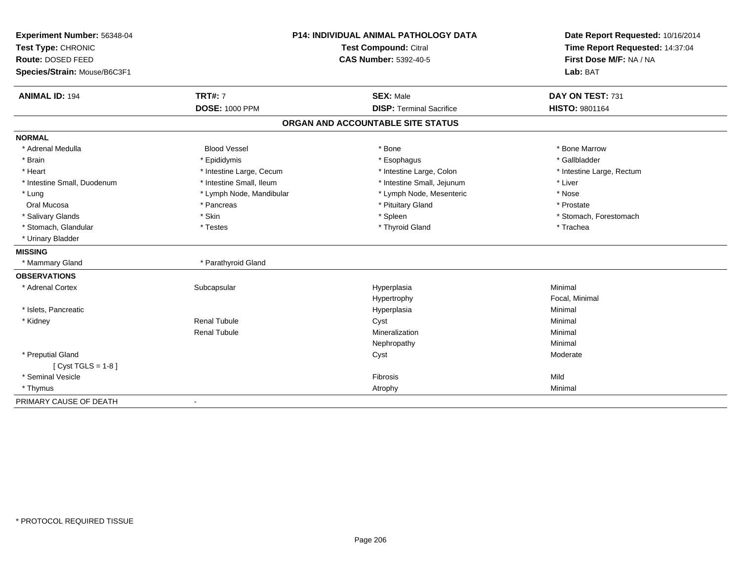| Experiment Number: 56348-04  |                              | <b>P14: INDIVIDUAL ANIMAL PATHOLOGY DATA</b> | Date Report Requested: 10/16/2014 |
|------------------------------|------------------------------|----------------------------------------------|-----------------------------------|
| Test Type: CHRONIC           | <b>Test Compound: Citral</b> |                                              | Time Report Requested: 14:37:04   |
| Route: DOSED FEED            |                              | <b>CAS Number: 5392-40-5</b>                 | First Dose M/F: NA / NA           |
| Species/Strain: Mouse/B6C3F1 |                              |                                              | Lab: BAT                          |
| <b>ANIMAL ID: 194</b>        | <b>TRT#: 7</b>               | <b>SEX: Male</b>                             | DAY ON TEST: 731                  |
|                              | <b>DOSE: 1000 PPM</b>        | <b>DISP: Terminal Sacrifice</b>              | <b>HISTO: 9801164</b>             |
|                              |                              | ORGAN AND ACCOUNTABLE SITE STATUS            |                                   |
| <b>NORMAL</b>                |                              |                                              |                                   |
| * Adrenal Medulla            | <b>Blood Vessel</b>          | * Bone                                       | * Bone Marrow                     |
| * Brain                      | * Epididymis                 | * Esophagus                                  | * Gallbladder                     |
| * Heart                      | * Intestine Large, Cecum     | * Intestine Large, Colon                     | * Intestine Large, Rectum         |
| * Intestine Small, Duodenum  | * Intestine Small, Ileum     | * Intestine Small, Jejunum                   | * Liver                           |
| * Lung                       | * Lymph Node, Mandibular     | * Lymph Node, Mesenteric                     | * Nose                            |
| Oral Mucosa                  | * Pancreas                   | * Pituitary Gland                            | * Prostate                        |
| * Salivary Glands            | * Skin                       | * Spleen                                     | * Stomach, Forestomach            |
| * Stomach, Glandular         | * Testes                     | * Thyroid Gland                              | * Trachea                         |
| * Urinary Bladder            |                              |                                              |                                   |
| <b>MISSING</b>               |                              |                                              |                                   |
| * Mammary Gland              | * Parathyroid Gland          |                                              |                                   |
| <b>OBSERVATIONS</b>          |                              |                                              |                                   |
| * Adrenal Cortex             | Subcapsular                  | Hyperplasia                                  | Minimal                           |
|                              |                              | Hypertrophy                                  | Focal, Minimal                    |
| * Islets, Pancreatic         |                              | Hyperplasia                                  | Minimal                           |
| * Kidney                     | <b>Renal Tubule</b>          | Cyst                                         | Minimal                           |
|                              | <b>Renal Tubule</b>          | Mineralization                               | Minimal                           |
|                              |                              | Nephropathy                                  | Minimal                           |
| * Preputial Gland            |                              | Cyst                                         | Moderate                          |
| [Cyst TGLS = $1-8$ ]         |                              |                                              |                                   |
| * Seminal Vesicle            |                              | Fibrosis                                     | Mild                              |
| * Thymus                     |                              | Atrophy                                      | Minimal                           |
| PRIMARY CAUSE OF DEATH       |                              |                                              |                                   |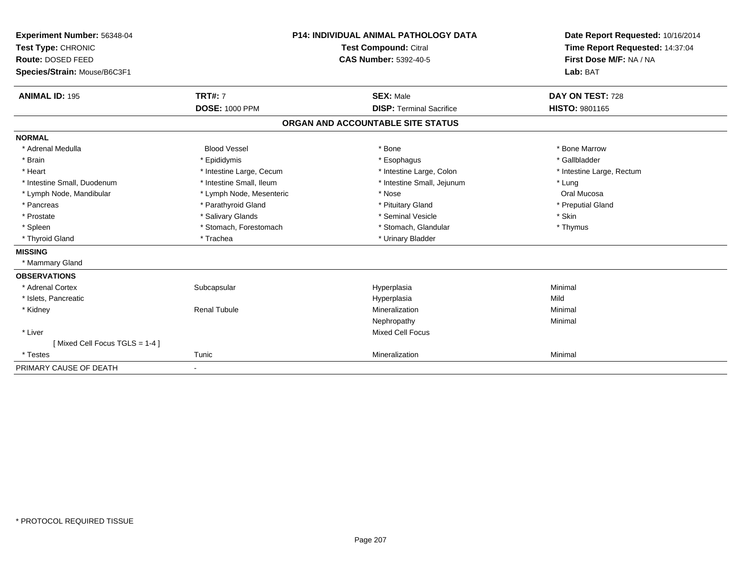| Experiment Number: 56348-04<br>Test Type: CHRONIC<br><b>Route: DOSED FEED</b><br>Species/Strain: Mouse/B6C3F1 |                          | <b>P14: INDIVIDUAL ANIMAL PATHOLOGY DATA</b><br><b>Test Compound: Citral</b><br><b>CAS Number: 5392-40-5</b> | Date Report Requested: 10/16/2014<br>Time Report Requested: 14:37:04<br>First Dose M/F: NA / NA<br>Lab: BAT |
|---------------------------------------------------------------------------------------------------------------|--------------------------|--------------------------------------------------------------------------------------------------------------|-------------------------------------------------------------------------------------------------------------|
| <b>ANIMAL ID: 195</b>                                                                                         | <b>TRT#: 7</b>           | <b>SEX: Male</b>                                                                                             | DAY ON TEST: 728                                                                                            |
|                                                                                                               | <b>DOSE: 1000 PPM</b>    | <b>DISP: Terminal Sacrifice</b>                                                                              | <b>HISTO: 9801165</b>                                                                                       |
|                                                                                                               |                          | ORGAN AND ACCOUNTABLE SITE STATUS                                                                            |                                                                                                             |
| <b>NORMAL</b>                                                                                                 |                          |                                                                                                              |                                                                                                             |
| * Adrenal Medulla                                                                                             | <b>Blood Vessel</b>      | * Bone                                                                                                       | * Bone Marrow                                                                                               |
| * Brain                                                                                                       | * Epididymis             | * Esophagus                                                                                                  | * Gallbladder                                                                                               |
| * Heart                                                                                                       | * Intestine Large, Cecum | * Intestine Large, Colon                                                                                     | * Intestine Large, Rectum                                                                                   |
| * Intestine Small, Duodenum                                                                                   | * Intestine Small, Ileum | * Intestine Small, Jejunum                                                                                   | * Lung                                                                                                      |
| * Lymph Node, Mandibular                                                                                      | * Lymph Node, Mesenteric | * Nose                                                                                                       | Oral Mucosa                                                                                                 |
| * Pancreas                                                                                                    | * Parathyroid Gland      | * Pituitary Gland                                                                                            | * Preputial Gland                                                                                           |
| * Prostate                                                                                                    | * Salivary Glands        | * Seminal Vesicle                                                                                            | * Skin                                                                                                      |
| * Spleen                                                                                                      | * Stomach, Forestomach   | * Stomach, Glandular                                                                                         | * Thymus                                                                                                    |
| * Thyroid Gland                                                                                               | * Trachea                | * Urinary Bladder                                                                                            |                                                                                                             |
| <b>MISSING</b>                                                                                                |                          |                                                                                                              |                                                                                                             |
| * Mammary Gland                                                                                               |                          |                                                                                                              |                                                                                                             |
| <b>OBSERVATIONS</b>                                                                                           |                          |                                                                                                              |                                                                                                             |
| * Adrenal Cortex                                                                                              | Subcapsular              | Hyperplasia                                                                                                  | Minimal                                                                                                     |
| * Islets, Pancreatic                                                                                          |                          | Hyperplasia                                                                                                  | Mild                                                                                                        |
| * Kidney                                                                                                      | <b>Renal Tubule</b>      | Mineralization                                                                                               | Minimal                                                                                                     |
|                                                                                                               |                          | Nephropathy                                                                                                  | Minimal                                                                                                     |
| * Liver                                                                                                       |                          | <b>Mixed Cell Focus</b>                                                                                      |                                                                                                             |
| [Mixed Cell Focus TGLS = 1-4]                                                                                 |                          |                                                                                                              |                                                                                                             |
| * Testes                                                                                                      | Tunic                    | Mineralization                                                                                               | Minimal                                                                                                     |
| PRIMARY CAUSE OF DEATH                                                                                        | $\blacksquare$           |                                                                                                              |                                                                                                             |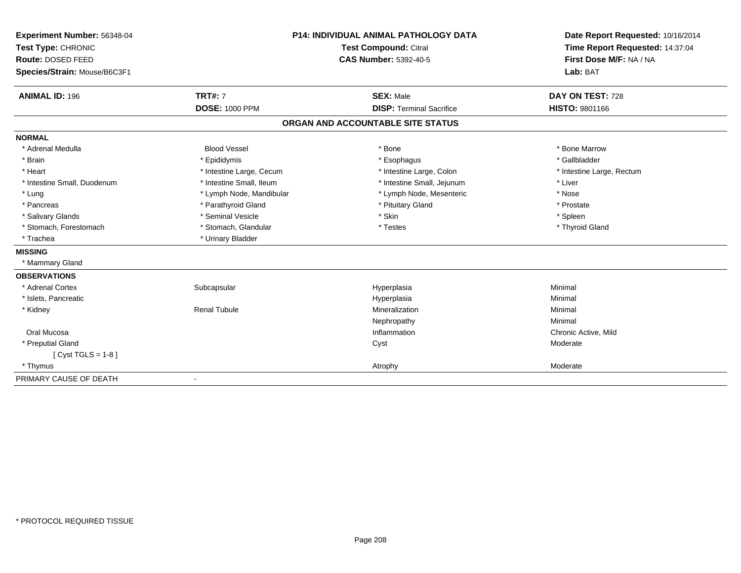| Experiment Number: 56348-04             | <b>P14: INDIVIDUAL ANIMAL PATHOLOGY DATA</b><br><b>Test Compound: Citral</b> |                                   | Date Report Requested: 10/16/2014<br>Time Report Requested: 14:37:04 |
|-----------------------------------------|------------------------------------------------------------------------------|-----------------------------------|----------------------------------------------------------------------|
| Test Type: CHRONIC<br>Route: DOSED FEED |                                                                              | <b>CAS Number: 5392-40-5</b>      | First Dose M/F: NA / NA                                              |
|                                         |                                                                              |                                   |                                                                      |
| Species/Strain: Mouse/B6C3F1            |                                                                              |                                   | Lab: BAT                                                             |
| <b>ANIMAL ID: 196</b>                   | <b>TRT#: 7</b>                                                               | <b>SEX: Male</b>                  | DAY ON TEST: 728                                                     |
|                                         | <b>DOSE: 1000 PPM</b>                                                        | <b>DISP: Terminal Sacrifice</b>   | <b>HISTO: 9801166</b>                                                |
|                                         |                                                                              | ORGAN AND ACCOUNTABLE SITE STATUS |                                                                      |
| <b>NORMAL</b>                           |                                                                              |                                   |                                                                      |
| * Adrenal Medulla                       | <b>Blood Vessel</b>                                                          | * Bone                            | * Bone Marrow                                                        |
| * Brain                                 | * Epididymis                                                                 | * Esophagus                       | * Gallbladder                                                        |
| * Heart                                 | * Intestine Large, Cecum                                                     | * Intestine Large, Colon          | * Intestine Large, Rectum                                            |
| * Intestine Small, Duodenum             | * Intestine Small, Ileum                                                     | * Intestine Small, Jejunum        | * Liver                                                              |
| * Lung                                  | * Lymph Node, Mandibular                                                     | * Lymph Node, Mesenteric          | * Nose                                                               |
| * Pancreas                              | * Parathyroid Gland                                                          | * Pituitary Gland                 | * Prostate                                                           |
| * Salivary Glands                       | * Seminal Vesicle                                                            | * Skin                            | * Spleen                                                             |
| * Stomach, Forestomach                  | * Stomach, Glandular                                                         | * Testes                          | * Thyroid Gland                                                      |
| * Trachea                               | * Urinary Bladder                                                            |                                   |                                                                      |
| <b>MISSING</b>                          |                                                                              |                                   |                                                                      |
| * Mammary Gland                         |                                                                              |                                   |                                                                      |
| <b>OBSERVATIONS</b>                     |                                                                              |                                   |                                                                      |
| * Adrenal Cortex                        | Subcapsular                                                                  | Hyperplasia                       | Minimal                                                              |
| * Islets, Pancreatic                    |                                                                              | Hyperplasia                       | Minimal                                                              |
| * Kidney                                | <b>Renal Tubule</b>                                                          | Mineralization                    | Minimal                                                              |
|                                         |                                                                              | Nephropathy                       | Minimal                                                              |
| Oral Mucosa                             |                                                                              | Inflammation                      | Chronic Active, Mild                                                 |
| * Preputial Gland                       |                                                                              | Cyst                              | Moderate                                                             |
| [ $Cyst TGLS = 1-8$ ]                   |                                                                              |                                   |                                                                      |
| * Thymus                                |                                                                              | Atrophy                           | Moderate                                                             |
| PRIMARY CAUSE OF DEATH                  |                                                                              |                                   |                                                                      |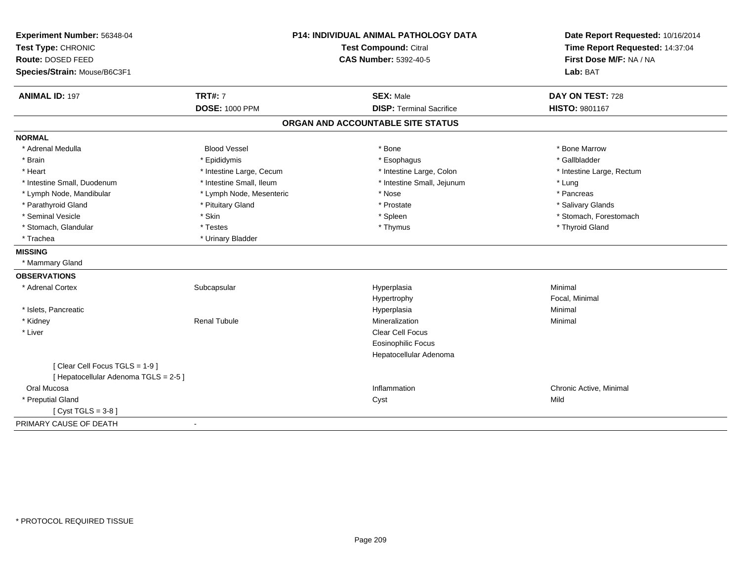| Experiment Number: 56348-04           | <b>P14: INDIVIDUAL ANIMAL PATHOLOGY DATA</b> |                                   | Date Report Requested: 10/16/2014 |
|---------------------------------------|----------------------------------------------|-----------------------------------|-----------------------------------|
| Test Type: CHRONIC                    |                                              | <b>Test Compound: Citral</b>      | Time Report Requested: 14:37:04   |
| Route: DOSED FEED                     |                                              | <b>CAS Number: 5392-40-5</b>      | First Dose M/F: NA / NA           |
| Species/Strain: Mouse/B6C3F1          |                                              |                                   | Lab: BAT                          |
| <b>ANIMAL ID: 197</b>                 | <b>TRT#: 7</b>                               | <b>SEX: Male</b>                  | DAY ON TEST: 728                  |
|                                       | <b>DOSE: 1000 PPM</b>                        | <b>DISP: Terminal Sacrifice</b>   | <b>HISTO: 9801167</b>             |
|                                       |                                              | ORGAN AND ACCOUNTABLE SITE STATUS |                                   |
| <b>NORMAL</b>                         |                                              |                                   |                                   |
| * Adrenal Medulla                     | <b>Blood Vessel</b>                          | * Bone                            | * Bone Marrow                     |
| * Brain                               | * Epididymis                                 | * Esophagus                       | * Gallbladder                     |
| * Heart                               | * Intestine Large, Cecum                     | * Intestine Large, Colon          | * Intestine Large, Rectum         |
| * Intestine Small, Duodenum           | * Intestine Small, Ileum                     | * Intestine Small, Jejunum        | * Lung                            |
| * Lymph Node, Mandibular              | * Lymph Node, Mesenteric                     | * Nose                            | * Pancreas                        |
| * Parathyroid Gland                   | * Pituitary Gland                            | * Prostate                        | * Salivary Glands                 |
| * Seminal Vesicle                     | * Skin                                       | * Spleen                          | * Stomach, Forestomach            |
| * Stomach, Glandular                  | * Testes                                     | * Thymus                          | * Thyroid Gland                   |
| * Trachea                             | * Urinary Bladder                            |                                   |                                   |
| <b>MISSING</b>                        |                                              |                                   |                                   |
| * Mammary Gland                       |                                              |                                   |                                   |
| <b>OBSERVATIONS</b>                   |                                              |                                   |                                   |
| * Adrenal Cortex                      | Subcapsular                                  | Hyperplasia                       | Minimal                           |
|                                       |                                              | Hypertrophy                       | Focal, Minimal                    |
| * Islets, Pancreatic                  |                                              | Hyperplasia                       | Minimal                           |
| * Kidney                              | <b>Renal Tubule</b>                          | Mineralization                    | Minimal                           |
| * Liver                               |                                              | <b>Clear Cell Focus</b>           |                                   |
|                                       |                                              | Eosinophilic Focus                |                                   |
|                                       |                                              | Hepatocellular Adenoma            |                                   |
| [Clear Cell Focus TGLS = 1-9]         |                                              |                                   |                                   |
| [ Hepatocellular Adenoma TGLS = 2-5 ] |                                              |                                   |                                   |
| Oral Mucosa                           |                                              | Inflammation                      | Chronic Active, Minimal           |
| * Preputial Gland                     |                                              | Cyst                              | Mild                              |
| [Cyst TGLS = $3-8$ ]                  |                                              |                                   |                                   |
| PRIMARY CAUSE OF DEATH                | $\overline{\phantom{a}}$                     |                                   |                                   |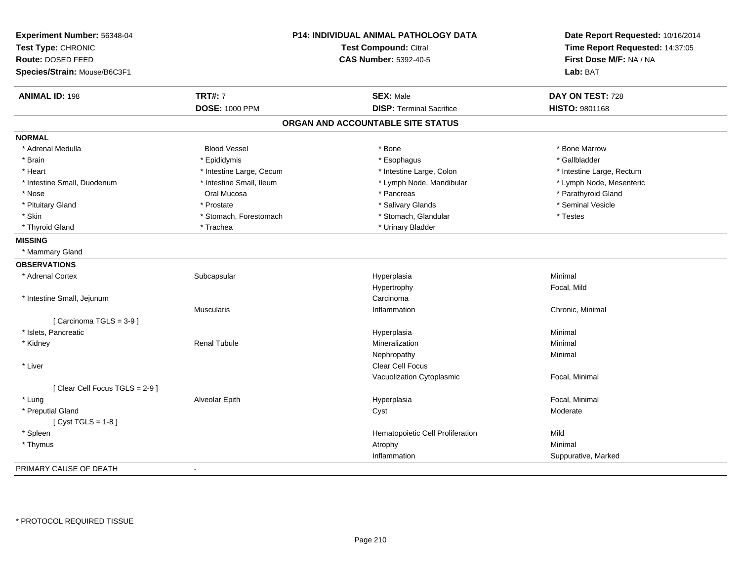| Experiment Number: 56348-04<br>Test Type: CHRONIC |                          | P14: INDIVIDUAL ANIMAL PATHOLOGY DATA<br><b>Test Compound: Citral</b> | Date Report Requested: 10/16/2014<br>Time Report Requested: 14:37:05 |
|---------------------------------------------------|--------------------------|-----------------------------------------------------------------------|----------------------------------------------------------------------|
| Route: DOSED FEED                                 |                          | <b>CAS Number: 5392-40-5</b>                                          | First Dose M/F: NA / NA                                              |
| Species/Strain: Mouse/B6C3F1                      |                          |                                                                       | Lab: BAT                                                             |
| <b>ANIMAL ID: 198</b>                             | <b>TRT#: 7</b>           | <b>SEX: Male</b>                                                      | DAY ON TEST: 728                                                     |
|                                                   | <b>DOSE: 1000 PPM</b>    | <b>DISP: Terminal Sacrifice</b>                                       | HISTO: 9801168                                                       |
|                                                   |                          | ORGAN AND ACCOUNTABLE SITE STATUS                                     |                                                                      |
| <b>NORMAL</b>                                     |                          |                                                                       |                                                                      |
| * Adrenal Medulla                                 | <b>Blood Vessel</b>      | * Bone                                                                | * Bone Marrow                                                        |
| * Brain                                           | * Epididymis             | * Esophagus                                                           | * Gallbladder                                                        |
| * Heart                                           | * Intestine Large, Cecum | * Intestine Large, Colon                                              | * Intestine Large, Rectum                                            |
| * Intestine Small, Duodenum                       | * Intestine Small, Ileum | * Lymph Node, Mandibular                                              | * Lymph Node, Mesenteric                                             |
| * Nose                                            | Oral Mucosa              | * Pancreas                                                            | * Parathyroid Gland                                                  |
| * Pituitary Gland                                 | * Prostate               | * Salivary Glands                                                     | * Seminal Vesicle                                                    |
| * Skin                                            | * Stomach, Forestomach   | * Stomach, Glandular                                                  | * Testes                                                             |
| * Thyroid Gland                                   | * Trachea                | * Urinary Bladder                                                     |                                                                      |
| <b>MISSING</b>                                    |                          |                                                                       |                                                                      |
| * Mammary Gland                                   |                          |                                                                       |                                                                      |
| <b>OBSERVATIONS</b>                               |                          |                                                                       |                                                                      |
| * Adrenal Cortex                                  | Subcapsular              | Hyperplasia                                                           | Minimal                                                              |
|                                                   |                          | Hypertrophy                                                           | Focal, Mild                                                          |
| * Intestine Small, Jejunum                        |                          | Carcinoma                                                             |                                                                      |
|                                                   | <b>Muscularis</b>        | Inflammation                                                          | Chronic, Minimal                                                     |
| [Carcinoma TGLS = 3-9]                            |                          |                                                                       |                                                                      |
| * Islets, Pancreatic                              |                          | Hyperplasia                                                           | Minimal                                                              |
| * Kidney                                          | Renal Tubule             | Mineralization                                                        | Minimal                                                              |
|                                                   |                          | Nephropathy                                                           | Minimal                                                              |
| * Liver                                           |                          | Clear Cell Focus                                                      |                                                                      |
|                                                   |                          | Vacuolization Cytoplasmic                                             | Focal, Minimal                                                       |
| [Clear Cell Focus TGLS = 2-9]                     |                          |                                                                       |                                                                      |
| * Lung                                            | Alveolar Epith           | Hyperplasia                                                           | Focal, Minimal                                                       |
| * Preputial Gland                                 |                          | Cyst                                                                  | Moderate                                                             |
| [Cyst TGLS = $1-8$ ]                              |                          |                                                                       |                                                                      |
| * Spleen                                          |                          | Hematopoietic Cell Proliferation                                      | Mild                                                                 |
| * Thymus                                          |                          | Atrophy                                                               | Minimal                                                              |
|                                                   |                          | Inflammation                                                          | Suppurative, Marked                                                  |
| PRIMARY CAUSE OF DEATH                            | $\overline{a}$           |                                                                       |                                                                      |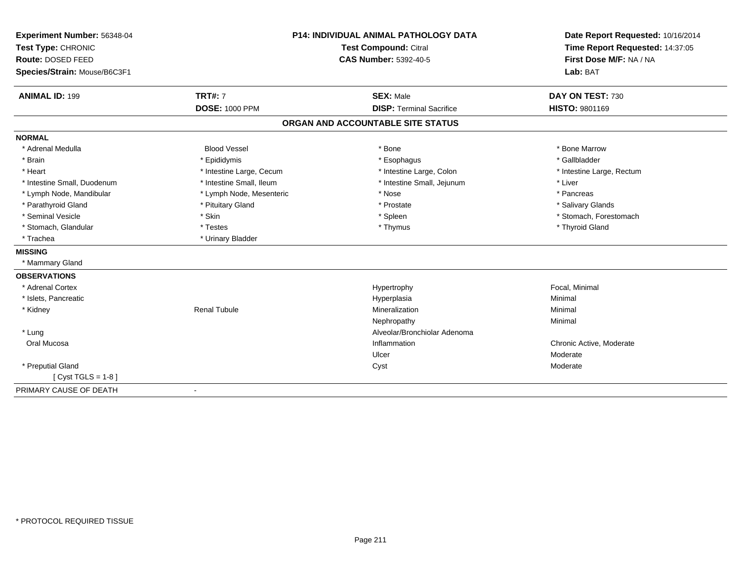| Experiment Number: 56348-04  | <b>P14: INDIVIDUAL ANIMAL PATHOLOGY DATA</b><br><b>Test Compound: Citral</b> |                                   | Date Report Requested: 10/16/2014 |
|------------------------------|------------------------------------------------------------------------------|-----------------------------------|-----------------------------------|
| Test Type: CHRONIC           |                                                                              |                                   | Time Report Requested: 14:37:05   |
| Route: DOSED FEED            |                                                                              | <b>CAS Number: 5392-40-5</b>      | First Dose M/F: NA / NA           |
| Species/Strain: Mouse/B6C3F1 |                                                                              |                                   | Lab: BAT                          |
| <b>ANIMAL ID: 199</b>        | <b>TRT#: 7</b>                                                               | <b>SEX: Male</b>                  | DAY ON TEST: 730                  |
|                              | <b>DOSE: 1000 PPM</b>                                                        | <b>DISP: Terminal Sacrifice</b>   | HISTO: 9801169                    |
|                              |                                                                              | ORGAN AND ACCOUNTABLE SITE STATUS |                                   |
| <b>NORMAL</b>                |                                                                              |                                   |                                   |
| * Adrenal Medulla            | <b>Blood Vessel</b>                                                          | * Bone                            | * Bone Marrow                     |
| * Brain                      | * Epididymis                                                                 | * Esophagus                       | * Gallbladder                     |
| * Heart                      | * Intestine Large, Cecum                                                     | * Intestine Large, Colon          | * Intestine Large, Rectum         |
| * Intestine Small, Duodenum  | * Intestine Small, Ileum                                                     | * Intestine Small, Jejunum        | * Liver                           |
| * Lymph Node, Mandibular     | * Lymph Node, Mesenteric                                                     | * Nose                            | * Pancreas                        |
| * Parathyroid Gland          | * Pituitary Gland                                                            | * Prostate                        | * Salivary Glands                 |
| * Seminal Vesicle            | * Skin                                                                       | * Spleen                          | * Stomach, Forestomach            |
| * Stomach, Glandular         | * Testes                                                                     | * Thymus                          | * Thyroid Gland                   |
| * Trachea                    | * Urinary Bladder                                                            |                                   |                                   |
| <b>MISSING</b>               |                                                                              |                                   |                                   |
| * Mammary Gland              |                                                                              |                                   |                                   |
| <b>OBSERVATIONS</b>          |                                                                              |                                   |                                   |
| * Adrenal Cortex             |                                                                              | Hypertrophy                       | Focal, Minimal                    |
| * Islets, Pancreatic         |                                                                              | Hyperplasia                       | Minimal                           |
| * Kidney                     | <b>Renal Tubule</b>                                                          | Mineralization                    | Minimal                           |
|                              |                                                                              | Nephropathy                       | Minimal                           |
| * Lung                       |                                                                              | Alveolar/Bronchiolar Adenoma      |                                   |
| Oral Mucosa                  |                                                                              | Inflammation                      | Chronic Active, Moderate          |
|                              |                                                                              | Ulcer                             | Moderate                          |
| * Preputial Gland            |                                                                              | Cyst                              | Moderate                          |
| [Cyst TGLS = $1-8$ ]         |                                                                              |                                   |                                   |
| PRIMARY CAUSE OF DEATH       |                                                                              |                                   |                                   |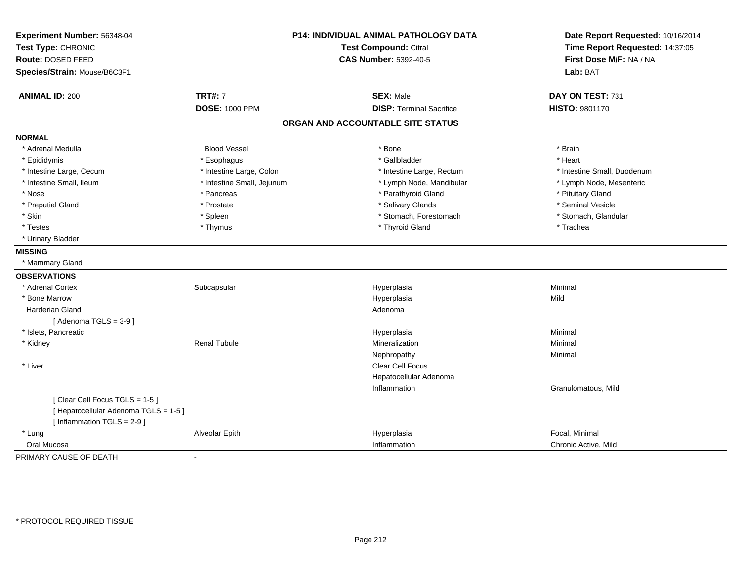| Experiment Number: 56348-04<br>Test Type: CHRONIC<br>Route: DOSED FEED<br>Species/Strain: Mouse/B6C3F1 | P14: INDIVIDUAL ANIMAL PATHOLOGY DATA<br><b>Test Compound: Citral</b><br><b>CAS Number: 5392-40-5</b> |                                   | Date Report Requested: 10/16/2014<br>Time Report Requested: 14:37:05<br>First Dose M/F: NA / NA<br>Lab: BAT |
|--------------------------------------------------------------------------------------------------------|-------------------------------------------------------------------------------------------------------|-----------------------------------|-------------------------------------------------------------------------------------------------------------|
| <b>ANIMAL ID: 200</b>                                                                                  | <b>TRT#: 7</b>                                                                                        | <b>SEX: Male</b>                  | DAY ON TEST: 731                                                                                            |
|                                                                                                        | <b>DOSE: 1000 PPM</b>                                                                                 | <b>DISP: Terminal Sacrifice</b>   | HISTO: 9801170                                                                                              |
|                                                                                                        |                                                                                                       | ORGAN AND ACCOUNTABLE SITE STATUS |                                                                                                             |
| <b>NORMAL</b>                                                                                          |                                                                                                       |                                   |                                                                                                             |
| * Adrenal Medulla                                                                                      | <b>Blood Vessel</b>                                                                                   | * Bone                            | * Brain                                                                                                     |
| * Epididymis                                                                                           | * Esophagus                                                                                           | * Gallbladder                     | * Heart                                                                                                     |
| * Intestine Large, Cecum                                                                               | * Intestine Large, Colon                                                                              | * Intestine Large, Rectum         | * Intestine Small, Duodenum                                                                                 |
| * Intestine Small, Ileum                                                                               | * Intestine Small, Jejunum                                                                            | * Lymph Node, Mandibular          | * Lymph Node, Mesenteric                                                                                    |
| * Nose                                                                                                 | * Pancreas                                                                                            | * Parathyroid Gland               | * Pituitary Gland                                                                                           |
| * Preputial Gland                                                                                      | * Prostate                                                                                            | * Salivary Glands                 | * Seminal Vesicle                                                                                           |
| * Skin                                                                                                 | * Spleen                                                                                              | * Stomach, Forestomach            | * Stomach, Glandular                                                                                        |
| * Testes                                                                                               | * Thymus                                                                                              | * Thyroid Gland                   | * Trachea                                                                                                   |
| * Urinary Bladder                                                                                      |                                                                                                       |                                   |                                                                                                             |
| <b>MISSING</b>                                                                                         |                                                                                                       |                                   |                                                                                                             |
| * Mammary Gland                                                                                        |                                                                                                       |                                   |                                                                                                             |
| <b>OBSERVATIONS</b>                                                                                    |                                                                                                       |                                   |                                                                                                             |
| * Adrenal Cortex                                                                                       | Subcapsular                                                                                           | Hyperplasia                       | Minimal                                                                                                     |
| * Bone Marrow                                                                                          |                                                                                                       | Hyperplasia                       | Mild                                                                                                        |
| <b>Harderian Gland</b>                                                                                 |                                                                                                       | Adenoma                           |                                                                                                             |
| [Adenoma TGLS = $3-9$ ]                                                                                |                                                                                                       |                                   |                                                                                                             |
| * Islets, Pancreatic                                                                                   |                                                                                                       | Hyperplasia                       | Minimal                                                                                                     |
| * Kidney                                                                                               | <b>Renal Tubule</b>                                                                                   | Mineralization                    | Minimal                                                                                                     |
|                                                                                                        |                                                                                                       | Nephropathy                       | Minimal                                                                                                     |
| * Liver                                                                                                |                                                                                                       | Clear Cell Focus                  |                                                                                                             |
|                                                                                                        |                                                                                                       | Hepatocellular Adenoma            |                                                                                                             |
|                                                                                                        |                                                                                                       | Inflammation                      | Granulomatous, Mild                                                                                         |
| [Clear Cell Focus TGLS = 1-5]<br>[ Hepatocellular Adenoma TGLS = 1-5 ]<br>[ Inflammation TGLS = 2-9 ]  |                                                                                                       |                                   |                                                                                                             |
| * Lung                                                                                                 | <b>Alveolar Epith</b>                                                                                 | Hyperplasia                       | Focal, Minimal                                                                                              |
| Oral Mucosa                                                                                            |                                                                                                       | Inflammation                      | Chronic Active, Mild                                                                                        |
| PRIMARY CAUSE OF DEATH                                                                                 |                                                                                                       |                                   |                                                                                                             |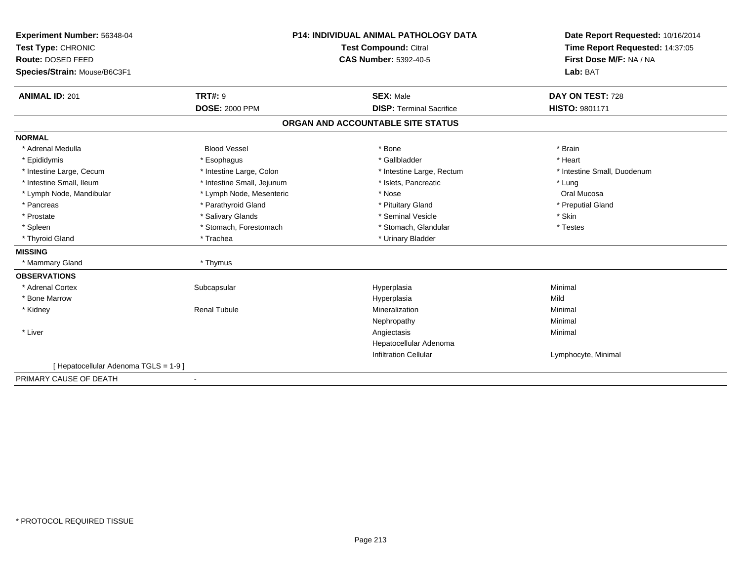| Experiment Number: 56348-04           | <b>P14: INDIVIDUAL ANIMAL PATHOLOGY DATA</b><br>Test Compound: Citral |                                   | Date Report Requested: 10/16/2014<br>Time Report Requested: 14:37:05 |  |
|---------------------------------------|-----------------------------------------------------------------------|-----------------------------------|----------------------------------------------------------------------|--|
| Test Type: CHRONIC                    |                                                                       |                                   |                                                                      |  |
| Route: DOSED FEED                     |                                                                       | <b>CAS Number: 5392-40-5</b>      | First Dose M/F: NA / NA                                              |  |
| Species/Strain: Mouse/B6C3F1          |                                                                       |                                   | Lab: BAT                                                             |  |
| <b>ANIMAL ID: 201</b>                 | <b>TRT#: 9</b>                                                        | <b>SEX: Male</b>                  | DAY ON TEST: 728                                                     |  |
|                                       | <b>DOSE: 2000 PPM</b>                                                 | <b>DISP: Terminal Sacrifice</b>   | <b>HISTO: 9801171</b>                                                |  |
|                                       |                                                                       | ORGAN AND ACCOUNTABLE SITE STATUS |                                                                      |  |
| <b>NORMAL</b>                         |                                                                       |                                   |                                                                      |  |
| * Adrenal Medulla                     | <b>Blood Vessel</b>                                                   | * Bone                            | * Brain                                                              |  |
| * Epididymis                          | * Esophagus                                                           | * Gallbladder                     | * Heart                                                              |  |
| * Intestine Large, Cecum              | * Intestine Large, Colon                                              | * Intestine Large, Rectum         | * Intestine Small, Duodenum                                          |  |
| * Intestine Small. Ileum              | * Intestine Small, Jejunum                                            | * Islets, Pancreatic              | * Lung                                                               |  |
| * Lymph Node, Mandibular              | * Lymph Node, Mesenteric                                              | * Nose                            | Oral Mucosa                                                          |  |
| * Pancreas                            | * Parathyroid Gland                                                   | * Pituitary Gland                 | * Preputial Gland                                                    |  |
| * Prostate                            | * Salivary Glands                                                     | * Seminal Vesicle                 | * Skin                                                               |  |
| * Spleen                              | * Stomach, Forestomach                                                | * Stomach, Glandular              | * Testes                                                             |  |
| * Thyroid Gland                       | * Trachea                                                             | * Urinary Bladder                 |                                                                      |  |
| <b>MISSING</b>                        |                                                                       |                                   |                                                                      |  |
| * Mammary Gland                       | * Thymus                                                              |                                   |                                                                      |  |
| <b>OBSERVATIONS</b>                   |                                                                       |                                   |                                                                      |  |
| * Adrenal Cortex                      | Subcapsular                                                           | Hyperplasia                       | Minimal                                                              |  |
| * Bone Marrow                         |                                                                       | Hyperplasia                       | Mild                                                                 |  |
| * Kidney                              | <b>Renal Tubule</b>                                                   | Mineralization                    | Minimal                                                              |  |
|                                       |                                                                       | Nephropathy                       | Minimal                                                              |  |
| * Liver                               |                                                                       | Angiectasis                       | Minimal                                                              |  |
|                                       |                                                                       | Hepatocellular Adenoma            |                                                                      |  |
|                                       |                                                                       | <b>Infiltration Cellular</b>      | Lymphocyte, Minimal                                                  |  |
| [ Hepatocellular Adenoma TGLS = 1-9 ] |                                                                       |                                   |                                                                      |  |
| PRIMARY CAUSE OF DEATH                |                                                                       |                                   |                                                                      |  |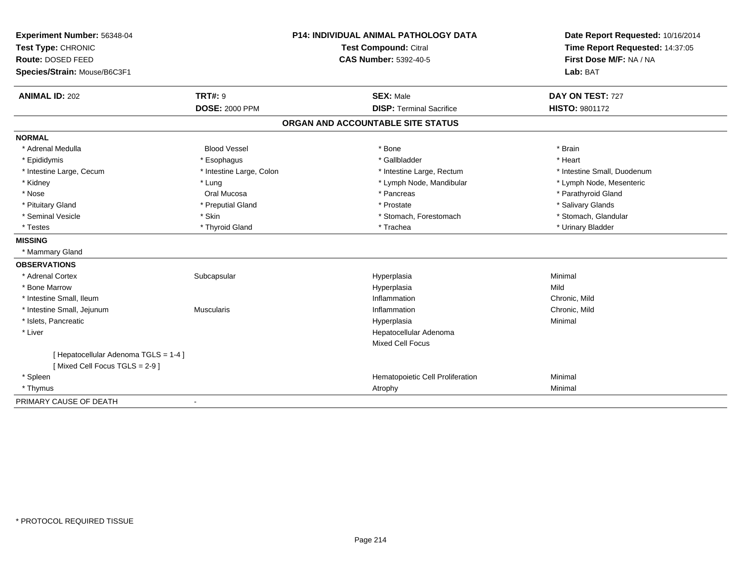| Experiment Number: 56348-04<br>Test Type: CHRONIC                      | <b>P14: INDIVIDUAL ANIMAL PATHOLOGY DATA</b><br>Test Compound: Citral<br><b>CAS Number: 5392-40-5</b> |                                   | Date Report Requested: 10/16/2014<br>Time Report Requested: 14:37:05<br>First Dose M/F: NA / NA |
|------------------------------------------------------------------------|-------------------------------------------------------------------------------------------------------|-----------------------------------|-------------------------------------------------------------------------------------------------|
| Route: DOSED FEED                                                      |                                                                                                       |                                   |                                                                                                 |
| Species/Strain: Mouse/B6C3F1                                           |                                                                                                       |                                   | Lab: BAT                                                                                        |
| <b>ANIMAL ID: 202</b>                                                  | <b>TRT#: 9</b>                                                                                        | <b>SEX: Male</b>                  | DAY ON TEST: 727                                                                                |
|                                                                        | <b>DOSE: 2000 PPM</b>                                                                                 | <b>DISP: Terminal Sacrifice</b>   | <b>HISTO: 9801172</b>                                                                           |
|                                                                        |                                                                                                       | ORGAN AND ACCOUNTABLE SITE STATUS |                                                                                                 |
| <b>NORMAL</b>                                                          |                                                                                                       |                                   |                                                                                                 |
| * Adrenal Medulla                                                      | <b>Blood Vessel</b>                                                                                   | * Bone                            | * Brain                                                                                         |
| * Epididymis                                                           | * Esophagus                                                                                           | * Gallbladder                     | * Heart                                                                                         |
| * Intestine Large, Cecum                                               | * Intestine Large, Colon                                                                              | * Intestine Large, Rectum         | * Intestine Small, Duodenum                                                                     |
| * Kidney                                                               | * Lung                                                                                                | * Lymph Node, Mandibular          | * Lymph Node, Mesenteric                                                                        |
| * Nose                                                                 | Oral Mucosa                                                                                           | * Pancreas                        | * Parathyroid Gland                                                                             |
| * Pituitary Gland                                                      | * Preputial Gland                                                                                     | * Prostate                        | * Salivary Glands                                                                               |
| * Seminal Vesicle                                                      | * Skin                                                                                                | * Stomach, Forestomach            | * Stomach, Glandular                                                                            |
| * Testes                                                               | * Thyroid Gland                                                                                       | * Trachea                         | * Urinary Bladder                                                                               |
| <b>MISSING</b>                                                         |                                                                                                       |                                   |                                                                                                 |
| * Mammary Gland                                                        |                                                                                                       |                                   |                                                                                                 |
| <b>OBSERVATIONS</b>                                                    |                                                                                                       |                                   |                                                                                                 |
| * Adrenal Cortex                                                       | Subcapsular                                                                                           | Hyperplasia                       | Minimal                                                                                         |
| * Bone Marrow                                                          |                                                                                                       | Hyperplasia                       | Mild                                                                                            |
| * Intestine Small, Ileum                                               |                                                                                                       | Inflammation                      | Chronic, Mild                                                                                   |
| * Intestine Small, Jejunum                                             | <b>Muscularis</b>                                                                                     | Inflammation                      | Chronic, Mild                                                                                   |
| * Islets, Pancreatic                                                   |                                                                                                       | Hyperplasia                       | Minimal                                                                                         |
| * Liver                                                                |                                                                                                       | Hepatocellular Adenoma            |                                                                                                 |
|                                                                        |                                                                                                       | <b>Mixed Cell Focus</b>           |                                                                                                 |
| [ Hepatocellular Adenoma TGLS = 1-4 ]<br>[Mixed Cell Focus TGLS = 2-9] |                                                                                                       |                                   |                                                                                                 |
| * Spleen                                                               |                                                                                                       | Hematopoietic Cell Proliferation  | Minimal                                                                                         |
| * Thymus                                                               |                                                                                                       | Atrophy                           | Minimal                                                                                         |
| PRIMARY CAUSE OF DEATH                                                 |                                                                                                       |                                   |                                                                                                 |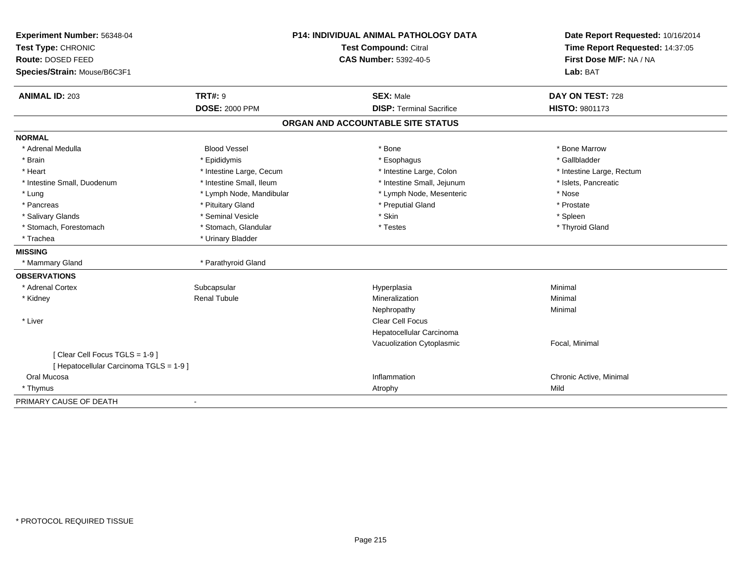| Experiment Number: 56348-04<br>Test Type: CHRONIC |                          | <b>P14: INDIVIDUAL ANIMAL PATHOLOGY DATA</b><br>Test Compound: Citral | Date Report Requested: 10/16/2014<br>Time Report Requested: 14:37:05 |
|---------------------------------------------------|--------------------------|-----------------------------------------------------------------------|----------------------------------------------------------------------|
| Route: DOSED FEED                                 |                          | <b>CAS Number: 5392-40-5</b>                                          | First Dose M/F: NA / NA                                              |
| Species/Strain: Mouse/B6C3F1                      |                          |                                                                       | Lab: BAT                                                             |
|                                                   |                          |                                                                       |                                                                      |
| <b>ANIMAL ID: 203</b>                             | <b>TRT#: 9</b>           | <b>SEX: Male</b>                                                      | DAY ON TEST: 728                                                     |
|                                                   | <b>DOSE: 2000 PPM</b>    | <b>DISP: Terminal Sacrifice</b>                                       | <b>HISTO: 9801173</b>                                                |
|                                                   |                          | ORGAN AND ACCOUNTABLE SITE STATUS                                     |                                                                      |
| <b>NORMAL</b>                                     |                          |                                                                       |                                                                      |
| * Adrenal Medulla                                 | <b>Blood Vessel</b>      | * Bone                                                                | * Bone Marrow                                                        |
| * Brain                                           | * Epididymis             | * Esophagus                                                           | * Gallbladder                                                        |
| * Heart                                           | * Intestine Large, Cecum | * Intestine Large, Colon                                              | * Intestine Large, Rectum                                            |
| * Intestine Small, Duodenum                       | * Intestine Small, Ileum | * Intestine Small, Jejunum                                            | * Islets, Pancreatic                                                 |
| * Lung                                            | * Lymph Node, Mandibular | * Lymph Node, Mesenteric                                              | * Nose                                                               |
| * Pancreas                                        | * Pituitary Gland        | * Preputial Gland                                                     | * Prostate                                                           |
| * Salivary Glands                                 | * Seminal Vesicle        | * Skin                                                                | * Spleen                                                             |
| * Stomach, Forestomach                            | * Stomach, Glandular     | * Testes                                                              | * Thyroid Gland                                                      |
| * Trachea                                         | * Urinary Bladder        |                                                                       |                                                                      |
| <b>MISSING</b>                                    |                          |                                                                       |                                                                      |
| * Mammary Gland                                   | * Parathyroid Gland      |                                                                       |                                                                      |
| <b>OBSERVATIONS</b>                               |                          |                                                                       |                                                                      |
| * Adrenal Cortex                                  | Subcapsular              | Hyperplasia                                                           | Minimal                                                              |
| * Kidney                                          | <b>Renal Tubule</b>      | Mineralization                                                        | Minimal                                                              |
|                                                   |                          | Nephropathy                                                           | Minimal                                                              |
| * Liver                                           |                          | <b>Clear Cell Focus</b>                                               |                                                                      |
|                                                   |                          | Hepatocellular Carcinoma                                              |                                                                      |
|                                                   |                          | Vacuolization Cytoplasmic                                             | Focal, Minimal                                                       |
| [Clear Cell Focus TGLS = 1-9]                     |                          |                                                                       |                                                                      |
| [ Hepatocellular Carcinoma TGLS = 1-9 ]           |                          |                                                                       |                                                                      |
| Oral Mucosa                                       |                          | Inflammation                                                          | Chronic Active, Minimal                                              |
| * Thymus                                          |                          | Atrophy                                                               | Mild                                                                 |
| PRIMARY CAUSE OF DEATH                            | $\blacksquare$           |                                                                       |                                                                      |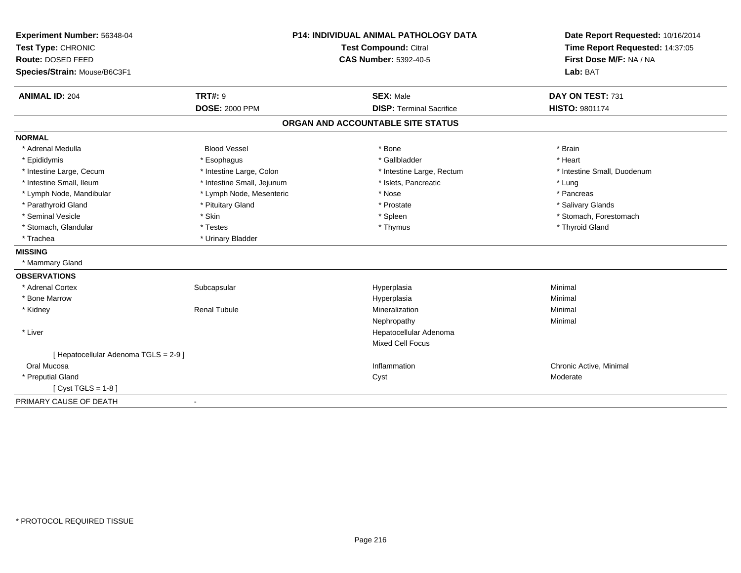| Experiment Number: 56348-04           |                            | <b>P14: INDIVIDUAL ANIMAL PATHOLOGY DATA</b> | Date Report Requested: 10/16/2014 |
|---------------------------------------|----------------------------|----------------------------------------------|-----------------------------------|
| Test Type: CHRONIC                    | Test Compound: Citral      |                                              | Time Report Requested: 14:37:05   |
| Route: DOSED FEED                     |                            | <b>CAS Number: 5392-40-5</b>                 | First Dose M/F: NA / NA           |
| Species/Strain: Mouse/B6C3F1          |                            |                                              | Lab: BAT                          |
| <b>ANIMAL ID: 204</b>                 | <b>TRT#: 9</b>             | <b>SEX: Male</b>                             | DAY ON TEST: 731                  |
|                                       | <b>DOSE: 2000 PPM</b>      | <b>DISP: Terminal Sacrifice</b>              | <b>HISTO: 9801174</b>             |
|                                       |                            | ORGAN AND ACCOUNTABLE SITE STATUS            |                                   |
| <b>NORMAL</b>                         |                            |                                              |                                   |
| * Adrenal Medulla                     | <b>Blood Vessel</b>        | * Bone                                       | * Brain                           |
| * Epididymis                          | * Esophagus                | * Gallbladder                                | * Heart                           |
| * Intestine Large, Cecum              | * Intestine Large, Colon   | * Intestine Large, Rectum                    | * Intestine Small, Duodenum       |
| * Intestine Small, Ileum              | * Intestine Small, Jejunum | * Islets, Pancreatic                         | * Lung                            |
| * Lymph Node, Mandibular              | * Lymph Node, Mesenteric   | * Nose                                       | * Pancreas                        |
| * Parathyroid Gland                   | * Pituitary Gland          | * Prostate                                   | * Salivary Glands                 |
| * Seminal Vesicle                     | * Skin                     | * Spleen                                     | * Stomach, Forestomach            |
| * Stomach, Glandular                  | * Testes                   | * Thymus                                     | * Thyroid Gland                   |
| * Trachea                             | * Urinary Bladder          |                                              |                                   |
| <b>MISSING</b>                        |                            |                                              |                                   |
| * Mammary Gland                       |                            |                                              |                                   |
| <b>OBSERVATIONS</b>                   |                            |                                              |                                   |
| * Adrenal Cortex                      | Subcapsular                | Hyperplasia                                  | Minimal                           |
| * Bone Marrow                         |                            | Hyperplasia                                  | Minimal                           |
| * Kidney                              | <b>Renal Tubule</b>        | Mineralization                               | Minimal                           |
|                                       |                            | Nephropathy                                  | Minimal                           |
| * Liver                               |                            | Hepatocellular Adenoma                       |                                   |
|                                       |                            | <b>Mixed Cell Focus</b>                      |                                   |
| [ Hepatocellular Adenoma TGLS = 2-9 ] |                            |                                              |                                   |
| Oral Mucosa                           |                            | Inflammation                                 | Chronic Active, Minimal           |
| * Preputial Gland                     |                            | Cyst                                         | Moderate                          |
| [ $Cyst TGLS = 1-8$ ]                 |                            |                                              |                                   |
| PRIMARY CAUSE OF DEATH                |                            |                                              |                                   |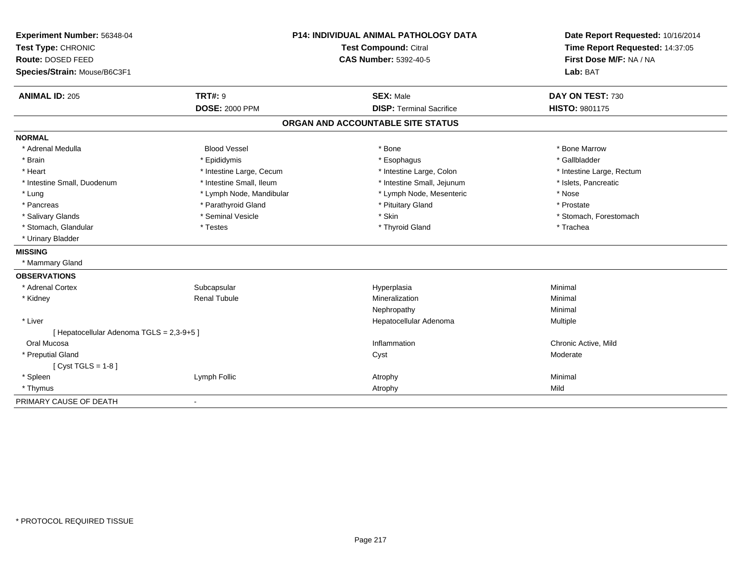| Experiment Number: 56348-04               | <b>P14: INDIVIDUAL ANIMAL PATHOLOGY DATA</b> |                                   | Date Report Requested: 10/16/2014                          |
|-------------------------------------------|----------------------------------------------|-----------------------------------|------------------------------------------------------------|
| Test Type: CHRONIC                        |                                              | Test Compound: Citral             | Time Report Requested: 14:37:05<br>First Dose M/F: NA / NA |
| Route: DOSED FEED                         |                                              | <b>CAS Number: 5392-40-5</b>      |                                                            |
| Species/Strain: Mouse/B6C3F1              |                                              |                                   | Lab: BAT                                                   |
| <b>ANIMAL ID: 205</b>                     | <b>TRT#: 9</b>                               | <b>SEX: Male</b>                  | DAY ON TEST: 730                                           |
|                                           | <b>DOSE: 2000 PPM</b>                        | <b>DISP: Terminal Sacrifice</b>   | <b>HISTO: 9801175</b>                                      |
|                                           |                                              | ORGAN AND ACCOUNTABLE SITE STATUS |                                                            |
| <b>NORMAL</b>                             |                                              |                                   |                                                            |
| * Adrenal Medulla                         | <b>Blood Vessel</b>                          | * Bone                            | * Bone Marrow                                              |
| * Brain                                   | * Epididymis                                 | * Esophagus                       | * Gallbladder                                              |
| * Heart                                   | * Intestine Large, Cecum                     | * Intestine Large, Colon          | * Intestine Large, Rectum                                  |
| * Intestine Small, Duodenum               | * Intestine Small, Ileum                     | * Intestine Small, Jejunum        | * Islets, Pancreatic                                       |
| * Lung                                    | * Lymph Node, Mandibular                     | * Lymph Node, Mesenteric          | * Nose                                                     |
| * Pancreas                                | * Parathyroid Gland                          | * Pituitary Gland                 | * Prostate                                                 |
| * Salivary Glands                         | * Seminal Vesicle                            | * Skin                            | * Stomach, Forestomach                                     |
| * Stomach, Glandular                      | * Testes                                     | * Thyroid Gland                   | * Trachea                                                  |
| * Urinary Bladder                         |                                              |                                   |                                                            |
| <b>MISSING</b>                            |                                              |                                   |                                                            |
| * Mammary Gland                           |                                              |                                   |                                                            |
| <b>OBSERVATIONS</b>                       |                                              |                                   |                                                            |
| * Adrenal Cortex                          | Subcapsular                                  | Hyperplasia                       | Minimal                                                    |
| * Kidney                                  | <b>Renal Tubule</b>                          | Mineralization                    | Minimal                                                    |
|                                           |                                              | Nephropathy                       | Minimal                                                    |
| * Liver                                   |                                              | Hepatocellular Adenoma            | Multiple                                                   |
| [ Hepatocellular Adenoma TGLS = 2,3-9+5 ] |                                              |                                   |                                                            |
| Oral Mucosa                               |                                              | Inflammation                      | Chronic Active, Mild                                       |
| * Preputial Gland                         |                                              | Cyst                              | Moderate                                                   |
| [ $Cyst TGLS = 1-8$ ]                     |                                              |                                   |                                                            |
| * Spleen                                  | Lymph Follic                                 | Atrophy                           | Minimal                                                    |
| * Thymus                                  |                                              | Atrophy                           | Mild                                                       |
| PRIMARY CAUSE OF DEATH                    |                                              |                                   |                                                            |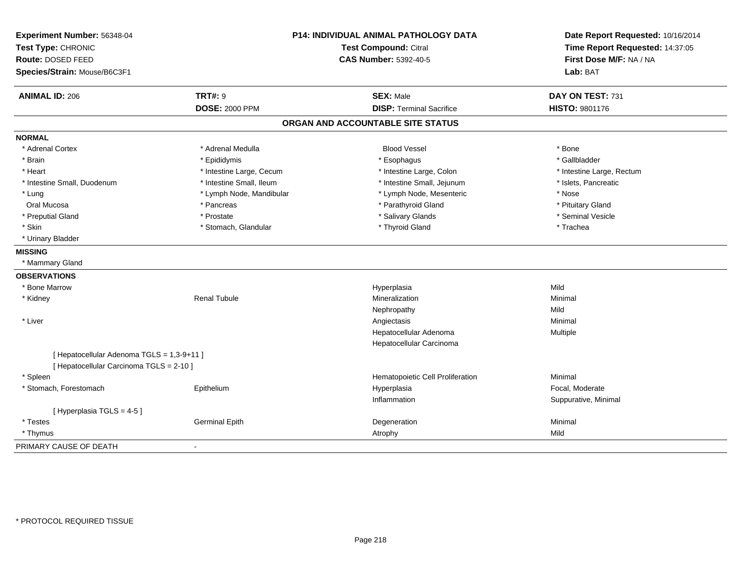| Experiment Number: 56348-04<br>Test Type: CHRONIC<br>Route: DOSED FEED<br>Species/Strain: Mouse/B6C3F1 |                          | <b>P14: INDIVIDUAL ANIMAL PATHOLOGY DATA</b><br>Test Compound: Citral<br><b>CAS Number: 5392-40-5</b> | Date Report Requested: 10/16/2014<br>Time Report Requested: 14:37:05<br>First Dose M/F: NA / NA<br>Lab: BAT |
|--------------------------------------------------------------------------------------------------------|--------------------------|-------------------------------------------------------------------------------------------------------|-------------------------------------------------------------------------------------------------------------|
| <b>ANIMAL ID: 206</b>                                                                                  | <b>TRT#: 9</b>           | <b>SEX: Male</b>                                                                                      | DAY ON TEST: 731                                                                                            |
|                                                                                                        | <b>DOSE: 2000 PPM</b>    | <b>DISP: Terminal Sacrifice</b>                                                                       | HISTO: 9801176                                                                                              |
|                                                                                                        |                          | ORGAN AND ACCOUNTABLE SITE STATUS                                                                     |                                                                                                             |
| <b>NORMAL</b>                                                                                          |                          |                                                                                                       |                                                                                                             |
| * Adrenal Cortex                                                                                       | * Adrenal Medulla        | <b>Blood Vessel</b>                                                                                   | * Bone                                                                                                      |
| * Brain                                                                                                | * Epididymis             | * Esophagus                                                                                           | * Gallbladder                                                                                               |
| * Heart                                                                                                | * Intestine Large, Cecum | * Intestine Large, Colon                                                                              | * Intestine Large, Rectum                                                                                   |
| * Intestine Small, Duodenum                                                                            | * Intestine Small, Ileum | * Intestine Small, Jejunum                                                                            | * Islets, Pancreatic                                                                                        |
| * Lung                                                                                                 | * Lymph Node, Mandibular | * Lymph Node, Mesenteric                                                                              | * Nose                                                                                                      |
| Oral Mucosa                                                                                            | * Pancreas               | * Parathyroid Gland                                                                                   | * Pituitary Gland                                                                                           |
| * Preputial Gland                                                                                      | * Prostate               | * Salivary Glands                                                                                     | * Seminal Vesicle                                                                                           |
| * Skin                                                                                                 | * Stomach, Glandular     | * Thyroid Gland                                                                                       | * Trachea                                                                                                   |
| * Urinary Bladder                                                                                      |                          |                                                                                                       |                                                                                                             |
| <b>MISSING</b>                                                                                         |                          |                                                                                                       |                                                                                                             |
| * Mammary Gland                                                                                        |                          |                                                                                                       |                                                                                                             |
| <b>OBSERVATIONS</b>                                                                                    |                          |                                                                                                       |                                                                                                             |
| * Bone Marrow                                                                                          |                          | Hyperplasia                                                                                           | Mild                                                                                                        |
| * Kidney                                                                                               | <b>Renal Tubule</b>      | Mineralization                                                                                        | Minimal                                                                                                     |
|                                                                                                        |                          | Nephropathy                                                                                           | Mild                                                                                                        |
| * Liver                                                                                                |                          | Angiectasis                                                                                           | Minimal                                                                                                     |
|                                                                                                        |                          | Hepatocellular Adenoma                                                                                | Multiple                                                                                                    |
|                                                                                                        |                          | Hepatocellular Carcinoma                                                                              |                                                                                                             |
| [ Hepatocellular Adenoma TGLS = 1,3-9+11 ]                                                             |                          |                                                                                                       |                                                                                                             |
| [ Hepatocellular Carcinoma TGLS = 2-10 ]                                                               |                          |                                                                                                       |                                                                                                             |
| * Spleen                                                                                               |                          | Hematopoietic Cell Proliferation                                                                      | Minimal                                                                                                     |
| * Stomach, Forestomach                                                                                 | Epithelium               | Hyperplasia                                                                                           | Focal, Moderate                                                                                             |
|                                                                                                        |                          | Inflammation                                                                                          | Suppurative, Minimal                                                                                        |
| [ Hyperplasia TGLS = 4-5 ]                                                                             |                          |                                                                                                       |                                                                                                             |
| * Testes                                                                                               | <b>Germinal Epith</b>    | Degeneration                                                                                          | Minimal                                                                                                     |
| * Thymus                                                                                               |                          | Atrophy                                                                                               | Mild                                                                                                        |
| PRIMARY CAUSE OF DEATH                                                                                 |                          |                                                                                                       |                                                                                                             |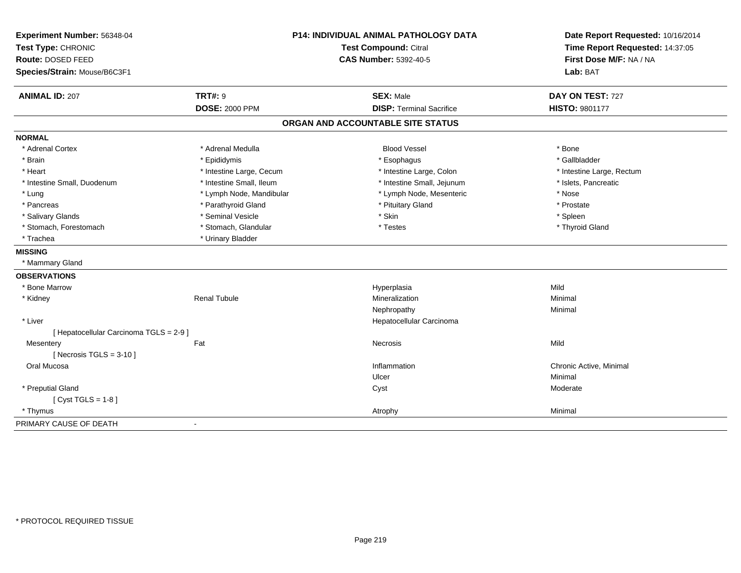| Experiment Number: 56348-04              | P14: INDIVIDUAL ANIMAL PATHOLOGY DATA<br><b>Test Compound: Citral</b> |                                   | Date Report Requested: 10/16/2014<br>Time Report Requested: 14:37:05 |
|------------------------------------------|-----------------------------------------------------------------------|-----------------------------------|----------------------------------------------------------------------|
| Test Type: CHRONIC                       |                                                                       |                                   |                                                                      |
| Route: DOSED FEED                        |                                                                       | <b>CAS Number: 5392-40-5</b>      | First Dose M/F: NA / NA                                              |
| Species/Strain: Mouse/B6C3F1             |                                                                       |                                   | Lab: BAT                                                             |
| <b>TRT#: 9</b><br><b>ANIMAL ID: 207</b>  |                                                                       | <b>SEX: Male</b>                  | DAY ON TEST: 727                                                     |
|                                          | <b>DOSE: 2000 PPM</b>                                                 | <b>DISP: Terminal Sacrifice</b>   | HISTO: 9801177                                                       |
|                                          |                                                                       | ORGAN AND ACCOUNTABLE SITE STATUS |                                                                      |
| <b>NORMAL</b>                            |                                                                       |                                   |                                                                      |
| * Adrenal Cortex                         | * Adrenal Medulla                                                     | <b>Blood Vessel</b>               | * Bone                                                               |
| * Brain                                  | * Epididymis                                                          | * Esophagus                       | * Gallbladder                                                        |
| * Heart                                  | * Intestine Large, Cecum                                              | * Intestine Large, Colon          | * Intestine Large, Rectum                                            |
| * Intestine Small, Duodenum              | * Intestine Small, Ileum                                              | * Intestine Small, Jejunum        | * Islets, Pancreatic                                                 |
| * Lung                                   | * Lymph Node, Mandibular                                              | * Lymph Node, Mesenteric          | * Nose                                                               |
| * Pancreas                               | * Parathyroid Gland                                                   | * Pituitary Gland                 | * Prostate                                                           |
| * Salivary Glands                        | * Seminal Vesicle                                                     | * Skin                            | * Spleen                                                             |
| * Stomach, Forestomach                   | * Stomach, Glandular                                                  | * Testes                          | * Thyroid Gland                                                      |
| * Trachea                                | * Urinary Bladder                                                     |                                   |                                                                      |
| <b>MISSING</b>                           |                                                                       |                                   |                                                                      |
| * Mammary Gland                          |                                                                       |                                   |                                                                      |
| <b>OBSERVATIONS</b>                      |                                                                       |                                   |                                                                      |
| * Bone Marrow                            |                                                                       | Hyperplasia                       | Mild                                                                 |
| * Kidney                                 | <b>Renal Tubule</b>                                                   | Mineralization                    | Minimal                                                              |
|                                          |                                                                       | Nephropathy                       | Minimal                                                              |
| * Liver                                  |                                                                       | Hepatocellular Carcinoma          |                                                                      |
| [ Hepatocellular Carcinoma TGLS = 2-9 ]  |                                                                       |                                   |                                                                      |
| Fat<br>Mesentery                         |                                                                       | Necrosis                          | Mild                                                                 |
| [ Necrosis $TGLS = 3-10$ ]               |                                                                       |                                   |                                                                      |
| Oral Mucosa                              |                                                                       | Inflammation                      | Chronic Active, Minimal                                              |
|                                          |                                                                       | Ulcer                             | Minimal                                                              |
| * Preputial Gland                        |                                                                       | Cyst                              | Moderate                                                             |
| [ $Cyst TGLS = 1-8$ ]                    |                                                                       |                                   |                                                                      |
| * Thymus                                 |                                                                       | Atrophy                           | Minimal                                                              |
| PRIMARY CAUSE OF DEATH<br>$\blacksquare$ |                                                                       |                                   |                                                                      |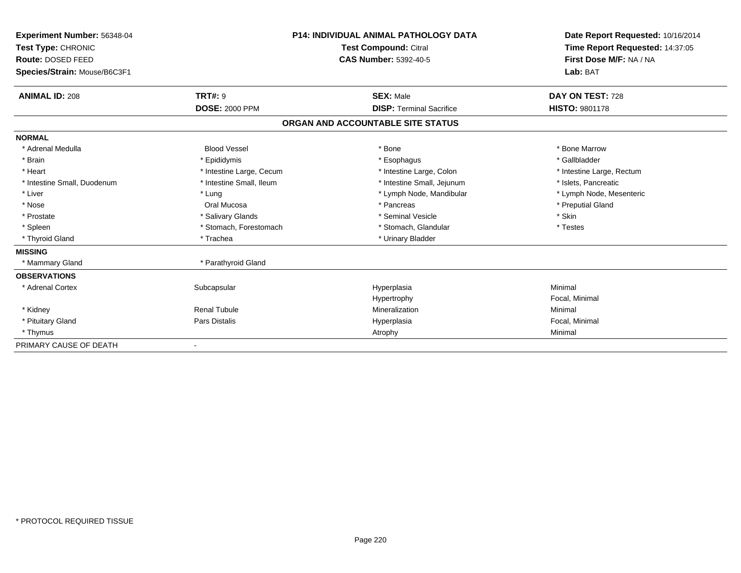| Experiment Number: 56348-04<br>Test Type: CHRONIC<br>Route: DOSED FEED |                          | <b>P14: INDIVIDUAL ANIMAL PATHOLOGY DATA</b><br><b>Test Compound: Citral</b> | Date Report Requested: 10/16/2014<br>Time Report Requested: 14:37:05 |  |
|------------------------------------------------------------------------|--------------------------|------------------------------------------------------------------------------|----------------------------------------------------------------------|--|
|                                                                        |                          | <b>CAS Number: 5392-40-5</b>                                                 | First Dose M/F: NA / NA                                              |  |
| Species/Strain: Mouse/B6C3F1                                           |                          |                                                                              | Lab: BAT                                                             |  |
| <b>ANIMAL ID: 208</b>                                                  | <b>TRT#: 9</b>           | <b>SEX: Male</b>                                                             | DAY ON TEST: 728                                                     |  |
|                                                                        | <b>DOSE: 2000 PPM</b>    | <b>DISP: Terminal Sacrifice</b>                                              | HISTO: 9801178                                                       |  |
|                                                                        |                          | ORGAN AND ACCOUNTABLE SITE STATUS                                            |                                                                      |  |
| <b>NORMAL</b>                                                          |                          |                                                                              |                                                                      |  |
| * Adrenal Medulla                                                      | <b>Blood Vessel</b>      | * Bone                                                                       | * Bone Marrow                                                        |  |
| * Brain                                                                | * Epididymis             | * Esophagus                                                                  | * Gallbladder                                                        |  |
| * Heart                                                                | * Intestine Large, Cecum | * Intestine Large, Colon                                                     | * Intestine Large, Rectum                                            |  |
| * Intestine Small, Duodenum                                            | * Intestine Small, Ileum | * Intestine Small, Jejunum                                                   | * Islets, Pancreatic                                                 |  |
| * Liver                                                                | * Lung                   | * Lymph Node, Mandibular                                                     | * Lymph Node, Mesenteric                                             |  |
| * Nose                                                                 | Oral Mucosa              | * Pancreas                                                                   | * Preputial Gland                                                    |  |
| * Prostate                                                             | * Salivary Glands        | * Seminal Vesicle                                                            | * Skin                                                               |  |
| * Spleen                                                               | * Stomach, Forestomach   | * Stomach, Glandular                                                         | * Testes                                                             |  |
| * Thyroid Gland                                                        | * Trachea                | * Urinary Bladder                                                            |                                                                      |  |
| <b>MISSING</b>                                                         |                          |                                                                              |                                                                      |  |
| * Mammary Gland                                                        | * Parathyroid Gland      |                                                                              |                                                                      |  |
| <b>OBSERVATIONS</b>                                                    |                          |                                                                              |                                                                      |  |
| * Adrenal Cortex                                                       | Subcapsular              | Hyperplasia                                                                  | Minimal                                                              |  |
|                                                                        |                          | Hypertrophy                                                                  | Focal, Minimal                                                       |  |
| * Kidney                                                               | <b>Renal Tubule</b>      | Mineralization                                                               | Minimal                                                              |  |
| * Pituitary Gland                                                      | Pars Distalis            | Hyperplasia                                                                  | Focal, Minimal                                                       |  |
| * Thymus                                                               |                          | Atrophy                                                                      | Minimal                                                              |  |
| PRIMARY CAUSE OF DEATH                                                 |                          |                                                                              |                                                                      |  |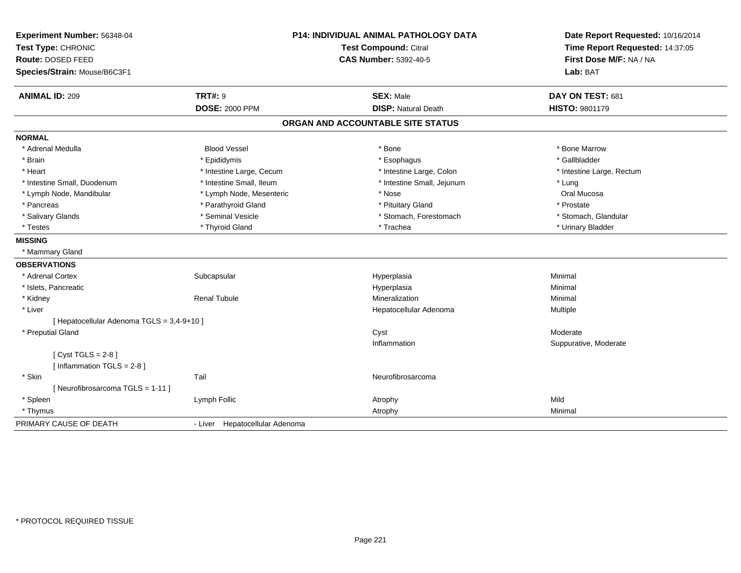| Experiment Number: 56348-04<br>Test Type: CHRONIC |                                | <b>P14: INDIVIDUAL ANIMAL PATHOLOGY DATA</b><br><b>Test Compound: Citral</b> | Date Report Requested: 10/16/2014<br>Time Report Requested: 14:37:05 |
|---------------------------------------------------|--------------------------------|------------------------------------------------------------------------------|----------------------------------------------------------------------|
| Route: DOSED FEED                                 | <b>CAS Number: 5392-40-5</b>   |                                                                              | First Dose M/F: NA / NA                                              |
| Species/Strain: Mouse/B6C3F1                      |                                |                                                                              | Lab: BAT                                                             |
|                                                   |                                |                                                                              |                                                                      |
| <b>ANIMAL ID: 209</b>                             | <b>TRT#: 9</b>                 | <b>SEX: Male</b>                                                             | DAY ON TEST: 681                                                     |
|                                                   | <b>DOSE: 2000 PPM</b>          | <b>DISP: Natural Death</b>                                                   | HISTO: 9801179                                                       |
|                                                   |                                | ORGAN AND ACCOUNTABLE SITE STATUS                                            |                                                                      |
| <b>NORMAL</b>                                     |                                |                                                                              |                                                                      |
| * Adrenal Medulla                                 | <b>Blood Vessel</b>            | * Bone                                                                       | * Bone Marrow                                                        |
| * Brain                                           | * Epididymis                   | * Esophagus                                                                  | * Gallbladder                                                        |
| * Heart                                           | * Intestine Large, Cecum       | * Intestine Large, Colon                                                     | * Intestine Large, Rectum                                            |
| * Intestine Small, Duodenum                       | * Intestine Small, Ileum       | * Intestine Small, Jejunum                                                   | * Lung                                                               |
| * Lymph Node, Mandibular                          | * Lymph Node, Mesenteric       | * Nose                                                                       | Oral Mucosa                                                          |
| * Pancreas                                        | * Parathyroid Gland            | * Pituitary Gland                                                            | * Prostate                                                           |
| * Salivary Glands                                 | * Seminal Vesicle              | * Stomach, Forestomach                                                       | * Stomach, Glandular                                                 |
| * Testes                                          | * Thyroid Gland                | * Trachea                                                                    | * Urinary Bladder                                                    |
| <b>MISSING</b>                                    |                                |                                                                              |                                                                      |
| * Mammary Gland                                   |                                |                                                                              |                                                                      |
| <b>OBSERVATIONS</b>                               |                                |                                                                              |                                                                      |
| * Adrenal Cortex                                  | Subcapsular                    | Hyperplasia                                                                  | Minimal                                                              |
| * Islets, Pancreatic                              |                                | Hyperplasia                                                                  | Minimal                                                              |
| * Kidney                                          | <b>Renal Tubule</b>            | Mineralization                                                               | Minimal                                                              |
| * Liver                                           |                                | Hepatocellular Adenoma                                                       | Multiple                                                             |
| [ Hepatocellular Adenoma TGLS = 3,4-9+10 ]        |                                |                                                                              |                                                                      |
| * Preputial Gland                                 |                                | Cyst                                                                         | Moderate                                                             |
|                                                   |                                | Inflammation                                                                 | Suppurative, Moderate                                                |
| [Cyst TGLS = $2-8$ ]                              |                                |                                                                              |                                                                      |
| [Inflammation TGLS = $2-8$ ]                      |                                |                                                                              |                                                                      |
| * Skin                                            | Tail                           | Neurofibrosarcoma                                                            |                                                                      |
| [Neurofibrosarcoma TGLS = 1-11]                   |                                |                                                                              |                                                                      |
| * Spleen                                          | Lymph Follic                   | Atrophy                                                                      | Mild                                                                 |
| * Thymus                                          |                                | Atrophy                                                                      | Minimal                                                              |
| PRIMARY CAUSE OF DEATH                            | - Liver Hepatocellular Adenoma |                                                                              |                                                                      |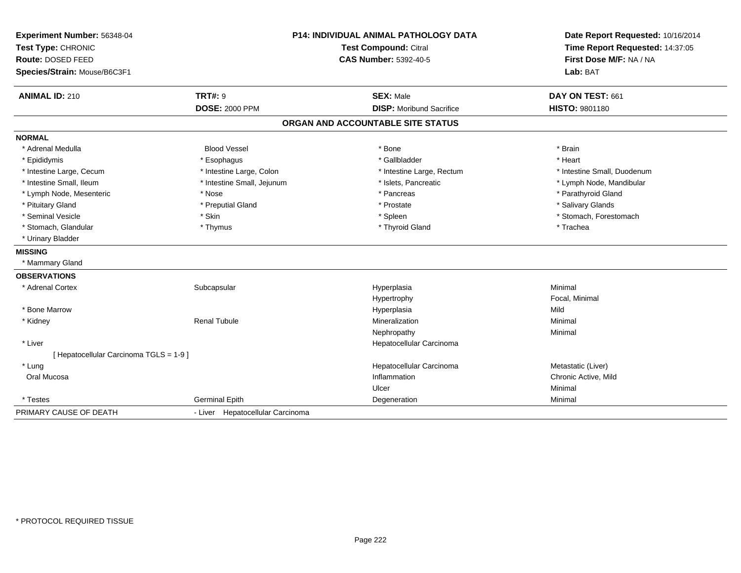| Experiment Number: 56348-04<br>Test Type: CHRONIC<br>Route: DOSED FEED<br>Species/Strain: Mouse/B6C3F1 |                                         | P14: INDIVIDUAL ANIMAL PATHOLOGY DATA<br><b>Test Compound: Citral</b><br><b>CAS Number: 5392-40-5</b> |                                    |
|--------------------------------------------------------------------------------------------------------|-----------------------------------------|-------------------------------------------------------------------------------------------------------|------------------------------------|
| <b>ANIMAL ID: 210</b>                                                                                  | <b>TRT#: 9</b><br><b>DOSE: 2000 PPM</b> | <b>SEX: Male</b><br><b>DISP: Moribund Sacrifice</b>                                                   | DAY ON TEST: 661<br>HISTO: 9801180 |
|                                                                                                        |                                         |                                                                                                       |                                    |
|                                                                                                        |                                         | ORGAN AND ACCOUNTABLE SITE STATUS                                                                     |                                    |
| <b>NORMAL</b>                                                                                          |                                         |                                                                                                       |                                    |
| * Adrenal Medulla                                                                                      | <b>Blood Vessel</b>                     | * Bone                                                                                                | * Brain                            |
| * Epididymis                                                                                           | * Esophagus                             | * Gallbladder                                                                                         | * Heart                            |
| * Intestine Large, Cecum                                                                               | * Intestine Large, Colon                | * Intestine Large, Rectum                                                                             | * Intestine Small, Duodenum        |
| * Intestine Small. Ileum                                                                               | * Intestine Small, Jejunum              | * Islets, Pancreatic                                                                                  | * Lymph Node, Mandibular           |
| * Lymph Node, Mesenteric                                                                               | * Nose                                  | * Pancreas                                                                                            | * Parathyroid Gland                |
| * Pituitary Gland                                                                                      | * Preputial Gland                       | * Prostate                                                                                            | * Salivary Glands                  |
| * Seminal Vesicle                                                                                      | * Skin                                  | * Spleen                                                                                              | * Stomach, Forestomach             |
| * Stomach, Glandular                                                                                   | * Thymus                                | * Thyroid Gland                                                                                       | * Trachea                          |
| * Urinary Bladder                                                                                      |                                         |                                                                                                       |                                    |
| <b>MISSING</b>                                                                                         |                                         |                                                                                                       |                                    |
| * Mammary Gland                                                                                        |                                         |                                                                                                       |                                    |
| <b>OBSERVATIONS</b>                                                                                    |                                         |                                                                                                       |                                    |
| * Adrenal Cortex                                                                                       | Subcapsular                             | Hyperplasia                                                                                           | Minimal                            |
|                                                                                                        |                                         | Hypertrophy                                                                                           | Focal, Minimal                     |
| * Bone Marrow                                                                                          |                                         | Hyperplasia                                                                                           | Mild                               |
| * Kidney                                                                                               | <b>Renal Tubule</b>                     | Mineralization                                                                                        | Minimal                            |
|                                                                                                        |                                         | Nephropathy                                                                                           | Minimal                            |
| * Liver                                                                                                |                                         | Hepatocellular Carcinoma                                                                              |                                    |
| [ Hepatocellular Carcinoma TGLS = 1-9 ]                                                                |                                         |                                                                                                       |                                    |
| * Lung                                                                                                 |                                         | Hepatocellular Carcinoma                                                                              | Metastatic (Liver)                 |
| Oral Mucosa                                                                                            |                                         | Inflammation                                                                                          | Chronic Active, Mild               |
|                                                                                                        |                                         | Ulcer                                                                                                 | Minimal                            |
| * Testes                                                                                               | Germinal Epith                          | Degeneration                                                                                          | Minimal                            |
| PRIMARY CAUSE OF DEATH                                                                                 | - Liver Hepatocellular Carcinoma        |                                                                                                       |                                    |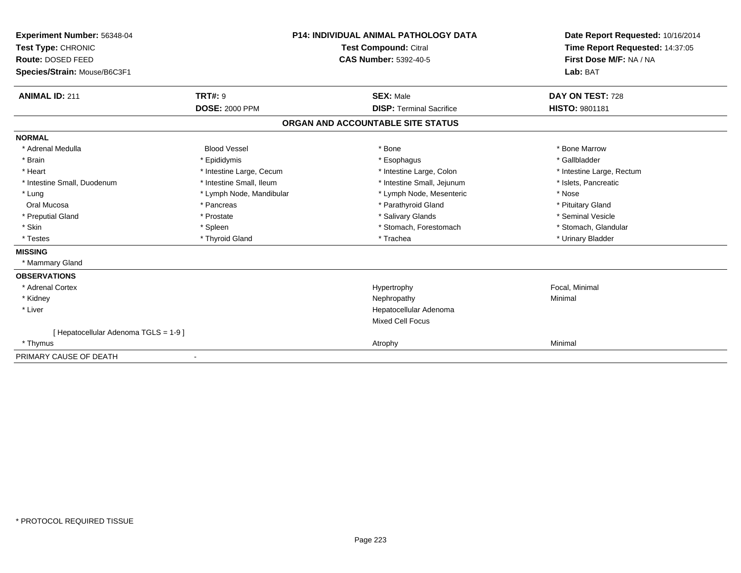| Experiment Number: 56348-04<br>Test Type: CHRONIC<br>Route: DOSED FEED |                          | <b>P14: INDIVIDUAL ANIMAL PATHOLOGY DATA</b><br><b>Test Compound: Citral</b><br><b>CAS Number: 5392-40-5</b> | Date Report Requested: 10/16/2014<br>Time Report Requested: 14:37:05<br>First Dose M/F: NA / NA |
|------------------------------------------------------------------------|--------------------------|--------------------------------------------------------------------------------------------------------------|-------------------------------------------------------------------------------------------------|
| Species/Strain: Mouse/B6C3F1                                           |                          |                                                                                                              | Lab: BAT                                                                                        |
| <b>ANIMAL ID: 211</b>                                                  | <b>TRT#: 9</b>           | <b>SEX: Male</b>                                                                                             | DAY ON TEST: 728                                                                                |
|                                                                        | <b>DOSE: 2000 PPM</b>    | <b>DISP: Terminal Sacrifice</b>                                                                              | <b>HISTO: 9801181</b>                                                                           |
|                                                                        |                          | ORGAN AND ACCOUNTABLE SITE STATUS                                                                            |                                                                                                 |
| <b>NORMAL</b>                                                          |                          |                                                                                                              |                                                                                                 |
| * Adrenal Medulla                                                      | <b>Blood Vessel</b>      | * Bone                                                                                                       | * Bone Marrow                                                                                   |
| * Brain                                                                | * Epididymis             | * Esophagus                                                                                                  | * Gallbladder                                                                                   |
| * Heart                                                                | * Intestine Large, Cecum | * Intestine Large, Colon                                                                                     | * Intestine Large, Rectum                                                                       |
| * Intestine Small, Duodenum                                            | * Intestine Small, Ileum | * Intestine Small, Jejunum                                                                                   | * Islets, Pancreatic                                                                            |
| * Lung                                                                 | * Lymph Node, Mandibular | * Lymph Node, Mesenteric                                                                                     | * Nose                                                                                          |
| Oral Mucosa                                                            | * Pancreas               | * Parathyroid Gland                                                                                          | * Pituitary Gland                                                                               |
| * Preputial Gland                                                      | * Prostate               | * Salivary Glands                                                                                            | * Seminal Vesicle                                                                               |
| * Skin                                                                 | * Spleen                 | * Stomach, Forestomach                                                                                       | * Stomach, Glandular                                                                            |
| * Testes                                                               | * Thyroid Gland          | * Trachea                                                                                                    | * Urinary Bladder                                                                               |
| <b>MISSING</b>                                                         |                          |                                                                                                              |                                                                                                 |
| * Mammary Gland                                                        |                          |                                                                                                              |                                                                                                 |
| <b>OBSERVATIONS</b>                                                    |                          |                                                                                                              |                                                                                                 |
| * Adrenal Cortex                                                       |                          | Hypertrophy                                                                                                  | Focal, Minimal                                                                                  |
| * Kidney                                                               |                          | Nephropathy                                                                                                  | Minimal                                                                                         |
| * Liver                                                                |                          | Hepatocellular Adenoma                                                                                       |                                                                                                 |
|                                                                        |                          | <b>Mixed Cell Focus</b>                                                                                      |                                                                                                 |
| [Hepatocellular Adenoma TGLS = 1-9]                                    |                          |                                                                                                              |                                                                                                 |
| * Thymus                                                               |                          | Atrophy                                                                                                      | Minimal                                                                                         |
| PRIMARY CAUSE OF DEATH                                                 | $\blacksquare$           |                                                                                                              |                                                                                                 |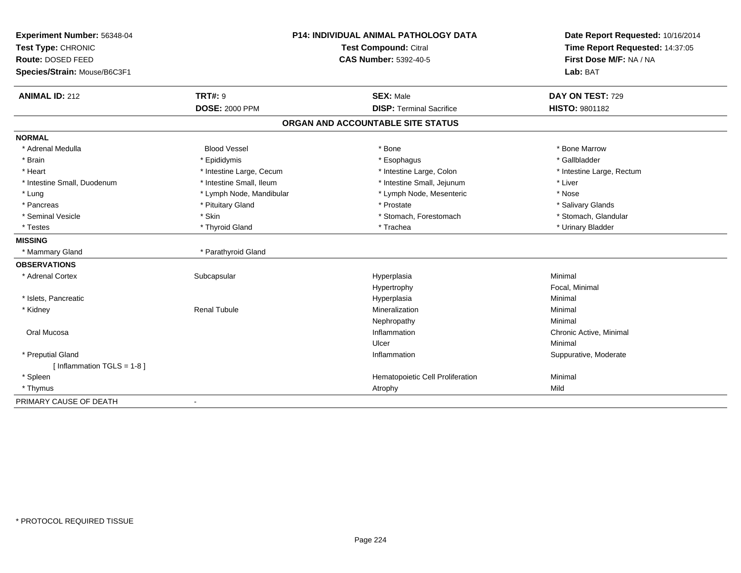| Experiment Number: 56348-04<br>Test Type: CHRONIC |                              | <b>P14: INDIVIDUAL ANIMAL PATHOLOGY DATA</b><br>Test Compound: Citral | Date Report Requested: 10/16/2014<br>Time Report Requested: 14:37:05 |
|---------------------------------------------------|------------------------------|-----------------------------------------------------------------------|----------------------------------------------------------------------|
| Route: DOSED FEED                                 | <b>CAS Number: 5392-40-5</b> |                                                                       | First Dose M/F: NA / NA                                              |
| Species/Strain: Mouse/B6C3F1                      |                              |                                                                       | Lab: BAT                                                             |
| <b>ANIMAL ID: 212</b>                             | <b>TRT#: 9</b>               | <b>SEX: Male</b>                                                      | DAY ON TEST: 729                                                     |
|                                                   | <b>DOSE: 2000 PPM</b>        | <b>DISP: Terminal Sacrifice</b>                                       | <b>HISTO: 9801182</b>                                                |
|                                                   |                              | ORGAN AND ACCOUNTABLE SITE STATUS                                     |                                                                      |
| <b>NORMAL</b>                                     |                              |                                                                       |                                                                      |
| * Adrenal Medulla                                 | <b>Blood Vessel</b>          | * Bone                                                                | * Bone Marrow                                                        |
| * Brain                                           | * Epididymis                 | * Esophagus                                                           | * Gallbladder                                                        |
| * Heart                                           | * Intestine Large, Cecum     | * Intestine Large, Colon                                              | * Intestine Large, Rectum                                            |
| * Intestine Small, Duodenum                       | * Intestine Small, Ileum     | * Intestine Small, Jejunum                                            | * Liver                                                              |
| * Lung                                            | * Lymph Node, Mandibular     | * Lymph Node, Mesenteric                                              | * Nose                                                               |
| * Pancreas                                        | * Pituitary Gland            | * Prostate                                                            | * Salivary Glands                                                    |
| * Seminal Vesicle                                 | * Skin                       | * Stomach, Forestomach                                                | * Stomach, Glandular                                                 |
| * Testes                                          | * Thyroid Gland              | * Trachea                                                             | * Urinary Bladder                                                    |
| <b>MISSING</b>                                    |                              |                                                                       |                                                                      |
| * Mammary Gland                                   | * Parathyroid Gland          |                                                                       |                                                                      |
| <b>OBSERVATIONS</b>                               |                              |                                                                       |                                                                      |
| * Adrenal Cortex                                  | Subcapsular                  | Hyperplasia                                                           | Minimal                                                              |
|                                                   |                              | Hypertrophy                                                           | Focal, Minimal                                                       |
| * Islets, Pancreatic                              |                              | Hyperplasia                                                           | Minimal                                                              |
| * Kidney                                          | <b>Renal Tubule</b>          | Mineralization                                                        | Minimal                                                              |
|                                                   |                              | Nephropathy                                                           | Minimal                                                              |
| Oral Mucosa                                       |                              | Inflammation                                                          | Chronic Active, Minimal                                              |
|                                                   |                              | Ulcer                                                                 | Minimal                                                              |
| * Preputial Gland                                 |                              | Inflammation                                                          | Suppurative, Moderate                                                |
| [Inflammation TGLS = $1-8$ ]                      |                              |                                                                       |                                                                      |
| * Spleen                                          |                              | Hematopoietic Cell Proliferation                                      | Minimal                                                              |
| * Thymus                                          |                              | Atrophy                                                               | Mild                                                                 |
| PRIMARY CAUSE OF DEATH                            |                              |                                                                       |                                                                      |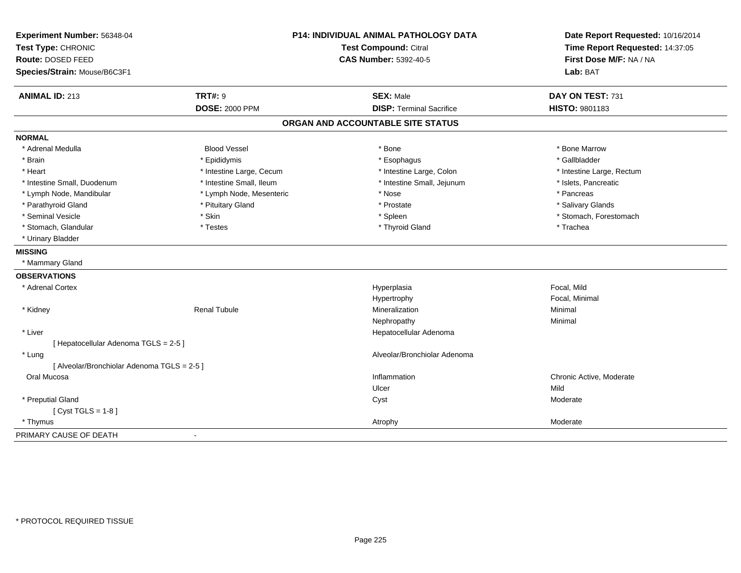| Experiment Number: 56348-04<br>Test Type: CHRONIC<br>Route: DOSED FEED<br>Species/Strain: Mouse/B6C3F1 |                          | P14: INDIVIDUAL ANIMAL PATHOLOGY DATA<br><b>Test Compound: Citral</b><br><b>CAS Number: 5392-40-5</b> | Date Report Requested: 10/16/2014<br>Time Report Requested: 14:37:05<br>First Dose M/F: NA / NA<br>Lab: BAT |
|--------------------------------------------------------------------------------------------------------|--------------------------|-------------------------------------------------------------------------------------------------------|-------------------------------------------------------------------------------------------------------------|
| <b>ANIMAL ID: 213</b>                                                                                  | <b>TRT#: 9</b>           | <b>SEX: Male</b>                                                                                      | DAY ON TEST: 731                                                                                            |
|                                                                                                        | <b>DOSE: 2000 PPM</b>    | <b>DISP: Terminal Sacrifice</b>                                                                       | HISTO: 9801183                                                                                              |
|                                                                                                        |                          | ORGAN AND ACCOUNTABLE SITE STATUS                                                                     |                                                                                                             |
| <b>NORMAL</b>                                                                                          |                          |                                                                                                       |                                                                                                             |
| * Adrenal Medulla                                                                                      | <b>Blood Vessel</b>      | * Bone                                                                                                | * Bone Marrow                                                                                               |
| * Brain                                                                                                | * Epididymis             | * Esophagus                                                                                           | * Gallbladder                                                                                               |
| * Heart                                                                                                | * Intestine Large, Cecum | * Intestine Large, Colon                                                                              | * Intestine Large, Rectum                                                                                   |
| * Intestine Small, Duodenum                                                                            | * Intestine Small, Ileum | * Intestine Small, Jejunum                                                                            | * Islets, Pancreatic                                                                                        |
| * Lymph Node, Mandibular                                                                               | * Lymph Node, Mesenteric | * Nose                                                                                                | * Pancreas                                                                                                  |
| * Parathyroid Gland                                                                                    | * Pituitary Gland        | * Prostate                                                                                            | * Salivary Glands                                                                                           |
| * Seminal Vesicle                                                                                      | * Skin                   | * Spleen                                                                                              | * Stomach, Forestomach                                                                                      |
| * Stomach, Glandular                                                                                   | * Testes                 | * Thyroid Gland                                                                                       | * Trachea                                                                                                   |
| * Urinary Bladder                                                                                      |                          |                                                                                                       |                                                                                                             |
| <b>MISSING</b>                                                                                         |                          |                                                                                                       |                                                                                                             |
| * Mammary Gland                                                                                        |                          |                                                                                                       |                                                                                                             |
| <b>OBSERVATIONS</b>                                                                                    |                          |                                                                                                       |                                                                                                             |
| * Adrenal Cortex                                                                                       |                          | Hyperplasia                                                                                           | Focal, Mild                                                                                                 |
|                                                                                                        |                          | Hypertrophy                                                                                           | Focal, Minimal                                                                                              |
| * Kidney                                                                                               | <b>Renal Tubule</b>      | Mineralization                                                                                        | Minimal                                                                                                     |
|                                                                                                        |                          | Nephropathy                                                                                           | Minimal                                                                                                     |
| * Liver                                                                                                |                          | Hepatocellular Adenoma                                                                                |                                                                                                             |
| [ Hepatocellular Adenoma TGLS = 2-5]                                                                   |                          |                                                                                                       |                                                                                                             |
| * Lung                                                                                                 |                          | Alveolar/Bronchiolar Adenoma                                                                          |                                                                                                             |
| [ Alveolar/Bronchiolar Adenoma TGLS = 2-5 ]                                                            |                          |                                                                                                       |                                                                                                             |
| Oral Mucosa                                                                                            |                          | Inflammation                                                                                          | Chronic Active, Moderate                                                                                    |
|                                                                                                        |                          | Ulcer                                                                                                 | Mild                                                                                                        |
| * Preputial Gland                                                                                      |                          | Cyst                                                                                                  | Moderate                                                                                                    |
| [Cyst TGLS = $1-8$ ]                                                                                   |                          |                                                                                                       |                                                                                                             |
| * Thymus                                                                                               |                          | Atrophy                                                                                               | Moderate                                                                                                    |
| PRIMARY CAUSE OF DEATH                                                                                 |                          |                                                                                                       |                                                                                                             |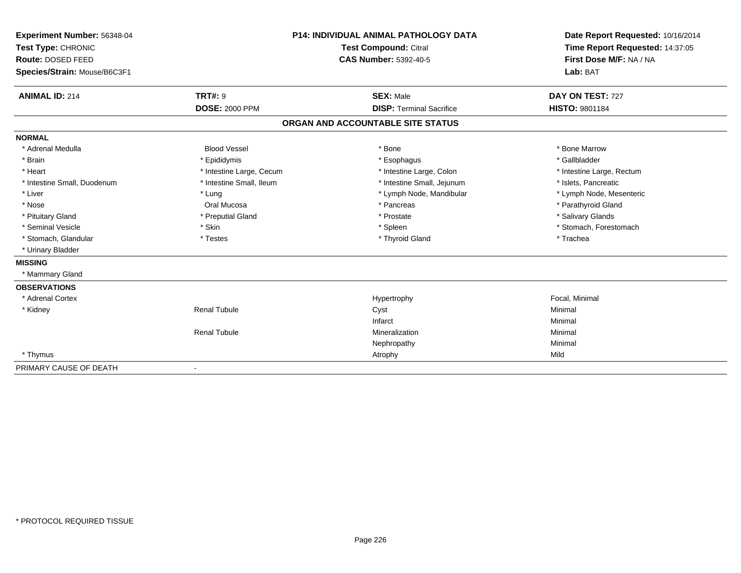| Experiment Number: 56348-04  |                          | P14: INDIVIDUAL ANIMAL PATHOLOGY DATA | Date Report Requested: 10/16/2014 |
|------------------------------|--------------------------|---------------------------------------|-----------------------------------|
| Test Type: CHRONIC           |                          | <b>Test Compound: Citral</b>          | Time Report Requested: 14:37:05   |
| Route: DOSED FEED            |                          | <b>CAS Number: 5392-40-5</b>          | First Dose M/F: NA / NA           |
| Species/Strain: Mouse/B6C3F1 |                          |                                       | Lab: BAT                          |
| <b>ANIMAL ID: 214</b>        | <b>TRT#: 9</b>           | <b>SEX: Male</b>                      | DAY ON TEST: 727                  |
|                              | <b>DOSE: 2000 PPM</b>    | <b>DISP: Terminal Sacrifice</b>       | <b>HISTO: 9801184</b>             |
|                              |                          | ORGAN AND ACCOUNTABLE SITE STATUS     |                                   |
| <b>NORMAL</b>                |                          |                                       |                                   |
| * Adrenal Medulla            | <b>Blood Vessel</b>      | * Bone                                | * Bone Marrow                     |
| * Brain                      | * Epididymis             | * Esophagus                           | * Gallbladder                     |
| * Heart                      | * Intestine Large, Cecum | * Intestine Large, Colon              | * Intestine Large, Rectum         |
| * Intestine Small, Duodenum  | * Intestine Small, Ileum | * Intestine Small, Jejunum            | * Islets, Pancreatic              |
| * Liver                      | * Lung                   | * Lymph Node, Mandibular              | * Lymph Node, Mesenteric          |
| * Nose                       | Oral Mucosa              | * Pancreas                            | * Parathyroid Gland               |
| * Pituitary Gland            | * Preputial Gland        | * Prostate                            | * Salivary Glands                 |
| * Seminal Vesicle            | * Skin                   | * Spleen                              | * Stomach, Forestomach            |
| * Stomach, Glandular         | * Testes                 | * Thyroid Gland                       | * Trachea                         |
| * Urinary Bladder            |                          |                                       |                                   |
| <b>MISSING</b>               |                          |                                       |                                   |
| * Mammary Gland              |                          |                                       |                                   |
| <b>OBSERVATIONS</b>          |                          |                                       |                                   |
| * Adrenal Cortex             |                          | Hypertrophy                           | Focal, Minimal                    |
| * Kidney                     | <b>Renal Tubule</b>      | Cyst                                  | Minimal                           |
|                              |                          | Infarct                               | Minimal                           |
|                              | <b>Renal Tubule</b>      | Mineralization                        | Minimal                           |
|                              |                          | Nephropathy                           | Minimal                           |
| * Thymus                     |                          | Atrophy                               | Mild                              |
| PRIMARY CAUSE OF DEATH       |                          |                                       |                                   |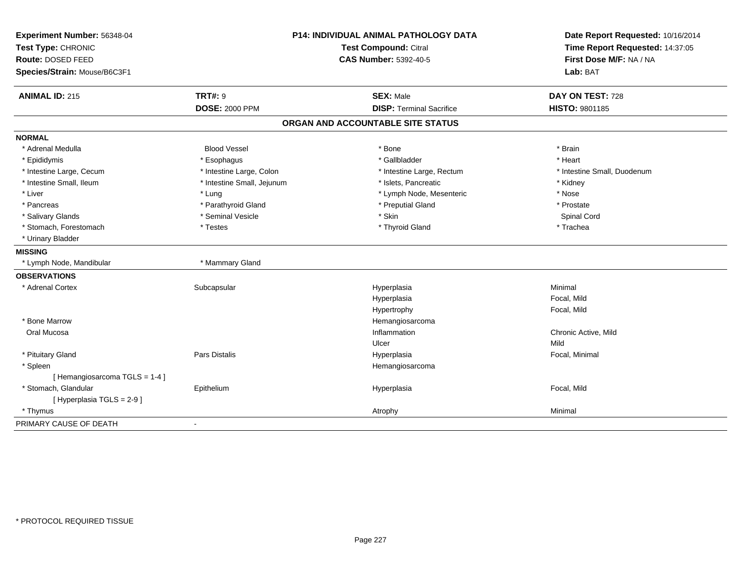| Experiment Number: 56348-04  | <b>P14: INDIVIDUAL ANIMAL PATHOLOGY DATA</b><br><b>Test Compound: Citral</b> |                                   | Date Report Requested: 10/16/2014 |
|------------------------------|------------------------------------------------------------------------------|-----------------------------------|-----------------------------------|
| Test Type: CHRONIC           |                                                                              |                                   | Time Report Requested: 14:37:05   |
| Route: DOSED FEED            |                                                                              | <b>CAS Number: 5392-40-5</b>      | First Dose M/F: NA / NA           |
| Species/Strain: Mouse/B6C3F1 |                                                                              |                                   | Lab: BAT                          |
| <b>ANIMAL ID: 215</b>        | <b>TRT#: 9</b>                                                               | <b>SEX: Male</b>                  | DAY ON TEST: 728                  |
|                              | <b>DOSE: 2000 PPM</b>                                                        | <b>DISP: Terminal Sacrifice</b>   | HISTO: 9801185                    |
|                              |                                                                              | ORGAN AND ACCOUNTABLE SITE STATUS |                                   |
| <b>NORMAL</b>                |                                                                              |                                   |                                   |
| * Adrenal Medulla            | <b>Blood Vessel</b>                                                          | * Bone                            | * Brain                           |
| * Epididymis                 | * Esophagus                                                                  | * Gallbladder                     | * Heart                           |
| * Intestine Large, Cecum     | * Intestine Large, Colon                                                     | * Intestine Large, Rectum         | * Intestine Small, Duodenum       |
| * Intestine Small, Ileum     | * Intestine Small, Jejunum                                                   | * Islets, Pancreatic              | * Kidney                          |
| * Liver                      | * Lung                                                                       | * Lymph Node, Mesenteric          | * Nose                            |
| * Pancreas                   | * Parathyroid Gland                                                          | * Preputial Gland                 | * Prostate                        |
| * Salivary Glands            | * Seminal Vesicle                                                            | * Skin                            | Spinal Cord                       |
| * Stomach, Forestomach       | * Testes                                                                     | * Thyroid Gland                   | * Trachea                         |
| * Urinary Bladder            |                                                                              |                                   |                                   |
| <b>MISSING</b>               |                                                                              |                                   |                                   |
| * Lymph Node, Mandibular     | * Mammary Gland                                                              |                                   |                                   |
| <b>OBSERVATIONS</b>          |                                                                              |                                   |                                   |
| * Adrenal Cortex             | Subcapsular                                                                  | Hyperplasia                       | Minimal                           |
|                              |                                                                              | Hyperplasia                       | Focal, Mild                       |
|                              |                                                                              | Hypertrophy                       | Focal, Mild                       |
| * Bone Marrow                |                                                                              | Hemangiosarcoma                   |                                   |
| Oral Mucosa                  |                                                                              | Inflammation                      | Chronic Active, Mild              |
|                              |                                                                              | Ulcer                             | Mild                              |
| * Pituitary Gland            | Pars Distalis                                                                | Hyperplasia                       | Focal, Minimal                    |
| * Spleen                     |                                                                              | Hemangiosarcoma                   |                                   |
| [Hemangiosarcoma TGLS = 1-4] |                                                                              |                                   |                                   |
| * Stomach, Glandular         | Epithelium                                                                   | Hyperplasia                       | Focal, Mild                       |
| [ Hyperplasia TGLS = 2-9 ]   |                                                                              |                                   |                                   |
| * Thymus                     |                                                                              | Atrophy                           | Minimal                           |
| PRIMARY CAUSE OF DEATH       | $\blacksquare$                                                               |                                   |                                   |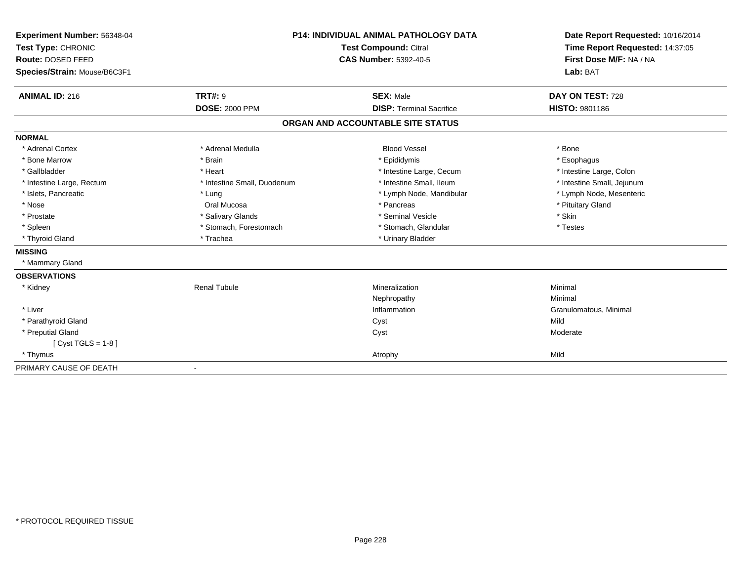| Experiment Number: 56348-04  | <b>P14: INDIVIDUAL ANIMAL PATHOLOGY DATA</b> |                                   | Date Report Requested: 10/16/2014 |  |
|------------------------------|----------------------------------------------|-----------------------------------|-----------------------------------|--|
| Test Type: CHRONIC           |                                              | <b>Test Compound: Citral</b>      | Time Report Requested: 14:37:05   |  |
| Route: DOSED FEED            |                                              | <b>CAS Number: 5392-40-5</b>      | First Dose M/F: NA / NA           |  |
| Species/Strain: Mouse/B6C3F1 |                                              |                                   | Lab: BAT                          |  |
| <b>ANIMAL ID: 216</b>        | <b>TRT#: 9</b>                               | <b>SEX: Male</b>                  | DAY ON TEST: 728                  |  |
|                              | <b>DOSE: 2000 PPM</b>                        | <b>DISP: Terminal Sacrifice</b>   | HISTO: 9801186                    |  |
|                              |                                              | ORGAN AND ACCOUNTABLE SITE STATUS |                                   |  |
| <b>NORMAL</b>                |                                              |                                   |                                   |  |
| * Adrenal Cortex             | * Adrenal Medulla                            | <b>Blood Vessel</b>               | * Bone                            |  |
| * Bone Marrow                | * Brain                                      | * Epididymis                      | * Esophagus                       |  |
| * Gallbladder                | * Heart                                      | * Intestine Large, Cecum          | * Intestine Large, Colon          |  |
| * Intestine Large, Rectum    | * Intestine Small, Duodenum                  | * Intestine Small, Ileum          | * Intestine Small, Jejunum        |  |
| * Islets, Pancreatic         | * Lung                                       | * Lymph Node, Mandibular          | * Lymph Node, Mesenteric          |  |
| * Nose                       | Oral Mucosa                                  | * Pancreas                        | * Pituitary Gland                 |  |
| * Prostate                   | * Salivary Glands                            | * Seminal Vesicle                 | * Skin                            |  |
| * Spleen                     | * Stomach, Forestomach                       | * Stomach, Glandular              | * Testes                          |  |
| * Thyroid Gland              | * Trachea                                    | * Urinary Bladder                 |                                   |  |
| <b>MISSING</b>               |                                              |                                   |                                   |  |
| * Mammary Gland              |                                              |                                   |                                   |  |
| <b>OBSERVATIONS</b>          |                                              |                                   |                                   |  |
| * Kidney                     | <b>Renal Tubule</b>                          | Mineralization                    | Minimal                           |  |
|                              |                                              | Nephropathy                       | Minimal                           |  |
| * Liver                      |                                              | Inflammation                      | Granulomatous, Minimal            |  |
| * Parathyroid Gland          |                                              | Cyst                              | Mild                              |  |
| * Preputial Gland            |                                              | Cyst                              | Moderate                          |  |
| [Cyst TGLS = $1-8$ ]         |                                              |                                   |                                   |  |
| * Thymus                     |                                              | Atrophy                           | Mild                              |  |
| PRIMARY CAUSE OF DEATH       | $\overline{\phantom{a}}$                     |                                   |                                   |  |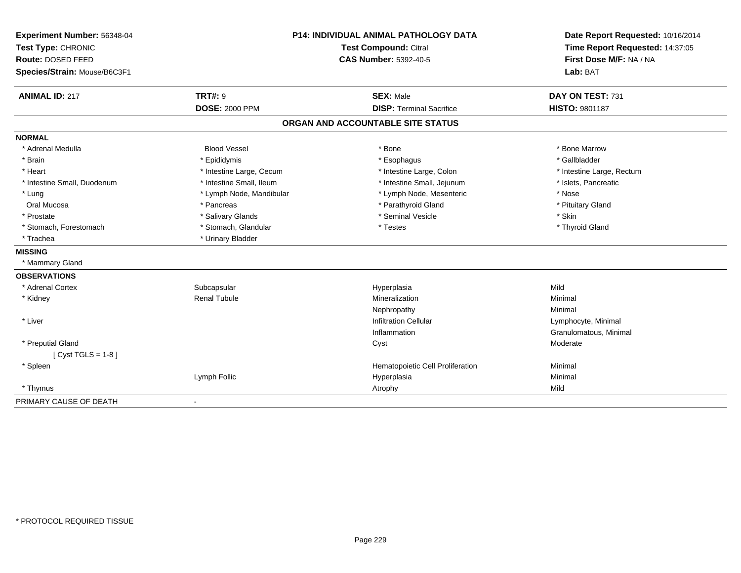| Experiment Number: 56348-04  |                              | P14: INDIVIDUAL ANIMAL PATHOLOGY DATA |                                     |
|------------------------------|------------------------------|---------------------------------------|-------------------------------------|
| Test Type: CHRONIC           | <b>Test Compound: Citral</b> |                                       | Time Report Requested: 14:37:05     |
| Route: DOSED FEED            |                              | <b>CAS Number: 5392-40-5</b>          | First Dose M/F: NA / NA<br>Lab: BAT |
| Species/Strain: Mouse/B6C3F1 |                              |                                       |                                     |
| <b>ANIMAL ID: 217</b>        | <b>TRT#: 9</b>               | <b>SEX: Male</b>                      | DAY ON TEST: 731                    |
|                              | <b>DOSE: 2000 PPM</b>        | <b>DISP: Terminal Sacrifice</b>       | <b>HISTO: 9801187</b>               |
|                              |                              | ORGAN AND ACCOUNTABLE SITE STATUS     |                                     |
| <b>NORMAL</b>                |                              |                                       |                                     |
| * Adrenal Medulla            | <b>Blood Vessel</b>          | * Bone                                | * Bone Marrow                       |
| * Brain                      | * Epididymis                 | * Esophagus                           | * Gallbladder                       |
| * Heart                      | * Intestine Large, Cecum     | * Intestine Large, Colon              | * Intestine Large, Rectum           |
| * Intestine Small, Duodenum  | * Intestine Small, Ileum     | * Intestine Small, Jejunum            | * Islets, Pancreatic                |
| * Lung                       | * Lymph Node, Mandibular     | * Lymph Node, Mesenteric              | * Nose                              |
| Oral Mucosa                  | * Pancreas                   | * Parathyroid Gland                   | * Pituitary Gland                   |
| * Prostate                   | * Salivary Glands            | * Seminal Vesicle                     | * Skin                              |
| * Stomach, Forestomach       | * Stomach, Glandular         | * Testes                              | * Thyroid Gland                     |
| * Trachea                    | * Urinary Bladder            |                                       |                                     |
| <b>MISSING</b>               |                              |                                       |                                     |
| * Mammary Gland              |                              |                                       |                                     |
| <b>OBSERVATIONS</b>          |                              |                                       |                                     |
| * Adrenal Cortex             | Subcapsular                  | Hyperplasia                           | Mild                                |
| * Kidney                     | Renal Tubule                 | Mineralization                        | Minimal                             |
|                              |                              | Nephropathy                           | Minimal                             |
| * Liver                      |                              | <b>Infiltration Cellular</b>          | Lymphocyte, Minimal                 |
|                              |                              | Inflammation                          | Granulomatous, Minimal              |
| * Preputial Gland            |                              | Cyst                                  | Moderate                            |
| [ $Cyst TGLS = 1-8$ ]        |                              |                                       |                                     |
| * Spleen                     |                              | Hematopoietic Cell Proliferation      | Minimal                             |
|                              | Lymph Follic                 | Hyperplasia                           | Minimal                             |
| * Thymus                     |                              | Atrophy                               | Mild                                |
| PRIMARY CAUSE OF DEATH       |                              |                                       |                                     |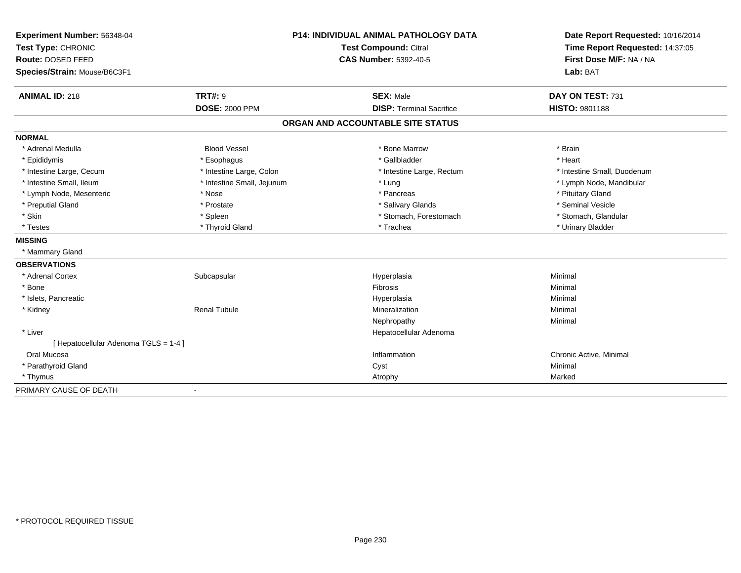| Experiment Number: 56348-04           |                            | <b>P14: INDIVIDUAL ANIMAL PATHOLOGY DATA</b> | Date Report Requested: 10/16/2014                          |  |
|---------------------------------------|----------------------------|----------------------------------------------|------------------------------------------------------------|--|
| Test Type: CHRONIC                    |                            | <b>Test Compound: Citral</b>                 | Time Report Requested: 14:37:05<br>First Dose M/F: NA / NA |  |
| Route: DOSED FEED                     |                            | <b>CAS Number: 5392-40-5</b>                 |                                                            |  |
| Species/Strain: Mouse/B6C3F1          |                            |                                              | Lab: BAT                                                   |  |
| <b>ANIMAL ID: 218</b>                 | <b>TRT#: 9</b>             | <b>SEX: Male</b>                             | DAY ON TEST: 731                                           |  |
|                                       | <b>DOSE: 2000 PPM</b>      | <b>DISP: Terminal Sacrifice</b>              | <b>HISTO: 9801188</b>                                      |  |
|                                       |                            | ORGAN AND ACCOUNTABLE SITE STATUS            |                                                            |  |
| <b>NORMAL</b>                         |                            |                                              |                                                            |  |
| * Adrenal Medulla                     | <b>Blood Vessel</b>        | * Bone Marrow                                | * Brain                                                    |  |
| * Epididymis                          | * Esophagus                | * Gallbladder                                | * Heart                                                    |  |
| * Intestine Large, Cecum              | * Intestine Large, Colon   | * Intestine Large, Rectum                    | * Intestine Small, Duodenum                                |  |
| * Intestine Small, Ileum              | * Intestine Small, Jejunum | * Lung                                       | * Lymph Node, Mandibular                                   |  |
| * Lymph Node, Mesenteric              | * Nose                     | * Pancreas                                   | * Pituitary Gland                                          |  |
| * Preputial Gland                     | * Prostate                 | * Salivary Glands                            | * Seminal Vesicle                                          |  |
| * Skin                                | * Spleen                   | * Stomach, Forestomach                       | * Stomach, Glandular                                       |  |
| * Testes                              | * Thyroid Gland            | * Trachea                                    | * Urinary Bladder                                          |  |
| <b>MISSING</b>                        |                            |                                              |                                                            |  |
| * Mammary Gland                       |                            |                                              |                                                            |  |
| <b>OBSERVATIONS</b>                   |                            |                                              |                                                            |  |
| * Adrenal Cortex                      | Subcapsular                | Hyperplasia                                  | Minimal                                                    |  |
| * Bone                                |                            | Fibrosis                                     | Minimal                                                    |  |
| * Islets, Pancreatic                  |                            | Hyperplasia                                  | Minimal                                                    |  |
| * Kidney                              | <b>Renal Tubule</b>        | Mineralization                               | Minimal                                                    |  |
|                                       |                            | Nephropathy                                  | Minimal                                                    |  |
| * Liver                               |                            | Hepatocellular Adenoma                       |                                                            |  |
| [ Hepatocellular Adenoma TGLS = 1-4 ] |                            |                                              |                                                            |  |
| Oral Mucosa                           |                            | Inflammation                                 | Chronic Active, Minimal                                    |  |
| * Parathyroid Gland                   |                            | Cyst                                         | Minimal                                                    |  |
| * Thymus                              |                            | Atrophy                                      | Marked                                                     |  |
| PRIMARY CAUSE OF DEATH                | $\blacksquare$             |                                              |                                                            |  |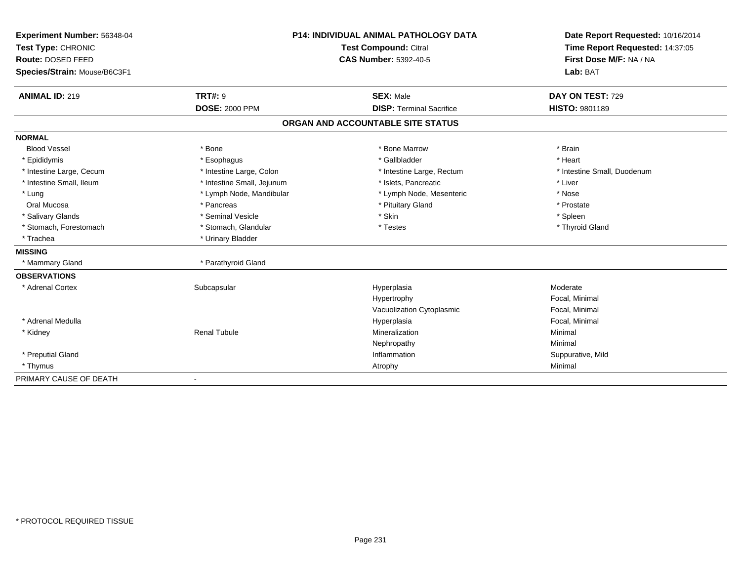|                              | <b>P14: INDIVIDUAL ANIMAL PATHOLOGY DATA</b><br>Experiment Number: 56348-04<br>Test Compound: Citral<br>Test Type: CHRONIC |                                   | Date Report Requested: 10/16/2014 |  |
|------------------------------|----------------------------------------------------------------------------------------------------------------------------|-----------------------------------|-----------------------------------|--|
|                              |                                                                                                                            |                                   | Time Report Requested: 14:37:05   |  |
| Route: DOSED FEED            |                                                                                                                            | <b>CAS Number: 5392-40-5</b>      | First Dose M/F: NA / NA           |  |
| Species/Strain: Mouse/B6C3F1 |                                                                                                                            |                                   | Lab: BAT                          |  |
|                              |                                                                                                                            |                                   |                                   |  |
| <b>ANIMAL ID: 219</b>        | <b>TRT#: 9</b>                                                                                                             | <b>SEX: Male</b>                  | DAY ON TEST: 729                  |  |
|                              | <b>DOSE: 2000 PPM</b>                                                                                                      | <b>DISP: Terminal Sacrifice</b>   | <b>HISTO: 9801189</b>             |  |
|                              |                                                                                                                            | ORGAN AND ACCOUNTABLE SITE STATUS |                                   |  |
| <b>NORMAL</b>                |                                                                                                                            |                                   |                                   |  |
| <b>Blood Vessel</b>          | * Bone                                                                                                                     | * Bone Marrow                     | * Brain                           |  |
| * Epididymis                 | * Esophagus                                                                                                                | * Gallbladder                     | * Heart                           |  |
| * Intestine Large, Cecum     | * Intestine Large, Colon                                                                                                   | * Intestine Large, Rectum         | * Intestine Small, Duodenum       |  |
| * Intestine Small, Ileum     | * Intestine Small, Jejunum                                                                                                 | * Islets, Pancreatic              | * Liver                           |  |
| * Lung                       | * Lymph Node, Mandibular                                                                                                   | * Lymph Node, Mesenteric          | * Nose                            |  |
| Oral Mucosa                  | * Pancreas                                                                                                                 | * Pituitary Gland                 | * Prostate                        |  |
| * Salivary Glands            | * Seminal Vesicle                                                                                                          | * Skin                            | * Spleen                          |  |
| * Stomach, Forestomach       | * Stomach, Glandular                                                                                                       | * Testes                          | * Thyroid Gland                   |  |
| * Trachea                    | * Urinary Bladder                                                                                                          |                                   |                                   |  |
| <b>MISSING</b>               |                                                                                                                            |                                   |                                   |  |
| * Mammary Gland              | * Parathyroid Gland                                                                                                        |                                   |                                   |  |
| <b>OBSERVATIONS</b>          |                                                                                                                            |                                   |                                   |  |
| * Adrenal Cortex             | Subcapsular                                                                                                                | Hyperplasia                       | Moderate                          |  |
|                              |                                                                                                                            | Hypertrophy                       | Focal, Minimal                    |  |
|                              |                                                                                                                            | Vacuolization Cytoplasmic         | Focal, Minimal                    |  |
| * Adrenal Medulla            |                                                                                                                            | Hyperplasia                       | Focal, Minimal                    |  |
| * Kidney                     | <b>Renal Tubule</b>                                                                                                        | Mineralization                    | Minimal                           |  |
|                              |                                                                                                                            | Nephropathy                       | Minimal                           |  |
| * Preputial Gland            |                                                                                                                            | Inflammation                      | Suppurative, Mild                 |  |
| * Thymus                     |                                                                                                                            | Atrophy                           | Minimal                           |  |
| PRIMARY CAUSE OF DEATH       |                                                                                                                            |                                   |                                   |  |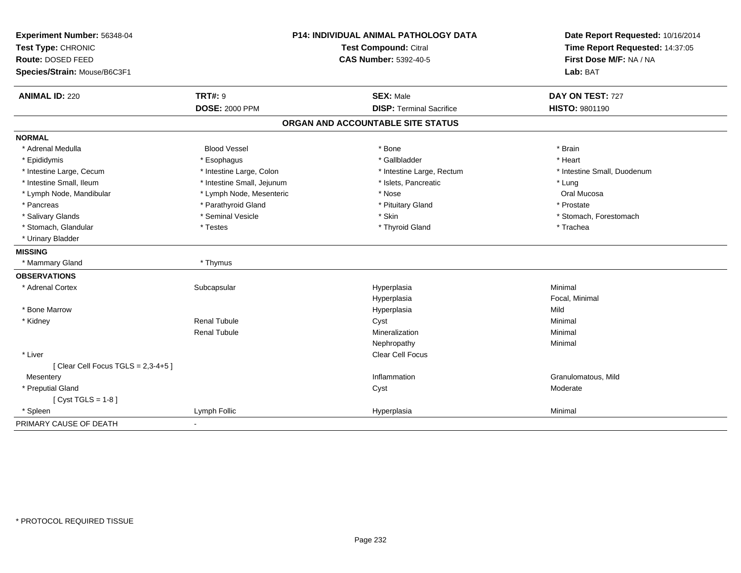| Experiment Number: 56348-04          |                              | <b>P14: INDIVIDUAL ANIMAL PATHOLOGY DATA</b> | Date Report Requested: 10/16/2014 |
|--------------------------------------|------------------------------|----------------------------------------------|-----------------------------------|
| Test Type: CHRONIC                   | <b>Test Compound: Citral</b> |                                              | Time Report Requested: 14:37:05   |
| Route: DOSED FEED                    |                              | <b>CAS Number: 5392-40-5</b>                 | First Dose M/F: NA / NA           |
| Species/Strain: Mouse/B6C3F1         |                              |                                              | Lab: BAT                          |
| <b>ANIMAL ID: 220</b>                | <b>TRT#: 9</b>               | <b>SEX: Male</b>                             | DAY ON TEST: 727                  |
|                                      | <b>DOSE: 2000 PPM</b>        | <b>DISP: Terminal Sacrifice</b>              | HISTO: 9801190                    |
|                                      |                              | ORGAN AND ACCOUNTABLE SITE STATUS            |                                   |
| <b>NORMAL</b>                        |                              |                                              |                                   |
| * Adrenal Medulla                    | <b>Blood Vessel</b>          | * Bone                                       | * Brain                           |
| * Epididymis                         | * Esophagus                  | * Gallbladder                                | * Heart                           |
| * Intestine Large, Cecum             | * Intestine Large, Colon     | * Intestine Large, Rectum                    | * Intestine Small, Duodenum       |
| * Intestine Small, Ileum             | * Intestine Small, Jejunum   | * Islets, Pancreatic                         | * Lung                            |
| * Lymph Node, Mandibular             | * Lymph Node, Mesenteric     | * Nose                                       | Oral Mucosa                       |
| * Pancreas                           | * Parathyroid Gland          | * Pituitary Gland                            | * Prostate                        |
| * Salivary Glands                    | * Seminal Vesicle            | * Skin                                       | * Stomach, Forestomach            |
| * Stomach, Glandular                 | * Testes                     | * Thyroid Gland                              | * Trachea                         |
| * Urinary Bladder                    |                              |                                              |                                   |
| <b>MISSING</b>                       |                              |                                              |                                   |
| * Mammary Gland                      | * Thymus                     |                                              |                                   |
| <b>OBSERVATIONS</b>                  |                              |                                              |                                   |
| * Adrenal Cortex                     | Subcapsular                  | Hyperplasia                                  | Minimal                           |
|                                      |                              | Hyperplasia                                  | Focal, Minimal                    |
| * Bone Marrow                        |                              | Hyperplasia                                  | Mild                              |
| * Kidney                             | <b>Renal Tubule</b>          | Cyst                                         | Minimal                           |
|                                      | <b>Renal Tubule</b>          | Mineralization                               | Minimal                           |
|                                      |                              | Nephropathy                                  | Minimal                           |
| * Liver                              |                              | Clear Cell Focus                             |                                   |
| [Clear Cell Focus TGLS = $2,3-4+5$ ] |                              |                                              |                                   |
| Mesentery                            |                              | Inflammation                                 | Granulomatous, Mild               |
| * Preputial Gland                    |                              | Cyst                                         | Moderate                          |
| [Cyst TGLS = $1-8$ ]                 |                              |                                              |                                   |
| * Spleen                             | Lymph Follic                 | Hyperplasia                                  | Minimal                           |
| PRIMARY CAUSE OF DEATH               | $\sim$                       |                                              |                                   |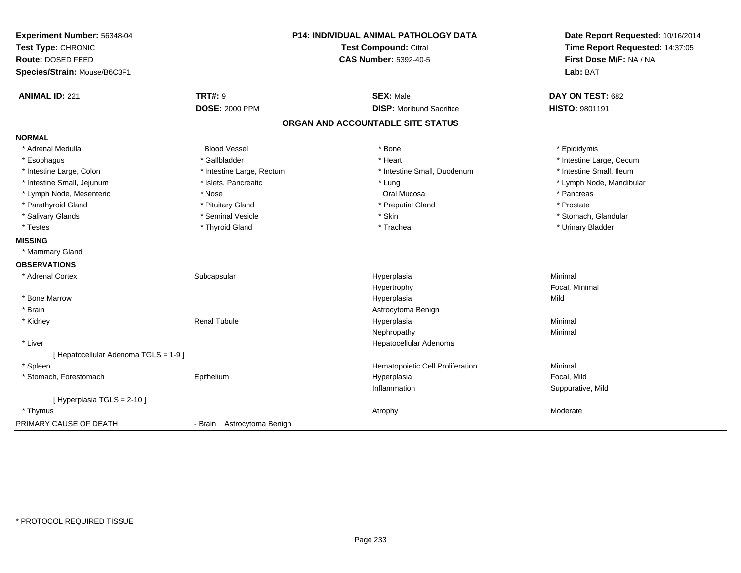| Experiment Number: 56348-04           |                            | P14: INDIVIDUAL ANIMAL PATHOLOGY DATA | Date Report Requested: 10/16/2014<br>Time Report Requested: 14:37:05 |
|---------------------------------------|----------------------------|---------------------------------------|----------------------------------------------------------------------|
| Test Type: CHRONIC                    | Test Compound: Citral      |                                       |                                                                      |
| Route: DOSED FEED                     |                            | <b>CAS Number: 5392-40-5</b>          | First Dose M/F: NA / NA                                              |
| Species/Strain: Mouse/B6C3F1          |                            |                                       | Lab: BAT                                                             |
| <b>ANIMAL ID: 221</b>                 | <b>TRT#: 9</b>             | <b>SEX: Male</b>                      | DAY ON TEST: 682                                                     |
|                                       | <b>DOSE: 2000 PPM</b>      | <b>DISP:</b> Moribund Sacrifice       | <b>HISTO: 9801191</b>                                                |
|                                       |                            | ORGAN AND ACCOUNTABLE SITE STATUS     |                                                                      |
| <b>NORMAL</b>                         |                            |                                       |                                                                      |
| * Adrenal Medulla                     | <b>Blood Vessel</b>        | * Bone                                | * Epididymis                                                         |
| * Esophagus                           | * Gallbladder              | * Heart                               | * Intestine Large, Cecum                                             |
| * Intestine Large, Colon              | * Intestine Large, Rectum  | * Intestine Small, Duodenum           | * Intestine Small, Ileum                                             |
| * Intestine Small, Jejunum            | * Islets, Pancreatic       | * Lung                                | * Lymph Node, Mandibular                                             |
| * Lymph Node, Mesenteric              | * Nose                     | Oral Mucosa                           | * Pancreas                                                           |
| * Parathyroid Gland                   | * Pituitary Gland          | * Preputial Gland                     | * Prostate                                                           |
| * Salivary Glands                     | * Seminal Vesicle          | * Skin                                | * Stomach, Glandular                                                 |
| * Testes                              | * Thyroid Gland            | * Trachea                             | * Urinary Bladder                                                    |
| <b>MISSING</b>                        |                            |                                       |                                                                      |
| * Mammary Gland                       |                            |                                       |                                                                      |
| <b>OBSERVATIONS</b>                   |                            |                                       |                                                                      |
| * Adrenal Cortex                      | Subcapsular                | Hyperplasia                           | Minimal                                                              |
|                                       |                            | Hypertrophy                           | Focal, Minimal                                                       |
| * Bone Marrow                         |                            | Hyperplasia                           | Mild                                                                 |
| * Brain                               |                            | Astrocytoma Benign                    |                                                                      |
| * Kidney                              | <b>Renal Tubule</b>        | Hyperplasia                           | Minimal                                                              |
|                                       |                            | Nephropathy                           | Minimal                                                              |
| * Liver                               |                            | Hepatocellular Adenoma                |                                                                      |
| [ Hepatocellular Adenoma TGLS = 1-9 ] |                            |                                       |                                                                      |
| * Spleen                              |                            | Hematopoietic Cell Proliferation      | Minimal                                                              |
| * Stomach, Forestomach                | Epithelium                 | Hyperplasia                           | Focal, Mild                                                          |
|                                       |                            | Inflammation                          | Suppurative, Mild                                                    |
| [Hyperplasia TGLS = $2-10$ ]          |                            |                                       |                                                                      |
| * Thymus                              |                            | Atrophy                               | Moderate                                                             |
| PRIMARY CAUSE OF DEATH                | - Brain Astrocytoma Benign |                                       |                                                                      |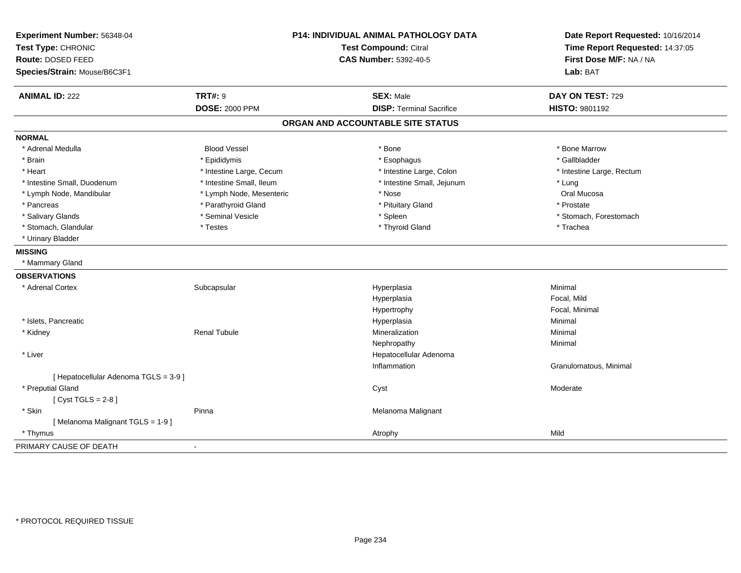| Experiment Number: 56348-04<br>Test Type: CHRONIC |                          | P14: INDIVIDUAL ANIMAL PATHOLOGY DATA<br><b>Test Compound: Citral</b> | Date Report Requested: 10/16/2014<br>Time Report Requested: 14:37:05 |
|---------------------------------------------------|--------------------------|-----------------------------------------------------------------------|----------------------------------------------------------------------|
| Route: DOSED FEED<br>Species/Strain: Mouse/B6C3F1 |                          | <b>CAS Number: 5392-40-5</b>                                          | First Dose M/F: NA / NA<br>Lab: BAT                                  |
| <b>ANIMAL ID: 222</b>                             | <b>TRT#: 9</b>           | <b>SEX: Male</b>                                                      | DAY ON TEST: 729                                                     |
|                                                   | <b>DOSE: 2000 PPM</b>    | <b>DISP: Terminal Sacrifice</b>                                       | HISTO: 9801192                                                       |
|                                                   |                          | ORGAN AND ACCOUNTABLE SITE STATUS                                     |                                                                      |
| <b>NORMAL</b>                                     |                          |                                                                       |                                                                      |
| * Adrenal Medulla                                 | <b>Blood Vessel</b>      | * Bone                                                                | * Bone Marrow                                                        |
| * Brain                                           | * Epididymis             | * Esophagus                                                           | * Gallbladder                                                        |
| * Heart                                           | * Intestine Large, Cecum | * Intestine Large, Colon                                              | * Intestine Large, Rectum                                            |
| * Intestine Small, Duodenum                       | * Intestine Small, Ileum | * Intestine Small, Jejunum                                            | * Lung                                                               |
| * Lymph Node, Mandibular                          | * Lymph Node, Mesenteric | * Nose                                                                | Oral Mucosa                                                          |
| * Pancreas                                        | * Parathyroid Gland      | * Pituitary Gland                                                     | * Prostate                                                           |
| * Salivary Glands                                 | * Seminal Vesicle        | * Spleen                                                              | * Stomach, Forestomach                                               |
| * Stomach, Glandular                              | * Testes                 | * Thyroid Gland                                                       | * Trachea                                                            |
| * Urinary Bladder                                 |                          |                                                                       |                                                                      |
| <b>MISSING</b>                                    |                          |                                                                       |                                                                      |
| * Mammary Gland                                   |                          |                                                                       |                                                                      |
| <b>OBSERVATIONS</b>                               |                          |                                                                       |                                                                      |
| * Adrenal Cortex                                  | Subcapsular              | Hyperplasia                                                           | Minimal                                                              |
|                                                   |                          | Hyperplasia                                                           | Focal, Mild                                                          |
|                                                   |                          | Hypertrophy                                                           | Focal, Minimal                                                       |
| * Islets, Pancreatic                              |                          | Hyperplasia                                                           | Minimal                                                              |
| * Kidney                                          | <b>Renal Tubule</b>      | Mineralization                                                        | Minimal                                                              |
|                                                   |                          | Nephropathy                                                           | Minimal                                                              |
| * Liver                                           |                          | Hepatocellular Adenoma                                                |                                                                      |
|                                                   |                          | Inflammation                                                          | Granulomatous, Minimal                                               |
| [ Hepatocellular Adenoma TGLS = 3-9 ]             |                          |                                                                       |                                                                      |
| * Preputial Gland                                 |                          | Cyst                                                                  | Moderate                                                             |
| [Cyst TGLS = $2-8$ ]                              |                          |                                                                       |                                                                      |
| * Skin                                            | Pinna                    | Melanoma Malignant                                                    |                                                                      |
| [Melanoma Malignant TGLS = 1-9]                   |                          |                                                                       |                                                                      |
| * Thymus                                          |                          | Atrophy                                                               | Mild                                                                 |
| PRIMARY CAUSE OF DEATH                            | $\overline{\phantom{a}}$ |                                                                       |                                                                      |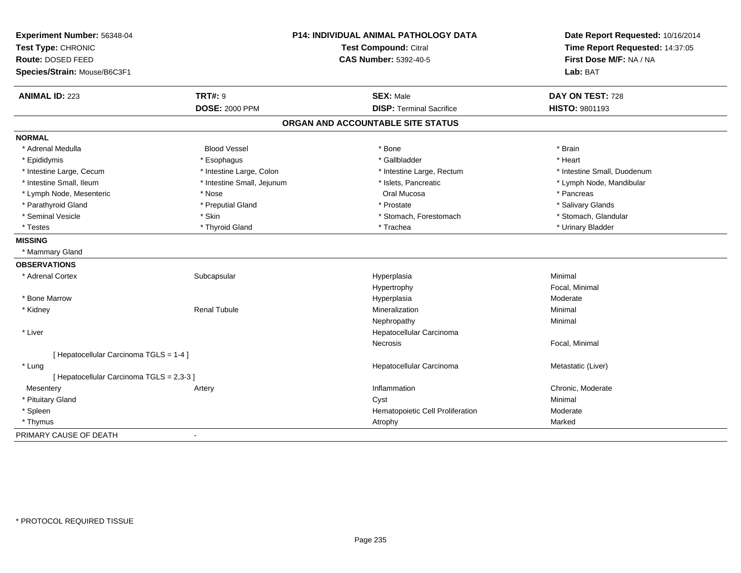| Experiment Number: 56348-04<br>Test Type: CHRONIC<br>Route: DOSED FEED |                            | P14: INDIVIDUAL ANIMAL PATHOLOGY DATA<br><b>Test Compound: Citral</b><br><b>CAS Number: 5392-40-5</b> |                                     |
|------------------------------------------------------------------------|----------------------------|-------------------------------------------------------------------------------------------------------|-------------------------------------|
| Species/Strain: Mouse/B6C3F1                                           |                            |                                                                                                       | First Dose M/F: NA / NA<br>Lab: BAT |
| <b>ANIMAL ID: 223</b>                                                  | <b>TRT#: 9</b>             | <b>SEX: Male</b>                                                                                      | DAY ON TEST: 728                    |
|                                                                        | <b>DOSE: 2000 PPM</b>      | <b>DISP: Terminal Sacrifice</b>                                                                       | HISTO: 9801193                      |
|                                                                        |                            | ORGAN AND ACCOUNTABLE SITE STATUS                                                                     |                                     |
| <b>NORMAL</b>                                                          |                            |                                                                                                       |                                     |
| * Adrenal Medulla                                                      | <b>Blood Vessel</b>        | * Bone                                                                                                | * Brain                             |
| * Epididymis                                                           | * Esophagus                | * Gallbladder                                                                                         | * Heart                             |
| * Intestine Large, Cecum                                               | * Intestine Large, Colon   | * Intestine Large, Rectum                                                                             | * Intestine Small, Duodenum         |
| * Intestine Small, Ileum                                               | * Intestine Small, Jejunum | * Islets, Pancreatic                                                                                  | * Lymph Node, Mandibular            |
| * Lymph Node, Mesenteric                                               | * Nose                     | Oral Mucosa                                                                                           | * Pancreas                          |
| * Parathyroid Gland                                                    | * Preputial Gland          | * Prostate                                                                                            | * Salivary Glands                   |
| * Seminal Vesicle                                                      | * Skin                     | * Stomach, Forestomach                                                                                | * Stomach, Glandular                |
| * Testes                                                               | * Thyroid Gland            | * Trachea                                                                                             | * Urinary Bladder                   |
| <b>MISSING</b>                                                         |                            |                                                                                                       |                                     |
| * Mammary Gland                                                        |                            |                                                                                                       |                                     |
| <b>OBSERVATIONS</b>                                                    |                            |                                                                                                       |                                     |
| * Adrenal Cortex                                                       | Subcapsular                | Hyperplasia                                                                                           | Minimal                             |
|                                                                        |                            | Hypertrophy                                                                                           | Focal, Minimal                      |
| * Bone Marrow                                                          |                            | Hyperplasia                                                                                           | Moderate                            |
| * Kidney                                                               | <b>Renal Tubule</b>        | Mineralization                                                                                        | Minimal                             |
|                                                                        |                            | Nephropathy                                                                                           | Minimal                             |
| * Liver                                                                |                            | Hepatocellular Carcinoma                                                                              |                                     |
|                                                                        |                            | <b>Necrosis</b>                                                                                       | Focal, Minimal                      |
| [ Hepatocellular Carcinoma TGLS = 1-4 ]                                |                            |                                                                                                       |                                     |
| * Lung                                                                 |                            | Hepatocellular Carcinoma                                                                              | Metastatic (Liver)                  |
| [ Hepatocellular Carcinoma TGLS = 2,3-3 ]                              |                            |                                                                                                       |                                     |
| Mesentery                                                              | Artery                     | Inflammation                                                                                          | Chronic, Moderate                   |
| * Pituitary Gland                                                      |                            | Cyst                                                                                                  | Minimal                             |
| * Spleen                                                               |                            | Hematopoietic Cell Proliferation                                                                      | Moderate                            |
| * Thymus                                                               |                            | Atrophy                                                                                               | Marked                              |
| PRIMARY CAUSE OF DEATH                                                 |                            |                                                                                                       |                                     |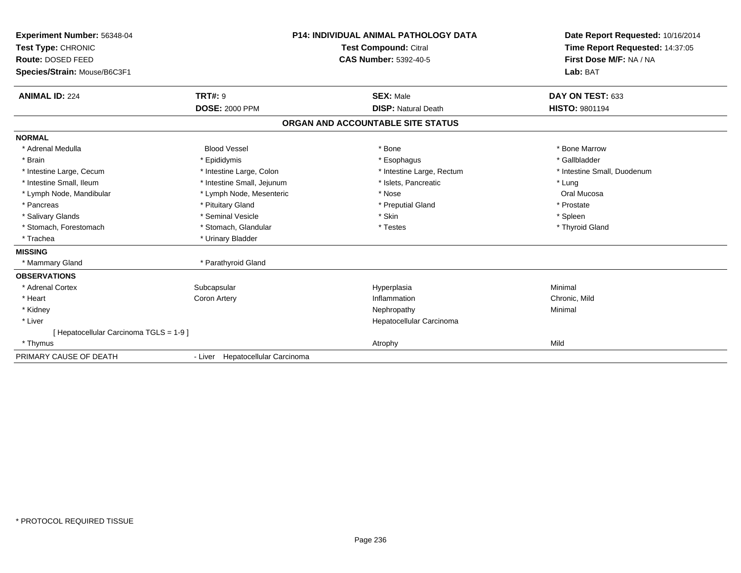| Experiment Number: 56348-04<br>Test Type: CHRONIC<br>Route: DOSED FEED<br>Species/Strain: Mouse/B6C3F1 |                                  | <b>P14: INDIVIDUAL ANIMAL PATHOLOGY DATA</b><br><b>Test Compound: Citral</b><br><b>CAS Number: 5392-40-5</b> | Date Report Requested: 10/16/2014<br>Time Report Requested: 14:37:05<br>First Dose M/F: NA / NA<br>Lab: BAT |
|--------------------------------------------------------------------------------------------------------|----------------------------------|--------------------------------------------------------------------------------------------------------------|-------------------------------------------------------------------------------------------------------------|
| <b>ANIMAL ID: 224</b>                                                                                  | <b>TRT#: 9</b>                   | <b>SEX: Male</b><br><b>DISP: Natural Death</b>                                                               | DAY ON TEST: 633<br><b>HISTO: 9801194</b>                                                                   |
|                                                                                                        | <b>DOSE: 2000 PPM</b>            |                                                                                                              |                                                                                                             |
|                                                                                                        |                                  | ORGAN AND ACCOUNTABLE SITE STATUS                                                                            |                                                                                                             |
| <b>NORMAL</b>                                                                                          |                                  |                                                                                                              |                                                                                                             |
| * Adrenal Medulla                                                                                      | <b>Blood Vessel</b>              | * Bone                                                                                                       | * Bone Marrow                                                                                               |
| * Brain                                                                                                | * Epididymis                     | * Esophagus                                                                                                  | * Gallbladder                                                                                               |
| * Intestine Large, Cecum                                                                               | * Intestine Large, Colon         | * Intestine Large, Rectum                                                                                    | * Intestine Small, Duodenum                                                                                 |
| * Intestine Small, Ileum                                                                               | * Intestine Small, Jejunum       | * Islets, Pancreatic                                                                                         | * Lung                                                                                                      |
| * Lymph Node, Mandibular                                                                               | * Lymph Node, Mesenteric         | * Nose                                                                                                       | Oral Mucosa                                                                                                 |
| * Pancreas                                                                                             | * Pituitary Gland                | * Preputial Gland                                                                                            | * Prostate                                                                                                  |
| * Salivary Glands                                                                                      | * Seminal Vesicle                | * Skin                                                                                                       | * Spleen                                                                                                    |
| * Stomach, Forestomach                                                                                 | * Stomach, Glandular             | * Testes                                                                                                     | * Thyroid Gland                                                                                             |
| * Trachea                                                                                              | * Urinary Bladder                |                                                                                                              |                                                                                                             |
| <b>MISSING</b>                                                                                         |                                  |                                                                                                              |                                                                                                             |
| * Mammary Gland                                                                                        | * Parathyroid Gland              |                                                                                                              |                                                                                                             |
| <b>OBSERVATIONS</b>                                                                                    |                                  |                                                                                                              |                                                                                                             |
| * Adrenal Cortex                                                                                       | Subcapsular                      | Hyperplasia                                                                                                  | Minimal                                                                                                     |
| * Heart                                                                                                | <b>Coron Artery</b>              | Inflammation                                                                                                 | Chronic, Mild                                                                                               |
| * Kidney                                                                                               |                                  | Nephropathy                                                                                                  | Minimal                                                                                                     |
| * Liver                                                                                                |                                  | Hepatocellular Carcinoma                                                                                     |                                                                                                             |
| [ Hepatocellular Carcinoma TGLS = 1-9 ]                                                                |                                  |                                                                                                              |                                                                                                             |
| * Thymus                                                                                               |                                  | Atrophy                                                                                                      | Mild                                                                                                        |
| PRIMARY CAUSE OF DEATH                                                                                 | - Liver Hepatocellular Carcinoma |                                                                                                              |                                                                                                             |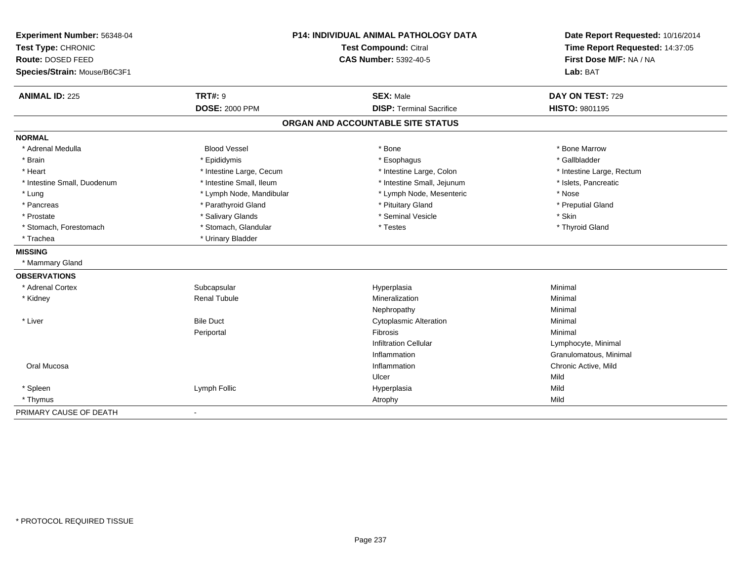| Experiment Number: 56348-04<br>Test Type: CHRONIC<br>Route: DOSED FEED<br>Species/Strain: Mouse/B6C3F1 | P14: INDIVIDUAL ANIMAL PATHOLOGY DATA<br><b>Test Compound: Citral</b><br><b>CAS Number: 5392-40-5</b> |                                                     | Date Report Requested: 10/16/2014<br>Time Report Requested: 14:37:05<br>First Dose M/F: NA / NA<br>Lab: BAT |  |
|--------------------------------------------------------------------------------------------------------|-------------------------------------------------------------------------------------------------------|-----------------------------------------------------|-------------------------------------------------------------------------------------------------------------|--|
| <b>ANIMAL ID: 225</b><br><b>TRT#: 9</b><br><b>DOSE: 2000 PPM</b>                                       |                                                                                                       | <b>SEX: Male</b><br><b>DISP: Terminal Sacrifice</b> | DAY ON TEST: 729<br>HISTO: 9801195                                                                          |  |
|                                                                                                        |                                                                                                       | ORGAN AND ACCOUNTABLE SITE STATUS                   |                                                                                                             |  |
|                                                                                                        |                                                                                                       |                                                     |                                                                                                             |  |
| <b>NORMAL</b>                                                                                          |                                                                                                       |                                                     |                                                                                                             |  |
| * Adrenal Medulla<br><b>Blood Vessel</b>                                                               |                                                                                                       | * Bone                                              | * Bone Marrow                                                                                               |  |
| * Brain<br>* Epididymis                                                                                |                                                                                                       | * Esophagus                                         | * Gallbladder                                                                                               |  |
| * Heart                                                                                                | * Intestine Large, Cecum                                                                              | * Intestine Large, Colon                            | * Intestine Large, Rectum                                                                                   |  |
| * Intestine Small, Duodenum                                                                            | * Intestine Small, Ileum                                                                              | * Intestine Small, Jejunum                          | * Islets, Pancreatic                                                                                        |  |
| * Lung                                                                                                 | * Lymph Node, Mandibular                                                                              | * Lymph Node, Mesenteric                            | * Nose                                                                                                      |  |
| * Pancreas                                                                                             | * Parathyroid Gland                                                                                   | * Pituitary Gland                                   | * Preputial Gland                                                                                           |  |
| * Salivary Glands<br>* Prostate                                                                        |                                                                                                       | * Seminal Vesicle                                   | * Skin                                                                                                      |  |
| * Stomach, Forestomach                                                                                 | * Stomach, Glandular                                                                                  | * Testes                                            | * Thyroid Gland                                                                                             |  |
| * Urinary Bladder<br>* Trachea                                                                         |                                                                                                       |                                                     |                                                                                                             |  |
| <b>MISSING</b>                                                                                         |                                                                                                       |                                                     |                                                                                                             |  |
| * Mammary Gland                                                                                        |                                                                                                       |                                                     |                                                                                                             |  |
| <b>OBSERVATIONS</b>                                                                                    |                                                                                                       |                                                     |                                                                                                             |  |
| * Adrenal Cortex<br>Subcapsular                                                                        |                                                                                                       | Hyperplasia                                         | Minimal                                                                                                     |  |
| * Kidney<br><b>Renal Tubule</b>                                                                        |                                                                                                       | Mineralization                                      | Minimal                                                                                                     |  |
|                                                                                                        |                                                                                                       | Nephropathy                                         | Minimal                                                                                                     |  |
| <b>Bile Duct</b><br>* Liver                                                                            |                                                                                                       | <b>Cytoplasmic Alteration</b>                       | Minimal                                                                                                     |  |
| Periportal                                                                                             |                                                                                                       | Fibrosis                                            | Minimal                                                                                                     |  |
|                                                                                                        |                                                                                                       | <b>Infiltration Cellular</b>                        | Lymphocyte, Minimal                                                                                         |  |
|                                                                                                        |                                                                                                       | Inflammation                                        | Granulomatous, Minimal                                                                                      |  |
| Oral Mucosa                                                                                            |                                                                                                       | Inflammation                                        | Chronic Active, Mild                                                                                        |  |
|                                                                                                        |                                                                                                       | Ulcer                                               | Mild                                                                                                        |  |
| * Spleen<br>Lymph Follic                                                                               |                                                                                                       | Hyperplasia                                         | Mild                                                                                                        |  |
| * Thymus                                                                                               |                                                                                                       | Atrophy                                             | Mild                                                                                                        |  |
| PRIMARY CAUSE OF DEATH<br>$\blacksquare$                                                               |                                                                                                       |                                                     |                                                                                                             |  |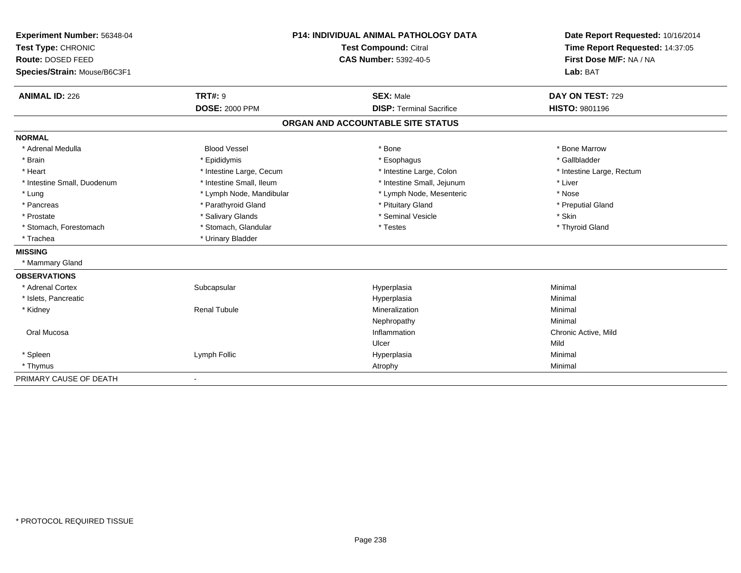| Experiment Number: 56348-04  | <b>P14: INDIVIDUAL ANIMAL PATHOLOGY DATA</b><br>Test Compound: Citral |                                   | Date Report Requested: 10/16/2014 |  |
|------------------------------|-----------------------------------------------------------------------|-----------------------------------|-----------------------------------|--|
| Test Type: CHRONIC           |                                                                       |                                   | Time Report Requested: 14:37:05   |  |
| Route: DOSED FEED            |                                                                       | <b>CAS Number: 5392-40-5</b>      | First Dose M/F: NA / NA           |  |
| Species/Strain: Mouse/B6C3F1 |                                                                       |                                   | Lab: BAT                          |  |
| <b>ANIMAL ID: 226</b>        | <b>TRT#: 9</b>                                                        | <b>SEX: Male</b>                  | DAY ON TEST: 729                  |  |
|                              | <b>DOSE: 2000 PPM</b>                                                 | <b>DISP: Terminal Sacrifice</b>   | <b>HISTO: 9801196</b>             |  |
|                              |                                                                       | ORGAN AND ACCOUNTABLE SITE STATUS |                                   |  |
| <b>NORMAL</b>                |                                                                       |                                   |                                   |  |
| * Adrenal Medulla            | <b>Blood Vessel</b>                                                   | * Bone                            | * Bone Marrow                     |  |
| * Brain                      | * Epididymis                                                          | * Esophagus                       | * Gallbladder                     |  |
| * Heart                      | * Intestine Large, Cecum                                              | * Intestine Large, Colon          | * Intestine Large, Rectum         |  |
| * Intestine Small, Duodenum  | * Intestine Small, Ileum                                              | * Intestine Small, Jejunum        | * Liver                           |  |
| * Lung                       | * Lymph Node, Mandibular                                              | * Lymph Node, Mesenteric          | * Nose                            |  |
| * Pancreas                   | * Parathyroid Gland                                                   | * Pituitary Gland                 | * Preputial Gland                 |  |
| * Prostate                   | * Salivary Glands                                                     | * Seminal Vesicle                 | * Skin                            |  |
| * Stomach, Forestomach       | * Stomach, Glandular                                                  | * Testes                          | * Thyroid Gland                   |  |
| * Trachea                    | * Urinary Bladder                                                     |                                   |                                   |  |
| <b>MISSING</b>               |                                                                       |                                   |                                   |  |
| * Mammary Gland              |                                                                       |                                   |                                   |  |
| <b>OBSERVATIONS</b>          |                                                                       |                                   |                                   |  |
| * Adrenal Cortex             | Subcapsular                                                           | Hyperplasia                       | Minimal                           |  |
| * Islets, Pancreatic         |                                                                       | Hyperplasia                       | Minimal                           |  |
| * Kidney                     | <b>Renal Tubule</b>                                                   | Mineralization                    | Minimal                           |  |
|                              |                                                                       | Nephropathy                       | Minimal                           |  |
| Oral Mucosa                  |                                                                       | Inflammation                      | Chronic Active, Mild              |  |
|                              |                                                                       | Ulcer                             | Mild                              |  |
| * Spleen                     | Lymph Follic                                                          | Hyperplasia                       | Minimal                           |  |
| * Thymus                     |                                                                       | Atrophy                           | Minimal                           |  |
| PRIMARY CAUSE OF DEATH       | $\overline{\phantom{a}}$                                              |                                   |                                   |  |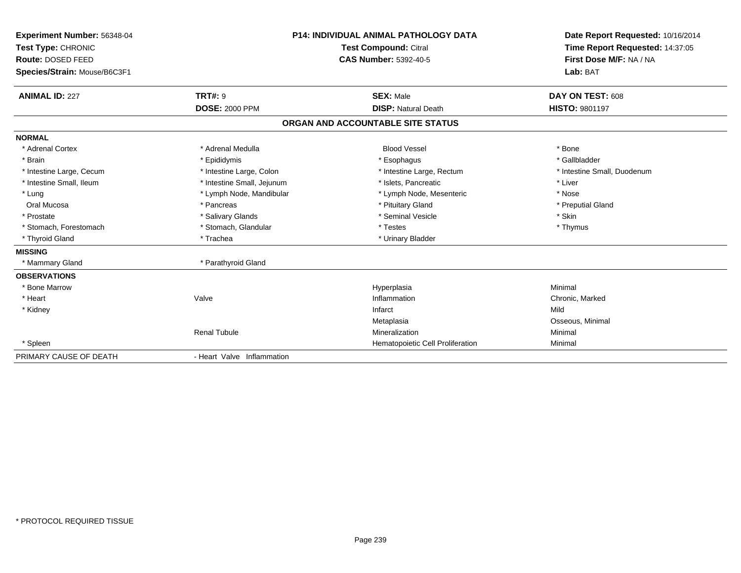| Experiment Number: 56348-04<br>Test Type: CHRONIC<br>Route: DOSED FEED<br>Species/Strain: Mouse/B6C3F1 |                                         | <b>P14: INDIVIDUAL ANIMAL PATHOLOGY DATA</b><br><b>Test Compound: Citral</b><br><b>CAS Number: 5392-40-5</b> | Date Report Requested: 10/16/2014<br>Time Report Requested: 14:37:05<br>First Dose M/F: NA / NA<br>Lab: BAT |
|--------------------------------------------------------------------------------------------------------|-----------------------------------------|--------------------------------------------------------------------------------------------------------------|-------------------------------------------------------------------------------------------------------------|
| <b>ANIMAL ID: 227</b>                                                                                  | <b>TRT#: 9</b><br><b>DOSE: 2000 PPM</b> | <b>SEX: Male</b><br><b>DISP: Natural Death</b>                                                               | DAY ON TEST: 608<br><b>HISTO: 9801197</b>                                                                   |
|                                                                                                        |                                         |                                                                                                              |                                                                                                             |
|                                                                                                        |                                         | ORGAN AND ACCOUNTABLE SITE STATUS                                                                            |                                                                                                             |
| <b>NORMAL</b>                                                                                          |                                         |                                                                                                              |                                                                                                             |
| * Adrenal Cortex                                                                                       | * Adrenal Medulla                       | <b>Blood Vessel</b>                                                                                          | * Bone                                                                                                      |
| * Brain                                                                                                | * Epididymis                            | * Esophagus                                                                                                  | * Gallbladder                                                                                               |
| * Intestine Large, Cecum                                                                               | * Intestine Large, Colon                | * Intestine Large, Rectum                                                                                    | * Intestine Small, Duodenum                                                                                 |
| * Intestine Small, Ileum                                                                               | * Intestine Small, Jejunum              | * Islets, Pancreatic                                                                                         | * Liver                                                                                                     |
| * Lung                                                                                                 | * Lymph Node, Mandibular                | * Lymph Node, Mesenteric                                                                                     | * Nose                                                                                                      |
| Oral Mucosa                                                                                            | * Pancreas                              | * Pituitary Gland                                                                                            | * Preputial Gland                                                                                           |
| * Prostate                                                                                             | * Salivary Glands                       | * Seminal Vesicle                                                                                            | * Skin                                                                                                      |
| * Stomach, Forestomach                                                                                 | * Stomach, Glandular                    | * Testes                                                                                                     | * Thymus                                                                                                    |
| * Thyroid Gland                                                                                        | * Trachea                               | * Urinary Bladder                                                                                            |                                                                                                             |
| <b>MISSING</b>                                                                                         |                                         |                                                                                                              |                                                                                                             |
| * Mammary Gland                                                                                        | * Parathyroid Gland                     |                                                                                                              |                                                                                                             |
| <b>OBSERVATIONS</b>                                                                                    |                                         |                                                                                                              |                                                                                                             |
| * Bone Marrow                                                                                          |                                         | Hyperplasia                                                                                                  | Minimal                                                                                                     |
| * Heart                                                                                                | Valve                                   | Inflammation                                                                                                 | Chronic, Marked                                                                                             |
| * Kidney                                                                                               |                                         | Infarct                                                                                                      | Mild                                                                                                        |
|                                                                                                        |                                         | Metaplasia                                                                                                   | Osseous, Minimal                                                                                            |
|                                                                                                        | <b>Renal Tubule</b>                     | Mineralization                                                                                               | Minimal                                                                                                     |
| * Spleen                                                                                               |                                         | Hematopoietic Cell Proliferation                                                                             | Minimal                                                                                                     |
| PRIMARY CAUSE OF DEATH                                                                                 | - Heart Valve Inflammation              |                                                                                                              |                                                                                                             |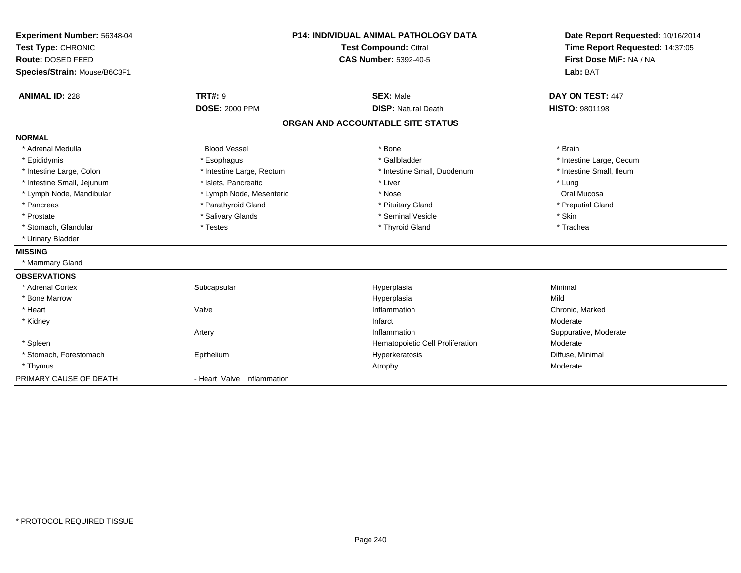| Experiment Number: 56348-04  |                            | <b>P14: INDIVIDUAL ANIMAL PATHOLOGY DATA</b> | Date Report Requested: 10/16/2014                          |
|------------------------------|----------------------------|----------------------------------------------|------------------------------------------------------------|
| Test Type: CHRONIC           |                            | Test Compound: Citral                        | Time Report Requested: 14:37:05<br>First Dose M/F: NA / NA |
| Route: DOSED FEED            |                            | <b>CAS Number: 5392-40-5</b>                 |                                                            |
| Species/Strain: Mouse/B6C3F1 |                            |                                              | Lab: BAT                                                   |
| <b>ANIMAL ID: 228</b>        | <b>TRT#: 9</b>             | <b>SEX: Male</b>                             | DAY ON TEST: 447                                           |
|                              | <b>DOSE: 2000 PPM</b>      | <b>DISP: Natural Death</b>                   | <b>HISTO: 9801198</b>                                      |
|                              |                            | ORGAN AND ACCOUNTABLE SITE STATUS            |                                                            |
| <b>NORMAL</b>                |                            |                                              |                                                            |
| * Adrenal Medulla            | <b>Blood Vessel</b>        | * Bone                                       | * Brain                                                    |
| * Epididymis                 | * Esophagus                | * Gallbladder                                | * Intestine Large, Cecum                                   |
| * Intestine Large, Colon     | * Intestine Large, Rectum  | * Intestine Small, Duodenum                  | * Intestine Small, Ileum                                   |
| * Intestine Small, Jejunum   | * Islets. Pancreatic       | * Liver                                      | * Lung                                                     |
| * Lymph Node, Mandibular     | * Lymph Node, Mesenteric   | * Nose                                       | Oral Mucosa                                                |
| * Pancreas                   | * Parathyroid Gland        | * Pituitary Gland                            | * Preputial Gland                                          |
| * Prostate                   | * Salivary Glands          | * Seminal Vesicle                            | * Skin                                                     |
| * Stomach, Glandular         | * Testes                   | * Thyroid Gland                              | * Trachea                                                  |
| * Urinary Bladder            |                            |                                              |                                                            |
| <b>MISSING</b>               |                            |                                              |                                                            |
| * Mammary Gland              |                            |                                              |                                                            |
| <b>OBSERVATIONS</b>          |                            |                                              |                                                            |
| * Adrenal Cortex             | Subcapsular                | Hyperplasia                                  | Minimal                                                    |
| * Bone Marrow                |                            | Hyperplasia                                  | Mild                                                       |
| * Heart                      | Valve                      | Inflammation                                 | Chronic, Marked                                            |
| * Kidney                     |                            | Infarct                                      | Moderate                                                   |
|                              | Artery                     | Inflammation                                 | Suppurative, Moderate                                      |
| * Spleen                     |                            | Hematopoietic Cell Proliferation             | Moderate                                                   |
| * Stomach, Forestomach       | Epithelium                 | Hyperkeratosis                               | Diffuse, Minimal                                           |
| * Thymus                     |                            | Atrophy                                      | Moderate                                                   |
| PRIMARY CAUSE OF DEATH       | - Heart Valve Inflammation |                                              |                                                            |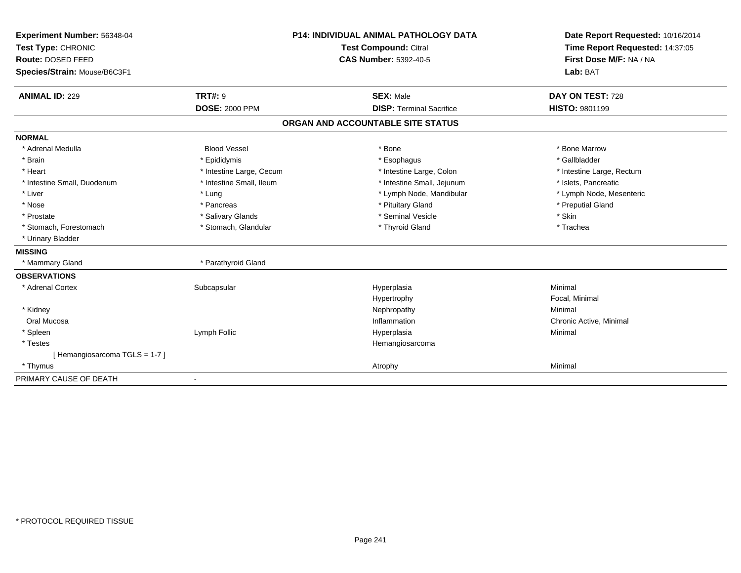| Experiment Number: 56348-04  | <b>P14: INDIVIDUAL ANIMAL PATHOLOGY DATA</b><br><b>Test Compound: Citral</b> |                                   | Date Report Requested: 10/16/2014 |
|------------------------------|------------------------------------------------------------------------------|-----------------------------------|-----------------------------------|
| Test Type: CHRONIC           |                                                                              |                                   | Time Report Requested: 14:37:05   |
| Route: DOSED FEED            |                                                                              | <b>CAS Number: 5392-40-5</b>      | First Dose M/F: NA / NA           |
| Species/Strain: Mouse/B6C3F1 |                                                                              |                                   | Lab: BAT                          |
| <b>ANIMAL ID: 229</b>        | <b>TRT#: 9</b>                                                               | <b>SEX: Male</b>                  | DAY ON TEST: 728                  |
|                              | <b>DOSE: 2000 PPM</b>                                                        | <b>DISP: Terminal Sacrifice</b>   | <b>HISTO: 9801199</b>             |
|                              |                                                                              | ORGAN AND ACCOUNTABLE SITE STATUS |                                   |
| <b>NORMAL</b>                |                                                                              |                                   |                                   |
| * Adrenal Medulla            | <b>Blood Vessel</b>                                                          | * Bone                            | * Bone Marrow                     |
| * Brain                      | * Epididymis                                                                 | * Esophagus                       | * Gallbladder                     |
| * Heart                      | * Intestine Large, Cecum                                                     | * Intestine Large, Colon          | * Intestine Large, Rectum         |
| * Intestine Small, Duodenum  | * Intestine Small, Ileum                                                     | * Intestine Small, Jejunum        | * Islets, Pancreatic              |
| * Liver                      | * Lung                                                                       | * Lymph Node, Mandibular          | * Lymph Node, Mesenteric          |
| * Nose                       | * Pancreas                                                                   | * Pituitary Gland                 | * Preputial Gland                 |
| * Prostate                   | * Salivary Glands                                                            | * Seminal Vesicle                 | * Skin                            |
| * Stomach, Forestomach       | * Stomach, Glandular                                                         | * Thyroid Gland                   | * Trachea                         |
| * Urinary Bladder            |                                                                              |                                   |                                   |
| <b>MISSING</b>               |                                                                              |                                   |                                   |
| * Mammary Gland              | * Parathyroid Gland                                                          |                                   |                                   |
| <b>OBSERVATIONS</b>          |                                                                              |                                   |                                   |
| * Adrenal Cortex             | Subcapsular                                                                  | Hyperplasia                       | Minimal                           |
|                              |                                                                              | Hypertrophy                       | Focal, Minimal                    |
| * Kidney                     |                                                                              | Nephropathy                       | Minimal                           |
| Oral Mucosa                  |                                                                              | Inflammation                      | Chronic Active, Minimal           |
| * Spleen                     | Lymph Follic                                                                 | Hyperplasia                       | Minimal                           |
| * Testes                     |                                                                              | Hemangiosarcoma                   |                                   |
| [Hemangiosarcoma TGLS = 1-7] |                                                                              |                                   |                                   |
| * Thymus                     |                                                                              | Atrophy                           | Minimal                           |
| PRIMARY CAUSE OF DEATH       |                                                                              |                                   |                                   |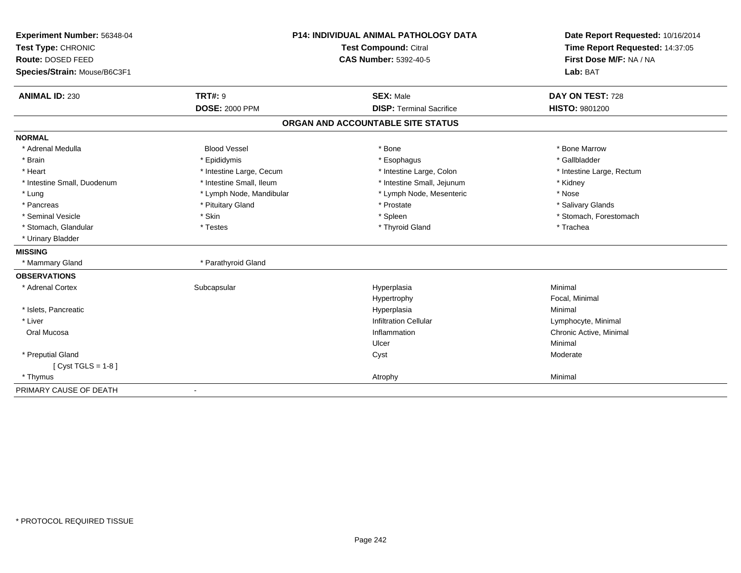| Experiment Number: 56348-04  | <b>P14: INDIVIDUAL ANIMAL PATHOLOGY DATA</b> |                                   | Date Report Requested: 10/16/2014 |  |
|------------------------------|----------------------------------------------|-----------------------------------|-----------------------------------|--|
| Test Type: CHRONIC           | <b>Test Compound: Citral</b>                 |                                   | Time Report Requested: 14:37:05   |  |
| Route: DOSED FEED            |                                              | <b>CAS Number: 5392-40-5</b>      | First Dose M/F: NA / NA           |  |
| Species/Strain: Mouse/B6C3F1 |                                              |                                   | Lab: BAT                          |  |
| <b>ANIMAL ID: 230</b>        | <b>TRT#: 9</b>                               | <b>SEX: Male</b>                  | DAY ON TEST: 728                  |  |
|                              | <b>DOSE: 2000 PPM</b>                        | <b>DISP: Terminal Sacrifice</b>   | HISTO: 9801200                    |  |
|                              |                                              | ORGAN AND ACCOUNTABLE SITE STATUS |                                   |  |
| <b>NORMAL</b>                |                                              |                                   |                                   |  |
| * Adrenal Medulla            | <b>Blood Vessel</b>                          | * Bone                            | * Bone Marrow                     |  |
| * Brain                      | * Epididymis                                 | * Esophagus                       | * Gallbladder                     |  |
| * Heart                      | * Intestine Large, Cecum                     | * Intestine Large, Colon          | * Intestine Large, Rectum         |  |
| * Intestine Small, Duodenum  | * Intestine Small, Ileum                     | * Intestine Small, Jejunum        | * Kidney                          |  |
| * Lung                       | * Lymph Node, Mandibular                     | * Lymph Node, Mesenteric          | * Nose                            |  |
| * Pancreas                   | * Pituitary Gland                            | * Prostate                        | * Salivary Glands                 |  |
| * Seminal Vesicle            | * Skin                                       | * Spleen                          | * Stomach, Forestomach            |  |
| * Stomach, Glandular         | * Testes                                     | * Thyroid Gland                   | * Trachea                         |  |
| * Urinary Bladder            |                                              |                                   |                                   |  |
| <b>MISSING</b>               |                                              |                                   |                                   |  |
| * Mammary Gland              | * Parathyroid Gland                          |                                   |                                   |  |
| <b>OBSERVATIONS</b>          |                                              |                                   |                                   |  |
| * Adrenal Cortex             | Subcapsular                                  | Hyperplasia                       | Minimal                           |  |
|                              |                                              | Hypertrophy                       | Focal, Minimal                    |  |
| * Islets, Pancreatic         |                                              | Hyperplasia                       | Minimal                           |  |
| * Liver                      |                                              | <b>Infiltration Cellular</b>      | Lymphocyte, Minimal               |  |
| Oral Mucosa                  |                                              | Inflammation                      | Chronic Active, Minimal           |  |
|                              |                                              | Ulcer                             | Minimal                           |  |
| * Preputial Gland            |                                              | Cyst                              | Moderate                          |  |
| [ $Cyst TGLS = 1-8$ ]        |                                              |                                   |                                   |  |
| * Thymus                     |                                              | Atrophy                           | Minimal                           |  |
| PRIMARY CAUSE OF DEATH       | $\blacksquare$                               |                                   |                                   |  |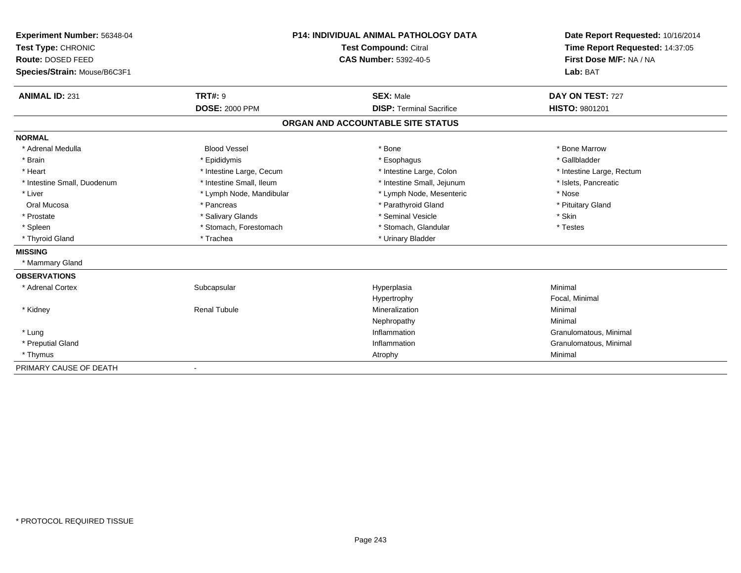| Experiment Number: 56348-04  |                          | <b>P14: INDIVIDUAL ANIMAL PATHOLOGY DATA</b> | Date Report Requested: 10/16/2014 |
|------------------------------|--------------------------|----------------------------------------------|-----------------------------------|
| Test Type: CHRONIC           | Test Compound: Citral    |                                              | Time Report Requested: 14:37:05   |
| Route: DOSED FEED            |                          | <b>CAS Number: 5392-40-5</b>                 | First Dose M/F: NA / NA           |
| Species/Strain: Mouse/B6C3F1 |                          |                                              | Lab: BAT                          |
| <b>ANIMAL ID: 231</b>        | <b>TRT#: 9</b>           | <b>SEX: Male</b>                             | DAY ON TEST: 727                  |
|                              | <b>DOSE: 2000 PPM</b>    | <b>DISP: Terminal Sacrifice</b>              | <b>HISTO: 9801201</b>             |
|                              |                          | ORGAN AND ACCOUNTABLE SITE STATUS            |                                   |
| <b>NORMAL</b>                |                          |                                              |                                   |
| * Adrenal Medulla            | <b>Blood Vessel</b>      | * Bone                                       | * Bone Marrow                     |
| * Brain                      | * Epididymis             | * Esophagus                                  | * Gallbladder                     |
| * Heart                      | * Intestine Large, Cecum | * Intestine Large, Colon                     | * Intestine Large, Rectum         |
| * Intestine Small, Duodenum  | * Intestine Small, Ileum | * Intestine Small, Jejunum                   | * Islets, Pancreatic              |
| * Liver                      | * Lymph Node, Mandibular | * Lymph Node, Mesenteric                     | * Nose                            |
| Oral Mucosa                  | * Pancreas               | * Parathyroid Gland                          | * Pituitary Gland                 |
| * Prostate                   | * Salivary Glands        | * Seminal Vesicle                            | * Skin                            |
| * Spleen                     | * Stomach, Forestomach   | * Stomach, Glandular                         | * Testes                          |
| * Thyroid Gland              | * Trachea                | * Urinary Bladder                            |                                   |
| <b>MISSING</b>               |                          |                                              |                                   |
| * Mammary Gland              |                          |                                              |                                   |
| <b>OBSERVATIONS</b>          |                          |                                              |                                   |
| * Adrenal Cortex             | Subcapsular              | Hyperplasia                                  | Minimal                           |
|                              |                          | Hypertrophy                                  | Focal, Minimal                    |
| * Kidney                     | <b>Renal Tubule</b>      | Mineralization                               | Minimal                           |
|                              |                          | Nephropathy                                  | Minimal                           |
| * Lung                       |                          | Inflammation                                 | Granulomatous, Minimal            |
| * Preputial Gland            |                          | Inflammation                                 | Granulomatous, Minimal            |
| * Thymus                     |                          | Atrophy                                      | Minimal                           |
| PRIMARY CAUSE OF DEATH       |                          |                                              |                                   |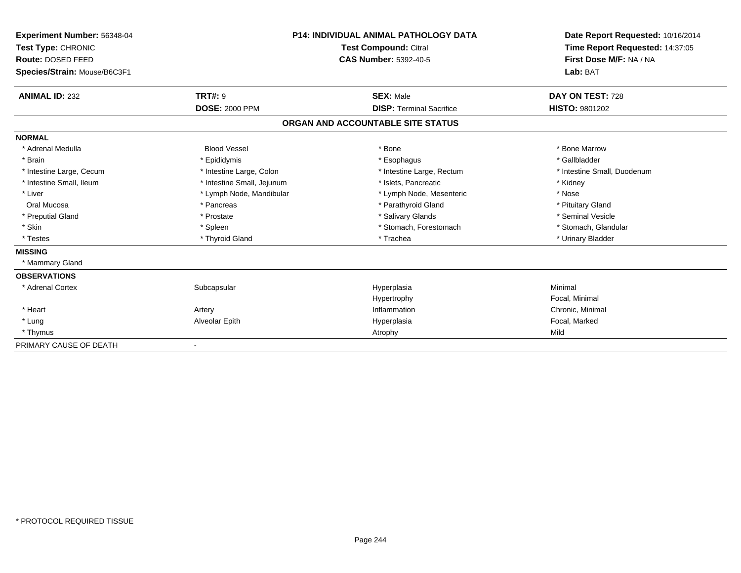| Experiment Number: 56348-04<br>Test Type: CHRONIC |                            | <b>P14: INDIVIDUAL ANIMAL PATHOLOGY DATA</b><br><b>Test Compound: Citral</b> | Date Report Requested: 10/16/2014<br>Time Report Requested: 14:37:05 |
|---------------------------------------------------|----------------------------|------------------------------------------------------------------------------|----------------------------------------------------------------------|
| Route: DOSED FEED                                 |                            | <b>CAS Number: 5392-40-5</b>                                                 | First Dose M/F: NA / NA                                              |
| Species/Strain: Mouse/B6C3F1                      |                            |                                                                              | Lab: BAT                                                             |
| <b>ANIMAL ID: 232</b>                             | <b>TRT#: 9</b>             | <b>SEX: Male</b>                                                             | DAY ON TEST: 728                                                     |
|                                                   | <b>DOSE: 2000 PPM</b>      | <b>DISP: Terminal Sacrifice</b>                                              | HISTO: 9801202                                                       |
|                                                   |                            | ORGAN AND ACCOUNTABLE SITE STATUS                                            |                                                                      |
| <b>NORMAL</b>                                     |                            |                                                                              |                                                                      |
| * Adrenal Medulla                                 | <b>Blood Vessel</b>        | * Bone                                                                       | * Bone Marrow                                                        |
| * Brain                                           | * Epididymis               | * Esophagus                                                                  | * Gallbladder                                                        |
| * Intestine Large, Cecum                          | * Intestine Large, Colon   | * Intestine Large, Rectum                                                    | * Intestine Small, Duodenum                                          |
| * Intestine Small. Ileum                          | * Intestine Small, Jejunum | * Islets. Pancreatic                                                         | * Kidney                                                             |
| * Liver                                           | * Lymph Node, Mandibular   | * Lymph Node, Mesenteric                                                     | * Nose                                                               |
| Oral Mucosa                                       | * Pancreas                 | * Parathyroid Gland                                                          | * Pituitary Gland                                                    |
| * Preputial Gland                                 | * Prostate                 | * Salivary Glands                                                            | * Seminal Vesicle                                                    |
| * Skin                                            | * Spleen                   | * Stomach, Forestomach                                                       | * Stomach, Glandular                                                 |
| * Testes                                          | * Thyroid Gland            | * Trachea                                                                    | * Urinary Bladder                                                    |
| <b>MISSING</b>                                    |                            |                                                                              |                                                                      |
| * Mammary Gland                                   |                            |                                                                              |                                                                      |
| <b>OBSERVATIONS</b>                               |                            |                                                                              |                                                                      |
| * Adrenal Cortex                                  | Subcapsular                | Hyperplasia                                                                  | Minimal                                                              |
|                                                   |                            | Hypertrophy                                                                  | Focal, Minimal                                                       |
| * Heart                                           | Artery                     | Inflammation                                                                 | Chronic, Minimal                                                     |
| * Lung                                            | Alveolar Epith             | Hyperplasia                                                                  | Focal, Marked                                                        |
| * Thymus                                          |                            | Atrophy                                                                      | Mild                                                                 |
| PRIMARY CAUSE OF DEATH                            | $\overline{\phantom{a}}$   |                                                                              |                                                                      |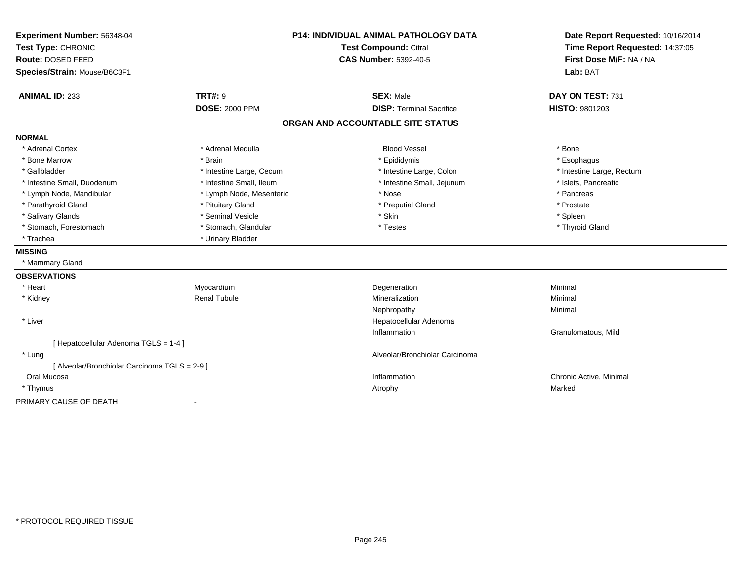| Experiment Number: 56348-04                   |                          | P14: INDIVIDUAL ANIMAL PATHOLOGY DATA | Date Report Requested: 10/16/2014 |
|-----------------------------------------------|--------------------------|---------------------------------------|-----------------------------------|
| Test Type: CHRONIC                            |                          | <b>Test Compound: Citral</b>          | Time Report Requested: 14:37:05   |
| Route: DOSED FEED                             |                          | <b>CAS Number: 5392-40-5</b>          | First Dose M/F: NA / NA           |
| Species/Strain: Mouse/B6C3F1                  |                          |                                       | Lab: BAT                          |
| <b>ANIMAL ID: 233</b>                         | <b>TRT#: 9</b>           | <b>SEX: Male</b>                      | DAY ON TEST: 731                  |
|                                               | <b>DOSE: 2000 PPM</b>    | <b>DISP: Terminal Sacrifice</b>       | HISTO: 9801203                    |
|                                               |                          | ORGAN AND ACCOUNTABLE SITE STATUS     |                                   |
| <b>NORMAL</b>                                 |                          |                                       |                                   |
| * Adrenal Cortex                              | * Adrenal Medulla        | <b>Blood Vessel</b>                   | * Bone                            |
| * Bone Marrow                                 | * Brain                  | * Epididymis                          | * Esophagus                       |
| * Gallbladder                                 | * Intestine Large, Cecum | * Intestine Large, Colon              | * Intestine Large, Rectum         |
| * Intestine Small, Duodenum                   | * Intestine Small, Ileum | * Intestine Small, Jejunum            | * Islets, Pancreatic              |
| * Lymph Node, Mandibular                      | * Lymph Node, Mesenteric | * Nose                                | * Pancreas                        |
| * Parathyroid Gland                           | * Pituitary Gland        | * Preputial Gland                     | * Prostate                        |
| * Salivary Glands                             | * Seminal Vesicle        | * Skin                                | * Spleen                          |
| * Stomach, Forestomach                        | * Stomach, Glandular     | * Testes                              | * Thyroid Gland                   |
| * Trachea                                     | * Urinary Bladder        |                                       |                                   |
| <b>MISSING</b>                                |                          |                                       |                                   |
| * Mammary Gland                               |                          |                                       |                                   |
| <b>OBSERVATIONS</b>                           |                          |                                       |                                   |
| * Heart                                       | Myocardium               | Degeneration                          | Minimal                           |
| * Kidney                                      | <b>Renal Tubule</b>      | Mineralization                        | Minimal                           |
|                                               |                          | Nephropathy                           | Minimal                           |
| * Liver                                       |                          | Hepatocellular Adenoma                |                                   |
|                                               |                          | Inflammation                          | Granulomatous, Mild               |
| [ Hepatocellular Adenoma TGLS = 1-4 ]         |                          |                                       |                                   |
| * Lung                                        |                          | Alveolar/Bronchiolar Carcinoma        |                                   |
| [ Alveolar/Bronchiolar Carcinoma TGLS = 2-9 ] |                          |                                       |                                   |
| Oral Mucosa                                   |                          | Inflammation                          | Chronic Active, Minimal           |
| * Thymus                                      |                          | Atrophy                               | Marked                            |
| PRIMARY CAUSE OF DEATH                        |                          |                                       |                                   |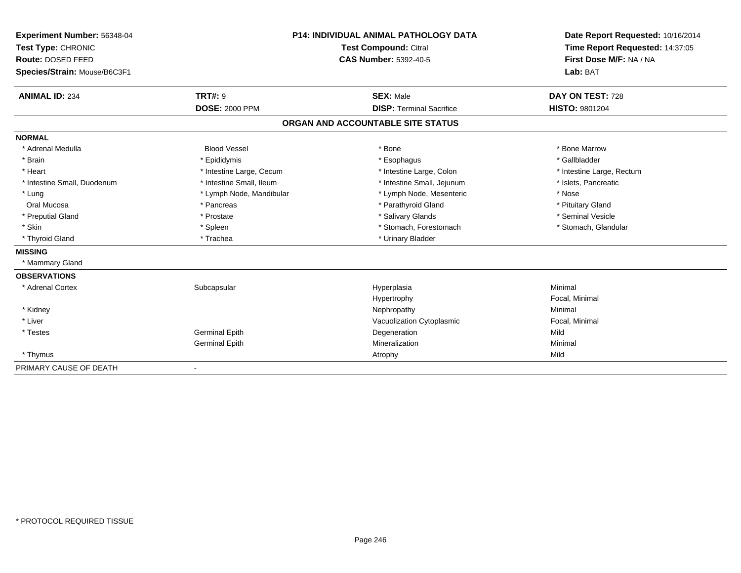| Experiment Number: 56348-04  | <b>P14: INDIVIDUAL ANIMAL PATHOLOGY DATA</b> |                                   | Date Report Requested: 10/16/2014 |  |
|------------------------------|----------------------------------------------|-----------------------------------|-----------------------------------|--|
| Test Type: CHRONIC           | Test Compound: Citral                        |                                   | Time Report Requested: 14:37:05   |  |
| Route: DOSED FEED            |                                              | <b>CAS Number: 5392-40-5</b>      | First Dose M/F: NA / NA           |  |
| Species/Strain: Mouse/B6C3F1 |                                              |                                   | Lab: BAT                          |  |
|                              |                                              |                                   |                                   |  |
| <b>ANIMAL ID: 234</b>        | <b>TRT#: 9</b>                               | <b>SEX: Male</b>                  | DAY ON TEST: 728                  |  |
|                              | <b>DOSE: 2000 PPM</b>                        | <b>DISP: Terminal Sacrifice</b>   | <b>HISTO: 9801204</b>             |  |
|                              |                                              | ORGAN AND ACCOUNTABLE SITE STATUS |                                   |  |
| <b>NORMAL</b>                |                                              |                                   |                                   |  |
| * Adrenal Medulla            | <b>Blood Vessel</b>                          | * Bone                            | * Bone Marrow                     |  |
| * Brain                      | * Epididymis                                 | * Esophagus                       | * Gallbladder                     |  |
| * Heart                      | * Intestine Large, Cecum                     | * Intestine Large, Colon          | * Intestine Large, Rectum         |  |
| * Intestine Small, Duodenum  | * Intestine Small, Ileum                     | * Intestine Small, Jejunum        | * Islets, Pancreatic              |  |
| * Lung                       | * Lymph Node, Mandibular                     | * Lymph Node, Mesenteric          | * Nose                            |  |
| Oral Mucosa                  | * Pancreas                                   | * Parathyroid Gland               | * Pituitary Gland                 |  |
| * Preputial Gland            | * Prostate                                   | * Salivary Glands                 | * Seminal Vesicle                 |  |
| * Skin                       | * Spleen                                     | * Stomach, Forestomach            | * Stomach, Glandular              |  |
| * Thyroid Gland              | * Trachea                                    | * Urinary Bladder                 |                                   |  |
| <b>MISSING</b>               |                                              |                                   |                                   |  |
| * Mammary Gland              |                                              |                                   |                                   |  |
| <b>OBSERVATIONS</b>          |                                              |                                   |                                   |  |
| * Adrenal Cortex             | Subcapsular                                  | Hyperplasia                       | Minimal                           |  |
|                              |                                              | Hypertrophy                       | Focal, Minimal                    |  |
| * Kidney                     |                                              | Nephropathy                       | Minimal                           |  |
| * Liver                      |                                              | Vacuolization Cytoplasmic         | Focal, Minimal                    |  |
| * Testes                     | <b>Germinal Epith</b>                        | Degeneration                      | Mild                              |  |
|                              | <b>Germinal Epith</b>                        | Mineralization                    | Minimal                           |  |
| * Thymus                     |                                              | Atrophy                           | Mild                              |  |
| PRIMARY CAUSE OF DEATH       | $\blacksquare$                               |                                   |                                   |  |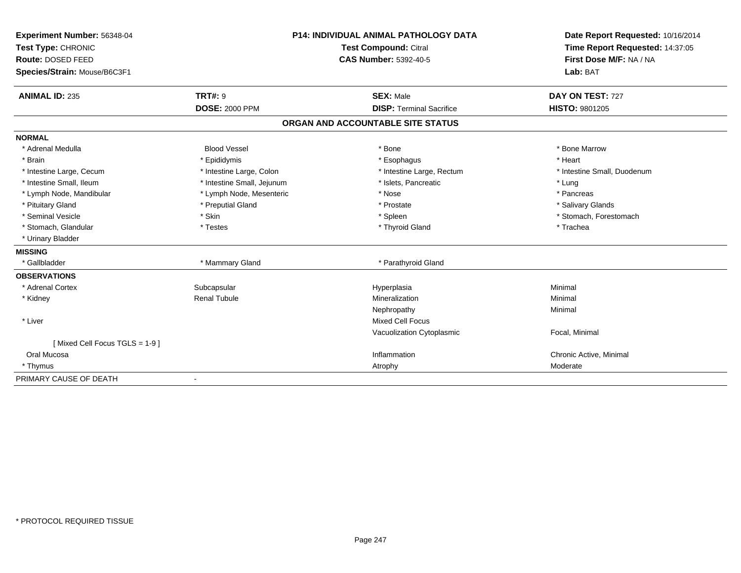| Experiment Number: 56348-04   | <b>P14: INDIVIDUAL ANIMAL PATHOLOGY DATA</b> |                                   | Date Report Requested: 10/16/2014 |
|-------------------------------|----------------------------------------------|-----------------------------------|-----------------------------------|
| Test Type: CHRONIC            | Test Compound: Citral                        |                                   | Time Report Requested: 14:37:05   |
| Route: DOSED FEED             |                                              | <b>CAS Number: 5392-40-5</b>      | First Dose M/F: NA / NA           |
| Species/Strain: Mouse/B6C3F1  |                                              |                                   | Lab: BAT                          |
| <b>ANIMAL ID: 235</b>         | <b>TRT#: 9</b>                               | <b>SEX: Male</b>                  | DAY ON TEST: 727                  |
|                               | <b>DOSE: 2000 PPM</b>                        | <b>DISP: Terminal Sacrifice</b>   | <b>HISTO: 9801205</b>             |
|                               |                                              | ORGAN AND ACCOUNTABLE SITE STATUS |                                   |
| <b>NORMAL</b>                 |                                              |                                   |                                   |
| * Adrenal Medulla             | <b>Blood Vessel</b>                          | * Bone                            | * Bone Marrow                     |
| * Brain                       | * Epididymis                                 | * Esophagus                       | * Heart                           |
| * Intestine Large, Cecum      | * Intestine Large, Colon                     | * Intestine Large, Rectum         | * Intestine Small, Duodenum       |
| * Intestine Small, Ileum      | * Intestine Small, Jejunum                   | * Islets, Pancreatic              | * Lung                            |
| * Lymph Node, Mandibular      | * Lymph Node, Mesenteric                     | * Nose                            | * Pancreas                        |
| * Pituitary Gland             | * Preputial Gland                            | * Prostate                        | * Salivary Glands                 |
| * Seminal Vesicle             | * Skin                                       | * Spleen                          | * Stomach, Forestomach            |
| * Stomach, Glandular          | * Testes                                     | * Thyroid Gland                   | * Trachea                         |
| * Urinary Bladder             |                                              |                                   |                                   |
| <b>MISSING</b>                |                                              |                                   |                                   |
| * Gallbladder                 | * Mammary Gland                              | * Parathyroid Gland               |                                   |
| <b>OBSERVATIONS</b>           |                                              |                                   |                                   |
| * Adrenal Cortex              | Subcapsular                                  | Hyperplasia                       | Minimal                           |
| * Kidney                      | <b>Renal Tubule</b>                          | Mineralization                    | Minimal                           |
|                               |                                              | Nephropathy                       | Minimal                           |
| * Liver                       |                                              | <b>Mixed Cell Focus</b>           |                                   |
|                               |                                              | Vacuolization Cytoplasmic         | Focal, Minimal                    |
| [Mixed Cell Focus TGLS = 1-9] |                                              |                                   |                                   |
| Oral Mucosa                   |                                              | Inflammation                      | Chronic Active, Minimal           |
| * Thymus                      |                                              | Atrophy                           | Moderate                          |
| PRIMARY CAUSE OF DEATH        |                                              |                                   |                                   |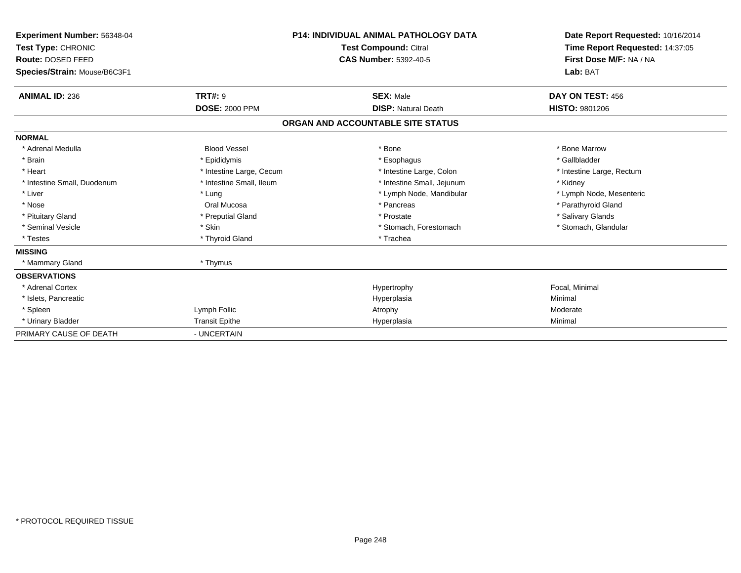| <b>Experiment Number: 56348-04</b><br>Test Type: CHRONIC<br>Route: DOSED FEED<br>Species/Strain: Mouse/B6C3F1 |                          | <b>P14: INDIVIDUAL ANIMAL PATHOLOGY DATA</b><br><b>Test Compound: Citral</b><br><b>CAS Number: 5392-40-5</b> | Date Report Requested: 10/16/2014<br>Time Report Requested: 14:37:05<br>First Dose M/F: NA / NA<br>Lab: BAT |
|---------------------------------------------------------------------------------------------------------------|--------------------------|--------------------------------------------------------------------------------------------------------------|-------------------------------------------------------------------------------------------------------------|
| <b>ANIMAL ID: 236</b>                                                                                         | TRT#: 9                  | <b>SEX: Male</b>                                                                                             | DAY ON TEST: 456                                                                                            |
|                                                                                                               | <b>DOSE: 2000 PPM</b>    | <b>DISP: Natural Death</b>                                                                                   | <b>HISTO: 9801206</b>                                                                                       |
|                                                                                                               |                          | ORGAN AND ACCOUNTABLE SITE STATUS                                                                            |                                                                                                             |
| <b>NORMAL</b>                                                                                                 |                          |                                                                                                              |                                                                                                             |
| * Adrenal Medulla                                                                                             | <b>Blood Vessel</b>      | * Bone                                                                                                       | * Bone Marrow                                                                                               |
| * Brain                                                                                                       | * Epididymis             | * Esophagus                                                                                                  | * Gallbladder                                                                                               |
| * Heart                                                                                                       | * Intestine Large, Cecum | * Intestine Large, Colon                                                                                     | * Intestine Large, Rectum                                                                                   |
| * Intestine Small, Duodenum                                                                                   | * Intestine Small, Ileum | * Intestine Small, Jejunum                                                                                   | * Kidney                                                                                                    |
| * Liver                                                                                                       | * Lung                   | * Lymph Node, Mandibular                                                                                     | * Lymph Node, Mesenteric                                                                                    |
| * Nose                                                                                                        | Oral Mucosa              | * Pancreas                                                                                                   | * Parathyroid Gland                                                                                         |
| * Pituitary Gland                                                                                             | * Preputial Gland        | * Prostate                                                                                                   | * Salivary Glands                                                                                           |
| * Seminal Vesicle                                                                                             | * Skin                   | * Stomach, Forestomach                                                                                       | * Stomach, Glandular                                                                                        |
| * Testes                                                                                                      | * Thyroid Gland          | * Trachea                                                                                                    |                                                                                                             |
| <b>MISSING</b>                                                                                                |                          |                                                                                                              |                                                                                                             |
| * Mammary Gland                                                                                               | * Thymus                 |                                                                                                              |                                                                                                             |
| <b>OBSERVATIONS</b>                                                                                           |                          |                                                                                                              |                                                                                                             |
| * Adrenal Cortex                                                                                              |                          | Hypertrophy                                                                                                  | Focal, Minimal                                                                                              |
| * Islets, Pancreatic                                                                                          |                          | Hyperplasia                                                                                                  | Minimal                                                                                                     |
| * Spleen                                                                                                      | Lymph Follic             | Atrophy                                                                                                      | Moderate                                                                                                    |
| * Urinary Bladder                                                                                             | <b>Transit Epithe</b>    | Hyperplasia                                                                                                  | Minimal                                                                                                     |
| PRIMARY CAUSE OF DEATH                                                                                        | - UNCERTAIN              |                                                                                                              |                                                                                                             |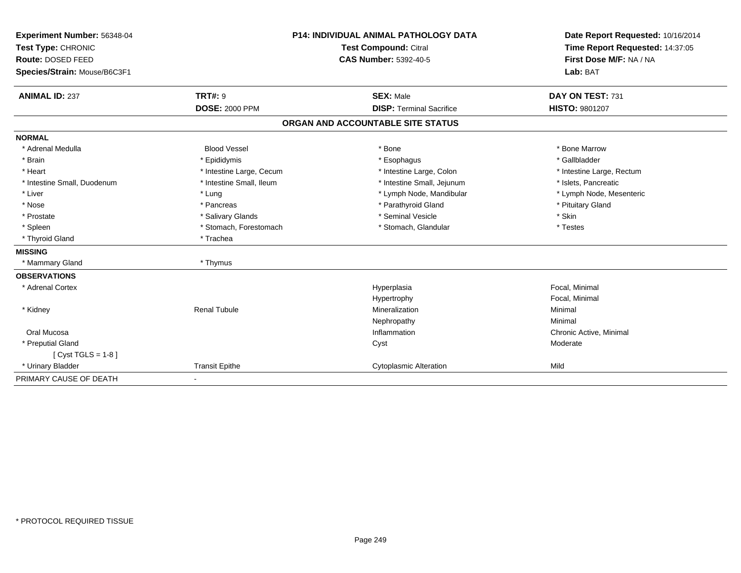| Experiment Number: 56348-04  | <b>P14: INDIVIDUAL ANIMAL PATHOLOGY DATA</b><br>Test Compound: Citral |                                   | Date Report Requested: 10/16/2014 |
|------------------------------|-----------------------------------------------------------------------|-----------------------------------|-----------------------------------|
| Test Type: CHRONIC           |                                                                       |                                   | Time Report Requested: 14:37:05   |
| Route: DOSED FEED            |                                                                       | <b>CAS Number: 5392-40-5</b>      | First Dose M/F: NA / NA           |
| Species/Strain: Mouse/B6C3F1 |                                                                       |                                   | Lab: BAT                          |
| <b>ANIMAL ID: 237</b>        | <b>TRT#: 9</b>                                                        | <b>SEX: Male</b>                  | DAY ON TEST: 731                  |
|                              | <b>DOSE: 2000 PPM</b>                                                 | <b>DISP: Terminal Sacrifice</b>   | <b>HISTO: 9801207</b>             |
|                              |                                                                       | ORGAN AND ACCOUNTABLE SITE STATUS |                                   |
| <b>NORMAL</b>                |                                                                       |                                   |                                   |
| * Adrenal Medulla            | <b>Blood Vessel</b>                                                   | * Bone                            | * Bone Marrow                     |
| * Brain                      | * Epididymis                                                          | * Esophagus                       | * Gallbladder                     |
| * Heart                      | * Intestine Large, Cecum                                              | * Intestine Large, Colon          | * Intestine Large, Rectum         |
| * Intestine Small, Duodenum  | * Intestine Small, Ileum                                              | * Intestine Small, Jejunum        | * Islets, Pancreatic              |
| * Liver                      | * Lung                                                                | * Lymph Node, Mandibular          | * Lymph Node, Mesenteric          |
| * Nose                       | * Pancreas                                                            | * Parathyroid Gland               | * Pituitary Gland                 |
| * Prostate                   | * Salivary Glands                                                     | * Seminal Vesicle                 | * Skin                            |
| * Spleen                     | * Stomach, Forestomach                                                | * Stomach, Glandular              | * Testes                          |
| * Thyroid Gland              | * Trachea                                                             |                                   |                                   |
| <b>MISSING</b>               |                                                                       |                                   |                                   |
| * Mammary Gland              | * Thymus                                                              |                                   |                                   |
| <b>OBSERVATIONS</b>          |                                                                       |                                   |                                   |
| * Adrenal Cortex             |                                                                       | Hyperplasia                       | Focal, Minimal                    |
|                              |                                                                       | Hypertrophy                       | Focal, Minimal                    |
| * Kidney                     | <b>Renal Tubule</b>                                                   | Mineralization                    | Minimal                           |
|                              |                                                                       | Nephropathy                       | Minimal                           |
| Oral Mucosa                  |                                                                       | Inflammation                      | Chronic Active, Minimal           |
| * Preputial Gland            |                                                                       | Cyst                              | Moderate                          |
| [ $Cyst TGLS = 1-8$ ]        |                                                                       |                                   |                                   |
| * Urinary Bladder            | <b>Transit Epithe</b>                                                 | <b>Cytoplasmic Alteration</b>     | Mild                              |
| PRIMARY CAUSE OF DEATH       | $\blacksquare$                                                        |                                   |                                   |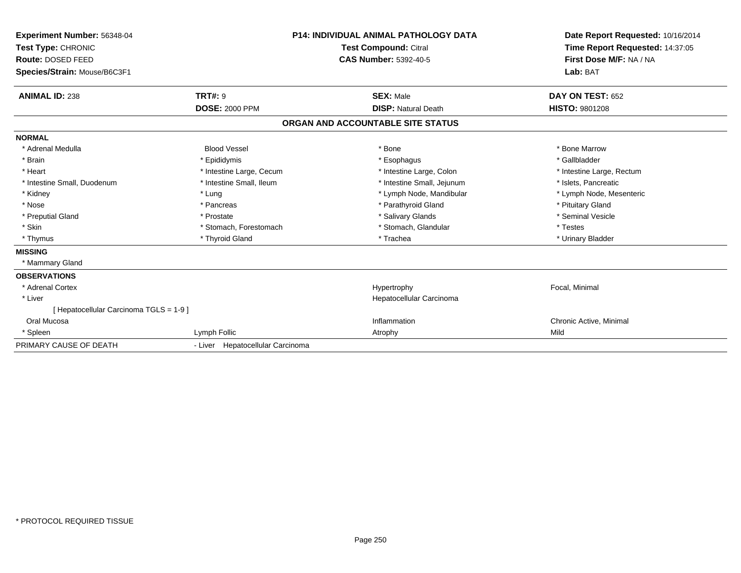| Experiment Number: 56348-04<br>Test Type: CHRONIC<br>Route: DOSED FEED<br>Species/Strain: Mouse/B6C3F1 |                                  | <b>P14: INDIVIDUAL ANIMAL PATHOLOGY DATA</b><br><b>Test Compound: Citral</b><br><b>CAS Number: 5392-40-5</b> | Date Report Requested: 10/16/2014<br>Time Report Requested: 14:37:05<br>First Dose M/F: NA / NA<br>Lab: BAT |
|--------------------------------------------------------------------------------------------------------|----------------------------------|--------------------------------------------------------------------------------------------------------------|-------------------------------------------------------------------------------------------------------------|
| <b>ANIMAL ID: 238</b>                                                                                  | <b>TRT#: 9</b>                   | <b>SEX: Male</b>                                                                                             | DAY ON TEST: 652                                                                                            |
|                                                                                                        | <b>DOSE: 2000 PPM</b>            | <b>DISP: Natural Death</b>                                                                                   | <b>HISTO: 9801208</b>                                                                                       |
|                                                                                                        |                                  | ORGAN AND ACCOUNTABLE SITE STATUS                                                                            |                                                                                                             |
| <b>NORMAL</b>                                                                                          |                                  |                                                                                                              |                                                                                                             |
| * Adrenal Medulla                                                                                      | <b>Blood Vessel</b>              | * Bone                                                                                                       | * Bone Marrow                                                                                               |
| * Brain                                                                                                | * Epididymis                     | * Esophagus                                                                                                  | * Gallbladder                                                                                               |
| * Heart                                                                                                | * Intestine Large, Cecum         | * Intestine Large, Colon                                                                                     | * Intestine Large, Rectum                                                                                   |
| * Intestine Small, Duodenum                                                                            | * Intestine Small, Ileum         | * Intestine Small, Jejunum                                                                                   | * Islets, Pancreatic                                                                                        |
| * Kidney                                                                                               | * Lung                           | * Lymph Node, Mandibular                                                                                     | * Lymph Node, Mesenteric                                                                                    |
| * Nose                                                                                                 | * Pancreas                       | * Parathyroid Gland                                                                                          | * Pituitary Gland                                                                                           |
| * Preputial Gland                                                                                      | * Prostate                       | * Salivary Glands                                                                                            | * Seminal Vesicle                                                                                           |
| * Skin                                                                                                 | * Stomach, Forestomach           | * Stomach, Glandular                                                                                         | * Testes                                                                                                    |
| * Thymus                                                                                               | * Thyroid Gland                  | * Trachea                                                                                                    | * Urinary Bladder                                                                                           |
| <b>MISSING</b>                                                                                         |                                  |                                                                                                              |                                                                                                             |
| * Mammary Gland                                                                                        |                                  |                                                                                                              |                                                                                                             |
| <b>OBSERVATIONS</b>                                                                                    |                                  |                                                                                                              |                                                                                                             |
| * Adrenal Cortex                                                                                       |                                  | Hypertrophy                                                                                                  | Focal, Minimal                                                                                              |
| * Liver                                                                                                |                                  | Hepatocellular Carcinoma                                                                                     |                                                                                                             |
| [ Hepatocellular Carcinoma TGLS = 1-9 ]                                                                |                                  |                                                                                                              |                                                                                                             |
| Oral Mucosa                                                                                            |                                  | Inflammation                                                                                                 | Chronic Active, Minimal                                                                                     |
| * Spleen                                                                                               | Lymph Follic                     | Atrophy                                                                                                      | Mild                                                                                                        |
| PRIMARY CAUSE OF DEATH                                                                                 | - Liver Hepatocellular Carcinoma |                                                                                                              |                                                                                                             |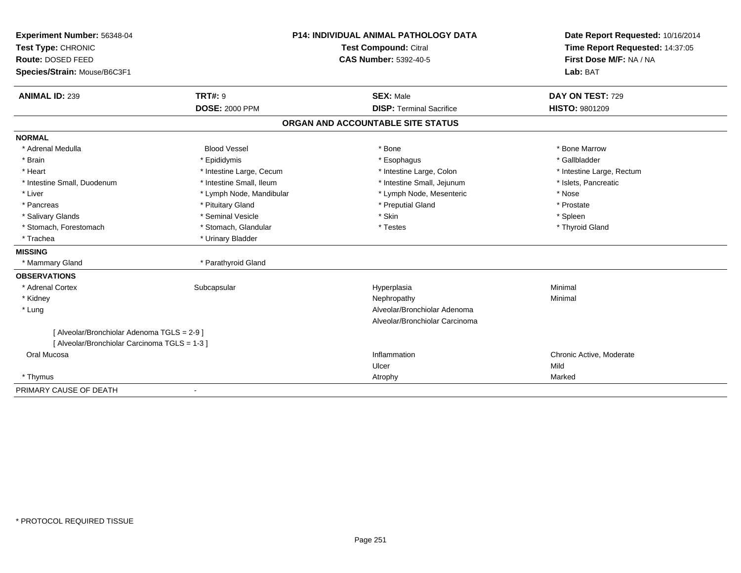| Experiment Number: 56348-04                   | <b>P14: INDIVIDUAL ANIMAL PATHOLOGY DATA</b> |                                   | Date Report Requested: 10/16/2014 |
|-----------------------------------------------|----------------------------------------------|-----------------------------------|-----------------------------------|
| Test Type: CHRONIC                            | <b>Test Compound: Citral</b>                 |                                   | Time Report Requested: 14:37:05   |
| Route: DOSED FEED                             |                                              | <b>CAS Number: 5392-40-5</b>      | First Dose M/F: NA / NA           |
| Species/Strain: Mouse/B6C3F1                  |                                              |                                   | Lab: BAT                          |
|                                               |                                              |                                   |                                   |
| <b>ANIMAL ID: 239</b>                         | TRT#: 9                                      | <b>SEX: Male</b>                  | DAY ON TEST: 729                  |
|                                               | <b>DOSE: 2000 PPM</b>                        | <b>DISP: Terminal Sacrifice</b>   | <b>HISTO: 9801209</b>             |
|                                               |                                              | ORGAN AND ACCOUNTABLE SITE STATUS |                                   |
| <b>NORMAL</b>                                 |                                              |                                   |                                   |
| * Adrenal Medulla                             | <b>Blood Vessel</b>                          | * Bone                            | * Bone Marrow                     |
| * Brain                                       | * Epididymis                                 | * Esophagus                       | * Gallbladder                     |
| * Heart                                       | * Intestine Large, Cecum                     | * Intestine Large, Colon          | * Intestine Large, Rectum         |
| * Intestine Small, Duodenum                   | * Intestine Small, Ileum                     | * Intestine Small, Jejunum        | * Islets, Pancreatic              |
| * Liver                                       | * Lymph Node, Mandibular                     | * Lymph Node, Mesenteric          | * Nose                            |
| * Pancreas                                    | * Pituitary Gland                            | * Preputial Gland                 | * Prostate                        |
| * Salivary Glands                             | * Seminal Vesicle                            | * Skin                            | * Spleen                          |
| * Stomach, Forestomach                        | * Stomach, Glandular                         | * Testes                          | * Thyroid Gland                   |
| * Trachea                                     | * Urinary Bladder                            |                                   |                                   |
| <b>MISSING</b>                                |                                              |                                   |                                   |
| * Mammary Gland                               | * Parathyroid Gland                          |                                   |                                   |
| <b>OBSERVATIONS</b>                           |                                              |                                   |                                   |
| * Adrenal Cortex                              | Subcapsular                                  | Hyperplasia                       | Minimal                           |
| * Kidney                                      |                                              | Nephropathy                       | Minimal                           |
| * Lung                                        |                                              | Alveolar/Bronchiolar Adenoma      |                                   |
|                                               |                                              | Alveolar/Bronchiolar Carcinoma    |                                   |
| [ Alveolar/Bronchiolar Adenoma TGLS = 2-9 ]   |                                              |                                   |                                   |
| [ Alveolar/Bronchiolar Carcinoma TGLS = 1-3 ] |                                              |                                   |                                   |
| Oral Mucosa                                   |                                              | Inflammation                      | Chronic Active, Moderate          |
|                                               |                                              | Ulcer                             | Mild                              |
| * Thymus                                      |                                              | Atrophy                           | Marked                            |
| PRIMARY CAUSE OF DEATH                        | $\blacksquare$                               |                                   |                                   |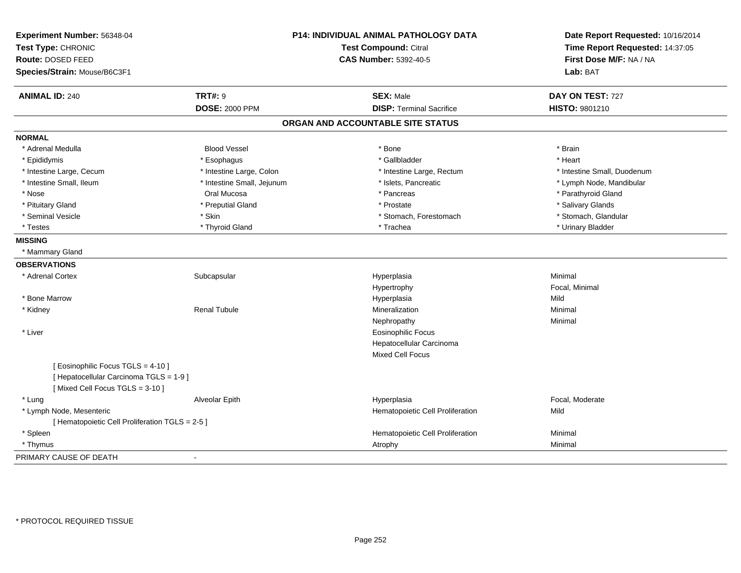| Test Type: CHRONIC<br>Route: DOSED FEED<br>Species/Strain: Mouse/B6C3F1<br><b>ANIMAL ID: 240</b>                | <b>TRT#: 9</b>             | Test Compound: Citral<br><b>CAS Number: 5392-40-5</b> | Time Report Requested: 14:37:05<br>First Dose M/F: NA / NA<br>Lab: BAT |
|-----------------------------------------------------------------------------------------------------------------|----------------------------|-------------------------------------------------------|------------------------------------------------------------------------|
|                                                                                                                 |                            |                                                       |                                                                        |
|                                                                                                                 |                            |                                                       |                                                                        |
|                                                                                                                 |                            |                                                       |                                                                        |
|                                                                                                                 |                            | <b>SEX: Male</b>                                      | DAY ON TEST: 727                                                       |
|                                                                                                                 | <b>DOSE: 2000 PPM</b>      | <b>DISP: Terminal Sacrifice</b>                       | HISTO: 9801210                                                         |
|                                                                                                                 |                            | ORGAN AND ACCOUNTABLE SITE STATUS                     |                                                                        |
| <b>NORMAL</b>                                                                                                   |                            |                                                       |                                                                        |
| * Adrenal Medulla                                                                                               | <b>Blood Vessel</b>        | * Bone                                                | * Brain                                                                |
| * Epididymis                                                                                                    | * Esophagus                | * Gallbladder                                         | * Heart                                                                |
| * Intestine Large, Cecum                                                                                        | * Intestine Large, Colon   | * Intestine Large, Rectum                             | * Intestine Small, Duodenum                                            |
| * Intestine Small, Ileum                                                                                        | * Intestine Small, Jejunum | * Islets, Pancreatic                                  | * Lymph Node, Mandibular                                               |
| * Nose                                                                                                          | Oral Mucosa                | * Pancreas                                            | * Parathyroid Gland                                                    |
| * Pituitary Gland                                                                                               | * Preputial Gland          | * Prostate                                            | * Salivary Glands                                                      |
| * Seminal Vesicle                                                                                               | * Skin                     | * Stomach, Forestomach                                | * Stomach, Glandular                                                   |
| * Testes                                                                                                        | * Thyroid Gland            | * Trachea                                             | * Urinary Bladder                                                      |
| <b>MISSING</b>                                                                                                  |                            |                                                       |                                                                        |
| * Mammary Gland                                                                                                 |                            |                                                       |                                                                        |
| <b>OBSERVATIONS</b>                                                                                             |                            |                                                       |                                                                        |
| * Adrenal Cortex                                                                                                | Subcapsular                | Hyperplasia                                           | Minimal                                                                |
|                                                                                                                 |                            | Hypertrophy                                           | Focal, Minimal                                                         |
| * Bone Marrow                                                                                                   |                            | Hyperplasia                                           | Mild                                                                   |
| * Kidney                                                                                                        | <b>Renal Tubule</b>        | Mineralization                                        | Minimal                                                                |
|                                                                                                                 |                            | Nephropathy                                           | Minimal                                                                |
| * Liver                                                                                                         |                            | <b>Eosinophilic Focus</b>                             |                                                                        |
|                                                                                                                 |                            | Hepatocellular Carcinoma                              |                                                                        |
|                                                                                                                 |                            | Mixed Cell Focus                                      |                                                                        |
| [ Eosinophilic Focus TGLS = 4-10 ]<br>[ Hepatocellular Carcinoma TGLS = 1-9 ]<br>[Mixed Cell Focus TGLS = 3-10] |                            |                                                       |                                                                        |
| * Lung                                                                                                          | Alveolar Epith             | Hyperplasia                                           | Focal, Moderate                                                        |
| * Lymph Node, Mesenteric                                                                                        |                            | Hematopoietic Cell Proliferation                      | Mild                                                                   |
| [ Hematopoietic Cell Proliferation TGLS = 2-5 ]                                                                 |                            |                                                       |                                                                        |
| * Spleen                                                                                                        |                            | Hematopoietic Cell Proliferation                      | Minimal                                                                |
| * Thymus                                                                                                        |                            | Atrophy                                               | Minimal                                                                |
| PRIMARY CAUSE OF DEATH                                                                                          |                            |                                                       |                                                                        |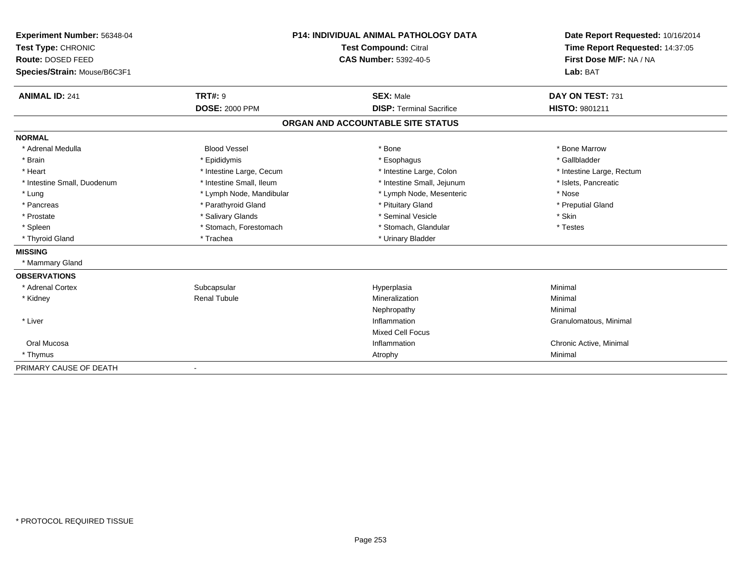| Experiment Number: 56348-04  | <b>P14: INDIVIDUAL ANIMAL PATHOLOGY DATA</b><br>Test Compound: Citral |                                   | Date Report Requested: 10/16/2014 |
|------------------------------|-----------------------------------------------------------------------|-----------------------------------|-----------------------------------|
| Test Type: CHRONIC           |                                                                       |                                   | Time Report Requested: 14:37:05   |
| Route: DOSED FEED            |                                                                       | <b>CAS Number: 5392-40-5</b>      | First Dose M/F: NA / NA           |
| Species/Strain: Mouse/B6C3F1 |                                                                       |                                   | Lab: BAT                          |
|                              |                                                                       |                                   |                                   |
| <b>ANIMAL ID: 241</b>        | <b>TRT#: 9</b>                                                        | <b>SEX: Male</b>                  | DAY ON TEST: 731                  |
|                              | <b>DOSE: 2000 PPM</b>                                                 | <b>DISP: Terminal Sacrifice</b>   | <b>HISTO: 9801211</b>             |
|                              |                                                                       | ORGAN AND ACCOUNTABLE SITE STATUS |                                   |
| <b>NORMAL</b>                |                                                                       |                                   |                                   |
| * Adrenal Medulla            | <b>Blood Vessel</b>                                                   | * Bone                            | * Bone Marrow                     |
| * Brain                      | * Epididymis                                                          | * Esophagus                       | * Gallbladder                     |
| * Heart                      | * Intestine Large, Cecum                                              | * Intestine Large, Colon          | * Intestine Large, Rectum         |
| * Intestine Small, Duodenum  | * Intestine Small. Ileum                                              | * Intestine Small, Jejunum        | * Islets, Pancreatic              |
| * Lung                       | * Lymph Node, Mandibular                                              | * Lymph Node, Mesenteric          | * Nose                            |
| * Pancreas                   | * Parathyroid Gland                                                   | * Pituitary Gland                 | * Preputial Gland                 |
| * Prostate                   | * Salivary Glands                                                     | * Seminal Vesicle                 | * Skin                            |
| * Spleen                     | * Stomach, Forestomach                                                | * Stomach, Glandular              | * Testes                          |
| * Thyroid Gland              | * Trachea                                                             | * Urinary Bladder                 |                                   |
| <b>MISSING</b>               |                                                                       |                                   |                                   |
| * Mammary Gland              |                                                                       |                                   |                                   |
| <b>OBSERVATIONS</b>          |                                                                       |                                   |                                   |
| * Adrenal Cortex             | Subcapsular                                                           | Hyperplasia                       | Minimal                           |
| * Kidney                     | <b>Renal Tubule</b>                                                   | Mineralization                    | Minimal                           |
|                              |                                                                       | Nephropathy                       | Minimal                           |
| * Liver                      |                                                                       | Inflammation                      | Granulomatous, Minimal            |
|                              |                                                                       | <b>Mixed Cell Focus</b>           |                                   |
| Oral Mucosa                  |                                                                       | Inflammation                      | Chronic Active, Minimal           |
| * Thymus                     |                                                                       | Atrophy                           | Minimal                           |
| PRIMARY CAUSE OF DEATH       |                                                                       |                                   |                                   |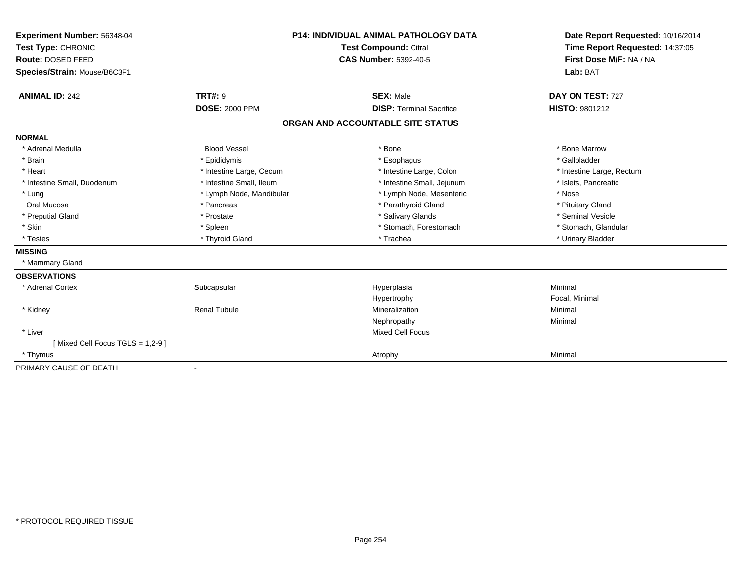| Experiment Number: 56348-04     | <b>P14: INDIVIDUAL ANIMAL PATHOLOGY DATA</b> |                                   | Date Report Requested: 10/16/2014 |  |
|---------------------------------|----------------------------------------------|-----------------------------------|-----------------------------------|--|
| Test Type: CHRONIC              |                                              | <b>Test Compound: Citral</b>      | Time Report Requested: 14:37:05   |  |
| Route: DOSED FEED               |                                              | <b>CAS Number: 5392-40-5</b>      | First Dose M/F: NA / NA           |  |
| Species/Strain: Mouse/B6C3F1    |                                              |                                   | Lab: BAT                          |  |
|                                 |                                              |                                   |                                   |  |
| <b>ANIMAL ID: 242</b>           | <b>TRT#: 9</b>                               | <b>SEX: Male</b>                  | DAY ON TEST: 727                  |  |
|                                 | <b>DOSE: 2000 PPM</b>                        | <b>DISP: Terminal Sacrifice</b>   | <b>HISTO: 9801212</b>             |  |
|                                 |                                              | ORGAN AND ACCOUNTABLE SITE STATUS |                                   |  |
| <b>NORMAL</b>                   |                                              |                                   |                                   |  |
| * Adrenal Medulla               | <b>Blood Vessel</b>                          | * Bone                            | * Bone Marrow                     |  |
| * Brain                         | * Epididymis                                 | * Esophagus                       | * Gallbladder                     |  |
| * Heart                         | * Intestine Large, Cecum                     | * Intestine Large, Colon          | * Intestine Large, Rectum         |  |
| * Intestine Small, Duodenum     | * Intestine Small, Ileum                     | * Intestine Small, Jejunum        | * Islets, Pancreatic              |  |
| * Lung                          | * Lymph Node, Mandibular                     | * Lymph Node, Mesenteric          | * Nose                            |  |
| Oral Mucosa                     | * Pancreas                                   | * Parathyroid Gland               | * Pituitary Gland                 |  |
| * Preputial Gland               | * Prostate                                   | * Salivary Glands                 | * Seminal Vesicle                 |  |
| * Skin                          | * Spleen                                     | * Stomach, Forestomach            | * Stomach, Glandular              |  |
| * Testes                        | * Thyroid Gland                              | * Trachea                         | * Urinary Bladder                 |  |
| <b>MISSING</b>                  |                                              |                                   |                                   |  |
| * Mammary Gland                 |                                              |                                   |                                   |  |
| <b>OBSERVATIONS</b>             |                                              |                                   |                                   |  |
| * Adrenal Cortex                | Subcapsular                                  | Hyperplasia                       | Minimal                           |  |
|                                 |                                              | Hypertrophy                       | Focal, Minimal                    |  |
| * Kidney                        | <b>Renal Tubule</b>                          | Mineralization                    | Minimal                           |  |
|                                 |                                              | Nephropathy                       | Minimal                           |  |
| * Liver                         |                                              | <b>Mixed Cell Focus</b>           |                                   |  |
| [Mixed Cell Focus TGLS = 1,2-9] |                                              |                                   |                                   |  |
| * Thymus                        |                                              | Atrophy                           | Minimal                           |  |
| PRIMARY CAUSE OF DEATH          | $\blacksquare$                               |                                   |                                   |  |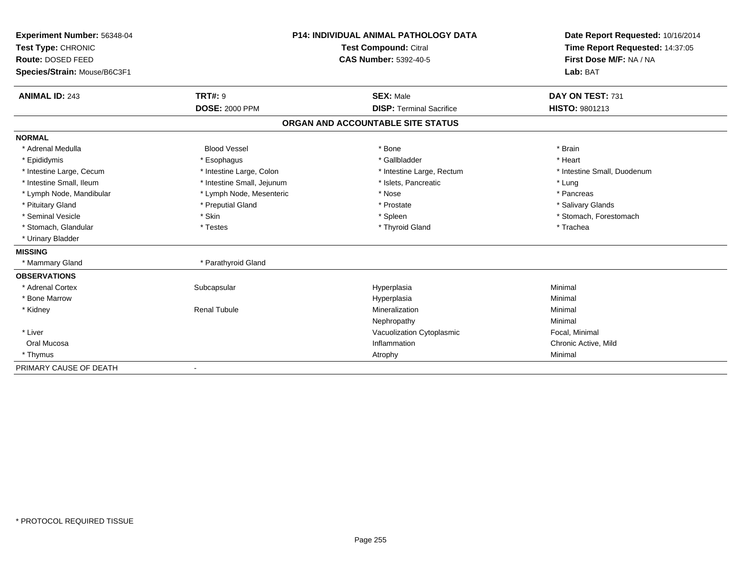| Experiment Number: 56348-04  | <b>P14: INDIVIDUAL ANIMAL PATHOLOGY DATA</b> |                                   | Date Report Requested: 10/16/2014                          |
|------------------------------|----------------------------------------------|-----------------------------------|------------------------------------------------------------|
| Test Type: CHRONIC           |                                              | <b>Test Compound: Citral</b>      | Time Report Requested: 14:37:05<br>First Dose M/F: NA / NA |
| Route: DOSED FEED            |                                              | <b>CAS Number: 5392-40-5</b>      |                                                            |
| Species/Strain: Mouse/B6C3F1 |                                              |                                   | Lab: BAT                                                   |
| <b>ANIMAL ID: 243</b>        | <b>TRT#: 9</b>                               | <b>SEX: Male</b>                  | DAY ON TEST: 731                                           |
|                              | <b>DOSE: 2000 PPM</b>                        | <b>DISP: Terminal Sacrifice</b>   | HISTO: 9801213                                             |
|                              |                                              | ORGAN AND ACCOUNTABLE SITE STATUS |                                                            |
| <b>NORMAL</b>                |                                              |                                   |                                                            |
| * Adrenal Medulla            | <b>Blood Vessel</b>                          | * Bone                            | * Brain                                                    |
| * Epididymis                 | * Esophagus                                  | * Gallbladder                     | * Heart                                                    |
| * Intestine Large, Cecum     | * Intestine Large, Colon                     | * Intestine Large, Rectum         | * Intestine Small, Duodenum                                |
| * Intestine Small, Ileum     | * Intestine Small, Jejunum                   | * Islets, Pancreatic              | * Lung                                                     |
| * Lymph Node, Mandibular     | * Lymph Node, Mesenteric                     | * Nose                            | * Pancreas                                                 |
| * Pituitary Gland            | * Preputial Gland                            | * Prostate                        | * Salivary Glands                                          |
| * Seminal Vesicle            | * Skin                                       | * Spleen                          | * Stomach, Forestomach                                     |
| * Stomach, Glandular         | * Testes                                     | * Thyroid Gland                   | * Trachea                                                  |
| * Urinary Bladder            |                                              |                                   |                                                            |
| <b>MISSING</b>               |                                              |                                   |                                                            |
| * Mammary Gland              | * Parathyroid Gland                          |                                   |                                                            |
| <b>OBSERVATIONS</b>          |                                              |                                   |                                                            |
| * Adrenal Cortex             | Subcapsular                                  | Hyperplasia                       | Minimal                                                    |
| * Bone Marrow                |                                              | Hyperplasia                       | Minimal                                                    |
| * Kidney                     | <b>Renal Tubule</b>                          | Mineralization                    | Minimal                                                    |
|                              |                                              | Nephropathy                       | Minimal                                                    |
| * Liver                      |                                              | Vacuolization Cytoplasmic         | Focal, Minimal                                             |
| Oral Mucosa                  |                                              | Inflammation                      | Chronic Active, Mild                                       |
| * Thymus                     |                                              | Atrophy                           | Minimal                                                    |
| PRIMARY CAUSE OF DEATH       |                                              |                                   |                                                            |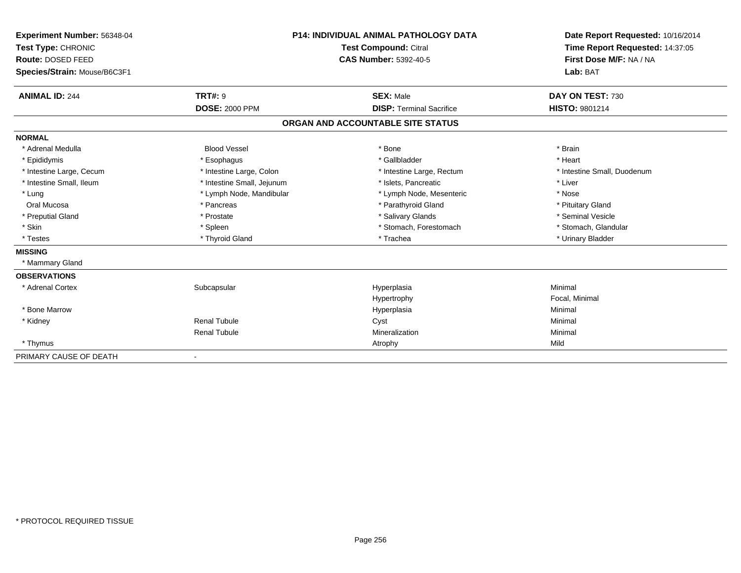| Experiment Number: 56348-04  |                            | <b>P14: INDIVIDUAL ANIMAL PATHOLOGY DATA</b> | Date Report Requested: 10/16/2014<br>Time Report Requested: 14:37:05 |
|------------------------------|----------------------------|----------------------------------------------|----------------------------------------------------------------------|
| Test Type: CHRONIC           |                            | <b>Test Compound: Citral</b>                 |                                                                      |
| Route: DOSED FEED            |                            | <b>CAS Number: 5392-40-5</b>                 | First Dose M/F: NA / NA                                              |
| Species/Strain: Mouse/B6C3F1 |                            |                                              | Lab: BAT                                                             |
| <b>ANIMAL ID: 244</b>        | <b>TRT#: 9</b>             | <b>SEX: Male</b>                             | DAY ON TEST: 730                                                     |
|                              | <b>DOSE: 2000 PPM</b>      | <b>DISP: Terminal Sacrifice</b>              | <b>HISTO: 9801214</b>                                                |
|                              |                            | ORGAN AND ACCOUNTABLE SITE STATUS            |                                                                      |
| <b>NORMAL</b>                |                            |                                              |                                                                      |
| * Adrenal Medulla            | <b>Blood Vessel</b>        | * Bone                                       | * Brain                                                              |
| * Epididymis                 | * Esophagus                | * Gallbladder                                | * Heart                                                              |
| * Intestine Large, Cecum     | * Intestine Large, Colon   | * Intestine Large, Rectum                    | * Intestine Small, Duodenum                                          |
| * Intestine Small, Ileum     | * Intestine Small, Jejunum | * Islets, Pancreatic                         | * Liver                                                              |
| * Lung                       | * Lymph Node, Mandibular   | * Lymph Node, Mesenteric                     | * Nose                                                               |
| Oral Mucosa                  | * Pancreas                 | * Parathyroid Gland                          | * Pituitary Gland                                                    |
| * Preputial Gland            | * Prostate                 | * Salivary Glands                            | * Seminal Vesicle                                                    |
| * Skin                       | * Spleen                   | * Stomach, Forestomach                       | * Stomach, Glandular                                                 |
| * Testes                     | * Thyroid Gland            | * Trachea                                    | * Urinary Bladder                                                    |
| <b>MISSING</b>               |                            |                                              |                                                                      |
| * Mammary Gland              |                            |                                              |                                                                      |
| <b>OBSERVATIONS</b>          |                            |                                              |                                                                      |
| * Adrenal Cortex             | Subcapsular                | Hyperplasia                                  | Minimal                                                              |
|                              |                            | Hypertrophy                                  | Focal, Minimal                                                       |
| * Bone Marrow                |                            | Hyperplasia                                  | Minimal                                                              |
| * Kidney                     | <b>Renal Tubule</b>        | Cyst                                         | Minimal                                                              |
|                              | <b>Renal Tubule</b>        | Mineralization                               | Minimal                                                              |
| * Thymus                     |                            | Atrophy                                      | Mild                                                                 |
| PRIMARY CAUSE OF DEATH       |                            |                                              |                                                                      |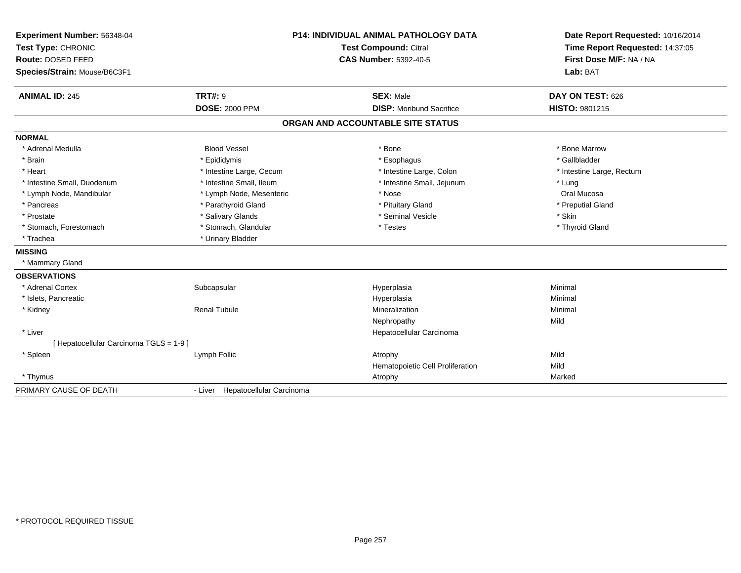| Experiment Number: 56348-04           |                                  | <b>P14: INDIVIDUAL ANIMAL PATHOLOGY DATA</b> | Date Report Requested: 10/16/2014<br>Time Report Requested: 14:37:05 |
|---------------------------------------|----------------------------------|----------------------------------------------|----------------------------------------------------------------------|
| Test Type: CHRONIC                    |                                  | Test Compound: Citral                        |                                                                      |
| <b>Route: DOSED FEED</b>              |                                  | <b>CAS Number: 5392-40-5</b>                 | First Dose M/F: NA / NA                                              |
| Species/Strain: Mouse/B6C3F1          |                                  |                                              | Lab: BAT                                                             |
| <b>ANIMAL ID: 245</b>                 | <b>TRT#: 9</b>                   | <b>SEX: Male</b>                             | DAY ON TEST: 626                                                     |
|                                       | <b>DOSE: 2000 PPM</b>            | <b>DISP:</b> Moribund Sacrifice              | HISTO: 9801215                                                       |
|                                       |                                  | ORGAN AND ACCOUNTABLE SITE STATUS            |                                                                      |
| <b>NORMAL</b>                         |                                  |                                              |                                                                      |
| * Adrenal Medulla                     | <b>Blood Vessel</b>              | * Bone                                       | * Bone Marrow                                                        |
| * Brain                               | * Epididymis                     | * Esophagus                                  | * Gallbladder                                                        |
| * Heart                               | * Intestine Large, Cecum         | * Intestine Large, Colon                     | * Intestine Large, Rectum                                            |
| * Intestine Small, Duodenum           | * Intestine Small, Ileum         | * Intestine Small, Jejunum                   | * Lung                                                               |
| * Lymph Node, Mandibular              | * Lymph Node, Mesenteric         | * Nose                                       | Oral Mucosa                                                          |
| * Pancreas                            | * Parathyroid Gland              | * Pituitary Gland                            | * Preputial Gland                                                    |
| * Prostate                            | * Salivary Glands                | * Seminal Vesicle                            | * Skin                                                               |
| * Stomach, Forestomach                | * Stomach, Glandular             | * Testes                                     | * Thyroid Gland                                                      |
| * Trachea                             | * Urinary Bladder                |                                              |                                                                      |
| <b>MISSING</b>                        |                                  |                                              |                                                                      |
| * Mammary Gland                       |                                  |                                              |                                                                      |
| <b>OBSERVATIONS</b>                   |                                  |                                              |                                                                      |
| * Adrenal Cortex                      | Subcapsular                      | Hyperplasia                                  | Minimal                                                              |
| * Islets, Pancreatic                  |                                  | Hyperplasia                                  | Minimal                                                              |
| * Kidney                              | <b>Renal Tubule</b>              | Mineralization                               | Minimal                                                              |
|                                       |                                  | Nephropathy                                  | Mild                                                                 |
| * Liver                               |                                  | Hepatocellular Carcinoma                     |                                                                      |
| [Hepatocellular Carcinoma TGLS = 1-9] |                                  |                                              |                                                                      |
| * Spleen                              | Lymph Follic                     | Atrophy                                      | Mild                                                                 |
|                                       |                                  | Hematopoietic Cell Proliferation             | Mild                                                                 |
| * Thymus                              |                                  | Atrophy                                      | Marked                                                               |
| PRIMARY CAUSE OF DEATH                | - Liver Hepatocellular Carcinoma |                                              |                                                                      |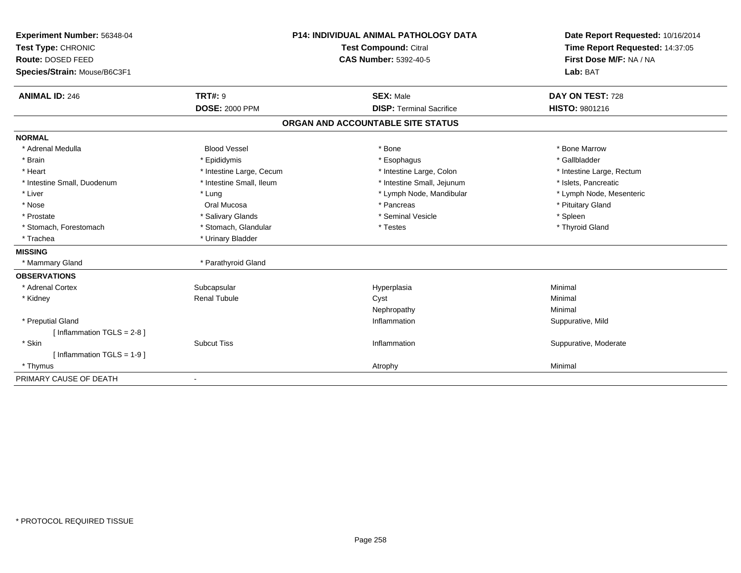| Experiment Number: 56348-04  | <b>P14: INDIVIDUAL ANIMAL PATHOLOGY DATA</b><br>Test Compound: Citral<br><b>CAS Number: 5392-40-5</b> |                                   | Date Report Requested: 10/16/2014 |
|------------------------------|-------------------------------------------------------------------------------------------------------|-----------------------------------|-----------------------------------|
| Test Type: CHRONIC           |                                                                                                       |                                   | Time Report Requested: 14:37:05   |
| Route: DOSED FEED            |                                                                                                       |                                   | First Dose M/F: NA / NA           |
| Species/Strain: Mouse/B6C3F1 |                                                                                                       |                                   | Lab: BAT                          |
| <b>ANIMAL ID: 246</b>        | <b>TRT#: 9</b>                                                                                        | <b>SEX: Male</b>                  | DAY ON TEST: 728                  |
|                              | <b>DOSE: 2000 PPM</b>                                                                                 | <b>DISP: Terminal Sacrifice</b>   | HISTO: 9801216                    |
|                              |                                                                                                       | ORGAN AND ACCOUNTABLE SITE STATUS |                                   |
| <b>NORMAL</b>                |                                                                                                       |                                   |                                   |
| * Adrenal Medulla            | <b>Blood Vessel</b>                                                                                   | * Bone                            | * Bone Marrow                     |
| * Brain                      | * Epididymis                                                                                          | * Esophagus                       | * Gallbladder                     |
| * Heart                      | * Intestine Large, Cecum                                                                              | * Intestine Large, Colon          | * Intestine Large, Rectum         |
| * Intestine Small, Duodenum  | * Intestine Small, Ileum                                                                              | * Intestine Small, Jejunum        | * Islets, Pancreatic              |
| * Liver                      | * Lung                                                                                                | * Lymph Node, Mandibular          | * Lymph Node, Mesenteric          |
| * Nose                       | Oral Mucosa                                                                                           | * Pancreas                        | * Pituitary Gland                 |
| * Prostate                   | * Salivary Glands                                                                                     | * Seminal Vesicle                 | * Spleen                          |
| * Stomach, Forestomach       | * Stomach, Glandular                                                                                  | * Testes                          | * Thyroid Gland                   |
| * Trachea                    | * Urinary Bladder                                                                                     |                                   |                                   |
| <b>MISSING</b>               |                                                                                                       |                                   |                                   |
| * Mammary Gland              | * Parathyroid Gland                                                                                   |                                   |                                   |
| <b>OBSERVATIONS</b>          |                                                                                                       |                                   |                                   |
| * Adrenal Cortex             | Subcapsular                                                                                           | Hyperplasia                       | Minimal                           |
| * Kidney                     | <b>Renal Tubule</b>                                                                                   | Cyst                              | Minimal                           |
|                              |                                                                                                       | Nephropathy                       | Minimal                           |
| * Preputial Gland            |                                                                                                       | Inflammation                      | Suppurative, Mild                 |
| [Inflammation TGLS = $2-8$ ] |                                                                                                       |                                   |                                   |
| * Skin                       | <b>Subcut Tiss</b>                                                                                    | Inflammation                      | Suppurative, Moderate             |
| [Inflammation TGLS = 1-9]    |                                                                                                       |                                   |                                   |
| * Thymus                     |                                                                                                       | Atrophy                           | Minimal                           |
| PRIMARY CAUSE OF DEATH       | $\overline{\phantom{a}}$                                                                              |                                   |                                   |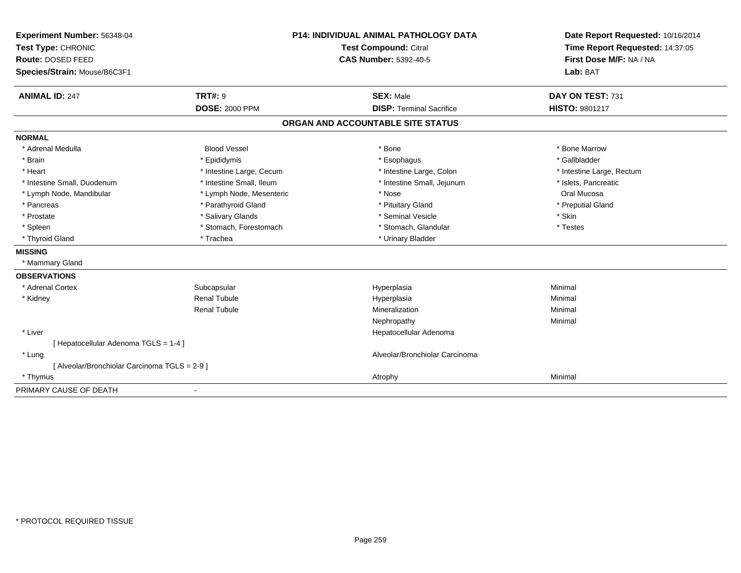| Experiment Number: 56348-04                   | <b>P14: INDIVIDUAL ANIMAL PATHOLOGY DATA</b> |                                   | Date Report Requested: 10/16/2014                          |  |
|-----------------------------------------------|----------------------------------------------|-----------------------------------|------------------------------------------------------------|--|
| Test Type: CHRONIC                            |                                              | <b>Test Compound: Citral</b>      | Time Report Requested: 14:37:05<br>First Dose M/F: NA / NA |  |
| Route: DOSED FEED                             |                                              | <b>CAS Number: 5392-40-5</b>      |                                                            |  |
| Species/Strain: Mouse/B6C3F1                  |                                              |                                   | Lab: BAT                                                   |  |
| <b>ANIMAL ID: 247</b>                         | TRT#: 9                                      | <b>SEX: Male</b>                  | DAY ON TEST: 731                                           |  |
|                                               | <b>DOSE: 2000 PPM</b>                        | <b>DISP: Terminal Sacrifice</b>   | <b>HISTO: 9801217</b>                                      |  |
|                                               |                                              | ORGAN AND ACCOUNTABLE SITE STATUS |                                                            |  |
| <b>NORMAL</b>                                 |                                              |                                   |                                                            |  |
| * Adrenal Medulla                             | <b>Blood Vessel</b>                          | * Bone                            | * Bone Marrow                                              |  |
| * Brain                                       | * Epididymis                                 | * Esophagus                       | * Gallbladder                                              |  |
| * Heart                                       | * Intestine Large, Cecum                     | * Intestine Large, Colon          | * Intestine Large, Rectum                                  |  |
| * Intestine Small, Duodenum                   | * Intestine Small, Ileum                     | * Intestine Small, Jejunum        | * Islets, Pancreatic                                       |  |
| * Lymph Node, Mandibular                      | * Lymph Node, Mesenteric                     | * Nose                            | Oral Mucosa                                                |  |
| * Pancreas                                    | * Parathyroid Gland                          | * Pituitary Gland                 | * Preputial Gland                                          |  |
| * Prostate                                    | * Salivary Glands                            | * Seminal Vesicle                 | * Skin                                                     |  |
| * Spleen                                      | * Stomach, Forestomach                       | * Stomach, Glandular              | * Testes                                                   |  |
| * Thyroid Gland                               | * Trachea                                    | * Urinary Bladder                 |                                                            |  |
| <b>MISSING</b>                                |                                              |                                   |                                                            |  |
| * Mammary Gland                               |                                              |                                   |                                                            |  |
| <b>OBSERVATIONS</b>                           |                                              |                                   |                                                            |  |
| * Adrenal Cortex                              | Subcapsular                                  | Hyperplasia                       | Minimal                                                    |  |
| * Kidney                                      | <b>Renal Tubule</b>                          | Hyperplasia                       | Minimal                                                    |  |
|                                               | <b>Renal Tubule</b>                          | Mineralization                    | Minimal                                                    |  |
|                                               |                                              | Nephropathy                       | Minimal                                                    |  |
| * Liver                                       |                                              | Hepatocellular Adenoma            |                                                            |  |
| [ Hepatocellular Adenoma TGLS = 1-4 ]         |                                              |                                   |                                                            |  |
| * Lung                                        |                                              | Alveolar/Bronchiolar Carcinoma    |                                                            |  |
| [ Alveolar/Bronchiolar Carcinoma TGLS = 2-9 ] |                                              |                                   |                                                            |  |
| * Thymus                                      |                                              | Atrophy                           | Minimal                                                    |  |
| PRIMARY CAUSE OF DEATH                        |                                              |                                   |                                                            |  |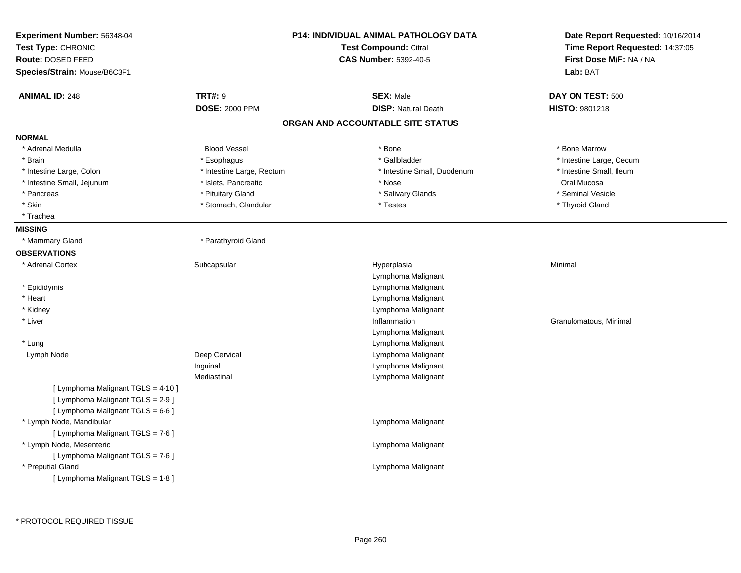| Experiment Number: 56348-04<br>Test Type: CHRONIC<br>Route: DOSED FEED<br>Species/Strain: Mouse/B6C3F1       |                                         | P14: INDIVIDUAL ANIMAL PATHOLOGY DATA<br>Test Compound: Citral<br><b>CAS Number: 5392-40-5</b> | Date Report Requested: 10/16/2014<br>Time Report Requested: 14:37:05<br>First Dose M/F: NA / NA<br>Lab: BAT |
|--------------------------------------------------------------------------------------------------------------|-----------------------------------------|------------------------------------------------------------------------------------------------|-------------------------------------------------------------------------------------------------------------|
| <b>ANIMAL ID: 248</b>                                                                                        | <b>TRT#: 9</b><br><b>DOSE: 2000 PPM</b> | <b>SEX: Male</b><br><b>DISP: Natural Death</b>                                                 | DAY ON TEST: 500<br>HISTO: 9801218                                                                          |
|                                                                                                              |                                         | ORGAN AND ACCOUNTABLE SITE STATUS                                                              |                                                                                                             |
| <b>NORMAL</b>                                                                                                |                                         |                                                                                                |                                                                                                             |
| * Adrenal Medulla                                                                                            | <b>Blood Vessel</b>                     | * Bone                                                                                         | * Bone Marrow                                                                                               |
| * Brain                                                                                                      | * Esophagus                             | * Gallbladder                                                                                  | * Intestine Large, Cecum                                                                                    |
| * Intestine Large, Colon                                                                                     | * Intestine Large, Rectum               | * Intestine Small, Duodenum                                                                    | * Intestine Small, Ileum                                                                                    |
| * Intestine Small, Jejunum                                                                                   | * Islets, Pancreatic                    | * Nose                                                                                         | Oral Mucosa                                                                                                 |
| * Pancreas                                                                                                   | * Pituitary Gland                       | * Salivary Glands                                                                              | * Seminal Vesicle                                                                                           |
| * Skin                                                                                                       | * Stomach, Glandular                    | * Testes                                                                                       | * Thyroid Gland                                                                                             |
| * Trachea                                                                                                    |                                         |                                                                                                |                                                                                                             |
| <b>MISSING</b>                                                                                               |                                         |                                                                                                |                                                                                                             |
| * Mammary Gland                                                                                              | * Parathyroid Gland                     |                                                                                                |                                                                                                             |
| <b>OBSERVATIONS</b>                                                                                          |                                         |                                                                                                |                                                                                                             |
| * Adrenal Cortex                                                                                             | Subcapsular                             | Hyperplasia<br>Lymphoma Malignant                                                              | Minimal                                                                                                     |
| * Epididymis                                                                                                 |                                         | Lymphoma Malignant                                                                             |                                                                                                             |
| * Heart                                                                                                      |                                         | Lymphoma Malignant                                                                             |                                                                                                             |
| * Kidney                                                                                                     |                                         | Lymphoma Malignant                                                                             |                                                                                                             |
| * Liver                                                                                                      |                                         | Inflammation                                                                                   | Granulomatous, Minimal                                                                                      |
|                                                                                                              |                                         | Lymphoma Malignant                                                                             |                                                                                                             |
| * Lung                                                                                                       |                                         | Lymphoma Malignant                                                                             |                                                                                                             |
| Lymph Node                                                                                                   | Deep Cervical                           | Lymphoma Malignant                                                                             |                                                                                                             |
|                                                                                                              | Inguinal                                | Lymphoma Malignant                                                                             |                                                                                                             |
| [ Lymphoma Malignant TGLS = 4-10 ]<br>[ Lymphoma Malignant TGLS = 2-9 ]<br>[ Lymphoma Malignant TGLS = 6-6 ] | Mediastinal                             | Lymphoma Malignant                                                                             |                                                                                                             |
| * Lymph Node, Mandibular<br>[ Lymphoma Malignant TGLS = 7-6 ]                                                |                                         | Lymphoma Malignant                                                                             |                                                                                                             |
| * Lymph Node, Mesenteric<br>[ Lymphoma Malignant TGLS = 7-6 ]                                                |                                         | Lymphoma Malignant                                                                             |                                                                                                             |
| * Preputial Gland<br>[ Lymphoma Malignant TGLS = 1-8 ]                                                       |                                         | Lymphoma Malignant                                                                             |                                                                                                             |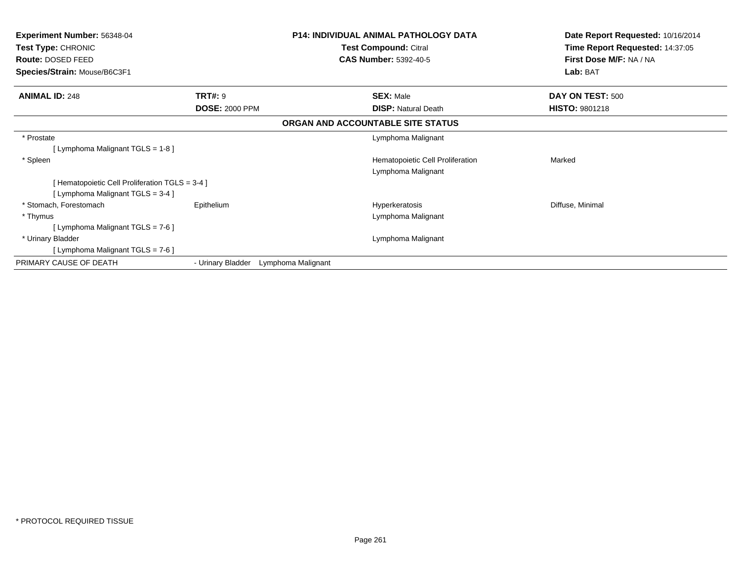| <b>Experiment Number: 56348-04</b><br><b>Test Type: CHRONIC</b> |                       | <b>P14: INDIVIDUAL ANIMAL PATHOLOGY DATA</b> | Date Report Requested: 10/16/2014<br>Time Report Requested: 14:37:05 |  |
|-----------------------------------------------------------------|-----------------------|----------------------------------------------|----------------------------------------------------------------------|--|
|                                                                 |                       | Test Compound: Citral                        |                                                                      |  |
| Route: DOSED FEED                                               |                       | <b>CAS Number: 5392-40-5</b>                 | First Dose M/F: NA / NA                                              |  |
| Species/Strain: Mouse/B6C3F1                                    |                       |                                              | Lab: BAT                                                             |  |
| <b>ANIMAL ID: 248</b>                                           | <b>TRT#: 9</b>        | <b>SEX: Male</b>                             | DAY ON TEST: 500                                                     |  |
|                                                                 | <b>DOSE: 2000 PPM</b> | <b>DISP:</b> Natural Death                   | <b>HISTO: 9801218</b>                                                |  |
|                                                                 |                       | ORGAN AND ACCOUNTABLE SITE STATUS            |                                                                      |  |
| * Prostate                                                      |                       | Lymphoma Malignant                           |                                                                      |  |
| [Lymphoma Malignant TGLS = 1-8]                                 |                       |                                              |                                                                      |  |
| * Spleen                                                        |                       | Hematopoietic Cell Proliferation             | Marked                                                               |  |
|                                                                 |                       | Lymphoma Malignant                           |                                                                      |  |
| [Hematopoietic Cell Proliferation TGLS = 3-4 ]                  |                       |                                              |                                                                      |  |
| [Lymphoma Malignant TGLS = 3-4 ]                                |                       |                                              |                                                                      |  |
| * Stomach, Forestomach                                          | Epithelium            | Hyperkeratosis                               | Diffuse, Minimal                                                     |  |
| * Thymus                                                        |                       | Lymphoma Malignant                           |                                                                      |  |
| [ Lymphoma Malignant TGLS = 7-6 ]                               |                       |                                              |                                                                      |  |
| * Urinary Bladder                                               |                       | Lymphoma Malignant                           |                                                                      |  |
| [ Lymphoma Malignant TGLS = 7-6 ]                               |                       |                                              |                                                                      |  |
| PRIMARY CAUSE OF DEATH                                          | - Urinary Bladder     | Lymphoma Malignant                           |                                                                      |  |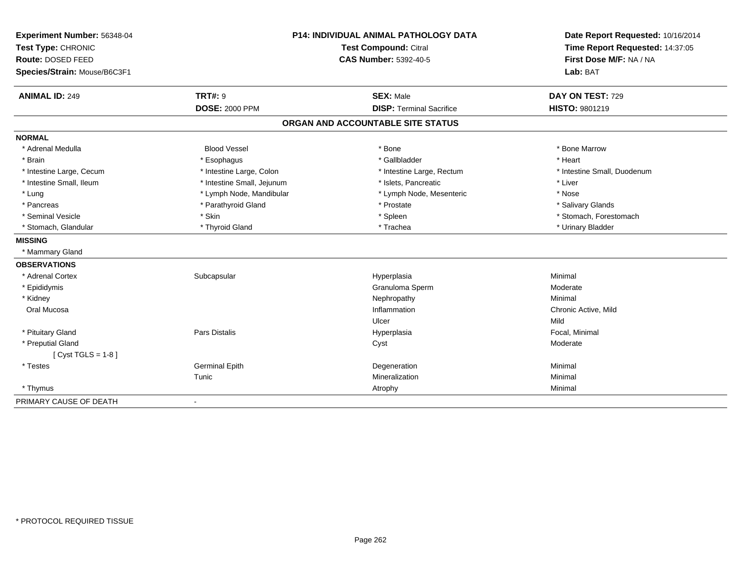| Experiment Number: 56348-04  | P14: INDIVIDUAL ANIMAL PATHOLOGY DATA<br>Test Compound: Citral |                                   | Date Report Requested: 10/16/2014 |
|------------------------------|----------------------------------------------------------------|-----------------------------------|-----------------------------------|
| Test Type: CHRONIC           |                                                                |                                   | Time Report Requested: 14:37:05   |
| Route: DOSED FEED            |                                                                | <b>CAS Number: 5392-40-5</b>      | First Dose M/F: NA / NA           |
| Species/Strain: Mouse/B6C3F1 |                                                                |                                   | Lab: BAT                          |
| <b>ANIMAL ID: 249</b>        | <b>TRT#: 9</b>                                                 | <b>SEX: Male</b>                  | DAY ON TEST: 729                  |
|                              | <b>DOSE: 2000 PPM</b>                                          | <b>DISP: Terminal Sacrifice</b>   | HISTO: 9801219                    |
|                              |                                                                | ORGAN AND ACCOUNTABLE SITE STATUS |                                   |
| <b>NORMAL</b>                |                                                                |                                   |                                   |
| * Adrenal Medulla            | <b>Blood Vessel</b>                                            | * Bone                            | * Bone Marrow                     |
| * Brain                      | * Esophagus                                                    | * Gallbladder                     | * Heart                           |
| * Intestine Large, Cecum     | * Intestine Large, Colon                                       | * Intestine Large, Rectum         | * Intestine Small, Duodenum       |
| * Intestine Small, Ileum     | * Intestine Small, Jejunum                                     | * Islets, Pancreatic              | * Liver                           |
| * Lung                       | * Lymph Node, Mandibular                                       | * Lymph Node, Mesenteric          | * Nose                            |
| * Pancreas                   | * Parathyroid Gland                                            | * Prostate                        | * Salivary Glands                 |
| * Seminal Vesicle            | * Skin                                                         | * Spleen                          | * Stomach, Forestomach            |
| * Stomach, Glandular         | * Thyroid Gland                                                | * Trachea                         | * Urinary Bladder                 |
| <b>MISSING</b>               |                                                                |                                   |                                   |
| * Mammary Gland              |                                                                |                                   |                                   |
| <b>OBSERVATIONS</b>          |                                                                |                                   |                                   |
| * Adrenal Cortex             | Subcapsular                                                    | Hyperplasia                       | Minimal                           |
| * Epididymis                 |                                                                | Granuloma Sperm                   | Moderate                          |
| * Kidney                     |                                                                | Nephropathy                       | Minimal                           |
| Oral Mucosa                  |                                                                | Inflammation                      | Chronic Active, Mild              |
|                              |                                                                | Ulcer                             | Mild                              |
| * Pituitary Gland            | Pars Distalis                                                  | Hyperplasia                       | Focal, Minimal                    |
| * Preputial Gland            |                                                                | Cyst                              | Moderate                          |
| [ $Cyst TGLS = 1-8$ ]        |                                                                |                                   |                                   |
| * Testes                     | <b>Germinal Epith</b>                                          | Degeneration                      | Minimal                           |
|                              | Tunic                                                          | Mineralization                    | Minimal                           |
| * Thymus                     |                                                                | Atrophy                           | Minimal                           |
| PRIMARY CAUSE OF DEATH       | $\overline{\phantom{a}}$                                       |                                   |                                   |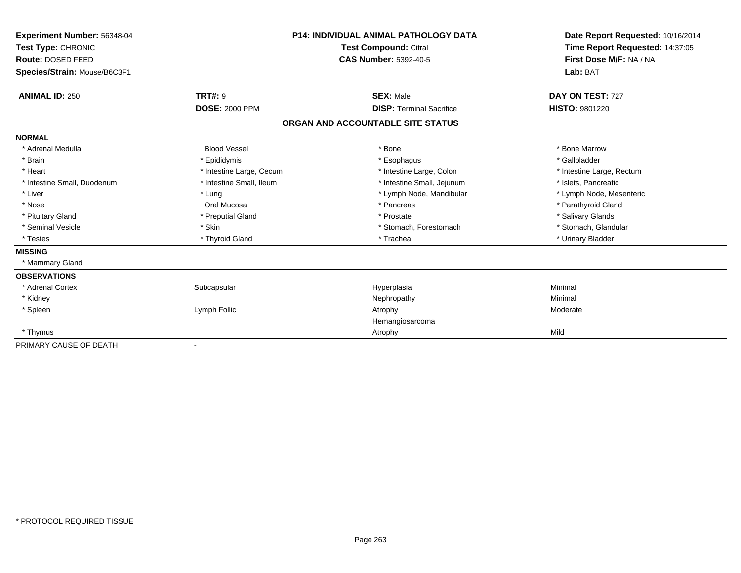| Experiment Number: 56348-04  |                              | <b>P14: INDIVIDUAL ANIMAL PATHOLOGY DATA</b> | Date Report Requested: 10/16/2014<br>Time Report Requested: 14:37:05 |
|------------------------------|------------------------------|----------------------------------------------|----------------------------------------------------------------------|
| Test Type: CHRONIC           | <b>Test Compound: Citral</b> |                                              |                                                                      |
| <b>Route: DOSED FEED</b>     |                              | CAS Number: 5392-40-5                        | First Dose M/F: NA / NA                                              |
| Species/Strain: Mouse/B6C3F1 |                              |                                              | Lab: BAT                                                             |
| <b>ANIMAL ID: 250</b>        | <b>TRT#: 9</b>               | <b>SEX: Male</b>                             | DAY ON TEST: 727                                                     |
|                              | <b>DOSE: 2000 PPM</b>        | <b>DISP: Terminal Sacrifice</b>              | HISTO: 9801220                                                       |
|                              |                              | ORGAN AND ACCOUNTABLE SITE STATUS            |                                                                      |
| <b>NORMAL</b>                |                              |                                              |                                                                      |
| * Adrenal Medulla            | <b>Blood Vessel</b>          | * Bone                                       | * Bone Marrow                                                        |
| * Brain                      | * Epididymis                 | * Esophagus                                  | * Gallbladder                                                        |
| * Heart                      | * Intestine Large, Cecum     | * Intestine Large, Colon                     | * Intestine Large, Rectum                                            |
| * Intestine Small, Duodenum  | * Intestine Small, Ileum     | * Intestine Small, Jejunum                   | * Islets, Pancreatic                                                 |
| * Liver                      | * Lung                       | * Lymph Node, Mandibular                     | * Lymph Node, Mesenteric                                             |
| * Nose                       | Oral Mucosa                  | * Pancreas                                   | * Parathyroid Gland                                                  |
| * Pituitary Gland            | * Preputial Gland            | * Prostate                                   | * Salivary Glands                                                    |
| * Seminal Vesicle            | * Skin                       | * Stomach, Forestomach                       | * Stomach, Glandular                                                 |
| * Testes                     | * Thyroid Gland              | * Trachea                                    | * Urinary Bladder                                                    |
| <b>MISSING</b>               |                              |                                              |                                                                      |
| * Mammary Gland              |                              |                                              |                                                                      |
| <b>OBSERVATIONS</b>          |                              |                                              |                                                                      |
| * Adrenal Cortex             | Subcapsular                  | Hyperplasia                                  | Minimal                                                              |
| * Kidney                     |                              | Nephropathy                                  | Minimal                                                              |
| * Spleen                     | Lymph Follic                 | Atrophy                                      | Moderate                                                             |
|                              |                              | Hemangiosarcoma                              |                                                                      |
| * Thymus                     |                              | Atrophy                                      | Mild                                                                 |
| PRIMARY CAUSE OF DEATH       |                              |                                              |                                                                      |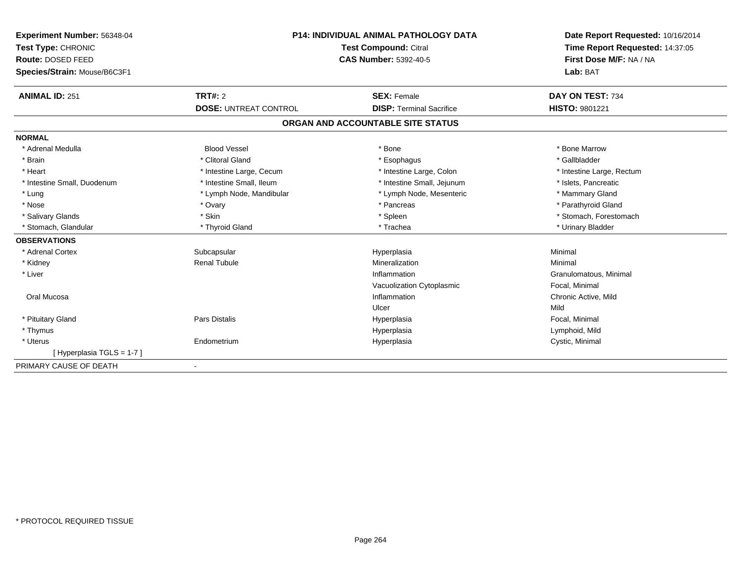| Experiment Number: 56348-04<br>Test Type: CHRONIC | <b>P14: INDIVIDUAL ANIMAL PATHOLOGY DATA</b><br>Test Compound: Citral |                                   | Date Report Requested: 10/16/2014<br>Time Report Requested: 14:37:05 |
|---------------------------------------------------|-----------------------------------------------------------------------|-----------------------------------|----------------------------------------------------------------------|
| Route: DOSED FEED                                 |                                                                       | <b>CAS Number: 5392-40-5</b>      | First Dose M/F: NA / NA                                              |
| Species/Strain: Mouse/B6C3F1                      |                                                                       |                                   | Lab: BAT                                                             |
| <b>ANIMAL ID: 251</b>                             | <b>TRT#: 2</b>                                                        | <b>SEX: Female</b>                | DAY ON TEST: 734                                                     |
|                                                   | <b>DOSE: UNTREAT CONTROL</b>                                          | <b>DISP: Terminal Sacrifice</b>   | HISTO: 9801221                                                       |
|                                                   |                                                                       | ORGAN AND ACCOUNTABLE SITE STATUS |                                                                      |
| <b>NORMAL</b>                                     |                                                                       |                                   |                                                                      |
| * Adrenal Medulla                                 | <b>Blood Vessel</b>                                                   | * Bone                            | * Bone Marrow                                                        |
| * Brain                                           | * Clitoral Gland                                                      | * Esophagus                       | * Gallbladder                                                        |
| * Heart                                           | * Intestine Large, Cecum                                              | * Intestine Large, Colon          | * Intestine Large, Rectum                                            |
| * Intestine Small, Duodenum                       | * Intestine Small, Ileum                                              | * Intestine Small, Jejunum        | * Islets, Pancreatic                                                 |
| * Lung                                            | * Lymph Node, Mandibular                                              | * Lymph Node, Mesenteric          | * Mammary Gland                                                      |
| * Nose                                            | * Ovary                                                               | * Pancreas                        | * Parathyroid Gland                                                  |
| * Salivary Glands                                 | * Skin                                                                | * Spleen                          | * Stomach, Forestomach                                               |
| * Stomach, Glandular                              | * Thyroid Gland                                                       | * Trachea                         | * Urinary Bladder                                                    |
| <b>OBSERVATIONS</b>                               |                                                                       |                                   |                                                                      |
| * Adrenal Cortex                                  | Subcapsular                                                           | Hyperplasia                       | Minimal                                                              |
| * Kidney                                          | <b>Renal Tubule</b>                                                   | Mineralization                    | Minimal                                                              |
| * Liver                                           |                                                                       | Inflammation                      | Granulomatous, Minimal                                               |
|                                                   |                                                                       | Vacuolization Cytoplasmic         | Focal, Minimal                                                       |
| Oral Mucosa                                       |                                                                       | Inflammation                      | Chronic Active, Mild                                                 |
|                                                   |                                                                       | Ulcer                             | Mild                                                                 |
| * Pituitary Gland                                 | Pars Distalis                                                         | Hyperplasia                       | Focal, Minimal                                                       |
| * Thymus                                          |                                                                       | Hyperplasia                       | Lymphoid, Mild                                                       |
| * Uterus                                          | Endometrium                                                           | Hyperplasia                       | Cystic, Minimal                                                      |
| [Hyperplasia TGLS = 1-7]                          |                                                                       |                                   |                                                                      |
| PRIMARY CAUSE OF DEATH                            |                                                                       |                                   |                                                                      |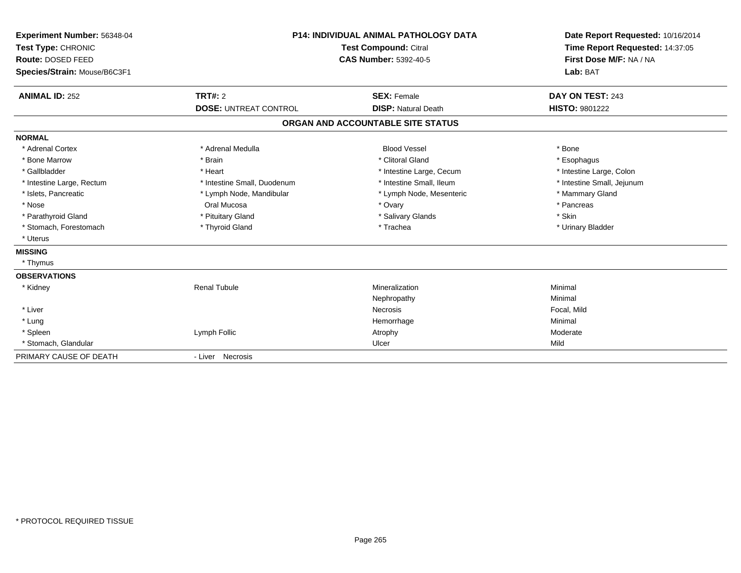| Experiment Number: 56348-04<br>Test Type: CHRONIC<br>Route: DOSED FEED<br>Species/Strain: Mouse/B6C3F1 |                              | <b>P14: INDIVIDUAL ANIMAL PATHOLOGY DATA</b><br>Test Compound: Citral<br><b>CAS Number: 5392-40-5</b> | Date Report Requested: 10/16/2014<br>Time Report Requested: 14:37:05<br>First Dose M/F: NA / NA<br>Lab: BAT |
|--------------------------------------------------------------------------------------------------------|------------------------------|-------------------------------------------------------------------------------------------------------|-------------------------------------------------------------------------------------------------------------|
| <b>ANIMAL ID: 252</b>                                                                                  | <b>TRT#: 2</b>               | <b>SEX: Female</b>                                                                                    | DAY ON TEST: 243                                                                                            |
|                                                                                                        | <b>DOSE: UNTREAT CONTROL</b> | <b>DISP: Natural Death</b>                                                                            | <b>HISTO: 9801222</b>                                                                                       |
|                                                                                                        |                              | ORGAN AND ACCOUNTABLE SITE STATUS                                                                     |                                                                                                             |
| <b>NORMAL</b>                                                                                          |                              |                                                                                                       |                                                                                                             |
| * Adrenal Cortex                                                                                       | * Adrenal Medulla            | <b>Blood Vessel</b>                                                                                   | * Bone                                                                                                      |
| * Bone Marrow                                                                                          | * Brain                      | * Clitoral Gland                                                                                      | * Esophagus                                                                                                 |
| * Gallbladder                                                                                          | * Heart                      | * Intestine Large, Cecum                                                                              | * Intestine Large, Colon                                                                                    |
| * Intestine Large, Rectum                                                                              | * Intestine Small, Duodenum  | * Intestine Small, Ileum                                                                              | * Intestine Small, Jejunum                                                                                  |
| * Islets, Pancreatic                                                                                   | * Lymph Node, Mandibular     | * Lymph Node, Mesenteric                                                                              | * Mammary Gland                                                                                             |
| * Nose                                                                                                 | Oral Mucosa                  | * Ovary                                                                                               | * Pancreas                                                                                                  |
| * Parathyroid Gland                                                                                    | * Pituitary Gland            | * Salivary Glands                                                                                     | * Skin                                                                                                      |
| * Stomach, Forestomach                                                                                 | * Thyroid Gland              | * Trachea                                                                                             | * Urinary Bladder                                                                                           |
| * Uterus                                                                                               |                              |                                                                                                       |                                                                                                             |
| <b>MISSING</b>                                                                                         |                              |                                                                                                       |                                                                                                             |
| * Thymus                                                                                               |                              |                                                                                                       |                                                                                                             |
| <b>OBSERVATIONS</b>                                                                                    |                              |                                                                                                       |                                                                                                             |
| * Kidney                                                                                               | <b>Renal Tubule</b>          | Mineralization                                                                                        | Minimal                                                                                                     |
|                                                                                                        |                              | Nephropathy                                                                                           | Minimal                                                                                                     |
| * Liver                                                                                                |                              | <b>Necrosis</b>                                                                                       | Focal, Mild                                                                                                 |
| * Lung                                                                                                 |                              | Hemorrhage                                                                                            | Minimal                                                                                                     |
| * Spleen                                                                                               | Lymph Follic                 | Atrophy                                                                                               | Moderate                                                                                                    |
| * Stomach, Glandular                                                                                   |                              | Ulcer                                                                                                 | Mild                                                                                                        |
| PRIMARY CAUSE OF DEATH                                                                                 | - Liver Necrosis             |                                                                                                       |                                                                                                             |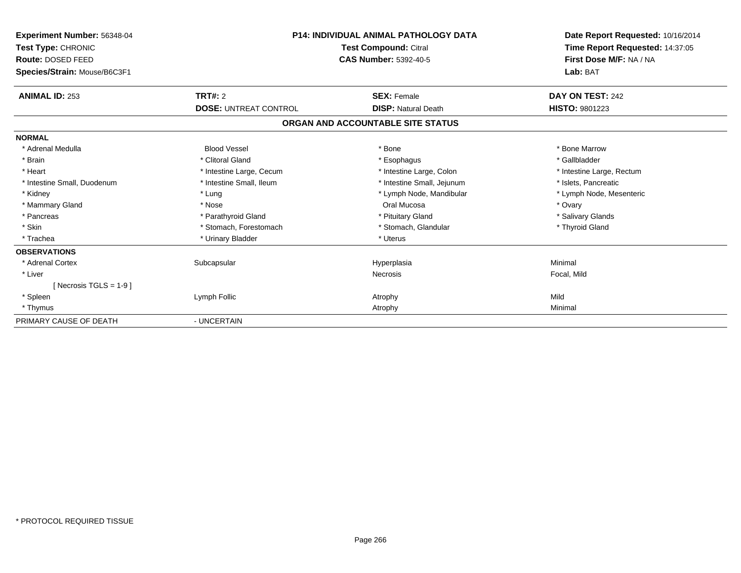| Experiment Number: 56348-04<br><b>Test Type: CHRONIC</b><br>Route: DOSED FEED<br>Species/Strain: Mouse/B6C3F1 |                              | <b>P14: INDIVIDUAL ANIMAL PATHOLOGY DATA</b><br>Test Compound: Citral<br><b>CAS Number: 5392-40-5</b> |                           |
|---------------------------------------------------------------------------------------------------------------|------------------------------|-------------------------------------------------------------------------------------------------------|---------------------------|
| <b>ANIMAL ID: 253</b>                                                                                         | <b>TRT#: 2</b>               | <b>SEX: Female</b>                                                                                    | DAY ON TEST: 242          |
|                                                                                                               | <b>DOSE: UNTREAT CONTROL</b> | <b>DISP: Natural Death</b>                                                                            | <b>HISTO: 9801223</b>     |
|                                                                                                               |                              | ORGAN AND ACCOUNTABLE SITE STATUS                                                                     |                           |
| <b>NORMAL</b>                                                                                                 |                              |                                                                                                       |                           |
| * Adrenal Medulla                                                                                             | <b>Blood Vessel</b>          | * Bone                                                                                                | * Bone Marrow             |
| * Brain                                                                                                       | * Clitoral Gland             | * Esophagus                                                                                           | * Gallbladder             |
| * Heart                                                                                                       | * Intestine Large, Cecum     | * Intestine Large, Colon                                                                              | * Intestine Large, Rectum |
| * Intestine Small, Duodenum                                                                                   | * Intestine Small, Ileum     | * Intestine Small, Jejunum                                                                            | * Islets, Pancreatic      |
| * Kidney                                                                                                      | * Lung                       | * Lymph Node, Mandibular                                                                              | * Lymph Node, Mesenteric  |
| * Mammary Gland                                                                                               | * Nose                       | Oral Mucosa                                                                                           | * Ovary                   |
| * Pancreas                                                                                                    | * Parathyroid Gland          | * Pituitary Gland                                                                                     | * Salivary Glands         |
| * Skin                                                                                                        | * Stomach, Forestomach       | * Stomach, Glandular                                                                                  | * Thyroid Gland           |
| * Trachea                                                                                                     | * Urinary Bladder            | * Uterus                                                                                              |                           |
| <b>OBSERVATIONS</b>                                                                                           |                              |                                                                                                       |                           |
| * Adrenal Cortex                                                                                              | Subcapsular                  | Hyperplasia                                                                                           | Minimal                   |
| * Liver                                                                                                       |                              | <b>Necrosis</b>                                                                                       | Focal, Mild               |
| [Necrosis TGLS = $1-9$ ]                                                                                      |                              |                                                                                                       |                           |
| * Spleen                                                                                                      | Lymph Follic                 | Atrophy                                                                                               | Mild                      |
| * Thymus                                                                                                      |                              | Atrophy                                                                                               | Minimal                   |
| PRIMARY CAUSE OF DEATH                                                                                        | - UNCERTAIN                  |                                                                                                       |                           |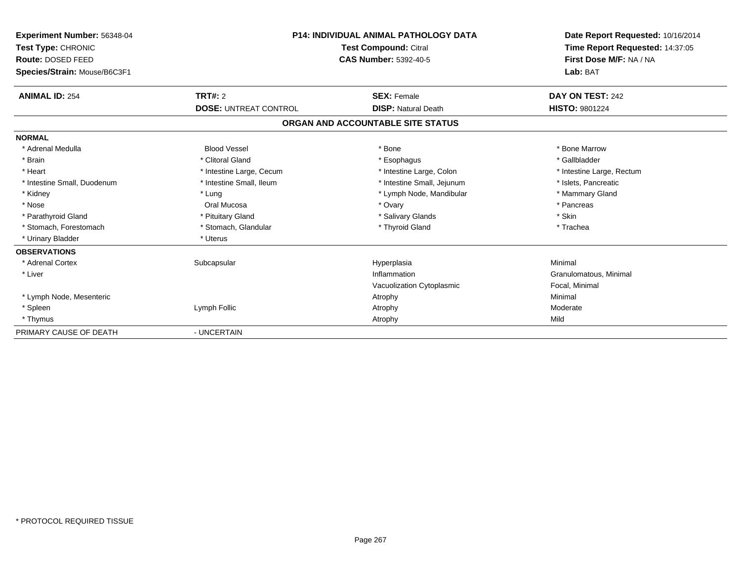| Experiment Number: 56348-04<br>Test Type: CHRONIC<br>Route: DOSED FEED<br>Species/Strain: Mouse/B6C3F1 | <b>P14: INDIVIDUAL ANIMAL PATHOLOGY DATA</b><br><b>Test Compound: Citral</b><br><b>CAS Number: 5392-40-5</b> |                                   | Date Report Requested: 10/16/2014<br>Time Report Requested: 14:37:05<br>First Dose M/F: NA / NA<br>Lab: BAT |
|--------------------------------------------------------------------------------------------------------|--------------------------------------------------------------------------------------------------------------|-----------------------------------|-------------------------------------------------------------------------------------------------------------|
| <b>ANIMAL ID: 254</b>                                                                                  | <b>TRT#: 2</b>                                                                                               | <b>SEX: Female</b>                | DAY ON TEST: 242                                                                                            |
|                                                                                                        | <b>DOSE: UNTREAT CONTROL</b>                                                                                 | <b>DISP: Natural Death</b>        | HISTO: 9801224                                                                                              |
|                                                                                                        |                                                                                                              | ORGAN AND ACCOUNTABLE SITE STATUS |                                                                                                             |
| <b>NORMAL</b>                                                                                          |                                                                                                              |                                   |                                                                                                             |
| * Adrenal Medulla                                                                                      | <b>Blood Vessel</b>                                                                                          | * Bone                            | * Bone Marrow                                                                                               |
| * Brain                                                                                                | * Clitoral Gland                                                                                             | * Esophagus                       | * Gallbladder                                                                                               |
| * Heart                                                                                                | * Intestine Large, Cecum                                                                                     | * Intestine Large, Colon          | * Intestine Large, Rectum                                                                                   |
| * Intestine Small, Duodenum                                                                            | * Intestine Small, Ileum                                                                                     | * Intestine Small, Jejunum        | * Islets, Pancreatic                                                                                        |
| * Kidney                                                                                               | * Lung                                                                                                       | * Lymph Node, Mandibular          | * Mammary Gland                                                                                             |
| * Nose                                                                                                 | Oral Mucosa                                                                                                  | * Ovary                           | * Pancreas                                                                                                  |
| * Parathyroid Gland                                                                                    | * Pituitary Gland                                                                                            | * Salivary Glands                 | * Skin                                                                                                      |
| * Stomach, Forestomach                                                                                 | * Stomach, Glandular                                                                                         | * Thyroid Gland                   | * Trachea                                                                                                   |
| * Urinary Bladder                                                                                      | * Uterus                                                                                                     |                                   |                                                                                                             |
| <b>OBSERVATIONS</b>                                                                                    |                                                                                                              |                                   |                                                                                                             |
| * Adrenal Cortex                                                                                       | Subcapsular                                                                                                  | Hyperplasia                       | Minimal                                                                                                     |
| * Liver                                                                                                |                                                                                                              | Inflammation                      | Granulomatous, Minimal                                                                                      |
|                                                                                                        |                                                                                                              | Vacuolization Cytoplasmic         | Focal, Minimal                                                                                              |
| * Lymph Node, Mesenteric                                                                               |                                                                                                              | Atrophy                           | Minimal                                                                                                     |
| * Spleen                                                                                               | Lymph Follic                                                                                                 | Atrophy                           | Moderate                                                                                                    |
| * Thymus                                                                                               |                                                                                                              | Atrophy                           | Mild                                                                                                        |
| PRIMARY CAUSE OF DEATH                                                                                 | - UNCERTAIN                                                                                                  |                                   |                                                                                                             |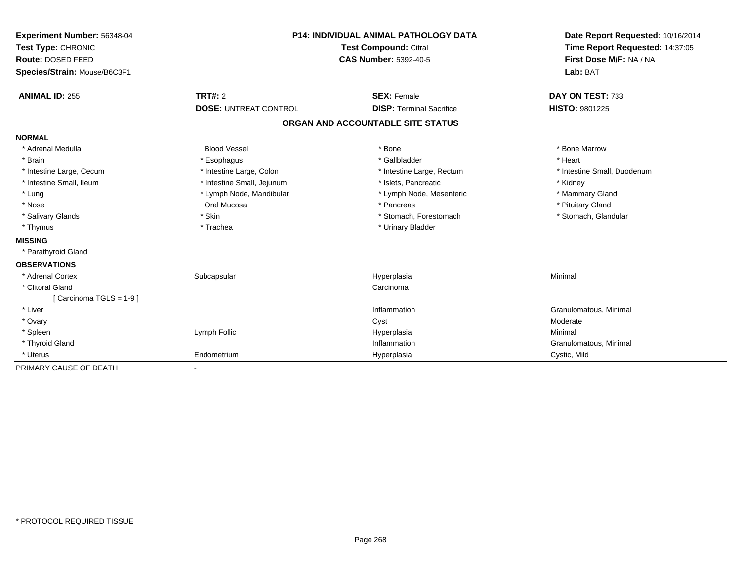| Experiment Number: 56348-04  | <b>P14: INDIVIDUAL ANIMAL PATHOLOGY DATA</b><br>Test Compound: Citral |                                   | Date Report Requested: 10/16/2014 |  |
|------------------------------|-----------------------------------------------------------------------|-----------------------------------|-----------------------------------|--|
| Test Type: CHRONIC           |                                                                       |                                   | Time Report Requested: 14:37:05   |  |
| Route: DOSED FEED            |                                                                       | <b>CAS Number: 5392-40-5</b>      | First Dose M/F: NA / NA           |  |
| Species/Strain: Mouse/B6C3F1 |                                                                       |                                   | Lab: BAT                          |  |
| <b>ANIMAL ID: 255</b>        | TRT#: 2                                                               | <b>SEX: Female</b>                | DAY ON TEST: 733                  |  |
|                              | <b>DOSE: UNTREAT CONTROL</b>                                          | <b>DISP: Terminal Sacrifice</b>   | HISTO: 9801225                    |  |
|                              |                                                                       | ORGAN AND ACCOUNTABLE SITE STATUS |                                   |  |
| <b>NORMAL</b>                |                                                                       |                                   |                                   |  |
| * Adrenal Medulla            | <b>Blood Vessel</b>                                                   | * Bone                            | * Bone Marrow                     |  |
| * Brain                      | * Esophagus                                                           | * Gallbladder                     | * Heart                           |  |
| * Intestine Large, Cecum     | * Intestine Large, Colon                                              | * Intestine Large, Rectum         | * Intestine Small, Duodenum       |  |
| * Intestine Small, Ileum     | * Intestine Small, Jejunum                                            | * Islets, Pancreatic              | * Kidney                          |  |
| * Lung                       | * Lymph Node, Mandibular                                              | * Lymph Node, Mesenteric          | * Mammary Gland                   |  |
| * Nose                       | Oral Mucosa                                                           | * Pancreas                        | * Pituitary Gland                 |  |
| * Salivary Glands            | * Skin                                                                | * Stomach, Forestomach            | * Stomach, Glandular              |  |
| * Thymus                     | * Trachea                                                             | * Urinary Bladder                 |                                   |  |
| <b>MISSING</b>               |                                                                       |                                   |                                   |  |
| * Parathyroid Gland          |                                                                       |                                   |                                   |  |
| <b>OBSERVATIONS</b>          |                                                                       |                                   |                                   |  |
| * Adrenal Cortex             | Subcapsular                                                           | Hyperplasia                       | Minimal                           |  |
| * Clitoral Gland             |                                                                       | Carcinoma                         |                                   |  |
| [Carcinoma TGLS = 1-9]       |                                                                       |                                   |                                   |  |
| * Liver                      |                                                                       | Inflammation                      | Granulomatous, Minimal            |  |
| * Ovary                      |                                                                       | Cyst                              | Moderate                          |  |
| * Spleen                     | Lymph Follic                                                          | Hyperplasia                       | Minimal                           |  |
| * Thyroid Gland              |                                                                       | Inflammation                      | Granulomatous, Minimal            |  |
| * Uterus                     | Endometrium                                                           | Hyperplasia                       | Cystic, Mild                      |  |
| PRIMARY CAUSE OF DEATH       |                                                                       |                                   |                                   |  |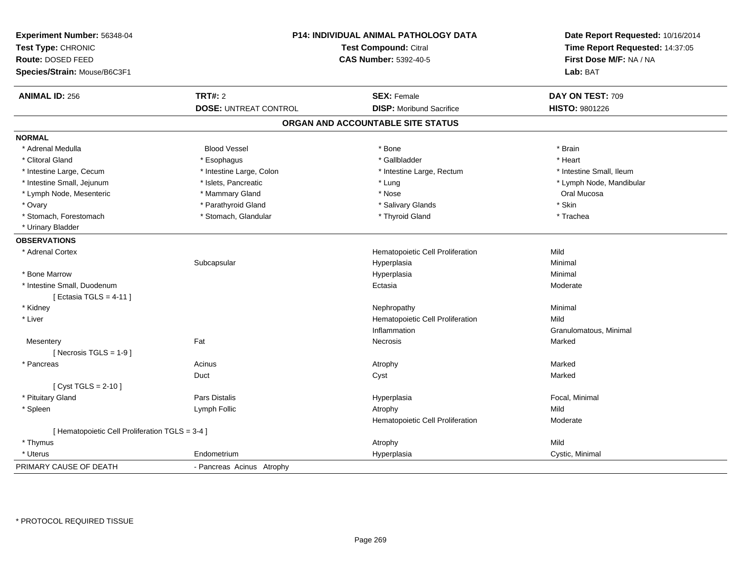| Experiment Number: 56348-04<br>Test Type: CHRONIC<br>Route: DOSED FEED<br>Species/Strain: Mouse/B6C3F1 |                              | P14: INDIVIDUAL ANIMAL PATHOLOGY DATA<br><b>Test Compound: Citral</b><br><b>CAS Number: 5392-40-5</b> | Date Report Requested: 10/16/2014<br>Time Report Requested: 14:37:05<br>First Dose M/F: NA / NA<br>Lab: BAT |  |
|--------------------------------------------------------------------------------------------------------|------------------------------|-------------------------------------------------------------------------------------------------------|-------------------------------------------------------------------------------------------------------------|--|
| <b>ANIMAL ID: 256</b>                                                                                  | <b>TRT#: 2</b>               | <b>SEX: Female</b>                                                                                    | DAY ON TEST: 709                                                                                            |  |
|                                                                                                        | <b>DOSE: UNTREAT CONTROL</b> | <b>DISP:</b> Moribund Sacrifice                                                                       | HISTO: 9801226                                                                                              |  |
|                                                                                                        |                              | ORGAN AND ACCOUNTABLE SITE STATUS                                                                     |                                                                                                             |  |
| <b>NORMAL</b>                                                                                          |                              |                                                                                                       |                                                                                                             |  |
| * Adrenal Medulla                                                                                      | <b>Blood Vessel</b>          | * Bone                                                                                                | * Brain                                                                                                     |  |
| * Clitoral Gland                                                                                       | * Esophagus                  | * Gallbladder                                                                                         | * Heart                                                                                                     |  |
| * Intestine Large, Cecum                                                                               | * Intestine Large, Colon     | * Intestine Large, Rectum                                                                             | * Intestine Small, Ileum                                                                                    |  |
| * Intestine Small, Jejunum                                                                             | * Islets, Pancreatic         | * Lung                                                                                                | * Lymph Node, Mandibular                                                                                    |  |
| * Lymph Node, Mesenteric                                                                               | * Mammary Gland              | * Nose                                                                                                | Oral Mucosa                                                                                                 |  |
| * Ovary                                                                                                | * Parathyroid Gland          | * Salivary Glands                                                                                     | * Skin                                                                                                      |  |
| * Stomach, Forestomach                                                                                 | * Stomach, Glandular         | * Thyroid Gland                                                                                       | * Trachea                                                                                                   |  |
| * Urinary Bladder                                                                                      |                              |                                                                                                       |                                                                                                             |  |
| <b>OBSERVATIONS</b>                                                                                    |                              |                                                                                                       |                                                                                                             |  |
| * Adrenal Cortex                                                                                       |                              | Hematopoietic Cell Proliferation                                                                      | Mild                                                                                                        |  |
|                                                                                                        | Subcapsular                  | Hyperplasia                                                                                           | Minimal                                                                                                     |  |
| * Bone Marrow                                                                                          |                              | Hyperplasia                                                                                           | Minimal                                                                                                     |  |
| * Intestine Small, Duodenum                                                                            |                              | Ectasia                                                                                               | Moderate                                                                                                    |  |
| [Ectasia TGLS = $4-11$ ]                                                                               |                              |                                                                                                       |                                                                                                             |  |
| * Kidney                                                                                               |                              | Nephropathy                                                                                           | Minimal                                                                                                     |  |
| * Liver                                                                                                |                              | Hematopoietic Cell Proliferation                                                                      | Mild                                                                                                        |  |
|                                                                                                        |                              | Inflammation                                                                                          | Granulomatous, Minimal                                                                                      |  |
| Mesentery                                                                                              | Fat                          | Necrosis                                                                                              | Marked                                                                                                      |  |
| [ Necrosis $TGLS = 1-9$ ]                                                                              |                              |                                                                                                       |                                                                                                             |  |
| * Pancreas                                                                                             | Acinus                       | Atrophy                                                                                               | Marked                                                                                                      |  |
|                                                                                                        | Duct                         | Cyst                                                                                                  | Marked                                                                                                      |  |
| [ $Cyst TGLS = 2-10$ ]                                                                                 |                              |                                                                                                       |                                                                                                             |  |
| * Pituitary Gland                                                                                      | Pars Distalis                | Hyperplasia                                                                                           | Focal, Minimal                                                                                              |  |
| * Spleen                                                                                               | Lymph Follic                 | Atrophy                                                                                               | Mild                                                                                                        |  |
|                                                                                                        |                              | Hematopoietic Cell Proliferation                                                                      | Moderate                                                                                                    |  |
| [ Hematopoietic Cell Proliferation TGLS = 3-4 ]                                                        |                              |                                                                                                       |                                                                                                             |  |
| * Thymus                                                                                               |                              | Atrophy                                                                                               | Mild                                                                                                        |  |
| * Uterus                                                                                               | Endometrium                  | Hyperplasia                                                                                           | Cystic, Minimal                                                                                             |  |
| PRIMARY CAUSE OF DEATH                                                                                 | - Pancreas Acinus Atrophy    |                                                                                                       |                                                                                                             |  |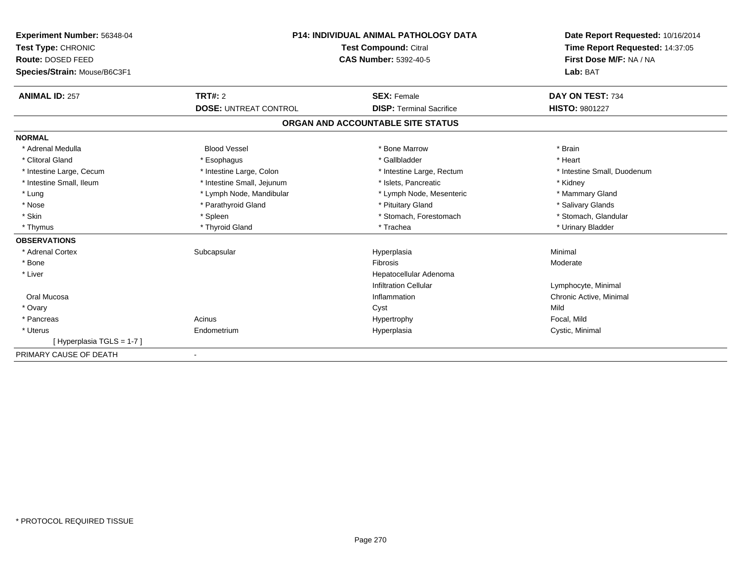| <b>Experiment Number: 56348-04</b> | <b>P14: INDIVIDUAL ANIMAL PATHOLOGY DATA</b><br>Test Compound: Citral |                                   | Date Report Requested: 10/16/2014 |
|------------------------------------|-----------------------------------------------------------------------|-----------------------------------|-----------------------------------|
| Test Type: CHRONIC                 |                                                                       |                                   | Time Report Requested: 14:37:05   |
| Route: DOSED FEED                  |                                                                       | <b>CAS Number: 5392-40-5</b>      | First Dose M/F: NA / NA           |
| Species/Strain: Mouse/B6C3F1       |                                                                       |                                   | Lab: BAT                          |
| <b>ANIMAL ID: 257</b>              | TRT#: 2                                                               | <b>SEX: Female</b>                | DAY ON TEST: 734                  |
|                                    | <b>DOSE: UNTREAT CONTROL</b>                                          | <b>DISP: Terminal Sacrifice</b>   | <b>HISTO: 9801227</b>             |
|                                    |                                                                       | ORGAN AND ACCOUNTABLE SITE STATUS |                                   |
| <b>NORMAL</b>                      |                                                                       |                                   |                                   |
| * Adrenal Medulla                  | <b>Blood Vessel</b>                                                   | * Bone Marrow                     | * Brain                           |
| * Clitoral Gland                   | * Esophagus                                                           | * Gallbladder                     | * Heart                           |
| * Intestine Large, Cecum           | * Intestine Large, Colon                                              | * Intestine Large, Rectum         | * Intestine Small. Duodenum       |
| * Intestine Small, Ileum           | * Intestine Small, Jejunum                                            | * Islets. Pancreatic              | * Kidney                          |
| * Lung                             | * Lymph Node, Mandibular                                              | * Lymph Node, Mesenteric          | * Mammary Gland                   |
| * Nose                             | * Parathyroid Gland                                                   | * Pituitary Gland                 | * Salivary Glands                 |
| * Skin                             | * Spleen                                                              | * Stomach, Forestomach            | * Stomach, Glandular              |
| * Thymus                           | * Thyroid Gland                                                       | * Trachea                         | * Urinary Bladder                 |
| <b>OBSERVATIONS</b>                |                                                                       |                                   |                                   |
| * Adrenal Cortex                   | Subcapsular                                                           | Hyperplasia                       | Minimal                           |
| * Bone                             |                                                                       | Fibrosis                          | Moderate                          |
| * Liver                            |                                                                       | Hepatocellular Adenoma            |                                   |
|                                    |                                                                       | <b>Infiltration Cellular</b>      | Lymphocyte, Minimal               |
| Oral Mucosa                        |                                                                       | Inflammation                      | Chronic Active, Minimal           |
| * Ovary                            |                                                                       | Cyst                              | Mild                              |
| * Pancreas                         | Acinus                                                                | Hypertrophy                       | Focal, Mild                       |
| * Uterus                           | Endometrium                                                           | Hyperplasia                       | Cystic, Minimal                   |
| [Hyperplasia TGLS = 1-7]           |                                                                       |                                   |                                   |
| PRIMARY CAUSE OF DEATH             |                                                                       |                                   |                                   |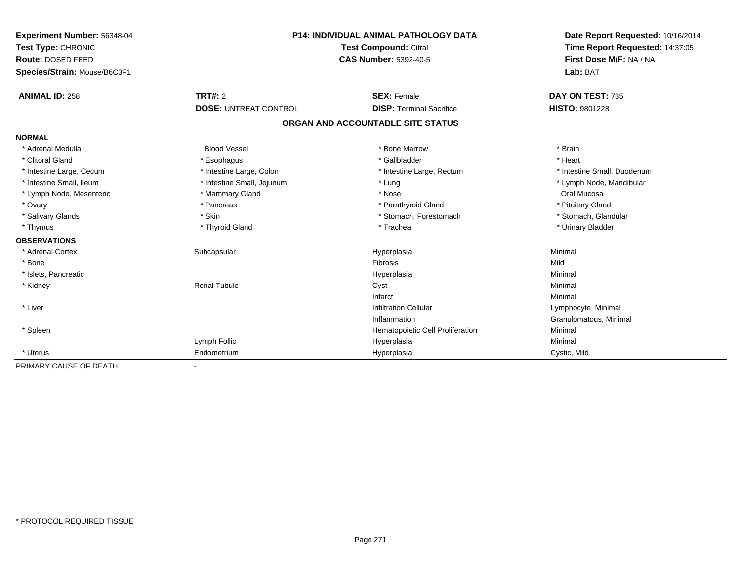| Experiment Number: 56348-04  | <b>P14: INDIVIDUAL ANIMAL PATHOLOGY DATA</b> |                                   | Date Report Requested: 10/16/2014 |
|------------------------------|----------------------------------------------|-----------------------------------|-----------------------------------|
| Test Type: CHRONIC           |                                              | Test Compound: Citral             |                                   |
| Route: DOSED FEED            |                                              | <b>CAS Number: 5392-40-5</b>      | First Dose M/F: NA / NA           |
| Species/Strain: Mouse/B6C3F1 |                                              |                                   | Lab: BAT                          |
| <b>ANIMAL ID: 258</b>        | <b>TRT#: 2</b>                               | <b>SEX: Female</b>                | DAY ON TEST: 735                  |
|                              | <b>DOSE: UNTREAT CONTROL</b>                 | <b>DISP: Terminal Sacrifice</b>   | <b>HISTO: 9801228</b>             |
|                              |                                              | ORGAN AND ACCOUNTABLE SITE STATUS |                                   |
| <b>NORMAL</b>                |                                              |                                   |                                   |
| * Adrenal Medulla            | <b>Blood Vessel</b>                          | * Bone Marrow                     | * Brain                           |
| * Clitoral Gland             | * Esophagus                                  | * Gallbladder                     | * Heart                           |
| * Intestine Large, Cecum     | * Intestine Large, Colon                     | * Intestine Large, Rectum         | * Intestine Small, Duodenum       |
| * Intestine Small, Ileum     | * Intestine Small, Jejunum                   | * Lung                            | * Lymph Node, Mandibular          |
| * Lymph Node, Mesenteric     | * Mammary Gland                              | * Nose                            | Oral Mucosa                       |
| * Ovary                      | * Pancreas                                   | * Parathyroid Gland               | * Pituitary Gland                 |
| * Salivary Glands            | * Skin                                       | * Stomach, Forestomach            | * Stomach, Glandular              |
| * Thymus                     | * Thyroid Gland                              | * Trachea                         | * Urinary Bladder                 |
| <b>OBSERVATIONS</b>          |                                              |                                   |                                   |
| * Adrenal Cortex             | Subcapsular                                  | Hyperplasia                       | Minimal                           |
| * Bone                       |                                              | Fibrosis                          | Mild                              |
| * Islets, Pancreatic         |                                              | Hyperplasia                       | Minimal                           |
| * Kidney                     | <b>Renal Tubule</b>                          | Cyst                              | Minimal                           |
|                              |                                              | Infarct                           | Minimal                           |
| * Liver                      |                                              | <b>Infiltration Cellular</b>      | Lymphocyte, Minimal               |
|                              |                                              | Inflammation                      | Granulomatous, Minimal            |
| * Spleen                     |                                              | Hematopoietic Cell Proliferation  | Minimal                           |
|                              | Lymph Follic                                 | Hyperplasia                       | Minimal                           |
| * Uterus                     | Endometrium                                  | Hyperplasia                       | Cystic, Mild                      |
| PRIMARY CAUSE OF DEATH       |                                              |                                   |                                   |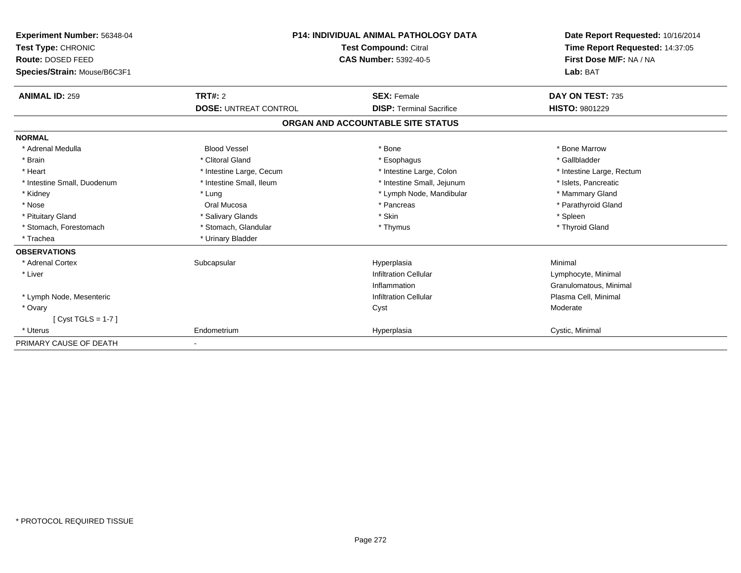| Experiment Number: 56348-04<br>Test Type: CHRONIC<br>Route: DOSED FEED | <b>P14: INDIVIDUAL ANIMAL PATHOLOGY DATA</b><br><b>Test Compound: Citral</b><br><b>CAS Number: 5392-40-5</b> |                                   | Date Report Requested: 10/16/2014<br>Time Report Requested: 14:37:05<br>First Dose M/F: NA / NA |  |
|------------------------------------------------------------------------|--------------------------------------------------------------------------------------------------------------|-----------------------------------|-------------------------------------------------------------------------------------------------|--|
| Species/Strain: Mouse/B6C3F1                                           |                                                                                                              |                                   | Lab: BAT                                                                                        |  |
| <b>ANIMAL ID: 259</b>                                                  | TRT#: 2                                                                                                      | <b>SEX: Female</b>                | DAY ON TEST: 735                                                                                |  |
|                                                                        | <b>DOSE: UNTREAT CONTROL</b>                                                                                 | <b>DISP:</b> Terminal Sacrifice   | <b>HISTO: 9801229</b>                                                                           |  |
|                                                                        |                                                                                                              | ORGAN AND ACCOUNTABLE SITE STATUS |                                                                                                 |  |
| <b>NORMAL</b>                                                          |                                                                                                              |                                   |                                                                                                 |  |
| * Adrenal Medulla                                                      | <b>Blood Vessel</b>                                                                                          | * Bone                            | * Bone Marrow                                                                                   |  |
| * Brain                                                                | * Clitoral Gland                                                                                             | * Esophagus                       | * Gallbladder                                                                                   |  |
| * Heart                                                                | * Intestine Large, Cecum                                                                                     | * Intestine Large, Colon          | * Intestine Large, Rectum                                                                       |  |
| * Intestine Small, Duodenum                                            | * Intestine Small, Ileum                                                                                     | * Intestine Small, Jejunum        | * Islets, Pancreatic                                                                            |  |
| * Kidney                                                               | * Lung                                                                                                       | * Lymph Node, Mandibular          | * Mammary Gland                                                                                 |  |
| * Nose                                                                 | Oral Mucosa                                                                                                  | * Pancreas                        | * Parathyroid Gland                                                                             |  |
| * Pituitary Gland                                                      | * Salivary Glands                                                                                            | * Skin                            | * Spleen                                                                                        |  |
| * Stomach, Forestomach                                                 | * Stomach, Glandular                                                                                         | * Thymus                          | * Thyroid Gland                                                                                 |  |
| * Trachea                                                              | * Urinary Bladder                                                                                            |                                   |                                                                                                 |  |
| <b>OBSERVATIONS</b>                                                    |                                                                                                              |                                   |                                                                                                 |  |
| * Adrenal Cortex                                                       | Subcapsular                                                                                                  | Hyperplasia                       | Minimal                                                                                         |  |
| * Liver                                                                |                                                                                                              | <b>Infiltration Cellular</b>      | Lymphocyte, Minimal                                                                             |  |
|                                                                        |                                                                                                              | Inflammation                      | Granulomatous, Minimal                                                                          |  |
| * Lymph Node, Mesenteric                                               |                                                                                                              | Infiltration Cellular             | Plasma Cell, Minimal                                                                            |  |
| * Ovary                                                                |                                                                                                              | Cyst                              | Moderate                                                                                        |  |
| [Cyst TGLS = 1-7]                                                      |                                                                                                              |                                   |                                                                                                 |  |
| * Uterus                                                               | Endometrium                                                                                                  | Hyperplasia                       | Cystic, Minimal                                                                                 |  |
| PRIMARY CAUSE OF DEATH                                                 |                                                                                                              |                                   |                                                                                                 |  |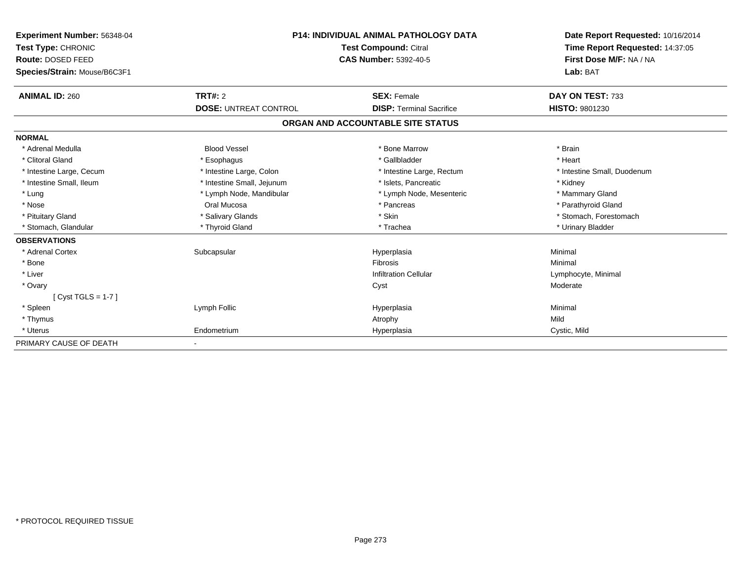| Experiment Number: 56348-04  | <b>P14: INDIVIDUAL ANIMAL PATHOLOGY DATA</b><br><b>Test Compound: Citral</b> |                                   | Date Report Requested: 10/16/2014 |
|------------------------------|------------------------------------------------------------------------------|-----------------------------------|-----------------------------------|
| Test Type: CHRONIC           |                                                                              |                                   | Time Report Requested: 14:37:05   |
| Route: DOSED FEED            |                                                                              | <b>CAS Number: 5392-40-5</b>      | First Dose M/F: NA / NA           |
| Species/Strain: Mouse/B6C3F1 |                                                                              |                                   | Lab: BAT                          |
|                              |                                                                              |                                   |                                   |
| <b>ANIMAL ID: 260</b>        | TRT#: 2                                                                      | <b>SEX: Female</b>                | DAY ON TEST: 733                  |
|                              | <b>DOSE: UNTREAT CONTROL</b>                                                 | <b>DISP: Terminal Sacrifice</b>   | <b>HISTO: 9801230</b>             |
|                              |                                                                              | ORGAN AND ACCOUNTABLE SITE STATUS |                                   |
| <b>NORMAL</b>                |                                                                              |                                   |                                   |
| * Adrenal Medulla            | <b>Blood Vessel</b>                                                          | * Bone Marrow                     | * Brain                           |
| * Clitoral Gland             | * Esophagus                                                                  | * Gallbladder                     | * Heart                           |
| * Intestine Large, Cecum     | * Intestine Large, Colon                                                     | * Intestine Large, Rectum         | * Intestine Small, Duodenum       |
| * Intestine Small. Ileum     | * Intestine Small, Jejunum                                                   | * Islets. Pancreatic              | * Kidney                          |
| * Lung                       | * Lymph Node, Mandibular                                                     | * Lymph Node, Mesenteric          | * Mammary Gland                   |
| * Nose                       | Oral Mucosa                                                                  | * Pancreas                        | * Parathyroid Gland               |
| * Pituitary Gland            | * Salivary Glands                                                            | * Skin                            | * Stomach, Forestomach            |
| * Stomach, Glandular         | * Thyroid Gland                                                              | * Trachea                         | * Urinary Bladder                 |
| <b>OBSERVATIONS</b>          |                                                                              |                                   |                                   |
| * Adrenal Cortex             | Subcapsular                                                                  | Hyperplasia                       | Minimal                           |
| * Bone                       |                                                                              | Fibrosis                          | Minimal                           |
| * Liver                      |                                                                              | <b>Infiltration Cellular</b>      | Lymphocyte, Minimal               |
| * Ovary                      |                                                                              | Cyst                              | Moderate                          |
| $[Cyst TGLS = 1-7]$          |                                                                              |                                   |                                   |
| * Spleen                     | Lymph Follic                                                                 | Hyperplasia                       | Minimal                           |
| * Thymus                     |                                                                              | Atrophy                           | Mild                              |
| * Uterus                     | Endometrium                                                                  | Hyperplasia                       | Cystic, Mild                      |
| PRIMARY CAUSE OF DEATH       | ٠                                                                            |                                   |                                   |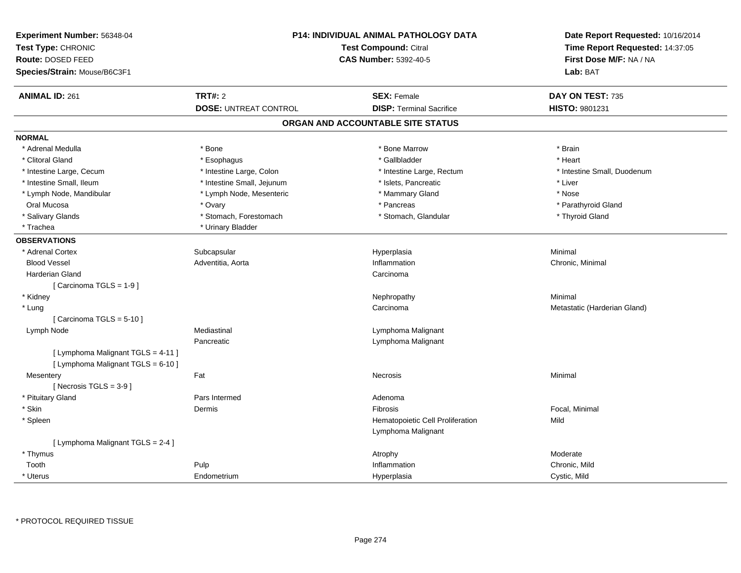| Experiment Number: 56348-04<br>Test Type: CHRONIC<br><b>Route: DOSED FEED</b> | <b>P14: INDIVIDUAL ANIMAL PATHOLOGY DATA</b><br><b>Test Compound: Citral</b><br><b>CAS Number: 5392-40-5</b> |  | Date Report Requested: 10/16/2014<br>Time Report Requested: 14:37:05<br>First Dose M/F: NA / NA |                              |
|-------------------------------------------------------------------------------|--------------------------------------------------------------------------------------------------------------|--|-------------------------------------------------------------------------------------------------|------------------------------|
| Species/Strain: Mouse/B6C3F1                                                  |                                                                                                              |  |                                                                                                 | Lab: BAT                     |
| <b>ANIMAL ID: 261</b>                                                         | <b>TRT#: 2</b>                                                                                               |  | <b>SEX: Female</b>                                                                              | DAY ON TEST: 735             |
|                                                                               | <b>DOSE: UNTREAT CONTROL</b>                                                                                 |  | <b>DISP: Terminal Sacrifice</b>                                                                 | HISTO: 9801231               |
|                                                                               |                                                                                                              |  | ORGAN AND ACCOUNTABLE SITE STATUS                                                               |                              |
| <b>NORMAL</b>                                                                 |                                                                                                              |  |                                                                                                 |                              |
| * Adrenal Medulla                                                             | * Bone                                                                                                       |  | * Bone Marrow                                                                                   | * Brain                      |
| * Clitoral Gland                                                              | * Esophagus                                                                                                  |  | * Gallbladder                                                                                   | * Heart                      |
| * Intestine Large, Cecum                                                      | * Intestine Large, Colon                                                                                     |  | * Intestine Large, Rectum                                                                       | * Intestine Small, Duodenum  |
| * Intestine Small, Ileum                                                      | * Intestine Small, Jejunum                                                                                   |  | * Islets, Pancreatic                                                                            | * Liver                      |
| * Lymph Node, Mandibular                                                      | * Lymph Node, Mesenteric                                                                                     |  | * Mammary Gland                                                                                 | * Nose                       |
| Oral Mucosa                                                                   | * Ovary                                                                                                      |  | * Pancreas                                                                                      | * Parathyroid Gland          |
| * Salivary Glands                                                             | * Stomach, Forestomach                                                                                       |  | * Stomach, Glandular                                                                            | * Thyroid Gland              |
| * Trachea                                                                     | * Urinary Bladder                                                                                            |  |                                                                                                 |                              |
| <b>OBSERVATIONS</b>                                                           |                                                                                                              |  |                                                                                                 |                              |
| * Adrenal Cortex                                                              | Subcapsular                                                                                                  |  | Hyperplasia                                                                                     | Minimal                      |
| <b>Blood Vessel</b>                                                           | Adventitia, Aorta                                                                                            |  | Inflammation                                                                                    | Chronic, Minimal             |
| <b>Harderian Gland</b>                                                        |                                                                                                              |  | Carcinoma                                                                                       |                              |
| [Carcinoma TGLS = 1-9]                                                        |                                                                                                              |  |                                                                                                 |                              |
| * Kidney                                                                      |                                                                                                              |  | Nephropathy                                                                                     | Minimal                      |
| * Lung                                                                        |                                                                                                              |  | Carcinoma                                                                                       | Metastatic (Harderian Gland) |
| [Carcinoma TGLS = $5-10$ ]                                                    |                                                                                                              |  |                                                                                                 |                              |
| Lymph Node                                                                    | Mediastinal                                                                                                  |  | Lymphoma Malignant                                                                              |                              |
|                                                                               | Pancreatic                                                                                                   |  | Lymphoma Malignant                                                                              |                              |
| [ Lymphoma Malignant TGLS = 4-11 ]                                            |                                                                                                              |  |                                                                                                 |                              |
| [ Lymphoma Malignant TGLS = 6-10 ]                                            |                                                                                                              |  |                                                                                                 |                              |
| Mesentery                                                                     | Fat                                                                                                          |  | Necrosis                                                                                        | Minimal                      |
| [Necrosis $TGLS = 3-9$ ]                                                      |                                                                                                              |  |                                                                                                 |                              |
| * Pituitary Gland                                                             | Pars Intermed                                                                                                |  | Adenoma                                                                                         |                              |
| * Skin                                                                        | Dermis                                                                                                       |  | Fibrosis                                                                                        | Focal, Minimal               |
| * Spleen                                                                      |                                                                                                              |  | Hematopoietic Cell Proliferation                                                                | Mild                         |
|                                                                               |                                                                                                              |  | Lymphoma Malignant                                                                              |                              |
| [ Lymphoma Malignant TGLS = 2-4 ]                                             |                                                                                                              |  |                                                                                                 |                              |
| * Thymus                                                                      |                                                                                                              |  | Atrophy                                                                                         | Moderate                     |
| Tooth                                                                         | Pulp                                                                                                         |  | Inflammation                                                                                    | Chronic, Mild                |
| * Uterus                                                                      | Endometrium                                                                                                  |  | Hyperplasia                                                                                     | Cystic, Mild                 |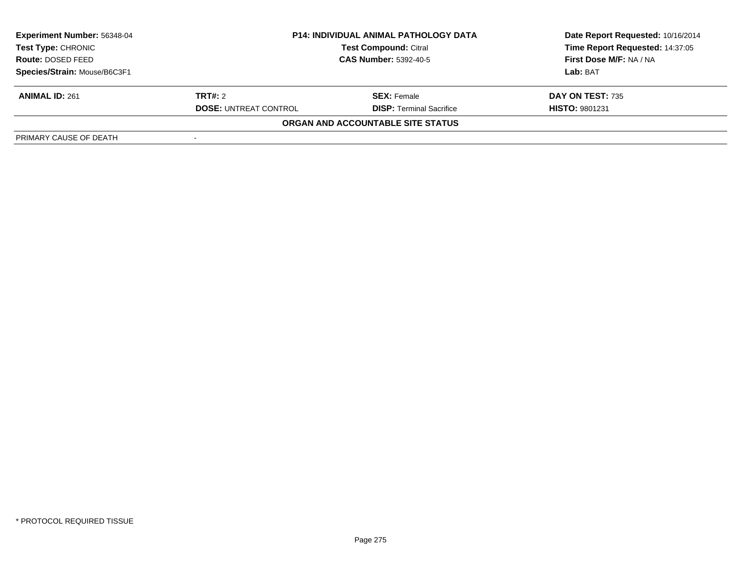| <b>Experiment Number: 56348-04</b> |                                                              | <b>P14: INDIVIDUAL ANIMAL PATHOLOGY DATA</b> | Date Report Requested: 10/16/2014 |  |
|------------------------------------|--------------------------------------------------------------|----------------------------------------------|-----------------------------------|--|
| Test Type: CHRONIC                 | <b>Test Compound: Citral</b><br><b>CAS Number: 5392-40-5</b> |                                              | Time Report Requested: 14:37:05   |  |
| <b>Route: DOSED FEED</b>           |                                                              |                                              | First Dose M/F: NA / NA           |  |
| Species/Strain: Mouse/B6C3F1       |                                                              |                                              | Lab: BAT                          |  |
| <b>ANIMAL ID: 261</b>              | <b>TRT#:</b> 2                                               | <b>SEX:</b> Female                           | DAY ON TEST: 735                  |  |
|                                    | <b>DOSE: UNTREAT CONTROL</b>                                 | <b>DISP: Terminal Sacrifice</b>              | <b>HISTO: 9801231</b>             |  |
|                                    |                                                              | <b>ORGAN AND ACCOUNTABLE SITE STATUS</b>     |                                   |  |
| PRIMARY CAUSE OF DEATH             |                                                              |                                              |                                   |  |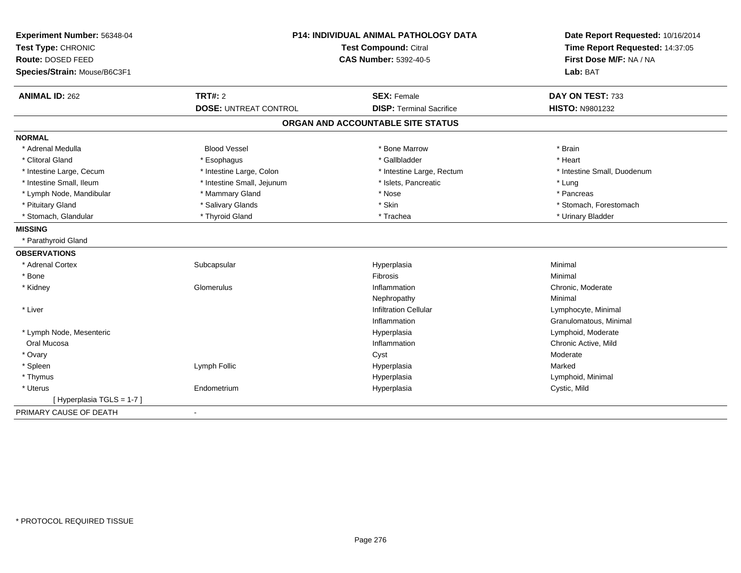| Experiment Number: 56348-04<br>Test Type: CHRONIC<br>Route: DOSED FEED<br>Species/Strain: Mouse/B6C3F1 | P14: INDIVIDUAL ANIMAL PATHOLOGY DATA<br><b>Test Compound: Citral</b><br><b>CAS Number: 5392-40-5</b> |                                                       | Date Report Requested: 10/16/2014<br>Time Report Requested: 14:37:05<br>First Dose M/F: NA / NA<br>Lab: BAT |
|--------------------------------------------------------------------------------------------------------|-------------------------------------------------------------------------------------------------------|-------------------------------------------------------|-------------------------------------------------------------------------------------------------------------|
| <b>ANIMAL ID: 262</b>                                                                                  | <b>TRT#: 2</b><br><b>DOSE: UNTREAT CONTROL</b>                                                        | <b>SEX: Female</b><br><b>DISP: Terminal Sacrifice</b> | DAY ON TEST: 733<br><b>HISTO: N9801232</b>                                                                  |
|                                                                                                        |                                                                                                       | ORGAN AND ACCOUNTABLE SITE STATUS                     |                                                                                                             |
|                                                                                                        |                                                                                                       |                                                       |                                                                                                             |
| <b>NORMAL</b>                                                                                          |                                                                                                       |                                                       |                                                                                                             |
| * Adrenal Medulla                                                                                      | <b>Blood Vessel</b>                                                                                   | * Bone Marrow                                         | * Brain                                                                                                     |
| * Clitoral Gland                                                                                       | * Esophagus                                                                                           | * Gallbladder                                         | * Heart                                                                                                     |
| * Intestine Large, Cecum                                                                               | * Intestine Large, Colon                                                                              | * Intestine Large, Rectum                             | * Intestine Small, Duodenum                                                                                 |
| * Intestine Small, Ileum                                                                               | * Intestine Small, Jejunum                                                                            | * Islets, Pancreatic                                  | * Lung                                                                                                      |
| * Lymph Node, Mandibular                                                                               | * Mammary Gland                                                                                       | * Nose                                                | * Pancreas                                                                                                  |
| * Pituitary Gland                                                                                      | * Salivary Glands                                                                                     | * Skin                                                | * Stomach, Forestomach                                                                                      |
| * Stomach, Glandular                                                                                   | * Thyroid Gland                                                                                       | * Trachea                                             | * Urinary Bladder                                                                                           |
| <b>MISSING</b>                                                                                         |                                                                                                       |                                                       |                                                                                                             |
| * Parathyroid Gland                                                                                    |                                                                                                       |                                                       |                                                                                                             |
| <b>OBSERVATIONS</b>                                                                                    |                                                                                                       |                                                       |                                                                                                             |
| * Adrenal Cortex                                                                                       | Subcapsular                                                                                           | Hyperplasia                                           | Minimal                                                                                                     |
| * Bone                                                                                                 |                                                                                                       | <b>Fibrosis</b>                                       | Minimal                                                                                                     |
| * Kidney                                                                                               | Glomerulus                                                                                            | Inflammation                                          | Chronic, Moderate                                                                                           |
|                                                                                                        |                                                                                                       | Nephropathy                                           | Minimal                                                                                                     |
| * Liver                                                                                                |                                                                                                       | <b>Infiltration Cellular</b>                          | Lymphocyte, Minimal                                                                                         |
|                                                                                                        |                                                                                                       | Inflammation                                          | Granulomatous, Minimal                                                                                      |
| * Lymph Node, Mesenteric                                                                               |                                                                                                       | Hyperplasia                                           | Lymphoid, Moderate                                                                                          |
| Oral Mucosa                                                                                            |                                                                                                       | Inflammation                                          | Chronic Active, Mild                                                                                        |
| * Ovary                                                                                                |                                                                                                       | Cyst                                                  | Moderate                                                                                                    |
| * Spleen                                                                                               | Lymph Follic                                                                                          | Hyperplasia                                           | Marked                                                                                                      |
| * Thymus                                                                                               |                                                                                                       | Hyperplasia                                           | Lymphoid, Minimal                                                                                           |
| * Uterus                                                                                               | Endometrium                                                                                           | Hyperplasia                                           | Cystic, Mild                                                                                                |
| [Hyperplasia TGLS = 1-7]                                                                               |                                                                                                       |                                                       |                                                                                                             |
| PRIMARY CAUSE OF DEATH                                                                                 | $\blacksquare$                                                                                        |                                                       |                                                                                                             |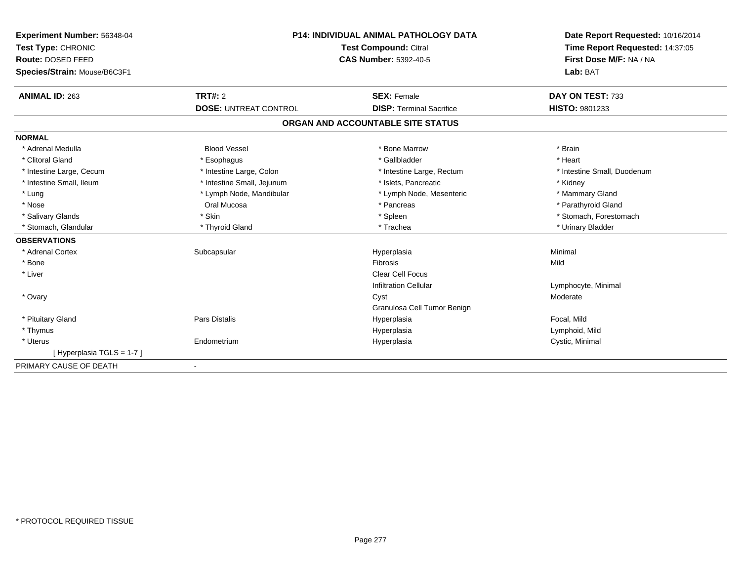| Experiment Number: 56348-04  | <b>P14: INDIVIDUAL ANIMAL PATHOLOGY DATA</b><br><b>Test Compound: Citral</b><br><b>CAS Number: 5392-40-5</b> |                                   | Date Report Requested: 10/16/2014 |
|------------------------------|--------------------------------------------------------------------------------------------------------------|-----------------------------------|-----------------------------------|
| Test Type: CHRONIC           |                                                                                                              |                                   | Time Report Requested: 14:37:05   |
| Route: DOSED FEED            |                                                                                                              |                                   | First Dose M/F: NA / NA           |
| Species/Strain: Mouse/B6C3F1 |                                                                                                              |                                   | Lab: BAT                          |
| <b>ANIMAL ID: 263</b>        | <b>TRT#: 2</b>                                                                                               | <b>SEX: Female</b>                | DAY ON TEST: 733                  |
|                              | <b>DOSE: UNTREAT CONTROL</b>                                                                                 | <b>DISP: Terminal Sacrifice</b>   | <b>HISTO: 9801233</b>             |
|                              |                                                                                                              | ORGAN AND ACCOUNTABLE SITE STATUS |                                   |
| <b>NORMAL</b>                |                                                                                                              |                                   |                                   |
| * Adrenal Medulla            | <b>Blood Vessel</b>                                                                                          | * Bone Marrow                     | * Brain                           |
| * Clitoral Gland             | * Esophagus                                                                                                  | * Gallbladder                     | * Heart                           |
| * Intestine Large, Cecum     | * Intestine Large, Colon                                                                                     | * Intestine Large, Rectum         | * Intestine Small, Duodenum       |
| * Intestine Small, Ileum     | * Intestine Small, Jejunum                                                                                   | * Islets. Pancreatic              | * Kidney                          |
| * Lung                       | * Lymph Node, Mandibular                                                                                     | * Lymph Node, Mesenteric          | * Mammary Gland                   |
| * Nose                       | Oral Mucosa                                                                                                  | * Pancreas                        | * Parathyroid Gland               |
| * Salivary Glands            | * Skin                                                                                                       | * Spleen                          | * Stomach, Forestomach            |
| * Stomach, Glandular         | * Thyroid Gland                                                                                              | * Trachea                         | * Urinary Bladder                 |
| <b>OBSERVATIONS</b>          |                                                                                                              |                                   |                                   |
| * Adrenal Cortex             | Subcapsular                                                                                                  | Hyperplasia                       | Minimal                           |
| * Bone                       |                                                                                                              | <b>Fibrosis</b>                   | Mild                              |
| * Liver                      |                                                                                                              | <b>Clear Cell Focus</b>           |                                   |
|                              |                                                                                                              | <b>Infiltration Cellular</b>      | Lymphocyte, Minimal               |
| * Ovary                      |                                                                                                              | Cyst                              | Moderate                          |
|                              |                                                                                                              | Granulosa Cell Tumor Benign       |                                   |
| * Pituitary Gland            | Pars Distalis                                                                                                | Hyperplasia                       | Focal, Mild                       |
| * Thymus                     |                                                                                                              | Hyperplasia                       | Lymphoid, Mild                    |
| * Uterus                     | Endometrium                                                                                                  | Hyperplasia                       | Cystic, Minimal                   |
| [Hyperplasia TGLS = 1-7]     |                                                                                                              |                                   |                                   |
| PRIMARY CAUSE OF DEATH       | $\blacksquare$                                                                                               |                                   |                                   |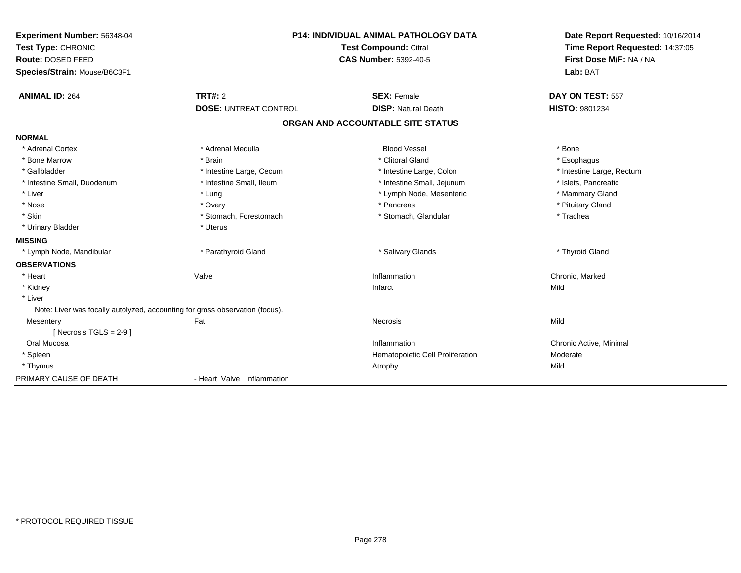| Experiment Number: 56348-04<br>Test Type: CHRONIC<br>Route: DOSED FEED<br>Species/Strain: Mouse/B6C3F1 |                                                | <b>P14: INDIVIDUAL ANIMAL PATHOLOGY DATA</b><br><b>Test Compound: Citral</b><br><b>CAS Number: 5392-40-5</b> |                                    |
|--------------------------------------------------------------------------------------------------------|------------------------------------------------|--------------------------------------------------------------------------------------------------------------|------------------------------------|
| <b>ANIMAL ID: 264</b>                                                                                  | <b>TRT#: 2</b><br><b>DOSE: UNTREAT CONTROL</b> | <b>SEX: Female</b><br><b>DISP: Natural Death</b>                                                             | DAY ON TEST: 557<br>HISTO: 9801234 |
|                                                                                                        |                                                | ORGAN AND ACCOUNTABLE SITE STATUS                                                                            |                                    |
|                                                                                                        |                                                |                                                                                                              |                                    |
| <b>NORMAL</b>                                                                                          |                                                |                                                                                                              |                                    |
| * Adrenal Cortex                                                                                       | * Adrenal Medulla                              | <b>Blood Vessel</b>                                                                                          | * Bone                             |
| * Bone Marrow                                                                                          | * Brain                                        | * Clitoral Gland                                                                                             | * Esophagus                        |
| * Gallbladder                                                                                          | * Intestine Large, Cecum                       | * Intestine Large, Colon                                                                                     | * Intestine Large, Rectum          |
| * Intestine Small, Duodenum                                                                            | * Intestine Small, Ileum                       | * Intestine Small, Jejunum                                                                                   | * Islets, Pancreatic               |
| * Liver<br>* Nose                                                                                      | * Lung                                         | * Lymph Node, Mesenteric<br>* Pancreas                                                                       | * Mammary Gland                    |
| * Skin                                                                                                 | * Ovary                                        |                                                                                                              | * Pituitary Gland<br>* Trachea     |
| * Urinary Bladder                                                                                      | * Stomach, Forestomach<br>* Uterus             | * Stomach, Glandular                                                                                         |                                    |
| <b>MISSING</b>                                                                                         |                                                |                                                                                                              |                                    |
| * Lymph Node, Mandibular                                                                               | * Parathyroid Gland                            | * Salivary Glands                                                                                            | * Thyroid Gland                    |
| <b>OBSERVATIONS</b>                                                                                    |                                                |                                                                                                              |                                    |
| * Heart                                                                                                | Valve                                          | Inflammation                                                                                                 | Chronic, Marked                    |
| * Kidney                                                                                               |                                                | Infarct                                                                                                      | Mild                               |
| * Liver                                                                                                |                                                |                                                                                                              |                                    |
| Note: Liver was focally autolyzed, accounting for gross observation (focus).                           |                                                |                                                                                                              |                                    |
| Mesentery                                                                                              | Fat                                            | Necrosis                                                                                                     | Mild                               |
| [ Necrosis TGLS = $2-9$ ]                                                                              |                                                |                                                                                                              |                                    |
| Oral Mucosa                                                                                            |                                                | Inflammation                                                                                                 | Chronic Active, Minimal            |
| * Spleen                                                                                               |                                                | Hematopoietic Cell Proliferation                                                                             | Moderate                           |
| * Thymus                                                                                               |                                                | Atrophy                                                                                                      | Mild                               |
| PRIMARY CAUSE OF DEATH                                                                                 | - Heart Valve Inflammation                     |                                                                                                              |                                    |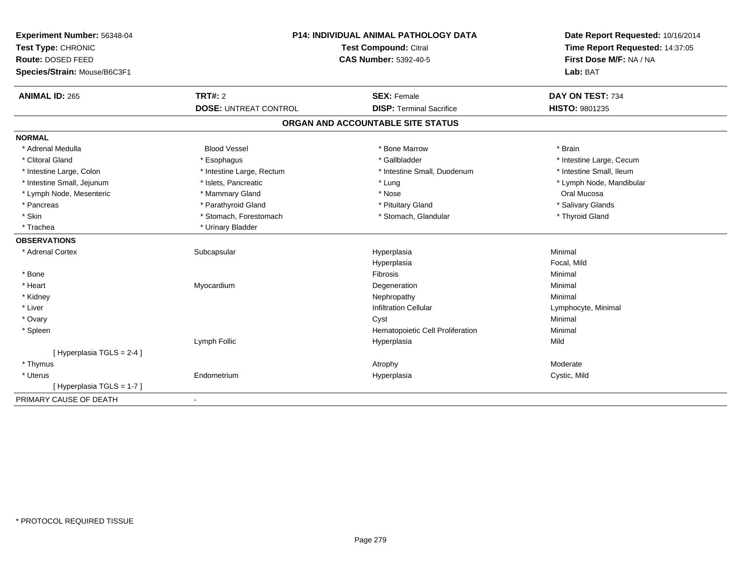| Experiment Number: 56348-04<br>Test Type: CHRONIC<br>Route: DOSED FEED | <b>P14: INDIVIDUAL ANIMAL PATHOLOGY DATA</b><br><b>Test Compound: Citral</b> |                                   | Date Report Requested: 10/16/2014<br>Time Report Requested: 14:37:05<br>First Dose M/F: NA / NA |
|------------------------------------------------------------------------|------------------------------------------------------------------------------|-----------------------------------|-------------------------------------------------------------------------------------------------|
| Species/Strain: Mouse/B6C3F1                                           |                                                                              | <b>CAS Number: 5392-40-5</b>      | Lab: BAT                                                                                        |
| <b>ANIMAL ID: 265</b>                                                  | <b>TRT#: 2</b>                                                               | <b>SEX: Female</b>                | DAY ON TEST: 734                                                                                |
|                                                                        | <b>DOSE: UNTREAT CONTROL</b>                                                 | <b>DISP: Terminal Sacrifice</b>   | HISTO: 9801235                                                                                  |
|                                                                        |                                                                              | ORGAN AND ACCOUNTABLE SITE STATUS |                                                                                                 |
| <b>NORMAL</b>                                                          |                                                                              |                                   |                                                                                                 |
| * Adrenal Medulla                                                      | <b>Blood Vessel</b>                                                          | * Bone Marrow                     | * Brain                                                                                         |
| * Clitoral Gland                                                       | * Esophagus                                                                  | * Gallbladder                     | * Intestine Large, Cecum                                                                        |
| * Intestine Large, Colon                                               | * Intestine Large, Rectum                                                    | * Intestine Small, Duodenum       | * Intestine Small, Ileum                                                                        |
| * Intestine Small, Jejunum                                             | * Islets, Pancreatic                                                         | * Lung                            | * Lymph Node, Mandibular                                                                        |
| * Lymph Node, Mesenteric                                               | * Mammary Gland                                                              | * Nose                            | Oral Mucosa                                                                                     |
| * Pancreas                                                             | * Parathyroid Gland                                                          | * Pituitary Gland                 | * Salivary Glands                                                                               |
| * Skin                                                                 | * Stomach, Forestomach                                                       | * Stomach, Glandular              | * Thyroid Gland                                                                                 |
| * Trachea                                                              | * Urinary Bladder                                                            |                                   |                                                                                                 |
| <b>OBSERVATIONS</b>                                                    |                                                                              |                                   |                                                                                                 |
| * Adrenal Cortex                                                       | Subcapsular                                                                  | Hyperplasia                       | Minimal                                                                                         |
|                                                                        |                                                                              | Hyperplasia                       | Focal, Mild                                                                                     |
| * Bone                                                                 |                                                                              | Fibrosis                          | Minimal                                                                                         |
| * Heart                                                                | Myocardium                                                                   | Degeneration                      | Minimal                                                                                         |
| * Kidney                                                               |                                                                              | Nephropathy                       | Minimal                                                                                         |
| * Liver                                                                |                                                                              | <b>Infiltration Cellular</b>      | Lymphocyte, Minimal                                                                             |
| * Ovary                                                                |                                                                              | Cyst                              | Minimal                                                                                         |
| * Spleen                                                               |                                                                              | Hematopoietic Cell Proliferation  | Minimal                                                                                         |
|                                                                        | Lymph Follic                                                                 | Hyperplasia                       | Mild                                                                                            |
| [ Hyperplasia TGLS = 2-4 ]                                             |                                                                              |                                   |                                                                                                 |
| * Thymus                                                               |                                                                              | Atrophy                           | Moderate                                                                                        |
| * Uterus                                                               | Endometrium                                                                  | Hyperplasia                       | Cystic, Mild                                                                                    |
| [Hyperplasia TGLS = 1-7]                                               |                                                                              |                                   |                                                                                                 |
| PRIMARY CAUSE OF DEATH                                                 |                                                                              |                                   |                                                                                                 |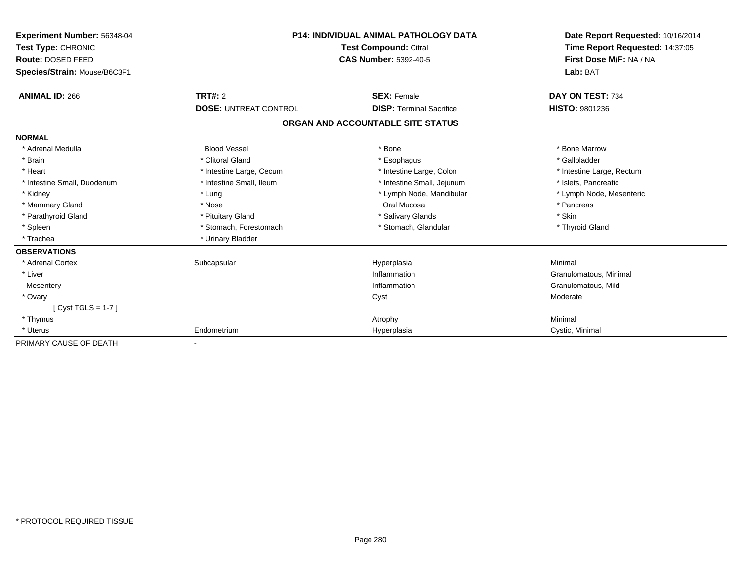| Experiment Number: 56348-04  | <b>P14: INDIVIDUAL ANIMAL PATHOLOGY DATA</b><br><b>Test Compound: Citral</b> |                                   | Date Report Requested: 10/16/2014 |
|------------------------------|------------------------------------------------------------------------------|-----------------------------------|-----------------------------------|
| Test Type: CHRONIC           |                                                                              |                                   | Time Report Requested: 14:37:05   |
| Route: DOSED FEED            |                                                                              | <b>CAS Number: 5392-40-5</b>      | First Dose M/F: NA / NA           |
| Species/Strain: Mouse/B6C3F1 |                                                                              |                                   | Lab: BAT                          |
| <b>ANIMAL ID: 266</b>        | TRT#: 2                                                                      | <b>SEX: Female</b>                | DAY ON TEST: 734                  |
|                              | <b>DOSE: UNTREAT CONTROL</b>                                                 | <b>DISP: Terminal Sacrifice</b>   | HISTO: 9801236                    |
|                              |                                                                              | ORGAN AND ACCOUNTABLE SITE STATUS |                                   |
| <b>NORMAL</b>                |                                                                              |                                   |                                   |
| * Adrenal Medulla            | <b>Blood Vessel</b>                                                          | * Bone                            | * Bone Marrow                     |
| * Brain                      | * Clitoral Gland                                                             | * Esophagus                       | * Gallbladder                     |
| * Heart                      | * Intestine Large, Cecum                                                     | * Intestine Large, Colon          | * Intestine Large, Rectum         |
| * Intestine Small, Duodenum  | * Intestine Small, Ileum                                                     | * Intestine Small, Jejunum        | * Islets, Pancreatic              |
| * Kidney                     | * Lung                                                                       | * Lymph Node, Mandibular          | * Lymph Node, Mesenteric          |
| * Mammary Gland              | * Nose                                                                       | Oral Mucosa                       | * Pancreas                        |
| * Parathyroid Gland          | * Pituitary Gland                                                            | * Salivary Glands                 | * Skin                            |
| * Spleen                     | * Stomach, Forestomach                                                       | * Stomach, Glandular              | * Thyroid Gland                   |
| * Trachea                    | * Urinary Bladder                                                            |                                   |                                   |
| <b>OBSERVATIONS</b>          |                                                                              |                                   |                                   |
| * Adrenal Cortex             | Subcapsular                                                                  | Hyperplasia                       | Minimal                           |
| * Liver                      |                                                                              | Inflammation                      | Granulomatous, Minimal            |
| Mesentery                    |                                                                              | Inflammation                      | Granulomatous, Mild               |
| * Ovary                      |                                                                              | Cyst                              | Moderate                          |
| [Cyst TGLS = 1-7]            |                                                                              |                                   |                                   |
| * Thymus                     |                                                                              | Atrophy                           | Minimal                           |
| * Uterus                     | Endometrium                                                                  | Hyperplasia                       | Cystic, Minimal                   |
| PRIMARY CAUSE OF DEATH       |                                                                              |                                   |                                   |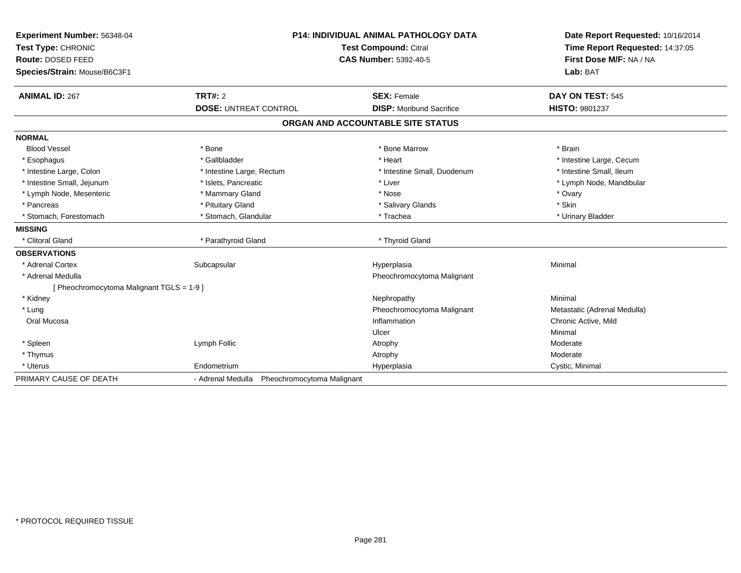| Experiment Number: 56348-04<br>Test Type: CHRONIC<br>Route: DOSED FEED<br>Species/Strain: Mouse/B6C3F1 | <b>P14: INDIVIDUAL ANIMAL PATHOLOGY DATA</b><br>Test Compound: Citral<br><b>CAS Number: 5392-40-5</b> |                                   | Date Report Requested: 10/16/2014<br>Time Report Requested: 14:37:05<br>First Dose M/F: NA / NA<br>Lab: BAT |
|--------------------------------------------------------------------------------------------------------|-------------------------------------------------------------------------------------------------------|-----------------------------------|-------------------------------------------------------------------------------------------------------------|
| <b>ANIMAL ID: 267</b>                                                                                  | TRT#: 2                                                                                               | <b>SEX: Female</b>                | DAY ON TEST: 545                                                                                            |
|                                                                                                        | <b>DOSE: UNTREAT CONTROL</b>                                                                          | <b>DISP:</b> Moribund Sacrifice   | <b>HISTO: 9801237</b>                                                                                       |
|                                                                                                        |                                                                                                       | ORGAN AND ACCOUNTABLE SITE STATUS |                                                                                                             |
| <b>NORMAL</b>                                                                                          |                                                                                                       |                                   |                                                                                                             |
| <b>Blood Vessel</b>                                                                                    | * Bone                                                                                                | * Bone Marrow                     | * Brain                                                                                                     |
| * Esophagus                                                                                            | * Gallbladder                                                                                         | * Heart                           | * Intestine Large, Cecum                                                                                    |
| * Intestine Large, Colon                                                                               | * Intestine Large, Rectum                                                                             | * Intestine Small, Duodenum       | * Intestine Small, Ileum                                                                                    |
| * Intestine Small, Jejunum                                                                             | * Islets, Pancreatic                                                                                  | * Liver                           | * Lymph Node, Mandibular                                                                                    |
| * Lymph Node, Mesenteric                                                                               | * Mammary Gland                                                                                       | * Nose                            | * Ovary                                                                                                     |
| * Pancreas                                                                                             | * Pituitary Gland                                                                                     | * Salivary Glands                 | * Skin                                                                                                      |
| * Stomach, Forestomach                                                                                 | * Stomach, Glandular                                                                                  | * Trachea                         | * Urinary Bladder                                                                                           |
| <b>MISSING</b>                                                                                         |                                                                                                       |                                   |                                                                                                             |
| * Clitoral Gland                                                                                       | * Parathyroid Gland                                                                                   | * Thyroid Gland                   |                                                                                                             |
| <b>OBSERVATIONS</b>                                                                                    |                                                                                                       |                                   |                                                                                                             |
| * Adrenal Cortex                                                                                       | Subcapsular                                                                                           | Hyperplasia                       | Minimal                                                                                                     |
| * Adrenal Medulla                                                                                      |                                                                                                       | Pheochromocytoma Malignant        |                                                                                                             |
| [Pheochromocytoma Malignant TGLS = 1-9]                                                                |                                                                                                       |                                   |                                                                                                             |
| * Kidney                                                                                               |                                                                                                       | Nephropathy                       | Minimal                                                                                                     |
| * Lung                                                                                                 |                                                                                                       | Pheochromocytoma Malignant        | Metastatic (Adrenal Medulla)                                                                                |
| Oral Mucosa                                                                                            |                                                                                                       | Inflammation                      | Chronic Active, Mild                                                                                        |
|                                                                                                        |                                                                                                       | Ulcer                             | Minimal                                                                                                     |
| * Spleen                                                                                               | Lymph Follic                                                                                          | Atrophy                           | Moderate                                                                                                    |
| * Thymus                                                                                               |                                                                                                       | Atrophy                           | Moderate                                                                                                    |
| * Uterus                                                                                               | Endometrium                                                                                           | Hyperplasia                       | Cystic, Minimal                                                                                             |
| PRIMARY CAUSE OF DEATH                                                                                 | - Adrenal Medulla<br>Pheochromocytoma Malignant                                                       |                                   |                                                                                                             |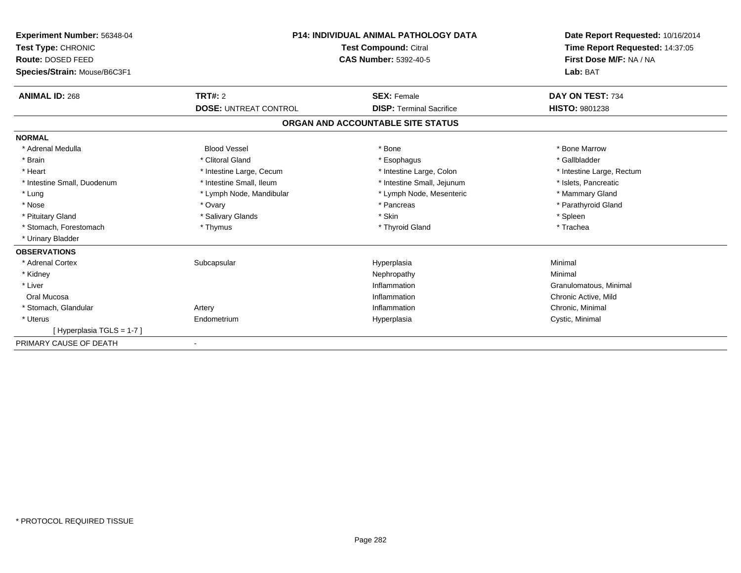| Experiment Number: 56348-04<br>Test Type: CHRONIC<br>Route: DOSED FEED<br>Species/Strain: Mouse/B6C3F1 | <b>P14: INDIVIDUAL ANIMAL PATHOLOGY DATA</b><br>Test Compound: Citral<br><b>CAS Number: 5392-40-5</b> |                                   | Date Report Requested: 10/16/2014<br>Time Report Requested: 14:37:05<br>First Dose M/F: NA / NA<br>Lab: BAT |  |
|--------------------------------------------------------------------------------------------------------|-------------------------------------------------------------------------------------------------------|-----------------------------------|-------------------------------------------------------------------------------------------------------------|--|
| <b>ANIMAL ID: 268</b>                                                                                  | TRT#: 2                                                                                               | <b>SEX: Female</b>                | DAY ON TEST: 734                                                                                            |  |
|                                                                                                        | <b>DOSE: UNTREAT CONTROL</b>                                                                          | <b>DISP: Terminal Sacrifice</b>   | <b>HISTO: 9801238</b>                                                                                       |  |
|                                                                                                        |                                                                                                       | ORGAN AND ACCOUNTABLE SITE STATUS |                                                                                                             |  |
| <b>NORMAL</b>                                                                                          |                                                                                                       |                                   |                                                                                                             |  |
| * Adrenal Medulla                                                                                      | <b>Blood Vessel</b>                                                                                   | * Bone                            | * Bone Marrow                                                                                               |  |
| * Brain                                                                                                | * Clitoral Gland                                                                                      | * Esophagus                       | * Gallbladder                                                                                               |  |
| * Heart                                                                                                | * Intestine Large, Cecum                                                                              | * Intestine Large, Colon          | * Intestine Large, Rectum                                                                                   |  |
| * Intestine Small, Duodenum                                                                            | * Intestine Small, Ileum                                                                              | * Intestine Small, Jejunum        | * Islets, Pancreatic                                                                                        |  |
| * Lung                                                                                                 | * Lymph Node, Mandibular                                                                              | * Lymph Node, Mesenteric          | * Mammary Gland                                                                                             |  |
| * Nose                                                                                                 | * Ovary                                                                                               | * Pancreas                        | * Parathyroid Gland                                                                                         |  |
| * Pituitary Gland                                                                                      | * Salivary Glands                                                                                     | * Skin                            | * Spleen                                                                                                    |  |
| * Stomach, Forestomach                                                                                 | * Thymus                                                                                              | * Thyroid Gland                   | * Trachea                                                                                                   |  |
| * Urinary Bladder                                                                                      |                                                                                                       |                                   |                                                                                                             |  |
| <b>OBSERVATIONS</b>                                                                                    |                                                                                                       |                                   |                                                                                                             |  |
| * Adrenal Cortex                                                                                       | Subcapsular                                                                                           | Hyperplasia                       | Minimal                                                                                                     |  |
| * Kidney                                                                                               |                                                                                                       | Nephropathy                       | Minimal                                                                                                     |  |
| * Liver                                                                                                |                                                                                                       | Inflammation                      | Granulomatous, Minimal                                                                                      |  |
| Oral Mucosa                                                                                            |                                                                                                       | Inflammation                      | Chronic Active, Mild                                                                                        |  |
| * Stomach, Glandular                                                                                   | Artery                                                                                                | Inflammation                      | Chronic, Minimal                                                                                            |  |
| * Uterus                                                                                               | Endometrium                                                                                           | Hyperplasia                       | Cystic, Minimal                                                                                             |  |
| [Hyperplasia TGLS = 1-7]                                                                               |                                                                                                       |                                   |                                                                                                             |  |
| PRIMARY CAUSE OF DEATH                                                                                 |                                                                                                       |                                   |                                                                                                             |  |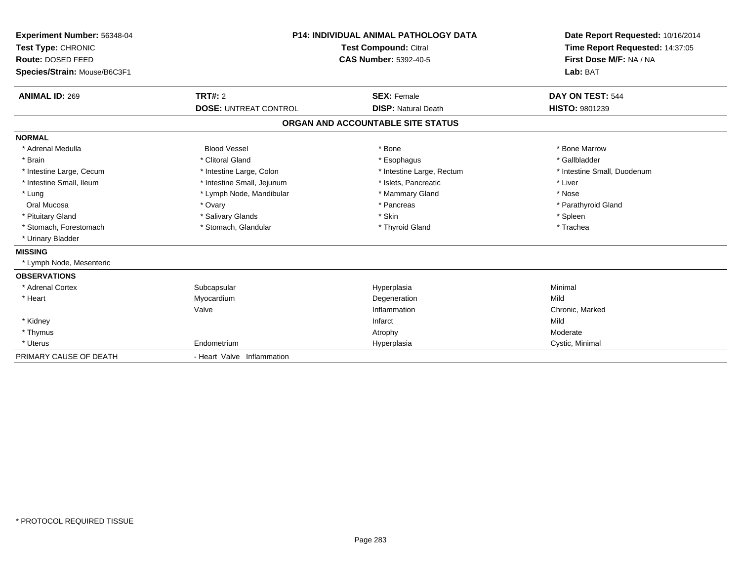| Experiment Number: 56348-04<br>Test Type: CHRONIC<br>Route: DOSED FEED<br>Species/Strain: Mouse/B6C3F1 |                              | <b>P14: INDIVIDUAL ANIMAL PATHOLOGY DATA</b><br><b>Test Compound: Citral</b><br><b>CAS Number: 5392-40-5</b> | Date Report Requested: 10/16/2014<br>Time Report Requested: 14:37:05<br>First Dose M/F: NA / NA<br>Lab: BAT |
|--------------------------------------------------------------------------------------------------------|------------------------------|--------------------------------------------------------------------------------------------------------------|-------------------------------------------------------------------------------------------------------------|
| <b>ANIMAL ID: 269</b>                                                                                  | <b>TRT#: 2</b>               | <b>SEX: Female</b>                                                                                           | DAY ON TEST: 544                                                                                            |
|                                                                                                        | <b>DOSE: UNTREAT CONTROL</b> | <b>DISP: Natural Death</b>                                                                                   | <b>HISTO: 9801239</b>                                                                                       |
|                                                                                                        |                              | ORGAN AND ACCOUNTABLE SITE STATUS                                                                            |                                                                                                             |
| <b>NORMAL</b>                                                                                          |                              |                                                                                                              |                                                                                                             |
| * Adrenal Medulla                                                                                      | <b>Blood Vessel</b>          | * Bone                                                                                                       | * Bone Marrow                                                                                               |
| * Brain                                                                                                | * Clitoral Gland             | * Esophagus                                                                                                  | * Gallbladder                                                                                               |
| * Intestine Large, Cecum                                                                               | * Intestine Large, Colon     | * Intestine Large, Rectum                                                                                    | * Intestine Small, Duodenum                                                                                 |
| * Intestine Small, Ileum                                                                               | * Intestine Small, Jejunum   | * Islets, Pancreatic                                                                                         | * Liver                                                                                                     |
| * Lung                                                                                                 | * Lymph Node, Mandibular     | * Mammary Gland                                                                                              | * Nose                                                                                                      |
| Oral Mucosa                                                                                            | * Ovary                      | * Pancreas                                                                                                   | * Parathyroid Gland                                                                                         |
| * Pituitary Gland                                                                                      | * Salivary Glands            | * Skin                                                                                                       | * Spleen                                                                                                    |
| * Stomach, Forestomach                                                                                 | * Stomach, Glandular         | * Thyroid Gland                                                                                              | * Trachea                                                                                                   |
| * Urinary Bladder                                                                                      |                              |                                                                                                              |                                                                                                             |
| <b>MISSING</b>                                                                                         |                              |                                                                                                              |                                                                                                             |
| * Lymph Node, Mesenteric                                                                               |                              |                                                                                                              |                                                                                                             |
| <b>OBSERVATIONS</b>                                                                                    |                              |                                                                                                              |                                                                                                             |
| * Adrenal Cortex                                                                                       | Subcapsular                  | Hyperplasia                                                                                                  | Minimal                                                                                                     |
| * Heart                                                                                                | Myocardium                   | Degeneration                                                                                                 | Mild                                                                                                        |
|                                                                                                        | Valve                        | Inflammation                                                                                                 | Chronic, Marked                                                                                             |
| * Kidney                                                                                               |                              | Infarct                                                                                                      | Mild                                                                                                        |
| * Thymus                                                                                               |                              | Atrophy                                                                                                      | Moderate                                                                                                    |
| * Uterus                                                                                               | Endometrium                  | Hyperplasia                                                                                                  | Cystic, Minimal                                                                                             |
| PRIMARY CAUSE OF DEATH                                                                                 | - Heart Valve Inflammation   |                                                                                                              |                                                                                                             |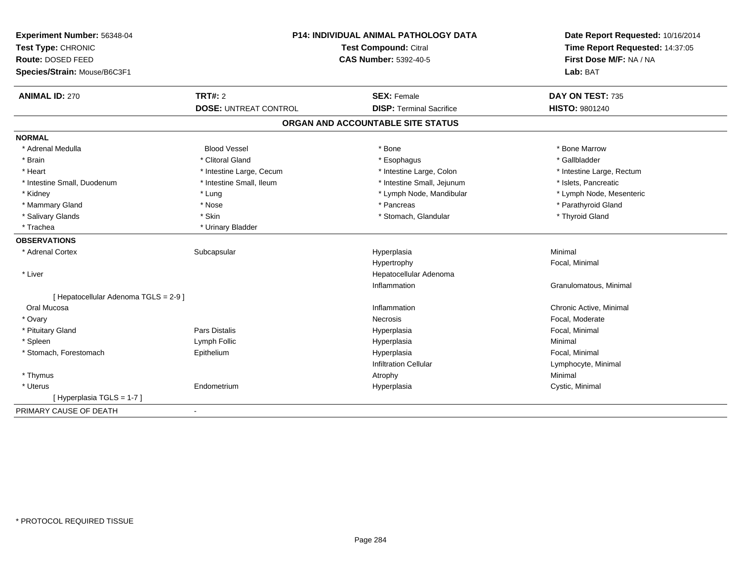| Experiment Number: 56348-04<br>Test Type: CHRONIC<br>Route: DOSED FEED<br>Species/Strain: Mouse/B6C3F1 |                              | P14: INDIVIDUAL ANIMAL PATHOLOGY DATA<br><b>Test Compound: Citral</b><br><b>CAS Number: 5392-40-5</b> |                           |
|--------------------------------------------------------------------------------------------------------|------------------------------|-------------------------------------------------------------------------------------------------------|---------------------------|
| <b>ANIMAL ID: 270</b>                                                                                  | <b>TRT#: 2</b>               | <b>SEX: Female</b>                                                                                    | DAY ON TEST: 735          |
|                                                                                                        | <b>DOSE: UNTREAT CONTROL</b> | <b>DISP: Terminal Sacrifice</b>                                                                       | <b>HISTO: 9801240</b>     |
|                                                                                                        |                              | ORGAN AND ACCOUNTABLE SITE STATUS                                                                     |                           |
| <b>NORMAL</b>                                                                                          |                              |                                                                                                       |                           |
| * Adrenal Medulla                                                                                      | <b>Blood Vessel</b>          | * Bone                                                                                                | * Bone Marrow             |
| * Brain                                                                                                | * Clitoral Gland             | * Esophagus                                                                                           | * Gallbladder             |
| * Heart                                                                                                | * Intestine Large, Cecum     | * Intestine Large, Colon                                                                              | * Intestine Large, Rectum |
| * Intestine Small, Duodenum                                                                            | * Intestine Small, Ileum     | * Intestine Small, Jejunum                                                                            | * Islets, Pancreatic      |
| * Kidney                                                                                               | * Lung                       | * Lymph Node, Mandibular                                                                              | * Lymph Node, Mesenteric  |
| * Mammary Gland                                                                                        | * Nose                       | * Pancreas                                                                                            | * Parathyroid Gland       |
| * Salivary Glands                                                                                      | * Skin                       | * Stomach, Glandular                                                                                  | * Thyroid Gland           |
| * Trachea                                                                                              | * Urinary Bladder            |                                                                                                       |                           |
| <b>OBSERVATIONS</b>                                                                                    |                              |                                                                                                       |                           |
| * Adrenal Cortex                                                                                       | Subcapsular                  | Hyperplasia                                                                                           | Minimal                   |
|                                                                                                        |                              | Hypertrophy                                                                                           | Focal, Minimal            |
| * Liver                                                                                                |                              | Hepatocellular Adenoma                                                                                |                           |
|                                                                                                        |                              | Inflammation                                                                                          | Granulomatous, Minimal    |
| [ Hepatocellular Adenoma TGLS = 2-9 ]                                                                  |                              |                                                                                                       |                           |
| Oral Mucosa                                                                                            |                              | Inflammation                                                                                          | Chronic Active, Minimal   |
| * Ovary                                                                                                |                              | <b>Necrosis</b>                                                                                       | Focal, Moderate           |
| * Pituitary Gland                                                                                      | Pars Distalis                | Hyperplasia                                                                                           | Focal, Minimal            |
| * Spleen                                                                                               | Lymph Follic                 | Hyperplasia                                                                                           | Minimal                   |
| * Stomach, Forestomach                                                                                 | Epithelium                   | Hyperplasia                                                                                           | Focal, Minimal            |
|                                                                                                        |                              | <b>Infiltration Cellular</b>                                                                          | Lymphocyte, Minimal       |
| * Thymus                                                                                               |                              | Atrophy                                                                                               | Minimal                   |
| * Uterus                                                                                               | Endometrium                  | Hyperplasia                                                                                           | Cystic, Minimal           |
| [ Hyperplasia TGLS = 1-7 ]                                                                             |                              |                                                                                                       |                           |
| PRIMARY CAUSE OF DEATH                                                                                 | $\blacksquare$               |                                                                                                       |                           |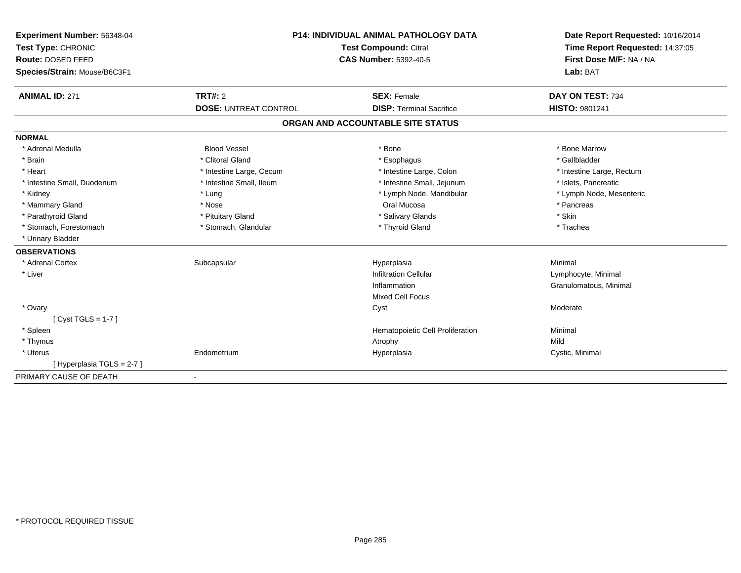| Experiment Number: 56348-04<br>Test Type: CHRONIC<br>Route: DOSED FEED<br>Species/Strain: Mouse/B6C3F1 |                              | <b>P14: INDIVIDUAL ANIMAL PATHOLOGY DATA</b><br>Test Compound: Citral<br><b>CAS Number: 5392-40-5</b> | Date Report Requested: 10/16/2014<br>Time Report Requested: 14:37:05<br>First Dose M/F: NA / NA<br>Lab: BAT |  |
|--------------------------------------------------------------------------------------------------------|------------------------------|-------------------------------------------------------------------------------------------------------|-------------------------------------------------------------------------------------------------------------|--|
| <b>ANIMAL ID: 271</b>                                                                                  | TRT#: 2                      | <b>SEX: Female</b>                                                                                    | DAY ON TEST: 734                                                                                            |  |
|                                                                                                        | <b>DOSE: UNTREAT CONTROL</b> | <b>DISP: Terminal Sacrifice</b>                                                                       | <b>HISTO: 9801241</b>                                                                                       |  |
|                                                                                                        |                              | ORGAN AND ACCOUNTABLE SITE STATUS                                                                     |                                                                                                             |  |
| <b>NORMAL</b>                                                                                          |                              |                                                                                                       |                                                                                                             |  |
| * Adrenal Medulla                                                                                      | <b>Blood Vessel</b>          | * Bone                                                                                                | * Bone Marrow                                                                                               |  |
| * Brain                                                                                                | * Clitoral Gland             | * Esophagus                                                                                           | * Gallbladder                                                                                               |  |
| * Heart                                                                                                | * Intestine Large, Cecum     | * Intestine Large, Colon                                                                              | * Intestine Large, Rectum                                                                                   |  |
| * Intestine Small, Duodenum                                                                            | * Intestine Small, Ileum     | * Intestine Small, Jejunum                                                                            | * Islets, Pancreatic                                                                                        |  |
| * Kidney                                                                                               | * Lung                       | * Lymph Node, Mandibular                                                                              | * Lymph Node, Mesenteric                                                                                    |  |
| * Mammary Gland                                                                                        | * Nose                       | Oral Mucosa                                                                                           | * Pancreas                                                                                                  |  |
| * Parathyroid Gland                                                                                    | * Pituitary Gland            | * Salivary Glands                                                                                     | * Skin                                                                                                      |  |
| * Stomach, Forestomach                                                                                 | * Stomach, Glandular         | * Thyroid Gland                                                                                       | * Trachea                                                                                                   |  |
| * Urinary Bladder                                                                                      |                              |                                                                                                       |                                                                                                             |  |
| <b>OBSERVATIONS</b>                                                                                    |                              |                                                                                                       |                                                                                                             |  |
| * Adrenal Cortex                                                                                       | Subcapsular                  | Hyperplasia                                                                                           | Minimal                                                                                                     |  |
| * Liver                                                                                                |                              | <b>Infiltration Cellular</b>                                                                          | Lymphocyte, Minimal                                                                                         |  |
|                                                                                                        |                              | Inflammation                                                                                          | Granulomatous, Minimal                                                                                      |  |
|                                                                                                        |                              | <b>Mixed Cell Focus</b>                                                                               |                                                                                                             |  |
| * Ovary                                                                                                |                              | Cyst                                                                                                  | Moderate                                                                                                    |  |
| [ $Cyst TGLS = 1-7$ ]                                                                                  |                              |                                                                                                       |                                                                                                             |  |
| * Spleen                                                                                               |                              | Hematopoietic Cell Proliferation                                                                      | Minimal                                                                                                     |  |
| * Thymus                                                                                               |                              | Atrophy                                                                                               | Mild                                                                                                        |  |
| * Uterus                                                                                               | Endometrium                  | Hyperplasia                                                                                           | Cystic, Minimal                                                                                             |  |
| [Hyperplasia TGLS = 2-7]                                                                               |                              |                                                                                                       |                                                                                                             |  |
| PRIMARY CAUSE OF DEATH                                                                                 |                              |                                                                                                       |                                                                                                             |  |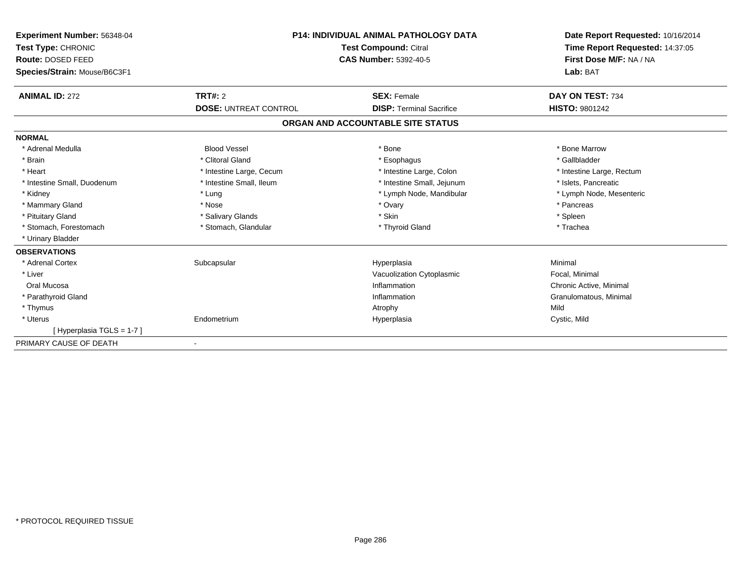| Experiment Number: 56348-04<br>Test Type: CHRONIC<br>Route: DOSED FEED<br>Species/Strain: Mouse/B6C3F1 |                              | <b>P14: INDIVIDUAL ANIMAL PATHOLOGY DATA</b><br><b>Test Compound: Citral</b><br><b>CAS Number: 5392-40-5</b> | Date Report Requested: 10/16/2014<br>Time Report Requested: 14:37:05<br>First Dose M/F: NA / NA<br>Lab: BAT |  |
|--------------------------------------------------------------------------------------------------------|------------------------------|--------------------------------------------------------------------------------------------------------------|-------------------------------------------------------------------------------------------------------------|--|
| <b>ANIMAL ID: 272</b>                                                                                  | TRT#: 2                      | <b>SEX: Female</b>                                                                                           | DAY ON TEST: 734                                                                                            |  |
|                                                                                                        | <b>DOSE: UNTREAT CONTROL</b> | <b>DISP: Terminal Sacrifice</b>                                                                              | <b>HISTO: 9801242</b>                                                                                       |  |
|                                                                                                        |                              | ORGAN AND ACCOUNTABLE SITE STATUS                                                                            |                                                                                                             |  |
| <b>NORMAL</b>                                                                                          |                              |                                                                                                              |                                                                                                             |  |
| * Adrenal Medulla                                                                                      | <b>Blood Vessel</b>          | * Bone                                                                                                       | * Bone Marrow                                                                                               |  |
| * Brain                                                                                                | * Clitoral Gland             | * Esophagus                                                                                                  | * Gallbladder                                                                                               |  |
| * Heart                                                                                                | * Intestine Large, Cecum     | * Intestine Large, Colon                                                                                     | * Intestine Large, Rectum                                                                                   |  |
| * Intestine Small, Duodenum                                                                            | * Intestine Small, Ileum     | * Intestine Small, Jejunum                                                                                   | * Islets, Pancreatic                                                                                        |  |
| * Kidney                                                                                               | * Lung                       | * Lymph Node, Mandibular                                                                                     | * Lymph Node, Mesenteric                                                                                    |  |
| * Mammary Gland                                                                                        | * Nose                       | * Ovary                                                                                                      | * Pancreas                                                                                                  |  |
| * Pituitary Gland                                                                                      | * Salivary Glands            | * Skin                                                                                                       | * Spleen                                                                                                    |  |
| * Stomach, Forestomach                                                                                 | * Stomach, Glandular         | * Thyroid Gland                                                                                              | * Trachea                                                                                                   |  |
| * Urinary Bladder                                                                                      |                              |                                                                                                              |                                                                                                             |  |
| <b>OBSERVATIONS</b>                                                                                    |                              |                                                                                                              |                                                                                                             |  |
| * Adrenal Cortex                                                                                       | Subcapsular                  | Hyperplasia                                                                                                  | Minimal                                                                                                     |  |
| * Liver                                                                                                |                              | Vacuolization Cytoplasmic                                                                                    | Focal, Minimal                                                                                              |  |
| Oral Mucosa                                                                                            |                              | Inflammation                                                                                                 | Chronic Active, Minimal                                                                                     |  |
| * Parathyroid Gland                                                                                    |                              | Inflammation                                                                                                 | Granulomatous, Minimal                                                                                      |  |
| * Thymus                                                                                               |                              | Atrophy                                                                                                      | Mild                                                                                                        |  |
| * Uterus                                                                                               | Endometrium                  | Hyperplasia                                                                                                  | Cystic, Mild                                                                                                |  |
| [Hyperplasia TGLS = 1-7]                                                                               |                              |                                                                                                              |                                                                                                             |  |
| PRIMARY CAUSE OF DEATH                                                                                 |                              |                                                                                                              |                                                                                                             |  |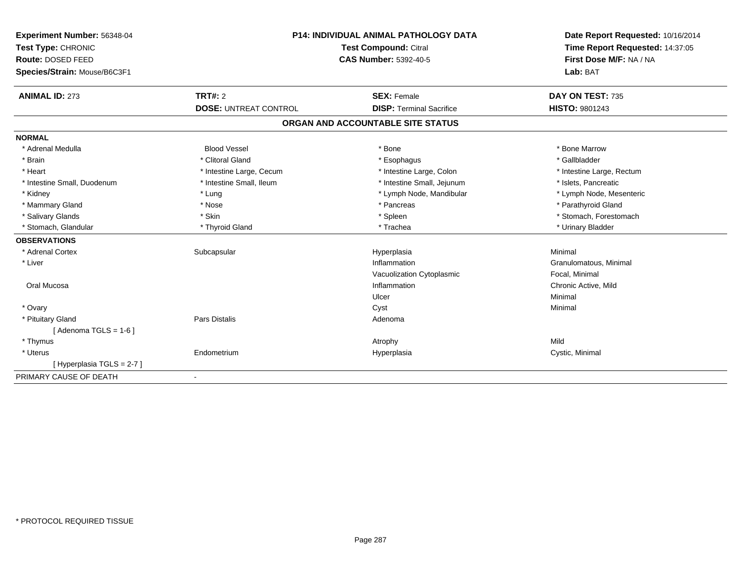| Experiment Number: 56348-04  | <b>P14: INDIVIDUAL ANIMAL PATHOLOGY DATA</b><br>Test Compound: Citral<br><b>CAS Number: 5392-40-5</b> |                                   | Date Report Requested: 10/16/2014 |  |
|------------------------------|-------------------------------------------------------------------------------------------------------|-----------------------------------|-----------------------------------|--|
| Test Type: CHRONIC           |                                                                                                       |                                   | Time Report Requested: 14:37:05   |  |
| Route: DOSED FEED            |                                                                                                       |                                   | First Dose M/F: NA / NA           |  |
| Species/Strain: Mouse/B6C3F1 |                                                                                                       |                                   | Lab: BAT                          |  |
| <b>ANIMAL ID: 273</b>        | <b>TRT#: 2</b>                                                                                        | <b>SEX: Female</b>                | DAY ON TEST: 735                  |  |
|                              | <b>DOSE: UNTREAT CONTROL</b>                                                                          | <b>DISP: Terminal Sacrifice</b>   | HISTO: 9801243                    |  |
|                              |                                                                                                       | ORGAN AND ACCOUNTABLE SITE STATUS |                                   |  |
| <b>NORMAL</b>                |                                                                                                       |                                   |                                   |  |
| * Adrenal Medulla            | <b>Blood Vessel</b>                                                                                   | * Bone                            | * Bone Marrow                     |  |
| * Brain                      | * Clitoral Gland                                                                                      | * Esophagus                       | * Gallbladder                     |  |
| * Heart                      | * Intestine Large, Cecum                                                                              | * Intestine Large, Colon          | * Intestine Large, Rectum         |  |
| * Intestine Small, Duodenum  | * Intestine Small, Ileum                                                                              | * Intestine Small, Jejunum        | * Islets, Pancreatic              |  |
| * Kidney                     | * Lung                                                                                                | * Lymph Node, Mandibular          | * Lymph Node, Mesenteric          |  |
| * Mammary Gland              | * Nose                                                                                                | * Pancreas                        | * Parathyroid Gland               |  |
| * Salivary Glands            | * Skin                                                                                                | * Spleen                          | * Stomach, Forestomach            |  |
| * Stomach, Glandular         | * Thyroid Gland                                                                                       | * Trachea                         | * Urinary Bladder                 |  |
| <b>OBSERVATIONS</b>          |                                                                                                       |                                   |                                   |  |
| * Adrenal Cortex             | Subcapsular                                                                                           | Hyperplasia                       | Minimal                           |  |
| * Liver                      |                                                                                                       | Inflammation                      | Granulomatous, Minimal            |  |
|                              |                                                                                                       | Vacuolization Cytoplasmic         | Focal, Minimal                    |  |
| Oral Mucosa                  |                                                                                                       | Inflammation                      | Chronic Active, Mild              |  |
|                              |                                                                                                       | Ulcer                             | Minimal                           |  |
| * Ovary                      |                                                                                                       | Cyst                              | Minimal                           |  |
| * Pituitary Gland            | Pars Distalis                                                                                         | Adenoma                           |                                   |  |
| [Adenoma TGLS = $1-6$ ]      |                                                                                                       |                                   |                                   |  |
| * Thymus                     |                                                                                                       | Atrophy                           | Mild                              |  |
| * Uterus                     | Endometrium                                                                                           | Hyperplasia                       | Cystic, Minimal                   |  |
| [Hyperplasia TGLS = 2-7]     |                                                                                                       |                                   |                                   |  |
| PRIMARY CAUSE OF DEATH       | $\blacksquare$                                                                                        |                                   |                                   |  |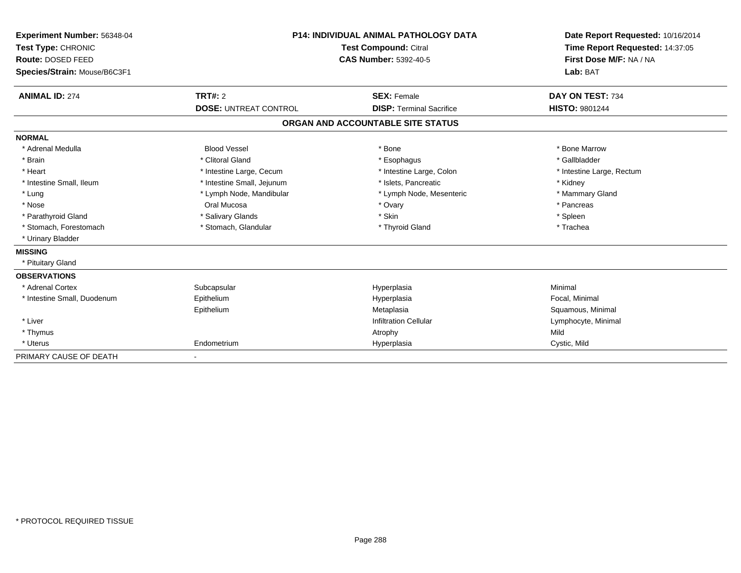| <b>Experiment Number: 56348-04</b><br>Test Type: CHRONIC<br>Route: DOSED FEED<br>Species/Strain: Mouse/B6C3F1 |                              | <b>P14: INDIVIDUAL ANIMAL PATHOLOGY DATA</b><br><b>Test Compound: Citral</b><br><b>CAS Number: 5392-40-5</b> | Date Report Requested: 10/16/2014<br>Time Report Requested: 14:37:05<br>First Dose M/F: NA / NA<br>Lab: BAT |  |
|---------------------------------------------------------------------------------------------------------------|------------------------------|--------------------------------------------------------------------------------------------------------------|-------------------------------------------------------------------------------------------------------------|--|
| <b>ANIMAL ID: 274</b>                                                                                         | <b>TRT#: 2</b>               | <b>SEX: Female</b>                                                                                           | DAY ON TEST: 734                                                                                            |  |
|                                                                                                               | <b>DOSE: UNTREAT CONTROL</b> | <b>DISP: Terminal Sacrifice</b>                                                                              | <b>HISTO: 9801244</b>                                                                                       |  |
|                                                                                                               |                              | ORGAN AND ACCOUNTABLE SITE STATUS                                                                            |                                                                                                             |  |
| <b>NORMAL</b>                                                                                                 |                              |                                                                                                              |                                                                                                             |  |
| * Adrenal Medulla                                                                                             | <b>Blood Vessel</b>          | * Bone                                                                                                       | * Bone Marrow                                                                                               |  |
| * Brain                                                                                                       | * Clitoral Gland             | * Esophagus                                                                                                  | * Gallbladder                                                                                               |  |
| * Heart                                                                                                       | * Intestine Large, Cecum     | * Intestine Large, Colon                                                                                     | * Intestine Large, Rectum                                                                                   |  |
| * Intestine Small, Ileum                                                                                      | * Intestine Small, Jejunum   | * Islets. Pancreatic                                                                                         | * Kidney                                                                                                    |  |
| * Lung                                                                                                        | * Lymph Node, Mandibular     | * Lymph Node, Mesenteric                                                                                     | * Mammary Gland                                                                                             |  |
| * Nose                                                                                                        | Oral Mucosa                  | * Ovary                                                                                                      | * Pancreas                                                                                                  |  |
| * Parathyroid Gland                                                                                           | * Salivary Glands            | * Skin                                                                                                       | * Spleen                                                                                                    |  |
| * Stomach, Forestomach                                                                                        | * Stomach, Glandular         | * Thyroid Gland                                                                                              | * Trachea                                                                                                   |  |
| * Urinary Bladder                                                                                             |                              |                                                                                                              |                                                                                                             |  |
| <b>MISSING</b>                                                                                                |                              |                                                                                                              |                                                                                                             |  |
| * Pituitary Gland                                                                                             |                              |                                                                                                              |                                                                                                             |  |
| <b>OBSERVATIONS</b>                                                                                           |                              |                                                                                                              |                                                                                                             |  |
| * Adrenal Cortex                                                                                              | Subcapsular                  | Hyperplasia                                                                                                  | Minimal                                                                                                     |  |
| * Intestine Small, Duodenum                                                                                   | Epithelium                   | Hyperplasia                                                                                                  | Focal, Minimal                                                                                              |  |
|                                                                                                               | Epithelium                   | Metaplasia                                                                                                   | Squamous, Minimal                                                                                           |  |
| * Liver                                                                                                       |                              | <b>Infiltration Cellular</b>                                                                                 | Lymphocyte, Minimal                                                                                         |  |
| * Thymus                                                                                                      |                              | Atrophy                                                                                                      | Mild                                                                                                        |  |
| * Uterus                                                                                                      | Endometrium                  | Hyperplasia                                                                                                  | Cystic, Mild                                                                                                |  |
| PRIMARY CAUSE OF DEATH                                                                                        |                              |                                                                                                              |                                                                                                             |  |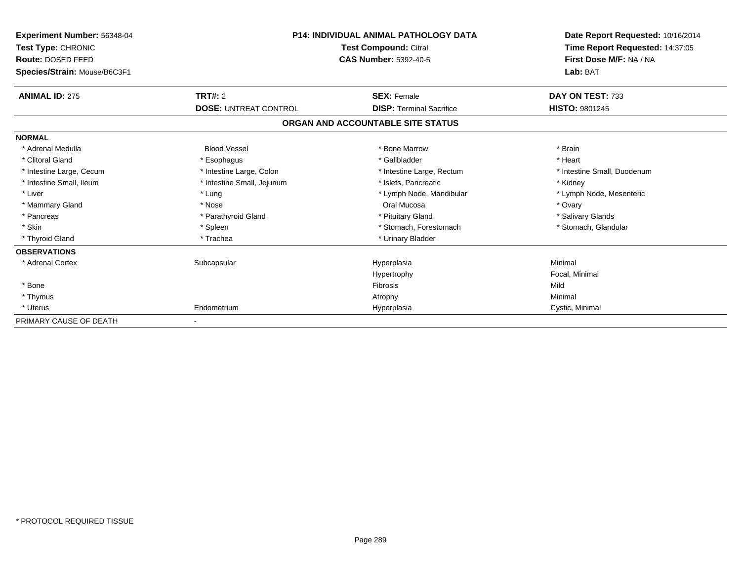| Experiment Number: 56348-04<br><b>Test Type: CHRONIC</b><br>Route: DOSED FEED<br>Species/Strain: Mouse/B6C3F1 | <b>P14: INDIVIDUAL ANIMAL PATHOLOGY DATA</b><br>Test Compound: Citral<br><b>CAS Number: 5392-40-5</b> |                                   | Date Report Requested: 10/16/2014<br>Time Report Requested: 14:37:05<br>First Dose M/F: NA / NA<br>Lab: BAT |
|---------------------------------------------------------------------------------------------------------------|-------------------------------------------------------------------------------------------------------|-----------------------------------|-------------------------------------------------------------------------------------------------------------|
| <b>ANIMAL ID: 275</b>                                                                                         | TRT#: 2                                                                                               | <b>SEX: Female</b>                | DAY ON TEST: 733                                                                                            |
|                                                                                                               | <b>DOSE: UNTREAT CONTROL</b>                                                                          | <b>DISP: Terminal Sacrifice</b>   | <b>HISTO: 9801245</b>                                                                                       |
|                                                                                                               |                                                                                                       | ORGAN AND ACCOUNTABLE SITE STATUS |                                                                                                             |
| <b>NORMAL</b>                                                                                                 |                                                                                                       |                                   |                                                                                                             |
| * Adrenal Medulla                                                                                             | <b>Blood Vessel</b>                                                                                   | * Bone Marrow                     | * Brain                                                                                                     |
| * Clitoral Gland                                                                                              | * Esophagus                                                                                           | * Gallbladder                     | * Heart                                                                                                     |
| * Intestine Large, Cecum                                                                                      | * Intestine Large, Colon                                                                              | * Intestine Large, Rectum         | * Intestine Small, Duodenum                                                                                 |
| * Intestine Small, Ileum                                                                                      | * Intestine Small, Jejunum                                                                            | * Islets, Pancreatic              | * Kidney                                                                                                    |
| * Liver                                                                                                       | * Lung                                                                                                | * Lymph Node, Mandibular          | * Lymph Node, Mesenteric                                                                                    |
| * Mammary Gland                                                                                               | * Nose                                                                                                | Oral Mucosa                       | * Ovary                                                                                                     |
| * Pancreas                                                                                                    | * Parathyroid Gland                                                                                   | * Pituitary Gland                 | * Salivary Glands                                                                                           |
| * Skin                                                                                                        | * Spleen                                                                                              | * Stomach. Forestomach            | * Stomach, Glandular                                                                                        |
| * Thyroid Gland                                                                                               | * Trachea                                                                                             | * Urinary Bladder                 |                                                                                                             |
| <b>OBSERVATIONS</b>                                                                                           |                                                                                                       |                                   |                                                                                                             |
| * Adrenal Cortex                                                                                              | Subcapsular                                                                                           | Hyperplasia                       | Minimal                                                                                                     |
|                                                                                                               |                                                                                                       | Hypertrophy                       | Focal, Minimal                                                                                              |
| * Bone                                                                                                        |                                                                                                       | Fibrosis                          | Mild                                                                                                        |
| * Thymus                                                                                                      |                                                                                                       | Atrophy                           | Minimal                                                                                                     |
| * Uterus                                                                                                      | Endometrium                                                                                           | Hyperplasia                       | Cystic, Minimal                                                                                             |
| PRIMARY CAUSE OF DEATH                                                                                        |                                                                                                       |                                   |                                                                                                             |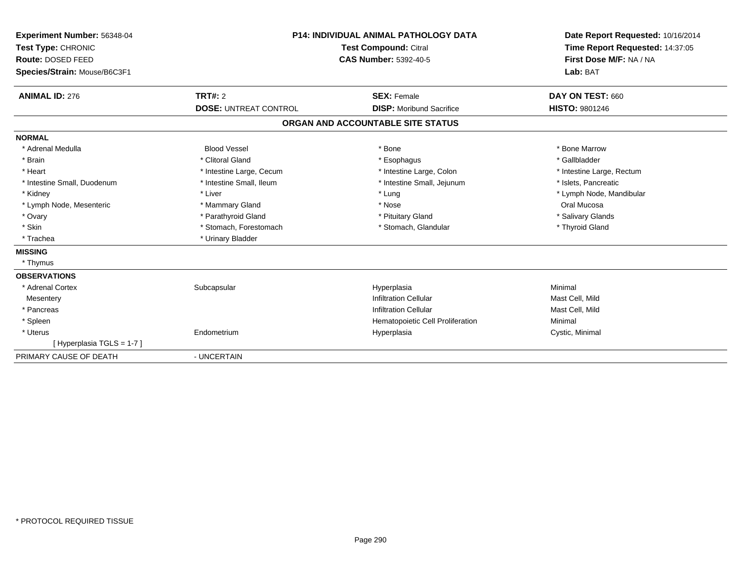| Experiment Number: 56348-04<br>Test Type: CHRONIC<br>Route: DOSED FEED<br>Species/Strain: Mouse/B6C3F1 |                              | <b>P14: INDIVIDUAL ANIMAL PATHOLOGY DATA</b><br>Test Compound: Citral<br><b>CAS Number: 5392-40-5</b> | Date Report Requested: 10/16/2014<br>Time Report Requested: 14:37:05<br>First Dose M/F: NA / NA<br>Lab: BAT |
|--------------------------------------------------------------------------------------------------------|------------------------------|-------------------------------------------------------------------------------------------------------|-------------------------------------------------------------------------------------------------------------|
| <b>ANIMAL ID: 276</b>                                                                                  | <b>TRT#: 2</b>               | <b>SEX: Female</b>                                                                                    | DAY ON TEST: 660                                                                                            |
|                                                                                                        | <b>DOSE: UNTREAT CONTROL</b> | <b>DISP:</b> Moribund Sacrifice                                                                       | <b>HISTO: 9801246</b>                                                                                       |
|                                                                                                        |                              | ORGAN AND ACCOUNTABLE SITE STATUS                                                                     |                                                                                                             |
| <b>NORMAL</b>                                                                                          |                              |                                                                                                       |                                                                                                             |
| * Adrenal Medulla                                                                                      | <b>Blood Vessel</b>          | * Bone                                                                                                | * Bone Marrow                                                                                               |
| * Brain                                                                                                | * Clitoral Gland             | * Esophagus                                                                                           | * Gallbladder                                                                                               |
| * Heart                                                                                                | * Intestine Large, Cecum     | * Intestine Large, Colon                                                                              | * Intestine Large, Rectum                                                                                   |
| * Intestine Small, Duodenum                                                                            | * Intestine Small, Ileum     | * Intestine Small, Jejunum                                                                            | * Islets, Pancreatic                                                                                        |
| * Kidney                                                                                               | * Liver                      | * Lung                                                                                                | * Lymph Node, Mandibular                                                                                    |
| * Lymph Node, Mesenteric                                                                               | * Mammary Gland              | * Nose                                                                                                | Oral Mucosa                                                                                                 |
| * Ovary                                                                                                | * Parathyroid Gland          | * Pituitary Gland                                                                                     | * Salivary Glands                                                                                           |
| * Skin                                                                                                 | * Stomach, Forestomach       | * Stomach, Glandular                                                                                  | * Thyroid Gland                                                                                             |
| * Trachea                                                                                              | * Urinary Bladder            |                                                                                                       |                                                                                                             |
| <b>MISSING</b>                                                                                         |                              |                                                                                                       |                                                                                                             |
| * Thymus                                                                                               |                              |                                                                                                       |                                                                                                             |
| <b>OBSERVATIONS</b>                                                                                    |                              |                                                                                                       |                                                                                                             |
| * Adrenal Cortex                                                                                       | Subcapsular                  | Hyperplasia                                                                                           | Minimal                                                                                                     |
| Mesentery                                                                                              |                              | <b>Infiltration Cellular</b>                                                                          | Mast Cell, Mild                                                                                             |
| * Pancreas                                                                                             |                              | <b>Infiltration Cellular</b>                                                                          | Mast Cell, Mild                                                                                             |
| * Spleen                                                                                               |                              | Hematopoietic Cell Proliferation                                                                      | Minimal                                                                                                     |
| * Uterus                                                                                               | Endometrium                  | Hyperplasia                                                                                           | Cystic, Minimal                                                                                             |
| [Hyperplasia TGLS = 1-7]                                                                               |                              |                                                                                                       |                                                                                                             |
| PRIMARY CAUSE OF DEATH                                                                                 | - UNCERTAIN                  |                                                                                                       |                                                                                                             |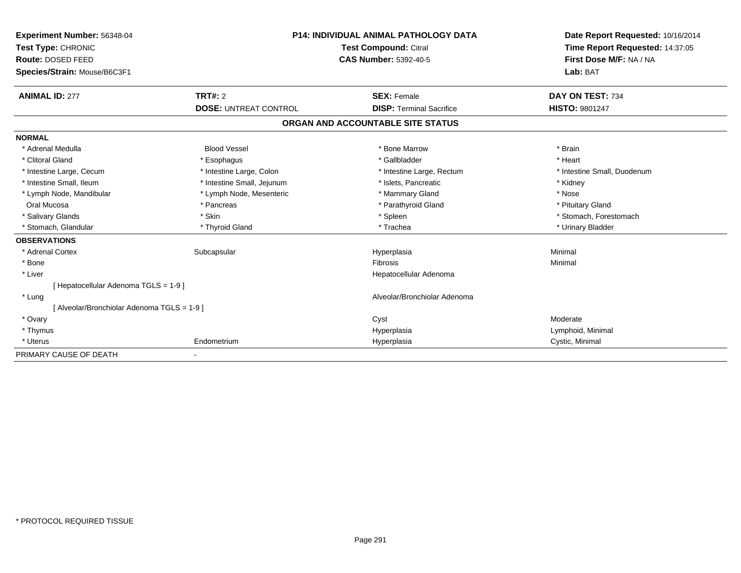| Experiment Number: 56348-04                 |                              | <b>P14: INDIVIDUAL ANIMAL PATHOLOGY DATA</b> | Date Report Requested: 10/16/2014<br>Time Report Requested: 14:37:05 |
|---------------------------------------------|------------------------------|----------------------------------------------|----------------------------------------------------------------------|
| Test Type: CHRONIC                          |                              | <b>Test Compound: Citral</b>                 |                                                                      |
| Route: DOSED FEED                           | <b>CAS Number: 5392-40-5</b> |                                              | First Dose M/F: NA / NA                                              |
| Species/Strain: Mouse/B6C3F1                |                              |                                              | Lab: BAT                                                             |
| <b>ANIMAL ID: 277</b>                       | TRT#: 2                      | <b>SEX: Female</b>                           | DAY ON TEST: 734                                                     |
|                                             | <b>DOSE: UNTREAT CONTROL</b> | <b>DISP: Terminal Sacrifice</b>              | <b>HISTO: 9801247</b>                                                |
|                                             |                              | ORGAN AND ACCOUNTABLE SITE STATUS            |                                                                      |
| <b>NORMAL</b>                               |                              |                                              |                                                                      |
| * Adrenal Medulla                           | <b>Blood Vessel</b>          | * Bone Marrow                                | * Brain                                                              |
| * Clitoral Gland                            | * Esophagus                  | * Gallbladder                                | * Heart                                                              |
| * Intestine Large, Cecum                    | * Intestine Large, Colon     | * Intestine Large, Rectum                    | * Intestine Small, Duodenum                                          |
| * Intestine Small, Ileum                    | * Intestine Small, Jejunum   | * Islets, Pancreatic                         | * Kidney                                                             |
| * Lymph Node, Mandibular                    | * Lymph Node, Mesenteric     | * Mammary Gland                              | * Nose                                                               |
| Oral Mucosa                                 | * Pancreas                   | * Parathyroid Gland                          | * Pituitary Gland                                                    |
| * Salivary Glands                           | * Skin                       | * Spleen                                     | * Stomach. Forestomach                                               |
| * Stomach, Glandular                        | * Thyroid Gland              | * Trachea                                    | * Urinary Bladder                                                    |
| <b>OBSERVATIONS</b>                         |                              |                                              |                                                                      |
| * Adrenal Cortex                            | Subcapsular                  | Hyperplasia                                  | Minimal                                                              |
| * Bone                                      |                              | Fibrosis                                     | Minimal                                                              |
| * Liver                                     |                              | Hepatocellular Adenoma                       |                                                                      |
| [Hepatocellular Adenoma TGLS = 1-9]         |                              |                                              |                                                                      |
| * Lung                                      |                              | Alveolar/Bronchiolar Adenoma                 |                                                                      |
| [ Alveolar/Bronchiolar Adenoma TGLS = 1-9 ] |                              |                                              |                                                                      |
| * Ovary                                     |                              | Cyst                                         | Moderate                                                             |
| * Thymus                                    |                              | Hyperplasia                                  | Lymphoid, Minimal                                                    |
| * Uterus                                    | Endometrium                  | Hyperplasia                                  | Cystic, Minimal                                                      |
| PRIMARY CAUSE OF DEATH                      | $\blacksquare$               |                                              |                                                                      |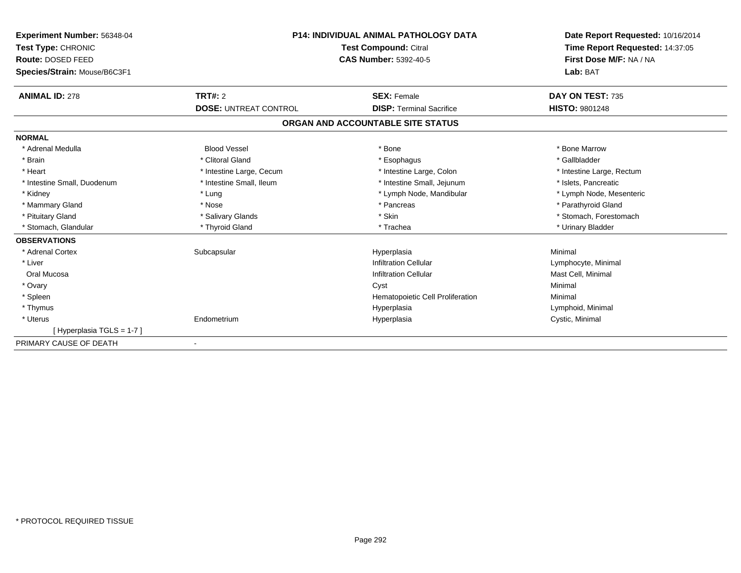| <b>P14: INDIVIDUAL ANIMAL PATHOLOGY DATA</b><br>Experiment Number: 56348-04<br><b>Test Compound: Citral</b><br>Test Type: CHRONIC |                              |                                   | Date Report Requested: 10/16/2014 |
|-----------------------------------------------------------------------------------------------------------------------------------|------------------------------|-----------------------------------|-----------------------------------|
|                                                                                                                                   |                              |                                   | Time Report Requested: 14:37:05   |
| Route: DOSED FEED                                                                                                                 |                              | <b>CAS Number: 5392-40-5</b>      | First Dose M/F: NA / NA           |
| Species/Strain: Mouse/B6C3F1                                                                                                      |                              |                                   | Lab: BAT                          |
| <b>ANIMAL ID: 278</b>                                                                                                             | TRT#: 2                      | <b>SEX: Female</b>                | DAY ON TEST: 735                  |
|                                                                                                                                   | <b>DOSE: UNTREAT CONTROL</b> | <b>DISP: Terminal Sacrifice</b>   | <b>HISTO: 9801248</b>             |
|                                                                                                                                   |                              | ORGAN AND ACCOUNTABLE SITE STATUS |                                   |
| <b>NORMAL</b>                                                                                                                     |                              |                                   |                                   |
| * Adrenal Medulla                                                                                                                 | <b>Blood Vessel</b>          | * Bone                            | * Bone Marrow                     |
| * Brain                                                                                                                           | * Clitoral Gland             | * Esophagus                       | * Gallbladder                     |
| * Heart                                                                                                                           | * Intestine Large, Cecum     | * Intestine Large, Colon          | * Intestine Large, Rectum         |
| * Intestine Small, Duodenum                                                                                                       | * Intestine Small, Ileum     | * Intestine Small, Jejunum        | * Islets, Pancreatic              |
| * Kidney                                                                                                                          | * Lung                       | * Lymph Node, Mandibular          | * Lymph Node, Mesenteric          |
| * Mammary Gland                                                                                                                   | * Nose                       | * Pancreas                        | * Parathyroid Gland               |
| * Pituitary Gland                                                                                                                 | * Salivary Glands            | * Skin                            | * Stomach, Forestomach            |
| * Stomach, Glandular                                                                                                              | * Thyroid Gland              | * Trachea                         | * Urinary Bladder                 |
| <b>OBSERVATIONS</b>                                                                                                               |                              |                                   |                                   |
| * Adrenal Cortex                                                                                                                  | Subcapsular                  | Hyperplasia                       | Minimal                           |
| * Liver                                                                                                                           |                              | <b>Infiltration Cellular</b>      | Lymphocyte, Minimal               |
| Oral Mucosa                                                                                                                       |                              | <b>Infiltration Cellular</b>      | Mast Cell, Minimal                |
| * Ovary                                                                                                                           |                              | Cyst                              | Minimal                           |
| * Spleen                                                                                                                          |                              | Hematopoietic Cell Proliferation  | Minimal                           |
| * Thymus                                                                                                                          |                              | Hyperplasia                       | Lymphoid, Minimal                 |
| * Uterus                                                                                                                          | Endometrium                  | Hyperplasia                       | Cystic, Minimal                   |
| [Hyperplasia TGLS = 1-7]                                                                                                          |                              |                                   |                                   |
| PRIMARY CAUSE OF DEATH                                                                                                            |                              |                                   |                                   |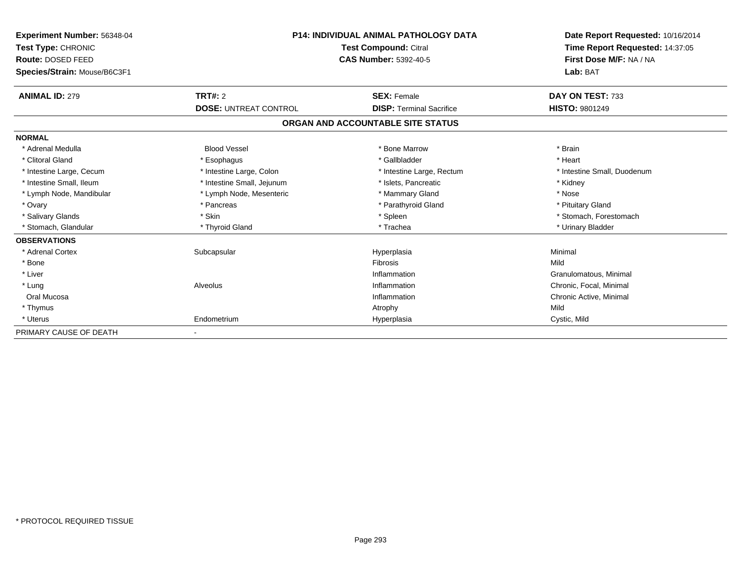| Experiment Number: 56348-04<br>Test Type: CHRONIC<br>Route: DOSED FEED<br>Species/Strain: Mouse/B6C3F1 | <b>P14: INDIVIDUAL ANIMAL PATHOLOGY DATA</b><br><b>Test Compound: Citral</b><br><b>CAS Number: 5392-40-5</b> |                                   | Date Report Requested: 10/16/2014<br>Time Report Requested: 14:37:05<br>First Dose M/F: NA / NA<br>Lab: BAT |
|--------------------------------------------------------------------------------------------------------|--------------------------------------------------------------------------------------------------------------|-----------------------------------|-------------------------------------------------------------------------------------------------------------|
| <b>ANIMAL ID: 279</b>                                                                                  | <b>TRT#: 2</b>                                                                                               | <b>SEX: Female</b>                | DAY ON TEST: 733                                                                                            |
|                                                                                                        | <b>DOSE: UNTREAT CONTROL</b>                                                                                 | <b>DISP: Terminal Sacrifice</b>   | <b>HISTO: 9801249</b>                                                                                       |
|                                                                                                        |                                                                                                              | ORGAN AND ACCOUNTABLE SITE STATUS |                                                                                                             |
| <b>NORMAL</b>                                                                                          |                                                                                                              |                                   |                                                                                                             |
| * Adrenal Medulla                                                                                      | <b>Blood Vessel</b>                                                                                          | * Bone Marrow                     | * Brain                                                                                                     |
| * Clitoral Gland                                                                                       | * Esophagus                                                                                                  | * Gallbladder                     | * Heart                                                                                                     |
| * Intestine Large, Cecum                                                                               | * Intestine Large, Colon                                                                                     | * Intestine Large, Rectum         | * Intestine Small, Duodenum                                                                                 |
| * Intestine Small, Ileum                                                                               | * Intestine Small, Jejunum                                                                                   | * Islets. Pancreatic              | * Kidney                                                                                                    |
| * Lymph Node, Mandibular                                                                               | * Lymph Node, Mesenteric                                                                                     | * Mammary Gland                   | * Nose                                                                                                      |
| * Ovary                                                                                                | * Pancreas                                                                                                   | * Parathyroid Gland               | * Pituitary Gland                                                                                           |
| * Salivary Glands                                                                                      | * Skin                                                                                                       | * Spleen                          | * Stomach, Forestomach                                                                                      |
| * Stomach, Glandular                                                                                   | * Thyroid Gland                                                                                              | * Trachea                         | * Urinary Bladder                                                                                           |
| <b>OBSERVATIONS</b>                                                                                    |                                                                                                              |                                   |                                                                                                             |
| * Adrenal Cortex                                                                                       | Subcapsular                                                                                                  | Hyperplasia                       | Minimal                                                                                                     |
| * Bone                                                                                                 |                                                                                                              | <b>Fibrosis</b>                   | Mild                                                                                                        |
| * Liver                                                                                                |                                                                                                              | Inflammation                      | Granulomatous, Minimal                                                                                      |
| * Lung                                                                                                 | Alveolus                                                                                                     | Inflammation                      | Chronic, Focal, Minimal                                                                                     |
| Oral Mucosa                                                                                            |                                                                                                              | Inflammation                      | Chronic Active, Minimal                                                                                     |
| * Thymus                                                                                               |                                                                                                              | Atrophy                           | Mild                                                                                                        |
| * Uterus                                                                                               | Endometrium                                                                                                  | Hyperplasia                       | Cystic, Mild                                                                                                |
| PRIMARY CAUSE OF DEATH                                                                                 |                                                                                                              |                                   |                                                                                                             |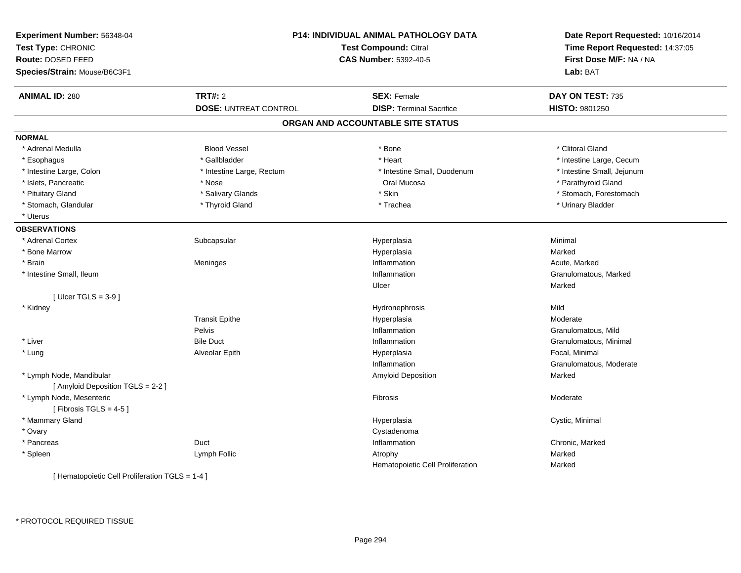| Experiment Number: 56348-04<br>Test Type: CHRONIC<br><b>Route: DOSED FEED</b><br>Species/Strain: Mouse/B6C3F1 | P14: INDIVIDUAL ANIMAL PATHOLOGY DATA<br><b>Test Compound: Citral</b><br><b>CAS Number: 5392-40-5</b> |                                   | Date Report Requested: 10/16/2014<br>Time Report Requested: 14:37:05<br>First Dose M/F: NA / NA<br>Lab: BAT |
|---------------------------------------------------------------------------------------------------------------|-------------------------------------------------------------------------------------------------------|-----------------------------------|-------------------------------------------------------------------------------------------------------------|
| <b>ANIMAL ID: 280</b>                                                                                         | <b>TRT#: 2</b>                                                                                        | <b>SEX: Female</b>                | DAY ON TEST: 735                                                                                            |
|                                                                                                               | <b>DOSE: UNTREAT CONTROL</b>                                                                          | <b>DISP: Terminal Sacrifice</b>   | HISTO: 9801250                                                                                              |
|                                                                                                               |                                                                                                       | ORGAN AND ACCOUNTABLE SITE STATUS |                                                                                                             |
| <b>NORMAL</b>                                                                                                 |                                                                                                       |                                   |                                                                                                             |
| * Adrenal Medulla                                                                                             | <b>Blood Vessel</b>                                                                                   | * Bone                            | * Clitoral Gland                                                                                            |
| * Esophagus                                                                                                   | * Gallbladder                                                                                         | * Heart                           | * Intestine Large, Cecum                                                                                    |
| * Intestine Large, Colon                                                                                      | * Intestine Large, Rectum                                                                             | * Intestine Small, Duodenum       | * Intestine Small, Jejunum                                                                                  |
| * Islets, Pancreatic                                                                                          | * Nose                                                                                                | Oral Mucosa                       | * Parathyroid Gland                                                                                         |
| * Pituitary Gland                                                                                             | * Salivary Glands                                                                                     | * Skin                            | * Stomach, Forestomach                                                                                      |
| * Stomach, Glandular                                                                                          | * Thyroid Gland                                                                                       | * Trachea                         | * Urinary Bladder                                                                                           |
| * Uterus                                                                                                      |                                                                                                       |                                   |                                                                                                             |
| <b>OBSERVATIONS</b>                                                                                           |                                                                                                       |                                   |                                                                                                             |
| * Adrenal Cortex                                                                                              | Subcapsular                                                                                           | Hyperplasia                       | Minimal                                                                                                     |
| * Bone Marrow                                                                                                 |                                                                                                       | Hyperplasia                       | Marked                                                                                                      |
| * Brain                                                                                                       | Meninges                                                                                              | Inflammation                      | Acute, Marked                                                                                               |
| * Intestine Small, Ileum                                                                                      |                                                                                                       | Inflammation                      | Granulomatous, Marked                                                                                       |
|                                                                                                               |                                                                                                       | Ulcer                             | Marked                                                                                                      |
| [ $Ulecr$ TGLS = 3-9 ]                                                                                        |                                                                                                       |                                   |                                                                                                             |
| * Kidney                                                                                                      |                                                                                                       | Hydronephrosis                    | Mild                                                                                                        |
|                                                                                                               | <b>Transit Epithe</b>                                                                                 | Hyperplasia                       | Moderate                                                                                                    |
|                                                                                                               | <b>Pelvis</b>                                                                                         | Inflammation                      | Granulomatous, Mild                                                                                         |
| * Liver                                                                                                       | <b>Bile Duct</b>                                                                                      | Inflammation                      | Granulomatous, Minimal                                                                                      |
| * Lung                                                                                                        | Alveolar Epith                                                                                        | Hyperplasia                       | Focal, Minimal                                                                                              |
|                                                                                                               |                                                                                                       | Inflammation                      | Granulomatous, Moderate                                                                                     |
| * Lymph Node, Mandibular                                                                                      |                                                                                                       | Amyloid Deposition                | Marked                                                                                                      |
| [ Amyloid Deposition TGLS = 2-2 ]                                                                             |                                                                                                       |                                   |                                                                                                             |
| * Lymph Node, Mesenteric<br>[Fibrosis TGLS = 4-5]                                                             |                                                                                                       | Fibrosis                          | Moderate                                                                                                    |
| * Mammary Gland                                                                                               |                                                                                                       | Hyperplasia                       | Cystic, Minimal                                                                                             |
| * Ovary                                                                                                       |                                                                                                       | Cystadenoma                       |                                                                                                             |
| * Pancreas                                                                                                    | Duct                                                                                                  | Inflammation                      | Chronic, Marked                                                                                             |
| * Spleen                                                                                                      | Lymph Follic                                                                                          | Atrophy                           | Marked                                                                                                      |
|                                                                                                               |                                                                                                       | Hematopoietic Cell Proliferation  | Marked                                                                                                      |
| [ Hematopoietic Cell Proliferation TGLS = 1-4 ]                                                               |                                                                                                       |                                   |                                                                                                             |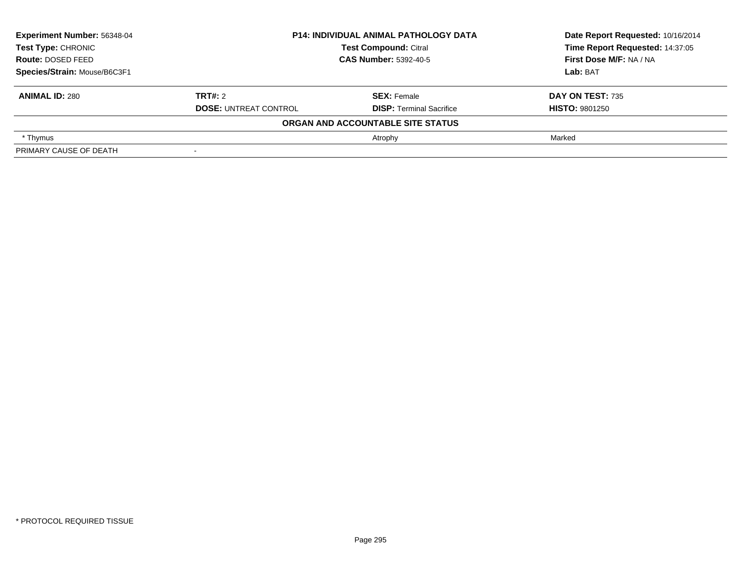| Experiment Number: 56348-04  | <b>P14: INDIVIDUAL ANIMAL PATHOLOGY DATA</b> |                                   | Date Report Requested: 10/16/2014 |
|------------------------------|----------------------------------------------|-----------------------------------|-----------------------------------|
| Test Type: CHRONIC           |                                              | <b>Test Compound: Citral</b>      | Time Report Requested: 14:37:05   |
| <b>Route: DOSED FEED</b>     |                                              | <b>CAS Number: 5392-40-5</b>      |                                   |
| Species/Strain: Mouse/B6C3F1 |                                              | Lab: BAT                          |                                   |
| <b>ANIMAL ID: 280</b>        | TRT#: 2                                      | <b>SEX: Female</b>                | DAY ON TEST: 735                  |
|                              | <b>DOSE: UNTREAT CONTROL</b>                 | <b>DISP: Terminal Sacrifice</b>   | <b>HISTO: 9801250</b>             |
|                              |                                              | ORGAN AND ACCOUNTABLE SITE STATUS |                                   |
| * Thymus                     |                                              | Atrophy                           | Marked                            |
| PRIMARY CAUSE OF DEATH       |                                              |                                   |                                   |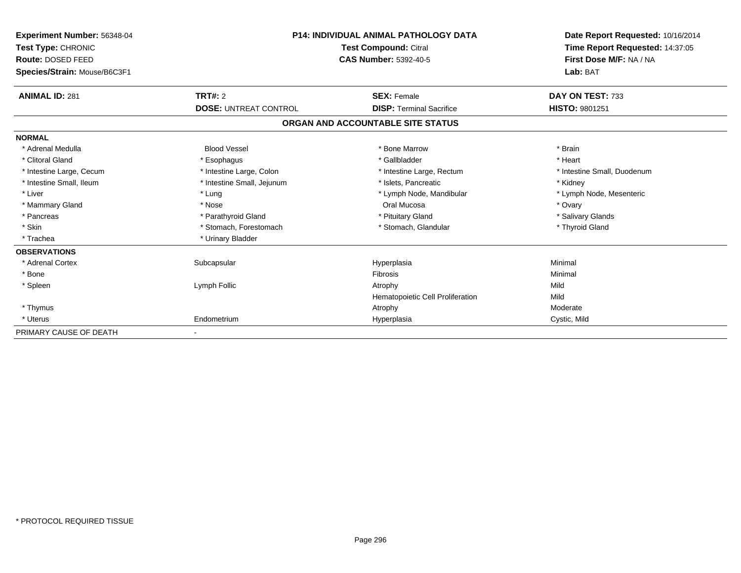| Experiment Number: 56348-04<br>Test Type: CHRONIC<br><b>Route: DOSED FEED</b><br>Species/Strain: Mouse/B6C3F1 | <b>P14: INDIVIDUAL ANIMAL PATHOLOGY DATA</b><br><b>Test Compound: Citral</b><br><b>CAS Number: 5392-40-5</b> |                                   | Date Report Requested: 10/16/2014<br>Time Report Requested: 14:37:05<br>First Dose M/F: NA / NA<br>Lab: BAT |
|---------------------------------------------------------------------------------------------------------------|--------------------------------------------------------------------------------------------------------------|-----------------------------------|-------------------------------------------------------------------------------------------------------------|
| <b>ANIMAL ID: 281</b>                                                                                         | TRT#: 2                                                                                                      | <b>SEX: Female</b>                | DAY ON TEST: 733                                                                                            |
|                                                                                                               | <b>DOSE: UNTREAT CONTROL</b>                                                                                 | <b>DISP: Terminal Sacrifice</b>   | HISTO: 9801251                                                                                              |
|                                                                                                               |                                                                                                              | ORGAN AND ACCOUNTABLE SITE STATUS |                                                                                                             |
| <b>NORMAL</b>                                                                                                 |                                                                                                              |                                   |                                                                                                             |
| * Adrenal Medulla                                                                                             | <b>Blood Vessel</b>                                                                                          | * Bone Marrow                     | * Brain                                                                                                     |
| * Clitoral Gland                                                                                              | * Esophagus                                                                                                  | * Gallbladder                     | * Heart                                                                                                     |
| * Intestine Large, Cecum                                                                                      | * Intestine Large, Colon                                                                                     | * Intestine Large, Rectum         | * Intestine Small, Duodenum                                                                                 |
| * Intestine Small, Ileum                                                                                      | * Intestine Small, Jejunum                                                                                   | * Islets, Pancreatic              | * Kidney                                                                                                    |
| * Liver                                                                                                       | * Lung                                                                                                       | * Lymph Node, Mandibular          | * Lymph Node, Mesenteric                                                                                    |
| * Mammary Gland                                                                                               | * Nose                                                                                                       | Oral Mucosa                       | * Ovary                                                                                                     |
| * Pancreas                                                                                                    | * Parathyroid Gland                                                                                          | * Pituitary Gland                 | * Salivary Glands                                                                                           |
| * Skin                                                                                                        | * Stomach, Forestomach                                                                                       | * Stomach, Glandular              | * Thyroid Gland                                                                                             |
| * Trachea                                                                                                     | * Urinary Bladder                                                                                            |                                   |                                                                                                             |
| <b>OBSERVATIONS</b>                                                                                           |                                                                                                              |                                   |                                                                                                             |
| * Adrenal Cortex                                                                                              | Subcapsular                                                                                                  | Hyperplasia                       | Minimal                                                                                                     |
| * Bone                                                                                                        |                                                                                                              | Fibrosis                          | Minimal                                                                                                     |
| * Spleen                                                                                                      | Lymph Follic                                                                                                 | Atrophy                           | Mild                                                                                                        |
|                                                                                                               |                                                                                                              | Hematopoietic Cell Proliferation  | Mild                                                                                                        |
| * Thymus                                                                                                      |                                                                                                              | Atrophy                           | Moderate                                                                                                    |
| * Uterus                                                                                                      | Endometrium                                                                                                  | Hyperplasia                       | Cystic, Mild                                                                                                |
| PRIMARY CAUSE OF DEATH                                                                                        |                                                                                                              |                                   |                                                                                                             |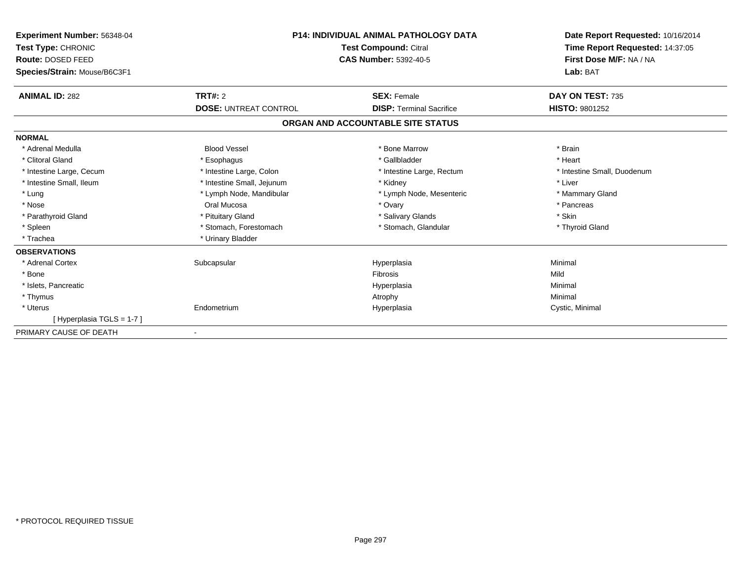| Experiment Number: 56348-04<br>Test Type: CHRONIC<br>Route: DOSED FEED<br>Species/Strain: Mouse/B6C3F1 | <b>P14: INDIVIDUAL ANIMAL PATHOLOGY DATA</b><br><b>Test Compound: Citral</b><br><b>CAS Number: 5392-40-5</b> |                                   | Date Report Requested: 10/16/2014<br>Time Report Requested: 14:37:05<br>First Dose M/F: NA / NA<br>Lab: BAT |
|--------------------------------------------------------------------------------------------------------|--------------------------------------------------------------------------------------------------------------|-----------------------------------|-------------------------------------------------------------------------------------------------------------|
| <b>ANIMAL ID: 282</b>                                                                                  | TRT#: 2                                                                                                      | <b>SEX: Female</b>                | DAY ON TEST: 735                                                                                            |
|                                                                                                        | <b>DOSE: UNTREAT CONTROL</b>                                                                                 | <b>DISP: Terminal Sacrifice</b>   | <b>HISTO: 9801252</b>                                                                                       |
|                                                                                                        |                                                                                                              | ORGAN AND ACCOUNTABLE SITE STATUS |                                                                                                             |
| <b>NORMAL</b>                                                                                          |                                                                                                              |                                   |                                                                                                             |
| * Adrenal Medulla                                                                                      | <b>Blood Vessel</b>                                                                                          | * Bone Marrow                     | * Brain                                                                                                     |
| * Clitoral Gland                                                                                       | * Esophagus                                                                                                  | * Gallbladder                     | * Heart                                                                                                     |
| * Intestine Large, Cecum                                                                               | * Intestine Large, Colon                                                                                     | * Intestine Large, Rectum         | * Intestine Small, Duodenum                                                                                 |
| * Intestine Small, Ileum                                                                               | * Intestine Small, Jejunum                                                                                   | * Kidney                          | * Liver                                                                                                     |
| * Lung                                                                                                 | * Lymph Node, Mandibular                                                                                     | * Lymph Node, Mesenteric          | * Mammary Gland                                                                                             |
| * Nose                                                                                                 | Oral Mucosa                                                                                                  | * Ovary                           | * Pancreas                                                                                                  |
| * Parathyroid Gland                                                                                    | * Pituitary Gland                                                                                            | * Salivary Glands                 | * Skin                                                                                                      |
| * Spleen                                                                                               | * Stomach, Forestomach                                                                                       | * Stomach, Glandular              | * Thyroid Gland                                                                                             |
| * Trachea                                                                                              | * Urinary Bladder                                                                                            |                                   |                                                                                                             |
| <b>OBSERVATIONS</b>                                                                                    |                                                                                                              |                                   |                                                                                                             |
| * Adrenal Cortex                                                                                       | Subcapsular                                                                                                  | Hyperplasia                       | Minimal                                                                                                     |
| * Bone                                                                                                 |                                                                                                              | Fibrosis                          | Mild                                                                                                        |
| * Islets, Pancreatic                                                                                   |                                                                                                              | Hyperplasia                       | Minimal                                                                                                     |
| * Thymus                                                                                               |                                                                                                              | Atrophy                           | Minimal                                                                                                     |
| * Uterus                                                                                               | Endometrium                                                                                                  | Hyperplasia                       | Cystic, Minimal                                                                                             |
| [Hyperplasia TGLS = 1-7]                                                                               |                                                                                                              |                                   |                                                                                                             |
| PRIMARY CAUSE OF DEATH                                                                                 |                                                                                                              |                                   |                                                                                                             |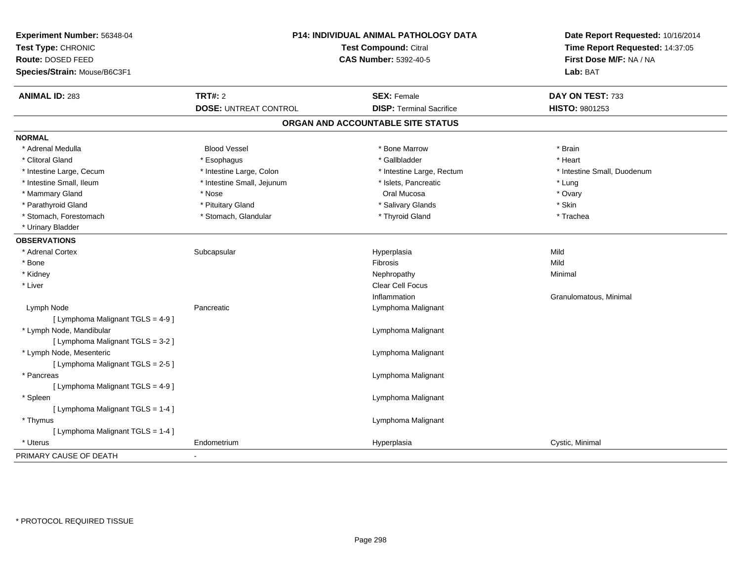| Experiment Number: 56348-04<br>Test Type: CHRONIC<br><b>Route: DOSED FEED</b><br>Species/Strain: Mouse/B6C3F1 | P14: INDIVIDUAL ANIMAL PATHOLOGY DATA<br><b>Test Compound: Citral</b><br><b>CAS Number: 5392-40-5</b> |                                   | Date Report Requested: 10/16/2014<br>Time Report Requested: 14:37:05<br>First Dose M/F: NA / NA<br>Lab: BAT |  |
|---------------------------------------------------------------------------------------------------------------|-------------------------------------------------------------------------------------------------------|-----------------------------------|-------------------------------------------------------------------------------------------------------------|--|
| <b>ANIMAL ID: 283</b>                                                                                         | <b>TRT#: 2</b>                                                                                        | <b>SEX: Female</b>                | DAY ON TEST: 733                                                                                            |  |
|                                                                                                               | <b>DOSE: UNTREAT CONTROL</b>                                                                          | <b>DISP: Terminal Sacrifice</b>   | <b>HISTO: 9801253</b>                                                                                       |  |
|                                                                                                               |                                                                                                       | ORGAN AND ACCOUNTABLE SITE STATUS |                                                                                                             |  |
| <b>NORMAL</b>                                                                                                 |                                                                                                       |                                   |                                                                                                             |  |
| * Adrenal Medulla                                                                                             | <b>Blood Vessel</b>                                                                                   | * Bone Marrow                     | * Brain                                                                                                     |  |
| * Clitoral Gland                                                                                              | * Esophagus                                                                                           | * Gallbladder                     | * Heart                                                                                                     |  |
| * Intestine Large, Cecum                                                                                      | * Intestine Large, Colon                                                                              | * Intestine Large, Rectum         | * Intestine Small, Duodenum                                                                                 |  |
| * Intestine Small, Ileum                                                                                      | * Intestine Small, Jejunum                                                                            | * Islets, Pancreatic              | * Lung                                                                                                      |  |
| * Mammary Gland                                                                                               | * Nose                                                                                                | Oral Mucosa                       | * Ovary                                                                                                     |  |
| * Parathyroid Gland                                                                                           | * Pituitary Gland                                                                                     | * Salivary Glands                 | * Skin                                                                                                      |  |
| * Stomach, Forestomach                                                                                        | * Stomach, Glandular                                                                                  | * Thyroid Gland                   | * Trachea                                                                                                   |  |
| * Urinary Bladder                                                                                             |                                                                                                       |                                   |                                                                                                             |  |
| <b>OBSERVATIONS</b>                                                                                           |                                                                                                       |                                   |                                                                                                             |  |
| * Adrenal Cortex                                                                                              | Subcapsular                                                                                           | Hyperplasia                       | Mild                                                                                                        |  |
| * Bone                                                                                                        |                                                                                                       | Fibrosis                          | Mild                                                                                                        |  |
| * Kidney                                                                                                      |                                                                                                       | Nephropathy                       | Minimal                                                                                                     |  |
| * Liver                                                                                                       |                                                                                                       | Clear Cell Focus                  |                                                                                                             |  |
|                                                                                                               |                                                                                                       | Inflammation                      | Granulomatous, Minimal                                                                                      |  |
| Lymph Node                                                                                                    | Pancreatic                                                                                            | Lymphoma Malignant                |                                                                                                             |  |
| [ Lymphoma Malignant TGLS = 4-9]                                                                              |                                                                                                       |                                   |                                                                                                             |  |
| * Lymph Node, Mandibular                                                                                      |                                                                                                       | Lymphoma Malignant                |                                                                                                             |  |
| [ Lymphoma Malignant TGLS = 3-2 ]                                                                             |                                                                                                       |                                   |                                                                                                             |  |
| * Lymph Node, Mesenteric                                                                                      |                                                                                                       | Lymphoma Malignant                |                                                                                                             |  |
| [ Lymphoma Malignant TGLS = 2-5 ]                                                                             |                                                                                                       |                                   |                                                                                                             |  |
| * Pancreas                                                                                                    |                                                                                                       | Lymphoma Malignant                |                                                                                                             |  |
| [ Lymphoma Malignant TGLS = 4-9 ]                                                                             |                                                                                                       |                                   |                                                                                                             |  |
| * Spleen                                                                                                      |                                                                                                       | Lymphoma Malignant                |                                                                                                             |  |
| [ Lymphoma Malignant TGLS = 1-4 ]                                                                             |                                                                                                       |                                   |                                                                                                             |  |
| * Thymus                                                                                                      |                                                                                                       | Lymphoma Malignant                |                                                                                                             |  |
| [ Lymphoma Malignant TGLS = 1-4 ]                                                                             |                                                                                                       |                                   |                                                                                                             |  |
| * Uterus                                                                                                      | Endometrium                                                                                           | Hyperplasia                       | Cystic, Minimal                                                                                             |  |
| PRIMARY CAUSE OF DEATH                                                                                        |                                                                                                       |                                   |                                                                                                             |  |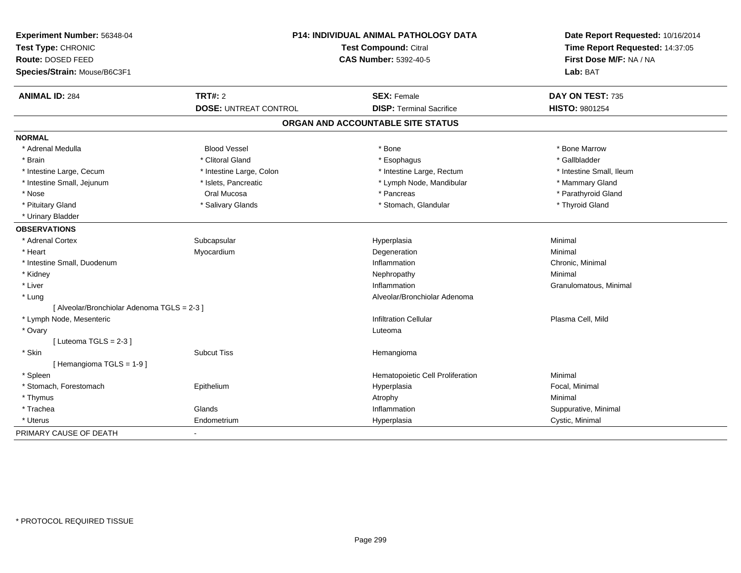| Experiment Number: 56348-04<br>Test Type: CHRONIC<br>Route: DOSED FEED<br>Species/Strain: Mouse/B6C3F1 | P14: INDIVIDUAL ANIMAL PATHOLOGY DATA<br><b>Test Compound: Citral</b><br><b>CAS Number: 5392-40-5</b> |                                   | Date Report Requested: 10/16/2014<br>Time Report Requested: 14:37:05<br>First Dose M/F: NA / NA<br>Lab: BAT |  |
|--------------------------------------------------------------------------------------------------------|-------------------------------------------------------------------------------------------------------|-----------------------------------|-------------------------------------------------------------------------------------------------------------|--|
|                                                                                                        |                                                                                                       |                                   |                                                                                                             |  |
| <b>ANIMAL ID: 284</b>                                                                                  | TRT#: 2                                                                                               | <b>SEX: Female</b>                | DAY ON TEST: 735                                                                                            |  |
|                                                                                                        | <b>DOSE: UNTREAT CONTROL</b>                                                                          | <b>DISP: Terminal Sacrifice</b>   | HISTO: 9801254                                                                                              |  |
|                                                                                                        |                                                                                                       | ORGAN AND ACCOUNTABLE SITE STATUS |                                                                                                             |  |
| <b>NORMAL</b>                                                                                          |                                                                                                       |                                   |                                                                                                             |  |
| * Adrenal Medulla                                                                                      | <b>Blood Vessel</b>                                                                                   | * Bone                            | * Bone Marrow                                                                                               |  |
| * Brain                                                                                                | * Clitoral Gland                                                                                      | * Esophagus                       | * Gallbladder                                                                                               |  |
| * Intestine Large, Cecum                                                                               | * Intestine Large, Colon                                                                              | * Intestine Large, Rectum         | * Intestine Small, Ileum                                                                                    |  |
| * Intestine Small, Jejunum                                                                             | * Islets, Pancreatic                                                                                  | * Lymph Node, Mandibular          | * Mammary Gland                                                                                             |  |
| * Nose                                                                                                 | Oral Mucosa                                                                                           | * Pancreas                        | * Parathyroid Gland                                                                                         |  |
| * Pituitary Gland                                                                                      | * Salivary Glands                                                                                     | * Stomach, Glandular              | * Thyroid Gland                                                                                             |  |
| * Urinary Bladder                                                                                      |                                                                                                       |                                   |                                                                                                             |  |
| <b>OBSERVATIONS</b>                                                                                    |                                                                                                       |                                   |                                                                                                             |  |
| * Adrenal Cortex                                                                                       | Subcapsular                                                                                           | Hyperplasia                       | Minimal                                                                                                     |  |
| * Heart                                                                                                | Myocardium                                                                                            | Degeneration                      | Minimal                                                                                                     |  |
| * Intestine Small, Duodenum                                                                            |                                                                                                       | Inflammation                      | Chronic, Minimal                                                                                            |  |
| * Kidney                                                                                               |                                                                                                       | Nephropathy                       | Minimal                                                                                                     |  |
| * Liver                                                                                                |                                                                                                       | Inflammation                      | Granulomatous, Minimal                                                                                      |  |
| * Lung                                                                                                 |                                                                                                       | Alveolar/Bronchiolar Adenoma      |                                                                                                             |  |
| [ Alveolar/Bronchiolar Adenoma TGLS = 2-3 ]                                                            |                                                                                                       |                                   |                                                                                                             |  |
| * Lymph Node, Mesenteric                                                                               |                                                                                                       | <b>Infiltration Cellular</b>      | Plasma Cell, Mild                                                                                           |  |
| * Ovary                                                                                                |                                                                                                       | Luteoma                           |                                                                                                             |  |
| [Luteoma TGLS = $2-3$ ]                                                                                |                                                                                                       |                                   |                                                                                                             |  |
| * Skin                                                                                                 | <b>Subcut Tiss</b>                                                                                    | Hemangioma                        |                                                                                                             |  |
| [Hemangioma TGLS = 1-9]                                                                                |                                                                                                       |                                   |                                                                                                             |  |
| * Spleen                                                                                               |                                                                                                       | Hematopoietic Cell Proliferation  | Minimal                                                                                                     |  |
| * Stomach, Forestomach                                                                                 | Epithelium                                                                                            | Hyperplasia                       | Focal, Minimal                                                                                              |  |
| * Thymus                                                                                               |                                                                                                       | Atrophy                           | Minimal                                                                                                     |  |
| * Trachea                                                                                              | Glands                                                                                                | Inflammation                      | Suppurative, Minimal                                                                                        |  |
| * Uterus                                                                                               | Endometrium                                                                                           | Hyperplasia                       | Cystic, Minimal                                                                                             |  |
| PRIMARY CAUSE OF DEATH                                                                                 | $\blacksquare$                                                                                        |                                   |                                                                                                             |  |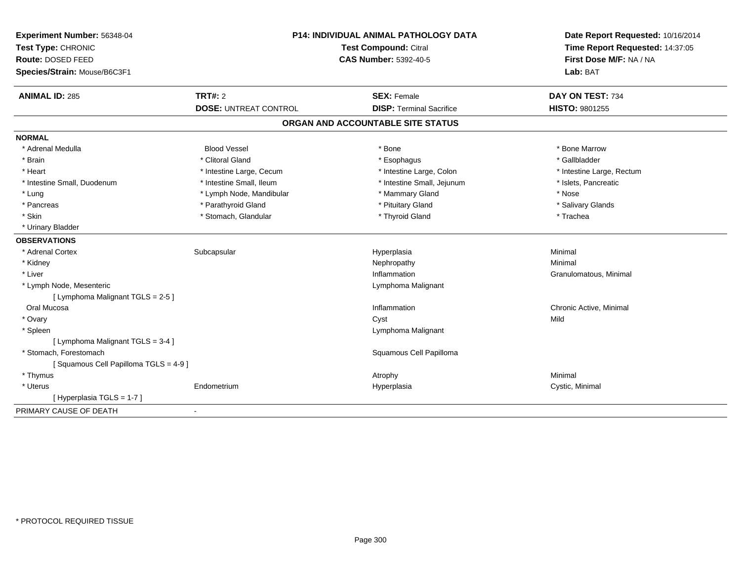| Experiment Number: 56348-04<br>Test Type: CHRONIC<br>Route: DOSED FEED<br>Species/Strain: Mouse/B6C3F1 | P14: INDIVIDUAL ANIMAL PATHOLOGY DATA<br><b>Test Compound: Citral</b><br><b>CAS Number: 5392-40-5</b> |                                   | Date Report Requested: 10/16/2014<br>Time Report Requested: 14:37:05<br>First Dose M/F: NA / NA<br>Lab: BAT |
|--------------------------------------------------------------------------------------------------------|-------------------------------------------------------------------------------------------------------|-----------------------------------|-------------------------------------------------------------------------------------------------------------|
| <b>ANIMAL ID: 285</b>                                                                                  | <b>TRT#: 2</b>                                                                                        | <b>SEX: Female</b>                | DAY ON TEST: 734                                                                                            |
|                                                                                                        | <b>DOSE: UNTREAT CONTROL</b>                                                                          | <b>DISP: Terminal Sacrifice</b>   | HISTO: 9801255                                                                                              |
|                                                                                                        |                                                                                                       | ORGAN AND ACCOUNTABLE SITE STATUS |                                                                                                             |
| <b>NORMAL</b>                                                                                          |                                                                                                       |                                   |                                                                                                             |
| * Adrenal Medulla                                                                                      | <b>Blood Vessel</b>                                                                                   | * Bone                            | * Bone Marrow                                                                                               |
| * Brain                                                                                                | * Clitoral Gland                                                                                      | * Esophagus                       | * Gallbladder                                                                                               |
| * Heart                                                                                                | * Intestine Large, Cecum                                                                              | * Intestine Large, Colon          | * Intestine Large, Rectum                                                                                   |
| * Intestine Small, Duodenum                                                                            | * Intestine Small, Ileum                                                                              | * Intestine Small, Jejunum        | * Islets, Pancreatic                                                                                        |
| * Lung                                                                                                 | * Lymph Node, Mandibular                                                                              | * Mammary Gland                   | * Nose                                                                                                      |
| * Pancreas                                                                                             | * Parathyroid Gland                                                                                   | * Pituitary Gland                 | * Salivary Glands                                                                                           |
| * Skin                                                                                                 | * Stomach, Glandular                                                                                  | * Thyroid Gland                   | * Trachea                                                                                                   |
| * Urinary Bladder                                                                                      |                                                                                                       |                                   |                                                                                                             |
| <b>OBSERVATIONS</b>                                                                                    |                                                                                                       |                                   |                                                                                                             |
| * Adrenal Cortex                                                                                       | Subcapsular                                                                                           | Hyperplasia                       | Minimal                                                                                                     |
| * Kidney                                                                                               |                                                                                                       | Nephropathy                       | Minimal                                                                                                     |
| * Liver                                                                                                |                                                                                                       | Inflammation                      | Granulomatous, Minimal                                                                                      |
| * Lymph Node, Mesenteric                                                                               |                                                                                                       | Lymphoma Malignant                |                                                                                                             |
| [ Lymphoma Malignant TGLS = 2-5 ]                                                                      |                                                                                                       |                                   |                                                                                                             |
| Oral Mucosa                                                                                            |                                                                                                       | Inflammation                      | Chronic Active, Minimal                                                                                     |
| * Ovary                                                                                                |                                                                                                       | Cyst                              | Mild                                                                                                        |
| * Spleen                                                                                               |                                                                                                       | Lymphoma Malignant                |                                                                                                             |
| [ Lymphoma Malignant TGLS = 3-4 ]                                                                      |                                                                                                       |                                   |                                                                                                             |
| * Stomach, Forestomach                                                                                 |                                                                                                       | Squamous Cell Papilloma           |                                                                                                             |
| [Squamous Cell Papilloma TGLS = 4-9]                                                                   |                                                                                                       |                                   |                                                                                                             |
| * Thymus                                                                                               |                                                                                                       | Atrophy                           | Minimal                                                                                                     |
| * Uterus                                                                                               | Endometrium                                                                                           | Hyperplasia                       | Cystic, Minimal                                                                                             |
| [ Hyperplasia TGLS = 1-7 ]                                                                             |                                                                                                       |                                   |                                                                                                             |
| PRIMARY CAUSE OF DEATH                                                                                 | $\blacksquare$                                                                                        |                                   |                                                                                                             |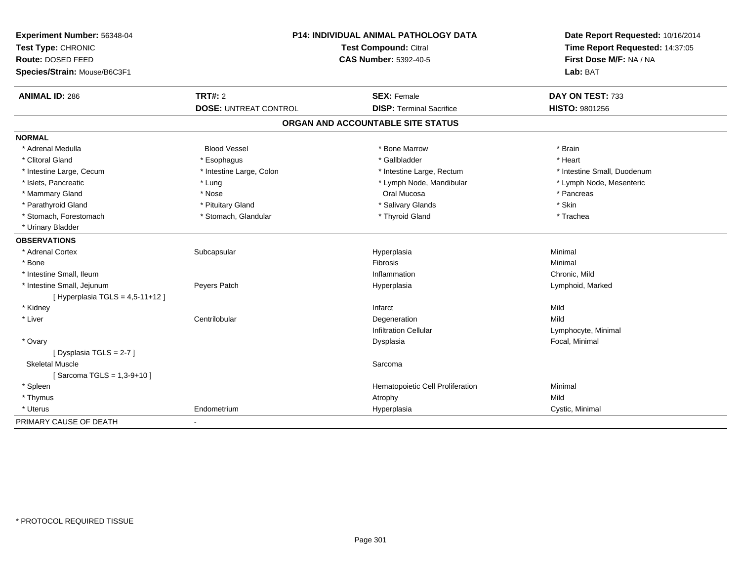| Experiment Number: 56348-04       | P14: INDIVIDUAL ANIMAL PATHOLOGY DATA<br>Test Compound: Citral<br><b>CAS Number: 5392-40-5</b> |                                   | Date Report Requested: 10/16/2014 |  |
|-----------------------------------|------------------------------------------------------------------------------------------------|-----------------------------------|-----------------------------------|--|
| Test Type: CHRONIC                |                                                                                                |                                   | Time Report Requested: 14:37:05   |  |
| Route: DOSED FEED                 |                                                                                                |                                   | First Dose M/F: NA / NA           |  |
| Species/Strain: Mouse/B6C3F1      |                                                                                                |                                   | Lab: BAT                          |  |
| <b>ANIMAL ID: 286</b>             | <b>TRT#: 2</b>                                                                                 | <b>SEX: Female</b>                | DAY ON TEST: 733                  |  |
|                                   | <b>DOSE: UNTREAT CONTROL</b>                                                                   | <b>DISP: Terminal Sacrifice</b>   | HISTO: 9801256                    |  |
|                                   |                                                                                                | ORGAN AND ACCOUNTABLE SITE STATUS |                                   |  |
| <b>NORMAL</b>                     |                                                                                                |                                   |                                   |  |
| * Adrenal Medulla                 | <b>Blood Vessel</b>                                                                            | * Bone Marrow                     | * Brain                           |  |
| * Clitoral Gland                  | * Esophagus                                                                                    | * Gallbladder                     | * Heart                           |  |
| * Intestine Large, Cecum          | * Intestine Large, Colon                                                                       | * Intestine Large, Rectum         | * Intestine Small, Duodenum       |  |
| * Islets, Pancreatic              | * Lung                                                                                         | * Lymph Node, Mandibular          | * Lymph Node, Mesenteric          |  |
| * Mammary Gland                   | * Nose                                                                                         | Oral Mucosa                       | * Pancreas                        |  |
| * Parathyroid Gland               | * Pituitary Gland                                                                              | * Salivary Glands                 | * Skin                            |  |
| * Stomach, Forestomach            | * Stomach, Glandular                                                                           | * Thyroid Gland                   | * Trachea                         |  |
| * Urinary Bladder                 |                                                                                                |                                   |                                   |  |
| <b>OBSERVATIONS</b>               |                                                                                                |                                   |                                   |  |
| * Adrenal Cortex                  | Subcapsular                                                                                    | Hyperplasia                       | Minimal                           |  |
| * Bone                            |                                                                                                | <b>Fibrosis</b>                   | Minimal                           |  |
| * Intestine Small, Ileum          |                                                                                                | Inflammation                      | Chronic, Mild                     |  |
| * Intestine Small, Jejunum        | Peyers Patch                                                                                   | Hyperplasia                       | Lymphoid, Marked                  |  |
| [Hyperplasia TGLS = $4,5-11+12$ ] |                                                                                                |                                   |                                   |  |
| * Kidney                          |                                                                                                | Infarct                           | Mild                              |  |
| * Liver                           | Centrilobular                                                                                  | Degeneration                      | Mild                              |  |
|                                   |                                                                                                | <b>Infiltration Cellular</b>      | Lymphocyte, Minimal               |  |
| * Ovary                           |                                                                                                | Dysplasia                         | Focal, Minimal                    |  |
| [Dysplasia TGLS = 2-7]            |                                                                                                |                                   |                                   |  |
| <b>Skeletal Muscle</b>            |                                                                                                | Sarcoma                           |                                   |  |
| [Sarcoma TGLS = 1,3-9+10]         |                                                                                                |                                   |                                   |  |
| * Spleen                          |                                                                                                | Hematopoietic Cell Proliferation  | Minimal                           |  |
| * Thymus                          |                                                                                                | Atrophy                           | Mild                              |  |
| * Uterus                          | Endometrium                                                                                    | Hyperplasia                       | Cystic, Minimal                   |  |
| PRIMARY CAUSE OF DEATH            | $\overline{\phantom{a}}$                                                                       |                                   |                                   |  |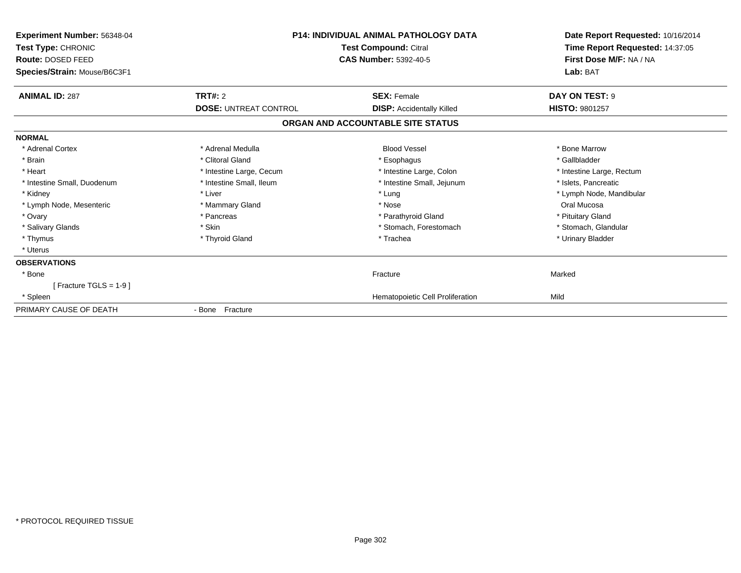| <b>Experiment Number: 56348-04</b><br>Test Type: CHRONIC<br><b>Route: DOSED FEED</b><br>Species/Strain: Mouse/B6C3F1 | P14: INDIVIDUAL ANIMAL PATHOLOGY DATA<br><b>Test Compound: Citral</b><br><b>CAS Number: 5392-40-5</b> |                                   | Date Report Requested: 10/16/2014<br>Time Report Requested: 14:37:05<br>First Dose M/F: NA / NA<br>Lab: BAT |
|----------------------------------------------------------------------------------------------------------------------|-------------------------------------------------------------------------------------------------------|-----------------------------------|-------------------------------------------------------------------------------------------------------------|
| <b>ANIMAL ID: 287</b>                                                                                                | <b>TRT#: 2</b>                                                                                        | <b>SEX: Female</b>                | DAY ON TEST: 9                                                                                              |
|                                                                                                                      | <b>DOSE: UNTREAT CONTROL</b>                                                                          | <b>DISP:</b> Accidentally Killed  | <b>HISTO: 9801257</b>                                                                                       |
|                                                                                                                      |                                                                                                       | ORGAN AND ACCOUNTABLE SITE STATUS |                                                                                                             |
| <b>NORMAL</b>                                                                                                        |                                                                                                       |                                   |                                                                                                             |
| * Adrenal Cortex                                                                                                     | * Adrenal Medulla                                                                                     | <b>Blood Vessel</b>               | * Bone Marrow                                                                                               |
| * Brain                                                                                                              | * Clitoral Gland                                                                                      | * Esophagus                       | * Gallbladder                                                                                               |
| * Heart                                                                                                              | * Intestine Large, Cecum                                                                              | * Intestine Large, Colon          | * Intestine Large, Rectum                                                                                   |
| * Intestine Small, Duodenum                                                                                          | * Intestine Small. Ileum                                                                              | * Intestine Small, Jejunum        | * Islets. Pancreatic                                                                                        |
| * Kidney                                                                                                             | * Liver                                                                                               | * Lung                            | * Lymph Node, Mandibular                                                                                    |
| * Lymph Node, Mesenteric                                                                                             | * Mammary Gland                                                                                       | * Nose                            | Oral Mucosa                                                                                                 |
| * Ovary                                                                                                              | * Pancreas                                                                                            | * Parathyroid Gland               | * Pituitary Gland                                                                                           |
| * Salivary Glands                                                                                                    | * Skin                                                                                                | * Stomach, Forestomach            | * Stomach, Glandular                                                                                        |
| * Thymus                                                                                                             | * Thyroid Gland                                                                                       | * Trachea                         | * Urinary Bladder                                                                                           |
| * Uterus                                                                                                             |                                                                                                       |                                   |                                                                                                             |
| <b>OBSERVATIONS</b>                                                                                                  |                                                                                                       |                                   |                                                                                                             |
| * Bone                                                                                                               |                                                                                                       | Fracture                          | Marked                                                                                                      |
| [Fracture TGLS = $1-9$ ]                                                                                             |                                                                                                       |                                   |                                                                                                             |
| * Spleen                                                                                                             |                                                                                                       | Hematopoietic Cell Proliferation  | Mild                                                                                                        |
| PRIMARY CAUSE OF DEATH                                                                                               | - Bone Fracture                                                                                       |                                   |                                                                                                             |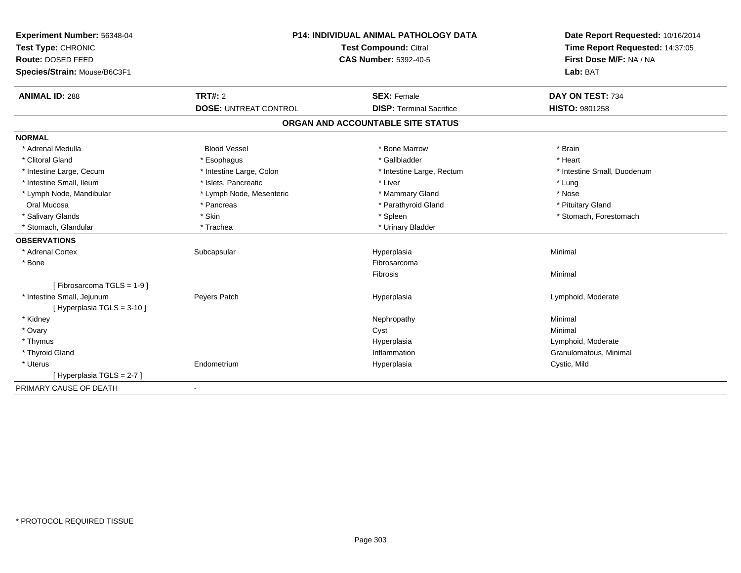| Route: DOSED FEED<br><b>CAS Number: 5392-40-5</b><br>First Dose M/F: NA / NA<br>Species/Strain: Mouse/B6C3F1<br>Lab: BAT<br>TRT#: 2<br><b>ANIMAL ID: 288</b><br><b>SEX: Female</b><br>DAY ON TEST: 734<br><b>DOSE: UNTREAT CONTROL</b><br><b>DISP: Terminal Sacrifice</b><br><b>HISTO: 9801258</b><br>ORGAN AND ACCOUNTABLE SITE STATUS<br><b>Blood Vessel</b><br>* Bone Marrow<br>* Adrenal Medulla<br>* Brain<br>* Heart<br>* Clitoral Gland<br>* Gallbladder<br>* Esophagus<br>* Intestine Large, Cecum<br>* Intestine Large, Colon<br>* Intestine Small, Duodenum<br>* Intestine Large, Rectum<br>* Intestine Small, Ileum<br>* Islets, Pancreatic<br>* Liver<br>* Lung<br>* Nose<br>* Lymph Node, Mandibular<br>* Lymph Node, Mesenteric<br>* Mammary Gland<br>* Parathyroid Gland<br>Oral Mucosa<br>* Pancreas<br>* Pituitary Gland<br>* Salivary Glands<br>* Skin<br>* Spleen<br>* Stomach, Forestomach<br>* Stomach, Glandular<br>* Urinary Bladder<br>* Trachea<br>* Adrenal Cortex<br>Subcapsular<br>Hyperplasia<br>Minimal<br>* Bone<br>Fibrosarcoma<br>Minimal<br><b>Fibrosis</b><br>[Fibrosarcoma TGLS = 1-9]<br>* Intestine Small, Jejunum<br>Peyers Patch<br>Lymphoid, Moderate<br>Hyperplasia<br>[ Hyperplasia TGLS = 3-10 ]<br>* Kidney<br>Minimal<br>Nephropathy<br>* Ovary<br>Minimal<br>Cyst<br>Lymphoid, Moderate<br>* Thymus<br>Hyperplasia<br>* Thyroid Gland<br>Inflammation<br>Granulomatous, Minimal<br>* Uterus<br>Endometrium<br>Cystic, Mild<br>Hyperplasia<br>[Hyperplasia TGLS = 2-7] | Experiment Number: 56348-04 | <b>P14: INDIVIDUAL ANIMAL PATHOLOGY DATA</b><br><b>Test Compound: Citral</b> |  | Date Report Requested: 10/16/2014 |
|----------------------------------------------------------------------------------------------------------------------------------------------------------------------------------------------------------------------------------------------------------------------------------------------------------------------------------------------------------------------------------------------------------------------------------------------------------------------------------------------------------------------------------------------------------------------------------------------------------------------------------------------------------------------------------------------------------------------------------------------------------------------------------------------------------------------------------------------------------------------------------------------------------------------------------------------------------------------------------------------------------------------------------------------------------------------------------------------------------------------------------------------------------------------------------------------------------------------------------------------------------------------------------------------------------------------------------------------------------------------------------------------------------------------------------------------------------------------------------------------------------------------|-----------------------------|------------------------------------------------------------------------------|--|-----------------------------------|
|                                                                                                                                                                                                                                                                                                                                                                                                                                                                                                                                                                                                                                                                                                                                                                                                                                                                                                                                                                                                                                                                                                                                                                                                                                                                                                                                                                                                                                                                                                                      | Test Type: CHRONIC          |                                                                              |  | Time Report Requested: 14:37:05   |
|                                                                                                                                                                                                                                                                                                                                                                                                                                                                                                                                                                                                                                                                                                                                                                                                                                                                                                                                                                                                                                                                                                                                                                                                                                                                                                                                                                                                                                                                                                                      |                             |                                                                              |  |                                   |
|                                                                                                                                                                                                                                                                                                                                                                                                                                                                                                                                                                                                                                                                                                                                                                                                                                                                                                                                                                                                                                                                                                                                                                                                                                                                                                                                                                                                                                                                                                                      |                             |                                                                              |  |                                   |
|                                                                                                                                                                                                                                                                                                                                                                                                                                                                                                                                                                                                                                                                                                                                                                                                                                                                                                                                                                                                                                                                                                                                                                                                                                                                                                                                                                                                                                                                                                                      |                             |                                                                              |  |                                   |
|                                                                                                                                                                                                                                                                                                                                                                                                                                                                                                                                                                                                                                                                                                                                                                                                                                                                                                                                                                                                                                                                                                                                                                                                                                                                                                                                                                                                                                                                                                                      |                             |                                                                              |  |                                   |
|                                                                                                                                                                                                                                                                                                                                                                                                                                                                                                                                                                                                                                                                                                                                                                                                                                                                                                                                                                                                                                                                                                                                                                                                                                                                                                                                                                                                                                                                                                                      |                             |                                                                              |  |                                   |
|                                                                                                                                                                                                                                                                                                                                                                                                                                                                                                                                                                                                                                                                                                                                                                                                                                                                                                                                                                                                                                                                                                                                                                                                                                                                                                                                                                                                                                                                                                                      | <b>NORMAL</b>               |                                                                              |  |                                   |
|                                                                                                                                                                                                                                                                                                                                                                                                                                                                                                                                                                                                                                                                                                                                                                                                                                                                                                                                                                                                                                                                                                                                                                                                                                                                                                                                                                                                                                                                                                                      |                             |                                                                              |  |                                   |
|                                                                                                                                                                                                                                                                                                                                                                                                                                                                                                                                                                                                                                                                                                                                                                                                                                                                                                                                                                                                                                                                                                                                                                                                                                                                                                                                                                                                                                                                                                                      |                             |                                                                              |  |                                   |
|                                                                                                                                                                                                                                                                                                                                                                                                                                                                                                                                                                                                                                                                                                                                                                                                                                                                                                                                                                                                                                                                                                                                                                                                                                                                                                                                                                                                                                                                                                                      |                             |                                                                              |  |                                   |
|                                                                                                                                                                                                                                                                                                                                                                                                                                                                                                                                                                                                                                                                                                                                                                                                                                                                                                                                                                                                                                                                                                                                                                                                                                                                                                                                                                                                                                                                                                                      |                             |                                                                              |  |                                   |
|                                                                                                                                                                                                                                                                                                                                                                                                                                                                                                                                                                                                                                                                                                                                                                                                                                                                                                                                                                                                                                                                                                                                                                                                                                                                                                                                                                                                                                                                                                                      |                             |                                                                              |  |                                   |
|                                                                                                                                                                                                                                                                                                                                                                                                                                                                                                                                                                                                                                                                                                                                                                                                                                                                                                                                                                                                                                                                                                                                                                                                                                                                                                                                                                                                                                                                                                                      |                             |                                                                              |  |                                   |
|                                                                                                                                                                                                                                                                                                                                                                                                                                                                                                                                                                                                                                                                                                                                                                                                                                                                                                                                                                                                                                                                                                                                                                                                                                                                                                                                                                                                                                                                                                                      |                             |                                                                              |  |                                   |
|                                                                                                                                                                                                                                                                                                                                                                                                                                                                                                                                                                                                                                                                                                                                                                                                                                                                                                                                                                                                                                                                                                                                                                                                                                                                                                                                                                                                                                                                                                                      |                             |                                                                              |  |                                   |
|                                                                                                                                                                                                                                                                                                                                                                                                                                                                                                                                                                                                                                                                                                                                                                                                                                                                                                                                                                                                                                                                                                                                                                                                                                                                                                                                                                                                                                                                                                                      | <b>OBSERVATIONS</b>         |                                                                              |  |                                   |
|                                                                                                                                                                                                                                                                                                                                                                                                                                                                                                                                                                                                                                                                                                                                                                                                                                                                                                                                                                                                                                                                                                                                                                                                                                                                                                                                                                                                                                                                                                                      |                             |                                                                              |  |                                   |
|                                                                                                                                                                                                                                                                                                                                                                                                                                                                                                                                                                                                                                                                                                                                                                                                                                                                                                                                                                                                                                                                                                                                                                                                                                                                                                                                                                                                                                                                                                                      |                             |                                                                              |  |                                   |
|                                                                                                                                                                                                                                                                                                                                                                                                                                                                                                                                                                                                                                                                                                                                                                                                                                                                                                                                                                                                                                                                                                                                                                                                                                                                                                                                                                                                                                                                                                                      |                             |                                                                              |  |                                   |
|                                                                                                                                                                                                                                                                                                                                                                                                                                                                                                                                                                                                                                                                                                                                                                                                                                                                                                                                                                                                                                                                                                                                                                                                                                                                                                                                                                                                                                                                                                                      |                             |                                                                              |  |                                   |
|                                                                                                                                                                                                                                                                                                                                                                                                                                                                                                                                                                                                                                                                                                                                                                                                                                                                                                                                                                                                                                                                                                                                                                                                                                                                                                                                                                                                                                                                                                                      |                             |                                                                              |  |                                   |
|                                                                                                                                                                                                                                                                                                                                                                                                                                                                                                                                                                                                                                                                                                                                                                                                                                                                                                                                                                                                                                                                                                                                                                                                                                                                                                                                                                                                                                                                                                                      |                             |                                                                              |  |                                   |
|                                                                                                                                                                                                                                                                                                                                                                                                                                                                                                                                                                                                                                                                                                                                                                                                                                                                                                                                                                                                                                                                                                                                                                                                                                                                                                                                                                                                                                                                                                                      |                             |                                                                              |  |                                   |
|                                                                                                                                                                                                                                                                                                                                                                                                                                                                                                                                                                                                                                                                                                                                                                                                                                                                                                                                                                                                                                                                                                                                                                                                                                                                                                                                                                                                                                                                                                                      |                             |                                                                              |  |                                   |
|                                                                                                                                                                                                                                                                                                                                                                                                                                                                                                                                                                                                                                                                                                                                                                                                                                                                                                                                                                                                                                                                                                                                                                                                                                                                                                                                                                                                                                                                                                                      |                             |                                                                              |  |                                   |
|                                                                                                                                                                                                                                                                                                                                                                                                                                                                                                                                                                                                                                                                                                                                                                                                                                                                                                                                                                                                                                                                                                                                                                                                                                                                                                                                                                                                                                                                                                                      |                             |                                                                              |  |                                   |
|                                                                                                                                                                                                                                                                                                                                                                                                                                                                                                                                                                                                                                                                                                                                                                                                                                                                                                                                                                                                                                                                                                                                                                                                                                                                                                                                                                                                                                                                                                                      |                             |                                                                              |  |                                   |
|                                                                                                                                                                                                                                                                                                                                                                                                                                                                                                                                                                                                                                                                                                                                                                                                                                                                                                                                                                                                                                                                                                                                                                                                                                                                                                                                                                                                                                                                                                                      | PRIMARY CAUSE OF DEATH      |                                                                              |  |                                   |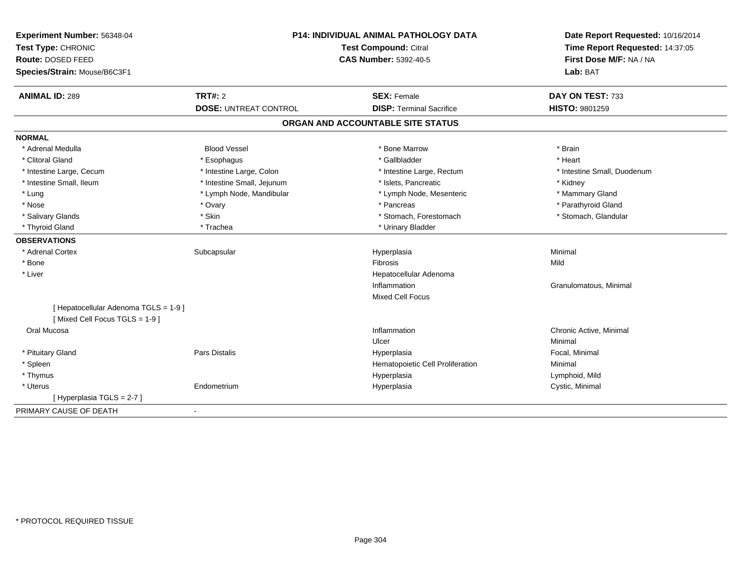| Experiment Number: 56348-04<br>Test Type: CHRONIC<br><b>Route: DOSED FEED</b><br>Species/Strain: Mouse/B6C3F1 |                              | P14: INDIVIDUAL ANIMAL PATHOLOGY DATA<br><b>Test Compound: Citral</b><br><b>CAS Number: 5392-40-5</b> | Date Report Requested: 10/16/2014<br>Time Report Requested: 14:37:05<br>First Dose M/F: NA / NA<br>Lab: BAT |
|---------------------------------------------------------------------------------------------------------------|------------------------------|-------------------------------------------------------------------------------------------------------|-------------------------------------------------------------------------------------------------------------|
| <b>ANIMAL ID: 289</b>                                                                                         | <b>TRT#: 2</b>               | <b>SEX: Female</b><br><b>DISP: Terminal Sacrifice</b>                                                 | DAY ON TEST: 733<br>HISTO: 9801259                                                                          |
|                                                                                                               | <b>DOSE: UNTREAT CONTROL</b> |                                                                                                       |                                                                                                             |
|                                                                                                               |                              | ORGAN AND ACCOUNTABLE SITE STATUS                                                                     |                                                                                                             |
| <b>NORMAL</b>                                                                                                 |                              |                                                                                                       |                                                                                                             |
| * Adrenal Medulla                                                                                             | <b>Blood Vessel</b>          | * Bone Marrow                                                                                         | * Brain                                                                                                     |
| * Clitoral Gland                                                                                              | * Esophagus                  | * Gallbladder                                                                                         | * Heart                                                                                                     |
| * Intestine Large, Cecum                                                                                      | * Intestine Large, Colon     | * Intestine Large, Rectum                                                                             | * Intestine Small, Duodenum                                                                                 |
| * Intestine Small, Ileum                                                                                      | * Intestine Small, Jejunum   | * Islets, Pancreatic                                                                                  | * Kidney                                                                                                    |
| * Lung                                                                                                        | * Lymph Node, Mandibular     | * Lymph Node, Mesenteric                                                                              | * Mammary Gland                                                                                             |
| * Nose                                                                                                        | * Ovary                      | * Pancreas                                                                                            | * Parathyroid Gland                                                                                         |
| * Salivary Glands                                                                                             | * Skin                       | * Stomach, Forestomach                                                                                | * Stomach, Glandular                                                                                        |
| * Thyroid Gland                                                                                               | * Trachea                    | * Urinary Bladder                                                                                     |                                                                                                             |
| <b>OBSERVATIONS</b>                                                                                           |                              |                                                                                                       |                                                                                                             |
| * Adrenal Cortex                                                                                              | Subcapsular                  | Hyperplasia                                                                                           | Minimal                                                                                                     |
| * Bone                                                                                                        |                              | <b>Fibrosis</b>                                                                                       | Mild                                                                                                        |
| * Liver                                                                                                       |                              | Hepatocellular Adenoma                                                                                |                                                                                                             |
|                                                                                                               |                              | Inflammation                                                                                          | Granulomatous, Minimal                                                                                      |
|                                                                                                               |                              | <b>Mixed Cell Focus</b>                                                                               |                                                                                                             |
| [ Hepatocellular Adenoma TGLS = 1-9 ]                                                                         |                              |                                                                                                       |                                                                                                             |
| [Mixed Cell Focus TGLS = 1-9]                                                                                 |                              |                                                                                                       |                                                                                                             |
| Oral Mucosa                                                                                                   |                              | Inflammation                                                                                          | Chronic Active, Minimal                                                                                     |
|                                                                                                               |                              | Ulcer                                                                                                 | Minimal                                                                                                     |
| * Pituitary Gland                                                                                             | <b>Pars Distalis</b>         | Hyperplasia                                                                                           | Focal, Minimal                                                                                              |
| * Spleen                                                                                                      |                              | Hematopoietic Cell Proliferation                                                                      | Minimal                                                                                                     |
| * Thymus                                                                                                      |                              | Hyperplasia                                                                                           | Lymphoid, Mild                                                                                              |
| * Uterus                                                                                                      | Endometrium                  | Hyperplasia                                                                                           | Cystic, Minimal                                                                                             |
| [ Hyperplasia TGLS = 2-7 ]                                                                                    |                              |                                                                                                       |                                                                                                             |
| PRIMARY CAUSE OF DEATH                                                                                        | $\blacksquare$               |                                                                                                       |                                                                                                             |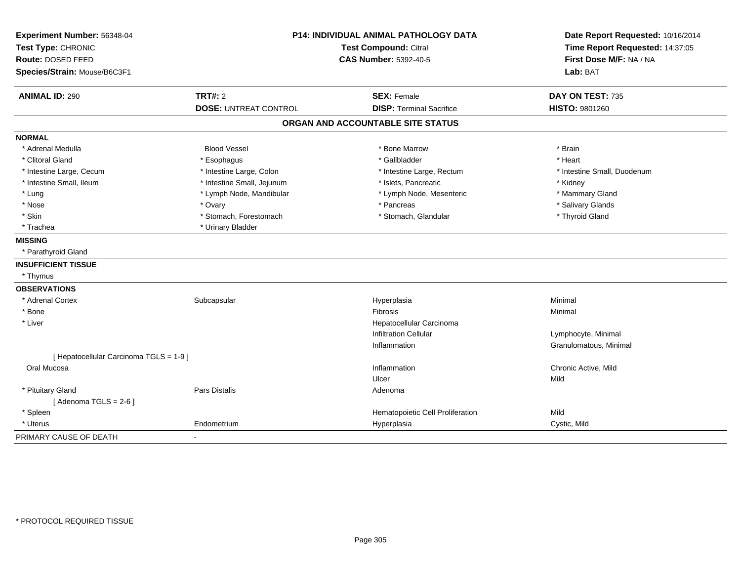| Experiment Number: 56348-04             | <b>P14: INDIVIDUAL ANIMAL PATHOLOGY DATA</b> |                                   | Date Report Requested: 10/16/2014 |
|-----------------------------------------|----------------------------------------------|-----------------------------------|-----------------------------------|
| Test Type: CHRONIC                      |                                              | <b>Test Compound: Citral</b>      | Time Report Requested: 14:37:05   |
| <b>Route: DOSED FEED</b>                |                                              | <b>CAS Number: 5392-40-5</b>      | First Dose M/F: NA / NA           |
| Species/Strain: Mouse/B6C3F1            |                                              |                                   | Lab: BAT                          |
| <b>ANIMAL ID: 290</b>                   | <b>TRT#: 2</b>                               | <b>SEX: Female</b>                | DAY ON TEST: 735                  |
|                                         | <b>DOSE: UNTREAT CONTROL</b>                 | <b>DISP: Terminal Sacrifice</b>   | HISTO: 9801260                    |
|                                         |                                              | ORGAN AND ACCOUNTABLE SITE STATUS |                                   |
| <b>NORMAL</b>                           |                                              |                                   |                                   |
| * Adrenal Medulla                       | <b>Blood Vessel</b>                          | * Bone Marrow                     | * Brain                           |
| * Clitoral Gland                        | * Esophagus                                  | * Gallbladder                     | * Heart                           |
| * Intestine Large, Cecum                | * Intestine Large, Colon                     | * Intestine Large, Rectum         | * Intestine Small, Duodenum       |
| * Intestine Small, Ileum                | * Intestine Small, Jejunum                   | * Islets, Pancreatic              | * Kidney                          |
| * Lung                                  | * Lymph Node, Mandibular                     | * Lymph Node, Mesenteric          | * Mammary Gland                   |
| * Nose                                  | * Ovary                                      | * Pancreas                        | * Salivary Glands                 |
| * Skin                                  | * Stomach, Forestomach                       | * Stomach, Glandular              | * Thyroid Gland                   |
| * Trachea                               | * Urinary Bladder                            |                                   |                                   |
| <b>MISSING</b>                          |                                              |                                   |                                   |
| * Parathyroid Gland                     |                                              |                                   |                                   |
| <b>INSUFFICIENT TISSUE</b>              |                                              |                                   |                                   |
| * Thymus                                |                                              |                                   |                                   |
| <b>OBSERVATIONS</b>                     |                                              |                                   |                                   |
| * Adrenal Cortex                        | Subcapsular                                  | Hyperplasia                       | Minimal                           |
| * Bone                                  |                                              | Fibrosis                          | Minimal                           |
| * Liver                                 |                                              | Hepatocellular Carcinoma          |                                   |
|                                         |                                              | <b>Infiltration Cellular</b>      | Lymphocyte, Minimal               |
|                                         |                                              | Inflammation                      | Granulomatous, Minimal            |
| [ Hepatocellular Carcinoma TGLS = 1-9 ] |                                              |                                   |                                   |
| Oral Mucosa                             |                                              | Inflammation                      | Chronic Active, Mild              |
|                                         |                                              | Ulcer                             | Mild                              |
| * Pituitary Gland                       | <b>Pars Distalis</b>                         | Adenoma                           |                                   |
| [Adenoma TGLS = $2-6$ ]                 |                                              |                                   |                                   |
| * Spleen                                |                                              | Hematopoietic Cell Proliferation  | Mild                              |
| * Uterus                                | Endometrium                                  | Hyperplasia                       | Cystic, Mild                      |
| PRIMARY CAUSE OF DEATH                  | ÷.                                           |                                   |                                   |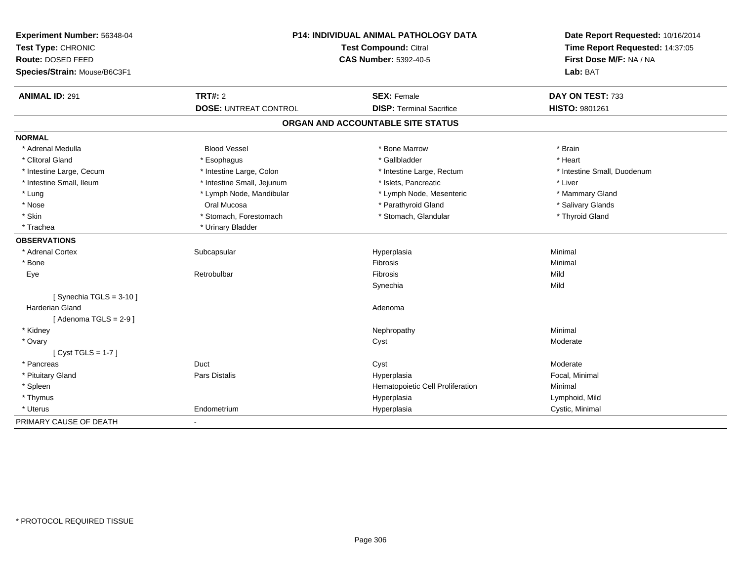| Experiment Number: 56348-04<br>Test Type: CHRONIC |                              | <b>P14: INDIVIDUAL ANIMAL PATHOLOGY DATA</b><br>Test Compound: Citral | Date Report Requested: 10/16/2014<br>Time Report Requested: 14:37:05 |
|---------------------------------------------------|------------------------------|-----------------------------------------------------------------------|----------------------------------------------------------------------|
| Route: DOSED FEED                                 | <b>CAS Number: 5392-40-5</b> |                                                                       | First Dose M/F: NA / NA                                              |
| Species/Strain: Mouse/B6C3F1                      |                              |                                                                       | Lab: BAT                                                             |
| <b>ANIMAL ID: 291</b>                             | <b>TRT#: 2</b>               | <b>SEX: Female</b>                                                    | DAY ON TEST: 733                                                     |
|                                                   | <b>DOSE: UNTREAT CONTROL</b> | <b>DISP: Terminal Sacrifice</b>                                       | HISTO: 9801261                                                       |
|                                                   |                              | ORGAN AND ACCOUNTABLE SITE STATUS                                     |                                                                      |
| <b>NORMAL</b>                                     |                              |                                                                       |                                                                      |
| * Adrenal Medulla                                 | <b>Blood Vessel</b>          | * Bone Marrow                                                         | * Brain                                                              |
| * Clitoral Gland                                  | * Esophagus                  | * Gallbladder                                                         | * Heart                                                              |
| * Intestine Large, Cecum                          | * Intestine Large, Colon     | * Intestine Large, Rectum                                             | * Intestine Small, Duodenum                                          |
| * Intestine Small, Ileum                          | * Intestine Small, Jejunum   | * Islets, Pancreatic                                                  | * Liver                                                              |
| * Lung                                            | * Lymph Node, Mandibular     | * Lymph Node, Mesenteric                                              | * Mammary Gland                                                      |
| * Nose                                            | Oral Mucosa                  | * Parathyroid Gland                                                   | * Salivary Glands                                                    |
| * Skin                                            | * Stomach, Forestomach       | * Stomach, Glandular                                                  | * Thyroid Gland                                                      |
| * Trachea                                         | * Urinary Bladder            |                                                                       |                                                                      |
| <b>OBSERVATIONS</b>                               |                              |                                                                       |                                                                      |
| * Adrenal Cortex                                  | Subcapsular                  | Hyperplasia                                                           | Minimal                                                              |
| * Bone                                            |                              | <b>Fibrosis</b>                                                       | Minimal                                                              |
| Eye                                               | Retrobulbar                  | <b>Fibrosis</b>                                                       | Mild                                                                 |
|                                                   |                              | Synechia                                                              | Mild                                                                 |
| [Synechia TGLS = $3-10$ ]                         |                              |                                                                       |                                                                      |
| <b>Harderian Gland</b>                            |                              | Adenoma                                                               |                                                                      |
| [Adenoma TGLS = $2-9$ ]                           |                              |                                                                       |                                                                      |
| * Kidney                                          |                              | Nephropathy                                                           | Minimal                                                              |
| * Ovary                                           |                              | Cyst                                                                  | Moderate                                                             |
| [ $Cyst TGLS = 1-7$ ]                             |                              |                                                                       |                                                                      |
| * Pancreas                                        | Duct                         | Cyst                                                                  | Moderate                                                             |
| * Pituitary Gland                                 | Pars Distalis                | Hyperplasia                                                           | Focal, Minimal                                                       |
| * Spleen                                          |                              | Hematopoietic Cell Proliferation                                      | Minimal                                                              |
| * Thymus                                          |                              | Hyperplasia                                                           | Lymphoid, Mild                                                       |
| * Uterus                                          | Endometrium                  | Hyperplasia                                                           | Cystic, Minimal                                                      |
| PRIMARY CAUSE OF DEATH                            | $\overline{\phantom{a}}$     |                                                                       |                                                                      |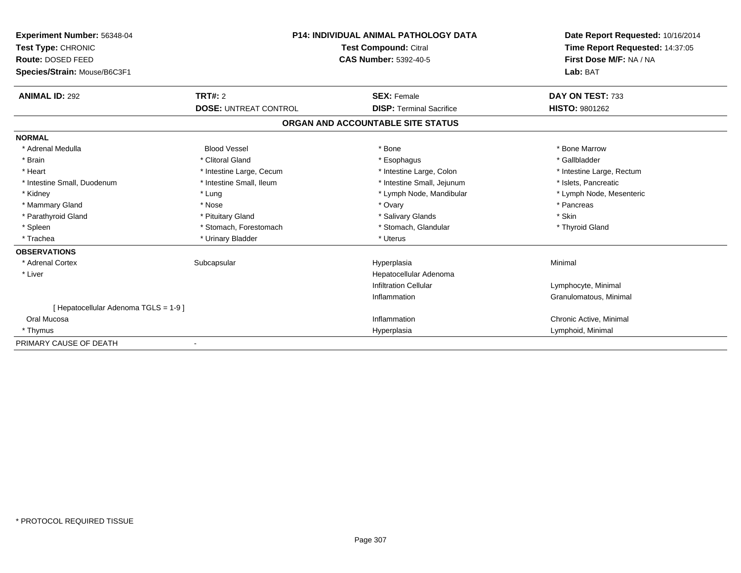| Experiment Number: 56348-04<br>Test Type: CHRONIC | <b>P14: INDIVIDUAL ANIMAL PATHOLOGY DATA</b><br><b>Test Compound: Citral</b> |                                   | Date Report Requested: 10/16/2014<br>Time Report Requested: 14:37:05 |
|---------------------------------------------------|------------------------------------------------------------------------------|-----------------------------------|----------------------------------------------------------------------|
| Route: DOSED FEED                                 |                                                                              | <b>CAS Number: 5392-40-5</b>      | First Dose M/F: NA / NA                                              |
| Species/Strain: Mouse/B6C3F1                      |                                                                              |                                   | Lab: BAT                                                             |
| <b>ANIMAL ID: 292</b>                             | TRT#: 2                                                                      | <b>SEX: Female</b>                | DAY ON TEST: 733                                                     |
|                                                   | <b>DOSE: UNTREAT CONTROL</b>                                                 | <b>DISP: Terminal Sacrifice</b>   | <b>HISTO: 9801262</b>                                                |
|                                                   |                                                                              | ORGAN AND ACCOUNTABLE SITE STATUS |                                                                      |
| <b>NORMAL</b>                                     |                                                                              |                                   |                                                                      |
| * Adrenal Medulla                                 | <b>Blood Vessel</b>                                                          | * Bone                            | * Bone Marrow                                                        |
| * Brain                                           | * Clitoral Gland                                                             | * Esophagus                       | * Gallbladder                                                        |
| * Heart                                           | * Intestine Large, Cecum                                                     | * Intestine Large, Colon          | * Intestine Large, Rectum                                            |
| * Intestine Small, Duodenum                       | * Intestine Small, Ileum                                                     | * Intestine Small, Jejunum        | * Islets, Pancreatic                                                 |
| * Kidney                                          | * Lung                                                                       | * Lymph Node, Mandibular          | * Lymph Node, Mesenteric                                             |
| * Mammary Gland                                   | * Nose                                                                       | * Ovary                           | * Pancreas                                                           |
| * Parathyroid Gland                               | * Pituitary Gland                                                            | * Salivary Glands                 | * Skin                                                               |
| * Spleen                                          | * Stomach, Forestomach                                                       | * Stomach, Glandular              | * Thyroid Gland                                                      |
| * Trachea                                         | * Urinary Bladder                                                            | * Uterus                          |                                                                      |
| <b>OBSERVATIONS</b>                               |                                                                              |                                   |                                                                      |
| * Adrenal Cortex                                  | Subcapsular                                                                  | Hyperplasia                       | Minimal                                                              |
| * Liver                                           |                                                                              | Hepatocellular Adenoma            |                                                                      |
|                                                   |                                                                              | <b>Infiltration Cellular</b>      | Lymphocyte, Minimal                                                  |
|                                                   |                                                                              | Inflammation                      | Granulomatous, Minimal                                               |
| [Hepatocellular Adenoma TGLS = 1-9]               |                                                                              |                                   |                                                                      |
| Oral Mucosa                                       |                                                                              | Inflammation                      | Chronic Active, Minimal                                              |
| * Thymus                                          |                                                                              | Hyperplasia                       | Lymphoid, Minimal                                                    |
| PRIMARY CAUSE OF DEATH                            |                                                                              |                                   |                                                                      |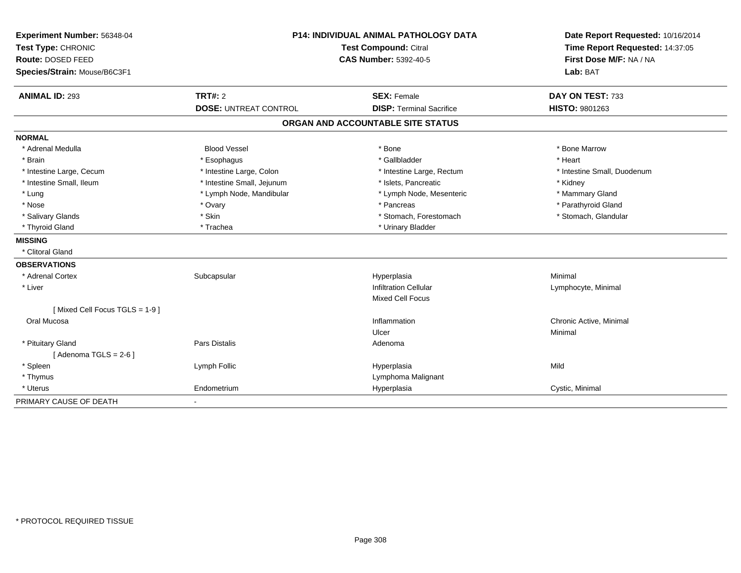| Experiment Number: 56348-04   | <b>P14: INDIVIDUAL ANIMAL PATHOLOGY DATA</b><br><b>Test Compound: Citral</b><br><b>CAS Number: 5392-40-5</b> |                                   | Date Report Requested: 10/16/2014 |
|-------------------------------|--------------------------------------------------------------------------------------------------------------|-----------------------------------|-----------------------------------|
| Test Type: CHRONIC            |                                                                                                              |                                   | Time Report Requested: 14:37:05   |
| <b>Route: DOSED FEED</b>      |                                                                                                              |                                   | First Dose M/F: NA / NA           |
| Species/Strain: Mouse/B6C3F1  |                                                                                                              |                                   | Lab: BAT                          |
| <b>ANIMAL ID: 293</b>         | <b>TRT#: 2</b>                                                                                               | <b>SEX: Female</b>                | DAY ON TEST: 733                  |
|                               | <b>DOSE: UNTREAT CONTROL</b>                                                                                 | <b>DISP: Terminal Sacrifice</b>   | HISTO: 9801263                    |
|                               |                                                                                                              | ORGAN AND ACCOUNTABLE SITE STATUS |                                   |
| <b>NORMAL</b>                 |                                                                                                              |                                   |                                   |
| * Adrenal Medulla             | <b>Blood Vessel</b>                                                                                          | * Bone                            | * Bone Marrow                     |
| * Brain                       | * Esophagus                                                                                                  | * Gallbladder                     | * Heart                           |
| * Intestine Large, Cecum      | * Intestine Large, Colon                                                                                     | * Intestine Large, Rectum         | * Intestine Small, Duodenum       |
| * Intestine Small, Ileum      | * Intestine Small, Jejunum                                                                                   | * Islets, Pancreatic              | * Kidney                          |
| * Lung                        | * Lymph Node, Mandibular                                                                                     | * Lymph Node, Mesenteric          | * Mammary Gland                   |
| * Nose                        | * Ovary                                                                                                      | * Pancreas                        | * Parathyroid Gland               |
| * Salivary Glands             | * Skin                                                                                                       | * Stomach, Forestomach            | * Stomach, Glandular              |
| * Thyroid Gland               | * Trachea                                                                                                    | * Urinary Bladder                 |                                   |
| <b>MISSING</b>                |                                                                                                              |                                   |                                   |
| * Clitoral Gland              |                                                                                                              |                                   |                                   |
| <b>OBSERVATIONS</b>           |                                                                                                              |                                   |                                   |
| * Adrenal Cortex              | Subcapsular                                                                                                  | Hyperplasia                       | Minimal                           |
| * Liver                       |                                                                                                              | <b>Infiltration Cellular</b>      | Lymphocyte, Minimal               |
|                               |                                                                                                              | <b>Mixed Cell Focus</b>           |                                   |
| [Mixed Cell Focus TGLS = 1-9] |                                                                                                              |                                   |                                   |
| Oral Mucosa                   |                                                                                                              | Inflammation                      | Chronic Active, Minimal           |
|                               |                                                                                                              | Ulcer                             | Minimal                           |
| * Pituitary Gland             | <b>Pars Distalis</b>                                                                                         | Adenoma                           |                                   |
| [Adenoma TGLS = $2-6$ ]       |                                                                                                              |                                   |                                   |
| * Spleen                      | Lymph Follic                                                                                                 | Hyperplasia                       | Mild                              |
| * Thymus                      |                                                                                                              | Lymphoma Malignant                |                                   |
| * Uterus                      | Endometrium                                                                                                  | Hyperplasia                       | Cystic, Minimal                   |
| PRIMARY CAUSE OF DEATH        |                                                                                                              |                                   |                                   |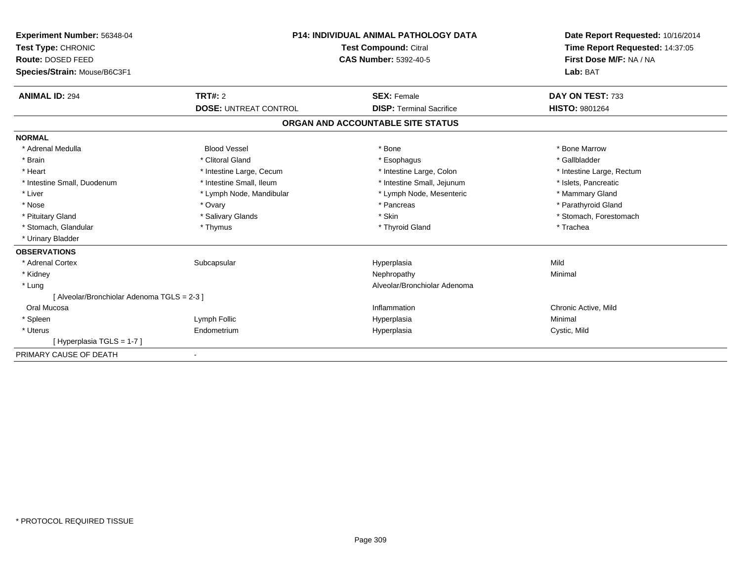| Experiment Number: 56348-04<br>Test Type: CHRONIC | <b>P14: INDIVIDUAL ANIMAL PATHOLOGY DATA</b><br><b>Test Compound: Citral</b> |                                   | Date Report Requested: 10/16/2014<br>Time Report Requested: 14:37:05 |
|---------------------------------------------------|------------------------------------------------------------------------------|-----------------------------------|----------------------------------------------------------------------|
| Route: DOSED FEED                                 |                                                                              | <b>CAS Number: 5392-40-5</b>      | First Dose M/F: NA / NA                                              |
| Species/Strain: Mouse/B6C3F1                      |                                                                              |                                   | Lab: BAT                                                             |
| <b>ANIMAL ID: 294</b>                             | <b>TRT#: 2</b>                                                               | <b>SEX: Female</b>                | DAY ON TEST: 733                                                     |
|                                                   | <b>DOSE: UNTREAT CONTROL</b>                                                 | <b>DISP: Terminal Sacrifice</b>   | <b>HISTO: 9801264</b>                                                |
|                                                   |                                                                              | ORGAN AND ACCOUNTABLE SITE STATUS |                                                                      |
| <b>NORMAL</b>                                     |                                                                              |                                   |                                                                      |
| * Adrenal Medulla                                 | <b>Blood Vessel</b>                                                          | * Bone                            | * Bone Marrow                                                        |
| * Brain                                           | * Clitoral Gland                                                             | * Esophagus                       | * Gallbladder                                                        |
| * Heart                                           | * Intestine Large, Cecum                                                     | * Intestine Large, Colon          | * Intestine Large, Rectum                                            |
| * Intestine Small, Duodenum                       | * Intestine Small, Ileum                                                     | * Intestine Small, Jejunum        | * Islets, Pancreatic                                                 |
| * Liver                                           | * Lymph Node, Mandibular                                                     | * Lymph Node, Mesenteric          | * Mammary Gland                                                      |
| * Nose                                            | * Ovary                                                                      | * Pancreas                        | * Parathyroid Gland                                                  |
| * Pituitary Gland                                 | * Salivary Glands                                                            | * Skin                            | * Stomach, Forestomach                                               |
| * Stomach, Glandular                              | * Thymus                                                                     | * Thyroid Gland                   | * Trachea                                                            |
| * Urinary Bladder                                 |                                                                              |                                   |                                                                      |
| <b>OBSERVATIONS</b>                               |                                                                              |                                   |                                                                      |
| * Adrenal Cortex                                  | Subcapsular                                                                  | Hyperplasia                       | Mild                                                                 |
| * Kidney                                          |                                                                              | Nephropathy                       | Minimal                                                              |
| * Lung                                            |                                                                              | Alveolar/Bronchiolar Adenoma      |                                                                      |
| [ Alveolar/Bronchiolar Adenoma TGLS = 2-3 ]       |                                                                              |                                   |                                                                      |
| Oral Mucosa                                       |                                                                              | Inflammation                      | Chronic Active, Mild                                                 |
| * Spleen                                          | Lymph Follic                                                                 | Hyperplasia                       | Minimal                                                              |
| * Uterus                                          | Endometrium                                                                  | Hyperplasia                       | Cystic, Mild                                                         |
| [Hyperplasia TGLS = 1-7]                          |                                                                              |                                   |                                                                      |
| PRIMARY CAUSE OF DEATH                            |                                                                              |                                   |                                                                      |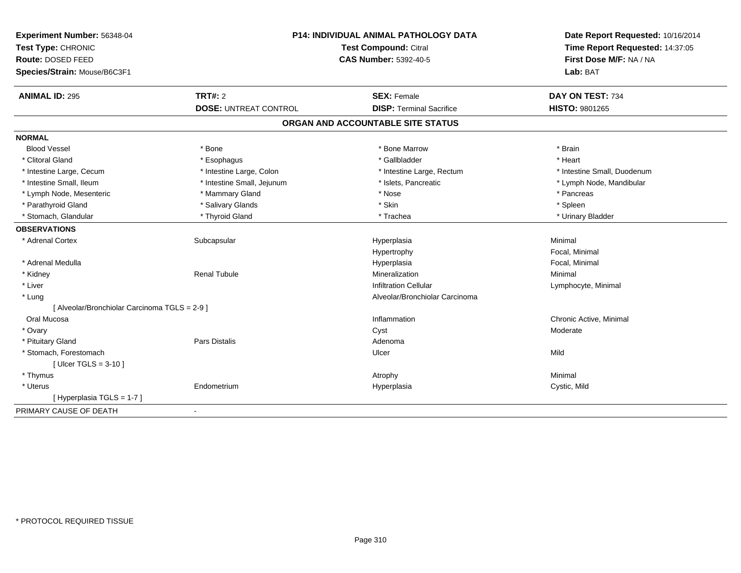| Experiment Number: 56348-04                   | P14: INDIVIDUAL ANIMAL PATHOLOGY DATA<br>Test Compound: Citral<br><b>CAS Number: 5392-40-5</b> |                                   | Date Report Requested: 10/16/2014<br>Time Report Requested: 14:37:05 |
|-----------------------------------------------|------------------------------------------------------------------------------------------------|-----------------------------------|----------------------------------------------------------------------|
| Test Type: CHRONIC                            |                                                                                                |                                   |                                                                      |
| Route: DOSED FEED                             |                                                                                                |                                   | First Dose M/F: NA / NA                                              |
| Species/Strain: Mouse/B6C3F1                  |                                                                                                |                                   | Lab: BAT                                                             |
| <b>ANIMAL ID: 295</b>                         | <b>TRT#: 2</b>                                                                                 | <b>SEX: Female</b>                | DAY ON TEST: 734                                                     |
|                                               | <b>DOSE: UNTREAT CONTROL</b>                                                                   | <b>DISP: Terminal Sacrifice</b>   | <b>HISTO: 9801265</b>                                                |
|                                               |                                                                                                | ORGAN AND ACCOUNTABLE SITE STATUS |                                                                      |
| <b>NORMAL</b>                                 |                                                                                                |                                   |                                                                      |
| <b>Blood Vessel</b>                           | * Bone                                                                                         | * Bone Marrow                     | * Brain                                                              |
| * Clitoral Gland                              | * Esophagus                                                                                    | * Gallbladder                     | * Heart                                                              |
| * Intestine Large, Cecum                      | * Intestine Large, Colon                                                                       | * Intestine Large, Rectum         | * Intestine Small, Duodenum                                          |
| * Intestine Small, Ileum                      | * Intestine Small, Jejunum                                                                     | * Islets, Pancreatic              | * Lymph Node, Mandibular                                             |
| * Lymph Node, Mesenteric                      | * Mammary Gland                                                                                | * Nose                            | * Pancreas                                                           |
| * Parathyroid Gland                           | * Salivary Glands                                                                              | * Skin                            | * Spleen                                                             |
| * Stomach, Glandular                          | * Thyroid Gland                                                                                | * Trachea                         | * Urinary Bladder                                                    |
| <b>OBSERVATIONS</b>                           |                                                                                                |                                   |                                                                      |
| * Adrenal Cortex                              | Subcapsular                                                                                    | Hyperplasia                       | Minimal                                                              |
|                                               |                                                                                                | Hypertrophy                       | Focal, Minimal                                                       |
| * Adrenal Medulla                             |                                                                                                | Hyperplasia                       | Focal, Minimal                                                       |
| * Kidney                                      | <b>Renal Tubule</b>                                                                            | Mineralization                    | Minimal                                                              |
| * Liver                                       |                                                                                                | <b>Infiltration Cellular</b>      | Lymphocyte, Minimal                                                  |
| * Lung                                        |                                                                                                | Alveolar/Bronchiolar Carcinoma    |                                                                      |
| [ Alveolar/Bronchiolar Carcinoma TGLS = 2-9 ] |                                                                                                |                                   |                                                                      |
| Oral Mucosa                                   |                                                                                                | Inflammation                      | Chronic Active, Minimal                                              |
| * Ovary                                       |                                                                                                | Cyst                              | Moderate                                                             |
| * Pituitary Gland                             | Pars Distalis                                                                                  | Adenoma                           |                                                                      |
| * Stomach, Forestomach                        |                                                                                                | Ulcer                             | Mild                                                                 |
| [ Ulcer TGLS = $3-10$ ]                       |                                                                                                |                                   |                                                                      |
| * Thymus                                      |                                                                                                | Atrophy                           | Minimal                                                              |
| * Uterus                                      | Endometrium                                                                                    | Hyperplasia                       | Cystic, Mild                                                         |
| [ Hyperplasia TGLS = 1-7 ]                    |                                                                                                |                                   |                                                                      |
| PRIMARY CAUSE OF DEATH                        | $\blacksquare$                                                                                 |                                   |                                                                      |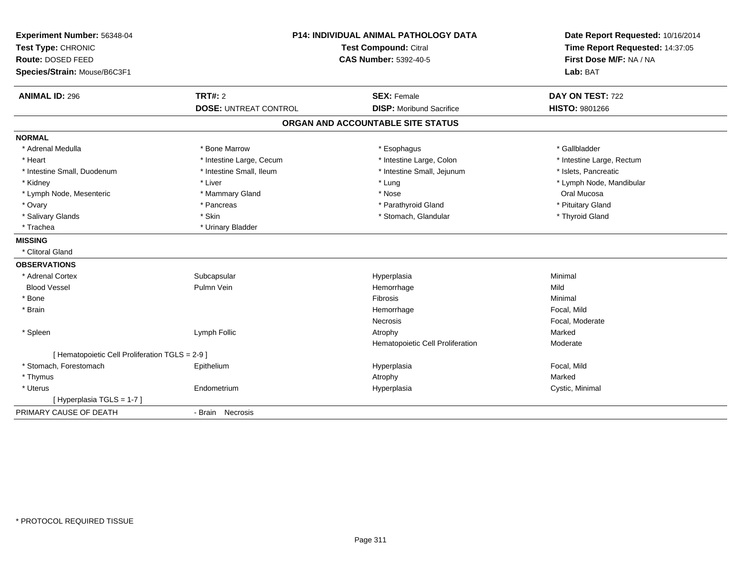| Experiment Number: 56348-04<br>Test Type: CHRONIC<br>Route: DOSED FEED<br>Species/Strain: Mouse/B6C3F1 | P14: INDIVIDUAL ANIMAL PATHOLOGY DATA<br><b>Test Compound: Citral</b><br><b>CAS Number: 5392-40-5</b> |                                                       | Date Report Requested: 10/16/2014<br>Time Report Requested: 14:37:05<br>First Dose M/F: NA / NA<br>Lab: BAT |  |
|--------------------------------------------------------------------------------------------------------|-------------------------------------------------------------------------------------------------------|-------------------------------------------------------|-------------------------------------------------------------------------------------------------------------|--|
| <b>ANIMAL ID: 296</b>                                                                                  | <b>TRT#: 2</b><br><b>DOSE: UNTREAT CONTROL</b>                                                        | <b>SEX: Female</b><br><b>DISP: Moribund Sacrifice</b> | DAY ON TEST: 722<br><b>HISTO: 9801266</b>                                                                   |  |
|                                                                                                        |                                                                                                       | ORGAN AND ACCOUNTABLE SITE STATUS                     |                                                                                                             |  |
| <b>NORMAL</b>                                                                                          |                                                                                                       |                                                       |                                                                                                             |  |
|                                                                                                        |                                                                                                       |                                                       |                                                                                                             |  |
| * Adrenal Medulla                                                                                      | * Bone Marrow                                                                                         | * Esophagus                                           | * Gallbladder                                                                                               |  |
| * Heart                                                                                                | * Intestine Large, Cecum                                                                              | * Intestine Large, Colon                              | * Intestine Large, Rectum                                                                                   |  |
| * Intestine Small, Duodenum                                                                            | * Intestine Small, Ileum                                                                              | * Intestine Small, Jejunum                            | * Islets, Pancreatic                                                                                        |  |
| * Kidney                                                                                               | * Liver                                                                                               | * Lung                                                | * Lymph Node, Mandibular                                                                                    |  |
| * Lymph Node, Mesenteric                                                                               | * Mammary Gland                                                                                       | * Nose                                                | Oral Mucosa                                                                                                 |  |
| * Ovary                                                                                                | * Pancreas                                                                                            | * Parathyroid Gland                                   | * Pituitary Gland                                                                                           |  |
| * Salivary Glands                                                                                      | * Skin                                                                                                | * Stomach, Glandular                                  | * Thyroid Gland                                                                                             |  |
| * Trachea                                                                                              | * Urinary Bladder                                                                                     |                                                       |                                                                                                             |  |
| <b>MISSING</b>                                                                                         |                                                                                                       |                                                       |                                                                                                             |  |
| * Clitoral Gland                                                                                       |                                                                                                       |                                                       |                                                                                                             |  |
| <b>OBSERVATIONS</b>                                                                                    |                                                                                                       |                                                       |                                                                                                             |  |
| * Adrenal Cortex                                                                                       | Subcapsular                                                                                           | Hyperplasia                                           | Minimal                                                                                                     |  |
| <b>Blood Vessel</b>                                                                                    | Pulmn Vein                                                                                            | Hemorrhage                                            | Mild                                                                                                        |  |
| * Bone                                                                                                 |                                                                                                       | Fibrosis                                              | Minimal                                                                                                     |  |
| * Brain                                                                                                |                                                                                                       | Hemorrhage                                            | Focal, Mild                                                                                                 |  |
|                                                                                                        |                                                                                                       | Necrosis                                              | Focal, Moderate                                                                                             |  |
| * Spleen                                                                                               | Lymph Follic                                                                                          | Atrophy                                               | Marked                                                                                                      |  |
|                                                                                                        |                                                                                                       | Hematopoietic Cell Proliferation                      | Moderate                                                                                                    |  |
| [ Hematopoietic Cell Proliferation TGLS = 2-9 ]                                                        |                                                                                                       |                                                       |                                                                                                             |  |
| * Stomach, Forestomach                                                                                 | Epithelium                                                                                            | Hyperplasia                                           | Focal, Mild                                                                                                 |  |
| * Thymus                                                                                               |                                                                                                       | Atrophy                                               | Marked                                                                                                      |  |
| * Uterus                                                                                               | Endometrium                                                                                           | Hyperplasia                                           | Cystic, Minimal                                                                                             |  |
| [Hyperplasia TGLS = 1-7]                                                                               |                                                                                                       |                                                       |                                                                                                             |  |
| PRIMARY CAUSE OF DEATH                                                                                 | - Brain Necrosis                                                                                      |                                                       |                                                                                                             |  |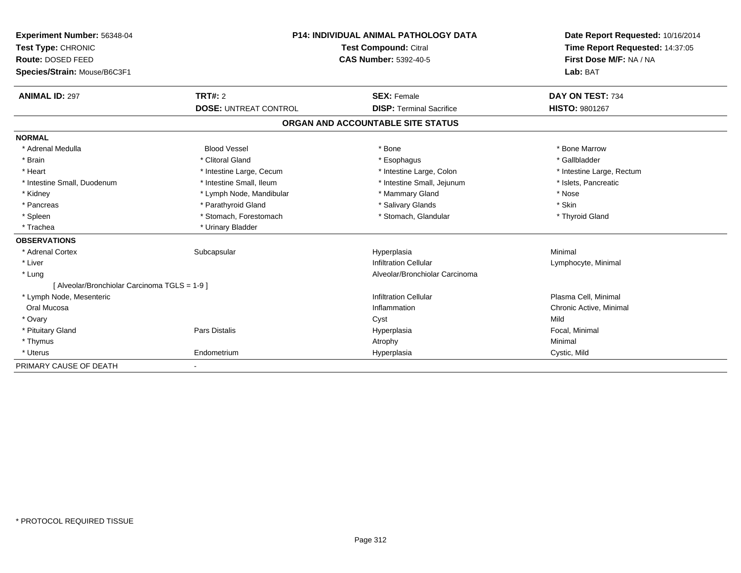| Experiment Number: 56348-04                   | <b>P14: INDIVIDUAL ANIMAL PATHOLOGY DATA</b> |                                                       | Date Report Requested: 10/16/2014 |
|-----------------------------------------------|----------------------------------------------|-------------------------------------------------------|-----------------------------------|
| Test Type: CHRONIC                            |                                              | Test Compound: Citral<br><b>CAS Number: 5392-40-5</b> |                                   |
| <b>Route: DOSED FEED</b>                      |                                              |                                                       |                                   |
| Species/Strain: Mouse/B6C3F1                  |                                              |                                                       | Lab: BAT                          |
| <b>ANIMAL ID: 297</b>                         | TRT#: 2                                      | <b>SEX: Female</b>                                    | DAY ON TEST: 734                  |
|                                               | <b>DOSE: UNTREAT CONTROL</b>                 | <b>DISP: Terminal Sacrifice</b>                       | HISTO: 9801267                    |
|                                               |                                              | ORGAN AND ACCOUNTABLE SITE STATUS                     |                                   |
| <b>NORMAL</b>                                 |                                              |                                                       |                                   |
| * Adrenal Medulla                             | <b>Blood Vessel</b>                          | * Bone                                                | * Bone Marrow                     |
| * Brain                                       | * Clitoral Gland                             | * Esophagus                                           | * Gallbladder                     |
| * Heart                                       | * Intestine Large, Cecum                     | * Intestine Large, Colon                              | * Intestine Large, Rectum         |
| * Intestine Small, Duodenum                   | * Intestine Small, Ileum                     | * Intestine Small, Jejunum                            | * Islets, Pancreatic              |
| * Kidney                                      | * Lymph Node, Mandibular                     | * Mammary Gland                                       | * Nose                            |
| * Pancreas                                    | * Parathyroid Gland                          | * Salivary Glands                                     | * Skin                            |
| * Spleen                                      | * Stomach, Forestomach                       | * Stomach, Glandular                                  | * Thyroid Gland                   |
| * Trachea                                     | * Urinary Bladder                            |                                                       |                                   |
| <b>OBSERVATIONS</b>                           |                                              |                                                       |                                   |
| * Adrenal Cortex                              | Subcapsular                                  | Hyperplasia                                           | Minimal                           |
| * Liver                                       |                                              | <b>Infiltration Cellular</b>                          | Lymphocyte, Minimal               |
| * Lung                                        |                                              | Alveolar/Bronchiolar Carcinoma                        |                                   |
| [ Alveolar/Bronchiolar Carcinoma TGLS = 1-9 ] |                                              |                                                       |                                   |
| * Lymph Node, Mesenteric                      |                                              | <b>Infiltration Cellular</b>                          | Plasma Cell, Minimal              |
| Oral Mucosa                                   |                                              | Inflammation                                          | Chronic Active, Minimal           |
| * Ovary                                       |                                              | Cyst                                                  | Mild                              |
| * Pituitary Gland                             | Pars Distalis                                | Hyperplasia                                           | Focal, Minimal                    |
| * Thymus                                      |                                              | Atrophy                                               | Minimal                           |
| * Uterus                                      | Endometrium                                  | Hyperplasia                                           | Cystic, Mild                      |
| PRIMARY CAUSE OF DEATH                        | $\overline{\phantom{a}}$                     |                                                       |                                   |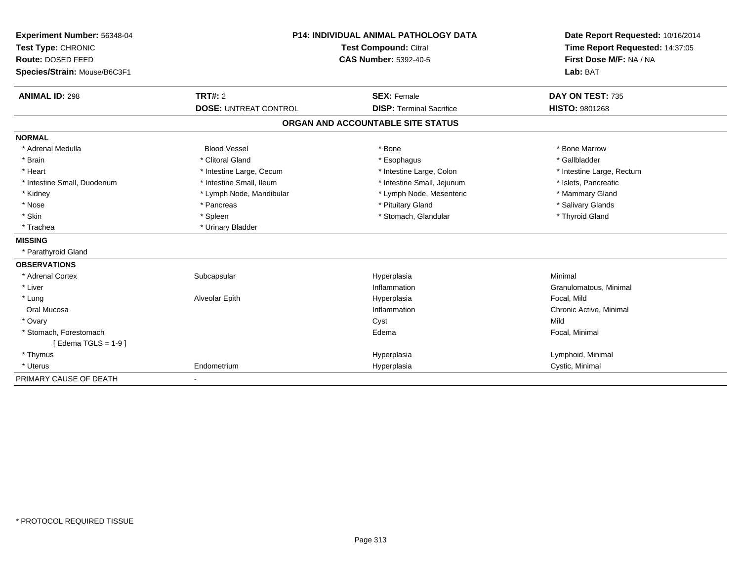| Experiment Number: 56348-04  | <b>P14: INDIVIDUAL ANIMAL PATHOLOGY DATA</b><br>Test Compound: Citral |                                   | Date Report Requested: 10/16/2014 |  |
|------------------------------|-----------------------------------------------------------------------|-----------------------------------|-----------------------------------|--|
| Test Type: CHRONIC           |                                                                       |                                   | Time Report Requested: 14:37:05   |  |
| Route: DOSED FEED            |                                                                       | <b>CAS Number: 5392-40-5</b>      | First Dose M/F: NA / NA           |  |
| Species/Strain: Mouse/B6C3F1 |                                                                       |                                   |                                   |  |
|                              |                                                                       |                                   | Lab: BAT                          |  |
| <b>ANIMAL ID: 298</b>        | TRT#: 2                                                               | <b>SEX: Female</b>                | DAY ON TEST: 735                  |  |
|                              | <b>DOSE: UNTREAT CONTROL</b>                                          | <b>DISP: Terminal Sacrifice</b>   | <b>HISTO: 9801268</b>             |  |
|                              |                                                                       | ORGAN AND ACCOUNTABLE SITE STATUS |                                   |  |
| <b>NORMAL</b>                |                                                                       |                                   |                                   |  |
| * Adrenal Medulla            | <b>Blood Vessel</b>                                                   | * Bone                            | * Bone Marrow                     |  |
| * Brain                      | * Clitoral Gland                                                      | * Esophagus                       | * Gallbladder                     |  |
| * Heart                      | * Intestine Large, Cecum                                              | * Intestine Large, Colon          | * Intestine Large, Rectum         |  |
| * Intestine Small, Duodenum  | * Intestine Small, Ileum                                              | * Intestine Small, Jejunum        | * Islets, Pancreatic              |  |
| * Kidney                     | * Lymph Node, Mandibular                                              | * Lymph Node, Mesenteric          | * Mammary Gland                   |  |
| * Nose                       | * Pancreas                                                            | * Pituitary Gland                 | * Salivary Glands                 |  |
| * Skin                       | * Spleen                                                              | * Stomach, Glandular              | * Thyroid Gland                   |  |
| * Trachea                    | * Urinary Bladder                                                     |                                   |                                   |  |
| <b>MISSING</b>               |                                                                       |                                   |                                   |  |
| * Parathyroid Gland          |                                                                       |                                   |                                   |  |
| <b>OBSERVATIONS</b>          |                                                                       |                                   |                                   |  |
| * Adrenal Cortex             | Subcapsular                                                           | Hyperplasia                       | Minimal                           |  |
| * Liver                      |                                                                       | Inflammation                      | Granulomatous, Minimal            |  |
| * Lung                       | Alveolar Epith                                                        | Hyperplasia                       | Focal, Mild                       |  |
| Oral Mucosa                  |                                                                       | Inflammation                      | Chronic Active, Minimal           |  |
| * Ovary                      |                                                                       | Cyst                              | Mild                              |  |
| * Stomach, Forestomach       |                                                                       | Edema                             | Focal, Minimal                    |  |
| [Edema TGLS = $1-9$ ]        |                                                                       |                                   |                                   |  |
| * Thymus                     |                                                                       | Hyperplasia                       | Lymphoid, Minimal                 |  |
| * Uterus                     | Endometrium                                                           | Hyperplasia                       | Cystic, Minimal                   |  |
| PRIMARY CAUSE OF DEATH       |                                                                       |                                   |                                   |  |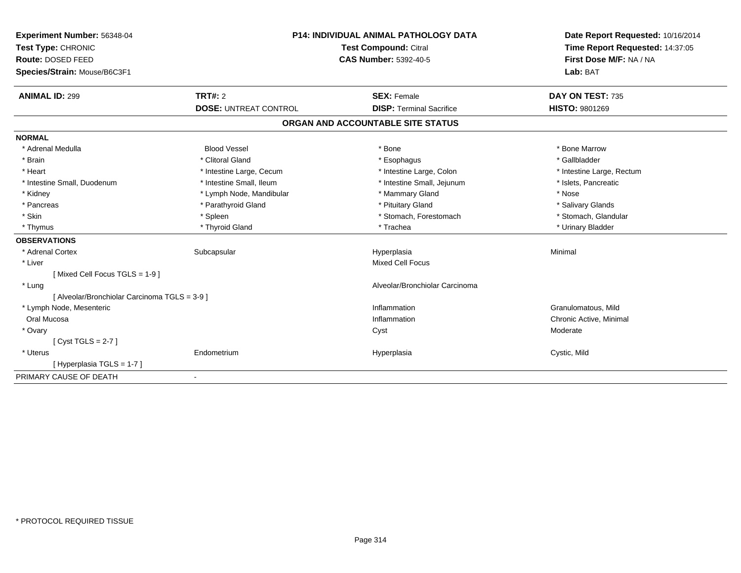| Experiment Number: 56348-04                   | <b>P14: INDIVIDUAL ANIMAL PATHOLOGY DATA</b><br><b>Test Compound: Citral</b> |                                   | Date Report Requested: 10/16/2014 |
|-----------------------------------------------|------------------------------------------------------------------------------|-----------------------------------|-----------------------------------|
| Test Type: CHRONIC                            |                                                                              |                                   | Time Report Requested: 14:37:05   |
| Route: DOSED FEED                             |                                                                              | <b>CAS Number: 5392-40-5</b>      | First Dose M/F: NA / NA           |
| Species/Strain: Mouse/B6C3F1                  |                                                                              |                                   | Lab: BAT                          |
| <b>ANIMAL ID: 299</b>                         | <b>TRT#: 2</b>                                                               | <b>SEX: Female</b>                | DAY ON TEST: 735                  |
|                                               | <b>DOSE: UNTREAT CONTROL</b>                                                 | <b>DISP: Terminal Sacrifice</b>   | HISTO: 9801269                    |
|                                               |                                                                              | ORGAN AND ACCOUNTABLE SITE STATUS |                                   |
| <b>NORMAL</b>                                 |                                                                              |                                   |                                   |
| * Adrenal Medulla                             | <b>Blood Vessel</b>                                                          | * Bone                            | * Bone Marrow                     |
| * Brain                                       | * Clitoral Gland                                                             | * Esophagus                       | * Gallbladder                     |
| * Heart                                       | * Intestine Large, Cecum                                                     | * Intestine Large, Colon          | * Intestine Large, Rectum         |
| * Intestine Small, Duodenum                   | * Intestine Small, Ileum                                                     | * Intestine Small, Jejunum        | * Islets, Pancreatic              |
| * Kidney                                      | * Lymph Node, Mandibular                                                     | * Mammary Gland                   | * Nose                            |
| * Pancreas                                    | * Parathyroid Gland                                                          | * Pituitary Gland                 | * Salivary Glands                 |
| * Skin                                        | * Spleen                                                                     | * Stomach, Forestomach            | * Stomach, Glandular              |
| * Thymus                                      | * Thyroid Gland                                                              | * Trachea                         | * Urinary Bladder                 |
| <b>OBSERVATIONS</b>                           |                                                                              |                                   |                                   |
| * Adrenal Cortex                              | Subcapsular                                                                  | Hyperplasia                       | Minimal                           |
| * Liver                                       |                                                                              | <b>Mixed Cell Focus</b>           |                                   |
| [Mixed Cell Focus TGLS = 1-9]                 |                                                                              |                                   |                                   |
| * Lung                                        |                                                                              | Alveolar/Bronchiolar Carcinoma    |                                   |
| [ Alveolar/Bronchiolar Carcinoma TGLS = 3-9 ] |                                                                              |                                   |                                   |
| * Lymph Node, Mesenteric                      |                                                                              | Inflammation                      | Granulomatous, Mild               |
| Oral Mucosa                                   |                                                                              | Inflammation                      | Chronic Active, Minimal           |
| * Ovary                                       |                                                                              | Cyst                              | Moderate                          |
| [Cyst TGLS = $2-7$ ]                          |                                                                              |                                   |                                   |
| * Uterus                                      | Endometrium                                                                  | Hyperplasia                       | Cystic, Mild                      |
| [Hyperplasia TGLS = 1-7]                      |                                                                              |                                   |                                   |
| PRIMARY CAUSE OF DEATH                        | ٠                                                                            |                                   |                                   |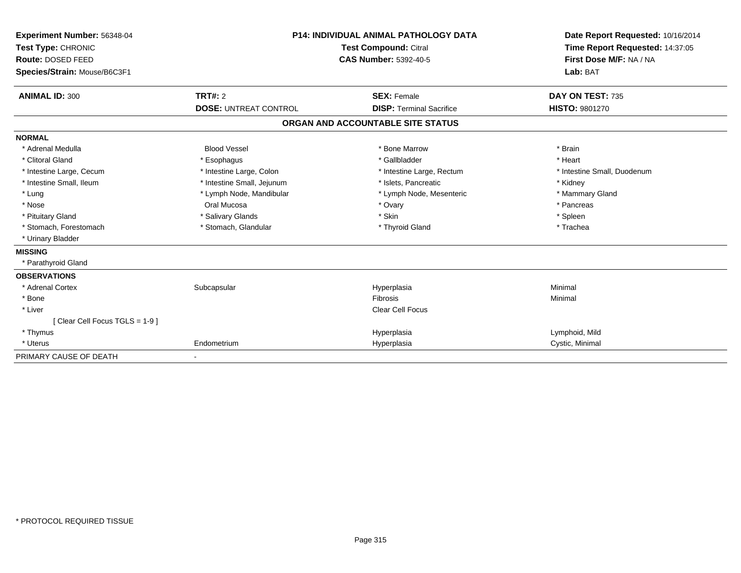| Experiment Number: 56348-04<br>Test Type: CHRONIC<br>Route: DOSED FEED<br>Species/Strain: Mouse/B6C3F1 | <b>P14: INDIVIDUAL ANIMAL PATHOLOGY DATA</b><br><b>Test Compound: Citral</b><br><b>CAS Number: 5392-40-5</b> |                                   | Date Report Requested: 10/16/2014<br>Time Report Requested: 14:37:05<br>First Dose M/F: NA / NA<br>Lab: BAT |
|--------------------------------------------------------------------------------------------------------|--------------------------------------------------------------------------------------------------------------|-----------------------------------|-------------------------------------------------------------------------------------------------------------|
| <b>ANIMAL ID: 300</b>                                                                                  | <b>TRT#: 2</b>                                                                                               | <b>SEX: Female</b>                | DAY ON TEST: 735                                                                                            |
|                                                                                                        | <b>DOSE: UNTREAT CONTROL</b>                                                                                 | <b>DISP: Terminal Sacrifice</b>   | <b>HISTO: 9801270</b>                                                                                       |
|                                                                                                        |                                                                                                              | ORGAN AND ACCOUNTABLE SITE STATUS |                                                                                                             |
| <b>NORMAL</b>                                                                                          |                                                                                                              |                                   |                                                                                                             |
| * Adrenal Medulla                                                                                      | <b>Blood Vessel</b>                                                                                          | * Bone Marrow                     | * Brain                                                                                                     |
| * Clitoral Gland                                                                                       | * Esophagus                                                                                                  | * Gallbladder                     | * Heart                                                                                                     |
| * Intestine Large, Cecum                                                                               | * Intestine Large, Colon                                                                                     | * Intestine Large, Rectum         | * Intestine Small, Duodenum                                                                                 |
| * Intestine Small, Ileum                                                                               | * Intestine Small, Jejunum                                                                                   | * Islets. Pancreatic              | * Kidney                                                                                                    |
| * Lung                                                                                                 | * Lymph Node, Mandibular                                                                                     | * Lymph Node, Mesenteric          | * Mammary Gland                                                                                             |
| * Nose                                                                                                 | Oral Mucosa                                                                                                  | * Ovary                           | * Pancreas                                                                                                  |
| * Pituitary Gland                                                                                      | * Salivary Glands                                                                                            | * Skin                            | * Spleen                                                                                                    |
| * Stomach, Forestomach                                                                                 | * Stomach, Glandular                                                                                         | * Thyroid Gland                   | * Trachea                                                                                                   |
| * Urinary Bladder                                                                                      |                                                                                                              |                                   |                                                                                                             |
| <b>MISSING</b>                                                                                         |                                                                                                              |                                   |                                                                                                             |
| * Parathyroid Gland                                                                                    |                                                                                                              |                                   |                                                                                                             |
| <b>OBSERVATIONS</b>                                                                                    |                                                                                                              |                                   |                                                                                                             |
| * Adrenal Cortex                                                                                       | Subcapsular                                                                                                  | Hyperplasia                       | Minimal                                                                                                     |
| * Bone                                                                                                 |                                                                                                              | <b>Fibrosis</b>                   | Minimal                                                                                                     |
| * Liver                                                                                                |                                                                                                              | Clear Cell Focus                  |                                                                                                             |
| [Clear Cell Focus TGLS = 1-9]                                                                          |                                                                                                              |                                   |                                                                                                             |
| * Thymus                                                                                               |                                                                                                              | Hyperplasia                       | Lymphoid, Mild                                                                                              |
| * Uterus                                                                                               | Endometrium                                                                                                  | Hyperplasia                       | Cystic, Minimal                                                                                             |
| PRIMARY CAUSE OF DEATH                                                                                 |                                                                                                              |                                   |                                                                                                             |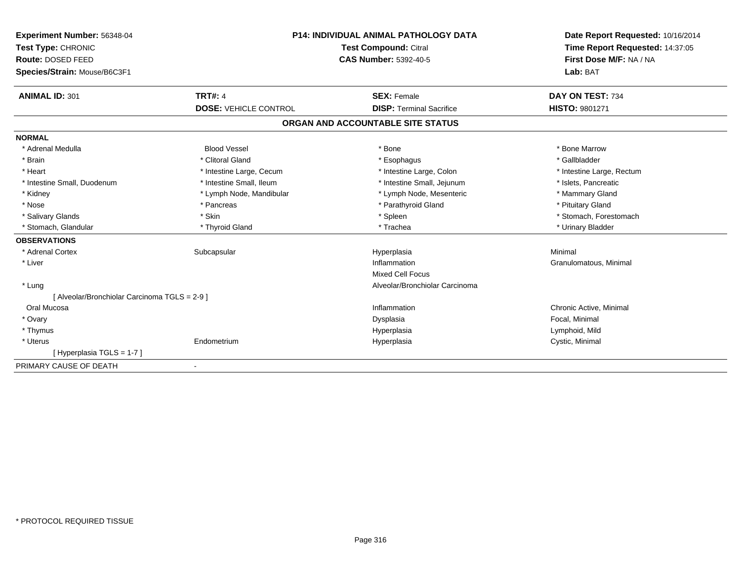| Experiment Number: 56348-04                   | <b>P14: INDIVIDUAL ANIMAL PATHOLOGY DATA</b><br>Test Type: CHRONIC<br><b>Test Compound: Citral</b><br><b>CAS Number: 5392-40-5</b> |                                   | Date Report Requested: 10/16/2014<br>Time Report Requested: 14:37:05 |
|-----------------------------------------------|------------------------------------------------------------------------------------------------------------------------------------|-----------------------------------|----------------------------------------------------------------------|
| Route: DOSED FEED                             |                                                                                                                                    |                                   | First Dose M/F: NA / NA                                              |
| Species/Strain: Mouse/B6C3F1                  |                                                                                                                                    |                                   | Lab: BAT                                                             |
| <b>ANIMAL ID: 301</b>                         | <b>TRT#: 4</b>                                                                                                                     | <b>SEX: Female</b>                | DAY ON TEST: 734                                                     |
|                                               | <b>DOSE: VEHICLE CONTROL</b>                                                                                                       | <b>DISP: Terminal Sacrifice</b>   | <b>HISTO: 9801271</b>                                                |
|                                               |                                                                                                                                    | ORGAN AND ACCOUNTABLE SITE STATUS |                                                                      |
| <b>NORMAL</b>                                 |                                                                                                                                    |                                   |                                                                      |
| * Adrenal Medulla                             | <b>Blood Vessel</b>                                                                                                                | * Bone                            | * Bone Marrow                                                        |
| * Brain                                       | * Clitoral Gland                                                                                                                   | * Esophagus                       | * Gallbladder                                                        |
| * Heart                                       | * Intestine Large, Cecum                                                                                                           | * Intestine Large, Colon          | * Intestine Large, Rectum                                            |
| * Intestine Small, Duodenum                   | * Intestine Small, Ileum                                                                                                           | * Intestine Small, Jejunum        | * Islets, Pancreatic                                                 |
| * Kidney                                      | * Lymph Node, Mandibular                                                                                                           | * Lymph Node, Mesenteric          | * Mammary Gland                                                      |
| * Nose                                        | * Pancreas                                                                                                                         | * Parathyroid Gland               | * Pituitary Gland                                                    |
| * Salivary Glands                             | * Skin                                                                                                                             | * Spleen                          | * Stomach, Forestomach                                               |
| * Stomach, Glandular                          | * Thyroid Gland                                                                                                                    | * Trachea                         | * Urinary Bladder                                                    |
| <b>OBSERVATIONS</b>                           |                                                                                                                                    |                                   |                                                                      |
| * Adrenal Cortex                              | Subcapsular                                                                                                                        | Hyperplasia                       | Minimal                                                              |
| * Liver                                       |                                                                                                                                    | Inflammation                      | Granulomatous, Minimal                                               |
|                                               |                                                                                                                                    | <b>Mixed Cell Focus</b>           |                                                                      |
| * Lung                                        |                                                                                                                                    | Alveolar/Bronchiolar Carcinoma    |                                                                      |
| [ Alveolar/Bronchiolar Carcinoma TGLS = 2-9 ] |                                                                                                                                    |                                   |                                                                      |
| Oral Mucosa                                   |                                                                                                                                    | Inflammation                      | Chronic Active, Minimal                                              |
| * Ovary                                       |                                                                                                                                    | Dysplasia                         | Focal, Minimal                                                       |
| * Thymus                                      |                                                                                                                                    | Hyperplasia                       | Lymphoid, Mild                                                       |
| * Uterus                                      | Endometrium                                                                                                                        | Hyperplasia                       | Cystic, Minimal                                                      |
| [Hyperplasia TGLS = 1-7]                      |                                                                                                                                    |                                   |                                                                      |
| PRIMARY CAUSE OF DEATH                        | $\overline{\phantom{a}}$                                                                                                           |                                   |                                                                      |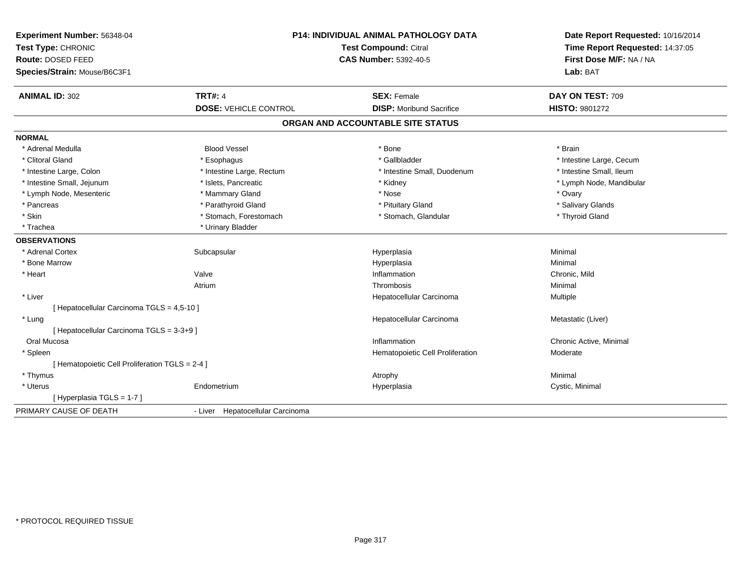| Experiment Number: 56348-04<br>Test Type: CHRONIC<br><b>Route: DOSED FEED</b><br>Species/Strain: Mouse/B6C3F1 |                                  | P14: INDIVIDUAL ANIMAL PATHOLOGY DATA<br><b>Test Compound: Citral</b><br><b>CAS Number: 5392-40-5</b> | Date Report Requested: 10/16/2014<br>Time Report Requested: 14:37:05<br>First Dose M/F: NA / NA<br>Lab: BAT |
|---------------------------------------------------------------------------------------------------------------|----------------------------------|-------------------------------------------------------------------------------------------------------|-------------------------------------------------------------------------------------------------------------|
| <b>ANIMAL ID: 302</b>                                                                                         | <b>TRT#: 4</b>                   | <b>SEX: Female</b>                                                                                    | DAY ON TEST: 709                                                                                            |
|                                                                                                               | <b>DOSE: VEHICLE CONTROL</b>     | <b>DISP:</b> Moribund Sacrifice                                                                       | <b>HISTO: 9801272</b>                                                                                       |
|                                                                                                               |                                  | ORGAN AND ACCOUNTABLE SITE STATUS                                                                     |                                                                                                             |
| <b>NORMAL</b>                                                                                                 |                                  |                                                                                                       |                                                                                                             |
| * Adrenal Medulla                                                                                             | <b>Blood Vessel</b>              | * Bone                                                                                                | * Brain                                                                                                     |
| * Clitoral Gland                                                                                              | * Esophagus                      | * Gallbladder                                                                                         | * Intestine Large, Cecum                                                                                    |
| * Intestine Large, Colon                                                                                      | * Intestine Large, Rectum        | * Intestine Small, Duodenum                                                                           | * Intestine Small, Ileum                                                                                    |
| * Intestine Small, Jejunum                                                                                    | * Islets, Pancreatic             | * Kidney                                                                                              | * Lymph Node, Mandibular                                                                                    |
| * Lymph Node, Mesenteric                                                                                      | * Mammary Gland                  | * Nose                                                                                                | * Ovary                                                                                                     |
| * Pancreas                                                                                                    | * Parathyroid Gland              | * Pituitary Gland                                                                                     | * Salivary Glands                                                                                           |
| * Skin                                                                                                        | * Stomach, Forestomach           | * Stomach, Glandular                                                                                  | * Thyroid Gland                                                                                             |
| * Trachea                                                                                                     | * Urinary Bladder                |                                                                                                       |                                                                                                             |
| <b>OBSERVATIONS</b>                                                                                           |                                  |                                                                                                       |                                                                                                             |
| * Adrenal Cortex                                                                                              | Subcapsular                      | Hyperplasia                                                                                           | Minimal                                                                                                     |
| * Bone Marrow                                                                                                 |                                  | Hyperplasia                                                                                           | Minimal                                                                                                     |
| * Heart                                                                                                       | Valve                            | Inflammation                                                                                          | Chronic, Mild                                                                                               |
|                                                                                                               | Atrium                           | Thrombosis                                                                                            | Minimal                                                                                                     |
| * Liver                                                                                                       |                                  | Hepatocellular Carcinoma                                                                              | Multiple                                                                                                    |
| [ Hepatocellular Carcinoma TGLS = 4,5-10 ]                                                                    |                                  |                                                                                                       |                                                                                                             |
| * Lung                                                                                                        |                                  | Hepatocellular Carcinoma                                                                              | Metastatic (Liver)                                                                                          |
| [ Hepatocellular Carcinoma TGLS = 3-3+9 ]                                                                     |                                  |                                                                                                       |                                                                                                             |
| Oral Mucosa                                                                                                   |                                  | Inflammation                                                                                          | Chronic Active, Minimal                                                                                     |
| * Spleen                                                                                                      |                                  | Hematopoietic Cell Proliferation                                                                      | Moderate                                                                                                    |
| [ Hematopoietic Cell Proliferation TGLS = 2-4 ]                                                               |                                  |                                                                                                       |                                                                                                             |
| * Thymus                                                                                                      |                                  | Atrophy                                                                                               | Minimal                                                                                                     |
| * Uterus                                                                                                      | Endometrium                      | Hyperplasia                                                                                           | Cystic, Minimal                                                                                             |
| [Hyperplasia TGLS = 1-7]                                                                                      |                                  |                                                                                                       |                                                                                                             |
| PRIMARY CAUSE OF DEATH                                                                                        | - Liver Hepatocellular Carcinoma |                                                                                                       |                                                                                                             |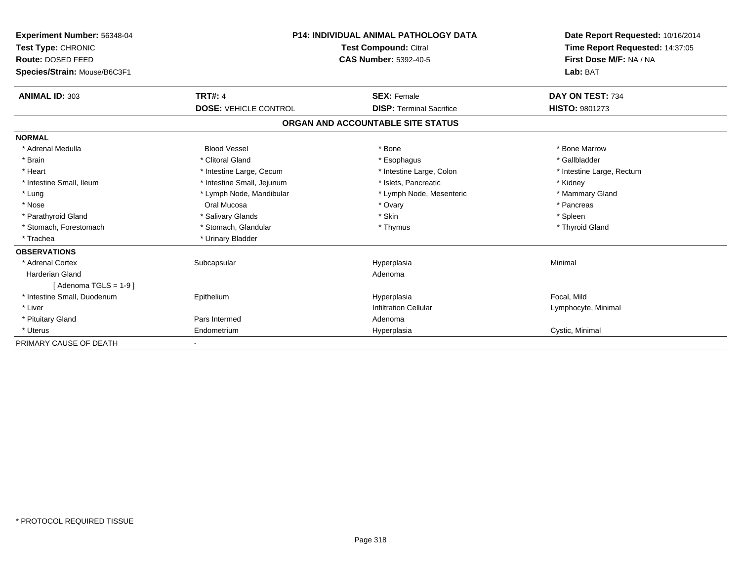| Experiment Number: 56348-04  |                              | <b>P14: INDIVIDUAL ANIMAL PATHOLOGY DATA</b> | Date Report Requested: 10/16/2014 |
|------------------------------|------------------------------|----------------------------------------------|-----------------------------------|
| Test Type: CHRONIC           |                              | Test Compound: Citral                        | Time Report Requested: 14:37:05   |
| Route: DOSED FEED            |                              | <b>CAS Number: 5392-40-5</b>                 | First Dose M/F: NA / NA           |
| Species/Strain: Mouse/B6C3F1 |                              |                                              | Lab: BAT                          |
| <b>ANIMAL ID: 303</b>        | <b>TRT#: 4</b>               | <b>SEX: Female</b>                           | DAY ON TEST: 734                  |
|                              | <b>DOSE: VEHICLE CONTROL</b> | <b>DISP: Terminal Sacrifice</b>              | <b>HISTO: 9801273</b>             |
|                              |                              | ORGAN AND ACCOUNTABLE SITE STATUS            |                                   |
| <b>NORMAL</b>                |                              |                                              |                                   |
| * Adrenal Medulla            | <b>Blood Vessel</b>          | * Bone                                       | * Bone Marrow                     |
| * Brain                      | * Clitoral Gland             | * Esophagus                                  | * Gallbladder                     |
| * Heart                      | * Intestine Large, Cecum     | * Intestine Large, Colon                     | * Intestine Large, Rectum         |
| * Intestine Small, Ileum     | * Intestine Small, Jejunum   | * Islets, Pancreatic                         | * Kidney                          |
| * Lung                       | * Lymph Node, Mandibular     | * Lymph Node, Mesenteric                     | * Mammary Gland                   |
| * Nose                       | Oral Mucosa                  | * Ovary                                      | * Pancreas                        |
| * Parathyroid Gland          | * Salivary Glands            | * Skin                                       | * Spleen                          |
| * Stomach, Forestomach       | * Stomach, Glandular         | * Thymus                                     | * Thyroid Gland                   |
| * Trachea                    | * Urinary Bladder            |                                              |                                   |
| <b>OBSERVATIONS</b>          |                              |                                              |                                   |
| * Adrenal Cortex             | Subcapsular                  | Hyperplasia                                  | Minimal                           |
| <b>Harderian Gland</b>       |                              | Adenoma                                      |                                   |
| [Adenoma TGLS = $1-9$ ]      |                              |                                              |                                   |
| * Intestine Small, Duodenum  | Epithelium                   | Hyperplasia                                  | Focal, Mild                       |
| * Liver                      |                              | <b>Infiltration Cellular</b>                 | Lymphocyte, Minimal               |
| * Pituitary Gland            | Pars Intermed                | Adenoma                                      |                                   |
| * Uterus                     | Endometrium                  | Hyperplasia                                  | Cystic, Minimal                   |
| PRIMARY CAUSE OF DEATH       |                              |                                              |                                   |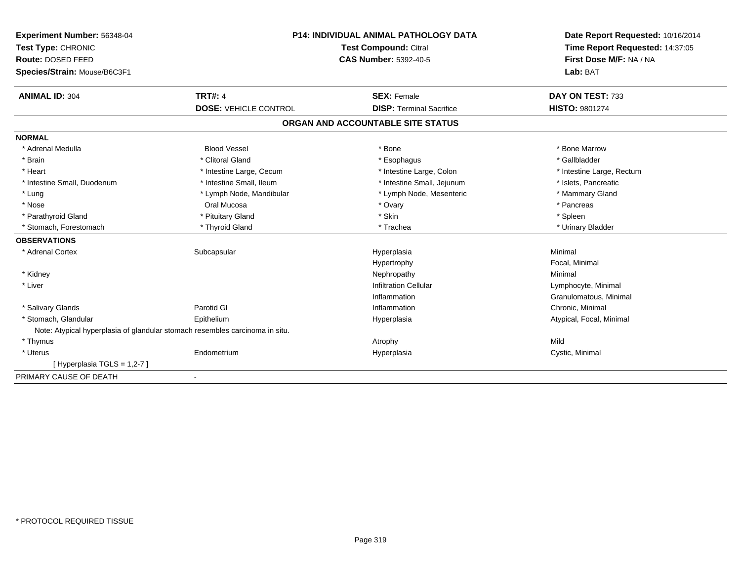| Experiment Number: 56348-04  | <b>P14: INDIVIDUAL ANIMAL PATHOLOGY DATA</b><br>Test Compound: Citral        |                                   | Date Report Requested: 10/16/2014 |
|------------------------------|------------------------------------------------------------------------------|-----------------------------------|-----------------------------------|
| Test Type: CHRONIC           |                                                                              |                                   | Time Report Requested: 14:37:05   |
| Route: DOSED FEED            |                                                                              | <b>CAS Number: 5392-40-5</b>      | First Dose M/F: NA / NA           |
| Species/Strain: Mouse/B6C3F1 |                                                                              |                                   | Lab: BAT                          |
| <b>ANIMAL ID: 304</b>        | <b>TRT#: 4</b>                                                               | <b>SEX: Female</b>                | DAY ON TEST: 733                  |
|                              | <b>DOSE: VEHICLE CONTROL</b>                                                 | <b>DISP: Terminal Sacrifice</b>   | <b>HISTO: 9801274</b>             |
|                              |                                                                              | ORGAN AND ACCOUNTABLE SITE STATUS |                                   |
| <b>NORMAL</b>                |                                                                              |                                   |                                   |
| * Adrenal Medulla            | <b>Blood Vessel</b>                                                          | * Bone                            | * Bone Marrow                     |
| * Brain                      | * Clitoral Gland                                                             | * Esophagus                       | * Gallbladder                     |
| * Heart                      | * Intestine Large, Cecum                                                     | * Intestine Large, Colon          | * Intestine Large, Rectum         |
| * Intestine Small, Duodenum  | * Intestine Small, Ileum                                                     | * Intestine Small, Jejunum        | * Islets, Pancreatic              |
| * Lung                       | * Lymph Node, Mandibular                                                     | * Lymph Node, Mesenteric          | * Mammary Gland                   |
| * Nose                       | Oral Mucosa                                                                  | * Ovary                           | * Pancreas                        |
| * Parathyroid Gland          | * Pituitary Gland                                                            | * Skin                            | * Spleen                          |
| * Stomach, Forestomach       | * Thyroid Gland                                                              | * Trachea                         | * Urinary Bladder                 |
| <b>OBSERVATIONS</b>          |                                                                              |                                   |                                   |
| * Adrenal Cortex             | Subcapsular                                                                  | Hyperplasia                       | Minimal                           |
|                              |                                                                              | Hypertrophy                       | Focal, Minimal                    |
| * Kidney                     |                                                                              | Nephropathy                       | Minimal                           |
| * Liver                      |                                                                              | <b>Infiltration Cellular</b>      | Lymphocyte, Minimal               |
|                              |                                                                              | Inflammation                      | Granulomatous, Minimal            |
| * Salivary Glands            | Parotid GI                                                                   | Inflammation                      | Chronic, Minimal                  |
| * Stomach, Glandular         | Epithelium                                                                   | Hyperplasia                       | Atypical, Focal, Minimal          |
|                              | Note: Atypical hyperplasia of glandular stomach resembles carcinoma in situ. |                                   |                                   |
| * Thymus                     |                                                                              | Atrophy                           | Mild                              |
| * Uterus                     | Endometrium                                                                  | Hyperplasia                       | Cystic, Minimal                   |
| [Hyperplasia TGLS = 1,2-7]   |                                                                              |                                   |                                   |
| PRIMARY CAUSE OF DEATH       | $\blacksquare$                                                               |                                   |                                   |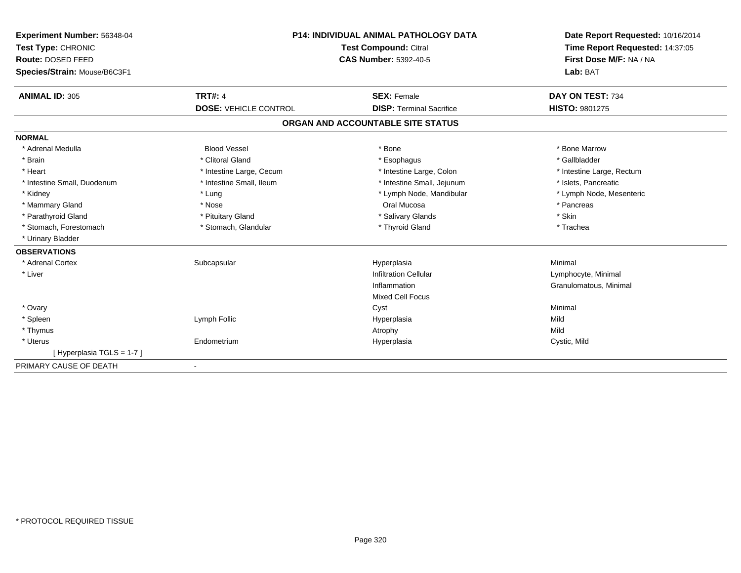| Experiment Number: 56348-04  | <b>P14: INDIVIDUAL ANIMAL PATHOLOGY DATA</b><br>Test Compound: Citral |                                   | Date Report Requested: 10/16/2014 |
|------------------------------|-----------------------------------------------------------------------|-----------------------------------|-----------------------------------|
| Test Type: CHRONIC           |                                                                       |                                   | Time Report Requested: 14:37:05   |
| Route: DOSED FEED            |                                                                       | <b>CAS Number: 5392-40-5</b>      | First Dose M/F: NA / NA           |
| Species/Strain: Mouse/B6C3F1 |                                                                       |                                   | Lab: BAT                          |
| <b>ANIMAL ID: 305</b>        | <b>TRT#: 4</b>                                                        | <b>SEX: Female</b>                | DAY ON TEST: 734                  |
|                              | <b>DOSE: VEHICLE CONTROL</b>                                          | <b>DISP: Terminal Sacrifice</b>   | HISTO: 9801275                    |
|                              |                                                                       | ORGAN AND ACCOUNTABLE SITE STATUS |                                   |
| <b>NORMAL</b>                |                                                                       |                                   |                                   |
| * Adrenal Medulla            | <b>Blood Vessel</b>                                                   | * Bone                            | * Bone Marrow                     |
| * Brain                      | * Clitoral Gland                                                      | * Esophagus                       | * Gallbladder                     |
| * Heart                      | * Intestine Large, Cecum                                              | * Intestine Large, Colon          | * Intestine Large, Rectum         |
| * Intestine Small, Duodenum  | * Intestine Small, Ileum                                              | * Intestine Small, Jejunum        | * Islets, Pancreatic              |
| * Kidney                     | * Lung                                                                | * Lymph Node, Mandibular          | * Lymph Node, Mesenteric          |
| * Mammary Gland              | * Nose                                                                | Oral Mucosa                       | * Pancreas                        |
| * Parathyroid Gland          | * Pituitary Gland                                                     | * Salivary Glands                 | * Skin                            |
| * Stomach, Forestomach       | * Stomach, Glandular                                                  | * Thyroid Gland                   | * Trachea                         |
| * Urinary Bladder            |                                                                       |                                   |                                   |
| <b>OBSERVATIONS</b>          |                                                                       |                                   |                                   |
| * Adrenal Cortex             | Subcapsular                                                           | Hyperplasia                       | Minimal                           |
| * Liver                      |                                                                       | <b>Infiltration Cellular</b>      | Lymphocyte, Minimal               |
|                              |                                                                       | Inflammation                      | Granulomatous, Minimal            |
|                              |                                                                       | <b>Mixed Cell Focus</b>           |                                   |
| * Ovary                      |                                                                       | Cyst                              | Minimal                           |
| * Spleen                     | Lymph Follic                                                          | Hyperplasia                       | Mild                              |
| * Thymus                     |                                                                       | Atrophy                           | Mild                              |
| * Uterus                     | Endometrium                                                           | Hyperplasia                       | Cystic, Mild                      |
| [Hyperplasia TGLS = 1-7]     |                                                                       |                                   |                                   |
| PRIMARY CAUSE OF DEATH       |                                                                       |                                   |                                   |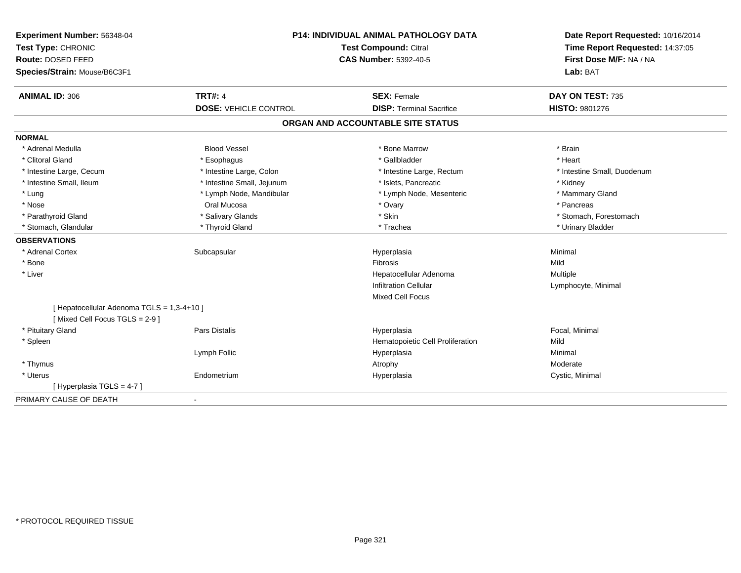| Experiment Number: 56348-04<br>Test Type: CHRONIC                           |                              | <b>P14: INDIVIDUAL ANIMAL PATHOLOGY DATA</b><br><b>Test Compound: Citral</b> | Date Report Requested: 10/16/2014<br>Time Report Requested: 14:37:05<br>First Dose M/F: NA / NA |
|-----------------------------------------------------------------------------|------------------------------|------------------------------------------------------------------------------|-------------------------------------------------------------------------------------------------|
| Route: DOSED FEED                                                           |                              | <b>CAS Number: 5392-40-5</b>                                                 |                                                                                                 |
| Species/Strain: Mouse/B6C3F1                                                |                              |                                                                              | Lab: BAT                                                                                        |
| <b>ANIMAL ID: 306</b>                                                       | <b>TRT#: 4</b>               | <b>SEX: Female</b>                                                           | DAY ON TEST: 735                                                                                |
|                                                                             | <b>DOSE: VEHICLE CONTROL</b> | <b>DISP: Terminal Sacrifice</b>                                              | HISTO: 9801276                                                                                  |
|                                                                             |                              | ORGAN AND ACCOUNTABLE SITE STATUS                                            |                                                                                                 |
| <b>NORMAL</b>                                                               |                              |                                                                              |                                                                                                 |
| * Adrenal Medulla                                                           | <b>Blood Vessel</b>          | * Bone Marrow                                                                | * Brain                                                                                         |
| * Clitoral Gland                                                            | * Esophagus                  | * Gallbladder                                                                | * Heart                                                                                         |
| * Intestine Large, Cecum                                                    | * Intestine Large, Colon     | * Intestine Large, Rectum                                                    | * Intestine Small, Duodenum                                                                     |
| * Intestine Small, Ileum                                                    | * Intestine Small, Jejunum   | * Islets, Pancreatic                                                         | * Kidney                                                                                        |
| * Lung                                                                      | * Lymph Node, Mandibular     | * Lymph Node, Mesenteric                                                     | * Mammary Gland                                                                                 |
| * Nose                                                                      | Oral Mucosa                  | * Ovary                                                                      | * Pancreas                                                                                      |
| * Parathyroid Gland                                                         | * Salivary Glands            | * Skin                                                                       | * Stomach, Forestomach                                                                          |
| * Stomach, Glandular                                                        | * Thyroid Gland              | * Trachea                                                                    | * Urinary Bladder                                                                               |
| <b>OBSERVATIONS</b>                                                         |                              |                                                                              |                                                                                                 |
| * Adrenal Cortex                                                            | Subcapsular                  | Hyperplasia                                                                  | Minimal                                                                                         |
| * Bone                                                                      |                              | Fibrosis                                                                     | Mild                                                                                            |
| * Liver                                                                     |                              | Hepatocellular Adenoma                                                       | Multiple                                                                                        |
|                                                                             |                              | <b>Infiltration Cellular</b>                                                 | Lymphocyte, Minimal                                                                             |
|                                                                             |                              | <b>Mixed Cell Focus</b>                                                      |                                                                                                 |
| [ Hepatocellular Adenoma TGLS = 1,3-4+10 ]<br>[Mixed Cell Focus TGLS = 2-9] |                              |                                                                              |                                                                                                 |
| * Pituitary Gland                                                           | <b>Pars Distalis</b>         | Hyperplasia                                                                  | Focal, Minimal                                                                                  |
| * Spleen                                                                    |                              | Hematopoietic Cell Proliferation                                             | Mild                                                                                            |
|                                                                             | Lymph Follic                 | Hyperplasia                                                                  | Minimal                                                                                         |
| * Thymus                                                                    |                              | Atrophy                                                                      | Moderate                                                                                        |
| * Uterus                                                                    | Endometrium                  | Hyperplasia                                                                  | Cystic, Minimal                                                                                 |
| [Hyperplasia TGLS = 4-7]                                                    |                              |                                                                              |                                                                                                 |
| PRIMARY CAUSE OF DEATH                                                      | $\overline{\phantom{a}}$     |                                                                              |                                                                                                 |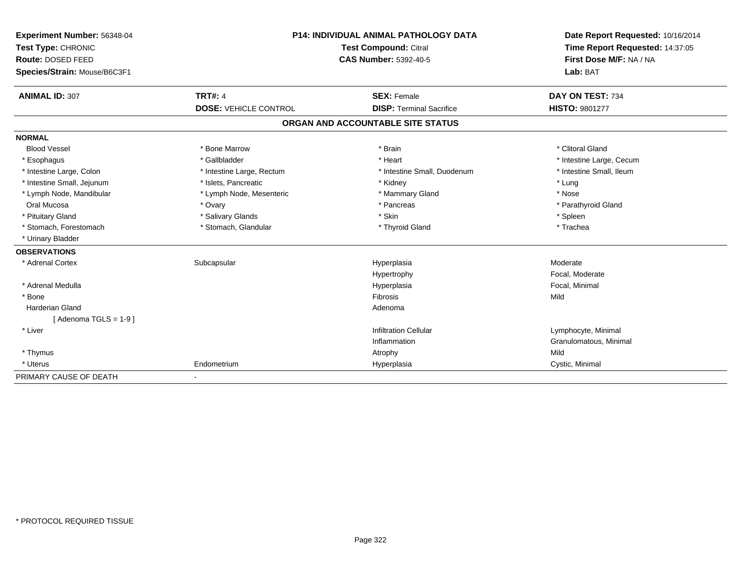| Experiment Number: 56348-04  | <b>P14: INDIVIDUAL ANIMAL PATHOLOGY DATA</b><br>Test Compound: Citral |                                   | Date Report Requested: 10/16/2014 |  |
|------------------------------|-----------------------------------------------------------------------|-----------------------------------|-----------------------------------|--|
| Test Type: CHRONIC           |                                                                       |                                   | Time Report Requested: 14:37:05   |  |
| Route: DOSED FEED            |                                                                       | <b>CAS Number: 5392-40-5</b>      | First Dose M/F: NA / NA           |  |
| Species/Strain: Mouse/B6C3F1 |                                                                       |                                   | Lab: BAT                          |  |
| <b>ANIMAL ID: 307</b>        | <b>TRT#: 4</b>                                                        | <b>SEX: Female</b>                | DAY ON TEST: 734                  |  |
|                              | <b>DOSE: VEHICLE CONTROL</b>                                          | <b>DISP: Terminal Sacrifice</b>   | <b>HISTO: 9801277</b>             |  |
|                              |                                                                       | ORGAN AND ACCOUNTABLE SITE STATUS |                                   |  |
| <b>NORMAL</b>                |                                                                       |                                   |                                   |  |
| <b>Blood Vessel</b>          | * Bone Marrow                                                         | * Brain                           | * Clitoral Gland                  |  |
| * Esophagus                  | * Gallbladder                                                         | * Heart                           | * Intestine Large, Cecum          |  |
| * Intestine Large, Colon     | * Intestine Large, Rectum                                             | * Intestine Small, Duodenum       | * Intestine Small, Ileum          |  |
| * Intestine Small, Jejunum   | * Islets, Pancreatic                                                  | * Kidney                          | * Lung                            |  |
| * Lymph Node, Mandibular     | * Lymph Node, Mesenteric                                              | * Mammary Gland                   | * Nose                            |  |
| Oral Mucosa                  | * Ovary                                                               | * Pancreas                        | * Parathyroid Gland               |  |
| * Pituitary Gland            | * Salivary Glands                                                     | * Skin                            | * Spleen                          |  |
| * Stomach, Forestomach       | * Stomach, Glandular                                                  | * Thyroid Gland                   | * Trachea                         |  |
| * Urinary Bladder            |                                                                       |                                   |                                   |  |
| <b>OBSERVATIONS</b>          |                                                                       |                                   |                                   |  |
| * Adrenal Cortex             | Subcapsular                                                           | Hyperplasia                       | Moderate                          |  |
|                              |                                                                       | Hypertrophy                       | Focal, Moderate                   |  |
| * Adrenal Medulla            |                                                                       | Hyperplasia                       | Focal, Minimal                    |  |
| * Bone                       |                                                                       | Fibrosis                          | Mild                              |  |
| <b>Harderian Gland</b>       |                                                                       | Adenoma                           |                                   |  |
| [Adenoma TGLS = $1-9$ ]      |                                                                       |                                   |                                   |  |
| * Liver                      |                                                                       | <b>Infiltration Cellular</b>      | Lymphocyte, Minimal               |  |
|                              |                                                                       | Inflammation                      | Granulomatous, Minimal            |  |
| * Thymus                     |                                                                       | Atrophy                           | Mild                              |  |
| * Uterus                     | Endometrium                                                           | Hyperplasia                       | Cystic, Minimal                   |  |
| PRIMARY CAUSE OF DEATH       | $\overline{\phantom{a}}$                                              |                                   |                                   |  |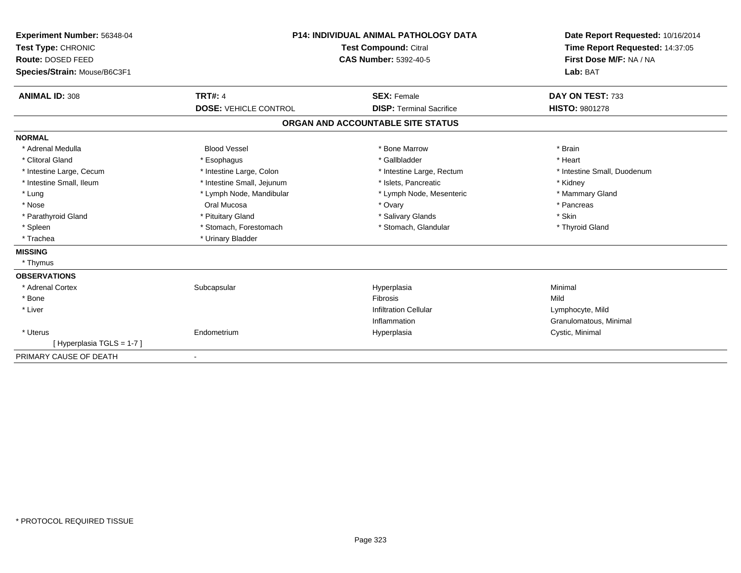| Experiment Number: 56348-04  | <b>P14: INDIVIDUAL ANIMAL PATHOLOGY DATA</b><br><b>Test Compound: Citral</b> |                                   | Date Report Requested: 10/16/2014 |  |
|------------------------------|------------------------------------------------------------------------------|-----------------------------------|-----------------------------------|--|
| Test Type: CHRONIC           |                                                                              |                                   | Time Report Requested: 14:37:05   |  |
| Route: DOSED FEED            |                                                                              | <b>CAS Number: 5392-40-5</b>      | First Dose M/F: NA / NA           |  |
| Species/Strain: Mouse/B6C3F1 |                                                                              |                                   | Lab: BAT                          |  |
| <b>ANIMAL ID: 308</b>        | <b>TRT#: 4</b>                                                               | <b>SEX: Female</b>                | DAY ON TEST: 733                  |  |
|                              | <b>DOSE: VEHICLE CONTROL</b>                                                 | <b>DISP: Terminal Sacrifice</b>   | <b>HISTO: 9801278</b>             |  |
|                              |                                                                              | ORGAN AND ACCOUNTABLE SITE STATUS |                                   |  |
| <b>NORMAL</b>                |                                                                              |                                   |                                   |  |
| * Adrenal Medulla            | <b>Blood Vessel</b>                                                          | * Bone Marrow                     | * Brain                           |  |
| * Clitoral Gland             | * Esophagus                                                                  | * Gallbladder                     | * Heart                           |  |
| * Intestine Large, Cecum     | * Intestine Large, Colon                                                     | * Intestine Large, Rectum         | * Intestine Small, Duodenum       |  |
| * Intestine Small, Ileum     | * Intestine Small, Jejunum                                                   | * Islets, Pancreatic              | * Kidney                          |  |
| * Lung                       | * Lymph Node, Mandibular                                                     | * Lymph Node, Mesenteric          | * Mammary Gland                   |  |
| * Nose                       | Oral Mucosa                                                                  | * Ovary                           | * Pancreas                        |  |
| * Parathyroid Gland          | * Pituitary Gland                                                            | * Salivary Glands                 | * Skin                            |  |
| * Spleen                     | * Stomach, Forestomach                                                       | * Stomach, Glandular              | * Thyroid Gland                   |  |
| * Trachea                    | * Urinary Bladder                                                            |                                   |                                   |  |
| <b>MISSING</b>               |                                                                              |                                   |                                   |  |
| * Thymus                     |                                                                              |                                   |                                   |  |
| <b>OBSERVATIONS</b>          |                                                                              |                                   |                                   |  |
| * Adrenal Cortex             | Subcapsular                                                                  | Hyperplasia                       | Minimal                           |  |
| * Bone                       |                                                                              | Fibrosis                          | Mild                              |  |
| * Liver                      |                                                                              | <b>Infiltration Cellular</b>      | Lymphocyte, Mild                  |  |
|                              |                                                                              | Inflammation                      | Granulomatous, Minimal            |  |
| * Uterus                     | Endometrium                                                                  | Hyperplasia                       | Cystic, Minimal                   |  |
| [Hyperplasia TGLS = 1-7]     |                                                                              |                                   |                                   |  |
| PRIMARY CAUSE OF DEATH       | $\blacksquare$                                                               |                                   |                                   |  |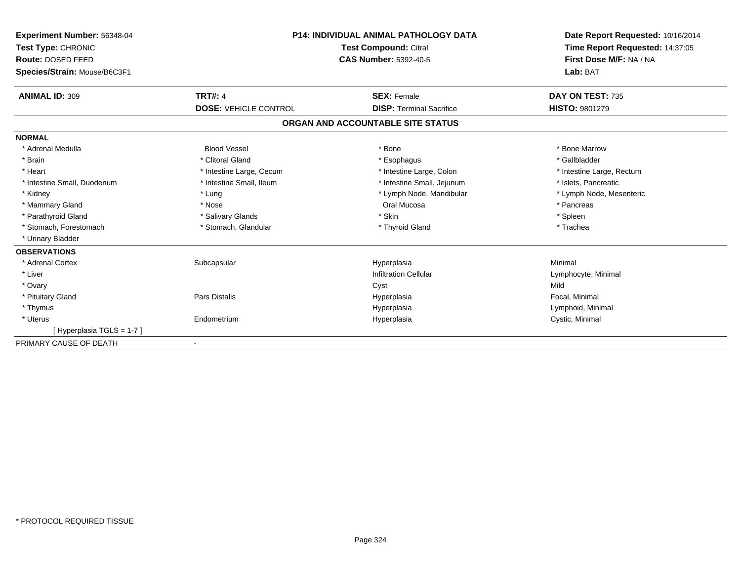| Experiment Number: 56348-04             | <b>P14: INDIVIDUAL ANIMAL PATHOLOGY DATA</b><br><b>Test Compound: Citral</b><br><b>CAS Number: 5392-40-5</b> |                                   | Date Report Requested: 10/16/2014<br>Time Report Requested: 14:37:05<br>First Dose M/F: NA / NA |
|-----------------------------------------|--------------------------------------------------------------------------------------------------------------|-----------------------------------|-------------------------------------------------------------------------------------------------|
| Test Type: CHRONIC<br>Route: DOSED FEED |                                                                                                              |                                   |                                                                                                 |
| Species/Strain: Mouse/B6C3F1            |                                                                                                              |                                   | Lab: BAT                                                                                        |
|                                         |                                                                                                              |                                   |                                                                                                 |
| <b>ANIMAL ID: 309</b>                   | <b>TRT#: 4</b>                                                                                               | <b>SEX: Female</b>                | DAY ON TEST: 735                                                                                |
|                                         | <b>DOSE: VEHICLE CONTROL</b>                                                                                 | <b>DISP: Terminal Sacrifice</b>   | <b>HISTO: 9801279</b>                                                                           |
|                                         |                                                                                                              | ORGAN AND ACCOUNTABLE SITE STATUS |                                                                                                 |
| <b>NORMAL</b>                           |                                                                                                              |                                   |                                                                                                 |
| * Adrenal Medulla                       | <b>Blood Vessel</b>                                                                                          | * Bone                            | * Bone Marrow                                                                                   |
| * Brain                                 | * Clitoral Gland                                                                                             | * Esophagus                       | * Gallbladder                                                                                   |
| * Heart                                 | * Intestine Large, Cecum                                                                                     | * Intestine Large, Colon          | * Intestine Large, Rectum                                                                       |
| * Intestine Small, Duodenum             | * Intestine Small, Ileum                                                                                     | * Intestine Small, Jejunum        | * Islets, Pancreatic                                                                            |
| * Kidney                                | * Lung                                                                                                       | * Lymph Node, Mandibular          | * Lymph Node, Mesenteric                                                                        |
| * Mammary Gland                         | * Nose                                                                                                       | Oral Mucosa                       | * Pancreas                                                                                      |
| * Parathyroid Gland                     | * Salivary Glands                                                                                            | * Skin                            | * Spleen                                                                                        |
| * Stomach, Forestomach                  | * Stomach, Glandular                                                                                         | * Thyroid Gland                   | * Trachea                                                                                       |
| * Urinary Bladder                       |                                                                                                              |                                   |                                                                                                 |
| <b>OBSERVATIONS</b>                     |                                                                                                              |                                   |                                                                                                 |
| * Adrenal Cortex                        | Subcapsular                                                                                                  | Hyperplasia                       | Minimal                                                                                         |
| * Liver                                 |                                                                                                              | <b>Infiltration Cellular</b>      | Lymphocyte, Minimal                                                                             |
| * Ovary                                 |                                                                                                              | Cyst                              | Mild                                                                                            |
| * Pituitary Gland                       | Pars Distalis                                                                                                | Hyperplasia                       | Focal, Minimal                                                                                  |
| * Thymus                                |                                                                                                              | Hyperplasia                       | Lymphoid, Minimal                                                                               |
| * Uterus                                | Endometrium                                                                                                  | Hyperplasia                       | Cystic, Minimal                                                                                 |
| [Hyperplasia TGLS = 1-7]                |                                                                                                              |                                   |                                                                                                 |
| PRIMARY CAUSE OF DEATH                  |                                                                                                              |                                   |                                                                                                 |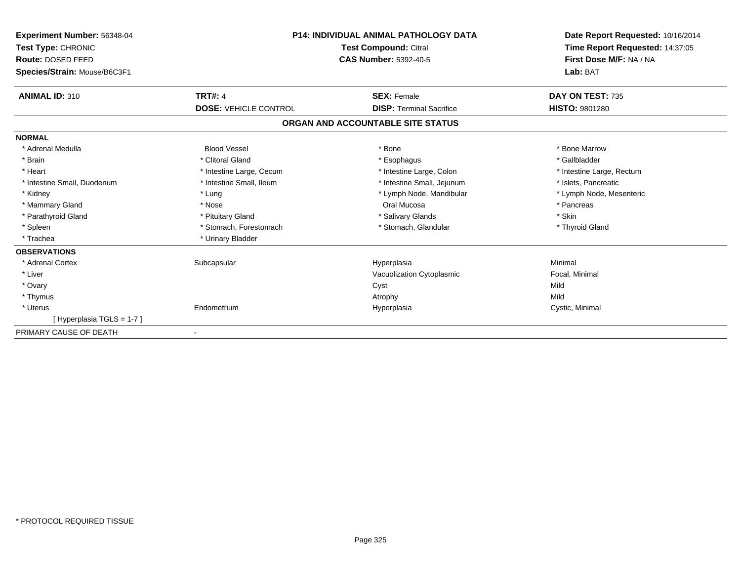| Experiment Number: 56348-04<br>Test Type: CHRONIC<br>Route: DOSED FEED<br>Species/Strain: Mouse/B6C3F1 |                              | P14: INDIVIDUAL ANIMAL PATHOLOGY DATA<br><b>Test Compound: Citral</b><br><b>CAS Number: 5392-40-5</b> | Date Report Requested: 10/16/2014<br>Time Report Requested: 14:37:05<br>First Dose M/F: NA / NA<br>Lab: BAT |
|--------------------------------------------------------------------------------------------------------|------------------------------|-------------------------------------------------------------------------------------------------------|-------------------------------------------------------------------------------------------------------------|
| <b>ANIMAL ID: 310</b>                                                                                  | <b>TRT#: 4</b>               | <b>SEX: Female</b>                                                                                    | DAY ON TEST: 735                                                                                            |
|                                                                                                        | <b>DOSE: VEHICLE CONTROL</b> | <b>DISP: Terminal Sacrifice</b>                                                                       | HISTO: 9801280                                                                                              |
|                                                                                                        |                              | ORGAN AND ACCOUNTABLE SITE STATUS                                                                     |                                                                                                             |
| <b>NORMAL</b>                                                                                          |                              |                                                                                                       |                                                                                                             |
| * Adrenal Medulla                                                                                      | <b>Blood Vessel</b>          | * Bone                                                                                                | * Bone Marrow                                                                                               |
| * Brain                                                                                                | * Clitoral Gland             | * Esophagus                                                                                           | * Gallbladder                                                                                               |
| * Heart                                                                                                | * Intestine Large, Cecum     | * Intestine Large, Colon                                                                              | * Intestine Large, Rectum                                                                                   |
| * Intestine Small, Duodenum                                                                            | * Intestine Small, Ileum     | * Intestine Small, Jejunum                                                                            | * Islets, Pancreatic                                                                                        |
| * Kidney                                                                                               | * Lung                       | * Lymph Node, Mandibular                                                                              | * Lymph Node, Mesenteric                                                                                    |
| * Mammary Gland                                                                                        | * Nose                       | Oral Mucosa                                                                                           | * Pancreas                                                                                                  |
| * Parathyroid Gland                                                                                    | * Pituitary Gland            | * Salivary Glands                                                                                     | * Skin                                                                                                      |
| * Spleen                                                                                               | * Stomach, Forestomach       | * Stomach, Glandular                                                                                  | * Thyroid Gland                                                                                             |
| * Trachea                                                                                              | * Urinary Bladder            |                                                                                                       |                                                                                                             |
| <b>OBSERVATIONS</b>                                                                                    |                              |                                                                                                       |                                                                                                             |
| * Adrenal Cortex                                                                                       | Subcapsular                  | Hyperplasia                                                                                           | Minimal                                                                                                     |
| * Liver                                                                                                |                              | Vacuolization Cytoplasmic                                                                             | Focal, Minimal                                                                                              |
| * Ovary                                                                                                |                              | Cyst                                                                                                  | Mild                                                                                                        |
| * Thymus                                                                                               |                              | Atrophy                                                                                               | Mild                                                                                                        |
| * Uterus                                                                                               | Endometrium                  | Hyperplasia                                                                                           | Cystic, Minimal                                                                                             |
| [Hyperplasia TGLS = 1-7]                                                                               |                              |                                                                                                       |                                                                                                             |
| PRIMARY CAUSE OF DEATH                                                                                 |                              |                                                                                                       |                                                                                                             |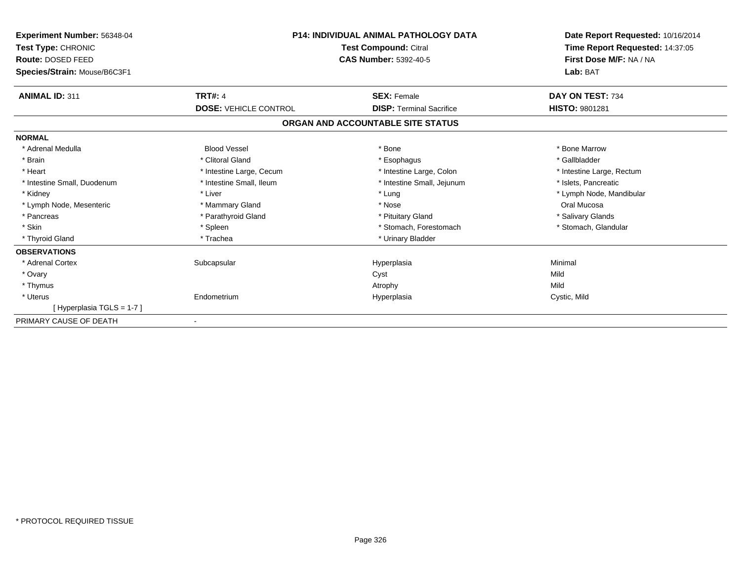| <b>Experiment Number: 56348-04</b><br>Test Type: CHRONIC<br>Route: DOSED FEED<br>Species/Strain: Mouse/B6C3F1 | P14: INDIVIDUAL ANIMAL PATHOLOGY DATA<br><b>Test Compound: Citral</b><br><b>CAS Number: 5392-40-5</b> |                                   | Date Report Requested: 10/16/2014<br>Time Report Requested: 14:37:05<br>First Dose M/F: NA / NA<br>Lab: BAT |
|---------------------------------------------------------------------------------------------------------------|-------------------------------------------------------------------------------------------------------|-----------------------------------|-------------------------------------------------------------------------------------------------------------|
| <b>ANIMAL ID: 311</b>                                                                                         | <b>TRT#: 4</b>                                                                                        | <b>SEX: Female</b>                | DAY ON TEST: 734                                                                                            |
|                                                                                                               | <b>DOSE: VEHICLE CONTROL</b>                                                                          | <b>DISP: Terminal Sacrifice</b>   | <b>HISTO: 9801281</b>                                                                                       |
|                                                                                                               |                                                                                                       | ORGAN AND ACCOUNTABLE SITE STATUS |                                                                                                             |
| <b>NORMAL</b>                                                                                                 |                                                                                                       |                                   |                                                                                                             |
| * Adrenal Medulla                                                                                             | <b>Blood Vessel</b>                                                                                   | * Bone                            | * Bone Marrow                                                                                               |
| * Brain                                                                                                       | * Clitoral Gland                                                                                      | * Esophagus                       | * Gallbladder                                                                                               |
| * Heart                                                                                                       | * Intestine Large, Cecum                                                                              | * Intestine Large, Colon          | * Intestine Large, Rectum                                                                                   |
| * Intestine Small, Duodenum                                                                                   | * Intestine Small, Ileum                                                                              | * Intestine Small, Jejunum        | * Islets, Pancreatic                                                                                        |
| * Kidney                                                                                                      | * Liver                                                                                               | * Lung                            | * Lymph Node, Mandibular                                                                                    |
| * Lymph Node, Mesenteric                                                                                      | * Mammary Gland                                                                                       | * Nose                            | Oral Mucosa                                                                                                 |
| * Pancreas                                                                                                    | * Parathyroid Gland                                                                                   | * Pituitary Gland                 | * Salivary Glands                                                                                           |
| * Skin                                                                                                        | * Spleen                                                                                              | * Stomach, Forestomach            | * Stomach, Glandular                                                                                        |
| * Thyroid Gland                                                                                               | * Trachea                                                                                             | * Urinary Bladder                 |                                                                                                             |
| <b>OBSERVATIONS</b>                                                                                           |                                                                                                       |                                   |                                                                                                             |
| * Adrenal Cortex                                                                                              | Subcapsular                                                                                           | Hyperplasia                       | Minimal                                                                                                     |
| * Ovary                                                                                                       |                                                                                                       | Cyst                              | Mild                                                                                                        |
| * Thymus                                                                                                      |                                                                                                       | Atrophy                           | Mild                                                                                                        |
| * Uterus                                                                                                      | Endometrium                                                                                           | Hyperplasia                       | Cystic, Mild                                                                                                |
| [Hyperplasia TGLS = 1-7]                                                                                      |                                                                                                       |                                   |                                                                                                             |
| PRIMARY CAUSE OF DEATH                                                                                        |                                                                                                       |                                   |                                                                                                             |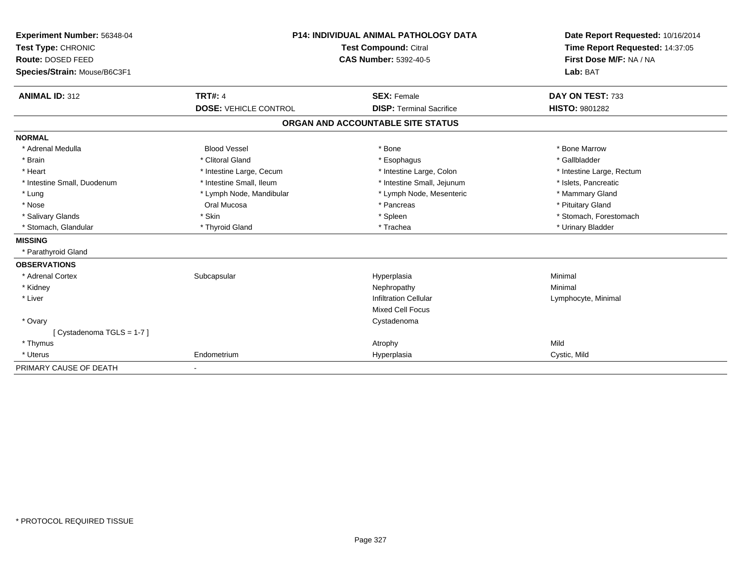| Experiment Number: 56348-04  | <b>P14: INDIVIDUAL ANIMAL PATHOLOGY DATA</b><br><b>Test Compound: Citral</b><br><b>CAS Number: 5392-40-5</b> |                                   | Date Report Requested: 10/16/2014 |
|------------------------------|--------------------------------------------------------------------------------------------------------------|-----------------------------------|-----------------------------------|
| Test Type: CHRONIC           |                                                                                                              |                                   | Time Report Requested: 14:37:05   |
| Route: DOSED FEED            |                                                                                                              |                                   | First Dose M/F: NA / NA           |
| Species/Strain: Mouse/B6C3F1 |                                                                                                              |                                   | Lab: BAT                          |
| <b>ANIMAL ID: 312</b>        | <b>TRT#: 4</b>                                                                                               | <b>SEX: Female</b>                | DAY ON TEST: 733                  |
|                              | <b>DOSE: VEHICLE CONTROL</b>                                                                                 | <b>DISP: Terminal Sacrifice</b>   | <b>HISTO: 9801282</b>             |
|                              |                                                                                                              | ORGAN AND ACCOUNTABLE SITE STATUS |                                   |
| <b>NORMAL</b>                |                                                                                                              |                                   |                                   |
| * Adrenal Medulla            | <b>Blood Vessel</b>                                                                                          | * Bone                            | * Bone Marrow                     |
| * Brain                      | * Clitoral Gland                                                                                             | * Esophagus                       | * Gallbladder                     |
| * Heart                      | * Intestine Large, Cecum                                                                                     | * Intestine Large, Colon          | * Intestine Large, Rectum         |
| * Intestine Small, Duodenum  | * Intestine Small, Ileum                                                                                     | * Intestine Small, Jejunum        | * Islets, Pancreatic              |
| * Lung                       | * Lymph Node, Mandibular                                                                                     | * Lymph Node, Mesenteric          | * Mammary Gland                   |
| * Nose                       | Oral Mucosa                                                                                                  | * Pancreas                        | * Pituitary Gland                 |
| * Salivary Glands            | * Skin                                                                                                       | * Spleen                          | * Stomach, Forestomach            |
| * Stomach, Glandular         | * Thyroid Gland                                                                                              | * Trachea                         | * Urinary Bladder                 |
| <b>MISSING</b>               |                                                                                                              |                                   |                                   |
| * Parathyroid Gland          |                                                                                                              |                                   |                                   |
| <b>OBSERVATIONS</b>          |                                                                                                              |                                   |                                   |
| * Adrenal Cortex             | Subcapsular                                                                                                  | Hyperplasia                       | Minimal                           |
| * Kidney                     |                                                                                                              | Nephropathy                       | Minimal                           |
| * Liver                      |                                                                                                              | <b>Infiltration Cellular</b>      | Lymphocyte, Minimal               |
|                              |                                                                                                              | <b>Mixed Cell Focus</b>           |                                   |
| * Ovary                      |                                                                                                              | Cystadenoma                       |                                   |
| [ Cystadenoma TGLS = 1-7 ]   |                                                                                                              |                                   |                                   |
| * Thymus                     |                                                                                                              | Atrophy                           | Mild                              |
| * Uterus                     | Endometrium                                                                                                  | Hyperplasia                       | Cystic, Mild                      |
| PRIMARY CAUSE OF DEATH       |                                                                                                              |                                   |                                   |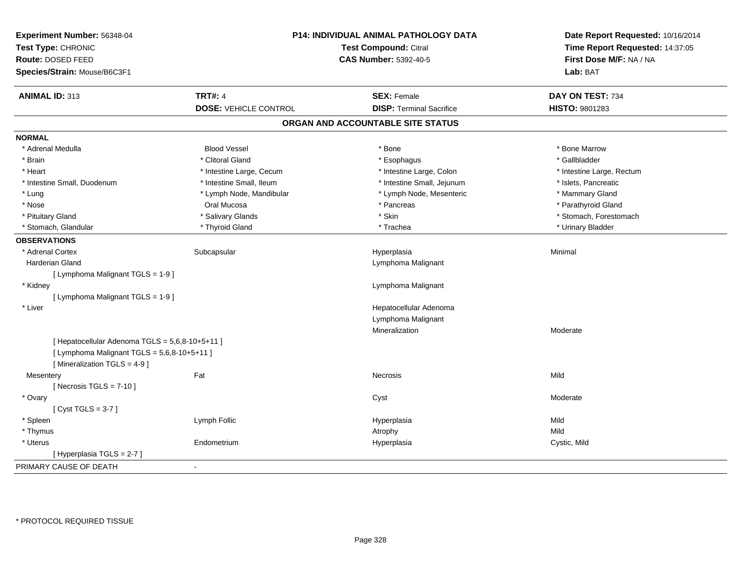| Experiment Number: 56348-04                     |                              | P14: INDIVIDUAL ANIMAL PATHOLOGY DATA | Date Report Requested: 10/16/2014 |
|-------------------------------------------------|------------------------------|---------------------------------------|-----------------------------------|
| Test Type: CHRONIC                              |                              | Test Compound: Citral                 | Time Report Requested: 14:37:05   |
| Route: DOSED FEED                               |                              | <b>CAS Number: 5392-40-5</b>          | First Dose M/F: NA / NA           |
| Species/Strain: Mouse/B6C3F1                    |                              |                                       | Lab: BAT                          |
| <b>ANIMAL ID: 313</b>                           | <b>TRT#: 4</b>               | <b>SEX: Female</b>                    | DAY ON TEST: 734                  |
|                                                 | <b>DOSE: VEHICLE CONTROL</b> | <b>DISP: Terminal Sacrifice</b>       | HISTO: 9801283                    |
|                                                 |                              | ORGAN AND ACCOUNTABLE SITE STATUS     |                                   |
| <b>NORMAL</b>                                   |                              |                                       |                                   |
| * Adrenal Medulla                               | <b>Blood Vessel</b>          | * Bone                                | * Bone Marrow                     |
| * Brain                                         | * Clitoral Gland             | * Esophagus                           | * Gallbladder                     |
| * Heart                                         | * Intestine Large, Cecum     | * Intestine Large, Colon              | * Intestine Large, Rectum         |
| * Intestine Small, Duodenum                     | * Intestine Small, Ileum     | * Intestine Small, Jejunum            | * Islets, Pancreatic              |
| * Lung                                          | * Lymph Node, Mandibular     | * Lymph Node, Mesenteric              | * Mammary Gland                   |
| * Nose                                          | Oral Mucosa                  | * Pancreas                            | * Parathyroid Gland               |
| * Pituitary Gland                               | * Salivary Glands            | * Skin                                | * Stomach, Forestomach            |
| * Stomach, Glandular                            | * Thyroid Gland              | * Trachea                             | * Urinary Bladder                 |
| <b>OBSERVATIONS</b>                             |                              |                                       |                                   |
| * Adrenal Cortex                                | Subcapsular                  | Hyperplasia                           | Minimal                           |
| Harderian Gland                                 |                              | Lymphoma Malignant                    |                                   |
| [ Lymphoma Malignant TGLS = 1-9 ]               |                              |                                       |                                   |
| * Kidney                                        |                              | Lymphoma Malignant                    |                                   |
| [ Lymphoma Malignant TGLS = 1-9 ]               |                              |                                       |                                   |
| * Liver                                         |                              | Hepatocellular Adenoma                |                                   |
|                                                 |                              | Lymphoma Malignant                    |                                   |
|                                                 |                              | Mineralization                        | Moderate                          |
| [ Hepatocellular Adenoma TGLS = 5,6,8-10+5+11 ] |                              |                                       |                                   |
| [ Lymphoma Malignant TGLS = 5,6,8-10+5+11 ]     |                              |                                       |                                   |
| [Mineralization TGLS = 4-9]                     |                              |                                       |                                   |
| Mesentery                                       | Fat                          | <b>Necrosis</b>                       | Mild                              |
| [Necrosis $TGLS = 7-10$ ]                       |                              |                                       |                                   |
| * Ovary                                         |                              | Cyst                                  | Moderate                          |
| [Cyst TGLS = $3-7$ ]                            |                              |                                       |                                   |
| * Spleen                                        | Lymph Follic                 | Hyperplasia                           | Mild                              |
| * Thymus                                        |                              | Atrophy                               | Mild                              |
| * Uterus                                        | Endometrium                  | Hyperplasia                           | Cystic, Mild                      |
| [Hyperplasia TGLS = $2-7$ ]                     |                              |                                       |                                   |
| PRIMARY CAUSE OF DEATH                          |                              |                                       |                                   |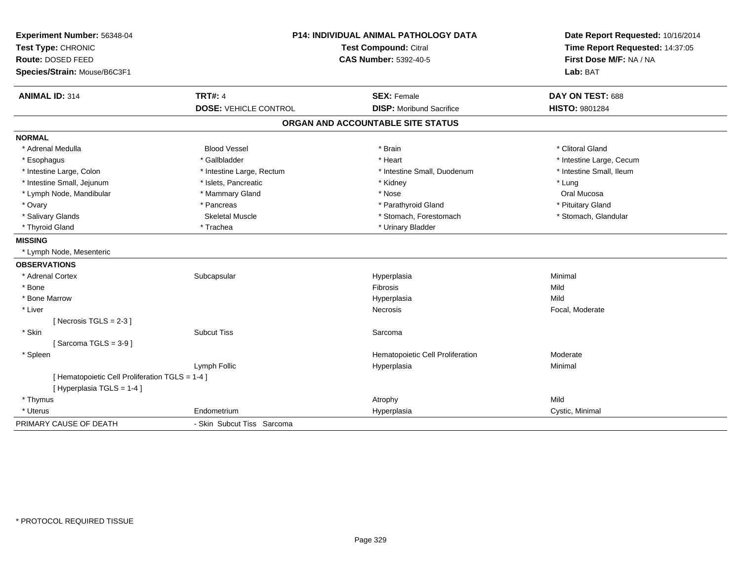| Experiment Number: 56348-04<br>Test Type: CHRONIC |                              | <b>P14: INDIVIDUAL ANIMAL PATHOLOGY DATA</b><br>Test Compound: Citral | Date Report Requested: 10/16/2014<br>Time Report Requested: 14:37:05 |
|---------------------------------------------------|------------------------------|-----------------------------------------------------------------------|----------------------------------------------------------------------|
| Route: DOSED FEED                                 |                              | <b>CAS Number: 5392-40-5</b>                                          | First Dose M/F: NA / NA                                              |
| Species/Strain: Mouse/B6C3F1                      |                              |                                                                       | Lab: BAT                                                             |
| <b>ANIMAL ID: 314</b>                             | <b>TRT#: 4</b>               | <b>SEX: Female</b>                                                    | DAY ON TEST: 688                                                     |
|                                                   | <b>DOSE: VEHICLE CONTROL</b> | <b>DISP:</b> Moribund Sacrifice                                       | HISTO: 9801284                                                       |
|                                                   |                              | ORGAN AND ACCOUNTABLE SITE STATUS                                     |                                                                      |
| <b>NORMAL</b>                                     |                              |                                                                       |                                                                      |
| * Adrenal Medulla                                 | <b>Blood Vessel</b>          | * Brain                                                               | * Clitoral Gland                                                     |
| * Esophagus                                       | * Gallbladder                | * Heart                                                               | * Intestine Large, Cecum                                             |
| * Intestine Large, Colon                          | * Intestine Large, Rectum    | * Intestine Small, Duodenum                                           | * Intestine Small, Ileum                                             |
| * Intestine Small, Jejunum                        | * Islets, Pancreatic         | * Kidney                                                              | * Lung                                                               |
| * Lymph Node, Mandibular                          | * Mammary Gland              | * Nose                                                                | Oral Mucosa                                                          |
| * Ovary                                           | * Pancreas                   | * Parathyroid Gland                                                   | * Pituitary Gland                                                    |
| * Salivary Glands                                 | <b>Skeletal Muscle</b>       | * Stomach, Forestomach                                                | * Stomach, Glandular                                                 |
| * Thyroid Gland                                   | * Trachea                    | * Urinary Bladder                                                     |                                                                      |
| <b>MISSING</b>                                    |                              |                                                                       |                                                                      |
| * Lymph Node, Mesenteric                          |                              |                                                                       |                                                                      |
| <b>OBSERVATIONS</b>                               |                              |                                                                       |                                                                      |
| * Adrenal Cortex                                  | Subcapsular                  | Hyperplasia                                                           | Minimal                                                              |
| * Bone                                            |                              | <b>Fibrosis</b>                                                       | Mild                                                                 |
| * Bone Marrow                                     |                              | Hyperplasia                                                           | Mild                                                                 |
| * Liver                                           |                              | Necrosis                                                              | Focal, Moderate                                                      |
| [ Necrosis $TGLS = 2-3$ ]                         |                              |                                                                       |                                                                      |
| * Skin                                            | <b>Subcut Tiss</b>           | Sarcoma                                                               |                                                                      |
| [Sarcoma TGLS = $3-9$ ]                           |                              |                                                                       |                                                                      |
| * Spleen                                          |                              | Hematopoietic Cell Proliferation                                      | Moderate                                                             |
|                                                   | Lymph Follic                 | Hyperplasia                                                           | Minimal                                                              |
| [ Hematopoietic Cell Proliferation TGLS = 1-4 ]   |                              |                                                                       |                                                                      |
| [Hyperplasia TGLS = 1-4]                          |                              |                                                                       |                                                                      |
| * Thymus                                          |                              | Atrophy                                                               | Mild                                                                 |
| * Uterus                                          | Endometrium                  | Hyperplasia                                                           | Cystic, Minimal                                                      |
| PRIMARY CAUSE OF DEATH                            | - Skin Subcut Tiss Sarcoma   |                                                                       |                                                                      |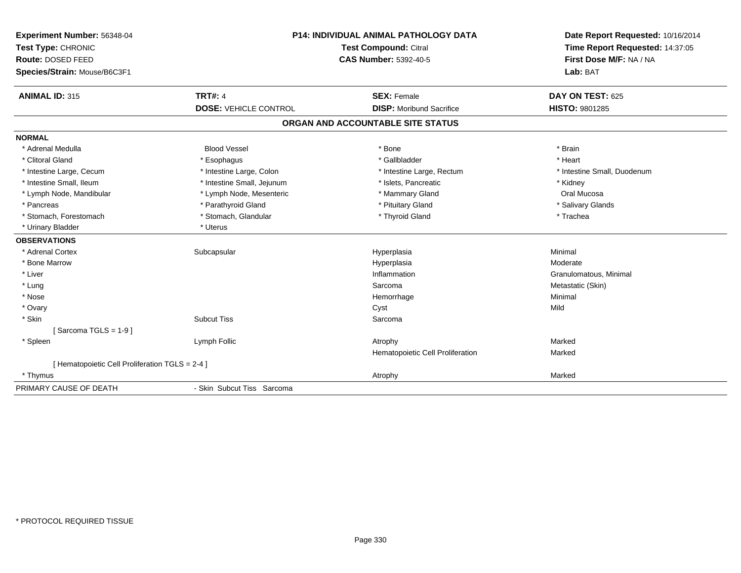| Experiment Number: 56348-04                     | <b>P14: INDIVIDUAL ANIMAL PATHOLOGY DATA</b> |                                   | Date Report Requested: 10/16/2014 |
|-------------------------------------------------|----------------------------------------------|-----------------------------------|-----------------------------------|
| Test Type: CHRONIC                              |                                              | <b>Test Compound: Citral</b>      | Time Report Requested: 14:37:05   |
| Route: DOSED FEED                               |                                              | <b>CAS Number: 5392-40-5</b>      | First Dose M/F: NA / NA           |
| Species/Strain: Mouse/B6C3F1                    |                                              |                                   | Lab: BAT                          |
| <b>ANIMAL ID: 315</b>                           | <b>TRT#: 4</b>                               | <b>SEX: Female</b>                | DAY ON TEST: 625                  |
|                                                 | <b>DOSE: VEHICLE CONTROL</b>                 | <b>DISP:</b> Moribund Sacrifice   | <b>HISTO: 9801285</b>             |
|                                                 |                                              | ORGAN AND ACCOUNTABLE SITE STATUS |                                   |
| <b>NORMAL</b>                                   |                                              |                                   |                                   |
| * Adrenal Medulla                               | <b>Blood Vessel</b>                          | * Bone                            | * Brain                           |
| * Clitoral Gland                                | * Esophagus                                  | * Gallbladder                     | * Heart                           |
| * Intestine Large, Cecum                        | * Intestine Large, Colon                     | * Intestine Large, Rectum         | * Intestine Small, Duodenum       |
| * Intestine Small, Ileum                        | * Intestine Small, Jejunum                   | * Islets, Pancreatic              | * Kidney                          |
| * Lymph Node, Mandibular                        | * Lymph Node, Mesenteric                     | * Mammary Gland                   | Oral Mucosa                       |
| * Pancreas                                      | * Parathyroid Gland                          | * Pituitary Gland                 | * Salivary Glands                 |
| * Stomach, Forestomach                          | * Stomach, Glandular                         | * Thyroid Gland                   | * Trachea                         |
| * Urinary Bladder                               | * Uterus                                     |                                   |                                   |
| <b>OBSERVATIONS</b>                             |                                              |                                   |                                   |
| * Adrenal Cortex                                | Subcapsular                                  | Hyperplasia                       | Minimal                           |
| * Bone Marrow                                   |                                              | Hyperplasia                       | Moderate                          |
| * Liver                                         |                                              | Inflammation                      | Granulomatous, Minimal            |
| * Lung                                          |                                              | Sarcoma                           | Metastatic (Skin)                 |
| * Nose                                          |                                              | Hemorrhage                        | Minimal                           |
| * Ovary                                         |                                              | Cyst                              | Mild                              |
| * Skin                                          | <b>Subcut Tiss</b>                           | Sarcoma                           |                                   |
| [Sarcoma TGLS = $1-9$ ]                         |                                              |                                   |                                   |
| * Spleen                                        | Lymph Follic                                 | Atrophy                           | Marked                            |
|                                                 |                                              | Hematopoietic Cell Proliferation  | Marked                            |
| [ Hematopoietic Cell Proliferation TGLS = 2-4 ] |                                              |                                   |                                   |
| * Thymus                                        |                                              | Atrophy                           | Marked                            |
| PRIMARY CAUSE OF DEATH                          | - Skin Subcut Tiss Sarcoma                   |                                   |                                   |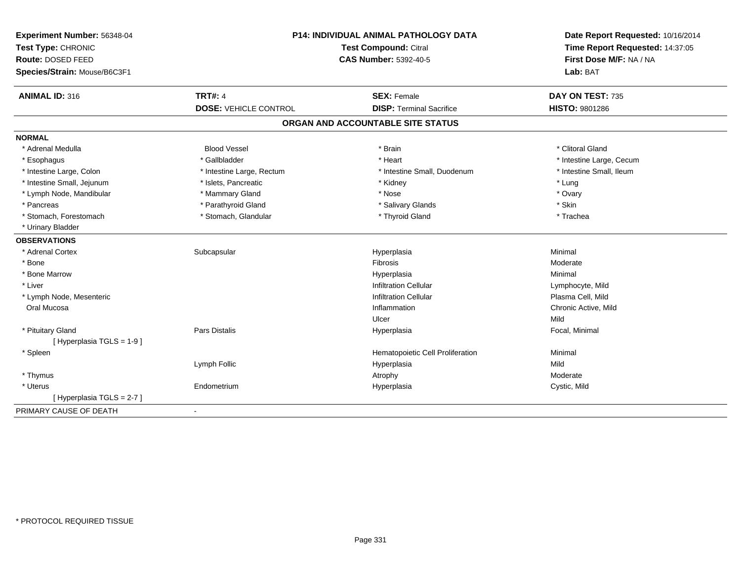| <b>ANIMAL ID: 316</b><br><b>TRT#: 4</b><br>DAY ON TEST: 735<br><b>SEX: Female</b><br><b>DOSE: VEHICLE CONTROL</b><br><b>DISP: Terminal Sacrifice</b><br><b>HISTO: 9801286</b><br>ORGAN AND ACCOUNTABLE SITE STATUS<br><b>NORMAL</b><br><b>Blood Vessel</b><br>* Adrenal Medulla<br>* Brain<br>* Clitoral Gland<br>* Gallbladder<br>* Intestine Large, Cecum<br>* Heart<br>* Esophagus<br>* Intestine Small, Ileum<br>* Intestine Large, Colon<br>* Intestine Large, Rectum<br>* Intestine Small, Duodenum<br>* Intestine Small, Jejunum<br>* Islets, Pancreatic<br>* Lung<br>* Kidney<br>* Lymph Node, Mandibular<br>* Mammary Gland<br>* Ovary<br>* Nose<br>* Parathyroid Gland<br>* Skin<br>* Pancreas<br>* Salivary Glands<br>* Stomach, Glandular<br>* Thyroid Gland<br>* Stomach, Forestomach<br>* Trachea<br>* Urinary Bladder<br><b>OBSERVATIONS</b><br>* Adrenal Cortex<br>Minimal<br>Subcapsular<br>Hyperplasia<br>* Bone<br>Fibrosis<br>Moderate<br>Minimal<br>* Bone Marrow<br>Hyperplasia<br>* Liver<br><b>Infiltration Cellular</b><br>Lymphocyte, Mild<br>Plasma Cell, Mild<br><b>Infiltration Cellular</b><br>* Lymph Node, Mesenteric<br>Chronic Active, Mild<br>Oral Mucosa<br>Inflammation<br>Mild<br>Ulcer<br>Pars Distalis<br>* Pituitary Gland<br>Focal, Minimal<br>Hyperplasia<br>[Hyperplasia TGLS = 1-9]<br>* Spleen<br>Hematopoietic Cell Proliferation<br>Minimal<br>Lymph Follic<br>Mild<br>Hyperplasia<br>* Thymus<br>Moderate<br>Atrophy<br>* Uterus<br>Endometrium<br>Hyperplasia<br>Cystic, Mild<br>[Hyperplasia TGLS = 2-7]<br>PRIMARY CAUSE OF DEATH<br>$\blacksquare$ | Experiment Number: 56348-04<br>Test Type: CHRONIC<br>Route: DOSED FEED<br>Species/Strain: Mouse/B6C3F1 | P14: INDIVIDUAL ANIMAL PATHOLOGY DATA<br><b>Test Compound: Citral</b><br><b>CAS Number: 5392-40-5</b> |  |
|---------------------------------------------------------------------------------------------------------------------------------------------------------------------------------------------------------------------------------------------------------------------------------------------------------------------------------------------------------------------------------------------------------------------------------------------------------------------------------------------------------------------------------------------------------------------------------------------------------------------------------------------------------------------------------------------------------------------------------------------------------------------------------------------------------------------------------------------------------------------------------------------------------------------------------------------------------------------------------------------------------------------------------------------------------------------------------------------------------------------------------------------------------------------------------------------------------------------------------------------------------------------------------------------------------------------------------------------------------------------------------------------------------------------------------------------------------------------------------------------------------------------------------------------------------------------------------------------------------|--------------------------------------------------------------------------------------------------------|-------------------------------------------------------------------------------------------------------|--|
|                                                                                                                                                                                                                                                                                                                                                                                                                                                                                                                                                                                                                                                                                                                                                                                                                                                                                                                                                                                                                                                                                                                                                                                                                                                                                                                                                                                                                                                                                                                                                                                                         |                                                                                                        |                                                                                                       |  |
|                                                                                                                                                                                                                                                                                                                                                                                                                                                                                                                                                                                                                                                                                                                                                                                                                                                                                                                                                                                                                                                                                                                                                                                                                                                                                                                                                                                                                                                                                                                                                                                                         |                                                                                                        |                                                                                                       |  |
|                                                                                                                                                                                                                                                                                                                                                                                                                                                                                                                                                                                                                                                                                                                                                                                                                                                                                                                                                                                                                                                                                                                                                                                                                                                                                                                                                                                                                                                                                                                                                                                                         |                                                                                                        |                                                                                                       |  |
|                                                                                                                                                                                                                                                                                                                                                                                                                                                                                                                                                                                                                                                                                                                                                                                                                                                                                                                                                                                                                                                                                                                                                                                                                                                                                                                                                                                                                                                                                                                                                                                                         |                                                                                                        |                                                                                                       |  |
|                                                                                                                                                                                                                                                                                                                                                                                                                                                                                                                                                                                                                                                                                                                                                                                                                                                                                                                                                                                                                                                                                                                                                                                                                                                                                                                                                                                                                                                                                                                                                                                                         |                                                                                                        |                                                                                                       |  |
|                                                                                                                                                                                                                                                                                                                                                                                                                                                                                                                                                                                                                                                                                                                                                                                                                                                                                                                                                                                                                                                                                                                                                                                                                                                                                                                                                                                                                                                                                                                                                                                                         |                                                                                                        |                                                                                                       |  |
|                                                                                                                                                                                                                                                                                                                                                                                                                                                                                                                                                                                                                                                                                                                                                                                                                                                                                                                                                                                                                                                                                                                                                                                                                                                                                                                                                                                                                                                                                                                                                                                                         |                                                                                                        |                                                                                                       |  |
|                                                                                                                                                                                                                                                                                                                                                                                                                                                                                                                                                                                                                                                                                                                                                                                                                                                                                                                                                                                                                                                                                                                                                                                                                                                                                                                                                                                                                                                                                                                                                                                                         |                                                                                                        |                                                                                                       |  |
|                                                                                                                                                                                                                                                                                                                                                                                                                                                                                                                                                                                                                                                                                                                                                                                                                                                                                                                                                                                                                                                                                                                                                                                                                                                                                                                                                                                                                                                                                                                                                                                                         |                                                                                                        |                                                                                                       |  |
|                                                                                                                                                                                                                                                                                                                                                                                                                                                                                                                                                                                                                                                                                                                                                                                                                                                                                                                                                                                                                                                                                                                                                                                                                                                                                                                                                                                                                                                                                                                                                                                                         |                                                                                                        |                                                                                                       |  |
|                                                                                                                                                                                                                                                                                                                                                                                                                                                                                                                                                                                                                                                                                                                                                                                                                                                                                                                                                                                                                                                                                                                                                                                                                                                                                                                                                                                                                                                                                                                                                                                                         |                                                                                                        |                                                                                                       |  |
|                                                                                                                                                                                                                                                                                                                                                                                                                                                                                                                                                                                                                                                                                                                                                                                                                                                                                                                                                                                                                                                                                                                                                                                                                                                                                                                                                                                                                                                                                                                                                                                                         |                                                                                                        |                                                                                                       |  |
|                                                                                                                                                                                                                                                                                                                                                                                                                                                                                                                                                                                                                                                                                                                                                                                                                                                                                                                                                                                                                                                                                                                                                                                                                                                                                                                                                                                                                                                                                                                                                                                                         |                                                                                                        |                                                                                                       |  |
|                                                                                                                                                                                                                                                                                                                                                                                                                                                                                                                                                                                                                                                                                                                                                                                                                                                                                                                                                                                                                                                                                                                                                                                                                                                                                                                                                                                                                                                                                                                                                                                                         |                                                                                                        |                                                                                                       |  |
|                                                                                                                                                                                                                                                                                                                                                                                                                                                                                                                                                                                                                                                                                                                                                                                                                                                                                                                                                                                                                                                                                                                                                                                                                                                                                                                                                                                                                                                                                                                                                                                                         |                                                                                                        |                                                                                                       |  |
|                                                                                                                                                                                                                                                                                                                                                                                                                                                                                                                                                                                                                                                                                                                                                                                                                                                                                                                                                                                                                                                                                                                                                                                                                                                                                                                                                                                                                                                                                                                                                                                                         |                                                                                                        |                                                                                                       |  |
|                                                                                                                                                                                                                                                                                                                                                                                                                                                                                                                                                                                                                                                                                                                                                                                                                                                                                                                                                                                                                                                                                                                                                                                                                                                                                                                                                                                                                                                                                                                                                                                                         |                                                                                                        |                                                                                                       |  |
|                                                                                                                                                                                                                                                                                                                                                                                                                                                                                                                                                                                                                                                                                                                                                                                                                                                                                                                                                                                                                                                                                                                                                                                                                                                                                                                                                                                                                                                                                                                                                                                                         |                                                                                                        |                                                                                                       |  |
|                                                                                                                                                                                                                                                                                                                                                                                                                                                                                                                                                                                                                                                                                                                                                                                                                                                                                                                                                                                                                                                                                                                                                                                                                                                                                                                                                                                                                                                                                                                                                                                                         |                                                                                                        |                                                                                                       |  |
|                                                                                                                                                                                                                                                                                                                                                                                                                                                                                                                                                                                                                                                                                                                                                                                                                                                                                                                                                                                                                                                                                                                                                                                                                                                                                                                                                                                                                                                                                                                                                                                                         |                                                                                                        |                                                                                                       |  |
|                                                                                                                                                                                                                                                                                                                                                                                                                                                                                                                                                                                                                                                                                                                                                                                                                                                                                                                                                                                                                                                                                                                                                                                                                                                                                                                                                                                                                                                                                                                                                                                                         |                                                                                                        |                                                                                                       |  |
|                                                                                                                                                                                                                                                                                                                                                                                                                                                                                                                                                                                                                                                                                                                                                                                                                                                                                                                                                                                                                                                                                                                                                                                                                                                                                                                                                                                                                                                                                                                                                                                                         |                                                                                                        |                                                                                                       |  |
|                                                                                                                                                                                                                                                                                                                                                                                                                                                                                                                                                                                                                                                                                                                                                                                                                                                                                                                                                                                                                                                                                                                                                                                                                                                                                                                                                                                                                                                                                                                                                                                                         |                                                                                                        |                                                                                                       |  |
|                                                                                                                                                                                                                                                                                                                                                                                                                                                                                                                                                                                                                                                                                                                                                                                                                                                                                                                                                                                                                                                                                                                                                                                                                                                                                                                                                                                                                                                                                                                                                                                                         |                                                                                                        |                                                                                                       |  |
|                                                                                                                                                                                                                                                                                                                                                                                                                                                                                                                                                                                                                                                                                                                                                                                                                                                                                                                                                                                                                                                                                                                                                                                                                                                                                                                                                                                                                                                                                                                                                                                                         |                                                                                                        |                                                                                                       |  |
|                                                                                                                                                                                                                                                                                                                                                                                                                                                                                                                                                                                                                                                                                                                                                                                                                                                                                                                                                                                                                                                                                                                                                                                                                                                                                                                                                                                                                                                                                                                                                                                                         |                                                                                                        |                                                                                                       |  |
|                                                                                                                                                                                                                                                                                                                                                                                                                                                                                                                                                                                                                                                                                                                                                                                                                                                                                                                                                                                                                                                                                                                                                                                                                                                                                                                                                                                                                                                                                                                                                                                                         |                                                                                                        |                                                                                                       |  |
|                                                                                                                                                                                                                                                                                                                                                                                                                                                                                                                                                                                                                                                                                                                                                                                                                                                                                                                                                                                                                                                                                                                                                                                                                                                                                                                                                                                                                                                                                                                                                                                                         |                                                                                                        |                                                                                                       |  |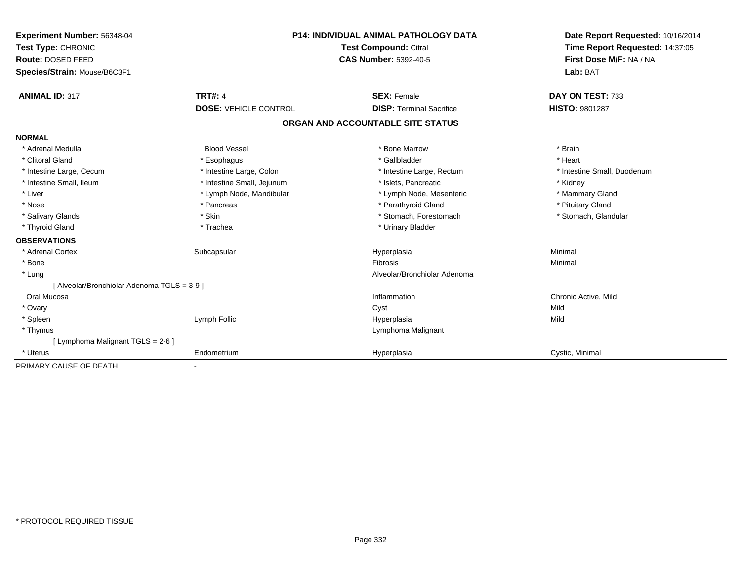| Experiment Number: 56348-04                 | <b>P14: INDIVIDUAL ANIMAL PATHOLOGY DATA</b><br><b>Test Compound: Citral</b><br>CAS Number: 5392-40-5 |                                   | Date Report Requested: 10/16/2014 |
|---------------------------------------------|-------------------------------------------------------------------------------------------------------|-----------------------------------|-----------------------------------|
| Test Type: CHRONIC                          |                                                                                                       |                                   | Time Report Requested: 14:37:05   |
| Route: DOSED FEED                           |                                                                                                       |                                   | First Dose M/F: NA / NA           |
| Species/Strain: Mouse/B6C3F1                |                                                                                                       |                                   | Lab: BAT                          |
| <b>ANIMAL ID: 317</b>                       | <b>TRT#: 4</b>                                                                                        | <b>SEX: Female</b>                | DAY ON TEST: 733                  |
|                                             | <b>DOSE: VEHICLE CONTROL</b>                                                                          | <b>DISP: Terminal Sacrifice</b>   | <b>HISTO: 9801287</b>             |
|                                             |                                                                                                       | ORGAN AND ACCOUNTABLE SITE STATUS |                                   |
| <b>NORMAL</b>                               |                                                                                                       |                                   |                                   |
| * Adrenal Medulla                           | <b>Blood Vessel</b>                                                                                   | * Bone Marrow                     | * Brain                           |
| * Clitoral Gland                            | * Esophagus                                                                                           | * Gallbladder                     | * Heart                           |
| * Intestine Large, Cecum                    | * Intestine Large, Colon                                                                              | * Intestine Large, Rectum         | * Intestine Small, Duodenum       |
| * Intestine Small, Ileum                    | * Intestine Small, Jejunum                                                                            | * Islets, Pancreatic              | * Kidney                          |
| * Liver                                     | * Lymph Node, Mandibular                                                                              | * Lymph Node, Mesenteric          | * Mammary Gland                   |
| * Nose                                      | * Pancreas                                                                                            | * Parathyroid Gland               | * Pituitary Gland                 |
| * Salivary Glands                           | * Skin                                                                                                | * Stomach, Forestomach            | * Stomach, Glandular              |
| * Thyroid Gland                             | * Trachea                                                                                             | * Urinary Bladder                 |                                   |
| <b>OBSERVATIONS</b>                         |                                                                                                       |                                   |                                   |
| * Adrenal Cortex                            | Subcapsular                                                                                           | Hyperplasia                       | Minimal                           |
| * Bone                                      |                                                                                                       | <b>Fibrosis</b>                   | Minimal                           |
| * Lung                                      |                                                                                                       | Alveolar/Bronchiolar Adenoma      |                                   |
| [ Alveolar/Bronchiolar Adenoma TGLS = 3-9 ] |                                                                                                       |                                   |                                   |
| Oral Mucosa                                 |                                                                                                       | Inflammation                      | Chronic Active, Mild              |
| * Ovary                                     |                                                                                                       | Cyst                              | Mild                              |
| * Spleen                                    | Lymph Follic                                                                                          | Hyperplasia                       | Mild                              |
| * Thymus                                    |                                                                                                       | Lymphoma Malignant                |                                   |
| [ Lymphoma Malignant TGLS = 2-6 ]           |                                                                                                       |                                   |                                   |
| * Uterus                                    | Endometrium                                                                                           | Hyperplasia                       | Cystic, Minimal                   |
| PRIMARY CAUSE OF DEATH                      |                                                                                                       |                                   |                                   |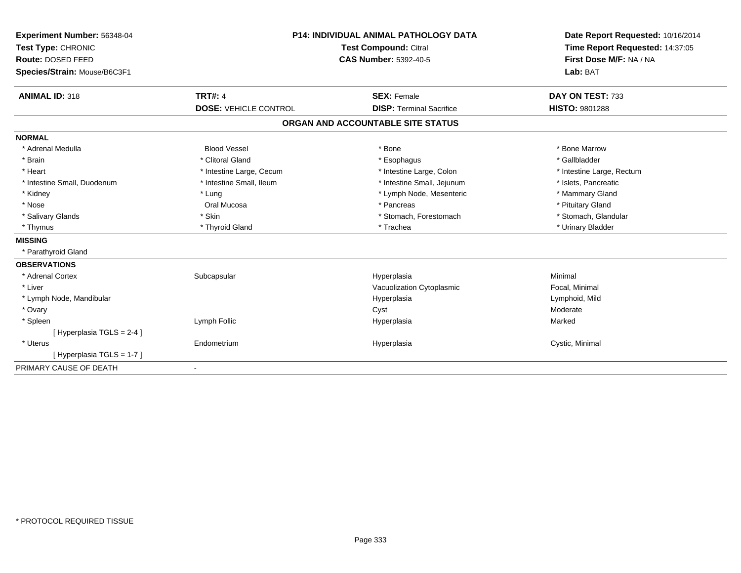| Experiment Number: 56348-04  | <b>P14: INDIVIDUAL ANIMAL PATHOLOGY DATA</b><br>Test Compound: Citral<br><b>CAS Number: 5392-40-5</b> |                                   | Date Report Requested: 10/16/2014 |
|------------------------------|-------------------------------------------------------------------------------------------------------|-----------------------------------|-----------------------------------|
| Test Type: CHRONIC           |                                                                                                       |                                   | Time Report Requested: 14:37:05   |
| Route: DOSED FEED            |                                                                                                       |                                   | First Dose M/F: NA / NA           |
| Species/Strain: Mouse/B6C3F1 |                                                                                                       |                                   | Lab: BAT                          |
| <b>ANIMAL ID: 318</b>        | <b>TRT#: 4</b>                                                                                        | <b>SEX: Female</b>                | DAY ON TEST: 733                  |
|                              | <b>DOSE: VEHICLE CONTROL</b>                                                                          | <b>DISP: Terminal Sacrifice</b>   | <b>HISTO: 9801288</b>             |
|                              |                                                                                                       | ORGAN AND ACCOUNTABLE SITE STATUS |                                   |
| <b>NORMAL</b>                |                                                                                                       |                                   |                                   |
| * Adrenal Medulla            | <b>Blood Vessel</b>                                                                                   | * Bone                            | * Bone Marrow                     |
| * Brain                      | * Clitoral Gland                                                                                      | * Esophagus                       | * Gallbladder                     |
| * Heart                      | * Intestine Large, Cecum                                                                              | * Intestine Large, Colon          | * Intestine Large, Rectum         |
| * Intestine Small, Duodenum  | * Intestine Small, Ileum                                                                              | * Intestine Small, Jejunum        | * Islets, Pancreatic              |
| * Kidney                     | * Lung                                                                                                | * Lymph Node, Mesenteric          | * Mammary Gland                   |
| * Nose                       | Oral Mucosa                                                                                           | * Pancreas                        | * Pituitary Gland                 |
| * Salivary Glands            | * Skin                                                                                                | * Stomach, Forestomach            | * Stomach, Glandular              |
| * Thymus                     | * Thyroid Gland                                                                                       | * Trachea                         | * Urinary Bladder                 |
| <b>MISSING</b>               |                                                                                                       |                                   |                                   |
| * Parathyroid Gland          |                                                                                                       |                                   |                                   |
| <b>OBSERVATIONS</b>          |                                                                                                       |                                   |                                   |
| * Adrenal Cortex             | Subcapsular                                                                                           | Hyperplasia                       | Minimal                           |
| * Liver                      |                                                                                                       | Vacuolization Cytoplasmic         | Focal, Minimal                    |
| * Lymph Node, Mandibular     |                                                                                                       | Hyperplasia                       | Lymphoid, Mild                    |
| * Ovary                      |                                                                                                       | Cyst                              | Moderate                          |
| * Spleen                     | Lymph Follic                                                                                          | Hyperplasia                       | Marked                            |
| [ Hyperplasia TGLS = 2-4 ]   |                                                                                                       |                                   |                                   |
| * Uterus                     | Endometrium                                                                                           | Hyperplasia                       | Cystic, Minimal                   |
| [Hyperplasia TGLS = 1-7]     |                                                                                                       |                                   |                                   |
| PRIMARY CAUSE OF DEATH       | $\overline{\phantom{a}}$                                                                              |                                   |                                   |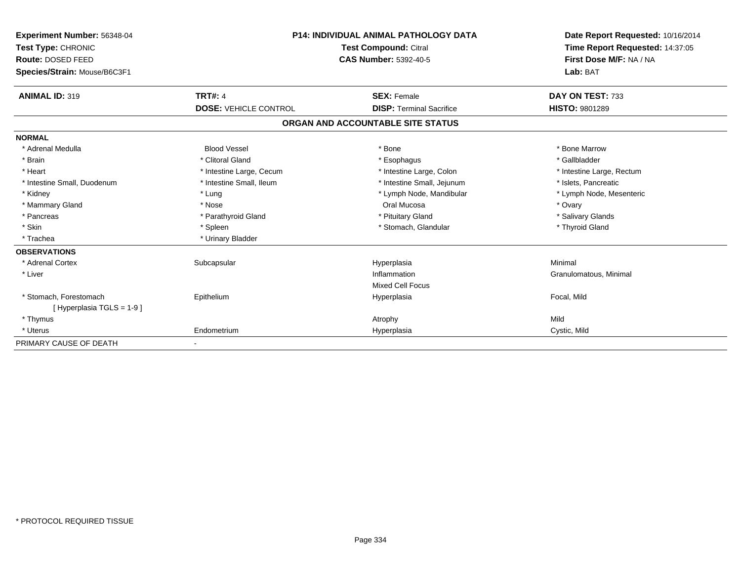| Experiment Number: 56348-04<br>Test Type: CHRONIC |                              | <b>P14: INDIVIDUAL ANIMAL PATHOLOGY DATA</b><br><b>Test Compound: Citral</b> | Date Report Requested: 10/16/2014<br>Time Report Requested: 14:37:05 |
|---------------------------------------------------|------------------------------|------------------------------------------------------------------------------|----------------------------------------------------------------------|
| Route: DOSED FEED                                 |                              | <b>CAS Number: 5392-40-5</b>                                                 | First Dose M/F: NA / NA                                              |
| Species/Strain: Mouse/B6C3F1                      |                              |                                                                              | Lab: BAT                                                             |
|                                                   |                              |                                                                              |                                                                      |
| <b>ANIMAL ID: 319</b>                             | <b>TRT#: 4</b>               | <b>SEX: Female</b>                                                           | DAY ON TEST: 733                                                     |
|                                                   | <b>DOSE: VEHICLE CONTROL</b> | <b>DISP: Terminal Sacrifice</b>                                              | <b>HISTO: 9801289</b>                                                |
|                                                   |                              | ORGAN AND ACCOUNTABLE SITE STATUS                                            |                                                                      |
| <b>NORMAL</b>                                     |                              |                                                                              |                                                                      |
| * Adrenal Medulla                                 | <b>Blood Vessel</b>          | * Bone                                                                       | * Bone Marrow                                                        |
| * Brain                                           | * Clitoral Gland             | * Esophagus                                                                  | * Gallbladder                                                        |
| * Heart                                           | * Intestine Large, Cecum     | * Intestine Large, Colon                                                     | * Intestine Large, Rectum                                            |
| * Intestine Small, Duodenum                       | * Intestine Small, Ileum     | * Intestine Small, Jejunum                                                   | * Islets, Pancreatic                                                 |
| * Kidney                                          | * Lung                       | * Lymph Node, Mandibular                                                     | * Lymph Node, Mesenteric                                             |
| * Mammary Gland                                   | * Nose                       | Oral Mucosa                                                                  | * Ovary                                                              |
| * Pancreas                                        | * Parathyroid Gland          | * Pituitary Gland                                                            | * Salivary Glands                                                    |
| * Skin                                            | * Spleen                     | * Stomach, Glandular                                                         | * Thyroid Gland                                                      |
| * Trachea                                         | * Urinary Bladder            |                                                                              |                                                                      |
| <b>OBSERVATIONS</b>                               |                              |                                                                              |                                                                      |
| * Adrenal Cortex                                  | Subcapsular                  | Hyperplasia                                                                  | Minimal                                                              |
| * Liver                                           |                              | Inflammation                                                                 | Granulomatous, Minimal                                               |
|                                                   |                              | <b>Mixed Cell Focus</b>                                                      |                                                                      |
| * Stomach. Forestomach                            | Epithelium                   | Hyperplasia                                                                  | Focal, Mild                                                          |
| [Hyperplasia TGLS = $1-9$ ]                       |                              |                                                                              |                                                                      |
| * Thymus                                          |                              | Atrophy                                                                      | Mild                                                                 |
| * Uterus                                          | Endometrium                  | Hyperplasia                                                                  | Cystic, Mild                                                         |
| PRIMARY CAUSE OF DEATH                            | ٠                            |                                                                              |                                                                      |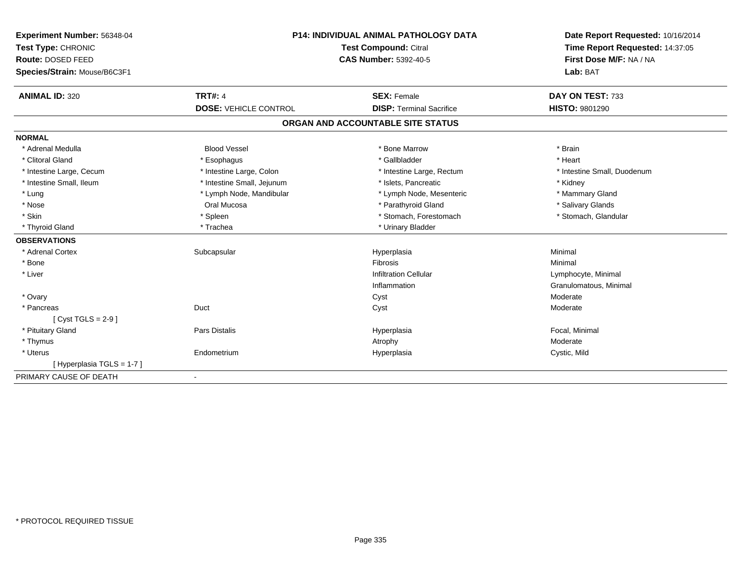| Experiment Number: 56348-04  | <b>P14: INDIVIDUAL ANIMAL PATHOLOGY DATA</b><br>Test Compound: Citral<br><b>CAS Number: 5392-40-5</b> |                                   | Date Report Requested: 10/16/2014 |  |
|------------------------------|-------------------------------------------------------------------------------------------------------|-----------------------------------|-----------------------------------|--|
| Test Type: CHRONIC           |                                                                                                       |                                   | Time Report Requested: 14:37:05   |  |
| Route: DOSED FEED            |                                                                                                       |                                   | First Dose M/F: NA / NA           |  |
| Species/Strain: Mouse/B6C3F1 |                                                                                                       |                                   | Lab: BAT                          |  |
| <b>ANIMAL ID: 320</b>        | <b>TRT#: 4</b>                                                                                        | <b>SEX: Female</b>                | DAY ON TEST: 733                  |  |
|                              | <b>DOSE: VEHICLE CONTROL</b>                                                                          | <b>DISP: Terminal Sacrifice</b>   | <b>HISTO: 9801290</b>             |  |
|                              |                                                                                                       | ORGAN AND ACCOUNTABLE SITE STATUS |                                   |  |
| <b>NORMAL</b>                |                                                                                                       |                                   |                                   |  |
| * Adrenal Medulla            | <b>Blood Vessel</b>                                                                                   | * Bone Marrow                     | * Brain                           |  |
| * Clitoral Gland             | * Esophagus                                                                                           | * Gallbladder                     | * Heart                           |  |
| * Intestine Large, Cecum     | * Intestine Large, Colon                                                                              | * Intestine Large, Rectum         | * Intestine Small, Duodenum       |  |
| * Intestine Small, Ileum     | * Intestine Small, Jejunum                                                                            | * Islets. Pancreatic              | * Kidney                          |  |
| * Lung                       | * Lymph Node, Mandibular                                                                              | * Lymph Node, Mesenteric          | * Mammary Gland                   |  |
| * Nose                       | Oral Mucosa                                                                                           | * Parathyroid Gland               | * Salivary Glands                 |  |
| * Skin                       | * Spleen                                                                                              | * Stomach, Forestomach            | * Stomach, Glandular              |  |
| * Thyroid Gland              | * Trachea                                                                                             | * Urinary Bladder                 |                                   |  |
| <b>OBSERVATIONS</b>          |                                                                                                       |                                   |                                   |  |
| * Adrenal Cortex             | Subcapsular                                                                                           | Hyperplasia                       | Minimal                           |  |
| * Bone                       |                                                                                                       | Fibrosis                          | Minimal                           |  |
| * Liver                      |                                                                                                       | <b>Infiltration Cellular</b>      | Lymphocyte, Minimal               |  |
|                              |                                                                                                       | Inflammation                      | Granulomatous, Minimal            |  |
| * Ovary                      |                                                                                                       | Cyst                              | Moderate                          |  |
| * Pancreas                   | Duct                                                                                                  | Cyst                              | Moderate                          |  |
| $[Cyst TGLS = 2-9]$          |                                                                                                       |                                   |                                   |  |
| * Pituitary Gland            | Pars Distalis                                                                                         | Hyperplasia                       | Focal, Minimal                    |  |
| * Thymus                     |                                                                                                       | Atrophy                           | Moderate                          |  |
| * Uterus                     | Endometrium                                                                                           | Hyperplasia                       | Cystic, Mild                      |  |
| [Hyperplasia TGLS = 1-7]     |                                                                                                       |                                   |                                   |  |
| PRIMARY CAUSE OF DEATH       |                                                                                                       |                                   |                                   |  |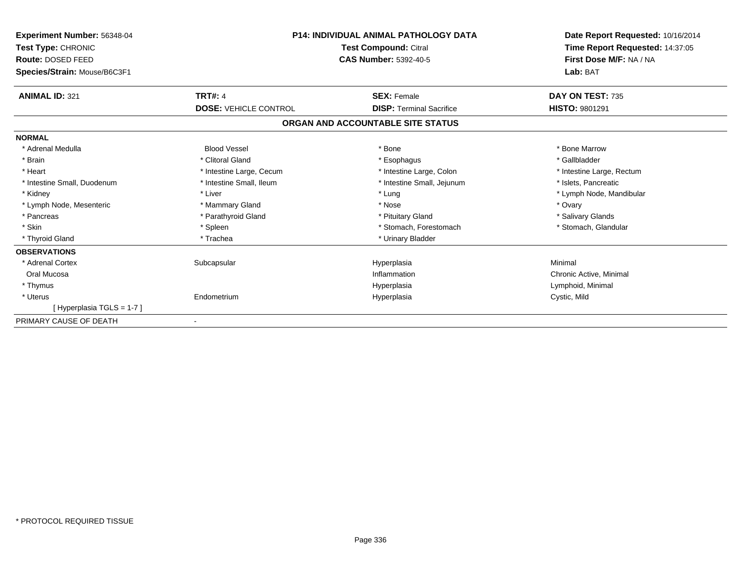| <b>Experiment Number: 56348-04</b><br>Test Type: CHRONIC<br>Route: DOSED FEED<br>Species/Strain: Mouse/B6C3F1 | <b>P14: INDIVIDUAL ANIMAL PATHOLOGY DATA</b><br><b>Test Compound: Citral</b><br><b>CAS Number: 5392-40-5</b> |                                   | Date Report Requested: 10/16/2014<br>Time Report Requested: 14:37:05<br>First Dose M/F: NA / NA<br>Lab: BAT |
|---------------------------------------------------------------------------------------------------------------|--------------------------------------------------------------------------------------------------------------|-----------------------------------|-------------------------------------------------------------------------------------------------------------|
| <b>ANIMAL ID: 321</b>                                                                                         | <b>TRT#: 4</b>                                                                                               | <b>SEX: Female</b>                | DAY ON TEST: 735                                                                                            |
|                                                                                                               | <b>DOSE: VEHICLE CONTROL</b>                                                                                 | <b>DISP: Terminal Sacrifice</b>   | <b>HISTO: 9801291</b>                                                                                       |
|                                                                                                               |                                                                                                              | ORGAN AND ACCOUNTABLE SITE STATUS |                                                                                                             |
| <b>NORMAL</b>                                                                                                 |                                                                                                              |                                   |                                                                                                             |
| * Adrenal Medulla                                                                                             | <b>Blood Vessel</b>                                                                                          | * Bone                            | * Bone Marrow                                                                                               |
| * Brain                                                                                                       | * Clitoral Gland                                                                                             | * Esophagus                       | * Gallbladder                                                                                               |
| * Heart                                                                                                       | * Intestine Large, Cecum                                                                                     | * Intestine Large, Colon          | * Intestine Large, Rectum                                                                                   |
| * Intestine Small, Duodenum                                                                                   | * Intestine Small, Ileum                                                                                     | * Intestine Small, Jejunum        | * Islets, Pancreatic                                                                                        |
| * Kidney                                                                                                      | * Liver                                                                                                      | * Lung                            | * Lymph Node, Mandibular                                                                                    |
| * Lymph Node, Mesenteric                                                                                      | * Mammary Gland                                                                                              | * Nose                            | * Ovary                                                                                                     |
| * Pancreas                                                                                                    | * Parathyroid Gland                                                                                          | * Pituitary Gland                 | * Salivary Glands                                                                                           |
| * Skin                                                                                                        | * Spleen                                                                                                     | * Stomach, Forestomach            | * Stomach, Glandular                                                                                        |
| * Thyroid Gland                                                                                               | * Trachea                                                                                                    | * Urinary Bladder                 |                                                                                                             |
| <b>OBSERVATIONS</b>                                                                                           |                                                                                                              |                                   |                                                                                                             |
| * Adrenal Cortex                                                                                              | Subcapsular                                                                                                  | Hyperplasia                       | Minimal                                                                                                     |
| Oral Mucosa                                                                                                   |                                                                                                              | Inflammation                      | Chronic Active, Minimal                                                                                     |
| * Thymus                                                                                                      |                                                                                                              | Hyperplasia                       | Lymphoid, Minimal                                                                                           |
| * Uterus                                                                                                      | Endometrium                                                                                                  | Hyperplasia                       | Cystic, Mild                                                                                                |
| [Hyperplasia TGLS = 1-7]                                                                                      |                                                                                                              |                                   |                                                                                                             |
| PRIMARY CAUSE OF DEATH                                                                                        |                                                                                                              |                                   |                                                                                                             |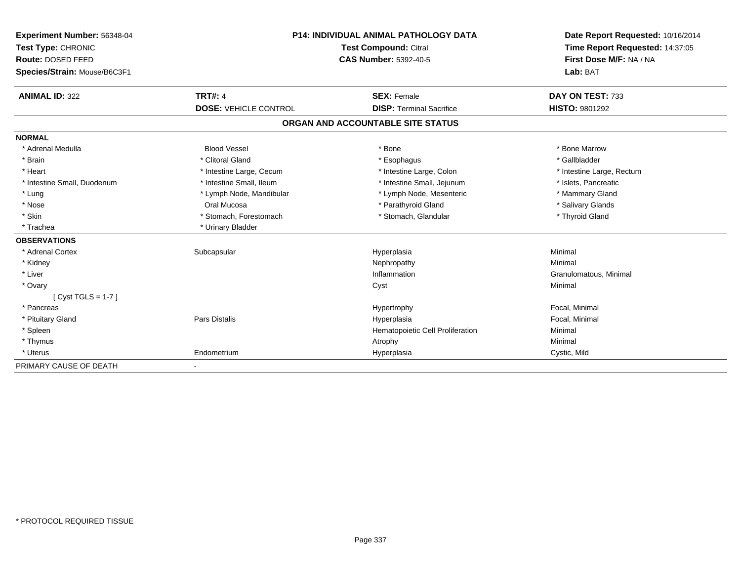| Experiment Number: 56348-04  | P14: INDIVIDUAL ANIMAL PATHOLOGY DATA |                                   | Date Report Requested: 10/16/2014 |  |
|------------------------------|---------------------------------------|-----------------------------------|-----------------------------------|--|
| Test Type: CHRONIC           |                                       | Test Compound: Citral             | Time Report Requested: 14:37:05   |  |
| Route: DOSED FEED            |                                       | <b>CAS Number: 5392-40-5</b>      | First Dose M/F: NA / NA           |  |
| Species/Strain: Mouse/B6C3F1 |                                       |                                   | Lab: BAT                          |  |
| <b>ANIMAL ID: 322</b>        | <b>TRT#: 4</b>                        | <b>SEX: Female</b>                | DAY ON TEST: 733                  |  |
|                              | <b>DOSE: VEHICLE CONTROL</b>          | <b>DISP: Terminal Sacrifice</b>   | <b>HISTO: 9801292</b>             |  |
|                              |                                       | ORGAN AND ACCOUNTABLE SITE STATUS |                                   |  |
| <b>NORMAL</b>                |                                       |                                   |                                   |  |
| * Adrenal Medulla            | <b>Blood Vessel</b>                   | * Bone                            | * Bone Marrow                     |  |
| * Brain                      | * Clitoral Gland                      | * Esophagus                       | * Gallbladder                     |  |
| * Heart                      | * Intestine Large, Cecum              | * Intestine Large, Colon          | * Intestine Large, Rectum         |  |
| * Intestine Small, Duodenum  | * Intestine Small, Ileum              | * Intestine Small, Jejunum        | * Islets, Pancreatic              |  |
| * Lung                       | * Lymph Node, Mandibular              | * Lymph Node, Mesenteric          | * Mammary Gland                   |  |
| * Nose                       | Oral Mucosa                           | * Parathyroid Gland               | * Salivary Glands                 |  |
| * Skin                       | * Stomach, Forestomach                | * Stomach, Glandular              | * Thyroid Gland                   |  |
| * Trachea                    | * Urinary Bladder                     |                                   |                                   |  |
| <b>OBSERVATIONS</b>          |                                       |                                   |                                   |  |
| * Adrenal Cortex             | Subcapsular                           | Hyperplasia                       | Minimal                           |  |
| * Kidney                     |                                       | Nephropathy                       | Minimal                           |  |
| * Liver                      |                                       | Inflammation                      | Granulomatous, Minimal            |  |
| * Ovary                      |                                       | Cyst                              | Minimal                           |  |
| $[Cyst TGLS = 1-7]$          |                                       |                                   |                                   |  |
| * Pancreas                   |                                       | Hypertrophy                       | Focal, Minimal                    |  |
| * Pituitary Gland            | Pars Distalis                         | Hyperplasia                       | Focal, Minimal                    |  |
| * Spleen                     |                                       | Hematopoietic Cell Proliferation  | Minimal                           |  |
| * Thymus                     |                                       | Atrophy                           | Minimal                           |  |
| * Uterus                     | Endometrium                           | Hyperplasia                       | Cystic, Mild                      |  |
| PRIMARY CAUSE OF DEATH       |                                       |                                   |                                   |  |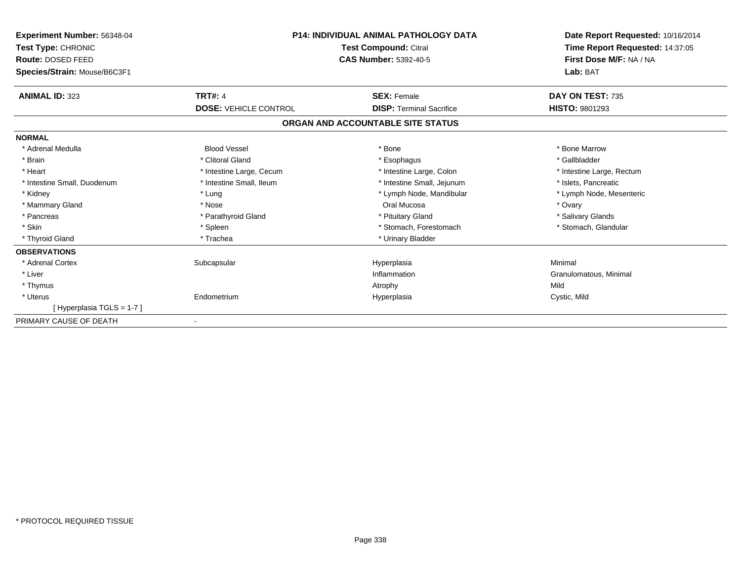| Experiment Number: 56348-04<br>Test Type: CHRONIC<br>Route: DOSED FEED<br>Species/Strain: Mouse/B6C3F1 | <b>P14: INDIVIDUAL ANIMAL PATHOLOGY DATA</b><br><b>Test Compound: Citral</b><br><b>CAS Number: 5392-40-5</b> |                                   | Date Report Requested: 10/16/2014<br>Time Report Requested: 14:37:05<br>First Dose M/F: NA / NA<br>Lab: BAT |
|--------------------------------------------------------------------------------------------------------|--------------------------------------------------------------------------------------------------------------|-----------------------------------|-------------------------------------------------------------------------------------------------------------|
| <b>ANIMAL ID: 323</b>                                                                                  | <b>TRT#: 4</b>                                                                                               | <b>SEX: Female</b>                | DAY ON TEST: 735                                                                                            |
|                                                                                                        | <b>DOSE: VEHICLE CONTROL</b>                                                                                 | <b>DISP: Terminal Sacrifice</b>   | <b>HISTO: 9801293</b>                                                                                       |
|                                                                                                        |                                                                                                              | ORGAN AND ACCOUNTABLE SITE STATUS |                                                                                                             |
| <b>NORMAL</b>                                                                                          |                                                                                                              |                                   |                                                                                                             |
| * Adrenal Medulla                                                                                      | <b>Blood Vessel</b>                                                                                          | * Bone                            | * Bone Marrow                                                                                               |
| * Brain                                                                                                | * Clitoral Gland                                                                                             | * Esophagus                       | * Gallbladder                                                                                               |
| * Heart                                                                                                | * Intestine Large, Cecum                                                                                     | * Intestine Large, Colon          | * Intestine Large, Rectum                                                                                   |
| * Intestine Small, Duodenum                                                                            | * Intestine Small, Ileum                                                                                     | * Intestine Small, Jejunum        | * Islets, Pancreatic                                                                                        |
| * Kidney                                                                                               | * Lung                                                                                                       | * Lymph Node, Mandibular          | * Lymph Node, Mesenteric                                                                                    |
| * Mammary Gland                                                                                        | * Nose                                                                                                       | Oral Mucosa                       | * Ovary                                                                                                     |
| * Pancreas                                                                                             | * Parathyroid Gland                                                                                          | * Pituitary Gland                 | * Salivary Glands                                                                                           |
| * Skin                                                                                                 | * Spleen                                                                                                     | * Stomach, Forestomach            | * Stomach, Glandular                                                                                        |
| * Thyroid Gland                                                                                        | * Trachea                                                                                                    | * Urinary Bladder                 |                                                                                                             |
| <b>OBSERVATIONS</b>                                                                                    |                                                                                                              |                                   |                                                                                                             |
| * Adrenal Cortex                                                                                       | Subcapsular                                                                                                  | Hyperplasia                       | Minimal                                                                                                     |
| * Liver                                                                                                |                                                                                                              | Inflammation                      | Granulomatous, Minimal                                                                                      |
| * Thymus                                                                                               |                                                                                                              | Atrophy                           | Mild                                                                                                        |
| * Uterus                                                                                               | Endometrium                                                                                                  | Hyperplasia                       | Cystic, Mild                                                                                                |
| [Hyperplasia TGLS = 1-7]                                                                               |                                                                                                              |                                   |                                                                                                             |
| PRIMARY CAUSE OF DEATH                                                                                 |                                                                                                              |                                   |                                                                                                             |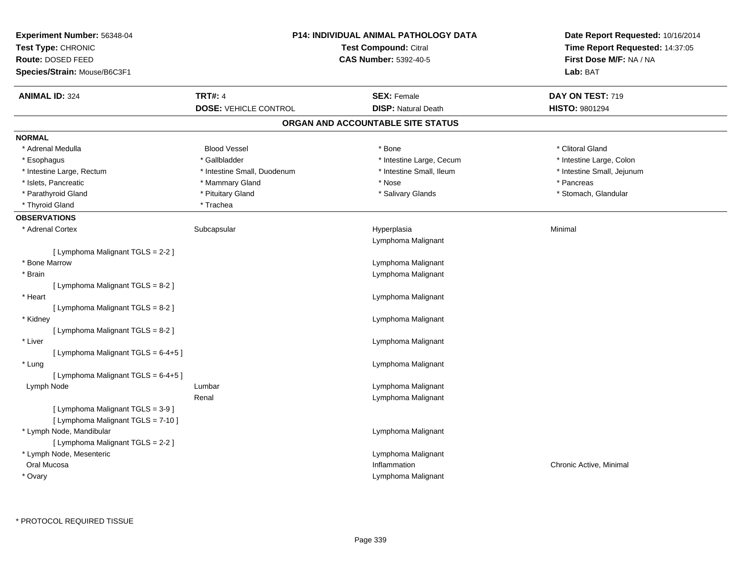| Experiment Number: 56348-04<br>Test Type: CHRONIC<br>Route: DOSED FEED<br>Species/Strain: Mouse/B6C3F1 |                                                | <b>P14: INDIVIDUAL ANIMAL PATHOLOGY DATA</b><br><b>Test Compound: Citral</b><br><b>CAS Number: 5392-40-5</b> | Date Report Requested: 10/16/2014<br>Time Report Requested: 14:37:05<br>First Dose M/F: NA / NA<br>Lab: BAT |
|--------------------------------------------------------------------------------------------------------|------------------------------------------------|--------------------------------------------------------------------------------------------------------------|-------------------------------------------------------------------------------------------------------------|
| <b>ANIMAL ID: 324</b>                                                                                  | <b>TRT#: 4</b><br><b>DOSE: VEHICLE CONTROL</b> | <b>SEX: Female</b><br><b>DISP: Natural Death</b>                                                             | DAY ON TEST: 719<br>HISTO: 9801294                                                                          |
|                                                                                                        |                                                | ORGAN AND ACCOUNTABLE SITE STATUS                                                                            |                                                                                                             |
| <b>NORMAL</b>                                                                                          |                                                |                                                                                                              |                                                                                                             |
| * Adrenal Medulla                                                                                      | <b>Blood Vessel</b>                            | * Bone                                                                                                       | * Clitoral Gland                                                                                            |
| * Esophagus                                                                                            | * Gallbladder                                  | * Intestine Large, Cecum                                                                                     | * Intestine Large, Colon                                                                                    |
| * Intestine Large, Rectum                                                                              | * Intestine Small, Duodenum                    | * Intestine Small, Ileum                                                                                     | * Intestine Small, Jejunum                                                                                  |
| * Islets, Pancreatic                                                                                   | * Mammary Gland                                | * Nose                                                                                                       | * Pancreas                                                                                                  |
| * Parathyroid Gland                                                                                    | * Pituitary Gland                              | * Salivary Glands                                                                                            | * Stomach, Glandular                                                                                        |
| * Thyroid Gland                                                                                        | * Trachea                                      |                                                                                                              |                                                                                                             |
| <b>OBSERVATIONS</b>                                                                                    |                                                |                                                                                                              |                                                                                                             |
| * Adrenal Cortex                                                                                       | Subcapsular                                    | Hyperplasia<br>Lymphoma Malignant                                                                            | Minimal                                                                                                     |
| [ Lymphoma Malignant TGLS = 2-2 ]                                                                      |                                                |                                                                                                              |                                                                                                             |
| * Bone Marrow                                                                                          |                                                | Lymphoma Malignant                                                                                           |                                                                                                             |
| * Brain                                                                                                |                                                | Lymphoma Malignant                                                                                           |                                                                                                             |
| [ Lymphoma Malignant TGLS = 8-2 ]                                                                      |                                                |                                                                                                              |                                                                                                             |
| * Heart                                                                                                |                                                | Lymphoma Malignant                                                                                           |                                                                                                             |
| [ Lymphoma Malignant TGLS = 8-2 ]                                                                      |                                                |                                                                                                              |                                                                                                             |
| * Kidney                                                                                               |                                                | Lymphoma Malignant                                                                                           |                                                                                                             |
| [ Lymphoma Malignant TGLS = 8-2 ]                                                                      |                                                |                                                                                                              |                                                                                                             |
| * Liver                                                                                                |                                                | Lymphoma Malignant                                                                                           |                                                                                                             |
| [ Lymphoma Malignant TGLS = 6-4+5 ]                                                                    |                                                |                                                                                                              |                                                                                                             |
| * Lung                                                                                                 |                                                | Lymphoma Malignant                                                                                           |                                                                                                             |
| [ Lymphoma Malignant TGLS = 6-4+5 ]                                                                    |                                                |                                                                                                              |                                                                                                             |
| Lymph Node                                                                                             | Lumbar                                         | Lymphoma Malignant                                                                                           |                                                                                                             |
|                                                                                                        | Renal                                          | Lymphoma Malignant                                                                                           |                                                                                                             |
| [ Lymphoma Malignant TGLS = 3-9 ]                                                                      |                                                |                                                                                                              |                                                                                                             |
| [ Lymphoma Malignant TGLS = 7-10 ]                                                                     |                                                |                                                                                                              |                                                                                                             |
| * Lymph Node, Mandibular                                                                               |                                                | Lymphoma Malignant                                                                                           |                                                                                                             |
| [ Lymphoma Malignant TGLS = 2-2 ]                                                                      |                                                |                                                                                                              |                                                                                                             |
| * Lymph Node, Mesenteric                                                                               |                                                | Lymphoma Malignant                                                                                           |                                                                                                             |
| Oral Mucosa                                                                                            |                                                | Inflammation                                                                                                 | Chronic Active, Minimal                                                                                     |
| * Ovary                                                                                                |                                                | Lymphoma Malignant                                                                                           |                                                                                                             |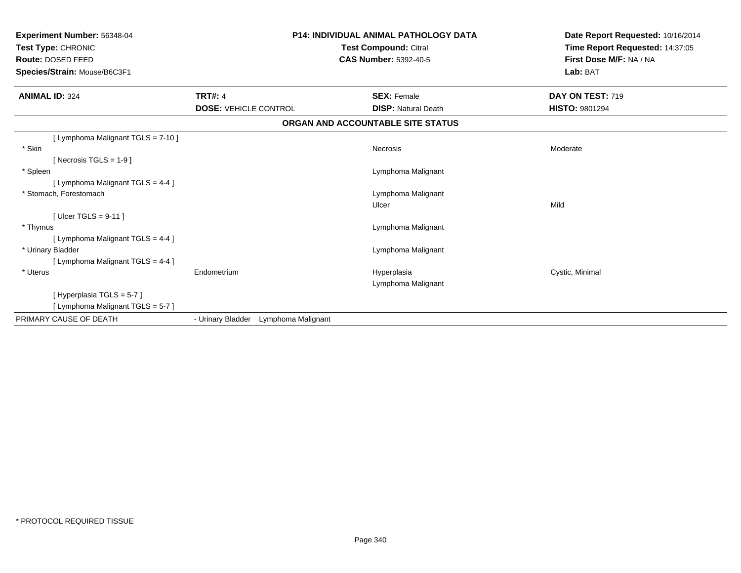| Experiment Number: 56348-04<br>Test Type: CHRONIC<br>Route: DOSED FEED<br>Species/Strain: Mouse/B6C3F1 | <b>P14: INDIVIDUAL ANIMAL PATHOLOGY DATA</b><br><b>Test Compound: Citral</b><br><b>CAS Number: 5392-40-5</b> |                                   | Date Report Requested: 10/16/2014<br>Time Report Requested: 14:37:05<br>First Dose M/F: NA / NA<br>Lab: BAT |
|--------------------------------------------------------------------------------------------------------|--------------------------------------------------------------------------------------------------------------|-----------------------------------|-------------------------------------------------------------------------------------------------------------|
| <b>ANIMAL ID: 324</b>                                                                                  | <b>TRT#: 4</b>                                                                                               | <b>SEX: Female</b>                | DAY ON TEST: 719                                                                                            |
|                                                                                                        | <b>DOSE: VEHICLE CONTROL</b>                                                                                 | <b>DISP: Natural Death</b>        | <b>HISTO: 9801294</b>                                                                                       |
|                                                                                                        |                                                                                                              | ORGAN AND ACCOUNTABLE SITE STATUS |                                                                                                             |
| [ Lymphoma Malignant TGLS = 7-10 ]                                                                     |                                                                                                              |                                   |                                                                                                             |
| * Skin                                                                                                 |                                                                                                              | Necrosis                          | Moderate                                                                                                    |
| [ Necrosis TGLS = $1-9$ ]                                                                              |                                                                                                              |                                   |                                                                                                             |
| * Spleen                                                                                               |                                                                                                              | Lymphoma Malignant                |                                                                                                             |
| [ Lymphoma Malignant TGLS = 4-4 ]                                                                      |                                                                                                              |                                   |                                                                                                             |
| * Stomach, Forestomach                                                                                 |                                                                                                              | Lymphoma Malignant                |                                                                                                             |
|                                                                                                        |                                                                                                              | Ulcer                             | Mild                                                                                                        |
| [ Ulcer TGLS = $9-11$ ]                                                                                |                                                                                                              |                                   |                                                                                                             |
| * Thymus                                                                                               |                                                                                                              | Lymphoma Malignant                |                                                                                                             |
| [ Lymphoma Malignant TGLS = 4-4 ]                                                                      |                                                                                                              |                                   |                                                                                                             |
| * Urinary Bladder                                                                                      |                                                                                                              | Lymphoma Malignant                |                                                                                                             |
| [ Lymphoma Malignant TGLS = 4-4 ]                                                                      |                                                                                                              |                                   |                                                                                                             |
| * Uterus                                                                                               | Endometrium                                                                                                  | Hyperplasia                       | Cystic, Minimal                                                                                             |
|                                                                                                        |                                                                                                              | Lymphoma Malignant                |                                                                                                             |
| [Hyperplasia TGLS = 5-7]                                                                               |                                                                                                              |                                   |                                                                                                             |
| [ Lymphoma Malignant TGLS = 5-7 ]                                                                      |                                                                                                              |                                   |                                                                                                             |
| PRIMARY CAUSE OF DEATH                                                                                 | - Urinary Bladder<br>Lymphoma Malignant                                                                      |                                   |                                                                                                             |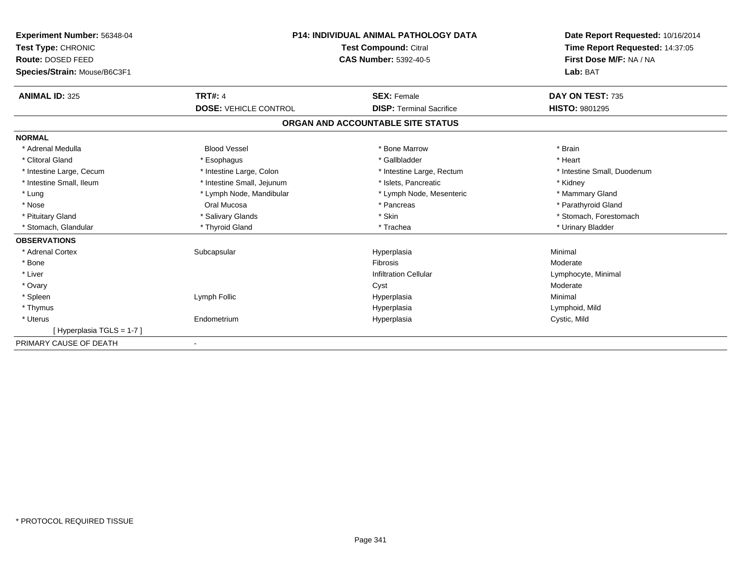| Experiment Number: 56348-04<br>Test Type: CHRONIC | <b>P14: INDIVIDUAL ANIMAL PATHOLOGY DATA</b><br><b>Test Compound: Citral</b><br><b>CAS Number: 5392-40-5</b> |                                   | Date Report Requested: 10/16/2014<br>Time Report Requested: 14:37:05<br>First Dose M/F: NA / NA |
|---------------------------------------------------|--------------------------------------------------------------------------------------------------------------|-----------------------------------|-------------------------------------------------------------------------------------------------|
| Route: DOSED FEED                                 |                                                                                                              |                                   |                                                                                                 |
| Species/Strain: Mouse/B6C3F1                      |                                                                                                              |                                   | Lab: BAT                                                                                        |
| <b>ANIMAL ID: 325</b>                             | <b>TRT#: 4</b>                                                                                               | <b>SEX: Female</b>                | DAY ON TEST: 735                                                                                |
|                                                   | <b>DOSE: VEHICLE CONTROL</b>                                                                                 | <b>DISP: Terminal Sacrifice</b>   | <b>HISTO: 9801295</b>                                                                           |
|                                                   |                                                                                                              | ORGAN AND ACCOUNTABLE SITE STATUS |                                                                                                 |
| <b>NORMAL</b>                                     |                                                                                                              |                                   |                                                                                                 |
| * Adrenal Medulla                                 | <b>Blood Vessel</b>                                                                                          | * Bone Marrow                     | * Brain                                                                                         |
| * Clitoral Gland                                  | * Esophagus                                                                                                  | * Gallbladder                     | * Heart                                                                                         |
| * Intestine Large, Cecum                          | * Intestine Large, Colon                                                                                     | * Intestine Large, Rectum         | * Intestine Small, Duodenum                                                                     |
| * Intestine Small, Ileum                          | * Intestine Small, Jejunum                                                                                   | * Islets, Pancreatic              | * Kidney                                                                                        |
| * Lung                                            | * Lymph Node, Mandibular                                                                                     | * Lymph Node, Mesenteric          | * Mammary Gland                                                                                 |
| * Nose                                            | Oral Mucosa                                                                                                  | * Pancreas                        | * Parathyroid Gland                                                                             |
| * Pituitary Gland                                 | * Salivary Glands                                                                                            | * Skin                            | * Stomach, Forestomach                                                                          |
| * Stomach, Glandular                              | * Thyroid Gland                                                                                              | * Trachea                         | * Urinary Bladder                                                                               |
| <b>OBSERVATIONS</b>                               |                                                                                                              |                                   |                                                                                                 |
| * Adrenal Cortex                                  | Subcapsular                                                                                                  | Hyperplasia                       | Minimal                                                                                         |
| * Bone                                            |                                                                                                              | <b>Fibrosis</b>                   | Moderate                                                                                        |
| * Liver                                           |                                                                                                              | <b>Infiltration Cellular</b>      | Lymphocyte, Minimal                                                                             |
| * Ovary                                           |                                                                                                              | Cyst                              | Moderate                                                                                        |
| * Spleen                                          | Lymph Follic                                                                                                 | Hyperplasia                       | Minimal                                                                                         |
| * Thymus                                          |                                                                                                              | Hyperplasia                       | Lymphoid, Mild                                                                                  |
| * Uterus                                          | Endometrium                                                                                                  | Hyperplasia                       | Cystic, Mild                                                                                    |
| [Hyperplasia TGLS = 1-7]                          |                                                                                                              |                                   |                                                                                                 |
| PRIMARY CAUSE OF DEATH                            |                                                                                                              |                                   |                                                                                                 |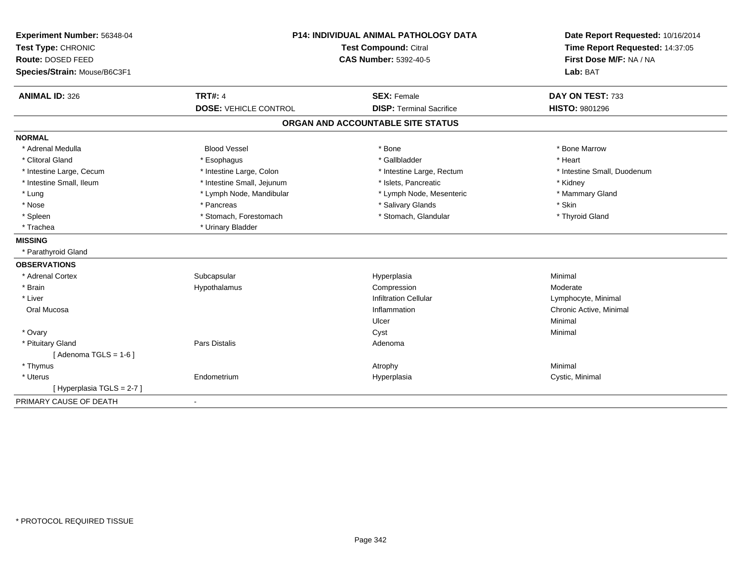| Experiment Number: 56348-04<br>Test Type: CHRONIC<br>Route: DOSED FEED<br>Species/Strain: Mouse/B6C3F1 |                              | P14: INDIVIDUAL ANIMAL PATHOLOGY DATA<br><b>Test Compound: Citral</b><br><b>CAS Number: 5392-40-5</b> | Date Report Requested: 10/16/2014<br>Time Report Requested: 14:37:05<br>First Dose M/F: NA / NA<br>Lab: BAT |  |
|--------------------------------------------------------------------------------------------------------|------------------------------|-------------------------------------------------------------------------------------------------------|-------------------------------------------------------------------------------------------------------------|--|
| <b>ANIMAL ID: 326</b>                                                                                  | <b>TRT#: 4</b>               | <b>SEX: Female</b>                                                                                    | DAY ON TEST: 733                                                                                            |  |
|                                                                                                        | <b>DOSE: VEHICLE CONTROL</b> | <b>DISP: Terminal Sacrifice</b>                                                                       | HISTO: 9801296                                                                                              |  |
|                                                                                                        |                              | ORGAN AND ACCOUNTABLE SITE STATUS                                                                     |                                                                                                             |  |
| <b>NORMAL</b>                                                                                          |                              |                                                                                                       |                                                                                                             |  |
| * Adrenal Medulla                                                                                      | <b>Blood Vessel</b>          | * Bone                                                                                                | * Bone Marrow                                                                                               |  |
| * Clitoral Gland                                                                                       | * Esophagus                  | * Gallbladder                                                                                         | * Heart                                                                                                     |  |
| * Intestine Large, Cecum                                                                               | * Intestine Large, Colon     | * Intestine Large, Rectum                                                                             | * Intestine Small, Duodenum                                                                                 |  |
| * Intestine Small, Ileum                                                                               | * Intestine Small, Jejunum   | * Islets, Pancreatic                                                                                  | * Kidney                                                                                                    |  |
| * Lung                                                                                                 | * Lymph Node, Mandibular     | * Lymph Node, Mesenteric                                                                              | * Mammary Gland                                                                                             |  |
| * Nose                                                                                                 | * Pancreas                   | * Salivary Glands                                                                                     | * Skin                                                                                                      |  |
| * Spleen                                                                                               | * Stomach, Forestomach       | * Stomach, Glandular                                                                                  | * Thyroid Gland                                                                                             |  |
| * Trachea                                                                                              | * Urinary Bladder            |                                                                                                       |                                                                                                             |  |
| <b>MISSING</b>                                                                                         |                              |                                                                                                       |                                                                                                             |  |
| * Parathyroid Gland                                                                                    |                              |                                                                                                       |                                                                                                             |  |
| <b>OBSERVATIONS</b>                                                                                    |                              |                                                                                                       |                                                                                                             |  |
| * Adrenal Cortex                                                                                       | Subcapsular                  | Hyperplasia                                                                                           | Minimal                                                                                                     |  |
| * Brain                                                                                                | Hypothalamus                 | Compression                                                                                           | Moderate                                                                                                    |  |
| * Liver                                                                                                |                              | <b>Infiltration Cellular</b>                                                                          | Lymphocyte, Minimal                                                                                         |  |
| Oral Mucosa                                                                                            |                              | Inflammation                                                                                          | Chronic Active, Minimal                                                                                     |  |
|                                                                                                        |                              | Ulcer                                                                                                 | Minimal                                                                                                     |  |
| * Ovary                                                                                                |                              | Cyst                                                                                                  | Minimal                                                                                                     |  |
| * Pituitary Gland                                                                                      | Pars Distalis                | Adenoma                                                                                               |                                                                                                             |  |
| [Adenoma TGLS = $1-6$ ]                                                                                |                              |                                                                                                       |                                                                                                             |  |
| * Thymus                                                                                               |                              | Atrophy                                                                                               | Minimal                                                                                                     |  |
| * Uterus                                                                                               | Endometrium                  | Hyperplasia                                                                                           | Cystic, Minimal                                                                                             |  |
| [Hyperplasia TGLS = 2-7]                                                                               |                              |                                                                                                       |                                                                                                             |  |
| PRIMARY CAUSE OF DEATH                                                                                 | $\blacksquare$               |                                                                                                       |                                                                                                             |  |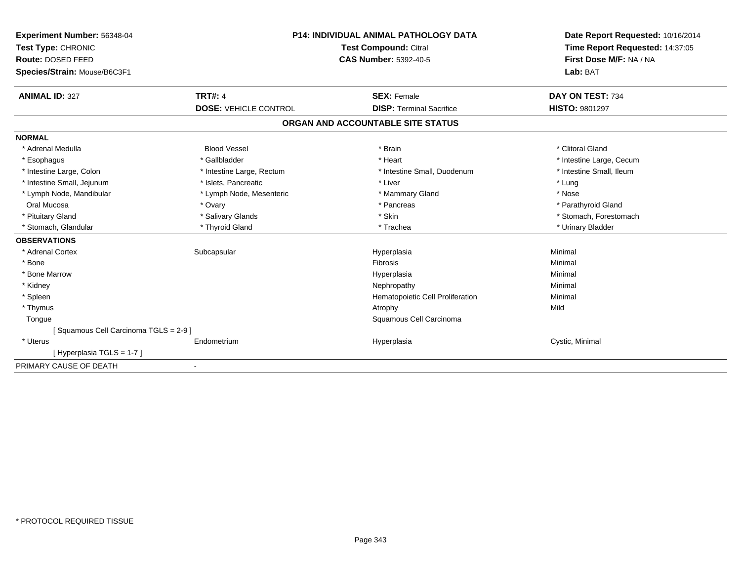| Experiment Number: 56348-04          | <b>P14: INDIVIDUAL ANIMAL PATHOLOGY DATA</b><br><b>Test Compound: Citral</b><br><b>CAS Number: 5392-40-5</b> |                                   | Date Report Requested: 10/16/2014 |  |
|--------------------------------------|--------------------------------------------------------------------------------------------------------------|-----------------------------------|-----------------------------------|--|
| Test Type: CHRONIC                   |                                                                                                              |                                   | Time Report Requested: 14:37:05   |  |
| Route: DOSED FEED                    |                                                                                                              |                                   | First Dose M/F: NA / NA           |  |
| Species/Strain: Mouse/B6C3F1         |                                                                                                              |                                   | Lab: BAT                          |  |
| <b>ANIMAL ID: 327</b>                | <b>TRT#: 4</b>                                                                                               | <b>SEX: Female</b>                | DAY ON TEST: 734                  |  |
|                                      | <b>DOSE: VEHICLE CONTROL</b>                                                                                 | <b>DISP: Terminal Sacrifice</b>   | <b>HISTO: 9801297</b>             |  |
|                                      |                                                                                                              | ORGAN AND ACCOUNTABLE SITE STATUS |                                   |  |
| <b>NORMAL</b>                        |                                                                                                              |                                   |                                   |  |
| * Adrenal Medulla                    | <b>Blood Vessel</b>                                                                                          | * Brain                           | * Clitoral Gland                  |  |
| * Esophagus                          | * Gallbladder                                                                                                | * Heart                           | * Intestine Large, Cecum          |  |
| * Intestine Large, Colon             | * Intestine Large, Rectum                                                                                    | * Intestine Small, Duodenum       | * Intestine Small, Ileum          |  |
| * Intestine Small, Jejunum           | * Islets, Pancreatic                                                                                         | * Liver                           | * Lung                            |  |
| * Lymph Node, Mandibular             | * Lymph Node, Mesenteric                                                                                     | * Mammary Gland                   | * Nose                            |  |
| Oral Mucosa                          | * Ovary                                                                                                      | * Pancreas                        | * Parathyroid Gland               |  |
| * Pituitary Gland                    | * Salivary Glands                                                                                            | * Skin                            | * Stomach, Forestomach            |  |
| * Stomach, Glandular                 | * Thyroid Gland                                                                                              | * Trachea                         | * Urinary Bladder                 |  |
| <b>OBSERVATIONS</b>                  |                                                                                                              |                                   |                                   |  |
| * Adrenal Cortex                     | Subcapsular                                                                                                  | Hyperplasia                       | Minimal                           |  |
| * Bone                               |                                                                                                              | <b>Fibrosis</b>                   | Minimal                           |  |
| * Bone Marrow                        |                                                                                                              | Hyperplasia                       | Minimal                           |  |
| * Kidney                             |                                                                                                              | Nephropathy                       | Minimal                           |  |
| * Spleen                             |                                                                                                              | Hematopoietic Cell Proliferation  | Minimal                           |  |
| * Thymus                             |                                                                                                              | Atrophy                           | Mild                              |  |
| Tongue                               |                                                                                                              | Squamous Cell Carcinoma           |                                   |  |
| [Squamous Cell Carcinoma TGLS = 2-9] |                                                                                                              |                                   |                                   |  |
| * Uterus                             | Endometrium                                                                                                  | Hyperplasia                       | Cystic, Minimal                   |  |
| [Hyperplasia TGLS = 1-7]             |                                                                                                              |                                   |                                   |  |
| PRIMARY CAUSE OF DEATH               | $\overline{\phantom{a}}$                                                                                     |                                   |                                   |  |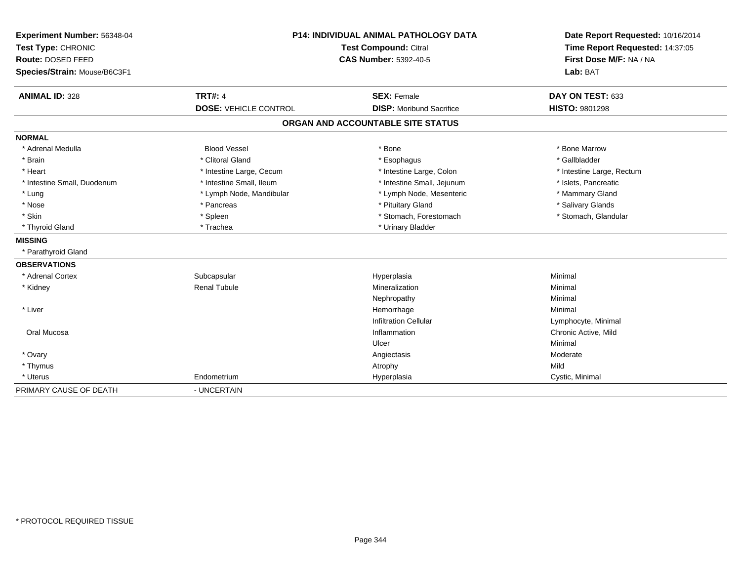| P14: INDIVIDUAL ANIMAL PATHOLOGY DATA<br>Experiment Number: 56348-04 |                              |                                   | Date Report Requested: 10/16/2014<br>Time Report Requested: 14:37:05 |
|----------------------------------------------------------------------|------------------------------|-----------------------------------|----------------------------------------------------------------------|
| Test Type: CHRONIC                                                   |                              | <b>Test Compound: Citral</b>      |                                                                      |
| Route: DOSED FEED                                                    |                              | <b>CAS Number: 5392-40-5</b>      | First Dose M/F: NA / NA                                              |
| Species/Strain: Mouse/B6C3F1                                         |                              |                                   | Lab: BAT                                                             |
| <b>ANIMAL ID: 328</b>                                                | <b>TRT#: 4</b>               | <b>SEX: Female</b>                | DAY ON TEST: 633                                                     |
|                                                                      | <b>DOSE: VEHICLE CONTROL</b> | <b>DISP:</b> Moribund Sacrifice   | HISTO: 9801298                                                       |
|                                                                      |                              | ORGAN AND ACCOUNTABLE SITE STATUS |                                                                      |
| <b>NORMAL</b>                                                        |                              |                                   |                                                                      |
| * Adrenal Medulla                                                    | <b>Blood Vessel</b>          | * Bone                            | * Bone Marrow                                                        |
| * Brain                                                              | * Clitoral Gland             | * Esophagus                       | * Gallbladder                                                        |
| * Heart                                                              | * Intestine Large, Cecum     | * Intestine Large, Colon          | * Intestine Large, Rectum                                            |
| * Intestine Small, Duodenum                                          | * Intestine Small, Ileum     | * Intestine Small, Jejunum        | * Islets, Pancreatic                                                 |
| * Lung                                                               | * Lymph Node, Mandibular     | * Lymph Node, Mesenteric          | * Mammary Gland                                                      |
| * Nose                                                               | * Pancreas                   | * Pituitary Gland                 | * Salivary Glands                                                    |
| * Skin                                                               | * Spleen                     | * Stomach, Forestomach            | * Stomach, Glandular                                                 |
| * Thyroid Gland                                                      | * Trachea                    | * Urinary Bladder                 |                                                                      |
| <b>MISSING</b>                                                       |                              |                                   |                                                                      |
| * Parathyroid Gland                                                  |                              |                                   |                                                                      |
| <b>OBSERVATIONS</b>                                                  |                              |                                   |                                                                      |
| * Adrenal Cortex                                                     | Subcapsular                  | Hyperplasia                       | Minimal                                                              |
| * Kidney                                                             | <b>Renal Tubule</b>          | Mineralization                    | Minimal                                                              |
|                                                                      |                              | Nephropathy                       | Minimal                                                              |
| * Liver                                                              |                              | Hemorrhage                        | Minimal                                                              |
|                                                                      |                              | <b>Infiltration Cellular</b>      | Lymphocyte, Minimal                                                  |
| Oral Mucosa                                                          |                              | Inflammation                      | Chronic Active, Mild                                                 |
|                                                                      |                              | Ulcer                             | Minimal                                                              |
| * Ovary                                                              |                              | Angiectasis                       | Moderate                                                             |
| * Thymus                                                             |                              | Atrophy                           | Mild                                                                 |
| * Uterus                                                             | Endometrium                  | Hyperplasia                       | Cystic, Minimal                                                      |
| PRIMARY CAUSE OF DEATH                                               | - UNCERTAIN                  |                                   |                                                                      |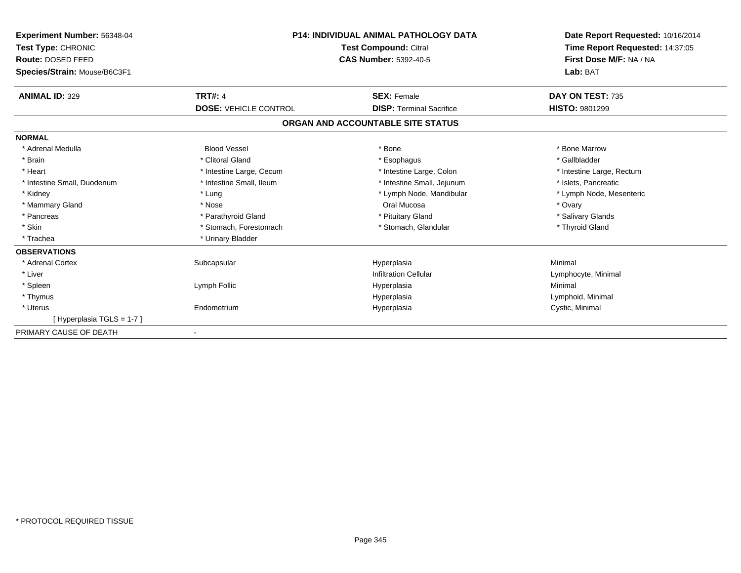| <b>Experiment Number: 56348-04</b><br>Test Type: CHRONIC<br>Route: DOSED FEED<br>Species/Strain: Mouse/B6C3F1 | <b>P14: INDIVIDUAL ANIMAL PATHOLOGY DATA</b><br><b>Test Compound: Citral</b><br><b>CAS Number: 5392-40-5</b> |                                   | Date Report Requested: 10/16/2014<br>Time Report Requested: 14:37:05<br>First Dose M/F: NA / NA<br>Lab: BAT |
|---------------------------------------------------------------------------------------------------------------|--------------------------------------------------------------------------------------------------------------|-----------------------------------|-------------------------------------------------------------------------------------------------------------|
| <b>ANIMAL ID: 329</b>                                                                                         | <b>TRT#: 4</b>                                                                                               | <b>SEX: Female</b>                | DAY ON TEST: 735                                                                                            |
|                                                                                                               | <b>DOSE: VEHICLE CONTROL</b>                                                                                 | <b>DISP: Terminal Sacrifice</b>   | <b>HISTO: 9801299</b>                                                                                       |
|                                                                                                               |                                                                                                              | ORGAN AND ACCOUNTABLE SITE STATUS |                                                                                                             |
| <b>NORMAL</b>                                                                                                 |                                                                                                              |                                   |                                                                                                             |
| * Adrenal Medulla                                                                                             | <b>Blood Vessel</b>                                                                                          | * Bone                            | * Bone Marrow                                                                                               |
| * Brain                                                                                                       | * Clitoral Gland                                                                                             | * Esophagus                       | * Gallbladder                                                                                               |
| * Heart                                                                                                       | * Intestine Large, Cecum                                                                                     | * Intestine Large, Colon          | * Intestine Large, Rectum                                                                                   |
| * Intestine Small, Duodenum                                                                                   | * Intestine Small, Ileum                                                                                     | * Intestine Small, Jejunum        | * Islets, Pancreatic                                                                                        |
| * Kidney                                                                                                      | * Lung                                                                                                       | * Lymph Node, Mandibular          | * Lymph Node, Mesenteric                                                                                    |
| * Mammary Gland                                                                                               | * Nose                                                                                                       | Oral Mucosa                       | * Ovary                                                                                                     |
| * Pancreas                                                                                                    | * Parathyroid Gland                                                                                          | * Pituitary Gland                 | * Salivary Glands                                                                                           |
| * Skin                                                                                                        | * Stomach, Forestomach                                                                                       | * Stomach, Glandular              | * Thyroid Gland                                                                                             |
| * Trachea                                                                                                     | * Urinary Bladder                                                                                            |                                   |                                                                                                             |
| <b>OBSERVATIONS</b>                                                                                           |                                                                                                              |                                   |                                                                                                             |
| * Adrenal Cortex                                                                                              | Subcapsular                                                                                                  | Hyperplasia                       | Minimal                                                                                                     |
| * Liver                                                                                                       |                                                                                                              | <b>Infiltration Cellular</b>      | Lymphocyte, Minimal                                                                                         |
| * Spleen                                                                                                      | Lymph Follic                                                                                                 | Hyperplasia                       | Minimal                                                                                                     |
| * Thymus                                                                                                      |                                                                                                              | Hyperplasia                       | Lymphoid, Minimal                                                                                           |
| * Uterus                                                                                                      | Endometrium                                                                                                  | Hyperplasia                       | Cystic, Minimal                                                                                             |
| [Hyperplasia TGLS = 1-7]                                                                                      |                                                                                                              |                                   |                                                                                                             |
| PRIMARY CAUSE OF DEATH                                                                                        |                                                                                                              |                                   |                                                                                                             |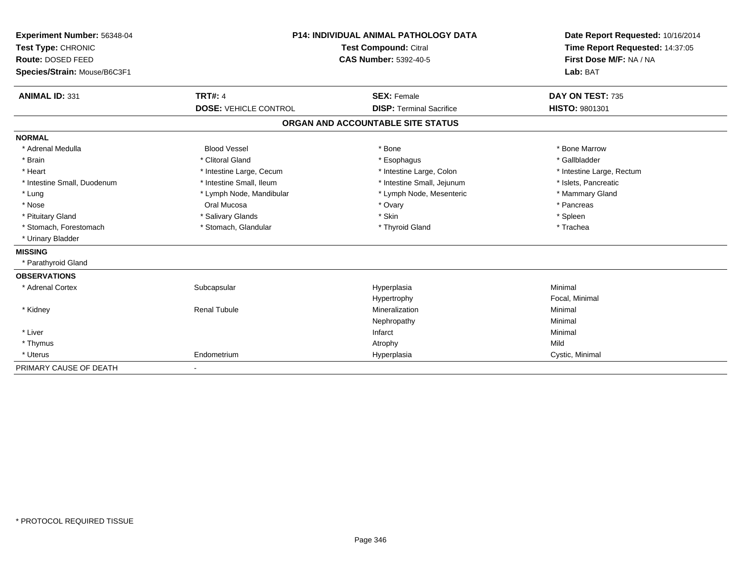| Experiment Number: 56348-04<br>Test Type: CHRONIC<br>Route: DOSED FEED<br>Species/Strain: Mouse/B6C3F1 |                              | <b>P14: INDIVIDUAL ANIMAL PATHOLOGY DATA</b><br>Test Compound: Citral<br><b>CAS Number: 5392-40-5</b> | Date Report Requested: 10/16/2014<br>Time Report Requested: 14:37:05<br>First Dose M/F: NA / NA<br>Lab: BAT |  |
|--------------------------------------------------------------------------------------------------------|------------------------------|-------------------------------------------------------------------------------------------------------|-------------------------------------------------------------------------------------------------------------|--|
| <b>ANIMAL ID: 331</b>                                                                                  | <b>TRT#: 4</b>               | <b>SEX: Female</b>                                                                                    | DAY ON TEST: 735                                                                                            |  |
|                                                                                                        | <b>DOSE: VEHICLE CONTROL</b> | <b>DISP: Terminal Sacrifice</b>                                                                       | <b>HISTO: 9801301</b>                                                                                       |  |
|                                                                                                        |                              | ORGAN AND ACCOUNTABLE SITE STATUS                                                                     |                                                                                                             |  |
| <b>NORMAL</b>                                                                                          |                              |                                                                                                       |                                                                                                             |  |
| * Adrenal Medulla                                                                                      | <b>Blood Vessel</b>          | * Bone                                                                                                | * Bone Marrow                                                                                               |  |
| * Brain                                                                                                | * Clitoral Gland             | * Esophagus                                                                                           | * Gallbladder                                                                                               |  |
| * Heart                                                                                                | * Intestine Large, Cecum     | * Intestine Large, Colon                                                                              | * Intestine Large, Rectum                                                                                   |  |
| * Intestine Small, Duodenum                                                                            | * Intestine Small, Ileum     | * Intestine Small, Jejunum                                                                            | * Islets, Pancreatic                                                                                        |  |
| * Lung                                                                                                 | * Lymph Node, Mandibular     | * Lymph Node, Mesenteric                                                                              | * Mammary Gland                                                                                             |  |
| * Nose                                                                                                 | Oral Mucosa                  | * Ovary                                                                                               | * Pancreas                                                                                                  |  |
| * Pituitary Gland                                                                                      | * Salivary Glands            | * Skin                                                                                                | * Spleen                                                                                                    |  |
| * Stomach, Forestomach                                                                                 | * Stomach, Glandular         | * Thyroid Gland                                                                                       | * Trachea                                                                                                   |  |
| * Urinary Bladder                                                                                      |                              |                                                                                                       |                                                                                                             |  |
| <b>MISSING</b>                                                                                         |                              |                                                                                                       |                                                                                                             |  |
| * Parathyroid Gland                                                                                    |                              |                                                                                                       |                                                                                                             |  |
| <b>OBSERVATIONS</b>                                                                                    |                              |                                                                                                       |                                                                                                             |  |
| * Adrenal Cortex                                                                                       | Subcapsular                  | Hyperplasia                                                                                           | Minimal                                                                                                     |  |
|                                                                                                        |                              | Hypertrophy                                                                                           | Focal, Minimal                                                                                              |  |
| * Kidney                                                                                               | <b>Renal Tubule</b>          | Mineralization                                                                                        | Minimal                                                                                                     |  |
|                                                                                                        |                              | Nephropathy                                                                                           | Minimal                                                                                                     |  |
| * Liver                                                                                                |                              | Infarct                                                                                               | Minimal                                                                                                     |  |
| * Thymus                                                                                               |                              | Atrophy                                                                                               | Mild                                                                                                        |  |
| * Uterus                                                                                               | Endometrium                  | Hyperplasia                                                                                           | Cystic, Minimal                                                                                             |  |
| PRIMARY CAUSE OF DEATH                                                                                 |                              |                                                                                                       |                                                                                                             |  |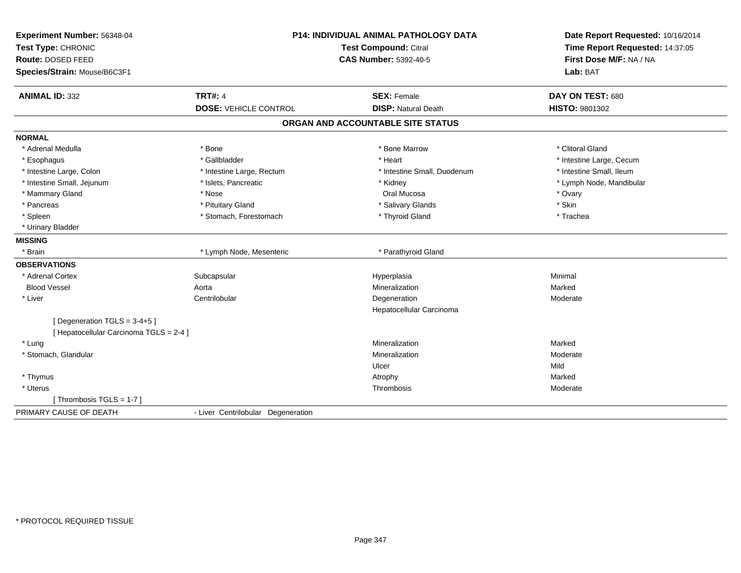| Experiment Number: 56348-04<br>Test Type: CHRONIC<br>Route: DOSED FEED<br>Species/Strain: Mouse/B6C3F1 | <b>P14: INDIVIDUAL ANIMAL PATHOLOGY DATA</b><br><b>Test Compound: Citral</b><br><b>CAS Number: 5392-40-5</b> |                                                  | Date Report Requested: 10/16/2014<br>Time Report Requested: 14:37:05<br>First Dose M/F: NA / NA<br>Lab: BAT |
|--------------------------------------------------------------------------------------------------------|--------------------------------------------------------------------------------------------------------------|--------------------------------------------------|-------------------------------------------------------------------------------------------------------------|
| <b>ANIMAL ID: 332</b>                                                                                  | <b>TRT#: 4</b><br><b>DOSE: VEHICLE CONTROL</b>                                                               | <b>SEX: Female</b><br><b>DISP: Natural Death</b> | DAY ON TEST: 680<br>HISTO: 9801302                                                                          |
|                                                                                                        |                                                                                                              | ORGAN AND ACCOUNTABLE SITE STATUS                |                                                                                                             |
|                                                                                                        |                                                                                                              |                                                  |                                                                                                             |
| <b>NORMAL</b>                                                                                          |                                                                                                              |                                                  |                                                                                                             |
| * Adrenal Medulla                                                                                      | * Bone                                                                                                       | * Bone Marrow                                    | * Clitoral Gland                                                                                            |
| * Esophagus                                                                                            | * Gallbladder                                                                                                | * Heart                                          | * Intestine Large, Cecum                                                                                    |
| * Intestine Large, Colon                                                                               | * Intestine Large, Rectum                                                                                    | * Intestine Small, Duodenum                      | * Intestine Small. Ileum                                                                                    |
| * Intestine Small, Jejunum                                                                             | * Islets, Pancreatic                                                                                         | * Kidney                                         | * Lymph Node, Mandibular                                                                                    |
| * Mammary Gland                                                                                        | * Nose                                                                                                       | Oral Mucosa                                      | * Ovary                                                                                                     |
| * Pancreas                                                                                             | * Pituitary Gland                                                                                            | * Salivary Glands                                | * Skin                                                                                                      |
| * Spleen                                                                                               | * Stomach, Forestomach                                                                                       | * Thyroid Gland                                  | * Trachea                                                                                                   |
| * Urinary Bladder                                                                                      |                                                                                                              |                                                  |                                                                                                             |
| <b>MISSING</b>                                                                                         |                                                                                                              |                                                  |                                                                                                             |
| * Brain                                                                                                | * Lymph Node, Mesenteric                                                                                     | * Parathyroid Gland                              |                                                                                                             |
| <b>OBSERVATIONS</b>                                                                                    |                                                                                                              |                                                  |                                                                                                             |
| * Adrenal Cortex                                                                                       | Subcapsular                                                                                                  | Hyperplasia                                      | Minimal                                                                                                     |
| <b>Blood Vessel</b>                                                                                    | Aorta                                                                                                        | Mineralization                                   | Marked                                                                                                      |
| * Liver                                                                                                | Centrilobular                                                                                                | Degeneration                                     | Moderate                                                                                                    |
|                                                                                                        |                                                                                                              | Hepatocellular Carcinoma                         |                                                                                                             |
| [Degeneration TGLS = 3-4+5]                                                                            |                                                                                                              |                                                  |                                                                                                             |
| [ Hepatocellular Carcinoma TGLS = 2-4 ]                                                                |                                                                                                              |                                                  |                                                                                                             |
| * Lung                                                                                                 |                                                                                                              | Mineralization                                   | Marked                                                                                                      |
| * Stomach, Glandular                                                                                   |                                                                                                              | Mineralization                                   | Moderate                                                                                                    |
|                                                                                                        |                                                                                                              | Ulcer                                            | Mild                                                                                                        |
| * Thymus                                                                                               |                                                                                                              | Atrophy                                          | Marked                                                                                                      |
| * Uterus                                                                                               |                                                                                                              | Thrombosis                                       | Moderate                                                                                                    |
| [Thrombosis TGLS = $1-7$ ]                                                                             |                                                                                                              |                                                  |                                                                                                             |
| PRIMARY CAUSE OF DEATH                                                                                 | - Liver Centrilobular Degeneration                                                                           |                                                  |                                                                                                             |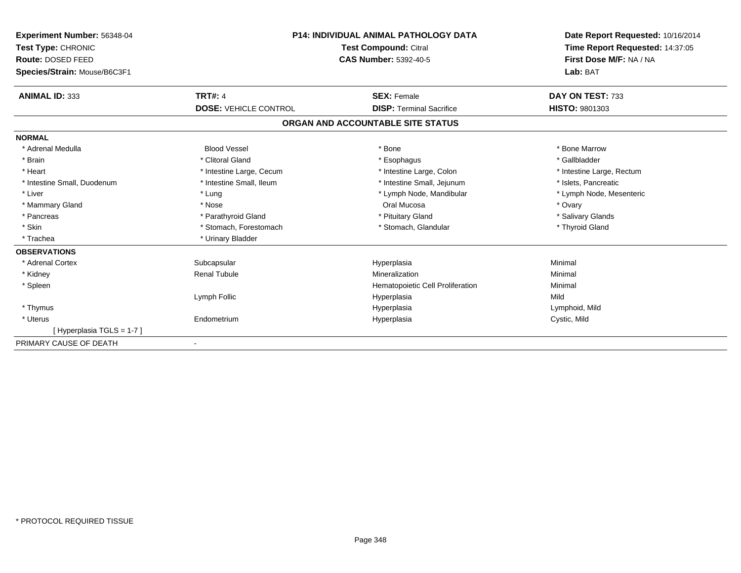| Experiment Number: 56348-04<br>Test Type: CHRONIC |                              | <b>P14: INDIVIDUAL ANIMAL PATHOLOGY DATA</b><br>Test Compound: Citral | Date Report Requested: 10/16/2014<br>Time Report Requested: 14:37:05 |
|---------------------------------------------------|------------------------------|-----------------------------------------------------------------------|----------------------------------------------------------------------|
| Route: DOSED FEED                                 | <b>CAS Number: 5392-40-5</b> |                                                                       | First Dose M/F: NA / NA                                              |
| Species/Strain: Mouse/B6C3F1                      |                              |                                                                       | Lab: BAT                                                             |
| <b>ANIMAL ID: 333</b>                             | <b>TRT#: 4</b>               | <b>SEX: Female</b>                                                    | DAY ON TEST: 733                                                     |
|                                                   | <b>DOSE: VEHICLE CONTROL</b> | <b>DISP: Terminal Sacrifice</b>                                       | <b>HISTO: 9801303</b>                                                |
|                                                   |                              | ORGAN AND ACCOUNTABLE SITE STATUS                                     |                                                                      |
| <b>NORMAL</b>                                     |                              |                                                                       |                                                                      |
| * Adrenal Medulla                                 | <b>Blood Vessel</b>          | * Bone                                                                | * Bone Marrow                                                        |
| * Brain                                           | * Clitoral Gland             | * Esophagus                                                           | * Gallbladder                                                        |
| * Heart                                           | * Intestine Large, Cecum     | * Intestine Large, Colon                                              | * Intestine Large, Rectum                                            |
| * Intestine Small, Duodenum                       | * Intestine Small, Ileum     | * Intestine Small, Jejunum                                            | * Islets, Pancreatic                                                 |
| * Liver                                           | * Lung                       | * Lymph Node, Mandibular                                              | * Lymph Node, Mesenteric                                             |
| * Mammary Gland                                   | * Nose                       | Oral Mucosa                                                           | * Ovary                                                              |
| * Pancreas                                        | * Parathyroid Gland          | * Pituitary Gland                                                     | * Salivary Glands                                                    |
| * Skin                                            | * Stomach, Forestomach       | * Stomach, Glandular                                                  | * Thyroid Gland                                                      |
| * Trachea                                         | * Urinary Bladder            |                                                                       |                                                                      |
| <b>OBSERVATIONS</b>                               |                              |                                                                       |                                                                      |
| * Adrenal Cortex                                  | Subcapsular                  | Hyperplasia                                                           | Minimal                                                              |
| * Kidney                                          | <b>Renal Tubule</b>          | Mineralization                                                        | Minimal                                                              |
| * Spleen                                          |                              | Hematopoietic Cell Proliferation                                      | Minimal                                                              |
|                                                   | Lymph Follic                 | Hyperplasia                                                           | Mild                                                                 |
| * Thymus                                          |                              | Hyperplasia                                                           | Lymphoid, Mild                                                       |
| * Uterus                                          | Endometrium                  | Hyperplasia                                                           | Cystic, Mild                                                         |
| [Hyperplasia TGLS = 1-7]                          |                              |                                                                       |                                                                      |
| PRIMARY CAUSE OF DEATH                            |                              |                                                                       |                                                                      |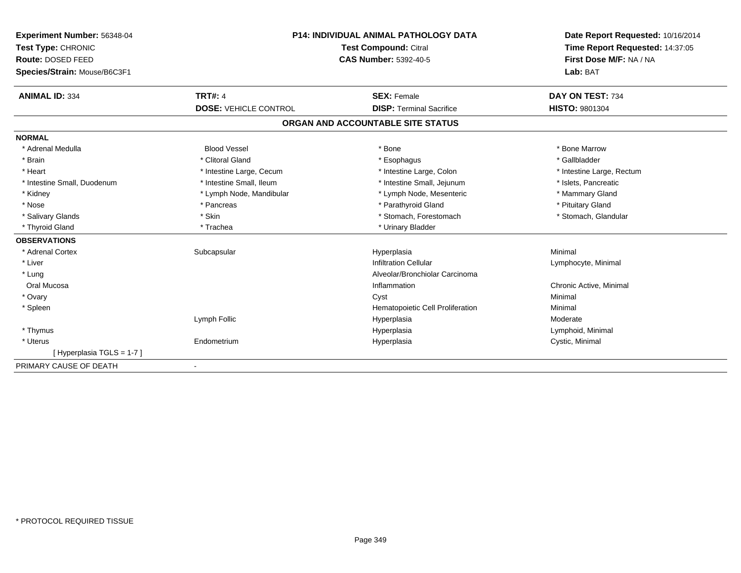| Experiment Number: 56348-04<br>Test Type: CHRONIC<br>Route: DOSED FEED<br>Species/Strain: Mouse/B6C3F1 |                              | <b>P14: INDIVIDUAL ANIMAL PATHOLOGY DATA</b><br>Test Compound: Citral<br><b>CAS Number: 5392-40-5</b> | Date Report Requested: 10/16/2014<br>Time Report Requested: 14:37:05<br>First Dose M/F: NA / NA<br>Lab: BAT |  |
|--------------------------------------------------------------------------------------------------------|------------------------------|-------------------------------------------------------------------------------------------------------|-------------------------------------------------------------------------------------------------------------|--|
| <b>ANIMAL ID: 334</b>                                                                                  | <b>TRT#: 4</b>               | <b>SEX: Female</b>                                                                                    | DAY ON TEST: 734                                                                                            |  |
|                                                                                                        | <b>DOSE: VEHICLE CONTROL</b> | <b>DISP: Terminal Sacrifice</b>                                                                       | <b>HISTO: 9801304</b>                                                                                       |  |
|                                                                                                        |                              | ORGAN AND ACCOUNTABLE SITE STATUS                                                                     |                                                                                                             |  |
| <b>NORMAL</b>                                                                                          |                              |                                                                                                       |                                                                                                             |  |
| * Adrenal Medulla                                                                                      | <b>Blood Vessel</b>          | * Bone                                                                                                | * Bone Marrow                                                                                               |  |
| * Brain                                                                                                | * Clitoral Gland             | * Esophagus                                                                                           | * Gallbladder                                                                                               |  |
| * Heart                                                                                                | * Intestine Large, Cecum     | * Intestine Large, Colon                                                                              | * Intestine Large, Rectum                                                                                   |  |
| * Intestine Small, Duodenum                                                                            | * Intestine Small, Ileum     | * Intestine Small, Jejunum                                                                            | * Islets, Pancreatic                                                                                        |  |
| * Kidney                                                                                               | * Lymph Node, Mandibular     | * Lymph Node, Mesenteric                                                                              | * Mammary Gland                                                                                             |  |
| * Nose                                                                                                 | * Pancreas                   | * Parathyroid Gland                                                                                   | * Pituitary Gland                                                                                           |  |
| * Salivary Glands                                                                                      | * Skin                       | * Stomach, Forestomach                                                                                | * Stomach, Glandular                                                                                        |  |
| * Thyroid Gland                                                                                        | * Trachea                    | * Urinary Bladder                                                                                     |                                                                                                             |  |
| <b>OBSERVATIONS</b>                                                                                    |                              |                                                                                                       |                                                                                                             |  |
| * Adrenal Cortex                                                                                       | Subcapsular                  | Hyperplasia                                                                                           | Minimal                                                                                                     |  |
| * Liver                                                                                                |                              | <b>Infiltration Cellular</b>                                                                          | Lymphocyte, Minimal                                                                                         |  |
| * Lung                                                                                                 |                              | Alveolar/Bronchiolar Carcinoma                                                                        |                                                                                                             |  |
| Oral Mucosa                                                                                            |                              | Inflammation                                                                                          | Chronic Active, Minimal                                                                                     |  |
| * Ovary                                                                                                |                              | Cyst                                                                                                  | Minimal                                                                                                     |  |
| * Spleen                                                                                               |                              | Hematopoietic Cell Proliferation                                                                      | Minimal                                                                                                     |  |
|                                                                                                        | Lymph Follic                 | Hyperplasia                                                                                           | Moderate                                                                                                    |  |
| * Thymus                                                                                               |                              | Hyperplasia                                                                                           | Lymphoid, Minimal                                                                                           |  |
| * Uterus                                                                                               | Endometrium                  | Hyperplasia                                                                                           | Cystic, Minimal                                                                                             |  |
| [Hyperplasia TGLS = 1-7]                                                                               |                              |                                                                                                       |                                                                                                             |  |
| PRIMARY CAUSE OF DEATH                                                                                 | $\blacksquare$               |                                                                                                       |                                                                                                             |  |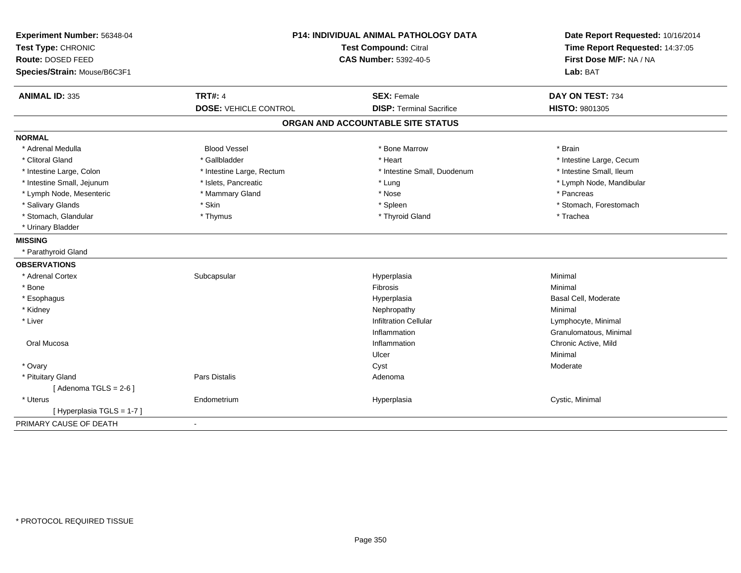| Experiment Number: 56348-04<br>Test Type: CHRONIC<br>Route: DOSED FEED<br>Species/Strain: Mouse/B6C3F1 | P14: INDIVIDUAL ANIMAL PATHOLOGY DATA<br>Test Compound: Citral<br><b>CAS Number: 5392-40-5</b> |                                   | Date Report Requested: 10/16/2014<br>Time Report Requested: 14:37:05<br>First Dose M/F: NA / NA<br>Lab: BAT |  |
|--------------------------------------------------------------------------------------------------------|------------------------------------------------------------------------------------------------|-----------------------------------|-------------------------------------------------------------------------------------------------------------|--|
|                                                                                                        |                                                                                                |                                   |                                                                                                             |  |
| <b>ANIMAL ID: 335</b>                                                                                  | <b>TRT#: 4</b>                                                                                 | <b>SEX: Female</b>                | DAY ON TEST: 734                                                                                            |  |
|                                                                                                        | <b>DOSE: VEHICLE CONTROL</b>                                                                   | <b>DISP: Terminal Sacrifice</b>   | <b>HISTO: 9801305</b>                                                                                       |  |
|                                                                                                        |                                                                                                | ORGAN AND ACCOUNTABLE SITE STATUS |                                                                                                             |  |
| <b>NORMAL</b>                                                                                          |                                                                                                |                                   |                                                                                                             |  |
| * Adrenal Medulla                                                                                      | <b>Blood Vessel</b>                                                                            | * Bone Marrow                     | * Brain                                                                                                     |  |
| * Clitoral Gland                                                                                       | * Gallbladder                                                                                  | * Heart                           | * Intestine Large, Cecum                                                                                    |  |
| * Intestine Large, Colon                                                                               | * Intestine Large, Rectum                                                                      | * Intestine Small, Duodenum       | * Intestine Small, Ileum                                                                                    |  |
| * Intestine Small, Jejunum                                                                             | * Islets, Pancreatic                                                                           | * Lung                            | * Lymph Node, Mandibular                                                                                    |  |
| * Lymph Node, Mesenteric                                                                               | * Mammary Gland                                                                                | * Nose                            | * Pancreas                                                                                                  |  |
| * Salivary Glands                                                                                      | * Skin                                                                                         | * Spleen                          | * Stomach, Forestomach                                                                                      |  |
| * Stomach, Glandular                                                                                   | * Thymus                                                                                       | * Thyroid Gland                   | * Trachea                                                                                                   |  |
| * Urinary Bladder                                                                                      |                                                                                                |                                   |                                                                                                             |  |
| <b>MISSING</b>                                                                                         |                                                                                                |                                   |                                                                                                             |  |
| * Parathyroid Gland                                                                                    |                                                                                                |                                   |                                                                                                             |  |
| <b>OBSERVATIONS</b>                                                                                    |                                                                                                |                                   |                                                                                                             |  |
| * Adrenal Cortex                                                                                       | Subcapsular                                                                                    | Hyperplasia                       | Minimal                                                                                                     |  |
| * Bone                                                                                                 |                                                                                                | Fibrosis                          | Minimal                                                                                                     |  |
| * Esophagus                                                                                            |                                                                                                | Hyperplasia                       | Basal Cell, Moderate                                                                                        |  |
| * Kidney                                                                                               |                                                                                                | Nephropathy                       | Minimal                                                                                                     |  |
| * Liver                                                                                                |                                                                                                | <b>Infiltration Cellular</b>      | Lymphocyte, Minimal                                                                                         |  |
|                                                                                                        |                                                                                                | Inflammation                      | Granulomatous, Minimal                                                                                      |  |
| Oral Mucosa                                                                                            |                                                                                                | Inflammation                      | Chronic Active, Mild                                                                                        |  |
|                                                                                                        |                                                                                                | Ulcer                             | Minimal                                                                                                     |  |
| * Ovary                                                                                                |                                                                                                | Cyst                              | Moderate                                                                                                    |  |
| * Pituitary Gland                                                                                      | Pars Distalis                                                                                  | Adenoma                           |                                                                                                             |  |
| [Adenoma TGLS = $2-6$ ]                                                                                |                                                                                                |                                   |                                                                                                             |  |
| * Uterus                                                                                               | Endometrium                                                                                    | Hyperplasia                       | Cystic, Minimal                                                                                             |  |
| [ Hyperplasia TGLS = 1-7 ]                                                                             |                                                                                                |                                   |                                                                                                             |  |
| PRIMARY CAUSE OF DEATH                                                                                 | $\mathbf{r}$                                                                                   |                                   |                                                                                                             |  |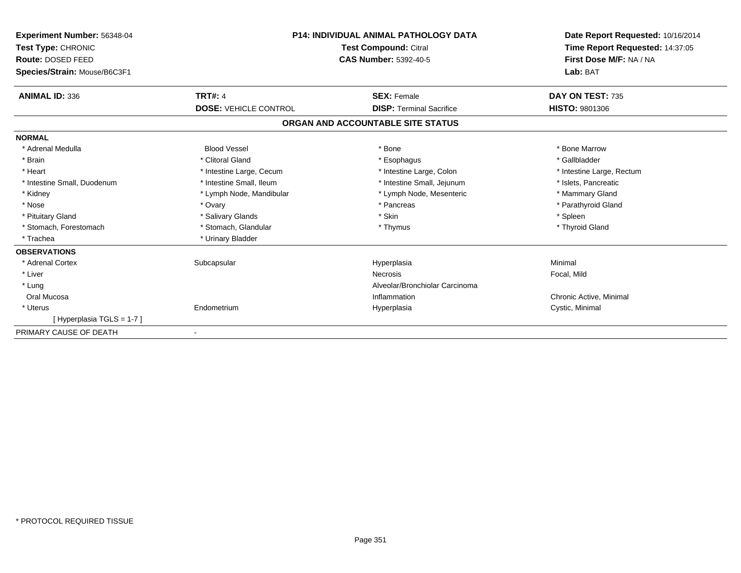| <b>Experiment Number: 56348-04</b><br>Test Type: CHRONIC<br>Route: DOSED FEED<br>Species/Strain: Mouse/B6C3F1 | <b>P14: INDIVIDUAL ANIMAL PATHOLOGY DATA</b><br><b>Test Compound: Citral</b><br><b>CAS Number: 5392-40-5</b> |                                   | Date Report Requested: 10/16/2014<br>Time Report Requested: 14:37:05<br>First Dose M/F: NA / NA<br>Lab: BAT |
|---------------------------------------------------------------------------------------------------------------|--------------------------------------------------------------------------------------------------------------|-----------------------------------|-------------------------------------------------------------------------------------------------------------|
| <b>ANIMAL ID: 336</b>                                                                                         | <b>TRT#: 4</b>                                                                                               | <b>SEX: Female</b>                | DAY ON TEST: 735                                                                                            |
|                                                                                                               | <b>DOSE: VEHICLE CONTROL</b>                                                                                 | <b>DISP: Terminal Sacrifice</b>   | <b>HISTO: 9801306</b>                                                                                       |
|                                                                                                               |                                                                                                              | ORGAN AND ACCOUNTABLE SITE STATUS |                                                                                                             |
| <b>NORMAL</b>                                                                                                 |                                                                                                              |                                   |                                                                                                             |
| * Adrenal Medulla                                                                                             | <b>Blood Vessel</b>                                                                                          | * Bone                            | * Bone Marrow                                                                                               |
| * Brain                                                                                                       | * Clitoral Gland                                                                                             | * Esophagus                       | * Gallbladder                                                                                               |
| * Heart                                                                                                       | * Intestine Large, Cecum                                                                                     | * Intestine Large, Colon          | * Intestine Large, Rectum                                                                                   |
| * Intestine Small, Duodenum                                                                                   | * Intestine Small, Ileum                                                                                     | * Intestine Small, Jejunum        | * Islets, Pancreatic                                                                                        |
| * Kidney                                                                                                      | * Lymph Node, Mandibular                                                                                     | * Lymph Node, Mesenteric          | * Mammary Gland                                                                                             |
| * Nose                                                                                                        | * Ovary                                                                                                      | * Pancreas                        | * Parathyroid Gland                                                                                         |
| * Pituitary Gland                                                                                             | * Salivary Glands                                                                                            | * Skin                            | * Spleen                                                                                                    |
| * Stomach, Forestomach                                                                                        | * Stomach, Glandular                                                                                         | * Thymus                          | * Thyroid Gland                                                                                             |
| * Trachea                                                                                                     | * Urinary Bladder                                                                                            |                                   |                                                                                                             |
| <b>OBSERVATIONS</b>                                                                                           |                                                                                                              |                                   |                                                                                                             |
| * Adrenal Cortex                                                                                              | Subcapsular                                                                                                  | Hyperplasia                       | Minimal                                                                                                     |
| * Liver                                                                                                       |                                                                                                              | <b>Necrosis</b>                   | Focal, Mild                                                                                                 |
| * Lung                                                                                                        |                                                                                                              | Alveolar/Bronchiolar Carcinoma    |                                                                                                             |
| Oral Mucosa                                                                                                   |                                                                                                              | Inflammation                      | Chronic Active, Minimal                                                                                     |
| * Uterus                                                                                                      | Endometrium                                                                                                  | Hyperplasia                       | Cystic, Minimal                                                                                             |
| [Hyperplasia TGLS = 1-7]                                                                                      |                                                                                                              |                                   |                                                                                                             |
| PRIMARY CAUSE OF DEATH                                                                                        |                                                                                                              |                                   |                                                                                                             |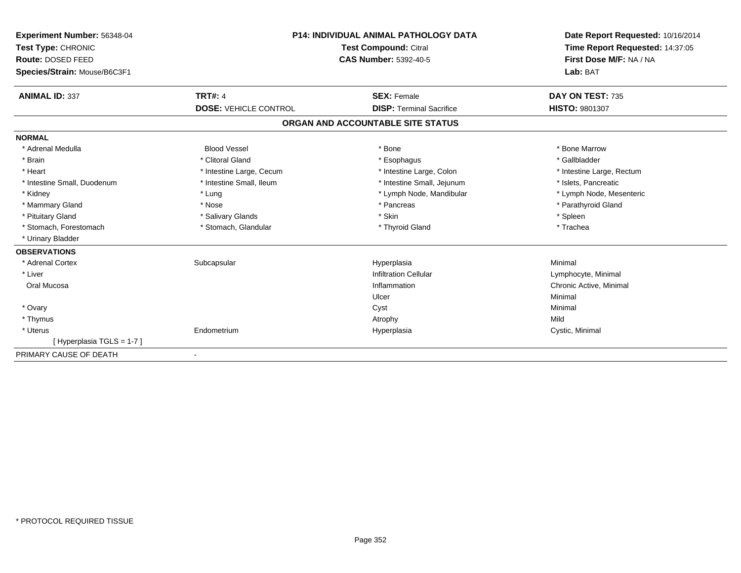| Experiment Number: 56348-04  | <b>P14: INDIVIDUAL ANIMAL PATHOLOGY DATA</b><br>Test Compound: Citral |                                   | Date Report Requested: 10/16/2014 |  |
|------------------------------|-----------------------------------------------------------------------|-----------------------------------|-----------------------------------|--|
| Test Type: CHRONIC           |                                                                       |                                   | Time Report Requested: 14:37:05   |  |
| Route: DOSED FEED            |                                                                       | <b>CAS Number: 5392-40-5</b>      |                                   |  |
| Species/Strain: Mouse/B6C3F1 |                                                                       |                                   | Lab: BAT                          |  |
| <b>ANIMAL ID: 337</b>        | <b>TRT#: 4</b>                                                        | <b>SEX: Female</b>                | DAY ON TEST: 735                  |  |
|                              | <b>DOSE: VEHICLE CONTROL</b>                                          | <b>DISP: Terminal Sacrifice</b>   | <b>HISTO: 9801307</b>             |  |
|                              |                                                                       | ORGAN AND ACCOUNTABLE SITE STATUS |                                   |  |
| <b>NORMAL</b>                |                                                                       |                                   |                                   |  |
| * Adrenal Medulla            | <b>Blood Vessel</b>                                                   | * Bone                            | * Bone Marrow                     |  |
| * Brain                      | * Clitoral Gland                                                      | * Esophagus                       | * Gallbladder                     |  |
| * Heart                      | * Intestine Large, Cecum                                              | * Intestine Large, Colon          | * Intestine Large, Rectum         |  |
| * Intestine Small, Duodenum  | * Intestine Small, Ileum                                              | * Intestine Small, Jejunum        | * Islets, Pancreatic              |  |
| * Kidney                     | * Lung                                                                | * Lymph Node, Mandibular          | * Lymph Node, Mesenteric          |  |
| * Mammary Gland              | * Nose                                                                | * Pancreas                        | * Parathyroid Gland               |  |
| * Pituitary Gland            | * Salivary Glands                                                     | * Skin                            | * Spleen                          |  |
| * Stomach, Forestomach       | * Stomach, Glandular                                                  | * Thyroid Gland                   | * Trachea                         |  |
| * Urinary Bladder            |                                                                       |                                   |                                   |  |
| <b>OBSERVATIONS</b>          |                                                                       |                                   |                                   |  |
| * Adrenal Cortex             | Subcapsular                                                           | Hyperplasia                       | Minimal                           |  |
| * Liver                      |                                                                       | <b>Infiltration Cellular</b>      | Lymphocyte, Minimal               |  |
| Oral Mucosa                  |                                                                       | Inflammation                      | Chronic Active, Minimal           |  |
|                              |                                                                       | Ulcer                             | Minimal                           |  |
| * Ovary                      |                                                                       | Cyst                              | Minimal                           |  |
| * Thymus                     |                                                                       | Atrophy                           | Mild                              |  |
| * Uterus                     | Endometrium                                                           | Hyperplasia                       | Cystic, Minimal                   |  |
| [Hyperplasia TGLS = 1-7]     |                                                                       |                                   |                                   |  |
| PRIMARY CAUSE OF DEATH       |                                                                       |                                   |                                   |  |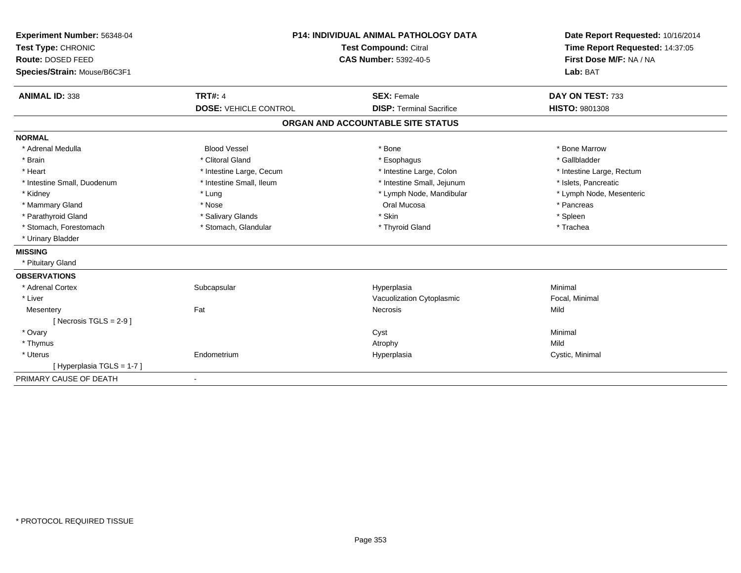| Experiment Number: 56348-04  | <b>P14: INDIVIDUAL ANIMAL PATHOLOGY DATA</b><br><b>Test Compound: Citral</b> |                                   | Date Report Requested: 10/16/2014 |  |
|------------------------------|------------------------------------------------------------------------------|-----------------------------------|-----------------------------------|--|
| Test Type: CHRONIC           |                                                                              |                                   | Time Report Requested: 14:37:05   |  |
| Route: DOSED FEED            |                                                                              | <b>CAS Number: 5392-40-5</b>      | First Dose M/F: NA / NA           |  |
| Species/Strain: Mouse/B6C3F1 |                                                                              |                                   | Lab: BAT                          |  |
| <b>ANIMAL ID: 338</b>        | <b>TRT#: 4</b>                                                               | <b>SEX: Female</b>                | DAY ON TEST: 733                  |  |
|                              | <b>DOSE: VEHICLE CONTROL</b>                                                 | <b>DISP: Terminal Sacrifice</b>   | <b>HISTO: 9801308</b>             |  |
|                              |                                                                              | ORGAN AND ACCOUNTABLE SITE STATUS |                                   |  |
| <b>NORMAL</b>                |                                                                              |                                   |                                   |  |
| * Adrenal Medulla            | <b>Blood Vessel</b>                                                          | * Bone                            | * Bone Marrow                     |  |
| * Brain                      | * Clitoral Gland                                                             | * Esophagus                       | * Gallbladder                     |  |
| * Heart                      | * Intestine Large, Cecum                                                     | * Intestine Large, Colon          | * Intestine Large, Rectum         |  |
| * Intestine Small, Duodenum  | * Intestine Small, Ileum                                                     | * Intestine Small, Jejunum        | * Islets, Pancreatic              |  |
| * Kidney                     | * Lung                                                                       | * Lymph Node, Mandibular          | * Lymph Node, Mesenteric          |  |
| * Mammary Gland              | * Nose                                                                       | Oral Mucosa                       | * Pancreas                        |  |
| * Parathyroid Gland          | * Salivary Glands                                                            | * Skin                            | * Spleen                          |  |
| * Stomach, Forestomach       | * Stomach, Glandular                                                         | * Thyroid Gland                   | * Trachea                         |  |
| * Urinary Bladder            |                                                                              |                                   |                                   |  |
| <b>MISSING</b>               |                                                                              |                                   |                                   |  |
| * Pituitary Gland            |                                                                              |                                   |                                   |  |
| <b>OBSERVATIONS</b>          |                                                                              |                                   |                                   |  |
| * Adrenal Cortex             | Subcapsular                                                                  | Hyperplasia                       | Minimal                           |  |
| * Liver                      |                                                                              | Vacuolization Cytoplasmic         | Focal, Minimal                    |  |
| Mesentery                    | Fat                                                                          | Necrosis                          | Mild                              |  |
| [ Necrosis $TGLS = 2-9$ ]    |                                                                              |                                   |                                   |  |
| * Ovary                      |                                                                              | Cyst                              | Minimal                           |  |
| * Thymus                     |                                                                              | Atrophy                           | Mild                              |  |
| * Uterus                     | Endometrium                                                                  | Hyperplasia                       | Cystic, Minimal                   |  |
| [ Hyperplasia TGLS = 1-7 ]   |                                                                              |                                   |                                   |  |
| PRIMARY CAUSE OF DEATH       |                                                                              |                                   |                                   |  |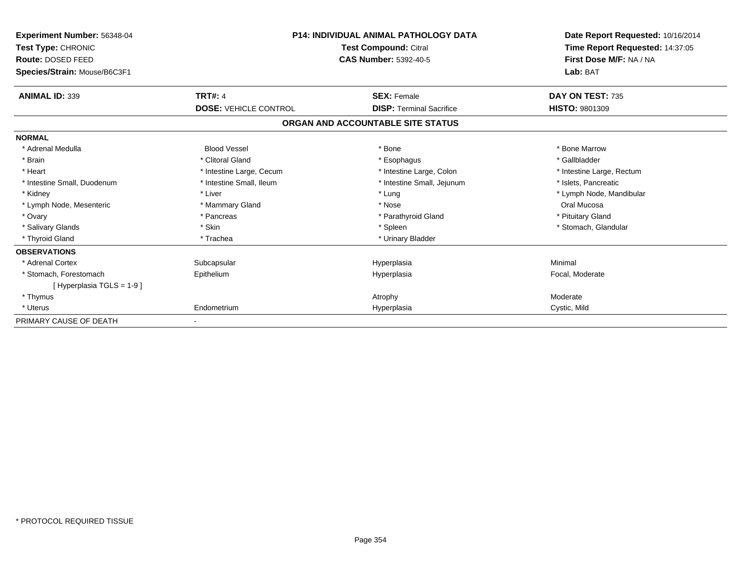| Experiment Number: 56348-04<br><b>Test Type: CHRONIC</b><br>Route: DOSED FEED<br>Species/Strain: Mouse/B6C3F1 | <b>P14: INDIVIDUAL ANIMAL PATHOLOGY DATA</b><br>Test Compound: Citral<br><b>CAS Number: 5392-40-5</b> |                                   | Date Report Requested: 10/16/2014<br>Time Report Requested: 14:37:05<br>First Dose M/F: NA / NA<br>Lab: BAT |
|---------------------------------------------------------------------------------------------------------------|-------------------------------------------------------------------------------------------------------|-----------------------------------|-------------------------------------------------------------------------------------------------------------|
| <b>ANIMAL ID: 339</b>                                                                                         | <b>TRT#: 4</b>                                                                                        | <b>SEX: Female</b>                | DAY ON TEST: 735                                                                                            |
|                                                                                                               | <b>DOSE: VEHICLE CONTROL</b>                                                                          | <b>DISP: Terminal Sacrifice</b>   | <b>HISTO: 9801309</b>                                                                                       |
|                                                                                                               |                                                                                                       | ORGAN AND ACCOUNTABLE SITE STATUS |                                                                                                             |
| <b>NORMAL</b>                                                                                                 |                                                                                                       |                                   |                                                                                                             |
| * Adrenal Medulla                                                                                             | <b>Blood Vessel</b>                                                                                   | * Bone                            | * Bone Marrow                                                                                               |
| * Brain                                                                                                       | * Clitoral Gland                                                                                      | * Esophagus                       | * Gallbladder                                                                                               |
| * Heart                                                                                                       | * Intestine Large, Cecum                                                                              | * Intestine Large, Colon          | * Intestine Large, Rectum                                                                                   |
| * Intestine Small, Duodenum                                                                                   | * Intestine Small, Ileum                                                                              | * Intestine Small, Jejunum        | * Islets, Pancreatic                                                                                        |
| * Kidney                                                                                                      | * Liver                                                                                               | * Lung                            | * Lymph Node, Mandibular                                                                                    |
| * Lymph Node, Mesenteric                                                                                      | * Mammary Gland                                                                                       | * Nose                            | Oral Mucosa                                                                                                 |
| * Ovary                                                                                                       | * Pancreas                                                                                            | * Parathyroid Gland               | * Pituitary Gland                                                                                           |
| * Salivary Glands                                                                                             | * Skin                                                                                                | * Spleen                          | * Stomach, Glandular                                                                                        |
| * Thyroid Gland                                                                                               | * Trachea                                                                                             | * Urinary Bladder                 |                                                                                                             |
| <b>OBSERVATIONS</b>                                                                                           |                                                                                                       |                                   |                                                                                                             |
| * Adrenal Cortex                                                                                              | Subcapsular                                                                                           | Hyperplasia                       | Minimal                                                                                                     |
| * Stomach, Forestomach                                                                                        | Epithelium                                                                                            | Hyperplasia                       | Focal, Moderate                                                                                             |
| [Hyperplasia TGLS = $1-9$ ]                                                                                   |                                                                                                       |                                   |                                                                                                             |
| * Thymus                                                                                                      |                                                                                                       | Atrophy                           | Moderate                                                                                                    |
| * Uterus                                                                                                      | Endometrium                                                                                           | Hyperplasia                       | Cystic, Mild                                                                                                |
| PRIMARY CAUSE OF DEATH                                                                                        |                                                                                                       |                                   |                                                                                                             |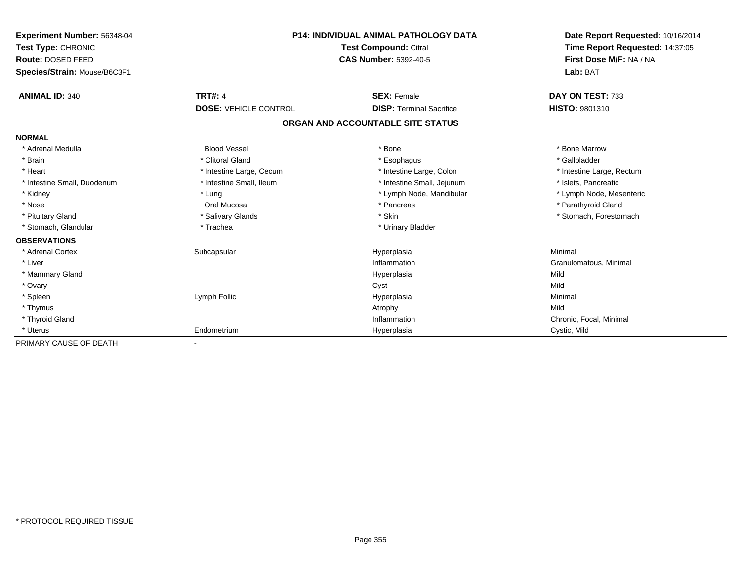| Experiment Number: 56348-04  | <b>P14: INDIVIDUAL ANIMAL PATHOLOGY DATA</b><br><b>Test Compound: Citral</b> |                                   | Date Report Requested: 10/16/2014<br>Time Report Requested: 14:37:05 |
|------------------------------|------------------------------------------------------------------------------|-----------------------------------|----------------------------------------------------------------------|
| Test Type: CHRONIC           |                                                                              |                                   |                                                                      |
| Route: DOSED FEED            |                                                                              | <b>CAS Number: 5392-40-5</b>      |                                                                      |
| Species/Strain: Mouse/B6C3F1 |                                                                              |                                   | Lab: BAT                                                             |
| <b>ANIMAL ID: 340</b>        | <b>TRT#: 4</b>                                                               | <b>SEX: Female</b>                | DAY ON TEST: 733                                                     |
|                              | <b>DOSE: VEHICLE CONTROL</b>                                                 | <b>DISP: Terminal Sacrifice</b>   | <b>HISTO: 9801310</b>                                                |
|                              |                                                                              | ORGAN AND ACCOUNTABLE SITE STATUS |                                                                      |
| <b>NORMAL</b>                |                                                                              |                                   |                                                                      |
| * Adrenal Medulla            | <b>Blood Vessel</b>                                                          | * Bone                            | * Bone Marrow                                                        |
| * Brain                      | * Clitoral Gland                                                             | * Esophagus                       | * Gallbladder                                                        |
| * Heart                      | * Intestine Large, Cecum                                                     | * Intestine Large, Colon          | * Intestine Large, Rectum                                            |
| * Intestine Small, Duodenum  | * Intestine Small, Ileum                                                     | * Intestine Small, Jejunum        | * Islets, Pancreatic                                                 |
| * Kidney                     | * Lung                                                                       | * Lymph Node, Mandibular          | * Lymph Node, Mesenteric                                             |
| * Nose                       | Oral Mucosa                                                                  | * Pancreas                        | * Parathyroid Gland                                                  |
| * Pituitary Gland            | * Salivary Glands                                                            | * Skin                            | * Stomach, Forestomach                                               |
| * Stomach, Glandular         | * Trachea                                                                    | * Urinary Bladder                 |                                                                      |
| <b>OBSERVATIONS</b>          |                                                                              |                                   |                                                                      |
| * Adrenal Cortex             | Subcapsular                                                                  | Hyperplasia                       | Minimal                                                              |
| * Liver                      |                                                                              | Inflammation                      | Granulomatous, Minimal                                               |
| * Mammary Gland              |                                                                              | Hyperplasia                       | Mild                                                                 |
| * Ovary                      |                                                                              | Cyst                              | Mild                                                                 |
| * Spleen                     | Lymph Follic                                                                 | Hyperplasia                       | Minimal                                                              |
| * Thymus                     |                                                                              | Atrophy                           | Mild                                                                 |
| * Thyroid Gland              |                                                                              | Inflammation                      | Chronic, Focal, Minimal                                              |
| * Uterus                     | Endometrium                                                                  | Hyperplasia                       | Cystic, Mild                                                         |
| PRIMARY CAUSE OF DEATH       |                                                                              |                                   |                                                                      |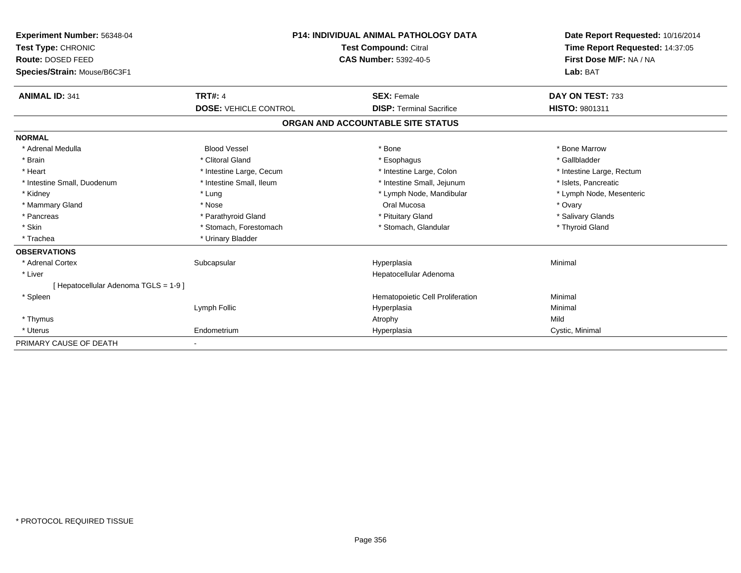| <b>Experiment Number: 56348-04</b>    | <b>P14: INDIVIDUAL ANIMAL PATHOLOGY DATA</b><br><b>Test Compound: Citral</b><br><b>CAS Number: 5392-40-5</b> |                                   | Date Report Requested: 10/16/2014                          |  |
|---------------------------------------|--------------------------------------------------------------------------------------------------------------|-----------------------------------|------------------------------------------------------------|--|
| Test Type: CHRONIC                    |                                                                                                              |                                   | Time Report Requested: 14:37:05<br>First Dose M/F: NA / NA |  |
| Route: DOSED FEED                     |                                                                                                              |                                   |                                                            |  |
| Species/Strain: Mouse/B6C3F1          |                                                                                                              |                                   | Lab: BAT                                                   |  |
| <b>ANIMAL ID: 341</b>                 | <b>TRT#: 4</b>                                                                                               | <b>SEX: Female</b>                | DAY ON TEST: 733                                           |  |
|                                       | <b>DOSE: VEHICLE CONTROL</b>                                                                                 | <b>DISP: Terminal Sacrifice</b>   | <b>HISTO: 9801311</b>                                      |  |
|                                       |                                                                                                              | ORGAN AND ACCOUNTABLE SITE STATUS |                                                            |  |
| <b>NORMAL</b>                         |                                                                                                              |                                   |                                                            |  |
| * Adrenal Medulla                     | <b>Blood Vessel</b>                                                                                          | * Bone                            | * Bone Marrow                                              |  |
| * Brain                               | * Clitoral Gland                                                                                             | * Esophagus                       | * Gallbladder                                              |  |
| * Heart                               | * Intestine Large, Cecum                                                                                     | * Intestine Large, Colon          | * Intestine Large, Rectum                                  |  |
| * Intestine Small, Duodenum           | * Intestine Small. Ileum                                                                                     | * Intestine Small, Jejunum        | * Islets. Pancreatic                                       |  |
| * Kidney                              | * Lung                                                                                                       | * Lymph Node, Mandibular          | * Lymph Node, Mesenteric                                   |  |
| * Mammary Gland                       | * Nose                                                                                                       | Oral Mucosa                       | * Ovary                                                    |  |
| * Pancreas                            | * Parathyroid Gland                                                                                          | * Pituitary Gland                 | * Salivary Glands                                          |  |
| * Skin                                | * Stomach, Forestomach                                                                                       | * Stomach, Glandular              | * Thyroid Gland                                            |  |
| * Trachea                             | * Urinary Bladder                                                                                            |                                   |                                                            |  |
| <b>OBSERVATIONS</b>                   |                                                                                                              |                                   |                                                            |  |
| * Adrenal Cortex                      | Subcapsular                                                                                                  | Hyperplasia                       | Minimal                                                    |  |
| * Liver                               |                                                                                                              | Hepatocellular Adenoma            |                                                            |  |
| [ Hepatocellular Adenoma TGLS = 1-9 ] |                                                                                                              |                                   |                                                            |  |
| * Spleen                              |                                                                                                              | Hematopoietic Cell Proliferation  | Minimal                                                    |  |
|                                       | Lymph Follic                                                                                                 | Hyperplasia                       | Minimal                                                    |  |
| * Thymus                              |                                                                                                              | Atrophy                           | Mild                                                       |  |
| * Uterus                              | Endometrium                                                                                                  | Hyperplasia                       | Cystic, Minimal                                            |  |
| PRIMARY CAUSE OF DEATH                |                                                                                                              |                                   |                                                            |  |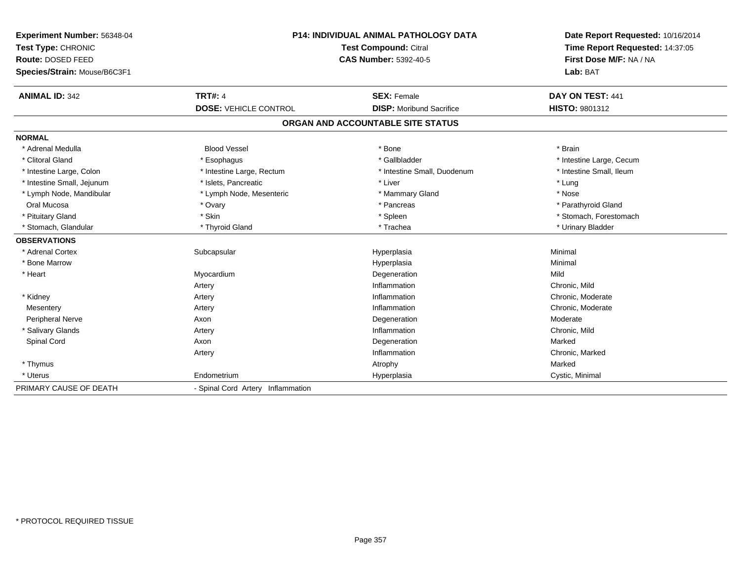| Experiment Number: 56348-04<br>Test Type: CHRONIC<br>Route: DOSED FEED |                                   | P14: INDIVIDUAL ANIMAL PATHOLOGY DATA<br>Test Compound: Citral<br><b>CAS Number: 5392-40-5</b> |                                     |  |
|------------------------------------------------------------------------|-----------------------------------|------------------------------------------------------------------------------------------------|-------------------------------------|--|
| Species/Strain: Mouse/B6C3F1                                           |                                   |                                                                                                | First Dose M/F: NA / NA<br>Lab: BAT |  |
| <b>ANIMAL ID: 342</b>                                                  | <b>TRT#: 4</b>                    | <b>SEX: Female</b>                                                                             | DAY ON TEST: 441                    |  |
|                                                                        | <b>DOSE: VEHICLE CONTROL</b>      | <b>DISP:</b> Moribund Sacrifice                                                                | <b>HISTO: 9801312</b>               |  |
|                                                                        |                                   | ORGAN AND ACCOUNTABLE SITE STATUS                                                              |                                     |  |
| <b>NORMAL</b>                                                          |                                   |                                                                                                |                                     |  |
| * Adrenal Medulla                                                      | <b>Blood Vessel</b>               | * Bone                                                                                         | * Brain                             |  |
| * Clitoral Gland                                                       | * Esophagus                       | * Gallbladder                                                                                  | * Intestine Large, Cecum            |  |
| * Intestine Large, Colon                                               | * Intestine Large, Rectum         | * Intestine Small, Duodenum                                                                    | * Intestine Small, Ileum            |  |
| * Intestine Small, Jejunum                                             | * Islets, Pancreatic              | * Liver                                                                                        | * Lung                              |  |
| * Lymph Node, Mandibular                                               | * Lymph Node, Mesenteric          | * Mammary Gland                                                                                | * Nose                              |  |
| Oral Mucosa                                                            | * Ovary                           | * Pancreas                                                                                     | * Parathyroid Gland                 |  |
| * Pituitary Gland                                                      | * Skin                            | * Spleen                                                                                       | * Stomach, Forestomach              |  |
| * Stomach, Glandular                                                   | * Thyroid Gland                   | * Trachea                                                                                      | * Urinary Bladder                   |  |
| <b>OBSERVATIONS</b>                                                    |                                   |                                                                                                |                                     |  |
| * Adrenal Cortex                                                       | Subcapsular                       | Hyperplasia                                                                                    | Minimal                             |  |
| * Bone Marrow                                                          |                                   | Hyperplasia                                                                                    | Minimal                             |  |
| * Heart                                                                | Myocardium                        | Degeneration                                                                                   | Mild                                |  |
|                                                                        | Artery                            | Inflammation                                                                                   | Chronic, Mild                       |  |
| * Kidney                                                               | Artery                            | Inflammation                                                                                   | Chronic, Moderate                   |  |
| Mesentery                                                              | Artery                            | Inflammation                                                                                   | Chronic, Moderate                   |  |
| Peripheral Nerve                                                       | Axon                              | Degeneration                                                                                   | Moderate                            |  |
| * Salivary Glands                                                      | Artery                            | Inflammation                                                                                   | Chronic, Mild                       |  |
| Spinal Cord                                                            | Axon                              | Degeneration                                                                                   | Marked                              |  |
|                                                                        | Artery                            | Inflammation                                                                                   | Chronic, Marked                     |  |
| * Thymus                                                               |                                   | Atrophy                                                                                        | Marked                              |  |
| * Uterus                                                               | Endometrium                       | Hyperplasia                                                                                    | Cystic, Minimal                     |  |
| PRIMARY CAUSE OF DEATH                                                 | - Spinal Cord Artery Inflammation |                                                                                                |                                     |  |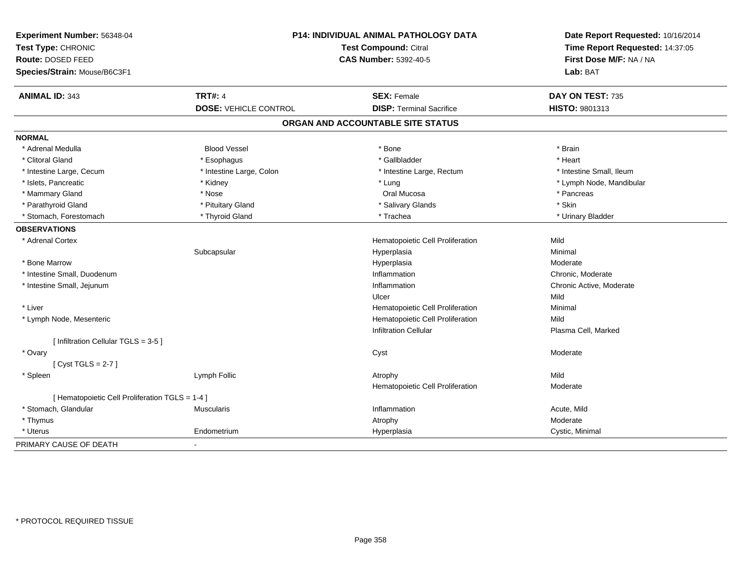| Experiment Number: 56348-04<br>Test Type: CHRONIC<br>Route: DOSED FEED |                              | P14: INDIVIDUAL ANIMAL PATHOLOGY DATA<br>Test Compound: Citral<br><b>CAS Number: 5392-40-5</b> | Date Report Requested: 10/16/2014<br>Time Report Requested: 14:37:05<br>First Dose M/F: NA / NA |
|------------------------------------------------------------------------|------------------------------|------------------------------------------------------------------------------------------------|-------------------------------------------------------------------------------------------------|
| Species/Strain: Mouse/B6C3F1                                           |                              |                                                                                                | Lab: BAT                                                                                        |
| <b>ANIMAL ID: 343</b>                                                  | <b>TRT#: 4</b>               | <b>SEX: Female</b>                                                                             | DAY ON TEST: 735                                                                                |
|                                                                        | <b>DOSE: VEHICLE CONTROL</b> | <b>DISP: Terminal Sacrifice</b>                                                                | HISTO: 9801313                                                                                  |
|                                                                        |                              | ORGAN AND ACCOUNTABLE SITE STATUS                                                              |                                                                                                 |
| <b>NORMAL</b>                                                          |                              |                                                                                                |                                                                                                 |
| * Adrenal Medulla                                                      | <b>Blood Vessel</b>          | * Bone                                                                                         | * Brain                                                                                         |
| * Clitoral Gland                                                       | * Esophagus                  | * Gallbladder                                                                                  | * Heart                                                                                         |
| * Intestine Large, Cecum                                               | * Intestine Large, Colon     | * Intestine Large, Rectum                                                                      | * Intestine Small. Ileum                                                                        |
| * Islets, Pancreatic                                                   | * Kidney                     | * Lung                                                                                         | * Lymph Node, Mandibular                                                                        |
| * Mammary Gland                                                        | * Nose                       | Oral Mucosa                                                                                    | * Pancreas                                                                                      |
| * Parathyroid Gland                                                    | * Pituitary Gland            | * Salivary Glands                                                                              | * Skin                                                                                          |
| * Stomach, Forestomach                                                 | * Thyroid Gland              | * Trachea                                                                                      | * Urinary Bladder                                                                               |
| <b>OBSERVATIONS</b>                                                    |                              |                                                                                                |                                                                                                 |
| * Adrenal Cortex                                                       |                              | Hematopoietic Cell Proliferation                                                               | Mild                                                                                            |
|                                                                        | Subcapsular                  | Hyperplasia                                                                                    | Minimal                                                                                         |
| * Bone Marrow                                                          |                              | Hyperplasia                                                                                    | Moderate                                                                                        |
| * Intestine Small, Duodenum                                            |                              | Inflammation                                                                                   | Chronic, Moderate                                                                               |
| * Intestine Small, Jejunum                                             |                              | Inflammation                                                                                   | Chronic Active, Moderate                                                                        |
|                                                                        |                              | Ulcer                                                                                          | Mild                                                                                            |
| * Liver                                                                |                              | Hematopoietic Cell Proliferation                                                               | Minimal                                                                                         |
| * Lymph Node, Mesenteric                                               |                              | Hematopoietic Cell Proliferation                                                               | Mild                                                                                            |
|                                                                        |                              | <b>Infiltration Cellular</b>                                                                   | Plasma Cell, Marked                                                                             |
| [ Infiltration Cellular TGLS = 3-5 ]                                   |                              |                                                                                                |                                                                                                 |
| * Ovary                                                                |                              | Cyst                                                                                           | Moderate                                                                                        |
| [Cyst TGLS = $2-7$ ]                                                   |                              |                                                                                                |                                                                                                 |
| * Spleen                                                               | Lymph Follic                 | Atrophy                                                                                        | Mild                                                                                            |
|                                                                        |                              | Hematopoietic Cell Proliferation                                                               | Moderate                                                                                        |
| [ Hematopoietic Cell Proliferation TGLS = 1-4 ]                        |                              |                                                                                                |                                                                                                 |
| * Stomach, Glandular                                                   | <b>Muscularis</b>            | Inflammation                                                                                   | Acute, Mild                                                                                     |
| * Thymus                                                               |                              | Atrophy                                                                                        | Moderate                                                                                        |
| * Uterus                                                               | Endometrium                  | Hyperplasia                                                                                    | Cystic, Minimal                                                                                 |
| PRIMARY CAUSE OF DEATH                                                 |                              |                                                                                                |                                                                                                 |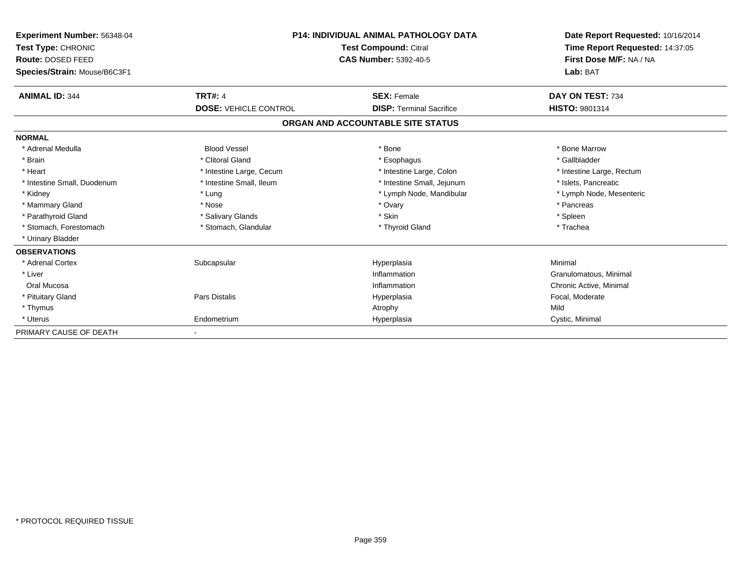| Experiment Number: 56348-04<br>Test Type: CHRONIC<br>Route: DOSED FEED<br>Species/Strain: Mouse/B6C3F1 | <b>P14: INDIVIDUAL ANIMAL PATHOLOGY DATA</b><br><b>Test Compound: Citral</b><br><b>CAS Number: 5392-40-5</b> |                                   | Date Report Requested: 10/16/2014<br>Time Report Requested: 14:37:05<br>First Dose M/F: NA / NA<br>Lab: BAT |
|--------------------------------------------------------------------------------------------------------|--------------------------------------------------------------------------------------------------------------|-----------------------------------|-------------------------------------------------------------------------------------------------------------|
| <b>ANIMAL ID: 344</b>                                                                                  | <b>TRT#: 4</b>                                                                                               | <b>SEX: Female</b>                | DAY ON TEST: 734                                                                                            |
|                                                                                                        | <b>DOSE: VEHICLE CONTROL</b>                                                                                 | <b>DISP: Terminal Sacrifice</b>   | HISTO: 9801314                                                                                              |
|                                                                                                        |                                                                                                              | ORGAN AND ACCOUNTABLE SITE STATUS |                                                                                                             |
| <b>NORMAL</b>                                                                                          |                                                                                                              |                                   |                                                                                                             |
| * Adrenal Medulla                                                                                      | <b>Blood Vessel</b>                                                                                          | * Bone                            | * Bone Marrow                                                                                               |
| * Brain                                                                                                | * Clitoral Gland                                                                                             | * Esophagus                       | * Gallbladder                                                                                               |
| * Heart                                                                                                | * Intestine Large, Cecum                                                                                     | * Intestine Large, Colon          | * Intestine Large, Rectum                                                                                   |
| * Intestine Small, Duodenum                                                                            | * Intestine Small, Ileum                                                                                     | * Intestine Small, Jejunum        | * Islets, Pancreatic                                                                                        |
| * Kidney                                                                                               | * Lung                                                                                                       | * Lymph Node, Mandibular          | * Lymph Node, Mesenteric                                                                                    |
| * Mammary Gland                                                                                        | * Nose                                                                                                       | * Ovary                           | * Pancreas                                                                                                  |
| * Parathyroid Gland                                                                                    | * Salivary Glands                                                                                            | * Skin                            | * Spleen                                                                                                    |
| * Stomach, Forestomach                                                                                 | * Stomach, Glandular                                                                                         | * Thyroid Gland                   | * Trachea                                                                                                   |
| * Urinary Bladder                                                                                      |                                                                                                              |                                   |                                                                                                             |
| <b>OBSERVATIONS</b>                                                                                    |                                                                                                              |                                   |                                                                                                             |
| * Adrenal Cortex                                                                                       | Subcapsular                                                                                                  | Hyperplasia                       | Minimal                                                                                                     |
| * Liver                                                                                                |                                                                                                              | Inflammation                      | Granulomatous, Minimal                                                                                      |
| Oral Mucosa                                                                                            |                                                                                                              | Inflammation                      | Chronic Active, Minimal                                                                                     |
| * Pituitary Gland                                                                                      | Pars Distalis                                                                                                | Hyperplasia                       | Focal, Moderate                                                                                             |
| * Thymus                                                                                               |                                                                                                              | Atrophy                           | Mild                                                                                                        |
| * Uterus                                                                                               | Endometrium                                                                                                  | Hyperplasia                       | Cystic, Minimal                                                                                             |
| PRIMARY CAUSE OF DEATH                                                                                 |                                                                                                              |                                   |                                                                                                             |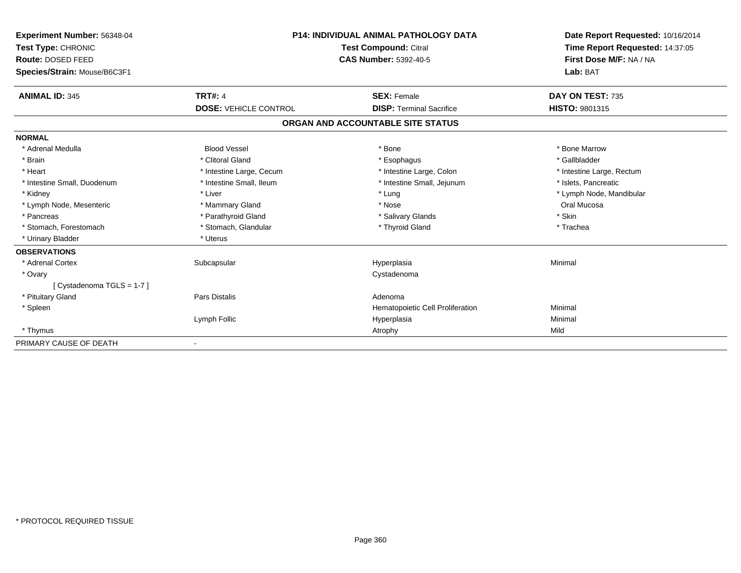| Experiment Number: 56348-04  | <b>P14: INDIVIDUAL ANIMAL PATHOLOGY DATA</b><br><b>Test Compound: Citral</b><br><b>CAS Number: 5392-40-5</b> |                                   | Date Report Requested: 10/16/2014                          |  |
|------------------------------|--------------------------------------------------------------------------------------------------------------|-----------------------------------|------------------------------------------------------------|--|
| Test Type: CHRONIC           |                                                                                                              |                                   | Time Report Requested: 14:37:05<br>First Dose M/F: NA / NA |  |
| Route: DOSED FEED            |                                                                                                              |                                   |                                                            |  |
| Species/Strain: Mouse/B6C3F1 |                                                                                                              |                                   | Lab: BAT                                                   |  |
| <b>ANIMAL ID: 345</b>        | <b>TRT#: 4</b>                                                                                               | <b>SEX: Female</b>                | DAY ON TEST: 735                                           |  |
|                              | <b>DOSE: VEHICLE CONTROL</b>                                                                                 | <b>DISP: Terminal Sacrifice</b>   | <b>HISTO: 9801315</b>                                      |  |
|                              |                                                                                                              | ORGAN AND ACCOUNTABLE SITE STATUS |                                                            |  |
| <b>NORMAL</b>                |                                                                                                              |                                   |                                                            |  |
| * Adrenal Medulla            | <b>Blood Vessel</b>                                                                                          | * Bone                            | * Bone Marrow                                              |  |
| * Brain                      | * Clitoral Gland                                                                                             | * Esophagus                       | * Gallbladder                                              |  |
| * Heart                      | * Intestine Large, Cecum                                                                                     | * Intestine Large, Colon          | * Intestine Large, Rectum                                  |  |
| * Intestine Small, Duodenum  | * Intestine Small, Ileum                                                                                     | * Intestine Small, Jejunum        | * Islets, Pancreatic                                       |  |
| * Kidney                     | * Liver                                                                                                      | * Lung                            | * Lymph Node, Mandibular                                   |  |
| * Lymph Node, Mesenteric     | * Mammary Gland                                                                                              | * Nose                            | Oral Mucosa                                                |  |
| * Pancreas                   | * Parathyroid Gland                                                                                          | * Salivary Glands                 | * Skin                                                     |  |
| * Stomach, Forestomach       | * Stomach, Glandular                                                                                         | * Thyroid Gland                   | * Trachea                                                  |  |
| * Urinary Bladder            | * Uterus                                                                                                     |                                   |                                                            |  |
| <b>OBSERVATIONS</b>          |                                                                                                              |                                   |                                                            |  |
| * Adrenal Cortex             | Subcapsular                                                                                                  | Hyperplasia                       | Minimal                                                    |  |
| * Ovary                      |                                                                                                              | Cystadenoma                       |                                                            |  |
| [ Cystadenoma TGLS = 1-7 ]   |                                                                                                              |                                   |                                                            |  |
| * Pituitary Gland            | <b>Pars Distalis</b>                                                                                         | Adenoma                           |                                                            |  |
| * Spleen                     |                                                                                                              | Hematopoietic Cell Proliferation  | Minimal                                                    |  |
|                              | Lymph Follic                                                                                                 | Hyperplasia                       | Minimal                                                    |  |
| * Thymus                     |                                                                                                              | Atrophy                           | Mild                                                       |  |
| PRIMARY CAUSE OF DEATH       |                                                                                                              |                                   |                                                            |  |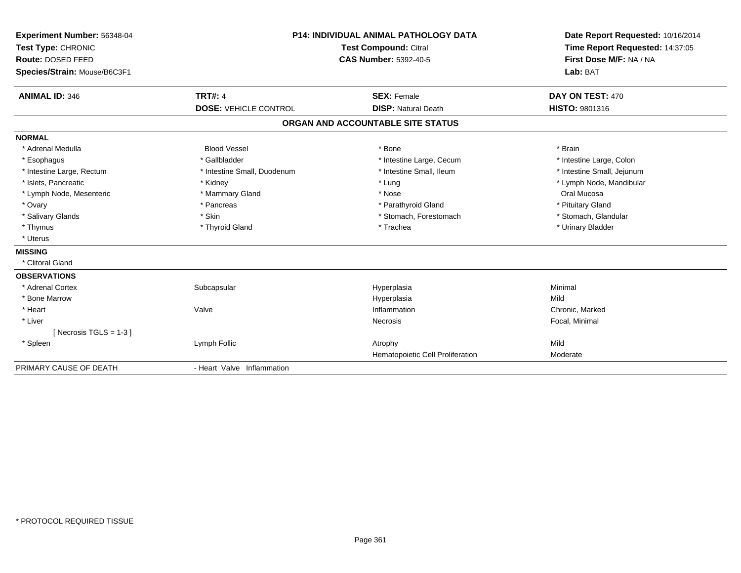| Experiment Number: 56348-04<br>Test Type: CHRONIC<br>Route: DOSED FEED<br>Species/Strain: Mouse/B6C3F1 |                              | <b>P14: INDIVIDUAL ANIMAL PATHOLOGY DATA</b><br><b>Test Compound: Citral</b><br><b>CAS Number: 5392-40-5</b> | Date Report Requested: 10/16/2014<br>Time Report Requested: 14:37:05<br>First Dose M/F: NA / NA<br>Lab: BAT |
|--------------------------------------------------------------------------------------------------------|------------------------------|--------------------------------------------------------------------------------------------------------------|-------------------------------------------------------------------------------------------------------------|
| <b>ANIMAL ID: 346</b>                                                                                  | <b>TRT#: 4</b>               | <b>SEX: Female</b>                                                                                           | DAY ON TEST: 470                                                                                            |
|                                                                                                        | <b>DOSE: VEHICLE CONTROL</b> | <b>DISP: Natural Death</b>                                                                                   | HISTO: 9801316                                                                                              |
|                                                                                                        |                              | ORGAN AND ACCOUNTABLE SITE STATUS                                                                            |                                                                                                             |
| <b>NORMAL</b>                                                                                          |                              |                                                                                                              |                                                                                                             |
| * Adrenal Medulla                                                                                      | <b>Blood Vessel</b>          | * Bone                                                                                                       | * Brain                                                                                                     |
| * Esophagus                                                                                            | * Gallbladder                | * Intestine Large, Cecum                                                                                     | * Intestine Large, Colon                                                                                    |
| * Intestine Large, Rectum                                                                              | * Intestine Small, Duodenum  | * Intestine Small, Ileum                                                                                     | * Intestine Small, Jejunum                                                                                  |
| * Islets. Pancreatic                                                                                   | * Kidney                     | * Lung                                                                                                       | * Lymph Node, Mandibular                                                                                    |
| * Lymph Node, Mesenteric                                                                               | * Mammary Gland              | * Nose                                                                                                       | Oral Mucosa                                                                                                 |
| * Ovary                                                                                                | * Pancreas                   | * Parathyroid Gland                                                                                          | * Pituitary Gland                                                                                           |
| * Salivary Glands                                                                                      | * Skin                       | * Stomach, Forestomach                                                                                       | * Stomach, Glandular                                                                                        |
| * Thymus                                                                                               | * Thyroid Gland              | * Trachea                                                                                                    | * Urinary Bladder                                                                                           |
| * Uterus                                                                                               |                              |                                                                                                              |                                                                                                             |
| <b>MISSING</b>                                                                                         |                              |                                                                                                              |                                                                                                             |
| * Clitoral Gland                                                                                       |                              |                                                                                                              |                                                                                                             |
| <b>OBSERVATIONS</b>                                                                                    |                              |                                                                                                              |                                                                                                             |
| * Adrenal Cortex                                                                                       | Subcapsular                  | Hyperplasia                                                                                                  | Minimal                                                                                                     |
| * Bone Marrow                                                                                          |                              | Hyperplasia                                                                                                  | Mild                                                                                                        |
| * Heart                                                                                                | Valve                        | Inflammation                                                                                                 | Chronic, Marked                                                                                             |
| * Liver                                                                                                |                              | Necrosis                                                                                                     | Focal, Minimal                                                                                              |
| [ Necrosis TGLS = $1-3$ ]                                                                              |                              |                                                                                                              |                                                                                                             |
| * Spleen                                                                                               | Lymph Follic                 | Atrophy                                                                                                      | Mild                                                                                                        |
|                                                                                                        |                              | Hematopoietic Cell Proliferation                                                                             | Moderate                                                                                                    |
| PRIMARY CAUSE OF DEATH                                                                                 | - Heart Valve Inflammation   |                                                                                                              |                                                                                                             |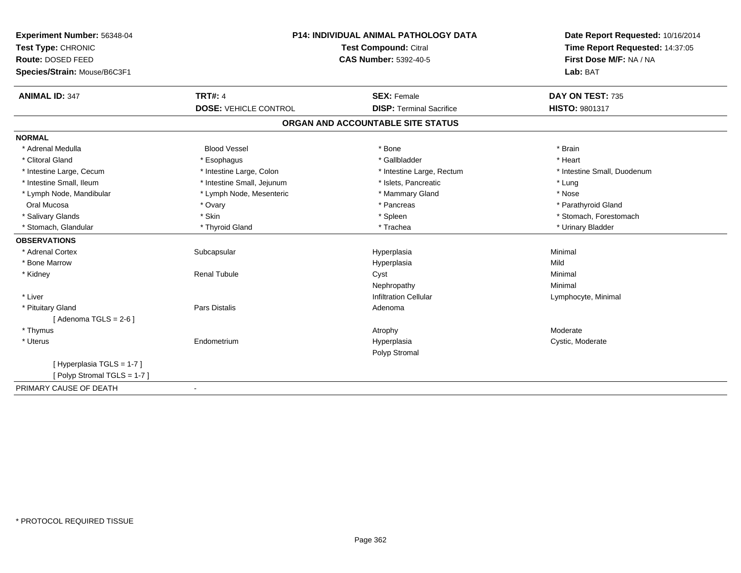| Experiment Number: 56348-04  | P14: INDIVIDUAL ANIMAL PATHOLOGY DATA<br>Test Compound: Citral |                                   | Date Report Requested: 10/16/2014 |  |
|------------------------------|----------------------------------------------------------------|-----------------------------------|-----------------------------------|--|
| Test Type: CHRONIC           |                                                                |                                   | Time Report Requested: 14:37:05   |  |
| Route: DOSED FEED            |                                                                | <b>CAS Number: 5392-40-5</b>      |                                   |  |
| Species/Strain: Mouse/B6C3F1 |                                                                |                                   | Lab: BAT                          |  |
| <b>ANIMAL ID: 347</b>        | <b>TRT#: 4</b>                                                 | <b>SEX: Female</b>                | DAY ON TEST: 735                  |  |
|                              | <b>DOSE: VEHICLE CONTROL</b>                                   | <b>DISP: Terminal Sacrifice</b>   | <b>HISTO: 9801317</b>             |  |
|                              |                                                                | ORGAN AND ACCOUNTABLE SITE STATUS |                                   |  |
| <b>NORMAL</b>                |                                                                |                                   |                                   |  |
| * Adrenal Medulla            | <b>Blood Vessel</b>                                            | * Bone                            | * Brain                           |  |
| * Clitoral Gland             | * Esophagus                                                    | * Gallbladder                     | * Heart                           |  |
| * Intestine Large, Cecum     | * Intestine Large, Colon                                       | * Intestine Large, Rectum         | * Intestine Small, Duodenum       |  |
| * Intestine Small, Ileum     | * Intestine Small, Jejunum                                     | * Islets, Pancreatic              | * Lung                            |  |
| * Lymph Node, Mandibular     | * Lymph Node, Mesenteric                                       | * Mammary Gland                   | * Nose                            |  |
| Oral Mucosa                  | * Ovary                                                        | * Pancreas                        | * Parathyroid Gland               |  |
| * Salivary Glands            | * Skin                                                         | * Spleen                          | * Stomach, Forestomach            |  |
| * Stomach, Glandular         | * Thyroid Gland                                                | * Trachea                         | * Urinary Bladder                 |  |
| <b>OBSERVATIONS</b>          |                                                                |                                   |                                   |  |
| * Adrenal Cortex             | Subcapsular                                                    | Hyperplasia                       | Minimal                           |  |
| * Bone Marrow                |                                                                | Hyperplasia                       | Mild                              |  |
| * Kidney                     | <b>Renal Tubule</b>                                            | Cyst                              | Minimal                           |  |
|                              |                                                                | Nephropathy                       | Minimal                           |  |
| * Liver                      |                                                                | <b>Infiltration Cellular</b>      | Lymphocyte, Minimal               |  |
| * Pituitary Gland            | <b>Pars Distalis</b>                                           | Adenoma                           |                                   |  |
| [Adenoma TGLS = $2-6$ ]      |                                                                |                                   |                                   |  |
| * Thymus                     |                                                                | Atrophy                           | Moderate                          |  |
| * Uterus                     | Endometrium                                                    | Hyperplasia                       | Cystic, Moderate                  |  |
|                              |                                                                | Polyp Stromal                     |                                   |  |
| [ Hyperplasia TGLS = 1-7 ]   |                                                                |                                   |                                   |  |
| [Polyp Stromal TGLS = 1-7]   |                                                                |                                   |                                   |  |
| PRIMARY CAUSE OF DEATH       |                                                                |                                   |                                   |  |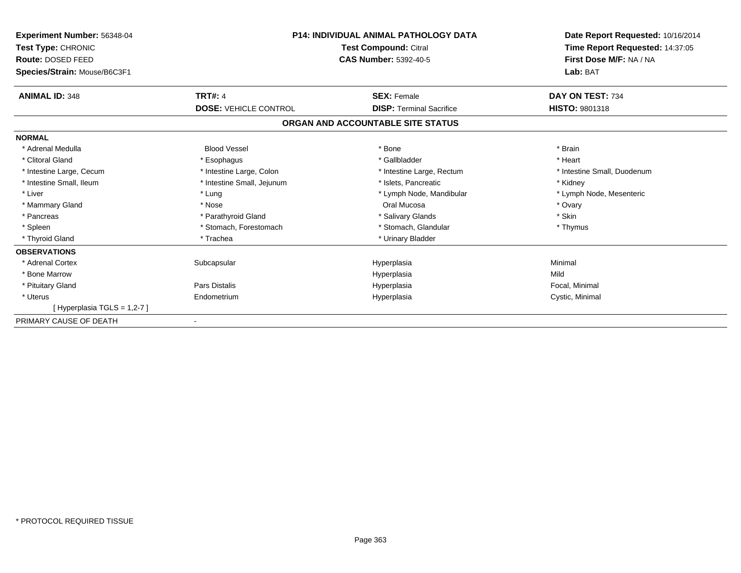| <b>Experiment Number: 56348-04</b><br>Test Type: CHRONIC<br>Route: DOSED FEED<br>Species/Strain: Mouse/B6C3F1 | <b>P14: INDIVIDUAL ANIMAL PATHOLOGY DATA</b><br><b>Test Compound: Citral</b><br><b>CAS Number: 5392-40-5</b> |                                   | Date Report Requested: 10/16/2014<br>Time Report Requested: 14:37:05<br>First Dose M/F: NA / NA<br>Lab: BAT |
|---------------------------------------------------------------------------------------------------------------|--------------------------------------------------------------------------------------------------------------|-----------------------------------|-------------------------------------------------------------------------------------------------------------|
| <b>ANIMAL ID: 348</b>                                                                                         | <b>TRT#: 4</b>                                                                                               | <b>SEX: Female</b>                | DAY ON TEST: 734                                                                                            |
|                                                                                                               | <b>DOSE: VEHICLE CONTROL</b>                                                                                 | <b>DISP:</b> Terminal Sacrifice   | <b>HISTO: 9801318</b>                                                                                       |
|                                                                                                               |                                                                                                              | ORGAN AND ACCOUNTABLE SITE STATUS |                                                                                                             |
| <b>NORMAL</b>                                                                                                 |                                                                                                              |                                   |                                                                                                             |
| * Adrenal Medulla                                                                                             | <b>Blood Vessel</b>                                                                                          | * Bone                            | * Brain                                                                                                     |
| * Clitoral Gland                                                                                              | * Esophagus                                                                                                  | * Gallbladder                     | * Heart                                                                                                     |
| * Intestine Large, Cecum                                                                                      | * Intestine Large, Colon                                                                                     | * Intestine Large, Rectum         | * Intestine Small, Duodenum                                                                                 |
| * Intestine Small, Ileum                                                                                      | * Intestine Small, Jejunum                                                                                   | * Islets, Pancreatic              | * Kidney                                                                                                    |
| * Liver                                                                                                       | * Lung                                                                                                       | * Lymph Node, Mandibular          | * Lymph Node, Mesenteric                                                                                    |
| * Mammary Gland                                                                                               | * Nose                                                                                                       | Oral Mucosa                       | * Ovary                                                                                                     |
| * Pancreas                                                                                                    | * Parathyroid Gland                                                                                          | * Salivary Glands                 | * Skin                                                                                                      |
| * Spleen                                                                                                      | * Stomach, Forestomach                                                                                       | * Stomach, Glandular              | * Thymus                                                                                                    |
| * Thyroid Gland                                                                                               | * Trachea                                                                                                    | * Urinary Bladder                 |                                                                                                             |
| <b>OBSERVATIONS</b>                                                                                           |                                                                                                              |                                   |                                                                                                             |
| * Adrenal Cortex                                                                                              | Subcapsular                                                                                                  | Hyperplasia                       | Minimal                                                                                                     |
| * Bone Marrow                                                                                                 |                                                                                                              | Hyperplasia                       | Mild                                                                                                        |
| * Pituitary Gland                                                                                             | Pars Distalis                                                                                                | Hyperplasia                       | Focal, Minimal                                                                                              |
| * Uterus                                                                                                      | Endometrium                                                                                                  | Hyperplasia                       | Cystic, Minimal                                                                                             |
| [Hyperplasia TGLS = 1,2-7]                                                                                    |                                                                                                              |                                   |                                                                                                             |
| PRIMARY CAUSE OF DEATH                                                                                        |                                                                                                              |                                   |                                                                                                             |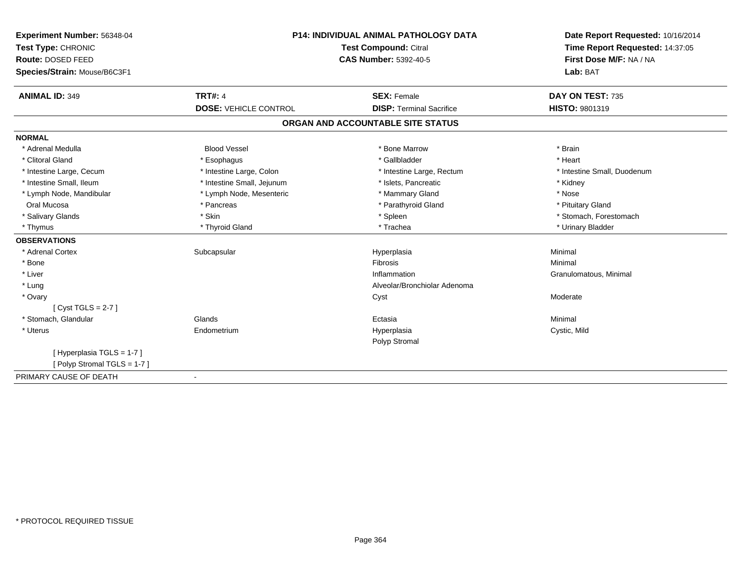| Experiment Number: 56348-04  | <b>P14: INDIVIDUAL ANIMAL PATHOLOGY DATA</b><br>Test Compound: Citral |                                   | Date Report Requested: 10/16/2014 |  |
|------------------------------|-----------------------------------------------------------------------|-----------------------------------|-----------------------------------|--|
| Test Type: CHRONIC           |                                                                       |                                   | Time Report Requested: 14:37:05   |  |
| Route: DOSED FEED            |                                                                       | <b>CAS Number: 5392-40-5</b>      | First Dose M/F: NA / NA           |  |
| Species/Strain: Mouse/B6C3F1 |                                                                       |                                   | Lab: BAT                          |  |
| <b>ANIMAL ID: 349</b>        | <b>TRT#: 4</b>                                                        | <b>SEX: Female</b>                | DAY ON TEST: 735                  |  |
|                              | <b>DOSE: VEHICLE CONTROL</b>                                          | <b>DISP: Terminal Sacrifice</b>   | HISTO: 9801319                    |  |
|                              |                                                                       | ORGAN AND ACCOUNTABLE SITE STATUS |                                   |  |
| <b>NORMAL</b>                |                                                                       |                                   |                                   |  |
| * Adrenal Medulla            | <b>Blood Vessel</b>                                                   | * Bone Marrow                     | * Brain                           |  |
| * Clitoral Gland             | * Esophagus                                                           | * Gallbladder                     | * Heart                           |  |
| * Intestine Large, Cecum     | * Intestine Large, Colon                                              | * Intestine Large, Rectum         | * Intestine Small, Duodenum       |  |
| * Intestine Small, Ileum     | * Intestine Small, Jejunum                                            | * Islets, Pancreatic              | * Kidney                          |  |
| * Lymph Node, Mandibular     | * Lymph Node, Mesenteric                                              | * Mammary Gland                   | * Nose                            |  |
| Oral Mucosa                  | * Pancreas                                                            | * Parathyroid Gland               | * Pituitary Gland                 |  |
| * Salivary Glands            | * Skin                                                                | * Spleen                          | * Stomach, Forestomach            |  |
| * Thymus                     | * Thyroid Gland                                                       | * Trachea                         | * Urinary Bladder                 |  |
| <b>OBSERVATIONS</b>          |                                                                       |                                   |                                   |  |
| * Adrenal Cortex             | Subcapsular                                                           | Hyperplasia                       | Minimal                           |  |
| * Bone                       |                                                                       | Fibrosis                          | Minimal                           |  |
| * Liver                      |                                                                       | Inflammation                      | Granulomatous, Minimal            |  |
| * Lung                       |                                                                       | Alveolar/Bronchiolar Adenoma      |                                   |  |
| * Ovary                      |                                                                       | Cyst                              | Moderate                          |  |
| [Cyst TGLS = $2-7$ ]         |                                                                       |                                   |                                   |  |
| * Stomach, Glandular         | Glands                                                                | Ectasia                           | Minimal                           |  |
| * Uterus                     | Endometrium                                                           | Hyperplasia                       | Cystic, Mild                      |  |
|                              |                                                                       | Polyp Stromal                     |                                   |  |
| [Hyperplasia TGLS = 1-7]     |                                                                       |                                   |                                   |  |
| [Polyp Stromal TGLS = 1-7]   |                                                                       |                                   |                                   |  |
| PRIMARY CAUSE OF DEATH       | $\blacksquare$                                                        |                                   |                                   |  |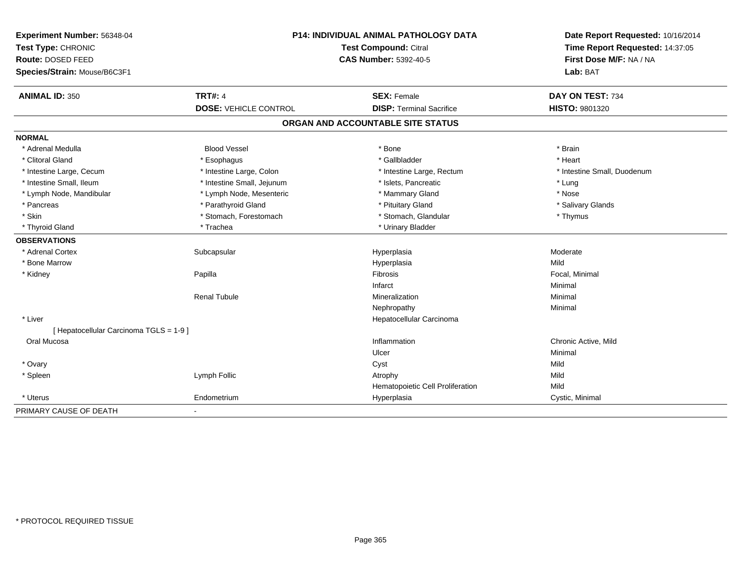| Experiment Number: 56348-04<br>Test Type: CHRONIC<br>Route: DOSED FEED<br>Species/Strain: Mouse/B6C3F1 | P14: INDIVIDUAL ANIMAL PATHOLOGY DATA<br><b>Test Compound: Citral</b><br><b>CAS Number: 5392-40-5</b> |                                   | Date Report Requested: 10/16/2014<br>Time Report Requested: 14:37:05<br>First Dose M/F: NA / NA<br>Lab: BAT |
|--------------------------------------------------------------------------------------------------------|-------------------------------------------------------------------------------------------------------|-----------------------------------|-------------------------------------------------------------------------------------------------------------|
| <b>ANIMAL ID: 350</b>                                                                                  | <b>TRT#: 4</b>                                                                                        | <b>SEX: Female</b>                | DAY ON TEST: 734                                                                                            |
|                                                                                                        | <b>DOSE: VEHICLE CONTROL</b>                                                                          | <b>DISP: Terminal Sacrifice</b>   | HISTO: 9801320                                                                                              |
|                                                                                                        |                                                                                                       | ORGAN AND ACCOUNTABLE SITE STATUS |                                                                                                             |
| <b>NORMAL</b>                                                                                          |                                                                                                       |                                   |                                                                                                             |
| * Adrenal Medulla                                                                                      | <b>Blood Vessel</b>                                                                                   | * Bone                            | * Brain                                                                                                     |
| * Clitoral Gland                                                                                       | * Esophagus                                                                                           | * Gallbladder                     | * Heart                                                                                                     |
| * Intestine Large, Cecum                                                                               | * Intestine Large, Colon                                                                              | * Intestine Large, Rectum         | * Intestine Small, Duodenum                                                                                 |
| * Intestine Small, Ileum                                                                               | * Intestine Small, Jejunum                                                                            | * Islets, Pancreatic              | * Lung                                                                                                      |
| * Lymph Node, Mandibular                                                                               | * Lymph Node, Mesenteric                                                                              | * Mammary Gland                   | * Nose                                                                                                      |
| * Pancreas                                                                                             | * Parathyroid Gland                                                                                   | * Pituitary Gland                 | * Salivary Glands                                                                                           |
| * Skin                                                                                                 | * Stomach, Forestomach                                                                                | * Stomach, Glandular              | * Thymus                                                                                                    |
| * Thyroid Gland                                                                                        | * Trachea                                                                                             | * Urinary Bladder                 |                                                                                                             |
| <b>OBSERVATIONS</b>                                                                                    |                                                                                                       |                                   |                                                                                                             |
| * Adrenal Cortex                                                                                       | Subcapsular                                                                                           | Hyperplasia                       | Moderate                                                                                                    |
| * Bone Marrow                                                                                          |                                                                                                       | Hyperplasia                       | Mild                                                                                                        |
| * Kidney                                                                                               | Papilla                                                                                               | <b>Fibrosis</b>                   | Focal, Minimal                                                                                              |
|                                                                                                        |                                                                                                       | Infarct                           | Minimal                                                                                                     |
|                                                                                                        | <b>Renal Tubule</b>                                                                                   | Mineralization                    | Minimal                                                                                                     |
|                                                                                                        |                                                                                                       | Nephropathy                       | Minimal                                                                                                     |
| * Liver                                                                                                |                                                                                                       | Hepatocellular Carcinoma          |                                                                                                             |
| [ Hepatocellular Carcinoma TGLS = 1-9 ]                                                                |                                                                                                       |                                   |                                                                                                             |
| Oral Mucosa                                                                                            |                                                                                                       | Inflammation                      | Chronic Active, Mild                                                                                        |
|                                                                                                        |                                                                                                       | Ulcer                             | Minimal                                                                                                     |
| * Ovary                                                                                                |                                                                                                       | Cyst                              | Mild                                                                                                        |
| * Spleen                                                                                               | Lymph Follic                                                                                          | Atrophy                           | Mild                                                                                                        |
|                                                                                                        |                                                                                                       | Hematopoietic Cell Proliferation  | Mild                                                                                                        |
| * Uterus                                                                                               | Endometrium                                                                                           | Hyperplasia                       | Cystic, Minimal                                                                                             |
| PRIMARY CAUSE OF DEATH                                                                                 |                                                                                                       |                                   |                                                                                                             |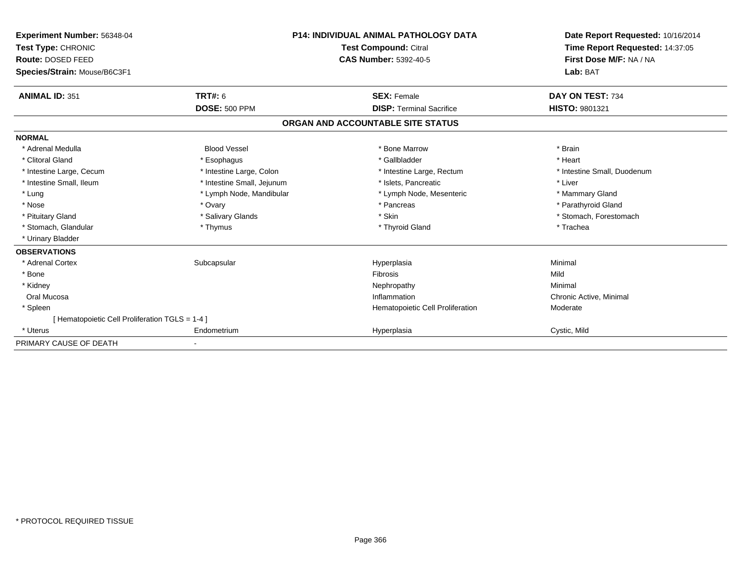| Experiment Number: 56348-04<br>Test Type: CHRONIC<br>Route: DOSED FEED |                            | <b>P14: INDIVIDUAL ANIMAL PATHOLOGY DATA</b><br><b>Test Compound: Citral</b><br><b>CAS Number: 5392-40-5</b> | Date Report Requested: 10/16/2014<br>Time Report Requested: 14:37:05<br>First Dose M/F: NA / NA |
|------------------------------------------------------------------------|----------------------------|--------------------------------------------------------------------------------------------------------------|-------------------------------------------------------------------------------------------------|
| Species/Strain: Mouse/B6C3F1                                           |                            |                                                                                                              | Lab: BAT                                                                                        |
| <b>ANIMAL ID: 351</b>                                                  | TRT#: 6                    | <b>SEX: Female</b>                                                                                           | DAY ON TEST: 734                                                                                |
|                                                                        | <b>DOSE: 500 PPM</b>       | <b>DISP: Terminal Sacrifice</b>                                                                              | <b>HISTO: 9801321</b>                                                                           |
|                                                                        |                            | ORGAN AND ACCOUNTABLE SITE STATUS                                                                            |                                                                                                 |
| <b>NORMAL</b>                                                          |                            |                                                                                                              |                                                                                                 |
| * Adrenal Medulla                                                      | <b>Blood Vessel</b>        | * Bone Marrow                                                                                                | * Brain                                                                                         |
| * Clitoral Gland                                                       | * Esophagus                | * Gallbladder                                                                                                | * Heart                                                                                         |
| * Intestine Large, Cecum                                               | * Intestine Large, Colon   | * Intestine Large, Rectum                                                                                    | * Intestine Small, Duodenum                                                                     |
| * Intestine Small, Ileum                                               | * Intestine Small, Jejunum | * Islets, Pancreatic                                                                                         | * Liver                                                                                         |
| * Lung                                                                 | * Lymph Node, Mandibular   | * Lymph Node, Mesenteric                                                                                     | * Mammary Gland                                                                                 |
| * Nose                                                                 | * Ovary                    | * Pancreas                                                                                                   | * Parathyroid Gland                                                                             |
| * Pituitary Gland                                                      | * Salivary Glands          | * Skin                                                                                                       | * Stomach, Forestomach                                                                          |
| * Stomach, Glandular                                                   | * Thymus                   | * Thyroid Gland                                                                                              | * Trachea                                                                                       |
| * Urinary Bladder                                                      |                            |                                                                                                              |                                                                                                 |
| <b>OBSERVATIONS</b>                                                    |                            |                                                                                                              |                                                                                                 |
| * Adrenal Cortex                                                       | Subcapsular                | Hyperplasia                                                                                                  | Minimal                                                                                         |
| * Bone                                                                 |                            | <b>Fibrosis</b>                                                                                              | Mild                                                                                            |
| * Kidney                                                               |                            | Nephropathy                                                                                                  | Minimal                                                                                         |
| Oral Mucosa                                                            |                            | Inflammation                                                                                                 | Chronic Active, Minimal                                                                         |
| * Spleen                                                               |                            | Hematopoietic Cell Proliferation                                                                             | Moderate                                                                                        |
| [Hematopoietic Cell Proliferation TGLS = 1-4 ]                         |                            |                                                                                                              |                                                                                                 |
| * Uterus                                                               | Endometrium                | Hyperplasia                                                                                                  | Cystic, Mild                                                                                    |
| PRIMARY CAUSE OF DEATH                                                 |                            |                                                                                                              |                                                                                                 |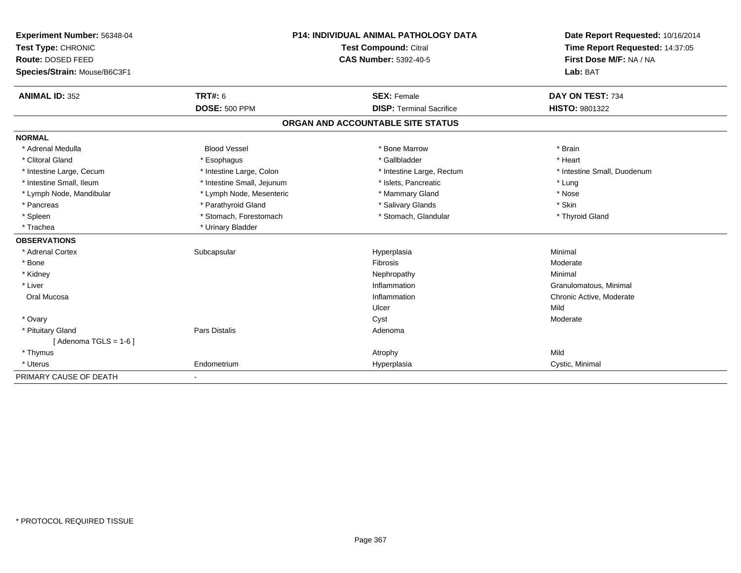| Experiment Number: 56348-04  | <b>P14: INDIVIDUAL ANIMAL PATHOLOGY DATA</b> |                                   | Date Report Requested: 10/16/2014 |
|------------------------------|----------------------------------------------|-----------------------------------|-----------------------------------|
| Test Type: CHRONIC           |                                              | Test Compound: Citral             | Time Report Requested: 14:37:05   |
| Route: DOSED FEED            |                                              | <b>CAS Number: 5392-40-5</b>      | First Dose M/F: NA / NA           |
| Species/Strain: Mouse/B6C3F1 |                                              |                                   | Lab: BAT                          |
| <b>ANIMAL ID: 352</b>        | TRT#: 6                                      | <b>SEX: Female</b>                | DAY ON TEST: 734                  |
|                              | <b>DOSE: 500 PPM</b>                         | <b>DISP: Terminal Sacrifice</b>   | <b>HISTO: 9801322</b>             |
|                              |                                              | ORGAN AND ACCOUNTABLE SITE STATUS |                                   |
| <b>NORMAL</b>                |                                              |                                   |                                   |
| * Adrenal Medulla            | <b>Blood Vessel</b>                          | * Bone Marrow                     | * Brain                           |
| * Clitoral Gland             | * Esophagus                                  | * Gallbladder                     | * Heart                           |
| * Intestine Large, Cecum     | * Intestine Large, Colon                     | * Intestine Large, Rectum         | * Intestine Small, Duodenum       |
| * Intestine Small, Ileum     | * Intestine Small, Jejunum                   | * Islets, Pancreatic              | * Lung                            |
| * Lymph Node, Mandibular     | * Lymph Node, Mesenteric                     | * Mammary Gland                   | * Nose                            |
| * Pancreas                   | * Parathyroid Gland                          | * Salivary Glands                 | * Skin                            |
| * Spleen                     | * Stomach, Forestomach                       | * Stomach, Glandular              | * Thyroid Gland                   |
| * Trachea                    | * Urinary Bladder                            |                                   |                                   |
| <b>OBSERVATIONS</b>          |                                              |                                   |                                   |
| * Adrenal Cortex             | Subcapsular                                  | Hyperplasia                       | Minimal                           |
| * Bone                       |                                              | <b>Fibrosis</b>                   | Moderate                          |
| * Kidney                     |                                              | Nephropathy                       | Minimal                           |
| * Liver                      |                                              | Inflammation                      | Granulomatous, Minimal            |
| Oral Mucosa                  |                                              | Inflammation                      | Chronic Active, Moderate          |
|                              |                                              | Ulcer                             | Mild                              |
| * Ovary                      |                                              | Cyst                              | Moderate                          |
| * Pituitary Gland            | Pars Distalis                                | Adenoma                           |                                   |
| [Adenoma TGLS = $1-6$ ]      |                                              |                                   |                                   |
| * Thymus                     |                                              | Atrophy                           | Mild                              |
| * Uterus                     | Endometrium                                  | Hyperplasia                       | Cystic, Minimal                   |
| PRIMARY CAUSE OF DEATH       | $\blacksquare$                               |                                   |                                   |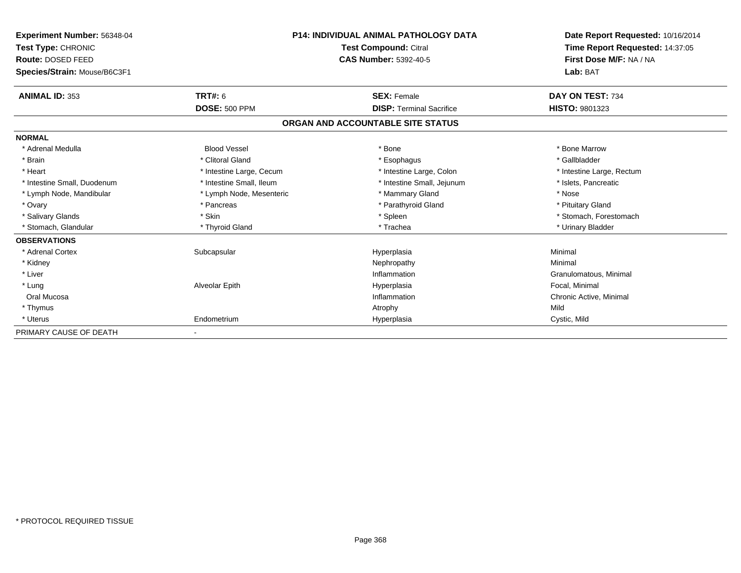| Experiment Number: 56348-04<br>Test Type: CHRONIC<br>Route: DOSED FEED<br>Species/Strain: Mouse/B6C3F1 |                          | <b>P14: INDIVIDUAL ANIMAL PATHOLOGY DATA</b><br><b>Test Compound: Citral</b><br><b>CAS Number: 5392-40-5</b> | Date Report Requested: 10/16/2014<br>Time Report Requested: 14:37:05<br>First Dose M/F: NA / NA<br>Lab: BAT |
|--------------------------------------------------------------------------------------------------------|--------------------------|--------------------------------------------------------------------------------------------------------------|-------------------------------------------------------------------------------------------------------------|
| <b>ANIMAL ID: 353</b>                                                                                  | <b>TRT#: 6</b>           | <b>SEX: Female</b>                                                                                           | DAY ON TEST: 734                                                                                            |
|                                                                                                        | <b>DOSE: 500 PPM</b>     | <b>DISP: Terminal Sacrifice</b>                                                                              | <b>HISTO: 9801323</b>                                                                                       |
|                                                                                                        |                          | ORGAN AND ACCOUNTABLE SITE STATUS                                                                            |                                                                                                             |
| <b>NORMAL</b>                                                                                          |                          |                                                                                                              |                                                                                                             |
| * Adrenal Medulla                                                                                      | <b>Blood Vessel</b>      | * Bone                                                                                                       | * Bone Marrow                                                                                               |
| * Brain                                                                                                | * Clitoral Gland         | * Esophagus                                                                                                  | * Gallbladder                                                                                               |
| * Heart                                                                                                | * Intestine Large, Cecum | * Intestine Large, Colon                                                                                     | * Intestine Large, Rectum                                                                                   |
| * Intestine Small, Duodenum                                                                            | * Intestine Small, Ileum | * Intestine Small, Jejunum                                                                                   | * Islets, Pancreatic                                                                                        |
| * Lymph Node, Mandibular                                                                               | * Lymph Node, Mesenteric | * Mammary Gland                                                                                              | * Nose                                                                                                      |
| * Ovary                                                                                                | * Pancreas               | * Parathyroid Gland                                                                                          | * Pituitary Gland                                                                                           |
| * Salivary Glands                                                                                      | * Skin                   | * Spleen                                                                                                     | * Stomach, Forestomach                                                                                      |
| * Stomach, Glandular                                                                                   | * Thyroid Gland          | * Trachea                                                                                                    | * Urinary Bladder                                                                                           |
| <b>OBSERVATIONS</b>                                                                                    |                          |                                                                                                              |                                                                                                             |
| * Adrenal Cortex                                                                                       | Subcapsular              | Hyperplasia                                                                                                  | Minimal                                                                                                     |
| * Kidney                                                                                               |                          | Nephropathy                                                                                                  | Minimal                                                                                                     |
| * Liver                                                                                                |                          | Inflammation                                                                                                 | Granulomatous, Minimal                                                                                      |
| * Lung                                                                                                 | Alveolar Epith           | Hyperplasia                                                                                                  | Focal, Minimal                                                                                              |
| Oral Mucosa                                                                                            |                          | Inflammation                                                                                                 | Chronic Active, Minimal                                                                                     |
| * Thymus                                                                                               |                          | Atrophy                                                                                                      | Mild                                                                                                        |
| * Uterus                                                                                               | Endometrium              | Hyperplasia                                                                                                  | Cystic, Mild                                                                                                |
| PRIMARY CAUSE OF DEATH                                                                                 |                          |                                                                                                              |                                                                                                             |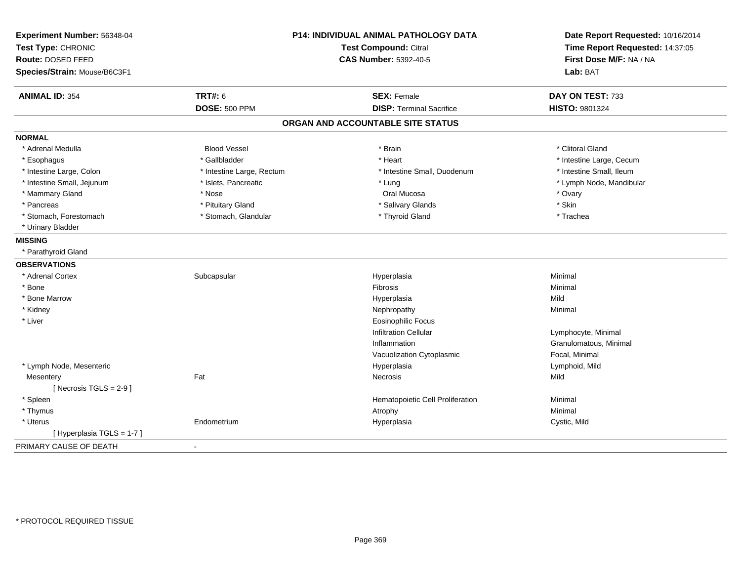| Experiment Number: 56348-04<br>Test Type: CHRONIC<br><b>Route: DOSED FEED</b><br>Species/Strain: Mouse/B6C3F1 | P14: INDIVIDUAL ANIMAL PATHOLOGY DATA<br><b>Test Compound: Citral</b><br><b>CAS Number: 5392-40-5</b> |                                   | Date Report Requested: 10/16/2014<br>Time Report Requested: 14:37:05<br>First Dose M/F: NA / NA<br>Lab: BAT |
|---------------------------------------------------------------------------------------------------------------|-------------------------------------------------------------------------------------------------------|-----------------------------------|-------------------------------------------------------------------------------------------------------------|
| <b>ANIMAL ID: 354</b>                                                                                         | <b>TRT#: 6</b>                                                                                        | <b>SEX: Female</b>                | DAY ON TEST: 733                                                                                            |
|                                                                                                               | <b>DOSE: 500 PPM</b>                                                                                  | <b>DISP: Terminal Sacrifice</b>   | <b>HISTO: 9801324</b>                                                                                       |
|                                                                                                               |                                                                                                       | ORGAN AND ACCOUNTABLE SITE STATUS |                                                                                                             |
| <b>NORMAL</b>                                                                                                 |                                                                                                       |                                   |                                                                                                             |
| * Adrenal Medulla                                                                                             | <b>Blood Vessel</b>                                                                                   | * Brain                           | * Clitoral Gland                                                                                            |
| * Esophagus                                                                                                   | * Gallbladder                                                                                         | * Heart                           | * Intestine Large, Cecum                                                                                    |
| * Intestine Large, Colon                                                                                      | * Intestine Large, Rectum                                                                             | * Intestine Small, Duodenum       | * Intestine Small, Ileum                                                                                    |
| * Intestine Small, Jejunum                                                                                    | * Islets, Pancreatic                                                                                  | * Lung                            | * Lymph Node, Mandibular                                                                                    |
| * Mammary Gland                                                                                               | * Nose                                                                                                | Oral Mucosa                       | * Ovary                                                                                                     |
| * Pancreas                                                                                                    | * Pituitary Gland                                                                                     | * Salivary Glands                 | * Skin                                                                                                      |
| * Stomach, Forestomach                                                                                        | * Stomach, Glandular                                                                                  | * Thyroid Gland                   | * Trachea                                                                                                   |
| * Urinary Bladder                                                                                             |                                                                                                       |                                   |                                                                                                             |
| <b>MISSING</b>                                                                                                |                                                                                                       |                                   |                                                                                                             |
| * Parathyroid Gland                                                                                           |                                                                                                       |                                   |                                                                                                             |
| <b>OBSERVATIONS</b>                                                                                           |                                                                                                       |                                   |                                                                                                             |
| * Adrenal Cortex                                                                                              | Subcapsular                                                                                           | Hyperplasia                       | Minimal                                                                                                     |
| * Bone                                                                                                        |                                                                                                       | Fibrosis                          | Minimal                                                                                                     |
| * Bone Marrow                                                                                                 |                                                                                                       | Hyperplasia                       | Mild                                                                                                        |
| * Kidney                                                                                                      |                                                                                                       | Nephropathy                       | Minimal                                                                                                     |
| * Liver                                                                                                       |                                                                                                       | <b>Eosinophilic Focus</b>         |                                                                                                             |
|                                                                                                               |                                                                                                       | <b>Infiltration Cellular</b>      | Lymphocyte, Minimal                                                                                         |
|                                                                                                               |                                                                                                       | Inflammation                      | Granulomatous, Minimal                                                                                      |
|                                                                                                               |                                                                                                       | Vacuolization Cytoplasmic         | Focal, Minimal                                                                                              |
| * Lymph Node, Mesenteric                                                                                      |                                                                                                       | Hyperplasia                       | Lymphoid, Mild                                                                                              |
| Mesentery                                                                                                     | Fat                                                                                                   | Necrosis                          | Mild                                                                                                        |
| [Necrosis TGLS = $2-9$ ]                                                                                      |                                                                                                       |                                   |                                                                                                             |
| * Spleen                                                                                                      |                                                                                                       | Hematopoietic Cell Proliferation  | Minimal                                                                                                     |
| * Thymus                                                                                                      |                                                                                                       | Atrophy                           | Minimal                                                                                                     |
| * Uterus                                                                                                      | Endometrium                                                                                           | Hyperplasia                       | Cystic, Mild                                                                                                |
| [Hyperplasia TGLS = 1-7]                                                                                      |                                                                                                       |                                   |                                                                                                             |
| PRIMARY CAUSE OF DEATH                                                                                        | $\blacksquare$                                                                                        |                                   |                                                                                                             |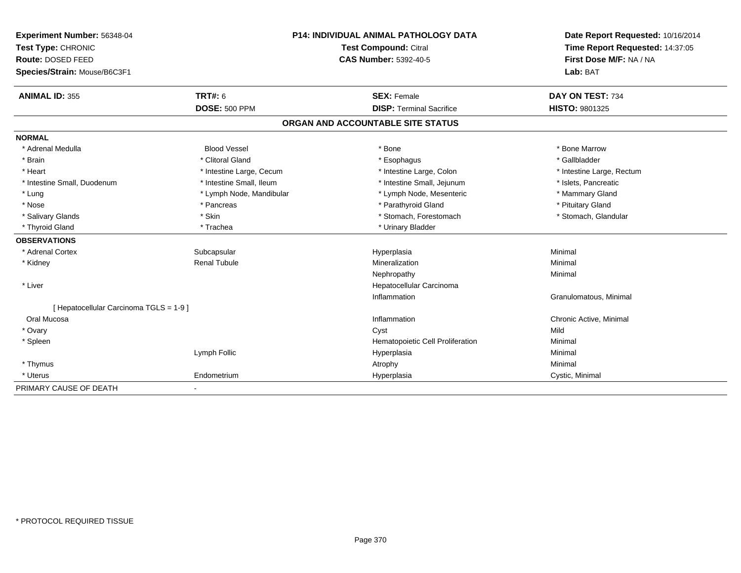| Experiment Number: 56348-04             |                          | P14: INDIVIDUAL ANIMAL PATHOLOGY DATA | Date Report Requested: 10/16/2014<br>Time Report Requested: 14:37:05 |
|-----------------------------------------|--------------------------|---------------------------------------|----------------------------------------------------------------------|
| Test Type: CHRONIC                      |                          | Test Compound: Citral                 |                                                                      |
| Route: DOSED FEED                       |                          | <b>CAS Number: 5392-40-5</b>          | First Dose M/F: NA / NA                                              |
| Species/Strain: Mouse/B6C3F1            |                          |                                       | Lab: BAT                                                             |
| <b>ANIMAL ID: 355</b>                   | <b>TRT#: 6</b>           | <b>SEX: Female</b>                    | DAY ON TEST: 734                                                     |
|                                         | <b>DOSE: 500 PPM</b>     | <b>DISP: Terminal Sacrifice</b>       | <b>HISTO: 9801325</b>                                                |
|                                         |                          | ORGAN AND ACCOUNTABLE SITE STATUS     |                                                                      |
| <b>NORMAL</b>                           |                          |                                       |                                                                      |
| * Adrenal Medulla                       | <b>Blood Vessel</b>      | * Bone                                | * Bone Marrow                                                        |
| * Brain                                 | * Clitoral Gland         | * Esophagus                           | * Gallbladder                                                        |
| * Heart                                 | * Intestine Large, Cecum | * Intestine Large, Colon              | * Intestine Large, Rectum                                            |
| * Intestine Small, Duodenum             | * Intestine Small, Ileum | * Intestine Small, Jejunum            | * Islets, Pancreatic                                                 |
| * Lung                                  | * Lymph Node, Mandibular | * Lymph Node, Mesenteric              | * Mammary Gland                                                      |
| * Nose                                  | * Pancreas               | * Parathyroid Gland                   | * Pituitary Gland                                                    |
| * Salivary Glands                       | * Skin                   | * Stomach, Forestomach                | * Stomach, Glandular                                                 |
| * Thyroid Gland                         | * Trachea                | * Urinary Bladder                     |                                                                      |
| <b>OBSERVATIONS</b>                     |                          |                                       |                                                                      |
| * Adrenal Cortex                        | Subcapsular              | Hyperplasia                           | Minimal                                                              |
| * Kidney                                | <b>Renal Tubule</b>      | Mineralization                        | Minimal                                                              |
|                                         |                          | Nephropathy                           | Minimal                                                              |
| * Liver                                 |                          | Hepatocellular Carcinoma              |                                                                      |
|                                         |                          | Inflammation                          | Granulomatous, Minimal                                               |
| [ Hepatocellular Carcinoma TGLS = 1-9 ] |                          |                                       |                                                                      |
| Oral Mucosa                             |                          | Inflammation                          | Chronic Active, Minimal                                              |
| * Ovary                                 |                          | Cyst                                  | Mild                                                                 |
| * Spleen                                |                          | Hematopoietic Cell Proliferation      | Minimal                                                              |
|                                         | Lymph Follic             | Hyperplasia                           | Minimal                                                              |
| * Thymus                                |                          | Atrophy                               | Minimal                                                              |
| * Uterus                                | Endometrium              | Hyperplasia                           | Cystic, Minimal                                                      |
| PRIMARY CAUSE OF DEATH                  |                          |                                       |                                                                      |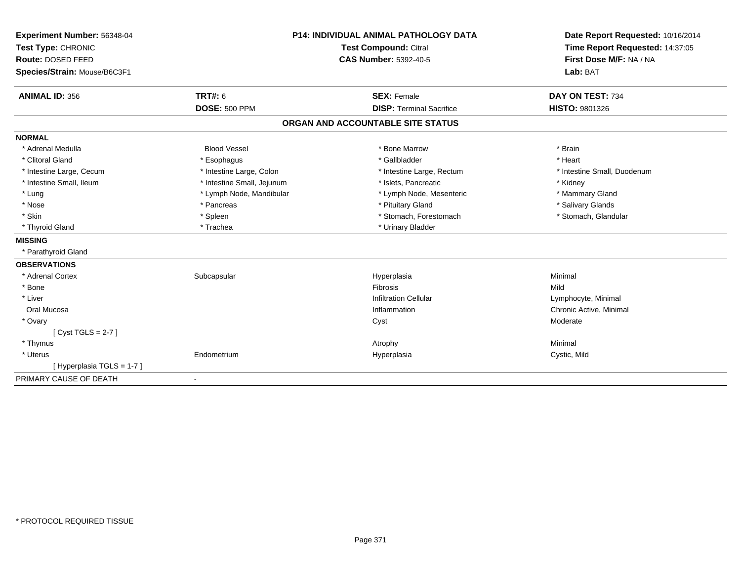| Experiment Number: 56348-04  | <b>P14: INDIVIDUAL ANIMAL PATHOLOGY DATA</b><br>Test Compound: Citral |                                   | Date Report Requested: 10/16/2014 |
|------------------------------|-----------------------------------------------------------------------|-----------------------------------|-----------------------------------|
| Test Type: CHRONIC           |                                                                       |                                   | Time Report Requested: 14:37:05   |
| Route: DOSED FEED            |                                                                       | <b>CAS Number: 5392-40-5</b>      | First Dose M/F: NA / NA           |
| Species/Strain: Mouse/B6C3F1 |                                                                       |                                   | Lab: BAT                          |
|                              |                                                                       |                                   |                                   |
| <b>ANIMAL ID: 356</b>        | TRT#: 6                                                               | <b>SEX: Female</b>                | DAY ON TEST: 734                  |
|                              | <b>DOSE: 500 PPM</b>                                                  | <b>DISP: Terminal Sacrifice</b>   | <b>HISTO: 9801326</b>             |
|                              |                                                                       | ORGAN AND ACCOUNTABLE SITE STATUS |                                   |
| <b>NORMAL</b>                |                                                                       |                                   |                                   |
| * Adrenal Medulla            | <b>Blood Vessel</b>                                                   | * Bone Marrow                     | * Brain                           |
| * Clitoral Gland             | * Esophagus                                                           | * Gallbladder                     | * Heart                           |
| * Intestine Large, Cecum     | * Intestine Large, Colon                                              | * Intestine Large, Rectum         | * Intestine Small, Duodenum       |
| * Intestine Small, Ileum     | * Intestine Small, Jejunum                                            | * Islets, Pancreatic              | * Kidney                          |
| * Lung                       | * Lymph Node, Mandibular                                              | * Lymph Node, Mesenteric          | * Mammary Gland                   |
| * Nose                       | * Pancreas                                                            | * Pituitary Gland                 | * Salivary Glands                 |
| * Skin                       | * Spleen                                                              | * Stomach, Forestomach            | * Stomach, Glandular              |
| * Thyroid Gland              | * Trachea                                                             | * Urinary Bladder                 |                                   |
| <b>MISSING</b>               |                                                                       |                                   |                                   |
| * Parathyroid Gland          |                                                                       |                                   |                                   |
| <b>OBSERVATIONS</b>          |                                                                       |                                   |                                   |
| * Adrenal Cortex             | Subcapsular                                                           | Hyperplasia                       | Minimal                           |
| * Bone                       |                                                                       | <b>Fibrosis</b>                   | Mild                              |
| * Liver                      |                                                                       | <b>Infiltration Cellular</b>      | Lymphocyte, Minimal               |
| Oral Mucosa                  |                                                                       | Inflammation                      | Chronic Active, Minimal           |
| * Ovary                      |                                                                       | Cyst                              | Moderate                          |
| [Cyst TGLS = $2-7$ ]         |                                                                       |                                   |                                   |
| * Thymus                     |                                                                       | Atrophy                           | Minimal                           |
| * Uterus                     | Endometrium                                                           | Hyperplasia                       | Cystic, Mild                      |
| [Hyperplasia TGLS = 1-7]     |                                                                       |                                   |                                   |
| PRIMARY CAUSE OF DEATH       |                                                                       |                                   |                                   |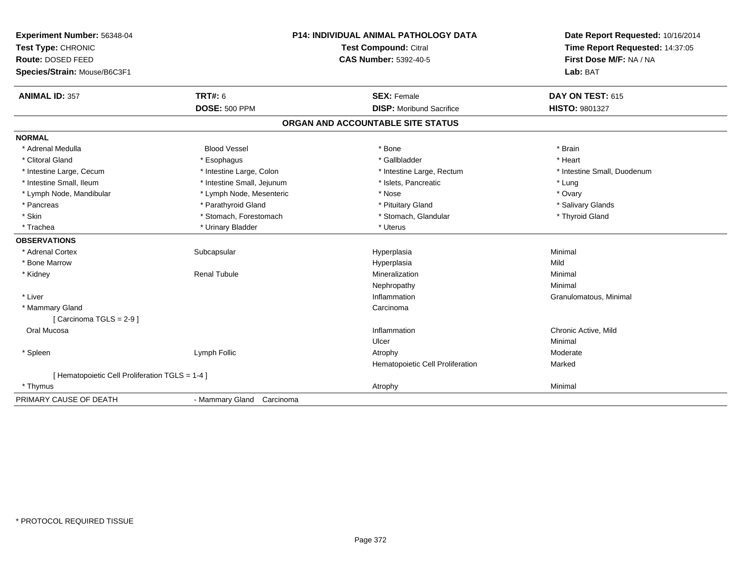| Experiment Number: 56348-04<br>Test Type: CHRONIC<br>Route: DOSED FEED<br>Species/Strain: Mouse/B6C3F1 |                            | <b>P14: INDIVIDUAL ANIMAL PATHOLOGY DATA</b><br><b>Test Compound: Citral</b><br><b>CAS Number: 5392-40-5</b> | Date Report Requested: 10/16/2014<br>Time Report Requested: 14:37:05<br>First Dose M/F: NA / NA<br>Lab: BAT |
|--------------------------------------------------------------------------------------------------------|----------------------------|--------------------------------------------------------------------------------------------------------------|-------------------------------------------------------------------------------------------------------------|
| <b>ANIMAL ID: 357</b>                                                                                  | <b>TRT#: 6</b>             | <b>SEX: Female</b>                                                                                           | DAY ON TEST: 615                                                                                            |
|                                                                                                        | <b>DOSE: 500 PPM</b>       | <b>DISP:</b> Moribund Sacrifice                                                                              | <b>HISTO: 9801327</b>                                                                                       |
|                                                                                                        |                            | ORGAN AND ACCOUNTABLE SITE STATUS                                                                            |                                                                                                             |
| <b>NORMAL</b>                                                                                          |                            |                                                                                                              |                                                                                                             |
| * Adrenal Medulla                                                                                      | <b>Blood Vessel</b>        | * Bone                                                                                                       | * Brain                                                                                                     |
| * Clitoral Gland                                                                                       | * Esophagus                | * Gallbladder                                                                                                | * Heart                                                                                                     |
| * Intestine Large, Cecum                                                                               | * Intestine Large, Colon   | * Intestine Large, Rectum                                                                                    | * Intestine Small, Duodenum                                                                                 |
| * Intestine Small, Ileum                                                                               | * Intestine Small, Jejunum | * Islets, Pancreatic                                                                                         | * Lung                                                                                                      |
| * Lymph Node, Mandibular                                                                               | * Lymph Node, Mesenteric   | * Nose                                                                                                       | * Ovary                                                                                                     |
| * Pancreas                                                                                             | * Parathyroid Gland        | * Pituitary Gland                                                                                            | * Salivary Glands                                                                                           |
| * Skin                                                                                                 | * Stomach, Forestomach     | * Stomach, Glandular                                                                                         | * Thyroid Gland                                                                                             |
| * Trachea                                                                                              | * Urinary Bladder          | * Uterus                                                                                                     |                                                                                                             |
| <b>OBSERVATIONS</b>                                                                                    |                            |                                                                                                              |                                                                                                             |
| * Adrenal Cortex                                                                                       | Subcapsular                | Hyperplasia                                                                                                  | Minimal                                                                                                     |
| * Bone Marrow                                                                                          |                            | Hyperplasia                                                                                                  | Mild                                                                                                        |
| * Kidney                                                                                               | <b>Renal Tubule</b>        | Mineralization                                                                                               | Minimal                                                                                                     |
|                                                                                                        |                            | Nephropathy                                                                                                  | Minimal                                                                                                     |
| * Liver                                                                                                |                            | Inflammation                                                                                                 | Granulomatous, Minimal                                                                                      |
| * Mammary Gland                                                                                        |                            | Carcinoma                                                                                                    |                                                                                                             |
| [Carcinoma TGLS = $2-9$ ]                                                                              |                            |                                                                                                              |                                                                                                             |
| Oral Mucosa                                                                                            |                            | Inflammation                                                                                                 | Chronic Active, Mild                                                                                        |
|                                                                                                        |                            | Ulcer                                                                                                        | Minimal                                                                                                     |
| * Spleen                                                                                               | Lymph Follic               | Atrophy                                                                                                      | Moderate                                                                                                    |
|                                                                                                        |                            | Hematopoietic Cell Proliferation                                                                             | Marked                                                                                                      |
| [ Hematopoietic Cell Proliferation TGLS = 1-4 ]                                                        |                            |                                                                                                              |                                                                                                             |
| * Thymus                                                                                               |                            | Atrophy                                                                                                      | Minimal                                                                                                     |
| PRIMARY CAUSE OF DEATH                                                                                 | - Mammary Gland Carcinoma  |                                                                                                              |                                                                                                             |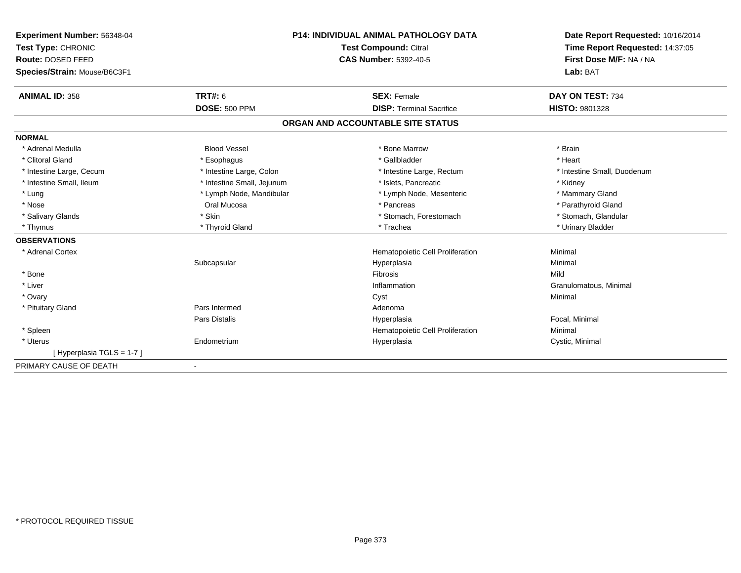| Experiment Number: 56348-04  | <b>P14: INDIVIDUAL ANIMAL PATHOLOGY DATA</b> |                                   | Date Report Requested: 10/16/2014 |
|------------------------------|----------------------------------------------|-----------------------------------|-----------------------------------|
| Test Type: CHRONIC           |                                              | Test Compound: Citral             | Time Report Requested: 14:37:05   |
| Route: DOSED FEED            |                                              | <b>CAS Number: 5392-40-5</b>      | First Dose M/F: NA / NA           |
| Species/Strain: Mouse/B6C3F1 |                                              |                                   | Lab: BAT                          |
| <b>ANIMAL ID: 358</b>        | <b>TRT#: 6</b>                               | <b>SEX: Female</b>                | DAY ON TEST: 734                  |
|                              | <b>DOSE: 500 PPM</b>                         | <b>DISP: Terminal Sacrifice</b>   | HISTO: 9801328                    |
|                              |                                              | ORGAN AND ACCOUNTABLE SITE STATUS |                                   |
| <b>NORMAL</b>                |                                              |                                   |                                   |
| * Adrenal Medulla            | <b>Blood Vessel</b>                          | * Bone Marrow                     | * Brain                           |
| * Clitoral Gland             | * Esophagus                                  | * Gallbladder                     | * Heart                           |
| * Intestine Large, Cecum     | * Intestine Large, Colon                     | * Intestine Large, Rectum         | * Intestine Small, Duodenum       |
| * Intestine Small, Ileum     | * Intestine Small, Jejunum                   | * Islets, Pancreatic              | * Kidney                          |
| * Lung                       | * Lymph Node, Mandibular                     | * Lymph Node, Mesenteric          | * Mammary Gland                   |
| * Nose                       | Oral Mucosa                                  | * Pancreas                        | * Parathyroid Gland               |
| * Salivary Glands            | * Skin                                       | * Stomach, Forestomach            | * Stomach, Glandular              |
| * Thymus                     | * Thyroid Gland                              | * Trachea                         | * Urinary Bladder                 |
| <b>OBSERVATIONS</b>          |                                              |                                   |                                   |
| * Adrenal Cortex             |                                              | Hematopoietic Cell Proliferation  | Minimal                           |
|                              | Subcapsular                                  | Hyperplasia                       | Minimal                           |
| * Bone                       |                                              | Fibrosis                          | Mild                              |
| * Liver                      |                                              | Inflammation                      | Granulomatous, Minimal            |
| * Ovary                      |                                              | Cyst                              | Minimal                           |
| * Pituitary Gland            | Pars Intermed                                | Adenoma                           |                                   |
|                              | Pars Distalis                                | Hyperplasia                       | Focal, Minimal                    |
| * Spleen                     |                                              | Hematopoietic Cell Proliferation  | Minimal                           |
| * Uterus                     | Endometrium                                  | Hyperplasia                       | Cystic, Minimal                   |
| [Hyperplasia TGLS = 1-7]     |                                              |                                   |                                   |
| PRIMARY CAUSE OF DEATH       | $\blacksquare$                               |                                   |                                   |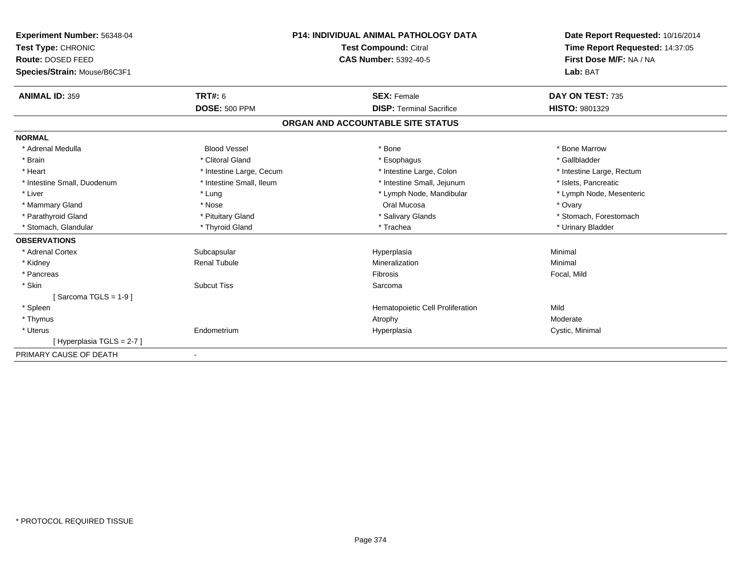| Experiment Number: 56348-04<br>Test Type: CHRONIC<br>Route: DOSED FEED<br>Species/Strain: Mouse/B6C3F1 |                          | <b>P14: INDIVIDUAL ANIMAL PATHOLOGY DATA</b><br><b>Test Compound: Citral</b><br><b>CAS Number: 5392-40-5</b> | Date Report Requested: 10/16/2014<br>Time Report Requested: 14:37:05<br>First Dose M/F: NA / NA<br>Lab: BAT |
|--------------------------------------------------------------------------------------------------------|--------------------------|--------------------------------------------------------------------------------------------------------------|-------------------------------------------------------------------------------------------------------------|
|                                                                                                        |                          |                                                                                                              |                                                                                                             |
| <b>ANIMAL ID: 359</b>                                                                                  | <b>TRT#: 6</b>           | <b>SEX: Female</b>                                                                                           | DAY ON TEST: 735                                                                                            |
|                                                                                                        | <b>DOSE: 500 PPM</b>     | <b>DISP: Terminal Sacrifice</b>                                                                              | <b>HISTO: 9801329</b>                                                                                       |
|                                                                                                        |                          | ORGAN AND ACCOUNTABLE SITE STATUS                                                                            |                                                                                                             |
| <b>NORMAL</b>                                                                                          |                          |                                                                                                              |                                                                                                             |
| * Adrenal Medulla                                                                                      | <b>Blood Vessel</b>      | * Bone                                                                                                       | * Bone Marrow                                                                                               |
| * Brain                                                                                                | * Clitoral Gland         | * Esophagus                                                                                                  | * Gallbladder                                                                                               |
| * Heart                                                                                                | * Intestine Large, Cecum | * Intestine Large, Colon                                                                                     | * Intestine Large, Rectum                                                                                   |
| * Intestine Small, Duodenum                                                                            | * Intestine Small, Ileum | * Intestine Small, Jejunum                                                                                   | * Islets, Pancreatic                                                                                        |
| * Liver                                                                                                | * Lung                   | * Lymph Node, Mandibular                                                                                     | * Lymph Node, Mesenteric                                                                                    |
| * Mammary Gland                                                                                        | * Nose                   | Oral Mucosa                                                                                                  | * Ovary                                                                                                     |
| * Parathyroid Gland                                                                                    | * Pituitary Gland        | * Salivary Glands                                                                                            | * Stomach, Forestomach                                                                                      |
| * Stomach, Glandular                                                                                   | * Thyroid Gland          | * Trachea                                                                                                    | * Urinary Bladder                                                                                           |
| <b>OBSERVATIONS</b>                                                                                    |                          |                                                                                                              |                                                                                                             |
| * Adrenal Cortex                                                                                       | Subcapsular              | Hyperplasia                                                                                                  | Minimal                                                                                                     |
| * Kidney                                                                                               | <b>Renal Tubule</b>      | Mineralization                                                                                               | Minimal                                                                                                     |
| * Pancreas                                                                                             |                          | <b>Fibrosis</b>                                                                                              | Focal, Mild                                                                                                 |
| * Skin                                                                                                 | <b>Subcut Tiss</b>       | Sarcoma                                                                                                      |                                                                                                             |
| [Sarcoma TGLS = $1-9$ ]                                                                                |                          |                                                                                                              |                                                                                                             |
| * Spleen                                                                                               |                          | Hematopoietic Cell Proliferation                                                                             | Mild                                                                                                        |
| * Thymus                                                                                               |                          | Atrophy                                                                                                      | Moderate                                                                                                    |
| * Uterus                                                                                               | Endometrium              | Hyperplasia                                                                                                  | Cystic, Minimal                                                                                             |
| [Hyperplasia TGLS = 2-7]                                                                               |                          |                                                                                                              |                                                                                                             |
| PRIMARY CAUSE OF DEATH                                                                                 | $\blacksquare$           |                                                                                                              |                                                                                                             |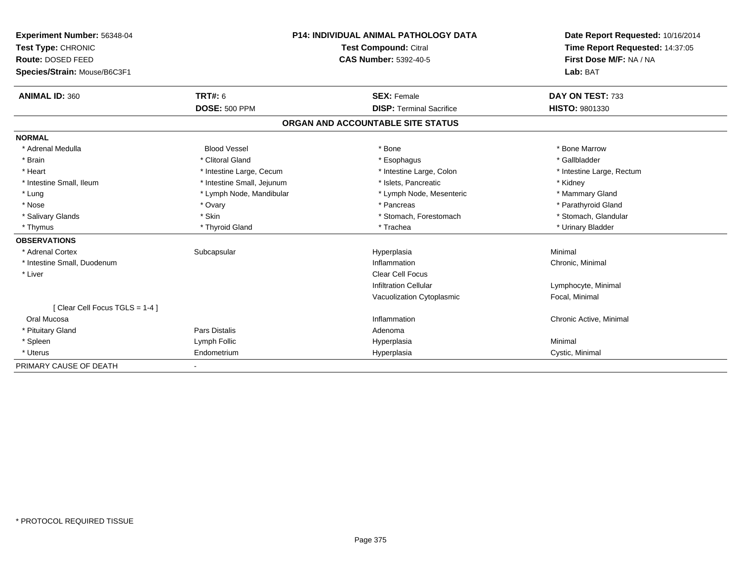| Experiment Number: 56348-04   | <b>P14: INDIVIDUAL ANIMAL PATHOLOGY DATA</b><br>Test Compound: Citral |                                   | Date Report Requested: 10/16/2014 |  |
|-------------------------------|-----------------------------------------------------------------------|-----------------------------------|-----------------------------------|--|
| Test Type: CHRONIC            |                                                                       |                                   | Time Report Requested: 14:37:05   |  |
| Route: DOSED FEED             |                                                                       | <b>CAS Number: 5392-40-5</b>      | First Dose M/F: NA / NA           |  |
| Species/Strain: Mouse/B6C3F1  |                                                                       |                                   | Lab: BAT                          |  |
| <b>ANIMAL ID: 360</b>         | <b>TRT#: 6</b>                                                        | <b>SEX: Female</b>                | DAY ON TEST: 733                  |  |
|                               | <b>DOSE: 500 PPM</b>                                                  | <b>DISP: Terminal Sacrifice</b>   | HISTO: 9801330                    |  |
|                               |                                                                       | ORGAN AND ACCOUNTABLE SITE STATUS |                                   |  |
| <b>NORMAL</b>                 |                                                                       |                                   |                                   |  |
| * Adrenal Medulla             | <b>Blood Vessel</b>                                                   | * Bone                            | * Bone Marrow                     |  |
| * Brain                       | * Clitoral Gland                                                      | * Esophagus                       | * Gallbladder                     |  |
| * Heart                       | * Intestine Large, Cecum                                              | * Intestine Large, Colon          | * Intestine Large, Rectum         |  |
| * Intestine Small, Ileum      | * Intestine Small, Jejunum                                            | * Islets, Pancreatic              | * Kidney                          |  |
| * Lung                        | * Lymph Node, Mandibular                                              | * Lymph Node, Mesenteric          | * Mammary Gland                   |  |
| * Nose                        | * Ovary                                                               | * Pancreas                        | * Parathyroid Gland               |  |
| * Salivary Glands             | * Skin                                                                | * Stomach, Forestomach            | * Stomach, Glandular              |  |
| * Thymus                      | * Thyroid Gland                                                       | * Trachea                         | * Urinary Bladder                 |  |
| <b>OBSERVATIONS</b>           |                                                                       |                                   |                                   |  |
| * Adrenal Cortex              | Subcapsular                                                           | Hyperplasia                       | Minimal                           |  |
| * Intestine Small, Duodenum   |                                                                       | Inflammation                      | Chronic, Minimal                  |  |
| * Liver                       |                                                                       | <b>Clear Cell Focus</b>           |                                   |  |
|                               |                                                                       | Infiltration Cellular             | Lymphocyte, Minimal               |  |
|                               |                                                                       | Vacuolization Cytoplasmic         | Focal, Minimal                    |  |
| [Clear Cell Focus TGLS = 1-4] |                                                                       |                                   |                                   |  |
| Oral Mucosa                   |                                                                       | Inflammation                      | Chronic Active, Minimal           |  |
| * Pituitary Gland             | Pars Distalis                                                         | Adenoma                           |                                   |  |
| * Spleen                      | Lymph Follic                                                          | Hyperplasia                       | Minimal                           |  |
| * Uterus                      | Endometrium                                                           | Hyperplasia                       | Cystic, Minimal                   |  |
| PRIMARY CAUSE OF DEATH        |                                                                       |                                   |                                   |  |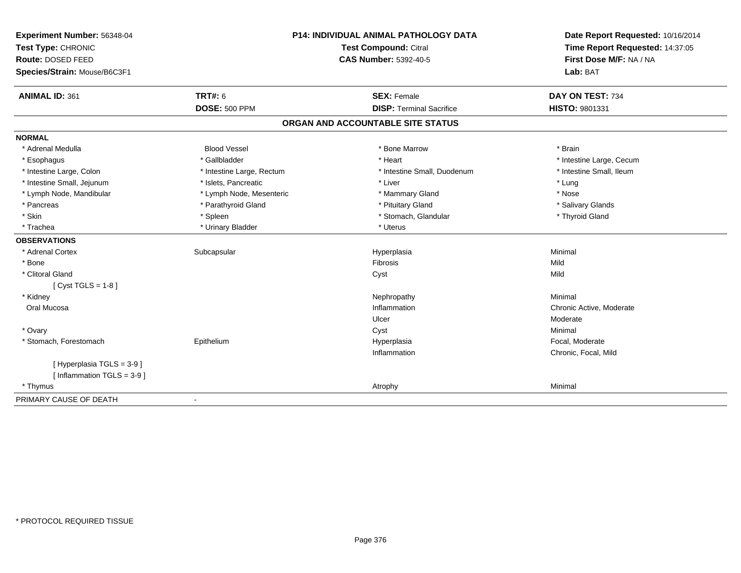| Experiment Number: 56348-04<br>Test Type: CHRONIC<br>Route: DOSED FEED<br>Species/Strain: Mouse/B6C3F1 | P14: INDIVIDUAL ANIMAL PATHOLOGY DATA<br>Test Compound: Citral<br><b>CAS Number: 5392-40-5</b> |                                   | Date Report Requested: 10/16/2014<br>Time Report Requested: 14:37:05<br>First Dose M/F: NA / NA<br>Lab: BAT |  |
|--------------------------------------------------------------------------------------------------------|------------------------------------------------------------------------------------------------|-----------------------------------|-------------------------------------------------------------------------------------------------------------|--|
| <b>ANIMAL ID: 361</b>                                                                                  | TRT#: 6                                                                                        | <b>SEX: Female</b>                | DAY ON TEST: 734                                                                                            |  |
|                                                                                                        | <b>DOSE: 500 PPM</b>                                                                           | <b>DISP: Terminal Sacrifice</b>   | HISTO: 9801331                                                                                              |  |
|                                                                                                        |                                                                                                | ORGAN AND ACCOUNTABLE SITE STATUS |                                                                                                             |  |
| <b>NORMAL</b>                                                                                          |                                                                                                |                                   |                                                                                                             |  |
| * Adrenal Medulla                                                                                      | <b>Blood Vessel</b>                                                                            | * Bone Marrow                     | * Brain                                                                                                     |  |
| * Esophagus                                                                                            | * Gallbladder                                                                                  | * Heart                           | * Intestine Large, Cecum                                                                                    |  |
| * Intestine Large, Colon                                                                               | * Intestine Large, Rectum                                                                      | * Intestine Small, Duodenum       | * Intestine Small, Ileum                                                                                    |  |
| * Intestine Small, Jejunum                                                                             | * Islets, Pancreatic                                                                           | * Liver                           | * Lung                                                                                                      |  |
| * Lymph Node, Mandibular                                                                               | * Lymph Node, Mesenteric                                                                       | * Mammary Gland                   | * Nose                                                                                                      |  |
| * Pancreas                                                                                             | * Parathyroid Gland                                                                            | * Pituitary Gland                 | * Salivary Glands                                                                                           |  |
| * Skin                                                                                                 | * Spleen                                                                                       | * Stomach, Glandular              | * Thyroid Gland                                                                                             |  |
| * Trachea                                                                                              | * Urinary Bladder                                                                              | * Uterus                          |                                                                                                             |  |
| <b>OBSERVATIONS</b>                                                                                    |                                                                                                |                                   |                                                                                                             |  |
| * Adrenal Cortex                                                                                       | Subcapsular                                                                                    | Hyperplasia                       | Minimal                                                                                                     |  |
| * Bone                                                                                                 |                                                                                                | Fibrosis                          | Mild                                                                                                        |  |
| * Clitoral Gland                                                                                       |                                                                                                | Cyst                              | Mild                                                                                                        |  |
| [ $Cyst TGLS = 1-8$ ]                                                                                  |                                                                                                |                                   |                                                                                                             |  |
| * Kidney                                                                                               |                                                                                                | Nephropathy                       | Minimal                                                                                                     |  |
| Oral Mucosa                                                                                            |                                                                                                | Inflammation                      | Chronic Active, Moderate                                                                                    |  |
|                                                                                                        |                                                                                                | Ulcer                             | Moderate                                                                                                    |  |
| * Ovary                                                                                                |                                                                                                | Cyst                              | Minimal                                                                                                     |  |
| * Stomach, Forestomach                                                                                 | Epithelium                                                                                     | Hyperplasia                       | Focal, Moderate                                                                                             |  |
|                                                                                                        |                                                                                                | Inflammation                      | Chronic, Focal, Mild                                                                                        |  |
| [Hyperplasia TGLS = 3-9]<br>[Inflammation TGLS = $3-9$ ]                                               |                                                                                                |                                   |                                                                                                             |  |
| * Thymus                                                                                               |                                                                                                | Atrophy                           | Minimal                                                                                                     |  |
| PRIMARY CAUSE OF DEATH                                                                                 |                                                                                                |                                   |                                                                                                             |  |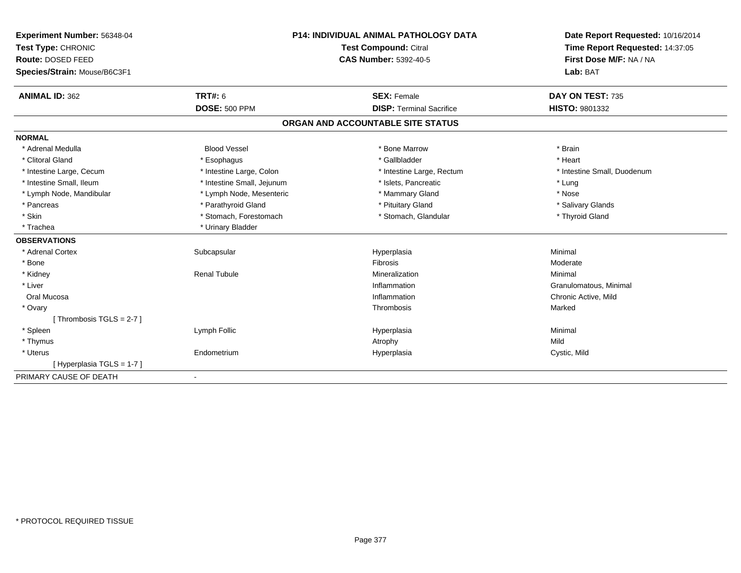| Experiment Number: 56348-04  | <b>P14: INDIVIDUAL ANIMAL PATHOLOGY DATA</b> |                                   | Date Report Requested: 10/16/2014 |  |
|------------------------------|----------------------------------------------|-----------------------------------|-----------------------------------|--|
| Test Type: CHRONIC           |                                              | Test Compound: Citral             | Time Report Requested: 14:37:05   |  |
| Route: DOSED FEED            |                                              | <b>CAS Number: 5392-40-5</b>      | First Dose M/F: NA / NA           |  |
| Species/Strain: Mouse/B6C3F1 |                                              |                                   | Lab: BAT                          |  |
| <b>ANIMAL ID: 362</b>        | <b>TRT#: 6</b>                               | <b>SEX: Female</b>                | DAY ON TEST: 735                  |  |
|                              | <b>DOSE: 500 PPM</b>                         | <b>DISP: Terminal Sacrifice</b>   | HISTO: 9801332                    |  |
|                              |                                              | ORGAN AND ACCOUNTABLE SITE STATUS |                                   |  |
| <b>NORMAL</b>                |                                              |                                   |                                   |  |
| * Adrenal Medulla            | <b>Blood Vessel</b>                          | * Bone Marrow                     | * Brain                           |  |
| * Clitoral Gland             | * Esophagus                                  | * Gallbladder                     | * Heart                           |  |
| * Intestine Large, Cecum     | * Intestine Large, Colon                     | * Intestine Large, Rectum         | * Intestine Small, Duodenum       |  |
| * Intestine Small, Ileum     | * Intestine Small, Jejunum                   | * Islets, Pancreatic              | * Lung                            |  |
| * Lymph Node, Mandibular     | * Lymph Node, Mesenteric                     | * Mammary Gland                   | * Nose                            |  |
| * Pancreas                   | * Parathyroid Gland                          | * Pituitary Gland                 | * Salivary Glands                 |  |
| * Skin                       | * Stomach, Forestomach                       | * Stomach, Glandular              | * Thyroid Gland                   |  |
| * Trachea                    | * Urinary Bladder                            |                                   |                                   |  |
| <b>OBSERVATIONS</b>          |                                              |                                   |                                   |  |
| * Adrenal Cortex             | Subcapsular                                  | Hyperplasia                       | Minimal                           |  |
| * Bone                       |                                              | Fibrosis                          | Moderate                          |  |
| * Kidney                     | <b>Renal Tubule</b>                          | Mineralization                    | Minimal                           |  |
| * Liver                      |                                              | Inflammation                      | Granulomatous, Minimal            |  |
| Oral Mucosa                  |                                              | Inflammation                      | Chronic Active, Mild              |  |
| * Ovary                      |                                              | Thrombosis                        | Marked                            |  |
| [Thrombosis TGLS = $2-7$ ]   |                                              |                                   |                                   |  |
| * Spleen                     | Lymph Follic                                 | Hyperplasia                       | Minimal                           |  |
| * Thymus                     |                                              | Atrophy                           | Mild                              |  |
| * Uterus                     | Endometrium                                  | Hyperplasia                       | Cystic, Mild                      |  |
| [Hyperplasia TGLS = 1-7]     |                                              |                                   |                                   |  |
| PRIMARY CAUSE OF DEATH       |                                              |                                   |                                   |  |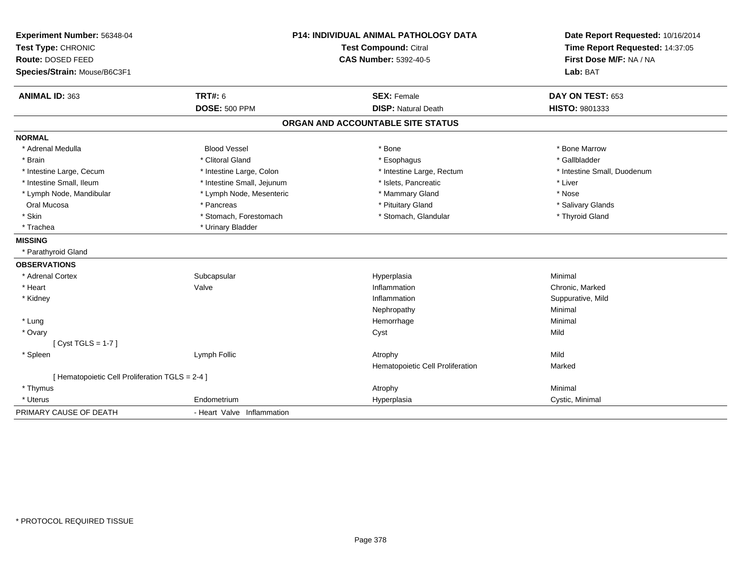| Experiment Number: 56348-04                     |                            | <b>P14: INDIVIDUAL ANIMAL PATHOLOGY DATA</b> | Date Report Requested: 10/16/2014                          |
|-------------------------------------------------|----------------------------|----------------------------------------------|------------------------------------------------------------|
| Test Type: CHRONIC                              |                            | <b>Test Compound: Citral</b>                 | Time Report Requested: 14:37:05<br>First Dose M/F: NA / NA |
| Route: DOSED FEED                               |                            | <b>CAS Number: 5392-40-5</b>                 |                                                            |
| Species/Strain: Mouse/B6C3F1                    |                            |                                              | Lab: BAT                                                   |
| ANIMAL ID: 363                                  | <b>TRT#: 6</b>             | <b>SEX: Female</b>                           | DAY ON TEST: 653                                           |
|                                                 | <b>DOSE: 500 PPM</b>       | <b>DISP: Natural Death</b>                   | HISTO: 9801333                                             |
|                                                 |                            | ORGAN AND ACCOUNTABLE SITE STATUS            |                                                            |
| <b>NORMAL</b>                                   |                            |                                              |                                                            |
| * Adrenal Medulla                               | <b>Blood Vessel</b>        | * Bone                                       | * Bone Marrow                                              |
| * Brain                                         | * Clitoral Gland           | * Esophagus                                  | * Gallbladder                                              |
| * Intestine Large, Cecum                        | * Intestine Large, Colon   | * Intestine Large, Rectum                    | * Intestine Small, Duodenum                                |
| * Intestine Small, Ileum                        | * Intestine Small, Jejunum | * Islets, Pancreatic                         | * Liver                                                    |
| * Lymph Node, Mandibular                        | * Lymph Node, Mesenteric   | * Mammary Gland                              | * Nose                                                     |
| Oral Mucosa                                     | * Pancreas                 | * Pituitary Gland                            | * Salivary Glands                                          |
| * Skin                                          | * Stomach, Forestomach     | * Stomach, Glandular                         | * Thyroid Gland                                            |
| * Trachea                                       | * Urinary Bladder          |                                              |                                                            |
| <b>MISSING</b>                                  |                            |                                              |                                                            |
| * Parathyroid Gland                             |                            |                                              |                                                            |
| <b>OBSERVATIONS</b>                             |                            |                                              |                                                            |
| * Adrenal Cortex                                | Subcapsular                | Hyperplasia                                  | Minimal                                                    |
| * Heart                                         | Valve                      | Inflammation                                 | Chronic, Marked                                            |
| * Kidney                                        |                            | Inflammation                                 | Suppurative, Mild                                          |
|                                                 |                            | Nephropathy                                  | Minimal                                                    |
| * Lung                                          |                            | Hemorrhage                                   | Minimal                                                    |
| * Ovary                                         |                            | Cyst                                         | Mild                                                       |
| [Cyst TGLS = $1-7$ ]                            |                            |                                              |                                                            |
| * Spleen                                        | Lymph Follic               | Atrophy                                      | Mild                                                       |
|                                                 |                            | Hematopoietic Cell Proliferation             | Marked                                                     |
| [ Hematopoietic Cell Proliferation TGLS = 2-4 ] |                            |                                              |                                                            |
| * Thymus                                        |                            | Atrophy                                      | Minimal                                                    |
| * Uterus                                        | Endometrium                | Hyperplasia                                  | Cystic, Minimal                                            |
| PRIMARY CAUSE OF DEATH                          | - Heart Valve Inflammation |                                              |                                                            |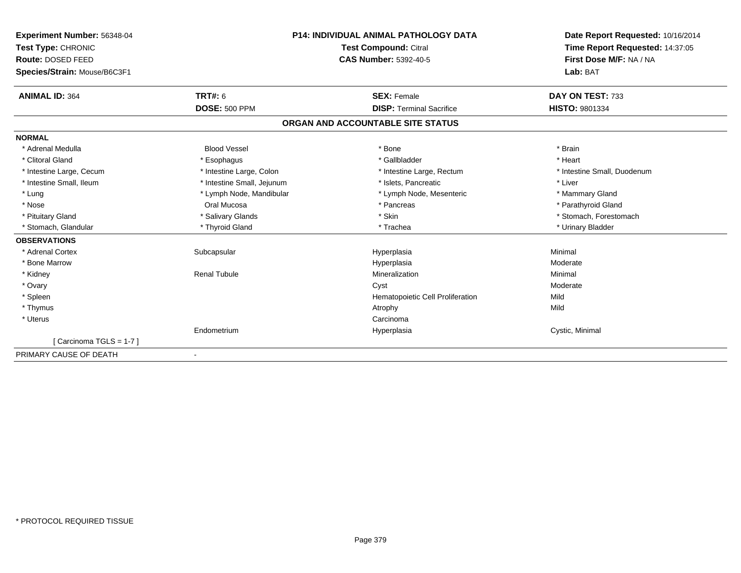| Experiment Number: 56348-04                 | <b>P14: INDIVIDUAL ANIMAL PATHOLOGY DATA</b> |                                   | Date Report Requested: 10/16/2014 |  |
|---------------------------------------------|----------------------------------------------|-----------------------------------|-----------------------------------|--|
| Test Compound: Citral<br>Test Type: CHRONIC |                                              |                                   | Time Report Requested: 14:37:05   |  |
| Route: DOSED FEED                           |                                              | <b>CAS Number: 5392-40-5</b>      | First Dose M/F: NA / NA           |  |
| Species/Strain: Mouse/B6C3F1                |                                              |                                   | Lab: BAT                          |  |
| <b>ANIMAL ID: 364</b>                       | TRT#: 6                                      | <b>SEX: Female</b>                | DAY ON TEST: 733                  |  |
|                                             | <b>DOSE: 500 PPM</b>                         | <b>DISP: Terminal Sacrifice</b>   | <b>HISTO: 9801334</b>             |  |
|                                             |                                              | ORGAN AND ACCOUNTABLE SITE STATUS |                                   |  |
| <b>NORMAL</b>                               |                                              |                                   |                                   |  |
| * Adrenal Medulla                           | <b>Blood Vessel</b>                          | * Bone                            | * Brain                           |  |
| * Clitoral Gland                            | * Esophagus                                  | * Gallbladder                     | * Heart                           |  |
| * Intestine Large, Cecum                    | * Intestine Large, Colon                     | * Intestine Large, Rectum         | * Intestine Small. Duodenum       |  |
| * Intestine Small, Ileum                    | * Intestine Small, Jejunum                   | * Islets. Pancreatic              | * Liver                           |  |
| * Lung                                      | * Lymph Node, Mandibular                     | * Lymph Node, Mesenteric          | * Mammary Gland                   |  |
| * Nose                                      | Oral Mucosa                                  | * Pancreas                        | * Parathyroid Gland               |  |
| * Pituitary Gland                           | * Salivary Glands                            | * Skin                            | * Stomach. Forestomach            |  |
| * Stomach, Glandular                        | * Thyroid Gland                              | * Trachea                         | * Urinary Bladder                 |  |
| <b>OBSERVATIONS</b>                         |                                              |                                   |                                   |  |
| * Adrenal Cortex                            | Subcapsular                                  | Hyperplasia                       | Minimal                           |  |
| * Bone Marrow                               |                                              | Hyperplasia                       | Moderate                          |  |
| * Kidney                                    | <b>Renal Tubule</b>                          | Mineralization                    | Minimal                           |  |
| * Ovary                                     |                                              | Cyst                              | Moderate                          |  |
| * Spleen                                    |                                              | Hematopoietic Cell Proliferation  | Mild                              |  |
| * Thymus                                    |                                              | Atrophy                           | Mild                              |  |
| * Uterus                                    |                                              | Carcinoma                         |                                   |  |
|                                             | Endometrium                                  | Hyperplasia                       | Cystic, Minimal                   |  |
| [Carcinoma TGLS = 1-7]                      |                                              |                                   |                                   |  |
| PRIMARY CAUSE OF DEATH                      | $\blacksquare$                               |                                   |                                   |  |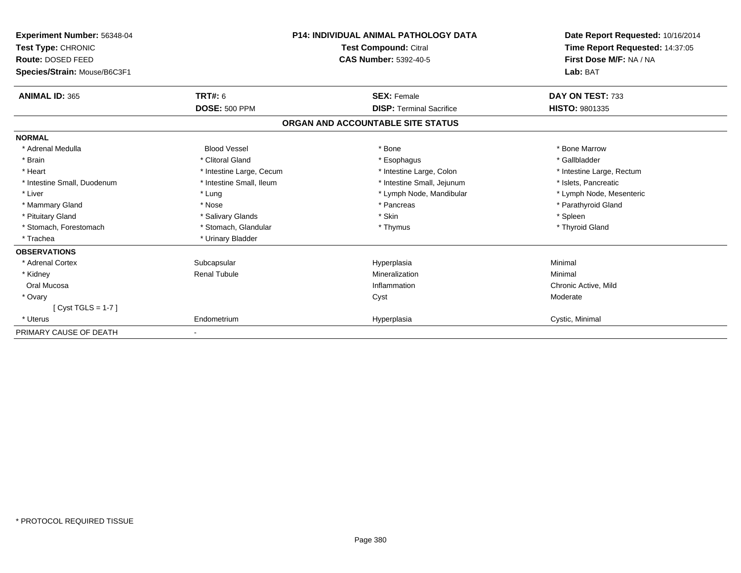| Experiment Number: 56348-04<br>Test Type: CHRONIC<br><b>Route: DOSED FEED</b><br>Species/Strain: Mouse/B6C3F1 |                          | <b>P14: INDIVIDUAL ANIMAL PATHOLOGY DATA</b><br><b>Test Compound: Citral</b><br><b>CAS Number: 5392-40-5</b> | Date Report Requested: 10/16/2014<br>Time Report Requested: 14:37:05<br>First Dose M/F: NA / NA<br>Lab: BAT |
|---------------------------------------------------------------------------------------------------------------|--------------------------|--------------------------------------------------------------------------------------------------------------|-------------------------------------------------------------------------------------------------------------|
| <b>ANIMAL ID: 365</b>                                                                                         | <b>TRT#: 6</b>           | <b>SEX: Female</b>                                                                                           | DAY ON TEST: 733                                                                                            |
|                                                                                                               | <b>DOSE: 500 PPM</b>     | <b>DISP: Terminal Sacrifice</b>                                                                              | HISTO: 9801335                                                                                              |
|                                                                                                               |                          | ORGAN AND ACCOUNTABLE SITE STATUS                                                                            |                                                                                                             |
| <b>NORMAL</b>                                                                                                 |                          |                                                                                                              |                                                                                                             |
| * Adrenal Medulla                                                                                             | <b>Blood Vessel</b>      | * Bone                                                                                                       | * Bone Marrow                                                                                               |
| * Brain                                                                                                       | * Clitoral Gland         | * Esophagus                                                                                                  | * Gallbladder                                                                                               |
| * Heart                                                                                                       | * Intestine Large, Cecum | * Intestine Large, Colon                                                                                     | * Intestine Large, Rectum                                                                                   |
| * Intestine Small, Duodenum                                                                                   | * Intestine Small, Ileum | * Intestine Small, Jejunum                                                                                   | * Islets, Pancreatic                                                                                        |
| * Liver                                                                                                       | * Lung                   | * Lymph Node, Mandibular                                                                                     | * Lymph Node, Mesenteric                                                                                    |
| * Mammary Gland                                                                                               | * Nose                   | * Pancreas                                                                                                   | * Parathyroid Gland                                                                                         |
| * Pituitary Gland                                                                                             | * Salivary Glands        | * Skin                                                                                                       | * Spleen                                                                                                    |
| * Stomach, Forestomach                                                                                        | * Stomach, Glandular     | * Thymus                                                                                                     | * Thyroid Gland                                                                                             |
| * Trachea                                                                                                     | * Urinary Bladder        |                                                                                                              |                                                                                                             |
| <b>OBSERVATIONS</b>                                                                                           |                          |                                                                                                              |                                                                                                             |
| * Adrenal Cortex                                                                                              | Subcapsular              | Hyperplasia                                                                                                  | Minimal                                                                                                     |
| * Kidney                                                                                                      | <b>Renal Tubule</b>      | Mineralization                                                                                               | Minimal                                                                                                     |
| Oral Mucosa                                                                                                   |                          | Inflammation                                                                                                 | Chronic Active, Mild                                                                                        |
| * Ovary                                                                                                       |                          | Cyst                                                                                                         | Moderate                                                                                                    |
| [Cyst TGLS = $1-7$ ]                                                                                          |                          |                                                                                                              |                                                                                                             |
| * Uterus                                                                                                      | Endometrium              | Hyperplasia                                                                                                  | Cystic, Minimal                                                                                             |
| PRIMARY CAUSE OF DEATH                                                                                        |                          |                                                                                                              |                                                                                                             |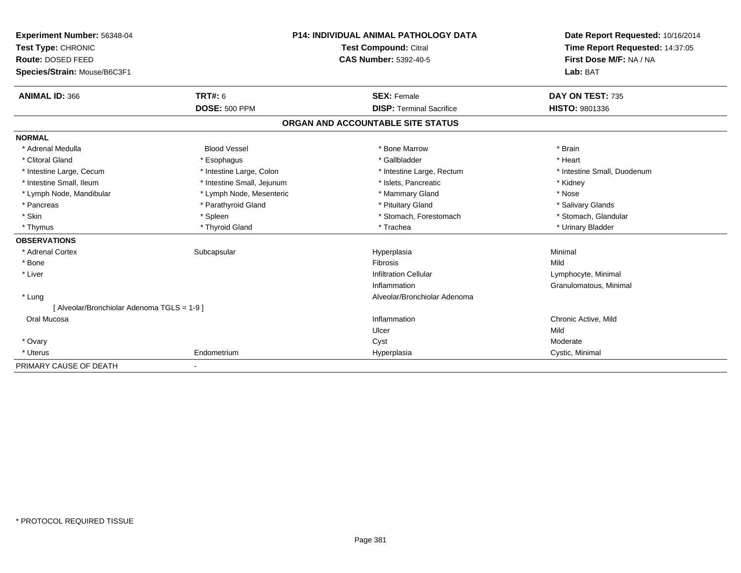| Experiment Number: 56348-04                 | <b>P14: INDIVIDUAL ANIMAL PATHOLOGY DATA</b><br>Test Compound: Citral |                                   | Date Report Requested: 10/16/2014 |
|---------------------------------------------|-----------------------------------------------------------------------|-----------------------------------|-----------------------------------|
| Test Type: CHRONIC                          |                                                                       |                                   | Time Report Requested: 14:37:05   |
| Route: DOSED FEED                           |                                                                       | <b>CAS Number: 5392-40-5</b>      | First Dose M/F: NA / NA           |
| Species/Strain: Mouse/B6C3F1                |                                                                       |                                   | Lab: BAT                          |
| <b>ANIMAL ID: 366</b>                       | <b>TRT#: 6</b>                                                        | <b>SEX: Female</b>                | DAY ON TEST: 735                  |
|                                             | <b>DOSE: 500 PPM</b>                                                  | <b>DISP: Terminal Sacrifice</b>   | HISTO: 9801336                    |
|                                             |                                                                       | ORGAN AND ACCOUNTABLE SITE STATUS |                                   |
| <b>NORMAL</b>                               |                                                                       |                                   |                                   |
| * Adrenal Medulla                           | <b>Blood Vessel</b>                                                   | * Bone Marrow                     | * Brain                           |
| * Clitoral Gland                            | * Esophagus                                                           | * Gallbladder                     | * Heart                           |
| * Intestine Large, Cecum                    | * Intestine Large, Colon                                              | * Intestine Large, Rectum         | * Intestine Small, Duodenum       |
| * Intestine Small, Ileum                    | * Intestine Small, Jejunum                                            | * Islets, Pancreatic              | * Kidney                          |
| * Lymph Node, Mandibular                    | * Lymph Node, Mesenteric                                              | * Mammary Gland                   | * Nose                            |
| * Pancreas                                  | * Parathyroid Gland                                                   | * Pituitary Gland                 | * Salivary Glands                 |
| * Skin                                      | * Spleen                                                              | * Stomach, Forestomach            | * Stomach, Glandular              |
| * Thymus                                    | * Thyroid Gland                                                       | * Trachea                         | * Urinary Bladder                 |
| <b>OBSERVATIONS</b>                         |                                                                       |                                   |                                   |
| * Adrenal Cortex                            | Subcapsular                                                           | Hyperplasia                       | Minimal                           |
| * Bone                                      |                                                                       | Fibrosis                          | Mild                              |
| * Liver                                     |                                                                       | <b>Infiltration Cellular</b>      | Lymphocyte, Minimal               |
|                                             |                                                                       | Inflammation                      | Granulomatous, Minimal            |
| * Lung                                      |                                                                       | Alveolar/Bronchiolar Adenoma      |                                   |
| [ Alveolar/Bronchiolar Adenoma TGLS = 1-9 ] |                                                                       |                                   |                                   |
| Oral Mucosa                                 |                                                                       | Inflammation                      | Chronic Active, Mild              |
|                                             |                                                                       | Ulcer                             | Mild                              |
| * Ovary                                     |                                                                       | Cyst                              | Moderate                          |
| * Uterus                                    | Endometrium                                                           | Hyperplasia                       | Cystic, Minimal                   |
| PRIMARY CAUSE OF DEATH                      | $\overline{\phantom{a}}$                                              |                                   |                                   |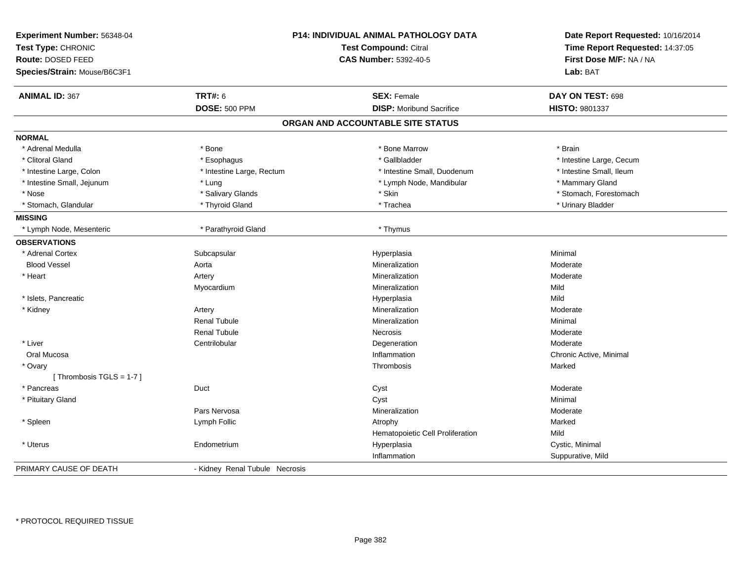| Experiment Number: 56348-04<br>Test Type: CHRONIC<br>Route: DOSED FEED<br>Species/Strain: Mouse/B6C3F1 |                                | P14: INDIVIDUAL ANIMAL PATHOLOGY DATA<br><b>Test Compound: Citral</b><br><b>CAS Number: 5392-40-5</b> | Date Report Requested: 10/16/2014<br>Time Report Requested: 14:37:05<br>First Dose M/F: NA / NA<br>Lab: BAT |
|--------------------------------------------------------------------------------------------------------|--------------------------------|-------------------------------------------------------------------------------------------------------|-------------------------------------------------------------------------------------------------------------|
| <b>ANIMAL ID: 367</b>                                                                                  | <b>TRT#: 6</b>                 | <b>SEX: Female</b>                                                                                    | DAY ON TEST: 698                                                                                            |
|                                                                                                        | <b>DOSE: 500 PPM</b>           | <b>DISP:</b> Moribund Sacrifice                                                                       | HISTO: 9801337                                                                                              |
|                                                                                                        |                                | ORGAN AND ACCOUNTABLE SITE STATUS                                                                     |                                                                                                             |
| <b>NORMAL</b>                                                                                          |                                |                                                                                                       |                                                                                                             |
| * Adrenal Medulla                                                                                      | * Bone                         | * Bone Marrow                                                                                         | * Brain                                                                                                     |
| * Clitoral Gland                                                                                       | * Esophagus                    | * Gallbladder                                                                                         | * Intestine Large, Cecum                                                                                    |
| * Intestine Large, Colon                                                                               | * Intestine Large, Rectum      | * Intestine Small, Duodenum                                                                           | * Intestine Small, Ileum                                                                                    |
| * Intestine Small, Jejunum                                                                             | * Lung                         | * Lymph Node, Mandibular                                                                              | * Mammary Gland                                                                                             |
| * Nose                                                                                                 | * Salivary Glands              | * Skin                                                                                                | * Stomach, Forestomach                                                                                      |
| * Stomach, Glandular                                                                                   | * Thyroid Gland                | * Trachea                                                                                             | * Urinary Bladder                                                                                           |
| <b>MISSING</b>                                                                                         |                                |                                                                                                       |                                                                                                             |
| * Lymph Node, Mesenteric                                                                               | * Parathyroid Gland            | * Thymus                                                                                              |                                                                                                             |
| <b>OBSERVATIONS</b>                                                                                    |                                |                                                                                                       |                                                                                                             |
| * Adrenal Cortex                                                                                       | Subcapsular                    | Hyperplasia                                                                                           | Minimal                                                                                                     |
| <b>Blood Vessel</b>                                                                                    | Aorta                          | Mineralization                                                                                        | Moderate                                                                                                    |
| * Heart                                                                                                | Artery                         | Mineralization                                                                                        | Moderate                                                                                                    |
|                                                                                                        | Myocardium                     | Mineralization                                                                                        | Mild                                                                                                        |
| * Islets, Pancreatic                                                                                   |                                | Hyperplasia                                                                                           | Mild                                                                                                        |
| * Kidney                                                                                               | Artery                         | Mineralization                                                                                        | Moderate                                                                                                    |
|                                                                                                        | <b>Renal Tubule</b>            | Mineralization                                                                                        | Minimal                                                                                                     |
|                                                                                                        | <b>Renal Tubule</b>            | Necrosis                                                                                              | Moderate                                                                                                    |
| * Liver                                                                                                | Centrilobular                  | Degeneration                                                                                          | Moderate                                                                                                    |
| Oral Mucosa                                                                                            |                                | Inflammation                                                                                          | Chronic Active, Minimal                                                                                     |
| * Ovary                                                                                                |                                | Thrombosis                                                                                            | Marked                                                                                                      |
| [Thrombosis $TGLS = 1-7$ ]                                                                             |                                |                                                                                                       |                                                                                                             |
| * Pancreas                                                                                             | Duct                           | Cyst                                                                                                  | Moderate                                                                                                    |
| * Pituitary Gland                                                                                      |                                | Cyst                                                                                                  | Minimal                                                                                                     |
|                                                                                                        | Pars Nervosa                   | Mineralization                                                                                        | Moderate                                                                                                    |
| * Spleen                                                                                               | Lymph Follic                   | Atrophy                                                                                               | Marked                                                                                                      |
|                                                                                                        |                                | Hematopoietic Cell Proliferation                                                                      | Mild                                                                                                        |
| * Uterus                                                                                               | Endometrium                    | Hyperplasia                                                                                           | Cystic, Minimal                                                                                             |
|                                                                                                        |                                | Inflammation                                                                                          | Suppurative, Mild                                                                                           |
| PRIMARY CAUSE OF DEATH                                                                                 | - Kidney Renal Tubule Necrosis |                                                                                                       |                                                                                                             |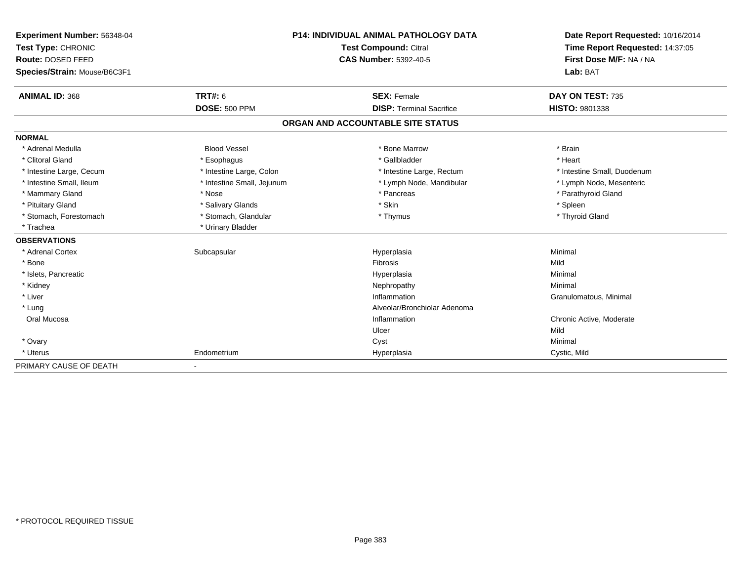| Experiment Number: 56348-04  | <b>P14: INDIVIDUAL ANIMAL PATHOLOGY DATA</b><br>Test Compound: Citral |                                   | Date Report Requested: 10/16/2014 |
|------------------------------|-----------------------------------------------------------------------|-----------------------------------|-----------------------------------|
| Test Type: CHRONIC           |                                                                       |                                   | Time Report Requested: 14:37:05   |
| Route: DOSED FEED            |                                                                       | <b>CAS Number: 5392-40-5</b>      | First Dose M/F: NA / NA           |
| Species/Strain: Mouse/B6C3F1 |                                                                       |                                   | Lab: BAT                          |
| <b>ANIMAL ID: 368</b>        | <b>TRT#: 6</b>                                                        | <b>SEX: Female</b>                | DAY ON TEST: 735                  |
|                              | <b>DOSE: 500 PPM</b>                                                  | <b>DISP: Terminal Sacrifice</b>   | HISTO: 9801338                    |
|                              |                                                                       | ORGAN AND ACCOUNTABLE SITE STATUS |                                   |
| <b>NORMAL</b>                |                                                                       |                                   |                                   |
| * Adrenal Medulla            | <b>Blood Vessel</b>                                                   | * Bone Marrow                     | * Brain                           |
| * Clitoral Gland             | * Esophagus                                                           | * Gallbladder                     | * Heart                           |
| * Intestine Large, Cecum     | * Intestine Large, Colon                                              | * Intestine Large, Rectum         | * Intestine Small, Duodenum       |
| * Intestine Small, Ileum     | * Intestine Small, Jejunum                                            | * Lymph Node, Mandibular          | * Lymph Node, Mesenteric          |
| * Mammary Gland              | * Nose                                                                | * Pancreas                        | * Parathyroid Gland               |
| * Pituitary Gland            | * Salivary Glands                                                     | * Skin                            | * Spleen                          |
| * Stomach, Forestomach       | * Stomach, Glandular                                                  | * Thymus                          | * Thyroid Gland                   |
| * Trachea                    | * Urinary Bladder                                                     |                                   |                                   |
| <b>OBSERVATIONS</b>          |                                                                       |                                   |                                   |
| * Adrenal Cortex             | Subcapsular                                                           | Hyperplasia                       | Minimal                           |
| * Bone                       |                                                                       | Fibrosis                          | Mild                              |
| * Islets, Pancreatic         |                                                                       | Hyperplasia                       | Minimal                           |
| * Kidney                     |                                                                       | Nephropathy                       | Minimal                           |
| * Liver                      |                                                                       | Inflammation                      | Granulomatous, Minimal            |
| * Lung                       |                                                                       | Alveolar/Bronchiolar Adenoma      |                                   |
| Oral Mucosa                  |                                                                       | Inflammation                      | Chronic Active, Moderate          |
|                              |                                                                       | Ulcer                             | Mild                              |
| * Ovary                      |                                                                       | Cyst                              | Minimal                           |
| * Uterus                     | Endometrium                                                           | Hyperplasia                       | Cystic, Mild                      |
| PRIMARY CAUSE OF DEATH       |                                                                       |                                   |                                   |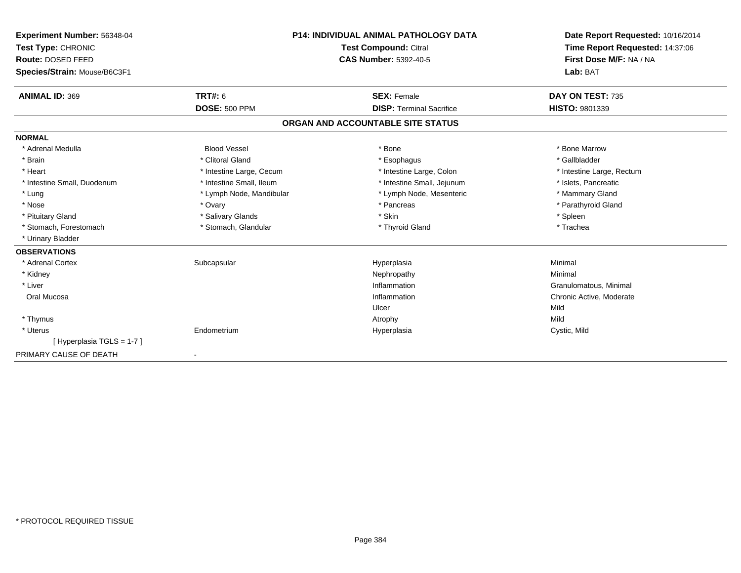| Experiment Number: 56348-04  |                          | <b>P14: INDIVIDUAL ANIMAL PATHOLOGY DATA</b> | Date Report Requested: 10/16/2014 |
|------------------------------|--------------------------|----------------------------------------------|-----------------------------------|
| Test Type: CHRONIC           |                          | Test Compound: Citral                        | Time Report Requested: 14:37:06   |
| Route: DOSED FEED            |                          | <b>CAS Number: 5392-40-5</b>                 | First Dose M/F: NA / NA           |
| Species/Strain: Mouse/B6C3F1 |                          |                                              | Lab: BAT                          |
| <b>ANIMAL ID: 369</b>        | TRT#: 6                  | <b>SEX: Female</b>                           | DAY ON TEST: 735                  |
|                              | <b>DOSE: 500 PPM</b>     | <b>DISP: Terminal Sacrifice</b>              | <b>HISTO: 9801339</b>             |
|                              |                          | ORGAN AND ACCOUNTABLE SITE STATUS            |                                   |
| <b>NORMAL</b>                |                          |                                              |                                   |
| * Adrenal Medulla            | <b>Blood Vessel</b>      | * Bone                                       | * Bone Marrow                     |
| * Brain                      | * Clitoral Gland         | * Esophagus                                  | * Gallbladder                     |
| * Heart                      | * Intestine Large, Cecum | * Intestine Large, Colon                     | * Intestine Large, Rectum         |
| * Intestine Small, Duodenum  | * Intestine Small, Ileum | * Intestine Small, Jejunum                   | * Islets, Pancreatic              |
| * Lung                       | * Lymph Node, Mandibular | * Lymph Node, Mesenteric                     | * Mammary Gland                   |
| * Nose                       | * Ovary                  | * Pancreas                                   | * Parathyroid Gland               |
| * Pituitary Gland            | * Salivary Glands        | * Skin                                       | * Spleen                          |
| * Stomach, Forestomach       | * Stomach, Glandular     | * Thyroid Gland                              | * Trachea                         |
| * Urinary Bladder            |                          |                                              |                                   |
| <b>OBSERVATIONS</b>          |                          |                                              |                                   |
| * Adrenal Cortex             | Subcapsular              | Hyperplasia                                  | Minimal                           |
| * Kidney                     |                          | Nephropathy                                  | Minimal                           |
| * Liver                      |                          | Inflammation                                 | Granulomatous, Minimal            |
| Oral Mucosa                  |                          | Inflammation                                 | Chronic Active, Moderate          |
|                              |                          | Ulcer                                        | Mild                              |
| * Thymus                     |                          | Atrophy                                      | Mild                              |
| * Uterus                     | Endometrium              | Hyperplasia                                  | Cystic, Mild                      |
| [Hyperplasia TGLS = 1-7]     |                          |                                              |                                   |
| PRIMARY CAUSE OF DEATH       |                          |                                              |                                   |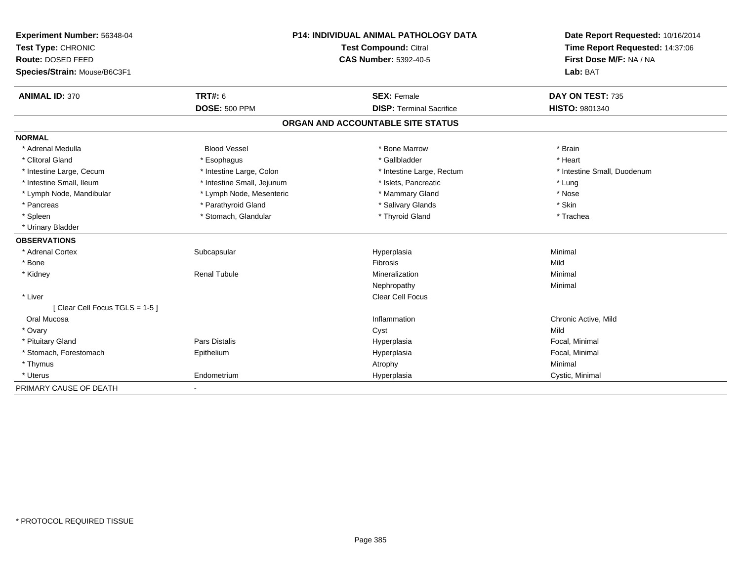| Experiment Number: 56348-04   |                            | P14: INDIVIDUAL ANIMAL PATHOLOGY DATA | Date Report Requested: 10/16/2014                          |  |
|-------------------------------|----------------------------|---------------------------------------|------------------------------------------------------------|--|
| Test Type: CHRONIC            |                            | Test Compound: Citral                 | Time Report Requested: 14:37:06<br>First Dose M/F: NA / NA |  |
| Route: DOSED FEED             |                            | <b>CAS Number: 5392-40-5</b>          |                                                            |  |
| Species/Strain: Mouse/B6C3F1  |                            |                                       | Lab: BAT                                                   |  |
| <b>ANIMAL ID: 370</b>         | <b>TRT#: 6</b>             | <b>SEX: Female</b>                    | DAY ON TEST: 735                                           |  |
|                               | <b>DOSE: 500 PPM</b>       | <b>DISP: Terminal Sacrifice</b>       | <b>HISTO: 9801340</b>                                      |  |
|                               |                            | ORGAN AND ACCOUNTABLE SITE STATUS     |                                                            |  |
| <b>NORMAL</b>                 |                            |                                       |                                                            |  |
| * Adrenal Medulla             | <b>Blood Vessel</b>        | * Bone Marrow                         | * Brain                                                    |  |
| * Clitoral Gland              | * Esophagus                | * Gallbladder                         | * Heart                                                    |  |
| * Intestine Large, Cecum      | * Intestine Large, Colon   | * Intestine Large, Rectum             | * Intestine Small, Duodenum                                |  |
| * Intestine Small, Ileum      | * Intestine Small, Jejunum | * Islets, Pancreatic                  | * Lung                                                     |  |
| * Lymph Node, Mandibular      | * Lymph Node, Mesenteric   | * Mammary Gland                       | * Nose                                                     |  |
| * Pancreas                    | * Parathyroid Gland        | * Salivary Glands                     | * Skin                                                     |  |
| * Spleen                      | * Stomach, Glandular       | * Thyroid Gland                       | * Trachea                                                  |  |
| * Urinary Bladder             |                            |                                       |                                                            |  |
| <b>OBSERVATIONS</b>           |                            |                                       |                                                            |  |
| * Adrenal Cortex              | Subcapsular                | Hyperplasia                           | Minimal                                                    |  |
| * Bone                        |                            | Fibrosis                              | Mild                                                       |  |
| * Kidney                      | <b>Renal Tubule</b>        | Mineralization                        | Minimal                                                    |  |
|                               |                            | Nephropathy                           | Minimal                                                    |  |
| * Liver                       |                            | Clear Cell Focus                      |                                                            |  |
| [Clear Cell Focus TGLS = 1-5] |                            |                                       |                                                            |  |
| Oral Mucosa                   |                            | Inflammation                          | Chronic Active, Mild                                       |  |
| * Ovary                       |                            | Cyst                                  | Mild                                                       |  |
| * Pituitary Gland             | <b>Pars Distalis</b>       | Hyperplasia                           | Focal, Minimal                                             |  |
| * Stomach, Forestomach        | Epithelium                 | Hyperplasia                           | Focal, Minimal                                             |  |
| * Thymus                      |                            | Atrophy                               | Minimal                                                    |  |
| * Uterus                      | Endometrium                | Hyperplasia                           | Cystic, Minimal                                            |  |
| PRIMARY CAUSE OF DEATH        |                            |                                       |                                                            |  |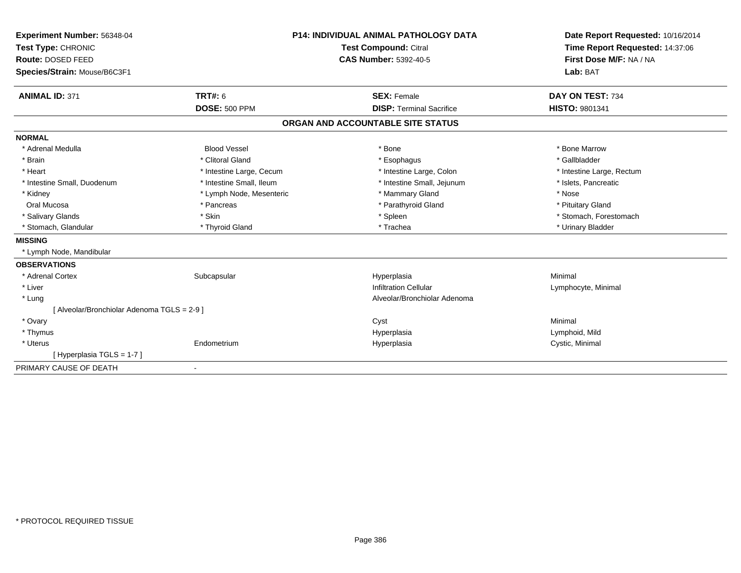| Experiment Number: 56348-04                 | <b>P14: INDIVIDUAL ANIMAL PATHOLOGY DATA</b> |                                   | Date Report Requested: 10/16/2014 |
|---------------------------------------------|----------------------------------------------|-----------------------------------|-----------------------------------|
| Test Type: CHRONIC<br>Route: DOSED FEED     |                                              | <b>Test Compound: Citral</b>      | Time Report Requested: 14:37:06   |
|                                             |                                              | <b>CAS Number: 5392-40-5</b>      | First Dose M/F: NA / NA           |
| Species/Strain: Mouse/B6C3F1                |                                              |                                   | Lab: BAT                          |
| <b>ANIMAL ID: 371</b>                       | TRT#: 6                                      | <b>SEX: Female</b>                | DAY ON TEST: 734                  |
|                                             | <b>DOSE: 500 PPM</b>                         | <b>DISP: Terminal Sacrifice</b>   | HISTO: 9801341                    |
|                                             |                                              | ORGAN AND ACCOUNTABLE SITE STATUS |                                   |
| <b>NORMAL</b>                               |                                              |                                   |                                   |
| * Adrenal Medulla                           | <b>Blood Vessel</b>                          | * Bone                            | * Bone Marrow                     |
| * Brain                                     | * Clitoral Gland                             | * Esophagus                       | * Gallbladder                     |
| * Heart                                     | * Intestine Large, Cecum                     | * Intestine Large, Colon          | * Intestine Large, Rectum         |
| * Intestine Small, Duodenum                 | * Intestine Small, Ileum                     | * Intestine Small, Jejunum        | * Islets, Pancreatic              |
| * Kidney                                    | * Lymph Node, Mesenteric                     | * Mammary Gland                   | * Nose                            |
| Oral Mucosa                                 | * Pancreas                                   | * Parathyroid Gland               | * Pituitary Gland                 |
| * Salivary Glands                           | * Skin                                       | * Spleen                          | * Stomach, Forestomach            |
| * Stomach, Glandular                        | * Thyroid Gland                              | * Trachea                         | * Urinary Bladder                 |
| <b>MISSING</b>                              |                                              |                                   |                                   |
| * Lymph Node, Mandibular                    |                                              |                                   |                                   |
| <b>OBSERVATIONS</b>                         |                                              |                                   |                                   |
| * Adrenal Cortex                            | Subcapsular                                  | Hyperplasia                       | Minimal                           |
| * Liver                                     |                                              | <b>Infiltration Cellular</b>      | Lymphocyte, Minimal               |
| * Lung                                      |                                              | Alveolar/Bronchiolar Adenoma      |                                   |
| [ Alveolar/Bronchiolar Adenoma TGLS = 2-9 ] |                                              |                                   |                                   |
| * Ovary                                     |                                              | Cyst                              | Minimal                           |
| * Thymus                                    |                                              | Hyperplasia                       | Lymphoid, Mild                    |
| * Uterus                                    | Endometrium                                  | Hyperplasia                       | Cystic, Minimal                   |
| [Hyperplasia TGLS = 1-7]                    |                                              |                                   |                                   |
| PRIMARY CAUSE OF DEATH                      | $\overline{\phantom{a}}$                     |                                   |                                   |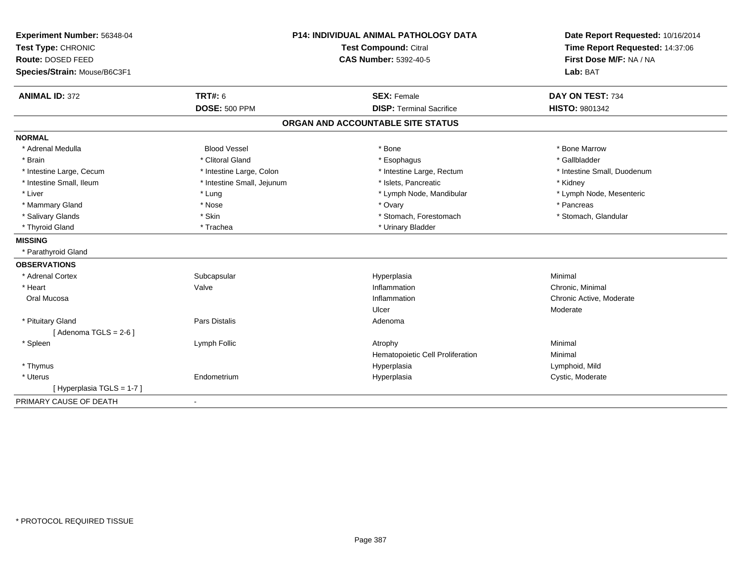| Experiment Number: 56348-04<br>Test Type: CHRONIC |                            | <b>P14: INDIVIDUAL ANIMAL PATHOLOGY DATA</b><br>Test Compound: Citral | Date Report Requested: 10/16/2014<br>Time Report Requested: 14:37:06 |
|---------------------------------------------------|----------------------------|-----------------------------------------------------------------------|----------------------------------------------------------------------|
| Route: DOSED FEED                                 |                            | <b>CAS Number: 5392-40-5</b>                                          | First Dose M/F: NA / NA                                              |
| Species/Strain: Mouse/B6C3F1                      |                            |                                                                       | Lab: BAT                                                             |
| <b>ANIMAL ID: 372</b>                             | TRT#: 6                    | <b>SEX: Female</b>                                                    | DAY ON TEST: 734                                                     |
|                                                   | <b>DOSE: 500 PPM</b>       | <b>DISP: Terminal Sacrifice</b>                                       | <b>HISTO: 9801342</b>                                                |
|                                                   |                            | ORGAN AND ACCOUNTABLE SITE STATUS                                     |                                                                      |
| <b>NORMAL</b>                                     |                            |                                                                       |                                                                      |
| * Adrenal Medulla                                 | <b>Blood Vessel</b>        | * Bone                                                                | * Bone Marrow                                                        |
| * Brain                                           | * Clitoral Gland           | * Esophagus                                                           | * Gallbladder                                                        |
| * Intestine Large, Cecum                          | * Intestine Large, Colon   | * Intestine Large, Rectum                                             | * Intestine Small, Duodenum                                          |
| * Intestine Small, Ileum                          | * Intestine Small, Jejunum | * Islets, Pancreatic                                                  | * Kidney                                                             |
| * Liver                                           | * Lung                     | * Lymph Node, Mandibular                                              | * Lymph Node, Mesenteric                                             |
| * Mammary Gland                                   | * Nose                     | * Ovary                                                               | * Pancreas                                                           |
| * Salivary Glands                                 | * Skin                     | * Stomach, Forestomach                                                | * Stomach, Glandular                                                 |
| * Thyroid Gland                                   | * Trachea                  | * Urinary Bladder                                                     |                                                                      |
| <b>MISSING</b>                                    |                            |                                                                       |                                                                      |
| * Parathyroid Gland                               |                            |                                                                       |                                                                      |
| <b>OBSERVATIONS</b>                               |                            |                                                                       |                                                                      |
| * Adrenal Cortex                                  | Subcapsular                | Hyperplasia                                                           | Minimal                                                              |
| * Heart                                           | Valve                      | Inflammation                                                          | Chronic, Minimal                                                     |
| Oral Mucosa                                       |                            | Inflammation                                                          | Chronic Active, Moderate                                             |
|                                                   |                            | Ulcer                                                                 | Moderate                                                             |
| * Pituitary Gland                                 | <b>Pars Distalis</b>       | Adenoma                                                               |                                                                      |
| [Adenoma TGLS = $2-6$ ]                           |                            |                                                                       |                                                                      |
| * Spleen                                          | Lymph Follic               | Atrophy                                                               | Minimal                                                              |
|                                                   |                            | Hematopoietic Cell Proliferation                                      | Minimal                                                              |
| * Thymus                                          |                            | Hyperplasia                                                           | Lymphoid, Mild                                                       |
| * Uterus                                          | Endometrium                | Hyperplasia                                                           | Cystic, Moderate                                                     |
| [Hyperplasia TGLS = 1-7]                          |                            |                                                                       |                                                                      |
| PRIMARY CAUSE OF DEATH                            | $\blacksquare$             |                                                                       |                                                                      |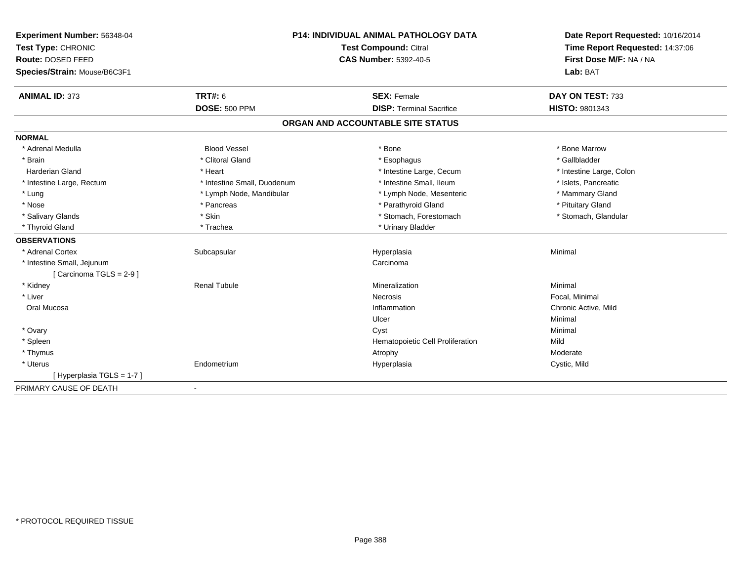| Experiment Number: 56348-04  | P14: INDIVIDUAL ANIMAL PATHOLOGY DATA |                                   | Date Report Requested: 10/16/2014                          |  |
|------------------------------|---------------------------------------|-----------------------------------|------------------------------------------------------------|--|
| Test Type: CHRONIC           |                                       | Test Compound: Citral             | Time Report Requested: 14:37:06<br>First Dose M/F: NA / NA |  |
| Route: DOSED FEED            |                                       | <b>CAS Number: 5392-40-5</b>      |                                                            |  |
| Species/Strain: Mouse/B6C3F1 |                                       |                                   | Lab: BAT                                                   |  |
| <b>ANIMAL ID: 373</b>        | <b>TRT#: 6</b>                        | <b>SEX: Female</b>                | DAY ON TEST: 733                                           |  |
|                              | <b>DOSE: 500 PPM</b>                  | <b>DISP: Terminal Sacrifice</b>   | <b>HISTO: 9801343</b>                                      |  |
|                              |                                       | ORGAN AND ACCOUNTABLE SITE STATUS |                                                            |  |
| <b>NORMAL</b>                |                                       |                                   |                                                            |  |
| * Adrenal Medulla            | <b>Blood Vessel</b>                   | * Bone                            | * Bone Marrow                                              |  |
| * Brain                      | * Clitoral Gland                      | * Esophagus                       | * Gallbladder                                              |  |
| <b>Harderian Gland</b>       | * Heart                               | * Intestine Large, Cecum          | * Intestine Large, Colon                                   |  |
| * Intestine Large, Rectum    | * Intestine Small, Duodenum           | * Intestine Small. Ileum          | * Islets. Pancreatic                                       |  |
| * Lung                       | * Lymph Node, Mandibular              | * Lymph Node, Mesenteric          | * Mammary Gland                                            |  |
| * Nose                       | * Pancreas                            | * Parathyroid Gland               | * Pituitary Gland                                          |  |
| * Salivary Glands            | * Skin                                | * Stomach, Forestomach            | * Stomach, Glandular                                       |  |
| * Thyroid Gland              | * Trachea                             | * Urinary Bladder                 |                                                            |  |
| <b>OBSERVATIONS</b>          |                                       |                                   |                                                            |  |
| * Adrenal Cortex             | Subcapsular                           | Hyperplasia                       | Minimal                                                    |  |
| * Intestine Small, Jejunum   |                                       | Carcinoma                         |                                                            |  |
| [Carcinoma TGLS = 2-9]       |                                       |                                   |                                                            |  |
| * Kidney                     | <b>Renal Tubule</b>                   | Mineralization                    | Minimal                                                    |  |
| * Liver                      |                                       | Necrosis                          | Focal, Minimal                                             |  |
| Oral Mucosa                  |                                       | Inflammation                      | Chronic Active, Mild                                       |  |
|                              |                                       | Ulcer                             | Minimal                                                    |  |
| * Ovary                      |                                       | Cyst                              | Minimal                                                    |  |
| * Spleen                     |                                       | Hematopoietic Cell Proliferation  | Mild                                                       |  |
| * Thymus                     |                                       | Atrophy                           | Moderate                                                   |  |
| * Uterus                     | Endometrium                           | Hyperplasia                       | Cystic, Mild                                               |  |
| [Hyperplasia TGLS = 1-7]     |                                       |                                   |                                                            |  |
| PRIMARY CAUSE OF DEATH       |                                       |                                   |                                                            |  |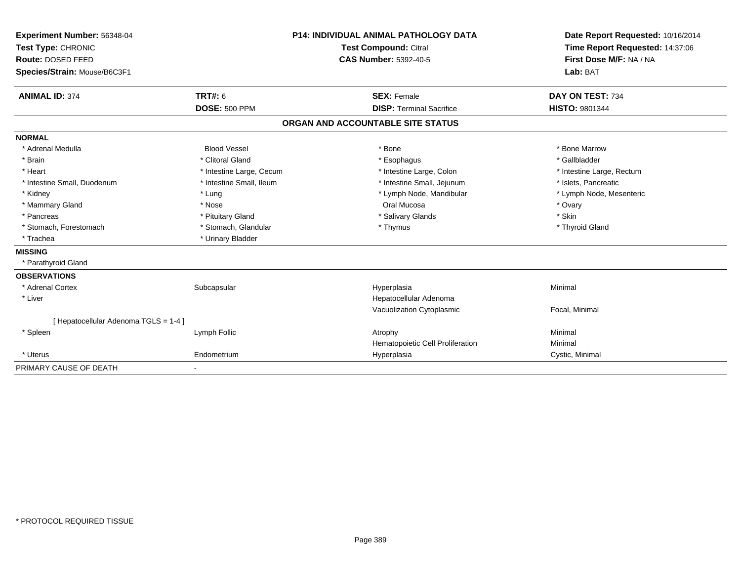| Experiment Number: 56348-04<br>Test Type: CHRONIC |                          | <b>P14: INDIVIDUAL ANIMAL PATHOLOGY DATA</b><br>Test Compound: Citral |                                   | Date Report Requested: 10/16/2014<br>Time Report Requested: 14:37:06 |  |
|---------------------------------------------------|--------------------------|-----------------------------------------------------------------------|-----------------------------------|----------------------------------------------------------------------|--|
| Route: DOSED FEED                                 |                          | <b>CAS Number: 5392-40-5</b>                                          |                                   | First Dose M/F: NA / NA                                              |  |
| Species/Strain: Mouse/B6C3F1                      |                          |                                                                       |                                   | Lab: BAT                                                             |  |
| <b>ANIMAL ID: 374</b>                             | <b>TRT#: 6</b>           |                                                                       | <b>SEX: Female</b>                | DAY ON TEST: 734                                                     |  |
|                                                   | <b>DOSE: 500 PPM</b>     |                                                                       | <b>DISP: Terminal Sacrifice</b>   | <b>HISTO: 9801344</b>                                                |  |
|                                                   |                          |                                                                       | ORGAN AND ACCOUNTABLE SITE STATUS |                                                                      |  |
| <b>NORMAL</b>                                     |                          |                                                                       |                                   |                                                                      |  |
| * Adrenal Medulla                                 | <b>Blood Vessel</b>      |                                                                       | * Bone                            | * Bone Marrow                                                        |  |
| * Brain                                           | * Clitoral Gland         |                                                                       | * Esophagus                       | * Gallbladder                                                        |  |
| * Heart                                           | * Intestine Large, Cecum |                                                                       | * Intestine Large, Colon          | * Intestine Large, Rectum                                            |  |
| * Intestine Small, Duodenum                       | * Intestine Small, Ileum |                                                                       | * Intestine Small, Jejunum        | * Islets. Pancreatic                                                 |  |
| * Kidney                                          | * Lung                   |                                                                       | * Lymph Node, Mandibular          | * Lymph Node, Mesenteric                                             |  |
| * Mammary Gland                                   | * Nose                   |                                                                       | Oral Mucosa                       | * Ovary                                                              |  |
| * Pancreas                                        | * Pituitary Gland        |                                                                       | * Salivary Glands                 | * Skin                                                               |  |
| * Stomach, Forestomach                            | * Stomach, Glandular     |                                                                       | * Thymus                          | * Thyroid Gland                                                      |  |
| * Trachea                                         | * Urinary Bladder        |                                                                       |                                   |                                                                      |  |
| <b>MISSING</b>                                    |                          |                                                                       |                                   |                                                                      |  |
| * Parathyroid Gland                               |                          |                                                                       |                                   |                                                                      |  |
| <b>OBSERVATIONS</b>                               |                          |                                                                       |                                   |                                                                      |  |
| * Adrenal Cortex                                  | Subcapsular              |                                                                       | Hyperplasia                       | Minimal                                                              |  |
| * Liver                                           |                          |                                                                       | Hepatocellular Adenoma            |                                                                      |  |
|                                                   |                          |                                                                       | Vacuolization Cytoplasmic         | Focal, Minimal                                                       |  |
| [ Hepatocellular Adenoma TGLS = 1-4 ]             |                          |                                                                       |                                   |                                                                      |  |
| * Spleen                                          | Lymph Follic             |                                                                       | Atrophy                           | Minimal                                                              |  |
|                                                   |                          |                                                                       | Hematopoietic Cell Proliferation  | Minimal                                                              |  |
| * Uterus                                          | Endometrium              |                                                                       | Hyperplasia                       | Cystic, Minimal                                                      |  |
| PRIMARY CAUSE OF DEATH                            |                          |                                                                       |                                   |                                                                      |  |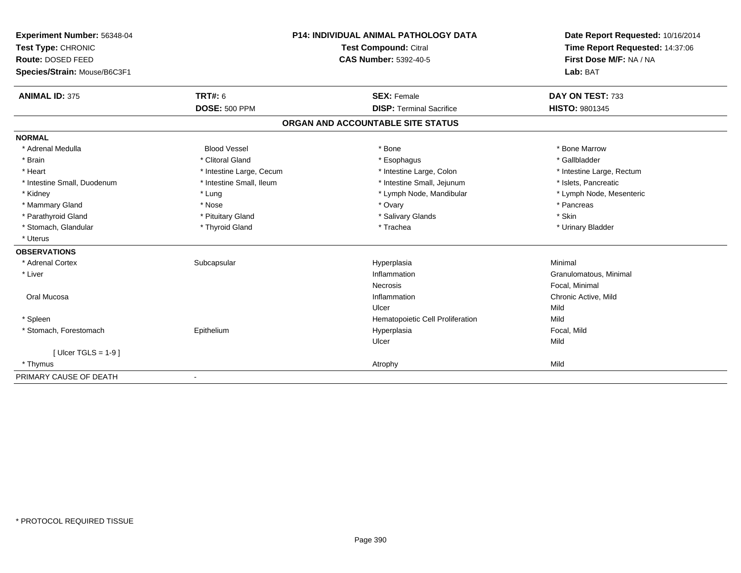| Experiment Number: 56348-04  | <b>P14: INDIVIDUAL ANIMAL PATHOLOGY DATA</b><br><b>Test Compound: Citral</b><br><b>CAS Number: 5392-40-5</b> |                                   | Date Report Requested: 10/16/2014 |  |
|------------------------------|--------------------------------------------------------------------------------------------------------------|-----------------------------------|-----------------------------------|--|
| Test Type: CHRONIC           |                                                                                                              |                                   | Time Report Requested: 14:37:06   |  |
| Route: DOSED FEED            |                                                                                                              |                                   | First Dose M/F: NA / NA           |  |
| Species/Strain: Mouse/B6C3F1 |                                                                                                              |                                   | Lab: BAT                          |  |
| <b>ANIMAL ID: 375</b>        | <b>TRT#: 6</b>                                                                                               | <b>SEX: Female</b>                | DAY ON TEST: 733                  |  |
|                              | <b>DOSE: 500 PPM</b>                                                                                         | <b>DISP: Terminal Sacrifice</b>   | <b>HISTO: 9801345</b>             |  |
|                              |                                                                                                              | ORGAN AND ACCOUNTABLE SITE STATUS |                                   |  |
| <b>NORMAL</b>                |                                                                                                              |                                   |                                   |  |
| * Adrenal Medulla            | <b>Blood Vessel</b>                                                                                          | * Bone                            | * Bone Marrow                     |  |
| * Brain                      | * Clitoral Gland                                                                                             | * Esophagus                       | * Gallbladder                     |  |
| * Heart                      | * Intestine Large, Cecum                                                                                     | * Intestine Large, Colon          | * Intestine Large, Rectum         |  |
| * Intestine Small, Duodenum  | * Intestine Small, Ileum                                                                                     | * Intestine Small, Jejunum        | * Islets, Pancreatic              |  |
| * Kidney                     | * Lung                                                                                                       | * Lymph Node, Mandibular          | * Lymph Node, Mesenteric          |  |
| * Mammary Gland              | * Nose                                                                                                       | * Ovary                           | * Pancreas                        |  |
| * Parathyroid Gland          | * Pituitary Gland                                                                                            | * Salivary Glands                 | * Skin                            |  |
| * Stomach, Glandular         | * Thyroid Gland                                                                                              | * Trachea                         | * Urinary Bladder                 |  |
| * Uterus                     |                                                                                                              |                                   |                                   |  |
| <b>OBSERVATIONS</b>          |                                                                                                              |                                   |                                   |  |
| * Adrenal Cortex             | Subcapsular                                                                                                  | Hyperplasia                       | Minimal                           |  |
| * Liver                      |                                                                                                              | Inflammation                      | Granulomatous, Minimal            |  |
|                              |                                                                                                              | Necrosis                          | Focal, Minimal                    |  |
| Oral Mucosa                  |                                                                                                              | Inflammation                      | Chronic Active, Mild              |  |
|                              |                                                                                                              | Ulcer                             | Mild                              |  |
| * Spleen                     |                                                                                                              | Hematopoietic Cell Proliferation  | Mild                              |  |
| * Stomach, Forestomach       | Epithelium                                                                                                   | Hyperplasia                       | Focal, Mild                       |  |
|                              |                                                                                                              | Ulcer                             | Mild                              |  |
| [ Ulcer TGLS = $1-9$ ]       |                                                                                                              |                                   |                                   |  |
| * Thymus                     |                                                                                                              | Atrophy                           | Mild                              |  |
| PRIMARY CAUSE OF DEATH       |                                                                                                              |                                   |                                   |  |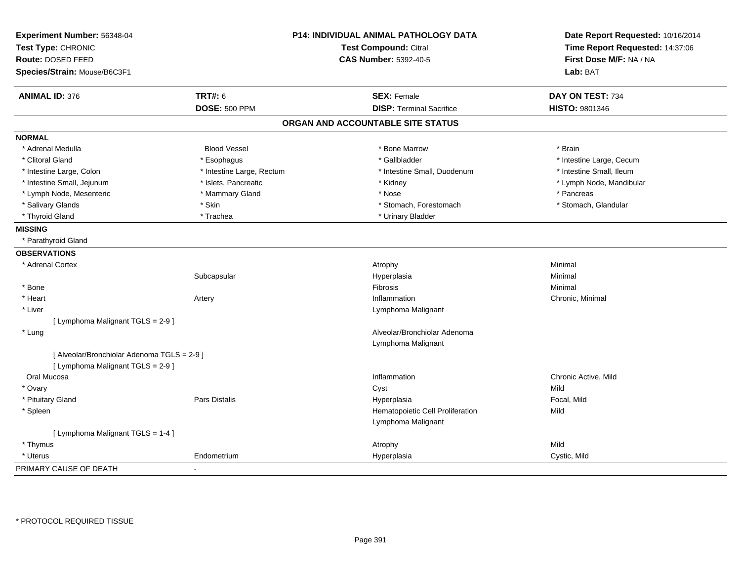| Experiment Number: 56348-04                 |                           | P14: INDIVIDUAL ANIMAL PATHOLOGY DATA | Date Report Requested: 10/16/2014 |  |
|---------------------------------------------|---------------------------|---------------------------------------|-----------------------------------|--|
| Test Type: CHRONIC                          |                           | <b>Test Compound: Citral</b>          | Time Report Requested: 14:37:06   |  |
| <b>Route: DOSED FEED</b>                    |                           | <b>CAS Number: 5392-40-5</b>          | First Dose M/F: NA / NA           |  |
| Species/Strain: Mouse/B6C3F1                |                           |                                       | Lab: BAT                          |  |
| <b>ANIMAL ID: 376</b>                       | <b>TRT#: 6</b>            | <b>SEX: Female</b>                    | DAY ON TEST: 734                  |  |
|                                             | <b>DOSE: 500 PPM</b>      | <b>DISP: Terminal Sacrifice</b>       | HISTO: 9801346                    |  |
|                                             |                           | ORGAN AND ACCOUNTABLE SITE STATUS     |                                   |  |
| <b>NORMAL</b>                               |                           |                                       |                                   |  |
| * Adrenal Medulla                           | <b>Blood Vessel</b>       | * Bone Marrow                         | * Brain                           |  |
| * Clitoral Gland                            | * Esophagus               | * Gallbladder                         | * Intestine Large, Cecum          |  |
| * Intestine Large, Colon                    | * Intestine Large, Rectum | * Intestine Small, Duodenum           | * Intestine Small, Ileum          |  |
| * Intestine Small, Jejunum                  | * Islets, Pancreatic      | * Kidney                              | * Lymph Node, Mandibular          |  |
| * Lymph Node, Mesenteric                    | * Mammary Gland           | * Nose                                | * Pancreas                        |  |
| * Salivary Glands                           | * Skin                    | * Stomach, Forestomach                | * Stomach, Glandular              |  |
| * Thyroid Gland                             | * Trachea                 | * Urinary Bladder                     |                                   |  |
| <b>MISSING</b>                              |                           |                                       |                                   |  |
| * Parathyroid Gland                         |                           |                                       |                                   |  |
| <b>OBSERVATIONS</b>                         |                           |                                       |                                   |  |
| * Adrenal Cortex                            |                           | Atrophy                               | Minimal                           |  |
|                                             | Subcapsular               | Hyperplasia                           | Minimal                           |  |
| * Bone                                      |                           | Fibrosis                              | Minimal                           |  |
| * Heart                                     | Artery                    | Inflammation                          | Chronic, Minimal                  |  |
| * Liver                                     |                           | Lymphoma Malignant                    |                                   |  |
| [ Lymphoma Malignant TGLS = 2-9 ]           |                           |                                       |                                   |  |
| * Lung                                      |                           | Alveolar/Bronchiolar Adenoma          |                                   |  |
|                                             |                           | Lymphoma Malignant                    |                                   |  |
| [ Alveolar/Bronchiolar Adenoma TGLS = 2-9 ] |                           |                                       |                                   |  |
| [ Lymphoma Malignant TGLS = 2-9 ]           |                           |                                       |                                   |  |
| Oral Mucosa                                 |                           | Inflammation                          | Chronic Active, Mild              |  |
| * Ovary                                     |                           | Cyst                                  | Mild                              |  |
| * Pituitary Gland                           | <b>Pars Distalis</b>      | Hyperplasia                           | Focal, Mild                       |  |
| * Spleen                                    |                           | Hematopoietic Cell Proliferation      | Mild                              |  |
|                                             |                           | Lymphoma Malignant                    |                                   |  |
| [ Lymphoma Malignant TGLS = 1-4 ]           |                           |                                       |                                   |  |
| * Thymus                                    |                           | Atrophy                               | Mild                              |  |
| * Uterus                                    | Endometrium               | Hyperplasia                           | Cystic, Mild                      |  |
| PRIMARY CAUSE OF DEATH                      |                           |                                       |                                   |  |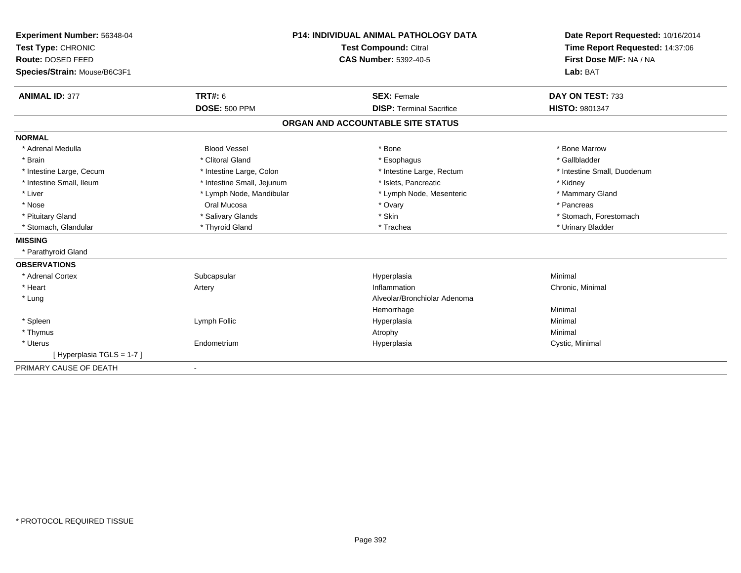| Experiment Number: 56348-04  | <b>P14: INDIVIDUAL ANIMAL PATHOLOGY DATA</b> |                                   | Date Report Requested: 10/16/2014 |
|------------------------------|----------------------------------------------|-----------------------------------|-----------------------------------|
| Test Type: CHRONIC           |                                              | Test Compound: Citral             | Time Report Requested: 14:37:06   |
| Route: DOSED FEED            |                                              | <b>CAS Number: 5392-40-5</b>      | First Dose M/F: NA / NA           |
| Species/Strain: Mouse/B6C3F1 |                                              |                                   | Lab: BAT                          |
| <b>ANIMAL ID: 377</b>        | <b>TRT#: 6</b>                               | <b>SEX: Female</b>                | DAY ON TEST: 733                  |
|                              | <b>DOSE: 500 PPM</b>                         | <b>DISP: Terminal Sacrifice</b>   | <b>HISTO: 9801347</b>             |
|                              |                                              | ORGAN AND ACCOUNTABLE SITE STATUS |                                   |
| <b>NORMAL</b>                |                                              |                                   |                                   |
| * Adrenal Medulla            | <b>Blood Vessel</b>                          | * Bone                            | * Bone Marrow                     |
| * Brain                      | * Clitoral Gland                             | * Esophagus                       | * Gallbladder                     |
| * Intestine Large, Cecum     | * Intestine Large, Colon                     | * Intestine Large, Rectum         | * Intestine Small, Duodenum       |
| * Intestine Small, Ileum     | * Intestine Small, Jejunum                   | * Islets, Pancreatic              | * Kidney                          |
| * Liver                      | * Lymph Node, Mandibular                     | * Lymph Node, Mesenteric          | * Mammary Gland                   |
| * Nose                       | Oral Mucosa                                  | * Ovary                           | * Pancreas                        |
| * Pituitary Gland            | * Salivary Glands                            | * Skin                            | * Stomach, Forestomach            |
| * Stomach, Glandular         | * Thyroid Gland                              | * Trachea                         | * Urinary Bladder                 |
| <b>MISSING</b>               |                                              |                                   |                                   |
| * Parathyroid Gland          |                                              |                                   |                                   |
| <b>OBSERVATIONS</b>          |                                              |                                   |                                   |
| * Adrenal Cortex             | Subcapsular                                  | Hyperplasia                       | Minimal                           |
| * Heart                      | Artery                                       | Inflammation                      | Chronic, Minimal                  |
| * Lung                       |                                              | Alveolar/Bronchiolar Adenoma      |                                   |
|                              |                                              | Hemorrhage                        | Minimal                           |
| * Spleen                     | Lymph Follic                                 | Hyperplasia                       | Minimal                           |
| * Thymus                     |                                              | Atrophy                           | Minimal                           |
| * Uterus                     | Endometrium                                  | Hyperplasia                       | Cystic, Minimal                   |
| [Hyperplasia TGLS = 1-7]     |                                              |                                   |                                   |
| PRIMARY CAUSE OF DEATH       | $\blacksquare$                               |                                   |                                   |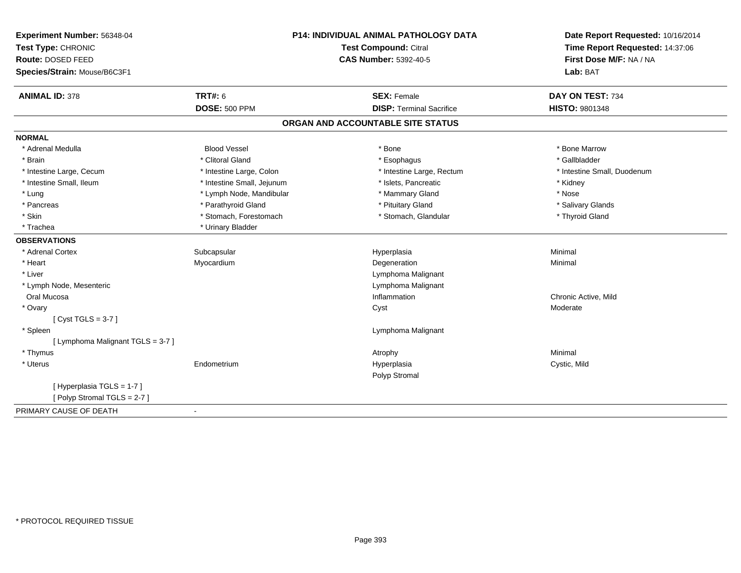| Experiment Number: 56348-04                       |                            | P14: INDIVIDUAL ANIMAL PATHOLOGY DATA | Date Report Requested: 10/16/2014   |  |
|---------------------------------------------------|----------------------------|---------------------------------------|-------------------------------------|--|
| Test Type: CHRONIC                                |                            | <b>Test Compound: Citral</b>          | Time Report Requested: 14:37:06     |  |
| Route: DOSED FEED<br>Species/Strain: Mouse/B6C3F1 |                            | <b>CAS Number: 5392-40-5</b>          | First Dose M/F: NA / NA<br>Lab: BAT |  |
| <b>ANIMAL ID: 378</b>                             | <b>TRT#: 6</b>             | <b>SEX: Female</b>                    | DAY ON TEST: 734                    |  |
|                                                   | <b>DOSE: 500 PPM</b>       | <b>DISP: Terminal Sacrifice</b>       | <b>HISTO: 9801348</b>               |  |
|                                                   |                            | ORGAN AND ACCOUNTABLE SITE STATUS     |                                     |  |
| <b>NORMAL</b>                                     |                            |                                       |                                     |  |
| * Adrenal Medulla                                 | <b>Blood Vessel</b>        | * Bone                                | * Bone Marrow                       |  |
| * Brain                                           | * Clitoral Gland           | * Esophagus                           | * Gallbladder                       |  |
| * Intestine Large, Cecum                          | * Intestine Large, Colon   | * Intestine Large, Rectum             | * Intestine Small, Duodenum         |  |
| * Intestine Small. Ileum                          | * Intestine Small, Jejunum | * Islets, Pancreatic                  | * Kidney                            |  |
| * Lung                                            | * Lymph Node, Mandibular   | * Mammary Gland                       | * Nose                              |  |
| * Pancreas                                        | * Parathyroid Gland        | * Pituitary Gland                     | * Salivary Glands                   |  |
| * Skin                                            | * Stomach, Forestomach     | * Stomach, Glandular                  | * Thyroid Gland                     |  |
| * Trachea                                         | * Urinary Bladder          |                                       |                                     |  |
| <b>OBSERVATIONS</b>                               |                            |                                       |                                     |  |
| * Adrenal Cortex                                  | Subcapsular                | Hyperplasia                           | Minimal                             |  |
| * Heart                                           | Myocardium                 | Degeneration                          | Minimal                             |  |
| * Liver                                           |                            | Lymphoma Malignant                    |                                     |  |
| * Lymph Node, Mesenteric                          |                            | Lymphoma Malignant                    |                                     |  |
| Oral Mucosa                                       |                            | Inflammation                          | Chronic Active, Mild                |  |
| * Ovary                                           |                            | Cyst                                  | Moderate                            |  |
| [Cyst TGLS = $3-7$ ]                              |                            |                                       |                                     |  |
| * Spleen                                          |                            | Lymphoma Malignant                    |                                     |  |
| [ Lymphoma Malignant TGLS = 3-7 ]                 |                            |                                       |                                     |  |
| * Thymus                                          |                            | Atrophy                               | Minimal                             |  |
| * Uterus                                          | Endometrium                | Hyperplasia                           | Cystic, Mild                        |  |
|                                                   |                            | Polyp Stromal                         |                                     |  |
| [ Hyperplasia TGLS = 1-7 ]                        |                            |                                       |                                     |  |
| [Polyp Stromal TGLS = 2-7]                        |                            |                                       |                                     |  |
| PRIMARY CAUSE OF DEATH                            | $\blacksquare$             |                                       |                                     |  |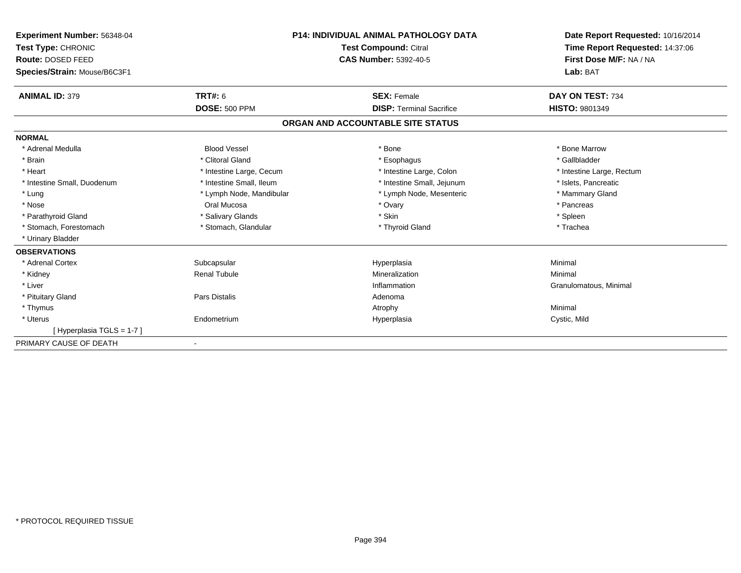| Experiment Number: 56348-04  | <b>P14: INDIVIDUAL ANIMAL PATHOLOGY DATA</b><br><b>Test Compound: Citral</b> |                                   | Date Report Requested: 10/16/2014 |
|------------------------------|------------------------------------------------------------------------------|-----------------------------------|-----------------------------------|
| Test Type: CHRONIC           |                                                                              |                                   | Time Report Requested: 14:37:06   |
| Route: DOSED FEED            |                                                                              | <b>CAS Number: 5392-40-5</b>      | First Dose M/F: NA / NA           |
| Species/Strain: Mouse/B6C3F1 |                                                                              |                                   | Lab: BAT                          |
| <b>ANIMAL ID: 379</b>        | TRT#: 6                                                                      | <b>SEX: Female</b>                | DAY ON TEST: 734                  |
|                              | <b>DOSE: 500 PPM</b>                                                         | <b>DISP: Terminal Sacrifice</b>   | <b>HISTO: 9801349</b>             |
|                              |                                                                              | ORGAN AND ACCOUNTABLE SITE STATUS |                                   |
| <b>NORMAL</b>                |                                                                              |                                   |                                   |
| * Adrenal Medulla            | <b>Blood Vessel</b>                                                          | * Bone                            | * Bone Marrow                     |
| * Brain                      | * Clitoral Gland                                                             | * Esophagus                       | * Gallbladder                     |
| * Heart                      | * Intestine Large, Cecum                                                     | * Intestine Large, Colon          | * Intestine Large, Rectum         |
| * Intestine Small, Duodenum  | * Intestine Small, Ileum                                                     | * Intestine Small, Jejunum        | * Islets, Pancreatic              |
| * Lung                       | * Lymph Node, Mandibular                                                     | * Lymph Node, Mesenteric          | * Mammary Gland                   |
| * Nose                       | Oral Mucosa                                                                  | * Ovary                           | * Pancreas                        |
| * Parathyroid Gland          | * Salivary Glands                                                            | * Skin                            | * Spleen                          |
| * Stomach, Forestomach       | * Stomach, Glandular                                                         | * Thyroid Gland                   | * Trachea                         |
| * Urinary Bladder            |                                                                              |                                   |                                   |
| <b>OBSERVATIONS</b>          |                                                                              |                                   |                                   |
| * Adrenal Cortex             | Subcapsular                                                                  | Hyperplasia                       | Minimal                           |
| * Kidney                     | <b>Renal Tubule</b>                                                          | Mineralization                    | Minimal                           |
| * Liver                      |                                                                              | Inflammation                      | Granulomatous, Minimal            |
| * Pituitary Gland            | Pars Distalis                                                                | Adenoma                           |                                   |
| * Thymus                     |                                                                              | Atrophy                           | Minimal                           |
| * Uterus                     | Endometrium                                                                  | Hyperplasia                       | Cystic, Mild                      |
| [Hyperplasia TGLS = 1-7]     |                                                                              |                                   |                                   |
| PRIMARY CAUSE OF DEATH       |                                                                              |                                   |                                   |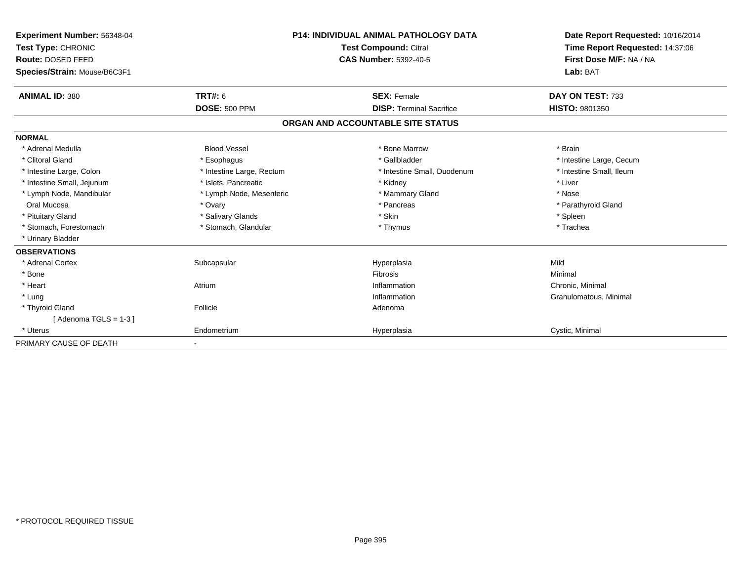| <b>Experiment Number: 56348-04</b><br>Test Type: CHRONIC |                           | <b>P14: INDIVIDUAL ANIMAL PATHOLOGY DATA</b> | Date Report Requested: 10/16/2014<br>Time Report Requested: 14:37:06 |
|----------------------------------------------------------|---------------------------|----------------------------------------------|----------------------------------------------------------------------|
|                                                          |                           | <b>Test Compound: Citral</b>                 |                                                                      |
| Route: DOSED FEED                                        |                           | <b>CAS Number: 5392-40-5</b>                 | First Dose M/F: NA / NA                                              |
| Species/Strain: Mouse/B6C3F1                             |                           |                                              | Lab: BAT                                                             |
| <b>ANIMAL ID: 380</b>                                    | TRT#: 6                   | <b>SEX: Female</b>                           | DAY ON TEST: 733                                                     |
|                                                          | <b>DOSE: 500 PPM</b>      | <b>DISP: Terminal Sacrifice</b>              | <b>HISTO: 9801350</b>                                                |
|                                                          |                           | ORGAN AND ACCOUNTABLE SITE STATUS            |                                                                      |
| <b>NORMAL</b>                                            |                           |                                              |                                                                      |
| * Adrenal Medulla                                        | <b>Blood Vessel</b>       | * Bone Marrow                                | * Brain                                                              |
| * Clitoral Gland                                         | * Esophagus               | * Gallbladder                                | * Intestine Large, Cecum                                             |
| * Intestine Large, Colon                                 | * Intestine Large, Rectum | * Intestine Small, Duodenum                  | * Intestine Small, Ileum                                             |
| * Intestine Small, Jejunum                               | * Islets, Pancreatic      | * Kidney                                     | * Liver                                                              |
| * Lymph Node, Mandibular                                 | * Lymph Node, Mesenteric  | * Mammary Gland                              | * Nose                                                               |
| Oral Mucosa                                              | * Ovary                   | * Pancreas                                   | * Parathyroid Gland                                                  |
| * Pituitary Gland                                        | * Salivary Glands         | * Skin                                       | * Spleen                                                             |
| * Stomach, Forestomach                                   | * Stomach, Glandular      | * Thymus                                     | * Trachea                                                            |
| * Urinary Bladder                                        |                           |                                              |                                                                      |
| <b>OBSERVATIONS</b>                                      |                           |                                              |                                                                      |
| * Adrenal Cortex                                         | Subcapsular               | Hyperplasia                                  | Mild                                                                 |
| * Bone                                                   |                           | Fibrosis                                     | Minimal                                                              |
| * Heart                                                  | Atrium                    | Inflammation                                 | Chronic, Minimal                                                     |
| * Lung                                                   |                           | Inflammation                                 | Granulomatous, Minimal                                               |
| * Thyroid Gland                                          | Follicle                  | Adenoma                                      |                                                                      |
| [Adenoma TGLS = $1-3$ ]                                  |                           |                                              |                                                                      |
| * Uterus                                                 | Endometrium               | Hyperplasia                                  | Cystic, Minimal                                                      |
| PRIMARY CAUSE OF DEATH                                   |                           |                                              |                                                                      |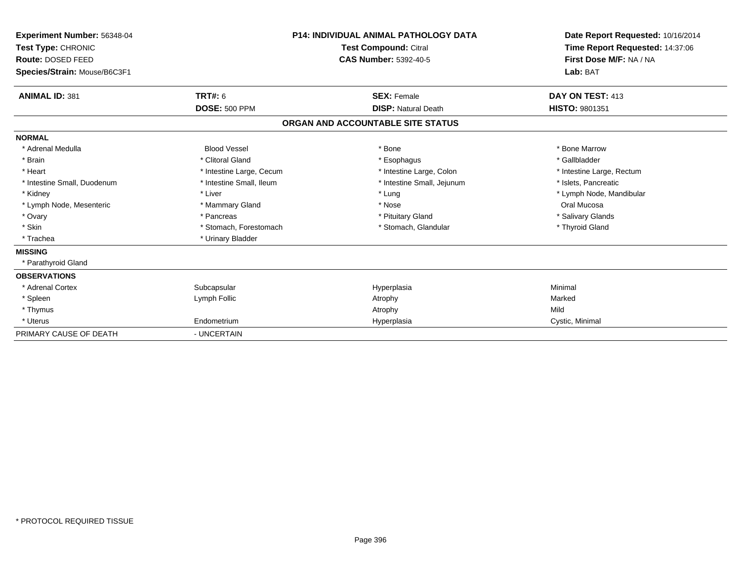| Experiment Number: 56348-04<br>Test Type: CHRONIC<br>Route: DOSED FEED<br>Species/Strain: Mouse/B6C3F1 |                          | <b>P14: INDIVIDUAL ANIMAL PATHOLOGY DATA</b><br>Test Compound: Citral<br><b>CAS Number: 5392-40-5</b> | Date Report Requested: 10/16/2014<br>Time Report Requested: 14:37:06<br>First Dose M/F: NA / NA<br>Lab: BAT |
|--------------------------------------------------------------------------------------------------------|--------------------------|-------------------------------------------------------------------------------------------------------|-------------------------------------------------------------------------------------------------------------|
| <b>ANIMAL ID: 381</b>                                                                                  | TRT#: 6                  | <b>SEX: Female</b>                                                                                    | DAY ON TEST: 413                                                                                            |
|                                                                                                        | <b>DOSE: 500 PPM</b>     | <b>DISP: Natural Death</b>                                                                            | HISTO: 9801351                                                                                              |
|                                                                                                        |                          | ORGAN AND ACCOUNTABLE SITE STATUS                                                                     |                                                                                                             |
| <b>NORMAL</b>                                                                                          |                          |                                                                                                       |                                                                                                             |
| * Adrenal Medulla                                                                                      | <b>Blood Vessel</b>      | * Bone                                                                                                | * Bone Marrow                                                                                               |
| * Brain                                                                                                | * Clitoral Gland         | * Esophagus                                                                                           | * Gallbladder                                                                                               |
| * Heart                                                                                                | * Intestine Large, Cecum | * Intestine Large, Colon                                                                              | * Intestine Large, Rectum                                                                                   |
| * Intestine Small, Duodenum                                                                            | * Intestine Small, Ileum | * Intestine Small, Jejunum                                                                            | * Islets, Pancreatic                                                                                        |
| * Kidney                                                                                               | * Liver                  | * Lung                                                                                                | * Lymph Node, Mandibular                                                                                    |
| * Lymph Node, Mesenteric                                                                               | * Mammary Gland          | * Nose                                                                                                | Oral Mucosa                                                                                                 |
| * Ovary                                                                                                | * Pancreas               | * Pituitary Gland                                                                                     | * Salivary Glands                                                                                           |
| * Skin                                                                                                 | * Stomach, Forestomach   | * Stomach, Glandular                                                                                  | * Thyroid Gland                                                                                             |
| * Trachea                                                                                              | * Urinary Bladder        |                                                                                                       |                                                                                                             |
| <b>MISSING</b>                                                                                         |                          |                                                                                                       |                                                                                                             |
| * Parathyroid Gland                                                                                    |                          |                                                                                                       |                                                                                                             |
| <b>OBSERVATIONS</b>                                                                                    |                          |                                                                                                       |                                                                                                             |
| * Adrenal Cortex                                                                                       | Subcapsular              | Hyperplasia                                                                                           | Minimal                                                                                                     |
| * Spleen                                                                                               | Lymph Follic             | Atrophy                                                                                               | Marked                                                                                                      |
| * Thymus                                                                                               |                          | Atrophy                                                                                               | Mild                                                                                                        |
| * Uterus                                                                                               | Endometrium              | Hyperplasia                                                                                           | Cystic, Minimal                                                                                             |
| PRIMARY CAUSE OF DEATH                                                                                 | - UNCERTAIN              |                                                                                                       |                                                                                                             |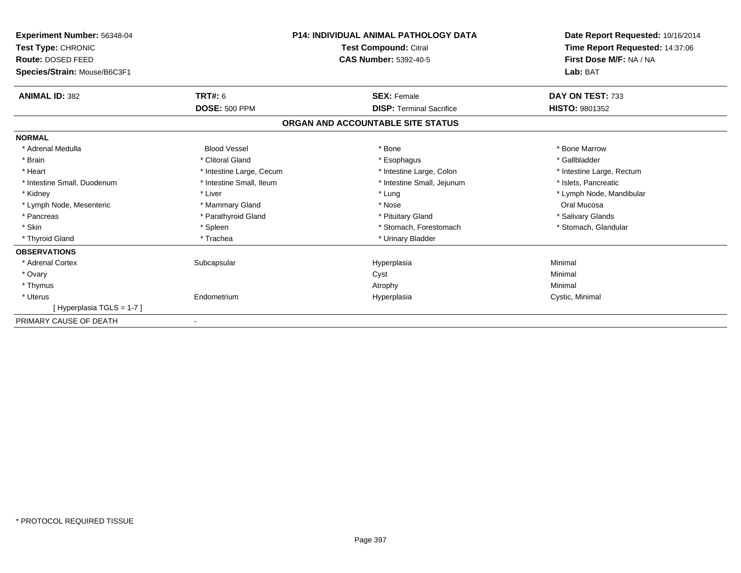| <b>Experiment Number: 56348-04</b><br>Test Type: CHRONIC<br>Route: DOSED FEED<br>Species/Strain: Mouse/B6C3F1 |                          | <b>P14: INDIVIDUAL ANIMAL PATHOLOGY DATA</b><br><b>Test Compound: Citral</b><br><b>CAS Number: 5392-40-5</b> | Date Report Requested: 10/16/2014<br>Time Report Requested: 14:37:06<br>First Dose M/F: NA / NA<br>Lab: BAT |
|---------------------------------------------------------------------------------------------------------------|--------------------------|--------------------------------------------------------------------------------------------------------------|-------------------------------------------------------------------------------------------------------------|
|                                                                                                               |                          |                                                                                                              |                                                                                                             |
| <b>ANIMAL ID: 382</b>                                                                                         | TRT#: 6                  | <b>SEX: Female</b>                                                                                           | DAY ON TEST: 733                                                                                            |
|                                                                                                               | <b>DOSE: 500 PPM</b>     | <b>DISP: Terminal Sacrifice</b>                                                                              | <b>HISTO: 9801352</b>                                                                                       |
|                                                                                                               |                          | ORGAN AND ACCOUNTABLE SITE STATUS                                                                            |                                                                                                             |
| <b>NORMAL</b>                                                                                                 |                          |                                                                                                              |                                                                                                             |
| * Adrenal Medulla                                                                                             | <b>Blood Vessel</b>      | * Bone                                                                                                       | * Bone Marrow                                                                                               |
| * Brain                                                                                                       | * Clitoral Gland         | * Esophagus                                                                                                  | * Gallbladder                                                                                               |
| * Heart                                                                                                       | * Intestine Large, Cecum | * Intestine Large, Colon                                                                                     | * Intestine Large, Rectum                                                                                   |
| * Intestine Small, Duodenum                                                                                   | * Intestine Small, Ileum | * Intestine Small, Jejunum                                                                                   | * Islets, Pancreatic                                                                                        |
| * Kidney                                                                                                      | * Liver                  | * Lung                                                                                                       | * Lymph Node, Mandibular                                                                                    |
| * Lymph Node, Mesenteric                                                                                      | * Mammary Gland          | * Nose                                                                                                       | Oral Mucosa                                                                                                 |
| * Pancreas                                                                                                    | * Parathyroid Gland      | * Pituitary Gland                                                                                            | * Salivary Glands                                                                                           |
| * Skin                                                                                                        | * Spleen                 | * Stomach, Forestomach                                                                                       | * Stomach, Glandular                                                                                        |
| * Thyroid Gland                                                                                               | * Trachea                | * Urinary Bladder                                                                                            |                                                                                                             |
| <b>OBSERVATIONS</b>                                                                                           |                          |                                                                                                              |                                                                                                             |
| * Adrenal Cortex                                                                                              | Subcapsular              | Hyperplasia                                                                                                  | Minimal                                                                                                     |
| * Ovary                                                                                                       |                          | Cyst                                                                                                         | Minimal                                                                                                     |
| * Thymus                                                                                                      |                          | Atrophy                                                                                                      | Minimal                                                                                                     |
| * Uterus                                                                                                      | Endometrium              | Hyperplasia                                                                                                  | Cystic, Minimal                                                                                             |
| [Hyperplasia TGLS = 1-7]                                                                                      |                          |                                                                                                              |                                                                                                             |
| PRIMARY CAUSE OF DEATH                                                                                        |                          |                                                                                                              |                                                                                                             |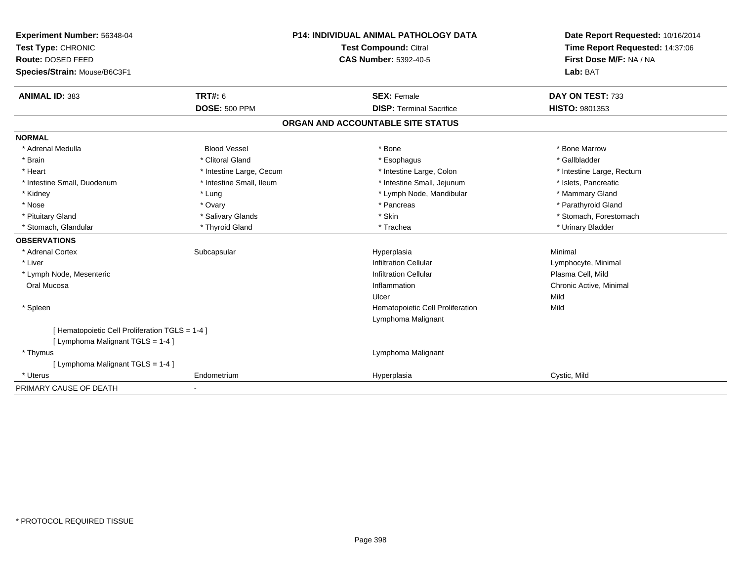| Experiment Number: 56348-04                     |                          | P14: INDIVIDUAL ANIMAL PATHOLOGY DATA | Date Report Requested: 10/16/2014 |  |
|-------------------------------------------------|--------------------------|---------------------------------------|-----------------------------------|--|
| Test Type: CHRONIC                              |                          | <b>Test Compound: Citral</b>          | Time Report Requested: 14:37:06   |  |
| Route: DOSED FEED                               |                          | <b>CAS Number: 5392-40-5</b>          | First Dose M/F: NA / NA           |  |
| Species/Strain: Mouse/B6C3F1                    |                          |                                       | Lab: BAT                          |  |
| <b>ANIMAL ID: 383</b>                           | <b>TRT#: 6</b>           | <b>SEX: Female</b>                    | DAY ON TEST: 733                  |  |
|                                                 | <b>DOSE: 500 PPM</b>     | <b>DISP: Terminal Sacrifice</b>       | <b>HISTO: 9801353</b>             |  |
|                                                 |                          | ORGAN AND ACCOUNTABLE SITE STATUS     |                                   |  |
| <b>NORMAL</b>                                   |                          |                                       |                                   |  |
| * Adrenal Medulla                               | <b>Blood Vessel</b>      | * Bone                                | * Bone Marrow                     |  |
| * Brain                                         | * Clitoral Gland         | * Esophagus                           | * Gallbladder                     |  |
| * Heart                                         | * Intestine Large, Cecum | * Intestine Large, Colon              | * Intestine Large, Rectum         |  |
| * Intestine Small, Duodenum                     | * Intestine Small, Ileum | * Intestine Small, Jejunum            | * Islets. Pancreatic              |  |
| * Kidney                                        | * Lung                   | * Lymph Node, Mandibular              | * Mammary Gland                   |  |
| * Nose                                          | * Ovary                  | * Pancreas                            | * Parathyroid Gland               |  |
| * Pituitary Gland                               | * Salivary Glands        | * Skin                                | * Stomach, Forestomach            |  |
| * Stomach, Glandular                            | * Thyroid Gland          | * Trachea                             | * Urinary Bladder                 |  |
| <b>OBSERVATIONS</b>                             |                          |                                       |                                   |  |
| * Adrenal Cortex                                | Subcapsular              | Hyperplasia                           | Minimal                           |  |
| * Liver                                         |                          | <b>Infiltration Cellular</b>          | Lymphocyte, Minimal               |  |
| * Lymph Node, Mesenteric                        |                          | Infiltration Cellular                 | Plasma Cell, Mild                 |  |
| Oral Mucosa                                     |                          | Inflammation                          | Chronic Active, Minimal           |  |
|                                                 |                          | Ulcer                                 | Mild                              |  |
| * Spleen                                        |                          | Hematopoietic Cell Proliferation      | Mild                              |  |
|                                                 |                          | Lymphoma Malignant                    |                                   |  |
| [ Hematopoietic Cell Proliferation TGLS = 1-4 ] |                          |                                       |                                   |  |
| [ Lymphoma Malignant TGLS = 1-4 ]               |                          |                                       |                                   |  |
| * Thymus                                        |                          | Lymphoma Malignant                    |                                   |  |
| [ Lymphoma Malignant TGLS = 1-4 ]               |                          |                                       |                                   |  |
| * Uterus                                        | Endometrium              | Hyperplasia                           | Cystic, Mild                      |  |
| PRIMARY CAUSE OF DEATH                          | $\blacksquare$           |                                       |                                   |  |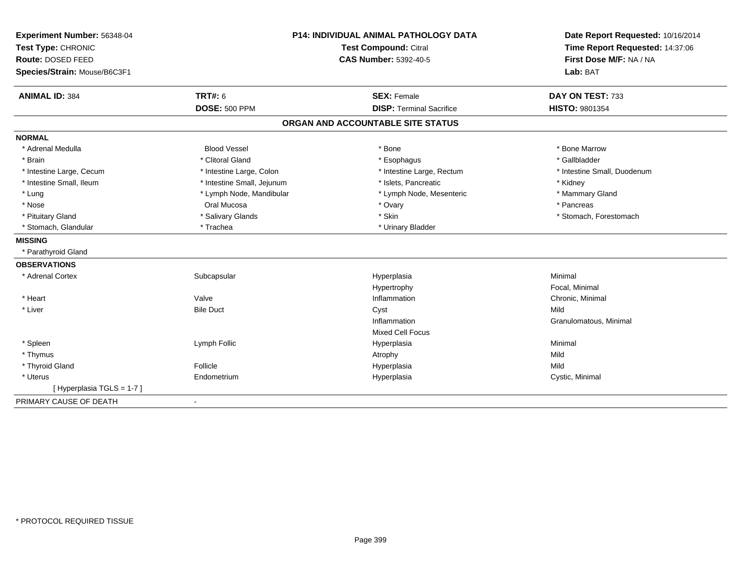| Experiment Number: 56348-04<br>Test Type: CHRONIC<br>Route: DOSED FEED | <b>P14: INDIVIDUAL ANIMAL PATHOLOGY DATA</b><br>Test Compound: Citral<br>CAS Number: 5392-40-5 | Date Report Requested: 10/16/2014<br>Time Report Requested: 14:37:06<br>First Dose M/F: NA / NA |  |
|------------------------------------------------------------------------|------------------------------------------------------------------------------------------------|-------------------------------------------------------------------------------------------------|--|
| Species/Strain: Mouse/B6C3F1                                           |                                                                                                | Lab: BAT                                                                                        |  |
| <b>ANIMAL ID: 384</b><br><b>TRT#: 6</b>                                | <b>SEX: Female</b>                                                                             | DAY ON TEST: 733                                                                                |  |
| <b>DOSE: 500 PPM</b>                                                   | <b>DISP: Terminal Sacrifice</b>                                                                | <b>HISTO: 9801354</b>                                                                           |  |
|                                                                        | ORGAN AND ACCOUNTABLE SITE STATUS                                                              |                                                                                                 |  |
| <b>NORMAL</b>                                                          |                                                                                                |                                                                                                 |  |
| <b>Blood Vessel</b><br>* Adrenal Medulla                               | * Bone                                                                                         | * Bone Marrow                                                                                   |  |
| * Clitoral Gland<br>* Brain                                            | * Esophagus                                                                                    | * Gallbladder                                                                                   |  |
| * Intestine Large, Cecum<br>* Intestine Large, Colon                   | * Intestine Large, Rectum                                                                      | * Intestine Small, Duodenum                                                                     |  |
| * Intestine Small, Ileum<br>* Intestine Small, Jejunum                 | * Islets, Pancreatic                                                                           | * Kidney                                                                                        |  |
| * Lung<br>* Lymph Node, Mandibular                                     | * Lymph Node, Mesenteric                                                                       | * Mammary Gland                                                                                 |  |
| * Nose<br>Oral Mucosa                                                  | * Ovary                                                                                        | * Pancreas                                                                                      |  |
| * Salivary Glands<br>* Pituitary Gland                                 | * Skin                                                                                         | * Stomach, Forestomach                                                                          |  |
| * Stomach, Glandular<br>* Trachea                                      | * Urinary Bladder                                                                              |                                                                                                 |  |
| <b>MISSING</b>                                                         |                                                                                                |                                                                                                 |  |
| * Parathyroid Gland                                                    |                                                                                                |                                                                                                 |  |
| <b>OBSERVATIONS</b>                                                    |                                                                                                |                                                                                                 |  |
| * Adrenal Cortex<br>Subcapsular                                        | Hyperplasia                                                                                    | Minimal                                                                                         |  |
|                                                                        | Hypertrophy                                                                                    | Focal, Minimal                                                                                  |  |
| Valve<br>* Heart                                                       | Inflammation                                                                                   | Chronic, Minimal                                                                                |  |
| * Liver<br><b>Bile Duct</b>                                            | Cyst                                                                                           | Mild                                                                                            |  |
|                                                                        | Inflammation                                                                                   | Granulomatous, Minimal                                                                          |  |
|                                                                        | <b>Mixed Cell Focus</b>                                                                        |                                                                                                 |  |
| * Spleen<br>Lymph Follic                                               | Hyperplasia                                                                                    | Minimal                                                                                         |  |
| * Thymus                                                               | Atrophy                                                                                        | Mild                                                                                            |  |
| Follicle<br>* Thyroid Gland                                            | Hyperplasia                                                                                    | Mild                                                                                            |  |
| * Uterus<br>Endometrium                                                | Hyperplasia                                                                                    | Cystic, Minimal                                                                                 |  |
| [Hyperplasia TGLS = 1-7]                                               |                                                                                                |                                                                                                 |  |
| PRIMARY CAUSE OF DEATH                                                 |                                                                                                |                                                                                                 |  |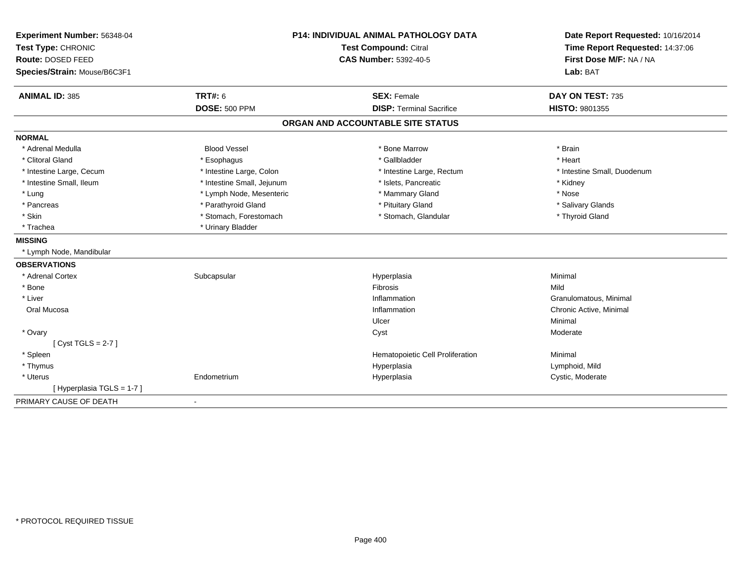| Experiment Number: 56348-04  | <b>P14: INDIVIDUAL ANIMAL PATHOLOGY DATA</b><br>Test Compound: Citral |                                   | Date Report Requested: 10/16/2014 |
|------------------------------|-----------------------------------------------------------------------|-----------------------------------|-----------------------------------|
| Test Type: CHRONIC           |                                                                       |                                   | Time Report Requested: 14:37:06   |
| Route: DOSED FEED            |                                                                       | <b>CAS Number: 5392-40-5</b>      |                                   |
| Species/Strain: Mouse/B6C3F1 |                                                                       |                                   | Lab: BAT                          |
| <b>ANIMAL ID: 385</b>        | <b>TRT#: 6</b>                                                        | <b>SEX: Female</b>                | DAY ON TEST: 735                  |
|                              | <b>DOSE: 500 PPM</b>                                                  | <b>DISP: Terminal Sacrifice</b>   | <b>HISTO: 9801355</b>             |
|                              |                                                                       | ORGAN AND ACCOUNTABLE SITE STATUS |                                   |
| <b>NORMAL</b>                |                                                                       |                                   |                                   |
| * Adrenal Medulla            | <b>Blood Vessel</b>                                                   | * Bone Marrow                     | * Brain                           |
| * Clitoral Gland             | * Esophagus                                                           | * Gallbladder                     | * Heart                           |
| * Intestine Large, Cecum     | * Intestine Large, Colon                                              | * Intestine Large, Rectum         | * Intestine Small, Duodenum       |
| * Intestine Small, Ileum     | * Intestine Small, Jejunum                                            | * Islets, Pancreatic              | * Kidney                          |
| * Lung                       | * Lymph Node, Mesenteric                                              | * Mammary Gland                   | * Nose                            |
| * Pancreas                   | * Parathyroid Gland                                                   | * Pituitary Gland                 | * Salivary Glands                 |
| * Skin                       | * Stomach, Forestomach                                                | * Stomach, Glandular              | * Thyroid Gland                   |
| * Trachea                    | * Urinary Bladder                                                     |                                   |                                   |
| <b>MISSING</b>               |                                                                       |                                   |                                   |
| * Lymph Node, Mandibular     |                                                                       |                                   |                                   |
| <b>OBSERVATIONS</b>          |                                                                       |                                   |                                   |
| * Adrenal Cortex             | Subcapsular                                                           | Hyperplasia                       | Minimal                           |
| * Bone                       |                                                                       | Fibrosis                          | Mild                              |
| * Liver                      |                                                                       | Inflammation                      | Granulomatous, Minimal            |
| Oral Mucosa                  |                                                                       | Inflammation                      | Chronic Active, Minimal           |
|                              |                                                                       | Ulcer                             | Minimal                           |
| * Ovary                      |                                                                       | Cyst                              | Moderate                          |
| [Cyst TGLS = 2-7]            |                                                                       |                                   |                                   |
| * Spleen                     |                                                                       | Hematopoietic Cell Proliferation  | Minimal                           |
| * Thymus                     |                                                                       | Hyperplasia                       | Lymphoid, Mild                    |
| * Uterus                     | Endometrium                                                           | Hyperplasia                       | Cystic, Moderate                  |
| [ Hyperplasia TGLS = 1-7 ]   |                                                                       |                                   |                                   |
| PRIMARY CAUSE OF DEATH       | $\blacksquare$                                                        |                                   |                                   |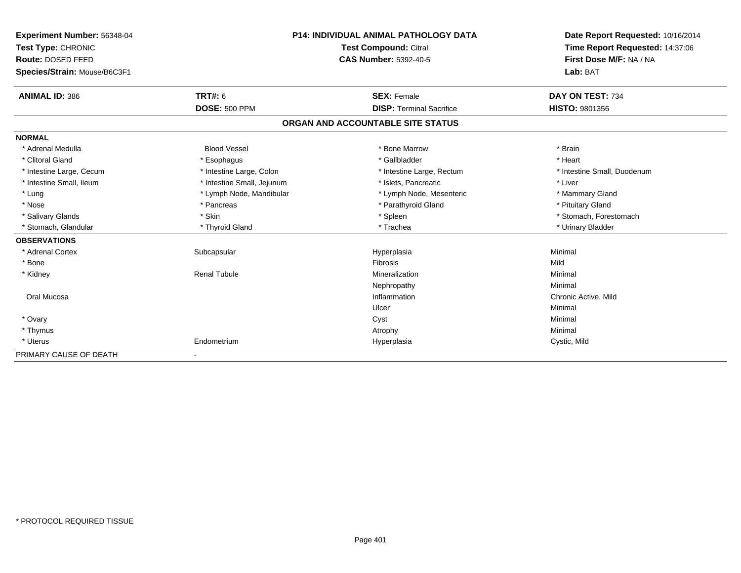| Experiment Number: 56348-04  |                            | <b>P14: INDIVIDUAL ANIMAL PATHOLOGY DATA</b> |                                 |
|------------------------------|----------------------------|----------------------------------------------|---------------------------------|
| Test Type: CHRONIC           | Test Compound: Citral      |                                              | Time Report Requested: 14:37:06 |
| Route: DOSED FEED            |                            | <b>CAS Number: 5392-40-5</b>                 | First Dose M/F: NA / NA         |
| Species/Strain: Mouse/B6C3F1 |                            |                                              | Lab: BAT                        |
| <b>ANIMAL ID: 386</b>        | <b>TRT#: 6</b>             | <b>SEX: Female</b>                           | DAY ON TEST: 734                |
|                              | <b>DOSE: 500 PPM</b>       | <b>DISP: Terminal Sacrifice</b>              | <b>HISTO: 9801356</b>           |
|                              |                            | ORGAN AND ACCOUNTABLE SITE STATUS            |                                 |
| <b>NORMAL</b>                |                            |                                              |                                 |
| * Adrenal Medulla            | <b>Blood Vessel</b>        | * Bone Marrow                                | * Brain                         |
| * Clitoral Gland             | * Esophagus                | * Gallbladder                                | * Heart                         |
| * Intestine Large, Cecum     | * Intestine Large, Colon   | * Intestine Large, Rectum                    | * Intestine Small, Duodenum     |
| * Intestine Small, Ileum     | * Intestine Small, Jejunum | * Islets. Pancreatic                         | * Liver                         |
| * Lung                       | * Lymph Node, Mandibular   | * Lymph Node, Mesenteric                     | * Mammary Gland                 |
| * Nose                       | * Pancreas                 | * Parathyroid Gland                          | * Pituitary Gland               |
| * Salivary Glands            | * Skin                     | * Spleen                                     | * Stomach, Forestomach          |
| * Stomach, Glandular         | * Thyroid Gland            | * Trachea                                    | * Urinary Bladder               |
| <b>OBSERVATIONS</b>          |                            |                                              |                                 |
| * Adrenal Cortex             | Subcapsular                | Hyperplasia                                  | Minimal                         |
| * Bone                       |                            | Fibrosis                                     | Mild                            |
| * Kidney                     | <b>Renal Tubule</b>        | Mineralization                               | Minimal                         |
|                              |                            | Nephropathy                                  | Minimal                         |
| Oral Mucosa                  |                            | Inflammation                                 | Chronic Active, Mild            |
|                              |                            | Ulcer                                        | Minimal                         |
| * Ovary                      |                            | Cyst                                         | Minimal                         |
| * Thymus                     |                            | Atrophy                                      | Minimal                         |
| * Uterus                     | Endometrium                | Hyperplasia                                  | Cystic, Mild                    |
| PRIMARY CAUSE OF DEATH       | $\blacksquare$             |                                              |                                 |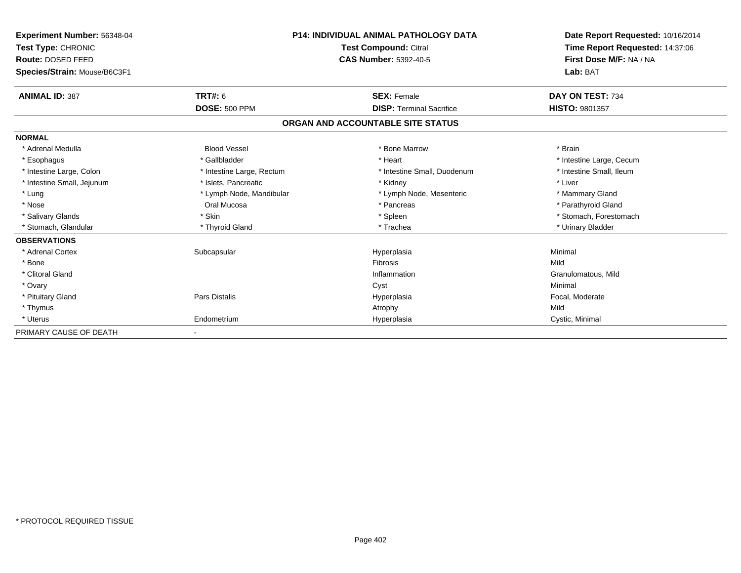| Experiment Number: 56348-04<br>Test Type: CHRONIC<br>Route: DOSED FEED<br>Species/Strain: Mouse/B6C3F1 |                           | <b>P14: INDIVIDUAL ANIMAL PATHOLOGY DATA</b><br><b>Test Compound: Citral</b><br><b>CAS Number: 5392-40-5</b> | Date Report Requested: 10/16/2014<br>Time Report Requested: 14:37:06<br>First Dose M/F: NA / NA<br>Lab: BAT |
|--------------------------------------------------------------------------------------------------------|---------------------------|--------------------------------------------------------------------------------------------------------------|-------------------------------------------------------------------------------------------------------------|
| <b>ANIMAL ID: 387</b>                                                                                  | <b>TRT#: 6</b>            | <b>SEX: Female</b>                                                                                           | DAY ON TEST: 734                                                                                            |
|                                                                                                        | <b>DOSE: 500 PPM</b>      | <b>DISP: Terminal Sacrifice</b>                                                                              | HISTO: 9801357                                                                                              |
|                                                                                                        |                           | ORGAN AND ACCOUNTABLE SITE STATUS                                                                            |                                                                                                             |
| <b>NORMAL</b>                                                                                          |                           |                                                                                                              |                                                                                                             |
| * Adrenal Medulla                                                                                      | <b>Blood Vessel</b>       | * Bone Marrow                                                                                                | * Brain                                                                                                     |
| * Esophagus                                                                                            | * Gallbladder             | * Heart                                                                                                      | * Intestine Large, Cecum                                                                                    |
| * Intestine Large, Colon                                                                               | * Intestine Large, Rectum | * Intestine Small, Duodenum                                                                                  | * Intestine Small, Ileum                                                                                    |
| * Intestine Small, Jejunum                                                                             | * Islets, Pancreatic      | * Kidney                                                                                                     | * Liver                                                                                                     |
| * Lung                                                                                                 | * Lymph Node, Mandibular  | * Lymph Node, Mesenteric                                                                                     | * Mammary Gland                                                                                             |
| * Nose                                                                                                 | Oral Mucosa               | * Pancreas                                                                                                   | * Parathyroid Gland                                                                                         |
| * Salivary Glands                                                                                      | * Skin                    | * Spleen                                                                                                     | * Stomach, Forestomach                                                                                      |
| * Stomach, Glandular                                                                                   | * Thyroid Gland           | * Trachea                                                                                                    | * Urinary Bladder                                                                                           |
| <b>OBSERVATIONS</b>                                                                                    |                           |                                                                                                              |                                                                                                             |
| * Adrenal Cortex                                                                                       | Subcapsular               | Hyperplasia                                                                                                  | Minimal                                                                                                     |
| * Bone                                                                                                 |                           | <b>Fibrosis</b>                                                                                              | Mild                                                                                                        |
| * Clitoral Gland                                                                                       |                           | Inflammation                                                                                                 | Granulomatous, Mild                                                                                         |
| * Ovary                                                                                                |                           | Cyst                                                                                                         | Minimal                                                                                                     |
| * Pituitary Gland                                                                                      | Pars Distalis             | Hyperplasia                                                                                                  | Focal, Moderate                                                                                             |
| * Thymus                                                                                               |                           | Atrophy                                                                                                      | Mild                                                                                                        |
| * Uterus                                                                                               | Endometrium               | Hyperplasia                                                                                                  | Cystic, Minimal                                                                                             |
| PRIMARY CAUSE OF DEATH                                                                                 |                           |                                                                                                              |                                                                                                             |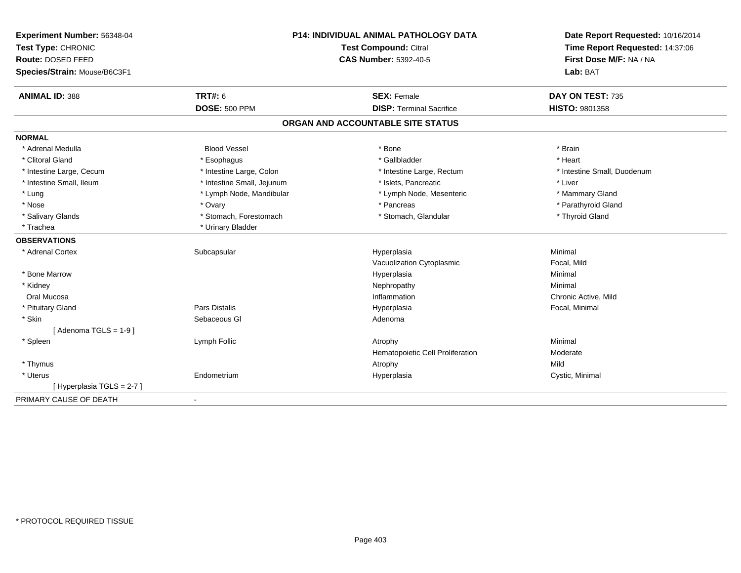| Experiment Number: 56348-04  | <b>P14: INDIVIDUAL ANIMAL PATHOLOGY DATA</b><br>Test Compound: Citral |                                   | Date Report Requested: 10/16/2014 |  |
|------------------------------|-----------------------------------------------------------------------|-----------------------------------|-----------------------------------|--|
| Test Type: CHRONIC           |                                                                       |                                   | Time Report Requested: 14:37:06   |  |
| Route: DOSED FEED            |                                                                       | <b>CAS Number: 5392-40-5</b>      | First Dose M/F: NA / NA           |  |
| Species/Strain: Mouse/B6C3F1 |                                                                       |                                   | Lab: BAT                          |  |
| <b>ANIMAL ID: 388</b>        | <b>TRT#: 6</b>                                                        | <b>SEX: Female</b>                | DAY ON TEST: 735                  |  |
|                              | <b>DOSE: 500 PPM</b>                                                  | <b>DISP: Terminal Sacrifice</b>   | HISTO: 9801358                    |  |
|                              |                                                                       | ORGAN AND ACCOUNTABLE SITE STATUS |                                   |  |
| <b>NORMAL</b>                |                                                                       |                                   |                                   |  |
| * Adrenal Medulla            | <b>Blood Vessel</b>                                                   | * Bone                            | * Brain                           |  |
| * Clitoral Gland             | * Esophagus                                                           | * Gallbladder                     | * Heart                           |  |
| * Intestine Large, Cecum     | * Intestine Large, Colon                                              | * Intestine Large, Rectum         | * Intestine Small, Duodenum       |  |
| * Intestine Small, Ileum     | * Intestine Small, Jejunum                                            | * Islets, Pancreatic              | * Liver                           |  |
| * Lung                       | * Lymph Node, Mandibular                                              | * Lymph Node, Mesenteric          | * Mammary Gland                   |  |
| * Nose                       | * Ovary                                                               | * Pancreas                        | * Parathyroid Gland               |  |
| * Salivary Glands            | * Stomach, Forestomach                                                | * Stomach, Glandular              | * Thyroid Gland                   |  |
| * Trachea                    | * Urinary Bladder                                                     |                                   |                                   |  |
| <b>OBSERVATIONS</b>          |                                                                       |                                   |                                   |  |
| * Adrenal Cortex             | Subcapsular                                                           | Hyperplasia                       | Minimal                           |  |
|                              |                                                                       | Vacuolization Cytoplasmic         | Focal, Mild                       |  |
| * Bone Marrow                |                                                                       | Hyperplasia                       | Minimal                           |  |
| * Kidney                     |                                                                       | Nephropathy                       | Minimal                           |  |
| Oral Mucosa                  |                                                                       | Inflammation                      | Chronic Active, Mild              |  |
| * Pituitary Gland            | Pars Distalis                                                         | Hyperplasia                       | Focal, Minimal                    |  |
| * Skin                       | Sebaceous GI                                                          | Adenoma                           |                                   |  |
| [Adenoma TGLS = 1-9]         |                                                                       |                                   |                                   |  |
| * Spleen                     | Lymph Follic                                                          | Atrophy                           | Minimal                           |  |
|                              |                                                                       | Hematopoietic Cell Proliferation  | Moderate                          |  |
| * Thymus                     |                                                                       | Atrophy                           | Mild                              |  |
| * Uterus                     | Endometrium                                                           | Hyperplasia                       | Cystic, Minimal                   |  |
| [Hyperplasia TGLS = 2-7]     |                                                                       |                                   |                                   |  |
| PRIMARY CAUSE OF DEATH       | $\blacksquare$                                                        |                                   |                                   |  |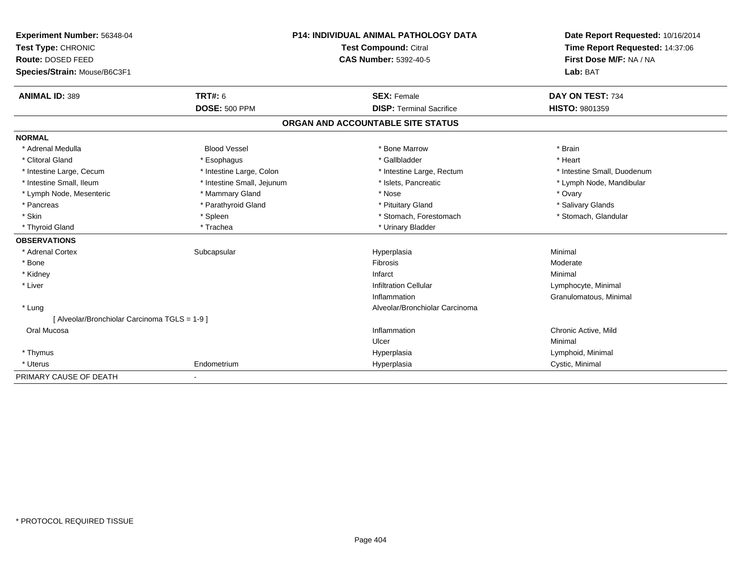| <b>Experiment Number: 56348-04</b>            | <b>P14: INDIVIDUAL ANIMAL PATHOLOGY DATA</b> |                                   | Date Report Requested: 10/16/2014                          |  |
|-----------------------------------------------|----------------------------------------------|-----------------------------------|------------------------------------------------------------|--|
| Test Type: CHRONIC                            |                                              | Test Compound: Citral             | Time Report Requested: 14:37:06<br>First Dose M/F: NA / NA |  |
| Route: DOSED FEED                             |                                              | <b>CAS Number: 5392-40-5</b>      |                                                            |  |
| Species/Strain: Mouse/B6C3F1                  |                                              |                                   | Lab: BAT                                                   |  |
| <b>ANIMAL ID: 389</b>                         | <b>TRT#: 6</b>                               | <b>SEX: Female</b>                | DAY ON TEST: 734                                           |  |
|                                               | <b>DOSE: 500 PPM</b>                         | <b>DISP: Terminal Sacrifice</b>   | <b>HISTO: 9801359</b>                                      |  |
|                                               |                                              | ORGAN AND ACCOUNTABLE SITE STATUS |                                                            |  |
| <b>NORMAL</b>                                 |                                              |                                   |                                                            |  |
| * Adrenal Medulla                             | <b>Blood Vessel</b>                          | * Bone Marrow                     | * Brain                                                    |  |
| * Clitoral Gland                              | * Esophagus                                  | * Gallbladder                     | * Heart                                                    |  |
| * Intestine Large, Cecum                      | * Intestine Large, Colon                     | * Intestine Large, Rectum         | * Intestine Small, Duodenum                                |  |
| * Intestine Small, Ileum                      | * Intestine Small, Jejunum                   | * Islets, Pancreatic              | * Lymph Node, Mandibular                                   |  |
| * Lymph Node, Mesenteric                      | * Mammary Gland                              | * Nose                            | * Ovary                                                    |  |
| * Pancreas                                    | * Parathyroid Gland                          | * Pituitary Gland                 | * Salivary Glands                                          |  |
| * Skin                                        | * Spleen                                     | * Stomach, Forestomach            | * Stomach, Glandular                                       |  |
| * Thyroid Gland                               | * Trachea                                    | * Urinary Bladder                 |                                                            |  |
| <b>OBSERVATIONS</b>                           |                                              |                                   |                                                            |  |
| * Adrenal Cortex                              | Subcapsular                                  | Hyperplasia                       | Minimal                                                    |  |
| * Bone                                        |                                              | <b>Fibrosis</b>                   | Moderate                                                   |  |
| * Kidney                                      |                                              | Infarct                           | Minimal                                                    |  |
| * Liver                                       |                                              | <b>Infiltration Cellular</b>      | Lymphocyte, Minimal                                        |  |
|                                               |                                              | Inflammation                      | Granulomatous, Minimal                                     |  |
| * Lung                                        |                                              | Alveolar/Bronchiolar Carcinoma    |                                                            |  |
| [ Alveolar/Bronchiolar Carcinoma TGLS = 1-9 ] |                                              |                                   |                                                            |  |
| Oral Mucosa                                   |                                              | Inflammation                      | Chronic Active, Mild                                       |  |
|                                               |                                              | Ulcer                             | Minimal                                                    |  |
| * Thymus                                      |                                              | Hyperplasia                       | Lymphoid, Minimal                                          |  |
| * Uterus                                      | Endometrium                                  | Hyperplasia                       | Cystic, Minimal                                            |  |
| PRIMARY CAUSE OF DEATH                        |                                              |                                   |                                                            |  |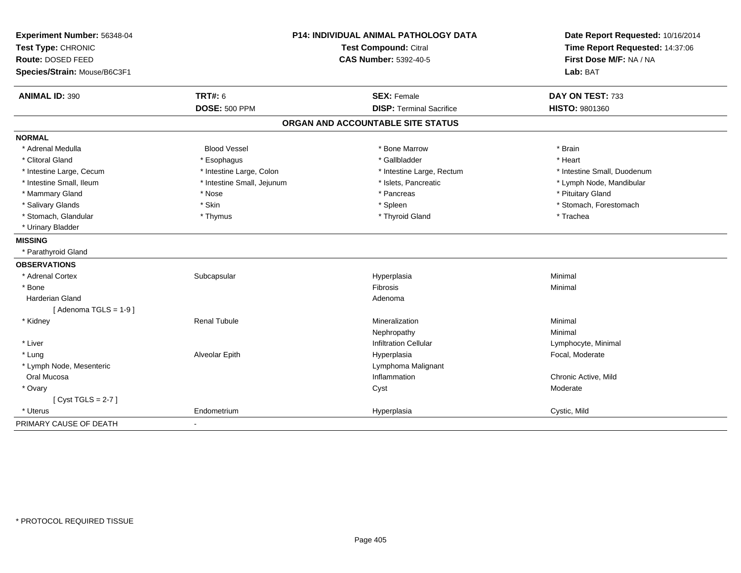| Experiment Number: 56348-04  | <b>P14: INDIVIDUAL ANIMAL PATHOLOGY DATA</b><br>Test Compound: Citral |                                   | Date Report Requested: 10/16/2014 |
|------------------------------|-----------------------------------------------------------------------|-----------------------------------|-----------------------------------|
| Test Type: CHRONIC           |                                                                       |                                   | Time Report Requested: 14:37:06   |
| Route: DOSED FEED            |                                                                       | <b>CAS Number: 5392-40-5</b>      | First Dose M/F: NA / NA           |
| Species/Strain: Mouse/B6C3F1 |                                                                       |                                   | Lab: BAT                          |
| <b>ANIMAL ID: 390</b>        | <b>TRT#: 6</b>                                                        | <b>SEX: Female</b>                | DAY ON TEST: 733                  |
|                              | <b>DOSE: 500 PPM</b>                                                  | <b>DISP: Terminal Sacrifice</b>   | <b>HISTO: 9801360</b>             |
|                              |                                                                       | ORGAN AND ACCOUNTABLE SITE STATUS |                                   |
| <b>NORMAL</b>                |                                                                       |                                   |                                   |
| * Adrenal Medulla            | <b>Blood Vessel</b>                                                   | * Bone Marrow                     | * Brain                           |
| * Clitoral Gland             | * Esophagus                                                           | * Gallbladder                     | * Heart                           |
| * Intestine Large, Cecum     | * Intestine Large, Colon                                              | * Intestine Large, Rectum         | * Intestine Small, Duodenum       |
| * Intestine Small, Ileum     | * Intestine Small, Jejunum                                            | * Islets, Pancreatic              | * Lymph Node, Mandibular          |
| * Mammary Gland              | * Nose                                                                | * Pancreas                        | * Pituitary Gland                 |
| * Salivary Glands            | * Skin                                                                | * Spleen                          | * Stomach, Forestomach            |
| * Stomach, Glandular         | * Thymus                                                              | * Thyroid Gland                   | * Trachea                         |
| * Urinary Bladder            |                                                                       |                                   |                                   |
| <b>MISSING</b>               |                                                                       |                                   |                                   |
| * Parathyroid Gland          |                                                                       |                                   |                                   |
| <b>OBSERVATIONS</b>          |                                                                       |                                   |                                   |
| * Adrenal Cortex             | Subcapsular                                                           | Hyperplasia                       | Minimal                           |
| * Bone                       |                                                                       | Fibrosis                          | Minimal                           |
| <b>Harderian Gland</b>       |                                                                       | Adenoma                           |                                   |
| [Adenoma TGLS = $1-9$ ]      |                                                                       |                                   |                                   |
| * Kidney                     | <b>Renal Tubule</b>                                                   | Mineralization                    | Minimal                           |
|                              |                                                                       | Nephropathy                       | Minimal                           |
| * Liver                      |                                                                       | <b>Infiltration Cellular</b>      | Lymphocyte, Minimal               |
| * Lung                       | Alveolar Epith                                                        | Hyperplasia                       | Focal, Moderate                   |
| * Lymph Node, Mesenteric     |                                                                       | Lymphoma Malignant                |                                   |
| Oral Mucosa                  |                                                                       | Inflammation                      | Chronic Active, Mild              |
| * Ovary                      |                                                                       | Cyst                              | Moderate                          |
| [Cyst TGLS = $2-7$ ]         |                                                                       |                                   |                                   |
| * Uterus                     | Endometrium                                                           | Hyperplasia                       | Cystic, Mild                      |
| PRIMARY CAUSE OF DEATH       | $\sim$                                                                |                                   |                                   |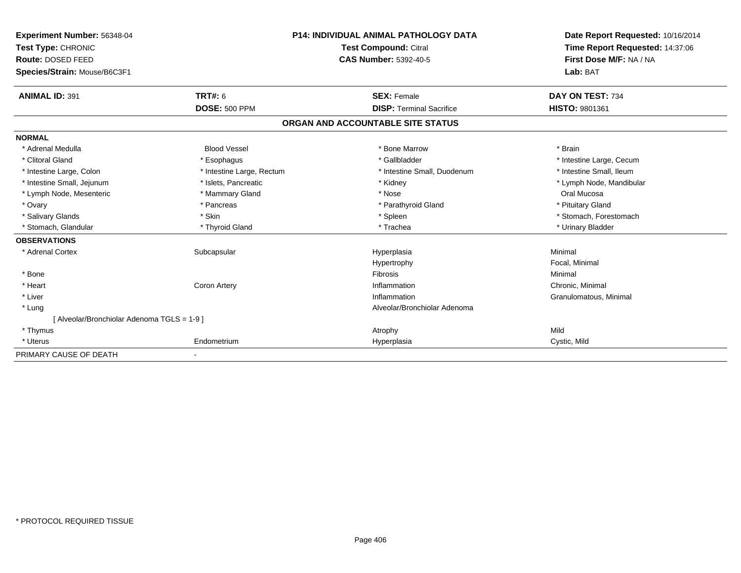| Experiment Number: 56348-04<br>Test Type: CHRONIC |                           | <b>P14: INDIVIDUAL ANIMAL PATHOLOGY DATA</b> | Date Report Requested: 10/16/2014<br>Time Report Requested: 14:37:06 |
|---------------------------------------------------|---------------------------|----------------------------------------------|----------------------------------------------------------------------|
|                                                   |                           | <b>Test Compound: Citral</b>                 |                                                                      |
| Route: DOSED FEED                                 |                           | <b>CAS Number: 5392-40-5</b>                 | First Dose M/F: NA / NA                                              |
| Species/Strain: Mouse/B6C3F1                      |                           |                                              | Lab: BAT                                                             |
| <b>ANIMAL ID: 391</b>                             | <b>TRT#: 6</b>            | <b>SEX: Female</b>                           | DAY ON TEST: 734                                                     |
|                                                   | <b>DOSE: 500 PPM</b>      | <b>DISP: Terminal Sacrifice</b>              | HISTO: 9801361                                                       |
|                                                   |                           | ORGAN AND ACCOUNTABLE SITE STATUS            |                                                                      |
| <b>NORMAL</b>                                     |                           |                                              |                                                                      |
| * Adrenal Medulla                                 | <b>Blood Vessel</b>       | * Bone Marrow                                | * Brain                                                              |
| * Clitoral Gland                                  | * Esophagus               | * Gallbladder                                | * Intestine Large, Cecum                                             |
| * Intestine Large, Colon                          | * Intestine Large, Rectum | * Intestine Small, Duodenum                  | * Intestine Small, Ileum                                             |
| * Intestine Small, Jejunum                        | * Islets, Pancreatic      | * Kidney                                     | * Lymph Node, Mandibular                                             |
| * Lymph Node, Mesenteric                          | * Mammary Gland           | * Nose                                       | Oral Mucosa                                                          |
| * Ovary                                           | * Pancreas                | * Parathyroid Gland                          | * Pituitary Gland                                                    |
| * Salivary Glands                                 | * Skin                    | * Spleen                                     | * Stomach, Forestomach                                               |
| * Stomach, Glandular                              | * Thyroid Gland           | * Trachea                                    | * Urinary Bladder                                                    |
| <b>OBSERVATIONS</b>                               |                           |                                              |                                                                      |
| * Adrenal Cortex                                  | Subcapsular               | Hyperplasia                                  | Minimal                                                              |
|                                                   |                           | Hypertrophy                                  | Focal, Minimal                                                       |
| * Bone                                            |                           | Fibrosis                                     | Minimal                                                              |
| * Heart                                           | Coron Artery              | Inflammation                                 | Chronic, Minimal                                                     |
| * Liver                                           |                           | Inflammation                                 | Granulomatous, Minimal                                               |
| * Lung                                            |                           | Alveolar/Bronchiolar Adenoma                 |                                                                      |
| [ Alveolar/Bronchiolar Adenoma TGLS = 1-9 ]       |                           |                                              |                                                                      |
| * Thymus                                          |                           | Atrophy                                      | Mild                                                                 |
| * Uterus                                          | Endometrium               | Hyperplasia                                  | Cystic, Mild                                                         |
| PRIMARY CAUSE OF DEATH                            |                           |                                              |                                                                      |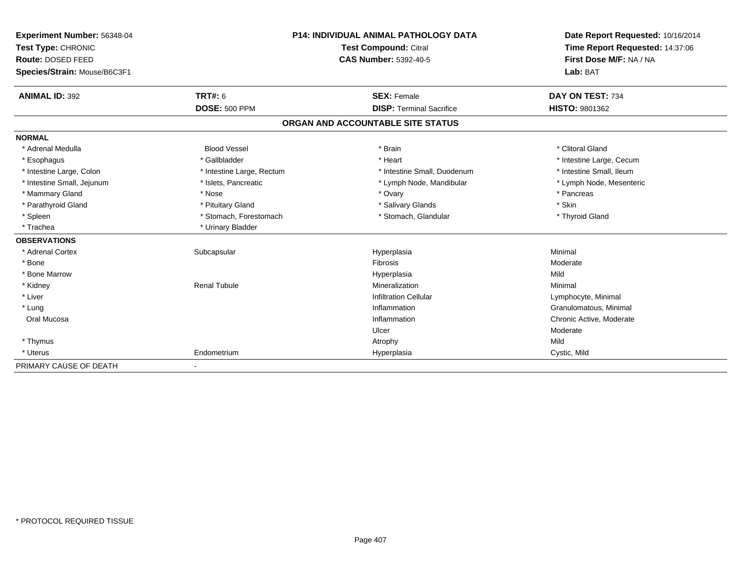| Experiment Number: 56348-04  | <b>P14: INDIVIDUAL ANIMAL PATHOLOGY DATA</b><br>Test Compound: Citral |                                   | Date Report Requested: 10/16/2014 |  |
|------------------------------|-----------------------------------------------------------------------|-----------------------------------|-----------------------------------|--|
| Test Type: CHRONIC           |                                                                       |                                   | Time Report Requested: 14:37:06   |  |
| Route: DOSED FEED            |                                                                       | <b>CAS Number: 5392-40-5</b>      | First Dose M/F: NA / NA           |  |
| Species/Strain: Mouse/B6C3F1 |                                                                       |                                   | Lab: BAT                          |  |
| <b>ANIMAL ID: 392</b>        | <b>TRT#: 6</b>                                                        | <b>SEX: Female</b>                | DAY ON TEST: 734                  |  |
|                              | <b>DOSE: 500 PPM</b>                                                  | <b>DISP: Terminal Sacrifice</b>   | HISTO: 9801362                    |  |
|                              |                                                                       | ORGAN AND ACCOUNTABLE SITE STATUS |                                   |  |
| <b>NORMAL</b>                |                                                                       |                                   |                                   |  |
| * Adrenal Medulla            | <b>Blood Vessel</b>                                                   | * Brain                           | * Clitoral Gland                  |  |
| * Esophagus                  | * Gallbladder                                                         | * Heart                           | * Intestine Large, Cecum          |  |
| * Intestine Large, Colon     | * Intestine Large, Rectum                                             | * Intestine Small, Duodenum       | * Intestine Small, Ileum          |  |
| * Intestine Small, Jejunum   | * Islets, Pancreatic                                                  | * Lymph Node, Mandibular          | * Lymph Node, Mesenteric          |  |
| * Mammary Gland              | * Nose                                                                | * Ovary                           | * Pancreas                        |  |
| * Parathyroid Gland          | * Pituitary Gland                                                     | * Salivary Glands                 | * Skin                            |  |
| * Spleen                     | * Stomach, Forestomach                                                | * Stomach, Glandular              | * Thyroid Gland                   |  |
| * Trachea                    | * Urinary Bladder                                                     |                                   |                                   |  |
| <b>OBSERVATIONS</b>          |                                                                       |                                   |                                   |  |
| * Adrenal Cortex             | Subcapsular                                                           | Hyperplasia                       | Minimal                           |  |
| * Bone                       |                                                                       | Fibrosis                          | Moderate                          |  |
| * Bone Marrow                |                                                                       | Hyperplasia                       | Mild                              |  |
| * Kidney                     | <b>Renal Tubule</b>                                                   | Mineralization                    | Minimal                           |  |
| * Liver                      |                                                                       | <b>Infiltration Cellular</b>      | Lymphocyte, Minimal               |  |
| * Lung                       |                                                                       | Inflammation                      | Granulomatous, Minimal            |  |
| Oral Mucosa                  |                                                                       | Inflammation                      | Chronic Active, Moderate          |  |
|                              |                                                                       | Ulcer                             | Moderate                          |  |
| * Thymus                     |                                                                       | Atrophy                           | Mild                              |  |
| * Uterus                     | Endometrium                                                           | Hyperplasia                       | Cystic, Mild                      |  |
| PRIMARY CAUSE OF DEATH       |                                                                       |                                   |                                   |  |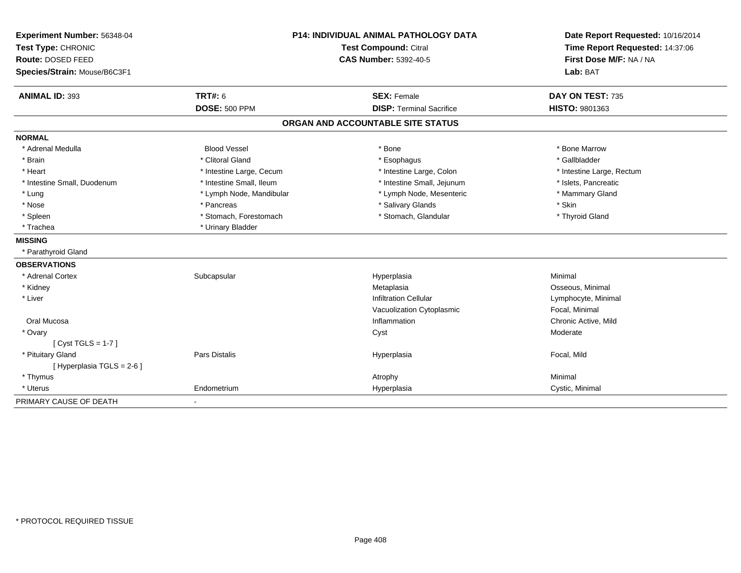| Experiment Number: 56348-04<br>Test Type: CHRONIC<br>Route: DOSED FEED |                          | P14: INDIVIDUAL ANIMAL PATHOLOGY DATA<br><b>Test Compound: Citral</b><br><b>CAS Number: 5392-40-5</b> | Date Report Requested: 10/16/2014<br>Time Report Requested: 14:37:06<br>First Dose M/F: NA / NA |
|------------------------------------------------------------------------|--------------------------|-------------------------------------------------------------------------------------------------------|-------------------------------------------------------------------------------------------------|
| Species/Strain: Mouse/B6C3F1                                           |                          |                                                                                                       | Lab: BAT                                                                                        |
| <b>ANIMAL ID: 393</b>                                                  | TRT#: 6                  | <b>SEX: Female</b>                                                                                    | DAY ON TEST: 735                                                                                |
|                                                                        | <b>DOSE: 500 PPM</b>     | <b>DISP: Terminal Sacrifice</b>                                                                       | HISTO: 9801363                                                                                  |
|                                                                        |                          | ORGAN AND ACCOUNTABLE SITE STATUS                                                                     |                                                                                                 |
| <b>NORMAL</b>                                                          |                          |                                                                                                       |                                                                                                 |
| * Adrenal Medulla                                                      | <b>Blood Vessel</b>      | * Bone                                                                                                | * Bone Marrow                                                                                   |
| * Brain                                                                | * Clitoral Gland         | * Esophagus                                                                                           | * Gallbladder                                                                                   |
| * Heart                                                                | * Intestine Large, Cecum | * Intestine Large, Colon                                                                              | * Intestine Large, Rectum                                                                       |
| * Intestine Small, Duodenum                                            | * Intestine Small, Ileum | * Intestine Small, Jejunum                                                                            | * Islets, Pancreatic                                                                            |
| * Lung                                                                 | * Lymph Node, Mandibular | * Lymph Node, Mesenteric                                                                              | * Mammary Gland                                                                                 |
| * Nose                                                                 | * Pancreas               | * Salivary Glands                                                                                     | * Skin                                                                                          |
| * Spleen                                                               | * Stomach, Forestomach   | * Stomach, Glandular                                                                                  | * Thyroid Gland                                                                                 |
| * Trachea                                                              | * Urinary Bladder        |                                                                                                       |                                                                                                 |
| <b>MISSING</b>                                                         |                          |                                                                                                       |                                                                                                 |
| * Parathyroid Gland                                                    |                          |                                                                                                       |                                                                                                 |
| <b>OBSERVATIONS</b>                                                    |                          |                                                                                                       |                                                                                                 |
| * Adrenal Cortex                                                       | Subcapsular              | Hyperplasia                                                                                           | Minimal                                                                                         |
| * Kidney                                                               |                          | Metaplasia                                                                                            | Osseous, Minimal                                                                                |
| * Liver                                                                |                          | <b>Infiltration Cellular</b>                                                                          | Lymphocyte, Minimal                                                                             |
|                                                                        |                          | Vacuolization Cytoplasmic                                                                             | Focal, Minimal                                                                                  |
| Oral Mucosa                                                            |                          | Inflammation                                                                                          | Chronic Active, Mild                                                                            |
| * Ovary                                                                |                          | Cyst                                                                                                  | Moderate                                                                                        |
| [Cyst TGLS = $1-7$ ]                                                   |                          |                                                                                                       |                                                                                                 |
| * Pituitary Gland                                                      | <b>Pars Distalis</b>     | Hyperplasia                                                                                           | Focal, Mild                                                                                     |
| [ Hyperplasia TGLS = 2-6 ]                                             |                          |                                                                                                       |                                                                                                 |
| * Thymus                                                               |                          | Atrophy                                                                                               | Minimal                                                                                         |
| * Uterus                                                               | Endometrium              | Hyperplasia                                                                                           | Cystic, Minimal                                                                                 |
| PRIMARY CAUSE OF DEATH                                                 |                          |                                                                                                       |                                                                                                 |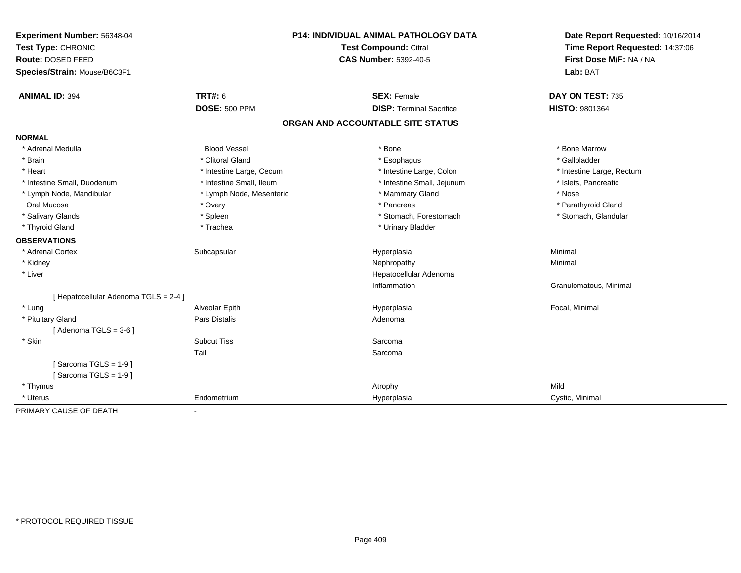| Experiment Number: 56348-04<br>Test Type: CHRONIC |                          | P14: INDIVIDUAL ANIMAL PATHOLOGY DATA<br><b>Test Compound: Citral</b> | Date Report Requested: 10/16/2014<br>Time Report Requested: 14:37:06<br>First Dose M/F: NA / NA |
|---------------------------------------------------|--------------------------|-----------------------------------------------------------------------|-------------------------------------------------------------------------------------------------|
| Route: DOSED FEED                                 |                          | <b>CAS Number: 5392-40-5</b>                                          |                                                                                                 |
| Species/Strain: Mouse/B6C3F1                      |                          |                                                                       | Lab: BAT                                                                                        |
| <b>ANIMAL ID: 394</b>                             | <b>TRT#: 6</b>           | <b>SEX: Female</b>                                                    | DAY ON TEST: 735                                                                                |
|                                                   | <b>DOSE: 500 PPM</b>     | <b>DISP: Terminal Sacrifice</b>                                       | HISTO: 9801364                                                                                  |
|                                                   |                          | ORGAN AND ACCOUNTABLE SITE STATUS                                     |                                                                                                 |
| <b>NORMAL</b>                                     |                          |                                                                       |                                                                                                 |
| * Adrenal Medulla                                 | <b>Blood Vessel</b>      | * Bone                                                                | * Bone Marrow                                                                                   |
| * Brain                                           | * Clitoral Gland         | * Esophagus                                                           | * Gallbladder                                                                                   |
| * Heart                                           | * Intestine Large, Cecum | * Intestine Large, Colon                                              | * Intestine Large, Rectum                                                                       |
| * Intestine Small, Duodenum                       | * Intestine Small, Ileum | * Intestine Small, Jejunum                                            | * Islets, Pancreatic                                                                            |
| * Lymph Node, Mandibular                          | * Lymph Node, Mesenteric | * Mammary Gland                                                       | * Nose                                                                                          |
| Oral Mucosa                                       | * Ovary                  | * Pancreas                                                            | * Parathyroid Gland                                                                             |
| * Salivary Glands                                 | * Spleen                 | * Stomach, Forestomach                                                | * Stomach, Glandular                                                                            |
| * Thyroid Gland                                   | * Trachea                | * Urinary Bladder                                                     |                                                                                                 |
| <b>OBSERVATIONS</b>                               |                          |                                                                       |                                                                                                 |
| * Adrenal Cortex                                  | Subcapsular              | Hyperplasia                                                           | Minimal                                                                                         |
| * Kidney                                          |                          | Nephropathy                                                           | Minimal                                                                                         |
| * Liver                                           |                          | Hepatocellular Adenoma                                                |                                                                                                 |
|                                                   |                          | Inflammation                                                          | Granulomatous, Minimal                                                                          |
| [ Hepatocellular Adenoma TGLS = 2-4 ]             |                          |                                                                       |                                                                                                 |
| * Lung                                            | Alveolar Epith           | Hyperplasia                                                           | Focal, Minimal                                                                                  |
| * Pituitary Gland                                 | <b>Pars Distalis</b>     | Adenoma                                                               |                                                                                                 |
| [Adenoma TGLS = $3-6$ ]                           |                          |                                                                       |                                                                                                 |
| * Skin                                            | <b>Subcut Tiss</b>       | Sarcoma                                                               |                                                                                                 |
|                                                   | Tail                     | Sarcoma                                                               |                                                                                                 |
| [Sarcoma TGLS = $1-9$ ]                           |                          |                                                                       |                                                                                                 |
| [Sarcoma TGLS = $1-9$ ]                           |                          |                                                                       |                                                                                                 |
| * Thymus                                          |                          | Atrophy                                                               | Mild                                                                                            |
| * Uterus                                          | Endometrium              | Hyperplasia                                                           | Cystic, Minimal                                                                                 |
| PRIMARY CAUSE OF DEATH                            | $\blacksquare$           |                                                                       |                                                                                                 |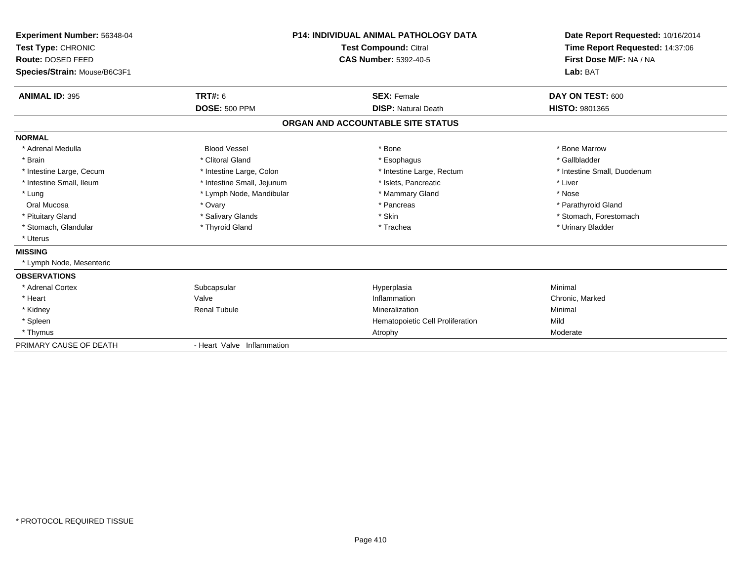| Experiment Number: 56348-04<br>Test Type: CHRONIC<br>Route: DOSED FEED<br>Species/Strain: Mouse/B6C3F1 |                            | <b>P14: INDIVIDUAL ANIMAL PATHOLOGY DATA</b><br><b>Test Compound: Citral</b><br><b>CAS Number: 5392-40-5</b> | Date Report Requested: 10/16/2014<br>Time Report Requested: 14:37:06<br>First Dose M/F: NA / NA<br>Lab: BAT |
|--------------------------------------------------------------------------------------------------------|----------------------------|--------------------------------------------------------------------------------------------------------------|-------------------------------------------------------------------------------------------------------------|
| <b>ANIMAL ID: 395</b>                                                                                  | <b>TRT#: 6</b>             | <b>SEX: Female</b>                                                                                           | DAY ON TEST: 600                                                                                            |
|                                                                                                        | <b>DOSE: 500 PPM</b>       | <b>DISP: Natural Death</b>                                                                                   | <b>HISTO: 9801365</b>                                                                                       |
|                                                                                                        |                            | ORGAN AND ACCOUNTABLE SITE STATUS                                                                            |                                                                                                             |
| <b>NORMAL</b>                                                                                          |                            |                                                                                                              |                                                                                                             |
| * Adrenal Medulla                                                                                      | <b>Blood Vessel</b>        | * Bone                                                                                                       | * Bone Marrow                                                                                               |
| * Brain                                                                                                | * Clitoral Gland           | * Esophagus                                                                                                  | * Gallbladder                                                                                               |
| * Intestine Large, Cecum                                                                               | * Intestine Large, Colon   | * Intestine Large, Rectum                                                                                    | * Intestine Small, Duodenum                                                                                 |
| * Intestine Small, Ileum                                                                               | * Intestine Small, Jejunum | * Islets, Pancreatic                                                                                         | * Liver                                                                                                     |
| * Lung                                                                                                 | * Lymph Node, Mandibular   | * Mammary Gland                                                                                              | * Nose                                                                                                      |
| Oral Mucosa                                                                                            | * Ovary                    | * Pancreas                                                                                                   | * Parathyroid Gland                                                                                         |
| * Pituitary Gland                                                                                      | * Salivary Glands          | * Skin                                                                                                       | * Stomach, Forestomach                                                                                      |
| * Stomach, Glandular                                                                                   | * Thyroid Gland            | * Trachea                                                                                                    | * Urinary Bladder                                                                                           |
| * Uterus                                                                                               |                            |                                                                                                              |                                                                                                             |
| <b>MISSING</b>                                                                                         |                            |                                                                                                              |                                                                                                             |
| * Lymph Node, Mesenteric                                                                               |                            |                                                                                                              |                                                                                                             |
| <b>OBSERVATIONS</b>                                                                                    |                            |                                                                                                              |                                                                                                             |
| * Adrenal Cortex                                                                                       | Subcapsular                | Hyperplasia                                                                                                  | Minimal                                                                                                     |
| * Heart                                                                                                | Valve                      | Inflammation                                                                                                 | Chronic, Marked                                                                                             |
| * Kidney                                                                                               | <b>Renal Tubule</b>        | Mineralization                                                                                               | Minimal                                                                                                     |
| * Spleen                                                                                               |                            | Hematopoietic Cell Proliferation                                                                             | Mild                                                                                                        |
| * Thymus                                                                                               |                            | Atrophy                                                                                                      | Moderate                                                                                                    |
| PRIMARY CAUSE OF DEATH                                                                                 | - Heart Valve Inflammation |                                                                                                              |                                                                                                             |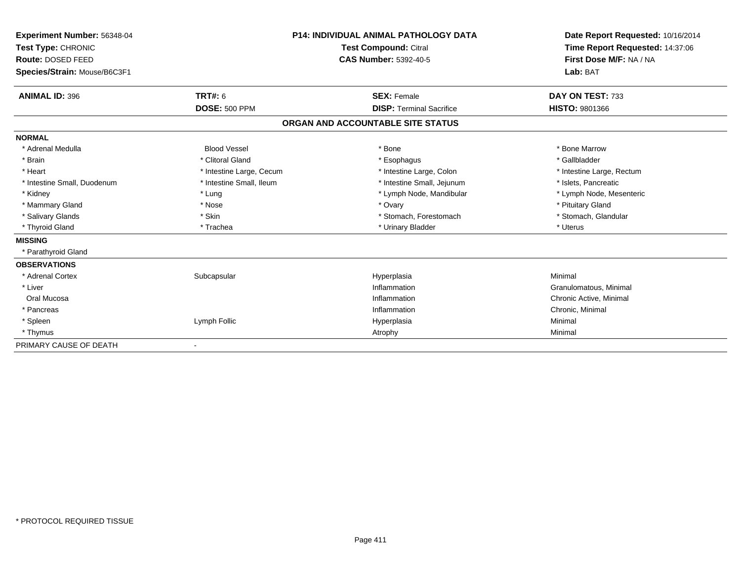| Experiment Number: 56348-04<br>Test Type: CHRONIC |                              | <b>P14: INDIVIDUAL ANIMAL PATHOLOGY DATA</b> | Date Report Requested: 10/16/2014<br>Time Report Requested: 14:37:06 |
|---------------------------------------------------|------------------------------|----------------------------------------------|----------------------------------------------------------------------|
|                                                   |                              | <b>Test Compound: Citral</b>                 |                                                                      |
| Route: DOSED FEED                                 |                              | CAS Number: 5392-40-5                        | First Dose M/F: NA / NA                                              |
| Species/Strain: Mouse/B6C3F1                      |                              |                                              | Lab: BAT                                                             |
| <b>ANIMAL ID: 396</b>                             | <b>TRT#: 6</b>               | <b>SEX: Female</b>                           | DAY ON TEST: 733                                                     |
|                                                   | <b>DOSE: 500 PPM</b>         | <b>DISP: Terminal Sacrifice</b>              | <b>HISTO: 9801366</b>                                                |
|                                                   |                              | ORGAN AND ACCOUNTABLE SITE STATUS            |                                                                      |
| <b>NORMAL</b>                                     |                              |                                              |                                                                      |
| * Adrenal Medulla                                 | <b>Blood Vessel</b>          | * Bone                                       | * Bone Marrow                                                        |
| * Brain                                           | * Clitoral Gland             | * Esophagus                                  | * Gallbladder                                                        |
| * Heart                                           | * Intestine Large, Cecum     | * Intestine Large, Colon                     | * Intestine Large, Rectum                                            |
| * Intestine Small, Duodenum                       | * Intestine Small, Ileum     | * Intestine Small, Jejunum                   | * Islets, Pancreatic                                                 |
| * Kidney                                          | * Lung                       | * Lymph Node, Mandibular                     | * Lymph Node, Mesenteric                                             |
| * Mammary Gland                                   | * Nose                       | * Ovary                                      | * Pituitary Gland                                                    |
| * Salivary Glands                                 | * Skin                       | * Stomach, Forestomach                       | * Stomach, Glandular                                                 |
| * Thyroid Gland                                   | * Trachea                    | * Urinary Bladder                            | * Uterus                                                             |
| <b>MISSING</b>                                    |                              |                                              |                                                                      |
| * Parathyroid Gland                               |                              |                                              |                                                                      |
| <b>OBSERVATIONS</b>                               |                              |                                              |                                                                      |
| * Adrenal Cortex                                  | Subcapsular                  | Hyperplasia                                  | Minimal                                                              |
| * Liver                                           |                              | Inflammation                                 | Granulomatous, Minimal                                               |
| Oral Mucosa                                       |                              | Inflammation                                 | Chronic Active, Minimal                                              |
| * Pancreas                                        |                              | Inflammation                                 | Chronic, Minimal                                                     |
| * Spleen                                          | Lymph Follic                 | Hyperplasia                                  | Minimal                                                              |
| * Thymus                                          |                              | Atrophy                                      | Minimal                                                              |
| PRIMARY CAUSE OF DEATH                            | $\qquad \qquad \blacksquare$ |                                              |                                                                      |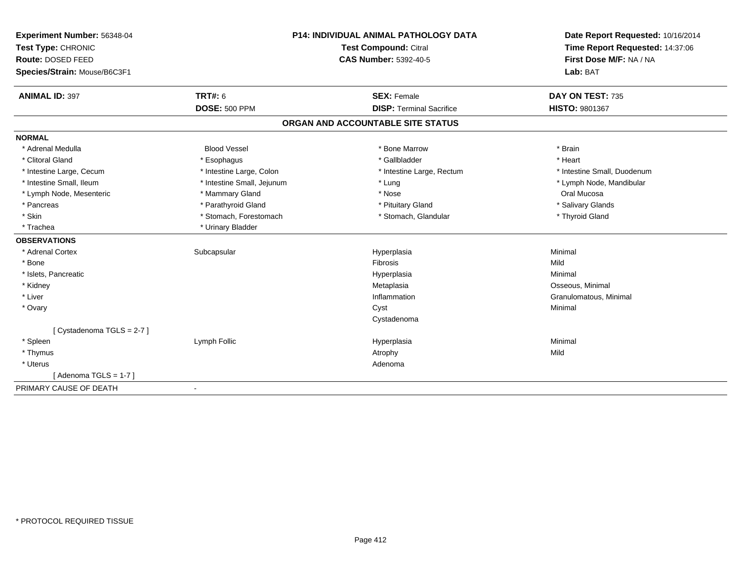| Experiment Number: 56348-04  | P14: INDIVIDUAL ANIMAL PATHOLOGY DATA<br>Test Compound: Citral |                                   | Date Report Requested: 10/16/2014 |
|------------------------------|----------------------------------------------------------------|-----------------------------------|-----------------------------------|
| Test Type: CHRONIC           |                                                                |                                   | Time Report Requested: 14:37:06   |
| Route: DOSED FEED            |                                                                | <b>CAS Number: 5392-40-5</b>      | First Dose M/F: NA / NA           |
| Species/Strain: Mouse/B6C3F1 |                                                                |                                   | Lab: BAT                          |
| <b>ANIMAL ID: 397</b>        | TRT#: 6                                                        | <b>SEX: Female</b>                | DAY ON TEST: 735                  |
|                              | <b>DOSE: 500 PPM</b>                                           | <b>DISP: Terminal Sacrifice</b>   | <b>HISTO: 9801367</b>             |
|                              |                                                                | ORGAN AND ACCOUNTABLE SITE STATUS |                                   |
| <b>NORMAL</b>                |                                                                |                                   |                                   |
| * Adrenal Medulla            | <b>Blood Vessel</b>                                            | * Bone Marrow                     | * Brain                           |
| * Clitoral Gland             | * Esophagus                                                    | * Gallbladder                     | * Heart                           |
| * Intestine Large, Cecum     | * Intestine Large, Colon                                       | * Intestine Large, Rectum         | * Intestine Small, Duodenum       |
| * Intestine Small, Ileum     | * Intestine Small, Jejunum                                     | * Lung                            | * Lymph Node, Mandibular          |
| * Lymph Node, Mesenteric     | * Mammary Gland                                                | * Nose                            | Oral Mucosa                       |
| * Pancreas                   | * Parathyroid Gland                                            | * Pituitary Gland                 | * Salivary Glands                 |
| * Skin                       | * Stomach, Forestomach                                         | * Stomach, Glandular              | * Thyroid Gland                   |
| * Trachea                    | * Urinary Bladder                                              |                                   |                                   |
| <b>OBSERVATIONS</b>          |                                                                |                                   |                                   |
| * Adrenal Cortex             | Subcapsular                                                    | Hyperplasia                       | Minimal                           |
| * Bone                       |                                                                | Fibrosis                          | Mild                              |
| * Islets, Pancreatic         |                                                                | Hyperplasia                       | Minimal                           |
| * Kidney                     |                                                                | Metaplasia                        | Osseous, Minimal                  |
| * Liver                      |                                                                | Inflammation                      | Granulomatous, Minimal            |
| * Ovary                      |                                                                | Cyst                              | Minimal                           |
|                              |                                                                | Cystadenoma                       |                                   |
| [Cystadenoma TGLS = 2-7]     |                                                                |                                   |                                   |
| * Spleen                     | Lymph Follic                                                   | Hyperplasia                       | Minimal                           |
| * Thymus                     |                                                                | Atrophy                           | Mild                              |
| * Uterus                     |                                                                | Adenoma                           |                                   |
| [Adenoma TGLS = $1-7$ ]      |                                                                |                                   |                                   |
| PRIMARY CAUSE OF DEATH       |                                                                |                                   |                                   |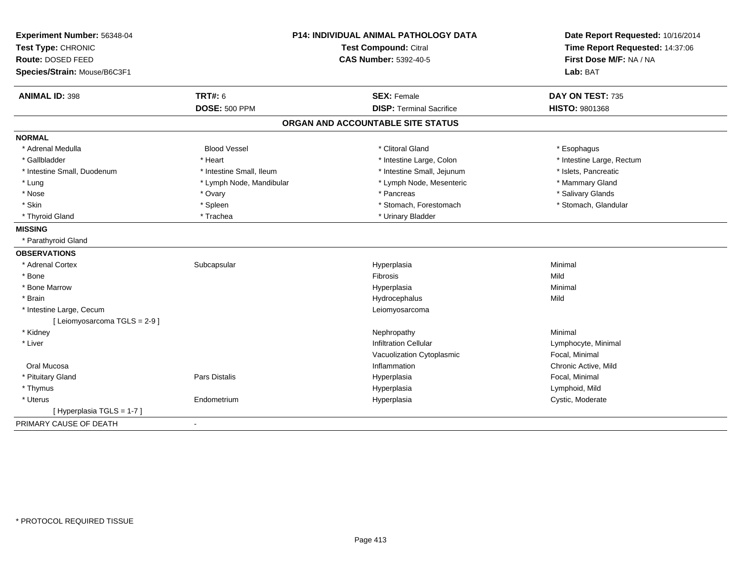| Experiment Number: 56348-04   |                          | P14: INDIVIDUAL ANIMAL PATHOLOGY DATA | Date Report Requested: 10/16/2014                          |
|-------------------------------|--------------------------|---------------------------------------|------------------------------------------------------------|
| Test Type: CHRONIC            |                          | Test Compound: Citral                 | Time Report Requested: 14:37:06<br>First Dose M/F: NA / NA |
| Route: DOSED FEED             |                          | <b>CAS Number: 5392-40-5</b>          |                                                            |
| Species/Strain: Mouse/B6C3F1  |                          |                                       | Lab: BAT                                                   |
| <b>ANIMAL ID: 398</b>         | <b>TRT#: 6</b>           | <b>SEX: Female</b>                    | DAY ON TEST: 735                                           |
|                               | <b>DOSE: 500 PPM</b>     | <b>DISP: Terminal Sacrifice</b>       | HISTO: 9801368                                             |
|                               |                          | ORGAN AND ACCOUNTABLE SITE STATUS     |                                                            |
| <b>NORMAL</b>                 |                          |                                       |                                                            |
| * Adrenal Medulla             | <b>Blood Vessel</b>      | * Clitoral Gland                      | * Esophagus                                                |
| * Gallbladder                 | * Heart                  | * Intestine Large, Colon              | * Intestine Large, Rectum                                  |
| * Intestine Small, Duodenum   | * Intestine Small, Ileum | * Intestine Small, Jejunum            | * Islets, Pancreatic                                       |
| * Lung                        | * Lymph Node, Mandibular | * Lymph Node, Mesenteric              | * Mammary Gland                                            |
| * Nose                        | * Ovary                  | * Pancreas                            | * Salivary Glands                                          |
| * Skin                        | * Spleen                 | * Stomach, Forestomach                | * Stomach, Glandular                                       |
| * Thyroid Gland               | * Trachea                | * Urinary Bladder                     |                                                            |
| <b>MISSING</b>                |                          |                                       |                                                            |
| * Parathyroid Gland           |                          |                                       |                                                            |
| <b>OBSERVATIONS</b>           |                          |                                       |                                                            |
| * Adrenal Cortex              | Subcapsular              | Hyperplasia                           | Minimal                                                    |
| * Bone                        |                          | Fibrosis                              | Mild                                                       |
| * Bone Marrow                 |                          | Hyperplasia                           | Minimal                                                    |
| * Brain                       |                          | Hydrocephalus                         | Mild                                                       |
| * Intestine Large, Cecum      |                          | Leiomyosarcoma                        |                                                            |
| [ Leiomyosarcoma TGLS = 2-9 ] |                          |                                       |                                                            |
| * Kidney                      |                          | Nephropathy                           | Minimal                                                    |
| * Liver                       |                          | <b>Infiltration Cellular</b>          | Lymphocyte, Minimal                                        |
|                               |                          | Vacuolization Cytoplasmic             | Focal, Minimal                                             |
| Oral Mucosa                   |                          | Inflammation                          | Chronic Active, Mild                                       |
| * Pituitary Gland             | Pars Distalis            | Hyperplasia                           | Focal, Minimal                                             |
| * Thymus                      |                          | Hyperplasia                           | Lymphoid, Mild                                             |
| * Uterus                      | Endometrium              | Hyperplasia                           | Cystic, Moderate                                           |
| [Hyperplasia TGLS = 1-7]      |                          |                                       |                                                            |
| PRIMARY CAUSE OF DEATH        |                          |                                       |                                                            |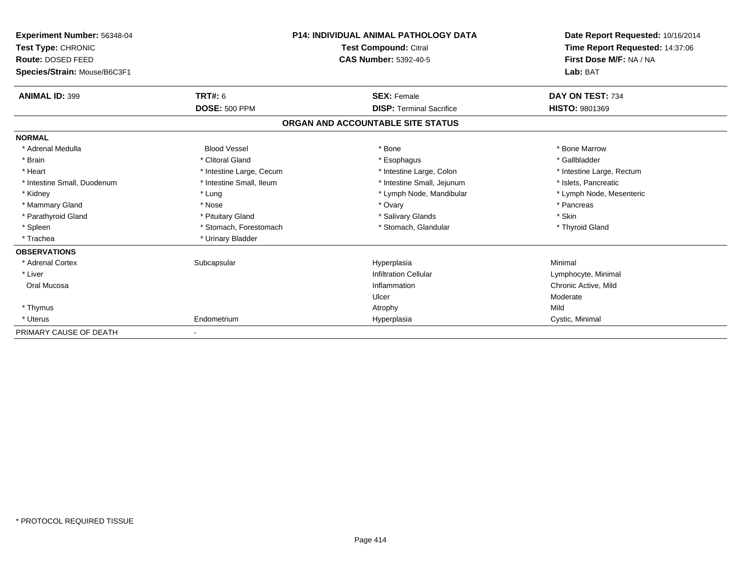| Experiment Number: 56348-04<br>Test Type: CHRONIC<br>Route: DOSED FEED<br>Species/Strain: Mouse/B6C3F1 |                          | <b>P14: INDIVIDUAL ANIMAL PATHOLOGY DATA</b><br><b>Test Compound: Citral</b><br><b>CAS Number: 5392-40-5</b> | Date Report Requested: 10/16/2014<br>Time Report Requested: 14:37:06<br>First Dose M/F: NA / NA<br>Lab: BAT |
|--------------------------------------------------------------------------------------------------------|--------------------------|--------------------------------------------------------------------------------------------------------------|-------------------------------------------------------------------------------------------------------------|
| <b>ANIMAL ID: 399</b>                                                                                  | <b>TRT#: 6</b>           | <b>SEX: Female</b>                                                                                           | DAY ON TEST: 734                                                                                            |
|                                                                                                        | <b>DOSE: 500 PPM</b>     | <b>DISP: Terminal Sacrifice</b>                                                                              | HISTO: 9801369                                                                                              |
|                                                                                                        |                          | ORGAN AND ACCOUNTABLE SITE STATUS                                                                            |                                                                                                             |
| <b>NORMAL</b>                                                                                          |                          |                                                                                                              |                                                                                                             |
| * Adrenal Medulla                                                                                      | <b>Blood Vessel</b>      | * Bone                                                                                                       | * Bone Marrow                                                                                               |
| * Brain                                                                                                | * Clitoral Gland         | * Esophagus                                                                                                  | * Gallbladder                                                                                               |
| * Heart                                                                                                | * Intestine Large, Cecum | * Intestine Large, Colon                                                                                     | * Intestine Large, Rectum                                                                                   |
| * Intestine Small, Duodenum                                                                            | * Intestine Small, Ileum | * Intestine Small, Jejunum                                                                                   | * Islets, Pancreatic                                                                                        |
| * Kidney                                                                                               | * Lung                   | * Lymph Node, Mandibular                                                                                     | * Lymph Node, Mesenteric                                                                                    |
| * Mammary Gland                                                                                        | * Nose                   | * Ovary                                                                                                      | * Pancreas                                                                                                  |
| * Parathyroid Gland                                                                                    | * Pituitary Gland        | * Salivary Glands                                                                                            | * Skin                                                                                                      |
| * Spleen                                                                                               | * Stomach, Forestomach   | * Stomach, Glandular                                                                                         | * Thyroid Gland                                                                                             |
| * Trachea                                                                                              | * Urinary Bladder        |                                                                                                              |                                                                                                             |
| <b>OBSERVATIONS</b>                                                                                    |                          |                                                                                                              |                                                                                                             |
| * Adrenal Cortex                                                                                       | Subcapsular              | Hyperplasia                                                                                                  | Minimal                                                                                                     |
| * Liver                                                                                                |                          | <b>Infiltration Cellular</b>                                                                                 | Lymphocyte, Minimal                                                                                         |
| Oral Mucosa                                                                                            |                          | Inflammation                                                                                                 | Chronic Active, Mild                                                                                        |
|                                                                                                        |                          | Ulcer                                                                                                        | Moderate                                                                                                    |
| * Thymus                                                                                               |                          | Atrophy                                                                                                      | Mild                                                                                                        |
| * Uterus                                                                                               | Endometrium              | Hyperplasia                                                                                                  | Cystic, Minimal                                                                                             |
| PRIMARY CAUSE OF DEATH                                                                                 |                          |                                                                                                              |                                                                                                             |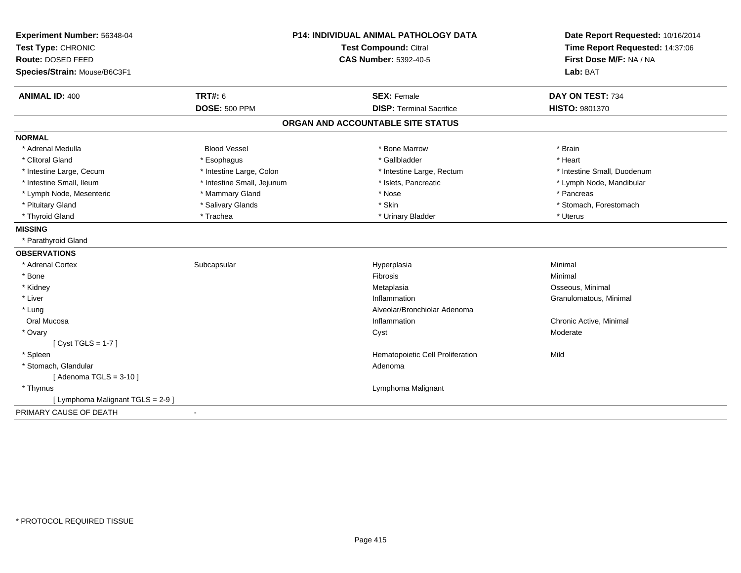| Experiment Number: 56348-04       | <b>P14: INDIVIDUAL ANIMAL PATHOLOGY DATA</b><br>Test Compound: Citral |                                   | Date Report Requested: 10/16/2014 |
|-----------------------------------|-----------------------------------------------------------------------|-----------------------------------|-----------------------------------|
| Test Type: CHRONIC                |                                                                       |                                   | Time Report Requested: 14:37:06   |
| Route: DOSED FEED                 |                                                                       | <b>CAS Number: 5392-40-5</b>      | First Dose M/F: NA / NA           |
| Species/Strain: Mouse/B6C3F1      |                                                                       |                                   | Lab: BAT                          |
| <b>ANIMAL ID: 400</b>             | <b>TRT#: 6</b>                                                        | <b>SEX: Female</b>                | DAY ON TEST: 734                  |
|                                   | <b>DOSE: 500 PPM</b>                                                  | <b>DISP: Terminal Sacrifice</b>   | <b>HISTO: 9801370</b>             |
|                                   |                                                                       | ORGAN AND ACCOUNTABLE SITE STATUS |                                   |
| <b>NORMAL</b>                     |                                                                       |                                   |                                   |
| * Adrenal Medulla                 | <b>Blood Vessel</b>                                                   | * Bone Marrow                     | * Brain                           |
| * Clitoral Gland                  | * Esophagus                                                           | * Gallbladder                     | * Heart                           |
| * Intestine Large, Cecum          | * Intestine Large, Colon                                              | * Intestine Large, Rectum         | * Intestine Small, Duodenum       |
| * Intestine Small, Ileum          | * Intestine Small, Jejunum                                            | * Islets, Pancreatic              | * Lymph Node, Mandibular          |
| * Lymph Node, Mesenteric          | * Mammary Gland                                                       | * Nose                            | * Pancreas                        |
| * Pituitary Gland                 | * Salivary Glands                                                     | * Skin                            | * Stomach, Forestomach            |
| * Thyroid Gland                   | * Trachea                                                             | * Urinary Bladder                 | * Uterus                          |
| <b>MISSING</b>                    |                                                                       |                                   |                                   |
| * Parathyroid Gland               |                                                                       |                                   |                                   |
| <b>OBSERVATIONS</b>               |                                                                       |                                   |                                   |
| * Adrenal Cortex                  | Subcapsular                                                           | Hyperplasia                       | Minimal                           |
| * Bone                            |                                                                       | Fibrosis                          | Minimal                           |
| * Kidney                          |                                                                       | Metaplasia                        | Osseous, Minimal                  |
| * Liver                           |                                                                       | Inflammation                      | Granulomatous, Minimal            |
| * Lung                            |                                                                       | Alveolar/Bronchiolar Adenoma      |                                   |
| Oral Mucosa                       |                                                                       | Inflammation                      | Chronic Active, Minimal           |
| * Ovary                           |                                                                       | Cyst                              | Moderate                          |
| [Cyst TGLS = $1-7$ ]              |                                                                       |                                   |                                   |
| * Spleen                          |                                                                       | Hematopoietic Cell Proliferation  | Mild                              |
| * Stomach, Glandular              |                                                                       | Adenoma                           |                                   |
| [Adenoma TGLS = $3-10$ ]          |                                                                       |                                   |                                   |
| * Thymus                          |                                                                       | Lymphoma Malignant                |                                   |
| [ Lymphoma Malignant TGLS = 2-9 ] |                                                                       |                                   |                                   |
| PRIMARY CAUSE OF DEATH            | $\blacksquare$                                                        |                                   |                                   |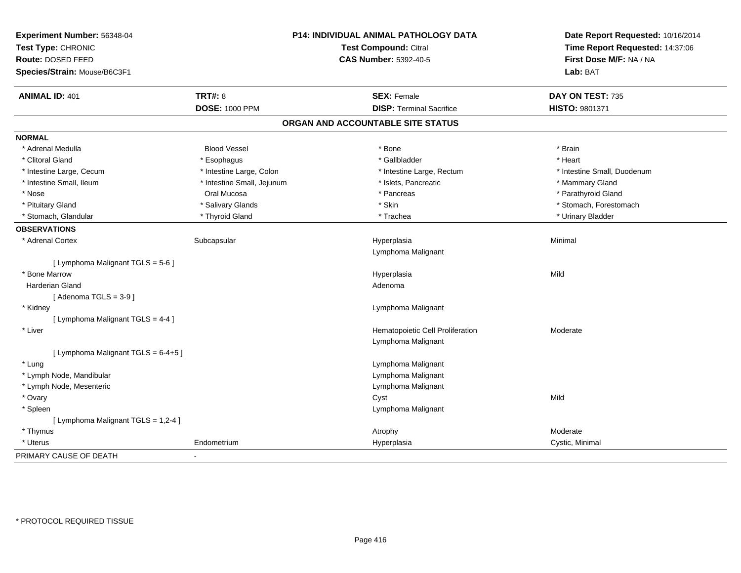| Experiment Number: 56348-04<br>Test Type: CHRONIC<br><b>Route: DOSED FEED</b><br>Species/Strain: Mouse/B6C3F1 |                            | P14: INDIVIDUAL ANIMAL PATHOLOGY DATA<br><b>Test Compound: Citral</b><br><b>CAS Number: 5392-40-5</b> | Date Report Requested: 10/16/2014<br>Time Report Requested: 14:37:06<br>First Dose M/F: NA / NA<br>Lab: BAT |
|---------------------------------------------------------------------------------------------------------------|----------------------------|-------------------------------------------------------------------------------------------------------|-------------------------------------------------------------------------------------------------------------|
| <b>ANIMAL ID: 401</b>                                                                                         | <b>TRT#: 8</b>             | <b>SEX: Female</b>                                                                                    | DAY ON TEST: 735                                                                                            |
|                                                                                                               | <b>DOSE: 1000 PPM</b>      | <b>DISP: Terminal Sacrifice</b>                                                                       | HISTO: 9801371                                                                                              |
|                                                                                                               |                            | ORGAN AND ACCOUNTABLE SITE STATUS                                                                     |                                                                                                             |
| <b>NORMAL</b>                                                                                                 |                            |                                                                                                       |                                                                                                             |
| * Adrenal Medulla                                                                                             | <b>Blood Vessel</b>        | * Bone                                                                                                | * Brain                                                                                                     |
| * Clitoral Gland                                                                                              | * Esophagus                | * Gallbladder                                                                                         | * Heart                                                                                                     |
| * Intestine Large, Cecum                                                                                      | * Intestine Large, Colon   | * Intestine Large, Rectum                                                                             | * Intestine Small, Duodenum                                                                                 |
| * Intestine Small, Ileum                                                                                      | * Intestine Small, Jejunum | * Islets, Pancreatic                                                                                  | * Mammary Gland                                                                                             |
| * Nose                                                                                                        | Oral Mucosa                | * Pancreas                                                                                            | * Parathyroid Gland                                                                                         |
| * Pituitary Gland                                                                                             | * Salivary Glands          | * Skin                                                                                                | * Stomach, Forestomach                                                                                      |
| * Stomach, Glandular                                                                                          | * Thyroid Gland            | * Trachea                                                                                             | * Urinary Bladder                                                                                           |
| <b>OBSERVATIONS</b>                                                                                           |                            |                                                                                                       |                                                                                                             |
| * Adrenal Cortex                                                                                              | Subcapsular                | Hyperplasia<br>Lymphoma Malignant                                                                     | Minimal                                                                                                     |
| [ Lymphoma Malignant TGLS = 5-6 ]                                                                             |                            |                                                                                                       |                                                                                                             |
| * Bone Marrow                                                                                                 |                            | Hyperplasia                                                                                           | Mild                                                                                                        |
| Harderian Gland                                                                                               |                            | Adenoma                                                                                               |                                                                                                             |
| [Adenoma TGLS = $3-9$ ]                                                                                       |                            |                                                                                                       |                                                                                                             |
| * Kidney                                                                                                      |                            | Lymphoma Malignant                                                                                    |                                                                                                             |
| [ Lymphoma Malignant TGLS = 4-4 ]                                                                             |                            |                                                                                                       |                                                                                                             |
| * Liver                                                                                                       |                            | Hematopoietic Cell Proliferation                                                                      | Moderate                                                                                                    |
|                                                                                                               |                            | Lymphoma Malignant                                                                                    |                                                                                                             |
| [ Lymphoma Malignant TGLS = 6-4+5 ]                                                                           |                            |                                                                                                       |                                                                                                             |
| * Lung                                                                                                        |                            | Lymphoma Malignant                                                                                    |                                                                                                             |
| * Lymph Node, Mandibular                                                                                      |                            | Lymphoma Malignant                                                                                    |                                                                                                             |
| * Lymph Node, Mesenteric                                                                                      |                            | Lymphoma Malignant                                                                                    |                                                                                                             |
| * Ovary                                                                                                       |                            | Cyst                                                                                                  | Mild                                                                                                        |
| * Spleen                                                                                                      |                            | Lymphoma Malignant                                                                                    |                                                                                                             |
| [ Lymphoma Malignant TGLS = 1,2-4 ]                                                                           |                            |                                                                                                       |                                                                                                             |
| * Thymus                                                                                                      |                            | Atrophy                                                                                               | Moderate                                                                                                    |
| * Uterus                                                                                                      | Endometrium                | Hyperplasia                                                                                           | Cystic, Minimal                                                                                             |
| PRIMARY CAUSE OF DEATH                                                                                        |                            |                                                                                                       |                                                                                                             |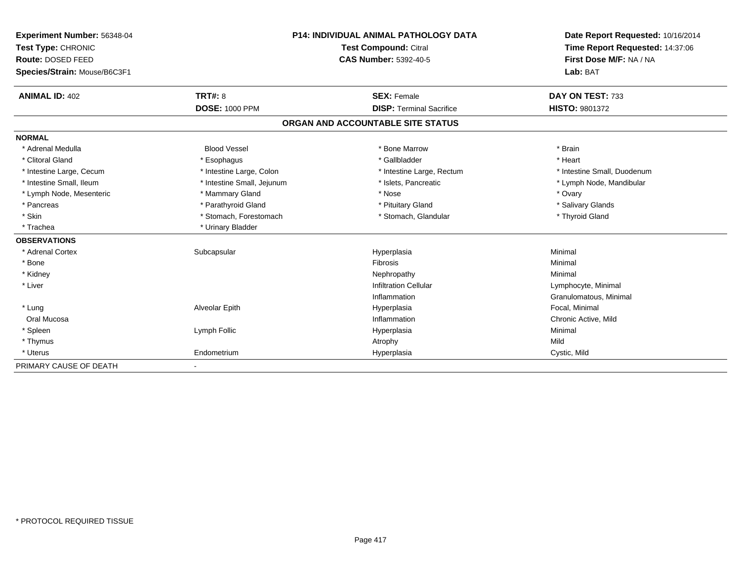| Experiment Number: 56348-04  | <b>P14: INDIVIDUAL ANIMAL PATHOLOGY DATA</b><br>Test Compound: Citral |                                   | Date Report Requested: 10/16/2014 |
|------------------------------|-----------------------------------------------------------------------|-----------------------------------|-----------------------------------|
| Test Type: CHRONIC           |                                                                       |                                   | Time Report Requested: 14:37:06   |
| Route: DOSED FEED            |                                                                       | <b>CAS Number: 5392-40-5</b>      | First Dose M/F: NA / NA           |
| Species/Strain: Mouse/B6C3F1 |                                                                       |                                   | Lab: BAT                          |
| <b>ANIMAL ID: 402</b>        | <b>TRT#: 8</b>                                                        | <b>SEX: Female</b>                | DAY ON TEST: 733                  |
|                              | <b>DOSE: 1000 PPM</b>                                                 | <b>DISP: Terminal Sacrifice</b>   | HISTO: 9801372                    |
|                              |                                                                       | ORGAN AND ACCOUNTABLE SITE STATUS |                                   |
| <b>NORMAL</b>                |                                                                       |                                   |                                   |
| * Adrenal Medulla            | <b>Blood Vessel</b>                                                   | * Bone Marrow                     | * Brain                           |
| * Clitoral Gland             | * Esophagus                                                           | * Gallbladder                     | * Heart                           |
| * Intestine Large, Cecum     | * Intestine Large, Colon                                              | * Intestine Large, Rectum         | * Intestine Small, Duodenum       |
| * Intestine Small, Ileum     | * Intestine Small, Jejunum                                            | * Islets, Pancreatic              | * Lymph Node, Mandibular          |
| * Lymph Node, Mesenteric     | * Mammary Gland                                                       | * Nose                            | * Ovary                           |
| * Pancreas                   | * Parathyroid Gland                                                   | * Pituitary Gland                 | * Salivary Glands                 |
| * Skin                       | * Stomach, Forestomach                                                | * Stomach, Glandular              | * Thyroid Gland                   |
| * Trachea                    | * Urinary Bladder                                                     |                                   |                                   |
| <b>OBSERVATIONS</b>          |                                                                       |                                   |                                   |
| * Adrenal Cortex             | Subcapsular                                                           | Hyperplasia                       | Minimal                           |
| * Bone                       |                                                                       | Fibrosis                          | Minimal                           |
| * Kidney                     |                                                                       | Nephropathy                       | Minimal                           |
| * Liver                      |                                                                       | <b>Infiltration Cellular</b>      | Lymphocyte, Minimal               |
|                              |                                                                       | Inflammation                      | Granulomatous, Minimal            |
| * Lung                       | Alveolar Epith                                                        | Hyperplasia                       | Focal. Minimal                    |
| Oral Mucosa                  |                                                                       | Inflammation                      | Chronic Active, Mild              |
| * Spleen                     | Lymph Follic                                                          | Hyperplasia                       | Minimal                           |
| * Thymus                     |                                                                       | Atrophy                           | Mild                              |
| * Uterus                     | Endometrium                                                           | Hyperplasia                       | Cystic, Mild                      |
| PRIMARY CAUSE OF DEATH       |                                                                       |                                   |                                   |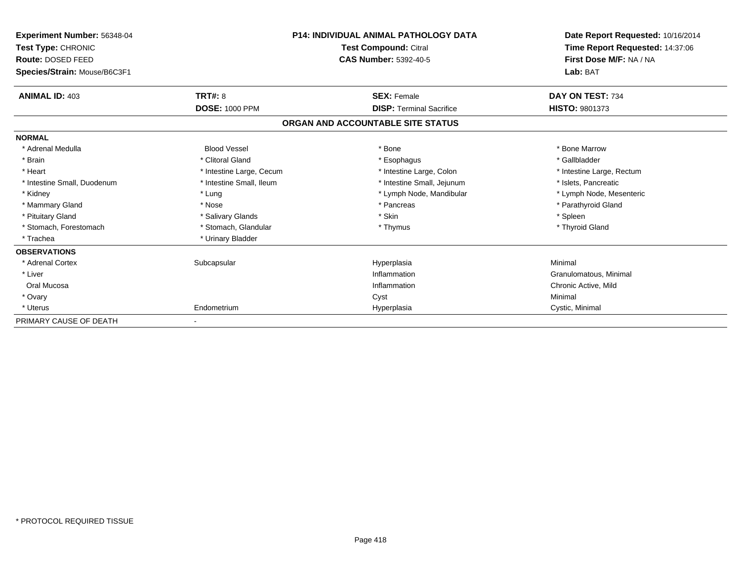| Experiment Number: 56348-04<br><b>Test Type: CHRONIC</b><br>Route: DOSED FEED |                          | <b>P14: INDIVIDUAL ANIMAL PATHOLOGY DATA</b><br>Test Compound: Citral<br><b>CAS Number: 5392-40-5</b> | Date Report Requested: 10/16/2014<br>Time Report Requested: 14:37:06<br>First Dose M/F: NA / NA |
|-------------------------------------------------------------------------------|--------------------------|-------------------------------------------------------------------------------------------------------|-------------------------------------------------------------------------------------------------|
| Species/Strain: Mouse/B6C3F1                                                  |                          |                                                                                                       | Lab: BAT                                                                                        |
| <b>ANIMAL ID: 403</b>                                                         | <b>TRT#: 8</b>           | <b>SEX: Female</b>                                                                                    | DAY ON TEST: 734                                                                                |
|                                                                               | <b>DOSE: 1000 PPM</b>    | <b>DISP: Terminal Sacrifice</b>                                                                       | <b>HISTO: 9801373</b>                                                                           |
|                                                                               |                          | ORGAN AND ACCOUNTABLE SITE STATUS                                                                     |                                                                                                 |
| <b>NORMAL</b>                                                                 |                          |                                                                                                       |                                                                                                 |
| * Adrenal Medulla                                                             | <b>Blood Vessel</b>      | * Bone                                                                                                | * Bone Marrow                                                                                   |
| * Brain                                                                       | * Clitoral Gland         | * Esophagus                                                                                           | * Gallbladder                                                                                   |
| * Heart                                                                       | * Intestine Large, Cecum | * Intestine Large, Colon                                                                              | * Intestine Large, Rectum                                                                       |
| * Intestine Small, Duodenum                                                   | * Intestine Small, Ileum | * Intestine Small, Jejunum                                                                            | * Islets, Pancreatic                                                                            |
| * Kidney                                                                      | * Lung                   | * Lymph Node, Mandibular                                                                              | * Lymph Node, Mesenteric                                                                        |
| * Mammary Gland                                                               | * Nose                   | * Pancreas                                                                                            | * Parathyroid Gland                                                                             |
| * Pituitary Gland                                                             | * Salivary Glands        | * Skin                                                                                                | * Spleen                                                                                        |
| * Stomach, Forestomach                                                        | * Stomach, Glandular     | * Thymus                                                                                              | * Thyroid Gland                                                                                 |
| * Trachea                                                                     | * Urinary Bladder        |                                                                                                       |                                                                                                 |
| <b>OBSERVATIONS</b>                                                           |                          |                                                                                                       |                                                                                                 |
| * Adrenal Cortex                                                              | Subcapsular              | Hyperplasia                                                                                           | Minimal                                                                                         |
| * Liver                                                                       |                          | Inflammation                                                                                          | Granulomatous, Minimal                                                                          |
| Oral Mucosa                                                                   |                          | Inflammation                                                                                          | Chronic Active, Mild                                                                            |
| * Ovary                                                                       |                          | Cyst                                                                                                  | Minimal                                                                                         |
| * Uterus                                                                      | Endometrium              | Hyperplasia                                                                                           | Cystic, Minimal                                                                                 |
| PRIMARY CAUSE OF DEATH                                                        |                          |                                                                                                       |                                                                                                 |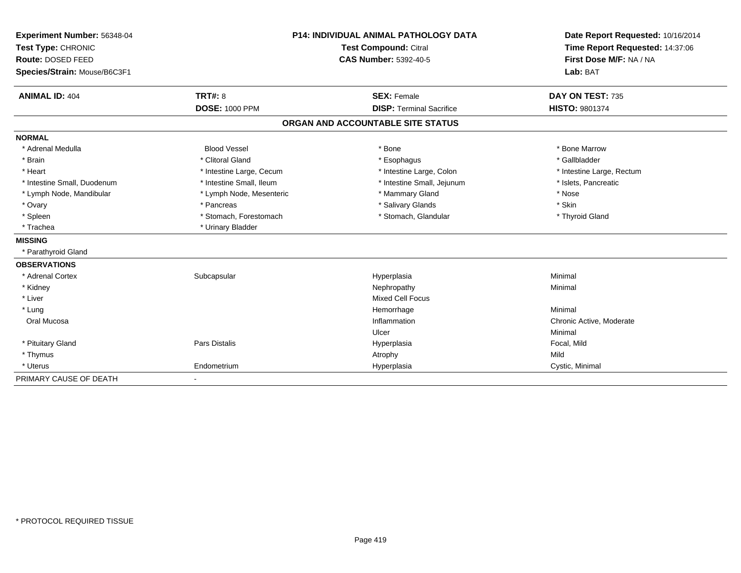| Experiment Number: 56348-04  |                          | <b>P14: INDIVIDUAL ANIMAL PATHOLOGY DATA</b><br>Test Compound: Citral |                                                            |
|------------------------------|--------------------------|-----------------------------------------------------------------------|------------------------------------------------------------|
| Test Type: CHRONIC           |                          |                                                                       |                                                            |
| Route: DOSED FEED            |                          | <b>CAS Number: 5392-40-5</b>                                          | Time Report Requested: 14:37:06<br>First Dose M/F: NA / NA |
| Species/Strain: Mouse/B6C3F1 |                          |                                                                       | Lab: BAT                                                   |
| <b>ANIMAL ID: 404</b>        | TRT#: 8                  | <b>SEX: Female</b>                                                    | DAY ON TEST: 735                                           |
|                              | <b>DOSE: 1000 PPM</b>    | <b>DISP: Terminal Sacrifice</b>                                       | <b>HISTO: 9801374</b>                                      |
|                              |                          | ORGAN AND ACCOUNTABLE SITE STATUS                                     |                                                            |
| <b>NORMAL</b>                |                          |                                                                       |                                                            |
| * Adrenal Medulla            | <b>Blood Vessel</b>      | * Bone                                                                | * Bone Marrow                                              |
| * Brain                      | * Clitoral Gland         | * Esophagus                                                           | * Gallbladder                                              |
| * Heart                      | * Intestine Large, Cecum | * Intestine Large, Colon                                              | * Intestine Large, Rectum                                  |
| * Intestine Small, Duodenum  | * Intestine Small, Ileum | * Intestine Small, Jejunum                                            | * Islets, Pancreatic                                       |
| * Lymph Node, Mandibular     | * Lymph Node, Mesenteric | * Mammary Gland                                                       | * Nose                                                     |
| * Ovary                      | * Pancreas               | * Salivary Glands                                                     | * Skin                                                     |
| * Spleen                     | * Stomach, Forestomach   | * Stomach, Glandular                                                  | * Thyroid Gland                                            |
| * Trachea                    | * Urinary Bladder        |                                                                       |                                                            |
| <b>MISSING</b>               |                          |                                                                       |                                                            |
| * Parathyroid Gland          |                          |                                                                       |                                                            |
| <b>OBSERVATIONS</b>          |                          |                                                                       |                                                            |
| * Adrenal Cortex             | Subcapsular              | Hyperplasia                                                           | Minimal                                                    |
| * Kidney                     |                          | Nephropathy                                                           | Minimal                                                    |
| * Liver                      |                          | <b>Mixed Cell Focus</b>                                               |                                                            |
| * Lung                       |                          | Hemorrhage                                                            | Minimal                                                    |
| Oral Mucosa                  |                          | Inflammation                                                          | Chronic Active, Moderate                                   |
|                              |                          | Ulcer                                                                 | Minimal                                                    |
| * Pituitary Gland            | <b>Pars Distalis</b>     | Hyperplasia                                                           | Focal, Mild                                                |
| * Thymus                     |                          | Atrophy                                                               | Mild                                                       |
| * Uterus                     | Endometrium              | Hyperplasia                                                           | Cystic, Minimal                                            |
| PRIMARY CAUSE OF DEATH       |                          |                                                                       |                                                            |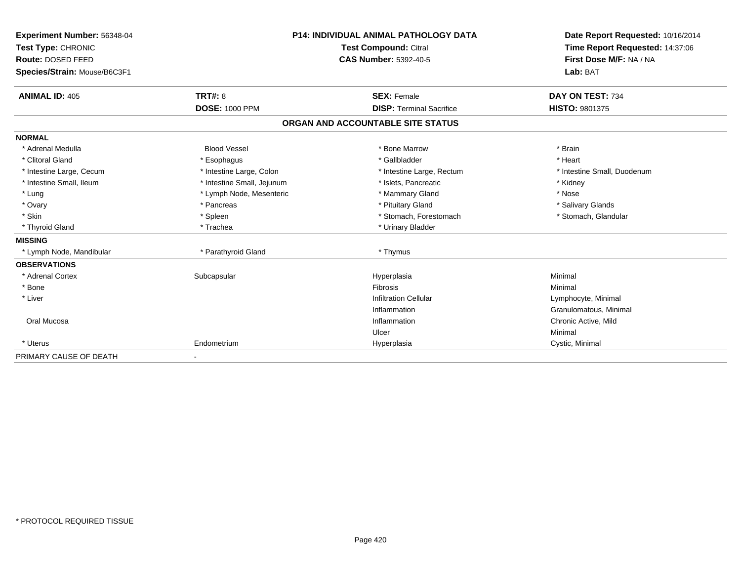| Experiment Number: 56348-04  | P14: INDIVIDUAL ANIMAL PATHOLOGY DATA |                                   | Date Report Requested: 10/16/2014<br>Time Report Requested: 14:37:06 |
|------------------------------|---------------------------------------|-----------------------------------|----------------------------------------------------------------------|
| Test Type: CHRONIC           |                                       | <b>Test Compound: Citral</b>      |                                                                      |
| Route: DOSED FEED            |                                       | <b>CAS Number: 5392-40-5</b>      | First Dose M/F: NA / NA                                              |
| Species/Strain: Mouse/B6C3F1 |                                       |                                   | Lab: BAT                                                             |
| <b>ANIMAL ID: 405</b>        | <b>TRT#: 8</b>                        | <b>SEX: Female</b>                | DAY ON TEST: 734                                                     |
|                              | <b>DOSE: 1000 PPM</b>                 | <b>DISP: Terminal Sacrifice</b>   | <b>HISTO: 9801375</b>                                                |
|                              |                                       | ORGAN AND ACCOUNTABLE SITE STATUS |                                                                      |
| <b>NORMAL</b>                |                                       |                                   |                                                                      |
| * Adrenal Medulla            | <b>Blood Vessel</b>                   | * Bone Marrow                     | * Brain                                                              |
| * Clitoral Gland             | * Esophagus                           | * Gallbladder                     | * Heart                                                              |
| * Intestine Large, Cecum     | * Intestine Large, Colon              | * Intestine Large, Rectum         | * Intestine Small, Duodenum                                          |
| * Intestine Small, Ileum     | * Intestine Small, Jejunum            | * Islets, Pancreatic              | * Kidney                                                             |
| * Lung                       | * Lymph Node, Mesenteric              | * Mammary Gland                   | * Nose                                                               |
| * Ovary                      | * Pancreas                            | * Pituitary Gland                 | * Salivary Glands                                                    |
| * Skin                       | * Spleen                              | * Stomach, Forestomach            | * Stomach, Glandular                                                 |
| * Thyroid Gland              | * Trachea                             | * Urinary Bladder                 |                                                                      |
| <b>MISSING</b>               |                                       |                                   |                                                                      |
| * Lymph Node, Mandibular     | * Parathyroid Gland                   | * Thymus                          |                                                                      |
| <b>OBSERVATIONS</b>          |                                       |                                   |                                                                      |
| * Adrenal Cortex             | Subcapsular                           | Hyperplasia                       | Minimal                                                              |
| * Bone                       |                                       | Fibrosis                          | Minimal                                                              |
| * Liver                      |                                       | <b>Infiltration Cellular</b>      | Lymphocyte, Minimal                                                  |
|                              |                                       | Inflammation                      | Granulomatous, Minimal                                               |
| Oral Mucosa                  |                                       | Inflammation                      | Chronic Active, Mild                                                 |
|                              |                                       | Ulcer                             | Minimal                                                              |
| * Uterus                     | Endometrium                           | Hyperplasia                       | Cystic, Minimal                                                      |
| PRIMARY CAUSE OF DEATH       | $\overline{\phantom{a}}$              |                                   |                                                                      |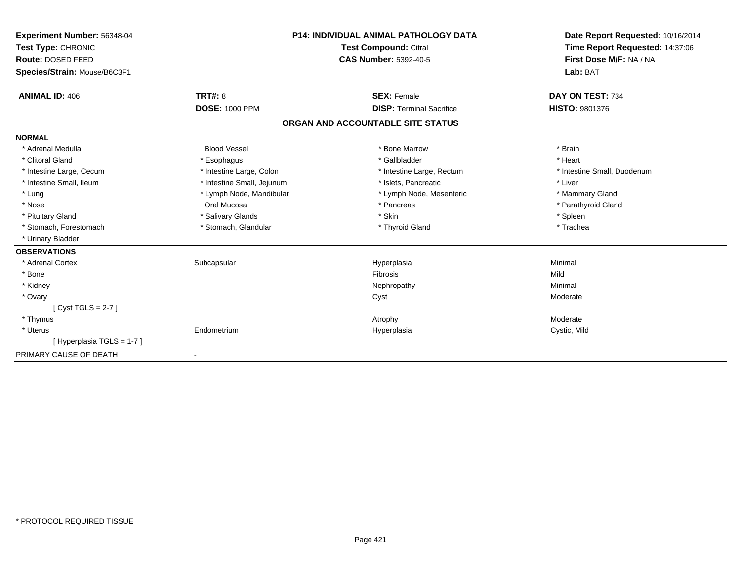| Experiment Number: 56348-04  |                            | <b>P14: INDIVIDUAL ANIMAL PATHOLOGY DATA</b> | Date Report Requested: 10/16/2014 |
|------------------------------|----------------------------|----------------------------------------------|-----------------------------------|
| Test Type: CHRONIC           |                            | <b>Test Compound: Citral</b>                 | Time Report Requested: 14:37:06   |
| Route: DOSED FEED            |                            | <b>CAS Number: 5392-40-5</b>                 | First Dose M/F: NA / NA           |
| Species/Strain: Mouse/B6C3F1 |                            |                                              | Lab: BAT                          |
| <b>ANIMAL ID: 406</b>        | TRT#: 8                    | <b>SEX: Female</b>                           | DAY ON TEST: 734                  |
|                              | <b>DOSE: 1000 PPM</b>      | <b>DISP: Terminal Sacrifice</b>              | HISTO: 9801376                    |
|                              |                            | ORGAN AND ACCOUNTABLE SITE STATUS            |                                   |
| <b>NORMAL</b>                |                            |                                              |                                   |
| * Adrenal Medulla            | <b>Blood Vessel</b>        | * Bone Marrow                                | * Brain                           |
| * Clitoral Gland             | * Esophagus                | * Gallbladder                                | * Heart                           |
| * Intestine Large, Cecum     | * Intestine Large, Colon   | * Intestine Large, Rectum                    | * Intestine Small, Duodenum       |
| * Intestine Small, Ileum     | * Intestine Small, Jejunum | * Islets, Pancreatic                         | * Liver                           |
| * Lung                       | * Lymph Node, Mandibular   | * Lymph Node, Mesenteric                     | * Mammary Gland                   |
| * Nose                       | Oral Mucosa                | * Pancreas                                   | * Parathyroid Gland               |
| * Pituitary Gland            | * Salivary Glands          | * Skin                                       | * Spleen                          |
| * Stomach, Forestomach       | * Stomach, Glandular       | * Thyroid Gland                              | * Trachea                         |
| * Urinary Bladder            |                            |                                              |                                   |
| <b>OBSERVATIONS</b>          |                            |                                              |                                   |
| * Adrenal Cortex             | Subcapsular                | Hyperplasia                                  | Minimal                           |
| * Bone                       |                            | <b>Fibrosis</b>                              | Mild                              |
| * Kidney                     |                            | Nephropathy                                  | Minimal                           |
| * Ovary                      |                            | Cyst                                         | Moderate                          |
| [Cyst TGLS = $2-7$ ]         |                            |                                              |                                   |
| * Thymus                     |                            | Atrophy                                      | Moderate                          |
| * Uterus                     | Endometrium                | Hyperplasia                                  | Cystic, Mild                      |
| [Hyperplasia TGLS = 1-7]     |                            |                                              |                                   |
| PRIMARY CAUSE OF DEATH       | $\blacksquare$             |                                              |                                   |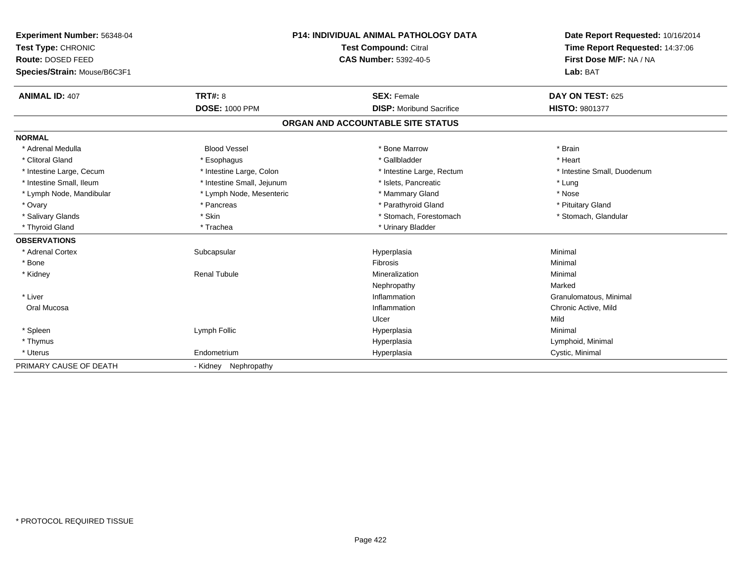| Experiment Number: 56348-04  |                            | <b>P14: INDIVIDUAL ANIMAL PATHOLOGY DATA</b> | Date Report Requested: 10/16/2014 |
|------------------------------|----------------------------|----------------------------------------------|-----------------------------------|
| Test Type: CHRONIC           |                            | <b>Test Compound: Citral</b>                 | Time Report Requested: 14:37:06   |
| Route: DOSED FEED            |                            | <b>CAS Number: 5392-40-5</b>                 | First Dose M/F: NA / NA           |
| Species/Strain: Mouse/B6C3F1 |                            |                                              | Lab: BAT                          |
| <b>ANIMAL ID: 407</b>        | TRT#: 8                    | <b>SEX: Female</b>                           | DAY ON TEST: 625                  |
|                              | <b>DOSE: 1000 PPM</b>      | <b>DISP:</b> Moribund Sacrifice              | <b>HISTO: 9801377</b>             |
|                              |                            | ORGAN AND ACCOUNTABLE SITE STATUS            |                                   |
| <b>NORMAL</b>                |                            |                                              |                                   |
| * Adrenal Medulla            | <b>Blood Vessel</b>        | * Bone Marrow                                | * Brain                           |
| * Clitoral Gland             | * Esophagus                | * Gallbladder                                | * Heart                           |
| * Intestine Large, Cecum     | * Intestine Large, Colon   | * Intestine Large, Rectum                    | * Intestine Small, Duodenum       |
| * Intestine Small, Ileum     | * Intestine Small, Jejunum | * Islets, Pancreatic                         | * Lung                            |
| * Lymph Node, Mandibular     | * Lymph Node, Mesenteric   | * Mammary Gland                              | * Nose                            |
| * Ovary                      | * Pancreas                 | * Parathyroid Gland                          | * Pituitary Gland                 |
| * Salivary Glands            | * Skin                     | * Stomach, Forestomach                       | * Stomach, Glandular              |
| * Thyroid Gland              | * Trachea                  | * Urinary Bladder                            |                                   |
| <b>OBSERVATIONS</b>          |                            |                                              |                                   |
| * Adrenal Cortex             | Subcapsular                | Hyperplasia                                  | Minimal                           |
| * Bone                       |                            | Fibrosis                                     | Minimal                           |
| * Kidney                     | <b>Renal Tubule</b>        | Mineralization                               | Minimal                           |
|                              |                            | Nephropathy                                  | Marked                            |
| * Liver                      |                            | Inflammation                                 | Granulomatous, Minimal            |
| Oral Mucosa                  |                            | Inflammation                                 | Chronic Active, Mild              |
|                              |                            | Ulcer                                        | Mild                              |
| * Spleen                     | Lymph Follic               | Hyperplasia                                  | Minimal                           |
| * Thymus                     |                            | Hyperplasia                                  | Lymphoid, Minimal                 |
| * Uterus                     | Endometrium                | Hyperplasia                                  | Cystic, Minimal                   |
| PRIMARY CAUSE OF DEATH       | - Kidney Nephropathy       |                                              |                                   |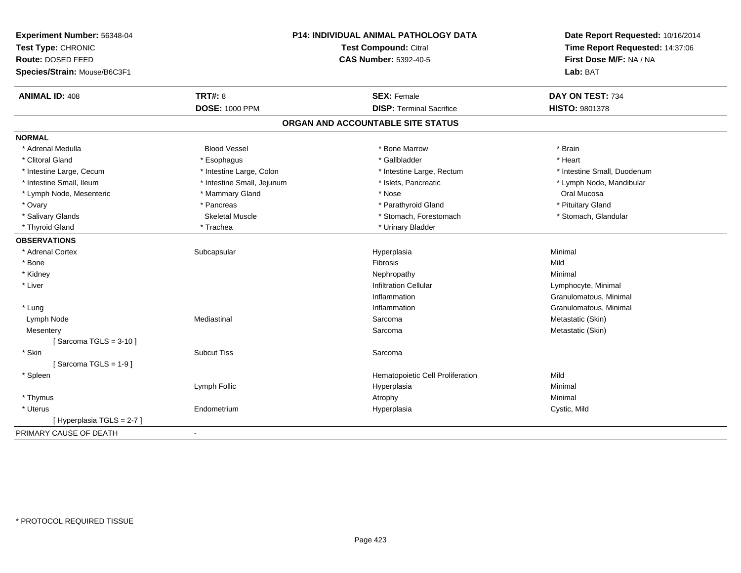| Experiment Number: 56348-04<br>Test Type: CHRONIC<br>Route: DOSED FEED | P14: INDIVIDUAL ANIMAL PATHOLOGY DATA<br>Test Compound: Citral<br><b>CAS Number: 5392-40-5</b> |                                   | Date Report Requested: 10/16/2014<br>Time Report Requested: 14:37:06<br>First Dose M/F: NA / NA |
|------------------------------------------------------------------------|------------------------------------------------------------------------------------------------|-----------------------------------|-------------------------------------------------------------------------------------------------|
| Species/Strain: Mouse/B6C3F1                                           |                                                                                                |                                   | Lab: BAT                                                                                        |
| <b>ANIMAL ID: 408</b>                                                  | <b>TRT#: 8</b>                                                                                 | <b>SEX: Female</b>                | DAY ON TEST: 734                                                                                |
|                                                                        | <b>DOSE: 1000 PPM</b>                                                                          | <b>DISP: Terminal Sacrifice</b>   | <b>HISTO: 9801378</b>                                                                           |
|                                                                        |                                                                                                | ORGAN AND ACCOUNTABLE SITE STATUS |                                                                                                 |
| <b>NORMAL</b>                                                          |                                                                                                |                                   |                                                                                                 |
| * Adrenal Medulla                                                      | <b>Blood Vessel</b>                                                                            | * Bone Marrow                     | * Brain                                                                                         |
| * Clitoral Gland                                                       | * Esophagus                                                                                    | * Gallbladder                     | * Heart                                                                                         |
| * Intestine Large, Cecum                                               | * Intestine Large, Colon                                                                       | * Intestine Large, Rectum         | * Intestine Small, Duodenum                                                                     |
| * Intestine Small, Ileum                                               | * Intestine Small, Jejunum                                                                     | * Islets, Pancreatic              | * Lymph Node, Mandibular                                                                        |
| * Lymph Node, Mesenteric                                               | * Mammary Gland                                                                                | * Nose                            | Oral Mucosa                                                                                     |
| * Ovary                                                                | * Pancreas                                                                                     | * Parathyroid Gland               | * Pituitary Gland                                                                               |
| * Salivary Glands                                                      | <b>Skeletal Muscle</b>                                                                         | * Stomach, Forestomach            | * Stomach, Glandular                                                                            |
| * Thyroid Gland                                                        | * Trachea                                                                                      | * Urinary Bladder                 |                                                                                                 |
| <b>OBSERVATIONS</b>                                                    |                                                                                                |                                   |                                                                                                 |
| * Adrenal Cortex                                                       | Subcapsular                                                                                    | Hyperplasia                       | Minimal                                                                                         |
| * Bone                                                                 |                                                                                                | Fibrosis                          | Mild                                                                                            |
| * Kidney                                                               |                                                                                                | Nephropathy                       | Minimal                                                                                         |
| * Liver                                                                |                                                                                                | <b>Infiltration Cellular</b>      | Lymphocyte, Minimal                                                                             |
|                                                                        |                                                                                                | Inflammation                      | Granulomatous, Minimal                                                                          |
| * Lung                                                                 |                                                                                                | Inflammation                      | Granulomatous, Minimal                                                                          |
| Lymph Node                                                             | Mediastinal                                                                                    | Sarcoma                           | Metastatic (Skin)                                                                               |
| Mesentery                                                              |                                                                                                | Sarcoma                           | Metastatic (Skin)                                                                               |
| [Sarcoma TGLS = $3-10$ ]                                               |                                                                                                |                                   |                                                                                                 |
| * Skin                                                                 | <b>Subcut Tiss</b>                                                                             | Sarcoma                           |                                                                                                 |
| [Sarcoma TGLS = $1-9$ ]                                                |                                                                                                |                                   |                                                                                                 |
| * Spleen                                                               |                                                                                                | Hematopoietic Cell Proliferation  | Mild                                                                                            |
|                                                                        | Lymph Follic                                                                                   | Hyperplasia                       | Minimal                                                                                         |
| * Thymus                                                               |                                                                                                | Atrophy                           | Minimal                                                                                         |
| * Uterus                                                               | Endometrium                                                                                    | Hyperplasia                       | Cystic, Mild                                                                                    |
| [ Hyperplasia TGLS = 2-7 ]                                             |                                                                                                |                                   |                                                                                                 |
| PRIMARY CAUSE OF DEATH                                                 |                                                                                                |                                   |                                                                                                 |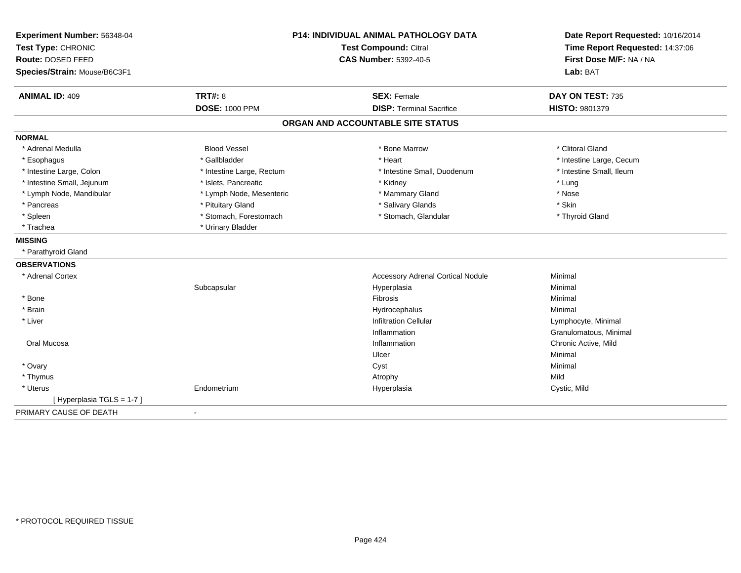| Experiment Number: 56348-04<br>Test Type: CHRONIC<br>Route: DOSED FEED<br>Species/Strain: Mouse/B6C3F1 | <b>P14: INDIVIDUAL ANIMAL PATHOLOGY DATA</b><br><b>Test Compound: Citral</b><br><b>CAS Number: 5392-40-5</b> |                                                       | Date Report Requested: 10/16/2014<br>Time Report Requested: 14:37:06<br>First Dose M/F: NA / NA<br>Lab: BAT |
|--------------------------------------------------------------------------------------------------------|--------------------------------------------------------------------------------------------------------------|-------------------------------------------------------|-------------------------------------------------------------------------------------------------------------|
| <b>ANIMAL ID: 409</b>                                                                                  | <b>TRT#: 8</b><br><b>DOSE: 1000 PPM</b>                                                                      | <b>SEX: Female</b><br><b>DISP: Terminal Sacrifice</b> | DAY ON TEST: 735<br>HISTO: 9801379                                                                          |
|                                                                                                        |                                                                                                              | ORGAN AND ACCOUNTABLE SITE STATUS                     |                                                                                                             |
| <b>NORMAL</b>                                                                                          |                                                                                                              |                                                       |                                                                                                             |
| * Adrenal Medulla                                                                                      | <b>Blood Vessel</b>                                                                                          | * Bone Marrow                                         | * Clitoral Gland                                                                                            |
| * Esophagus                                                                                            | * Gallbladder                                                                                                | * Heart                                               | * Intestine Large, Cecum                                                                                    |
| * Intestine Large, Colon                                                                               | * Intestine Large, Rectum                                                                                    | * Intestine Small, Duodenum                           | * Intestine Small, Ileum                                                                                    |
| * Intestine Small, Jejunum                                                                             | * Islets, Pancreatic                                                                                         | * Kidney                                              | * Lung                                                                                                      |
| * Lymph Node, Mandibular                                                                               | * Lymph Node, Mesenteric                                                                                     | * Mammary Gland                                       | * Nose                                                                                                      |
| * Pancreas                                                                                             | * Pituitary Gland                                                                                            | * Salivary Glands                                     | * Skin                                                                                                      |
| * Spleen                                                                                               | * Stomach, Forestomach                                                                                       | * Stomach, Glandular                                  | * Thyroid Gland                                                                                             |
| * Trachea                                                                                              | * Urinary Bladder                                                                                            |                                                       |                                                                                                             |
| <b>MISSING</b>                                                                                         |                                                                                                              |                                                       |                                                                                                             |
| * Parathyroid Gland                                                                                    |                                                                                                              |                                                       |                                                                                                             |
| <b>OBSERVATIONS</b>                                                                                    |                                                                                                              |                                                       |                                                                                                             |
| * Adrenal Cortex                                                                                       |                                                                                                              | <b>Accessory Adrenal Cortical Nodule</b>              | Minimal                                                                                                     |
|                                                                                                        | Subcapsular                                                                                                  | Hyperplasia                                           | Minimal                                                                                                     |
| * Bone                                                                                                 |                                                                                                              | Fibrosis                                              | Minimal                                                                                                     |
| * Brain                                                                                                |                                                                                                              | Hydrocephalus                                         | Minimal                                                                                                     |
| * Liver                                                                                                |                                                                                                              | <b>Infiltration Cellular</b>                          | Lymphocyte, Minimal                                                                                         |
|                                                                                                        |                                                                                                              | Inflammation                                          | Granulomatous, Minimal                                                                                      |
| Oral Mucosa                                                                                            |                                                                                                              | Inflammation                                          | Chronic Active, Mild                                                                                        |
|                                                                                                        |                                                                                                              | Ulcer                                                 | Minimal                                                                                                     |
| * Ovary                                                                                                |                                                                                                              | Cyst                                                  | Minimal                                                                                                     |
| * Thymus                                                                                               |                                                                                                              | Atrophy                                               | Mild                                                                                                        |
| * Uterus                                                                                               | Endometrium                                                                                                  | Hyperplasia                                           | Cystic, Mild                                                                                                |
| [Hyperplasia TGLS = 1-7]                                                                               |                                                                                                              |                                                       |                                                                                                             |
| PRIMARY CAUSE OF DEATH                                                                                 | $\blacksquare$                                                                                               |                                                       |                                                                                                             |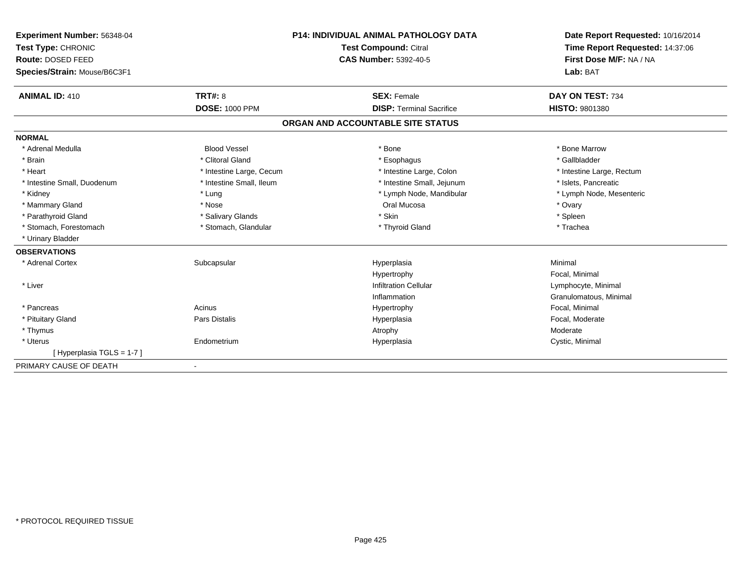| Experiment Number: 56348-04  |                          | <b>P14: INDIVIDUAL ANIMAL PATHOLOGY DATA</b> | Date Report Requested: 10/16/2014<br>Time Report Requested: 14:37:06 |
|------------------------------|--------------------------|----------------------------------------------|----------------------------------------------------------------------|
| Test Type: CHRONIC           |                          | Test Compound: Citral                        |                                                                      |
| Route: DOSED FEED            |                          | <b>CAS Number: 5392-40-5</b>                 | First Dose M/F: NA / NA                                              |
| Species/Strain: Mouse/B6C3F1 |                          |                                              | Lab: BAT                                                             |
| <b>ANIMAL ID: 410</b>        | <b>TRT#: 8</b>           | <b>SEX: Female</b>                           | DAY ON TEST: 734                                                     |
|                              | <b>DOSE: 1000 PPM</b>    | <b>DISP: Terminal Sacrifice</b>              | HISTO: 9801380                                                       |
|                              |                          | ORGAN AND ACCOUNTABLE SITE STATUS            |                                                                      |
| <b>NORMAL</b>                |                          |                                              |                                                                      |
| * Adrenal Medulla            | <b>Blood Vessel</b>      | * Bone                                       | * Bone Marrow                                                        |
| * Brain                      | * Clitoral Gland         | * Esophagus                                  | * Gallbladder                                                        |
| * Heart                      | * Intestine Large, Cecum | * Intestine Large, Colon                     | * Intestine Large, Rectum                                            |
| * Intestine Small, Duodenum  | * Intestine Small, Ileum | * Intestine Small, Jejunum                   | * Islets, Pancreatic                                                 |
| * Kidney                     | * Lung                   | * Lymph Node, Mandibular                     | * Lymph Node, Mesenteric                                             |
| * Mammary Gland              | * Nose                   | Oral Mucosa                                  | * Ovary                                                              |
| * Parathyroid Gland          | * Salivary Glands        | * Skin                                       | * Spleen                                                             |
| * Stomach, Forestomach       | * Stomach, Glandular     | * Thyroid Gland                              | * Trachea                                                            |
| * Urinary Bladder            |                          |                                              |                                                                      |
| <b>OBSERVATIONS</b>          |                          |                                              |                                                                      |
| * Adrenal Cortex             | Subcapsular              | Hyperplasia                                  | Minimal                                                              |
|                              |                          | Hypertrophy                                  | Focal, Minimal                                                       |
| * Liver                      |                          | <b>Infiltration Cellular</b>                 | Lymphocyte, Minimal                                                  |
|                              |                          | Inflammation                                 | Granulomatous, Minimal                                               |
| * Pancreas                   | Acinus                   | Hypertrophy                                  | Focal, Minimal                                                       |
| * Pituitary Gland            | Pars Distalis            | Hyperplasia                                  | Focal, Moderate                                                      |
| * Thymus                     |                          | Atrophy                                      | Moderate                                                             |
| * Uterus                     | Endometrium              | Hyperplasia                                  | Cystic, Minimal                                                      |
| [Hyperplasia TGLS = 1-7]     |                          |                                              |                                                                      |
| PRIMARY CAUSE OF DEATH       |                          |                                              |                                                                      |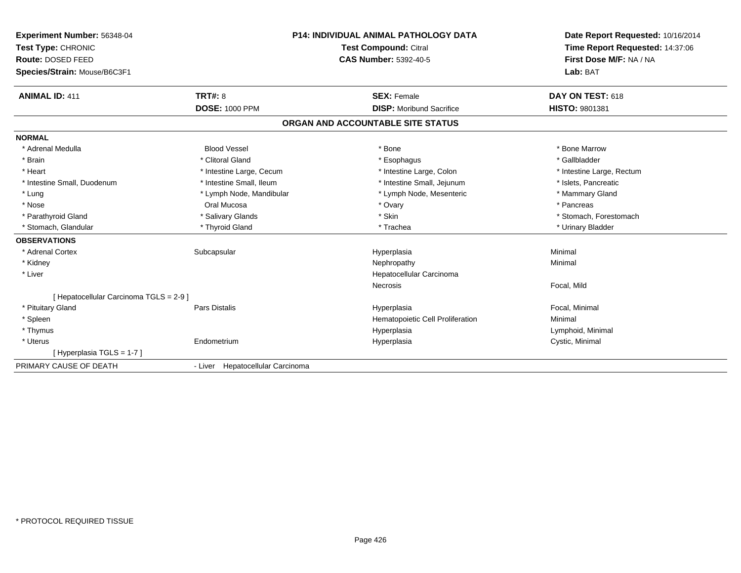| Experiment Number: 56348-04             | <b>P14: INDIVIDUAL ANIMAL PATHOLOGY DATA</b> |                                   | Date Report Requested: 10/16/2014 |
|-----------------------------------------|----------------------------------------------|-----------------------------------|-----------------------------------|
| Test Type: CHRONIC                      |                                              | <b>Test Compound: Citral</b>      | Time Report Requested: 14:37:06   |
| Route: DOSED FEED                       |                                              | CAS Number: 5392-40-5             | First Dose M/F: NA / NA           |
| Species/Strain: Mouse/B6C3F1            |                                              |                                   | Lab: BAT                          |
| <b>ANIMAL ID: 411</b>                   | <b>TRT#: 8</b>                               | <b>SEX: Female</b>                | DAY ON TEST: 618                  |
|                                         | <b>DOSE: 1000 PPM</b>                        | <b>DISP:</b> Moribund Sacrifice   | <b>HISTO: 9801381</b>             |
|                                         |                                              | ORGAN AND ACCOUNTABLE SITE STATUS |                                   |
| <b>NORMAL</b>                           |                                              |                                   |                                   |
| * Adrenal Medulla                       | <b>Blood Vessel</b>                          | * Bone                            | * Bone Marrow                     |
| * Brain                                 | * Clitoral Gland                             | * Esophagus                       | * Gallbladder                     |
| * Heart                                 | * Intestine Large, Cecum                     | * Intestine Large, Colon          | * Intestine Large, Rectum         |
| * Intestine Small, Duodenum             | * Intestine Small, Ileum                     | * Intestine Small, Jejunum        | * Islets, Pancreatic              |
| * Lung                                  | * Lymph Node, Mandibular                     | * Lymph Node, Mesenteric          | * Mammary Gland                   |
| * Nose                                  | Oral Mucosa                                  | * Ovary                           | * Pancreas                        |
| * Parathyroid Gland                     | * Salivary Glands                            | * Skin                            | * Stomach, Forestomach            |
| * Stomach, Glandular                    | * Thyroid Gland                              | * Trachea                         | * Urinary Bladder                 |
| <b>OBSERVATIONS</b>                     |                                              |                                   |                                   |
| * Adrenal Cortex                        | Subcapsular                                  | Hyperplasia                       | Minimal                           |
| * Kidney                                |                                              | Nephropathy                       | Minimal                           |
| * Liver                                 |                                              | Hepatocellular Carcinoma          |                                   |
|                                         |                                              | Necrosis                          | Focal, Mild                       |
| [ Hepatocellular Carcinoma TGLS = 2-9 ] |                                              |                                   |                                   |
| * Pituitary Gland                       | Pars Distalis                                | Hyperplasia                       | Focal, Minimal                    |
| * Spleen                                |                                              | Hematopoietic Cell Proliferation  | Minimal                           |
| * Thymus                                |                                              | Hyperplasia                       | Lymphoid, Minimal                 |
| * Uterus                                | Endometrium                                  | Hyperplasia                       | Cystic, Minimal                   |
| [Hyperplasia TGLS = 1-7]                |                                              |                                   |                                   |
| PRIMARY CAUSE OF DEATH                  | - Liver Hepatocellular Carcinoma             |                                   |                                   |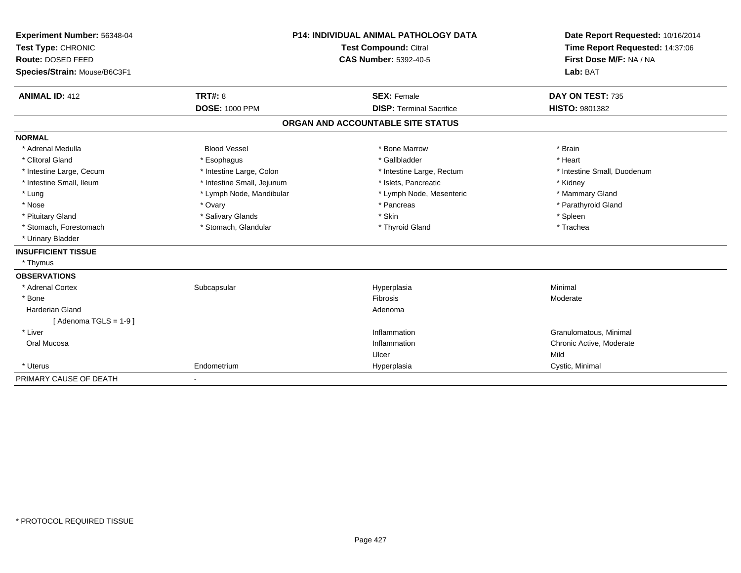| Experiment Number: 56348-04  | <b>P14: INDIVIDUAL ANIMAL PATHOLOGY DATA</b><br><b>Test Compound: Citral</b> |                                   | Date Report Requested: 10/16/2014 |
|------------------------------|------------------------------------------------------------------------------|-----------------------------------|-----------------------------------|
| Test Type: CHRONIC           |                                                                              |                                   | Time Report Requested: 14:37:06   |
| Route: DOSED FEED            |                                                                              | <b>CAS Number: 5392-40-5</b>      | First Dose M/F: NA / NA           |
| Species/Strain: Mouse/B6C3F1 |                                                                              |                                   | Lab: BAT                          |
|                              |                                                                              |                                   |                                   |
| <b>ANIMAL ID: 412</b>        | TRT#: 8                                                                      | <b>SEX: Female</b>                | DAY ON TEST: 735                  |
|                              | <b>DOSE: 1000 PPM</b>                                                        | <b>DISP: Terminal Sacrifice</b>   | <b>HISTO: 9801382</b>             |
|                              |                                                                              | ORGAN AND ACCOUNTABLE SITE STATUS |                                   |
| <b>NORMAL</b>                |                                                                              |                                   |                                   |
| * Adrenal Medulla            | <b>Blood Vessel</b>                                                          | * Bone Marrow                     | * Brain                           |
| * Clitoral Gland             | * Esophagus                                                                  | * Gallbladder                     | * Heart                           |
| * Intestine Large, Cecum     | * Intestine Large, Colon                                                     | * Intestine Large, Rectum         | * Intestine Small, Duodenum       |
| * Intestine Small, Ileum     | * Intestine Small, Jejunum                                                   | * Islets, Pancreatic              | * Kidney                          |
| * Lung                       | * Lymph Node, Mandibular                                                     | * Lymph Node, Mesenteric          | * Mammary Gland                   |
| * Nose                       | * Ovary                                                                      | * Pancreas                        | * Parathyroid Gland               |
| * Pituitary Gland            | * Salivary Glands                                                            | * Skin                            | * Spleen                          |
| * Stomach, Forestomach       | * Stomach, Glandular                                                         | * Thyroid Gland                   | * Trachea                         |
| * Urinary Bladder            |                                                                              |                                   |                                   |
| <b>INSUFFICIENT TISSUE</b>   |                                                                              |                                   |                                   |
| * Thymus                     |                                                                              |                                   |                                   |
| <b>OBSERVATIONS</b>          |                                                                              |                                   |                                   |
| * Adrenal Cortex             | Subcapsular                                                                  | Hyperplasia                       | Minimal                           |
| * Bone                       |                                                                              | <b>Fibrosis</b>                   | Moderate                          |
| <b>Harderian Gland</b>       |                                                                              | Adenoma                           |                                   |
| [Adenoma TGLS = $1-9$ ]      |                                                                              |                                   |                                   |
| * Liver                      |                                                                              | Inflammation                      | Granulomatous, Minimal            |
| Oral Mucosa                  |                                                                              | Inflammation                      | Chronic Active, Moderate          |
|                              |                                                                              | Ulcer                             | Mild                              |
| * Uterus                     | Endometrium                                                                  | Hyperplasia                       | Cystic, Minimal                   |
| PRIMARY CAUSE OF DEATH       |                                                                              |                                   |                                   |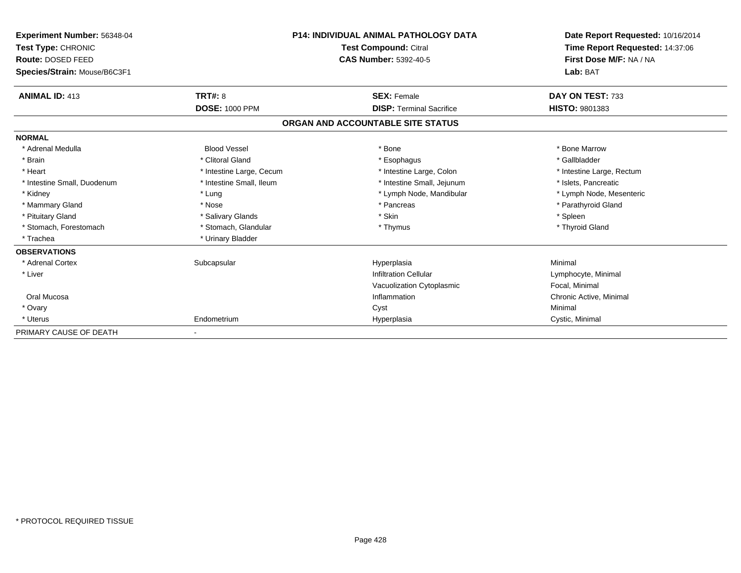| Experiment Number: 56348-04<br>Test Type: CHRONIC<br>Route: DOSED FEED<br>Species/Strain: Mouse/B6C3F1 |                          | <b>P14: INDIVIDUAL ANIMAL PATHOLOGY DATA</b><br><b>Test Compound: Citral</b><br><b>CAS Number: 5392-40-5</b> | Date Report Requested: 10/16/2014<br>Time Report Requested: 14:37:06<br>First Dose M/F: NA / NA<br>Lab: BAT |
|--------------------------------------------------------------------------------------------------------|--------------------------|--------------------------------------------------------------------------------------------------------------|-------------------------------------------------------------------------------------------------------------|
|                                                                                                        |                          |                                                                                                              |                                                                                                             |
| <b>ANIMAL ID: 413</b>                                                                                  | <b>TRT#: 8</b>           | <b>SEX: Female</b>                                                                                           | DAY ON TEST: 733                                                                                            |
|                                                                                                        | <b>DOSE: 1000 PPM</b>    | <b>DISP: Terminal Sacrifice</b>                                                                              | HISTO: 9801383                                                                                              |
|                                                                                                        |                          | ORGAN AND ACCOUNTABLE SITE STATUS                                                                            |                                                                                                             |
| <b>NORMAL</b>                                                                                          |                          |                                                                                                              |                                                                                                             |
| * Adrenal Medulla                                                                                      | <b>Blood Vessel</b>      | * Bone                                                                                                       | * Bone Marrow                                                                                               |
| * Brain                                                                                                | * Clitoral Gland         | * Esophagus                                                                                                  | * Gallbladder                                                                                               |
| * Heart                                                                                                | * Intestine Large, Cecum | * Intestine Large, Colon                                                                                     | * Intestine Large, Rectum                                                                                   |
| * Intestine Small, Duodenum                                                                            | * Intestine Small, Ileum | * Intestine Small, Jejunum                                                                                   | * Islets, Pancreatic                                                                                        |
| * Kidney                                                                                               | * Lung                   | * Lymph Node, Mandibular                                                                                     | * Lymph Node, Mesenteric                                                                                    |
| * Mammary Gland                                                                                        | * Nose                   | * Pancreas                                                                                                   | * Parathyroid Gland                                                                                         |
| * Pituitary Gland                                                                                      | * Salivary Glands        | * Skin                                                                                                       | * Spleen                                                                                                    |
| * Stomach, Forestomach                                                                                 | * Stomach, Glandular     | * Thymus                                                                                                     | * Thyroid Gland                                                                                             |
| * Trachea                                                                                              | * Urinary Bladder        |                                                                                                              |                                                                                                             |
| <b>OBSERVATIONS</b>                                                                                    |                          |                                                                                                              |                                                                                                             |
| * Adrenal Cortex                                                                                       | Subcapsular              | Hyperplasia                                                                                                  | Minimal                                                                                                     |
| * Liver                                                                                                |                          | <b>Infiltration Cellular</b>                                                                                 | Lymphocyte, Minimal                                                                                         |
|                                                                                                        |                          | Vacuolization Cytoplasmic                                                                                    | Focal, Minimal                                                                                              |
| Oral Mucosa                                                                                            |                          | Inflammation                                                                                                 | Chronic Active, Minimal                                                                                     |
| * Ovary                                                                                                |                          | Cyst                                                                                                         | Minimal                                                                                                     |
| * Uterus                                                                                               | Endometrium              | Hyperplasia                                                                                                  | Cystic, Minimal                                                                                             |
| PRIMARY CAUSE OF DEATH                                                                                 |                          |                                                                                                              |                                                                                                             |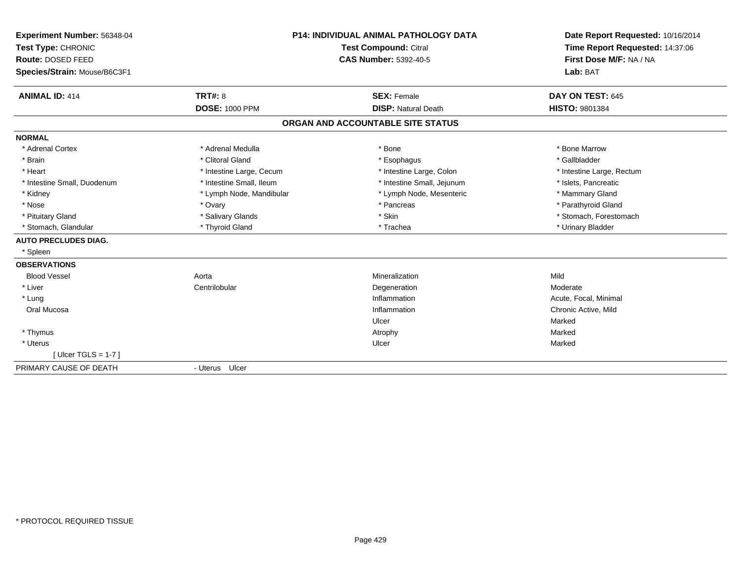| Experiment Number: 56348-04<br>Test Type: CHRONIC<br>Route: DOSED FEED<br>Species/Strain: Mouse/B6C3F1<br><b>ANIMAL ID: 414</b> | TRT#: 8                  | <b>P14: INDIVIDUAL ANIMAL PATHOLOGY DATA</b><br>Test Compound: Citral<br><b>CAS Number: 5392-40-5</b><br><b>SEX: Female</b> | Date Report Requested: 10/16/2014<br>Time Report Requested: 14:37:06<br>First Dose M/F: NA / NA<br>Lab: BAT<br>DAY ON TEST: 645 |
|---------------------------------------------------------------------------------------------------------------------------------|--------------------------|-----------------------------------------------------------------------------------------------------------------------------|---------------------------------------------------------------------------------------------------------------------------------|
|                                                                                                                                 | <b>DOSE: 1000 PPM</b>    | <b>DISP: Natural Death</b>                                                                                                  | <b>HISTO: 9801384</b>                                                                                                           |
|                                                                                                                                 |                          | ORGAN AND ACCOUNTABLE SITE STATUS                                                                                           |                                                                                                                                 |
| <b>NORMAL</b>                                                                                                                   |                          |                                                                                                                             |                                                                                                                                 |
| * Adrenal Cortex                                                                                                                | * Adrenal Medulla        | * Bone                                                                                                                      | * Bone Marrow                                                                                                                   |
| * Brain                                                                                                                         | * Clitoral Gland         | * Esophagus                                                                                                                 | * Gallbladder                                                                                                                   |
| * Heart                                                                                                                         | * Intestine Large, Cecum | * Intestine Large, Colon                                                                                                    | * Intestine Large, Rectum                                                                                                       |
| * Intestine Small, Duodenum                                                                                                     | * Intestine Small, Ileum | * Intestine Small, Jejunum                                                                                                  | * Islets, Pancreatic                                                                                                            |
| * Kidney                                                                                                                        | * Lymph Node, Mandibular | * Lymph Node, Mesenteric                                                                                                    | * Mammary Gland                                                                                                                 |
| * Nose                                                                                                                          | * Ovary                  | * Pancreas                                                                                                                  | * Parathyroid Gland                                                                                                             |
| * Pituitary Gland                                                                                                               | * Salivary Glands        | * Skin                                                                                                                      | * Stomach, Forestomach                                                                                                          |
| * Stomach, Glandular                                                                                                            | * Thyroid Gland          | * Trachea                                                                                                                   | * Urinary Bladder                                                                                                               |
| <b>AUTO PRECLUDES DIAG.</b>                                                                                                     |                          |                                                                                                                             |                                                                                                                                 |
| * Spleen                                                                                                                        |                          |                                                                                                                             |                                                                                                                                 |
| <b>OBSERVATIONS</b>                                                                                                             |                          |                                                                                                                             |                                                                                                                                 |
| <b>Blood Vessel</b>                                                                                                             | Aorta                    | Mineralization                                                                                                              | Mild                                                                                                                            |
| * Liver                                                                                                                         | Centrilobular            | Degeneration                                                                                                                | Moderate                                                                                                                        |
| * Lung                                                                                                                          |                          | Inflammation                                                                                                                | Acute, Focal, Minimal                                                                                                           |
| Oral Mucosa                                                                                                                     |                          | Inflammation                                                                                                                | Chronic Active, Mild                                                                                                            |
|                                                                                                                                 |                          | Ulcer                                                                                                                       | Marked                                                                                                                          |
| * Thymus                                                                                                                        |                          | Atrophy                                                                                                                     | Marked                                                                                                                          |
| * Uterus                                                                                                                        |                          | Ulcer                                                                                                                       | Marked                                                                                                                          |
| [Ulcer TGLS = $1-7$ ]                                                                                                           |                          |                                                                                                                             |                                                                                                                                 |
| PRIMARY CAUSE OF DEATH                                                                                                          | - Uterus Ulcer           |                                                                                                                             |                                                                                                                                 |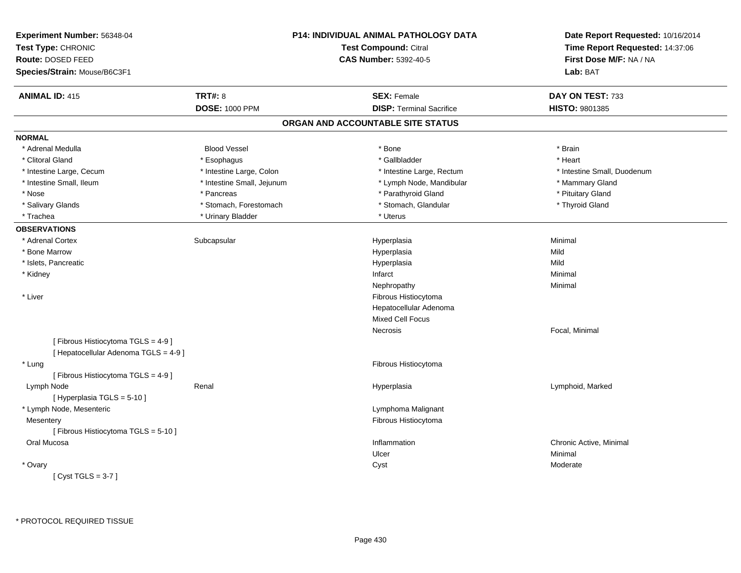| Experiment Number: 56348-04<br>Test Type: CHRONIC<br>Route: DOSED FEED<br>Species/Strain: Mouse/B6C3F1 |                            | P14: INDIVIDUAL ANIMAL PATHOLOGY DATA<br><b>Test Compound: Citral</b><br><b>CAS Number: 5392-40-5</b> | Date Report Requested: 10/16/2014<br>Time Report Requested: 14:37:06<br>First Dose M/F: NA / NA<br>Lab: BAT |
|--------------------------------------------------------------------------------------------------------|----------------------------|-------------------------------------------------------------------------------------------------------|-------------------------------------------------------------------------------------------------------------|
| <b>ANIMAL ID: 415</b>                                                                                  | <b>TRT#: 8</b>             | <b>SEX: Female</b>                                                                                    | DAY ON TEST: 733                                                                                            |
|                                                                                                        | <b>DOSE: 1000 PPM</b>      | <b>DISP: Terminal Sacrifice</b>                                                                       | HISTO: 9801385                                                                                              |
|                                                                                                        |                            | ORGAN AND ACCOUNTABLE SITE STATUS                                                                     |                                                                                                             |
| <b>NORMAL</b>                                                                                          |                            |                                                                                                       |                                                                                                             |
| * Adrenal Medulla                                                                                      | <b>Blood Vessel</b>        | * Bone                                                                                                | * Brain                                                                                                     |
| * Clitoral Gland                                                                                       | * Esophagus                | * Gallbladder                                                                                         | * Heart                                                                                                     |
| * Intestine Large, Cecum                                                                               | * Intestine Large, Colon   | * Intestine Large, Rectum                                                                             | * Intestine Small, Duodenum                                                                                 |
| * Intestine Small, Ileum                                                                               | * Intestine Small, Jejunum | * Lymph Node, Mandibular                                                                              | * Mammary Gland                                                                                             |
| * Nose                                                                                                 | * Pancreas                 | * Parathyroid Gland                                                                                   | * Pituitary Gland                                                                                           |
| * Salivary Glands                                                                                      | * Stomach, Forestomach     | * Stomach, Glandular                                                                                  | * Thyroid Gland                                                                                             |
| * Trachea                                                                                              | * Urinary Bladder          | * Uterus                                                                                              |                                                                                                             |
| <b>OBSERVATIONS</b>                                                                                    |                            |                                                                                                       |                                                                                                             |
| * Adrenal Cortex                                                                                       | Subcapsular                | Hyperplasia                                                                                           | Minimal                                                                                                     |
| * Bone Marrow                                                                                          |                            | Hyperplasia                                                                                           | Mild                                                                                                        |
| * Islets, Pancreatic                                                                                   |                            | Hyperplasia                                                                                           | Mild                                                                                                        |
| * Kidney                                                                                               |                            | Infarct                                                                                               | Minimal                                                                                                     |
|                                                                                                        |                            | Nephropathy                                                                                           | Minimal                                                                                                     |
| * Liver                                                                                                |                            | Fibrous Histiocytoma                                                                                  |                                                                                                             |
|                                                                                                        |                            | Hepatocellular Adenoma                                                                                |                                                                                                             |
|                                                                                                        |                            | <b>Mixed Cell Focus</b>                                                                               |                                                                                                             |
|                                                                                                        |                            | Necrosis                                                                                              | Focal, Minimal                                                                                              |
| [ Fibrous Histiocytoma TGLS = 4-9 ]<br>[ Hepatocellular Adenoma TGLS = 4-9]                            |                            |                                                                                                       |                                                                                                             |
| * Lung                                                                                                 |                            | Fibrous Histiocytoma                                                                                  |                                                                                                             |
| [ Fibrous Histiocytoma TGLS = 4-9 ]                                                                    |                            |                                                                                                       |                                                                                                             |
| Lymph Node                                                                                             | Renal                      | Hyperplasia                                                                                           | Lymphoid, Marked                                                                                            |
| [Hyperplasia TGLS = $5-10$ ]                                                                           |                            |                                                                                                       |                                                                                                             |
| * Lymph Node, Mesenteric                                                                               |                            | Lymphoma Malignant                                                                                    |                                                                                                             |
| Mesentery                                                                                              |                            | Fibrous Histiocytoma                                                                                  |                                                                                                             |
| [ Fibrous Histiocytoma TGLS = 5-10 ]                                                                   |                            |                                                                                                       |                                                                                                             |
| Oral Mucosa                                                                                            |                            | Inflammation                                                                                          | Chronic Active, Minimal                                                                                     |
|                                                                                                        |                            | Ulcer                                                                                                 | Minimal                                                                                                     |
| * Ovary                                                                                                |                            | Cyst                                                                                                  | Moderate                                                                                                    |
| [Cyst TGLS = $3-7$ ]                                                                                   |                            |                                                                                                       |                                                                                                             |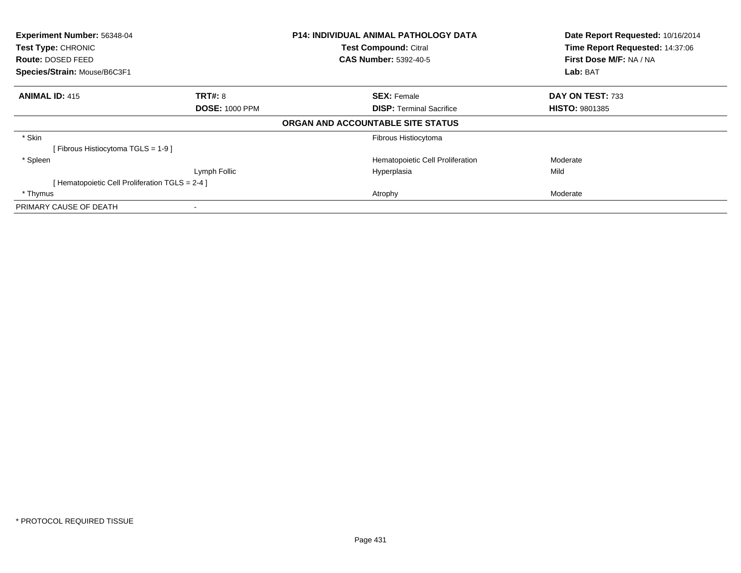| Experiment Number: 56348-04                    |                       | <b>P14: INDIVIDUAL ANIMAL PATHOLOGY DATA</b> | Date Report Requested: 10/16/2014 |
|------------------------------------------------|-----------------------|----------------------------------------------|-----------------------------------|
| <b>Test Type: CHRONIC</b>                      |                       | <b>Test Compound: Citral</b>                 | Time Report Requested: 14:37:06   |
| <b>Route: DOSED FEED</b>                       |                       | <b>CAS Number: 5392-40-5</b>                 | First Dose M/F: NA / NA           |
| Species/Strain: Mouse/B6C3F1                   |                       |                                              | Lab: BAT                          |
| <b>ANIMAL ID: 415</b>                          | <b>TRT#: 8</b>        | <b>SEX: Female</b>                           | DAY ON TEST: 733                  |
|                                                | <b>DOSE: 1000 PPM</b> | <b>DISP:</b> Terminal Sacrifice              | <b>HISTO: 9801385</b>             |
|                                                |                       | ORGAN AND ACCOUNTABLE SITE STATUS            |                                   |
| * Skin                                         |                       | Fibrous Histiocytoma                         |                                   |
| [Fibrous Histiocytoma TGLS = 1-9]              |                       |                                              |                                   |
| * Spleen                                       |                       | Hematopoietic Cell Proliferation             | Moderate                          |
|                                                | Lymph Follic          | Hyperplasia                                  | Mild                              |
| [Hematopoietic Cell Proliferation TGLS = 2-4 ] |                       |                                              |                                   |
| * Thymus                                       |                       | Atrophy                                      | Moderate                          |
| PRIMARY CAUSE OF DEATH                         |                       |                                              |                                   |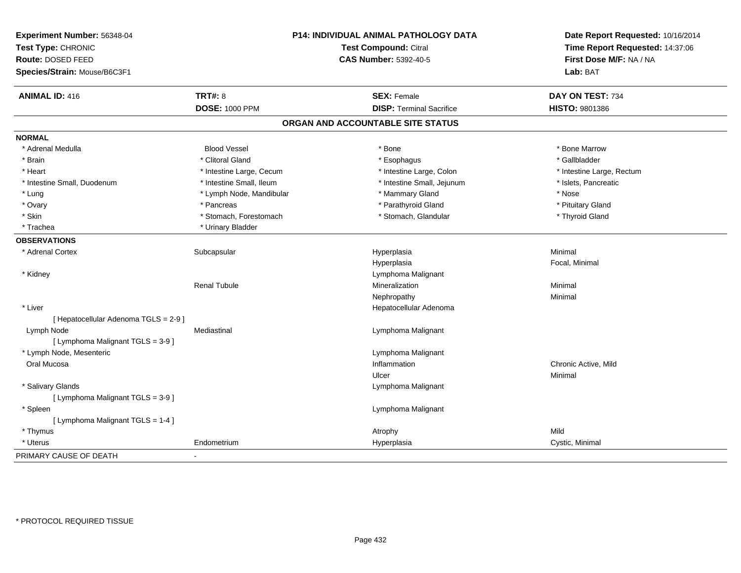| Experiment Number: 56348-04<br>Test Type: CHRONIC<br>Route: DOSED FEED<br>Species/Strain: Mouse/B6C3F1 |                          | <b>P14: INDIVIDUAL ANIMAL PATHOLOGY DATA</b><br><b>Test Compound: Citral</b><br><b>CAS Number: 5392-40-5</b> | Date Report Requested: 10/16/2014<br>Time Report Requested: 14:37:06<br>First Dose M/F: NA / NA<br>Lab: BAT |
|--------------------------------------------------------------------------------------------------------|--------------------------|--------------------------------------------------------------------------------------------------------------|-------------------------------------------------------------------------------------------------------------|
| <b>ANIMAL ID: 416</b>                                                                                  | <b>TRT#: 8</b>           | <b>SEX: Female</b>                                                                                           | DAY ON TEST: 734                                                                                            |
|                                                                                                        | <b>DOSE: 1000 PPM</b>    | <b>DISP: Terminal Sacrifice</b>                                                                              | <b>HISTO: 9801386</b>                                                                                       |
|                                                                                                        |                          | ORGAN AND ACCOUNTABLE SITE STATUS                                                                            |                                                                                                             |
| <b>NORMAL</b>                                                                                          |                          |                                                                                                              |                                                                                                             |
| * Adrenal Medulla                                                                                      | <b>Blood Vessel</b>      | * Bone                                                                                                       | * Bone Marrow                                                                                               |
| * Brain                                                                                                | * Clitoral Gland         | * Esophagus                                                                                                  | * Gallbladder                                                                                               |
| * Heart                                                                                                | * Intestine Large, Cecum | * Intestine Large, Colon                                                                                     | * Intestine Large, Rectum                                                                                   |
| * Intestine Small, Duodenum                                                                            | * Intestine Small, Ileum | * Intestine Small, Jejunum                                                                                   | * Islets, Pancreatic                                                                                        |
| * Lung                                                                                                 | * Lymph Node, Mandibular | * Mammary Gland                                                                                              | * Nose                                                                                                      |
| * Ovary                                                                                                | * Pancreas               | * Parathyroid Gland                                                                                          | * Pituitary Gland                                                                                           |
| * Skin                                                                                                 | * Stomach, Forestomach   | * Stomach, Glandular                                                                                         | * Thyroid Gland                                                                                             |
| * Trachea                                                                                              | * Urinary Bladder        |                                                                                                              |                                                                                                             |
| <b>OBSERVATIONS</b>                                                                                    |                          |                                                                                                              |                                                                                                             |
| * Adrenal Cortex                                                                                       | Subcapsular              | Hyperplasia                                                                                                  | Minimal                                                                                                     |
|                                                                                                        |                          | Hyperplasia                                                                                                  | Focal, Minimal                                                                                              |
| * Kidney                                                                                               |                          | Lymphoma Malignant                                                                                           |                                                                                                             |
|                                                                                                        | <b>Renal Tubule</b>      | Mineralization                                                                                               | Minimal                                                                                                     |
|                                                                                                        |                          | Nephropathy                                                                                                  | Minimal                                                                                                     |
| * Liver                                                                                                |                          | Hepatocellular Adenoma                                                                                       |                                                                                                             |
| [ Hepatocellular Adenoma TGLS = 2-9 ]                                                                  |                          |                                                                                                              |                                                                                                             |
| Lymph Node                                                                                             | Mediastinal              | Lymphoma Malignant                                                                                           |                                                                                                             |
| [ Lymphoma Malignant TGLS = 3-9 ]                                                                      |                          |                                                                                                              |                                                                                                             |
| * Lymph Node, Mesenteric                                                                               |                          | Lymphoma Malignant                                                                                           |                                                                                                             |
| Oral Mucosa                                                                                            |                          | Inflammation                                                                                                 | Chronic Active, Mild                                                                                        |
|                                                                                                        |                          | Ulcer                                                                                                        | Minimal                                                                                                     |
| * Salivary Glands                                                                                      |                          | Lymphoma Malignant                                                                                           |                                                                                                             |
| [ Lymphoma Malignant TGLS = 3-9 ]                                                                      |                          |                                                                                                              |                                                                                                             |
| * Spleen                                                                                               |                          | Lymphoma Malignant                                                                                           |                                                                                                             |
| [ Lymphoma Malignant TGLS = 1-4 ]                                                                      |                          |                                                                                                              |                                                                                                             |
| * Thymus                                                                                               |                          | Atrophy                                                                                                      | Mild                                                                                                        |
| * Uterus                                                                                               | Endometrium              | Hyperplasia                                                                                                  | Cystic, Minimal                                                                                             |
| PRIMARY CAUSE OF DEATH                                                                                 |                          |                                                                                                              |                                                                                                             |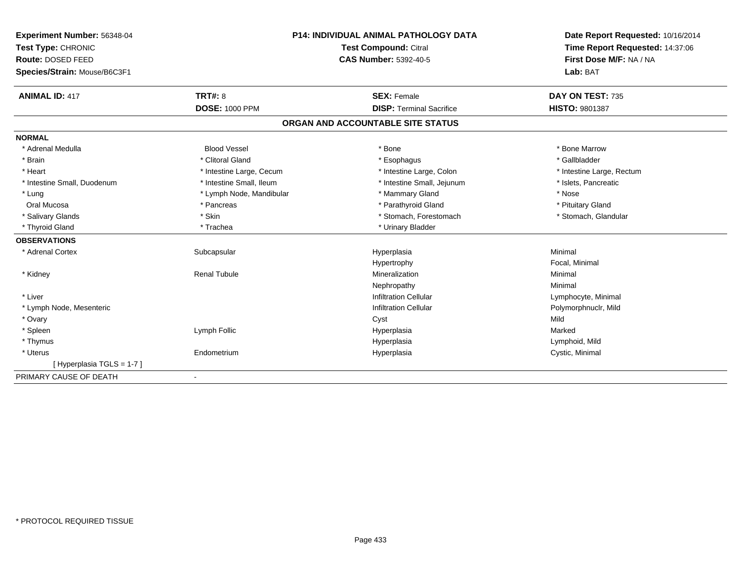| <b>Experiment Number: 56348-04</b> | <b>P14: INDIVIDUAL ANIMAL PATHOLOGY DATA</b><br>Test Compound: Citral |                                   | Date Report Requested: 10/16/2014 |  |
|------------------------------------|-----------------------------------------------------------------------|-----------------------------------|-----------------------------------|--|
| Test Type: CHRONIC                 |                                                                       |                                   | Time Report Requested: 14:37:06   |  |
| Route: DOSED FEED                  |                                                                       | <b>CAS Number: 5392-40-5</b>      | First Dose M/F: NA / NA           |  |
| Species/Strain: Mouse/B6C3F1       |                                                                       |                                   | Lab: BAT                          |  |
| <b>ANIMAL ID: 417</b>              | <b>TRT#: 8</b>                                                        | <b>SEX: Female</b>                | DAY ON TEST: 735                  |  |
|                                    | <b>DOSE: 1000 PPM</b>                                                 | <b>DISP: Terminal Sacrifice</b>   | HISTO: 9801387                    |  |
|                                    |                                                                       | ORGAN AND ACCOUNTABLE SITE STATUS |                                   |  |
| <b>NORMAL</b>                      |                                                                       |                                   |                                   |  |
| * Adrenal Medulla                  | <b>Blood Vessel</b>                                                   | * Bone                            | * Bone Marrow                     |  |
| * Brain                            | * Clitoral Gland                                                      | * Esophagus                       | * Gallbladder                     |  |
| * Heart                            | * Intestine Large, Cecum                                              | * Intestine Large, Colon          | * Intestine Large, Rectum         |  |
| * Intestine Small, Duodenum        | * Intestine Small, Ileum                                              | * Intestine Small, Jejunum        | * Islets, Pancreatic              |  |
| * Lung                             | * Lymph Node, Mandibular                                              | * Mammary Gland                   | * Nose                            |  |
| Oral Mucosa                        | * Pancreas                                                            | * Parathyroid Gland               | * Pituitary Gland                 |  |
| * Salivary Glands                  | * Skin                                                                | * Stomach, Forestomach            | * Stomach, Glandular              |  |
| * Thyroid Gland                    | * Trachea                                                             | * Urinary Bladder                 |                                   |  |
| <b>OBSERVATIONS</b>                |                                                                       |                                   |                                   |  |
| * Adrenal Cortex                   | Subcapsular                                                           | Hyperplasia                       | Minimal                           |  |
|                                    |                                                                       | Hypertrophy                       | Focal, Minimal                    |  |
| * Kidney                           | <b>Renal Tubule</b>                                                   | Mineralization                    | Minimal                           |  |
|                                    |                                                                       | Nephropathy                       | Minimal                           |  |
| * Liver                            |                                                                       | <b>Infiltration Cellular</b>      | Lymphocyte, Minimal               |  |
| * Lymph Node, Mesenteric           |                                                                       | <b>Infiltration Cellular</b>      | Polymorphnuclr, Mild              |  |
| * Ovary                            |                                                                       | Cyst                              | Mild                              |  |
| * Spleen                           | Lymph Follic                                                          | Hyperplasia                       | Marked                            |  |
| * Thymus                           |                                                                       | Hyperplasia                       | Lymphoid, Mild                    |  |
| * Uterus                           | Endometrium                                                           | Hyperplasia                       | Cystic, Minimal                   |  |
| [Hyperplasia TGLS = 1-7]           |                                                                       |                                   |                                   |  |
| PRIMARY CAUSE OF DEATH             |                                                                       |                                   |                                   |  |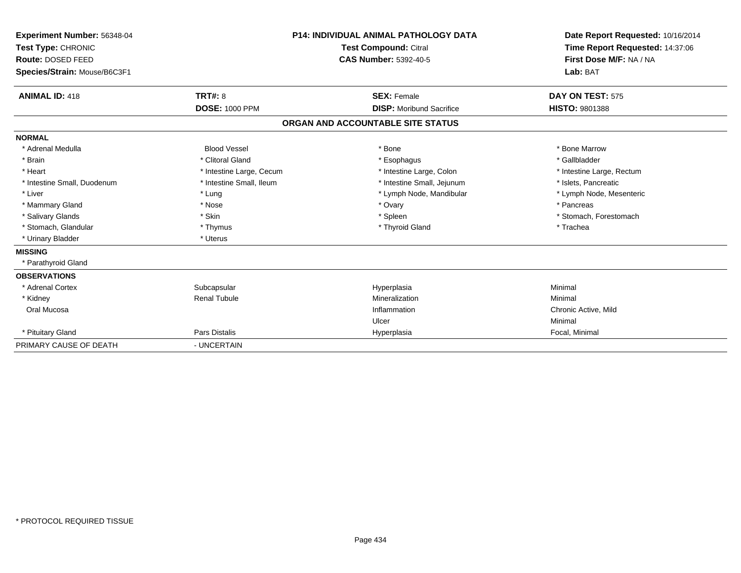| Experiment Number: 56348-04<br>Test Type: CHRONIC<br>Route: DOSED FEED<br>Species/Strain: Mouse/B6C3F1 |                          | <b>P14: INDIVIDUAL ANIMAL PATHOLOGY DATA</b><br><b>Test Compound: Citral</b><br><b>CAS Number: 5392-40-5</b> | Date Report Requested: 10/16/2014<br>Time Report Requested: 14:37:06<br>First Dose M/F: NA / NA<br>Lab: BAT |
|--------------------------------------------------------------------------------------------------------|--------------------------|--------------------------------------------------------------------------------------------------------------|-------------------------------------------------------------------------------------------------------------|
| <b>ANIMAL ID: 418</b>                                                                                  | <b>TRT#: 8</b>           | <b>SEX: Female</b>                                                                                           | DAY ON TEST: 575                                                                                            |
|                                                                                                        | <b>DOSE: 1000 PPM</b>    | <b>DISP:</b> Moribund Sacrifice                                                                              | <b>HISTO: 9801388</b>                                                                                       |
|                                                                                                        |                          | ORGAN AND ACCOUNTABLE SITE STATUS                                                                            |                                                                                                             |
| <b>NORMAL</b>                                                                                          |                          |                                                                                                              |                                                                                                             |
| * Adrenal Medulla                                                                                      | <b>Blood Vessel</b>      | * Bone                                                                                                       | * Bone Marrow                                                                                               |
| * Brain                                                                                                | * Clitoral Gland         | * Esophagus                                                                                                  | * Gallbladder                                                                                               |
| * Heart                                                                                                | * Intestine Large, Cecum | * Intestine Large, Colon                                                                                     | * Intestine Large, Rectum                                                                                   |
| * Intestine Small, Duodenum                                                                            | * Intestine Small, Ileum | * Intestine Small, Jejunum                                                                                   | * Islets, Pancreatic                                                                                        |
| * Liver                                                                                                | * Lung                   | * Lymph Node, Mandibular                                                                                     | * Lymph Node, Mesenteric                                                                                    |
| * Mammary Gland                                                                                        | * Nose                   | * Ovary                                                                                                      | * Pancreas                                                                                                  |
| * Salivary Glands                                                                                      | * Skin                   | * Spleen                                                                                                     | * Stomach, Forestomach                                                                                      |
| * Stomach, Glandular                                                                                   | * Thymus                 | * Thyroid Gland                                                                                              | * Trachea                                                                                                   |
| * Urinary Bladder                                                                                      | * Uterus                 |                                                                                                              |                                                                                                             |
| <b>MISSING</b>                                                                                         |                          |                                                                                                              |                                                                                                             |
| * Parathyroid Gland                                                                                    |                          |                                                                                                              |                                                                                                             |
| <b>OBSERVATIONS</b>                                                                                    |                          |                                                                                                              |                                                                                                             |
| * Adrenal Cortex                                                                                       | Subcapsular              | Hyperplasia                                                                                                  | Minimal                                                                                                     |
| * Kidney                                                                                               | <b>Renal Tubule</b>      | Mineralization                                                                                               | Minimal                                                                                                     |
| Oral Mucosa                                                                                            |                          | Inflammation                                                                                                 | Chronic Active, Mild                                                                                        |
|                                                                                                        |                          | Ulcer                                                                                                        | Minimal                                                                                                     |
| * Pituitary Gland                                                                                      | Pars Distalis            | Hyperplasia                                                                                                  | Focal, Minimal                                                                                              |
| PRIMARY CAUSE OF DEATH                                                                                 | - UNCERTAIN              |                                                                                                              |                                                                                                             |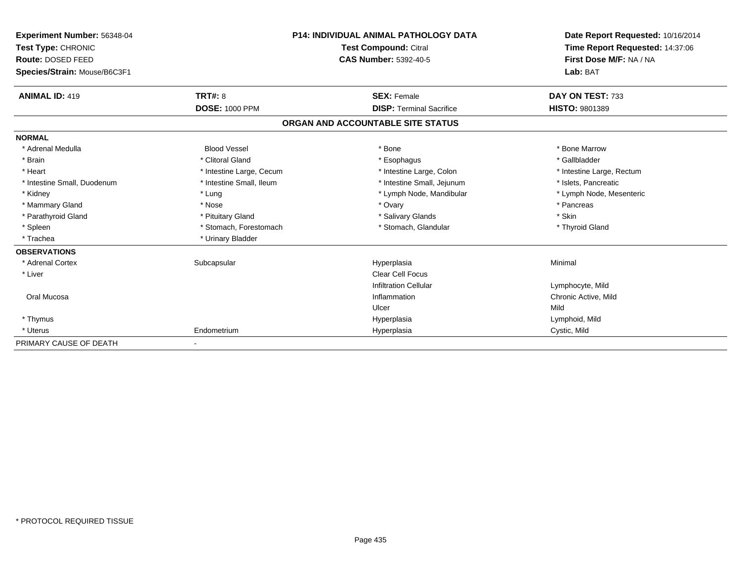| Experiment Number: 56348-04  | <b>P14: INDIVIDUAL ANIMAL PATHOLOGY DATA</b><br><b>Test Compound: Citral</b> |                                   | Date Report Requested: 10/16/2014 |  |
|------------------------------|------------------------------------------------------------------------------|-----------------------------------|-----------------------------------|--|
| Test Type: CHRONIC           |                                                                              |                                   | Time Report Requested: 14:37:06   |  |
| Route: DOSED FEED            |                                                                              | <b>CAS Number: 5392-40-5</b>      | First Dose M/F: NA / NA           |  |
| Species/Strain: Mouse/B6C3F1 |                                                                              |                                   | Lab: BAT                          |  |
| <b>ANIMAL ID: 419</b>        | TRT#: 8                                                                      | <b>SEX: Female</b>                | DAY ON TEST: 733                  |  |
|                              | <b>DOSE: 1000 PPM</b>                                                        | <b>DISP: Terminal Sacrifice</b>   | <b>HISTO: 9801389</b>             |  |
|                              |                                                                              | ORGAN AND ACCOUNTABLE SITE STATUS |                                   |  |
| <b>NORMAL</b>                |                                                                              |                                   |                                   |  |
| * Adrenal Medulla            | <b>Blood Vessel</b>                                                          | * Bone                            | * Bone Marrow                     |  |
| * Brain                      | * Clitoral Gland                                                             | * Esophagus                       | * Gallbladder                     |  |
| * Heart                      | * Intestine Large, Cecum                                                     | * Intestine Large, Colon          | * Intestine Large, Rectum         |  |
| * Intestine Small, Duodenum  | * Intestine Small, Ileum                                                     | * Intestine Small, Jejunum        | * Islets, Pancreatic              |  |
| * Kidney                     | * Lung                                                                       | * Lymph Node, Mandibular          | * Lymph Node, Mesenteric          |  |
| * Mammary Gland              | * Nose                                                                       | * Ovary                           | * Pancreas                        |  |
| * Parathyroid Gland          | * Pituitary Gland                                                            | * Salivary Glands                 | * Skin                            |  |
| * Spleen                     | * Stomach, Forestomach                                                       | * Stomach, Glandular              | * Thyroid Gland                   |  |
| * Trachea                    | * Urinary Bladder                                                            |                                   |                                   |  |
| <b>OBSERVATIONS</b>          |                                                                              |                                   |                                   |  |
| * Adrenal Cortex             | Subcapsular                                                                  | Hyperplasia                       | Minimal                           |  |
| * Liver                      |                                                                              | Clear Cell Focus                  |                                   |  |
|                              |                                                                              | <b>Infiltration Cellular</b>      | Lymphocyte, Mild                  |  |
| Oral Mucosa                  |                                                                              | Inflammation                      | Chronic Active, Mild              |  |
|                              |                                                                              | Ulcer                             | Mild                              |  |
| * Thymus                     |                                                                              | Hyperplasia                       | Lymphoid, Mild                    |  |
| * Uterus                     | Endometrium                                                                  | Hyperplasia                       | Cystic, Mild                      |  |
| PRIMARY CAUSE OF DEATH       |                                                                              |                                   |                                   |  |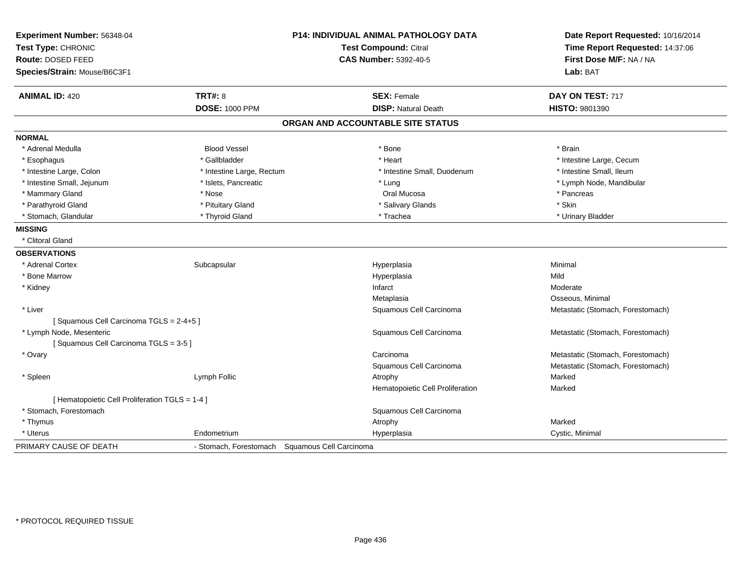| Experiment Number: 56348-04                     |                                                | <b>P14: INDIVIDUAL ANIMAL PATHOLOGY DATA</b> | Date Report Requested: 10/16/2014 |
|-------------------------------------------------|------------------------------------------------|----------------------------------------------|-----------------------------------|
| Test Type: CHRONIC                              |                                                | <b>Test Compound: Citral</b>                 | Time Report Requested: 14:37:06   |
| Route: DOSED FEED                               |                                                | <b>CAS Number: 5392-40-5</b>                 | First Dose M/F: NA / NA           |
| Species/Strain: Mouse/B6C3F1                    |                                                |                                              | Lab: BAT                          |
| <b>ANIMAL ID: 420</b>                           | <b>TRT#: 8</b>                                 | <b>SEX: Female</b>                           | DAY ON TEST: 717                  |
|                                                 | <b>DOSE: 1000 PPM</b>                          | <b>DISP: Natural Death</b>                   | <b>HISTO: 9801390</b>             |
|                                                 |                                                | ORGAN AND ACCOUNTABLE SITE STATUS            |                                   |
| <b>NORMAL</b>                                   |                                                |                                              |                                   |
| * Adrenal Medulla                               | <b>Blood Vessel</b>                            | * Bone                                       | * Brain                           |
| * Esophagus                                     | * Gallbladder                                  | * Heart                                      | * Intestine Large, Cecum          |
| * Intestine Large, Colon                        | * Intestine Large, Rectum                      | * Intestine Small, Duodenum                  | * Intestine Small, Ileum          |
| * Intestine Small, Jejunum                      | * Islets, Pancreatic                           | * Lung                                       | * Lymph Node, Mandibular          |
| * Mammary Gland                                 | * Nose                                         | Oral Mucosa                                  | * Pancreas                        |
| * Parathyroid Gland                             | * Pituitary Gland                              | * Salivary Glands                            | * Skin                            |
| * Stomach, Glandular                            | * Thyroid Gland                                | * Trachea                                    | * Urinary Bladder                 |
| <b>MISSING</b>                                  |                                                |                                              |                                   |
| * Clitoral Gland                                |                                                |                                              |                                   |
| <b>OBSERVATIONS</b>                             |                                                |                                              |                                   |
| * Adrenal Cortex                                | Subcapsular                                    | Hyperplasia                                  | Minimal                           |
| * Bone Marrow                                   |                                                | Hyperplasia                                  | Mild                              |
| * Kidney                                        |                                                | Infarct                                      | Moderate                          |
|                                                 |                                                | Metaplasia                                   | Osseous, Minimal                  |
| * Liver                                         |                                                | Squamous Cell Carcinoma                      | Metastatic (Stomach, Forestomach) |
| [Squamous Cell Carcinoma TGLS = 2-4+5]          |                                                |                                              |                                   |
| * Lymph Node, Mesenteric                        |                                                | Squamous Cell Carcinoma                      | Metastatic (Stomach, Forestomach) |
| [Squamous Cell Carcinoma TGLS = 3-5]            |                                                |                                              |                                   |
| * Ovary                                         |                                                | Carcinoma                                    | Metastatic (Stomach, Forestomach) |
|                                                 |                                                | Squamous Cell Carcinoma                      | Metastatic (Stomach, Forestomach) |
| * Spleen                                        | Lymph Follic                                   | Atrophy                                      | Marked                            |
|                                                 |                                                | Hematopoietic Cell Proliferation             | Marked                            |
| [ Hematopoietic Cell Proliferation TGLS = 1-4 ] |                                                |                                              |                                   |
| * Stomach. Forestomach                          |                                                | Squamous Cell Carcinoma                      |                                   |
| * Thymus                                        |                                                | Atrophy                                      | Marked                            |
| * Uterus                                        | Endometrium                                    | Hyperplasia                                  | Cystic, Minimal                   |
| PRIMARY CAUSE OF DEATH                          | - Stomach, Forestomach Squamous Cell Carcinoma |                                              |                                   |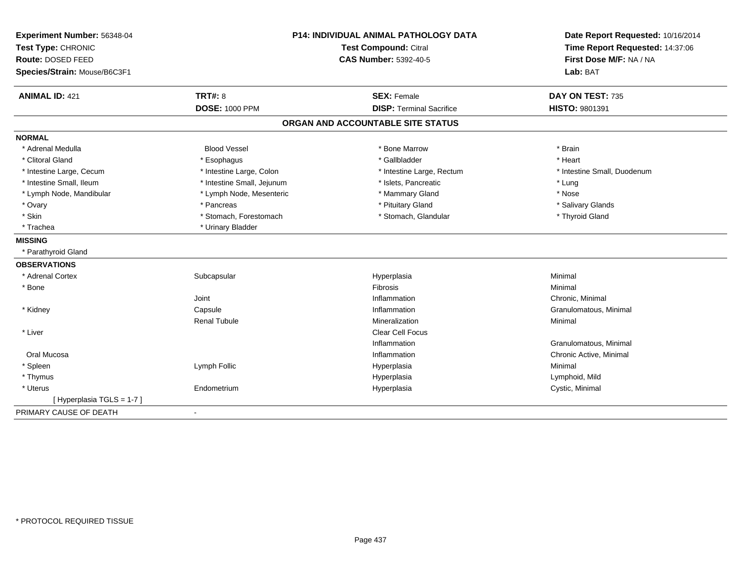| Experiment Number: 56348-04<br>Test Type: CHRONIC<br>Route: DOSED FEED |                            | <b>P14: INDIVIDUAL ANIMAL PATHOLOGY DATA</b><br><b>Test Compound: Citral</b><br><b>CAS Number: 5392-40-5</b> | Date Report Requested: 10/16/2014<br>Time Report Requested: 14:37:06<br>First Dose M/F: NA / NA |
|------------------------------------------------------------------------|----------------------------|--------------------------------------------------------------------------------------------------------------|-------------------------------------------------------------------------------------------------|
| Species/Strain: Mouse/B6C3F1                                           |                            |                                                                                                              | Lab: BAT                                                                                        |
| <b>ANIMAL ID: 421</b>                                                  | <b>TRT#: 8</b>             | <b>SEX: Female</b>                                                                                           | DAY ON TEST: 735                                                                                |
|                                                                        | <b>DOSE: 1000 PPM</b>      | <b>DISP: Terminal Sacrifice</b>                                                                              | HISTO: 9801391                                                                                  |
|                                                                        |                            | ORGAN AND ACCOUNTABLE SITE STATUS                                                                            |                                                                                                 |
| <b>NORMAL</b>                                                          |                            |                                                                                                              |                                                                                                 |
| * Adrenal Medulla                                                      | <b>Blood Vessel</b>        | * Bone Marrow                                                                                                | * Brain                                                                                         |
| * Clitoral Gland                                                       | * Esophagus                | * Gallbladder                                                                                                | * Heart                                                                                         |
| * Intestine Large, Cecum                                               | * Intestine Large, Colon   | * Intestine Large, Rectum                                                                                    | * Intestine Small, Duodenum                                                                     |
| * Intestine Small, Ileum                                               | * Intestine Small, Jejunum | * Islets. Pancreatic                                                                                         | * Lung                                                                                          |
| * Lymph Node, Mandibular                                               | * Lymph Node, Mesenteric   | * Mammary Gland                                                                                              | * Nose                                                                                          |
| * Ovary                                                                | * Pancreas                 | * Pituitary Gland                                                                                            | * Salivary Glands                                                                               |
| * Skin                                                                 | * Stomach, Forestomach     | * Stomach, Glandular                                                                                         | * Thyroid Gland                                                                                 |
| * Trachea                                                              | * Urinary Bladder          |                                                                                                              |                                                                                                 |
| <b>MISSING</b>                                                         |                            |                                                                                                              |                                                                                                 |
| * Parathyroid Gland                                                    |                            |                                                                                                              |                                                                                                 |
| <b>OBSERVATIONS</b>                                                    |                            |                                                                                                              |                                                                                                 |
| * Adrenal Cortex                                                       | Subcapsular                | Hyperplasia                                                                                                  | Minimal                                                                                         |
| * Bone                                                                 |                            | Fibrosis                                                                                                     | Minimal                                                                                         |
|                                                                        | Joint                      | Inflammation                                                                                                 | Chronic, Minimal                                                                                |
| * Kidney                                                               | Capsule                    | Inflammation                                                                                                 | Granulomatous, Minimal                                                                          |
|                                                                        | <b>Renal Tubule</b>        | Mineralization                                                                                               | Minimal                                                                                         |
| * Liver                                                                |                            | <b>Clear Cell Focus</b>                                                                                      |                                                                                                 |
|                                                                        |                            | Inflammation                                                                                                 | Granulomatous, Minimal                                                                          |
| Oral Mucosa                                                            |                            | Inflammation                                                                                                 | Chronic Active, Minimal                                                                         |
| * Spleen                                                               | Lymph Follic               | Hyperplasia                                                                                                  | Minimal                                                                                         |
| * Thymus                                                               |                            | Hyperplasia                                                                                                  | Lymphoid, Mild                                                                                  |
| * Uterus                                                               | Endometrium                | Hyperplasia                                                                                                  | Cystic, Minimal                                                                                 |
| [ Hyperplasia TGLS = 1-7 ]                                             |                            |                                                                                                              |                                                                                                 |
| PRIMARY CAUSE OF DEATH                                                 | $\blacksquare$             |                                                                                                              |                                                                                                 |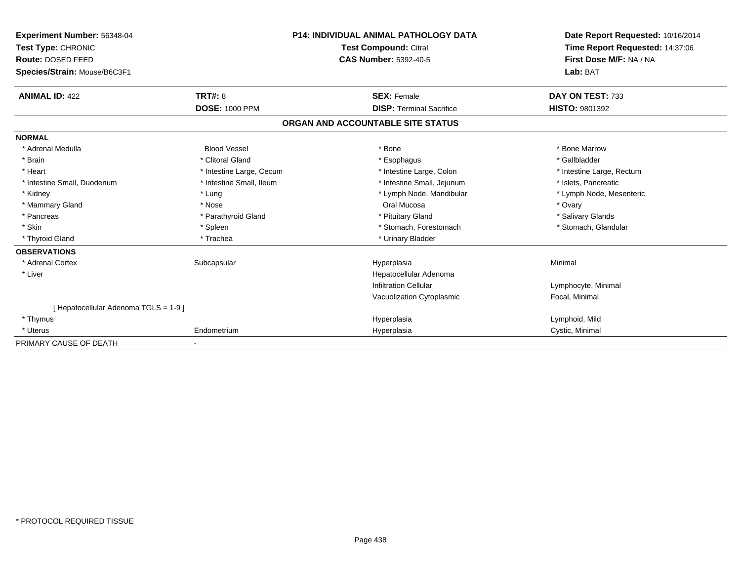| Experiment Number: 56348-04         | <b>P14: INDIVIDUAL ANIMAL PATHOLOGY DATA</b><br><b>Test Compound: Citral</b> |                                   | Date Report Requested: 10/16/2014 |  |
|-------------------------------------|------------------------------------------------------------------------------|-----------------------------------|-----------------------------------|--|
| Test Type: CHRONIC                  |                                                                              |                                   | Time Report Requested: 14:37:06   |  |
| Route: DOSED FEED                   |                                                                              | <b>CAS Number: 5392-40-5</b>      | First Dose M/F: NA / NA           |  |
| Species/Strain: Mouse/B6C3F1        |                                                                              |                                   | Lab: BAT                          |  |
| <b>ANIMAL ID: 422</b>               | TRT#: 8                                                                      | <b>SEX: Female</b>                | DAY ON TEST: 733                  |  |
|                                     | <b>DOSE: 1000 PPM</b>                                                        | <b>DISP: Terminal Sacrifice</b>   | <b>HISTO: 9801392</b>             |  |
|                                     |                                                                              | ORGAN AND ACCOUNTABLE SITE STATUS |                                   |  |
| <b>NORMAL</b>                       |                                                                              |                                   |                                   |  |
| * Adrenal Medulla                   | <b>Blood Vessel</b>                                                          | * Bone                            | * Bone Marrow                     |  |
| * Brain                             | * Clitoral Gland                                                             | * Esophagus                       | * Gallbladder                     |  |
| * Heart                             | * Intestine Large, Cecum                                                     | * Intestine Large, Colon          | * Intestine Large, Rectum         |  |
| * Intestine Small, Duodenum         | * Intestine Small, Ileum                                                     | * Intestine Small, Jejunum        | * Islets, Pancreatic              |  |
| * Kidney                            | * Lung                                                                       | * Lymph Node, Mandibular          | * Lymph Node, Mesenteric          |  |
| * Mammary Gland                     | * Nose                                                                       | Oral Mucosa                       | * Ovary                           |  |
| * Pancreas                          | * Parathyroid Gland                                                          | * Pituitary Gland                 | * Salivary Glands                 |  |
| * Skin                              | * Spleen                                                                     | * Stomach, Forestomach            | * Stomach, Glandular              |  |
| * Thyroid Gland                     | * Trachea                                                                    | * Urinary Bladder                 |                                   |  |
| <b>OBSERVATIONS</b>                 |                                                                              |                                   |                                   |  |
| * Adrenal Cortex                    | Subcapsular                                                                  | Hyperplasia                       | Minimal                           |  |
| * Liver                             |                                                                              | Hepatocellular Adenoma            |                                   |  |
|                                     |                                                                              | <b>Infiltration Cellular</b>      | Lymphocyte, Minimal               |  |
|                                     |                                                                              | Vacuolization Cytoplasmic         | Focal, Minimal                    |  |
| [Hepatocellular Adenoma TGLS = 1-9] |                                                                              |                                   |                                   |  |
| * Thymus                            |                                                                              | Hyperplasia                       | Lymphoid, Mild                    |  |
| * Uterus                            | Endometrium                                                                  | Hyperplasia                       | Cystic, Minimal                   |  |
| PRIMARY CAUSE OF DEATH              |                                                                              |                                   |                                   |  |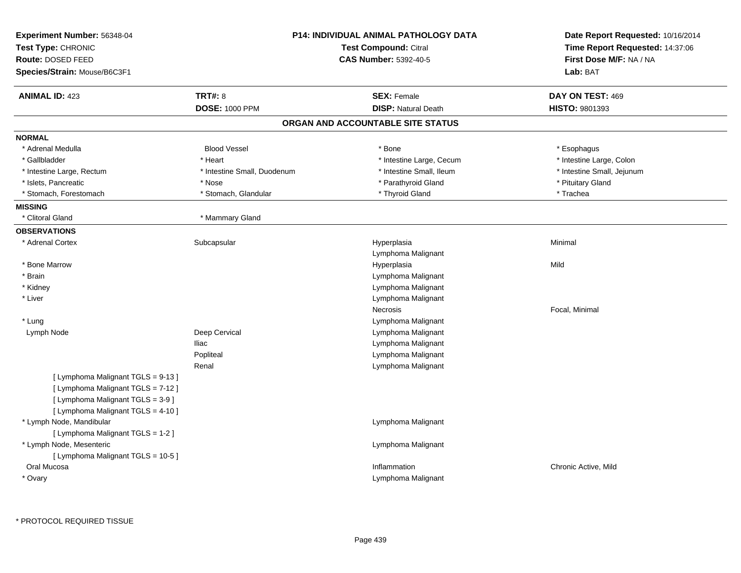| Experiment Number: 56348-04<br>Test Type: CHRONIC<br>Route: DOSED FEED<br>Species/Strain: Mouse/B6C3F1 |                             | <b>P14: INDIVIDUAL ANIMAL PATHOLOGY DATA</b><br><b>Test Compound: Citral</b><br><b>CAS Number: 5392-40-5</b> | Date Report Requested: 10/16/2014<br>Time Report Requested: 14:37:06<br>First Dose M/F: NA / NA<br>Lab: BAT |
|--------------------------------------------------------------------------------------------------------|-----------------------------|--------------------------------------------------------------------------------------------------------------|-------------------------------------------------------------------------------------------------------------|
| <b>ANIMAL ID: 423</b>                                                                                  | <b>TRT#: 8</b>              | <b>SEX: Female</b>                                                                                           | DAY ON TEST: 469                                                                                            |
|                                                                                                        | <b>DOSE: 1000 PPM</b>       | <b>DISP: Natural Death</b>                                                                                   | <b>HISTO: 9801393</b>                                                                                       |
|                                                                                                        |                             | ORGAN AND ACCOUNTABLE SITE STATUS                                                                            |                                                                                                             |
| <b>NORMAL</b>                                                                                          |                             |                                                                                                              |                                                                                                             |
| * Adrenal Medulla                                                                                      | <b>Blood Vessel</b>         | * Bone                                                                                                       | * Esophagus                                                                                                 |
| * Gallbladder                                                                                          | * Heart                     | * Intestine Large, Cecum                                                                                     | * Intestine Large, Colon                                                                                    |
| * Intestine Large, Rectum                                                                              | * Intestine Small, Duodenum | * Intestine Small, Ileum                                                                                     | * Intestine Small, Jejunum                                                                                  |
| * Islets, Pancreatic                                                                                   | * Nose                      | * Parathyroid Gland                                                                                          | * Pituitary Gland                                                                                           |
| * Stomach, Forestomach                                                                                 | * Stomach, Glandular        | * Thyroid Gland                                                                                              | * Trachea                                                                                                   |
| <b>MISSING</b>                                                                                         |                             |                                                                                                              |                                                                                                             |
| * Clitoral Gland                                                                                       | * Mammary Gland             |                                                                                                              |                                                                                                             |
| <b>OBSERVATIONS</b>                                                                                    |                             |                                                                                                              |                                                                                                             |
| * Adrenal Cortex                                                                                       | Subcapsular                 | Hyperplasia<br>Lymphoma Malignant                                                                            | Minimal                                                                                                     |
| * Bone Marrow                                                                                          |                             | Hyperplasia                                                                                                  | Mild                                                                                                        |
| * Brain                                                                                                |                             | Lymphoma Malignant                                                                                           |                                                                                                             |
| * Kidney                                                                                               |                             | Lymphoma Malignant                                                                                           |                                                                                                             |
| * Liver                                                                                                |                             | Lymphoma Malignant                                                                                           |                                                                                                             |
|                                                                                                        |                             | Necrosis                                                                                                     | Focal, Minimal                                                                                              |
| * Lung                                                                                                 |                             | Lymphoma Malignant                                                                                           |                                                                                                             |
| Lymph Node                                                                                             | Deep Cervical               | Lymphoma Malignant                                                                                           |                                                                                                             |
|                                                                                                        | <b>Iliac</b>                | Lymphoma Malignant                                                                                           |                                                                                                             |
|                                                                                                        | Popliteal                   | Lymphoma Malignant                                                                                           |                                                                                                             |
|                                                                                                        | Renal                       | Lymphoma Malignant                                                                                           |                                                                                                             |
| [ Lymphoma Malignant TGLS = 9-13 ]                                                                     |                             |                                                                                                              |                                                                                                             |
| [ Lymphoma Malignant TGLS = 7-12 ]                                                                     |                             |                                                                                                              |                                                                                                             |
| [ Lymphoma Malignant TGLS = 3-9 ]                                                                      |                             |                                                                                                              |                                                                                                             |
| [ Lymphoma Malignant TGLS = 4-10 ]                                                                     |                             |                                                                                                              |                                                                                                             |
| * Lymph Node, Mandibular                                                                               |                             | Lymphoma Malignant                                                                                           |                                                                                                             |
| [ Lymphoma Malignant TGLS = 1-2 ]                                                                      |                             |                                                                                                              |                                                                                                             |
| * Lymph Node, Mesenteric                                                                               |                             | Lymphoma Malignant                                                                                           |                                                                                                             |
| [ Lymphoma Malignant TGLS = 10-5 ]                                                                     |                             |                                                                                                              |                                                                                                             |
| Oral Mucosa                                                                                            |                             | Inflammation                                                                                                 | Chronic Active, Mild                                                                                        |
| * Ovary                                                                                                |                             | Lymphoma Malignant                                                                                           |                                                                                                             |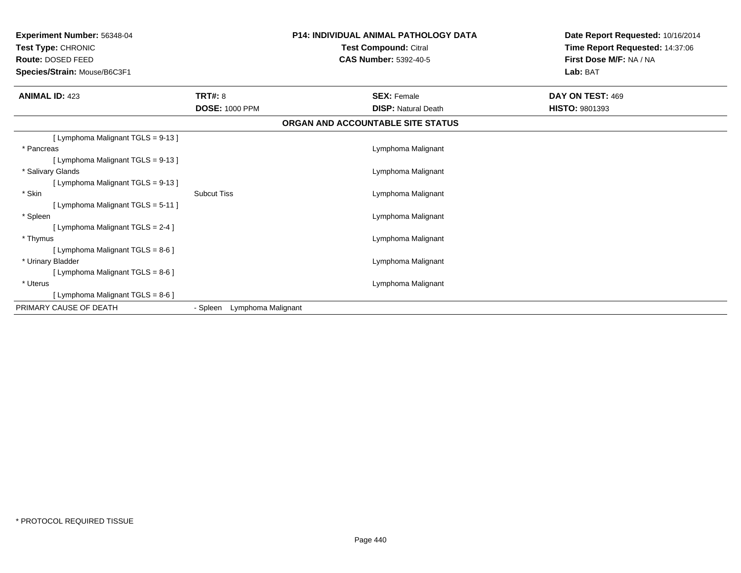| <b>Experiment Number: 56348-04</b><br>Test Type: CHRONIC<br><b>Route: DOSED FEED</b><br>Species/Strain: Mouse/B6C3F1 | <b>P14: INDIVIDUAL ANIMAL PATHOLOGY DATA</b><br><b>Test Compound: Citral</b><br><b>CAS Number: 5392-40-5</b> |                                   | Date Report Requested: 10/16/2014<br>Time Report Requested: 14:37:06<br>First Dose M/F: NA / NA<br>Lab: BAT |  |
|----------------------------------------------------------------------------------------------------------------------|--------------------------------------------------------------------------------------------------------------|-----------------------------------|-------------------------------------------------------------------------------------------------------------|--|
| <b>ANIMAL ID: 423</b>                                                                                                | <b>TRT#: 8</b>                                                                                               | <b>SEX: Female</b>                | DAY ON TEST: 469                                                                                            |  |
|                                                                                                                      | <b>DOSE: 1000 PPM</b>                                                                                        | <b>DISP:</b> Natural Death        | <b>HISTO: 9801393</b>                                                                                       |  |
|                                                                                                                      |                                                                                                              | ORGAN AND ACCOUNTABLE SITE STATUS |                                                                                                             |  |
| [ Lymphoma Malignant TGLS = 9-13 ]                                                                                   |                                                                                                              |                                   |                                                                                                             |  |
| * Pancreas                                                                                                           |                                                                                                              | Lymphoma Malignant                |                                                                                                             |  |
| [ Lymphoma Malignant TGLS = 9-13 ]                                                                                   |                                                                                                              |                                   |                                                                                                             |  |
| * Salivary Glands                                                                                                    |                                                                                                              | Lymphoma Malignant                |                                                                                                             |  |
| [ Lymphoma Malignant TGLS = 9-13 ]                                                                                   |                                                                                                              |                                   |                                                                                                             |  |
| * Skin                                                                                                               | <b>Subcut Tiss</b>                                                                                           | Lymphoma Malignant                |                                                                                                             |  |
| [ Lymphoma Malignant TGLS = 5-11 ]                                                                                   |                                                                                                              |                                   |                                                                                                             |  |
| * Spleen                                                                                                             |                                                                                                              | Lymphoma Malignant                |                                                                                                             |  |
| [ Lymphoma Malignant TGLS = 2-4 ]                                                                                    |                                                                                                              |                                   |                                                                                                             |  |
| * Thymus<br>[ Lymphoma Malignant TGLS = 8-6 ]                                                                        |                                                                                                              | Lymphoma Malignant                |                                                                                                             |  |
| * Urinary Bladder                                                                                                    |                                                                                                              | Lymphoma Malignant                |                                                                                                             |  |
| [ Lymphoma Malignant TGLS = 8-6 ]                                                                                    |                                                                                                              |                                   |                                                                                                             |  |
| * Uterus                                                                                                             |                                                                                                              | Lymphoma Malignant                |                                                                                                             |  |
| [ Lymphoma Malignant TGLS = 8-6 ]                                                                                    |                                                                                                              |                                   |                                                                                                             |  |
| PRIMARY CAUSE OF DEATH                                                                                               | Lymphoma Malignant<br>- Spleen                                                                               |                                   |                                                                                                             |  |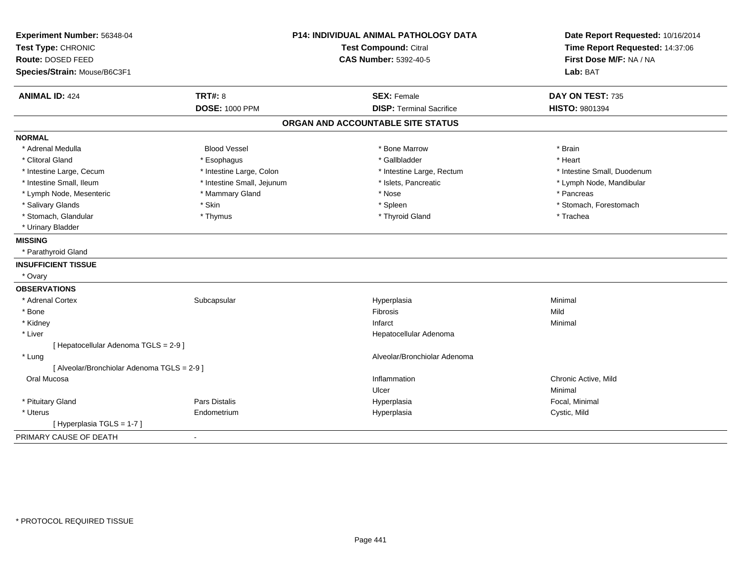| Experiment Number: 56348-04<br>Test Type: CHRONIC |                            | <b>P14: INDIVIDUAL ANIMAL PATHOLOGY DATA</b><br><b>Test Compound: Citral</b> | Date Report Requested: 10/16/2014<br>Time Report Requested: 14:37:06 |
|---------------------------------------------------|----------------------------|------------------------------------------------------------------------------|----------------------------------------------------------------------|
| Route: DOSED FEED                                 |                            | <b>CAS Number: 5392-40-5</b>                                                 | First Dose M/F: NA / NA                                              |
| Species/Strain: Mouse/B6C3F1                      |                            |                                                                              | Lab: BAT                                                             |
|                                                   |                            |                                                                              |                                                                      |
| <b>ANIMAL ID: 424</b>                             | <b>TRT#: 8</b>             | <b>SEX: Female</b>                                                           | DAY ON TEST: 735                                                     |
|                                                   | <b>DOSE: 1000 PPM</b>      | <b>DISP: Terminal Sacrifice</b>                                              | <b>HISTO: 9801394</b>                                                |
|                                                   |                            | ORGAN AND ACCOUNTABLE SITE STATUS                                            |                                                                      |
| <b>NORMAL</b>                                     |                            |                                                                              |                                                                      |
| * Adrenal Medulla                                 | <b>Blood Vessel</b>        | * Bone Marrow                                                                | * Brain                                                              |
| * Clitoral Gland                                  | * Esophagus                | * Gallbladder                                                                | * Heart                                                              |
| * Intestine Large, Cecum                          | * Intestine Large, Colon   | * Intestine Large, Rectum                                                    | * Intestine Small, Duodenum                                          |
| * Intestine Small, Ileum                          | * Intestine Small, Jejunum | * Islets, Pancreatic                                                         | * Lymph Node, Mandibular                                             |
| * Lymph Node, Mesenteric                          | * Mammary Gland            | * Nose                                                                       | * Pancreas                                                           |
| * Salivary Glands                                 | * Skin                     | * Spleen                                                                     | * Stomach, Forestomach                                               |
| * Stomach, Glandular                              | * Thymus                   | * Thyroid Gland                                                              | * Trachea                                                            |
| * Urinary Bladder                                 |                            |                                                                              |                                                                      |
| <b>MISSING</b>                                    |                            |                                                                              |                                                                      |
| * Parathyroid Gland                               |                            |                                                                              |                                                                      |
| <b>INSUFFICIENT TISSUE</b>                        |                            |                                                                              |                                                                      |
| * Ovary                                           |                            |                                                                              |                                                                      |
| <b>OBSERVATIONS</b>                               |                            |                                                                              |                                                                      |
| * Adrenal Cortex                                  | Subcapsular                | Hyperplasia                                                                  | Minimal                                                              |
| * Bone                                            |                            | Fibrosis                                                                     | Mild                                                                 |
| * Kidney                                          |                            | Infarct                                                                      | Minimal                                                              |
| * Liver                                           |                            | Hepatocellular Adenoma                                                       |                                                                      |
| [ Hepatocellular Adenoma TGLS = 2-9 ]             |                            |                                                                              |                                                                      |
| * Lung                                            |                            | Alveolar/Bronchiolar Adenoma                                                 |                                                                      |
| [ Alveolar/Bronchiolar Adenoma TGLS = 2-9 ]       |                            |                                                                              |                                                                      |
| Oral Mucosa                                       |                            | Inflammation                                                                 | Chronic Active, Mild                                                 |
|                                                   |                            | Ulcer                                                                        | Minimal                                                              |
| * Pituitary Gland                                 | <b>Pars Distalis</b>       | Hyperplasia                                                                  | Focal, Minimal                                                       |
| * Uterus                                          | Endometrium                | Hyperplasia                                                                  | Cystic, Mild                                                         |
| [ Hyperplasia TGLS = 1-7 ]                        |                            |                                                                              |                                                                      |
| PRIMARY CAUSE OF DEATH                            | $\sim$                     |                                                                              |                                                                      |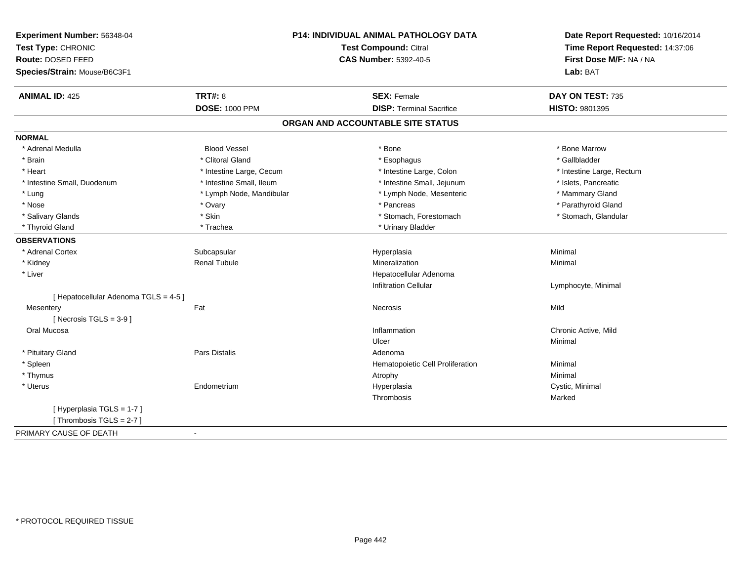| Experiment Number: 56348-04           |                              | P14: INDIVIDUAL ANIMAL PATHOLOGY DATA | Date Report Requested: 10/16/2014 |
|---------------------------------------|------------------------------|---------------------------------------|-----------------------------------|
| Test Type: CHRONIC                    | <b>Test Compound: Citral</b> |                                       | Time Report Requested: 14:37:06   |
| <b>Route: DOSED FEED</b>              |                              | <b>CAS Number: 5392-40-5</b>          | First Dose M/F: NA / NA           |
| Species/Strain: Mouse/B6C3F1          |                              |                                       | Lab: BAT                          |
| <b>ANIMAL ID: 425</b>                 | <b>TRT#: 8</b>               | <b>SEX: Female</b>                    | DAY ON TEST: 735                  |
|                                       | <b>DOSE: 1000 PPM</b>        | <b>DISP: Terminal Sacrifice</b>       | HISTO: 9801395                    |
|                                       |                              | ORGAN AND ACCOUNTABLE SITE STATUS     |                                   |
| <b>NORMAL</b>                         |                              |                                       |                                   |
| * Adrenal Medulla                     | <b>Blood Vessel</b>          | * Bone                                | * Bone Marrow                     |
| * Brain                               | * Clitoral Gland             | * Esophagus                           | * Gallbladder                     |
| * Heart                               | * Intestine Large, Cecum     | * Intestine Large, Colon              | * Intestine Large, Rectum         |
| * Intestine Small, Duodenum           | * Intestine Small, Ileum     | * Intestine Small, Jejunum            | * Islets, Pancreatic              |
| * Lung                                | * Lymph Node, Mandibular     | * Lymph Node, Mesenteric              | * Mammary Gland                   |
| * Nose                                | * Ovary                      | * Pancreas                            | * Parathyroid Gland               |
| * Salivary Glands                     | * Skin                       | * Stomach, Forestomach                | * Stomach, Glandular              |
| * Thyroid Gland                       | * Trachea                    | * Urinary Bladder                     |                                   |
| <b>OBSERVATIONS</b>                   |                              |                                       |                                   |
| * Adrenal Cortex                      | Subcapsular                  | Hyperplasia                           | Minimal                           |
| * Kidney                              | <b>Renal Tubule</b>          | Mineralization                        | Minimal                           |
| * Liver                               |                              | Hepatocellular Adenoma                |                                   |
|                                       |                              | <b>Infiltration Cellular</b>          | Lymphocyte, Minimal               |
| [ Hepatocellular Adenoma TGLS = 4-5 ] |                              |                                       |                                   |
| Mesentery                             | Fat                          | Necrosis                              | Mild                              |
| [ Necrosis TGLS = $3-9$ ]             |                              |                                       |                                   |
| Oral Mucosa                           |                              | Inflammation                          | Chronic Active, Mild              |
|                                       |                              | Ulcer                                 | Minimal                           |
| * Pituitary Gland                     | Pars Distalis                | Adenoma                               |                                   |
| * Spleen                              |                              | Hematopoietic Cell Proliferation      | Minimal                           |
| * Thymus                              |                              | Atrophy                               | Minimal                           |
| * Uterus                              | Endometrium                  | Hyperplasia                           | Cystic, Minimal                   |
|                                       |                              | Thrombosis                            | Marked                            |
| [Hyperplasia TGLS = 1-7]              |                              |                                       |                                   |
| [Thrombosis TGLS = $2-7$ ]            |                              |                                       |                                   |
| PRIMARY CAUSE OF DEATH                | $\sim$                       |                                       |                                   |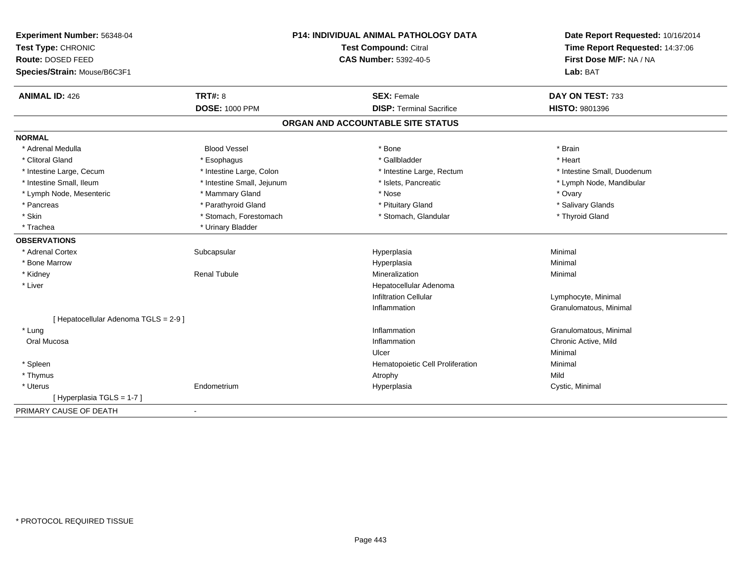| Experiment Number: 56348-04           | P14: INDIVIDUAL ANIMAL PATHOLOGY DATA<br><b>Test Compound: Citral</b> |                                   | Date Report Requested: 10/16/2014 |
|---------------------------------------|-----------------------------------------------------------------------|-----------------------------------|-----------------------------------|
| Test Type: CHRONIC                    |                                                                       |                                   | Time Report Requested: 14:37:06   |
| Route: DOSED FEED                     |                                                                       | <b>CAS Number: 5392-40-5</b>      | First Dose M/F: NA / NA           |
| Species/Strain: Mouse/B6C3F1          |                                                                       |                                   | Lab: BAT                          |
| <b>ANIMAL ID: 426</b>                 | <b>TRT#: 8</b>                                                        | <b>SEX: Female</b>                | DAY ON TEST: 733                  |
|                                       | <b>DOSE: 1000 PPM</b>                                                 | <b>DISP: Terminal Sacrifice</b>   | <b>HISTO: 9801396</b>             |
|                                       |                                                                       | ORGAN AND ACCOUNTABLE SITE STATUS |                                   |
| <b>NORMAL</b>                         |                                                                       |                                   |                                   |
| * Adrenal Medulla                     | <b>Blood Vessel</b>                                                   | * Bone                            | * Brain                           |
| * Clitoral Gland                      | * Esophagus                                                           | * Gallbladder                     | * Heart                           |
| * Intestine Large, Cecum              | * Intestine Large, Colon                                              | * Intestine Large, Rectum         | * Intestine Small, Duodenum       |
| * Intestine Small, Ileum              | * Intestine Small, Jejunum                                            | * Islets, Pancreatic              | * Lymph Node, Mandibular          |
| * Lymph Node, Mesenteric              | * Mammary Gland                                                       | * Nose                            | * Ovary                           |
| * Pancreas                            | * Parathyroid Gland                                                   | * Pituitary Gland                 | * Salivary Glands                 |
| * Skin                                | * Stomach, Forestomach                                                | * Stomach, Glandular              | * Thyroid Gland                   |
| * Trachea                             | * Urinary Bladder                                                     |                                   |                                   |
| <b>OBSERVATIONS</b>                   |                                                                       |                                   |                                   |
| * Adrenal Cortex                      | Subcapsular                                                           | Hyperplasia                       | Minimal                           |
| * Bone Marrow                         |                                                                       | Hyperplasia                       | Minimal                           |
| * Kidney                              | <b>Renal Tubule</b>                                                   | Mineralization                    | Minimal                           |
| * Liver                               |                                                                       | Hepatocellular Adenoma            |                                   |
|                                       |                                                                       | <b>Infiltration Cellular</b>      | Lymphocyte, Minimal               |
|                                       |                                                                       | Inflammation                      | Granulomatous, Minimal            |
| [ Hepatocellular Adenoma TGLS = 2-9 ] |                                                                       |                                   |                                   |
| * Lung                                |                                                                       | Inflammation                      | Granulomatous, Minimal            |
| Oral Mucosa                           |                                                                       | Inflammation                      | Chronic Active, Mild              |
|                                       |                                                                       | Ulcer                             | Minimal                           |
| * Spleen                              |                                                                       | Hematopoietic Cell Proliferation  | Minimal                           |
| * Thymus                              |                                                                       | Atrophy                           | Mild                              |
| * Uterus                              | Endometrium                                                           | Hyperplasia                       | Cystic, Minimal                   |
| [Hyperplasia TGLS = 1-7]              |                                                                       |                                   |                                   |
| PRIMARY CAUSE OF DEATH                | $\blacksquare$                                                        |                                   |                                   |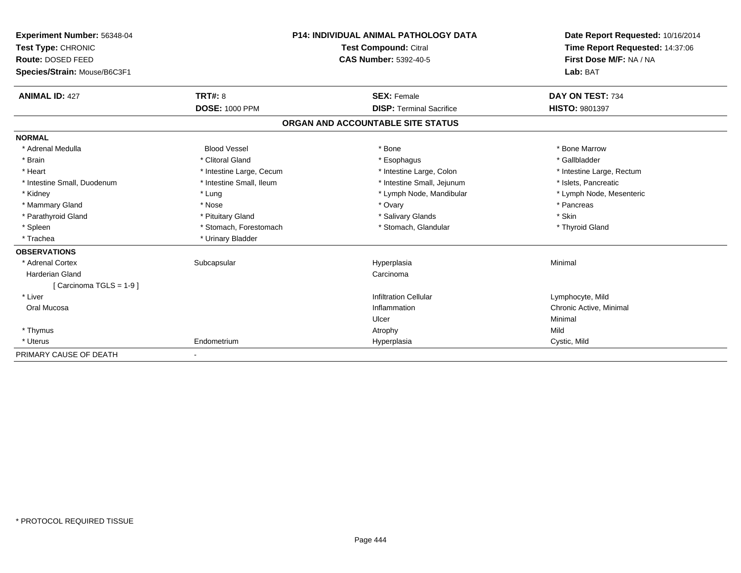| Experiment Number: 56348-04  |                              | <b>P14: INDIVIDUAL ANIMAL PATHOLOGY DATA</b> | Date Report Requested: 10/16/2014<br>Time Report Requested: 14:37:06 |
|------------------------------|------------------------------|----------------------------------------------|----------------------------------------------------------------------|
| Test Type: CHRONIC           | <b>Test Compound: Citral</b> |                                              |                                                                      |
| <b>Route: DOSED FEED</b>     |                              | <b>CAS Number: 5392-40-5</b>                 | First Dose M/F: NA / NA                                              |
| Species/Strain: Mouse/B6C3F1 |                              |                                              | Lab: BAT                                                             |
| <b>ANIMAL ID: 427</b>        | <b>TRT#: 8</b>               | <b>SEX: Female</b>                           | DAY ON TEST: 734                                                     |
|                              | <b>DOSE: 1000 PPM</b>        | <b>DISP: Terminal Sacrifice</b>              | <b>HISTO: 9801397</b>                                                |
|                              |                              | ORGAN AND ACCOUNTABLE SITE STATUS            |                                                                      |
| <b>NORMAL</b>                |                              |                                              |                                                                      |
| * Adrenal Medulla            | <b>Blood Vessel</b>          | * Bone                                       | * Bone Marrow                                                        |
| * Brain                      | * Clitoral Gland             | * Esophagus                                  | * Gallbladder                                                        |
| * Heart                      | * Intestine Large, Cecum     | * Intestine Large, Colon                     | * Intestine Large, Rectum                                            |
| * Intestine Small, Duodenum  | * Intestine Small, Ileum     | * Intestine Small, Jejunum                   | * Islets, Pancreatic                                                 |
| * Kidney                     | * Lung                       | * Lymph Node, Mandibular                     | * Lymph Node, Mesenteric                                             |
| * Mammary Gland              | * Nose                       | * Ovary                                      | * Pancreas                                                           |
| * Parathyroid Gland          | * Pituitary Gland            | * Salivary Glands                            | * Skin                                                               |
| * Spleen                     | * Stomach, Forestomach       | * Stomach, Glandular                         | * Thyroid Gland                                                      |
| * Trachea                    | * Urinary Bladder            |                                              |                                                                      |
| <b>OBSERVATIONS</b>          |                              |                                              |                                                                      |
| * Adrenal Cortex             | Subcapsular                  | Hyperplasia                                  | Minimal                                                              |
| <b>Harderian Gland</b>       |                              | Carcinoma                                    |                                                                      |
| [Carcinoma TGLS = 1-9]       |                              |                                              |                                                                      |
| * Liver                      |                              | <b>Infiltration Cellular</b>                 | Lymphocyte, Mild                                                     |
| Oral Mucosa                  |                              | Inflammation                                 | Chronic Active, Minimal                                              |
|                              |                              | Ulcer                                        | Minimal                                                              |
| * Thymus                     |                              | Atrophy                                      | Mild                                                                 |
| * Uterus                     | Endometrium                  | Hyperplasia                                  | Cystic, Mild                                                         |
| PRIMARY CAUSE OF DEATH       |                              |                                              |                                                                      |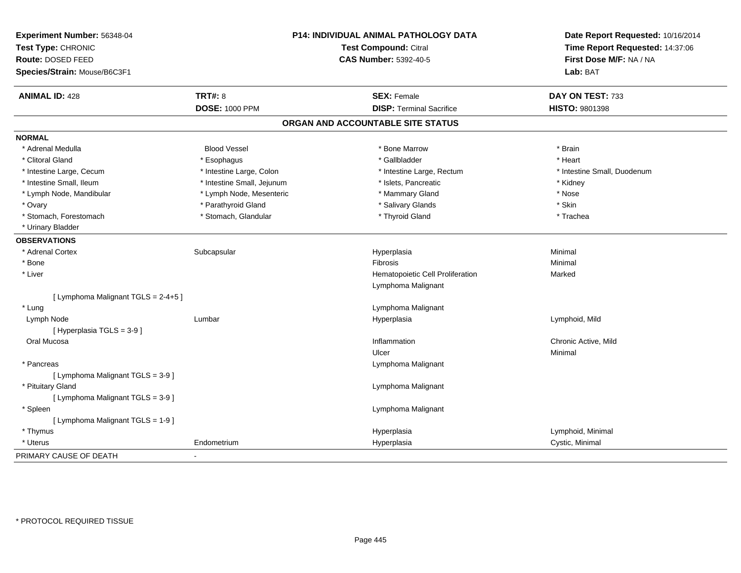| Experiment Number: 56348-04<br>Test Type: CHRONIC<br>Route: DOSED FEED<br>Species/Strain: Mouse/B6C3F1 |                            | P14: INDIVIDUAL ANIMAL PATHOLOGY DATA<br><b>Test Compound: Citral</b><br><b>CAS Number: 5392-40-5</b> | Date Report Requested: 10/16/2014<br>Time Report Requested: 14:37:06<br>First Dose M/F: NA / NA<br>Lab: BAT |
|--------------------------------------------------------------------------------------------------------|----------------------------|-------------------------------------------------------------------------------------------------------|-------------------------------------------------------------------------------------------------------------|
| <b>ANIMAL ID: 428</b>                                                                                  | <b>TRT#: 8</b>             | <b>SEX: Female</b>                                                                                    | DAY ON TEST: 733                                                                                            |
|                                                                                                        | <b>DOSE: 1000 PPM</b>      | <b>DISP: Terminal Sacrifice</b>                                                                       | HISTO: 9801398                                                                                              |
|                                                                                                        |                            | ORGAN AND ACCOUNTABLE SITE STATUS                                                                     |                                                                                                             |
| <b>NORMAL</b>                                                                                          |                            |                                                                                                       |                                                                                                             |
| * Adrenal Medulla                                                                                      | <b>Blood Vessel</b>        | * Bone Marrow                                                                                         | * Brain                                                                                                     |
| * Clitoral Gland                                                                                       | * Esophagus                | * Gallbladder                                                                                         | * Heart                                                                                                     |
| * Intestine Large, Cecum                                                                               | * Intestine Large, Colon   | * Intestine Large, Rectum                                                                             | * Intestine Small, Duodenum                                                                                 |
| * Intestine Small, Ileum                                                                               | * Intestine Small, Jejunum | * Islets, Pancreatic                                                                                  | * Kidney                                                                                                    |
| * Lymph Node, Mandibular                                                                               | * Lymph Node, Mesenteric   | * Mammary Gland                                                                                       | * Nose                                                                                                      |
| * Ovary                                                                                                | * Parathyroid Gland        | * Salivary Glands                                                                                     | * Skin                                                                                                      |
| * Stomach, Forestomach                                                                                 | * Stomach, Glandular       | * Thyroid Gland                                                                                       | * Trachea                                                                                                   |
| * Urinary Bladder                                                                                      |                            |                                                                                                       |                                                                                                             |
| <b>OBSERVATIONS</b>                                                                                    |                            |                                                                                                       |                                                                                                             |
| * Adrenal Cortex                                                                                       | Subcapsular                | Hyperplasia                                                                                           | Minimal                                                                                                     |
| * Bone                                                                                                 |                            | Fibrosis                                                                                              | Minimal                                                                                                     |
| * Liver                                                                                                |                            | Hematopoietic Cell Proliferation                                                                      | Marked                                                                                                      |
|                                                                                                        |                            | Lymphoma Malignant                                                                                    |                                                                                                             |
| [ Lymphoma Malignant TGLS = 2-4+5 ]                                                                    |                            |                                                                                                       |                                                                                                             |
| * Lung                                                                                                 |                            | Lymphoma Malignant                                                                                    |                                                                                                             |
| Lymph Node                                                                                             | Lumbar                     | Hyperplasia                                                                                           | Lymphoid, Mild                                                                                              |
| [ Hyperplasia TGLS = 3-9 ]                                                                             |                            |                                                                                                       |                                                                                                             |
| Oral Mucosa                                                                                            |                            | Inflammation                                                                                          | Chronic Active, Mild                                                                                        |
|                                                                                                        |                            | Ulcer                                                                                                 | Minimal                                                                                                     |
| * Pancreas                                                                                             |                            | Lymphoma Malignant                                                                                    |                                                                                                             |
| [ Lymphoma Malignant TGLS = 3-9 ]                                                                      |                            |                                                                                                       |                                                                                                             |
| * Pituitary Gland                                                                                      |                            | Lymphoma Malignant                                                                                    |                                                                                                             |
| [ Lymphoma Malignant TGLS = 3-9 ]                                                                      |                            |                                                                                                       |                                                                                                             |
| * Spleen                                                                                               |                            | Lymphoma Malignant                                                                                    |                                                                                                             |
| [ Lymphoma Malignant TGLS = 1-9 ]                                                                      |                            |                                                                                                       |                                                                                                             |
| * Thymus                                                                                               |                            | Hyperplasia                                                                                           | Lymphoid, Minimal                                                                                           |
| * Uterus                                                                                               | Endometrium                | Hyperplasia                                                                                           | Cystic, Minimal                                                                                             |
| PRIMARY CAUSE OF DEATH                                                                                 |                            |                                                                                                       |                                                                                                             |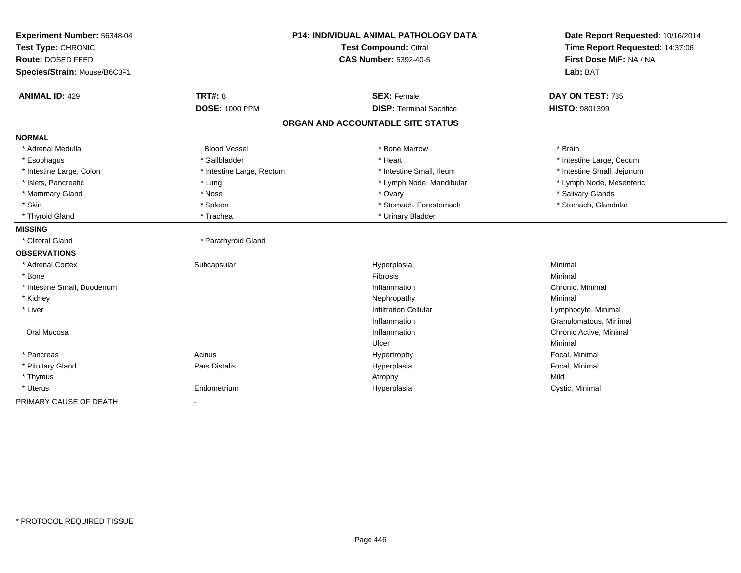| Experiment Number: 56348-04  | <b>P14: INDIVIDUAL ANIMAL PATHOLOGY DATA</b> |                                   | Date Report Requested: 10/16/2014                          |  |
|------------------------------|----------------------------------------------|-----------------------------------|------------------------------------------------------------|--|
| Test Type: CHRONIC           |                                              | <b>Test Compound: Citral</b>      | Time Report Requested: 14:37:06<br>First Dose M/F: NA / NA |  |
| Route: DOSED FEED            |                                              | CAS Number: 5392-40-5             |                                                            |  |
| Species/Strain: Mouse/B6C3F1 |                                              |                                   | Lab: BAT                                                   |  |
| <b>ANIMAL ID: 429</b>        | <b>TRT#: 8</b>                               | <b>SEX: Female</b>                | DAY ON TEST: 735                                           |  |
|                              | <b>DOSE: 1000 PPM</b>                        | <b>DISP: Terminal Sacrifice</b>   | HISTO: 9801399                                             |  |
|                              |                                              | ORGAN AND ACCOUNTABLE SITE STATUS |                                                            |  |
| <b>NORMAL</b>                |                                              |                                   |                                                            |  |
| * Adrenal Medulla            | <b>Blood Vessel</b>                          | * Bone Marrow                     | * Brain                                                    |  |
| * Esophagus                  | * Gallbladder                                | * Heart                           | * Intestine Large, Cecum                                   |  |
| * Intestine Large, Colon     | * Intestine Large, Rectum                    | * Intestine Small. Ileum          | * Intestine Small, Jejunum                                 |  |
| * Islets, Pancreatic         | * Lung                                       | * Lymph Node, Mandibular          | * Lymph Node, Mesenteric                                   |  |
| * Mammary Gland              | * Nose                                       | * Ovary                           | * Salivary Glands                                          |  |
| * Skin                       | * Spleen                                     | * Stomach, Forestomach            | * Stomach, Glandular                                       |  |
| * Thyroid Gland              | * Trachea                                    | * Urinary Bladder                 |                                                            |  |
| <b>MISSING</b>               |                                              |                                   |                                                            |  |
| * Clitoral Gland             | * Parathyroid Gland                          |                                   |                                                            |  |
| <b>OBSERVATIONS</b>          |                                              |                                   |                                                            |  |
| * Adrenal Cortex             | Subcapsular                                  | Hyperplasia                       | Minimal                                                    |  |
| * Bone                       |                                              | Fibrosis                          | Minimal                                                    |  |
| * Intestine Small, Duodenum  |                                              | Inflammation                      | Chronic, Minimal                                           |  |
| * Kidney                     |                                              | Nephropathy                       | Minimal                                                    |  |
| * Liver                      |                                              | <b>Infiltration Cellular</b>      | Lymphocyte, Minimal                                        |  |
|                              |                                              | Inflammation                      | Granulomatous, Minimal                                     |  |
| Oral Mucosa                  |                                              | Inflammation                      | Chronic Active, Minimal                                    |  |
|                              |                                              | Ulcer                             | Minimal                                                    |  |
| * Pancreas                   | Acinus                                       | Hypertrophy                       | Focal, Minimal                                             |  |
| * Pituitary Gland            | <b>Pars Distalis</b>                         | Hyperplasia                       | Focal, Minimal                                             |  |
| * Thymus                     |                                              | Atrophy                           | Mild                                                       |  |
| * Uterus                     | Endometrium                                  | Hyperplasia                       | Cystic, Minimal                                            |  |
| PRIMARY CAUSE OF DEATH       | $\blacksquare$                               |                                   |                                                            |  |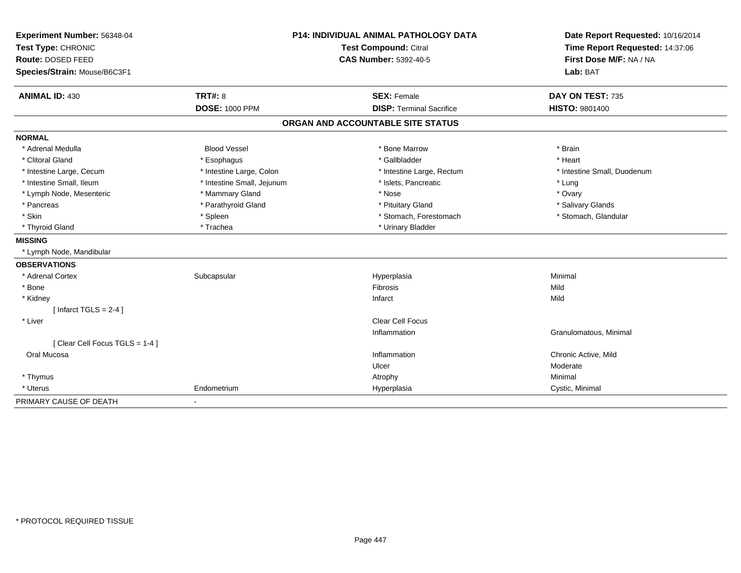| Experiment Number: 56348-04             | <b>P14: INDIVIDUAL ANIMAL PATHOLOGY DATA</b> |                                   | Date Report Requested: 10/16/2014                          |  |
|-----------------------------------------|----------------------------------------------|-----------------------------------|------------------------------------------------------------|--|
| Test Type: CHRONIC<br>Route: DOSED FEED |                                              | <b>Test Compound: Citral</b>      | Time Report Requested: 14:37:06<br>First Dose M/F: NA / NA |  |
|                                         |                                              | <b>CAS Number: 5392-40-5</b>      |                                                            |  |
| Species/Strain: Mouse/B6C3F1            |                                              |                                   | Lab: BAT                                                   |  |
| <b>ANIMAL ID: 430</b>                   | <b>TRT#: 8</b>                               | <b>SEX: Female</b>                | DAY ON TEST: 735                                           |  |
|                                         | <b>DOSE: 1000 PPM</b>                        | <b>DISP: Terminal Sacrifice</b>   | HISTO: 9801400                                             |  |
|                                         |                                              | ORGAN AND ACCOUNTABLE SITE STATUS |                                                            |  |
| <b>NORMAL</b>                           |                                              |                                   |                                                            |  |
| * Adrenal Medulla                       | <b>Blood Vessel</b>                          | * Bone Marrow                     | * Brain                                                    |  |
| * Clitoral Gland                        | * Esophagus                                  | * Gallbladder                     | * Heart                                                    |  |
| * Intestine Large, Cecum                | * Intestine Large, Colon                     | * Intestine Large, Rectum         | * Intestine Small, Duodenum                                |  |
| * Intestine Small, Ileum                | * Intestine Small, Jejunum                   | * Islets, Pancreatic              | * Lung                                                     |  |
| * Lymph Node, Mesenteric                | * Mammary Gland                              | * Nose                            | * Ovary                                                    |  |
| * Pancreas                              | * Parathyroid Gland                          | * Pituitary Gland                 | * Salivary Glands                                          |  |
| * Skin                                  | * Spleen                                     | * Stomach, Forestomach            | * Stomach, Glandular                                       |  |
| * Thyroid Gland                         | * Trachea                                    | * Urinary Bladder                 |                                                            |  |
| <b>MISSING</b>                          |                                              |                                   |                                                            |  |
| * Lymph Node, Mandibular                |                                              |                                   |                                                            |  |
| <b>OBSERVATIONS</b>                     |                                              |                                   |                                                            |  |
| * Adrenal Cortex                        | Subcapsular                                  | Hyperplasia                       | Minimal                                                    |  |
| * Bone                                  |                                              | Fibrosis                          | Mild                                                       |  |
| * Kidney                                |                                              | Infarct                           | Mild                                                       |  |
| [Infarct TGLS = $2-4$ ]                 |                                              |                                   |                                                            |  |
| * Liver                                 |                                              | <b>Clear Cell Focus</b>           |                                                            |  |
|                                         |                                              | Inflammation                      | Granulomatous, Minimal                                     |  |
| [Clear Cell Focus TGLS = 1-4]           |                                              |                                   |                                                            |  |
| Oral Mucosa                             |                                              | Inflammation                      | Chronic Active, Mild                                       |  |
|                                         |                                              | Ulcer                             | Moderate                                                   |  |
| * Thymus                                |                                              | Atrophy                           | Minimal                                                    |  |
| * Uterus                                | Endometrium                                  | Hyperplasia                       | Cystic, Minimal                                            |  |
| PRIMARY CAUSE OF DEATH                  | ٠                                            |                                   |                                                            |  |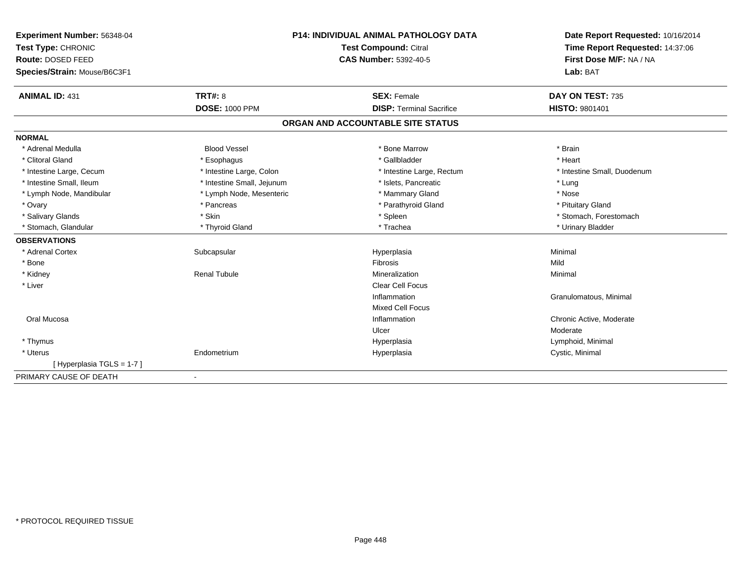| Experiment Number: 56348-04  | <b>P14: INDIVIDUAL ANIMAL PATHOLOGY DATA</b><br>Test Compound: Citral |                                   | Date Report Requested: 10/16/2014 |  |
|------------------------------|-----------------------------------------------------------------------|-----------------------------------|-----------------------------------|--|
| Test Type: CHRONIC           |                                                                       |                                   | Time Report Requested: 14:37:06   |  |
| Route: DOSED FEED            |                                                                       | <b>CAS Number: 5392-40-5</b>      | First Dose M/F: NA / NA           |  |
| Species/Strain: Mouse/B6C3F1 |                                                                       |                                   | Lab: BAT                          |  |
| <b>ANIMAL ID: 431</b>        | <b>TRT#: 8</b>                                                        | <b>SEX: Female</b>                | DAY ON TEST: 735                  |  |
|                              | <b>DOSE: 1000 PPM</b>                                                 | <b>DISP: Terminal Sacrifice</b>   | HISTO: 9801401                    |  |
|                              |                                                                       | ORGAN AND ACCOUNTABLE SITE STATUS |                                   |  |
| <b>NORMAL</b>                |                                                                       |                                   |                                   |  |
| * Adrenal Medulla            | <b>Blood Vessel</b>                                                   | * Bone Marrow                     | * Brain                           |  |
| * Clitoral Gland             | * Esophagus                                                           | * Gallbladder                     | * Heart                           |  |
| * Intestine Large, Cecum     | * Intestine Large, Colon                                              | * Intestine Large, Rectum         | * Intestine Small, Duodenum       |  |
| * Intestine Small, Ileum     | * Intestine Small, Jejunum                                            | * Islets, Pancreatic              | * Lung                            |  |
| * Lymph Node, Mandibular     | * Lymph Node, Mesenteric                                              | * Mammary Gland                   | * Nose                            |  |
| * Ovary                      | * Pancreas                                                            | * Parathyroid Gland               | * Pituitary Gland                 |  |
| * Salivary Glands            | * Skin                                                                | * Spleen                          | * Stomach, Forestomach            |  |
| * Stomach, Glandular         | * Thyroid Gland                                                       | * Trachea                         | * Urinary Bladder                 |  |
| <b>OBSERVATIONS</b>          |                                                                       |                                   |                                   |  |
| * Adrenal Cortex             | Subcapsular                                                           | Hyperplasia                       | Minimal                           |  |
| * Bone                       |                                                                       | Fibrosis                          | Mild                              |  |
| * Kidney                     | <b>Renal Tubule</b>                                                   | Mineralization                    | Minimal                           |  |
| * Liver                      |                                                                       | <b>Clear Cell Focus</b>           |                                   |  |
|                              |                                                                       | Inflammation                      | Granulomatous, Minimal            |  |
|                              |                                                                       | <b>Mixed Cell Focus</b>           |                                   |  |
| Oral Mucosa                  |                                                                       | Inflammation                      | Chronic Active, Moderate          |  |
|                              |                                                                       | Ulcer                             | Moderate                          |  |
| * Thymus                     |                                                                       | Hyperplasia                       | Lymphoid, Minimal                 |  |
| * Uterus                     | Endometrium                                                           | Hyperplasia                       | Cystic, Minimal                   |  |
| [Hyperplasia TGLS = 1-7]     |                                                                       |                                   |                                   |  |
| PRIMARY CAUSE OF DEATH       |                                                                       |                                   |                                   |  |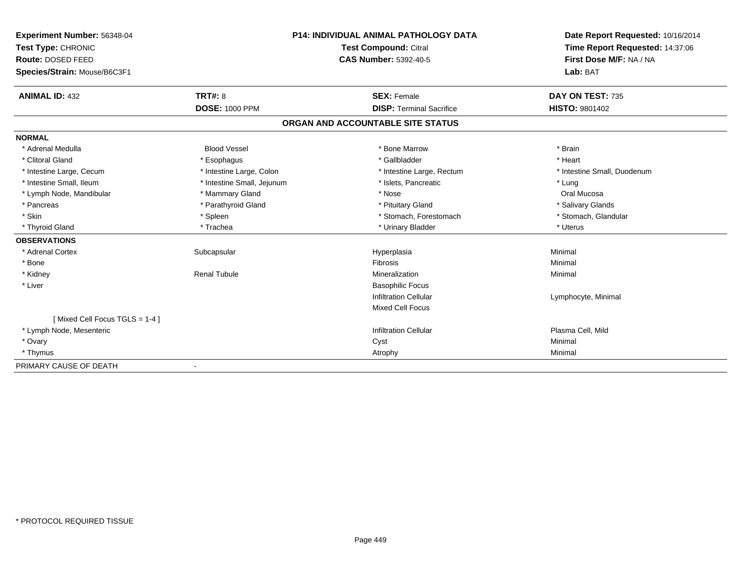| <b>Experiment Number: 56348-04</b><br>Test Type: CHRONIC |                            | <b>P14: INDIVIDUAL ANIMAL PATHOLOGY DATA</b><br>Test Compound: Citral | Date Report Requested: 10/16/2014<br>Time Report Requested: 14:37:06 |  |
|----------------------------------------------------------|----------------------------|-----------------------------------------------------------------------|----------------------------------------------------------------------|--|
| Route: DOSED FEED                                        |                            | <b>CAS Number: 5392-40-5</b>                                          | First Dose M/F: NA / NA                                              |  |
| Species/Strain: Mouse/B6C3F1                             |                            |                                                                       | Lab: BAT                                                             |  |
|                                                          |                            |                                                                       |                                                                      |  |
| <b>ANIMAL ID: 432</b>                                    | <b>TRT#: 8</b>             | <b>SEX: Female</b>                                                    | DAY ON TEST: 735                                                     |  |
|                                                          | <b>DOSE: 1000 PPM</b>      | <b>DISP: Terminal Sacrifice</b>                                       | <b>HISTO: 9801402</b>                                                |  |
|                                                          |                            | ORGAN AND ACCOUNTABLE SITE STATUS                                     |                                                                      |  |
| <b>NORMAL</b>                                            |                            |                                                                       |                                                                      |  |
| * Adrenal Medulla                                        | <b>Blood Vessel</b>        | * Bone Marrow                                                         | * Brain                                                              |  |
| * Clitoral Gland                                         | * Esophagus                | * Gallbladder                                                         | * Heart                                                              |  |
| * Intestine Large, Cecum                                 | * Intestine Large, Colon   | * Intestine Large, Rectum                                             | * Intestine Small, Duodenum                                          |  |
| * Intestine Small, Ileum                                 | * Intestine Small, Jejunum | * Islets. Pancreatic                                                  | * Lung                                                               |  |
| * Lymph Node, Mandibular                                 | * Mammary Gland            | * Nose                                                                | Oral Mucosa                                                          |  |
| * Pancreas                                               | * Parathyroid Gland        | * Pituitary Gland                                                     | * Salivary Glands                                                    |  |
| * Skin                                                   | * Spleen                   | * Stomach, Forestomach                                                | * Stomach, Glandular                                                 |  |
| * Thyroid Gland                                          | * Trachea                  | * Urinary Bladder                                                     | * Uterus                                                             |  |
| <b>OBSERVATIONS</b>                                      |                            |                                                                       |                                                                      |  |
| * Adrenal Cortex                                         | Subcapsular                | Hyperplasia                                                           | Minimal                                                              |  |
| * Bone                                                   |                            | <b>Fibrosis</b>                                                       | Minimal                                                              |  |
| * Kidney                                                 | <b>Renal Tubule</b>        | Mineralization                                                        | Minimal                                                              |  |
| * Liver                                                  |                            | <b>Basophilic Focus</b>                                               |                                                                      |  |
|                                                          |                            | <b>Infiltration Cellular</b>                                          | Lymphocyte, Minimal                                                  |  |
|                                                          |                            | <b>Mixed Cell Focus</b>                                               |                                                                      |  |
| [Mixed Cell Focus TGLS = 1-4]                            |                            |                                                                       |                                                                      |  |
| * Lymph Node, Mesenteric                                 |                            | <b>Infiltration Cellular</b>                                          | Plasma Cell, Mild                                                    |  |
| * Ovary                                                  |                            | Cyst                                                                  | Minimal                                                              |  |
| * Thymus                                                 |                            | Atrophy                                                               | Minimal                                                              |  |
| PRIMARY CAUSE OF DEATH                                   |                            |                                                                       |                                                                      |  |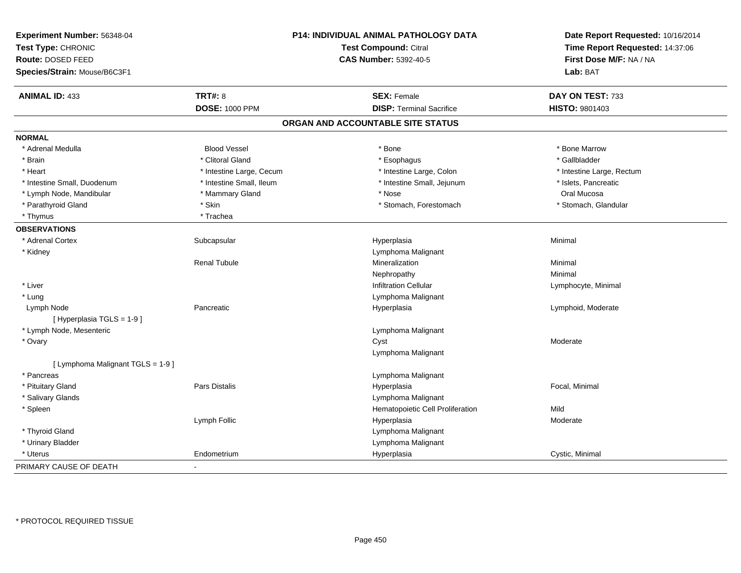| Experiment Number: 56348-04<br>Test Type: CHRONIC<br>Route: DOSED FEED<br>Species/Strain: Mouse/B6C3F1 |                          | P14: INDIVIDUAL ANIMAL PATHOLOGY DATA<br><b>Test Compound: Citral</b><br><b>CAS Number: 5392-40-5</b> | Date Report Requested: 10/16/2014<br>Time Report Requested: 14:37:06<br>First Dose M/F: NA / NA<br>Lab: BAT |
|--------------------------------------------------------------------------------------------------------|--------------------------|-------------------------------------------------------------------------------------------------------|-------------------------------------------------------------------------------------------------------------|
| <b>ANIMAL ID: 433</b>                                                                                  | <b>TRT#: 8</b>           | <b>SEX: Female</b>                                                                                    | DAY ON TEST: 733                                                                                            |
|                                                                                                        | <b>DOSE: 1000 PPM</b>    | <b>DISP: Terminal Sacrifice</b>                                                                       | HISTO: 9801403                                                                                              |
|                                                                                                        |                          | ORGAN AND ACCOUNTABLE SITE STATUS                                                                     |                                                                                                             |
| <b>NORMAL</b>                                                                                          |                          |                                                                                                       |                                                                                                             |
| * Adrenal Medulla                                                                                      | <b>Blood Vessel</b>      | * Bone                                                                                                | * Bone Marrow                                                                                               |
| * Brain                                                                                                | * Clitoral Gland         | * Esophagus                                                                                           | * Gallbladder                                                                                               |
| * Heart                                                                                                | * Intestine Large, Cecum | * Intestine Large, Colon                                                                              | * Intestine Large, Rectum                                                                                   |
| * Intestine Small, Duodenum                                                                            | * Intestine Small, Ileum | * Intestine Small, Jejunum                                                                            | * Islets, Pancreatic                                                                                        |
| * Lymph Node, Mandibular                                                                               | * Mammary Gland          | * Nose                                                                                                | Oral Mucosa                                                                                                 |
| * Parathyroid Gland                                                                                    | * Skin                   | * Stomach, Forestomach                                                                                | * Stomach, Glandular                                                                                        |
| * Thymus                                                                                               | * Trachea                |                                                                                                       |                                                                                                             |
| <b>OBSERVATIONS</b>                                                                                    |                          |                                                                                                       |                                                                                                             |
| * Adrenal Cortex                                                                                       | Subcapsular              | Hyperplasia                                                                                           | Minimal                                                                                                     |
| * Kidney                                                                                               |                          | Lymphoma Malignant                                                                                    |                                                                                                             |
|                                                                                                        | <b>Renal Tubule</b>      | Mineralization                                                                                        | Minimal                                                                                                     |
|                                                                                                        |                          | Nephropathy                                                                                           | Minimal                                                                                                     |
| * Liver                                                                                                |                          | <b>Infiltration Cellular</b>                                                                          | Lymphocyte, Minimal                                                                                         |
| * Lung                                                                                                 |                          | Lymphoma Malignant                                                                                    |                                                                                                             |
| Lymph Node<br>[ Hyperplasia TGLS = 1-9 ]                                                               | Pancreatic               | Hyperplasia                                                                                           | Lymphoid, Moderate                                                                                          |
| * Lymph Node, Mesenteric                                                                               |                          | Lymphoma Malignant                                                                                    |                                                                                                             |
| * Ovary                                                                                                |                          | Cyst                                                                                                  | Moderate                                                                                                    |
|                                                                                                        |                          | Lymphoma Malignant                                                                                    |                                                                                                             |
| [ Lymphoma Malignant TGLS = 1-9 ]                                                                      |                          |                                                                                                       |                                                                                                             |
| * Pancreas                                                                                             |                          | Lymphoma Malignant                                                                                    |                                                                                                             |
| * Pituitary Gland                                                                                      | <b>Pars Distalis</b>     | Hyperplasia                                                                                           | Focal, Minimal                                                                                              |
| * Salivary Glands                                                                                      |                          | Lymphoma Malignant                                                                                    |                                                                                                             |
| * Spleen                                                                                               |                          | Hematopoietic Cell Proliferation                                                                      | Mild                                                                                                        |
|                                                                                                        | Lymph Follic             | Hyperplasia                                                                                           | Moderate                                                                                                    |
| * Thyroid Gland                                                                                        |                          | Lymphoma Malignant                                                                                    |                                                                                                             |
| * Urinary Bladder                                                                                      |                          | Lymphoma Malignant                                                                                    |                                                                                                             |
| * Uterus                                                                                               | Endometrium              | Hyperplasia                                                                                           | Cystic, Minimal                                                                                             |
| PRIMARY CAUSE OF DEATH                                                                                 |                          |                                                                                                       |                                                                                                             |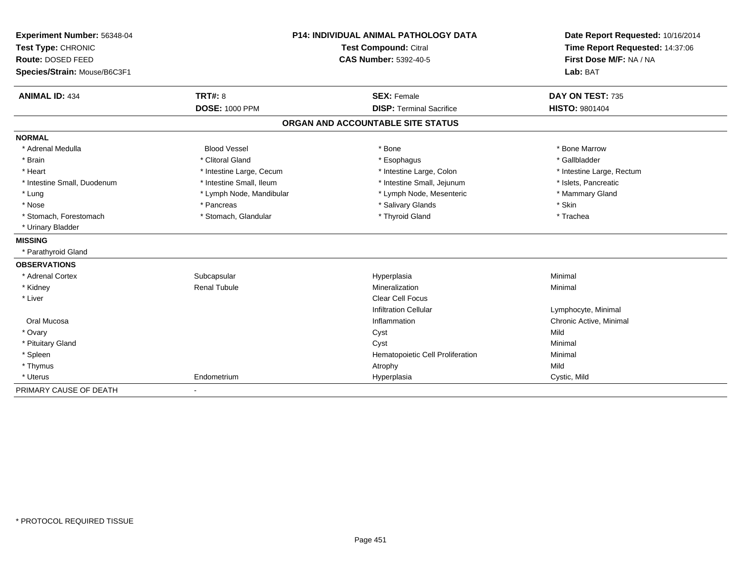| Experiment Number: 56348-04  | P14: INDIVIDUAL ANIMAL PATHOLOGY DATA<br><b>Test Compound: Citral</b> |                                   | Date Report Requested: 10/16/2014 |  |
|------------------------------|-----------------------------------------------------------------------|-----------------------------------|-----------------------------------|--|
| Test Type: CHRONIC           |                                                                       |                                   | Time Report Requested: 14:37:06   |  |
| Route: DOSED FEED            |                                                                       | <b>CAS Number: 5392-40-5</b>      | First Dose M/F: NA / NA           |  |
| Species/Strain: Mouse/B6C3F1 |                                                                       |                                   | Lab: BAT                          |  |
| <b>ANIMAL ID: 434</b>        | TRT#: 8                                                               | <b>SEX: Female</b>                | DAY ON TEST: 735                  |  |
|                              | <b>DOSE: 1000 PPM</b>                                                 | <b>DISP: Terminal Sacrifice</b>   | <b>HISTO: 9801404</b>             |  |
|                              |                                                                       | ORGAN AND ACCOUNTABLE SITE STATUS |                                   |  |
| <b>NORMAL</b>                |                                                                       |                                   |                                   |  |
| * Adrenal Medulla            | <b>Blood Vessel</b>                                                   | * Bone                            | * Bone Marrow                     |  |
| * Brain                      | * Clitoral Gland                                                      | * Esophagus                       | * Gallbladder                     |  |
| * Heart                      | * Intestine Large, Cecum                                              | * Intestine Large, Colon          | * Intestine Large, Rectum         |  |
| * Intestine Small, Duodenum  | * Intestine Small, Ileum                                              | * Intestine Small, Jejunum        | * Islets, Pancreatic              |  |
| * Lung                       | * Lymph Node, Mandibular                                              | * Lymph Node, Mesenteric          | * Mammary Gland                   |  |
| * Nose                       | * Pancreas                                                            | * Salivary Glands                 | * Skin                            |  |
| * Stomach, Forestomach       | * Stomach, Glandular                                                  | * Thyroid Gland                   | * Trachea                         |  |
| * Urinary Bladder            |                                                                       |                                   |                                   |  |
| <b>MISSING</b>               |                                                                       |                                   |                                   |  |
| * Parathyroid Gland          |                                                                       |                                   |                                   |  |
| <b>OBSERVATIONS</b>          |                                                                       |                                   |                                   |  |
| * Adrenal Cortex             | Subcapsular                                                           | Hyperplasia                       | Minimal                           |  |
| * Kidney                     | <b>Renal Tubule</b>                                                   | Mineralization                    | Minimal                           |  |
| * Liver                      |                                                                       | <b>Clear Cell Focus</b>           |                                   |  |
|                              |                                                                       | <b>Infiltration Cellular</b>      | Lymphocyte, Minimal               |  |
| Oral Mucosa                  |                                                                       | Inflammation                      | Chronic Active, Minimal           |  |
| * Ovary                      |                                                                       | Cyst                              | Mild                              |  |
| * Pituitary Gland            |                                                                       | Cyst                              | Minimal                           |  |
| * Spleen                     |                                                                       | Hematopoietic Cell Proliferation  | Minimal                           |  |
| * Thymus                     |                                                                       | Atrophy                           | Mild                              |  |
| * Uterus                     | Endometrium                                                           | Hyperplasia                       | Cystic, Mild                      |  |
| PRIMARY CAUSE OF DEATH       |                                                                       |                                   |                                   |  |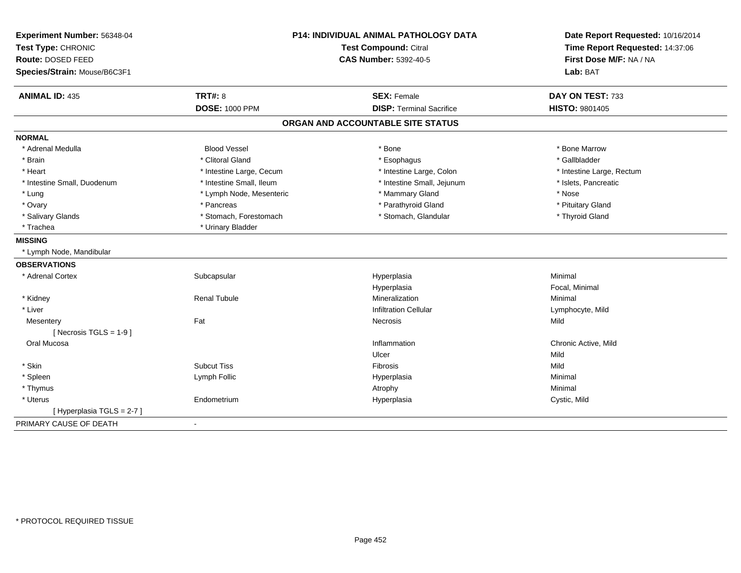| Experiment Number: 56348-04<br>Test Type: CHRONIC | P14: INDIVIDUAL ANIMAL PATHOLOGY DATA<br><b>Test Compound: Citral</b> |                                   | Date Report Requested: 10/16/2014<br>Time Report Requested: 14:37:06 |  |
|---------------------------------------------------|-----------------------------------------------------------------------|-----------------------------------|----------------------------------------------------------------------|--|
| Route: DOSED FEED                                 |                                                                       | <b>CAS Number: 5392-40-5</b>      | First Dose M/F: NA / NA<br>Lab: BAT                                  |  |
| Species/Strain: Mouse/B6C3F1                      |                                                                       |                                   |                                                                      |  |
|                                                   |                                                                       |                                   |                                                                      |  |
| <b>ANIMAL ID: 435</b>                             | <b>TRT#: 8</b>                                                        | <b>SEX: Female</b>                | DAY ON TEST: 733                                                     |  |
|                                                   | <b>DOSE: 1000 PPM</b>                                                 | <b>DISP: Terminal Sacrifice</b>   | <b>HISTO: 9801405</b>                                                |  |
|                                                   |                                                                       | ORGAN AND ACCOUNTABLE SITE STATUS |                                                                      |  |
| <b>NORMAL</b>                                     |                                                                       |                                   |                                                                      |  |
| * Adrenal Medulla                                 | <b>Blood Vessel</b>                                                   | * Bone                            | * Bone Marrow                                                        |  |
| * Brain                                           | * Clitoral Gland                                                      | * Esophagus                       | * Gallbladder                                                        |  |
| * Heart                                           | * Intestine Large, Cecum                                              | * Intestine Large, Colon          | * Intestine Large, Rectum                                            |  |
| * Intestine Small, Duodenum                       | * Intestine Small, Ileum                                              | * Intestine Small, Jejunum        | * Islets, Pancreatic                                                 |  |
| * Lung                                            | * Lymph Node, Mesenteric                                              | * Mammary Gland                   | * Nose                                                               |  |
| * Ovary                                           | * Pancreas                                                            | * Parathyroid Gland               | * Pituitary Gland                                                    |  |
| * Salivary Glands                                 | * Stomach, Forestomach                                                | * Stomach, Glandular              | * Thyroid Gland                                                      |  |
| * Trachea                                         | * Urinary Bladder                                                     |                                   |                                                                      |  |
| <b>MISSING</b>                                    |                                                                       |                                   |                                                                      |  |
| * Lymph Node, Mandibular                          |                                                                       |                                   |                                                                      |  |
| <b>OBSERVATIONS</b>                               |                                                                       |                                   |                                                                      |  |
| * Adrenal Cortex                                  | Subcapsular                                                           | Hyperplasia                       | Minimal                                                              |  |
|                                                   |                                                                       | Hyperplasia                       | Focal, Minimal                                                       |  |
| * Kidney                                          | <b>Renal Tubule</b>                                                   | Mineralization                    | Minimal                                                              |  |
| * Liver                                           |                                                                       | <b>Infiltration Cellular</b>      | Lymphocyte, Mild                                                     |  |
| Mesentery                                         | Fat                                                                   | Necrosis                          | Mild                                                                 |  |
| [ Necrosis TGLS = $1-9$ ]                         |                                                                       |                                   |                                                                      |  |
| Oral Mucosa                                       |                                                                       | Inflammation                      | Chronic Active, Mild                                                 |  |
|                                                   |                                                                       | Ulcer                             | Mild                                                                 |  |
| * Skin                                            | <b>Subcut Tiss</b>                                                    | Fibrosis                          | Mild                                                                 |  |
| * Spleen                                          | Lymph Follic                                                          | Hyperplasia                       | Minimal                                                              |  |
| * Thymus                                          |                                                                       | Atrophy                           | Minimal                                                              |  |
| * Uterus                                          | Endometrium                                                           | Hyperplasia                       | Cystic, Mild                                                         |  |
| [ Hyperplasia TGLS = 2-7 ]                        |                                                                       |                                   |                                                                      |  |
| PRIMARY CAUSE OF DEATH                            | $\blacksquare$                                                        |                                   |                                                                      |  |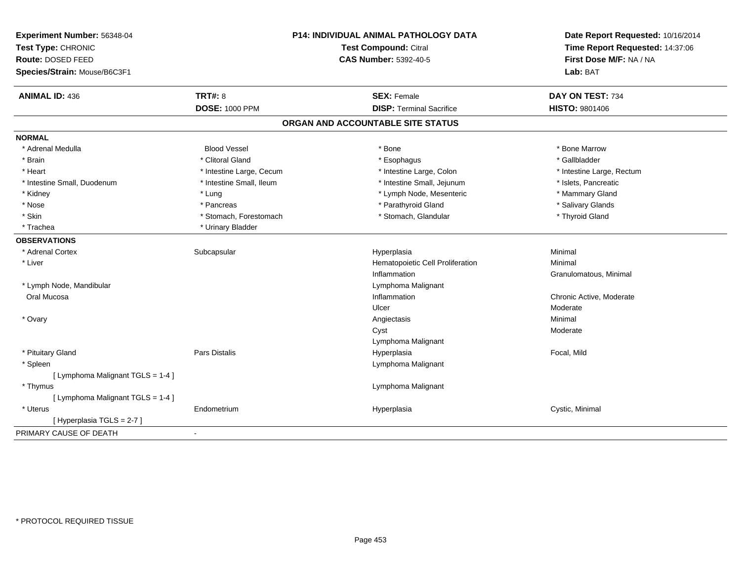| Experiment Number: 56348-04<br>Test Type: CHRONIC<br>Route: DOSED FEED<br>Species/Strain: Mouse/B6C3F1 | P14: INDIVIDUAL ANIMAL PATHOLOGY DATA<br><b>Test Compound: Citral</b><br><b>CAS Number: 5392-40-5</b> |                                   | Date Report Requested: 10/16/2014<br>Time Report Requested: 14:37:06<br>First Dose M/F: NA / NA<br>Lab: BAT |  |
|--------------------------------------------------------------------------------------------------------|-------------------------------------------------------------------------------------------------------|-----------------------------------|-------------------------------------------------------------------------------------------------------------|--|
| <b>ANIMAL ID: 436</b>                                                                                  | <b>TRT#: 8</b>                                                                                        | <b>SEX: Female</b>                | DAY ON TEST: 734                                                                                            |  |
|                                                                                                        | <b>DOSE: 1000 PPM</b>                                                                                 | <b>DISP: Terminal Sacrifice</b>   | <b>HISTO: 9801406</b>                                                                                       |  |
|                                                                                                        |                                                                                                       | ORGAN AND ACCOUNTABLE SITE STATUS |                                                                                                             |  |
| <b>NORMAL</b>                                                                                          |                                                                                                       |                                   |                                                                                                             |  |
| * Adrenal Medulla                                                                                      | <b>Blood Vessel</b>                                                                                   | * Bone                            | * Bone Marrow                                                                                               |  |
| * Brain                                                                                                | * Clitoral Gland                                                                                      | * Esophagus                       | * Gallbladder                                                                                               |  |
| * Heart                                                                                                | * Intestine Large, Cecum                                                                              | * Intestine Large, Colon          | * Intestine Large, Rectum                                                                                   |  |
| * Intestine Small, Duodenum                                                                            | * Intestine Small, Ileum                                                                              | * Intestine Small, Jejunum        | * Islets, Pancreatic                                                                                        |  |
| * Kidney                                                                                               | * Lung                                                                                                | * Lymph Node, Mesenteric          | * Mammary Gland                                                                                             |  |
| * Nose                                                                                                 | * Pancreas                                                                                            | * Parathyroid Gland               | * Salivary Glands                                                                                           |  |
| * Skin                                                                                                 | * Stomach, Forestomach                                                                                | * Stomach, Glandular              | * Thyroid Gland                                                                                             |  |
| * Trachea                                                                                              | * Urinary Bladder                                                                                     |                                   |                                                                                                             |  |
| <b>OBSERVATIONS</b>                                                                                    |                                                                                                       |                                   |                                                                                                             |  |
| * Adrenal Cortex                                                                                       | Subcapsular                                                                                           | Hyperplasia                       | Minimal                                                                                                     |  |
| * Liver                                                                                                |                                                                                                       | Hematopoietic Cell Proliferation  | Minimal                                                                                                     |  |
|                                                                                                        |                                                                                                       | Inflammation                      | Granulomatous, Minimal                                                                                      |  |
| * Lymph Node, Mandibular                                                                               |                                                                                                       | Lymphoma Malignant                |                                                                                                             |  |
| Oral Mucosa                                                                                            |                                                                                                       | Inflammation                      | Chronic Active, Moderate                                                                                    |  |
|                                                                                                        |                                                                                                       | Ulcer                             | Moderate                                                                                                    |  |
| * Ovary                                                                                                |                                                                                                       | Angiectasis                       | Minimal                                                                                                     |  |
|                                                                                                        |                                                                                                       | Cyst                              | Moderate                                                                                                    |  |
|                                                                                                        |                                                                                                       | Lymphoma Malignant                |                                                                                                             |  |
| * Pituitary Gland                                                                                      | <b>Pars Distalis</b>                                                                                  | Hyperplasia                       | Focal, Mild                                                                                                 |  |
| * Spleen                                                                                               |                                                                                                       | Lymphoma Malignant                |                                                                                                             |  |
| [ Lymphoma Malignant TGLS = 1-4 ]                                                                      |                                                                                                       |                                   |                                                                                                             |  |
| * Thymus                                                                                               |                                                                                                       | Lymphoma Malignant                |                                                                                                             |  |
| [ Lymphoma Malignant TGLS = 1-4 ]                                                                      |                                                                                                       |                                   |                                                                                                             |  |
| * Uterus                                                                                               | Endometrium                                                                                           | Hyperplasia                       | Cystic, Minimal                                                                                             |  |
| [Hyperplasia TGLS = 2-7]                                                                               |                                                                                                       |                                   |                                                                                                             |  |
| PRIMARY CAUSE OF DEATH                                                                                 | $\blacksquare$                                                                                        |                                   |                                                                                                             |  |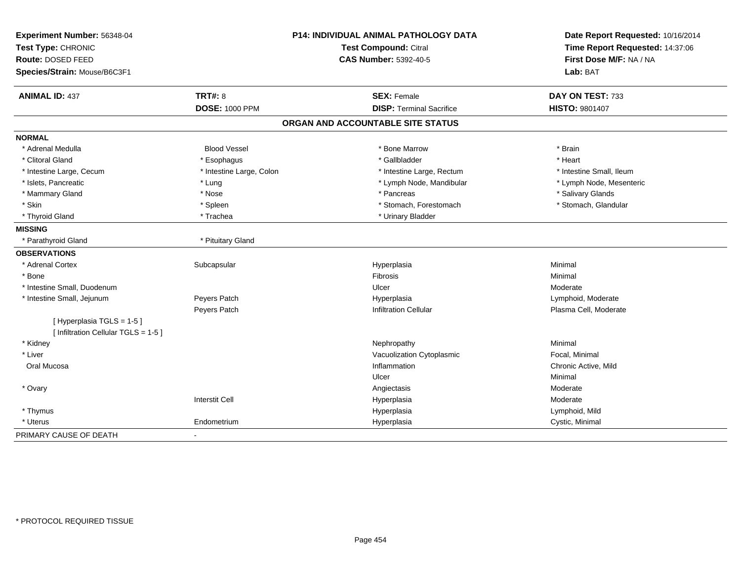| Experiment Number: 56348-04<br>Test Type: CHRONIC<br>Route: DOSED FEED |                          | <b>P14: INDIVIDUAL ANIMAL PATHOLOGY DATA</b><br><b>Test Compound: Citral</b> | Date Report Requested: 10/16/2014<br>Time Report Requested: 14:37:06 |  |
|------------------------------------------------------------------------|--------------------------|------------------------------------------------------------------------------|----------------------------------------------------------------------|--|
|                                                                        |                          | <b>CAS Number: 5392-40-5</b>                                                 | First Dose M/F: NA / NA                                              |  |
| Species/Strain: Mouse/B6C3F1                                           |                          |                                                                              | Lab: BAT                                                             |  |
| <b>ANIMAL ID: 437</b>                                                  | <b>TRT#: 8</b>           | <b>SEX: Female</b>                                                           | DAY ON TEST: 733                                                     |  |
|                                                                        | <b>DOSE: 1000 PPM</b>    | <b>DISP: Terminal Sacrifice</b>                                              | <b>HISTO: 9801407</b>                                                |  |
|                                                                        |                          | ORGAN AND ACCOUNTABLE SITE STATUS                                            |                                                                      |  |
| <b>NORMAL</b>                                                          |                          |                                                                              |                                                                      |  |
| * Adrenal Medulla                                                      | <b>Blood Vessel</b>      | * Bone Marrow                                                                | * Brain                                                              |  |
| * Clitoral Gland                                                       | * Esophagus              | * Gallbladder                                                                | * Heart                                                              |  |
| * Intestine Large, Cecum                                               | * Intestine Large, Colon | * Intestine Large, Rectum                                                    | * Intestine Small, Ileum                                             |  |
| * Islets, Pancreatic                                                   | * Lung                   | * Lymph Node, Mandibular                                                     | * Lymph Node, Mesenteric                                             |  |
| * Mammary Gland                                                        | * Nose                   | * Pancreas                                                                   | * Salivary Glands                                                    |  |
| * Skin                                                                 | * Spleen                 | * Stomach, Forestomach                                                       | * Stomach, Glandular                                                 |  |
| * Thyroid Gland                                                        | * Trachea                | * Urinary Bladder                                                            |                                                                      |  |
| <b>MISSING</b>                                                         |                          |                                                                              |                                                                      |  |
| * Parathyroid Gland                                                    | * Pituitary Gland        |                                                                              |                                                                      |  |
| <b>OBSERVATIONS</b>                                                    |                          |                                                                              |                                                                      |  |
| * Adrenal Cortex                                                       | Subcapsular              | Hyperplasia                                                                  | Minimal                                                              |  |
| * Bone                                                                 |                          | Fibrosis                                                                     | Minimal                                                              |  |
| * Intestine Small, Duodenum                                            |                          | Ulcer                                                                        | Moderate                                                             |  |
| * Intestine Small, Jejunum                                             | Peyers Patch             | Hyperplasia                                                                  | Lymphoid, Moderate                                                   |  |
|                                                                        | Peyers Patch             | <b>Infiltration Cellular</b>                                                 | Plasma Cell, Moderate                                                |  |
| [Hyperplasia TGLS = 1-5]<br>[ Infiltration Cellular TGLS = 1-5 ]       |                          |                                                                              |                                                                      |  |
| * Kidney                                                               |                          | Nephropathy                                                                  | Minimal                                                              |  |
| * Liver                                                                |                          | Vacuolization Cytoplasmic                                                    | Focal, Minimal                                                       |  |
| Oral Mucosa                                                            |                          | Inflammation                                                                 | Chronic Active, Mild                                                 |  |
|                                                                        |                          | Ulcer                                                                        | Minimal                                                              |  |
| * Ovary                                                                |                          | Angiectasis                                                                  | Moderate                                                             |  |
|                                                                        | <b>Interstit Cell</b>    | Hyperplasia                                                                  | Moderate                                                             |  |
| * Thymus                                                               |                          | Hyperplasia                                                                  | Lymphoid, Mild                                                       |  |
| * Uterus                                                               | Endometrium              | Hyperplasia                                                                  | Cystic, Minimal                                                      |  |
| PRIMARY CAUSE OF DEATH                                                 |                          |                                                                              |                                                                      |  |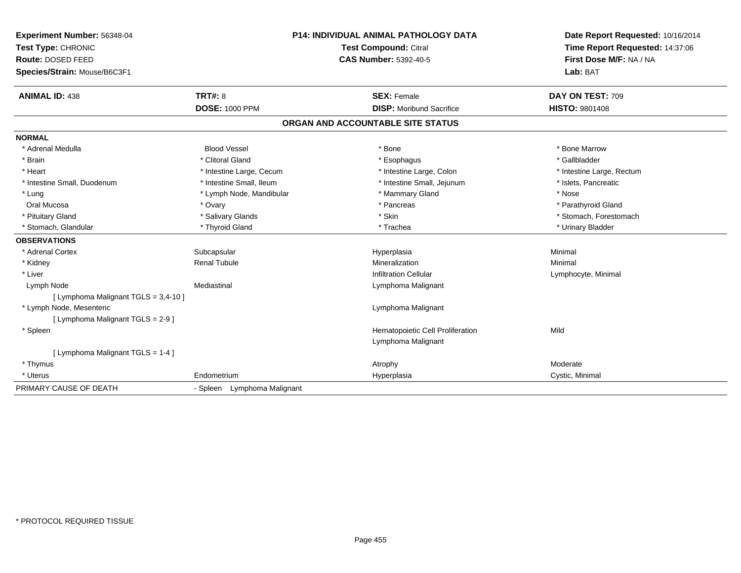| Experiment Number: 56348-04          | P14: INDIVIDUAL ANIMAL PATHOLOGY DATA |                                                       | Date Report Requested: 10/16/2014 |                                 |
|--------------------------------------|---------------------------------------|-------------------------------------------------------|-----------------------------------|---------------------------------|
| Test Type: CHRONIC                   |                                       | Test Compound: Citral<br><b>CAS Number: 5392-40-5</b> |                                   | Time Report Requested: 14:37:06 |
| Route: DOSED FEED                    |                                       |                                                       |                                   | First Dose M/F: NA / NA         |
| Species/Strain: Mouse/B6C3F1         |                                       |                                                       |                                   | Lab: BAT                        |
| <b>ANIMAL ID: 438</b>                | <b>TRT#: 8</b>                        |                                                       | <b>SEX: Female</b>                | DAY ON TEST: 709                |
|                                      | <b>DOSE: 1000 PPM</b>                 |                                                       | <b>DISP:</b> Moribund Sacrifice   | <b>HISTO: 9801408</b>           |
|                                      |                                       |                                                       | ORGAN AND ACCOUNTABLE SITE STATUS |                                 |
| <b>NORMAL</b>                        |                                       |                                                       |                                   |                                 |
| * Adrenal Medulla                    | <b>Blood Vessel</b>                   |                                                       | * Bone                            | * Bone Marrow                   |
| * Brain                              | * Clitoral Gland                      |                                                       | * Esophagus                       | * Gallbladder                   |
| * Heart                              | * Intestine Large, Cecum              |                                                       | * Intestine Large, Colon          | * Intestine Large, Rectum       |
| * Intestine Small, Duodenum          | * Intestine Small, Ileum              |                                                       | * Intestine Small, Jejunum        | * Islets, Pancreatic            |
| * Lung                               | * Lymph Node, Mandibular              |                                                       | * Mammary Gland                   | * Nose                          |
| Oral Mucosa                          | * Ovary                               |                                                       | * Pancreas                        | * Parathyroid Gland             |
| * Pituitary Gland                    | * Salivary Glands                     |                                                       | * Skin                            | * Stomach, Forestomach          |
| * Stomach, Glandular                 | * Thyroid Gland                       |                                                       | * Trachea                         | * Urinary Bladder               |
| <b>OBSERVATIONS</b>                  |                                       |                                                       |                                   |                                 |
| * Adrenal Cortex                     | Subcapsular                           |                                                       | Hyperplasia                       | Minimal                         |
| * Kidney                             | <b>Renal Tubule</b>                   |                                                       | Mineralization                    | Minimal                         |
| * Liver                              |                                       |                                                       | <b>Infiltration Cellular</b>      | Lymphocyte, Minimal             |
| Lymph Node                           | Mediastinal                           |                                                       | Lymphoma Malignant                |                                 |
| [ Lymphoma Malignant TGLS = 3,4-10 ] |                                       |                                                       |                                   |                                 |
| * Lymph Node, Mesenteric             |                                       |                                                       | Lymphoma Malignant                |                                 |
| [ Lymphoma Malignant TGLS = 2-9 ]    |                                       |                                                       |                                   |                                 |
| * Spleen                             |                                       |                                                       | Hematopoietic Cell Proliferation  | Mild                            |
|                                      |                                       |                                                       | Lymphoma Malignant                |                                 |
| [ Lymphoma Malignant TGLS = 1-4 ]    |                                       |                                                       |                                   |                                 |
| * Thymus                             |                                       |                                                       | Atrophy                           | Moderate                        |
| * Uterus                             | Endometrium                           |                                                       | Hyperplasia                       | Cystic, Minimal                 |
| PRIMARY CAUSE OF DEATH               | - Spleen Lymphoma Malignant           |                                                       |                                   |                                 |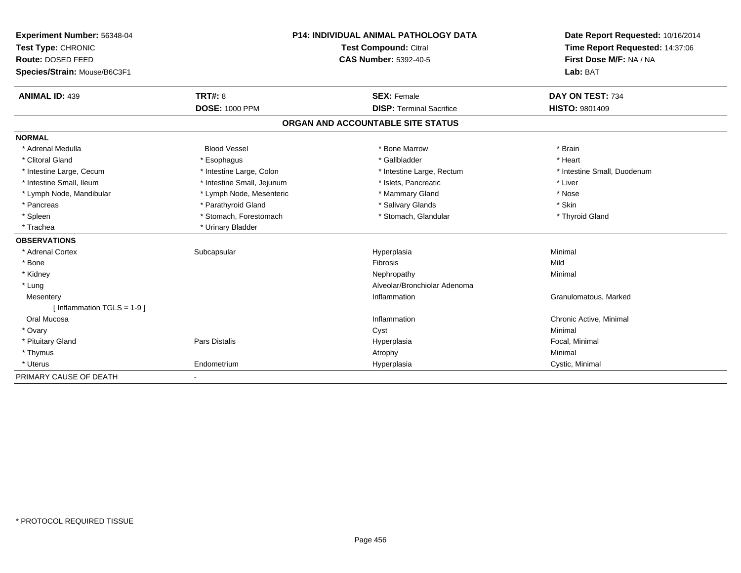| Experiment Number: 56348-04   |                            | <b>P14: INDIVIDUAL ANIMAL PATHOLOGY DATA</b> | Date Report Requested: 10/16/2014 |  |
|-------------------------------|----------------------------|----------------------------------------------|-----------------------------------|--|
| Test Type: CHRONIC            |                            | Test Compound: Citral                        | Time Report Requested: 14:37:06   |  |
| Route: DOSED FEED             |                            | <b>CAS Number: 5392-40-5</b>                 | First Dose M/F: NA / NA           |  |
| Species/Strain: Mouse/B6C3F1  |                            |                                              | Lab: BAT                          |  |
| <b>ANIMAL ID: 439</b>         | <b>TRT#: 8</b>             | <b>SEX: Female</b>                           | DAY ON TEST: 734                  |  |
|                               | <b>DOSE: 1000 PPM</b>      | <b>DISP: Terminal Sacrifice</b>              | <b>HISTO: 9801409</b>             |  |
|                               |                            | ORGAN AND ACCOUNTABLE SITE STATUS            |                                   |  |
| <b>NORMAL</b>                 |                            |                                              |                                   |  |
| * Adrenal Medulla             | <b>Blood Vessel</b>        | * Bone Marrow                                | * Brain                           |  |
| * Clitoral Gland              | * Esophagus                | * Gallbladder                                | * Heart                           |  |
| * Intestine Large, Cecum      | * Intestine Large, Colon   | * Intestine Large, Rectum                    | * Intestine Small, Duodenum       |  |
| * Intestine Small, Ileum      | * Intestine Small, Jejunum | * Islets, Pancreatic                         | * Liver                           |  |
| * Lymph Node, Mandibular      | * Lymph Node, Mesenteric   | * Mammary Gland                              | * Nose                            |  |
| * Pancreas                    | * Parathyroid Gland        | * Salivary Glands                            | * Skin                            |  |
| * Spleen                      | * Stomach, Forestomach     | * Stomach, Glandular                         | * Thyroid Gland                   |  |
| * Trachea                     | * Urinary Bladder          |                                              |                                   |  |
| <b>OBSERVATIONS</b>           |                            |                                              |                                   |  |
| * Adrenal Cortex              | Subcapsular                | Hyperplasia                                  | Minimal                           |  |
| * Bone                        |                            | Fibrosis                                     | Mild                              |  |
| * Kidney                      |                            | Nephropathy                                  | Minimal                           |  |
| * Lung                        |                            | Alveolar/Bronchiolar Adenoma                 |                                   |  |
| Mesentery                     |                            | Inflammation                                 | Granulomatous, Marked             |  |
| [ Inflammation $TGLS = 1-9$ ] |                            |                                              |                                   |  |
| Oral Mucosa                   |                            | Inflammation                                 | Chronic Active, Minimal           |  |
| * Ovary                       |                            | Cyst                                         | Minimal                           |  |
| * Pituitary Gland             | <b>Pars Distalis</b>       | Hyperplasia                                  | Focal, Minimal                    |  |
| * Thymus                      |                            | Atrophy                                      | Minimal                           |  |
| * Uterus                      | Endometrium                | Hyperplasia                                  | Cystic, Minimal                   |  |
| PRIMARY CAUSE OF DEATH        |                            |                                              |                                   |  |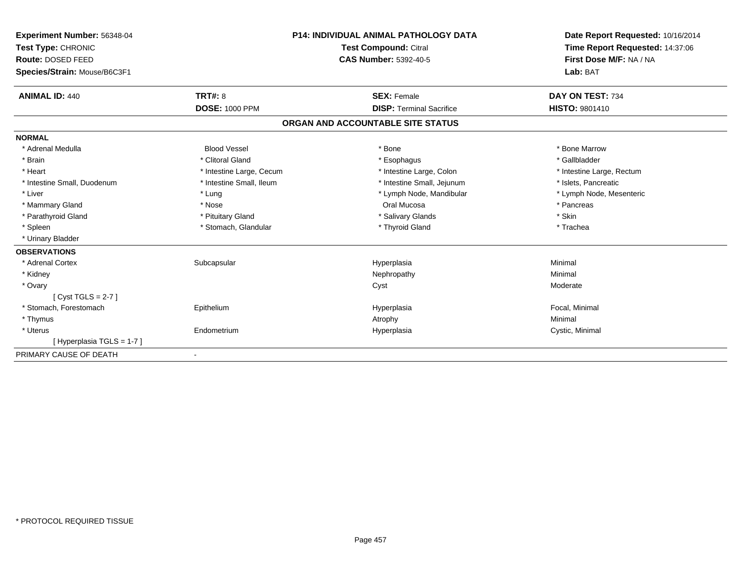| Experiment Number: 56348-04  | <b>P14: INDIVIDUAL ANIMAL PATHOLOGY DATA</b> |                                   | Date Report Requested: 10/16/2014 |  |
|------------------------------|----------------------------------------------|-----------------------------------|-----------------------------------|--|
| Test Type: CHRONIC           |                                              | Test Compound: Citral             | Time Report Requested: 14:37:06   |  |
| Route: DOSED FEED            |                                              | CAS Number: 5392-40-5             | First Dose M/F: NA / NA           |  |
| Species/Strain: Mouse/B6C3F1 |                                              |                                   | Lab: BAT                          |  |
| <b>ANIMAL ID: 440</b>        | <b>TRT#: 8</b>                               | <b>SEX: Female</b>                | DAY ON TEST: 734                  |  |
|                              | <b>DOSE: 1000 PPM</b>                        | <b>DISP: Terminal Sacrifice</b>   | <b>HISTO: 9801410</b>             |  |
|                              |                                              | ORGAN AND ACCOUNTABLE SITE STATUS |                                   |  |
| <b>NORMAL</b>                |                                              |                                   |                                   |  |
| * Adrenal Medulla            | <b>Blood Vessel</b>                          | * Bone                            | * Bone Marrow                     |  |
| * Brain                      | * Clitoral Gland                             | * Esophagus                       | * Gallbladder                     |  |
| * Heart                      | * Intestine Large, Cecum                     | * Intestine Large, Colon          | * Intestine Large, Rectum         |  |
| * Intestine Small, Duodenum  | * Intestine Small, Ileum                     | * Intestine Small, Jejunum        | * Islets, Pancreatic              |  |
| * Liver                      | * Lung                                       | * Lymph Node, Mandibular          | * Lymph Node, Mesenteric          |  |
| * Mammary Gland              | * Nose                                       | Oral Mucosa                       | * Pancreas                        |  |
| * Parathyroid Gland          | * Pituitary Gland                            | * Salivary Glands                 | * Skin                            |  |
| * Spleen                     | * Stomach, Glandular                         | * Thyroid Gland                   | * Trachea                         |  |
| * Urinary Bladder            |                                              |                                   |                                   |  |
| <b>OBSERVATIONS</b>          |                                              |                                   |                                   |  |
| * Adrenal Cortex             | Subcapsular                                  | Hyperplasia                       | Minimal                           |  |
| * Kidney                     |                                              | Nephropathy                       | Minimal                           |  |
| * Ovary                      |                                              | Cyst                              | Moderate                          |  |
| [Cyst TGLS = $2-7$ ]         |                                              |                                   |                                   |  |
| * Stomach. Forestomach       | Epithelium                                   | Hyperplasia                       | Focal, Minimal                    |  |
| * Thymus                     |                                              | Atrophy                           | Minimal                           |  |
| * Uterus                     | Endometrium                                  | Hyperplasia                       | Cystic, Minimal                   |  |
| [Hyperplasia TGLS = 1-7]     |                                              |                                   |                                   |  |
| PRIMARY CAUSE OF DEATH       | $\blacksquare$                               |                                   |                                   |  |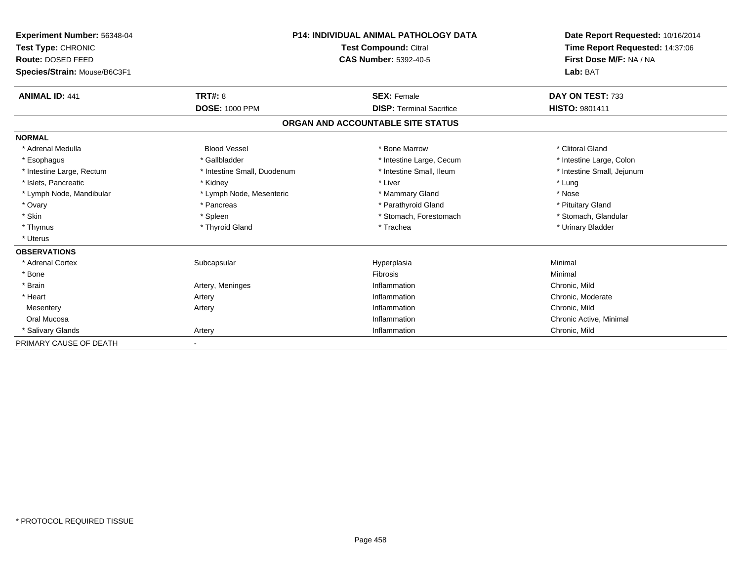| Experiment Number: 56348-04  |                             | P14: INDIVIDUAL ANIMAL PATHOLOGY DATA |                                                            |  |
|------------------------------|-----------------------------|---------------------------------------|------------------------------------------------------------|--|
| Test Type: CHRONIC           |                             | <b>Test Compound: Citral</b>          | Time Report Requested: 14:37:06<br>First Dose M/F: NA / NA |  |
| Route: DOSED FEED            |                             | <b>CAS Number: 5392-40-5</b>          |                                                            |  |
| Species/Strain: Mouse/B6C3F1 |                             |                                       | Lab: BAT                                                   |  |
| <b>ANIMAL ID: 441</b>        | <b>TRT#: 8</b>              | <b>SEX: Female</b>                    | DAY ON TEST: 733                                           |  |
|                              | <b>DOSE: 1000 PPM</b>       | <b>DISP: Terminal Sacrifice</b>       | <b>HISTO: 9801411</b>                                      |  |
|                              |                             | ORGAN AND ACCOUNTABLE SITE STATUS     |                                                            |  |
| <b>NORMAL</b>                |                             |                                       |                                                            |  |
| * Adrenal Medulla            | <b>Blood Vessel</b>         | * Bone Marrow                         | * Clitoral Gland                                           |  |
| * Esophagus                  | * Gallbladder               | * Intestine Large, Cecum              | * Intestine Large, Colon                                   |  |
| * Intestine Large, Rectum    | * Intestine Small, Duodenum | * Intestine Small, Ileum              | * Intestine Small, Jejunum                                 |  |
| * Islets, Pancreatic         | * Kidney                    | * Liver                               | * Lung                                                     |  |
| * Lymph Node, Mandibular     | * Lymph Node, Mesenteric    | * Mammary Gland                       | * Nose                                                     |  |
| * Ovary                      | * Pancreas                  | * Parathyroid Gland                   | * Pituitary Gland                                          |  |
| * Skin                       | * Spleen                    | * Stomach, Forestomach                | * Stomach, Glandular                                       |  |
| * Thymus                     | * Thyroid Gland             | * Trachea                             | * Urinary Bladder                                          |  |
| * Uterus                     |                             |                                       |                                                            |  |
| <b>OBSERVATIONS</b>          |                             |                                       |                                                            |  |
| * Adrenal Cortex             | Subcapsular                 | Hyperplasia                           | Minimal                                                    |  |
| * Bone                       |                             | <b>Fibrosis</b>                       | Minimal                                                    |  |
| * Brain                      | Artery, Meninges            | Inflammation                          | Chronic, Mild                                              |  |
| * Heart                      | Artery                      | Inflammation                          | Chronic, Moderate                                          |  |
| Mesentery                    | Artery                      | Inflammation                          | Chronic, Mild                                              |  |
| Oral Mucosa                  |                             | Inflammation                          | Chronic Active, Minimal                                    |  |
| * Salivary Glands            | Artery                      | Inflammation                          | Chronic, Mild                                              |  |
| PRIMARY CAUSE OF DEATH       |                             |                                       |                                                            |  |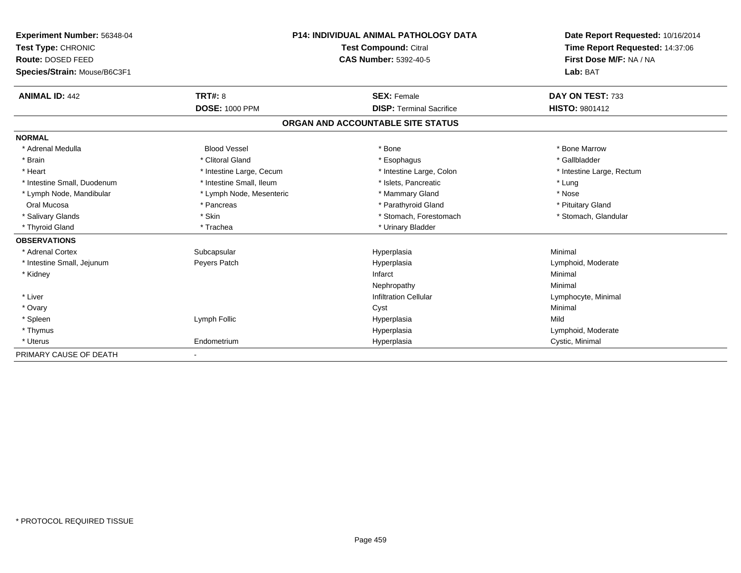| Experiment Number: 56348-04  |                          | <b>P14: INDIVIDUAL ANIMAL PATHOLOGY DATA</b> | Date Report Requested: 10/16/2014                          |  |
|------------------------------|--------------------------|----------------------------------------------|------------------------------------------------------------|--|
| Test Type: CHRONIC           |                          | <b>Test Compound: Citral</b>                 | Time Report Requested: 14:37:06<br>First Dose M/F: NA / NA |  |
| Route: DOSED FEED            |                          | <b>CAS Number: 5392-40-5</b>                 |                                                            |  |
| Species/Strain: Mouse/B6C3F1 |                          |                                              | Lab: BAT                                                   |  |
| <b>ANIMAL ID: 442</b>        | TRT#: 8                  | <b>SEX: Female</b>                           | DAY ON TEST: 733                                           |  |
|                              | <b>DOSE: 1000 PPM</b>    | <b>DISP: Terminal Sacrifice</b>              | <b>HISTO: 9801412</b>                                      |  |
|                              |                          | ORGAN AND ACCOUNTABLE SITE STATUS            |                                                            |  |
| <b>NORMAL</b>                |                          |                                              |                                                            |  |
| * Adrenal Medulla            | <b>Blood Vessel</b>      | * Bone                                       | * Bone Marrow                                              |  |
| * Brain                      | * Clitoral Gland         | * Esophagus                                  | * Gallbladder                                              |  |
| * Heart                      | * Intestine Large, Cecum | * Intestine Large, Colon                     | * Intestine Large, Rectum                                  |  |
| * Intestine Small, Duodenum  | * Intestine Small, Ileum | * Islets, Pancreatic                         | * Lung                                                     |  |
| * Lymph Node, Mandibular     | * Lymph Node, Mesenteric | * Mammary Gland                              | * Nose                                                     |  |
| Oral Mucosa                  | * Pancreas               | * Parathyroid Gland                          | * Pituitary Gland                                          |  |
| * Salivary Glands            | * Skin                   | * Stomach, Forestomach                       | * Stomach, Glandular                                       |  |
| * Thyroid Gland              | * Trachea                | * Urinary Bladder                            |                                                            |  |
| <b>OBSERVATIONS</b>          |                          |                                              |                                                            |  |
| * Adrenal Cortex             | Subcapsular              | Hyperplasia                                  | Minimal                                                    |  |
| * Intestine Small, Jejunum   | Peyers Patch             | Hyperplasia                                  | Lymphoid, Moderate                                         |  |
| * Kidney                     |                          | Infarct                                      | Minimal                                                    |  |
|                              |                          | Nephropathy                                  | Minimal                                                    |  |
| * Liver                      |                          | <b>Infiltration Cellular</b>                 | Lymphocyte, Minimal                                        |  |
| * Ovary                      |                          | Cyst                                         | Minimal                                                    |  |
| * Spleen                     | Lymph Follic             | Hyperplasia                                  | Mild                                                       |  |
| * Thymus                     |                          | Hyperplasia                                  | Lymphoid, Moderate                                         |  |
| * Uterus                     | Endometrium              | Hyperplasia                                  | Cystic, Minimal                                            |  |
| PRIMARY CAUSE OF DEATH       | $\overline{\phantom{a}}$ |                                              |                                                            |  |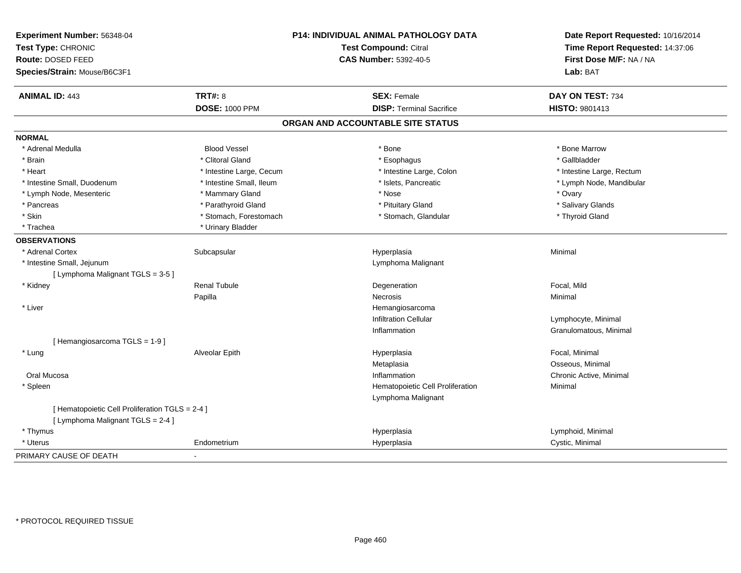| Experiment Number: 56348-04<br>Test Type: CHRONIC<br>Route: DOSED FEED |                          | P14: INDIVIDUAL ANIMAL PATHOLOGY DATA<br>Test Compound: Citral | Date Report Requested: 10/16/2014<br>Time Report Requested: 14:37:06<br>First Dose M/F: NA / NA |  |
|------------------------------------------------------------------------|--------------------------|----------------------------------------------------------------|-------------------------------------------------------------------------------------------------|--|
|                                                                        |                          | <b>CAS Number: 5392-40-5</b>                                   |                                                                                                 |  |
| Species/Strain: Mouse/B6C3F1                                           |                          |                                                                | Lab: BAT                                                                                        |  |
| <b>ANIMAL ID: 443</b>                                                  | <b>TRT#: 8</b>           | <b>SEX: Female</b>                                             | DAY ON TEST: 734                                                                                |  |
|                                                                        | <b>DOSE: 1000 PPM</b>    | <b>DISP: Terminal Sacrifice</b>                                | HISTO: 9801413                                                                                  |  |
|                                                                        |                          | ORGAN AND ACCOUNTABLE SITE STATUS                              |                                                                                                 |  |
| <b>NORMAL</b>                                                          |                          |                                                                |                                                                                                 |  |
| * Adrenal Medulla                                                      | <b>Blood Vessel</b>      | * Bone                                                         | * Bone Marrow                                                                                   |  |
| * Brain                                                                | * Clitoral Gland         | * Esophagus                                                    | * Gallbladder                                                                                   |  |
| * Heart                                                                | * Intestine Large, Cecum | * Intestine Large, Colon                                       | * Intestine Large, Rectum                                                                       |  |
| * Intestine Small, Duodenum                                            | * Intestine Small, Ileum | * Islets, Pancreatic                                           | * Lymph Node, Mandibular                                                                        |  |
| * Lymph Node, Mesenteric                                               | * Mammary Gland          | * Nose                                                         | * Ovary                                                                                         |  |
| * Pancreas                                                             | * Parathyroid Gland      | * Pituitary Gland                                              | * Salivary Glands                                                                               |  |
| * Skin                                                                 | * Stomach, Forestomach   | * Stomach, Glandular                                           | * Thyroid Gland                                                                                 |  |
| * Trachea                                                              | * Urinary Bladder        |                                                                |                                                                                                 |  |
| <b>OBSERVATIONS</b>                                                    |                          |                                                                |                                                                                                 |  |
| * Adrenal Cortex                                                       | Subcapsular              | Hyperplasia                                                    | Minimal                                                                                         |  |
| * Intestine Small, Jejunum                                             |                          | Lymphoma Malignant                                             |                                                                                                 |  |
| [ Lymphoma Malignant TGLS = 3-5 ]                                      |                          |                                                                |                                                                                                 |  |
| * Kidney                                                               | <b>Renal Tubule</b>      | Degeneration                                                   | Focal, Mild                                                                                     |  |
|                                                                        | Papilla                  | Necrosis                                                       | Minimal                                                                                         |  |
| * Liver                                                                |                          | Hemangiosarcoma                                                |                                                                                                 |  |
|                                                                        |                          | <b>Infiltration Cellular</b>                                   | Lymphocyte, Minimal                                                                             |  |
|                                                                        |                          | Inflammation                                                   | Granulomatous, Minimal                                                                          |  |
| [Hemangiosarcoma TGLS = 1-9]                                           |                          |                                                                |                                                                                                 |  |
| * Lung                                                                 | Alveolar Epith           | Hyperplasia                                                    | Focal, Minimal                                                                                  |  |
|                                                                        |                          | Metaplasia                                                     | Osseous, Minimal                                                                                |  |
| Oral Mucosa                                                            |                          | Inflammation                                                   | Chronic Active, Minimal                                                                         |  |
| * Spleen                                                               |                          | Hematopoietic Cell Proliferation                               | Minimal                                                                                         |  |
|                                                                        |                          | Lymphoma Malignant                                             |                                                                                                 |  |
| [ Hematopoietic Cell Proliferation TGLS = 2-4 ]                        |                          |                                                                |                                                                                                 |  |
| [ Lymphoma Malignant TGLS = 2-4 ]                                      |                          |                                                                |                                                                                                 |  |
| * Thymus                                                               |                          | Hyperplasia                                                    | Lymphoid, Minimal                                                                               |  |
| * Uterus                                                               | Endometrium              | Hyperplasia                                                    | Cystic, Minimal                                                                                 |  |
| PRIMARY CAUSE OF DEATH                                                 |                          |                                                                |                                                                                                 |  |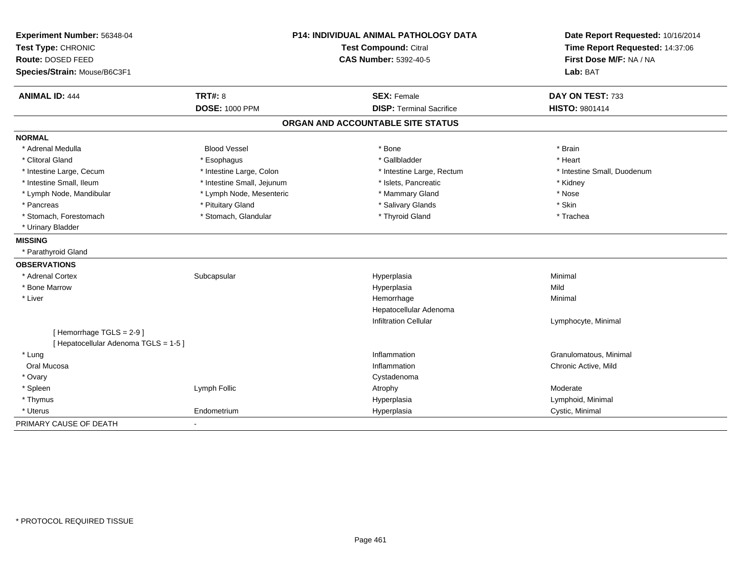| Experiment Number: 56348-04           |                            | <b>P14: INDIVIDUAL ANIMAL PATHOLOGY DATA</b> | Date Report Requested: 10/16/2014                          |  |
|---------------------------------------|----------------------------|----------------------------------------------|------------------------------------------------------------|--|
| Test Type: CHRONIC                    |                            | <b>Test Compound: Citral</b>                 | Time Report Requested: 14:37:06<br>First Dose M/F: NA / NA |  |
| Route: DOSED FEED                     |                            | <b>CAS Number: 5392-40-5</b>                 |                                                            |  |
| Species/Strain: Mouse/B6C3F1          |                            |                                              | Lab: BAT                                                   |  |
| <b>ANIMAL ID: 444</b>                 | <b>TRT#: 8</b>             | <b>SEX: Female</b>                           | DAY ON TEST: 733                                           |  |
|                                       | <b>DOSE: 1000 PPM</b>      | <b>DISP: Terminal Sacrifice</b>              | HISTO: 9801414                                             |  |
|                                       |                            | ORGAN AND ACCOUNTABLE SITE STATUS            |                                                            |  |
| <b>NORMAL</b>                         |                            |                                              |                                                            |  |
| * Adrenal Medulla                     | <b>Blood Vessel</b>        | * Bone                                       | * Brain                                                    |  |
| * Clitoral Gland                      | * Esophagus                | * Gallbladder                                | * Heart                                                    |  |
| * Intestine Large, Cecum              | * Intestine Large, Colon   | * Intestine Large, Rectum                    | * Intestine Small, Duodenum                                |  |
| * Intestine Small, Ileum              | * Intestine Small, Jejunum | * Islets, Pancreatic                         | * Kidney                                                   |  |
| * Lymph Node, Mandibular              | * Lymph Node, Mesenteric   | * Mammary Gland                              | * Nose                                                     |  |
| * Pancreas                            | * Pituitary Gland          | * Salivary Glands                            | * Skin                                                     |  |
| * Stomach, Forestomach                | * Stomach, Glandular       | * Thyroid Gland                              | * Trachea                                                  |  |
| * Urinary Bladder                     |                            |                                              |                                                            |  |
| <b>MISSING</b>                        |                            |                                              |                                                            |  |
| * Parathyroid Gland                   |                            |                                              |                                                            |  |
| <b>OBSERVATIONS</b>                   |                            |                                              |                                                            |  |
| * Adrenal Cortex                      | Subcapsular                | Hyperplasia                                  | Minimal                                                    |  |
| * Bone Marrow                         |                            | Hyperplasia                                  | Mild                                                       |  |
| * Liver                               |                            | Hemorrhage                                   | Minimal                                                    |  |
|                                       |                            | Hepatocellular Adenoma                       |                                                            |  |
|                                       |                            | <b>Infiltration Cellular</b>                 | Lymphocyte, Minimal                                        |  |
| [Hemorrhage TGLS = 2-9]               |                            |                                              |                                                            |  |
| [ Hepatocellular Adenoma TGLS = 1-5 ] |                            |                                              |                                                            |  |
| * Lung                                |                            | Inflammation                                 | Granulomatous, Minimal                                     |  |
| Oral Mucosa                           |                            | Inflammation                                 | Chronic Active, Mild                                       |  |
| * Ovary                               |                            | Cystadenoma                                  |                                                            |  |
| * Spleen                              | Lymph Follic               | Atrophy                                      | Moderate                                                   |  |
| * Thymus                              |                            | Hyperplasia                                  | Lymphoid, Minimal                                          |  |
| * Uterus                              | Endometrium                | Hyperplasia                                  | Cystic, Minimal                                            |  |
| PRIMARY CAUSE OF DEATH                |                            |                                              |                                                            |  |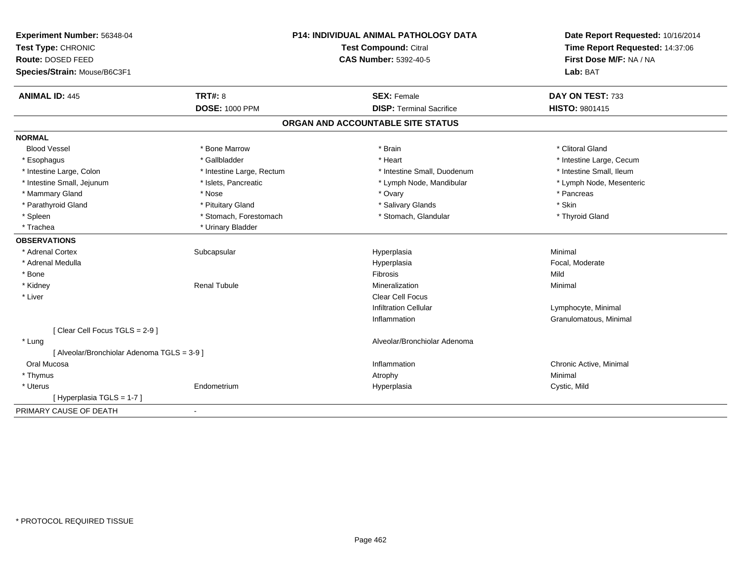| Experiment Number: 56348-04                 | P14: INDIVIDUAL ANIMAL PATHOLOGY DATA<br>Test Compound: Citral<br><b>CAS Number: 5392-40-5</b> |                                   | Date Report Requested: 10/16/2014 |
|---------------------------------------------|------------------------------------------------------------------------------------------------|-----------------------------------|-----------------------------------|
| Test Type: CHRONIC                          |                                                                                                |                                   | Time Report Requested: 14:37:06   |
| Route: DOSED FEED                           |                                                                                                |                                   | First Dose M/F: NA / NA           |
| Species/Strain: Mouse/B6C3F1                |                                                                                                |                                   | Lab: BAT                          |
| <b>ANIMAL ID: 445</b>                       | <b>TRT#: 8</b>                                                                                 | <b>SEX: Female</b>                | DAY ON TEST: 733                  |
|                                             | <b>DOSE: 1000 PPM</b>                                                                          | <b>DISP: Terminal Sacrifice</b>   | <b>HISTO: 9801415</b>             |
|                                             |                                                                                                | ORGAN AND ACCOUNTABLE SITE STATUS |                                   |
| <b>NORMAL</b>                               |                                                                                                |                                   |                                   |
| <b>Blood Vessel</b>                         | * Bone Marrow                                                                                  | * Brain                           | * Clitoral Gland                  |
| * Esophagus                                 | * Gallbladder                                                                                  | * Heart                           | * Intestine Large, Cecum          |
| * Intestine Large, Colon                    | * Intestine Large, Rectum                                                                      | * Intestine Small, Duodenum       | * Intestine Small, Ileum          |
| * Intestine Small, Jejunum                  | * Islets, Pancreatic                                                                           | * Lymph Node, Mandibular          | * Lymph Node, Mesenteric          |
| * Mammary Gland                             | * Nose                                                                                         | * Ovary                           | * Pancreas                        |
| * Parathyroid Gland                         | * Pituitary Gland                                                                              | * Salivary Glands                 | * Skin                            |
| * Spleen                                    | * Stomach, Forestomach                                                                         | * Stomach, Glandular              | * Thyroid Gland                   |
| * Trachea                                   | * Urinary Bladder                                                                              |                                   |                                   |
| <b>OBSERVATIONS</b>                         |                                                                                                |                                   |                                   |
| * Adrenal Cortex                            | Subcapsular                                                                                    | Hyperplasia                       | Minimal                           |
| * Adrenal Medulla                           |                                                                                                | Hyperplasia                       | Focal, Moderate                   |
| * Bone                                      |                                                                                                | <b>Fibrosis</b>                   | Mild                              |
| * Kidney                                    | <b>Renal Tubule</b>                                                                            | Mineralization                    | Minimal                           |
| * Liver                                     |                                                                                                | <b>Clear Cell Focus</b>           |                                   |
|                                             |                                                                                                | <b>Infiltration Cellular</b>      | Lymphocyte, Minimal               |
|                                             |                                                                                                | Inflammation                      | Granulomatous, Minimal            |
| [Clear Cell Focus TGLS = 2-9]               |                                                                                                |                                   |                                   |
| * Lung                                      |                                                                                                | Alveolar/Bronchiolar Adenoma      |                                   |
| [ Alveolar/Bronchiolar Adenoma TGLS = 3-9 ] |                                                                                                |                                   |                                   |
| Oral Mucosa                                 |                                                                                                | Inflammation                      | Chronic Active, Minimal           |
| * Thymus                                    |                                                                                                | Atrophy                           | Minimal                           |
| * Uterus                                    | Endometrium                                                                                    | Hyperplasia                       | Cystic, Mild                      |
| [Hyperplasia TGLS = 1-7]                    |                                                                                                |                                   |                                   |
| PRIMARY CAUSE OF DEATH                      | $\blacksquare$                                                                                 |                                   |                                   |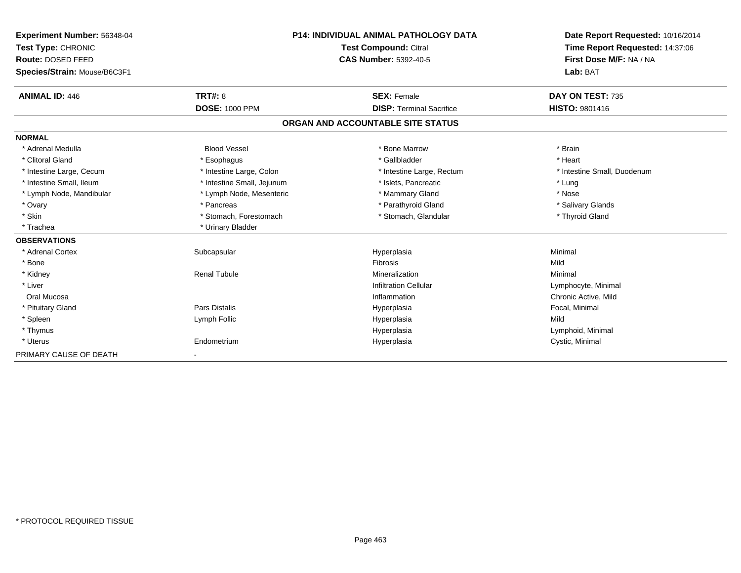| Experiment Number: 56348-04  |                            | <b>P14: INDIVIDUAL ANIMAL PATHOLOGY DATA</b> | Date Report Requested: 10/16/2014                          |  |
|------------------------------|----------------------------|----------------------------------------------|------------------------------------------------------------|--|
| Test Type: CHRONIC           |                            | Test Compound: Citral                        | Time Report Requested: 14:37:06<br>First Dose M/F: NA / NA |  |
| <b>Route: DOSED FEED</b>     |                            | <b>CAS Number: 5392-40-5</b>                 |                                                            |  |
| Species/Strain: Mouse/B6C3F1 |                            |                                              | Lab: BAT                                                   |  |
| <b>ANIMAL ID: 446</b>        | TRT#: 8                    | <b>SEX: Female</b>                           | DAY ON TEST: 735                                           |  |
|                              | <b>DOSE: 1000 PPM</b>      | <b>DISP: Terminal Sacrifice</b>              | <b>HISTO: 9801416</b>                                      |  |
|                              |                            | ORGAN AND ACCOUNTABLE SITE STATUS            |                                                            |  |
| <b>NORMAL</b>                |                            |                                              |                                                            |  |
| * Adrenal Medulla            | <b>Blood Vessel</b>        | * Bone Marrow                                | * Brain                                                    |  |
| * Clitoral Gland             | * Esophagus                | * Gallbladder                                | * Heart                                                    |  |
| * Intestine Large, Cecum     | * Intestine Large, Colon   | * Intestine Large, Rectum                    | * Intestine Small, Duodenum                                |  |
| * Intestine Small, Ileum     | * Intestine Small, Jejunum | * Islets. Pancreatic                         | * Lung                                                     |  |
| * Lymph Node, Mandibular     | * Lymph Node, Mesenteric   | * Mammary Gland                              | * Nose                                                     |  |
| * Ovary                      | * Pancreas                 | * Parathyroid Gland                          | * Salivary Glands                                          |  |
| * Skin                       | * Stomach, Forestomach     | * Stomach, Glandular                         | * Thyroid Gland                                            |  |
| * Trachea                    | * Urinary Bladder          |                                              |                                                            |  |
| <b>OBSERVATIONS</b>          |                            |                                              |                                                            |  |
| * Adrenal Cortex             | Subcapsular                | Hyperplasia                                  | Minimal                                                    |  |
| * Bone                       |                            | Fibrosis                                     | Mild                                                       |  |
| * Kidney                     | <b>Renal Tubule</b>        | Mineralization                               | Minimal                                                    |  |
| * Liver                      |                            | <b>Infiltration Cellular</b>                 | Lymphocyte, Minimal                                        |  |
| Oral Mucosa                  |                            | Inflammation                                 | Chronic Active, Mild                                       |  |
| * Pituitary Gland            | Pars Distalis              | Hyperplasia                                  | Focal, Minimal                                             |  |
| * Spleen                     | Lymph Follic               | Hyperplasia                                  | Mild                                                       |  |
| * Thymus                     |                            | Hyperplasia                                  | Lymphoid, Minimal                                          |  |
| * Uterus                     | Endometrium                | Hyperplasia                                  | Cystic, Minimal                                            |  |
| PRIMARY CAUSE OF DEATH       |                            |                                              |                                                            |  |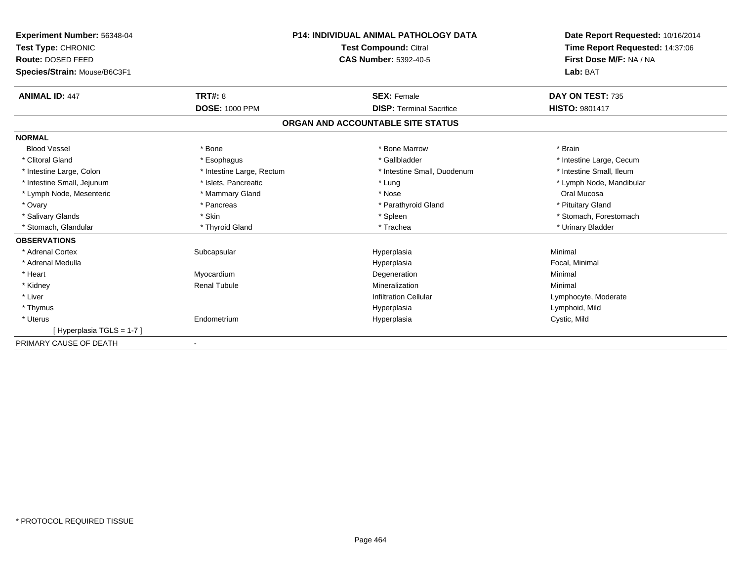| Experiment Number: 56348-04  |                           | <b>P14: INDIVIDUAL ANIMAL PATHOLOGY DATA</b> | Date Report Requested: 10/16/2014                          |  |
|------------------------------|---------------------------|----------------------------------------------|------------------------------------------------------------|--|
| Test Type: CHRONIC           |                           | <b>Test Compound: Citral</b>                 | Time Report Requested: 14:37:06<br>First Dose M/F: NA / NA |  |
| <b>Route: DOSED FEED</b>     |                           | <b>CAS Number: 5392-40-5</b>                 |                                                            |  |
| Species/Strain: Mouse/B6C3F1 |                           |                                              | Lab: BAT                                                   |  |
| <b>ANIMAL ID: 447</b>        | TRT#: 8                   | <b>SEX: Female</b>                           | DAY ON TEST: 735                                           |  |
|                              | <b>DOSE: 1000 PPM</b>     | <b>DISP: Terminal Sacrifice</b>              | <b>HISTO: 9801417</b>                                      |  |
|                              |                           | ORGAN AND ACCOUNTABLE SITE STATUS            |                                                            |  |
| <b>NORMAL</b>                |                           |                                              |                                                            |  |
| <b>Blood Vessel</b>          | * Bone                    | * Bone Marrow                                | * Brain                                                    |  |
| * Clitoral Gland             | * Esophagus               | * Gallbladder                                | * Intestine Large, Cecum                                   |  |
| * Intestine Large, Colon     | * Intestine Large, Rectum | * Intestine Small, Duodenum                  | * Intestine Small, Ileum                                   |  |
| * Intestine Small, Jejunum   | * Islets, Pancreatic      | * Lung                                       | * Lymph Node, Mandibular                                   |  |
| * Lymph Node, Mesenteric     | * Mammary Gland           | * Nose                                       | Oral Mucosa                                                |  |
| * Ovary                      | * Pancreas                | * Parathyroid Gland                          | * Pituitary Gland                                          |  |
| * Salivary Glands            | * Skin                    | * Spleen                                     | * Stomach, Forestomach                                     |  |
| Stomach, Glandular           | * Thyroid Gland           | * Trachea                                    | * Urinary Bladder                                          |  |
| <b>OBSERVATIONS</b>          |                           |                                              |                                                            |  |
| * Adrenal Cortex             | Subcapsular               | Hyperplasia                                  | Minimal                                                    |  |
| * Adrenal Medulla            |                           | Hyperplasia                                  | Focal, Minimal                                             |  |
| * Heart                      | Myocardium                | Degeneration                                 | Minimal                                                    |  |
| * Kidney                     | <b>Renal Tubule</b>       | Mineralization                               | Minimal                                                    |  |
| * Liver                      |                           | <b>Infiltration Cellular</b>                 | Lymphocyte, Moderate                                       |  |
| * Thymus                     |                           | Hyperplasia                                  | Lymphoid, Mild                                             |  |
| * Uterus                     | Endometrium               | Hyperplasia                                  | Cystic, Mild                                               |  |
| [Hyperplasia TGLS = $1-7$ ]  |                           |                                              |                                                            |  |
| PRIMARY CAUSE OF DEATH       |                           |                                              |                                                            |  |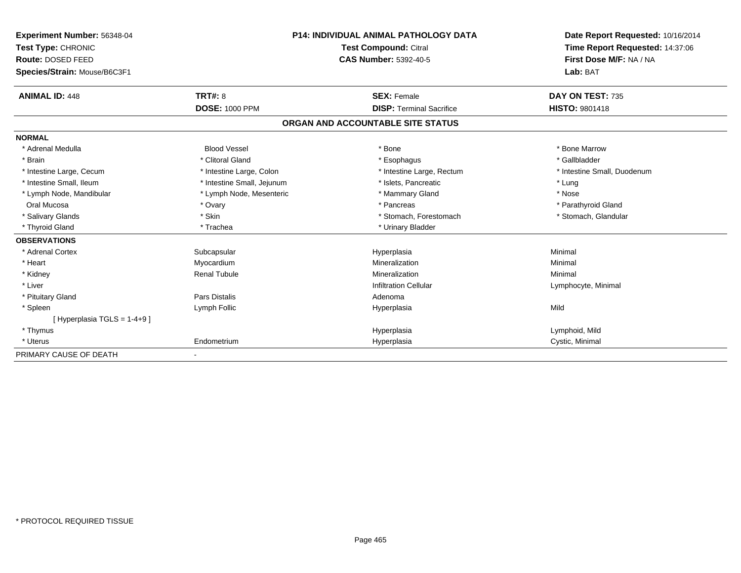| Experiment Number: 56348-04<br>Test Type: CHRONIC<br><b>Route: DOSED FEED</b><br>Species/Strain: Mouse/B6C3F1 | <b>P14: INDIVIDUAL ANIMAL PATHOLOGY DATA</b><br><b>Test Compound: Citral</b><br><b>CAS Number: 5392-40-5</b> |                                   | Date Report Requested: 10/16/2014<br>Time Report Requested: 14:37:06<br>First Dose M/F: NA / NA<br>Lab: BAT |
|---------------------------------------------------------------------------------------------------------------|--------------------------------------------------------------------------------------------------------------|-----------------------------------|-------------------------------------------------------------------------------------------------------------|
| <b>ANIMAL ID: 448</b>                                                                                         | <b>TRT#: 8</b>                                                                                               | <b>SEX: Female</b>                | DAY ON TEST: 735                                                                                            |
|                                                                                                               | <b>DOSE: 1000 PPM</b>                                                                                        | <b>DISP: Terminal Sacrifice</b>   | <b>HISTO: 9801418</b>                                                                                       |
|                                                                                                               |                                                                                                              | ORGAN AND ACCOUNTABLE SITE STATUS |                                                                                                             |
| <b>NORMAL</b>                                                                                                 |                                                                                                              |                                   |                                                                                                             |
| * Adrenal Medulla                                                                                             | <b>Blood Vessel</b>                                                                                          | * Bone                            | * Bone Marrow                                                                                               |
| * Brain                                                                                                       | * Clitoral Gland                                                                                             | * Esophagus                       | * Gallbladder                                                                                               |
| * Intestine Large, Cecum                                                                                      | * Intestine Large, Colon                                                                                     | * Intestine Large, Rectum         | * Intestine Small, Duodenum                                                                                 |
| * Intestine Small, Ileum                                                                                      | * Intestine Small, Jejunum                                                                                   | * Islets, Pancreatic              | * Lung                                                                                                      |
| * Lymph Node, Mandibular                                                                                      | * Lymph Node, Mesenteric                                                                                     | * Mammary Gland                   | * Nose                                                                                                      |
| Oral Mucosa                                                                                                   | * Ovary                                                                                                      | * Pancreas                        | * Parathyroid Gland                                                                                         |
| * Salivary Glands                                                                                             | * Skin                                                                                                       | * Stomach, Forestomach            | * Stomach, Glandular                                                                                        |
| * Thyroid Gland                                                                                               | * Trachea                                                                                                    | * Urinary Bladder                 |                                                                                                             |
| <b>OBSERVATIONS</b>                                                                                           |                                                                                                              |                                   |                                                                                                             |
| * Adrenal Cortex                                                                                              | Subcapsular                                                                                                  | Hyperplasia                       | Minimal                                                                                                     |
| * Heart                                                                                                       | Myocardium                                                                                                   | Mineralization                    | Minimal                                                                                                     |
| * Kidney                                                                                                      | <b>Renal Tubule</b>                                                                                          | Mineralization                    | Minimal                                                                                                     |
| * Liver                                                                                                       |                                                                                                              | <b>Infiltration Cellular</b>      | Lymphocyte, Minimal                                                                                         |
| * Pituitary Gland                                                                                             | <b>Pars Distalis</b>                                                                                         | Adenoma                           |                                                                                                             |
| * Spleen                                                                                                      | Lymph Follic                                                                                                 | Hyperplasia                       | Mild                                                                                                        |
| [Hyperplasia TGLS = $1-4+9$ ]                                                                                 |                                                                                                              |                                   |                                                                                                             |
| * Thymus                                                                                                      |                                                                                                              | Hyperplasia                       | Lymphoid, Mild                                                                                              |
| * Uterus                                                                                                      | Endometrium                                                                                                  | Hyperplasia                       | Cystic, Minimal                                                                                             |
| PRIMARY CAUSE OF DEATH                                                                                        | $\overline{\phantom{a}}$                                                                                     |                                   |                                                                                                             |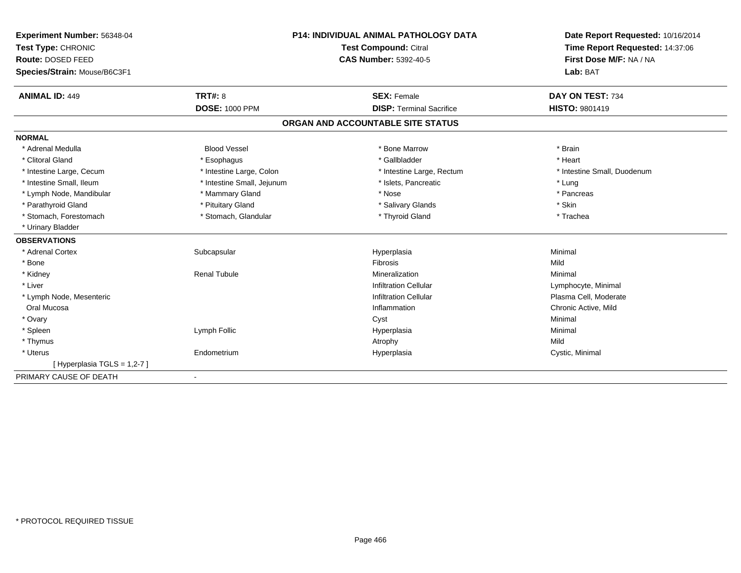| Experiment Number: 56348-04  | <b>P14: INDIVIDUAL ANIMAL PATHOLOGY DATA</b> |                                   | Date Report Requested: 10/16/2014 |  |
|------------------------------|----------------------------------------------|-----------------------------------|-----------------------------------|--|
| Test Type: CHRONIC           |                                              | Test Compound: Citral             | Time Report Requested: 14:37:06   |  |
| Route: DOSED FEED            |                                              | <b>CAS Number: 5392-40-5</b>      | First Dose M/F: NA / NA           |  |
| Species/Strain: Mouse/B6C3F1 |                                              |                                   | Lab: BAT                          |  |
| <b>ANIMAL ID: 449</b>        | <b>TRT#: 8</b>                               | <b>SEX: Female</b>                | DAY ON TEST: 734                  |  |
|                              | <b>DOSE: 1000 PPM</b>                        | <b>DISP: Terminal Sacrifice</b>   | <b>HISTO: 9801419</b>             |  |
|                              |                                              | ORGAN AND ACCOUNTABLE SITE STATUS |                                   |  |
| <b>NORMAL</b>                |                                              |                                   |                                   |  |
| * Adrenal Medulla            | <b>Blood Vessel</b>                          | * Bone Marrow                     | * Brain                           |  |
| * Clitoral Gland             | * Esophagus                                  | * Gallbladder                     | * Heart                           |  |
| * Intestine Large, Cecum     | * Intestine Large, Colon                     | * Intestine Large, Rectum         | * Intestine Small, Duodenum       |  |
| * Intestine Small, Ileum     | * Intestine Small, Jejunum                   | * Islets, Pancreatic              | * Lung                            |  |
| * Lymph Node, Mandibular     | * Mammary Gland                              | * Nose                            | * Pancreas                        |  |
| * Parathyroid Gland          | * Pituitary Gland                            | * Salivary Glands                 | * Skin                            |  |
| * Stomach, Forestomach       | * Stomach, Glandular                         | * Thyroid Gland                   | * Trachea                         |  |
| * Urinary Bladder            |                                              |                                   |                                   |  |
| <b>OBSERVATIONS</b>          |                                              |                                   |                                   |  |
| * Adrenal Cortex             | Subcapsular                                  | Hyperplasia                       | Minimal                           |  |
| * Bone                       |                                              | Fibrosis                          | Mild                              |  |
| * Kidney                     | <b>Renal Tubule</b>                          | Mineralization                    | Minimal                           |  |
| * Liver                      |                                              | <b>Infiltration Cellular</b>      | Lymphocyte, Minimal               |  |
| * Lymph Node, Mesenteric     |                                              | <b>Infiltration Cellular</b>      | Plasma Cell, Moderate             |  |
| Oral Mucosa                  |                                              | Inflammation                      | Chronic Active, Mild              |  |
| * Ovary                      |                                              | Cyst                              | Minimal                           |  |
| * Spleen                     | Lymph Follic                                 | Hyperplasia                       | Minimal                           |  |
| * Thymus                     |                                              | Atrophy                           | Mild                              |  |
| * Uterus                     | Endometrium                                  | Hyperplasia                       | Cystic, Minimal                   |  |
| [Hyperplasia TGLS = 1,2-7]   |                                              |                                   |                                   |  |
| PRIMARY CAUSE OF DEATH       |                                              |                                   |                                   |  |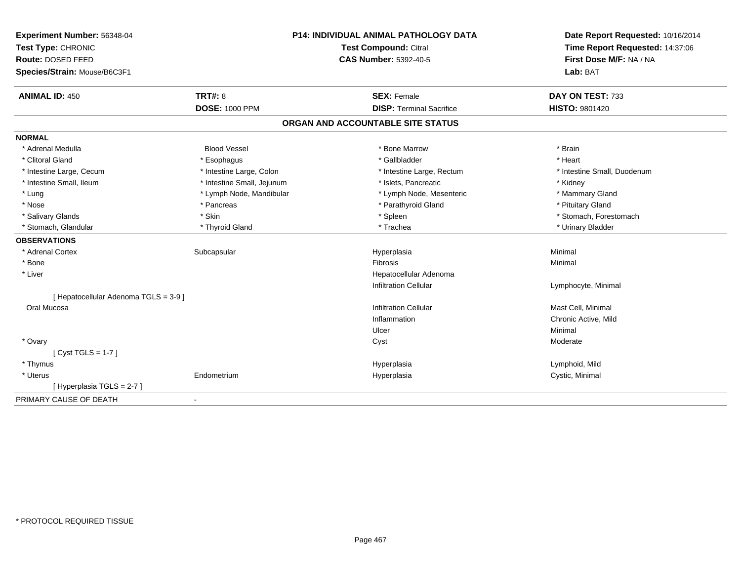| Experiment Number: 56348-04<br>Test Type: CHRONIC |                            | P14: INDIVIDUAL ANIMAL PATHOLOGY DATA | Date Report Requested: 10/16/2014 |  |
|---------------------------------------------------|----------------------------|---------------------------------------|-----------------------------------|--|
|                                                   |                            | Test Compound: Citral                 | Time Report Requested: 14:37:06   |  |
| Route: DOSED FEED                                 |                            | <b>CAS Number: 5392-40-5</b>          | First Dose M/F: NA / NA           |  |
| Species/Strain: Mouse/B6C3F1                      |                            |                                       | Lab: BAT                          |  |
| <b>ANIMAL ID: 450</b>                             | TRT#: 8                    | <b>SEX: Female</b>                    | DAY ON TEST: 733                  |  |
|                                                   | <b>DOSE: 1000 PPM</b>      | <b>DISP: Terminal Sacrifice</b>       | <b>HISTO: 9801420</b>             |  |
|                                                   |                            | ORGAN AND ACCOUNTABLE SITE STATUS     |                                   |  |
| <b>NORMAL</b>                                     |                            |                                       |                                   |  |
| * Adrenal Medulla                                 | <b>Blood Vessel</b>        | * Bone Marrow                         | * Brain                           |  |
| * Clitoral Gland                                  | * Esophagus                | * Gallbladder                         | * Heart                           |  |
| * Intestine Large, Cecum                          | * Intestine Large, Colon   | * Intestine Large, Rectum             | * Intestine Small, Duodenum       |  |
| * Intestine Small, Ileum                          | * Intestine Small, Jejunum | * Islets, Pancreatic                  | * Kidney                          |  |
| * Lung                                            | * Lymph Node, Mandibular   | * Lymph Node, Mesenteric              | * Mammary Gland                   |  |
| * Nose                                            | * Pancreas                 | * Parathyroid Gland                   | * Pituitary Gland                 |  |
| * Salivary Glands                                 | * Skin                     | * Spleen                              | * Stomach, Forestomach            |  |
| * Stomach, Glandular                              | * Thyroid Gland            | * Trachea                             | * Urinary Bladder                 |  |
| <b>OBSERVATIONS</b>                               |                            |                                       |                                   |  |
| * Adrenal Cortex                                  | Subcapsular                | Hyperplasia                           | Minimal                           |  |
| * Bone                                            |                            | <b>Fibrosis</b>                       | Minimal                           |  |
| * Liver                                           |                            | Hepatocellular Adenoma                |                                   |  |
|                                                   |                            | <b>Infiltration Cellular</b>          | Lymphocyte, Minimal               |  |
| [ Hepatocellular Adenoma TGLS = 3-9 ]             |                            |                                       |                                   |  |
| Oral Mucosa                                       |                            | <b>Infiltration Cellular</b>          | Mast Cell, Minimal                |  |
|                                                   |                            | Inflammation                          | Chronic Active, Mild              |  |
|                                                   |                            | Ulcer                                 | Minimal                           |  |
| * Ovary                                           |                            | Cyst                                  | Moderate                          |  |
| $[Cyst TGLS = 1-7]$                               |                            |                                       |                                   |  |
| * Thymus                                          |                            | Hyperplasia                           | Lymphoid, Mild                    |  |
| * Uterus                                          | Endometrium                | Hyperplasia                           | Cystic, Minimal                   |  |
| [Hyperplasia TGLS = 2-7]                          |                            |                                       |                                   |  |
| PRIMARY CAUSE OF DEATH                            | $\blacksquare$             |                                       |                                   |  |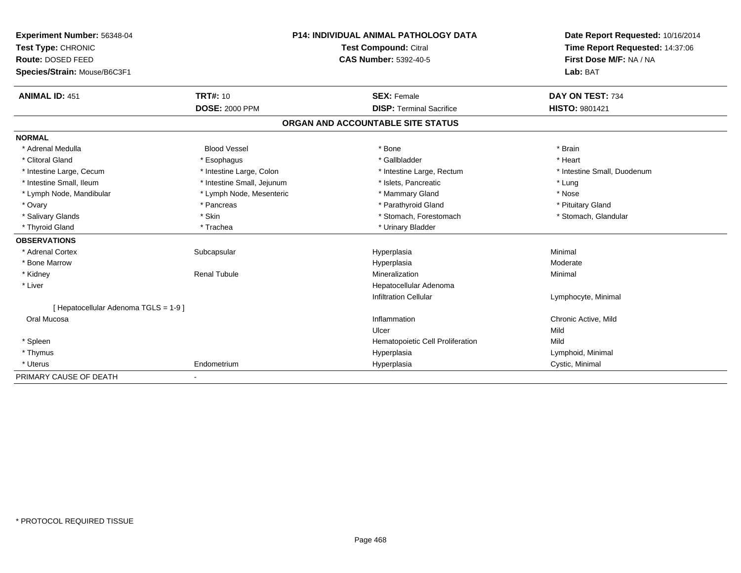| Experiment Number: 56348-04           | <b>P14: INDIVIDUAL ANIMAL PATHOLOGY DATA</b> |  | Date Report Requested: 10/16/2014 |                                 |  |
|---------------------------------------|----------------------------------------------|--|-----------------------------------|---------------------------------|--|
| Test Type: CHRONIC                    | <b>Test Compound: Citral</b>                 |  |                                   | Time Report Requested: 14:37:06 |  |
| Route: DOSED FEED                     |                                              |  | <b>CAS Number: 5392-40-5</b>      | First Dose M/F: NA / NA         |  |
| Species/Strain: Mouse/B6C3F1          |                                              |  |                                   | Lab: BAT                        |  |
| <b>ANIMAL ID: 451</b>                 | <b>TRT#: 10</b>                              |  | <b>SEX: Female</b>                | DAY ON TEST: 734                |  |
|                                       | <b>DOSE: 2000 PPM</b>                        |  | <b>DISP: Terminal Sacrifice</b>   | HISTO: 9801421                  |  |
|                                       |                                              |  | ORGAN AND ACCOUNTABLE SITE STATUS |                                 |  |
| <b>NORMAL</b>                         |                                              |  |                                   |                                 |  |
| * Adrenal Medulla                     | <b>Blood Vessel</b>                          |  | * Bone                            | * Brain                         |  |
| * Clitoral Gland                      | * Esophagus                                  |  | * Gallbladder                     | * Heart                         |  |
| * Intestine Large, Cecum              | * Intestine Large, Colon                     |  | * Intestine Large, Rectum         | * Intestine Small, Duodenum     |  |
| * Intestine Small, Ileum              | * Intestine Small, Jejunum                   |  | * Islets, Pancreatic              | * Lung                          |  |
| * Lymph Node, Mandibular              | * Lymph Node, Mesenteric                     |  | * Mammary Gland                   | * Nose                          |  |
| * Ovary                               | * Pancreas                                   |  | * Parathyroid Gland               | * Pituitary Gland               |  |
| * Salivary Glands                     | * Skin                                       |  | * Stomach, Forestomach            | * Stomach, Glandular            |  |
| * Thyroid Gland                       | * Trachea                                    |  | * Urinary Bladder                 |                                 |  |
| <b>OBSERVATIONS</b>                   |                                              |  |                                   |                                 |  |
| * Adrenal Cortex                      | Subcapsular                                  |  | Hyperplasia                       | Minimal                         |  |
| * Bone Marrow                         |                                              |  | Hyperplasia                       | Moderate                        |  |
| * Kidney                              | <b>Renal Tubule</b>                          |  | Mineralization                    | Minimal                         |  |
| * Liver                               |                                              |  | Hepatocellular Adenoma            |                                 |  |
|                                       |                                              |  | <b>Infiltration Cellular</b>      | Lymphocyte, Minimal             |  |
| [ Hepatocellular Adenoma TGLS = 1-9 ] |                                              |  |                                   |                                 |  |
| Oral Mucosa                           |                                              |  | Inflammation                      | Chronic Active, Mild            |  |
|                                       |                                              |  | Ulcer                             | Mild                            |  |
| * Spleen                              |                                              |  | Hematopoietic Cell Proliferation  | Mild                            |  |
| * Thymus                              |                                              |  | Hyperplasia                       | Lymphoid, Minimal               |  |
| * Uterus                              | Endometrium                                  |  | Hyperplasia                       | Cystic, Minimal                 |  |
| PRIMARY CAUSE OF DEATH                |                                              |  |                                   |                                 |  |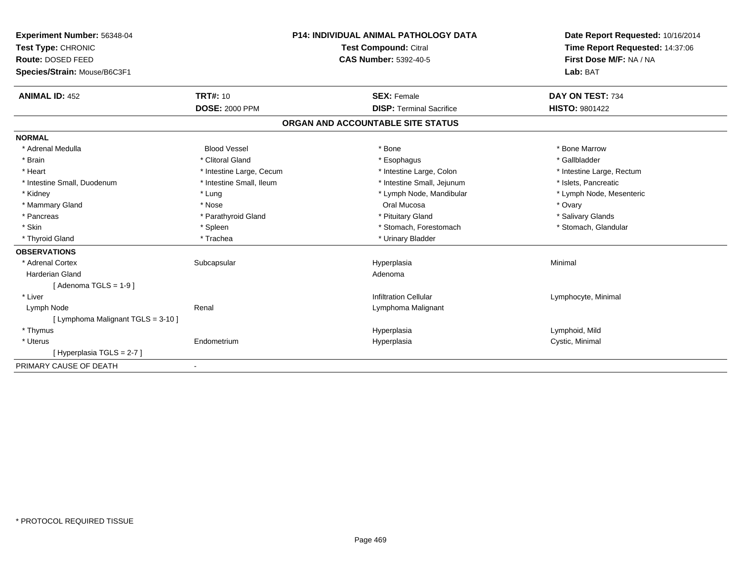| <b>Experiment Number: 56348-04</b><br>Test Type: CHRONIC<br>Route: DOSED FEED<br>Species/Strain: Mouse/B6C3F1<br><b>ANIMAL ID: 452</b> | <b>TRT#: 10</b>          | <b>P14: INDIVIDUAL ANIMAL PATHOLOGY DATA</b><br><b>Test Compound: Citral</b><br><b>CAS Number: 5392-40-5</b><br><b>SEX: Female</b> | Date Report Requested: 10/16/2014<br>Time Report Requested: 14:37:06<br>First Dose M/F: NA / NA<br>Lab: BAT<br>DAY ON TEST: 734 |
|----------------------------------------------------------------------------------------------------------------------------------------|--------------------------|------------------------------------------------------------------------------------------------------------------------------------|---------------------------------------------------------------------------------------------------------------------------------|
|                                                                                                                                        | <b>DOSE: 2000 PPM</b>    | <b>DISP: Terminal Sacrifice</b>                                                                                                    | <b>HISTO: 9801422</b>                                                                                                           |
|                                                                                                                                        |                          |                                                                                                                                    |                                                                                                                                 |
|                                                                                                                                        |                          | ORGAN AND ACCOUNTABLE SITE STATUS                                                                                                  |                                                                                                                                 |
| <b>NORMAL</b>                                                                                                                          |                          |                                                                                                                                    |                                                                                                                                 |
| * Adrenal Medulla                                                                                                                      | <b>Blood Vessel</b>      | * Bone                                                                                                                             | * Bone Marrow                                                                                                                   |
| * Brain                                                                                                                                | * Clitoral Gland         | * Esophagus                                                                                                                        | * Gallbladder                                                                                                                   |
| * Heart                                                                                                                                | * Intestine Large, Cecum | * Intestine Large, Colon                                                                                                           | * Intestine Large, Rectum                                                                                                       |
| * Intestine Small, Duodenum                                                                                                            | * Intestine Small, Ileum | * Intestine Small, Jejunum                                                                                                         | * Islets, Pancreatic                                                                                                            |
| * Kidney                                                                                                                               | * Lung                   | * Lymph Node, Mandibular                                                                                                           | * Lymph Node, Mesenteric                                                                                                        |
| * Mammary Gland                                                                                                                        | * Nose                   | Oral Mucosa                                                                                                                        | * Ovary                                                                                                                         |
| * Pancreas                                                                                                                             | * Parathyroid Gland      | * Pituitary Gland                                                                                                                  | * Salivary Glands                                                                                                               |
| * Skin                                                                                                                                 | * Spleen                 | * Stomach, Forestomach                                                                                                             | * Stomach, Glandular                                                                                                            |
| * Thyroid Gland                                                                                                                        | * Trachea                | * Urinary Bladder                                                                                                                  |                                                                                                                                 |
| <b>OBSERVATIONS</b>                                                                                                                    |                          |                                                                                                                                    |                                                                                                                                 |
| * Adrenal Cortex                                                                                                                       | Subcapsular              | Hyperplasia                                                                                                                        | Minimal                                                                                                                         |
| <b>Harderian Gland</b>                                                                                                                 |                          | Adenoma                                                                                                                            |                                                                                                                                 |
| [Adenoma TGLS = $1-9$ ]                                                                                                                |                          |                                                                                                                                    |                                                                                                                                 |
| * Liver                                                                                                                                |                          | <b>Infiltration Cellular</b>                                                                                                       | Lymphocyte, Minimal                                                                                                             |
| Lymph Node                                                                                                                             | Renal                    | Lymphoma Malignant                                                                                                                 |                                                                                                                                 |
| [ Lymphoma Malignant TGLS = 3-10 ]                                                                                                     |                          |                                                                                                                                    |                                                                                                                                 |
| * Thymus                                                                                                                               |                          | Hyperplasia                                                                                                                        | Lymphoid, Mild                                                                                                                  |
| * Uterus                                                                                                                               | Endometrium              | Hyperplasia                                                                                                                        | Cystic, Minimal                                                                                                                 |
| [Hyperplasia TGLS = 2-7]                                                                                                               |                          |                                                                                                                                    |                                                                                                                                 |
| PRIMARY CAUSE OF DEATH                                                                                                                 | $\blacksquare$           |                                                                                                                                    |                                                                                                                                 |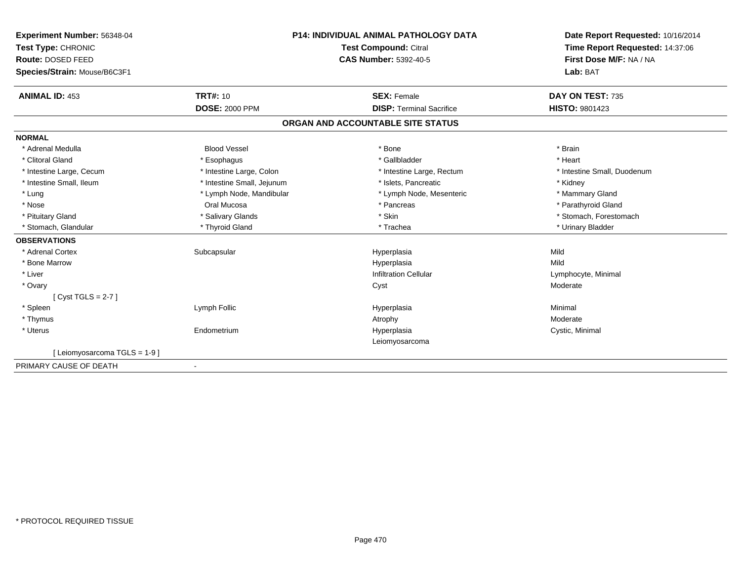| Experiment Number: 56348-04  | <b>P14: INDIVIDUAL ANIMAL PATHOLOGY DATA</b><br><b>Test Compound: Citral</b> |                                   | Date Report Requested: 10/16/2014 |
|------------------------------|------------------------------------------------------------------------------|-----------------------------------|-----------------------------------|
| Test Type: CHRONIC           |                                                                              |                                   | Time Report Requested: 14:37:06   |
| Route: DOSED FEED            |                                                                              | <b>CAS Number: 5392-40-5</b>      | First Dose M/F: NA / NA           |
| Species/Strain: Mouse/B6C3F1 |                                                                              |                                   | Lab: BAT                          |
| <b>ANIMAL ID: 453</b>        | <b>TRT#: 10</b>                                                              | <b>SEX: Female</b>                | DAY ON TEST: 735                  |
|                              | <b>DOSE: 2000 PPM</b>                                                        | <b>DISP: Terminal Sacrifice</b>   | HISTO: 9801423                    |
|                              |                                                                              | ORGAN AND ACCOUNTABLE SITE STATUS |                                   |
| <b>NORMAL</b>                |                                                                              |                                   |                                   |
| * Adrenal Medulla            | <b>Blood Vessel</b>                                                          | * Bone                            | * Brain                           |
| * Clitoral Gland             | * Esophagus                                                                  | * Gallbladder                     | * Heart                           |
| * Intestine Large, Cecum     | * Intestine Large, Colon                                                     | * Intestine Large, Rectum         | * Intestine Small, Duodenum       |
| * Intestine Small, Ileum     | * Intestine Small, Jejunum                                                   | * Islets, Pancreatic              | * Kidney                          |
| * Lung                       | * Lymph Node, Mandibular                                                     | * Lymph Node, Mesenteric          | * Mammary Gland                   |
| * Nose                       | Oral Mucosa                                                                  | * Pancreas                        | * Parathyroid Gland               |
| * Pituitary Gland            | * Salivary Glands                                                            | * Skin                            | * Stomach, Forestomach            |
| * Stomach, Glandular         | * Thyroid Gland                                                              | * Trachea                         | * Urinary Bladder                 |
| <b>OBSERVATIONS</b>          |                                                                              |                                   |                                   |
| * Adrenal Cortex             | Subcapsular                                                                  | Hyperplasia                       | Mild                              |
| * Bone Marrow                |                                                                              | Hyperplasia                       | Mild                              |
| * Liver                      |                                                                              | <b>Infiltration Cellular</b>      | Lymphocyte, Minimal               |
| * Ovary                      |                                                                              | Cyst                              | Moderate                          |
| [Cyst TGLS = 2-7]            |                                                                              |                                   |                                   |
| * Spleen                     | Lymph Follic                                                                 | Hyperplasia                       | Minimal                           |
| * Thymus                     |                                                                              | Atrophy                           | Moderate                          |
| * Uterus                     | Endometrium                                                                  | Hyperplasia                       | Cystic, Minimal                   |
|                              |                                                                              | Leiomyosarcoma                    |                                   |
| [Leiomyosarcoma TGLS = 1-9]  |                                                                              |                                   |                                   |
| PRIMARY CAUSE OF DEATH       | $\blacksquare$                                                               |                                   |                                   |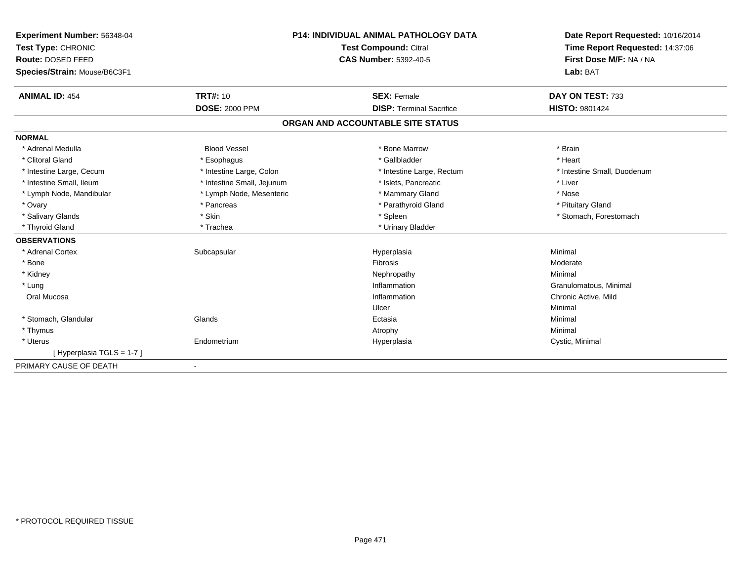| Experiment Number: 56348-04  | <b>P14: INDIVIDUAL ANIMAL PATHOLOGY DATA</b><br><b>Test Compound: Citral</b> |                                   | Date Report Requested: 10/16/2014 |
|------------------------------|------------------------------------------------------------------------------|-----------------------------------|-----------------------------------|
| Test Type: CHRONIC           |                                                                              |                                   | Time Report Requested: 14:37:06   |
| Route: DOSED FEED            |                                                                              | <b>CAS Number: 5392-40-5</b>      | First Dose M/F: NA / NA           |
| Species/Strain: Mouse/B6C3F1 |                                                                              |                                   | Lab: BAT                          |
| <b>ANIMAL ID: 454</b>        | <b>TRT#: 10</b>                                                              | <b>SEX: Female</b>                | DAY ON TEST: 733                  |
|                              | <b>DOSE: 2000 PPM</b>                                                        | <b>DISP: Terminal Sacrifice</b>   | <b>HISTO: 9801424</b>             |
|                              |                                                                              | ORGAN AND ACCOUNTABLE SITE STATUS |                                   |
| <b>NORMAL</b>                |                                                                              |                                   |                                   |
| * Adrenal Medulla            | <b>Blood Vessel</b>                                                          | * Bone Marrow                     | * Brain                           |
| * Clitoral Gland             | * Esophagus                                                                  | * Gallbladder                     | * Heart                           |
| * Intestine Large, Cecum     | * Intestine Large, Colon                                                     | * Intestine Large, Rectum         | * Intestine Small, Duodenum       |
| * Intestine Small, Ileum     | * Intestine Small, Jejunum                                                   | * Islets, Pancreatic              | * Liver                           |
| * Lymph Node, Mandibular     | * Lymph Node, Mesenteric                                                     | * Mammary Gland                   | * Nose                            |
| * Ovary                      | * Pancreas                                                                   | * Parathyroid Gland               | * Pituitary Gland                 |
| * Salivary Glands            | * Skin                                                                       | * Spleen                          | * Stomach, Forestomach            |
| * Thyroid Gland              | * Trachea                                                                    | * Urinary Bladder                 |                                   |
| <b>OBSERVATIONS</b>          |                                                                              |                                   |                                   |
| * Adrenal Cortex             | Subcapsular                                                                  | Hyperplasia                       | Minimal                           |
| * Bone                       |                                                                              | Fibrosis                          | Moderate                          |
| * Kidney                     |                                                                              | Nephropathy                       | Minimal                           |
| * Lung                       |                                                                              | Inflammation                      | Granulomatous, Minimal            |
| Oral Mucosa                  |                                                                              | Inflammation                      | Chronic Active, Mild              |
|                              |                                                                              | Ulcer                             | Minimal                           |
| * Stomach, Glandular         | Glands                                                                       | Ectasia                           | Minimal                           |
| * Thymus                     |                                                                              | Atrophy                           | Minimal                           |
| * Uterus                     | Endometrium                                                                  | Hyperplasia                       | Cystic, Minimal                   |
| [Hyperplasia TGLS = 1-7]     |                                                                              |                                   |                                   |
| PRIMARY CAUSE OF DEATH       | $\blacksquare$                                                               |                                   |                                   |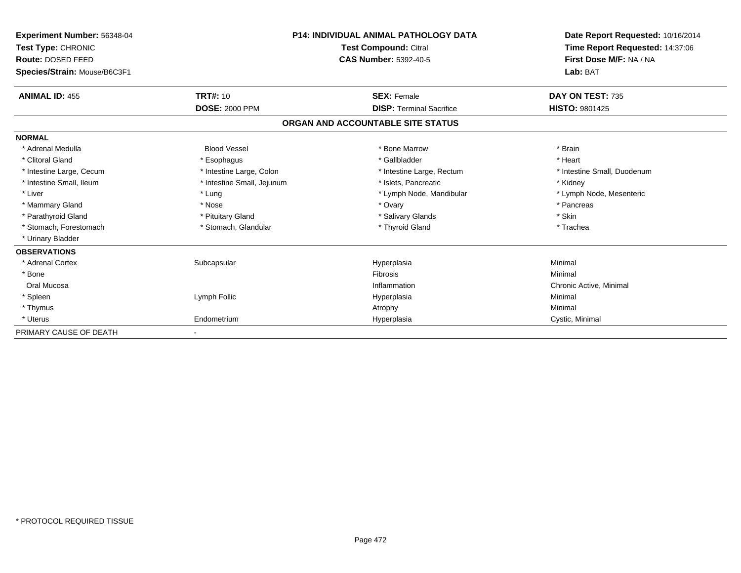| <b>Experiment Number: 56348-04</b><br>Test Type: CHRONIC<br>Route: DOSED FEED<br>Species/Strain: Mouse/B6C3F1 |                            | <b>P14: INDIVIDUAL ANIMAL PATHOLOGY DATA</b><br><b>Test Compound: Citral</b><br><b>CAS Number: 5392-40-5</b> | Date Report Requested: 10/16/2014<br>Time Report Requested: 14:37:06<br>First Dose M/F: NA / NA<br>Lab: BAT |
|---------------------------------------------------------------------------------------------------------------|----------------------------|--------------------------------------------------------------------------------------------------------------|-------------------------------------------------------------------------------------------------------------|
| <b>ANIMAL ID: 455</b>                                                                                         | <b>TRT#: 10</b>            | <b>SEX: Female</b>                                                                                           | DAY ON TEST: 735                                                                                            |
|                                                                                                               | <b>DOSE: 2000 PPM</b>      | <b>DISP: Terminal Sacrifice</b>                                                                              | HISTO: 9801425                                                                                              |
|                                                                                                               |                            | ORGAN AND ACCOUNTABLE SITE STATUS                                                                            |                                                                                                             |
| <b>NORMAL</b>                                                                                                 |                            |                                                                                                              |                                                                                                             |
| * Adrenal Medulla                                                                                             | <b>Blood Vessel</b>        | * Bone Marrow                                                                                                | * Brain                                                                                                     |
| * Clitoral Gland                                                                                              | * Esophagus                | * Gallbladder                                                                                                | * Heart                                                                                                     |
| * Intestine Large, Cecum                                                                                      | * Intestine Large, Colon   | * Intestine Large, Rectum                                                                                    | * Intestine Small, Duodenum                                                                                 |
| * Intestine Small, Ileum                                                                                      | * Intestine Small, Jejunum | * Islets, Pancreatic                                                                                         | * Kidney                                                                                                    |
| * Liver                                                                                                       | * Lung                     | * Lymph Node, Mandibular                                                                                     | * Lymph Node, Mesenteric                                                                                    |
| * Mammary Gland                                                                                               | * Nose                     | * Ovary                                                                                                      | * Pancreas                                                                                                  |
| * Parathyroid Gland                                                                                           | * Pituitary Gland          | * Salivary Glands                                                                                            | * Skin                                                                                                      |
| * Stomach, Forestomach                                                                                        | * Stomach, Glandular       | * Thyroid Gland                                                                                              | * Trachea                                                                                                   |
| * Urinary Bladder                                                                                             |                            |                                                                                                              |                                                                                                             |
| <b>OBSERVATIONS</b>                                                                                           |                            |                                                                                                              |                                                                                                             |
| * Adrenal Cortex                                                                                              | Subcapsular                | Hyperplasia                                                                                                  | Minimal                                                                                                     |
| * Bone                                                                                                        |                            | <b>Fibrosis</b>                                                                                              | Minimal                                                                                                     |
| Oral Mucosa                                                                                                   |                            | Inflammation                                                                                                 | Chronic Active, Minimal                                                                                     |
| * Spleen                                                                                                      | Lymph Follic               | Hyperplasia                                                                                                  | Minimal                                                                                                     |
| * Thymus                                                                                                      |                            | Atrophy                                                                                                      | Minimal                                                                                                     |
| * Uterus                                                                                                      | Endometrium                | Hyperplasia                                                                                                  | Cystic, Minimal                                                                                             |
| PRIMARY CAUSE OF DEATH                                                                                        |                            |                                                                                                              |                                                                                                             |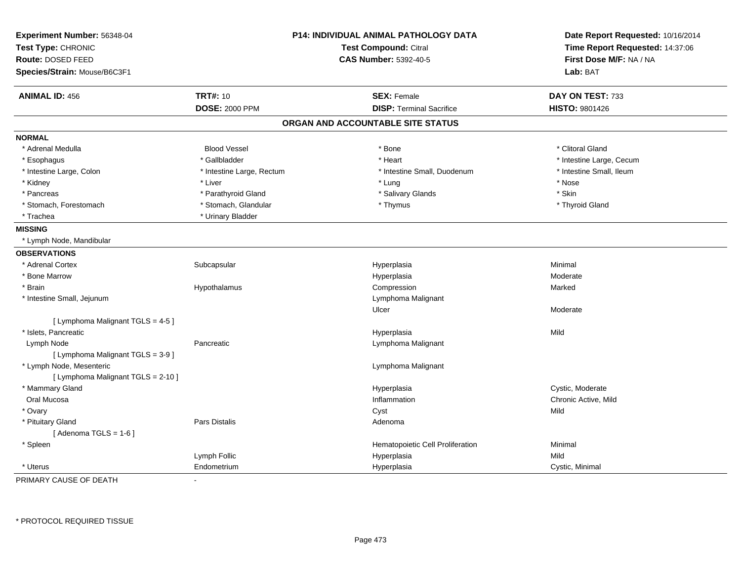| Experiment Number: 56348-04        |                           | P14: INDIVIDUAL ANIMAL PATHOLOGY DATA | Date Report Requested: 10/16/2014<br>Time Report Requested: 14:37:06 |
|------------------------------------|---------------------------|---------------------------------------|----------------------------------------------------------------------|
| Test Type: CHRONIC                 |                           | Test Compound: Citral                 |                                                                      |
| <b>Route: DOSED FEED</b>           |                           | <b>CAS Number: 5392-40-5</b>          | First Dose M/F: NA / NA                                              |
| Species/Strain: Mouse/B6C3F1       |                           |                                       | Lab: BAT                                                             |
| <b>ANIMAL ID: 456</b>              | <b>TRT#: 10</b>           | <b>SEX: Female</b>                    | DAY ON TEST: 733                                                     |
|                                    | <b>DOSE: 2000 PPM</b>     | <b>DISP: Terminal Sacrifice</b>       | HISTO: 9801426                                                       |
|                                    |                           | ORGAN AND ACCOUNTABLE SITE STATUS     |                                                                      |
| <b>NORMAL</b>                      |                           |                                       |                                                                      |
| * Adrenal Medulla                  | <b>Blood Vessel</b>       | * Bone                                | * Clitoral Gland                                                     |
| * Esophagus                        | * Gallbladder             | * Heart                               | * Intestine Large, Cecum                                             |
| * Intestine Large, Colon           | * Intestine Large, Rectum | * Intestine Small, Duodenum           | * Intestine Small, Ileum                                             |
| * Kidney                           | * Liver                   | * Lung                                | * Nose                                                               |
| * Pancreas                         | * Parathyroid Gland       | * Salivary Glands                     | * Skin                                                               |
| * Stomach, Forestomach             | * Stomach, Glandular      | * Thymus                              | * Thyroid Gland                                                      |
| * Trachea                          | * Urinary Bladder         |                                       |                                                                      |
| <b>MISSING</b>                     |                           |                                       |                                                                      |
| * Lymph Node, Mandibular           |                           |                                       |                                                                      |
| <b>OBSERVATIONS</b>                |                           |                                       |                                                                      |
| * Adrenal Cortex                   | Subcapsular               | Hyperplasia                           | Minimal                                                              |
| * Bone Marrow                      |                           | Hyperplasia                           | Moderate                                                             |
| * Brain                            | Hypothalamus              | Compression                           | Marked                                                               |
| * Intestine Small, Jejunum         |                           | Lymphoma Malignant                    |                                                                      |
|                                    |                           | Ulcer                                 | Moderate                                                             |
| [ Lymphoma Malignant TGLS = 4-5 ]  |                           |                                       |                                                                      |
| * Islets, Pancreatic               |                           | Hyperplasia                           | Mild                                                                 |
| Lymph Node                         | Pancreatic                | Lymphoma Malignant                    |                                                                      |
| [ Lymphoma Malignant TGLS = 3-9 ]  |                           |                                       |                                                                      |
| * Lymph Node, Mesenteric           |                           | Lymphoma Malignant                    |                                                                      |
| [ Lymphoma Malignant TGLS = 2-10 ] |                           |                                       |                                                                      |
| * Mammary Gland                    |                           | Hyperplasia                           | Cystic, Moderate                                                     |
| Oral Mucosa                        |                           | Inflammation                          | Chronic Active, Mild                                                 |
| * Ovary                            |                           | Cyst                                  | Mild                                                                 |
| * Pituitary Gland                  | <b>Pars Distalis</b>      | Adenoma                               |                                                                      |
| [Adenoma TGLS = $1-6$ ]            |                           |                                       |                                                                      |
| * Spleen                           |                           | Hematopoietic Cell Proliferation      | Minimal                                                              |
|                                    | Lymph Follic              | Hyperplasia                           | Mild                                                                 |
| * Uterus                           | Endometrium               | Hyperplasia                           | Cystic, Minimal                                                      |

PRIMARY CAUSE OF DEATH-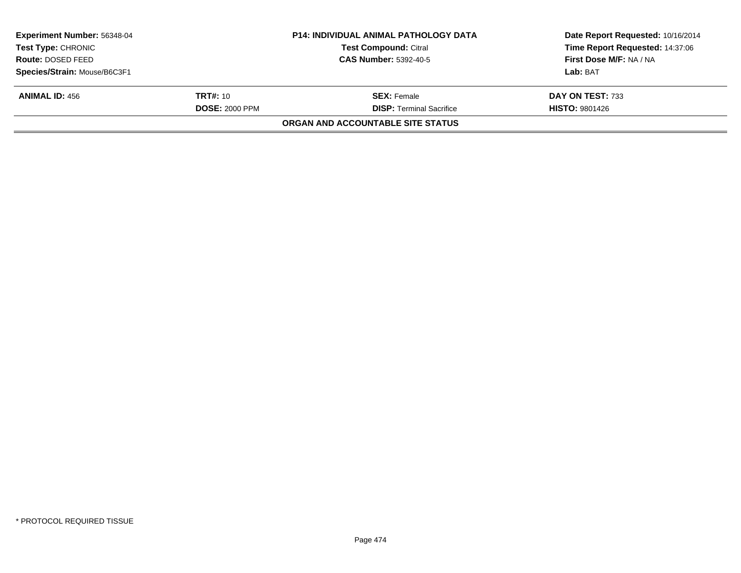| <b>Experiment Number: 56348-04</b> |                       | <b>P14: INDIVIDUAL ANIMAL PATHOLOGY DATA</b> | Date Report Requested: 10/16/2014 |  |
|------------------------------------|-----------------------|----------------------------------------------|-----------------------------------|--|
| <b>Test Type: CHRONIC</b>          |                       | <b>Test Compound: Citral</b>                 | Time Report Requested: 14:37:06   |  |
| Route: DOSED FEED                  |                       | <b>CAS Number: 5392-40-5</b>                 | First Dose M/F: NA / NA           |  |
| Species/Strain: Mouse/B6C3F1       |                       |                                              | Lab: BAT                          |  |
| <b>ANIMAL ID: 456</b>              | <b>TRT#:</b> 10       | <b>SEX:</b> Female                           | DAY ON TEST: 733                  |  |
|                                    | <b>DOSE: 2000 PPM</b> | <b>DISP:</b> Terminal Sacrifice              | <b>HISTO: 9801426</b>             |  |
|                                    |                       | ORGAN AND ACCOUNTABLE SITE STATUS            |                                   |  |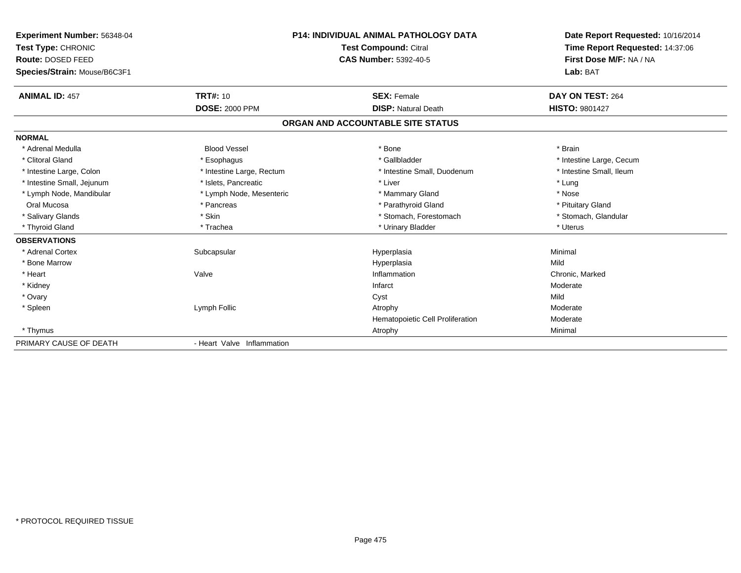| Experiment Number: 56348-04<br>Test Type: CHRONIC<br>Route: DOSED FEED<br>Species/Strain: Mouse/B6C3F1 |                            | <b>P14: INDIVIDUAL ANIMAL PATHOLOGY DATA</b><br><b>Test Compound: Citral</b><br><b>CAS Number: 5392-40-5</b> | Date Report Requested: 10/16/2014<br>Time Report Requested: 14:37:06<br>First Dose M/F: NA / NA<br>Lab: BAT |  |
|--------------------------------------------------------------------------------------------------------|----------------------------|--------------------------------------------------------------------------------------------------------------|-------------------------------------------------------------------------------------------------------------|--|
| <b>ANIMAL ID: 457</b>                                                                                  | <b>TRT#: 10</b>            | <b>SEX: Female</b>                                                                                           | DAY ON TEST: 264                                                                                            |  |
|                                                                                                        | <b>DOSE: 2000 PPM</b>      | <b>DISP: Natural Death</b>                                                                                   | <b>HISTO: 9801427</b>                                                                                       |  |
|                                                                                                        |                            | ORGAN AND ACCOUNTABLE SITE STATUS                                                                            |                                                                                                             |  |
| <b>NORMAL</b>                                                                                          |                            |                                                                                                              |                                                                                                             |  |
| * Adrenal Medulla                                                                                      | <b>Blood Vessel</b>        | * Bone                                                                                                       | * Brain                                                                                                     |  |
| * Clitoral Gland                                                                                       | * Esophagus                | * Gallbladder                                                                                                | * Intestine Large, Cecum                                                                                    |  |
| * Intestine Large, Colon                                                                               | * Intestine Large, Rectum  | * Intestine Small, Duodenum                                                                                  | * Intestine Small, Ileum                                                                                    |  |
| * Intestine Small, Jejunum                                                                             | * Islets, Pancreatic       | * Liver                                                                                                      | * Lung                                                                                                      |  |
| * Lymph Node, Mandibular                                                                               | * Lymph Node, Mesenteric   | * Mammary Gland                                                                                              | * Nose                                                                                                      |  |
| Oral Mucosa                                                                                            | * Pancreas                 | * Parathyroid Gland                                                                                          | * Pituitary Gland                                                                                           |  |
| * Salivary Glands                                                                                      | * Skin                     | * Stomach, Forestomach                                                                                       | * Stomach, Glandular                                                                                        |  |
| * Thyroid Gland                                                                                        | * Trachea                  | * Urinary Bladder                                                                                            | * Uterus                                                                                                    |  |
| <b>OBSERVATIONS</b>                                                                                    |                            |                                                                                                              |                                                                                                             |  |
| * Adrenal Cortex                                                                                       | Subcapsular                | Hyperplasia                                                                                                  | Minimal                                                                                                     |  |
| * Bone Marrow                                                                                          |                            | Hyperplasia                                                                                                  | Mild                                                                                                        |  |
| * Heart                                                                                                | Valve                      | Inflammation                                                                                                 | Chronic, Marked                                                                                             |  |
| * Kidney                                                                                               |                            | Infarct                                                                                                      | Moderate                                                                                                    |  |
| * Ovary                                                                                                |                            | Cyst                                                                                                         | Mild                                                                                                        |  |
| * Spleen                                                                                               | Lymph Follic               | Atrophy                                                                                                      | Moderate                                                                                                    |  |
|                                                                                                        |                            | Hematopoietic Cell Proliferation                                                                             | Moderate                                                                                                    |  |
| * Thymus                                                                                               |                            | Atrophy                                                                                                      | Minimal                                                                                                     |  |
| PRIMARY CAUSE OF DEATH                                                                                 | - Heart Valve Inflammation |                                                                                                              |                                                                                                             |  |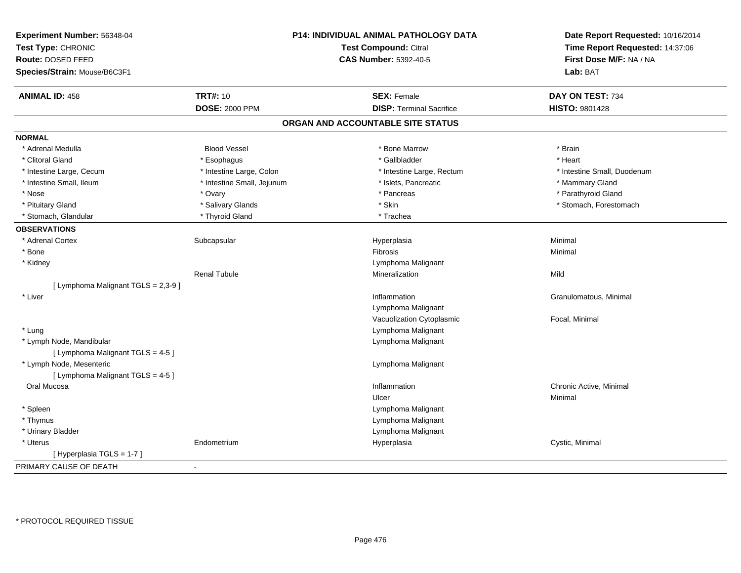| Experiment Number: 56348-04         |                              | P14: INDIVIDUAL ANIMAL PATHOLOGY DATA | Date Report Requested: 10/16/2014<br>Time Report Requested: 14:37:06 |
|-------------------------------------|------------------------------|---------------------------------------|----------------------------------------------------------------------|
| Test Type: CHRONIC                  | <b>Test Compound: Citral</b> |                                       |                                                                      |
| Route: DOSED FEED                   |                              | <b>CAS Number: 5392-40-5</b>          | First Dose M/F: NA / NA                                              |
| Species/Strain: Mouse/B6C3F1        |                              |                                       | Lab: BAT                                                             |
| <b>ANIMAL ID: 458</b>               | <b>TRT#: 10</b>              | <b>SEX: Female</b>                    | DAY ON TEST: 734                                                     |
|                                     | <b>DOSE: 2000 PPM</b>        | <b>DISP: Terminal Sacrifice</b>       | <b>HISTO: 9801428</b>                                                |
|                                     |                              | ORGAN AND ACCOUNTABLE SITE STATUS     |                                                                      |
| <b>NORMAL</b>                       |                              |                                       |                                                                      |
| * Adrenal Medulla                   | <b>Blood Vessel</b>          | * Bone Marrow                         | * Brain                                                              |
| * Clitoral Gland                    | * Esophagus                  | * Gallbladder                         | * Heart                                                              |
| * Intestine Large, Cecum            | * Intestine Large, Colon     | * Intestine Large, Rectum             | * Intestine Small, Duodenum                                          |
| * Intestine Small, Ileum            | * Intestine Small, Jejunum   | * Islets, Pancreatic                  | * Mammary Gland                                                      |
| * Nose                              | * Ovary                      | * Pancreas                            | * Parathyroid Gland                                                  |
| * Pituitary Gland                   | * Salivary Glands            | * Skin                                | * Stomach, Forestomach                                               |
| * Stomach, Glandular                | * Thyroid Gland              | * Trachea                             |                                                                      |
| <b>OBSERVATIONS</b>                 |                              |                                       |                                                                      |
| * Adrenal Cortex                    | Subcapsular                  | Hyperplasia                           | Minimal                                                              |
| * Bone                              |                              | Fibrosis                              | Minimal                                                              |
| * Kidney                            |                              | Lymphoma Malignant                    |                                                                      |
|                                     | <b>Renal Tubule</b>          | Mineralization                        | Mild                                                                 |
| [ Lymphoma Malignant TGLS = 2,3-9 ] |                              |                                       |                                                                      |
| * Liver                             |                              | Inflammation                          | Granulomatous, Minimal                                               |
|                                     |                              | Lymphoma Malignant                    |                                                                      |
|                                     |                              | Vacuolization Cytoplasmic             | Focal, Minimal                                                       |
| * Lung                              |                              | Lymphoma Malignant                    |                                                                      |
| * Lymph Node, Mandibular            |                              | Lymphoma Malignant                    |                                                                      |
| [ Lymphoma Malignant TGLS = 4-5 ]   |                              |                                       |                                                                      |
| * Lymph Node, Mesenteric            |                              | Lymphoma Malignant                    |                                                                      |
| [ Lymphoma Malignant TGLS = 4-5 ]   |                              |                                       |                                                                      |
| Oral Mucosa                         |                              | Inflammation                          | Chronic Active, Minimal                                              |
|                                     |                              | Ulcer                                 | Minimal                                                              |
| * Spleen                            |                              | Lymphoma Malignant                    |                                                                      |
| * Thymus                            |                              | Lymphoma Malignant                    |                                                                      |
| * Urinary Bladder                   |                              | Lymphoma Malignant                    |                                                                      |
| * Uterus                            | Endometrium                  | Hyperplasia                           | Cystic, Minimal                                                      |
| [Hyperplasia TGLS = 1-7]            |                              |                                       |                                                                      |
| PRIMARY CAUSE OF DEATH              | $\blacksquare$               |                                       |                                                                      |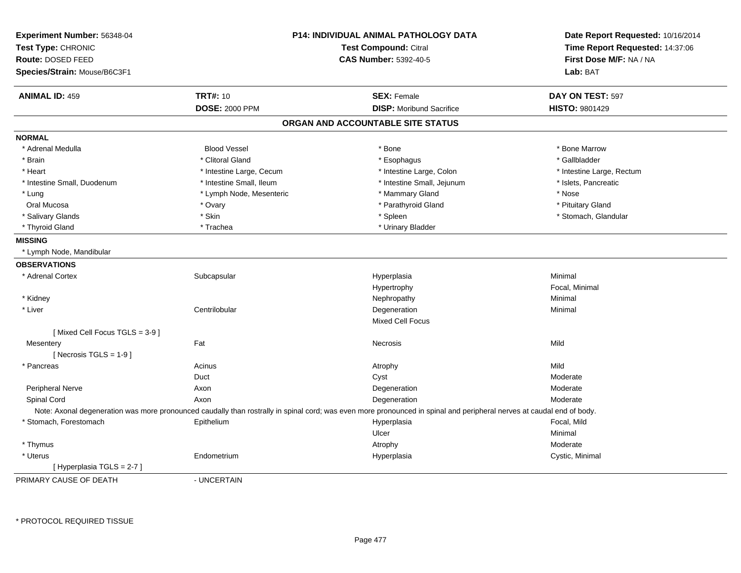| Experiment Number: 56348-04<br>Test Type: CHRONIC |                          | <b>P14: INDIVIDUAL ANIMAL PATHOLOGY DATA</b><br>Test Compound: Citral                                                                                                 | Date Report Requested: 10/16/2014<br>Time Report Requested: 14:37:06 |  |
|---------------------------------------------------|--------------------------|-----------------------------------------------------------------------------------------------------------------------------------------------------------------------|----------------------------------------------------------------------|--|
| Route: DOSED FEED                                 |                          | <b>CAS Number: 5392-40-5</b>                                                                                                                                          | First Dose M/F: NA / NA                                              |  |
| Species/Strain: Mouse/B6C3F1                      |                          |                                                                                                                                                                       | Lab: BAT                                                             |  |
| <b>ANIMAL ID: 459</b>                             | <b>TRT#: 10</b>          | <b>SEX: Female</b>                                                                                                                                                    | DAY ON TEST: 597                                                     |  |
|                                                   | <b>DOSE: 2000 PPM</b>    | <b>DISP:</b> Moribund Sacrifice                                                                                                                                       | HISTO: 9801429                                                       |  |
|                                                   |                          | ORGAN AND ACCOUNTABLE SITE STATUS                                                                                                                                     |                                                                      |  |
| <b>NORMAL</b>                                     |                          |                                                                                                                                                                       |                                                                      |  |
| * Adrenal Medulla                                 | <b>Blood Vessel</b>      | * Bone                                                                                                                                                                | * Bone Marrow                                                        |  |
| * Brain                                           | * Clitoral Gland         | * Esophagus                                                                                                                                                           | * Gallbladder                                                        |  |
| * Heart                                           | * Intestine Large, Cecum | * Intestine Large, Colon                                                                                                                                              | * Intestine Large, Rectum                                            |  |
| * Intestine Small, Duodenum                       | * Intestine Small, Ileum | * Intestine Small, Jejunum                                                                                                                                            | * Islets, Pancreatic                                                 |  |
| * Lung                                            | * Lymph Node, Mesenteric | * Mammary Gland                                                                                                                                                       | * Nose                                                               |  |
| Oral Mucosa                                       | * Ovary                  | * Parathyroid Gland                                                                                                                                                   | * Pituitary Gland                                                    |  |
| * Salivary Glands                                 | * Skin                   | * Spleen                                                                                                                                                              | * Stomach, Glandular                                                 |  |
| * Thyroid Gland                                   | * Trachea                | * Urinary Bladder                                                                                                                                                     |                                                                      |  |
| <b>MISSING</b>                                    |                          |                                                                                                                                                                       |                                                                      |  |
| * Lymph Node, Mandibular                          |                          |                                                                                                                                                                       |                                                                      |  |
| <b>OBSERVATIONS</b>                               |                          |                                                                                                                                                                       |                                                                      |  |
| * Adrenal Cortex                                  | Subcapsular              | Hyperplasia                                                                                                                                                           | Minimal                                                              |  |
|                                                   |                          | Hypertrophy                                                                                                                                                           | Focal, Minimal                                                       |  |
| * Kidney                                          |                          | Nephropathy                                                                                                                                                           | Minimal                                                              |  |
| * Liver                                           | Centrilobular            | Degeneration                                                                                                                                                          | Minimal                                                              |  |
|                                                   |                          | <b>Mixed Cell Focus</b>                                                                                                                                               |                                                                      |  |
| [Mixed Cell Focus TGLS = 3-9]                     |                          |                                                                                                                                                                       |                                                                      |  |
| Mesentery                                         | Fat                      | <b>Necrosis</b>                                                                                                                                                       | Mild                                                                 |  |
| [Necrosis TGLS = $1-9$ ]                          |                          |                                                                                                                                                                       |                                                                      |  |
| * Pancreas                                        | Acinus                   | Atrophy                                                                                                                                                               | Mild                                                                 |  |
|                                                   | Duct                     | Cyst                                                                                                                                                                  | Moderate                                                             |  |
| Peripheral Nerve                                  | Axon                     | Degeneration                                                                                                                                                          | Moderate                                                             |  |
| Spinal Cord                                       | Axon                     | Degeneration                                                                                                                                                          | Moderate                                                             |  |
|                                                   |                          | Note: Axonal degeneration was more pronounced caudally than rostrally in spinal cord; was even more pronounced in spinal and peripheral nerves at caudal end of body. |                                                                      |  |
| * Stomach, Forestomach                            | Epithelium               | Hyperplasia                                                                                                                                                           | Focal, Mild                                                          |  |
|                                                   |                          | Ulcer                                                                                                                                                                 | Minimal                                                              |  |
| * Thymus                                          |                          | Atrophy                                                                                                                                                               | Moderate                                                             |  |
| * Uterus                                          | Endometrium              | Hyperplasia                                                                                                                                                           | Cystic, Minimal                                                      |  |
| [Hyperplasia TGLS = 2-7]                          |                          |                                                                                                                                                                       |                                                                      |  |
| PRIMARY CAUSE OF DEATH                            | - UNCERTAIN              |                                                                                                                                                                       |                                                                      |  |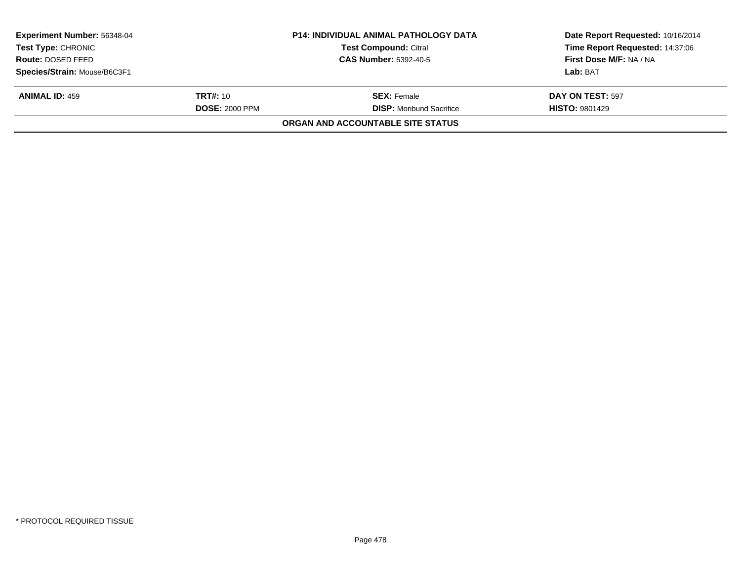| <b>Experiment Number: 56348-04</b> |                       | <b>P14: INDIVIDUAL ANIMAL PATHOLOGY DATA</b> | Date Report Requested: 10/16/2014 |  |
|------------------------------------|-----------------------|----------------------------------------------|-----------------------------------|--|
| <b>Test Type: CHRONIC</b>          |                       | <b>Test Compound: Citral</b>                 | Time Report Requested: 14:37:06   |  |
| Route: DOSED FEED                  |                       | <b>CAS Number: 5392-40-5</b>                 | First Dose M/F: NA / NA           |  |
| Species/Strain: Mouse/B6C3F1       |                       |                                              | Lab: BAT                          |  |
| <b>ANIMAL ID: 459</b>              | <b>TRT#:</b> 10       | <b>SEX:</b> Female                           | DAY ON TEST: 597                  |  |
|                                    | <b>DOSE: 2000 PPM</b> | <b>DISP:</b> Moribund Sacrifice              | <b>HISTO: 9801429</b>             |  |
|                                    |                       | ORGAN AND ACCOUNTABLE SITE STATUS            |                                   |  |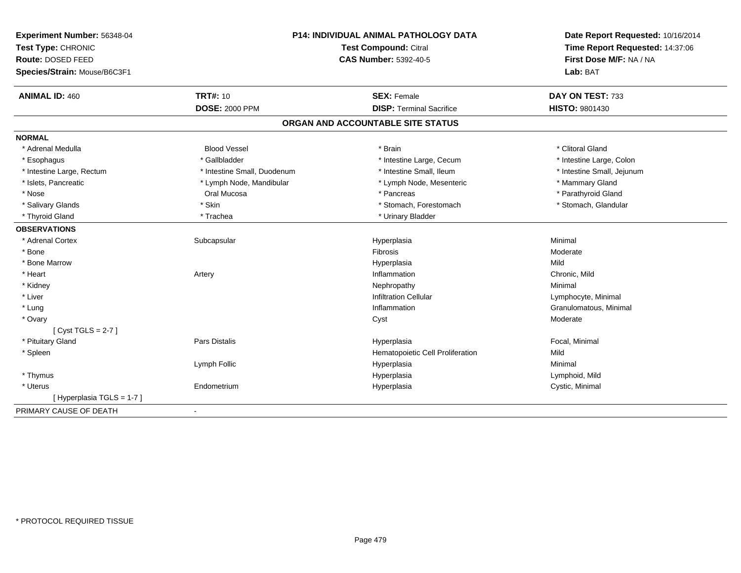| Experiment Number: 56348-04<br>Test Type: CHRONIC<br>Route: DOSED FEED<br>Species/Strain: Mouse/B6C3F1 | P14: INDIVIDUAL ANIMAL PATHOLOGY DATA<br><b>Test Compound: Citral</b><br><b>CAS Number: 5392-40-5</b> |                                   | Date Report Requested: 10/16/2014<br>Time Report Requested: 14:37:06<br>First Dose M/F: NA / NA<br>Lab: BAT |  |
|--------------------------------------------------------------------------------------------------------|-------------------------------------------------------------------------------------------------------|-----------------------------------|-------------------------------------------------------------------------------------------------------------|--|
| <b>ANIMAL ID: 460</b>                                                                                  | <b>TRT#: 10</b>                                                                                       | <b>SEX: Female</b>                | DAY ON TEST: 733                                                                                            |  |
|                                                                                                        | <b>DOSE: 2000 PPM</b>                                                                                 | <b>DISP: Terminal Sacrifice</b>   | <b>HISTO: 9801430</b>                                                                                       |  |
|                                                                                                        |                                                                                                       | ORGAN AND ACCOUNTABLE SITE STATUS |                                                                                                             |  |
| <b>NORMAL</b>                                                                                          |                                                                                                       |                                   |                                                                                                             |  |
| * Adrenal Medulla                                                                                      | <b>Blood Vessel</b>                                                                                   | * Brain                           | * Clitoral Gland                                                                                            |  |
| * Esophagus                                                                                            | * Gallbladder                                                                                         | * Intestine Large, Cecum          | * Intestine Large, Colon                                                                                    |  |
| * Intestine Large, Rectum                                                                              | * Intestine Small, Duodenum                                                                           | * Intestine Small, Ileum          | * Intestine Small, Jejunum                                                                                  |  |
| * Islets, Pancreatic                                                                                   | * Lymph Node, Mandibular                                                                              | * Lymph Node, Mesenteric          | * Mammary Gland                                                                                             |  |
| * Nose                                                                                                 | Oral Mucosa                                                                                           | * Pancreas                        | * Parathyroid Gland                                                                                         |  |
| * Salivary Glands                                                                                      | * Skin                                                                                                | * Stomach, Forestomach            | * Stomach, Glandular                                                                                        |  |
| * Thyroid Gland                                                                                        | * Trachea                                                                                             | * Urinary Bladder                 |                                                                                                             |  |
| <b>OBSERVATIONS</b>                                                                                    |                                                                                                       |                                   |                                                                                                             |  |
| * Adrenal Cortex                                                                                       | Subcapsular                                                                                           | Hyperplasia                       | Minimal                                                                                                     |  |
| * Bone                                                                                                 |                                                                                                       | <b>Fibrosis</b>                   | Moderate                                                                                                    |  |
| * Bone Marrow                                                                                          |                                                                                                       | Hyperplasia                       | Mild                                                                                                        |  |
| * Heart                                                                                                | Artery                                                                                                | Inflammation                      | Chronic, Mild                                                                                               |  |
| * Kidney                                                                                               |                                                                                                       | Nephropathy                       | Minimal                                                                                                     |  |
| * Liver                                                                                                |                                                                                                       | <b>Infiltration Cellular</b>      | Lymphocyte, Minimal                                                                                         |  |
| * Lung                                                                                                 |                                                                                                       | Inflammation                      | Granulomatous, Minimal                                                                                      |  |
| * Ovary                                                                                                |                                                                                                       | Cyst                              | Moderate                                                                                                    |  |
| [Cyst TGLS = $2-7$ ]                                                                                   |                                                                                                       |                                   |                                                                                                             |  |
| * Pituitary Gland                                                                                      | <b>Pars Distalis</b>                                                                                  | Hyperplasia                       | Focal, Minimal                                                                                              |  |
| * Spleen                                                                                               |                                                                                                       | Hematopoietic Cell Proliferation  | Mild                                                                                                        |  |
|                                                                                                        | Lymph Follic                                                                                          | Hyperplasia                       | Minimal                                                                                                     |  |
| * Thymus                                                                                               |                                                                                                       | Hyperplasia                       | Lymphoid, Mild                                                                                              |  |
| * Uterus                                                                                               | Endometrium                                                                                           | Hyperplasia                       | Cystic, Minimal                                                                                             |  |
| [Hyperplasia TGLS = 1-7]                                                                               |                                                                                                       |                                   |                                                                                                             |  |
| PRIMARY CAUSE OF DEATH                                                                                 | $\blacksquare$                                                                                        |                                   |                                                                                                             |  |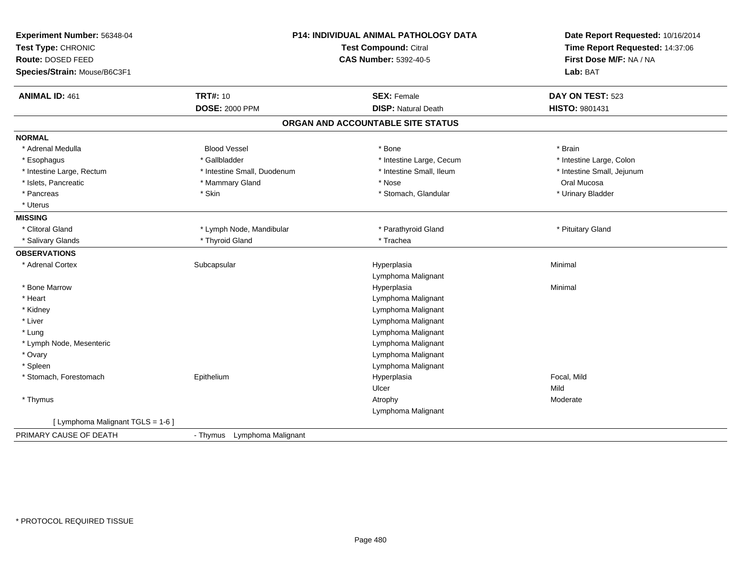| Experiment Number: 56348-04<br>Test Type: CHRONIC<br>Route: DOSED FEED<br>Species/Strain: Mouse/B6C3F1 |                                          | P14: INDIVIDUAL ANIMAL PATHOLOGY DATA<br><b>Test Compound: Citral</b><br><b>CAS Number: 5392-40-5</b> |                                    |
|--------------------------------------------------------------------------------------------------------|------------------------------------------|-------------------------------------------------------------------------------------------------------|------------------------------------|
| <b>ANIMAL ID: 461</b>                                                                                  | <b>TRT#: 10</b><br><b>DOSE: 2000 PPM</b> | <b>SEX: Female</b><br><b>DISP: Natural Death</b>                                                      | DAY ON TEST: 523<br>HISTO: 9801431 |
|                                                                                                        |                                          |                                                                                                       |                                    |
|                                                                                                        |                                          | ORGAN AND ACCOUNTABLE SITE STATUS                                                                     |                                    |
| <b>NORMAL</b>                                                                                          |                                          |                                                                                                       |                                    |
| * Adrenal Medulla                                                                                      | <b>Blood Vessel</b>                      | * Bone                                                                                                | * Brain                            |
| * Esophagus                                                                                            | * Gallbladder                            | * Intestine Large, Cecum                                                                              | * Intestine Large, Colon           |
| * Intestine Large, Rectum                                                                              | * Intestine Small, Duodenum              | * Intestine Small, Ileum                                                                              | * Intestine Small, Jejunum         |
| * Islets, Pancreatic                                                                                   | * Mammary Gland                          | * Nose                                                                                                | Oral Mucosa                        |
| * Pancreas                                                                                             | * Skin                                   | * Stomach, Glandular                                                                                  | * Urinary Bladder                  |
| * Uterus                                                                                               |                                          |                                                                                                       |                                    |
| <b>MISSING</b>                                                                                         |                                          |                                                                                                       |                                    |
| * Clitoral Gland                                                                                       | * Lymph Node, Mandibular                 | * Parathyroid Gland                                                                                   | * Pituitary Gland                  |
| * Salivary Glands                                                                                      | * Thyroid Gland                          | * Trachea                                                                                             |                                    |
| <b>OBSERVATIONS</b>                                                                                    |                                          |                                                                                                       |                                    |
| * Adrenal Cortex                                                                                       | Subcapsular                              | Hyperplasia                                                                                           | Minimal                            |
|                                                                                                        |                                          | Lymphoma Malignant                                                                                    |                                    |
| * Bone Marrow                                                                                          |                                          | Hyperplasia                                                                                           | Minimal                            |
| * Heart                                                                                                |                                          | Lymphoma Malignant                                                                                    |                                    |
| * Kidney                                                                                               |                                          | Lymphoma Malignant                                                                                    |                                    |
| * Liver                                                                                                |                                          | Lymphoma Malignant                                                                                    |                                    |
| * Lung                                                                                                 |                                          | Lymphoma Malignant                                                                                    |                                    |
| * Lymph Node, Mesenteric                                                                               |                                          | Lymphoma Malignant                                                                                    |                                    |
| * Ovary                                                                                                |                                          | Lymphoma Malignant                                                                                    |                                    |
| * Spleen                                                                                               |                                          | Lymphoma Malignant                                                                                    |                                    |
| * Stomach, Forestomach                                                                                 | Epithelium                               | Hyperplasia                                                                                           | Focal, Mild                        |
|                                                                                                        |                                          | Ulcer                                                                                                 | Mild                               |
| * Thymus                                                                                               |                                          | Atrophy                                                                                               | Moderate                           |
|                                                                                                        |                                          | Lymphoma Malignant                                                                                    |                                    |
| [ Lymphoma Malignant TGLS = 1-6 ]                                                                      |                                          |                                                                                                       |                                    |
| PRIMARY CAUSE OF DEATH                                                                                 | - Thymus Lymphoma Malignant              |                                                                                                       |                                    |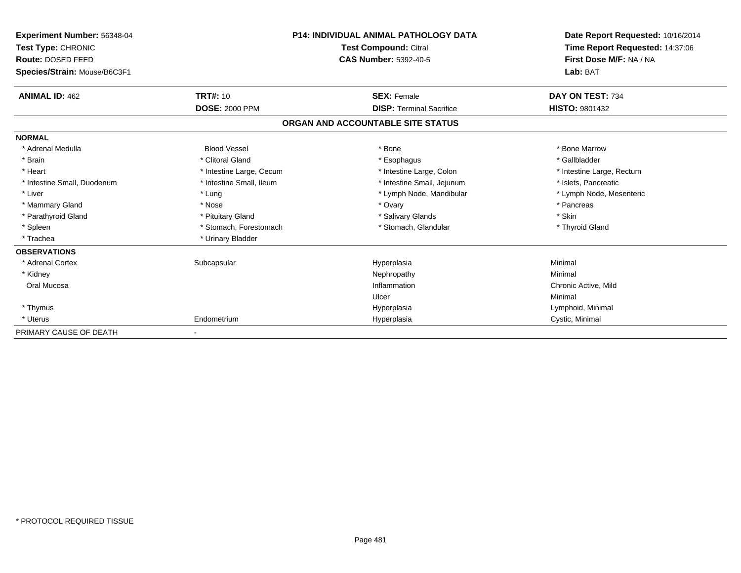| Experiment Number: 56348-04<br>Test Type: CHRONIC<br>Route: DOSED FEED<br>Species/Strain: Mouse/B6C3F1 |                          | <b>P14: INDIVIDUAL ANIMAL PATHOLOGY DATA</b><br><b>Test Compound: Citral</b><br><b>CAS Number: 5392-40-5</b> | Date Report Requested: 10/16/2014<br>Time Report Requested: 14:37:06<br>First Dose M/F: NA / NA<br>Lab: BAT |
|--------------------------------------------------------------------------------------------------------|--------------------------|--------------------------------------------------------------------------------------------------------------|-------------------------------------------------------------------------------------------------------------|
| <b>ANIMAL ID: 462</b>                                                                                  | <b>TRT#: 10</b>          | <b>SEX: Female</b>                                                                                           | DAY ON TEST: 734                                                                                            |
|                                                                                                        | <b>DOSE: 2000 PPM</b>    | <b>DISP: Terminal Sacrifice</b>                                                                              | HISTO: 9801432                                                                                              |
|                                                                                                        |                          | ORGAN AND ACCOUNTABLE SITE STATUS                                                                            |                                                                                                             |
| <b>NORMAL</b>                                                                                          |                          |                                                                                                              |                                                                                                             |
| * Adrenal Medulla                                                                                      | <b>Blood Vessel</b>      | * Bone                                                                                                       | * Bone Marrow                                                                                               |
| * Brain                                                                                                | * Clitoral Gland         | * Esophagus                                                                                                  | * Gallbladder                                                                                               |
| * Heart                                                                                                | * Intestine Large, Cecum | * Intestine Large, Colon                                                                                     | * Intestine Large, Rectum                                                                                   |
| * Intestine Small, Duodenum                                                                            | * Intestine Small, Ileum | * Intestine Small, Jejunum                                                                                   | * Islets, Pancreatic                                                                                        |
| * Liver                                                                                                | * Lung                   | * Lymph Node, Mandibular                                                                                     | * Lymph Node, Mesenteric                                                                                    |
| * Mammary Gland                                                                                        | * Nose                   | * Ovary                                                                                                      | * Pancreas                                                                                                  |
| * Parathyroid Gland                                                                                    | * Pituitary Gland        | * Salivary Glands                                                                                            | * Skin                                                                                                      |
| * Spleen                                                                                               | * Stomach, Forestomach   | * Stomach, Glandular                                                                                         | * Thyroid Gland                                                                                             |
| * Trachea                                                                                              | * Urinary Bladder        |                                                                                                              |                                                                                                             |
| <b>OBSERVATIONS</b>                                                                                    |                          |                                                                                                              |                                                                                                             |
| * Adrenal Cortex                                                                                       | Subcapsular              | Hyperplasia                                                                                                  | Minimal                                                                                                     |
| * Kidney                                                                                               |                          | Nephropathy                                                                                                  | Minimal                                                                                                     |
| Oral Mucosa                                                                                            |                          | Inflammation                                                                                                 | Chronic Active, Mild                                                                                        |
|                                                                                                        |                          | Ulcer                                                                                                        | Minimal                                                                                                     |
| * Thymus                                                                                               |                          | Hyperplasia                                                                                                  | Lymphoid, Minimal                                                                                           |
| * Uterus                                                                                               | Endometrium              | Hyperplasia                                                                                                  | Cystic, Minimal                                                                                             |
| PRIMARY CAUSE OF DEATH                                                                                 |                          |                                                                                                              |                                                                                                             |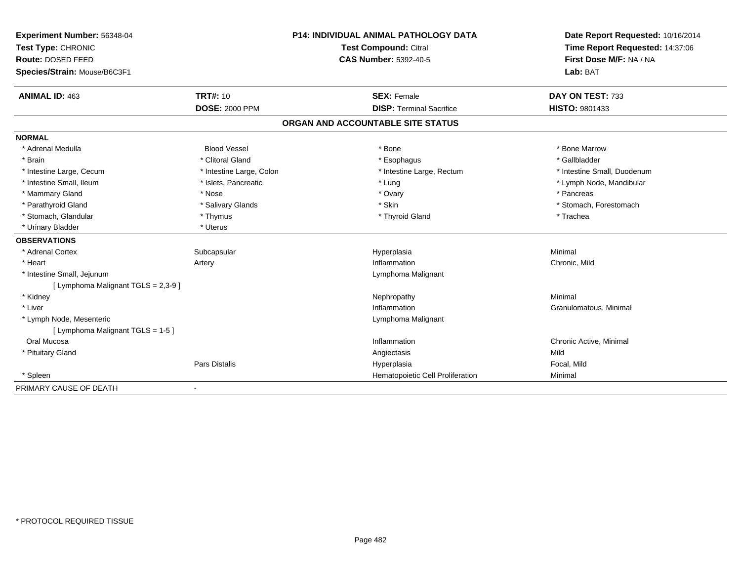| Experiment Number: 56348-04<br>Test Type: CHRONIC<br>Route: DOSED FEED |                          | <b>P14: INDIVIDUAL ANIMAL PATHOLOGY DATA</b> | Date Report Requested: 10/16/2014<br>Time Report Requested: 14:37:06 |
|------------------------------------------------------------------------|--------------------------|----------------------------------------------|----------------------------------------------------------------------|
|                                                                        |                          | <b>Test Compound: Citral</b>                 |                                                                      |
|                                                                        |                          | <b>CAS Number: 5392-40-5</b>                 | First Dose M/F: NA / NA                                              |
| Species/Strain: Mouse/B6C3F1                                           |                          |                                              | Lab: BAT                                                             |
| <b>ANIMAL ID: 463</b>                                                  | <b>TRT#: 10</b>          | <b>SEX: Female</b>                           | DAY ON TEST: 733                                                     |
|                                                                        | <b>DOSE: 2000 PPM</b>    | <b>DISP: Terminal Sacrifice</b>              | <b>HISTO: 9801433</b>                                                |
|                                                                        |                          | ORGAN AND ACCOUNTABLE SITE STATUS            |                                                                      |
| <b>NORMAL</b>                                                          |                          |                                              |                                                                      |
| * Adrenal Medulla                                                      | <b>Blood Vessel</b>      | * Bone                                       | * Bone Marrow                                                        |
| * Brain                                                                | * Clitoral Gland         | * Esophagus                                  | * Gallbladder                                                        |
| * Intestine Large, Cecum                                               | * Intestine Large, Colon | * Intestine Large, Rectum                    | * Intestine Small, Duodenum                                          |
| * Intestine Small, Ileum                                               | * Islets, Pancreatic     | * Lung                                       | * Lymph Node, Mandibular                                             |
| * Mammary Gland                                                        | * Nose                   | * Ovary                                      | * Pancreas                                                           |
| * Parathyroid Gland                                                    | * Salivary Glands        | * Skin                                       | * Stomach, Forestomach                                               |
| * Stomach, Glandular                                                   | * Thymus                 | * Thyroid Gland                              | * Trachea                                                            |
| * Urinary Bladder                                                      | * Uterus                 |                                              |                                                                      |
| <b>OBSERVATIONS</b>                                                    |                          |                                              |                                                                      |
| * Adrenal Cortex                                                       | Subcapsular              | Hyperplasia                                  | Minimal                                                              |
| * Heart                                                                | Artery                   | Inflammation                                 | Chronic, Mild                                                        |
| * Intestine Small, Jejunum<br>[ Lymphoma Malignant TGLS = 2,3-9 ]      |                          | Lymphoma Malignant                           |                                                                      |
| * Kidney                                                               |                          | Nephropathy                                  | Minimal                                                              |
| * Liver                                                                |                          | Inflammation                                 | Granulomatous, Minimal                                               |
| * Lymph Node, Mesenteric<br>[ Lymphoma Malignant TGLS = 1-5 ]          |                          | Lymphoma Malignant                           |                                                                      |
| Oral Mucosa                                                            |                          | Inflammation                                 | Chronic Active, Minimal                                              |
| * Pituitary Gland                                                      |                          | Angiectasis                                  | Mild                                                                 |
|                                                                        | Pars Distalis            | Hyperplasia                                  | Focal, Mild                                                          |
| * Spleen                                                               |                          | Hematopoietic Cell Proliferation             | Minimal                                                              |
| PRIMARY CAUSE OF DEATH                                                 |                          |                                              |                                                                      |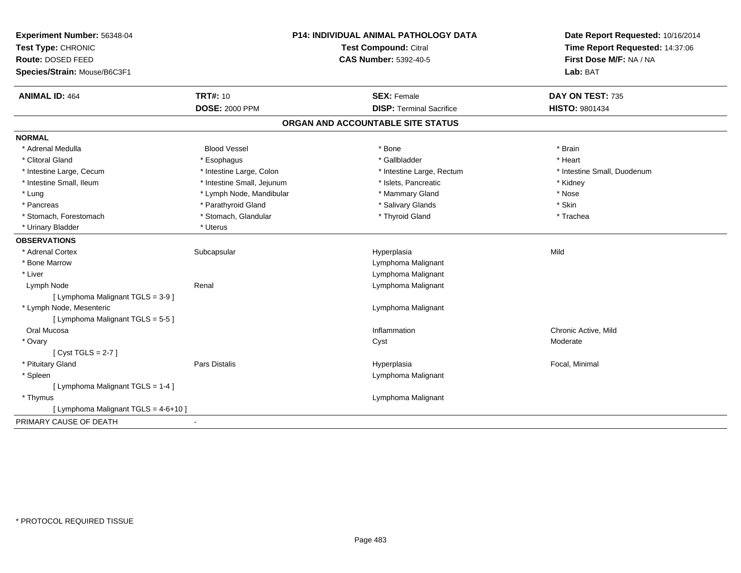| Experiment Number: 56348-04          | <b>P14: INDIVIDUAL ANIMAL PATHOLOGY DATA</b><br><b>Test Compound: Citral</b> |                                   | Date Report Requested: 10/16/2014<br>Time Report Requested: 14:37:06 |
|--------------------------------------|------------------------------------------------------------------------------|-----------------------------------|----------------------------------------------------------------------|
| Test Type: CHRONIC                   |                                                                              |                                   |                                                                      |
| Route: DOSED FEED                    |                                                                              | <b>CAS Number: 5392-40-5</b>      | First Dose M/F: NA / NA                                              |
| Species/Strain: Mouse/B6C3F1         |                                                                              |                                   | Lab: BAT                                                             |
| <b>ANIMAL ID: 464</b>                | <b>TRT#: 10</b>                                                              | <b>SEX: Female</b>                | DAY ON TEST: 735                                                     |
|                                      | <b>DOSE: 2000 PPM</b>                                                        | <b>DISP: Terminal Sacrifice</b>   | HISTO: 9801434                                                       |
|                                      |                                                                              | ORGAN AND ACCOUNTABLE SITE STATUS |                                                                      |
| <b>NORMAL</b>                        |                                                                              |                                   |                                                                      |
| * Adrenal Medulla                    | <b>Blood Vessel</b>                                                          | * Bone                            | * Brain                                                              |
| * Clitoral Gland                     | * Esophagus                                                                  | * Gallbladder                     | * Heart                                                              |
| * Intestine Large, Cecum             | * Intestine Large, Colon                                                     | * Intestine Large, Rectum         | * Intestine Small, Duodenum                                          |
| * Intestine Small, Ileum             | * Intestine Small, Jejunum                                                   | * Islets, Pancreatic              | * Kidney                                                             |
| * Lung                               | * Lymph Node, Mandibular                                                     | * Mammary Gland                   | * Nose                                                               |
| * Pancreas                           | * Parathyroid Gland                                                          | * Salivary Glands                 | * Skin                                                               |
| * Stomach, Forestomach               | * Stomach, Glandular                                                         | * Thyroid Gland                   | * Trachea                                                            |
| * Urinary Bladder                    | * Uterus                                                                     |                                   |                                                                      |
| <b>OBSERVATIONS</b>                  |                                                                              |                                   |                                                                      |
| * Adrenal Cortex                     | Subcapsular                                                                  | Hyperplasia                       | Mild                                                                 |
| * Bone Marrow                        |                                                                              | Lymphoma Malignant                |                                                                      |
| * Liver                              |                                                                              | Lymphoma Malignant                |                                                                      |
| Lymph Node                           | Renal                                                                        | Lymphoma Malignant                |                                                                      |
| [ Lymphoma Malignant TGLS = 3-9 ]    |                                                                              |                                   |                                                                      |
| * Lymph Node, Mesenteric             |                                                                              | Lymphoma Malignant                |                                                                      |
| [ Lymphoma Malignant TGLS = 5-5 ]    |                                                                              |                                   |                                                                      |
| Oral Mucosa                          |                                                                              | Inflammation                      | Chronic Active, Mild                                                 |
| * Ovary                              |                                                                              | Cyst                              | Moderate                                                             |
| [Cyst TGLS = $2-7$ ]                 |                                                                              |                                   |                                                                      |
| * Pituitary Gland                    | Pars Distalis                                                                | Hyperplasia                       | Focal, Minimal                                                       |
| * Spleen                             |                                                                              | Lymphoma Malignant                |                                                                      |
| [ Lymphoma Malignant TGLS = 1-4 ]    |                                                                              |                                   |                                                                      |
| * Thymus                             |                                                                              | Lymphoma Malignant                |                                                                      |
| [ Lymphoma Malignant TGLS = 4-6+10 ] |                                                                              |                                   |                                                                      |
| PRIMARY CAUSE OF DEATH               |                                                                              |                                   |                                                                      |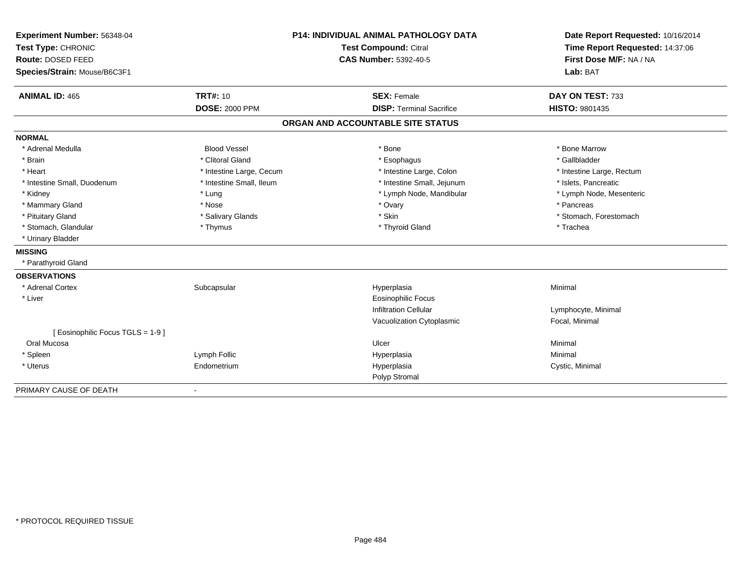| Experiment Number: 56348-04<br>Test Type: CHRONIC<br>Route: DOSED FEED |                          | <b>P14: INDIVIDUAL ANIMAL PATHOLOGY DATA</b> | Date Report Requested: 10/16/2014<br>Time Report Requested: 14:37:06 |  |
|------------------------------------------------------------------------|--------------------------|----------------------------------------------|----------------------------------------------------------------------|--|
|                                                                        |                          | <b>Test Compound: Citral</b>                 |                                                                      |  |
|                                                                        |                          | <b>CAS Number: 5392-40-5</b>                 | First Dose M/F: NA / NA                                              |  |
| Species/Strain: Mouse/B6C3F1                                           |                          |                                              | Lab: BAT                                                             |  |
| <b>ANIMAL ID: 465</b>                                                  | <b>TRT#: 10</b>          | <b>SEX: Female</b>                           | DAY ON TEST: 733                                                     |  |
|                                                                        | <b>DOSE: 2000 PPM</b>    | <b>DISP: Terminal Sacrifice</b>              | HISTO: 9801435                                                       |  |
|                                                                        |                          | ORGAN AND ACCOUNTABLE SITE STATUS            |                                                                      |  |
| <b>NORMAL</b>                                                          |                          |                                              |                                                                      |  |
| * Adrenal Medulla                                                      | <b>Blood Vessel</b>      | * Bone                                       | * Bone Marrow                                                        |  |
| * Brain                                                                | * Clitoral Gland         | * Esophagus                                  | * Gallbladder                                                        |  |
| * Heart                                                                | * Intestine Large, Cecum | * Intestine Large, Colon                     | * Intestine Large, Rectum                                            |  |
| * Intestine Small, Duodenum                                            | * Intestine Small, Ileum | * Intestine Small, Jejunum                   | * Islets, Pancreatic                                                 |  |
| * Kidney                                                               | * Lung                   | * Lymph Node, Mandibular                     | * Lymph Node, Mesenteric                                             |  |
| * Mammary Gland                                                        | * Nose                   | * Ovary                                      | * Pancreas                                                           |  |
| * Pituitary Gland                                                      | * Salivary Glands        | * Skin                                       | * Stomach, Forestomach                                               |  |
| * Stomach, Glandular                                                   | * Thymus                 | * Thyroid Gland                              | * Trachea                                                            |  |
| * Urinary Bladder                                                      |                          |                                              |                                                                      |  |
| <b>MISSING</b>                                                         |                          |                                              |                                                                      |  |
| * Parathyroid Gland                                                    |                          |                                              |                                                                      |  |
| <b>OBSERVATIONS</b>                                                    |                          |                                              |                                                                      |  |
| * Adrenal Cortex                                                       | Subcapsular              | Hyperplasia                                  | Minimal                                                              |  |
| * Liver                                                                |                          | Eosinophilic Focus                           |                                                                      |  |
|                                                                        |                          | <b>Infiltration Cellular</b>                 | Lymphocyte, Minimal                                                  |  |
|                                                                        |                          | Vacuolization Cytoplasmic                    | Focal, Minimal                                                       |  |
| [ Eosinophilic Focus TGLS = 1-9 ]                                      |                          |                                              |                                                                      |  |
| Oral Mucosa                                                            |                          | Ulcer                                        | Minimal                                                              |  |
| * Spleen                                                               | Lymph Follic             | Hyperplasia                                  | Minimal                                                              |  |
| * Uterus                                                               | Endometrium              | Hyperplasia                                  | Cystic, Minimal                                                      |  |
|                                                                        |                          | Polyp Stromal                                |                                                                      |  |
| PRIMARY CAUSE OF DEATH                                                 |                          |                                              |                                                                      |  |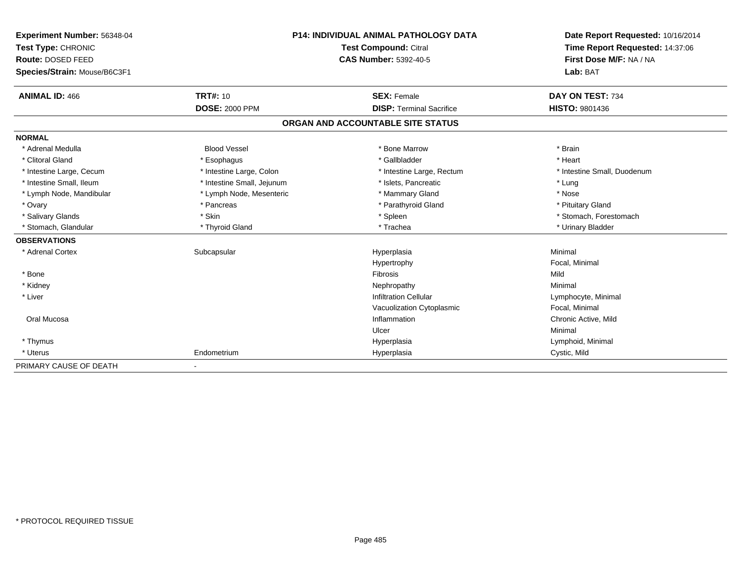| <b>Experiment Number: 56348-04</b><br>Test Type: CHRONIC | <b>P14: INDIVIDUAL ANIMAL PATHOLOGY DATA</b><br>Test Compound: Citral |                                   | Date Report Requested: 10/16/2014<br>Time Report Requested: 14:37:06 |
|----------------------------------------------------------|-----------------------------------------------------------------------|-----------------------------------|----------------------------------------------------------------------|
| Route: DOSED FEED                                        |                                                                       | <b>CAS Number: 5392-40-5</b>      | First Dose M/F: NA / NA<br>Lab: BAT                                  |
| Species/Strain: Mouse/B6C3F1                             |                                                                       |                                   |                                                                      |
| <b>ANIMAL ID: 466</b>                                    | <b>TRT#: 10</b>                                                       | <b>SEX: Female</b>                | DAY ON TEST: 734                                                     |
|                                                          | <b>DOSE: 2000 PPM</b>                                                 | <b>DISP: Terminal Sacrifice</b>   | <b>HISTO: 9801436</b>                                                |
|                                                          |                                                                       | ORGAN AND ACCOUNTABLE SITE STATUS |                                                                      |
| <b>NORMAL</b>                                            |                                                                       |                                   |                                                                      |
| * Adrenal Medulla                                        | <b>Blood Vessel</b>                                                   | * Bone Marrow                     | * Brain                                                              |
| * Clitoral Gland                                         | * Esophagus                                                           | * Gallbladder                     | * Heart                                                              |
| * Intestine Large, Cecum                                 | * Intestine Large, Colon                                              | * Intestine Large, Rectum         | * Intestine Small, Duodenum                                          |
| * Intestine Small, Ileum                                 | * Intestine Small, Jejunum                                            | * Islets. Pancreatic              | * Lung                                                               |
| * Lymph Node, Mandibular                                 | * Lymph Node, Mesenteric                                              | * Mammary Gland                   | * Nose                                                               |
| * Ovary                                                  | * Pancreas                                                            | * Parathyroid Gland               | * Pituitary Gland                                                    |
| * Salivary Glands                                        | * Skin                                                                | * Spleen                          | * Stomach, Forestomach                                               |
| * Stomach, Glandular                                     | * Thyroid Gland                                                       | * Trachea                         | * Urinary Bladder                                                    |
| <b>OBSERVATIONS</b>                                      |                                                                       |                                   |                                                                      |
| * Adrenal Cortex                                         | Subcapsular                                                           | Hyperplasia                       | Minimal                                                              |
|                                                          |                                                                       | Hypertrophy                       | Focal, Minimal                                                       |
| * Bone                                                   |                                                                       | Fibrosis                          | Mild                                                                 |
| * Kidney                                                 |                                                                       | Nephropathy                       | Minimal                                                              |
| * Liver                                                  |                                                                       | <b>Infiltration Cellular</b>      | Lymphocyte, Minimal                                                  |
|                                                          |                                                                       | Vacuolization Cytoplasmic         | Focal, Minimal                                                       |
| Oral Mucosa                                              |                                                                       | Inflammation                      | Chronic Active, Mild                                                 |
|                                                          |                                                                       | Ulcer                             | Minimal                                                              |
| * Thymus                                                 |                                                                       | Hyperplasia                       | Lymphoid, Minimal                                                    |
| * Uterus                                                 | Endometrium                                                           | Hyperplasia                       | Cystic, Mild                                                         |
| PRIMARY CAUSE OF DEATH                                   | $\overline{\phantom{a}}$                                              |                                   |                                                                      |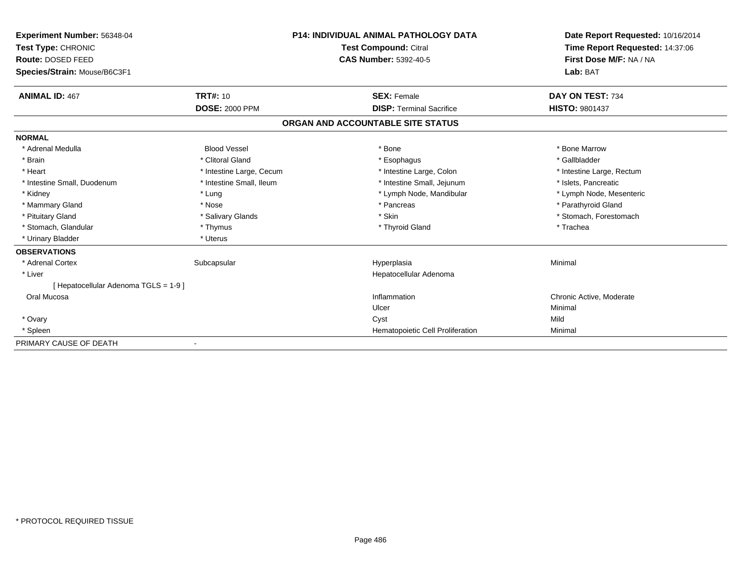| Experiment Number: 56348-04         | <b>P14: INDIVIDUAL ANIMAL PATHOLOGY DATA</b><br><b>Test Compound: Citral</b><br><b>CAS Number: 5392-40-5</b> |                                   | Date Report Requested: 10/16/2014<br>Time Report Requested: 14:37:06<br>First Dose M/F: NA / NA |
|-------------------------------------|--------------------------------------------------------------------------------------------------------------|-----------------------------------|-------------------------------------------------------------------------------------------------|
| Test Type: CHRONIC                  |                                                                                                              |                                   |                                                                                                 |
| Route: DOSED FEED                   |                                                                                                              |                                   |                                                                                                 |
| Species/Strain: Mouse/B6C3F1        |                                                                                                              |                                   | Lab: BAT                                                                                        |
| <b>ANIMAL ID: 467</b>               | <b>TRT#: 10</b>                                                                                              | <b>SEX: Female</b>                | DAY ON TEST: 734                                                                                |
|                                     | <b>DOSE: 2000 PPM</b>                                                                                        | <b>DISP: Terminal Sacrifice</b>   | <b>HISTO: 9801437</b>                                                                           |
|                                     |                                                                                                              | ORGAN AND ACCOUNTABLE SITE STATUS |                                                                                                 |
| <b>NORMAL</b>                       |                                                                                                              |                                   |                                                                                                 |
| * Adrenal Medulla                   | <b>Blood Vessel</b>                                                                                          | * Bone                            | * Bone Marrow                                                                                   |
| * Brain                             | * Clitoral Gland                                                                                             | * Esophagus                       | * Gallbladder                                                                                   |
| * Heart                             | * Intestine Large, Cecum                                                                                     | * Intestine Large, Colon          | * Intestine Large, Rectum                                                                       |
| * Intestine Small, Duodenum         | * Intestine Small, Ileum                                                                                     | * Intestine Small, Jejunum        | * Islets, Pancreatic                                                                            |
| * Kidney                            | * Lung                                                                                                       | * Lymph Node, Mandibular          | * Lymph Node, Mesenteric                                                                        |
| * Mammary Gland                     | * Nose                                                                                                       | * Pancreas                        | * Parathyroid Gland                                                                             |
| * Pituitary Gland                   | * Salivary Glands                                                                                            | * Skin                            | * Stomach, Forestomach                                                                          |
| * Stomach, Glandular                | * Thymus                                                                                                     | * Thyroid Gland                   | * Trachea                                                                                       |
| * Urinary Bladder                   | * Uterus                                                                                                     |                                   |                                                                                                 |
| <b>OBSERVATIONS</b>                 |                                                                                                              |                                   |                                                                                                 |
| * Adrenal Cortex                    | Subcapsular                                                                                                  | Hyperplasia                       | Minimal                                                                                         |
| * Liver                             |                                                                                                              | Hepatocellular Adenoma            |                                                                                                 |
| [Hepatocellular Adenoma TGLS = 1-9] |                                                                                                              |                                   |                                                                                                 |
| Oral Mucosa                         |                                                                                                              | Inflammation                      | Chronic Active, Moderate                                                                        |
|                                     |                                                                                                              | Ulcer                             | Minimal                                                                                         |
| * Ovary                             |                                                                                                              | Cyst                              | Mild                                                                                            |
| * Spleen                            |                                                                                                              | Hematopoietic Cell Proliferation  | Minimal                                                                                         |
| PRIMARY CAUSE OF DEATH              |                                                                                                              |                                   |                                                                                                 |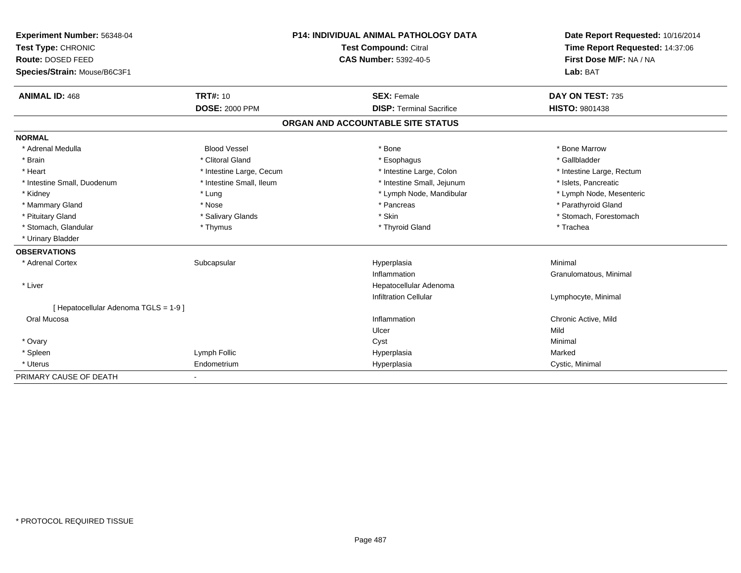| Experiment Number: 56348-04           | <b>P14: INDIVIDUAL ANIMAL PATHOLOGY DATA</b> |                              | Date Report Requested: 10/16/2014 |                                 |  |
|---------------------------------------|----------------------------------------------|------------------------------|-----------------------------------|---------------------------------|--|
| Test Type: CHRONIC                    |                                              |                              | Test Compound: Citral             | Time Report Requested: 14:37:06 |  |
| Route: DOSED FEED                     |                                              | <b>CAS Number: 5392-40-5</b> |                                   | First Dose M/F: NA / NA         |  |
| Species/Strain: Mouse/B6C3F1          |                                              |                              |                                   | Lab: BAT                        |  |
| <b>ANIMAL ID: 468</b>                 | <b>TRT#: 10</b>                              |                              | <b>SEX: Female</b>                | DAY ON TEST: 735                |  |
|                                       | <b>DOSE: 2000 PPM</b>                        |                              | <b>DISP: Terminal Sacrifice</b>   | <b>HISTO: 9801438</b>           |  |
|                                       |                                              |                              | ORGAN AND ACCOUNTABLE SITE STATUS |                                 |  |
| <b>NORMAL</b>                         |                                              |                              |                                   |                                 |  |
| * Adrenal Medulla                     | <b>Blood Vessel</b>                          |                              | * Bone                            | * Bone Marrow                   |  |
| * Brain                               | * Clitoral Gland                             |                              | * Esophagus                       | * Gallbladder                   |  |
| * Heart                               | * Intestine Large, Cecum                     |                              | * Intestine Large, Colon          | * Intestine Large, Rectum       |  |
| * Intestine Small, Duodenum           | * Intestine Small, Ileum                     |                              | * Intestine Small, Jejunum        | * Islets, Pancreatic            |  |
| * Kidney                              | * Lung                                       |                              | * Lymph Node, Mandibular          | * Lymph Node, Mesenteric        |  |
| * Mammary Gland                       | * Nose                                       |                              | * Pancreas                        | * Parathyroid Gland             |  |
| * Pituitary Gland                     | * Salivary Glands                            |                              | * Skin                            | * Stomach, Forestomach          |  |
| * Stomach, Glandular                  | * Thymus                                     |                              | * Thyroid Gland                   | * Trachea                       |  |
| * Urinary Bladder                     |                                              |                              |                                   |                                 |  |
| <b>OBSERVATIONS</b>                   |                                              |                              |                                   |                                 |  |
| * Adrenal Cortex                      | Subcapsular                                  |                              | Hyperplasia                       | Minimal                         |  |
|                                       |                                              |                              | Inflammation                      | Granulomatous, Minimal          |  |
| * Liver                               |                                              |                              | Hepatocellular Adenoma            |                                 |  |
|                                       |                                              |                              | <b>Infiltration Cellular</b>      | Lymphocyte, Minimal             |  |
| [ Hepatocellular Adenoma TGLS = 1-9 ] |                                              |                              |                                   |                                 |  |
| Oral Mucosa                           |                                              |                              | Inflammation                      | Chronic Active, Mild            |  |
|                                       |                                              |                              | Ulcer                             | Mild                            |  |
| * Ovary                               |                                              |                              | Cyst                              | Minimal                         |  |
| * Spleen                              | Lymph Follic                                 |                              | Hyperplasia                       | Marked                          |  |
| * Uterus                              | Endometrium                                  |                              | Hyperplasia                       | Cystic, Minimal                 |  |
| PRIMARY CAUSE OF DEATH                |                                              |                              |                                   |                                 |  |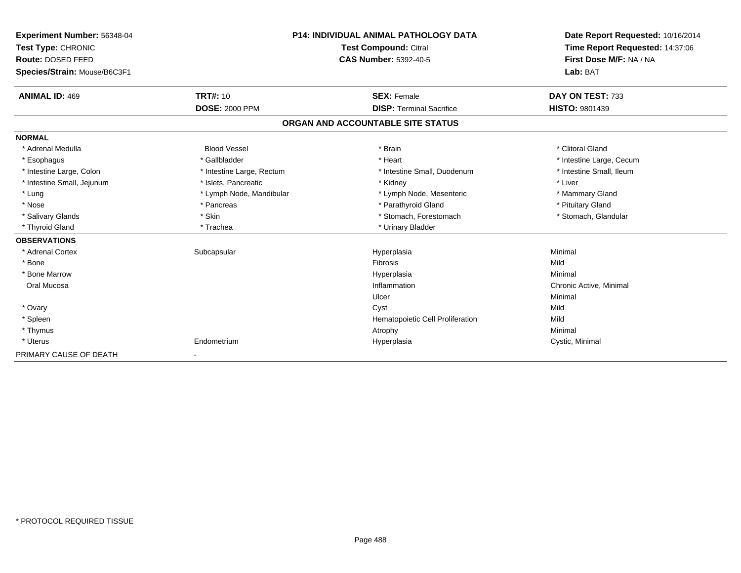| <b>Experiment Number: 56348-04</b><br>Test Type: CHRONIC<br>Route: DOSED FEED<br>Species/Strain: Mouse/B6C3F1 |                           | <b>P14: INDIVIDUAL ANIMAL PATHOLOGY DATA</b><br><b>Test Compound: Citral</b><br><b>CAS Number: 5392-40-5</b> | Date Report Requested: 10/16/2014<br>Time Report Requested: 14:37:06<br>First Dose M/F: NA / NA<br>Lab: BAT |  |
|---------------------------------------------------------------------------------------------------------------|---------------------------|--------------------------------------------------------------------------------------------------------------|-------------------------------------------------------------------------------------------------------------|--|
|                                                                                                               |                           |                                                                                                              |                                                                                                             |  |
| <b>ANIMAL ID: 469</b>                                                                                         | <b>TRT#: 10</b>           | <b>SEX: Female</b>                                                                                           | DAY ON TEST: 733                                                                                            |  |
|                                                                                                               | <b>DOSE: 2000 PPM</b>     | <b>DISP: Terminal Sacrifice</b>                                                                              | HISTO: 9801439                                                                                              |  |
|                                                                                                               |                           | ORGAN AND ACCOUNTABLE SITE STATUS                                                                            |                                                                                                             |  |
| <b>NORMAL</b>                                                                                                 |                           |                                                                                                              |                                                                                                             |  |
| * Adrenal Medulla                                                                                             | <b>Blood Vessel</b>       | * Brain                                                                                                      | * Clitoral Gland                                                                                            |  |
| * Esophagus                                                                                                   | * Gallbladder             | * Heart                                                                                                      | * Intestine Large, Cecum                                                                                    |  |
| * Intestine Large, Colon                                                                                      | * Intestine Large, Rectum | * Intestine Small, Duodenum                                                                                  | * Intestine Small. Ileum                                                                                    |  |
| * Intestine Small, Jejunum                                                                                    | * Islets, Pancreatic      | * Kidney                                                                                                     | * Liver                                                                                                     |  |
| * Lung                                                                                                        | * Lymph Node, Mandibular  | * Lymph Node, Mesenteric                                                                                     | * Mammary Gland                                                                                             |  |
| * Nose                                                                                                        | * Pancreas                | * Parathyroid Gland                                                                                          | * Pituitary Gland                                                                                           |  |
| * Salivary Glands                                                                                             | * Skin                    | * Stomach, Forestomach                                                                                       | * Stomach, Glandular                                                                                        |  |
| * Thyroid Gland                                                                                               | * Trachea                 | * Urinary Bladder                                                                                            |                                                                                                             |  |
| <b>OBSERVATIONS</b>                                                                                           |                           |                                                                                                              |                                                                                                             |  |
| * Adrenal Cortex                                                                                              | Subcapsular               | Hyperplasia                                                                                                  | Minimal                                                                                                     |  |
| * Bone                                                                                                        |                           | <b>Fibrosis</b>                                                                                              | Mild                                                                                                        |  |
| * Bone Marrow                                                                                                 |                           | Hyperplasia                                                                                                  | Minimal                                                                                                     |  |
| Oral Mucosa                                                                                                   |                           | Inflammation                                                                                                 | Chronic Active, Minimal                                                                                     |  |
|                                                                                                               |                           | Ulcer                                                                                                        | Minimal                                                                                                     |  |
| * Ovary                                                                                                       |                           | Cyst                                                                                                         | Mild                                                                                                        |  |
| * Spleen                                                                                                      |                           | Hematopoietic Cell Proliferation                                                                             | Mild                                                                                                        |  |
| * Thymus                                                                                                      |                           | Atrophy                                                                                                      | Minimal                                                                                                     |  |
| * Uterus                                                                                                      | Endometrium               | Hyperplasia                                                                                                  | Cystic, Minimal                                                                                             |  |
| PRIMARY CAUSE OF DEATH                                                                                        | $\overline{\phantom{a}}$  |                                                                                                              |                                                                                                             |  |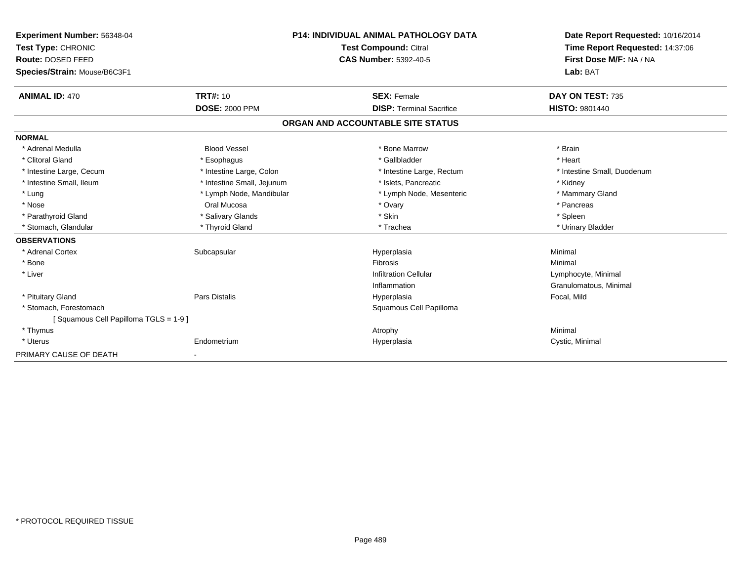| <b>Experiment Number: 56348-04</b>   | <b>P14: INDIVIDUAL ANIMAL PATHOLOGY DATA</b><br><b>Test Compound: Citral</b> |                                   | Date Report Requested: 10/16/2014 |
|--------------------------------------|------------------------------------------------------------------------------|-----------------------------------|-----------------------------------|
| Test Type: CHRONIC                   |                                                                              |                                   | Time Report Requested: 14:37:06   |
| Route: DOSED FEED                    |                                                                              | <b>CAS Number: 5392-40-5</b>      | First Dose M/F: NA / NA           |
| Species/Strain: Mouse/B6C3F1         |                                                                              |                                   | Lab: BAT                          |
| <b>ANIMAL ID: 470</b>                | <b>TRT#: 10</b>                                                              | <b>SEX: Female</b>                | DAY ON TEST: 735                  |
|                                      | <b>DOSE: 2000 PPM</b>                                                        | <b>DISP: Terminal Sacrifice</b>   | <b>HISTO: 9801440</b>             |
|                                      |                                                                              | ORGAN AND ACCOUNTABLE SITE STATUS |                                   |
| <b>NORMAL</b>                        |                                                                              |                                   |                                   |
| * Adrenal Medulla                    | <b>Blood Vessel</b>                                                          | * Bone Marrow                     | * Brain                           |
| * Clitoral Gland                     | * Esophagus                                                                  | * Gallbladder                     | * Heart                           |
| * Intestine Large, Cecum             | * Intestine Large, Colon                                                     | * Intestine Large, Rectum         | * Intestine Small, Duodenum       |
| * Intestine Small, Ileum             | * Intestine Small, Jejunum                                                   | * Islets, Pancreatic              | * Kidney                          |
| * Lung                               | * Lymph Node, Mandibular                                                     | * Lymph Node, Mesenteric          | * Mammary Gland                   |
| * Nose                               | Oral Mucosa                                                                  | * Ovary                           | * Pancreas                        |
| * Parathyroid Gland                  | * Salivary Glands                                                            | * Skin                            | * Spleen                          |
| * Stomach, Glandular                 | * Thyroid Gland                                                              | * Trachea                         | * Urinary Bladder                 |
| <b>OBSERVATIONS</b>                  |                                                                              |                                   |                                   |
| * Adrenal Cortex                     | Subcapsular                                                                  | Hyperplasia                       | Minimal                           |
| * Bone                               |                                                                              | Fibrosis                          | Minimal                           |
| * Liver                              |                                                                              | Infiltration Cellular             | Lymphocyte, Minimal               |
|                                      |                                                                              | Inflammation                      | Granulomatous, Minimal            |
| * Pituitary Gland                    | Pars Distalis                                                                | Hyperplasia                       | Focal, Mild                       |
| * Stomach. Forestomach               |                                                                              | Squamous Cell Papilloma           |                                   |
| [Squamous Cell Papilloma TGLS = 1-9] |                                                                              |                                   |                                   |
| * Thymus                             |                                                                              | Atrophy                           | Minimal                           |
| * Uterus                             | Endometrium                                                                  | Hyperplasia                       | Cystic, Minimal                   |
| PRIMARY CAUSE OF DEATH               |                                                                              |                                   |                                   |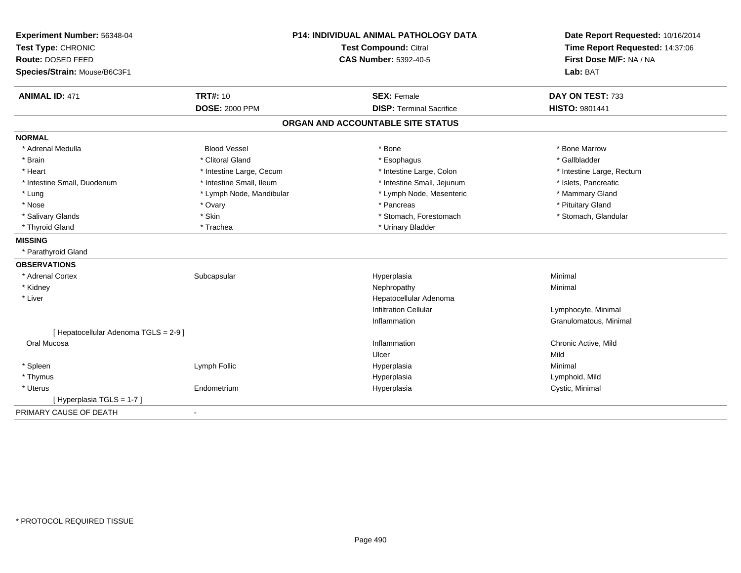| Experiment Number: 56348-04           | <b>P14: INDIVIDUAL ANIMAL PATHOLOGY DATA</b> |                                   | Date Report Requested: 10/16/2014 |
|---------------------------------------|----------------------------------------------|-----------------------------------|-----------------------------------|
| Test Type: CHRONIC                    |                                              | <b>Test Compound: Citral</b>      | Time Report Requested: 14:37:06   |
| Route: DOSED FEED                     |                                              | <b>CAS Number: 5392-40-5</b>      | First Dose M/F: NA / NA           |
| Species/Strain: Mouse/B6C3F1          |                                              |                                   | Lab: BAT                          |
| <b>ANIMAL ID: 471</b>                 | <b>TRT#: 10</b>                              | <b>SEX: Female</b>                | DAY ON TEST: 733                  |
|                                       | <b>DOSE: 2000 PPM</b>                        | <b>DISP: Terminal Sacrifice</b>   | HISTO: 9801441                    |
|                                       |                                              | ORGAN AND ACCOUNTABLE SITE STATUS |                                   |
| <b>NORMAL</b>                         |                                              |                                   |                                   |
| * Adrenal Medulla                     | <b>Blood Vessel</b>                          | * Bone                            | * Bone Marrow                     |
| * Brain                               | * Clitoral Gland                             | * Esophagus                       | * Gallbladder                     |
| * Heart                               | * Intestine Large, Cecum                     | * Intestine Large, Colon          | * Intestine Large, Rectum         |
| * Intestine Small, Duodenum           | * Intestine Small, Ileum                     | * Intestine Small, Jejunum        | * Islets, Pancreatic              |
| * Lung                                | * Lymph Node, Mandibular                     | * Lymph Node, Mesenteric          | * Mammary Gland                   |
| * Nose                                | * Ovary                                      | * Pancreas                        | * Pituitary Gland                 |
| * Salivary Glands                     | * Skin                                       | * Stomach, Forestomach            | * Stomach, Glandular              |
| * Thyroid Gland                       | * Trachea                                    | * Urinary Bladder                 |                                   |
| <b>MISSING</b>                        |                                              |                                   |                                   |
| * Parathyroid Gland                   |                                              |                                   |                                   |
| <b>OBSERVATIONS</b>                   |                                              |                                   |                                   |
| * Adrenal Cortex                      | Subcapsular                                  | Hyperplasia                       | Minimal                           |
| * Kidney                              |                                              | Nephropathy                       | Minimal                           |
| * Liver                               |                                              | Hepatocellular Adenoma            |                                   |
|                                       |                                              | <b>Infiltration Cellular</b>      | Lymphocyte, Minimal               |
|                                       |                                              | Inflammation                      | Granulomatous, Minimal            |
| [ Hepatocellular Adenoma TGLS = 2-9 ] |                                              |                                   |                                   |
| Oral Mucosa                           |                                              | Inflammation                      | Chronic Active, Mild              |
|                                       |                                              | Ulcer                             | Mild                              |
| * Spleen                              | Lymph Follic                                 | Hyperplasia                       | Minimal                           |
| * Thymus                              |                                              | Hyperplasia                       | Lymphoid, Mild                    |
| * Uterus                              | Endometrium                                  | Hyperplasia                       | Cystic, Minimal                   |
| [ Hyperplasia TGLS = 1-7 ]            |                                              |                                   |                                   |
| PRIMARY CAUSE OF DEATH                | $\blacksquare$                               |                                   |                                   |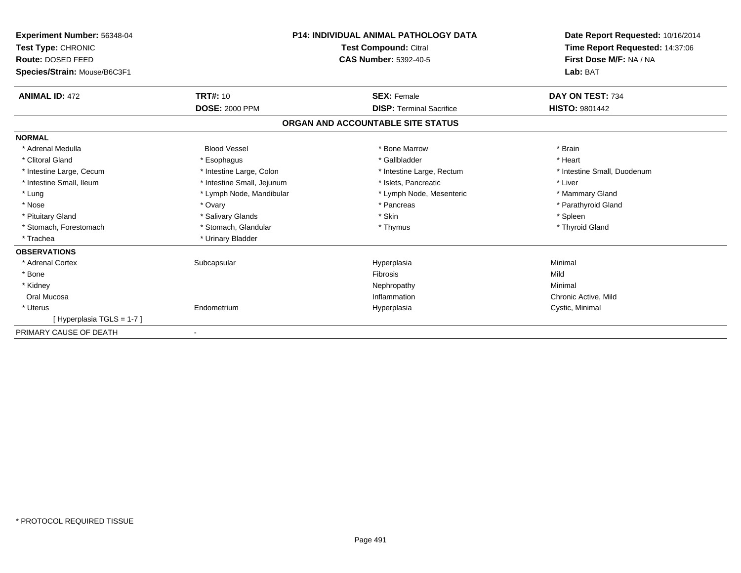| <b>Experiment Number: 56348-04</b><br>Test Type: CHRONIC<br>Route: DOSED FEED<br>Species/Strain: Mouse/B6C3F1 | <b>P14: INDIVIDUAL ANIMAL PATHOLOGY DATA</b><br><b>Test Compound: Citral</b><br><b>CAS Number: 5392-40-5</b> |                                   | Date Report Requested: 10/16/2014<br>Time Report Requested: 14:37:06<br>First Dose M/F: NA / NA<br>Lab: BAT |  |
|---------------------------------------------------------------------------------------------------------------|--------------------------------------------------------------------------------------------------------------|-----------------------------------|-------------------------------------------------------------------------------------------------------------|--|
| <b>ANIMAL ID: 472</b>                                                                                         | <b>TRT#: 10</b>                                                                                              | <b>SEX: Female</b>                | DAY ON TEST: 734                                                                                            |  |
|                                                                                                               | <b>DOSE: 2000 PPM</b>                                                                                        | <b>DISP: Terminal Sacrifice</b>   | <b>HISTO: 9801442</b>                                                                                       |  |
|                                                                                                               |                                                                                                              | ORGAN AND ACCOUNTABLE SITE STATUS |                                                                                                             |  |
| <b>NORMAL</b>                                                                                                 |                                                                                                              |                                   |                                                                                                             |  |
| * Adrenal Medulla                                                                                             | <b>Blood Vessel</b>                                                                                          | * Bone Marrow                     | * Brain                                                                                                     |  |
| * Clitoral Gland                                                                                              | * Esophagus                                                                                                  | * Gallbladder                     | * Heart                                                                                                     |  |
| * Intestine Large, Cecum                                                                                      | * Intestine Large, Colon                                                                                     | * Intestine Large, Rectum         | * Intestine Small, Duodenum                                                                                 |  |
| * Intestine Small, Ileum                                                                                      | * Intestine Small, Jejunum                                                                                   | * Islets, Pancreatic              | * Liver                                                                                                     |  |
| * Lung                                                                                                        | * Lymph Node, Mandibular                                                                                     | * Lymph Node, Mesenteric          | * Mammary Gland                                                                                             |  |
| * Nose                                                                                                        | * Ovary                                                                                                      | * Pancreas                        | * Parathyroid Gland                                                                                         |  |
| * Pituitary Gland                                                                                             | * Salivary Glands                                                                                            | * Skin                            | * Spleen                                                                                                    |  |
| * Stomach, Forestomach                                                                                        | * Stomach, Glandular                                                                                         | * Thymus                          | * Thyroid Gland                                                                                             |  |
| * Trachea                                                                                                     | * Urinary Bladder                                                                                            |                                   |                                                                                                             |  |
| <b>OBSERVATIONS</b>                                                                                           |                                                                                                              |                                   |                                                                                                             |  |
| * Adrenal Cortex                                                                                              | Subcapsular                                                                                                  | Hyperplasia                       | Minimal                                                                                                     |  |
| * Bone                                                                                                        |                                                                                                              | <b>Fibrosis</b>                   | Mild                                                                                                        |  |
| * Kidney                                                                                                      |                                                                                                              | Nephropathy                       | Minimal                                                                                                     |  |
| Oral Mucosa                                                                                                   |                                                                                                              | Inflammation                      | Chronic Active, Mild                                                                                        |  |
| * Uterus                                                                                                      | Endometrium                                                                                                  | Hyperplasia                       | Cystic, Minimal                                                                                             |  |
| [Hyperplasia TGLS = 1-7]                                                                                      |                                                                                                              |                                   |                                                                                                             |  |
| PRIMARY CAUSE OF DEATH                                                                                        |                                                                                                              |                                   |                                                                                                             |  |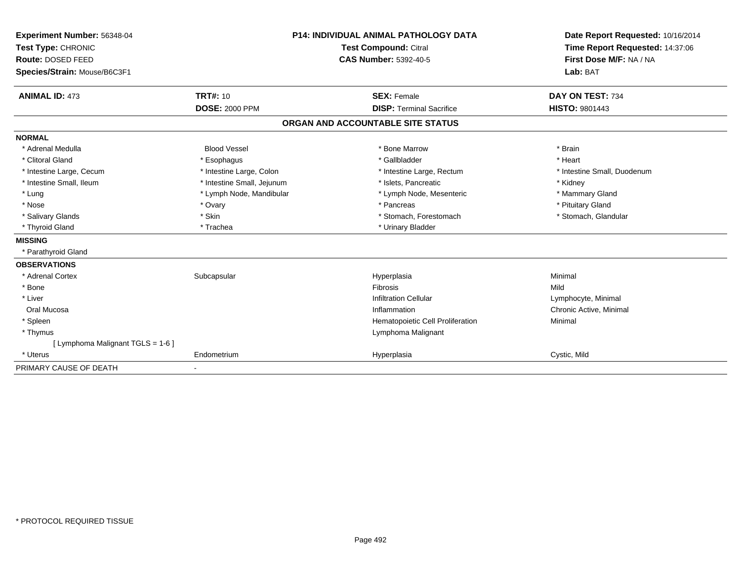| Experiment Number: 56348-04<br>Test Type: CHRONIC<br>Route: DOSED FEED<br>Species/Strain: Mouse/B6C3F1 | <b>P14: INDIVIDUAL ANIMAL PATHOLOGY DATA</b><br>Test Compound: Citral<br><b>CAS Number: 5392-40-5</b> |                                   | Date Report Requested: 10/16/2014<br>Time Report Requested: 14:37:06<br>First Dose M/F: NA / NA<br>Lab: BAT |  |
|--------------------------------------------------------------------------------------------------------|-------------------------------------------------------------------------------------------------------|-----------------------------------|-------------------------------------------------------------------------------------------------------------|--|
| <b>ANIMAL ID: 473</b>                                                                                  | <b>TRT#: 10</b>                                                                                       | <b>SEX: Female</b>                | DAY ON TEST: 734                                                                                            |  |
|                                                                                                        | <b>DOSE: 2000 PPM</b>                                                                                 | <b>DISP: Terminal Sacrifice</b>   | <b>HISTO: 9801443</b>                                                                                       |  |
|                                                                                                        |                                                                                                       | ORGAN AND ACCOUNTABLE SITE STATUS |                                                                                                             |  |
| <b>NORMAL</b>                                                                                          |                                                                                                       |                                   |                                                                                                             |  |
| * Adrenal Medulla                                                                                      | <b>Blood Vessel</b>                                                                                   | * Bone Marrow                     | * Brain                                                                                                     |  |
| * Clitoral Gland                                                                                       | * Esophagus                                                                                           | * Gallbladder                     | * Heart                                                                                                     |  |
| * Intestine Large, Cecum                                                                               | * Intestine Large, Colon                                                                              | * Intestine Large, Rectum         | * Intestine Small, Duodenum                                                                                 |  |
| * Intestine Small, Ileum                                                                               | * Intestine Small, Jejunum                                                                            | * Islets, Pancreatic              | * Kidney                                                                                                    |  |
| * Lung                                                                                                 | * Lymph Node, Mandibular                                                                              | * Lymph Node, Mesenteric          | * Mammary Gland                                                                                             |  |
| * Nose                                                                                                 | * Ovary                                                                                               | * Pancreas                        | * Pituitary Gland                                                                                           |  |
| * Salivary Glands                                                                                      | * Skin                                                                                                | * Stomach, Forestomach            | * Stomach, Glandular                                                                                        |  |
| * Thyroid Gland                                                                                        | * Trachea                                                                                             | * Urinary Bladder                 |                                                                                                             |  |
| <b>MISSING</b>                                                                                         |                                                                                                       |                                   |                                                                                                             |  |
| * Parathyroid Gland                                                                                    |                                                                                                       |                                   |                                                                                                             |  |
| <b>OBSERVATIONS</b>                                                                                    |                                                                                                       |                                   |                                                                                                             |  |
| * Adrenal Cortex                                                                                       | Subcapsular                                                                                           | Hyperplasia                       | Minimal                                                                                                     |  |
| * Bone                                                                                                 |                                                                                                       | Fibrosis                          | Mild                                                                                                        |  |
| * Liver                                                                                                |                                                                                                       | <b>Infiltration Cellular</b>      | Lymphocyte, Minimal                                                                                         |  |
| Oral Mucosa                                                                                            |                                                                                                       | Inflammation                      | Chronic Active, Minimal                                                                                     |  |
| * Spleen                                                                                               |                                                                                                       | Hematopoietic Cell Proliferation  | Minimal                                                                                                     |  |
| * Thymus                                                                                               |                                                                                                       | Lymphoma Malignant                |                                                                                                             |  |
| [ Lymphoma Malignant TGLS = 1-6 ]                                                                      |                                                                                                       |                                   |                                                                                                             |  |
| * Uterus                                                                                               | Endometrium                                                                                           | Hyperplasia                       | Cystic, Mild                                                                                                |  |
| PRIMARY CAUSE OF DEATH                                                                                 | $\blacksquare$                                                                                        |                                   |                                                                                                             |  |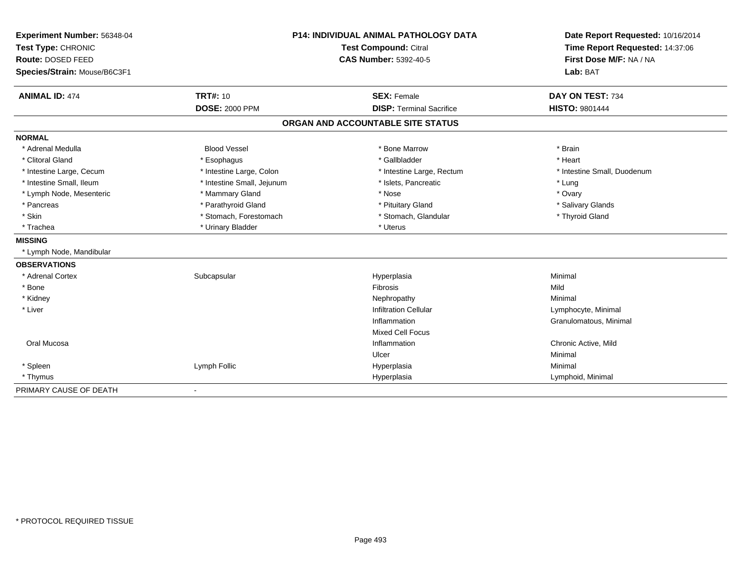| Experiment Number: 56348-04  | <b>P14: INDIVIDUAL ANIMAL PATHOLOGY DATA</b> |                                   | Date Report Requested: 10/16/2014                          |  |
|------------------------------|----------------------------------------------|-----------------------------------|------------------------------------------------------------|--|
| Test Type: CHRONIC           |                                              | <b>Test Compound: Citral</b>      | Time Report Requested: 14:37:06<br>First Dose M/F: NA / NA |  |
| Route: DOSED FEED            |                                              | <b>CAS Number: 5392-40-5</b>      |                                                            |  |
| Species/Strain: Mouse/B6C3F1 |                                              |                                   | Lab: BAT                                                   |  |
| <b>ANIMAL ID: 474</b>        | <b>TRT#: 10</b>                              | <b>SEX: Female</b>                | DAY ON TEST: 734                                           |  |
|                              | <b>DOSE: 2000 PPM</b>                        | <b>DISP: Terminal Sacrifice</b>   | <b>HISTO: 9801444</b>                                      |  |
|                              |                                              | ORGAN AND ACCOUNTABLE SITE STATUS |                                                            |  |
| <b>NORMAL</b>                |                                              |                                   |                                                            |  |
| * Adrenal Medulla            | <b>Blood Vessel</b>                          | * Bone Marrow                     | * Brain                                                    |  |
| * Clitoral Gland             | * Esophagus                                  | * Gallbladder                     | * Heart                                                    |  |
| * Intestine Large, Cecum     | * Intestine Large, Colon                     | * Intestine Large, Rectum         | * Intestine Small, Duodenum                                |  |
| * Intestine Small, Ileum     | * Intestine Small, Jejunum                   | * Islets, Pancreatic              | * Lung                                                     |  |
| * Lymph Node, Mesenteric     | * Mammary Gland                              | * Nose                            | * Ovary                                                    |  |
| * Pancreas                   | * Parathyroid Gland                          | * Pituitary Gland                 | * Salivary Glands                                          |  |
| * Skin                       | * Stomach, Forestomach                       | * Stomach, Glandular              | * Thyroid Gland                                            |  |
| * Trachea                    | * Urinary Bladder                            | * Uterus                          |                                                            |  |
| <b>MISSING</b>               |                                              |                                   |                                                            |  |
| * Lymph Node, Mandibular     |                                              |                                   |                                                            |  |
| <b>OBSERVATIONS</b>          |                                              |                                   |                                                            |  |
| * Adrenal Cortex             | Subcapsular                                  | Hyperplasia                       | Minimal                                                    |  |
| * Bone                       |                                              | Fibrosis                          | Mild                                                       |  |
| * Kidney                     |                                              | Nephropathy                       | Minimal                                                    |  |
| * Liver                      |                                              | <b>Infiltration Cellular</b>      | Lymphocyte, Minimal                                        |  |
|                              |                                              | Inflammation                      | Granulomatous, Minimal                                     |  |
|                              |                                              | <b>Mixed Cell Focus</b>           |                                                            |  |
| Oral Mucosa                  |                                              | Inflammation                      | Chronic Active, Mild                                       |  |
|                              |                                              | Ulcer                             | Minimal                                                    |  |
| * Spleen                     | Lymph Follic                                 | Hyperplasia                       | Minimal                                                    |  |
| * Thymus                     |                                              | Hyperplasia                       | Lymphoid, Minimal                                          |  |
| PRIMARY CAUSE OF DEATH       | $\blacksquare$                               |                                   |                                                            |  |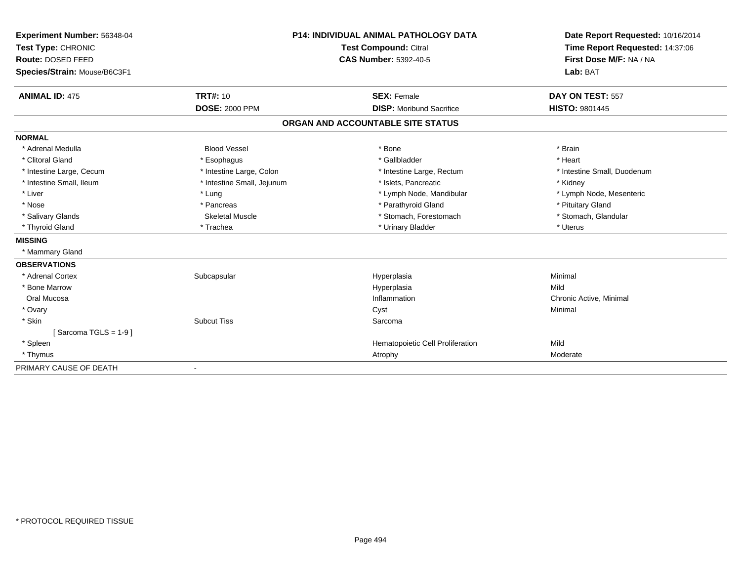| Experiment Number: 56348-04                        |                              | <b>P14: INDIVIDUAL ANIMAL PATHOLOGY DATA</b> | Date Report Requested: 10/16/2014 |  |
|----------------------------------------------------|------------------------------|----------------------------------------------|-----------------------------------|--|
| Test Type: CHRONIC<br><b>Test Compound: Citral</b> |                              |                                              | Time Report Requested: 14:37:06   |  |
| Route: DOSED FEED                                  | <b>CAS Number: 5392-40-5</b> |                                              | First Dose M/F: NA / NA           |  |
| Species/Strain: Mouse/B6C3F1                       |                              |                                              | Lab: BAT                          |  |
| <b>ANIMAL ID: 475</b>                              | <b>TRT#: 10</b>              | <b>SEX: Female</b>                           | DAY ON TEST: 557                  |  |
|                                                    | <b>DOSE: 2000 PPM</b>        | <b>DISP:</b> Moribund Sacrifice              | <b>HISTO: 9801445</b>             |  |
|                                                    |                              | ORGAN AND ACCOUNTABLE SITE STATUS            |                                   |  |
| <b>NORMAL</b>                                      |                              |                                              |                                   |  |
| * Adrenal Medulla                                  | <b>Blood Vessel</b>          | * Bone                                       | * Brain                           |  |
| * Clitoral Gland                                   | * Esophagus                  | * Gallbladder                                | * Heart                           |  |
| * Intestine Large, Cecum                           | * Intestine Large, Colon     | * Intestine Large, Rectum                    | * Intestine Small, Duodenum       |  |
| * Intestine Small, Ileum                           | * Intestine Small, Jejunum   | * Islets. Pancreatic                         | * Kidney                          |  |
| * Liver                                            | * Lung                       | * Lymph Node, Mandibular                     | * Lymph Node, Mesenteric          |  |
| * Nose                                             | * Pancreas                   | * Parathyroid Gland                          | * Pituitary Gland                 |  |
| * Salivary Glands                                  | <b>Skeletal Muscle</b>       | * Stomach, Forestomach                       | * Stomach, Glandular              |  |
| * Thyroid Gland                                    | * Trachea                    | * Urinary Bladder                            | * Uterus                          |  |
| <b>MISSING</b>                                     |                              |                                              |                                   |  |
| * Mammary Gland                                    |                              |                                              |                                   |  |
| <b>OBSERVATIONS</b>                                |                              |                                              |                                   |  |
| * Adrenal Cortex                                   | Subcapsular                  | Hyperplasia                                  | Minimal                           |  |
| * Bone Marrow                                      |                              | Hyperplasia                                  | Mild                              |  |
| Oral Mucosa                                        |                              | Inflammation                                 | Chronic Active, Minimal           |  |
| * Ovary                                            |                              | Cyst                                         | Minimal                           |  |
| * Skin                                             | <b>Subcut Tiss</b>           | Sarcoma                                      |                                   |  |
| Sarcoma TGLS = $1-9$ ]                             |                              |                                              |                                   |  |
| * Spleen                                           |                              | Hematopoietic Cell Proliferation             | Mild                              |  |
| * Thymus                                           |                              | Atrophy                                      | Moderate                          |  |
| PRIMARY CAUSE OF DEATH                             | $\blacksquare$               |                                              |                                   |  |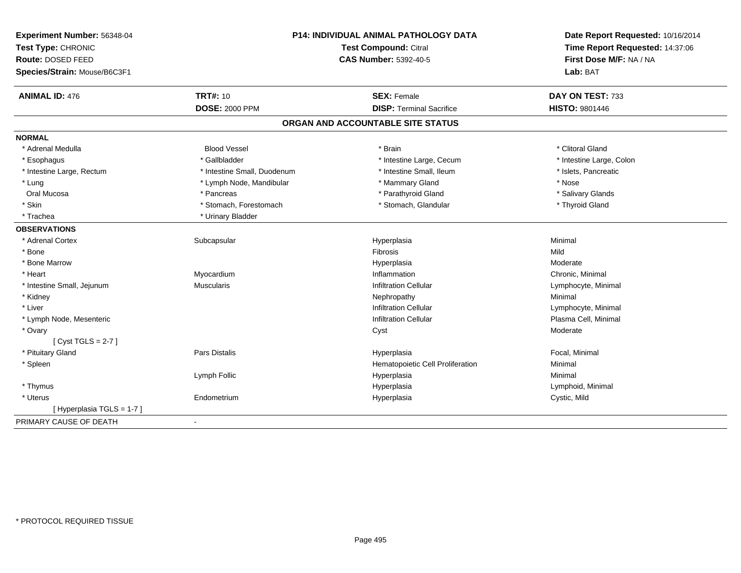| Experiment Number: 56348-04<br>Test Type: CHRONIC |                             | P14: INDIVIDUAL ANIMAL PATHOLOGY DATA<br>Test Compound: Citral | Date Report Requested: 10/16/2014<br>Time Report Requested: 14:37:06 |  |
|---------------------------------------------------|-----------------------------|----------------------------------------------------------------|----------------------------------------------------------------------|--|
| Route: DOSED FEED                                 |                             |                                                                |                                                                      |  |
|                                                   |                             | <b>CAS Number: 5392-40-5</b>                                   | First Dose M/F: NA / NA                                              |  |
| Species/Strain: Mouse/B6C3F1                      |                             |                                                                | Lab: BAT                                                             |  |
| <b>ANIMAL ID: 476</b>                             | <b>TRT#: 10</b>             | <b>SEX: Female</b>                                             | DAY ON TEST: 733                                                     |  |
|                                                   | <b>DOSE: 2000 PPM</b>       | <b>DISP: Terminal Sacrifice</b>                                | <b>HISTO: 9801446</b>                                                |  |
|                                                   |                             | ORGAN AND ACCOUNTABLE SITE STATUS                              |                                                                      |  |
| <b>NORMAL</b>                                     |                             |                                                                |                                                                      |  |
| * Adrenal Medulla                                 | <b>Blood Vessel</b>         | * Brain                                                        | * Clitoral Gland                                                     |  |
| * Esophagus                                       | * Gallbladder               | * Intestine Large, Cecum                                       | * Intestine Large, Colon                                             |  |
| * Intestine Large, Rectum                         | * Intestine Small, Duodenum | * Intestine Small, Ileum                                       | * Islets, Pancreatic                                                 |  |
| * Lung                                            | * Lymph Node, Mandibular    | * Mammary Gland                                                | * Nose                                                               |  |
| Oral Mucosa                                       | * Pancreas                  | * Parathyroid Gland                                            | * Salivary Glands                                                    |  |
| * Skin                                            | * Stomach, Forestomach      | * Stomach, Glandular                                           | * Thyroid Gland                                                      |  |
| * Trachea                                         | * Urinary Bladder           |                                                                |                                                                      |  |
| <b>OBSERVATIONS</b>                               |                             |                                                                |                                                                      |  |
| * Adrenal Cortex                                  | Subcapsular                 | Hyperplasia                                                    | Minimal                                                              |  |
| * Bone                                            |                             | Fibrosis                                                       | Mild                                                                 |  |
| * Bone Marrow                                     |                             | Hyperplasia                                                    | Moderate                                                             |  |
| * Heart                                           | Myocardium                  | Inflammation                                                   | Chronic, Minimal                                                     |  |
| * Intestine Small, Jejunum                        | <b>Muscularis</b>           | <b>Infiltration Cellular</b>                                   | Lymphocyte, Minimal                                                  |  |
| * Kidney                                          |                             | Nephropathy                                                    | Minimal                                                              |  |
| * Liver                                           |                             | <b>Infiltration Cellular</b>                                   | Lymphocyte, Minimal                                                  |  |
| * Lymph Node, Mesenteric                          |                             | <b>Infiltration Cellular</b>                                   | Plasma Cell, Minimal                                                 |  |
| * Ovary                                           |                             | Cyst                                                           | Moderate                                                             |  |
| [Cyst TGLS = $2-7$ ]                              |                             |                                                                |                                                                      |  |
| * Pituitary Gland                                 | Pars Distalis               | Hyperplasia                                                    | Focal, Minimal                                                       |  |
| * Spleen                                          |                             | Hematopoietic Cell Proliferation                               | Minimal                                                              |  |
|                                                   | Lymph Follic                | Hyperplasia                                                    | Minimal                                                              |  |
| * Thymus                                          |                             | Hyperplasia                                                    | Lymphoid, Minimal                                                    |  |
| * Uterus                                          | Endometrium                 | Hyperplasia                                                    | Cystic, Mild                                                         |  |
| [Hyperplasia TGLS = 1-7]                          |                             |                                                                |                                                                      |  |
| PRIMARY CAUSE OF DEATH                            | $\blacksquare$              |                                                                |                                                                      |  |
|                                                   |                             |                                                                |                                                                      |  |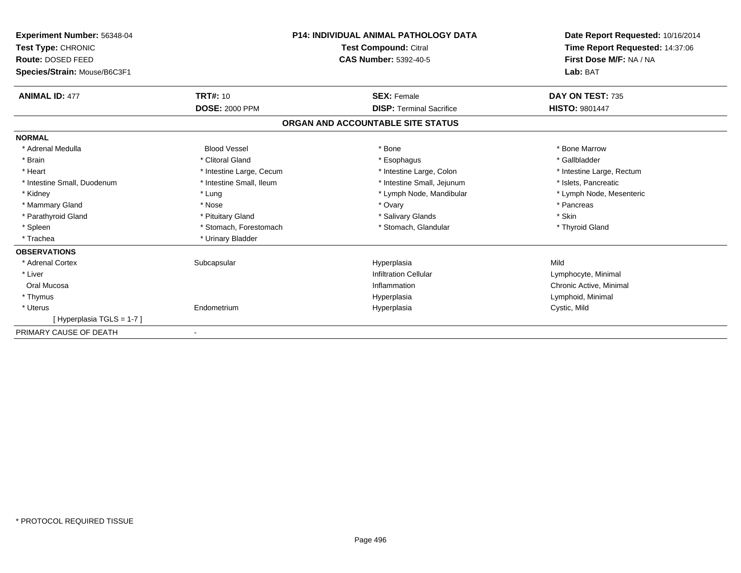| Experiment Number: 56348-04<br>Test Type: CHRONIC<br>Route: DOSED FEED<br>Species/Strain: Mouse/B6C3F1 |                          | <b>P14: INDIVIDUAL ANIMAL PATHOLOGY DATA</b><br>Test Compound: Citral<br><b>CAS Number: 5392-40-5</b> | Date Report Requested: 10/16/2014<br>Time Report Requested: 14:37:06<br>First Dose M/F: NA / NA<br>Lab: BAT |
|--------------------------------------------------------------------------------------------------------|--------------------------|-------------------------------------------------------------------------------------------------------|-------------------------------------------------------------------------------------------------------------|
| <b>ANIMAL ID: 477</b>                                                                                  | <b>TRT#: 10</b>          | <b>SEX: Female</b>                                                                                    | DAY ON TEST: 735                                                                                            |
|                                                                                                        | <b>DOSE: 2000 PPM</b>    | <b>DISP: Terminal Sacrifice</b>                                                                       | <b>HISTO: 9801447</b>                                                                                       |
|                                                                                                        |                          | ORGAN AND ACCOUNTABLE SITE STATUS                                                                     |                                                                                                             |
| <b>NORMAL</b>                                                                                          |                          |                                                                                                       |                                                                                                             |
| * Adrenal Medulla                                                                                      | <b>Blood Vessel</b>      | * Bone                                                                                                | * Bone Marrow                                                                                               |
| * Brain                                                                                                | * Clitoral Gland         | * Esophagus                                                                                           | * Gallbladder                                                                                               |
| * Heart                                                                                                | * Intestine Large, Cecum | * Intestine Large, Colon                                                                              | * Intestine Large, Rectum                                                                                   |
| * Intestine Small, Duodenum                                                                            | * Intestine Small, Ileum | * Intestine Small, Jejunum                                                                            | * Islets. Pancreatic                                                                                        |
| * Kidney                                                                                               | * Lung                   | * Lymph Node, Mandibular                                                                              | * Lymph Node, Mesenteric                                                                                    |
| * Mammary Gland                                                                                        | * Nose                   | * Ovary                                                                                               | * Pancreas                                                                                                  |
| * Parathyroid Gland                                                                                    | * Pituitary Gland        | * Salivary Glands                                                                                     | * Skin                                                                                                      |
| * Spleen                                                                                               | * Stomach, Forestomach   | * Stomach, Glandular                                                                                  | * Thyroid Gland                                                                                             |
| * Trachea                                                                                              | * Urinary Bladder        |                                                                                                       |                                                                                                             |
| <b>OBSERVATIONS</b>                                                                                    |                          |                                                                                                       |                                                                                                             |
| * Adrenal Cortex                                                                                       | Subcapsular              | Hyperplasia                                                                                           | Mild                                                                                                        |
| * Liver                                                                                                |                          | <b>Infiltration Cellular</b>                                                                          | Lymphocyte, Minimal                                                                                         |
| Oral Mucosa                                                                                            |                          | Inflammation                                                                                          | Chronic Active, Minimal                                                                                     |
| * Thymus                                                                                               |                          | Hyperplasia                                                                                           | Lymphoid, Minimal                                                                                           |
| * Uterus                                                                                               | Endometrium              | Hyperplasia                                                                                           | Cystic, Mild                                                                                                |
| [Hyperplasia TGLS = 1-7]                                                                               |                          |                                                                                                       |                                                                                                             |
| PRIMARY CAUSE OF DEATH                                                                                 |                          |                                                                                                       |                                                                                                             |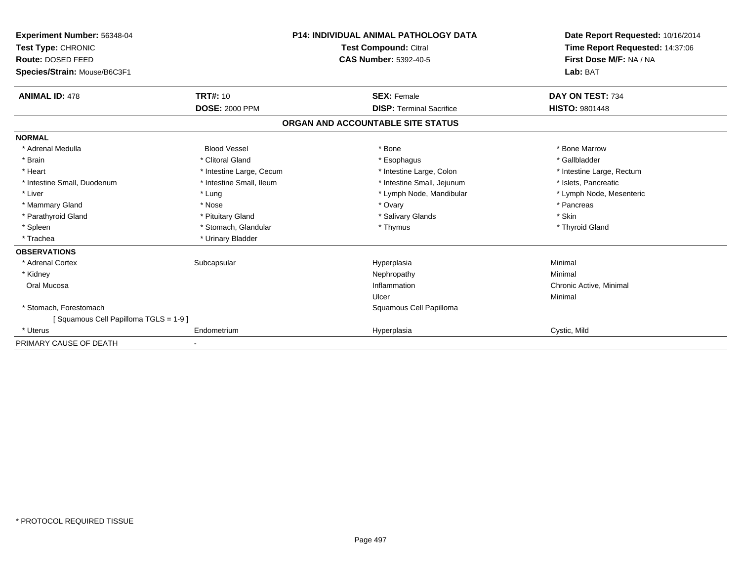| Experiment Number: 56348-04<br>Test Type: CHRONIC<br><b>Route: DOSED FEED</b><br>Species/Strain: Mouse/B6C3F1 |                          | <b>P14: INDIVIDUAL ANIMAL PATHOLOGY DATA</b><br><b>Test Compound: Citral</b><br><b>CAS Number: 5392-40-5</b> | Date Report Requested: 10/16/2014<br>Time Report Requested: 14:37:06<br>First Dose M/F: NA / NA<br>Lab: BAT |
|---------------------------------------------------------------------------------------------------------------|--------------------------|--------------------------------------------------------------------------------------------------------------|-------------------------------------------------------------------------------------------------------------|
| <b>ANIMAL ID: 478</b>                                                                                         | <b>TRT#: 10</b>          | <b>SEX: Female</b>                                                                                           | DAY ON TEST: 734                                                                                            |
|                                                                                                               | <b>DOSE: 2000 PPM</b>    | <b>DISP: Terminal Sacrifice</b>                                                                              | <b>HISTO: 9801448</b>                                                                                       |
|                                                                                                               |                          | ORGAN AND ACCOUNTABLE SITE STATUS                                                                            |                                                                                                             |
| <b>NORMAL</b>                                                                                                 |                          |                                                                                                              |                                                                                                             |
| * Adrenal Medulla                                                                                             | <b>Blood Vessel</b>      | * Bone                                                                                                       | * Bone Marrow                                                                                               |
| * Brain                                                                                                       | * Clitoral Gland         | * Esophagus                                                                                                  | * Gallbladder                                                                                               |
| * Heart                                                                                                       | * Intestine Large, Cecum | * Intestine Large, Colon                                                                                     | * Intestine Large, Rectum                                                                                   |
| * Intestine Small, Duodenum                                                                                   | * Intestine Small, Ileum | * Intestine Small, Jejunum                                                                                   | * Islets, Pancreatic                                                                                        |
| * Liver                                                                                                       | * Lung                   | * Lymph Node, Mandibular                                                                                     | * Lymph Node, Mesenteric                                                                                    |
| * Mammary Gland                                                                                               | * Nose                   | * Ovary                                                                                                      | * Pancreas                                                                                                  |
| * Parathyroid Gland                                                                                           | * Pituitary Gland        | * Salivary Glands                                                                                            | * Skin                                                                                                      |
| * Spleen                                                                                                      | * Stomach, Glandular     | * Thymus                                                                                                     | * Thyroid Gland                                                                                             |
| * Trachea                                                                                                     | * Urinary Bladder        |                                                                                                              |                                                                                                             |
| <b>OBSERVATIONS</b>                                                                                           |                          |                                                                                                              |                                                                                                             |
| * Adrenal Cortex                                                                                              | Subcapsular              | Hyperplasia                                                                                                  | Minimal                                                                                                     |
| * Kidney                                                                                                      |                          | Nephropathy                                                                                                  | Minimal                                                                                                     |
| Oral Mucosa                                                                                                   |                          | Inflammation                                                                                                 | Chronic Active, Minimal                                                                                     |
|                                                                                                               |                          | Ulcer                                                                                                        | Minimal                                                                                                     |
| * Stomach, Forestomach                                                                                        |                          | Squamous Cell Papilloma                                                                                      |                                                                                                             |
| Squamous Cell Papilloma TGLS = 1-9 ]                                                                          |                          |                                                                                                              |                                                                                                             |
| * Uterus                                                                                                      | Endometrium              | Hyperplasia                                                                                                  | Cystic, Mild                                                                                                |
| PRIMARY CAUSE OF DEATH                                                                                        |                          |                                                                                                              |                                                                                                             |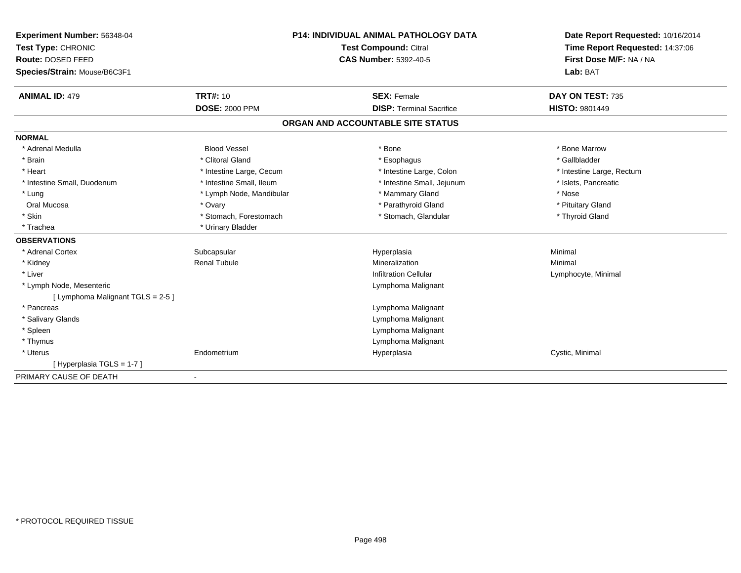| Experiment Number: 56348-04             |                          | <b>P14: INDIVIDUAL ANIMAL PATHOLOGY DATA</b> | Date Report Requested: 10/16/2014 |
|-----------------------------------------|--------------------------|----------------------------------------------|-----------------------------------|
| Test Type: CHRONIC<br>Route: DOSED FEED |                          | Test Compound: Citral                        | Time Report Requested: 14:37:06   |
|                                         |                          | <b>CAS Number: 5392-40-5</b>                 | First Dose M/F: NA / NA           |
| Species/Strain: Mouse/B6C3F1            |                          |                                              | Lab: BAT                          |
| <b>ANIMAL ID: 479</b>                   | <b>TRT#: 10</b>          | <b>SEX: Female</b>                           | DAY ON TEST: 735                  |
|                                         | <b>DOSE: 2000 PPM</b>    | <b>DISP: Terminal Sacrifice</b>              | <b>HISTO: 9801449</b>             |
|                                         |                          | ORGAN AND ACCOUNTABLE SITE STATUS            |                                   |
| <b>NORMAL</b>                           |                          |                                              |                                   |
| * Adrenal Medulla                       | <b>Blood Vessel</b>      | * Bone                                       | * Bone Marrow                     |
| * Brain                                 | * Clitoral Gland         | * Esophagus                                  | * Gallbladder                     |
| * Heart                                 | * Intestine Large, Cecum | * Intestine Large, Colon                     | * Intestine Large, Rectum         |
| * Intestine Small, Duodenum             | * Intestine Small, Ileum | * Intestine Small, Jejunum                   | * Islets, Pancreatic              |
| * Lung                                  | * Lymph Node, Mandibular | * Mammary Gland                              | * Nose                            |
| Oral Mucosa                             | * Ovary                  | * Parathyroid Gland                          | * Pituitary Gland                 |
| * Skin                                  | * Stomach, Forestomach   | * Stomach, Glandular                         | * Thyroid Gland                   |
| * Trachea                               | * Urinary Bladder        |                                              |                                   |
| <b>OBSERVATIONS</b>                     |                          |                                              |                                   |
| * Adrenal Cortex                        | Subcapsular              | Hyperplasia                                  | Minimal                           |
| * Kidney                                | <b>Renal Tubule</b>      | Mineralization                               | Minimal                           |
| * Liver                                 |                          | <b>Infiltration Cellular</b>                 | Lymphocyte, Minimal               |
| * Lymph Node, Mesenteric                |                          | Lymphoma Malignant                           |                                   |
| [ Lymphoma Malignant TGLS = 2-5 ]       |                          |                                              |                                   |
| * Pancreas                              |                          | Lymphoma Malignant                           |                                   |
| * Salivary Glands                       |                          | Lymphoma Malignant                           |                                   |
| * Spleen                                |                          | Lymphoma Malignant                           |                                   |
| * Thymus                                |                          | Lymphoma Malignant                           |                                   |
| * Uterus                                | Endometrium              | Hyperplasia                                  | Cystic, Minimal                   |
| [Hyperplasia TGLS = 1-7]                |                          |                                              |                                   |
| PRIMARY CAUSE OF DEATH                  |                          |                                              |                                   |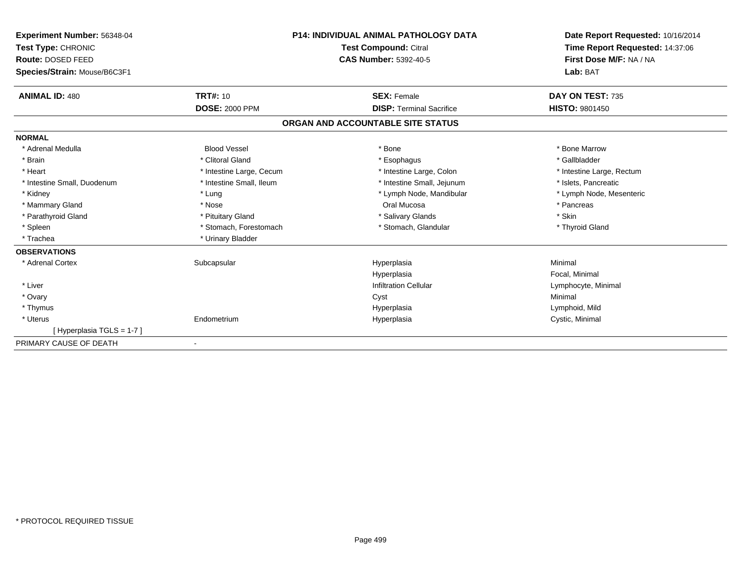| Experiment Number: 56348-04  |                                                              | <b>P14: INDIVIDUAL ANIMAL PATHOLOGY DATA</b> | Date Report Requested: 10/16/2014<br>Time Report Requested: 14:37:06<br>First Dose M/F: NA / NA |
|------------------------------|--------------------------------------------------------------|----------------------------------------------|-------------------------------------------------------------------------------------------------|
| Test Type: CHRONIC           | <b>Test Compound: Citral</b><br><b>CAS Number: 5392-40-5</b> |                                              |                                                                                                 |
| Route: DOSED FEED            |                                                              |                                              |                                                                                                 |
| Species/Strain: Mouse/B6C3F1 |                                                              |                                              | Lab: BAT                                                                                        |
| <b>ANIMAL ID: 480</b>        | <b>TRT#: 10</b>                                              | <b>SEX: Female</b>                           | DAY ON TEST: 735                                                                                |
|                              | <b>DOSE: 2000 PPM</b>                                        | <b>DISP: Terminal Sacrifice</b>              | <b>HISTO: 9801450</b>                                                                           |
|                              |                                                              | ORGAN AND ACCOUNTABLE SITE STATUS            |                                                                                                 |
| <b>NORMAL</b>                |                                                              |                                              |                                                                                                 |
| * Adrenal Medulla            | <b>Blood Vessel</b>                                          | * Bone                                       | * Bone Marrow                                                                                   |
| * Brain                      | * Clitoral Gland                                             | * Esophagus                                  | * Gallbladder                                                                                   |
| * Heart                      | * Intestine Large, Cecum                                     | * Intestine Large, Colon                     | * Intestine Large, Rectum                                                                       |
| * Intestine Small, Duodenum  | * Intestine Small, Ileum                                     | * Intestine Small, Jejunum                   | * Islets, Pancreatic                                                                            |
| * Kidney                     | * Lung                                                       | * Lymph Node, Mandibular                     | * Lymph Node, Mesenteric                                                                        |
| * Mammary Gland              | * Nose                                                       | Oral Mucosa                                  | * Pancreas                                                                                      |
| * Parathyroid Gland          | * Pituitary Gland                                            | * Salivary Glands                            | * Skin                                                                                          |
| * Spleen                     | * Stomach, Forestomach                                       | * Stomach, Glandular                         | * Thyroid Gland                                                                                 |
| * Trachea                    | * Urinary Bladder                                            |                                              |                                                                                                 |
| <b>OBSERVATIONS</b>          |                                                              |                                              |                                                                                                 |
| * Adrenal Cortex             | Subcapsular                                                  | Hyperplasia                                  | Minimal                                                                                         |
|                              |                                                              | Hyperplasia                                  | Focal, Minimal                                                                                  |
| * Liver                      |                                                              | <b>Infiltration Cellular</b>                 | Lymphocyte, Minimal                                                                             |
| * Ovary                      |                                                              | Cyst                                         | Minimal                                                                                         |
| * Thymus                     |                                                              | Hyperplasia                                  | Lymphoid, Mild                                                                                  |
| * Uterus                     | Endometrium                                                  | Hyperplasia                                  | Cystic, Minimal                                                                                 |
| [Hyperplasia TGLS = 1-7]     |                                                              |                                              |                                                                                                 |
| PRIMARY CAUSE OF DEATH       |                                                              |                                              |                                                                                                 |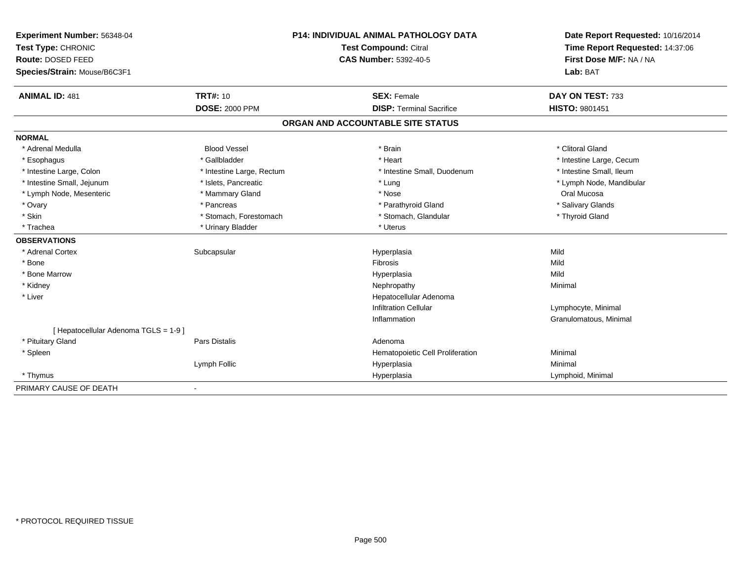| Experiment Number: 56348-04<br>Test Type: CHRONIC |                           | P14: INDIVIDUAL ANIMAL PATHOLOGY DATA | Date Report Requested: 10/16/2014 |
|---------------------------------------------------|---------------------------|---------------------------------------|-----------------------------------|
|                                                   |                           | Test Compound: Citral                 | Time Report Requested: 14:37:06   |
| Route: DOSED FEED                                 |                           | <b>CAS Number: 5392-40-5</b>          | First Dose M/F: NA / NA           |
| Species/Strain: Mouse/B6C3F1                      |                           |                                       | Lab: BAT                          |
| <b>ANIMAL ID: 481</b>                             | <b>TRT#: 10</b>           | <b>SEX: Female</b>                    | DAY ON TEST: 733                  |
|                                                   | <b>DOSE: 2000 PPM</b>     | <b>DISP: Terminal Sacrifice</b>       | HISTO: 9801451                    |
|                                                   |                           | ORGAN AND ACCOUNTABLE SITE STATUS     |                                   |
| <b>NORMAL</b>                                     |                           |                                       |                                   |
| * Adrenal Medulla                                 | <b>Blood Vessel</b>       | * Brain                               | * Clitoral Gland                  |
| * Esophagus                                       | * Gallbladder             | * Heart                               | * Intestine Large, Cecum          |
| * Intestine Large, Colon                          | * Intestine Large, Rectum | * Intestine Small, Duodenum           | * Intestine Small, Ileum          |
| * Intestine Small, Jejunum                        | * Islets, Pancreatic      | * Lung                                | * Lymph Node, Mandibular          |
| * Lymph Node, Mesenteric                          | * Mammary Gland           | * Nose                                | Oral Mucosa                       |
| * Ovary                                           | * Pancreas                | * Parathyroid Gland                   | * Salivary Glands                 |
| * Skin                                            | * Stomach, Forestomach    | * Stomach, Glandular                  | * Thyroid Gland                   |
| * Trachea                                         | * Urinary Bladder         | * Uterus                              |                                   |
| <b>OBSERVATIONS</b>                               |                           |                                       |                                   |
| * Adrenal Cortex                                  | Subcapsular               | Hyperplasia                           | Mild                              |
| * Bone                                            |                           | Fibrosis                              | Mild                              |
| * Bone Marrow                                     |                           | Hyperplasia                           | Mild                              |
| * Kidney                                          |                           | Nephropathy                           | Minimal                           |
| * Liver                                           |                           | Hepatocellular Adenoma                |                                   |
|                                                   |                           | <b>Infiltration Cellular</b>          | Lymphocyte, Minimal               |
|                                                   |                           | Inflammation                          | Granulomatous, Minimal            |
| [ Hepatocellular Adenoma TGLS = 1-9 ]             |                           |                                       |                                   |
| * Pituitary Gland                                 | <b>Pars Distalis</b>      | Adenoma                               |                                   |
| * Spleen                                          |                           | Hematopoietic Cell Proliferation      | Minimal                           |
|                                                   | Lymph Follic              | Hyperplasia                           | Minimal                           |
| * Thymus                                          |                           | Hyperplasia                           | Lymphoid, Minimal                 |
| PRIMARY CAUSE OF DEATH                            |                           |                                       |                                   |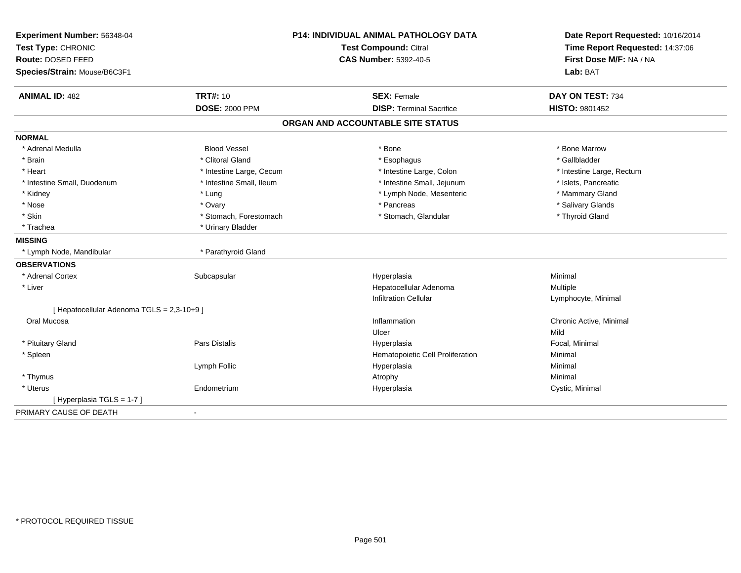| Experiment Number: 56348-04<br>Test Type: CHRONIC<br>Route: DOSED FEED<br>Species/Strain: Mouse/B6C3F1 | P14: INDIVIDUAL ANIMAL PATHOLOGY DATA<br><b>Test Compound: Citral</b><br><b>CAS Number: 5392-40-5</b> |                                   | Date Report Requested: 10/16/2014<br>Time Report Requested: 14:37:06<br>First Dose M/F: NA / NA<br>Lab: BAT |  |
|--------------------------------------------------------------------------------------------------------|-------------------------------------------------------------------------------------------------------|-----------------------------------|-------------------------------------------------------------------------------------------------------------|--|
| <b>ANIMAL ID: 482</b>                                                                                  | <b>TRT#: 10</b>                                                                                       | <b>SEX: Female</b>                | DAY ON TEST: 734                                                                                            |  |
|                                                                                                        | <b>DOSE: 2000 PPM</b>                                                                                 | <b>DISP: Terminal Sacrifice</b>   | HISTO: 9801452                                                                                              |  |
|                                                                                                        |                                                                                                       | ORGAN AND ACCOUNTABLE SITE STATUS |                                                                                                             |  |
| <b>NORMAL</b>                                                                                          |                                                                                                       |                                   |                                                                                                             |  |
| * Adrenal Medulla                                                                                      | <b>Blood Vessel</b>                                                                                   | * Bone                            | * Bone Marrow                                                                                               |  |
| * Brain                                                                                                | * Clitoral Gland                                                                                      | * Esophagus                       | * Gallbladder                                                                                               |  |
| * Heart                                                                                                | * Intestine Large, Cecum                                                                              | * Intestine Large, Colon          | * Intestine Large, Rectum                                                                                   |  |
| * Intestine Small, Duodenum                                                                            | * Intestine Small, Ileum                                                                              | * Intestine Small, Jejunum        | * Islets. Pancreatic                                                                                        |  |
| * Kidney                                                                                               | * Lung                                                                                                | * Lymph Node, Mesenteric          | * Mammary Gland                                                                                             |  |
| * Nose                                                                                                 | * Ovary                                                                                               | * Pancreas                        | * Salivary Glands                                                                                           |  |
| * Skin                                                                                                 | * Stomach, Forestomach                                                                                | * Stomach, Glandular              | * Thyroid Gland                                                                                             |  |
| * Trachea                                                                                              | * Urinary Bladder                                                                                     |                                   |                                                                                                             |  |
| <b>MISSING</b>                                                                                         |                                                                                                       |                                   |                                                                                                             |  |
| * Lymph Node, Mandibular                                                                               | * Parathyroid Gland                                                                                   |                                   |                                                                                                             |  |
| <b>OBSERVATIONS</b>                                                                                    |                                                                                                       |                                   |                                                                                                             |  |
| * Adrenal Cortex                                                                                       | Subcapsular                                                                                           | Hyperplasia                       | Minimal                                                                                                     |  |
| * Liver                                                                                                |                                                                                                       | Hepatocellular Adenoma            | Multiple                                                                                                    |  |
|                                                                                                        |                                                                                                       | <b>Infiltration Cellular</b>      | Lymphocyte, Minimal                                                                                         |  |
| [ Hepatocellular Adenoma TGLS = 2,3-10+9]                                                              |                                                                                                       |                                   |                                                                                                             |  |
| Oral Mucosa                                                                                            |                                                                                                       | Inflammation                      | Chronic Active, Minimal                                                                                     |  |
|                                                                                                        |                                                                                                       | Ulcer                             | Mild                                                                                                        |  |
| * Pituitary Gland                                                                                      | <b>Pars Distalis</b>                                                                                  | Hyperplasia                       | Focal, Minimal                                                                                              |  |
| * Spleen                                                                                               |                                                                                                       | Hematopoietic Cell Proliferation  | Minimal                                                                                                     |  |
|                                                                                                        | Lymph Follic                                                                                          | Hyperplasia                       | Minimal                                                                                                     |  |
| * Thymus                                                                                               |                                                                                                       | Atrophy                           | Minimal                                                                                                     |  |
| * Uterus                                                                                               | Endometrium                                                                                           | Hyperplasia                       | Cystic, Minimal                                                                                             |  |
| [Hyperplasia TGLS = 1-7]                                                                               |                                                                                                       |                                   |                                                                                                             |  |
| PRIMARY CAUSE OF DEATH                                                                                 | $\blacksquare$                                                                                        |                                   |                                                                                                             |  |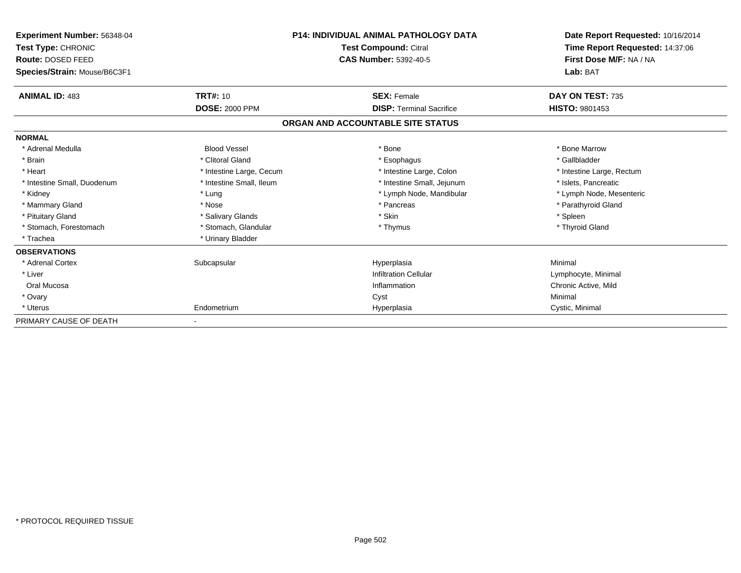| Experiment Number: 56348-04<br><b>Test Type: CHRONIC</b><br>Route: DOSED FEED |                          | <b>P14: INDIVIDUAL ANIMAL PATHOLOGY DATA</b><br>Test Compound: Citral<br><b>CAS Number: 5392-40-5</b> | Date Report Requested: 10/16/2014<br>Time Report Requested: 14:37:06<br>First Dose M/F: NA / NA |
|-------------------------------------------------------------------------------|--------------------------|-------------------------------------------------------------------------------------------------------|-------------------------------------------------------------------------------------------------|
| Species/Strain: Mouse/B6C3F1                                                  |                          |                                                                                                       | Lab: BAT                                                                                        |
| <b>ANIMAL ID: 483</b>                                                         | TRT#: 10                 | <b>SEX: Female</b>                                                                                    | DAY ON TEST: 735                                                                                |
|                                                                               | <b>DOSE: 2000 PPM</b>    | <b>DISP: Terminal Sacrifice</b>                                                                       | <b>HISTO: 9801453</b>                                                                           |
|                                                                               |                          | ORGAN AND ACCOUNTABLE SITE STATUS                                                                     |                                                                                                 |
| <b>NORMAL</b>                                                                 |                          |                                                                                                       |                                                                                                 |
| * Adrenal Medulla                                                             | <b>Blood Vessel</b>      | * Bone                                                                                                | * Bone Marrow                                                                                   |
| * Brain                                                                       | * Clitoral Gland         | * Esophagus                                                                                           | * Gallbladder                                                                                   |
| * Heart                                                                       | * Intestine Large, Cecum | * Intestine Large, Colon                                                                              | * Intestine Large, Rectum                                                                       |
| * Intestine Small, Duodenum                                                   | * Intestine Small, Ileum | * Intestine Small, Jejunum                                                                            | * Islets, Pancreatic                                                                            |
| * Kidney                                                                      | * Lung                   | * Lymph Node, Mandibular                                                                              | * Lymph Node, Mesenteric                                                                        |
| * Mammary Gland                                                               | * Nose                   | * Pancreas                                                                                            | * Parathyroid Gland                                                                             |
| * Pituitary Gland                                                             | * Salivary Glands        | * Skin                                                                                                | * Spleen                                                                                        |
| * Stomach, Forestomach                                                        | * Stomach, Glandular     | * Thymus                                                                                              | * Thyroid Gland                                                                                 |
| * Trachea                                                                     | * Urinary Bladder        |                                                                                                       |                                                                                                 |
| <b>OBSERVATIONS</b>                                                           |                          |                                                                                                       |                                                                                                 |
| * Adrenal Cortex                                                              | Subcapsular              | Hyperplasia                                                                                           | Minimal                                                                                         |
| * Liver                                                                       |                          | <b>Infiltration Cellular</b>                                                                          | Lymphocyte, Minimal                                                                             |
| Oral Mucosa                                                                   |                          | Inflammation                                                                                          | Chronic Active, Mild                                                                            |
| * Ovary                                                                       |                          | Cyst                                                                                                  | Minimal                                                                                         |
| * Uterus                                                                      | Endometrium              | Hyperplasia                                                                                           | Cystic, Minimal                                                                                 |
| PRIMARY CAUSE OF DEATH                                                        |                          |                                                                                                       |                                                                                                 |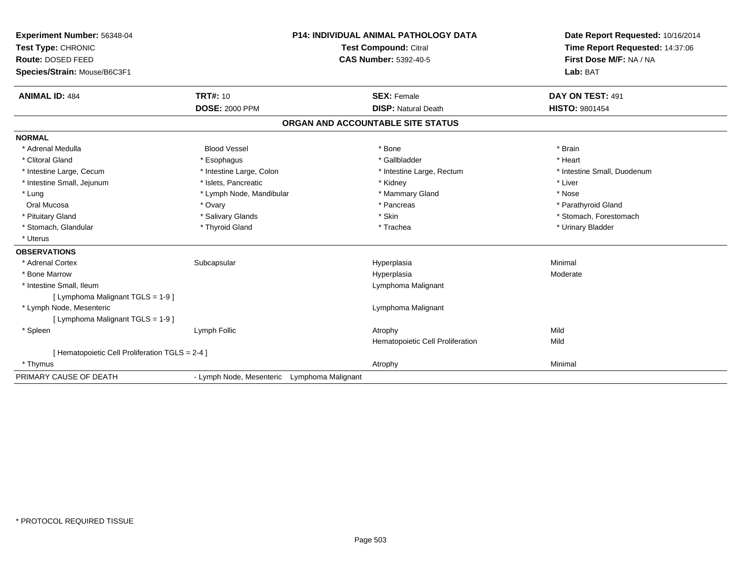| Experiment Number: 56348-04<br>Test Type: CHRONIC |                                             | <b>P14: INDIVIDUAL ANIMAL PATHOLOGY DATA</b><br><b>Test Compound: Citral</b> | Date Report Requested: 10/16/2014<br>Time Report Requested: 14:37:06 |
|---------------------------------------------------|---------------------------------------------|------------------------------------------------------------------------------|----------------------------------------------------------------------|
| Route: DOSED FEED                                 |                                             | <b>CAS Number: 5392-40-5</b>                                                 | First Dose M/F: NA / NA                                              |
| Species/Strain: Mouse/B6C3F1                      |                                             |                                                                              | Lab: BAT                                                             |
| <b>ANIMAL ID: 484</b>                             | <b>TRT#: 10</b>                             | <b>SEX: Female</b>                                                           | DAY ON TEST: 491                                                     |
|                                                   | <b>DOSE: 2000 PPM</b>                       | <b>DISP: Natural Death</b>                                                   | <b>HISTO: 9801454</b>                                                |
|                                                   |                                             | ORGAN AND ACCOUNTABLE SITE STATUS                                            |                                                                      |
| <b>NORMAL</b>                                     |                                             |                                                                              |                                                                      |
| * Adrenal Medulla                                 | <b>Blood Vessel</b>                         | * Bone                                                                       | * Brain                                                              |
| * Clitoral Gland                                  | * Esophagus                                 | * Gallbladder                                                                | * Heart                                                              |
| * Intestine Large, Cecum                          | * Intestine Large, Colon                    | * Intestine Large, Rectum                                                    | * Intestine Small, Duodenum                                          |
| * Intestine Small, Jejunum                        | * Islets, Pancreatic                        | * Kidney                                                                     | * Liver                                                              |
| * Lung                                            | * Lymph Node, Mandibular                    | * Mammary Gland                                                              | * Nose                                                               |
| Oral Mucosa                                       | * Ovary                                     | * Pancreas                                                                   | * Parathyroid Gland                                                  |
| * Pituitary Gland                                 | * Salivary Glands                           | * Skin                                                                       | * Stomach, Forestomach                                               |
| * Stomach, Glandular                              | * Thyroid Gland                             | * Trachea                                                                    | * Urinary Bladder                                                    |
| * Uterus                                          |                                             |                                                                              |                                                                      |
| <b>OBSERVATIONS</b>                               |                                             |                                                                              |                                                                      |
| * Adrenal Cortex                                  | Subcapsular                                 | Hyperplasia                                                                  | Minimal                                                              |
| * Bone Marrow                                     |                                             | Hyperplasia                                                                  | Moderate                                                             |
| * Intestine Small, Ileum                          |                                             | Lymphoma Malignant                                                           |                                                                      |
| [ Lymphoma Malignant TGLS = 1-9 ]                 |                                             |                                                                              |                                                                      |
| * Lymph Node, Mesenteric                          |                                             | Lymphoma Malignant                                                           |                                                                      |
| [ Lymphoma Malignant TGLS = 1-9 ]                 |                                             |                                                                              |                                                                      |
| * Spleen                                          | Lymph Follic                                | Atrophy                                                                      | Mild                                                                 |
|                                                   |                                             | Hematopoietic Cell Proliferation                                             | Mild                                                                 |
| [ Hematopoietic Cell Proliferation TGLS = 2-4 ]   |                                             |                                                                              |                                                                      |
| * Thymus                                          |                                             | Atrophy                                                                      | Minimal                                                              |
| PRIMARY CAUSE OF DEATH                            | - Lymph Node, Mesenteric Lymphoma Malignant |                                                                              |                                                                      |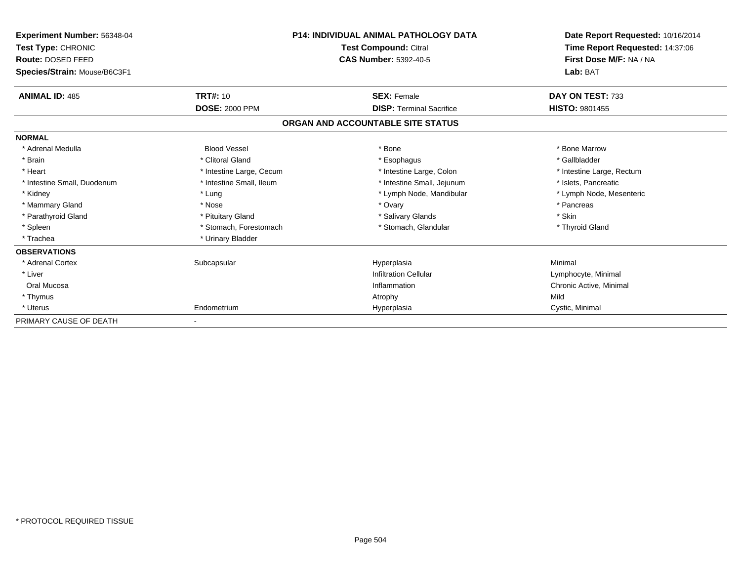| <b>Experiment Number: 56348-04</b><br>Test Type: CHRONIC<br>Route: DOSED FEED<br>Species/Strain: Mouse/B6C3F1 |                          | <b>P14: INDIVIDUAL ANIMAL PATHOLOGY DATA</b><br>Test Compound: Citral<br><b>CAS Number: 5392-40-5</b> | Date Report Requested: 10/16/2014<br>Time Report Requested: 14:37:06<br>First Dose M/F: NA / NA<br>Lab: BAT |
|---------------------------------------------------------------------------------------------------------------|--------------------------|-------------------------------------------------------------------------------------------------------|-------------------------------------------------------------------------------------------------------------|
| <b>ANIMAL ID: 485</b>                                                                                         | <b>TRT#: 10</b>          | <b>SEX: Female</b>                                                                                    | DAY ON TEST: 733                                                                                            |
|                                                                                                               | <b>DOSE: 2000 PPM</b>    | <b>DISP: Terminal Sacrifice</b>                                                                       | <b>HISTO: 9801455</b>                                                                                       |
|                                                                                                               |                          | ORGAN AND ACCOUNTABLE SITE STATUS                                                                     |                                                                                                             |
| <b>NORMAL</b>                                                                                                 |                          |                                                                                                       |                                                                                                             |
| * Adrenal Medulla                                                                                             | <b>Blood Vessel</b>      | * Bone                                                                                                | * Bone Marrow                                                                                               |
| * Brain                                                                                                       | * Clitoral Gland         | * Esophagus                                                                                           | * Gallbladder                                                                                               |
| * Heart                                                                                                       | * Intestine Large, Cecum | * Intestine Large, Colon                                                                              | * Intestine Large, Rectum                                                                                   |
| * Intestine Small, Duodenum                                                                                   | * Intestine Small, Ileum | * Intestine Small, Jejunum                                                                            | * Islets, Pancreatic                                                                                        |
| * Kidney                                                                                                      | * Lung                   | * Lymph Node, Mandibular                                                                              | * Lymph Node, Mesenteric                                                                                    |
| * Mammary Gland                                                                                               | * Nose                   | * Ovary                                                                                               | * Pancreas                                                                                                  |
| * Parathyroid Gland                                                                                           | * Pituitary Gland        | * Salivary Glands                                                                                     | * Skin                                                                                                      |
| * Spleen                                                                                                      | * Stomach, Forestomach   | * Stomach, Glandular                                                                                  | * Thyroid Gland                                                                                             |
| * Trachea                                                                                                     | * Urinary Bladder        |                                                                                                       |                                                                                                             |
| <b>OBSERVATIONS</b>                                                                                           |                          |                                                                                                       |                                                                                                             |
| * Adrenal Cortex                                                                                              | Subcapsular              | Hyperplasia                                                                                           | Minimal                                                                                                     |
| * Liver                                                                                                       |                          | <b>Infiltration Cellular</b>                                                                          | Lymphocyte, Minimal                                                                                         |
| Oral Mucosa                                                                                                   |                          | Inflammation                                                                                          | Chronic Active, Minimal                                                                                     |
| * Thymus                                                                                                      |                          | Atrophy                                                                                               | Mild                                                                                                        |
| * Uterus                                                                                                      | Endometrium              | Hyperplasia                                                                                           | Cystic, Minimal                                                                                             |
| PRIMARY CAUSE OF DEATH                                                                                        |                          |                                                                                                       |                                                                                                             |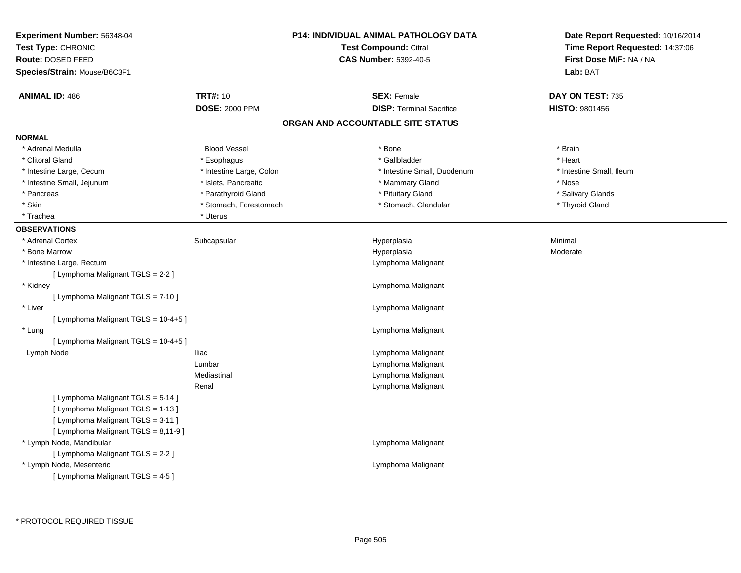| Experiment Number: 56348-04<br>Test Type: CHRONIC<br>Route: DOSED FEED<br>Species/Strain: Mouse/B6C3F1 |                          | <b>P14: INDIVIDUAL ANIMAL PATHOLOGY DATA</b><br><b>Test Compound: Citral</b><br><b>CAS Number: 5392-40-5</b> | Date Report Requested: 10/16/2014<br>Time Report Requested: 14:37:06<br>First Dose M/F: NA / NA<br>Lab: BAT |
|--------------------------------------------------------------------------------------------------------|--------------------------|--------------------------------------------------------------------------------------------------------------|-------------------------------------------------------------------------------------------------------------|
| <b>ANIMAL ID: 486</b>                                                                                  | <b>TRT#: 10</b>          | <b>SEX: Female</b>                                                                                           | DAY ON TEST: 735                                                                                            |
|                                                                                                        | <b>DOSE: 2000 PPM</b>    | <b>DISP: Terminal Sacrifice</b><br>ORGAN AND ACCOUNTABLE SITE STATUS                                         | HISTO: 9801456                                                                                              |
| <b>NORMAL</b>                                                                                          |                          |                                                                                                              |                                                                                                             |
| * Adrenal Medulla                                                                                      | <b>Blood Vessel</b>      | * Bone                                                                                                       | * Brain                                                                                                     |
| * Clitoral Gland                                                                                       | * Esophagus              | * Gallbladder                                                                                                | * Heart                                                                                                     |
| * Intestine Large, Cecum                                                                               | * Intestine Large, Colon | * Intestine Small, Duodenum                                                                                  | * Intestine Small, Ileum                                                                                    |
| * Intestine Small, Jejunum                                                                             | * Islets, Pancreatic     | * Mammary Gland                                                                                              | * Nose                                                                                                      |
| * Pancreas                                                                                             | * Parathyroid Gland      | * Pituitary Gland                                                                                            | * Salivary Glands                                                                                           |
| * Skin                                                                                                 | * Stomach, Forestomach   | * Stomach, Glandular                                                                                         | * Thyroid Gland                                                                                             |
| * Trachea                                                                                              | * Uterus                 |                                                                                                              |                                                                                                             |
| <b>OBSERVATIONS</b>                                                                                    |                          |                                                                                                              |                                                                                                             |
| * Adrenal Cortex                                                                                       | Subcapsular              | Hyperplasia                                                                                                  | Minimal                                                                                                     |
| * Bone Marrow                                                                                          |                          | Hyperplasia                                                                                                  | Moderate                                                                                                    |
| * Intestine Large, Rectum                                                                              |                          | Lymphoma Malignant                                                                                           |                                                                                                             |
| [ Lymphoma Malignant TGLS = 2-2 ]                                                                      |                          |                                                                                                              |                                                                                                             |
| * Kidney                                                                                               |                          | Lymphoma Malignant                                                                                           |                                                                                                             |
| [ Lymphoma Malignant TGLS = 7-10 ]                                                                     |                          |                                                                                                              |                                                                                                             |
| * Liver                                                                                                |                          | Lymphoma Malignant                                                                                           |                                                                                                             |
| [ Lymphoma Malignant TGLS = 10-4+5 ]                                                                   |                          |                                                                                                              |                                                                                                             |
| * Lung                                                                                                 |                          | Lymphoma Malignant                                                                                           |                                                                                                             |
| [ Lymphoma Malignant TGLS = 10-4+5 ]                                                                   |                          |                                                                                                              |                                                                                                             |
| Lymph Node                                                                                             | <b>Iliac</b>             | Lymphoma Malignant                                                                                           |                                                                                                             |
|                                                                                                        | Lumbar                   | Lymphoma Malignant                                                                                           |                                                                                                             |
|                                                                                                        | Mediastinal              | Lymphoma Malignant                                                                                           |                                                                                                             |
|                                                                                                        | Renal                    | Lymphoma Malignant                                                                                           |                                                                                                             |
| [ Lymphoma Malignant TGLS = 5-14 ]                                                                     |                          |                                                                                                              |                                                                                                             |
| [ Lymphoma Malignant TGLS = 1-13 ]                                                                     |                          |                                                                                                              |                                                                                                             |
| [ Lymphoma Malignant TGLS = 3-11 ]                                                                     |                          |                                                                                                              |                                                                                                             |
| [ Lymphoma Malignant TGLS = 8,11-9 ]<br>* Lymph Node, Mandibular                                       |                          | Lymphoma Malignant                                                                                           |                                                                                                             |
| [ Lymphoma Malignant TGLS = 2-2 ]                                                                      |                          |                                                                                                              |                                                                                                             |
| * Lymph Node, Mesenteric                                                                               |                          | Lymphoma Malignant                                                                                           |                                                                                                             |
| [ Lymphoma Malignant TGLS = 4-5 ]                                                                      |                          |                                                                                                              |                                                                                                             |
|                                                                                                        |                          |                                                                                                              |                                                                                                             |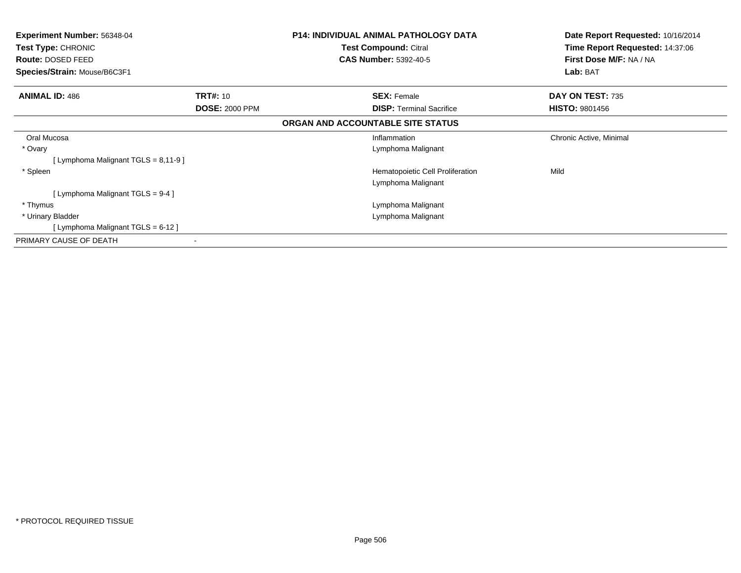| <b>Experiment Number: 56348-04</b><br><b>Test Type: CHRONIC</b><br>Route: DOSED FEED<br>Species/Strain: Mouse/B6C3F1 |                       | <b>P14: INDIVIDUAL ANIMAL PATHOLOGY DATA</b><br><b>Test Compound: Citral</b><br><b>CAS Number: 5392-40-5</b> | Date Report Requested: 10/16/2014<br>Time Report Requested: 14:37:06<br>First Dose M/F: NA / NA<br>Lab: BAT |
|----------------------------------------------------------------------------------------------------------------------|-----------------------|--------------------------------------------------------------------------------------------------------------|-------------------------------------------------------------------------------------------------------------|
| <b>ANIMAL ID: 486</b>                                                                                                | <b>TRT#: 10</b>       | <b>SEX: Female</b>                                                                                           | DAY ON TEST: 735                                                                                            |
|                                                                                                                      | <b>DOSE: 2000 PPM</b> | <b>DISP:</b> Terminal Sacrifice                                                                              | <b>HISTO: 9801456</b>                                                                                       |
|                                                                                                                      |                       | ORGAN AND ACCOUNTABLE SITE STATUS                                                                            |                                                                                                             |
| Oral Mucosa                                                                                                          |                       | Inflammation                                                                                                 | Chronic Active, Minimal                                                                                     |
| * Ovary                                                                                                              |                       | Lymphoma Malignant                                                                                           |                                                                                                             |
| [ Lymphoma Malignant TGLS = 8,11-9 ]                                                                                 |                       |                                                                                                              |                                                                                                             |
| * Spleen                                                                                                             |                       | Hematopoietic Cell Proliferation                                                                             | Mild                                                                                                        |
|                                                                                                                      |                       | Lymphoma Malignant                                                                                           |                                                                                                             |
| [Lymphoma Malignant TGLS = 9-4 ]                                                                                     |                       |                                                                                                              |                                                                                                             |
| * Thymus                                                                                                             |                       | Lymphoma Malignant                                                                                           |                                                                                                             |
| * Urinary Bladder                                                                                                    |                       | Lymphoma Malignant                                                                                           |                                                                                                             |
| [ Lymphoma Malignant TGLS = 6-12 ]                                                                                   |                       |                                                                                                              |                                                                                                             |
| PRIMARY CAUSE OF DEATH                                                                                               |                       |                                                                                                              |                                                                                                             |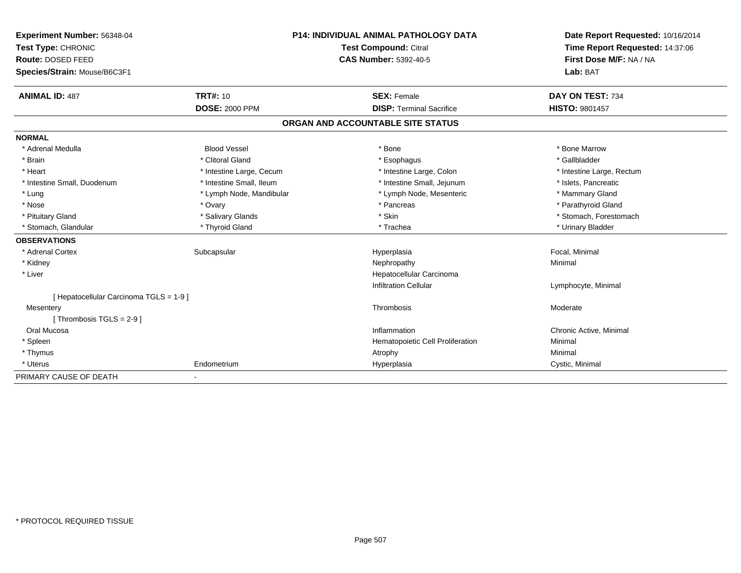| Experiment Number: 56348-04             | <b>P14: INDIVIDUAL ANIMAL PATHOLOGY DATA</b><br>Test Compound: Citral |                                   | Date Report Requested: 10/16/2014 |
|-----------------------------------------|-----------------------------------------------------------------------|-----------------------------------|-----------------------------------|
| Test Type: CHRONIC                      |                                                                       |                                   | Time Report Requested: 14:37:06   |
| Route: DOSED FEED                       |                                                                       | <b>CAS Number: 5392-40-5</b>      | First Dose M/F: NA / NA           |
| Species/Strain: Mouse/B6C3F1            |                                                                       |                                   | Lab: BAT                          |
| <b>ANIMAL ID: 487</b>                   | <b>TRT#: 10</b>                                                       | <b>SEX: Female</b>                | DAY ON TEST: 734                  |
|                                         | <b>DOSE: 2000 PPM</b>                                                 | <b>DISP: Terminal Sacrifice</b>   | <b>HISTO: 9801457</b>             |
|                                         |                                                                       | ORGAN AND ACCOUNTABLE SITE STATUS |                                   |
| <b>NORMAL</b>                           |                                                                       |                                   |                                   |
| * Adrenal Medulla                       | <b>Blood Vessel</b>                                                   | * Bone                            | * Bone Marrow                     |
| * Brain                                 | * Clitoral Gland                                                      | * Esophagus                       | * Gallbladder                     |
| * Heart                                 | * Intestine Large, Cecum                                              | * Intestine Large, Colon          | * Intestine Large, Rectum         |
| * Intestine Small, Duodenum             | * Intestine Small, Ileum                                              | * Intestine Small, Jejunum        | * Islets, Pancreatic              |
| * Lung                                  | * Lymph Node, Mandibular                                              | * Lymph Node, Mesenteric          | * Mammary Gland                   |
| * Nose                                  | * Ovary                                                               | * Pancreas                        | * Parathyroid Gland               |
| * Pituitary Gland                       | * Salivary Glands                                                     | * Skin                            | * Stomach, Forestomach            |
| * Stomach, Glandular                    | * Thyroid Gland                                                       | * Trachea                         | * Urinary Bladder                 |
| <b>OBSERVATIONS</b>                     |                                                                       |                                   |                                   |
| * Adrenal Cortex                        | Subcapsular                                                           | Hyperplasia                       | Focal, Minimal                    |
| * Kidney                                |                                                                       | Nephropathy                       | Minimal                           |
| * Liver                                 |                                                                       | Hepatocellular Carcinoma          |                                   |
|                                         |                                                                       | <b>Infiltration Cellular</b>      | Lymphocyte, Minimal               |
| [ Hepatocellular Carcinoma TGLS = 1-9 ] |                                                                       |                                   |                                   |
| Mesentery                               |                                                                       | Thrombosis                        | Moderate                          |
| [Thrombosis TGLS = $2-9$ ]              |                                                                       |                                   |                                   |
| Oral Mucosa                             |                                                                       | Inflammation                      | Chronic Active, Minimal           |
| * Spleen                                |                                                                       | Hematopoietic Cell Proliferation  | Minimal                           |
| * Thymus                                |                                                                       | Atrophy                           | Minimal                           |
| * Uterus                                | Endometrium                                                           | Hyperplasia                       | Cystic, Minimal                   |
| PRIMARY CAUSE OF DEATH                  |                                                                       |                                   |                                   |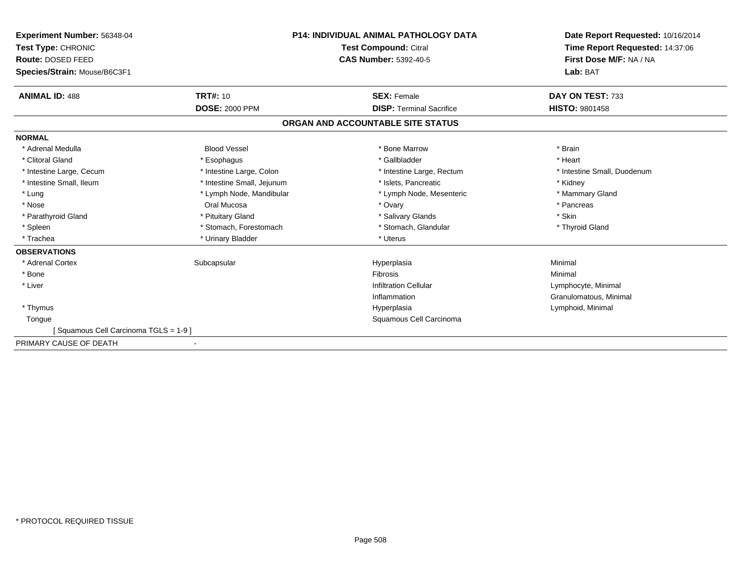| Experiment Number: 56348-04<br>Test Type: CHRONIC |                            | <b>P14: INDIVIDUAL ANIMAL PATHOLOGY DATA</b> | Date Report Requested: 10/16/2014<br>Time Report Requested: 14:37:06 |
|---------------------------------------------------|----------------------------|----------------------------------------------|----------------------------------------------------------------------|
|                                                   |                            | <b>Test Compound: Citral</b>                 |                                                                      |
| Route: DOSED FEED                                 |                            | <b>CAS Number: 5392-40-5</b>                 | First Dose M/F: NA / NA                                              |
| Species/Strain: Mouse/B6C3F1                      |                            |                                              | Lab: BAT                                                             |
| <b>ANIMAL ID: 488</b>                             | <b>TRT#: 10</b>            | <b>SEX: Female</b>                           | DAY ON TEST: 733                                                     |
|                                                   | <b>DOSE: 2000 PPM</b>      | <b>DISP: Terminal Sacrifice</b>              | <b>HISTO: 9801458</b>                                                |
|                                                   |                            | ORGAN AND ACCOUNTABLE SITE STATUS            |                                                                      |
| <b>NORMAL</b>                                     |                            |                                              |                                                                      |
| * Adrenal Medulla                                 | <b>Blood Vessel</b>        | * Bone Marrow                                | * Brain                                                              |
| * Clitoral Gland                                  | * Esophagus                | * Gallbladder                                | * Heart                                                              |
| * Intestine Large, Cecum                          | * Intestine Large, Colon   | * Intestine Large, Rectum                    | * Intestine Small, Duodenum                                          |
| * Intestine Small. Ileum                          | * Intestine Small, Jejunum | * Islets. Pancreatic                         | * Kidney                                                             |
| * Lung                                            | * Lymph Node, Mandibular   | * Lymph Node, Mesenteric                     | * Mammary Gland                                                      |
| * Nose                                            | Oral Mucosa                | * Ovary                                      | * Pancreas                                                           |
| * Parathyroid Gland                               | * Pituitary Gland          | * Salivary Glands                            | * Skin                                                               |
| * Spleen                                          | * Stomach, Forestomach     | * Stomach, Glandular                         | * Thyroid Gland                                                      |
| * Trachea                                         | * Urinary Bladder          | * Uterus                                     |                                                                      |
| <b>OBSERVATIONS</b>                               |                            |                                              |                                                                      |
| * Adrenal Cortex                                  | Subcapsular                | Hyperplasia                                  | Minimal                                                              |
| * Bone                                            |                            | <b>Fibrosis</b>                              | Minimal                                                              |
| * Liver                                           |                            | <b>Infiltration Cellular</b>                 | Lymphocyte, Minimal                                                  |
|                                                   |                            | Inflammation                                 | Granulomatous, Minimal                                               |
| * Thymus                                          |                            | Hyperplasia                                  | Lymphoid, Minimal                                                    |
| Tongue                                            |                            | Squamous Cell Carcinoma                      |                                                                      |
| [Squamous Cell Carcinoma TGLS = 1-9]              |                            |                                              |                                                                      |
| PRIMARY CAUSE OF DEATH                            |                            |                                              |                                                                      |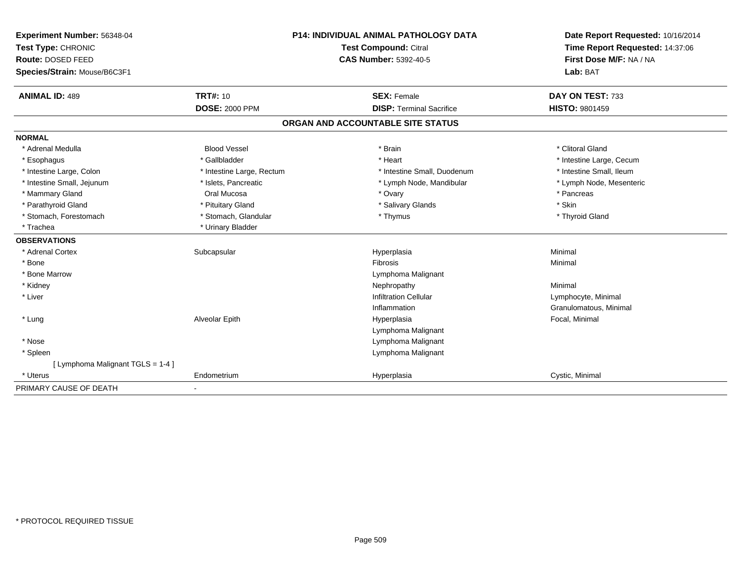| Experiment Number: 56348-04       | P14: INDIVIDUAL ANIMAL PATHOLOGY DATA<br>Test Compound: Citral |                                   | Date Report Requested: 10/16/2014<br>Time Report Requested: 14:37:06 |
|-----------------------------------|----------------------------------------------------------------|-----------------------------------|----------------------------------------------------------------------|
| Test Type: CHRONIC                |                                                                |                                   |                                                                      |
| Route: DOSED FEED                 |                                                                | <b>CAS Number: 5392-40-5</b>      | First Dose M/F: NA / NA                                              |
| Species/Strain: Mouse/B6C3F1      |                                                                |                                   | Lab: BAT                                                             |
| <b>ANIMAL ID: 489</b>             | <b>TRT#: 10</b>                                                | <b>SEX: Female</b>                | DAY ON TEST: 733                                                     |
|                                   | <b>DOSE: 2000 PPM</b>                                          | <b>DISP: Terminal Sacrifice</b>   | <b>HISTO: 9801459</b>                                                |
|                                   |                                                                | ORGAN AND ACCOUNTABLE SITE STATUS |                                                                      |
| <b>NORMAL</b>                     |                                                                |                                   |                                                                      |
| * Adrenal Medulla                 | <b>Blood Vessel</b>                                            | * Brain                           | * Clitoral Gland                                                     |
| * Esophagus                       | * Gallbladder                                                  | * Heart                           | * Intestine Large, Cecum                                             |
| * Intestine Large, Colon          | * Intestine Large, Rectum                                      | * Intestine Small, Duodenum       | * Intestine Small, Ileum                                             |
| * Intestine Small, Jejunum        | * Islets, Pancreatic                                           | * Lymph Node, Mandibular          | * Lymph Node, Mesenteric                                             |
| * Mammary Gland                   | Oral Mucosa                                                    | * Ovary                           | * Pancreas                                                           |
| * Parathyroid Gland               | * Pituitary Gland                                              | * Salivary Glands                 | * Skin                                                               |
| * Stomach, Forestomach            | * Stomach, Glandular                                           | * Thymus                          | * Thyroid Gland                                                      |
| * Trachea                         | * Urinary Bladder                                              |                                   |                                                                      |
| <b>OBSERVATIONS</b>               |                                                                |                                   |                                                                      |
| * Adrenal Cortex                  | Subcapsular                                                    | Hyperplasia                       | Minimal                                                              |
| * Bone                            |                                                                | Fibrosis                          | Minimal                                                              |
| * Bone Marrow                     |                                                                | Lymphoma Malignant                |                                                                      |
| * Kidney                          |                                                                | Nephropathy                       | Minimal                                                              |
| * Liver                           |                                                                | <b>Infiltration Cellular</b>      | Lymphocyte, Minimal                                                  |
|                                   |                                                                | Inflammation                      | Granulomatous, Minimal                                               |
| * Lung                            | Alveolar Epith                                                 | Hyperplasia                       | Focal, Minimal                                                       |
|                                   |                                                                | Lymphoma Malignant                |                                                                      |
| * Nose                            |                                                                | Lymphoma Malignant                |                                                                      |
| * Spleen                          |                                                                | Lymphoma Malignant                |                                                                      |
| [ Lymphoma Malignant TGLS = 1-4 ] |                                                                |                                   |                                                                      |
| * Uterus                          | Endometrium                                                    | Hyperplasia                       | Cystic, Minimal                                                      |
| PRIMARY CAUSE OF DEATH            |                                                                |                                   |                                                                      |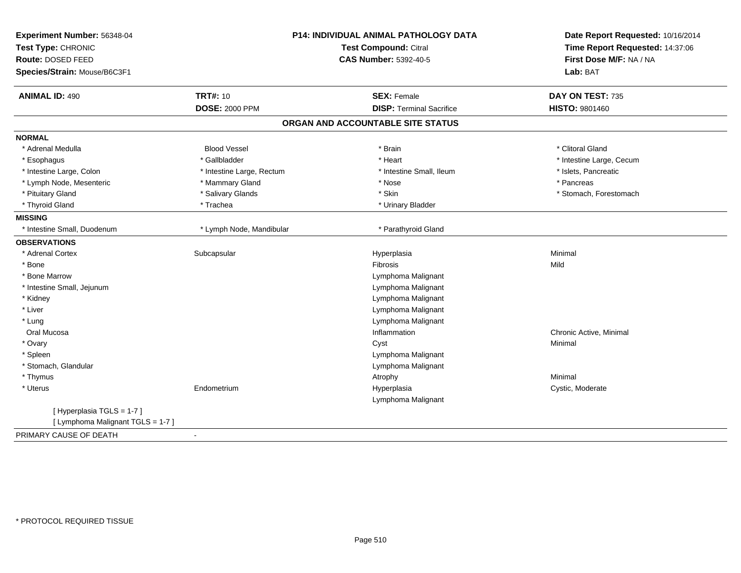| Experiment Number: 56348-04<br>Test Type: CHRONIC<br>Route: DOSED FEED |                           | P14: INDIVIDUAL ANIMAL PATHOLOGY DATA<br>Test Compound: Citral<br><b>CAS Number: 5392-40-5</b> | Date Report Requested: 10/16/2014<br>Time Report Requested: 14:37:06<br>First Dose M/F: NA / NA |
|------------------------------------------------------------------------|---------------------------|------------------------------------------------------------------------------------------------|-------------------------------------------------------------------------------------------------|
| Species/Strain: Mouse/B6C3F1                                           |                           |                                                                                                | Lab: BAT                                                                                        |
| <b>ANIMAL ID: 490</b>                                                  | <b>TRT#: 10</b>           | <b>SEX: Female</b>                                                                             | DAY ON TEST: 735                                                                                |
|                                                                        | <b>DOSE: 2000 PPM</b>     | <b>DISP: Terminal Sacrifice</b>                                                                | <b>HISTO: 9801460</b>                                                                           |
|                                                                        |                           | ORGAN AND ACCOUNTABLE SITE STATUS                                                              |                                                                                                 |
| <b>NORMAL</b>                                                          |                           |                                                                                                |                                                                                                 |
| * Adrenal Medulla                                                      | <b>Blood Vessel</b>       | * Brain                                                                                        | * Clitoral Gland                                                                                |
| * Esophagus                                                            | * Gallbladder             | * Heart                                                                                        | * Intestine Large, Cecum                                                                        |
| * Intestine Large, Colon                                               | * Intestine Large, Rectum | * Intestine Small, Ileum                                                                       | * Islets, Pancreatic                                                                            |
| * Lymph Node, Mesenteric                                               | * Mammary Gland           | * Nose                                                                                         | * Pancreas                                                                                      |
| * Pituitary Gland                                                      | * Salivary Glands         | * Skin                                                                                         | * Stomach, Forestomach                                                                          |
| * Thyroid Gland                                                        | * Trachea                 | * Urinary Bladder                                                                              |                                                                                                 |
| <b>MISSING</b>                                                         |                           |                                                                                                |                                                                                                 |
| * Intestine Small, Duodenum                                            | * Lymph Node, Mandibular  | * Parathyroid Gland                                                                            |                                                                                                 |
| <b>OBSERVATIONS</b>                                                    |                           |                                                                                                |                                                                                                 |
| * Adrenal Cortex                                                       | Subcapsular               | Hyperplasia                                                                                    | Minimal                                                                                         |
| * Bone                                                                 |                           | Fibrosis                                                                                       | Mild                                                                                            |
| * Bone Marrow                                                          |                           | Lymphoma Malignant                                                                             |                                                                                                 |
| * Intestine Small, Jejunum                                             |                           | Lymphoma Malignant                                                                             |                                                                                                 |
| * Kidney                                                               |                           | Lymphoma Malignant                                                                             |                                                                                                 |
| * Liver                                                                |                           | Lymphoma Malignant                                                                             |                                                                                                 |
| * Lung                                                                 |                           | Lymphoma Malignant                                                                             |                                                                                                 |
| Oral Mucosa                                                            |                           | Inflammation                                                                                   | Chronic Active, Minimal                                                                         |
| * Ovary                                                                |                           | Cyst                                                                                           | Minimal                                                                                         |
| * Spleen                                                               |                           | Lymphoma Malignant                                                                             |                                                                                                 |
| * Stomach, Glandular                                                   |                           | Lymphoma Malignant                                                                             |                                                                                                 |
| * Thymus                                                               |                           | Atrophy                                                                                        | Minimal                                                                                         |
| * Uterus                                                               | Endometrium               | Hyperplasia                                                                                    | Cystic, Moderate                                                                                |
|                                                                        |                           | Lymphoma Malignant                                                                             |                                                                                                 |
| [Hyperplasia TGLS = 1-7]                                               |                           |                                                                                                |                                                                                                 |
| [ Lymphoma Malignant TGLS = 1-7 ]                                      |                           |                                                                                                |                                                                                                 |
| PRIMARY CAUSE OF DEATH                                                 |                           |                                                                                                |                                                                                                 |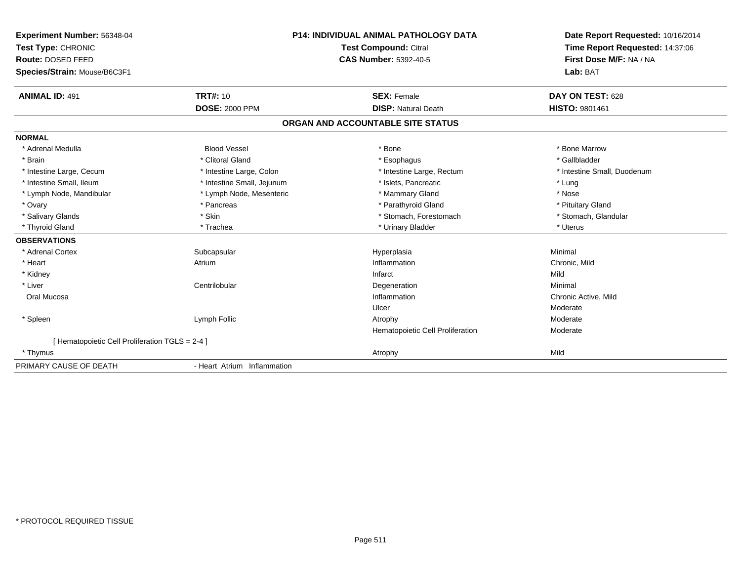| Experiment Number: 56348-04<br>Test Type: CHRONIC<br>Route: DOSED FEED<br>Species/Strain: Mouse/B6C3F1 |                             | <b>P14: INDIVIDUAL ANIMAL PATHOLOGY DATA</b><br><b>Test Compound: Citral</b><br><b>CAS Number: 5392-40-5</b> | Date Report Requested: 10/16/2014<br>Time Report Requested: 14:37:06<br>First Dose M/F: NA / NA<br>Lab: BAT |
|--------------------------------------------------------------------------------------------------------|-----------------------------|--------------------------------------------------------------------------------------------------------------|-------------------------------------------------------------------------------------------------------------|
| <b>ANIMAL ID: 491</b>                                                                                  | <b>TRT#: 10</b>             | <b>SEX: Female</b>                                                                                           | DAY ON TEST: 628                                                                                            |
|                                                                                                        | <b>DOSE: 2000 PPM</b>       | <b>DISP: Natural Death</b>                                                                                   | HISTO: 9801461                                                                                              |
|                                                                                                        |                             | ORGAN AND ACCOUNTABLE SITE STATUS                                                                            |                                                                                                             |
| <b>NORMAL</b>                                                                                          |                             |                                                                                                              |                                                                                                             |
| * Adrenal Medulla                                                                                      | <b>Blood Vessel</b>         | * Bone                                                                                                       | * Bone Marrow                                                                                               |
| * Brain                                                                                                | * Clitoral Gland            | * Esophagus                                                                                                  | * Gallbladder                                                                                               |
| * Intestine Large, Cecum                                                                               | * Intestine Large, Colon    | * Intestine Large, Rectum                                                                                    | * Intestine Small, Duodenum                                                                                 |
| * Intestine Small, Ileum                                                                               | * Intestine Small, Jejunum  | * Islets, Pancreatic                                                                                         | * Lung                                                                                                      |
| * Lymph Node, Mandibular                                                                               | * Lymph Node, Mesenteric    | * Mammary Gland                                                                                              | * Nose                                                                                                      |
| * Ovary                                                                                                | * Pancreas                  | * Parathyroid Gland                                                                                          | * Pituitary Gland                                                                                           |
| * Salivary Glands                                                                                      | * Skin                      | * Stomach, Forestomach                                                                                       | * Stomach, Glandular                                                                                        |
| * Thyroid Gland                                                                                        | * Trachea                   | * Urinary Bladder                                                                                            | * Uterus                                                                                                    |
| <b>OBSERVATIONS</b>                                                                                    |                             |                                                                                                              |                                                                                                             |
| * Adrenal Cortex                                                                                       | Subcapsular                 | Hyperplasia                                                                                                  | Minimal                                                                                                     |
| * Heart                                                                                                | Atrium                      | Inflammation                                                                                                 | Chronic, Mild                                                                                               |
| * Kidney                                                                                               |                             | Infarct                                                                                                      | Mild                                                                                                        |
| * Liver                                                                                                | Centrilobular               | Degeneration                                                                                                 | Minimal                                                                                                     |
| Oral Mucosa                                                                                            |                             | Inflammation                                                                                                 | Chronic Active, Mild                                                                                        |
|                                                                                                        |                             | Ulcer                                                                                                        | Moderate                                                                                                    |
| * Spleen                                                                                               | Lymph Follic                | Atrophy                                                                                                      | Moderate                                                                                                    |
|                                                                                                        |                             | Hematopoietic Cell Proliferation                                                                             | Moderate                                                                                                    |
| [ Hematopoietic Cell Proliferation TGLS = 2-4 ]                                                        |                             |                                                                                                              |                                                                                                             |
| * Thymus                                                                                               |                             | Atrophy                                                                                                      | Mild                                                                                                        |
| PRIMARY CAUSE OF DEATH                                                                                 | - Heart Atrium Inflammation |                                                                                                              |                                                                                                             |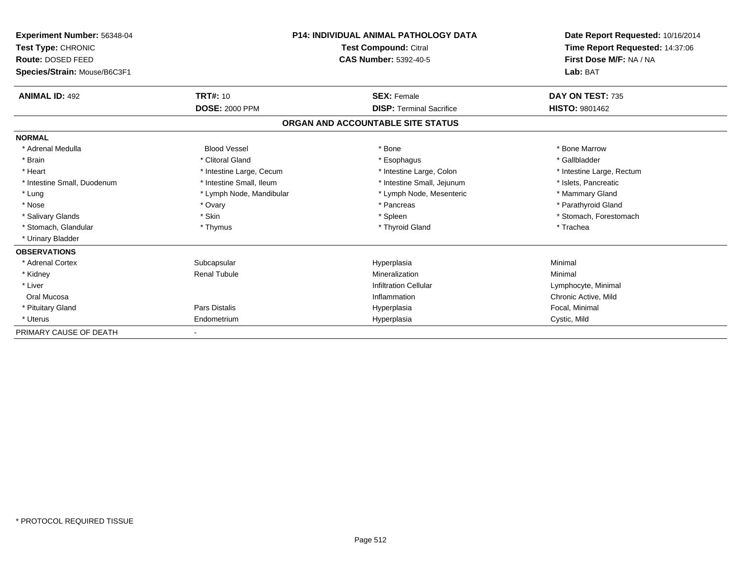| Experiment Number: 56348-04<br><b>Test Type: CHRONIC</b><br><b>Route: DOSED FEED</b><br>Species/Strain: Mouse/B6C3F1 |                          | <b>P14: INDIVIDUAL ANIMAL PATHOLOGY DATA</b><br><b>Test Compound: Citral</b><br><b>CAS Number: 5392-40-5</b> | Date Report Requested: 10/16/2014<br>Time Report Requested: 14:37:06<br>First Dose M/F: NA / NA<br>Lab: BAT |
|----------------------------------------------------------------------------------------------------------------------|--------------------------|--------------------------------------------------------------------------------------------------------------|-------------------------------------------------------------------------------------------------------------|
| <b>ANIMAL ID: 492</b>                                                                                                | <b>TRT#: 10</b>          | <b>SEX: Female</b>                                                                                           | DAY ON TEST: 735                                                                                            |
|                                                                                                                      | <b>DOSE: 2000 PPM</b>    | <b>DISP: Terminal Sacrifice</b>                                                                              | HISTO: 9801462                                                                                              |
|                                                                                                                      |                          | ORGAN AND ACCOUNTABLE SITE STATUS                                                                            |                                                                                                             |
| <b>NORMAL</b>                                                                                                        |                          |                                                                                                              |                                                                                                             |
| * Adrenal Medulla                                                                                                    | <b>Blood Vessel</b>      | * Bone                                                                                                       | * Bone Marrow                                                                                               |
| * Brain                                                                                                              | * Clitoral Gland         | * Esophagus                                                                                                  | * Gallbladder                                                                                               |
| * Heart                                                                                                              | * Intestine Large, Cecum | * Intestine Large, Colon                                                                                     | * Intestine Large, Rectum                                                                                   |
| * Intestine Small, Duodenum                                                                                          | * Intestine Small, Ileum | * Intestine Small, Jejunum                                                                                   | * Islets, Pancreatic                                                                                        |
| * Lung                                                                                                               | * Lymph Node, Mandibular | * Lymph Node, Mesenteric                                                                                     | * Mammary Gland                                                                                             |
| * Nose                                                                                                               | * Ovary                  | * Pancreas                                                                                                   | * Parathyroid Gland                                                                                         |
| * Salivary Glands                                                                                                    | * Skin                   | * Spleen                                                                                                     | * Stomach, Forestomach                                                                                      |
| * Stomach, Glandular                                                                                                 | * Thymus                 | * Thyroid Gland                                                                                              | * Trachea                                                                                                   |
| * Urinary Bladder                                                                                                    |                          |                                                                                                              |                                                                                                             |
| <b>OBSERVATIONS</b>                                                                                                  |                          |                                                                                                              |                                                                                                             |
| * Adrenal Cortex                                                                                                     | Subcapsular              | Hyperplasia                                                                                                  | Minimal                                                                                                     |
| * Kidney                                                                                                             | <b>Renal Tubule</b>      | Mineralization                                                                                               | Minimal                                                                                                     |
| * Liver                                                                                                              |                          | <b>Infiltration Cellular</b>                                                                                 | Lymphocyte, Minimal                                                                                         |
| Oral Mucosa                                                                                                          |                          | Inflammation                                                                                                 | Chronic Active, Mild                                                                                        |
| * Pituitary Gland                                                                                                    | Pars Distalis            | Hyperplasia                                                                                                  | Focal, Minimal                                                                                              |
| * Uterus                                                                                                             | Endometrium              | Hyperplasia                                                                                                  | Cystic, Mild                                                                                                |
| PRIMARY CAUSE OF DEATH                                                                                               |                          |                                                                                                              |                                                                                                             |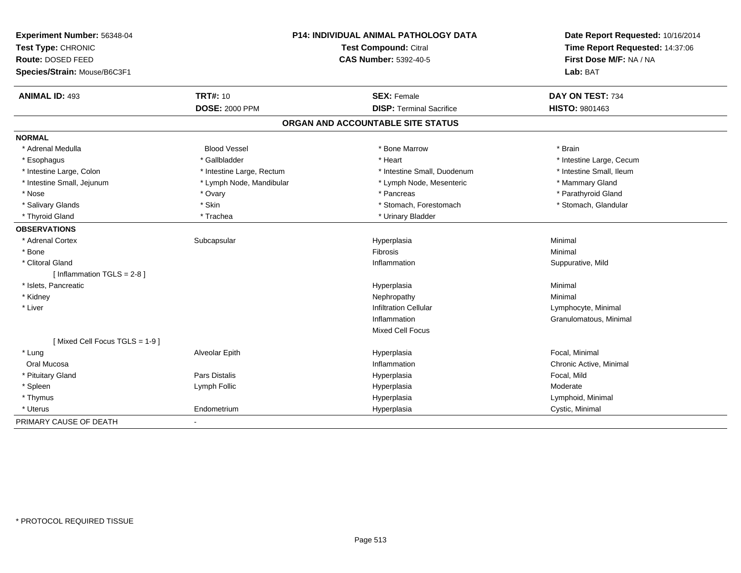| Experiment Number: 56348-04   |                           | P14: INDIVIDUAL ANIMAL PATHOLOGY DATA | Date Report Requested: 10/16/2014 |
|-------------------------------|---------------------------|---------------------------------------|-----------------------------------|
| Test Type: CHRONIC            | Test Compound: Citral     |                                       | Time Report Requested: 14:37:06   |
| Route: DOSED FEED             |                           | <b>CAS Number: 5392-40-5</b>          | First Dose M/F: NA / NA           |
| Species/Strain: Mouse/B6C3F1  |                           |                                       | Lab: BAT                          |
| <b>ANIMAL ID: 493</b>         | <b>TRT#: 10</b>           | <b>SEX: Female</b>                    | DAY ON TEST: 734                  |
|                               | <b>DOSE: 2000 PPM</b>     | <b>DISP: Terminal Sacrifice</b>       | <b>HISTO: 9801463</b>             |
|                               |                           | ORGAN AND ACCOUNTABLE SITE STATUS     |                                   |
| <b>NORMAL</b>                 |                           |                                       |                                   |
| * Adrenal Medulla             | <b>Blood Vessel</b>       | * Bone Marrow                         | * Brain                           |
| * Esophagus                   | * Gallbladder             | * Heart                               | * Intestine Large, Cecum          |
| * Intestine Large, Colon      | * Intestine Large, Rectum | * Intestine Small, Duodenum           | * Intestine Small, Ileum          |
| * Intestine Small, Jejunum    | * Lymph Node, Mandibular  | * Lymph Node, Mesenteric              | * Mammary Gland                   |
| * Nose                        | * Ovary                   | * Pancreas                            | * Parathyroid Gland               |
| * Salivary Glands             | * Skin                    | * Stomach, Forestomach                | * Stomach, Glandular              |
| * Thyroid Gland               | * Trachea                 | * Urinary Bladder                     |                                   |
| <b>OBSERVATIONS</b>           |                           |                                       |                                   |
| * Adrenal Cortex              | Subcapsular               | Hyperplasia                           | Minimal                           |
| * Bone                        |                           | <b>Fibrosis</b>                       | Minimal                           |
| * Clitoral Gland              |                           | Inflammation                          | Suppurative, Mild                 |
| [Inflammation TGLS = $2-8$ ]  |                           |                                       |                                   |
| * Islets, Pancreatic          |                           | Hyperplasia                           | Minimal                           |
| * Kidney                      |                           | Nephropathy                           | Minimal                           |
| * Liver                       |                           | <b>Infiltration Cellular</b>          | Lymphocyte, Minimal               |
|                               |                           | Inflammation                          | Granulomatous, Minimal            |
|                               |                           | <b>Mixed Cell Focus</b>               |                                   |
| [Mixed Cell Focus TGLS = 1-9] |                           |                                       |                                   |
| * Lung                        | Alveolar Epith            | Hyperplasia                           | Focal, Minimal                    |
| Oral Mucosa                   |                           | Inflammation                          | Chronic Active, Minimal           |
| * Pituitary Gland             | Pars Distalis             | Hyperplasia                           | Focal, Mild                       |
| * Spleen                      | Lymph Follic              | Hyperplasia                           | Moderate                          |
| * Thymus                      |                           | Hyperplasia                           | Lymphoid, Minimal                 |
| * Uterus                      | Endometrium               | Hyperplasia                           | Cystic, Minimal                   |
| PRIMARY CAUSE OF DEATH        |                           |                                       |                                   |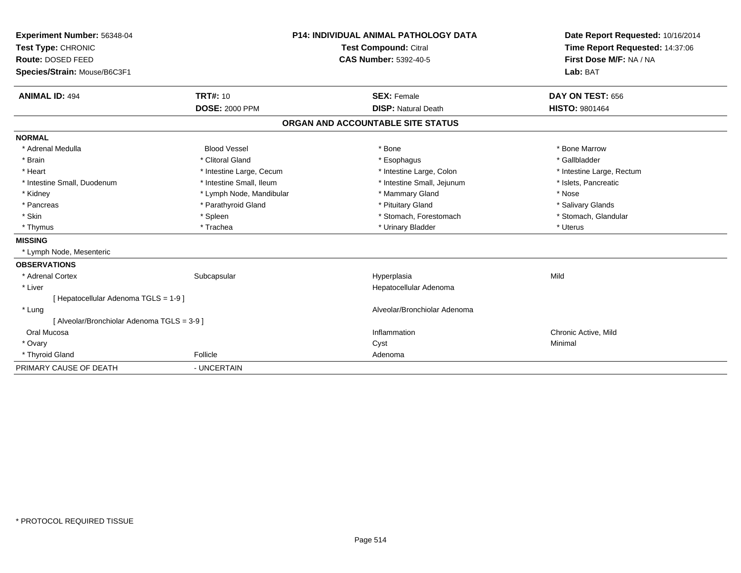| Experiment Number: 56348-04<br>Test Type: CHRONIC<br>Route: DOSED FEED<br>Species/Strain: Mouse/B6C3F1<br><b>ANIMAL ID: 494</b> | <b>TRT#: 10</b>          | <b>P14: INDIVIDUAL ANIMAL PATHOLOGY DATA</b><br><b>Test Compound: Citral</b><br><b>CAS Number: 5392-40-5</b><br><b>SEX: Female</b> | Date Report Requested: 10/16/2014<br>Time Report Requested: 14:37:06<br>First Dose M/F: NA / NA<br>Lab: BAT<br>DAY ON TEST: 656 |
|---------------------------------------------------------------------------------------------------------------------------------|--------------------------|------------------------------------------------------------------------------------------------------------------------------------|---------------------------------------------------------------------------------------------------------------------------------|
|                                                                                                                                 | <b>DOSE: 2000 PPM</b>    | <b>DISP: Natural Death</b>                                                                                                         | <b>HISTO: 9801464</b>                                                                                                           |
|                                                                                                                                 |                          | ORGAN AND ACCOUNTABLE SITE STATUS                                                                                                  |                                                                                                                                 |
| <b>NORMAL</b>                                                                                                                   |                          |                                                                                                                                    |                                                                                                                                 |
| * Adrenal Medulla                                                                                                               | <b>Blood Vessel</b>      | * Bone                                                                                                                             | * Bone Marrow                                                                                                                   |
| * Brain                                                                                                                         | * Clitoral Gland         | * Esophagus                                                                                                                        | * Gallbladder                                                                                                                   |
| * Heart                                                                                                                         | * Intestine Large, Cecum | * Intestine Large, Colon                                                                                                           | * Intestine Large, Rectum                                                                                                       |
| * Intestine Small, Duodenum                                                                                                     | * Intestine Small, Ileum | * Intestine Small, Jejunum                                                                                                         | * Islets, Pancreatic                                                                                                            |
| * Kidney                                                                                                                        | * Lymph Node, Mandibular | * Mammary Gland                                                                                                                    | * Nose                                                                                                                          |
| * Pancreas                                                                                                                      | * Parathyroid Gland      | * Pituitary Gland                                                                                                                  | * Salivary Glands                                                                                                               |
| * Skin                                                                                                                          | * Spleen                 | * Stomach, Forestomach                                                                                                             | * Stomach, Glandular                                                                                                            |
| * Thymus                                                                                                                        | * Trachea                | * Urinary Bladder                                                                                                                  | * Uterus                                                                                                                        |
| <b>MISSING</b>                                                                                                                  |                          |                                                                                                                                    |                                                                                                                                 |
| * Lymph Node, Mesenteric                                                                                                        |                          |                                                                                                                                    |                                                                                                                                 |
| <b>OBSERVATIONS</b>                                                                                                             |                          |                                                                                                                                    |                                                                                                                                 |
| * Adrenal Cortex                                                                                                                | Subcapsular              | Hyperplasia                                                                                                                        | Mild                                                                                                                            |
| * Liver                                                                                                                         |                          | Hepatocellular Adenoma                                                                                                             |                                                                                                                                 |
| [ Hepatocellular Adenoma TGLS = 1-9 ]                                                                                           |                          |                                                                                                                                    |                                                                                                                                 |
| * Lung                                                                                                                          |                          | Alveolar/Bronchiolar Adenoma                                                                                                       |                                                                                                                                 |
| [ Alveolar/Bronchiolar Adenoma TGLS = 3-9 ]                                                                                     |                          |                                                                                                                                    |                                                                                                                                 |
| Oral Mucosa                                                                                                                     |                          | Inflammation                                                                                                                       | Chronic Active, Mild                                                                                                            |
| * Ovary                                                                                                                         |                          | Cyst                                                                                                                               | Minimal                                                                                                                         |
| * Thyroid Gland                                                                                                                 | Follicle                 | Adenoma                                                                                                                            |                                                                                                                                 |
| PRIMARY CAUSE OF DEATH                                                                                                          | - UNCERTAIN              |                                                                                                                                    |                                                                                                                                 |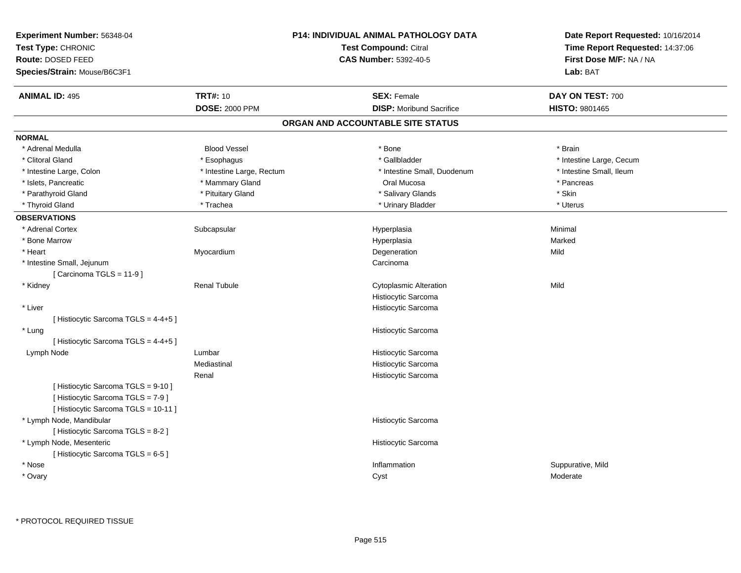| Experiment Number: 56348-04<br>Test Type: CHRONIC<br>Route: DOSED FEED<br>Species/Strain: Mouse/B6C3F1 |                           | P14: INDIVIDUAL ANIMAL PATHOLOGY DATA<br><b>Test Compound: Citral</b><br><b>CAS Number: 5392-40-5</b> | Date Report Requested: 10/16/2014<br>Time Report Requested: 14:37:06<br>First Dose M/F: NA / NA<br><b>Lab: BAT</b> |
|--------------------------------------------------------------------------------------------------------|---------------------------|-------------------------------------------------------------------------------------------------------|--------------------------------------------------------------------------------------------------------------------|
| <b>ANIMAL ID: 495</b>                                                                                  | <b>TRT#: 10</b>           | <b>SEX: Female</b>                                                                                    | DAY ON TEST: 700                                                                                                   |
|                                                                                                        | <b>DOSE: 2000 PPM</b>     | <b>DISP:</b> Moribund Sacrifice                                                                       | HISTO: 9801465                                                                                                     |
|                                                                                                        |                           | ORGAN AND ACCOUNTABLE SITE STATUS                                                                     |                                                                                                                    |
| <b>NORMAL</b>                                                                                          |                           |                                                                                                       |                                                                                                                    |
| * Adrenal Medulla                                                                                      | <b>Blood Vessel</b>       | * Bone                                                                                                | * Brain                                                                                                            |
| * Clitoral Gland                                                                                       | * Esophagus               | * Gallbladder                                                                                         | * Intestine Large, Cecum                                                                                           |
| * Intestine Large, Colon                                                                               | * Intestine Large, Rectum | * Intestine Small, Duodenum                                                                           | * Intestine Small, Ileum                                                                                           |
| * Islets, Pancreatic                                                                                   | * Mammary Gland           | Oral Mucosa                                                                                           | * Pancreas                                                                                                         |
| * Parathyroid Gland                                                                                    | * Pituitary Gland         | * Salivary Glands                                                                                     | * Skin                                                                                                             |
| * Thyroid Gland                                                                                        | * Trachea                 | * Urinary Bladder                                                                                     | * Uterus                                                                                                           |
| <b>OBSERVATIONS</b>                                                                                    |                           |                                                                                                       |                                                                                                                    |
| * Adrenal Cortex                                                                                       | Subcapsular               | Hyperplasia                                                                                           | Minimal                                                                                                            |
| * Bone Marrow                                                                                          |                           | Hyperplasia                                                                                           | Marked                                                                                                             |
| * Heart                                                                                                | Myocardium                | Degeneration                                                                                          | Mild                                                                                                               |
| * Intestine Small, Jejunum<br>[ Carcinoma TGLS = 11-9 ]                                                |                           | Carcinoma                                                                                             |                                                                                                                    |
| * Kidney                                                                                               | <b>Renal Tubule</b>       | <b>Cytoplasmic Alteration</b>                                                                         | Mild                                                                                                               |
|                                                                                                        |                           | Histiocytic Sarcoma                                                                                   |                                                                                                                    |
| * Liver                                                                                                |                           | Histiocytic Sarcoma                                                                                   |                                                                                                                    |
| [ Histiocytic Sarcoma TGLS = 4-4+5 ]                                                                   |                           |                                                                                                       |                                                                                                                    |
| * Lung                                                                                                 |                           | Histiocytic Sarcoma                                                                                   |                                                                                                                    |
| [ Histiocytic Sarcoma TGLS = 4-4+5 ]                                                                   |                           |                                                                                                       |                                                                                                                    |
| Lymph Node                                                                                             | Lumbar                    | Histiocytic Sarcoma                                                                                   |                                                                                                                    |
|                                                                                                        | Mediastinal               | Histiocytic Sarcoma                                                                                   |                                                                                                                    |
|                                                                                                        | Renal                     | Histiocytic Sarcoma                                                                                   |                                                                                                                    |
| [ Histiocytic Sarcoma TGLS = 9-10 ]                                                                    |                           |                                                                                                       |                                                                                                                    |
| [ Histiocytic Sarcoma TGLS = 7-9 ]                                                                     |                           |                                                                                                       |                                                                                                                    |
| [Histiocytic Sarcoma TGLS = 10-11]                                                                     |                           |                                                                                                       |                                                                                                                    |
| * Lymph Node, Mandibular                                                                               |                           | Histiocytic Sarcoma                                                                                   |                                                                                                                    |
| [Histiocytic Sarcoma TGLS = 8-2]                                                                       |                           |                                                                                                       |                                                                                                                    |
| * Lymph Node, Mesenteric                                                                               |                           | Histiocytic Sarcoma                                                                                   |                                                                                                                    |
| [ Histiocytic Sarcoma TGLS = 6-5 ]                                                                     |                           |                                                                                                       |                                                                                                                    |
| * Nose                                                                                                 |                           | Inflammation                                                                                          | Suppurative, Mild                                                                                                  |
| * Ovary                                                                                                |                           | Cyst                                                                                                  | Moderate                                                                                                           |
|                                                                                                        |                           |                                                                                                       |                                                                                                                    |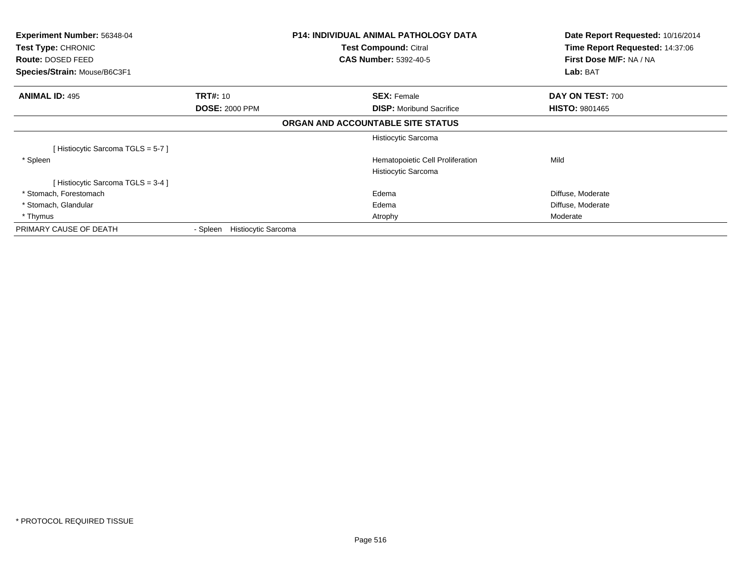| <b>Experiment Number: 56348-04</b><br>Test Type: CHRONIC |                                 | P14: INDIVIDUAL ANIMAL PATHOLOGY DATA<br>Test Compound: Citral | Date Report Requested: 10/16/2014<br>Time Report Requested: 14:37:06 |
|----------------------------------------------------------|---------------------------------|----------------------------------------------------------------|----------------------------------------------------------------------|
| Route: DOSED FEED                                        |                                 | <b>CAS Number: 5392-40-5</b>                                   | First Dose M/F: NA / NA                                              |
| Species/Strain: Mouse/B6C3F1                             |                                 |                                                                | Lab: BAT                                                             |
| <b>ANIMAL ID: 495</b>                                    | <b>TRT#: 10</b>                 | <b>SEX: Female</b>                                             | DAY ON TEST: 700                                                     |
|                                                          | <b>DOSE: 2000 PPM</b>           | <b>DISP:</b> Moribund Sacrifice                                | <b>HISTO: 9801465</b>                                                |
|                                                          |                                 | ORGAN AND ACCOUNTABLE SITE STATUS                              |                                                                      |
|                                                          |                                 | Histiocytic Sarcoma                                            |                                                                      |
| Histiocytic Sarcoma TGLS = 5-7 ]                         |                                 |                                                                |                                                                      |
| * Spleen                                                 |                                 | Hematopoietic Cell Proliferation                               | Mild                                                                 |
|                                                          |                                 | Histiocytic Sarcoma                                            |                                                                      |
| Histiocytic Sarcoma TGLS = 3-4 ]                         |                                 |                                                                |                                                                      |
| * Stomach, Forestomach                                   |                                 | Edema                                                          | Diffuse, Moderate                                                    |
| * Stomach, Glandular                                     |                                 | Edema                                                          | Diffuse, Moderate                                                    |
| * Thymus                                                 |                                 | Atrophy                                                        | Moderate                                                             |
| PRIMARY CAUSE OF DEATH                                   | Histiocytic Sarcoma<br>- Spleen |                                                                |                                                                      |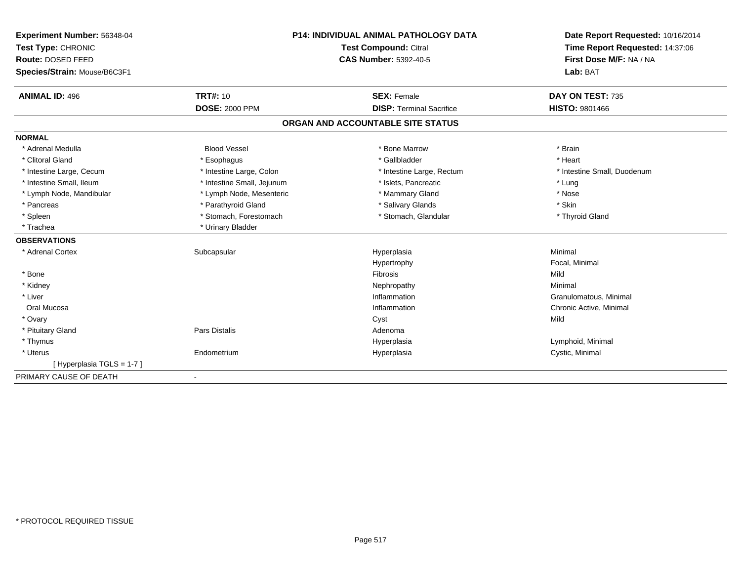| Experiment Number: 56348-04  | P14: INDIVIDUAL ANIMAL PATHOLOGY DATA |                                   | Date Report Requested: 10/16/2014 |
|------------------------------|---------------------------------------|-----------------------------------|-----------------------------------|
| Test Type: CHRONIC           |                                       | <b>Test Compound: Citral</b>      | Time Report Requested: 14:37:06   |
| Route: DOSED FEED            | <b>CAS Number: 5392-40-5</b>          |                                   | First Dose M/F: NA / NA           |
| Species/Strain: Mouse/B6C3F1 |                                       |                                   | Lab: BAT                          |
| <b>ANIMAL ID: 496</b>        | <b>TRT#: 10</b>                       | <b>SEX: Female</b>                | DAY ON TEST: 735                  |
|                              | <b>DOSE: 2000 PPM</b>                 | <b>DISP: Terminal Sacrifice</b>   | <b>HISTO: 9801466</b>             |
|                              |                                       | ORGAN AND ACCOUNTABLE SITE STATUS |                                   |
| <b>NORMAL</b>                |                                       |                                   |                                   |
| * Adrenal Medulla            | <b>Blood Vessel</b>                   | * Bone Marrow                     | * Brain                           |
| * Clitoral Gland             | * Esophagus                           | * Gallbladder                     | * Heart                           |
| * Intestine Large, Cecum     | * Intestine Large, Colon              | * Intestine Large, Rectum         | * Intestine Small, Duodenum       |
| * Intestine Small, Ileum     | * Intestine Small, Jejunum            | * Islets, Pancreatic              | * Lung                            |
| * Lymph Node, Mandibular     | * Lymph Node, Mesenteric              | * Mammary Gland                   | * Nose                            |
| * Pancreas                   | * Parathyroid Gland                   | * Salivary Glands                 | * Skin                            |
| * Spleen                     | * Stomach, Forestomach                | * Stomach, Glandular              | * Thyroid Gland                   |
| * Trachea                    | * Urinary Bladder                     |                                   |                                   |
| <b>OBSERVATIONS</b>          |                                       |                                   |                                   |
| * Adrenal Cortex             | Subcapsular                           | Hyperplasia                       | Minimal                           |
|                              |                                       | Hypertrophy                       | Focal, Minimal                    |
| * Bone                       |                                       | Fibrosis                          | Mild                              |
| * Kidney                     |                                       | Nephropathy                       | Minimal                           |
| * Liver                      |                                       | Inflammation                      | Granulomatous, Minimal            |
| Oral Mucosa                  |                                       | Inflammation                      | Chronic Active, Minimal           |
| * Ovary                      |                                       | Cyst                              | Mild                              |
| * Pituitary Gland            | <b>Pars Distalis</b>                  | Adenoma                           |                                   |
| * Thymus                     |                                       | Hyperplasia                       | Lymphoid, Minimal                 |
| * Uterus                     | Endometrium                           | Hyperplasia                       | Cystic, Minimal                   |
| [Hyperplasia TGLS = 1-7]     |                                       |                                   |                                   |
| PRIMARY CAUSE OF DEATH       |                                       |                                   |                                   |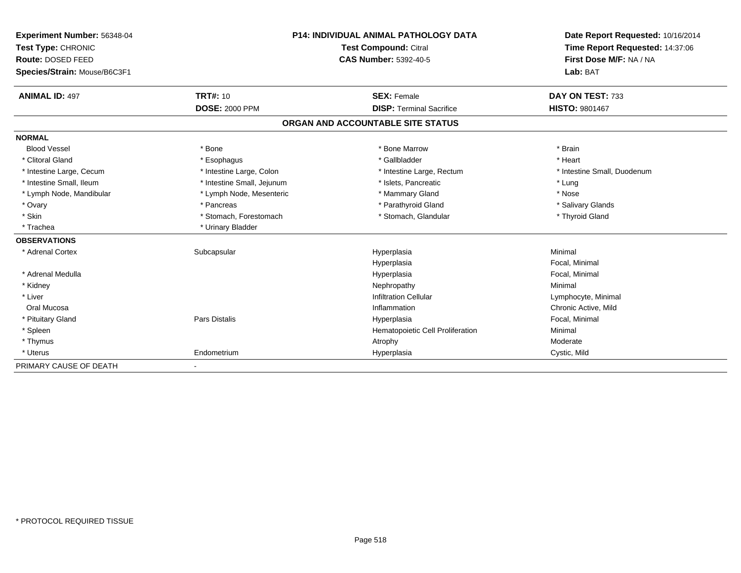| <b>Experiment Number: 56348-04</b> | <b>P14: INDIVIDUAL ANIMAL PATHOLOGY DATA</b><br><b>Test Compound: Citral</b> |                                   | Date Report Requested: 10/16/2014<br>Time Report Requested: 14:37:06 |
|------------------------------------|------------------------------------------------------------------------------|-----------------------------------|----------------------------------------------------------------------|
| Test Type: CHRONIC                 |                                                                              |                                   |                                                                      |
| Route: DOSED FEED                  |                                                                              | CAS Number: 5392-40-5             | First Dose M/F: NA / NA                                              |
| Species/Strain: Mouse/B6C3F1       |                                                                              |                                   | Lab: BAT                                                             |
| <b>ANIMAL ID: 497</b>              | <b>TRT#: 10</b>                                                              | <b>SEX: Female</b>                | DAY ON TEST: 733                                                     |
|                                    | <b>DOSE: 2000 PPM</b>                                                        | <b>DISP: Terminal Sacrifice</b>   | <b>HISTO: 9801467</b>                                                |
|                                    |                                                                              | ORGAN AND ACCOUNTABLE SITE STATUS |                                                                      |
| <b>NORMAL</b>                      |                                                                              |                                   |                                                                      |
| <b>Blood Vessel</b>                | * Bone                                                                       | * Bone Marrow                     | * Brain                                                              |
| * Clitoral Gland                   | * Esophagus                                                                  | * Gallbladder                     | * Heart                                                              |
| * Intestine Large, Cecum           | * Intestine Large, Colon                                                     | * Intestine Large, Rectum         | * Intestine Small, Duodenum                                          |
| * Intestine Small. Ileum           | * Intestine Small, Jejunum                                                   | * Islets. Pancreatic              | * Lung                                                               |
| * Lymph Node, Mandibular           | * Lymph Node, Mesenteric                                                     | * Mammary Gland                   | * Nose                                                               |
| * Ovary                            | * Pancreas                                                                   | * Parathyroid Gland               | * Salivary Glands                                                    |
| * Skin                             | * Stomach, Forestomach                                                       | * Stomach, Glandular              | * Thyroid Gland                                                      |
| * Trachea                          | * Urinary Bladder                                                            |                                   |                                                                      |
| <b>OBSERVATIONS</b>                |                                                                              |                                   |                                                                      |
| * Adrenal Cortex                   | Subcapsular                                                                  | Hyperplasia                       | Minimal                                                              |
|                                    |                                                                              | Hyperplasia                       | Focal, Minimal                                                       |
| * Adrenal Medulla                  |                                                                              | Hyperplasia                       | Focal, Minimal                                                       |
| * Kidney                           |                                                                              | Nephropathy                       | Minimal                                                              |
| * Liver                            |                                                                              | <b>Infiltration Cellular</b>      | Lymphocyte, Minimal                                                  |
| Oral Mucosa                        |                                                                              | Inflammation                      | Chronic Active, Mild                                                 |
| * Pituitary Gland                  | <b>Pars Distalis</b>                                                         | Hyperplasia                       | Focal, Minimal                                                       |
| * Spleen                           |                                                                              | Hematopoietic Cell Proliferation  | Minimal                                                              |
| * Thymus                           |                                                                              | Atrophy                           | Moderate                                                             |
| * Uterus                           | Endometrium                                                                  | Hyperplasia                       | Cystic, Mild                                                         |
| PRIMARY CAUSE OF DEATH             |                                                                              |                                   |                                                                      |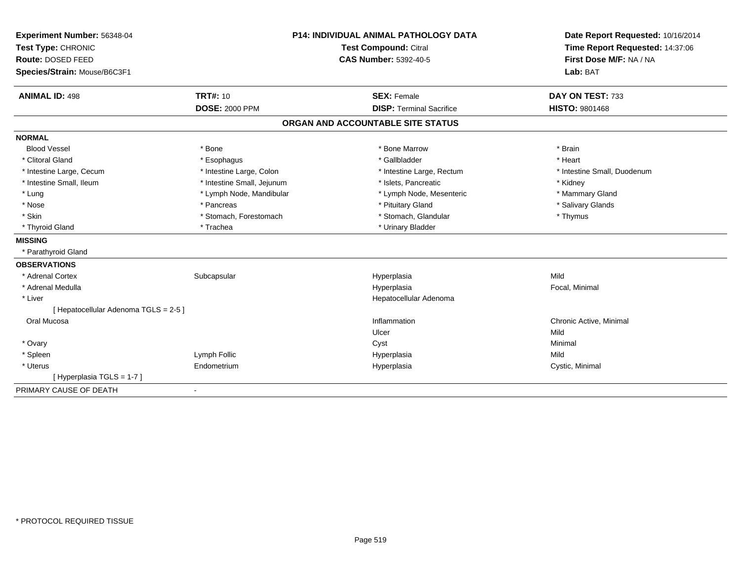| Experiment Number: 56348-04           | <b>P14: INDIVIDUAL ANIMAL PATHOLOGY DATA</b><br><b>Test Compound: Citral</b> |                                   | Date Report Requested: 10/16/2014<br>Time Report Requested: 14:37:06 |  |
|---------------------------------------|------------------------------------------------------------------------------|-----------------------------------|----------------------------------------------------------------------|--|
| Test Type: CHRONIC                    |                                                                              |                                   |                                                                      |  |
| Route: DOSED FEED                     |                                                                              | <b>CAS Number: 5392-40-5</b>      | First Dose M/F: NA / NA                                              |  |
| Species/Strain: Mouse/B6C3F1          |                                                                              |                                   | Lab: BAT                                                             |  |
| <b>ANIMAL ID: 498</b>                 | <b>TRT#: 10</b>                                                              | <b>SEX: Female</b>                | DAY ON TEST: 733                                                     |  |
|                                       | <b>DOSE: 2000 PPM</b>                                                        | <b>DISP: Terminal Sacrifice</b>   | <b>HISTO: 9801468</b>                                                |  |
|                                       |                                                                              | ORGAN AND ACCOUNTABLE SITE STATUS |                                                                      |  |
| <b>NORMAL</b>                         |                                                                              |                                   |                                                                      |  |
| <b>Blood Vessel</b>                   | * Bone                                                                       | * Bone Marrow                     | * Brain                                                              |  |
| * Clitoral Gland                      | * Esophagus                                                                  | * Gallbladder                     | * Heart                                                              |  |
| * Intestine Large, Cecum              | * Intestine Large, Colon                                                     | * Intestine Large, Rectum         | * Intestine Small, Duodenum                                          |  |
| * Intestine Small, Ileum              | * Intestine Small, Jejunum                                                   | * Islets, Pancreatic              | * Kidney                                                             |  |
| * Lung                                | * Lymph Node, Mandibular                                                     | * Lymph Node, Mesenteric          | * Mammary Gland                                                      |  |
| * Nose                                | * Pancreas                                                                   | * Pituitary Gland                 | * Salivary Glands                                                    |  |
| * Skin                                | * Stomach, Forestomach                                                       | * Stomach, Glandular              | * Thymus                                                             |  |
| * Thyroid Gland                       | * Trachea                                                                    | * Urinary Bladder                 |                                                                      |  |
| <b>MISSING</b>                        |                                                                              |                                   |                                                                      |  |
| * Parathyroid Gland                   |                                                                              |                                   |                                                                      |  |
| <b>OBSERVATIONS</b>                   |                                                                              |                                   |                                                                      |  |
| * Adrenal Cortex                      | Subcapsular                                                                  | Hyperplasia                       | Mild                                                                 |  |
| * Adrenal Medulla                     |                                                                              | Hyperplasia                       | Focal, Minimal                                                       |  |
| * Liver                               |                                                                              | Hepatocellular Adenoma            |                                                                      |  |
| [ Hepatocellular Adenoma TGLS = 2-5 ] |                                                                              |                                   |                                                                      |  |
| Oral Mucosa                           |                                                                              | Inflammation                      | Chronic Active, Minimal                                              |  |
|                                       |                                                                              | Ulcer                             | Mild                                                                 |  |
| * Ovary                               |                                                                              | Cyst                              | Minimal                                                              |  |
| * Spleen                              | Lymph Follic                                                                 | Hyperplasia                       | Mild                                                                 |  |
| * Uterus                              | Endometrium                                                                  | Hyperplasia                       | Cystic, Minimal                                                      |  |
| [Hyperplasia TGLS = 1-7]              |                                                                              |                                   |                                                                      |  |
| PRIMARY CAUSE OF DEATH                | $\blacksquare$                                                               |                                   |                                                                      |  |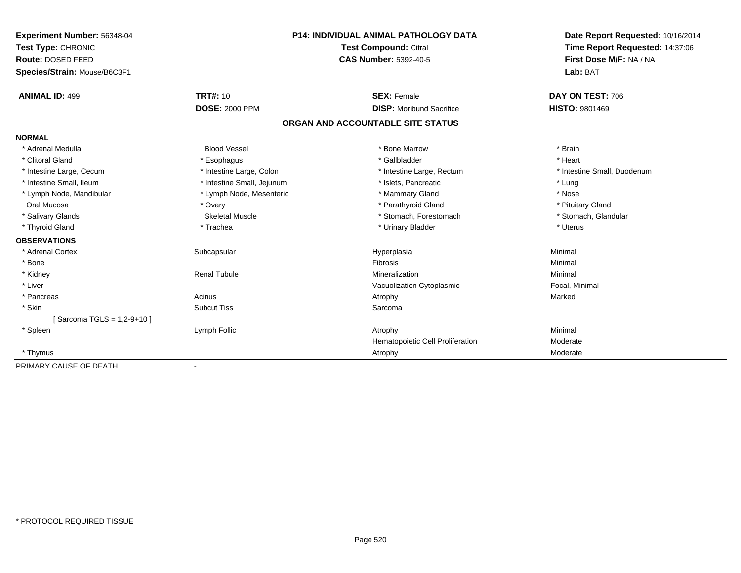| <b>Experiment Number: 56348-04</b> | <b>P14: INDIVIDUAL ANIMAL PATHOLOGY DATA</b><br>Test Compound: Citral<br><b>CAS Number: 5392-40-5</b> |                                   | Date Report Requested: 10/16/2014<br>Time Report Requested: 14:37:06<br>First Dose M/F: NA / NA |
|------------------------------------|-------------------------------------------------------------------------------------------------------|-----------------------------------|-------------------------------------------------------------------------------------------------|
| Test Type: CHRONIC                 |                                                                                                       |                                   |                                                                                                 |
| Route: DOSED FEED                  |                                                                                                       |                                   |                                                                                                 |
| Species/Strain: Mouse/B6C3F1       |                                                                                                       |                                   | Lab: BAT                                                                                        |
| <b>ANIMAL ID: 499</b>              | <b>TRT#: 10</b>                                                                                       | <b>SEX: Female</b>                | DAY ON TEST: 706                                                                                |
|                                    | <b>DOSE: 2000 PPM</b>                                                                                 | <b>DISP:</b> Moribund Sacrifice   | <b>HISTO: 9801469</b>                                                                           |
|                                    |                                                                                                       | ORGAN AND ACCOUNTABLE SITE STATUS |                                                                                                 |
| <b>NORMAL</b>                      |                                                                                                       |                                   |                                                                                                 |
| * Adrenal Medulla                  | <b>Blood Vessel</b>                                                                                   | * Bone Marrow                     | * Brain                                                                                         |
| * Clitoral Gland                   | * Esophagus                                                                                           | * Gallbladder                     | * Heart                                                                                         |
| * Intestine Large, Cecum           | * Intestine Large, Colon                                                                              | * Intestine Large, Rectum         | * Intestine Small, Duodenum                                                                     |
| * Intestine Small, Ileum           | * Intestine Small, Jejunum                                                                            | * Islets. Pancreatic              | * Lung                                                                                          |
| * Lymph Node, Mandibular           | * Lymph Node, Mesenteric                                                                              | * Mammary Gland                   | * Nose                                                                                          |
| Oral Mucosa                        | * Ovary                                                                                               | * Parathyroid Gland               | * Pituitary Gland                                                                               |
| * Salivary Glands                  | <b>Skeletal Muscle</b>                                                                                | * Stomach, Forestomach            | * Stomach, Glandular                                                                            |
| * Thyroid Gland                    | * Trachea                                                                                             | * Urinary Bladder                 | * Uterus                                                                                        |
| <b>OBSERVATIONS</b>                |                                                                                                       |                                   |                                                                                                 |
| * Adrenal Cortex                   | Subcapsular                                                                                           | Hyperplasia                       | Minimal                                                                                         |
| * Bone                             |                                                                                                       | Fibrosis                          | Minimal                                                                                         |
| * Kidney                           | <b>Renal Tubule</b>                                                                                   | Mineralization                    | Minimal                                                                                         |
| * Liver                            |                                                                                                       | Vacuolization Cytoplasmic         | Focal, Minimal                                                                                  |
| * Pancreas                         | Acinus                                                                                                | Atrophy                           | Marked                                                                                          |
| * Skin                             | <b>Subcut Tiss</b>                                                                                    | Sarcoma                           |                                                                                                 |
| [Sarcoma TGLS = 1,2-9+10]          |                                                                                                       |                                   |                                                                                                 |
| * Spleen                           | Lymph Follic                                                                                          | Atrophy                           | Minimal                                                                                         |
|                                    |                                                                                                       | Hematopoietic Cell Proliferation  | Moderate                                                                                        |
| * Thymus                           |                                                                                                       | Atrophy                           | Moderate                                                                                        |
| PRIMARY CAUSE OF DEATH             |                                                                                                       |                                   |                                                                                                 |